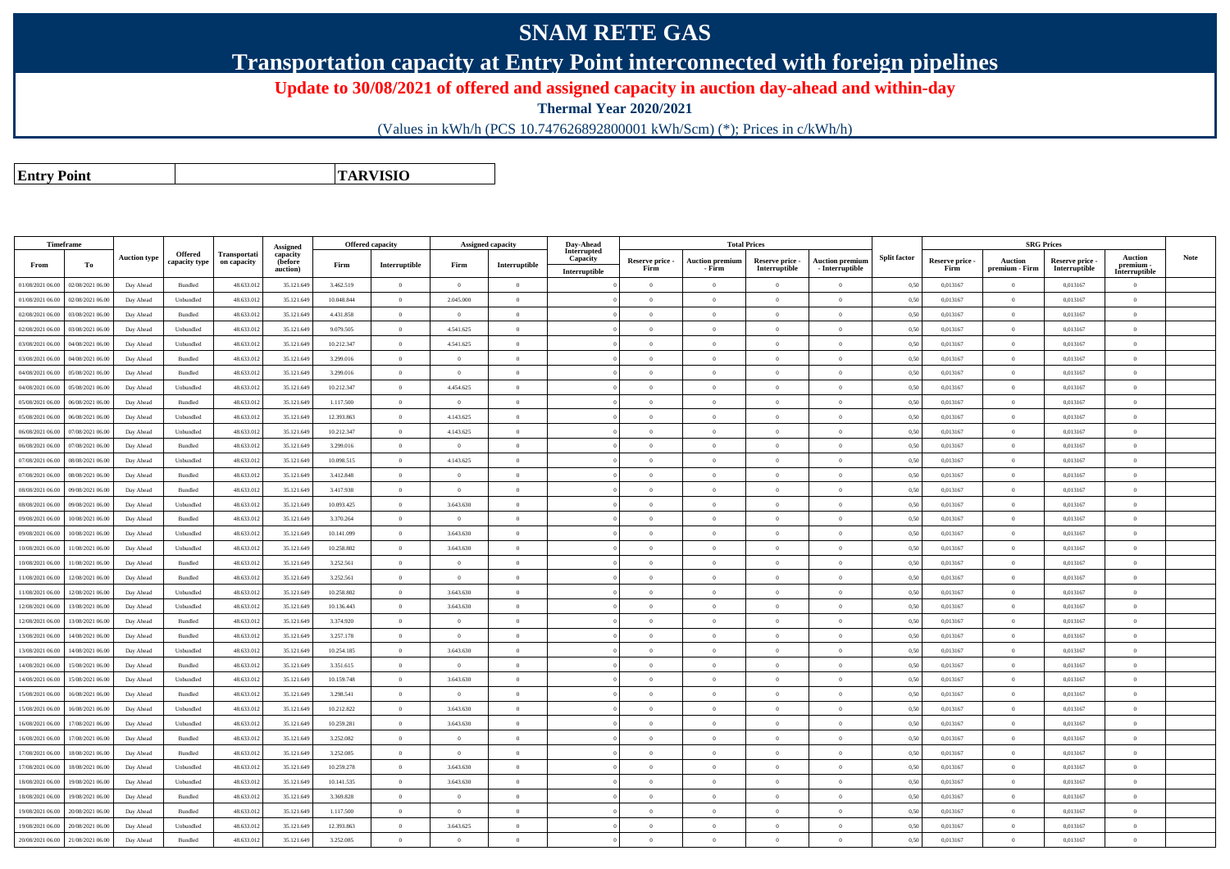## **SNAM RETE GAS**

**Transportation capacity at Entry Point interconnected with foreign pipelines**

**Update to 30/08/2021 of offered and assigned capacity in auction day-ahead and within-day**

**Thermal Year 2020/2021**

(Values in kWh/h (PCS 10.747626892800001 kWh/Scm) (\*); Prices in c/kWh/h)

**Entry PointTARVISIO**

|                  | Timeframe        |                     |                                 |                             | Assigned            | <b>Offered capacity</b> |                |                | <b>Assigned capacity</b>                    | Day-Ahead               |                 | <b>Total Prices</b>    |                 |                        |                     |                 | <b>SRG Prices</b> |               |                          |             |
|------------------|------------------|---------------------|---------------------------------|-----------------------------|---------------------|-------------------------|----------------|----------------|---------------------------------------------|-------------------------|-----------------|------------------------|-----------------|------------------------|---------------------|-----------------|-------------------|---------------|--------------------------|-------------|
|                  |                  | <b>Auction type</b> | <b>Offered</b><br>capacity type | Transportati<br>on capacity | capacity<br>(before |                         |                |                |                                             | Interrupted<br>Capacity | Reserve price - | <b>Auction premium</b> | Reserve price - | <b>Auction premiun</b> | <b>Split factor</b> | Reserve price - | <b>Auction</b>    | Reserve price | <b>Auction</b>           | <b>Note</b> |
| From             | To               |                     |                                 |                             | auction)            | Firm                    | Interruptible  | Firm           | $\label{prop:inter} \textbf{Interruptible}$ | Interruptible           | Firm            | - Firm                 | Interruptible   | $-$ Interruptible      |                     | Firm            | premium - Firm    | Interruptible | premium<br>Interruptible |             |
| 01/08/2021 06:00 | 02/08/2021 06:00 | Day Ahead           | $\mathbf B$ undled              | 48.633.012                  | 35.121.649          | 3.462.519               | $\overline{0}$ | $\overline{0}$ | $\overline{0}$                              |                         | $\Omega$        | $\theta$               | $\Omega$        | $\theta$               | 0,50                | 0,013167        | $\theta$          | 0.013167      | $\Omega$                 |             |
| 01/08/2021 06:00 | 02/08/2021 06:00 | Day Ahead           | Unbundled                       | 48.633.012                  | 35.121.649          | 10.048.844              | $\overline{0}$ | 2.045.000      | $\overline{0}$                              |                         | $\overline{0}$  | $\theta$               | $\overline{0}$  | $\overline{0}$         | 0.50                | 0,013167        | $\overline{0}$    | 0,013167      | $\bf{0}$                 |             |
| 02/08/2021 06:00 | 03/08/2021 06.0  | Day Ahead           | Bundled                         | 48.633.012                  | 35.121.649          | 4.431.858               | $\overline{0}$ | $\overline{0}$ | $\overline{0}$                              |                         | $\Omega$        | $\theta$               | $\overline{0}$  | $\overline{0}$         | 0,50                | 0,013167        | $\overline{0}$    | 0,013167      | $\bf{0}$                 |             |
| 02/08/2021 06:00 | 03/08/2021 06:00 | Day Ahead           | Unbundled                       | 48.633.012                  | 35.121.649          | 9.079.505               | $\overline{0}$ | 4.541.625      | $\overline{0}$                              |                         | $\overline{0}$  | $\theta$               | $\overline{0}$  | $\mathbf{0}$           | 0,50                | 0,013167        | $\overline{0}$    | 0.013167      | $\bf{0}$                 |             |
| 03/08/2021 06:00 | 04/08/2021 06.0  | Day Ahead           | Unbundled                       | 48.633.012                  | 35.121.649          | 10.212.347              | $\overline{0}$ | 4.541.625      | $\overline{0}$                              |                         | $\Omega$        |                        | $\overline{0}$  | $\mathbf{0}$           | 0,50                | 0,013167        | $\overline{0}$    | 0,013167      | $\bf{0}$                 |             |
| 03/08/2021 06:00 | 04/08/2021 06:00 | Day Ahead           | Bundled                         | 48.633.012                  | 35.121.649          | 3.299.016               | $\overline{0}$ | $\theta$       | $\Omega$                                    |                         | $\Omega$        | $\theta$               | $\overline{0}$  | $\theta$               | 0,50                | 0,013167        | $\overline{0}$    | 0,013167      | $\Omega$                 |             |
| 04/08/2021 06:00 | 05/08/2021 06.0  | Day Ahead           | Bundled                         | 48.633.01                   | 35.121.649          | 3.299.016               | $\overline{0}$ | $\overline{0}$ | $\overline{0}$                              |                         | $\overline{0}$  |                        | $\overline{0}$  | $\overline{0}$         | 0,50                | 0,013167        | $\overline{0}$    | 0,013167      | $\bf{0}$                 |             |
| 04/08/2021 06:00 | 05/08/2021 06:00 | Day Ahead           | Unbundled                       | 48.633.012                  | 35.121.649          | 10.212.347              | $\overline{0}$ | 4.454.625      | $\Omega$                                    |                         | $\Omega$        | $\theta$               | $\theta$        | $\Omega$               | 0,50                | 0,013167        | $\overline{0}$    | 0,013167      | $\Omega$                 |             |
| 05/08/2021 06:00 | 06/08/2021 06:00 | Day Ahead           | Bundled                         | 48.633.012                  | 35.121.649          | 1.117.500               | $\overline{0}$ | $\Omega$       | $\Omega$                                    |                         | $\Omega$        |                        | $\Omega$        | $\theta$               | 0,50                | 0,013167        | $\overline{0}$    | 0,013167      | $\theta$                 |             |
| 05/08/2021 06:00 | 06/08/2021 06:00 | Day Ahead           | Unbundled                       | 48.633.012                  | 35.121.649          | 12.393.863              | $\overline{0}$ | 4.143.625      | $\overline{0}$                              |                         | $\Omega$        | $\theta$               | $\overline{0}$  | $\overline{0}$         | 0,50                | 0,013167        | $\overline{0}$    | 0,013167      | $\theta$                 |             |
| 06/08/2021 06:00 | 07/08/2021 06:00 | Day Ahead           | Unbundled                       | 48.633.012                  | 35.121.649          | 10.212.347              | $\overline{0}$ | 4.143.625      | $\overline{0}$                              |                         | $\theta$        |                        | $\overline{0}$  | $\mathbf{0}$           | 0,50                | 0,013167        | $\theta$          | 0,013167      | $\theta$                 |             |
| 06/08/2021 06:00 | 07/08/2021 06:00 | Day Ahead           | $\mathbf B$ undled              | 48.633.012                  | 35.121.649          | 3.299.016               | $\overline{0}$ | $\Omega$       | $\overline{0}$                              |                         | $\Omega$        | $\theta$               | $\theta$        | $\theta$               | 0,50                | 0,013167        | $\overline{0}$    | 0.013167      | $\Omega$                 |             |
| 07/08/2021 06:00 | 08/08/2021 06:00 | Day Ahead           | Unbundled                       | 48.633.012                  | 35.121.649          | 10.098.515              | $\overline{0}$ | 4.143.625      | $\Omega$                                    |                         | $\Omega$        | $\sqrt{2}$             | $\Omega$        | $\theta$               | 0.50                | 0.013167        | $\Omega$          | 0.013167      | $\Omega$                 |             |
| 07/08/2021 06:00 | 08/08/2021 06:00 | Day Ahead           | Bundled                         | 48.633.012                  | 35.121.649          | 3.412.848               | $\overline{0}$ | $\Omega$       | $\overline{0}$                              |                         | $\Omega$        | $\theta$               | $\theta$        | $\overline{0}$         | 0,50                | 0,013167        | $\overline{0}$    | 0.013167      | $\Omega$                 |             |
| 08/08/2021 06:00 | 09/08/2021 06:00 | Day Ahead           | <b>Bundled</b>                  | 48.633.012                  | 35.121.649          | 3417938                 | $\overline{0}$ | $\Omega$       | $\overline{0}$                              |                         | $\Omega$        | $\theta$               | $\overline{0}$  | $\theta$               | 0.50                | 0.013167        | $\,$ 0 $\,$       | 0.013167      | $\Omega$                 |             |
| 08/08/2021 06:00 | 09/08/2021 06:00 | Day Ahead           | Unbundled                       | 48.633.012                  | 35.121.649          | 10.093.425              | $\,$ 0 $\,$    | 3.643.630      | $\overline{0}$                              |                         | $\Omega$        | $\theta$               | $\overline{0}$  | $\mathbf{0}$           | 0,50                | 0,013167        | $\,$ 0 $\,$       | 0,013167      | $\Omega$                 |             |
| 09/08/2021 06:00 | 10/08/2021 06:00 | Day Ahead           | Bundled                         | 48.633.012                  | 35.121.649          | 3.370.264               | $\overline{0}$ | $\Omega$       | $\theta$                                    |                         | $\Omega$        | $\theta$               | $\Omega$        | $\Omega$               | 0.50                | 0.013167        | $\overline{0}$    | 0.013167      | $\Omega$                 |             |
| 09/08/2021 06:00 | 10/08/2021 06:00 | Day Ahead           | Unbundled                       | 48.633.012                  | 35.121.649          | 10.141.099              | $\overline{0}$ | 3.643.630      | $\Omega$                                    |                         | $\Omega$        |                        | $\overline{0}$  | $\theta$               | 0,50                | 0,013167        | $\overline{0}$    | 0,013167      | $\Omega$                 |             |
| 10/08/2021 06:00 | 11/08/2021 06:00 | Day Ahead           | Unbundled                       | 48.633.012                  | 35.121.649          | 10.258.802              | $\overline{0}$ | 3.643.630      | $\overline{0}$                              |                         | $\overline{0}$  | $\theta$               | $\overline{0}$  | $\overline{0}$         | 0,50                | 0,013167        | $\overline{0}$    | 0,013167      | $\bf{0}$                 |             |
| 10/08/2021 06:00 | 11/08/2021 06.00 | Day Ahead           | Bundled                         | 48.633.012                  | 35.121.649          | 3.252.561               | $\overline{0}$ | $\overline{0}$ | $\overline{0}$                              |                         | $\Omega$        | $\theta$               | $\overline{0}$  | $\overline{0}$         | 0.50                | 0,013167        | $\overline{0}$    | 0.013167      | $\Omega$                 |             |
| 11/08/2021 06:00 | 12/08/2021 06:00 | Day Ahead           | Bundled                         | 48.633.012                  | 35.121.649          | 3.252.561               | $\overline{0}$ | $\theta$       | $\Omega$                                    |                         | $\Omega$        | $\theta$               | $\overline{0}$  | $\Omega$               | 0,50                | 0,013167        | $\overline{0}$    | 0,013167      | $\Omega$                 |             |
| 11/08/2021 06:00 | 12/08/2021 06:00 | Day Ahead           | Unbundled                       | 48.633.012                  | 35.121.649          | 10.258.802              | $\overline{0}$ | 3.643.630      | $\overline{0}$                              |                         | $\theta$        |                        | $\overline{0}$  | $\theta$               | 0,50                | 0,013167        | $\overline{0}$    | 0,013167      | $\bf{0}$                 |             |
| 12/08/2021 06:00 | 13/08/2021 06:00 | Day Ahead           | Unbundled                       | 48.633.012                  | 35.121.649          | 10.136.443              | $\overline{0}$ | 3.643.630      | $\overline{0}$                              |                         | $\overline{0}$  | $\bf{0}$               | $\overline{0}$  | $\overline{0}$         | 0,50                | 0,013167        | $\overline{0}$    | 0,013167      | $\bf{0}$                 |             |
| 12/08/2021 06:00 | 13/08/2021 06:00 | Day Ahead           | Bundled                         | 48.633.012                  | 35.121.649          | 3.374.920               | $\overline{0}$ | $\theta$       | $\Omega$                                    |                         | $\Omega$        |                        | $\overline{0}$  | $\Omega$               | 0,50                | 0,013167        | $\overline{0}$    | 0,013167      | $\Omega$                 |             |
| 13/08/2021 06:00 | 14/08/2021 06:00 | Day Ahead           | Bundled                         | 48.633.012                  | 35.121.649          | 3.257.178               | $\overline{0}$ | $\Omega$       | $\theta$                                    |                         | $\Omega$        |                        | $\overline{0}$  | $\theta$               | 0,50                | 0,013167        | $\theta$          | 0,013167      | $\theta$                 |             |
| 13/08/2021 06:00 | 14/08/2021 06:00 | Day Ahead           | Unbundled                       | 48.633.012                  | 35.121.649          | 10.254.185              | $\overline{0}$ | 3.643.630      | $\Omega$                                    |                         | $\Omega$        |                        | $\Omega$        | $\theta$               | 0,50                | 0,013167        | $\Omega$          | 0,013167      | $\theta$                 |             |
| 14/08/2021 06:00 | 15/08/2021 06:00 | Day Ahead           | Bundled                         | 48.633.012                  | 35.121.649          | 3.351.615               | $\overline{0}$ | $\overline{0}$ | $\overline{0}$                              |                         | $\theta$        | $\theta$               | $\overline{0}$  | $\mathbf{0}$           | 0,50                | 0,013167        | $\theta$          | 0,013167      | $\theta$                 |             |
| 14/08/2021 06:00 | 15/08/2021 06:00 | Day Ahead           | Unbundled                       | 48.633.012                  | 35.121.649          | 10.159.748              | $\overline{0}$ | 3.643.630      | $\Omega$                                    |                         | $\Omega$        | $\theta$               | $\Omega$        | $\theta$               | 0.50                | 0.013167        | $\Omega$          | 0.013167      | $\Omega$                 |             |
| 15/08/2021 06:00 | 16/08/2021 06:00 | Day Ahead           | Bundled                         | 48.633.012                  | 35.121.649          | 3.298.541               | $\overline{0}$ | $\overline{0}$ | $\overline{0}$                              |                         | $\theta$        | $\theta$               | $\overline{0}$  | $\mathbf{0}$           | 0,50                | 0,013167        | $\overline{0}$    | 0,013167      | $\theta$                 |             |
| 15/08/2021 06:00 | 16/08/2021 06:00 | Day Ahead           | Unbundled                       | 48.633.012                  | 35.121.649          | 10.212.822              | $\overline{0}$ | 3.643.630      | $\Omega$                                    |                         | $\Omega$        | $\theta$               | $\Omega$        | $\Omega$               | 0.50                | 0.013167        | $\overline{0}$    | 0.013167      | $\Omega$                 |             |
| 16/08/2021 06:00 | 17/08/2021 06:00 | Day Ahead           | Unbundled                       | 48.633.012                  | 35.121.649          | 10.259.281              | $\overline{0}$ | 3.643.630      | $\overline{0}$                              |                         | $\overline{0}$  | $\theta$               | $\overline{0}$  | $\,$ 0 $\,$            | 0,50                | 0,013167        | $\overline{0}$    | 0,013167      | $\bf{0}$                 |             |
| 16/08/2021 06:00 | 17/08/2021 06:00 | Day Ahead           | Bundled                         | 48.633.012                  | 35.121.649          | 3 252 082               | $\overline{0}$ | $\Omega$       | $\overline{0}$                              |                         | $\Omega$        | $\theta$               | $\Omega$        | $\Omega$               | 0.50                | 0.013167        | $\overline{0}$    | 0.013167      | $\Omega$                 |             |
| 17/08/2021 06:00 | 18/08/2021 06:00 | Day Ahead           | Bundled                         | 48.633.012                  | 35.121.649          | 3.252.085               | $\overline{0}$ | $\overline{0}$ | $\overline{0}$                              |                         | $\overline{0}$  | $\theta$               | $\overline{0}$  | $\overline{0}$         | 0,50                | 0,013167        | $\overline{0}$    | 0.013167      | $\bf{0}$                 |             |
| 17/08/2021 06:00 | 18/08/2021 06:00 | Day Ahead           | Unbundled                       | 48.633.012                  | 35.121.649          | 10.259.278              | $\overline{0}$ | 3.643.630      | $\Omega$                                    |                         | $\Omega$        | $\Omega$               | $\Omega$        | $\Omega$               | 0,50                | 0,013167        | $\overline{0}$    | 0,013167      | $\theta$                 |             |
| 18/08/2021 06:00 | 19/08/2021 06:00 | Day Ahead           | Unbundled                       | 48.633.012                  | 35.121.649          | 10.141.535              | $\overline{0}$ | 3.643.630      | $\Omega$                                    |                         | $\Omega$        | $\Omega$               | $\overline{0}$  | $\overline{0}$         | 0,50                | 0,013167        | $\overline{0}$    | 0.013167      | $\Omega$                 |             |
| 18/08/2021 06:00 | 19/08/2021 06:00 | Day Ahead           | Bundled                         | 48.633.012                  | 35.121.649          | 3.369.828               | $\,$ 0 $\,$    | $\overline{0}$ | $\overline{0}$                              |                         | $\overline{0}$  | $\theta$               | $\overline{0}$  | $\overline{0}$         | 0.50                | 0,013167        | $\overline{0}$    | 0,013167      | $\bf{0}$                 |             |
| 19/08/2021 06:00 | 20/08/2021 06.0  | Day Ahead           | Bundled                         | 48.633.01                   | 35.121.649          | 1.117.500               | $\overline{0}$ | $\overline{0}$ | $\overline{0}$                              |                         | $\Omega$        |                        | $\overline{0}$  | $\mathbf{0}$           | 0,50                | 0,013167        | $\overline{0}$    | 0,013167      | $\Omega$                 |             |
| 19/08/2021 06:00 | 20/08/2021 06:00 | Day Ahead           | Unbundled                       | 48.633.012                  | 35.121.649          | 12.393.863              | $\overline{0}$ | 3.643.625      | $\overline{0}$                              |                         | $\overline{0}$  | $\theta$               | $\overline{0}$  | $\overline{0}$         | 0.50                | 0.013167        | $\overline{0}$    | 0,013167      | $\bf{0}$                 |             |
| 20/08/2021 06:00 | 21/08/2021 06:00 | Day Ahead           | Bundled                         | 48.633.012                  | 35.121.649          | 3.252.085               | $\Omega$       | $\Omega$       | $\Omega$                                    |                         | $\Omega$        |                        | $\Omega$        |                        | 0,50                | 0,013167        | $\overline{0}$    | 0,013167      | $\Omega$                 |             |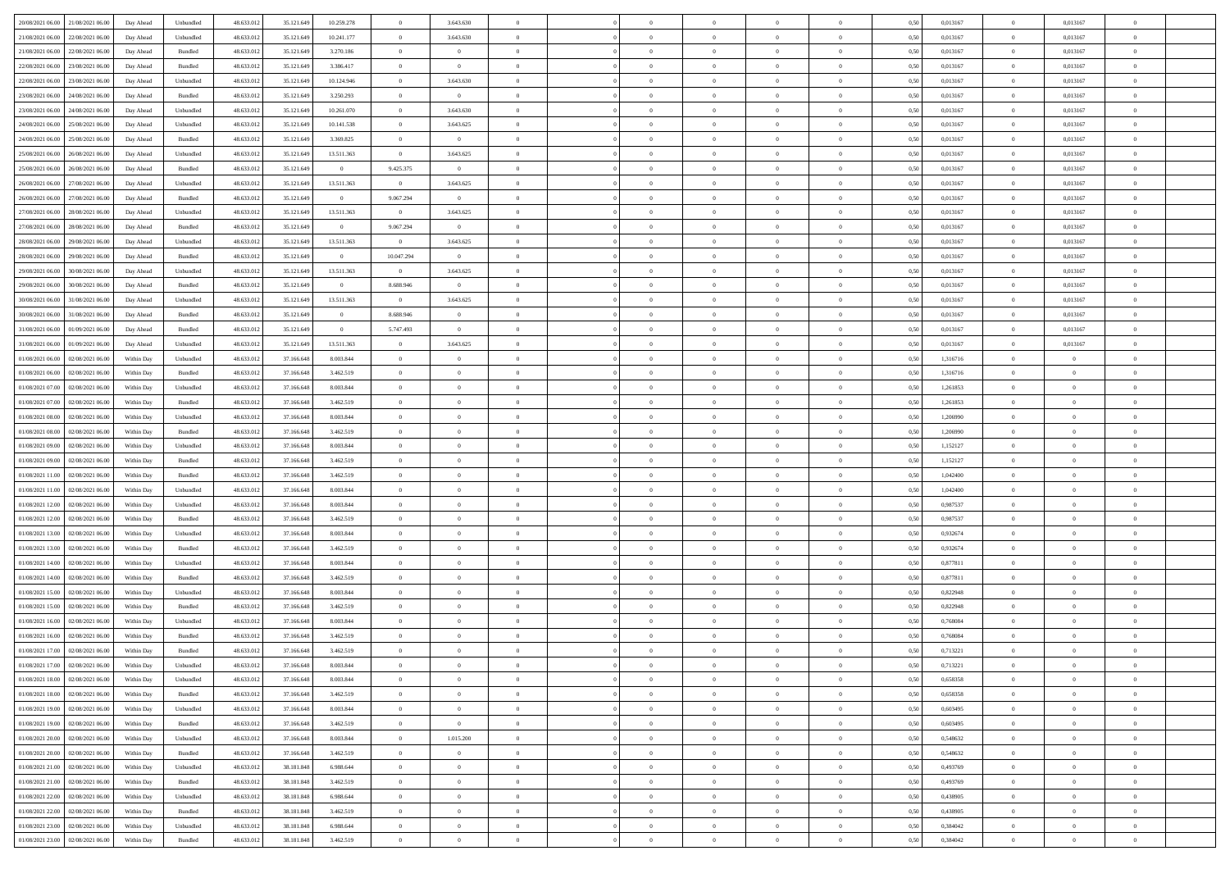| 20/08/2021 06:00 21/08/2021 06:00            | Day Ahead  | Unbundled         | 48.633.01  | 35.121.649   | 10.259.278     | $\overline{0}$ | 3.643.630      |                | $\overline{0}$ | $\theta$       |                | $\theta$       | 0,50 | 0,013167 | $\theta$       | 0,013167       | $\overline{0}$ |  |
|----------------------------------------------|------------|-------------------|------------|--------------|----------------|----------------|----------------|----------------|----------------|----------------|----------------|----------------|------|----------|----------------|----------------|----------------|--|
| 21/08/2021 06:00<br>22/08/2021 06:00         | Day Ahead  | Unbundled         | 48.633.01  | 35.121.649   | 10.241.177     | $\bf{0}$       | 3.643.630      | $\bf{0}$       | $\overline{0}$ | $\overline{0}$ | $\overline{0}$ | $\bf{0}$       | 0,50 | 0,013167 | $\,$ 0 $\,$    | 0,013167       | $\overline{0}$ |  |
| 21/08/2021 06:00<br>22/08/2021 06:00         | Day Ahead  | Bundled           | 48.633.012 | 35.121.649   | 3.270.186      | $\overline{0}$ | $\overline{0}$ | $\overline{0}$ | $\bf{0}$       | $\bf{0}$       | $\overline{0}$ | $\bf{0}$       | 0.50 | 0.013167 | $\overline{0}$ | 0.013167       | $\overline{0}$ |  |
| 22/08/2021 06:00<br>23/08/2021 06:00         | Day Ahead  | Bundled           | 48.633.013 | 35.121.649   | 3.386.417      | $\overline{0}$ | $\overline{0}$ | $\overline{0}$ | $\theta$       | $\theta$       | $\overline{0}$ | $\bf{0}$       | 0,50 | 0,013167 | $\,$ 0 $\,$    | 0,013167       | $\overline{0}$ |  |
| 22/08/2021 06:00<br>23/08/2021 06:00         | Day Ahead  | Unbundled         | 48.633.01  | 35.121.649   | 10.124.946     | $\bf{0}$       | 3.643.630      | $\bf{0}$       | $\overline{0}$ | $\theta$       | $\overline{0}$ | $\bf{0}$       | 0,50 | 0,013167 | $\,$ 0 $\,$    | 0,013167       | $\overline{0}$ |  |
| 23/08/2021 06:00<br>24/08/2021 06:00         | Day Ahead  | Bundled           | 48.633.013 | 35.121.649   | 3.250.293      | $\overline{0}$ | $\overline{0}$ | $\overline{0}$ | $\bf{0}$       | $\overline{0}$ | $\theta$       | $\bf{0}$       | 0.50 | 0.013167 | $\bf{0}$       | 0.013167       | $\overline{0}$ |  |
| 23/08/2021 06:00<br>24/08/2021 06:00         | Day Ahead  | Unbundled         | 48.633.013 | 35.121.649   | 10.261.070     | $\overline{0}$ | 3.643.630      | $\overline{0}$ | $\overline{0}$ | $\overline{0}$ | $\overline{0}$ | $\bf{0}$       | 0,50 | 0,013167 | $\,$ 0 $\,$    | 0,013167       | $\overline{0}$ |  |
| 24/08/2021 06:00<br>25/08/2021 06.00         | Day Ahead  | Unbundled         | 48.633.01  | 35.121.649   | 10.141.538     | $\bf{0}$       | 3.643.625      | $\bf{0}$       | $\overline{0}$ | $\theta$       | $\overline{0}$ | $\bf{0}$       | 0,50 | 0,013167 | $\,$ 0 $\,$    | 0,013167       | $\overline{0}$ |  |
| 24/08/2021 06:00<br>25/08/2021 06:00         | Day Ahead  | Bundled           | 48.633.013 | 35.121.649   | 3.369.825      | $\overline{0}$ | $\overline{0}$ | $\overline{0}$ | $\bf{0}$       | $\overline{0}$ | $\overline{0}$ | $\bf{0}$       | 0.50 | 0.013167 | $\overline{0}$ | 0.013167       | $\overline{0}$ |  |
|                                              |            |                   |            |              |                |                |                | $\overline{0}$ | $\overline{0}$ | $\overline{0}$ | $\overline{0}$ |                |      |          | $\bf{0}$       |                |                |  |
| 25/08/2021 06:00<br>26/08/2021 06:00         | Day Ahead  | Unbundled         | 48.633.013 | 35.121.649   | 13.511.363     | $\overline{0}$ | 3.643.625      |                |                |                |                | $\bf{0}$       | 0,50 | 0,013167 |                | 0,013167       | $\overline{0}$ |  |
| 25/08/2021 06:00<br>26/08/2021 06:00         | Day Ahead  | Bundled           | 48.633.01  | 35.121.649   | $\overline{0}$ | 9.425.375      | $\bf{0}$       | $\bf{0}$       | $\overline{0}$ | $\bf{0}$       | $\overline{0}$ | $\bf{0}$       | 0,50 | 0,013167 | $\,$ 0 $\,$    | 0,013167       | $\overline{0}$ |  |
| 26/08/2021 06:00<br>27/08/2021 06:00         | Day Ahead  | Unbundled         | 48.633.013 | 35.121.649   | 13.511.363     | $\overline{0}$ | 3.643.625      | $\overline{0}$ | $\bf{0}$       | $\bf{0}$       | $\overline{0}$ | $\bf{0}$       | 0.50 | 0.013167 | $\overline{0}$ | 0.013167       | $\overline{0}$ |  |
| 26/08/2021 06:00<br>27/08/2021 06:00         | Day Ahead  | Bundled           | 48.633.01  | 35.121.649   | $\overline{0}$ | 9.067.294      | $\overline{0}$ | $\overline{0}$ | $\theta$       | $\theta$       | $\overline{0}$ | $\overline{0}$ | 0,50 | 0,013167 | $\,$ 0 $\,$    | 0,013167       | $\overline{0}$ |  |
| 27/08/2021 06:00<br>28/08/2021 06:00         | Day Ahead  | Unbundled         | 48.633.01  | 35.121.649   | 13.511.363     | $\bf{0}$       | 3.643.625      | $\bf{0}$       | $\overline{0}$ | $\theta$       | $\overline{0}$ | $\bf{0}$       | 0,50 | 0,013167 | $\,$ 0 $\,$    | 0,013167       | $\overline{0}$ |  |
| 27/08/2021 06:00<br>28/08/2021 06:00         | Day Ahead  | Bundled           | 48.633.013 | 35.121.649   | $\overline{0}$ | 9.067.294      | $\overline{0}$ | $\overline{0}$ | $\bf{0}$       | $\overline{0}$ | $\theta$       | $\bf{0}$       | 0.50 | 0.013167 | $\bf{0}$       | 0.013167       | $\overline{0}$ |  |
| 28/08/2021 06:00<br>29/08/2021 06:00         | Day Ahead  | Unbundled         | 48.633.013 | 35.121.649   | 13.511.363     | $\overline{0}$ | 3.643.625      | $\overline{0}$ | $\overline{0}$ | $\overline{0}$ | $\overline{0}$ | $\bf{0}$       | 0,50 | 0,013167 | $\bf{0}$       | 0,013167       | $\overline{0}$ |  |
| 28/08/2021 06:00<br>29/08/2021 06.00         | Day Ahead  | Bundled           | 48.633.01  | 35.121.649   | $\overline{0}$ | 10.047.294     | $\bf{0}$       | $\bf{0}$       | $\overline{0}$ | $\bf{0}$       | $\overline{0}$ | $\bf{0}$       | 0,50 | 0,013167 | $\,$ 0 $\,$    | 0,013167       | $\overline{0}$ |  |
| 29/08/2021 06:00<br>30/08/2021 06:00         | Day Ahead  | Unbundled         | 48.633.013 | 35.121.649   | 13.511.363     | $\overline{0}$ | 3.643.625      | $\overline{0}$ | $\bf{0}$       | $\overline{0}$ | $\overline{0}$ | $\bf{0}$       | 0.50 | 0.013167 | $\overline{0}$ | 0.013167       | $\overline{0}$ |  |
| 29/08/2021 06:00<br>30/08/2021 06:00         | Day Ahead  | Bundled           | 48.633.013 | 35.121.649   | $\overline{0}$ | 8.688.946      | $\overline{0}$ | $\overline{0}$ | $\overline{0}$ | $\overline{0}$ | $\overline{0}$ | $\bf{0}$       | 0,50 | 0,013167 | $\,$ 0 $\,$    | 0,013167       | $\overline{0}$ |  |
| 30/08/2021 06:00<br>31/08/2021 06:00         | Day Ahead  | Unbundled         | 48.633.01  | 35.121.649   | 13.511.363     | $\bf{0}$       | 3.643.625      | $\bf{0}$       | $\bf{0}$       | $\overline{0}$ | $\overline{0}$ | $\bf{0}$       | 0,50 | 0,013167 | $\,$ 0 $\,$    | 0,013167       | $\overline{0}$ |  |
| 30/08/2021 06:00<br>31/08/2021 06:00         | Day Ahead  | Bundled           | 48.633.013 | 35.121.649   | $\overline{0}$ | 8.688.946      | $\overline{0}$ | $\overline{0}$ | $\overline{0}$ | $\bf{0}$       | $\overline{0}$ | $\bf{0}$       | 0.50 | 0.013167 | $\overline{0}$ | 0.013167       | $\overline{0}$ |  |
| 31/08/2021 06:00<br>01/09/2021 06:00         |            |                   | 48.633.01  |              | $\overline{0}$ | 5.747.493      |                | $\overline{0}$ | $\theta$       | $\theta$       | $\overline{0}$ |                |      | 0,013167 | $\,$ 0 $\,$    | 0,013167       | $\overline{0}$ |  |
|                                              | Day Ahead  | Bundled           |            | 35.121.649   |                |                | $\overline{0}$ |                |                |                |                | $\bf{0}$       | 0,50 |          |                |                |                |  |
| 31/08/2021 06:00<br>01/09/2021 06.00         | Day Ahead  | Unbundled         | 48.633.01  | 35.121.649   | 13.511.363     | $\overline{0}$ | 3.643.625      | $\bf{0}$       | $\overline{0}$ | $\bf{0}$       | $\overline{0}$ | $\bf{0}$       | 0,50 | 0,013167 | $\,$ 0 $\,$    | 0,013167       | $\overline{0}$ |  |
| 01/08/2021 06:00<br>02/08/2021 06:00         | Within Day | Unbundled         | 48.633.013 | 37.166.648   | 8,003,844      | $\overline{0}$ | $\overline{0}$ | $\overline{0}$ | $\overline{0}$ | $\overline{0}$ | $\theta$       | $\bf{0}$       | 0.50 | 1.316716 | $\bf{0}$       | $\overline{0}$ | $\overline{0}$ |  |
| 01/08/2021 06:00<br>02/08/2021 06:00         | Within Day | Bundled           | 48.633.013 | 37.166.648   | 3.462.519      | $\overline{0}$ | $\overline{0}$ | $\overline{0}$ | $\overline{0}$ | $\theta$       | $\overline{0}$ | $\bf{0}$       | 0,50 | 1,316716 | $\theta$       | $\theta$       | $\overline{0}$ |  |
| 01/08/2021 07:00<br>02/08/2021 06:00         | Within Day | Unbundled         | 48.633.01  | 37.166.648   | 8.003.844      | $\bf{0}$       | $\overline{0}$ | $\bf{0}$       | $\overline{0}$ | $\theta$       | $\overline{0}$ | $\bf{0}$       | 0,50 | 1,261853 | $\,$ 0 $\,$    | $\bf{0}$       | $\overline{0}$ |  |
| 01/08/2021 07:00<br>02/08/2021 06:00         | Within Day | Bundled           | 48.633.013 | 37.166.648   | 3.462.519      | $\overline{0}$ | $\bf{0}$       | $\overline{0}$ | $\bf{0}$       | $\overline{0}$ | $\overline{0}$ | $\bf{0}$       | 0.50 | 1.261853 | $\bf{0}$       | $\overline{0}$ | $\overline{0}$ |  |
| 01/08/2021 08:00<br>02/08/2021 06:00         | Within Day | Unbundled         | 48.633.013 | 37.166.648   | 8.003.844      | $\overline{0}$ | $\overline{0}$ | $\overline{0}$ | $\overline{0}$ | $\overline{0}$ | $\overline{0}$ | $\bf{0}$       | 0,50 | 1,206990 | $\theta$       | $\theta$       | $\overline{0}$ |  |
| 01/08/2021 08:00<br>02/08/2021 06.00         | Within Day | Bundled           | 48.633.01  | 37.166.648   | 3.462.519      | $\bf{0}$       | $\bf{0}$       | $\bf{0}$       | $\bf{0}$       | $\overline{0}$ | $\overline{0}$ | $\bf{0}$       | 0,50 | 1,206990 | $\,$ 0 $\,$    | $\bf{0}$       | $\overline{0}$ |  |
| 01/08/2021 09:00<br>02/08/2021 06:00         | Within Day | Unbundled         | 48.633.013 | 37.166.648   | 8.003.844      | $\overline{0}$ | $\bf{0}$       | $\overline{0}$ | $\bf{0}$       | $\bf{0}$       | $\overline{0}$ | $\bf{0}$       | 0.50 | 1,152127 | $\bf{0}$       | $\overline{0}$ | $\,$ 0         |  |
| 01/08/2021 09:00<br>02/08/2021 06:00         | Within Day | Bundled           | 48.633.013 | 37.166.648   | 3.462.519      | $\overline{0}$ | $\overline{0}$ | $\overline{0}$ | $\overline{0}$ | $\overline{0}$ | $\overline{0}$ | $\bf{0}$       | 0.5( | 1,152127 | $\theta$       | $\theta$       | $\overline{0}$ |  |
| 01/08/2021 11:00<br>02/08/2021 06.00         | Within Day | Bundled           | 48.633.01  | 37.166.648   | 3.462.519      | $\bf{0}$       | $\overline{0}$ | $\bf{0}$       | $\overline{0}$ | $\overline{0}$ | $\overline{0}$ | $\bf{0}$       | 0,50 | 1,042400 | $\,$ 0 $\,$    | $\bf{0}$       | $\overline{0}$ |  |
| 01/08/2021 11:00<br>02/08/2021 06:00         | Within Day | Unbundled         | 48.633.013 | 37.166.648   | 8,003,844      | $\overline{0}$ | $\bf{0}$       | $\overline{0}$ | $\bf{0}$       | $\overline{0}$ | $\Omega$       | $\bf{0}$       | 0.50 | 1.042400 | $\,$ 0 $\,$    | $\theta$       | $\overline{0}$ |  |
| 01/08/2021 12:00<br>02/08/2021 06:00         | Within Dav | Unbundled         | 48.633.013 | 37.166.648   | 8.003.844      | $\overline{0}$ | $\overline{0}$ | $\overline{0}$ | $\overline{0}$ | $\overline{0}$ | $\overline{0}$ | $\bf{0}$       | 0.50 | 0,987537 | $\theta$       | $\theta$       | $\overline{0}$ |  |
| 02/08/2021 06:00                             | Within Day | Bundled           | 48.633.01  | 37.166.648   | 3.462.519      | $\bf{0}$       | $\bf{0}$       | $\bf{0}$       | $\overline{0}$ | $\bf{0}$       | $\overline{0}$ | $\bf{0}$       | 0,50 | 0,987537 | $\,$ 0 $\,$    | $\bf{0}$       | $\overline{0}$ |  |
| 01/08/2021 12:00                             |            |                   |            |              |                |                |                |                |                |                |                |                |      |          |                |                |                |  |
| 01/08/2021 13:00<br>02/08/2021 06:00         | Within Day | Unbundled         | 48.633.013 | 37.166.648   | 8,003,844      | $\overline{0}$ | $\bf{0}$       | $\overline{0}$ | $\bf{0}$       | $\overline{0}$ | $\overline{0}$ | $\bf{0}$       | 0.50 | 0.932674 | $\bf{0}$       | $\overline{0}$ | $\overline{0}$ |  |
| 01/08/2021 13:00<br>02/08/2021 06:00         | Within Day | Bundled           | 48.633.013 | 37.166.648   | 3.462.519      | $\overline{0}$ | $\overline{0}$ | $\overline{0}$ | $\overline{0}$ | $\overline{0}$ | $\overline{0}$ | $\bf{0}$       | 0.50 | 0,932674 | $\theta$       | $\theta$       | $\overline{0}$ |  |
| 01/08/2021 14:00<br>02/08/2021 06.00         | Within Day | Unbundled         | 48.633.01  | 37.166.648   | 8.003.844      | $\bf{0}$       | $\bf{0}$       | $\bf{0}$       | $\bf{0}$       | $\overline{0}$ | $\overline{0}$ | $\bf{0}$       | 0,50 | 0,877811 | $\,$ 0 $\,$    | $\bf{0}$       | $\overline{0}$ |  |
| 01/08/2021 14:00<br>02/08/2021 06:00         | Within Day | Bundled           | 48.633.013 | 37.166.648   | 3.462.519      | $\overline{0}$ | $\bf{0}$       | $\overline{0}$ | $\overline{0}$ | $\bf{0}$       | $\overline{0}$ | $\bf{0}$       | 0.50 | 0.877811 | $\,$ 0 $\,$    | $\overline{0}$ | $\,$ 0         |  |
| 01/08/2021 15:00<br>02/08/2021 06:00         | Within Day | Unbundled         | 48.633.013 | 37.166.648   | 8.003.844      | $\overline{0}$ | $\overline{0}$ | $\overline{0}$ | $\overline{0}$ | $\overline{0}$ | $\overline{0}$ | $\bf{0}$       | 0.5( | 0,822948 | $\theta$       | $\theta$       | $\overline{0}$ |  |
| 01/08/2021 15:00<br>02/08/2021 06.00         | Within Day | Bundled           | 48.633.01  | 37.166.648   | 3.462.519      | $\bf{0}$       | $\bf{0}$       | $\bf{0}$       | $\bf{0}$       | $\overline{0}$ | $\overline{0}$ | $\bf{0}$       | 0,50 | 0,822948 | $\,$ 0 $\,$    | $\bf{0}$       | $\overline{0}$ |  |
| 01/08/2021 16:00<br>02/08/2021 06:00         | Within Day | Unbundled         | 48.633.013 | 37.166.648   | 8.003.844      | $\overline{0}$ | $\overline{0}$ | $\overline{0}$ | $\bf{0}$       | $\overline{0}$ | $\Omega$       | $\bf{0}$       | 0.50 | 0.768084 | $\bf{0}$       | $\theta$       | $\overline{0}$ |  |
| 01/08/2021 16:00<br>02/08/2021 06:00         | Within Dav | Bundled           | 48.633.013 | 37.166.648   | 3.462.519      | $\overline{0}$ | $\overline{0}$ | $\Omega$       | $\overline{0}$ | $\theta$       | $\Omega$       | $\overline{0}$ | 0.5( | 0,768084 | $\theta$       | $\theta$       | $\overline{0}$ |  |
| 01/08/2021 17:00<br>02/08/2021 06:00         | Within Day | Bundled           | 48.633.01  | 37.166.648   | 3.462.519      | $\bf{0}$       | $\bf{0}$       | $\overline{0}$ | $\bf{0}$       | $\bf{0}$       | $\overline{0}$ | $\bf{0}$       | 0,50 | 0,713221 | $\,$ 0 $\,$    | $\bf{0}$       | $\overline{0}$ |  |
| $01/08/2021\ 17.00 \qquad 02/08/2021\ 06.00$ | Within Day | ${\sf Unbundred}$ | 48.633.012 | 37.166.648   | 8,003,844      | $\bf{0}$       | $\Omega$       |                | $\Omega$       |                |                |                | 0,50 | 0,713221 | $\bf{0}$       | $\overline{0}$ |                |  |
| 01/08/2021 18:00 02/08/2021 06:00            | Within Day | Unbundled         | 48.633.012 | 37.166.648   | 8.003.844      | $\overline{0}$ | $\overline{0}$ | $\Omega$       | $\theta$       | $\overline{0}$ | $\overline{0}$ | $\bf{0}$       | 0,50 | 0,658358 | $\theta$       | $\theta$       | $\overline{0}$ |  |
| 01/08/2021 18:00<br>02/08/2021 06:00         | Within Day | Bundled           | 48.633.013 | 37.166.648   | 3.462.519      | $\overline{0}$ | $\bf{0}$       | $\overline{0}$ | $\overline{0}$ | $\bf{0}$       | $\overline{0}$ | $\bf{0}$       | 0,50 | 0,658358 | $\bf{0}$       | $\overline{0}$ | $\bf{0}$       |  |
| 01/08/2021 19:00 02/08/2021 06:00            | Within Day | Unbundled         | 48.633.012 | 37.166.648   | 8.003.844      | $\overline{0}$ | $\overline{0}$ | $\overline{0}$ | $\overline{0}$ | $\mathbf{0}$   | $\overline{0}$ | $\,$ 0 $\,$    | 0.50 | 0.603495 | $\overline{0}$ | $\bf{0}$       | $\,$ 0 $\,$    |  |
|                                              |            |                   |            |              |                |                |                |                |                |                |                |                |      |          |                |                |                |  |
| 01/08/2021 19:00 02/08/2021 06:00            | Within Dav | Bundled           | 48.633.012 | 37.166.648   | 3.462.519      | $\overline{0}$ | $\overline{0}$ | $\overline{0}$ | $\overline{0}$ | $\overline{0}$ | $\overline{0}$ | $\bf{0}$       | 0,50 | 0,603495 | $\theta$       | $\theta$       | $\overline{0}$ |  |
| 01/08/2021 20:00<br>02/08/2021 06:00         | Within Day | Unbundled         | 48.633.012 | 37.166.648   | 8.003.844      | $\overline{0}$ | 1.015.200      | $\overline{0}$ | $\overline{0}$ | $\overline{0}$ | $\overline{0}$ | $\bf{0}$       | 0,50 | 0,548632 | $\bf{0}$       | $\overline{0}$ | $\overline{0}$ |  |
| 01/08/2021 20:00 02/08/2021 06:00            | Within Day | Bundled           | 48.633.012 | 37.166.648   | 3.462.519      | $\overline{0}$ | $\bf{0}$       | $\overline{0}$ | $\overline{0}$ | $\bf{0}$       | $\overline{0}$ | $\bf{0}$       | 0.50 | 0.548632 | $\,$ 0 $\,$    | $\overline{0}$ | $\,$ 0         |  |
| 01/08/2021 21:00 02/08/2021 06:00            | Within Dav | Unbundled         | 48.633.012 | 38.181.848   | 6.988.644      | $\overline{0}$ | $\overline{0}$ | $\overline{0}$ | $\overline{0}$ | $\overline{0}$ | $\overline{0}$ | $\bf{0}$       | 0.50 | 0,493769 | $\overline{0}$ | $\theta$       | $\overline{0}$ |  |
| 01/08/2021 21:00<br>02/08/2021 06:00         | Within Day | Bundled           | 48.633.013 | 38.181.848   | 3.462.519      | $\overline{0}$ | $\overline{0}$ | $\overline{0}$ | $\overline{0}$ | $\overline{0}$ | $\overline{0}$ | $\bf{0}$       | 0,50 | 0,493769 | $\bf{0}$       | $\overline{0}$ | $\overline{0}$ |  |
| 01/08/2021 22:00 02/08/2021 06:00            | Within Day | Unbundled         | 48.633.012 | 38, 181, 848 | 6.988.644      | $\overline{0}$ | $\overline{0}$ | $\overline{0}$ | $\overline{0}$ | $\overline{0}$ | $\overline{0}$ | $\bf{0}$       | 0.50 | 0.438905 | $\mathbf{0}$   | $\bf{0}$       | $\,$ 0         |  |
| 01/08/2021 22:00 02/08/2021 06:00            | Within Dav | Bundled           | 48.633.012 | 38.181.848   | 3.462.519      | $\overline{0}$ | $\overline{0}$ | $\overline{0}$ | $\overline{0}$ | $\overline{0}$ | $\overline{0}$ | $\bf{0}$       | 0,50 | 0,438905 | $\overline{0}$ | $\theta$       | $\overline{0}$ |  |
| 01/08/2021 23:00<br>02/08/2021 06:00         | Within Day | Unbundled         | 48.633.013 | 38.181.848   | 6.988.644      | $\overline{0}$ | $\bf{0}$       | $\overline{0}$ | $\bf{0}$       | $\overline{0}$ | $\overline{0}$ | $\bf{0}$       | 0,50 | 0,384042 | $\bf{0}$       | $\bf{0}$       | $\overline{0}$ |  |
| 01/08/2021 23:00 02/08/2021 06:00            | Within Day | Bundled           | 48.633.012 | 38.181.848   | 3.462.519      | $\overline{0}$ | $\bf{0}$       | $\overline{0}$ | $\overline{0}$ | $\,$ 0 $\,$    | $\overline{0}$ | $\bf{0}$       | 0,50 | 0,384042 | $\overline{0}$ | $\,$ 0 $\,$    | $\,$ 0 $\,$    |  |
|                                              |            |                   |            |              |                |                |                |                |                |                |                |                |      |          |                |                |                |  |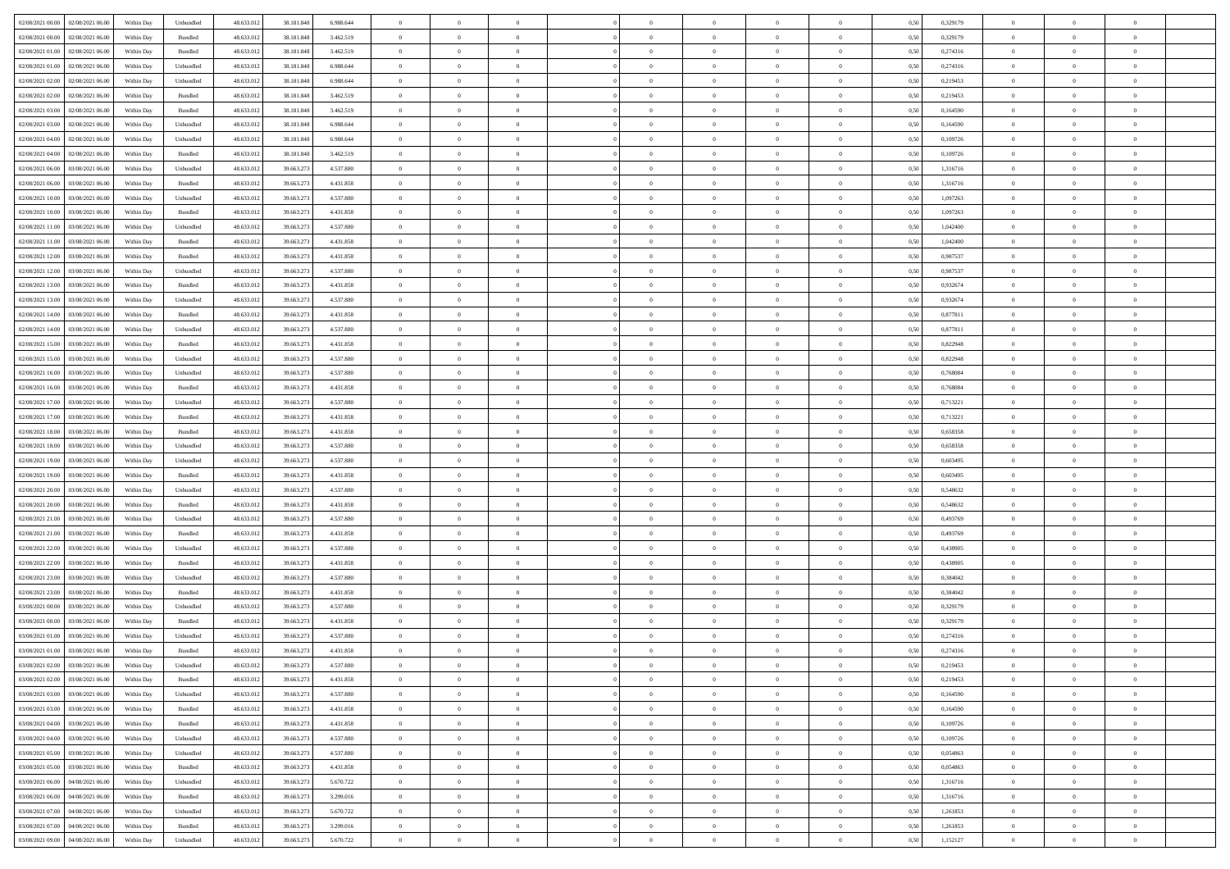| 02/08/2021 00:00 02/08/2021 06:00    | Within Day | Unbundled                   | 48.633.01  | 38.181.848 | 6.988.644 | $\overline{0}$ | $\overline{0}$ |                | $\overline{0}$ | $\theta$       |                | $\theta$       | 0,50 | 0,329179 | $\theta$       | $\theta$       | $\overline{0}$ |  |
|--------------------------------------|------------|-----------------------------|------------|------------|-----------|----------------|----------------|----------------|----------------|----------------|----------------|----------------|------|----------|----------------|----------------|----------------|--|
| 02/08/2021 00:00<br>02/08/2021 06:00 | Within Day | Bundled                     | 48.633.01  | 38.181.848 | 3.462.519 | $\bf{0}$       | $\bf{0}$       | $\bf{0}$       | $\overline{0}$ | $\overline{0}$ | $\overline{0}$ | $\bf{0}$       | 0,50 | 0,329179 | $\,$ 0 $\,$    | $\bf{0}$       | $\overline{0}$ |  |
| 02/08/2021 01:00<br>02/08/2021 06:00 | Within Day | Bundled                     | 48.633.013 | 38.181.848 | 3.462.519 | $\overline{0}$ | $\bf{0}$       | $\overline{0}$ | $\bf{0}$       | $\bf{0}$       | $\overline{0}$ | $\bf{0}$       | 0.50 | 0,274316 | $\bf{0}$       | $\overline{0}$ | $\overline{0}$ |  |
| 02/08/2021 01:00<br>02/08/2021 06:00 | Within Day | Unbundled                   | 48.633.013 | 38.181.848 | 6.988.644 | $\overline{0}$ | $\bf{0}$       | $\overline{0}$ | $\theta$       | $\theta$       | $\overline{0}$ | $\bf{0}$       | 0,50 | 0,274316 | $\theta$       | $\theta$       | $\overline{0}$ |  |
| 02/08/2021 02:00<br>02/08/2021 06.00 | Within Day | Unbundled                   | 48.633.01  | 38.181.848 | 6.988.644 | $\overline{0}$ | $\overline{0}$ | $\bf{0}$       | $\overline{0}$ | $\theta$       | $\overline{0}$ | $\bf{0}$       | 0,50 | 0,219453 | $\,$ 0 $\,$    | $\bf{0}$       | $\overline{0}$ |  |
|                                      |            |                             |            |            |           |                |                |                |                |                | $\theta$       |                |      |          |                |                |                |  |
| 02/08/2021 02:00<br>02/08/2021 06:00 | Within Day | Bundled                     | 48.633.013 | 38,181,848 | 3.462.519 | $\overline{0}$ | $\overline{0}$ | $\overline{0}$ | $\bf{0}$       | $\overline{0}$ |                | $\bf{0}$       | 0.50 | 0,219453 | $\,$ 0 $\,$    | $\theta$       | $\overline{0}$ |  |
| 02/08/2021 03:00<br>02/08/2021 06:00 | Within Day | Bundled                     | 48.633.013 | 38.181.848 | 3.462.519 | $\overline{0}$ | $\overline{0}$ | $\overline{0}$ | $\overline{0}$ | $\overline{0}$ | $\overline{0}$ | $\bf{0}$       | 0,50 | 0,164590 | $\theta$       | $\theta$       | $\overline{0}$ |  |
| 02/08/2021 03:00<br>02/08/2021 06.00 | Within Day | Unbundled                   | 48.633.01  | 38.181.848 | 6.988.644 | $\overline{0}$ | $\overline{0}$ | $\bf{0}$       | $\overline{0}$ | $\theta$       | $\overline{0}$ | $\bf{0}$       | 0,50 | 0,164590 | $\,$ 0 $\,$    | $\bf{0}$       | $\overline{0}$ |  |
| 02/08/2021 04:00<br>02/08/2021 06:00 | Within Day | Unbundled                   | 48.633.013 | 38,181,848 | 6.988.644 | $\overline{0}$ | $\bf{0}$       | $\overline{0}$ | $\bf{0}$       | $\overline{0}$ | $\overline{0}$ | $\bf{0}$       | 0.50 | 0.109726 | $\bf{0}$       | $\overline{0}$ | $\overline{0}$ |  |
| 02/08/2021 04:00<br>02/08/2021 06:00 | Within Day | Bundled                     | 48.633.012 | 38.181.848 | 3.462.519 | $\overline{0}$ | $\bf{0}$       | $\overline{0}$ | $\overline{0}$ | $\overline{0}$ | $\overline{0}$ | $\bf{0}$       | 0,50 | 0,109726 | $\,$ 0 $\,$    | $\bf{0}$       | $\overline{0}$ |  |
| 02/08/2021 06:00<br>03/08/2021 06:00 | Within Day | Unbundled                   | 48.633.01  | 39.663.27  | 4.537.880 | $\bf{0}$       | $\overline{0}$ | $\bf{0}$       | $\bf{0}$       | $\bf{0}$       | $\overline{0}$ | $\bf{0}$       | 0,50 | 1,316716 | $\,$ 0 $\,$    | $\bf{0}$       | $\overline{0}$ |  |
| 02/08/2021 06:00<br>03/08/2021 06:00 | Within Day | Bundled                     | 48.633.013 | 39.663.273 | 4.431.858 | $\overline{0}$ | $\bf{0}$       | $\overline{0}$ | $\bf{0}$       | $\bf{0}$       | $\overline{0}$ | $\bf{0}$       | 0.50 | 1.316716 | $\bf{0}$       | $\overline{0}$ | $\overline{0}$ |  |
| 02/08/2021 10:00<br>03/08/2021 06:00 | Within Day | Unbundled                   | 48.633.01  | 39.663.273 | 4.537.880 | $\overline{0}$ | $\overline{0}$ | $\overline{0}$ | $\theta$       | $\theta$       | $\overline{0}$ | $\bf{0}$       | 0,50 | 1,097263 | $\,$ 0 $\,$    | $\theta$       | $\overline{0}$ |  |
|                                      |            |                             |            |            |           |                |                |                |                |                |                |                |      |          |                |                |                |  |
| 02/08/2021 10:00<br>03/08/2021 06:00 | Within Day | Bundled                     | 48.633.01  | 39.663.27  | 4.431.858 | $\bf{0}$       | $\overline{0}$ | $\bf{0}$       | $\overline{0}$ | $\theta$       | $\overline{0}$ | $\bf{0}$       | 0,50 | 1,097263 | $\,$ 0 $\,$    | $\bf{0}$       | $\overline{0}$ |  |
| 02/08/2021 11:00<br>03/08/2021 06:00 | Within Day | Unbundled                   | 48.633.013 | 39.663.273 | 4.537.880 | $\overline{0}$ | $\overline{0}$ | $\overline{0}$ | $\bf{0}$       | $\overline{0}$ | $\Omega$       | $\bf{0}$       | 0.50 | 1.042400 | $\,$ 0 $\,$    | $\theta$       | $\overline{0}$ |  |
| 02/08/2021 11:00<br>03/08/2021 06:00 | Within Day | Bundled                     | 48.633.01  | 39.663.273 | 4.431.858 | $\overline{0}$ | $\overline{0}$ | $\overline{0}$ | $\overline{0}$ | $\theta$       | $\overline{0}$ | $\bf{0}$       | 0,50 | 1,042400 | $\theta$       | $\theta$       | $\overline{0}$ |  |
| 02/08/2021 12:00<br>03/08/2021 06:00 | Within Day | Bundled                     | 48.633.01  | 39.663.27  | 4.431.858 | $\bf{0}$       | $\overline{0}$ | $\bf{0}$       | $\overline{0}$ | $\theta$       | $\overline{0}$ | $\bf{0}$       | 0,50 | 0,987537 | $\,$ 0 $\,$    | $\bf{0}$       | $\overline{0}$ |  |
| 02/08/2021 12:00<br>03/08/2021 06:00 | Within Day | Unbundled                   | 48.633.013 | 39.663.27  | 4.537.880 | $\overline{0}$ | $\bf{0}$       | $\overline{0}$ | $\bf{0}$       | $\overline{0}$ | $\overline{0}$ | $\bf{0}$       | 0.50 | 0.987537 | $\bf{0}$       | $\overline{0}$ | $\overline{0}$ |  |
| 02/08/2021 13:00<br>03/08/2021 06:00 | Within Day | Bundled                     | 48.633.013 | 39.663.273 | 4.431.858 | $\bf{0}$       | $\bf{0}$       | $\overline{0}$ | $\overline{0}$ | $\overline{0}$ | $\overline{0}$ | $\bf{0}$       | 0,50 | 0,932674 | $\,$ 0 $\,$    | $\bf{0}$       | $\overline{0}$ |  |
| 02/08/2021 13:00<br>03/08/2021 06:00 | Within Day | Unbundled                   | 48.633.01  | 39.663.27  | 4.537.880 | $\bf{0}$       | $\bf{0}$       | $\bf{0}$       | $\bf{0}$       | $\overline{0}$ | $\overline{0}$ | $\bf{0}$       | 0,50 | 0,932674 | $\,$ 0 $\,$    | $\bf{0}$       | $\overline{0}$ |  |
|                                      |            |                             |            |            |           |                |                |                |                |                |                |                |      |          |                |                |                |  |
| 02/08/2021 14:00<br>03/08/2021 06:00 | Within Day | Bundled                     | 48.633.012 | 39.663.273 | 4.431.858 | $\overline{0}$ | $\bf{0}$       | $\overline{0}$ | $\bf{0}$       | $\bf{0}$       | $\overline{0}$ | $\bf{0}$       | 0.50 | 0.877811 | $\bf{0}$       | $\overline{0}$ | $\overline{0}$ |  |
| 02/08/2021 14:00<br>03/08/2021 06:00 | Within Day | Unbundled                   | 48.633.01  | 39.663.273 | 4.537.880 | $\overline{0}$ | $\overline{0}$ | $\overline{0}$ | $\theta$       | $\theta$       | $\overline{0}$ | $\bf{0}$       | 0,50 | 0,877811 | $\theta$       | $\theta$       | $\overline{0}$ |  |
| 02/08/2021 15:00<br>03/08/2021 06:00 | Within Day | Bundled                     | 48.633.01  | 39.663.27  | 4.431.858 | $\bf{0}$       | $\overline{0}$ | $\bf{0}$       | $\bf{0}$       | $\theta$       | $\overline{0}$ | $\bf{0}$       | 0,50 | 0,822948 | $\,$ 0 $\,$    | $\bf{0}$       | $\overline{0}$ |  |
| 02/08/2021 15:00<br>03/08/2021 06:00 | Within Day | Unbundled                   | 48.633.013 | 39.663.27  | 4.537.880 | $\overline{0}$ | $\overline{0}$ | $\overline{0}$ | $\bf{0}$       | $\overline{0}$ | $\Omega$       | $\bf{0}$       | 0.50 | 0.822948 | $\,$ 0 $\,$    | $\theta$       | $\overline{0}$ |  |
| 02/08/2021 16:00<br>03/08/2021 06:00 | Within Day | Unbundled                   | 48.633.013 | 39.663.273 | 4.537.880 | $\overline{0}$ | $\overline{0}$ | $\overline{0}$ | $\overline{0}$ | $\theta$       | $\overline{0}$ | $\bf{0}$       | 0,50 | 0,768084 | $\,$ 0 $\,$    | $\theta$       | $\overline{0}$ |  |
| 02/08/2021 16:00<br>03/08/2021 06:00 | Within Day | Bundled                     | 48.633.01  | 39.663.27  | 4.431.858 | $\bf{0}$       | $\overline{0}$ | $\bf{0}$       | $\overline{0}$ | $\theta$       | $\overline{0}$ | $\bf{0}$       | 0,50 | 0,768084 | $\,$ 0 $\,$    | $\bf{0}$       | $\overline{0}$ |  |
| 02/08/2021 17:00<br>03/08/2021 06:00 | Within Day | Unbundled                   | 48.633.013 | 39.663.27  | 4.537.880 | $\overline{0}$ | $\bf{0}$       | $\overline{0}$ | $\bf{0}$       | $\overline{0}$ | $\overline{0}$ | $\bf{0}$       | 0.50 | 0.713221 | $\bf{0}$       | $\overline{0}$ | $\overline{0}$ |  |
| 02/08/2021 17:00<br>03/08/2021 06:00 | Within Day | Bundled                     | 48.633.01  | 39.663.273 | 4.431.858 | $\overline{0}$ | $\bf{0}$       | $\overline{0}$ | $\overline{0}$ | $\overline{0}$ | $\overline{0}$ | $\bf{0}$       | 0,50 | 0,713221 | $\,$ 0 $\,$    | $\theta$       | $\overline{0}$ |  |
|                                      |            |                             |            |            |           |                |                |                |                |                |                |                |      |          |                |                |                |  |
| 02/08/2021 18:00<br>03/08/2021 06:00 | Within Day | Bundled                     | 48.633.01  | 39.663.27  | 4.431.858 | $\bf{0}$       | $\bf{0}$       | $\bf{0}$       | $\bf{0}$       | $\overline{0}$ | $\overline{0}$ | $\bf{0}$       | 0,50 | 0,658358 | $\,$ 0 $\,$    | $\bf{0}$       | $\overline{0}$ |  |
| 02/08/2021 18:00<br>03/08/2021 06:00 | Within Day | Unbundled                   | 48.633.013 | 39.663.27  | 4.537.880 | $\overline{0}$ | $\bf{0}$       | $\overline{0}$ | $\bf{0}$       | $\bf{0}$       | $\overline{0}$ | $\bf{0}$       | 0.50 | 0.658358 | $\bf{0}$       | $\overline{0}$ | $\overline{0}$ |  |
| 02/08/2021 19:00<br>03/08/2021 06:00 | Within Day | Unbundled                   | 48.633.013 | 39.663.27  | 4.537.880 | $\overline{0}$ | $\overline{0}$ | $\overline{0}$ | $\overline{0}$ | $\overline{0}$ | $\overline{0}$ | $\bf{0}$       | 0.50 | 0.603495 | $\theta$       | $\theta$       | $\overline{0}$ |  |
| 02/08/2021 19:00<br>03/08/2021 06:00 | Within Day | Bundled                     | 48.633.01  | 39.663.27  | 4.431.858 | $\bf{0}$       | $\overline{0}$ | $\bf{0}$       | $\bf{0}$       | $\overline{0}$ | $\overline{0}$ | $\bf{0}$       | 0,50 | 0,603495 | $\,$ 0 $\,$    | $\bf{0}$       | $\overline{0}$ |  |
| 02/08/2021 20:00<br>03/08/2021 06:00 | Within Day | Unbundled                   | 48.633.013 | 39.663.273 | 4.537.880 | $\overline{0}$ | $\bf{0}$       | $\overline{0}$ | $\bf{0}$       | $\overline{0}$ | $\Omega$       | $\bf{0}$       | 0.50 | 0.548632 | $\,$ 0 $\,$    | $\theta$       | $\overline{0}$ |  |
| 02/08/2021 20:00<br>03/08/2021 06:00 | Within Dav | Bundled                     | 48.633.013 | 39.663.273 | 4.431.858 | $\overline{0}$ | $\overline{0}$ | $\overline{0}$ | $\overline{0}$ | $\theta$       | $\overline{0}$ | $\bf{0}$       | 0.50 | 0,548632 | $\theta$       | $\theta$       | $\overline{0}$ |  |
| 02/08/2021 21:00<br>03/08/2021 06:00 | Within Day | Unbundled                   | 48.633.01  | 39.663.27  | 4.537.880 | $\bf{0}$       | $\bf{0}$       | $\bf{0}$       | $\bf{0}$       | $\bf{0}$       | $\overline{0}$ | $\bf{0}$       | 0,50 | 0,493769 | $\,$ 0 $\,$    | $\bf{0}$       | $\overline{0}$ |  |
| 02/08/2021 21:00<br>03/08/2021 06:00 | Within Day | Bundled                     | 48.633.013 | 39,663.27  | 4.431.858 | $\overline{0}$ | $\bf{0}$       | $\overline{0}$ | $\bf{0}$       | $\overline{0}$ | $\overline{0}$ | $\bf{0}$       | 0.50 | 0.493769 | $\bf{0}$       | $\overline{0}$ | $\overline{0}$ |  |
| 02/08/2021 22:00<br>03/08/2021 06:00 | Within Day | Unbundled                   | 48.633.013 | 39.663.27  | 4.537.880 | $\overline{0}$ | $\overline{0}$ | $\overline{0}$ | $\overline{0}$ | $\overline{0}$ | $\overline{0}$ | $\overline{0}$ | 0.50 | 0,438905 | $\theta$       | $\theta$       | $\overline{0}$ |  |
|                                      |            |                             |            |            |           |                |                |                |                |                |                |                |      |          |                |                |                |  |
| 02/08/2021 22:00<br>03/08/2021 06:00 | Within Day | Bundled                     | 48.633.01  | 39.663.27  | 4.431.858 | $\bf{0}$       | $\bf{0}$       | $\bf{0}$       | $\bf{0}$       | $\overline{0}$ | $\overline{0}$ | $\bf{0}$       | 0,50 | 0,438905 | $\,$ 0 $\,$    | $\bf{0}$       | $\overline{0}$ |  |
| 02/08/2021 23:00<br>03/08/2021 06:00 | Within Day | Unbundled                   | 48.633.013 | 39.663.273 | 4.537.880 | $\overline{0}$ | $\bf{0}$       | $\overline{0}$ | $\bf{0}$       | $\bf{0}$       | $\overline{0}$ | $\bf{0}$       | 0.50 | 0.384042 | $\bf{0}$       | $\overline{0}$ | $\overline{0}$ |  |
| 02/08/2021 23:00<br>03/08/2021 06:00 | Within Day | Bundled                     | 48.633.013 | 39.663.273 | 4.431.858 | $\overline{0}$ | $\overline{0}$ | $\overline{0}$ | $\overline{0}$ | $\theta$       | $\overline{0}$ | $\bf{0}$       | 0.50 | 0.384042 | $\theta$       | $\theta$       | $\overline{0}$ |  |
| 03/08/2021 00:00<br>03/08/2021 06:00 | Within Day | Unbundled                   | 48.633.013 | 39.663.27  | 4.537.880 | $\bf{0}$       | $\bf{0}$       | $\bf{0}$       | $\bf{0}$       | $\overline{0}$ | $\overline{0}$ | $\bf{0}$       | 0,50 | 0,329179 | $\,$ 0 $\,$    | $\bf{0}$       | $\overline{0}$ |  |
| 03/08/2021 00:00<br>03/08/2021 06:00 | Within Day | Bundled                     | 48.633.013 | 39.663.27  | 4.431.858 | $\overline{0}$ | $\overline{0}$ | $\overline{0}$ | $\bf{0}$       | $\theta$       | $\Omega$       | $\bf{0}$       | 0.50 | 0,329179 | $\bf{0}$       | $\theta$       | $\overline{0}$ |  |
| 03/08/2021 01:00<br>03/08/2021 06:00 | Within Dav | Unbundled                   | 48.633.013 | 39,663.27  | 4.537.880 | $\overline{0}$ | $\overline{0}$ | $\Omega$       | $\overline{0}$ | $\theta$       | $\Omega$       | $\overline{0}$ | 0.5( | 0,274316 | $\theta$       | $\theta$       | $\overline{0}$ |  |
| 03/08/2021 01:00<br>03/08/2021 06:00 | Within Day | Bundled                     | 48.633.01  | 39.663.27  | 4.431.858 | $\bf{0}$       | $\bf{0}$       | $\overline{0}$ | $\bf{0}$       | $\bf{0}$       | $\overline{0}$ | $\bf{0}$       | 0,50 | 0,274316 | $\overline{0}$ | $\bf{0}$       | $\overline{0}$ |  |
|                                      | Within Day | $\ensuremath{\mathsf{Unb}}$ | 48.633.012 | 39.663.273 | 4.537.880 | $\overline{0}$ | $\Omega$       |                | $\Omega$       |                |                |                | 0,50 | 0,219453 | $\theta$       | $\overline{0}$ |                |  |
|                                      |            |                             |            |            |           |                |                |                |                |                |                |                |      |          |                |                |                |  |
| 03/08/2021 02:00 03/08/2021 06:00    | Within Day | Bundled                     | 48.633.012 | 39.663.273 | 4.431.858 | $\overline{0}$ | $\overline{0}$ | $\overline{0}$ | $\theta$       | $\overline{0}$ | $\overline{0}$ | $\bf{0}$       | 0,50 | 0,219453 | $\theta$       | $\overline{0}$ | $\overline{0}$ |  |
| 03/08/2021 03:00<br>03/08/2021 06:00 | Within Day | Unbundled                   | 48.633.013 | 39.663.27  | 4.537.880 | $\overline{0}$ | $\bf{0}$       | $\overline{0}$ | $\overline{0}$ | $\bf{0}$       | $\overline{0}$ | $\bf{0}$       | 0,50 | 0,164590 | $\bf{0}$       | $\overline{0}$ | $\bf{0}$       |  |
| 03/08/2021 03:00 03/08/2021 06:00    | Within Day | Bundled                     | 48.633.012 | 39.663.273 | 4.431.858 | $\overline{0}$ | $\bf{0}$       | $\overline{0}$ | $\overline{0}$ | $\mathbf{0}$   | $\overline{0}$ | $\,$ 0 $\,$    | 0.50 | 0.164590 | $\overline{0}$ | $\bf{0}$       | $\,$ 0 $\,$    |  |
| 03/08/2021 04:00 03/08/2021 06:00    | Within Day | Bundled                     | 48.633.012 | 39.663.273 | 4.431.858 | $\overline{0}$ | $\overline{0}$ | $\overline{0}$ | $\overline{0}$ | $\overline{0}$ | $\overline{0}$ | $\bf{0}$       | 0,50 | 0,109726 | $\overline{0}$ | $\theta$       | $\overline{0}$ |  |
| 03/08/2021 04:00<br>03/08/2021 06:00 | Within Day | Unbundled                   | 48.633.012 | 39.663.273 | 4.537.880 | $\overline{0}$ | $\bf{0}$       | $\overline{0}$ | $\overline{0}$ | $\bf{0}$       | $\overline{0}$ | $\bf{0}$       | 0,50 | 0,109726 | $\bf{0}$       | $\overline{0}$ | $\overline{0}$ |  |
| 03/08/2021 05:00 03/08/2021 06:00    | Within Day | Unbundled                   | 48.633.012 | 39.663.273 | 4.537.880 | $\overline{0}$ | $\bf{0}$       | $\overline{0}$ | $\overline{0}$ | $\bf{0}$       | $\overline{0}$ | $\bf{0}$       | 0.50 | 0.054863 | $\,$ 0 $\,$    | $\overline{0}$ | $\,$ 0         |  |
| 03/08/2021 05:00 03/08/2021 06:00    | Within Dav | Bundled                     | 48.633.012 | 39.663.273 | 4.431.858 | $\overline{0}$ | $\overline{0}$ | $\overline{0}$ | $\overline{0}$ | $\overline{0}$ | $\overline{0}$ | $\bf{0}$       | 0.50 | 0,054863 | $\overline{0}$ | $\theta$       | $\overline{0}$ |  |
| 03/08/2021 06:00<br>04/08/2021 06:00 | Within Day | Unbundled                   | 48.633.013 | 39.663.273 | 5.670.722 | $\overline{0}$ | $\overline{0}$ | $\overline{0}$ | $\overline{0}$ | $\overline{0}$ | $\overline{0}$ | $\bf{0}$       | 0,50 | 1,316716 | $\bf{0}$       | $\overline{0}$ | $\overline{0}$ |  |
|                                      |            |                             |            |            |           |                |                |                |                |                |                |                |      |          |                |                |                |  |
| 03/08/2021 06:00   04/08/2021 06:00  | Within Day | Bundled                     | 48.633.012 | 39.663.273 | 3.299.016 | $\overline{0}$ | $\overline{0}$ | $\overline{0}$ | $\overline{0}$ | $\overline{0}$ | $\overline{0}$ | $\bf{0}$       | 0.50 | 1.316716 | $\mathbf{0}$   | $\bf{0}$       | $\,$ 0         |  |
| 03/08/2021 07:00   04/08/2021 06:00  | Within Dav | Unbundled                   | 48.633.012 | 39.663.273 | 5.670.722 | $\overline{0}$ | $\overline{0}$ | $\overline{0}$ | $\overline{0}$ | $\overline{0}$ | $\overline{0}$ | $\bf{0}$       | 0,50 | 1,261853 | $\overline{0}$ | $\theta$       | $\overline{0}$ |  |
| 03/08/2021 07:00<br>04/08/2021 06:00 | Within Day | Bundled                     | 48.633.013 | 39.663.273 | 3.299.016 | $\overline{0}$ | $\bf{0}$       | $\overline{0}$ | $\overline{0}$ | $\overline{0}$ | $\overline{0}$ | $\bf{0}$       | 0,50 | 1,261853 | $\bf{0}$       | $\,$ 0 $\,$    | $\bf{0}$       |  |
| 03/08/2021 09:00 04/08/2021 06:00    | Within Day | Unbundled                   | 48.633.012 | 39.663.273 | 5.670.722 | $\,$ 0 $\,$    | $\bf{0}$       | $\overline{0}$ | $\overline{0}$ | $\,$ 0 $\,$    | $\overline{0}$ | $\bf{0}$       | 0,50 | 1,152127 | $\overline{0}$ | $\,$ 0 $\,$    | $\,$ 0 $\,$    |  |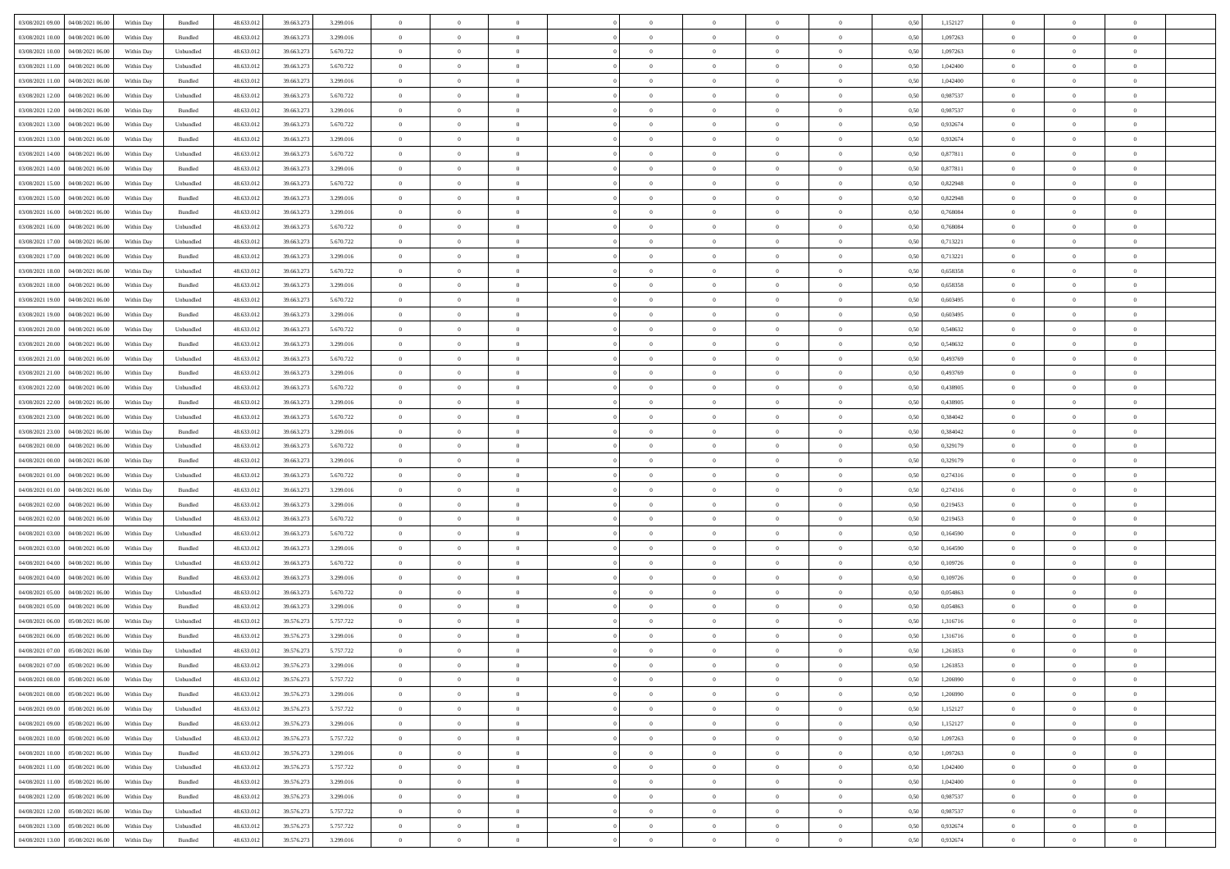|                                              |            |           |            |            |           | $\overline{0}$ | $\theta$       |                | $\overline{0}$ | $\theta$       |                | $\bf{0}$       |      |          | $\theta$       | $\theta$       | $\theta$       |  |
|----------------------------------------------|------------|-----------|------------|------------|-----------|----------------|----------------|----------------|----------------|----------------|----------------|----------------|------|----------|----------------|----------------|----------------|--|
| 03/08/2021 09:00 04/08/2021 06:00            | Within Day | Bundled   | 48.633.01  | 39.663.273 | 3.299.016 |                |                |                |                |                |                |                | 0,50 | 1,152127 |                |                |                |  |
| 03/08/2021 10:00<br>04/08/2021 06:00         | Within Day | Bundled   | 48.633.01  | 39.663.27  | 3.299.016 | $\bf{0}$       | $\bf{0}$       | $\bf{0}$       | $\bf{0}$       | $\overline{0}$ | $\overline{0}$ | $\bf{0}$       | 0,50 | 1,097263 | $\,$ 0 $\,$    | $\bf{0}$       | $\overline{0}$ |  |
| 03/08/2021 10:00<br>04/08/2021 06:00         | Within Day | Unbundled | 48.633.012 | 39.663.273 | 5.670.722 | $\overline{0}$ | $\bf{0}$       | $\overline{0}$ | $\bf{0}$       | $\bf{0}$       | $\overline{0}$ | $\bf{0}$       | 0.50 | 1.097263 | $\overline{0}$ | $\overline{0}$ | $\overline{0}$ |  |
| 03/08/2021 11:00<br>04/08/2021 06:00         | Within Day | Unbundled | 48.633.01  | 39.663.273 | 5.670.722 | $\overline{0}$ | $\overline{0}$ | $\overline{0}$ | $\theta$       | $\theta$       | $\overline{0}$ | $\bf{0}$       | 0,50 | 1,042400 | $\theta$       | $\theta$       | $\overline{0}$ |  |
| 03/08/2021 11:00<br>04/08/2021 06.00         | Within Day | Bundled   | 48.633.01  | 39.663.27  | 3.299.016 | $\overline{0}$ | $\overline{0}$ | $\bf{0}$       | $\overline{0}$ | $\theta$       | $\overline{0}$ | $\bf{0}$       | 0,50 | 1,042400 | $\,$ 0 $\,$    | $\bf{0}$       | $\overline{0}$ |  |
|                                              |            |           |            |            |           |                |                |                |                |                |                |                |      |          |                |                |                |  |
| 03/08/2021 12:00<br>04/08/2021 06:00         | Within Day | Unbundled | 48.633.013 | 39.663.27  | 5.670.722 | $\overline{0}$ | $\overline{0}$ | $\overline{0}$ | $\bf{0}$       | $\overline{0}$ | $\theta$       | $\bf{0}$       | 0.50 | 0.987537 | $\,$ 0 $\,$    | $\theta$       | $\overline{0}$ |  |
| 03/08/2021 12:00<br>04/08/2021 06:00         | Within Day | Bundled   | 48.633.013 | 39.663.273 | 3.299.016 | $\overline{0}$ | $\overline{0}$ | $\overline{0}$ | $\overline{0}$ | $\overline{0}$ | $\overline{0}$ | $\bf{0}$       | 0,50 | 0,987537 | $\theta$       | $\theta$       | $\overline{0}$ |  |
| 03/08/2021 13:00<br>04/08/2021 06.00         | Within Day | Unbundled | 48.633.01  | 39.663.27  | 5.670.722 | $\bf{0}$       | $\overline{0}$ | $\bf{0}$       | $\overline{0}$ | $\overline{0}$ | $\overline{0}$ | $\bf{0}$       | 0,50 | 0,932674 | $\,$ 0 $\,$    | $\bf{0}$       | $\overline{0}$ |  |
| 03/08/2021 13:00<br>04/08/2021 06:00         | Within Day | Bundled   | 48.633.013 | 39.663.27  | 3.299.016 | $\overline{0}$ | $\bf{0}$       | $\overline{0}$ | $\bf{0}$       | $\overline{0}$ | $\overline{0}$ | $\bf{0}$       | 0.50 | 0.932674 | $\bf{0}$       | $\overline{0}$ | $\overline{0}$ |  |
| 03/08/2021 14:00<br>04/08/2021 06:00         | Within Day | Unbundled | 48.633.013 | 39.663.273 | 5.670.722 | $\overline{0}$ | $\bf{0}$       | $\overline{0}$ | $\overline{0}$ | $\overline{0}$ | $\overline{0}$ | $\bf{0}$       | 0,50 | 0,877811 | $\,$ 0 $\,$    | $\bf{0}$       | $\overline{0}$ |  |
| 03/08/2021 14:00<br>04/08/2021 06.00         | Within Day | Bundled   | 48.633.01  | 39.663.27  | 3.299.016 | $\bf{0}$       | $\overline{0}$ | $\bf{0}$       | $\bf{0}$       | $\bf{0}$       | $\overline{0}$ | $\bf{0}$       | 0,50 | 0,877811 | $\,$ 0 $\,$    | $\bf{0}$       | $\overline{0}$ |  |
| 03/08/2021 15:00<br>04/08/2021 06:00         | Within Day | Unbundled | 48.633.013 | 39.663.273 | 5.670.722 | $\overline{0}$ | $\bf{0}$       | $\overline{0}$ | $\overline{0}$ | $\bf{0}$       | $\overline{0}$ | $\bf{0}$       | 0.50 | 0,822948 | $\bf{0}$       | $\overline{0}$ | $\,$ 0         |  |
|                                              |            |           |            |            |           | $\overline{0}$ |                |                |                |                |                |                |      |          |                | $\theta$       |                |  |
| 03/08/2021 15:00<br>04/08/2021 06:00         | Within Day | Bundled   | 48.633.01  | 39.663.273 | 3.299.016 |                | $\overline{0}$ | $\overline{0}$ | $\theta$       | $\theta$       | $\overline{0}$ | $\bf{0}$       | 0,50 | 0,822948 | $\,$ 0 $\,$    |                | $\overline{0}$ |  |
| 03/08/2021 16:00<br>04/08/2021 06.00         | Within Day | Bundled   | 48.633.01  | 39.663.27  | 3.299.016 | $\bf{0}$       | $\overline{0}$ | $\bf{0}$       | $\overline{0}$ | $\bf{0}$       | $\overline{0}$ | $\bf{0}$       | 0,50 | 0,768084 | $\,$ 0 $\,$    | $\bf{0}$       | $\overline{0}$ |  |
| 03/08/2021 16:00<br>04/08/2021 06:00         | Within Day | Unbundled | 48.633.013 | 39.663.273 | 5.670.722 | $\overline{0}$ | $\overline{0}$ | $\overline{0}$ | $\bf{0}$       | $\overline{0}$ | $\theta$       | $\bf{0}$       | 0.50 | 0.768084 | $\,$ 0 $\,$    | $\theta$       | $\overline{0}$ |  |
| 03/08/2021 17:00<br>04/08/2021 06:00         | Within Day | Unbundled | 48.633.01  | 39.663.273 | 5.670.722 | $\overline{0}$ | $\overline{0}$ | $\overline{0}$ | $\overline{0}$ | $\overline{0}$ | $\overline{0}$ | $\bf{0}$       | 0,50 | 0,713221 | $\theta$       | $\theta$       | $\overline{0}$ |  |
| 03/08/2021 17:00<br>04/08/2021 06.00         | Within Day | Bundled   | 48.633.01  | 39.663.27  | 3.299.016 | $\bf{0}$       | $\bf{0}$       | $\bf{0}$       | $\overline{0}$ | $\bf{0}$       | $\overline{0}$ | $\bf{0}$       | 0,50 | 0,713221 | $\,$ 0 $\,$    | $\bf{0}$       | $\overline{0}$ |  |
| 03/08/2021 18:00<br>04/08/2021 06:00         | Within Day | Unbundled | 48.633.013 | 39,663.27  | 5.670.722 | $\overline{0}$ | $\bf{0}$       | $\overline{0}$ | $\bf{0}$       | $\overline{0}$ | $\overline{0}$ | $\bf{0}$       | 0.50 | 0.658358 | $\bf{0}$       | $\overline{0}$ | $\bf{0}$       |  |
| 03/08/2021 18:00<br>04/08/2021 06:00         | Within Day | Bundled   | 48.633.013 | 39.663.273 | 3.299.016 | $\overline{0}$ | $\bf{0}$       | $\overline{0}$ | $\overline{0}$ | $\overline{0}$ | $\overline{0}$ | $\bf{0}$       | 0,50 | 0,658358 | $\,$ 0 $\,$    | $\bf{0}$       | $\overline{0}$ |  |
|                                              |            |           |            |            |           |                |                |                |                |                |                |                |      |          |                |                |                |  |
| 03/08/2021 19:00<br>04/08/2021 06.00         | Within Day | Unbundled | 48.633.01  | 39.663.27  | 5.670.722 | $\bf{0}$       | $\bf{0}$       | $\bf{0}$       | $\bf{0}$       | $\overline{0}$ | $\overline{0}$ | $\bf{0}$       | 0,50 | 0,603495 | $\,$ 0 $\,$    | $\bf{0}$       | $\overline{0}$ |  |
| 03/08/2021 19:00<br>04/08/2021 06:00         | Within Day | Bundled   | 48.633.012 | 39.663.273 | 3.299.016 | $\overline{0}$ | $\bf{0}$       | $\overline{0}$ | $\overline{0}$ | $\bf{0}$       | $\overline{0}$ | $\bf{0}$       | 0.50 | 0.603495 | $\bf{0}$       | $\overline{0}$ | $\,$ 0         |  |
| 03/08/2021 20:00<br>04/08/2021 06:00         | Within Day | Unbundled | 48.633.01  | 39.663.273 | 5.670.722 | $\overline{0}$ | $\overline{0}$ | $\overline{0}$ | $\overline{0}$ | $\theta$       | $\overline{0}$ | $\bf{0}$       | 0,50 | 0,548632 | $\theta$       | $\theta$       | $\overline{0}$ |  |
| 03/08/2021 20:00<br>04/08/2021 06.00         | Within Day | Bundled   | 48.633.013 | 39.663.27  | 3.299.016 | $\bf{0}$       | $\overline{0}$ | $\bf{0}$       | $\bf{0}$       | $\overline{0}$ | $\overline{0}$ | $\bf{0}$       | 0,50 | 0,548632 | $\,$ 0 $\,$    | $\bf{0}$       | $\overline{0}$ |  |
| 03/08/2021 21:00<br>04/08/2021 06:00         | Within Day | Unbundled | 48.633.013 | 39.663.27  | 5.670.722 | $\overline{0}$ | $\overline{0}$ | $\overline{0}$ | $\bf{0}$       | $\overline{0}$ | $\theta$       | $\bf{0}$       | 0.50 | 0.493769 | $\,$ 0 $\,$    | $\theta$       | $\overline{0}$ |  |
| 03/08/2021 21:00<br>04/08/2021 06:00         | Within Day | Bundled   | 48.633.013 | 39.663.273 | 3.299.016 | $\overline{0}$ | $\overline{0}$ | $\overline{0}$ | $\overline{0}$ | $\overline{0}$ | $\overline{0}$ | $\bf{0}$       | 0,50 | 0,493769 | $\,$ 0 $\,$    | $\theta$       | $\overline{0}$ |  |
| 03/08/2021 22:00<br>04/08/2021 06.00         | Within Day | Unbundled | 48.633.01  | 39.663.27  | 5.670.722 | $\bf{0}$       | $\overline{0}$ | $\bf{0}$       | $\overline{0}$ | $\bf{0}$       | $\overline{0}$ | $\bf{0}$       | 0,50 | 0,438905 | $\,$ 0 $\,$    | $\bf{0}$       | $\overline{0}$ |  |
| 03/08/2021 22:00<br>04/08/2021 06:00         | Within Day | Bundled   | 48.633.013 | 39.663.27  | 3.299.016 | $\overline{0}$ | $\bf{0}$       | $\overline{0}$ | $\bf{0}$       | $\overline{0}$ | $\overline{0}$ | $\bf{0}$       | 0.50 | 0.438905 | $\bf{0}$       | $\overline{0}$ | $\overline{0}$ |  |
| 03/08/2021 23:00<br>04/08/2021 06:00         |            |           | 48.633.01  |            |           | $\overline{0}$ | $\bf{0}$       | $\overline{0}$ | $\overline{0}$ | $\overline{0}$ | $\overline{0}$ |                |      |          | $\theta$       | $\theta$       | $\overline{0}$ |  |
|                                              | Within Day | Unbundled |            | 39.663.273 | 5.670.722 |                |                |                |                |                |                | $\bf{0}$       | 0,50 | 0,384042 |                |                |                |  |
| 03/08/2021 23:00<br>04/08/2021 06.00         | Within Day | Bundled   | 48.633.01  | 39.663.27  | 3.299.016 | $\bf{0}$       | $\bf{0}$       | $\bf{0}$       | $\bf{0}$       | $\overline{0}$ | $\overline{0}$ | $\bf{0}$       | 0,50 | 0,384042 | $\,$ 0 $\,$    | $\bf{0}$       | $\overline{0}$ |  |
| 04/08/2021 00:00<br>04/08/2021 06:00         | Within Day | Unbundled | 48.633.013 | 39.663.273 | 5.670.722 | $\overline{0}$ | $\bf{0}$       | $\overline{0}$ | $\bf{0}$       | $\bf{0}$       | $\overline{0}$ | $\bf{0}$       | 0.50 | 0,329179 | $\bf{0}$       | $\overline{0}$ | $\bf{0}$       |  |
| 04/08/2021 00:00<br>04/08/2021 06:00         | Within Day | Bundled   | 48.633.013 | 39.663.27  | 3.299.016 | $\overline{0}$ | $\overline{0}$ | $\overline{0}$ | $\overline{0}$ | $\overline{0}$ | $\overline{0}$ | $\bf{0}$       | 0.5( | 0,329179 | $\theta$       | $\theta$       | $\overline{0}$ |  |
| 04/08/2021 01:00<br>04/08/2021 06.00         | Within Day | Unbundled | 48.633.01  | 39.663.27  | 5.670.722 | $\bf{0}$       | $\overline{0}$ | $\bf{0}$       | $\bf{0}$       | $\,$ 0 $\,$    | $\overline{0}$ | $\bf{0}$       | 0,50 | 0,274316 | $\,$ 0 $\,$    | $\bf{0}$       | $\overline{0}$ |  |
| 04/08/2021 01:00<br>04/08/2021 06:00         | Within Day | Bundled   | 48.633.013 | 39.663.273 | 3.299.016 | $\overline{0}$ | $\bf{0}$       | $\overline{0}$ | $\bf{0}$       | $\overline{0}$ | $\Omega$       | $\bf{0}$       | 0.50 | 0,274316 | $\,$ 0 $\,$    | $\theta$       | $\overline{0}$ |  |
| 04/08/2021 02:00<br>04/08/2021 06:00         | Within Dav | Bundled   | 48.633.013 | 39.663.273 | 3.299.016 | $\overline{0}$ | $\overline{0}$ | $\overline{0}$ | $\overline{0}$ | $\theta$       | $\overline{0}$ | $\bf{0}$       | 0.50 | 0,219453 | $\theta$       | $\theta$       | $\overline{0}$ |  |
| 04/08/2021 02:00<br>04/08/2021 06.00         | Within Day | Unbundled | 48.633.013 | 39.663.27  | 5.670.722 | $\bf{0}$       | $\bf{0}$       | $\bf{0}$       | $\bf{0}$       | $\overline{0}$ | $\overline{0}$ | $\bf{0}$       | 0,50 | 0,219453 | $\,$ 0 $\,$    | $\bf{0}$       | $\overline{0}$ |  |
| 04/08/2021 03:00<br>04/08/2021 06:00         | Within Day | Unbundled | 48.633.013 | 39,663.27  | 5.670.722 | $\overline{0}$ | $\bf{0}$       | $\overline{0}$ | $\bf{0}$       | $\overline{0}$ | $\overline{0}$ | $\bf{0}$       | 0.50 | 0.164590 | $\bf{0}$       | $\overline{0}$ | $\overline{0}$ |  |
|                                              |            |           |            |            |           |                |                |                |                |                |                |                |      |          |                |                |                |  |
| 04/08/2021 03:00<br>04/08/2021 06:00         | Within Dav | Bundled   | 48.633.013 | 39.663.27  | 3.299.016 | $\overline{0}$ | $\overline{0}$ | $\overline{0}$ | $\overline{0}$ | $\overline{0}$ | $\overline{0}$ | $\bf{0}$       | 0.50 | 0,164590 | $\theta$       | $\theta$       | $\overline{0}$ |  |
| 04/08/2021 04:00<br>04/08/2021 06.00         | Within Day | Unbundled | 48.633.01  | 39.663.27  | 5.670.722 | $\bf{0}$       | $\bf{0}$       | $\bf{0}$       | $\bf{0}$       | $\overline{0}$ | $\overline{0}$ | $\bf{0}$       | 0,50 | 0,109726 | $\,$ 0 $\,$    | $\bf{0}$       | $\overline{0}$ |  |
| 04/08/2021 04:00<br>04/08/2021 06:00         | Within Day | Bundled   | 48.633.012 | 39.663.273 | 3.299.016 | $\overline{0}$ | $\bf{0}$       | $\overline{0}$ | $\overline{0}$ | $\bf{0}$       | $\overline{0}$ | $\bf{0}$       | 0.50 | 0.109726 | $\,$ 0 $\,$    | $\overline{0}$ | $\overline{0}$ |  |
| 04/08/2021 05:00<br>04/08/2021 06:00         | Within Dav | Unbundled | 48.633.013 | 39.663.273 | 5.670.722 | $\overline{0}$ | $\overline{0}$ | $\overline{0}$ | $\overline{0}$ | $\overline{0}$ | $\overline{0}$ | $\bf{0}$       | 0.50 | 0,054863 | $\theta$       | $\theta$       | $\overline{0}$ |  |
| 04/08/2021 05:00<br>04/08/2021 06.00         | Within Day | Bundled   | 48.633.013 | 39.663.27  | 3.299.016 | $\bf{0}$       | $\bf{0}$       | $\bf{0}$       | $\bf{0}$       | $\overline{0}$ | $\overline{0}$ | $\bf{0}$       | 0,50 | 0,054863 | $\,$ 0 $\,$    | $\bf{0}$       | $\overline{0}$ |  |
| 04/08/2021 06:00<br>05/08/2021 06:00         | Within Day | Unbundled | 48.633.013 | 39.576.27  | 5.757.722 | $\overline{0}$ | $\overline{0}$ | $\overline{0}$ | $\bf{0}$       | $\overline{0}$ | $\Omega$       | $\bf{0}$       | 0.50 | 1.316716 | $\bf{0}$       | $\theta$       | $\overline{0}$ |  |
| 04/08/2021 06:00<br>05/08/2021 06:00         | Within Dav | Bundled   | 48.633.013 | 39.576.273 | 3.299.016 | $\overline{0}$ | $\overline{0}$ | $\Omega$       | $\overline{0}$ | $\theta$       | $\overline{0}$ | $\overline{0}$ | 0.5( | 1,316716 | $\theta$       | $\theta$       | $\overline{0}$ |  |
| 04/08/2021 07:00<br>05/08/2021 06:00         | Within Day | Unbundled | 48.633.01  | 39.576.273 | 5.757.722 | $\bf{0}$       | $\bf{0}$       | $\bf{0}$       | $\bf{0}$       | $\bf{0}$       | $\overline{0}$ | $\bf{0}$       | 0,50 | 1,261853 | $\overline{0}$ | $\bf{0}$       | $\overline{0}$ |  |
| $04/08/2021\;07.00 \qquad 05/08/2021\;06.00$ | Within Day | Bundled   | 48.633.012 | 39.576.273 | 3.299.016 | $\bf{0}$       | $\Omega$       |                | $\Omega$       |                |                |                | 0,50 | 1,261853 | $\theta$       | $\overline{0}$ |                |  |
|                                              |            |           |            |            |           |                |                |                |                |                |                |                |      |          |                |                |                |  |
| 04/08/2021 08:00 05/08/2021 06:00            | Within Day | Unbundled | 48.633.012 | 39.576.273 | 5.757.722 | $\overline{0}$ | $\overline{0}$ | $\overline{0}$ | $\overline{0}$ | $\overline{0}$ | $\overline{0}$ | $\bf{0}$       | 0,50 | 1,206990 | $\theta$       | $\overline{0}$ | $\overline{0}$ |  |
| 04/08/2021 08:00<br>05/08/2021 06:00         | Within Day | Bundled   | 48.633.013 | 39.576.273 | 3.299.016 | $\overline{0}$ | $\bf{0}$       | $\overline{0}$ | $\overline{0}$ | $\bf{0}$       | $\overline{0}$ | $\bf{0}$       | 0,50 | 1,206990 | $\bf{0}$       | $\overline{0}$ | $\bf{0}$       |  |
| 04/08/2021 09:00 05/08/2021 06:00            | Within Day | Unbundled | 48.633.012 | 39.576.273 | 5.757.722 | $\overline{0}$ | $\bf{0}$       | $\overline{0}$ | $\overline{0}$ | $\mathbf{0}$   | $\overline{0}$ | $\,$ 0 $\,$    | 0.50 | 1,152127 | $\overline{0}$ | $\bf{0}$       | $\bf{0}$       |  |
| 04/08/2021 09:00 05/08/2021 06:00            | Within Day | Bundled   | 48.633.012 | 39.576.273 | 3.299.016 | $\overline{0}$ | $\overline{0}$ | $\overline{0}$ | $\overline{0}$ | $\overline{0}$ | $\overline{0}$ | $\bf{0}$       | 0,50 | 1,152127 | $\overline{0}$ | $\theta$       | $\overline{0}$ |  |
| 04/08/2021 10:00<br>05/08/2021 06:00         | Within Day | Unbundled | 48.633.012 | 39.576.273 | 5.757.722 | $\overline{0}$ | $\bf{0}$       | $\overline{0}$ | $\overline{0}$ | $\bf{0}$       | $\overline{0}$ | $\bf{0}$       | 0,50 | 1,097263 | $\bf{0}$       | $\overline{0}$ | $\overline{0}$ |  |
| 04/08/2021 10:00 05/08/2021 06:00            | Within Day | Bundled   | 48.633.012 | 39.576.273 | 3.299.016 | $\overline{0}$ | $\bf{0}$       | $\overline{0}$ | $\overline{0}$ | $\bf{0}$       | $\overline{0}$ | $\bf{0}$       | 0.50 | 1.097263 | $\,$ 0 $\,$    | $\overline{0}$ | $\,$ 0         |  |
| 04/08/2021 11:00  05/08/2021 06:00           | Within Dav | Unbundled | 48.633.012 | 39.576.273 | 5.757.722 | $\overline{0}$ | $\overline{0}$ | $\overline{0}$ | $\overline{0}$ | $\overline{0}$ | $\overline{0}$ | $\bf{0}$       | 0,50 | 1,042400 | $\overline{0}$ | $\theta$       | $\overline{0}$ |  |
|                                              |            |           |            |            |           |                |                |                |                |                |                |                |      |          |                |                |                |  |
| 04/08/2021 11:00<br>05/08/2021 06:00         | Within Day | Bundled   | 48.633.013 | 39.576.273 | 3.299.016 | $\overline{0}$ | $\overline{0}$ | $\overline{0}$ | $\overline{0}$ | $\overline{0}$ | $\overline{0}$ | $\bf{0}$       | 0,50 | 1,042400 | $\bf{0}$       | $\overline{0}$ | $\overline{0}$ |  |
| 04/08/2021 12:00  05/08/2021 06:00           | Within Day | Bundled   | 48.633.012 | 39.576.273 | 3.299.016 | $\overline{0}$ | $\overline{0}$ | $\overline{0}$ | $\overline{0}$ | $\overline{0}$ | $\overline{0}$ | $\bf{0}$       | 0.50 | 0.987537 | $\mathbf{0}$   | $\bf{0}$       | $\,$ 0         |  |
| 04/08/2021 12:00  05/08/2021 06:00           | Within Dav | Unbundled | 48.633.012 | 39.576.273 | 5.757.722 | $\overline{0}$ | $\overline{0}$ | $\overline{0}$ | $\overline{0}$ | $\overline{0}$ | $\overline{0}$ | $\bf{0}$       | 0,50 | 0,987537 | $\overline{0}$ | $\theta$       | $\overline{0}$ |  |
| 04/08/2021 13:00<br>05/08/2021 06:00         | Within Day | Unbundled | 48.633.013 | 39.576.273 | 5.757.722 | $\overline{0}$ | $\bf{0}$       | $\overline{0}$ | $\overline{0}$ | $\overline{0}$ | $\overline{0}$ | $\bf{0}$       | 0,50 | 0,932674 | $\bf{0}$       | $\overline{0}$ | $\bf{0}$       |  |
| 04/08/2021 13:00  05/08/2021 06:00           | Within Day | Bundled   | 48.633.012 | 39.576.273 | 3.299.016 | $\,$ 0 $\,$    | $\bf{0}$       | $\overline{0}$ | $\overline{0}$ | $\,$ 0 $\,$    | $\overline{0}$ | $\bf{0}$       | 0,50 | 0,932674 | $\overline{0}$ | $\,$ 0 $\,$    | $\,$ 0 $\,$    |  |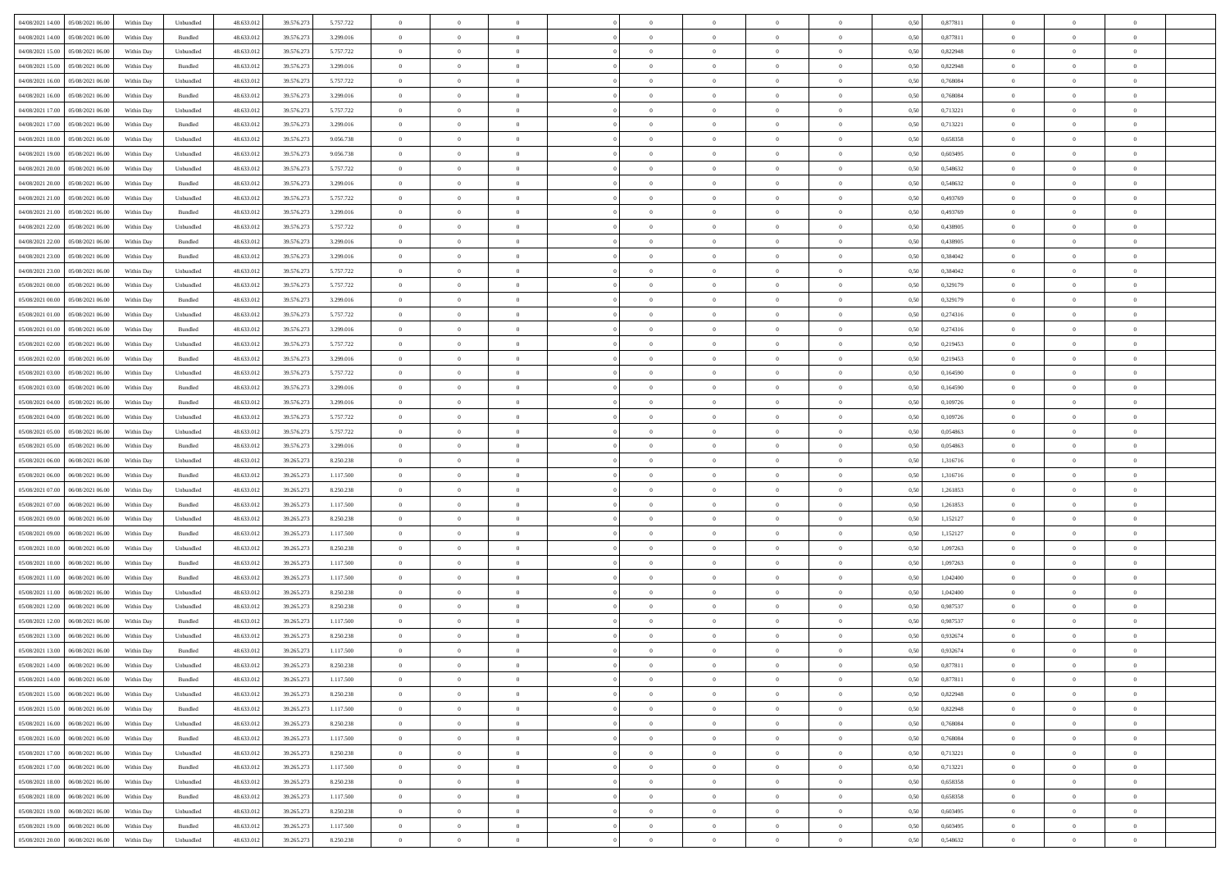|                                                                        |            |                   |            |            |           | $\overline{0}$ | $\theta$       |                | $\overline{0}$ | $\theta$       |                | $\bf{0}$       |      |          | $\theta$       | $\theta$       | $\theta$       |  |
|------------------------------------------------------------------------|------------|-------------------|------------|------------|-----------|----------------|----------------|----------------|----------------|----------------|----------------|----------------|------|----------|----------------|----------------|----------------|--|
| 04/08/2021 14:00  05/08/2021 06:00                                     | Within Day | Unbundled         | 48.633.01  | 39.576.273 | 5.757.722 |                |                |                |                |                |                |                | 0,50 | 0,877811 |                |                |                |  |
| 04/08/2021 14:00<br>05/08/2021 06:00                                   | Within Day | Bundled           | 48.633.01  | 39.576.27  | 3.299.016 | $\bf{0}$       | $\overline{0}$ | $\bf{0}$       | $\overline{0}$ | $\overline{0}$ | $\overline{0}$ | $\bf{0}$       | 0,50 | 0,877811 | $\,$ 0 $\,$    | $\bf{0}$       | $\overline{0}$ |  |
| 04/08/2021 15:00<br>05/08/2021 06:00                                   | Within Day | Unbundled         | 48.633.012 | 39.576.273 | 5.757.722 | $\overline{0}$ | $\bf{0}$       | $\overline{0}$ | $\bf{0}$       | $\bf{0}$       | $\overline{0}$ | $\bf{0}$       | 0.50 | 0,822948 | $\bf{0}$       | $\overline{0}$ | $\overline{0}$ |  |
| 04/08/2021 15:00<br>05/08/2021 06:00                                   | Within Day | Bundled           | 48.633.01  | 39.576.273 | 3.299.016 | $\overline{0}$ | $\bf{0}$       | $\overline{0}$ | $\theta$       | $\theta$       | $\overline{0}$ | $\bf{0}$       | 0,50 | 0,822948 | $\theta$       | $\theta$       | $\overline{0}$ |  |
| 04/08/2021 16:00<br>05/08/2021 06.00                                   | Within Day | Unbundled         | 48.633.01  | 39.576.27  | 5.757.722 | $\bf{0}$       | $\overline{0}$ | $\bf{0}$       | $\overline{0}$ | $\theta$       | $\overline{0}$ | $\bf{0}$       | 0,50 | 0,768084 | $\,$ 0 $\,$    | $\bf{0}$       | $\overline{0}$ |  |
|                                                                        |            |                   |            |            |           |                |                |                |                |                | $\theta$       |                |      |          |                |                |                |  |
| 04/08/2021 16:00<br>05/08/2021 06:00                                   | Within Day | Bundled           | 48.633.013 | 39.576.273 | 3.299.016 | $\overline{0}$ | $\overline{0}$ | $\overline{0}$ | $\bf{0}$       | $\overline{0}$ |                | $\bf{0}$       | 0.50 | 0.768084 | $\,$ 0 $\,$    | $\theta$       | $\overline{0}$ |  |
| 04/08/2021 17:00<br>05/08/2021 06:00                                   | Within Day | Unbundled         | 48.633.013 | 39.576.273 | 5.757.722 | $\overline{0}$ | $\overline{0}$ | $\overline{0}$ | $\overline{0}$ | $\overline{0}$ | $\overline{0}$ | $\bf{0}$       | 0,50 | 0,713221 | $\theta$       | $\theta$       | $\overline{0}$ |  |
| 04/08/2021 17:00<br>05/08/2021 06:00                                   | Within Day | Bundled           | 48.633.01  | 39.576.27  | 3.299.016 | $\bf{0}$       | $\overline{0}$ | $\bf{0}$       | $\overline{0}$ | $\bf{0}$       | $\overline{0}$ | $\bf{0}$       | 0,50 | 0,713221 | $\,$ 0 $\,$    | $\bf{0}$       | $\overline{0}$ |  |
| 04/08/2021 18:00<br>05/08/2021 06:00                                   | Within Day | Unbundled         | 48.633.013 | 39.576.273 | 9.056.738 | $\overline{0}$ | $\bf{0}$       | $\overline{0}$ | $\bf{0}$       | $\overline{0}$ | $\overline{0}$ | $\bf{0}$       | 0.50 | 0.658358 | $\bf{0}$       | $\overline{0}$ | $\overline{0}$ |  |
| 04/08/2021 19:00<br>05/08/2021 06:00                                   | Within Day | Unbundled         | 48.633.012 | 39.576.273 | 9.056.738 | $\overline{0}$ | $\bf{0}$       | $\overline{0}$ | $\overline{0}$ | $\overline{0}$ | $\overline{0}$ | $\bf{0}$       | 0,50 | 0,603495 | $\,$ 0 $\,$    | $\bf{0}$       | $\overline{0}$ |  |
| 04/08/2021 20:00<br>05/08/2021 06:00                                   | Within Day | Unbundled         | 48.633.01  | 39.576.273 | 5.757.722 | $\bf{0}$       | $\overline{0}$ | $\bf{0}$       | $\bf{0}$       | $\bf{0}$       | $\overline{0}$ | $\bf{0}$       | 0,50 | 0,548632 | $\,$ 0 $\,$    | $\bf{0}$       | $\overline{0}$ |  |
| 04/08/2021 20:00<br>05/08/2021 06:00                                   | Within Day | Bundled           | 48.633.013 | 39.576.273 | 3.299.016 | $\overline{0}$ | $\bf{0}$       | $\overline{0}$ | $\bf{0}$       | $\bf{0}$       | $\overline{0}$ | $\bf{0}$       | 0.50 | 0.548632 | $\bf{0}$       | $\overline{0}$ | $\bf{0}$       |  |
| 04/08/2021 21:00<br>05/08/2021 06:00                                   | Within Day | Unbundled         | 48.633.01  | 39.576.273 | 5.757.722 | $\overline{0}$ | $\overline{0}$ | $\overline{0}$ | $\theta$       | $\theta$       | $\overline{0}$ | $\bf{0}$       | 0,50 | 0,493769 | $\,$ 0 $\,$    | $\theta$       | $\overline{0}$ |  |
|                                                                        |            |                   |            |            |           |                |                |                |                |                |                |                |      |          |                |                |                |  |
| 04/08/2021 21:00<br>05/08/2021 06:00                                   | Within Day | Bundled           | 48.633.01  | 39.576.27  | 3.299.016 | $\bf{0}$       | $\overline{0}$ | $\bf{0}$       | $\overline{0}$ | $\theta$       | $\overline{0}$ | $\bf{0}$       | 0,50 | 0,493769 | $\bf{0}$       | $\bf{0}$       | $\overline{0}$ |  |
| 04/08/2021 22.00<br>05/08/2021 06:00                                   | Within Day | Unbundled         | 48.633.013 | 39.576.273 | 5.757.722 | $\overline{0}$ | $\overline{0}$ | $\overline{0}$ | $\bf{0}$       | $\overline{0}$ | $\Omega$       | $\bf{0}$       | 0.50 | 0.438905 | $\,$ 0 $\,$    | $\theta$       | $\overline{0}$ |  |
| 04/08/2021 22:00<br>05/08/2021 06:00                                   | Within Day | Bundled           | 48.633.01  | 39.576.273 | 3.299.016 | $\overline{0}$ | $\overline{0}$ | $\overline{0}$ | $\overline{0}$ | $\overline{0}$ | $\overline{0}$ | $\bf{0}$       | 0,50 | 0,438905 | $\theta$       | $\theta$       | $\overline{0}$ |  |
| 04/08/2021 23:00<br>05/08/2021 06.00                                   | Within Day | Bundled           | 48.633.01  | 39.576.27  | 3.299.016 | $\bf{0}$       | $\overline{0}$ | $\bf{0}$       | $\overline{0}$ | $\theta$       | $\overline{0}$ | $\bf{0}$       | 0,50 | 0,384042 | $\,$ 0 $\,$    | $\bf{0}$       | $\overline{0}$ |  |
| 04/08/2021 23:00<br>05/08/2021 06:00                                   | Within Day | Unbundled         | 48.633.013 | 39.576.27  | 5.757.722 | $\overline{0}$ | $\bf{0}$       | $\overline{0}$ | $\bf{0}$       | $\overline{0}$ | $\overline{0}$ | $\bf{0}$       | 0.50 | 0.384042 | $\bf{0}$       | $\overline{0}$ | $\overline{0}$ |  |
| 05/08/2021 00:00<br>05/08/2021 06:00                                   | Within Day | Unbundled         | 48.633.013 | 39.576.273 | 5.757.722 | $\overline{0}$ | $\bf{0}$       | $\overline{0}$ | $\overline{0}$ | $\overline{0}$ | $\overline{0}$ | $\bf{0}$       | 0,50 | 0,329179 | $\,$ 0 $\,$    | $\bf{0}$       | $\overline{0}$ |  |
| 05/08/2021 00:00<br>05/08/2021 06:00                                   | Within Day | Bundled           | 48.633.01  | 39.576.27  | 3.299.016 | $\bf{0}$       | $\bf{0}$       | $\bf{0}$       | $\bf{0}$       | $\overline{0}$ | $\overline{0}$ | $\bf{0}$       | 0,50 | 0,329179 | $\,$ 0 $\,$    | $\bf{0}$       | $\overline{0}$ |  |
|                                                                        |            |                   |            |            |           |                |                |                |                |                |                |                |      |          |                |                |                |  |
| 05/08/2021 01:00<br>05/08/2021 06:00                                   | Within Day | Unbundled         | 48.633.013 | 39.576.273 | 5.757.722 | $\overline{0}$ | $\bf{0}$       | $\overline{0}$ | $\bf{0}$       | $\bf{0}$       | $\overline{0}$ | $\bf{0}$       | 0.50 | 0,274316 | $\bf{0}$       | $\overline{0}$ | $\overline{0}$ |  |
| 05/08/2021 01:00<br>05/08/2021 06:00                                   | Within Day | Bundled           | 48.633.01  | 39.576.273 | 3.299.016 | $\overline{0}$ | $\overline{0}$ | $\overline{0}$ | $\overline{0}$ | $\theta$       | $\overline{0}$ | $\bf{0}$       | 0,50 | 0,274316 | $\theta$       | $\theta$       | $\overline{0}$ |  |
| 05/08/2021 02:00<br>05/08/2021 06.00                                   | Within Day | Unbundled         | 48.633.01  | 39.576.27  | 5.757.722 | $\bf{0}$       | $\overline{0}$ | $\bf{0}$       | $\bf{0}$       | $\,$ 0 $\,$    | $\overline{0}$ | $\bf{0}$       | 0,50 | 0,219453 | $\,$ 0 $\,$    | $\bf{0}$       | $\overline{0}$ |  |
| 05/08/2021 02:00<br>05/08/2021 06:00                                   | Within Day | Bundled           | 48.633.013 | 39.576.273 | 3.299.016 | $\overline{0}$ | $\overline{0}$ | $\overline{0}$ | $\bf{0}$       | $\overline{0}$ | $\Omega$       | $\bf{0}$       | 0.50 | 0.219453 | $\,$ 0 $\,$    | $\theta$       | $\overline{0}$ |  |
| 05/08/2021 03:00<br>05/08/2021 06:00                                   | Within Day | Unbundled         | 48.633.013 | 39.576.273 | 5.757.722 | $\overline{0}$ | $\overline{0}$ | $\overline{0}$ | $\overline{0}$ | $\overline{0}$ | $\overline{0}$ | $\bf{0}$       | 0,50 | 0,164590 | $\,$ 0 $\,$    | $\theta$       | $\overline{0}$ |  |
| 05/08/2021 03:00<br>05/08/2021 06:00                                   | Within Day | Bundled           | 48.633.01  | 39.576.27  | 3.299.016 | $\bf{0}$       | $\overline{0}$ | $\bf{0}$       | $\overline{0}$ | $\bf{0}$       | $\overline{0}$ | $\bf{0}$       | 0,50 | 0,164590 | $\,$ 0 $\,$    | $\bf{0}$       | $\overline{0}$ |  |
| 05/08/2021 04:00<br>05/08/2021 06:00                                   | Within Day | Bundled           | 48.633.013 | 39.576.273 | 3.299.016 | $\overline{0}$ | $\bf{0}$       | $\overline{0}$ | $\bf{0}$       | $\overline{0}$ | $\overline{0}$ | $\bf{0}$       | 0.50 | 0.109726 | $\bf{0}$       | $\overline{0}$ | $\overline{0}$ |  |
| 05/08/2021 04:00<br>05/08/2021 06:00                                   | Within Day | Unbundled         | 48.633.012 | 39.576.273 | 5.757.722 | $\overline{0}$ | $\overline{0}$ | $\overline{0}$ | $\overline{0}$ | $\overline{0}$ | $\overline{0}$ | $\bf{0}$       | 0,50 | 0,109726 | $\theta$       | $\theta$       | $\overline{0}$ |  |
|                                                                        |            |                   |            |            |           |                |                |                |                |                |                |                |      |          |                |                |                |  |
| 05/08/2021 05:00<br>05/08/2021 06.00                                   | Within Day | Unbundled         | 48.633.01  | 39.576.27  | 5.757.722 | $\bf{0}$       | $\bf{0}$       | $\bf{0}$       | $\bf{0}$       | $\overline{0}$ | $\overline{0}$ | $\bf{0}$       | 0,50 | 0,054863 | $\,$ 0 $\,$    | $\bf{0}$       | $\overline{0}$ |  |
| 05/08/2021 05:00<br>05/08/2021 06:00                                   | Within Day | Bundled           | 48.633.013 | 39.576.273 | 3.299.016 | $\overline{0}$ | $\bf{0}$       | $\overline{0}$ | $\bf{0}$       | $\bf{0}$       | $\overline{0}$ | $\bf{0}$       | 0.50 | 0.054863 | $\bf{0}$       | $\overline{0}$ | $\bf{0}$       |  |
| 05/08/2021 06:00<br>06/08/2021 06:00                                   | Within Day | Unbundled         | 48.633.013 | 39.265.27  | 8.250.238 | $\overline{0}$ | $\overline{0}$ | $\overline{0}$ | $\overline{0}$ | $\overline{0}$ | $\overline{0}$ | $\bf{0}$       | 0.5( | 1,316716 | $\theta$       | $\theta$       | $\overline{0}$ |  |
| 05/08/2021 06:00<br>06/08/2021 06:00                                   | Within Day | Bundled           | 48.633.01  | 39.265.27  | 1.117.500 | $\bf{0}$       | $\overline{0}$ | $\bf{0}$       | $\bf{0}$       | $\,$ 0 $\,$    | $\overline{0}$ | $\bf{0}$       | 0,50 | 1,316716 | $\,$ 0 $\,$    | $\bf{0}$       | $\overline{0}$ |  |
| 05/08/2021 07:00<br>06/08/2021 06:00                                   | Within Day | Unbundled         | 48.633.013 | 39.265.27  | 8.250.238 | $\overline{0}$ | $\bf{0}$       | $\overline{0}$ | $\bf{0}$       | $\overline{0}$ | $\Omega$       | $\bf{0}$       | 0.50 | 1.261853 | $\,$ 0 $\,$    | $\theta$       | $\overline{0}$ |  |
| 05/08/2021 07:00<br>06/08/2021 06:00                                   | Within Dav | Bundled           | 48.633.013 | 39.265.273 | 1.117.500 | $\overline{0}$ | $\overline{0}$ | $\overline{0}$ | $\overline{0}$ | $\theta$       | $\overline{0}$ | $\bf{0}$       | 0.50 | 1,261853 | $\theta$       | $\theta$       | $\overline{0}$ |  |
| 05/08/2021 09:00<br>06/08/2021 06:00                                   | Within Day | Unbundled         | 48.633.01  | 39.265.27  | 8.250.238 | $\bf{0}$       | $\bf{0}$       | $\bf{0}$       | $\bf{0}$       | $\bf{0}$       | $\overline{0}$ | $\bf{0}$       | 0,50 | 1,152127 | $\,$ 0 $\,$    | $\bf{0}$       | $\overline{0}$ |  |
| 05/08/2021 09:00<br>06/08/2021 06:00                                   | Within Day | Bundled           | 48.633.013 | 39.265.27  | 1.117.500 | $\overline{0}$ | $\bf{0}$       | $\overline{0}$ | $\bf{0}$       | $\overline{0}$ | $\overline{0}$ | $\bf{0}$       | 0.50 | 1.152127 | $\bf{0}$       | $\overline{0}$ | $\overline{0}$ |  |
| 05/08/2021 10:00<br>06/08/2021 06:00                                   | Within Day | Unbundled         | 48.633.013 | 39.265.27  | 8.250.238 | $\overline{0}$ | $\overline{0}$ | $\overline{0}$ | $\overline{0}$ | $\overline{0}$ | $\overline{0}$ | $\bf{0}$       | 0.50 | 1,097263 | $\theta$       | $\theta$       | $\overline{0}$ |  |
|                                                                        |            |                   |            |            |           |                |                |                |                |                |                |                |      |          |                |                |                |  |
| 05/08/2021 10:00<br>06/08/2021 06:00                                   | Within Day | Bundled           | 48.633.01  | 39.265.27  | 1.117.500 | $\bf{0}$       | $\bf{0}$       | $\bf{0}$       | $\bf{0}$       | $\overline{0}$ | $\overline{0}$ | $\bf{0}$       | 0,50 | 1,097263 | $\,$ 0 $\,$    | $\bf{0}$       | $\overline{0}$ |  |
| 05/08/2021 11:00<br>06/08/2021 06:00                                   | Within Day | Bundled           | 48.633.013 | 39.265.27  | 1.117.500 | $\overline{0}$ | $\bf{0}$       | $\overline{0}$ | $\bf{0}$       | $\bf{0}$       | $\overline{0}$ | $\bf{0}$       | 0.50 | 1.042400 | $\bf{0}$       | $\overline{0}$ | $\overline{0}$ |  |
| 05/08/2021 11:00<br>06/08/2021 06:00                                   | Within Day | Unbundled         | 48.633.013 | 39.265.27  | 8.250.238 | $\overline{0}$ | $\overline{0}$ | $\overline{0}$ | $\overline{0}$ | $\overline{0}$ | $\overline{0}$ | $\bf{0}$       | 0.50 | 1,042400 | $\theta$       | $\theta$       | $\overline{0}$ |  |
| 05/08/2021 12:00<br>06/08/2021 06:00                                   | Within Day | Unbundled         | 48.633.013 | 39.265.27  | 8.250.238 | $\bf{0}$       | $\bf{0}$       | $\bf{0}$       | $\bf{0}$       | $\overline{0}$ | $\overline{0}$ | $\bf{0}$       | 0,50 | 0,987537 | $\,$ 0 $\,$    | $\bf{0}$       | $\overline{0}$ |  |
| 05/08/2021 12:00<br>06/08/2021 06:00                                   | Within Day | Bundled           | 48.633.013 | 39.265.27  | 1.117.500 | $\overline{0}$ | $\overline{0}$ | $\overline{0}$ | $\bf{0}$       | $\overline{0}$ | $\Omega$       | $\bf{0}$       | 0.50 | 0.987537 | $\bf{0}$       | $\theta$       | $\overline{0}$ |  |
| 05/08/2021 13:00<br>06/08/2021 06:00                                   | Within Dav | Unbundled         | 48.633.013 | 39.265.27  | 8.250.238 | $\overline{0}$ | $\overline{0}$ | $\Omega$       | $\overline{0}$ | $\theta$       | $\Omega$       | $\overline{0}$ | 0.5( | 0,932674 | $\theta$       | $\theta$       | $\overline{0}$ |  |
| 05/08/2021 13:00<br>06/08/2021 06:00                                   | Within Day | Bundled           | 48.633.01  | 39.265.27  | 1.117.500 | $\bf{0}$       | $\bf{0}$       | $\overline{0}$ | $\bf{0}$       | $\bf{0}$       | $\overline{0}$ | $\bf{0}$       | 0,50 | 0,932674 | $\overline{0}$ | $\bf{0}$       | $\overline{0}$ |  |
| ${\color{red} 05/08/2021}\,\, 14.00 {\color{red}06/08/2021}\,\, 06.00$ | Within Day | ${\sf Unbundred}$ | 48.633.012 | 39.265.273 | 8.250.238 | $\overline{0}$ | $\Omega$       |                | $\Omega$       |                |                |                | 0,50 | 0,877811 | $\theta$       | $\overline{0}$ |                |  |
|                                                                        |            |                   |            |            |           |                |                |                |                |                |                |                |      |          |                |                |                |  |
| 05/08/2021 14:00   06/08/2021 06:00                                    | Within Day | Bundled           | 48.633.012 | 39.265.273 | 1.117.500 | $\overline{0}$ | $\overline{0}$ | $\overline{0}$ | $\theta$       | $\overline{0}$ | $\overline{0}$ | $\bf{0}$       | 0,50 | 0,877811 | $\theta$       | $\theta$       | $\overline{0}$ |  |
| 05/08/2021 15:00<br>06/08/2021 06:00                                   | Within Day | Unbundled         | 48.633.013 | 39.265.273 | 8.250.238 | $\overline{0}$ | $\bf{0}$       | $\overline{0}$ | $\overline{0}$ | $\bf{0}$       | $\overline{0}$ | $\bf{0}$       | 0,50 | 0,822948 | $\bf{0}$       | $\overline{0}$ | $\bf{0}$       |  |
| 05/08/2021 15:00   06/08/2021 06:00                                    | Within Day | Bundled           | 48.633.012 | 39.265.273 | 1.117.500 | $\overline{0}$ | $\overline{0}$ | $\overline{0}$ | $\overline{0}$ | $\mathbf{0}$   | $\overline{0}$ | $\,$ 0 $\,$    | 0.50 | 0,822948 | $\overline{0}$ | $\bf{0}$       | $\bf{0}$       |  |
| 05/08/2021 16:00   06/08/2021 06:00                                    | Within Day | Unbundled         | 48.633.012 | 39.265.273 | 8.250.238 | $\overline{0}$ | $\overline{0}$ | $\overline{0}$ | $\overline{0}$ | $\overline{0}$ | $\overline{0}$ | $\bf{0}$       | 0,50 | 0,768084 | $\overline{0}$ | $\theta$       | $\overline{0}$ |  |
| 05/08/2021 16:00<br>06/08/2021 06:00                                   | Within Day | Bundled           | 48.633.012 | 39.265.273 | 1.117.500 | $\overline{0}$ | $\bf{0}$       | $\overline{0}$ | $\overline{0}$ | $\bf{0}$       | $\overline{0}$ | $\bf{0}$       | 0,50 | 0,768084 | $\bf{0}$       | $\overline{0}$ | $\overline{0}$ |  |
| 05/08/2021 17:00   06/08/2021 06:00                                    | Within Day | Unbundled         | 48.633.012 | 39.265.273 | 8.250.238 | $\overline{0}$ | $\bf{0}$       | $\overline{0}$ | $\overline{0}$ | $\bf{0}$       | $\overline{0}$ | $\bf{0}$       | 0.50 | 0,713221 | $\,$ 0 $\,$    | $\overline{0}$ | $\,$ 0         |  |
| 05/08/2021 17:00<br>06/08/2021 06:00                                   | Within Dav | Bundled           | 48.633.012 | 39.265.273 | 1.117.500 | $\overline{0}$ | $\overline{0}$ | $\overline{0}$ | $\overline{0}$ | $\overline{0}$ | $\overline{0}$ | $\bf{0}$       | 0.50 | 0,713221 | $\overline{0}$ | $\theta$       | $\overline{0}$ |  |
| 05/08/2021 18:00<br>06/08/2021 06:00                                   | Within Day | Unbundled         | 48.633.013 | 39.265.273 | 8.250.238 | $\overline{0}$ | $\overline{0}$ | $\overline{0}$ | $\overline{0}$ | $\overline{0}$ | $\overline{0}$ | $\bf{0}$       | 0,50 | 0,658358 | $\bf{0}$       | $\overline{0}$ | $\overline{0}$ |  |
|                                                                        |            |                   |            |            |           |                |                |                |                |                |                |                |      |          |                |                |                |  |
| 05/08/2021 18:00   06/08/2021 06:00                                    | Within Day | Bundled           | 48.633.012 | 39.265.273 | 1.117.500 | $\overline{0}$ | $\overline{0}$ | $\overline{0}$ | $\overline{0}$ | $\overline{0}$ | $\overline{0}$ | $\bf{0}$       | 0.50 | 0.658358 | $\mathbf{0}$   | $\bf{0}$       | $\,$ 0         |  |
| 05/08/2021 19:00   06/08/2021 06:00                                    | Within Dav | Unbundled         | 48.633.012 | 39.265.273 | 8.250.238 | $\overline{0}$ | $\overline{0}$ | $\overline{0}$ | $\overline{0}$ | $\overline{0}$ | $\overline{0}$ | $\bf{0}$       | 0,50 | 0,603495 | $\overline{0}$ | $\theta$       | $\overline{0}$ |  |
| 05/08/2021 19:00<br>06/08/2021 06:00                                   | Within Day | Bundled           | 48.633.013 | 39.265.273 | 1.117.500 | $\overline{0}$ | $\bf{0}$       | $\overline{0}$ | $\overline{0}$ | $\overline{0}$ | $\overline{0}$ | $\bf{0}$       | 0,50 | 0,603495 | $\bf{0}$       | $\overline{0}$ | $\bf{0}$       |  |
| 05/08/2021 20:00   06/08/2021 06:00                                    | Within Day | Unbundled         | 48.633.012 | 39.265.273 | 8.250.238 | $\,$ 0 $\,$    | $\bf{0}$       | $\overline{0}$ | $\overline{0}$ | $\,$ 0 $\,$    | $\overline{0}$ | $\bf{0}$       | 0,50 | 0,548632 | $\overline{0}$ | $\,$ 0 $\,$    | $\,$ 0 $\,$    |  |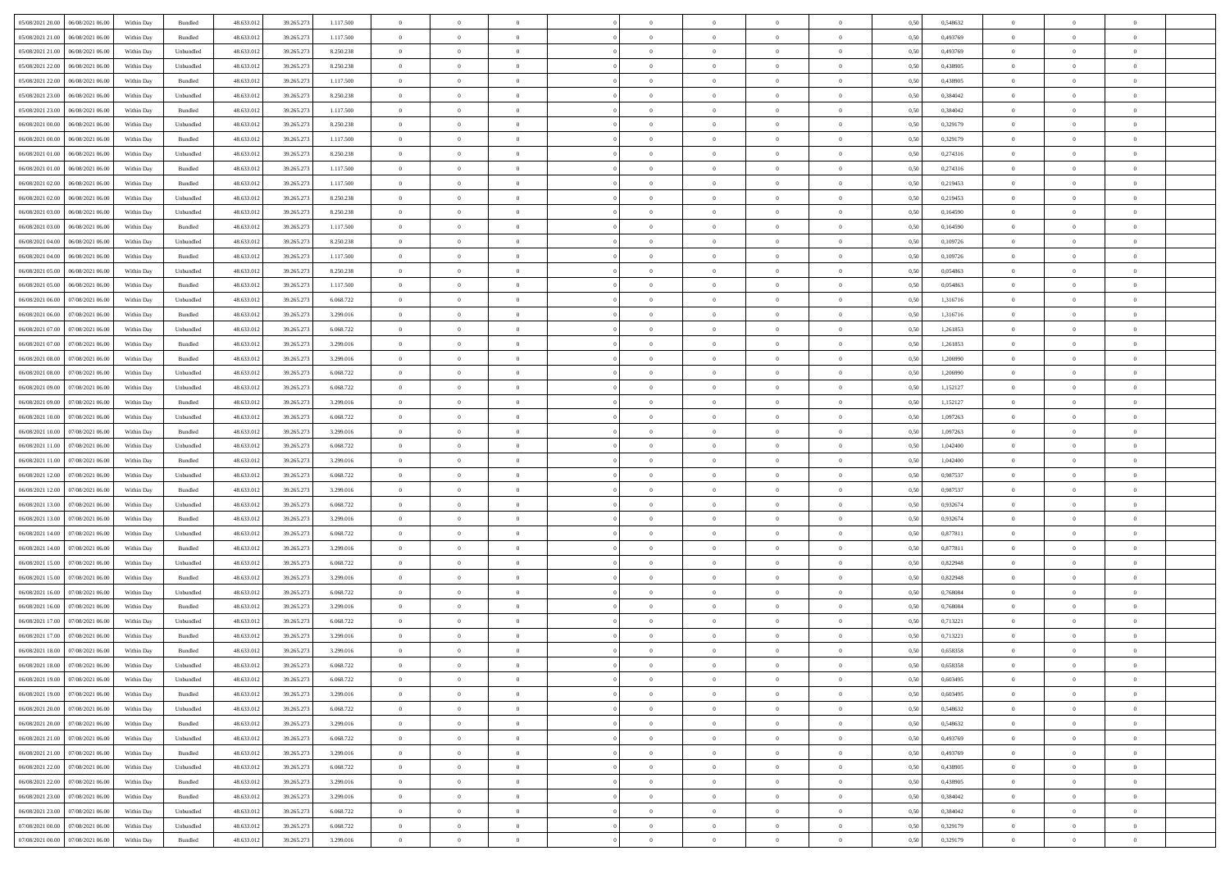|                                              |            |                   |            |            |           | $\overline{0}$ | $\theta$       |                | $\overline{0}$ | $\theta$       |                | $\bf{0}$       |      |          | $\theta$       | $\theta$       | $\theta$       |  |
|----------------------------------------------|------------|-------------------|------------|------------|-----------|----------------|----------------|----------------|----------------|----------------|----------------|----------------|------|----------|----------------|----------------|----------------|--|
| 05/08/2021 20:00   06/08/2021 06:00          | Within Day | Bundled           | 48.633.01  | 39.265.273 | 1.117.500 |                |                |                |                |                |                |                | 0,50 | 0,548632 |                |                |                |  |
| 05/08/2021 21:00<br>06/08/2021 06:00         | Within Day | Bundled           | 48.633.01  | 39.265.27  | 1.117.500 | $\bf{0}$       | $\bf{0}$       | $\bf{0}$       | $\bf{0}$       | $\overline{0}$ | $\overline{0}$ | $\bf{0}$       | 0,50 | 0,493769 | $\,$ 0 $\,$    | $\bf{0}$       | $\overline{0}$ |  |
| 05/08/2021 21:00<br>06/08/2021 06:00         | Within Day | Unbundled         | 48.633.012 | 39.265.27  | 8.250.238 | $\overline{0}$ | $\bf{0}$       | $\overline{0}$ | $\bf{0}$       | $\bf{0}$       | $\overline{0}$ | $\bf{0}$       | 0.50 | 0.493769 | $\bf{0}$       | $\overline{0}$ | $\overline{0}$ |  |
| 05/08/2021 22:00<br>06/08/2021 06:00         | Within Day | Unbundled         | 48.633.01  | 39.265.273 | 8.250.238 | $\overline{0}$ | $\overline{0}$ | $\overline{0}$ | $\theta$       | $\theta$       | $\overline{0}$ | $\bf{0}$       | 0,50 | 0,438905 | $\theta$       | $\theta$       | $\overline{0}$ |  |
| 05/08/2021 22:00<br>06/08/2021 06:00         | Within Day | Bundled           | 48.633.01  | 39.265.27  | 1.117.500 | $\overline{0}$ | $\overline{0}$ | $\bf{0}$       | $\overline{0}$ | $\theta$       | $\overline{0}$ | $\bf{0}$       | 0,50 | 0,438905 | $\,$ 0 $\,$    | $\bf{0}$       | $\overline{0}$ |  |
| 05/08/2021 23:00<br>06/08/2021 06:00         |            | Unbundled         | 48.633.013 | 39.265.27  | 8.250.238 | $\overline{0}$ | $\overline{0}$ | $\overline{0}$ | $\bf{0}$       | $\overline{0}$ | $\theta$       | $\bf{0}$       | 0.50 | 0.384042 | $\,$ 0 $\,$    | $\theta$       | $\overline{0}$ |  |
|                                              | Within Day |                   |            |            |           |                |                |                |                |                |                |                |      |          |                |                |                |  |
| 05/08/2021 23:00<br>06/08/2021 06:00         | Within Day | Bundled           | 48.633.013 | 39.265.273 | 1.117.500 | $\overline{0}$ | $\overline{0}$ | $\overline{0}$ | $\overline{0}$ | $\overline{0}$ | $\overline{0}$ | $\bf{0}$       | 0,50 | 0,384042 | $\theta$       | $\theta$       | $\overline{0}$ |  |
| 06/08/2021 00:00<br>06/08/2021 06:00         | Within Day | Unbundled         | 48.633.01  | 39.265.27  | 8.250.238 | $\bf{0}$       | $\overline{0}$ | $\bf{0}$       | $\overline{0}$ | $\overline{0}$ | $\overline{0}$ | $\bf{0}$       | 0,50 | 0,329179 | $\,$ 0 $\,$    | $\bf{0}$       | $\overline{0}$ |  |
| 06/08/2021 00:00<br>06/08/2021 06:00         | Within Day | Bundled           | 48.633.013 | 39.265.27  | 1.117.500 | $\overline{0}$ | $\bf{0}$       | $\overline{0}$ | $\bf{0}$       | $\overline{0}$ | $\overline{0}$ | $\bf{0}$       | 0.50 | 0,329179 | $\bf{0}$       | $\overline{0}$ | $\overline{0}$ |  |
| 06/08/2021 01:00<br>06/08/2021 06:00         | Within Day | Unbundled         | 48.633.012 | 39.265.273 | 8.250.238 | $\overline{0}$ | $\bf{0}$       | $\overline{0}$ | $\overline{0}$ | $\overline{0}$ | $\overline{0}$ | $\bf{0}$       | 0,50 | 0,274316 | $\,$ 0 $\,$    | $\bf{0}$       | $\overline{0}$ |  |
| 06/08/2021 01:00<br>06/08/2021 06:00         | Within Day | Bundled           | 48.633.01  | 39.265.27  | 1.117.500 | $\bf{0}$       | $\overline{0}$ | $\bf{0}$       | $\bf{0}$       | $\bf{0}$       | $\overline{0}$ | $\bf{0}$       | 0,50 | 0,274316 | $\,$ 0 $\,$    | $\bf{0}$       | $\overline{0}$ |  |
| 06/08/2021 02:00<br>06/08/2021 06:00         | Within Day | Bundled           | 48.633.013 | 39.265.27  | 1.117.500 | $\overline{0}$ | $\bf{0}$       | $\overline{0}$ | $\overline{0}$ | $\bf{0}$       | $\overline{0}$ | $\bf{0}$       | 0.50 | 0,219453 | $\bf{0}$       | $\overline{0}$ | $\,$ 0         |  |
| 06/08/2021 02:00<br>06/08/2021 06:00         | Within Day | Unbundled         | 48.633.01  | 39.265.273 | 8.250.238 | $\overline{0}$ | $\overline{0}$ | $\overline{0}$ | $\theta$       | $\theta$       | $\overline{0}$ | $\bf{0}$       | 0,50 | 0,219453 | $\,$ 0 $\,$    | $\theta$       | $\overline{0}$ |  |
|                                              |            |                   |            |            |           |                |                |                |                |                |                |                |      |          |                |                |                |  |
| 06/08/2021 03:00<br>06/08/2021 06:00         | Within Day | Unbundled         | 48.633.01  | 39.265.27  | 8.250.238 | $\bf{0}$       | $\overline{0}$ | $\bf{0}$       | $\overline{0}$ | $\theta$       | $\overline{0}$ | $\bf{0}$       | 0,50 | 0,164590 | $\,$ 0 $\,$    | $\bf{0}$       | $\overline{0}$ |  |
| 06/08/2021 03:00<br>06/08/2021 06:00         | Within Day | Bundled           | 48.633.013 | 39.265.27  | 1.117.500 | $\overline{0}$ | $\overline{0}$ | $\overline{0}$ | $\bf{0}$       | $\overline{0}$ | $\theta$       | $\bf{0}$       | 0.50 | 0.164590 | $\,$ 0 $\,$    | $\theta$       | $\overline{0}$ |  |
| 06/08/2021 04:00<br>06/08/2021 06:00         | Within Day | Unbundled         | 48.633.013 | 39.265.273 | 8.250.238 | $\overline{0}$ | $\overline{0}$ | $\overline{0}$ | $\overline{0}$ | $\overline{0}$ | $\overline{0}$ | $\bf{0}$       | 0,50 | 0,109726 | $\theta$       | $\theta$       | $\overline{0}$ |  |
| 06/08/2021 04:00<br>06/08/2021 06:00         | Within Day | Bundled           | 48.633.01  | 39.265.27  | 1.117.500 | $\bf{0}$       | $\overline{0}$ | $\bf{0}$       | $\overline{0}$ | $\bf{0}$       | $\overline{0}$ | $\bf{0}$       | 0,50 | 0,109726 | $\,$ 0 $\,$    | $\bf{0}$       | $\overline{0}$ |  |
| 06/08/2021 05:00<br>06/08/2021 06:00         | Within Day | Unbundled         | 48.633.013 | 39.265.27  | 8.250.238 | $\overline{0}$ | $\bf{0}$       | $\overline{0}$ | $\bf{0}$       | $\overline{0}$ | $\overline{0}$ | $\bf{0}$       | 0.50 | 0.054863 | $\bf{0}$       | $\overline{0}$ | $\bf{0}$       |  |
| 06/08/2021 05:00<br>06/08/2021 06:00         | Within Day | Bundled           | 48.633.013 | 39.265.273 | 1.117.500 | $\overline{0}$ | $\bf{0}$       | $\overline{0}$ | $\overline{0}$ | $\overline{0}$ | $\overline{0}$ | $\bf{0}$       | 0,50 | 0,054863 | $\,$ 0 $\,$    | $\bf{0}$       | $\overline{0}$ |  |
| 06/08/2021 06:00<br>07/08/2021 06.00         | Within Day | Unbundled         | 48.633.01  | 39.265.27  | 6.068.722 | $\bf{0}$       | $\bf{0}$       | $\bf{0}$       | $\bf{0}$       | $\overline{0}$ | $\overline{0}$ | $\bf{0}$       | 0,50 | 1,316716 | $\,$ 0 $\,$    | $\bf{0}$       | $\overline{0}$ |  |
| 07/08/2021 06:00                             |            | Bundled           | 48.633.012 |            |           |                |                | $\overline{0}$ |                |                | $\overline{0}$ |                |      | 1.316716 |                |                | $\,$ 0         |  |
| 06/08/2021 06:00                             | Within Day |                   |            | 39.265.27  | 3.299.016 | $\overline{0}$ | $\bf{0}$       |                | $\overline{0}$ | $\bf{0}$       |                | $\bf{0}$       | 0.50 |          | $\bf{0}$       | $\overline{0}$ |                |  |
| 06/08/2021 07:00<br>07/08/2021 06:00         | Within Day | Unbundled         | 48.633.01  | 39.265.273 | 6.068.722 | $\overline{0}$ | $\overline{0}$ | $\overline{0}$ | $\overline{0}$ | $\theta$       | $\overline{0}$ | $\bf{0}$       | 0,50 | 1,261853 | $\theta$       | $\theta$       | $\overline{0}$ |  |
| 06/08/2021 07:00<br>07/08/2021 06.00         | Within Day | Bundled           | 48.633.013 | 39.265.27  | 3.299.016 | $\bf{0}$       | $\overline{0}$ | $\bf{0}$       | $\bf{0}$       | $\,$ 0 $\,$    | $\overline{0}$ | $\bf{0}$       | 0,50 | 1,261853 | $\,$ 0 $\,$    | $\bf{0}$       | $\overline{0}$ |  |
| 06/08/2021 08:00<br>07/08/2021 06:00         | Within Day | Bundled           | 48.633.013 | 39.265.27  | 3.299.016 | $\overline{0}$ | $\overline{0}$ | $\overline{0}$ | $\bf{0}$       | $\overline{0}$ | $\theta$       | $\bf{0}$       | 0.50 | 1.206990 | $\,$ 0 $\,$    | $\theta$       | $\overline{0}$ |  |
| 06/08/2021 08:00<br>07/08/2021 06:00         | Within Day | Unbundled         | 48.633.013 | 39.265.273 | 6.068.722 | $\overline{0}$ | $\overline{0}$ | $\overline{0}$ | $\overline{0}$ | $\overline{0}$ | $\overline{0}$ | $\bf{0}$       | 0,50 | 1,206990 | $\,$ 0 $\,$    | $\theta$       | $\overline{0}$ |  |
| 06/08/2021 09:00<br>07/08/2021 06.00         | Within Day | Unbundled         | 48.633.013 | 39.265.27  | 6.068.722 | $\bf{0}$       | $\overline{0}$ | $\bf{0}$       | $\overline{0}$ | $\bf{0}$       | $\overline{0}$ | $\bf{0}$       | 0,50 | 1,152127 | $\,$ 0 $\,$    | $\bf{0}$       | $\overline{0}$ |  |
| 06/08/2021 09:00<br>07/08/2021 06:00         | Within Day | Bundled           | 48.633.013 | 39.265.27  | 3.299.016 | $\overline{0}$ | $\bf{0}$       | $\overline{0}$ | $\bf{0}$       | $\overline{0}$ | $\overline{0}$ | $\bf{0}$       | 0.50 | 1.152127 | $\bf{0}$       | $\overline{0}$ | $\overline{0}$ |  |
| 06/08/2021 10:00<br>07/08/2021 06:00         | Within Day | Unbundled         | 48.633.01  | 39.265.273 | 6.068.722 | $\overline{0}$ | $\bf{0}$       | $\overline{0}$ | $\overline{0}$ | $\overline{0}$ | $\overline{0}$ | $\bf{0}$       | 0,50 | 1,097263 | $\theta$       | $\theta$       | $\overline{0}$ |  |
| 06/08/2021 10:00<br>07/08/2021 06:00         | Within Day | Bundled           | 48.633.01  | 39.265.27  | 3.299.016 | $\bf{0}$       | $\bf{0}$       | $\bf{0}$       | $\bf{0}$       | $\overline{0}$ | $\overline{0}$ | $\bf{0}$       | 0,50 | 1,097263 | $\,$ 0 $\,$    | $\bf{0}$       | $\overline{0}$ |  |
| 06/08/2021 11:00<br>07/08/2021 06:00         | Within Day | Unbundled         | 48.633.013 | 39.265.27  | 6.068.722 | $\overline{0}$ | $\bf{0}$       | $\overline{0}$ | $\bf{0}$       | $\bf{0}$       | $\overline{0}$ | $\bf{0}$       | 0.50 | 1.042400 | $\bf{0}$       | $\overline{0}$ | $\bf{0}$       |  |
|                                              |            |                   |            |            |           |                |                |                |                |                |                |                |      |          |                |                |                |  |
| 06/08/2021 11:00<br>07/08/2021 06:00         | Within Day | Bundled           | 48.633.013 | 39.265.27  | 3.299.016 | $\overline{0}$ | $\overline{0}$ | $\overline{0}$ | $\overline{0}$ | $\overline{0}$ | $\overline{0}$ | $\bf{0}$       | 0.50 | 1,042400 | $\theta$       | $\theta$       | $\overline{0}$ |  |
| 06/08/2021 12:00<br>07/08/2021 06.00         | Within Day | Unbundled         | 48.633.01  | 39.265.27  | 6.068.722 | $\bf{0}$       | $\overline{0}$ | $\bf{0}$       | $\bf{0}$       | $\,$ 0 $\,$    | $\overline{0}$ | $\bf{0}$       | 0,50 | 0,987537 | $\,$ 0 $\,$    | $\bf{0}$       | $\overline{0}$ |  |
| 06/08/2021 12:00<br>07/08/2021 06:00         | Within Day | Bundled           | 48.633.013 | 39.265.27  | 3.299.016 | $\overline{0}$ | $\bf{0}$       | $\overline{0}$ | $\bf{0}$       | $\overline{0}$ | $\Omega$       | $\bf{0}$       | 0.50 | 0.987537 | $\,$ 0 $\,$    | $\theta$       | $\overline{0}$ |  |
| 06/08/2021 13:00<br>07/08/2021 06:00         | Within Dav | Unbundled         | 48.633.013 | 39.265.273 | 6.068.722 | $\overline{0}$ | $\overline{0}$ | $\overline{0}$ | $\overline{0}$ | $\theta$       | $\overline{0}$ | $\bf{0}$       | 0.50 | 0,932674 | $\theta$       | $\theta$       | $\overline{0}$ |  |
| 06/08/2021 13:00<br>07/08/2021 06.00         | Within Day | Bundled           | 48.633.013 | 39.265.27  | 3.299.016 | $\bf{0}$       | $\bf{0}$       | $\bf{0}$       | $\bf{0}$       | $\overline{0}$ | $\overline{0}$ | $\bf{0}$       | 0,50 | 0,932674 | $\,$ 0 $\,$    | $\bf{0}$       | $\overline{0}$ |  |
| 06/08/2021 14:00<br>07/08/2021 06:00         | Within Day | Unbundled         | 48.633.013 | 39.265.27  | 6.068.722 | $\overline{0}$ | $\bf{0}$       | $\overline{0}$ | $\bf{0}$       | $\overline{0}$ | $\overline{0}$ | $\bf{0}$       | 0.50 | 0.877811 | $\bf{0}$       | $\overline{0}$ | $\overline{0}$ |  |
| 06/08/2021 14:00<br>07/08/2021 06:00         | Within Day | Bundled           | 48.633.013 | 39.265.27  | 3.299.016 | $\overline{0}$ | $\overline{0}$ | $\overline{0}$ | $\overline{0}$ | $\overline{0}$ | $\overline{0}$ | $\bf{0}$       | 0.50 | 0,877811 | $\theta$       | $\theta$       | $\overline{0}$ |  |
| 06/08/2021 15:00<br>07/08/2021 06.00         | Within Day | Unbundled         | 48.633.01  | 39.265.27  | 6.068.722 | $\bf{0}$       | $\bf{0}$       | $\bf{0}$       | $\bf{0}$       | $\overline{0}$ | $\overline{0}$ | $\bf{0}$       | 0,50 | 0,822948 | $\,$ 0 $\,$    | $\bf{0}$       | $\overline{0}$ |  |
| 07/08/2021 06:00                             |            | Bundled           | 48.633.012 |            |           |                |                | $\overline{0}$ |                |                | $\overline{0}$ |                |      |          |                |                |                |  |
| 06/08/2021 15:00                             | Within Day |                   |            | 39.265.27  | 3.299.016 | $\overline{0}$ | $\bf{0}$       |                | $\overline{0}$ | $\bf{0}$       |                | $\bf{0}$       | 0.50 | 0,822948 | $\bf{0}$       | $\overline{0}$ | $\bf{0}$       |  |
| 06/08/2021 16:00<br>07/08/2021 06:00         | Within Day | Unbundled         | 48.633.013 | 39.265.27  | 6.068.722 | $\overline{0}$ | $\overline{0}$ | $\overline{0}$ | $\overline{0}$ | $\overline{0}$ | $\overline{0}$ | $\bf{0}$       | 0.50 | 0.768084 | $\theta$       | $\theta$       | $\overline{0}$ |  |
| 06/08/2021 16:00<br>07/08/2021 06.00         | Within Day | Bundled           | 48.633.013 | 39.265.27  | 3.299.016 | $\bf{0}$       | $\bf{0}$       | $\bf{0}$       | $\bf{0}$       | $\overline{0}$ | $\overline{0}$ | $\bf{0}$       | 0,50 | 0,768084 | $\,$ 0 $\,$    | $\bf{0}$       | $\overline{0}$ |  |
| 06/08/2021 17:00<br>07/08/2021 06:00         | Within Day | Unbundled         | 48.633.013 | 39.265.27  | 6.068.722 | $\overline{0}$ | $\overline{0}$ | $\overline{0}$ | $\bf{0}$       | $\overline{0}$ | $\Omega$       | $\bf{0}$       | 0.50 | 0,713221 | $\bf{0}$       | $\theta$       | $\overline{0}$ |  |
| 06/08/2021 17:00<br>07/08/2021 06:00         | Within Dav | Bundled           | 48.633.013 | 39.265.27  | 3.299.016 | $\overline{0}$ | $\overline{0}$ | $\Omega$       | $\overline{0}$ | $\theta$       | $\overline{0}$ | $\overline{0}$ | 0.50 | 0,713221 | $\theta$       | $\theta$       | $\overline{0}$ |  |
| 06/08/2021 18:00<br>07/08/2021 06:00         | Within Day | Bundled           | 48.633.01  | 39.265.27  | 3.299.016 | $\bf{0}$       | $\bf{0}$       | $\overline{0}$ | $\bf{0}$       | $\bf{0}$       | $\overline{0}$ | $\bf{0}$       | 0,50 | 0,658358 | $\overline{0}$ | $\bf{0}$       | $\overline{0}$ |  |
| $06/08/2021\ 18.00 \qquad 07/08/2021\ 06.00$ | Within Day | ${\sf Unbundred}$ | 48.633.012 | 39.265.273 | 6.068.722 | $\bf{0}$       | $\Omega$       |                | $\Omega$       |                |                |                | 0,50 | 0,658358 | $\bf{0}$       | $\overline{0}$ |                |  |
| 06/08/2021 19:00 07/08/2021 06:00            | Within Day | Unbundled         | 48.633.012 | 39.265.273 | 6.068.722 | $\overline{0}$ | $\overline{0}$ | $\overline{0}$ | $\overline{0}$ | $\overline{0}$ | $\overline{0}$ | $\bf{0}$       | 0,50 | 0,603495 | $\theta$       | $\overline{0}$ | $\overline{0}$ |  |
|                                              |            |                   |            |            |           |                |                |                |                |                |                |                |      |          |                |                |                |  |
| 06/08/2021 19:00<br>07/08/2021 06:00         | Within Day | Bundled           | 48.633.013 | 39.265.273 | 3.299.016 | $\overline{0}$ | $\bf{0}$       | $\overline{0}$ | $\overline{0}$ | $\bf{0}$       | $\overline{0}$ | $\bf{0}$       | 0,50 | 0,603495 | $\bf{0}$       | $\overline{0}$ | $\bf{0}$       |  |
| 06/08/2021 20:00 07/08/2021 06:00            | Within Day | Unbundled         | 48.633.012 | 39.265.273 | 6.068.722 | $\overline{0}$ | $\overline{0}$ | $\overline{0}$ | $\overline{0}$ | $\mathbf{0}$   | $\overline{0}$ | $\,$ 0 $\,$    | 0.50 | 0.548632 | $\overline{0}$ | $\bf{0}$       | $\bf{0}$       |  |
| 06/08/2021 20:00 07/08/2021 06:00            | Within Day | Bundled           | 48.633.012 | 39.265.273 | 3.299.016 | $\overline{0}$ | $\overline{0}$ | $\overline{0}$ | $\overline{0}$ | $\overline{0}$ | $\overline{0}$ | $\bf{0}$       | 0,50 | 0,548632 | $\overline{0}$ | $\theta$       | $\overline{0}$ |  |
| 06/08/2021 21:00<br>07/08/2021 06:00         | Within Day | Unbundled         | 48.633.012 | 39.265.273 | 6.068.722 | $\overline{0}$ | $\bf{0}$       | $\overline{0}$ | $\overline{0}$ | $\bf{0}$       | $\overline{0}$ | $\bf{0}$       | 0,50 | 0,493769 | $\bf{0}$       | $\overline{0}$ | $\overline{0}$ |  |
| 06/08/2021 21:00 07/08/2021 06:00            | Within Day | Bundled           | 48.633.012 | 39.265.273 | 3.299.016 | $\overline{0}$ | $\bf{0}$       | $\overline{0}$ | $\overline{0}$ | $\bf{0}$       | $\overline{0}$ | $\bf{0}$       | 0.50 | 0.493769 | $\,$ 0 $\,$    | $\overline{0}$ | $\,$ 0         |  |
| 06/08/2021 22:00 07/08/2021 06:00            | Within Dav | Unbundled         | 48.633.012 | 39.265.273 | 6.068.722 | $\overline{0}$ | $\overline{0}$ | $\overline{0}$ | $\overline{0}$ | $\overline{0}$ | $\overline{0}$ | $\bf{0}$       | 0.50 | 0,438905 | $\overline{0}$ | $\theta$       | $\overline{0}$ |  |
| 06/08/2021 22:00<br>07/08/2021 06:00         | Within Day | Bundled           | 48.633.013 | 39.265.273 | 3.299.016 | $\overline{0}$ | $\overline{0}$ | $\overline{0}$ | $\overline{0}$ | $\overline{0}$ | $\overline{0}$ | $\bf{0}$       | 0,50 | 0,438905 | $\bf{0}$       | $\overline{0}$ | $\overline{0}$ |  |
| 06/08/2021 23:00 07/08/2021 06:00            | Within Day | Bundled           | 48.633.012 | 39.265.273 | 3.299.016 | $\overline{0}$ | $\overline{0}$ | $\overline{0}$ | $\overline{0}$ | $\overline{0}$ | $\overline{0}$ | $\bf{0}$       | 0.50 | 0.384042 | $\mathbf{0}$   | $\bf{0}$       | $\,$ 0         |  |
|                                              |            |                   |            |            |           |                | $\overline{0}$ |                |                | $\overline{0}$ |                |                |      |          |                | $\theta$       | $\overline{0}$ |  |
| 06/08/2021 23:00 07/08/2021 06:00            | Within Dav | Unbundled         | 48.633.012 | 39.265.273 | 6.068.722 | $\overline{0}$ |                | $\overline{0}$ | $\overline{0}$ |                | $\overline{0}$ | $\bf{0}$       | 0,50 | 0,384042 | $\overline{0}$ |                |                |  |
| 07/08/2021 00:00<br>07/08/2021 06:00         | Within Day | Unbundled         | 48.633.013 | 39.265.273 | 6.068.722 | $\overline{0}$ | $\bf{0}$       | $\overline{0}$ | $\overline{0}$ | $\overline{0}$ | $\overline{0}$ | $\bf{0}$       | 0,50 | 0,329179 | $\bf{0}$       | $\overline{0}$ | $\bf{0}$       |  |
| 07/08/2021 00:00 07/08/2021 06:00            | Within Day | Bundled           | 48.633.012 | 39.265.273 | 3.299.016 | $\,$ 0 $\,$    | $\bf{0}$       | $\overline{0}$ | $\overline{0}$ | $\,$ 0 $\,$    | $\overline{0}$ | $\,$ 0 $\,$    | 0,50 | 0,329179 | $\overline{0}$ | $\,$ 0 $\,$    | $\,$ 0 $\,$    |  |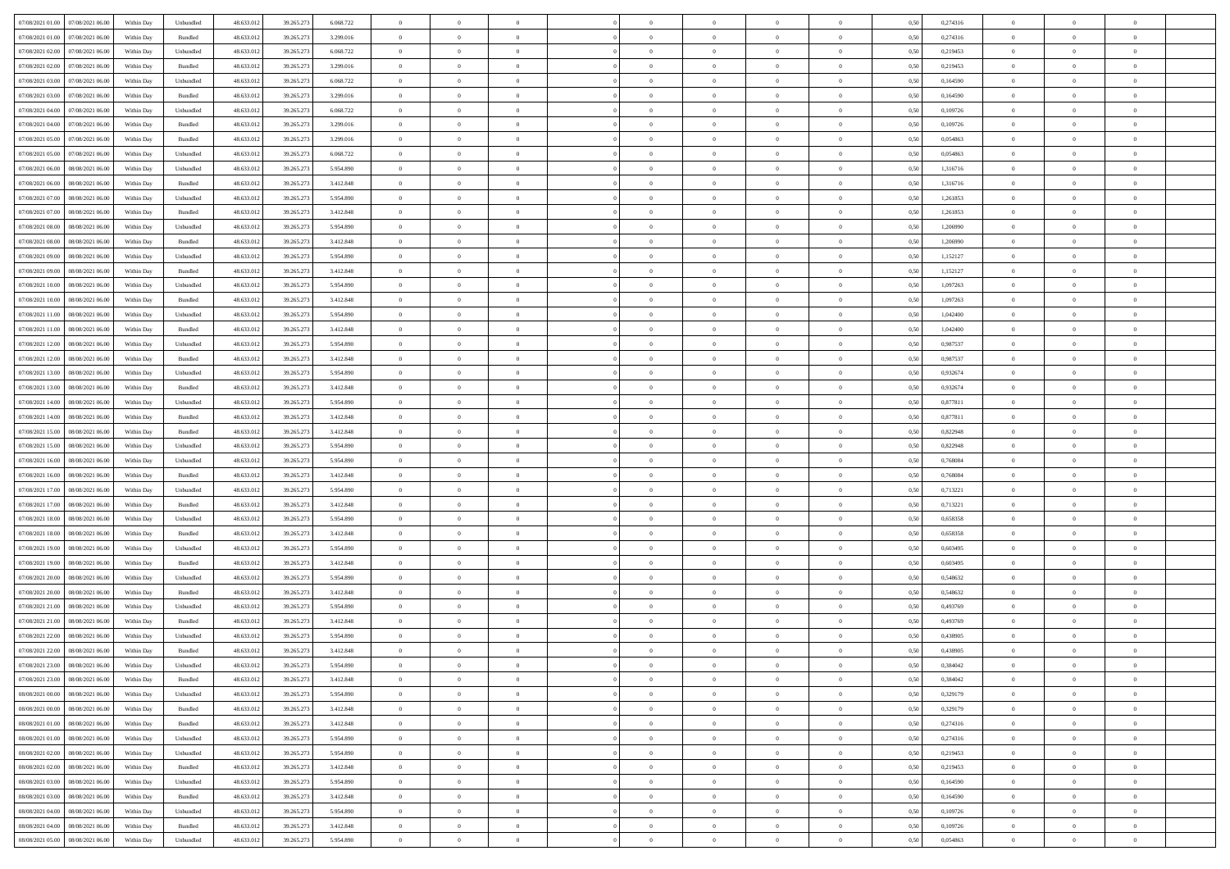| 07/08/2021 01:00 07/08/2021 06:00                                                | Within Day | Unbundled                   | 48.633.01  | 39.265.273 | 6.068.722 | $\overline{0}$ | $\overline{0}$ |                | $\overline{0}$ | $\theta$       |                | $\theta$       | 0,50 | 0,274316 | $\theta$       | $\theta$       | $\overline{0}$ |  |
|----------------------------------------------------------------------------------|------------|-----------------------------|------------|------------|-----------|----------------|----------------|----------------|----------------|----------------|----------------|----------------|------|----------|----------------|----------------|----------------|--|
| 07/08/2021 01:00<br>07/08/2021 06:00                                             | Within Day | Bundled                     | 48.633.01  | 39.265.27  | 3.299.016 | $\bf{0}$       | $\bf{0}$       | $\bf{0}$       | $\overline{0}$ | $\overline{0}$ | $\overline{0}$ | $\bf{0}$       | 0,50 | 0,274316 | $\,$ 0 $\,$    | $\bf{0}$       | $\overline{0}$ |  |
| 07/08/2021 02:00<br>07/08/2021 06:00                                             | Within Day | Unbundled                   | 48.633.012 | 39.265.27  | 6.068.722 | $\overline{0}$ | $\bf{0}$       | $\overline{0}$ | $\bf{0}$       | $\bf{0}$       | $\overline{0}$ | $\bf{0}$       | 0.50 | 0,219453 | $\bf{0}$       | $\overline{0}$ | $\overline{0}$ |  |
| 07/08/2021 02:00<br>07/08/2021 06:00                                             | Within Day | Bundled                     | 48.633.013 | 39.265.273 | 3.299.016 | $\overline{0}$ | $\bf{0}$       | $\overline{0}$ | $\overline{0}$ | $\theta$       | $\overline{0}$ | $\bf{0}$       | 0,50 | 0,219453 | $\theta$       | $\theta$       | $\overline{0}$ |  |
| 07/08/2021 03:00<br>07/08/2021 06.00                                             | Within Day | Unbundled                   | 48.633.01  | 39.265.27  | 6.068.722 | $\bf{0}$       | $\overline{0}$ | $\bf{0}$       | $\overline{0}$ | $\theta$       | $\overline{0}$ | $\bf{0}$       | 0,50 | 0,164590 | $\,$ 0 $\,$    | $\bf{0}$       | $\overline{0}$ |  |
|                                                                                  |            |                             |            |            |           |                |                |                |                |                | $\theta$       |                |      |          |                |                |                |  |
| 07/08/2021 03:00<br>07/08/2021 06:00                                             | Within Day | Bundled                     | 48.633.013 | 39.265.27  | 3.299.016 | $\overline{0}$ | $\overline{0}$ | $\overline{0}$ | $\bf{0}$       | $\overline{0}$ |                | $\bf{0}$       | 0.50 | 0.164590 | $\,$ 0 $\,$    | $\theta$       | $\overline{0}$ |  |
| 07/08/2021 04:00<br>07/08/2021 06:00                                             | Within Day | Unbundled                   | 48.633.013 | 39.265.273 | 6.068.722 | $\overline{0}$ | $\overline{0}$ | $\overline{0}$ | $\overline{0}$ | $\overline{0}$ | $\overline{0}$ | $\bf{0}$       | 0,50 | 0,109726 | $\,$ 0 $\,$    | $\theta$       | $\overline{0}$ |  |
| 07/08/2021 04:00<br>07/08/2021 06.00                                             | Within Day | Bundled                     | 48.633.01  | 39.265.27  | 3.299.016 | $\bf{0}$       | $\overline{0}$ | $\bf{0}$       | $\overline{0}$ | $\overline{0}$ | $\overline{0}$ | $\bf{0}$       | 0,50 | 0,109726 | $\,$ 0 $\,$    | $\bf{0}$       | $\overline{0}$ |  |
| 07/08/2021 05:00<br>07/08/2021 06:00                                             | Within Day | Bundled                     | 48.633.013 | 39.265.27  | 3.299.016 | $\overline{0}$ | $\bf{0}$       | $\overline{0}$ | $\bf{0}$       | $\overline{0}$ | $\overline{0}$ | $\bf{0}$       | 0.50 | 0.054863 | $\bf{0}$       | $\overline{0}$ | $\overline{0}$ |  |
| 07/08/2021 05:00<br>07/08/2021 06:00                                             | Within Day | Unbundled                   | 48.633.012 | 39.265.273 | 6.068.722 | $\bf{0}$       | $\bf{0}$       | $\overline{0}$ | $\overline{0}$ | $\overline{0}$ | $\overline{0}$ | $\bf{0}$       | 0,50 | 0,054863 | $\,$ 0 $\,$    | $\bf{0}$       | $\overline{0}$ |  |
| 07/08/2021 06:00<br>08/08/2021 06:00                                             | Within Day | Unbundled                   | 48.633.01  | 39.265.27  | 5.954.890 | $\bf{0}$       | $\overline{0}$ | $\bf{0}$       | $\bf{0}$       | $\bf{0}$       | $\overline{0}$ | $\bf{0}$       | 0,50 | 1,316716 | $\,$ 0 $\,$    | $\bf{0}$       | $\overline{0}$ |  |
| 07/08/2021 06:00<br>08/08/2021 06:00                                             | Within Day | Bundled                     | 48.633.013 | 39.265.27  | 3.412.848 | $\overline{0}$ | $\bf{0}$       | $\overline{0}$ | $\overline{0}$ | $\bf{0}$       | $\overline{0}$ | $\bf{0}$       | 0.50 | 1.316716 | $\bf{0}$       | $\overline{0}$ | $\bf{0}$       |  |
| 07/08/2021 07:00<br>08/08/2021 06:00                                             | Within Day | Unbundled                   | 48.633.01  | 39.265.273 | 5.954.890 | $\overline{0}$ | $\overline{0}$ | $\overline{0}$ | $\theta$       | $\theta$       | $\overline{0}$ | $\bf{0}$       | 0,50 | 1,261853 | $\,$ 0 $\,$    | $\theta$       | $\overline{0}$ |  |
|                                                                                  |            |                             |            |            |           |                |                |                |                |                |                |                |      |          |                |                |                |  |
| 07/08/2021 07:00<br>08/08/2021 06:00                                             | Within Day | Bundled                     | 48.633.01  | 39.265.27  | 3.412.848 | $\bf{0}$       | $\overline{0}$ | $\bf{0}$       | $\overline{0}$ | $\theta$       | $\overline{0}$ | $\bf{0}$       | 0,50 | 1,261853 | $\,$ 0 $\,$    | $\bf{0}$       | $\overline{0}$ |  |
| 07/08/2021 08:00<br>08/08/2021 06:00                                             | Within Day | Unbundled                   | 48.633.013 | 39.265.27  | 5.954.890 | $\overline{0}$ | $\overline{0}$ | $\overline{0}$ | $\bf{0}$       | $\overline{0}$ | $\Omega$       | $\bf{0}$       | 0.50 | 1.206990 | $\,$ 0 $\,$    | $\theta$       | $\overline{0}$ |  |
| 07/08/2021 08:00<br>08/08/2021 06:00                                             | Within Day | Bundled                     | 48.633.013 | 39.265.273 | 3.412.848 | $\overline{0}$ | $\overline{0}$ | $\overline{0}$ | $\overline{0}$ | $\overline{0}$ | $\overline{0}$ | $\bf{0}$       | 0,50 | 1,206990 | $\theta$       | $\theta$       | $\overline{0}$ |  |
| 07/08/2021 09:00<br>08/08/2021 06:00                                             | Within Day | Unbundled                   | 48.633.01  | 39.265.27  | 5.954.890 | $\bf{0}$       | $\overline{0}$ | $\bf{0}$       | $\overline{0}$ | $\theta$       | $\overline{0}$ | $\bf{0}$       | 0,50 | 1,152127 | $\,$ 0 $\,$    | $\bf{0}$       | $\overline{0}$ |  |
| 07/08/2021 09:00<br>08/08/2021 06:00                                             | Within Day | Bundled                     | 48.633.013 | 39.265.27  | 3.412.848 | $\overline{0}$ | $\bf{0}$       | $\overline{0}$ | $\bf{0}$       | $\overline{0}$ | $\overline{0}$ | $\bf{0}$       | 0.50 | 1.152127 | $\bf{0}$       | $\overline{0}$ | $\overline{0}$ |  |
| 07/08/2021 10:00<br>08/08/2021 06:00                                             | Within Day | Unbundled                   | 48.633.013 | 39.265.273 | 5.954.890 | $\bf{0}$       | $\bf{0}$       | $\overline{0}$ | $\overline{0}$ | $\overline{0}$ | $\overline{0}$ | $\bf{0}$       | 0,50 | 1,097263 | $\,$ 0 $\,$    | $\bf{0}$       | $\overline{0}$ |  |
| 07/08/2021 10:00<br>08/08/2021 06:00                                             | Within Day | Bundled                     | 48.633.01  | 39.265.27  | 3.412.848 | $\bf{0}$       | $\bf{0}$       | $\bf{0}$       | $\bf{0}$       | $\overline{0}$ | $\overline{0}$ | $\bf{0}$       | 0,50 | 1,097263 | $\,$ 0 $\,$    | $\bf{0}$       | $\overline{0}$ |  |
|                                                                                  |            |                             |            |            |           |                |                |                |                |                |                |                |      |          |                |                |                |  |
| 07/08/2021 11:00<br>08/08/2021 06:00                                             | Within Day | Unbundled                   | 48.633.013 | 39.265.27  | 5.954.890 | $\overline{0}$ | $\bf{0}$       | $\overline{0}$ | $\overline{0}$ | $\bf{0}$       | $\overline{0}$ | $\bf{0}$       | 0.50 | 1.042400 | $\bf{0}$       | $\overline{0}$ | $\overline{0}$ |  |
| 07/08/2021 11:00<br>08/08/2021 06:00                                             | Within Day | Bundled                     | 48.633.01  | 39.265.273 | 3.412.848 | $\overline{0}$ | $\overline{0}$ | $\overline{0}$ | $\overline{0}$ | $\theta$       | $\overline{0}$ | $\bf{0}$       | 0,50 | 1,042400 | $\theta$       | $\theta$       | $\overline{0}$ |  |
| 07/08/2021 12:00<br>08/08/2021 06:00                                             | Within Day | Unbundled                   | 48.633.01  | 39.265.27  | 5.954.890 | $\bf{0}$       | $\overline{0}$ | $\bf{0}$       | $\bf{0}$       | $\,$ 0 $\,$    | $\overline{0}$ | $\bf{0}$       | 0,50 | 0,987537 | $\,$ 0 $\,$    | $\bf{0}$       | $\overline{0}$ |  |
| 07/08/2021 12:00<br>08/08/2021 06:00                                             | Within Day | Bundled                     | 48.633.013 | 39.265.27  | 3.412.848 | $\overline{0}$ | $\overline{0}$ | $\overline{0}$ | $\bf{0}$       | $\overline{0}$ | $\Omega$       | $\bf{0}$       | 0.50 | 0.987537 | $\,$ 0 $\,$    | $\theta$       | $\overline{0}$ |  |
| 07/08/2021 13:00<br>08/08/2021 06:00                                             | Within Day | Unbundled                   | 48.633.013 | 39.265.273 | 5.954.890 | $\overline{0}$ | $\overline{0}$ | $\overline{0}$ | $\overline{0}$ | $\overline{0}$ | $\overline{0}$ | $\bf{0}$       | 0,50 | 0,932674 | $\,$ 0 $\,$    | $\theta$       | $\overline{0}$ |  |
| 07/08/2021 13:00<br>08/08/2021 06:00                                             | Within Day | Bundled                     | 48.633.01  | 39.265.27  | 3.412.848 | $\bf{0}$       | $\overline{0}$ | $\bf{0}$       | $\overline{0}$ | $\theta$       | $\overline{0}$ | $\bf{0}$       | 0,50 | 0,932674 | $\,$ 0 $\,$    | $\bf{0}$       | $\overline{0}$ |  |
| 07/08/2021 14:00<br>08/08/2021 06:00                                             | Within Day | Unbundled                   | 48.633.013 | 39.265.27  | 5.954.890 | $\overline{0}$ | $\bf{0}$       | $\overline{0}$ | $\bf{0}$       | $\overline{0}$ | $\overline{0}$ | $\bf{0}$       | 0.50 | 0.877811 | $\bf{0}$       | $\overline{0}$ | $\overline{0}$ |  |
| 07/08/2021 14:00<br>08/08/2021 06:00                                             | Within Day | Bundled                     | 48.633.01  | 39.265.273 | 3.412.848 | $\overline{0}$ | $\bf{0}$       | $\overline{0}$ | $\overline{0}$ | $\overline{0}$ | $\overline{0}$ | $\bf{0}$       | 0,50 | 0,877811 | $\theta$       | $\theta$       | $\overline{0}$ |  |
|                                                                                  |            |                             |            |            |           |                |                |                |                |                |                |                |      |          |                |                |                |  |
| 07/08/2021 15:00<br>08/08/2021 06:00                                             | Within Day | Bundled                     | 48.633.01  | 39.265.27  | 3.412.848 | $\bf{0}$       | $\bf{0}$       | $\bf{0}$       | $\bf{0}$       | $\overline{0}$ | $\overline{0}$ | $\bf{0}$       | 0,50 | 0,822948 | $\,$ 0 $\,$    | $\bf{0}$       | $\overline{0}$ |  |
| 07/08/2021 15:00<br>08/08/2021 06:00                                             | Within Day | Unbundled                   | 48.633.013 | 39.265.27  | 5.954.890 | $\overline{0}$ | $\bf{0}$       | $\overline{0}$ | $\bf{0}$       | $\bf{0}$       | $\overline{0}$ | $\bf{0}$       | 0.50 | 0.822948 | $\bf{0}$       | $\overline{0}$ | $\overline{0}$ |  |
| 07/08/2021 16:00<br>08/08/2021 06:00                                             | Within Day | Unbundled                   | 48.633.013 | 39.265.27  | 5.954.890 | $\overline{0}$ | $\overline{0}$ | $\overline{0}$ | $\overline{0}$ | $\overline{0}$ | $\overline{0}$ | $\bf{0}$       | 0.50 | 0.768084 | $\theta$       | $\theta$       | $\overline{0}$ |  |
| 07/08/2021 16:00<br>08/08/2021 06:00                                             | Within Day | Bundled                     | 48.633.01  | 39.265.27  | 3.412.848 | $\bf{0}$       | $\overline{0}$ | $\bf{0}$       | $\bf{0}$       | $\overline{0}$ | $\overline{0}$ | $\bf{0}$       | 0,50 | 0,768084 | $\,$ 0 $\,$    | $\bf{0}$       | $\overline{0}$ |  |
| 07/08/2021 17:00<br>08/08/2021 06:00                                             | Within Day | Unbundled                   | 48.633.013 | 39.265.27  | 5.954.890 | $\overline{0}$ | $\bf{0}$       | $\overline{0}$ | $\bf{0}$       | $\overline{0}$ | $\Omega$       | $\bf{0}$       | 0.50 | 0,713221 | $\,$ 0 $\,$    | $\theta$       | $\overline{0}$ |  |
| 07/08/2021 17:00<br>08/08/2021 06:00                                             | Within Dav | Bundled                     | 48.633.013 | 39.265.273 | 3.412.848 | $\overline{0}$ | $\overline{0}$ | $\overline{0}$ | $\overline{0}$ | $\theta$       | $\overline{0}$ | $\overline{0}$ | 0.50 | 0,713221 | $\theta$       | $\theta$       | $\overline{0}$ |  |
| 07/08/2021 18:00<br>08/08/2021 06:00                                             | Within Day | Unbundled                   | 48.633.01  | 39.265.27  | 5.954.890 | $\bf{0}$       | $\bf{0}$       | $\bf{0}$       | $\bf{0}$       | $\bf{0}$       | $\overline{0}$ | $\bf{0}$       | 0,50 | 0,658358 | $\,$ 0 $\,$    | $\bf{0}$       | $\overline{0}$ |  |
| 07/08/2021 18:00<br>08/08/2021 06:00                                             | Within Day | Bundled                     | 48.633.013 | 39.265.27  | 3.412.848 | $\overline{0}$ | $\bf{0}$       | $\overline{0}$ | $\bf{0}$       | $\overline{0}$ | $\overline{0}$ | $\bf{0}$       | 0.50 | 0.658358 | $\bf{0}$       | $\overline{0}$ | $\overline{0}$ |  |
| 07/08/2021 19:00<br>08/08/2021 06:00                                             | Within Day | Unbundled                   | 48.633.013 | 39.265.27  | 5.954.890 | $\overline{0}$ | $\overline{0}$ | $\overline{0}$ | $\overline{0}$ | $\overline{0}$ | $\overline{0}$ | $\overline{0}$ | 0.50 | 0,603495 | $\theta$       | $\theta$       | $\overline{0}$ |  |
|                                                                                  |            |                             |            |            |           |                |                |                |                |                |                |                |      |          |                |                |                |  |
| 07/08/2021 19:00<br>08/08/2021 06:00                                             | Within Day | Bundled                     | 48.633.01  | 39.265.27  | 3.412.848 | $\bf{0}$       | $\bf{0}$       | $\bf{0}$       | $\bf{0}$       | $\overline{0}$ | $\overline{0}$ | $\bf{0}$       | 0,50 | 0,603495 | $\,$ 0 $\,$    | $\bf{0}$       | $\overline{0}$ |  |
| 07/08/2021 20:00<br>08/08/2021 06:00                                             | Within Day | Unbundled                   | 48.633.013 | 39.265.27  | 5.954.890 | $\overline{0}$ | $\bf{0}$       | $\overline{0}$ | $\overline{0}$ | $\bf{0}$       | $\overline{0}$ | $\bf{0}$       | 0.50 | 0.548632 | $\bf{0}$       | $\overline{0}$ | $\overline{0}$ |  |
| 07/08/2021 20:00<br>08/08/2021 06:00                                             | Within Day | Bundled                     | 48.633.013 | 39.265.273 | 3.412.848 | $\overline{0}$ | $\overline{0}$ | $\overline{0}$ | $\overline{0}$ | $\overline{0}$ | $\overline{0}$ | $\bf{0}$       | 0.50 | 0.548632 | $\theta$       | $\theta$       | $\overline{0}$ |  |
| 07/08/2021 21:00<br>08/08/2021 06:00                                             | Within Day | Unbundled                   | 48.633.013 | 39.265.27  | 5.954.890 | $\bf{0}$       | $\bf{0}$       | $\bf{0}$       | $\bf{0}$       | $\overline{0}$ | $\overline{0}$ | $\bf{0}$       | 0,50 | 0,493769 | $\,$ 0 $\,$    | $\bf{0}$       | $\overline{0}$ |  |
| 07/08/2021 21:00<br>08/08/2021 06:00                                             | Within Day | Bundled                     | 48.633.013 | 39.265.27  | 3.412.848 | $\overline{0}$ | $\overline{0}$ | $\overline{0}$ | $\bf{0}$       | $\theta$       | $\Omega$       | $\bf{0}$       | 0.50 | 0.493769 | $\bf{0}$       | $\theta$       | $\overline{0}$ |  |
| 07/08/2021 22:00<br>08/08/2021 06:00                                             | Within Dav | Unbundled                   | 48.633.013 | 39.265.27  | 5.954.890 | $\overline{0}$ | $\overline{0}$ | $\Omega$       | $\overline{0}$ | $\theta$       | $\Omega$       | $\overline{0}$ | 0.5( | 0,438905 | $\theta$       | $\theta$       | $\overline{0}$ |  |
| 07/08/2021 22:00<br>08/08/2021 06:00                                             | Within Day | Bundled                     | 48.633.01  | 39.265.27  | 3.412.848 | $\bf{0}$       | $\bf{0}$       | $\overline{0}$ | $\bf{0}$       | $\bf{0}$       | $\overline{0}$ | $\bf{0}$       | 0,50 | 0,438905 | $\,$ 0 $\,$    | $\bf{0}$       | $\overline{0}$ |  |
| ${\color{red} 07/08/2021~23.00} \begin{array}{c} \ 08/08/2021~06.00 \end{array}$ | Within Day | $\ensuremath{\mathsf{Unb}}$ | 48.633.012 | 39.265.273 | 5954.890  | $\overline{0}$ | $\Omega$       |                | $\Omega$       |                |                |                | 0,50 | 0,384042 | $\theta$       | $\overline{0}$ |                |  |
|                                                                                  |            |                             |            |            |           |                |                |                |                |                |                |                |      |          |                |                |                |  |
| 07/08/2021 23:00   08/08/2021 06:00                                              | Within Day | Bundled                     | 48.633.012 | 39.265.273 | 3.412.848 | $\overline{0}$ | $\overline{0}$ | $\overline{0}$ | $\theta$       | $\overline{0}$ | $\overline{0}$ | $\bf{0}$       | 0,50 | 0,384042 | $\theta$       | $\overline{0}$ | $\overline{0}$ |  |
| 08/08/2021 00:00<br>08/08/2021 06:00                                             | Within Day | Unbundled                   | 48.633.013 | 39.265.27  | 5.954.890 | $\overline{0}$ | $\bf{0}$       | $\overline{0}$ | $\overline{0}$ | $\bf{0}$       | $\overline{0}$ | $\bf{0}$       | 0,50 | 0,329179 | $\bf{0}$       | $\overline{0}$ | $\bf{0}$       |  |
| 08/08/2021 00:00 08/08/2021 06:00                                                | Within Day | Bundled                     | 48.633.012 | 39.265.273 | 3.412.848 | $\overline{0}$ | $\bf{0}$       | $\overline{0}$ | $\overline{0}$ | $\mathbf{0}$   | $\overline{0}$ | $\,$ 0 $\,$    | 0.50 | 0,329179 | $\overline{0}$ | $\bf{0}$       | $\,$ 0 $\,$    |  |
| 08/08/2021 01:00  08/08/2021 06:00                                               | Within Dav | Bundled                     | 48.633.012 | 39.265.273 | 3.412.848 | $\overline{0}$ | $\overline{0}$ | $\overline{0}$ | $\overline{0}$ | $\overline{0}$ | $\overline{0}$ | $\bf{0}$       | 0,50 | 0,274316 | $\overline{0}$ | $\theta$       | $\overline{0}$ |  |
| 08/08/2021 01:00<br>08/08/2021 06:00                                             | Within Day | Unbundled                   | 48.633.012 | 39.265.273 | 5.954.890 | $\overline{0}$ | $\bf{0}$       | $\overline{0}$ | $\overline{0}$ | $\overline{0}$ | $\overline{0}$ | $\bf{0}$       | 0,50 | 0,274316 | $\bf{0}$       | $\overline{0}$ | $\overline{0}$ |  |
| 08/08/2021 02:00<br>08/08/2021 06:00                                             | Within Day | Unbundled                   | 48.633.012 | 39.265.273 | 5.954.890 | $\overline{0}$ | $\bf{0}$       | $\overline{0}$ | $\overline{0}$ | $\overline{0}$ | $\overline{0}$ | $\bf{0}$       | 0.50 | 0,219453 | $\,$ 0 $\,$    | $\overline{0}$ | $\,$ 0         |  |
| 08/08/2021 02:00<br>08/08/2021 06:00                                             | Within Dav | Bundled                     | 48.633.012 | 39.265.273 | 3.412.848 | $\overline{0}$ | $\overline{0}$ | $\overline{0}$ | $\overline{0}$ | $\overline{0}$ | $\overline{0}$ | $\bf{0}$       | 0.50 | 0,219453 | $\overline{0}$ | $\theta$       | $\overline{0}$ |  |
| 08/08/2021 03:00<br>08/08/2021 06:00                                             | Within Day | Unbundled                   | 48.633.013 | 39.265.27  | 5.954.890 | $\overline{0}$ | $\overline{0}$ | $\overline{0}$ | $\overline{0}$ | $\overline{0}$ | $\overline{0}$ | $\bf{0}$       | 0,50 | 0,164590 | $\bf{0}$       | $\overline{0}$ | $\overline{0}$ |  |
|                                                                                  |            |                             |            |            |           |                |                |                |                |                |                |                |      |          |                |                |                |  |
| 08/08/2021 03:00<br>08/08/2021 06:00                                             | Within Day | Bundled                     | 48.633.012 | 39.265.273 | 3.412.848 | $\overline{0}$ | $\overline{0}$ | $\overline{0}$ | $\overline{0}$ | $\overline{0}$ | $\overline{0}$ | $\bf{0}$       | 0.50 | 0.164590 | $\mathbf{0}$   | $\bf{0}$       | $\,$ 0         |  |
| 08/08/2021 04:00 08/08/2021 06:00                                                | Within Dav | Unbundled                   | 48.633.012 | 39.265.273 | 5.954.890 | $\overline{0}$ | $\overline{0}$ | $\overline{0}$ | $\overline{0}$ | $\overline{0}$ | $\overline{0}$ | $\bf{0}$       | 0,50 | 0,109726 | $\overline{0}$ | $\theta$       | $\overline{0}$ |  |
| 08/08/2021 04:00<br>08/08/2021 06:00                                             | Within Day | Bundled                     | 48.633.013 | 39.265.273 | 3.412.848 | $\overline{0}$ | $\bf{0}$       | $\overline{0}$ | $\bf{0}$       | $\overline{0}$ | $\bf{0}$       | $\bf{0}$       | 0,50 | 0,109726 | $\bf{0}$       | $\bf{0}$       | $\bf{0}$       |  |
| 08/08/2021 05:00  08/08/2021 06:00                                               | Within Day | Unbundled                   | 48.633.012 | 39.265.273 | 5.954.890 | $\overline{0}$ | $\bf{0}$       | $\overline{0}$ | $\overline{0}$ | $\,$ 0 $\,$    | $\overline{0}$ | $\bf{0}$       | 0,50 | 0,054863 | $\overline{0}$ | $\,$ 0 $\,$    | $\,$ 0 $\,$    |  |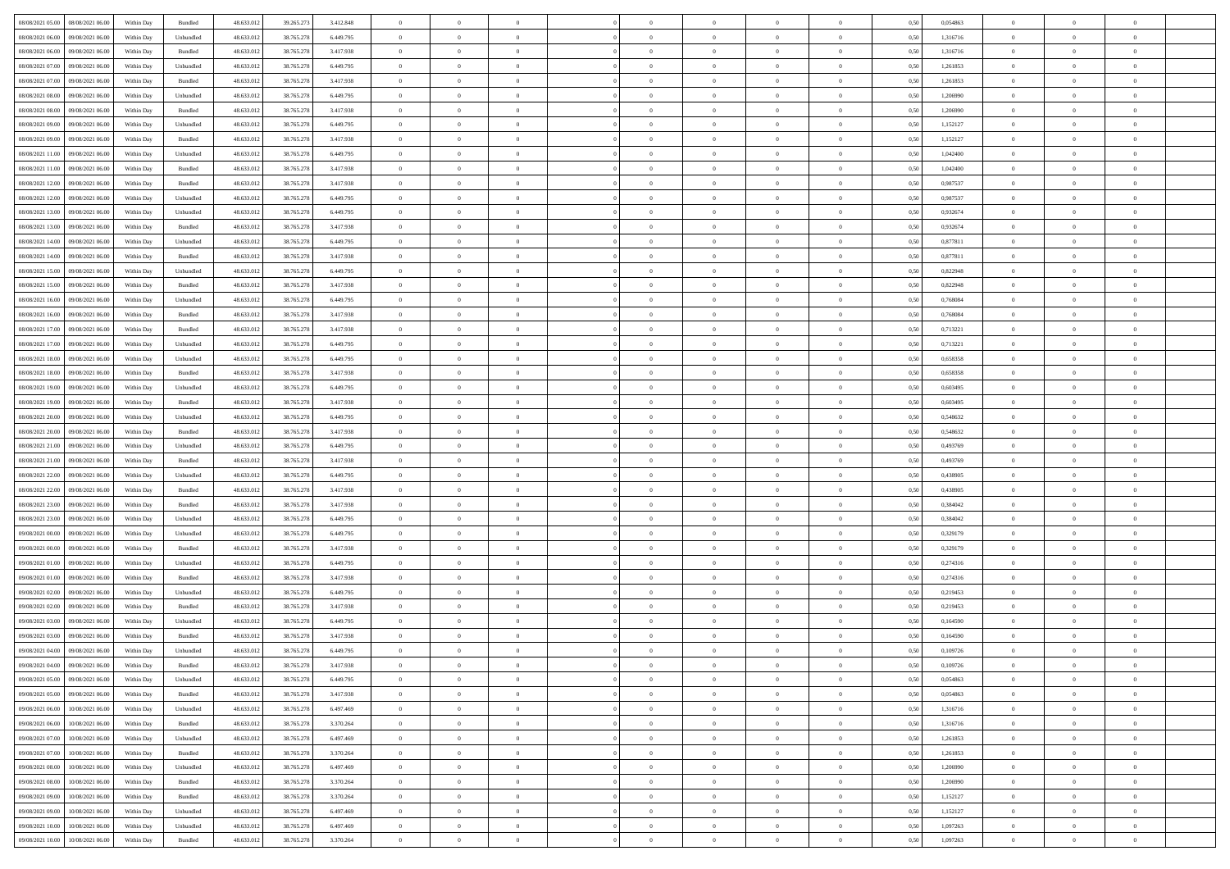| 08/08/2021 05:00  08/08/2021 06:00           | Within Day | Bundled   | 48.633.01  | 39.265.273 | 3.412.848 | $\overline{0}$ | $\theta$       |                | $\overline{0}$ | $\theta$       |                | $\bf{0}$       | 0,50 | 0,054863 | $\theta$       | $\theta$       | $\theta$       |  |
|----------------------------------------------|------------|-----------|------------|------------|-----------|----------------|----------------|----------------|----------------|----------------|----------------|----------------|------|----------|----------------|----------------|----------------|--|
| 08/08/2021 06:00<br>09/08/2021 06:00         | Within Day | Unbundled | 48.633.01  | 38.765.278 | 6.449.795 | $\bf{0}$       | $\overline{0}$ | $\bf{0}$       | $\overline{0}$ | $\overline{0}$ | $\overline{0}$ | $\bf{0}$       | 0,50 | 1,316716 | $\,$ 0 $\,$    | $\bf{0}$       | $\overline{0}$ |  |
| 08/08/2021 06:00<br>09/08/2021 06:00         | Within Day | Bundled   | 48.633.012 | 38.765.278 | 3.417.938 | $\overline{0}$ | $\bf{0}$       | $\overline{0}$ | $\bf{0}$       | $\bf{0}$       | $\overline{0}$ | $\bf{0}$       | 0.50 | 1.316716 | $\bf{0}$       | $\overline{0}$ | $\overline{0}$ |  |
| 08/08/2021 07:00<br>09/08/2021 06:00         | Within Day | Unbundled | 48.633.01  | 38.765.278 | 6.449.795 | $\overline{0}$ | $\overline{0}$ | $\overline{0}$ | $\theta$       | $\theta$       | $\overline{0}$ | $\bf{0}$       | 0,50 | 1,261853 | $\theta$       | $\theta$       | $\overline{0}$ |  |
| 08/08/2021 07:00<br>09/08/2021 06.00         | Within Day | Bundled   | 48.633.01  | 38.765.278 | 3.417.938 | $\overline{0}$ | $\overline{0}$ | $\bf{0}$       | $\overline{0}$ | $\theta$       | $\overline{0}$ | $\bf{0}$       | 0,50 | 1,261853 | $\,$ 0 $\,$    | $\bf{0}$       | $\overline{0}$ |  |
|                                              |            |           |            |            |           |                |                |                |                |                |                |                |      |          |                |                |                |  |
| 08/08/2021 08:00<br>09/08/2021 06:00         | Within Day | Unbundled | 48.633.013 | 38.765.278 | 6.449.795 | $\overline{0}$ | $\overline{0}$ | $\overline{0}$ | $\bf{0}$       | $\overline{0}$ | $\Omega$       | $\bf{0}$       | 0.50 | 1.206990 | $\,$ 0 $\,$    | $\theta$       | $\overline{0}$ |  |
| 08/08/2021 08:00<br>09/08/2021 06:00         | Within Day | Bundled   | 48.633.013 | 38.765.278 | 3.417.938 | $\overline{0}$ | $\overline{0}$ | $\overline{0}$ | $\overline{0}$ | $\overline{0}$ | $\overline{0}$ | $\bf{0}$       | 0,50 | 1,206990 | $\theta$       | $\theta$       | $\overline{0}$ |  |
| 08/08/2021 09:00<br>09/08/2021 06.00         | Within Day | Unbundled | 48.633.01  | 38.765.278 | 6.449.795 | $\overline{0}$ | $\overline{0}$ | $\bf{0}$       | $\overline{0}$ | $\overline{0}$ | $\overline{0}$ | $\bf{0}$       | 0,50 | 1,152127 | $\,$ 0 $\,$    | $\bf{0}$       | $\overline{0}$ |  |
| 08/08/2021 09:00<br>09/08/2021 06:00         | Within Day | Bundled   | 48.633.013 | 38.765.278 | 3.417.938 | $\overline{0}$ | $\bf{0}$       | $\overline{0}$ | $\bf{0}$       | $\overline{0}$ | $\overline{0}$ | $\bf{0}$       | 0.50 | 1,152127 | $\bf{0}$       | $\overline{0}$ | $\overline{0}$ |  |
| 08/08/2021 11:00<br>09/08/2021 06:00         | Within Day | Unbundled | 48.633.012 | 38.765.278 | 6.449.795 | $\overline{0}$ | $\bf{0}$       | $\overline{0}$ | $\overline{0}$ | $\theta$       | $\overline{0}$ | $\bf{0}$       | 0,50 | 1,042400 | $\,$ 0 $\,$    | $\theta$       | $\overline{0}$ |  |
| 08/08/2021 11:00<br>09/08/2021 06.00         | Within Day | Bundled   | 48.633.01  | 38.765.278 | 3.417.938 | $\bf{0}$       | $\overline{0}$ | $\bf{0}$       | $\overline{0}$ | $\bf{0}$       | $\overline{0}$ | $\bf{0}$       | 0,50 | 1,042400 | $\,$ 0 $\,$    | $\bf{0}$       | $\overline{0}$ |  |
| 08/08/2021 12:00<br>09/08/2021 06:00         | Within Day | Bundled   | 48.633.013 | 38.765.278 | 3.417.938 | $\overline{0}$ | $\bf{0}$       | $\overline{0}$ | $\bf{0}$       | $\bf{0}$       | $\overline{0}$ | $\bf{0}$       | 0.50 | 0.987537 | $\bf{0}$       | $\overline{0}$ | $\bf{0}$       |  |
|                                              |            |           |            |            |           |                |                |                |                |                |                |                |      |          |                |                |                |  |
| 08/08/2021 12:00<br>09/08/2021 06:00         | Within Day | Unbundled | 48.633.01  | 38.765.278 | 6.449.795 | $\overline{0}$ | $\overline{0}$ | $\overline{0}$ | $\overline{0}$ | $\theta$       | $\overline{0}$ | $\bf{0}$       | 0,50 | 0,987537 | $\theta$       | $\theta$       | $\overline{0}$ |  |
| 08/08/2021 13:00<br>09/08/2021 06.00         | Within Day | Unbundled | 48.633.01  | 38.765.278 | 6.449.795 | $\bf{0}$       | $\theta$       | $\bf{0}$       | $\overline{0}$ | $\theta$       | $\overline{0}$ | $\bf{0}$       | 0,50 | 0,932674 | $\bf{0}$       | $\bf{0}$       | $\overline{0}$ |  |
| 08/08/2021 13:00<br>09/08/2021 06:00         | Within Day | Bundled   | 48.633.013 | 38.765.278 | 3.417.938 | $\overline{0}$ | $\overline{0}$ | $\overline{0}$ | $\bf{0}$       | $\overline{0}$ | $\Omega$       | $\bf{0}$       | 0.50 | 0.932674 | $\theta$       | $\theta$       | $\overline{0}$ |  |
| 08/08/2021 14:00<br>09/08/2021 06:00         | Within Day | Unbundled | 48.633.01  | 38.765.278 | 6.449.795 | $\overline{0}$ | $\overline{0}$ | $\overline{0}$ | $\overline{0}$ | $\overline{0}$ | $\overline{0}$ | $\bf{0}$       | 0,50 | 0,877811 | $\theta$       | $\theta$       | $\overline{0}$ |  |
| 08/08/2021 14:00<br>09/08/2021 06.00         | Within Day | Bundled   | 48.633.01  | 38.765.278 | 3.417.938 | $\overline{0}$ | $\overline{0}$ | $\bf{0}$       | $\overline{0}$ | $\theta$       | $\overline{0}$ | $\bf{0}$       | 0,50 | 0,877811 | $\,$ 0 $\,$    | $\bf{0}$       | $\overline{0}$ |  |
| 08/08/2021 15:00<br>09/08/2021 06:00         | Within Day | Unbundled | 48.633.013 | 38,765,278 | 6.449.795 | $\overline{0}$ | $\bf{0}$       | $\overline{0}$ | $\bf{0}$       | $\overline{0}$ | $\overline{0}$ | $\bf{0}$       | 0.50 | 0.822948 | $\bf{0}$       | $\overline{0}$ | $\overline{0}$ |  |
| 08/08/2021 15:00<br>09/08/2021 06:00         | Within Day | Bundled   | 48.633.013 | 38.765.278 | 3.417.938 | $\overline{0}$ | $\bf{0}$       | $\overline{0}$ | $\overline{0}$ | $\overline{0}$ | $\overline{0}$ | $\bf{0}$       | 0,50 | 0,822948 | $\,$ 0 $\,$    | $\theta$       | $\overline{0}$ |  |
|                                              |            |           |            |            |           |                |                |                |                |                |                |                |      |          |                |                |                |  |
| 08/08/2021 16:00<br>09/08/2021 06.00         | Within Day | Unbundled | 48.633.01  | 38.765.278 | 6.449.795 | $\bf{0}$       | $\bf{0}$       | $\bf{0}$       | $\bf{0}$       | $\overline{0}$ | $\overline{0}$ | $\bf{0}$       | 0,50 | 0,768084 | $\,$ 0 $\,$    | $\bf{0}$       | $\overline{0}$ |  |
| 08/08/2021 16:00<br>09/08/2021 06:00         | Within Day | Bundled   | 48.633.013 | 38.765.278 | 3.417.938 | $\overline{0}$ | $\bf{0}$       | $\overline{0}$ | $\bf{0}$       | $\bf{0}$       | $\overline{0}$ | $\bf{0}$       | 0.50 | 0.768084 | $\bf{0}$       | $\overline{0}$ | $\overline{0}$ |  |
| 08/08/2021 17:00<br>09/08/2021 06:00         | Within Day | Bundled   | 48.633.01  | 38.765.278 | 3.417.938 | $\overline{0}$ | $\overline{0}$ | $\overline{0}$ | $\theta$       | $\theta$       | $\overline{0}$ | $\bf{0}$       | 0,50 | 0,713221 | $\theta$       | $\theta$       | $\overline{0}$ |  |
| 08/08/2021 17:00<br>09/08/2021 06.00         | Within Day | Unbundled | 48.633.01  | 38.765.278 | 6.449.795 | $\bf{0}$       | $\overline{0}$ | $\bf{0}$       | $\overline{0}$ | $\theta$       | $\overline{0}$ | $\bf{0}$       | 0,50 | 0,713221 | $\,$ 0 $\,$    | $\bf{0}$       | $\overline{0}$ |  |
| 08/08/2021 18:00<br>09/08/2021 06:00         | Within Day | Unbundled | 48.633.013 | 38.765.278 | 6.449.795 | $\overline{0}$ | $\overline{0}$ | $\overline{0}$ | $\overline{0}$ | $\overline{0}$ | $\Omega$       | $\bf{0}$       | 0.50 | 0.658358 | $\,$ 0 $\,$    | $\theta$       | $\overline{0}$ |  |
| 08/08/2021 18:00<br>09/08/2021 06:00         | Within Day | Bundled   | 48.633.013 | 38.765.278 | 3.417.938 | $\overline{0}$ | $\overline{0}$ | $\overline{0}$ | $\overline{0}$ | $\theta$       | $\overline{0}$ | $\bf{0}$       | 0,50 | 0,658358 | $\theta$       | $\theta$       | $\overline{0}$ |  |
| 08/08/2021 19:00<br>09/08/2021 06.00         | Within Day | Unbundled | 48.633.01  | 38.765.278 | 6.449.795 | $\bf{0}$       | $\overline{0}$ | $\bf{0}$       | $\overline{0}$ | $\theta$       | $\overline{0}$ | $\bf{0}$       | 0,50 | 0,603495 | $\,$ 0 $\,$    | $\bf{0}$       | $\overline{0}$ |  |
| 08/08/2021 19:00<br>09/08/2021 06:00         | Within Day | Bundled   | 48.633.013 | 38.765.278 | 3.417.938 | $\overline{0}$ | $\bf{0}$       | $\overline{0}$ | $\bf{0}$       | $\overline{0}$ | $\overline{0}$ | $\bf{0}$       | 0.50 | 0.603495 | $\bf{0}$       | $\overline{0}$ | $\overline{0}$ |  |
| 08/08/2021 20:00<br>09/08/2021 06:00         | Within Day | Unbundled | 48.633.01  | 38.765.278 | 6.449.795 | $\overline{0}$ | $\overline{0}$ | $\overline{0}$ | $\overline{0}$ | $\overline{0}$ | $\overline{0}$ | $\bf{0}$       | 0,50 | 0,548632 | $\theta$       | $\theta$       | $\overline{0}$ |  |
|                                              |            |           |            |            |           |                |                |                |                |                |                |                |      |          |                |                |                |  |
| 08/08/2021 20:00<br>09/08/2021 06.00         | Within Day | Bundled   | 48.633.01  | 38.765.278 | 3.417.938 | $\bf{0}$       | $\bf{0}$       | $\bf{0}$       | $\bf{0}$       | $\overline{0}$ | $\overline{0}$ | $\bf{0}$       | 0,50 | 0,548632 | $\,$ 0 $\,$    | $\bf{0}$       | $\overline{0}$ |  |
| 08/08/2021 21:00<br>09/08/2021 06:00         | Within Day | Unbundled | 48.633.013 | 38.765.278 | 6.449.795 | $\overline{0}$ | $\bf{0}$       | $\overline{0}$ | $\bf{0}$       | $\bf{0}$       | $\overline{0}$ | $\bf{0}$       | 0.50 | 0.493769 | $\bf{0}$       | $\overline{0}$ | $\bf{0}$       |  |
| 08/08/2021 21:00<br>09/08/2021 06:00         | Within Day | Bundled   | 48.633.013 | 38.765.278 | 3.417.938 | $\overline{0}$ | $\overline{0}$ | $\overline{0}$ | $\overline{0}$ | $\overline{0}$ | $\overline{0}$ | $\bf{0}$       | 0.50 | 0,493769 | $\theta$       | $\theta$       | $\overline{0}$ |  |
| 08/08/2021 22:00<br>09/08/2021 06.00         | Within Day | Unbundled | 48.633.01  | 38.765.278 | 6.449.795 | $\bf{0}$       | $\overline{0}$ | $\bf{0}$       | $\overline{0}$ | $\overline{0}$ | $\overline{0}$ | $\bf{0}$       | 0,50 | 0,438905 | $\,$ 0 $\,$    | $\bf{0}$       | $\overline{0}$ |  |
| 08/08/2021 22:00<br>09/08/2021 06:00         | Within Day | Bundled   | 48.633.013 | 38.765.278 | 3.417.938 | $\overline{0}$ | $\overline{0}$ | $\overline{0}$ | $\bf{0}$       | $\overline{0}$ | $\Omega$       | $\bf{0}$       | 0.50 | 0.438905 | $\,$ 0 $\,$    | $\theta$       | $\overline{0}$ |  |
| 08/08/2021 23:00<br>09/08/2021 06:00         | Within Dav | Bundled   | 48.633.013 | 38.765.278 | 3.417.938 | $\overline{0}$ | $\overline{0}$ | $\overline{0}$ | $\overline{0}$ | $\theta$       | $\overline{0}$ | $\bf{0}$       | 0.50 | 0,384042 | $\theta$       | $\theta$       | $\overline{0}$ |  |
| 08/08/2021 23:00<br>09/08/2021 06.00         | Within Day | Unbundled | 48.633.013 | 38.765.278 | 6.449.795 | $\bf{0}$       | $\bf{0}$       | $\bf{0}$       | $\overline{0}$ | $\bf{0}$       | $\overline{0}$ | $\bf{0}$       | 0,50 | 0,384042 | $\,$ 0 $\,$    | $\bf{0}$       | $\overline{0}$ |  |
| 09/08/2021 00:00<br>09/08/2021 06:00         | Within Day | Unbundled | 48.633.013 | 38,765,278 | 6.449.795 | $\overline{0}$ | $\bf{0}$       | $\overline{0}$ | $\bf{0}$       | $\overline{0}$ | $\overline{0}$ | $\bf{0}$       | 0.50 | 0.329179 | $\bf{0}$       | $\overline{0}$ | $\overline{0}$ |  |
|                                              |            |           |            |            |           |                |                |                |                |                |                |                |      |          |                |                |                |  |
| 09/08/2021 00:00<br>09/08/2021 06:00         | Within Dav | Bundled   | 48.633.013 | 38.765.278 | 3.417.938 | $\overline{0}$ | $\overline{0}$ | $\overline{0}$ | $\overline{0}$ | $\overline{0}$ | $\overline{0}$ | $\overline{0}$ | 0.50 | 0,329179 | $\theta$       | $\theta$       | $\overline{0}$ |  |
| 09/08/2021 01:00<br>09/08/2021 06.00         | Within Day | Unbundled | 48.633.01  | 38.765.278 | 6.449.795 | $\bf{0}$       | $\bf{0}$       | $\bf{0}$       | $\bf{0}$       | $\overline{0}$ | $\overline{0}$ | $\bf{0}$       | 0,50 | 0,274316 | $\,$ 0 $\,$    | $\bf{0}$       | $\overline{0}$ |  |
| 09/08/2021 01:00<br>09/08/2021 06:00         | Within Day | Bundled   | 48.633.013 | 38.765.278 | 3.417.938 | $\overline{0}$ | $\bf{0}$       | $\overline{0}$ | $\bf{0}$       | $\bf{0}$       | $\overline{0}$ | $\bf{0}$       | 0.50 | 0,274316 | $\bf{0}$       | $\overline{0}$ | $\overline{0}$ |  |
| 09/08/2021 02:00<br>09/08/2021 06:00         | Within Dav | Unbundled | 48.633.013 | 38.765.278 | 6.449.795 | $\overline{0}$ | $\overline{0}$ | $\overline{0}$ | $\overline{0}$ | $\theta$       | $\overline{0}$ | $\bf{0}$       | 0.5( | 0,219453 | $\theta$       | $\theta$       | $\overline{0}$ |  |
| 09/08/2021 02:00<br>09/08/2021 06.00         | Within Day | Bundled   | 48.633.013 | 38.765.278 | 3.417.938 | $\bf{0}$       | $\bf{0}$       | $\bf{0}$       | $\bf{0}$       | $\overline{0}$ | $\overline{0}$ | $\bf{0}$       | 0,50 | 0,219453 | $\,$ 0 $\,$    | $\bf{0}$       | $\overline{0}$ |  |
| 09/08/2021 03:00<br>09/08/2021 06:00         | Within Day | Unbundled | 48.633.013 | 38.765.278 | 6.449.795 | $\overline{0}$ | $\overline{0}$ | $\overline{0}$ | $\overline{0}$ | $\bf{0}$       | $\Omega$       | $\bf{0}$       | 0.50 | 0.164590 | $\,$ 0 $\,$    | $\theta$       | $\overline{0}$ |  |
| 09/08/2021 03:00<br>09/08/2021 06:00         | Within Dav | Bundled   | 48.633.013 | 38.765.278 | 3.417.938 | $\overline{0}$ | $\overline{0}$ | $\Omega$       | $\overline{0}$ | $\theta$       | $\Omega$       | $\overline{0}$ | 0.5( | 0,164590 | $\theta$       | $\theta$       | $\overline{0}$ |  |
| 09/08/2021 04:00<br>09/08/2021 06:00         | Within Day | Unbundled | 48.633.01  | 38.765.278 | 6.449.795 | $\bf{0}$       | $\,$ 0 $\,$    | $\overline{0}$ | $\bf{0}$       | $\bf{0}$       | $\overline{0}$ | $\bf{0}$       | 0,50 | 0,109726 | $\overline{0}$ | $\bf{0}$       | $\overline{0}$ |  |
| $09/08/2021\;04.00 \qquad 09/08/2021\;06.00$ | Within Day | Bundled   | 48.633.012 | 38.765.278 | 3.417.938 | $\overline{0}$ |                |                | $\Omega$       |                |                |                | 0,50 | 0,109726 | $\theta$       | $\overline{0}$ |                |  |
|                                              |            |           |            |            |           |                |                |                |                |                |                |                |      |          |                |                |                |  |
| 09/08/2021 05:00 09/08/2021 06:00            | Within Day | Unbundled | 48.633.012 | 38.765.278 | 6.449.795 | $\overline{0}$ | $\overline{0}$ | $\overline{0}$ | $\theta$       | $\overline{0}$ | $\overline{0}$ | $\bf{0}$       | 0,50 | 0,054863 | $\theta$       | $\overline{0}$ | $\overline{0}$ |  |
| 09/08/2021 05:00<br>09/08/2021 06:00         | Within Day | Bundled   | 48.633.013 | 38.765.278 | 3.417.938 | $\overline{0}$ | $\bf{0}$       | $\overline{0}$ | $\overline{0}$ | $\bf{0}$       | $\overline{0}$ | $\bf{0}$       | 0,50 | 0,054863 | $\bf{0}$       | $\overline{0}$ | $\bf{0}$       |  |
| 09/08/2021 06:00 10/08/2021 06:00            | Within Day | Unbundled | 48.633.012 | 38.765.278 | 6.497.469 | $\overline{0}$ | $\overline{0}$ | $\overline{0}$ | $\overline{0}$ | $\mathbf{0}$   | $\overline{0}$ | $\,$ 0 $\,$    | 0.50 | 1,316716 | $\overline{0}$ | $\bf{0}$       | $\bf{0}$       |  |
| 09/08/2021 06:00 10/08/2021 06:00            | Within Dav | Bundled   | 48.633.012 | 38.765.278 | 3.370.264 | $\overline{0}$ | $\overline{0}$ | $\overline{0}$ | $\overline{0}$ | $\overline{0}$ | $\overline{0}$ | $\bf{0}$       | 0,50 | 1,316716 | $\overline{0}$ | $\theta$       | $\overline{0}$ |  |
| 09/08/2021 07:00<br>10/08/2021 06:00         | Within Day | Unbundled | 48.633.012 | 38.765.278 | 6.497.469 | $\overline{0}$ | $\bf{0}$       | $\overline{0}$ | $\overline{0}$ | $\bf{0}$       | $\overline{0}$ | $\bf{0}$       | 0,50 | 1,261853 | $\bf{0}$       | $\overline{0}$ | $\overline{0}$ |  |
| 09/08/2021 07:00<br>10/08/2021 06:00         | Within Day | Bundled   | 48.633.012 | 38.765.278 | 3.370.264 | $\overline{0}$ | $\bf{0}$       | $\overline{0}$ | $\overline{0}$ | $\bf{0}$       | $\overline{0}$ | $\bf{0}$       | 0.50 | 1.261853 | $\,$ 0 $\,$    | $\overline{0}$ | $\,$ 0         |  |
| 09/08/2021 08:00<br>10/08/2021 06:00         | Within Dav | Unbundled | 48.633.012 | 38.765.278 | 6.497.469 | $\overline{0}$ | $\overline{0}$ | $\overline{0}$ | $\overline{0}$ | $\overline{0}$ | $\overline{0}$ | $\bf{0}$       | 0,50 | 1,206990 | $\overline{0}$ | $\theta$       | $\overline{0}$ |  |
|                                              |            |           |            |            |           |                |                |                |                |                |                |                |      |          |                |                |                |  |
| 09/08/2021 08:00<br>10/08/2021 06:00         | Within Day | Bundled   | 48.633.013 | 38.765.278 | 3.370.264 | $\overline{0}$ | $\overline{0}$ | $\overline{0}$ | $\overline{0}$ | $\overline{0}$ | $\overline{0}$ | $\bf{0}$       | 0,50 | 1,206990 | $\bf{0}$       | $\overline{0}$ | $\,$ 0         |  |
| 10/08/2021 06:00<br>09/08/2021 09:00         | Within Day | Bundled   | 48.633.012 | 38.765.278 | 3.370.264 | $\overline{0}$ | $\overline{0}$ | $\overline{0}$ | $\overline{0}$ | $\overline{0}$ | $\overline{0}$ | $\bf{0}$       | 0.50 | 1.152127 | $\mathbf{0}$   | $\bf{0}$       | $\,$ 0         |  |
| 09/08/2021 09:00<br>10/08/2021 06:00         | Within Dav | Unbundled | 48.633.012 | 38.765.278 | 6.497.469 | $\overline{0}$ | $\overline{0}$ | $\overline{0}$ | $\overline{0}$ | $\overline{0}$ | $\overline{0}$ | $\bf{0}$       | 0,50 | 1,152127 | $\overline{0}$ | $\theta$       | $\overline{0}$ |  |
| 09/08/2021 10:00<br>10/08/2021 06:00         | Within Day | Unbundled | 48.633.013 | 38.765.278 | 6.497.469 | $\overline{0}$ | $\bf{0}$       | $\overline{0}$ | $\overline{0}$ | $\overline{0}$ | $\overline{0}$ | $\bf{0}$       | 0,50 | 1,097263 | $\bf{0}$       | $\overline{0}$ | $\bf{0}$       |  |
| 09/08/2021 10:00 10/08/2021 06:00            | Within Day | Bundled   | 48.633.012 | 38.765.278 | 3.370.264 | $\overline{0}$ | $\bf{0}$       | $\overline{0}$ | $\overline{0}$ | $\,$ 0 $\,$    | $\overline{0}$ | $\,$ 0 $\,$    | 0,50 | 1,097263 | $\overline{0}$ | $\,$ 0 $\,$    | $\,$ 0 $\,$    |  |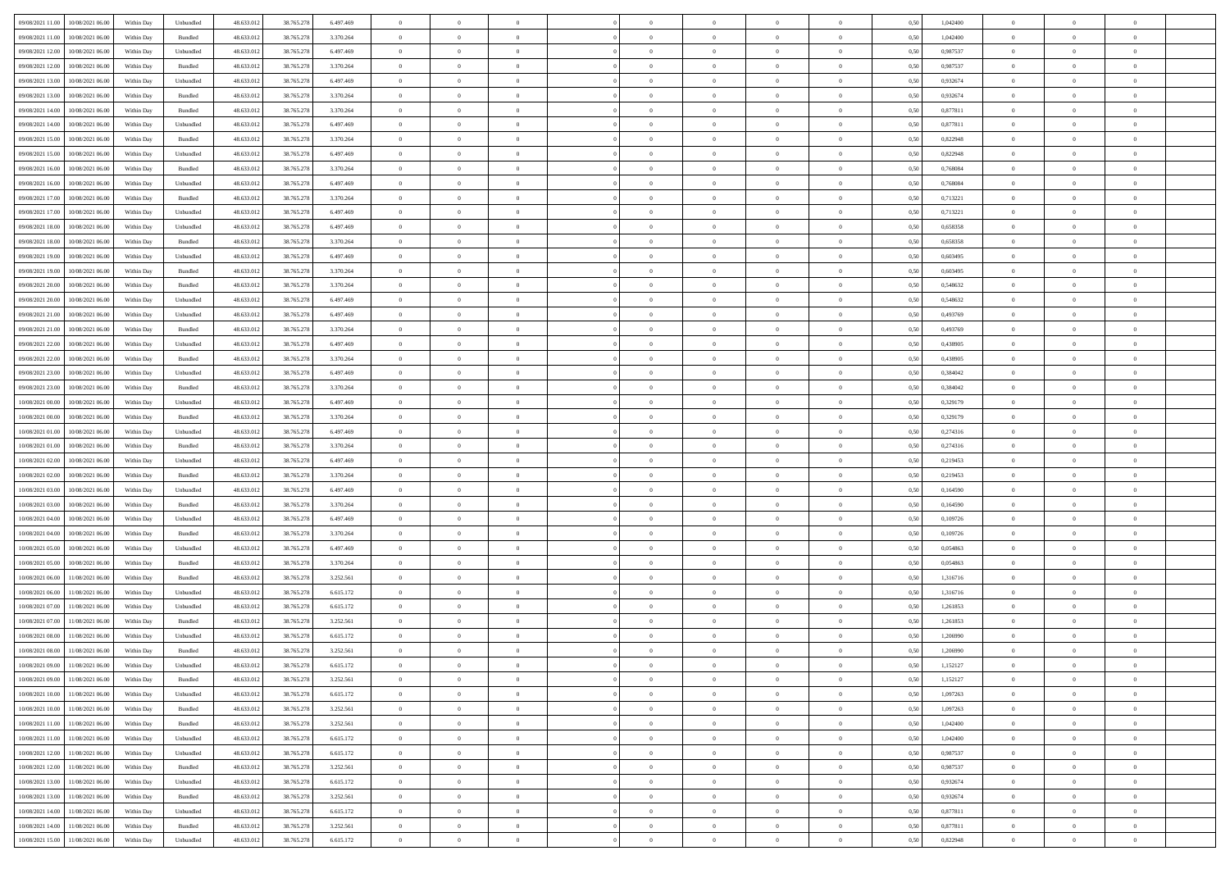| 09/08/2021 11:00 10/08/2021 06:00            | Within Day | Unbundled         | 48.633.01  | 38.765.278 | 6.497.469 | $\overline{0}$ | $\overline{0}$ |                | $\overline{0}$ | $\theta$       |                | $\bf{0}$       | 0,50 | 1,042400 | $\theta$       | $\theta$       | $\theta$       |  |
|----------------------------------------------|------------|-------------------|------------|------------|-----------|----------------|----------------|----------------|----------------|----------------|----------------|----------------|------|----------|----------------|----------------|----------------|--|
|                                              |            |                   |            |            |           |                |                |                |                |                |                |                |      |          |                |                |                |  |
| 09/08/2021 11:00<br>10/08/2021 06:00         | Within Day | Bundled           | 48.633.01  | 38.765.278 | 3.370.264 | $\bf{0}$       | $\overline{0}$ | $\bf{0}$       | $\overline{0}$ | $\overline{0}$ | $\overline{0}$ | $\bf{0}$       | 0,50 | 1,042400 | $\,$ 0 $\,$    | $\bf{0}$       | $\overline{0}$ |  |
| 09/08/2021 12:00<br>10/08/2021 06:00         | Within Day | Unbundled         | 48.633.012 | 38.765.278 | 6.497.469 | $\overline{0}$ | $\bf{0}$       | $\overline{0}$ | $\bf{0}$       | $\bf{0}$       | $\overline{0}$ | $\bf{0}$       | 0.50 | 0.987537 | $\bf{0}$       | $\overline{0}$ | $\overline{0}$ |  |
| 09/08/2021 12:00<br>10/08/2021 06:00         | Within Day | Bundled           | 48.633.01  | 38.765.278 | 3.370.264 | $\overline{0}$ | $\bf{0}$       | $\overline{0}$ | $\theta$       | $\theta$       | $\overline{0}$ | $\bf{0}$       | 0,50 | 0,987537 | $\theta$       | $\theta$       | $\overline{0}$ |  |
|                                              |            |                   |            |            |           |                |                |                |                |                |                |                |      |          |                |                |                |  |
| 09/08/2021 13:00<br>10/08/2021 06:00         | Within Day | Unbundled         | 48.633.01  | 38.765.278 | 6.497.469 | $\overline{0}$ | $\overline{0}$ | $\bf{0}$       | $\overline{0}$ | $\theta$       | $\overline{0}$ | $\bf{0}$       | 0,50 | 0,932674 | $\,$ 0 $\,$    | $\bf{0}$       | $\overline{0}$ |  |
| 09/08/2021 13:00<br>10/08/2021 06:00         | Within Day | Bundled           | 48.633.013 | 38.765.278 | 3.370.264 | $\overline{0}$ | $\overline{0}$ | $\overline{0}$ | $\bf{0}$       | $\overline{0}$ | $\theta$       | $\bf{0}$       | 0.50 | 0.932674 | $\,$ 0 $\,$    | $\theta$       | $\overline{0}$ |  |
| 09/08/2021 14:00<br>10/08/2021 06:00         | Within Day | Bundled           | 48.633.013 | 38.765.278 | 3.370.264 | $\overline{0}$ | $\overline{0}$ | $\overline{0}$ | $\overline{0}$ | $\overline{0}$ | $\overline{0}$ | $\bf{0}$       | 0,50 | 0,877811 | $\theta$       | $\theta$       | $\overline{0}$ |  |
| 09/08/2021 14:00<br>10/08/2021 06:00         | Within Day | Unbundled         | 48.633.01  | 38.765.278 | 6.497.469 | $\overline{0}$ | $\overline{0}$ | $\bf{0}$       | $\overline{0}$ | $\theta$       | $\overline{0}$ | $\bf{0}$       | 0,50 | 0,877811 | $\,$ 0 $\,$    | $\bf{0}$       | $\overline{0}$ |  |
| 10/08/2021 06:00                             |            | Bundled           | 48.633.013 |            |           |                |                |                |                |                | $\overline{0}$ |                |      |          |                | $\overline{0}$ |                |  |
| 09/08/2021 15:00                             | Within Day |                   |            | 38.765.278 | 3.370.264 | $\overline{0}$ | $\bf{0}$       | $\overline{0}$ | $\bf{0}$       | $\overline{0}$ |                | $\bf{0}$       | 0.50 | 0.822948 | $\bf{0}$       |                | $\overline{0}$ |  |
| 09/08/2021 15:00<br>10/08/2021 06:00         | Within Day | Unbundled         | 48.633.012 | 38.765.278 | 6.497.469 | $\overline{0}$ | $\bf{0}$       | $\overline{0}$ | $\overline{0}$ | $\overline{0}$ | $\overline{0}$ | $\bf{0}$       | 0,50 | 0,822948 | $\,$ 0 $\,$    | $\bf{0}$       | $\overline{0}$ |  |
| 09/08/2021 16:00<br>10/08/2021 06:00         | Within Day | Bundled           | 48.633.01  | 38.765.278 | 3.370.264 | $\bf{0}$       | $\overline{0}$ | $\bf{0}$       | $\overline{0}$ | $\bf{0}$       | $\overline{0}$ | $\bf{0}$       | 0,50 | 0,768084 | $\,$ 0 $\,$    | $\bf{0}$       | $\overline{0}$ |  |
| 09/08/2021 16:00<br>10/08/2021 06:00         | Within Day | Unbundled         | 48.633.013 | 38.765.278 | 6.497.469 | $\overline{0}$ | $\bf{0}$       | $\overline{0}$ | $\bf{0}$       | $\bf{0}$       | $\overline{0}$ | $\bf{0}$       | 0.50 | 0.768084 | $\bf{0}$       | $\overline{0}$ | $\bf{0}$       |  |
| 09/08/2021 17:00<br>10/08/2021 06:00         | Within Day | Bundled           | 48.633.01  | 38.765.278 | 3.370.264 | $\overline{0}$ | $\overline{0}$ | $\overline{0}$ | $\theta$       | $\theta$       | $\overline{0}$ | $\bf{0}$       | 0,50 | 0,713221 | $\,$ 0 $\,$    | $\theta$       | $\overline{0}$ |  |
|                                              |            |                   |            |            |           |                |                |                |                |                |                |                |      |          |                |                |                |  |
| 09/08/2021 17:00<br>10/08/2021 06:00         | Within Day | Unbundled         | 48.633.01  | 38.765.278 | 6.497.469 | $\bf{0}$       | $\overline{0}$ | $\bf{0}$       | $\overline{0}$ | $\theta$       | $\overline{0}$ | $\bf{0}$       | 0,50 | 0,713221 | $\,$ 0 $\,$    | $\bf{0}$       | $\overline{0}$ |  |
| 09/08/2021 18:00<br>10/08/2021 06:00         | Within Day | Unbundled         | 48.633.013 | 38.765.278 | 6,497,469 | $\overline{0}$ | $\overline{0}$ | $\overline{0}$ | $\bf{0}$       | $\overline{0}$ | $\Omega$       | $\bf{0}$       | 0.50 | 0.658358 | $\,$ 0 $\,$    | $\theta$       | $\overline{0}$ |  |
| 09/08/2021 18:00<br>10/08/2021 06:00         | Within Day | Bundled           | 48.633.013 | 38.765.278 | 3.370.264 | $\overline{0}$ | $\overline{0}$ | $\overline{0}$ | $\overline{0}$ | $\theta$       | $\overline{0}$ | $\bf{0}$       | 0,50 | 0,658358 | $\theta$       | $\theta$       | $\overline{0}$ |  |
| 09/08/2021 19:00<br>10/08/2021 06:00         | Within Day | Unbundled         | 48.633.01  | 38.765.278 | 6.497.469 | $\bf{0}$       | $\overline{0}$ | $\bf{0}$       | $\overline{0}$ | $\theta$       | $\overline{0}$ | $\bf{0}$       | 0,50 | 0,603495 | $\,$ 0 $\,$    | $\bf{0}$       | $\overline{0}$ |  |
| 09/08/2021 19:00<br>10/08/2021 06:00         | Within Day | Bundled           | 48.633.013 | 38,765,278 | 3.370.264 | $\overline{0}$ | $\bf{0}$       | $\overline{0}$ | $\bf{0}$       | $\overline{0}$ | $\overline{0}$ | $\bf{0}$       | 0.50 | 0.603495 | $\bf{0}$       | $\overline{0}$ | $\overline{0}$ |  |
|                                              |            |                   |            |            |           |                |                |                |                |                |                |                |      |          |                |                |                |  |
| 09/08/2021 20:00<br>10/08/2021 06:00         | Within Day | Bundled           | 48.633.013 | 38.765.278 | 3.370.264 | $\overline{0}$ | $\bf{0}$       | $\overline{0}$ | $\overline{0}$ | $\overline{0}$ | $\overline{0}$ | $\bf{0}$       | 0,50 | 0,548632 | $\,$ 0 $\,$    | $\bf{0}$       | $\overline{0}$ |  |
| 09/08/2021 20:00<br>10/08/2021 06:00         | Within Day | Unbundled         | 48.633.01  | 38.765.278 | 6.497.469 | $\bf{0}$       | $\bf{0}$       | $\bf{0}$       | $\bf{0}$       | $\overline{0}$ | $\overline{0}$ | $\bf{0}$       | 0,50 | 0,548632 | $\,$ 0 $\,$    | $\bf{0}$       | $\overline{0}$ |  |
| 09/08/2021 21:00<br>10/08/2021 06:00         | Within Day | Unbundled         | 48.633.013 | 38.765.278 | 6.497.469 | $\overline{0}$ | $\bf{0}$       | $\overline{0}$ | $\bf{0}$       | $\bf{0}$       | $\overline{0}$ | $\bf{0}$       | 0.50 | 0.493769 | $\bf{0}$       | $\overline{0}$ | $\overline{0}$ |  |
| 09/08/2021 21:00<br>10/08/2021 06:00         | Within Day | Bundled           | 48.633.01  | 38.765.278 | 3.370.264 | $\overline{0}$ | $\overline{0}$ | $\overline{0}$ | $\theta$       | $\theta$       | $\overline{0}$ | $\bf{0}$       | 0,50 | 0,493769 | $\theta$       | $\theta$       | $\overline{0}$ |  |
| 10/08/2021 06:00                             | Within Day | Unbundled         | 48.633.01  | 38.765.278 | 6.497.469 | $\bf{0}$       | $\overline{0}$ | $\bf{0}$       | $\overline{0}$ | $\theta$       | $\overline{0}$ | $\bf{0}$       | 0,50 | 0,438905 | $\,$ 0 $\,$    | $\bf{0}$       | $\overline{0}$ |  |
| 09/08/2021 22:00                             |            |                   |            |            |           |                |                |                |                |                |                |                |      |          |                |                |                |  |
| 09/08/2021 22:00<br>10/08/2021 06:00         | Within Day | Bundled           | 48.633.013 | 38.765.278 | 3.370.264 | $\overline{0}$ | $\overline{0}$ | $\overline{0}$ | $\bf{0}$       | $\overline{0}$ | $\Omega$       | $\bf{0}$       | 0.50 | 0.438905 | $\,$ 0 $\,$    | $\theta$       | $\overline{0}$ |  |
| 09/08/2021 23:00<br>10/08/2021 06:00         | Within Day | Unbundled         | 48.633.013 | 38.765.278 | 6.497.469 | $\overline{0}$ | $\overline{0}$ | $\overline{0}$ | $\overline{0}$ | $\theta$       | $\overline{0}$ | $\bf{0}$       | 0,50 | 0,384042 | $\,$ 0 $\,$    | $\theta$       | $\overline{0}$ |  |
| 09/08/2021 23:00<br>10/08/2021 06:00         | Within Day | Bundled           | 48.633.01  | 38.765.278 | 3.370.264 | $\bf{0}$       | $\overline{0}$ | $\bf{0}$       | $\overline{0}$ | $\theta$       | $\overline{0}$ | $\bf{0}$       | 0,50 | 0,384042 | $\,$ 0 $\,$    | $\bf{0}$       | $\overline{0}$ |  |
| 10/08/2021 00:00<br>10/08/2021 06:00         | Within Day | Unbundled         | 48.633.013 | 38.765.278 | 6,497,469 | $\overline{0}$ | $\bf{0}$       | $\overline{0}$ | $\bf{0}$       | $\overline{0}$ | $\overline{0}$ | $\bf{0}$       | 0.50 | 0,329179 | $\bf{0}$       | $\overline{0}$ | $\overline{0}$ |  |
| 10/08/2021 00:00<br>10/08/2021 06:00         | Within Day | Bundled           | 48.633.01  | 38.765.278 | 3.370.264 | $\overline{0}$ | $\overline{0}$ | $\overline{0}$ | $\overline{0}$ | $\overline{0}$ | $\overline{0}$ | $\bf{0}$       | 0,50 | 0,329179 | $\theta$       | $\theta$       | $\overline{0}$ |  |
|                                              |            |                   |            |            |           |                |                |                |                |                |                |                |      |          |                |                |                |  |
| 10/08/2021 01:00<br>10/08/2021 06:00         | Within Day | Unbundled         | 48.633.01  | 38.765.278 | 6.497.469 | $\bf{0}$       | $\bf{0}$       | $\bf{0}$       | $\bf{0}$       | $\overline{0}$ | $\overline{0}$ | $\bf{0}$       | 0,50 | 0,274316 | $\,$ 0 $\,$    | $\bf{0}$       | $\overline{0}$ |  |
| 10/08/2021 01:00<br>10/08/2021 06:00         | Within Day | Bundled           | 48.633.013 | 38.765.278 | 3.370.264 | $\overline{0}$ | $\bf{0}$       | $\overline{0}$ | $\bf{0}$       | $\bf{0}$       | $\overline{0}$ | $\bf{0}$       | 0.50 | 0,274316 | $\bf{0}$       | $\overline{0}$ | $\bf{0}$       |  |
| 10/08/2021 02:00<br>10/08/2021 06:00         | Within Day | Unbundled         | 48.633.013 | 38.765.278 | 6.497.469 | $\overline{0}$ | $\overline{0}$ | $\overline{0}$ | $\overline{0}$ | $\overline{0}$ | $\overline{0}$ | $\bf{0}$       | 0.5( | 0,219453 | $\theta$       | $\theta$       | $\overline{0}$ |  |
| 10/08/2021 02:00<br>10/08/2021 06:00         | Within Day | Bundled           | 48.633.01  | 38.765.278 | 3.370.264 | $\bf{0}$       | $\overline{0}$ | $\bf{0}$       | $\bf{0}$       | $\overline{0}$ | $\overline{0}$ | $\bf{0}$       | 0,50 | 0,219453 | $\,$ 0 $\,$    | $\bf{0}$       | $\overline{0}$ |  |
| 10/08/2021 03:00<br>10/08/2021 06:00         |            | Unbundled         | 48.633.013 | 38.765.278 | 6.497.469 | $\overline{0}$ | $\bf{0}$       | $\overline{0}$ | $\bf{0}$       | $\overline{0}$ | $\Omega$       | $\bf{0}$       | 0.50 | 0.164590 | $\,$ 0 $\,$    | $\theta$       | $\overline{0}$ |  |
|                                              | Within Day |                   |            |            |           |                |                |                |                |                |                |                |      |          |                |                |                |  |
| 10/08/2021 03:00<br>10/08/2021 06:00         | Within Dav | Bundled           | 48.633.013 | 38.765.278 | 3.370.264 | $\overline{0}$ | $\overline{0}$ | $\overline{0}$ | $\overline{0}$ | $\theta$       | $\overline{0}$ | $\bf{0}$       | 0.50 | 0,164590 | $\theta$       | $\theta$       | $\overline{0}$ |  |
| 10/08/2021 04:00<br>10/08/2021 06:00         | Within Day | Unbundled         | 48.633.01  | 38.765.278 | 6.497.469 | $\bf{0}$       | $\bf{0}$       | $\bf{0}$       | $\overline{0}$ | $\bf{0}$       | $\overline{0}$ | $\bf{0}$       | 0,50 | 0,109726 | $\,$ 0 $\,$    | $\bf{0}$       | $\overline{0}$ |  |
| 10/08/2021 04:00<br>10/08/2021 06:00         | Within Day | Bundled           | 48.633.013 | 38.765.278 | 3.370.264 | $\overline{0}$ | $\bf{0}$       | $\overline{0}$ | $\bf{0}$       | $\overline{0}$ | $\overline{0}$ | $\bf{0}$       | 0.50 | 0.109726 | $\bf{0}$       | $\overline{0}$ | $\overline{0}$ |  |
| 10/08/2021 05:00<br>10/08/2021 06:00         | Within Dav | Unbundled         | 48.633.013 | 38,765,278 | 6.497.469 | $\overline{0}$ | $\overline{0}$ | $\overline{0}$ | $\overline{0}$ | $\overline{0}$ | $\overline{0}$ | $\overline{0}$ | 0.50 | 0,054863 | $\theta$       | $\theta$       | $\overline{0}$ |  |
| 10/08/2021 05:00<br>10/08/2021 06:00         | Within Day | Bundled           | 48.633.01  | 38.765.278 | 3.370.264 | $\bf{0}$       | $\bf{0}$       | $\bf{0}$       | $\bf{0}$       | $\overline{0}$ | $\overline{0}$ | $\bf{0}$       | 0,50 | 0,054863 | $\,$ 0 $\,$    | $\bf{0}$       | $\overline{0}$ |  |
|                                              |            |                   |            |            |           |                |                |                |                |                |                |                |      |          |                |                |                |  |
| 10/08/2021 06:00<br>11/08/2021 06:00         | Within Day | Bundled           | 48.633.013 | 38.765.278 | 3.252.561 | $\overline{0}$ | $\bf{0}$       | $\overline{0}$ | $\bf{0}$       | $\bf{0}$       | $\overline{0}$ | $\bf{0}$       | 0.50 | 1.316716 | $\bf{0}$       | $\overline{0}$ | $\overline{0}$ |  |
| 10/08/2021 06:00<br>11/08/2021 06:00         | Within Dav | Unbundled         | 48.633.013 | 38.765.278 | 6.615.172 | $\overline{0}$ | $\overline{0}$ | $\overline{0}$ | $\overline{0}$ | $\theta$       | $\overline{0}$ | $\bf{0}$       | 0.50 | 1,316716 | $\theta$       | $\theta$       | $\overline{0}$ |  |
| 10/08/2021 07:00<br>11/08/2021 06:00         | Within Day | Unbundled         | 48.633.013 | 38.765.278 | 6.615.172 | $\bf{0}$       | $\bf{0}$       | $\bf{0}$       | $\bf{0}$       | $\overline{0}$ | $\overline{0}$ | $\bf{0}$       | 0,50 | 1,261853 | $\,$ 0 $\,$    | $\bf{0}$       | $\overline{0}$ |  |
| 10/08/2021 07:00<br>11/08/2021 06:00         | Within Day | Bundled           | 48.633.013 | 38.765.278 | 3.252.561 | $\overline{0}$ | $\overline{0}$ | $\overline{0}$ | $\bf{0}$       | $\theta$       | $\Omega$       | $\bf{0}$       | 0.50 | 1.261853 | $\bf{0}$       | $\theta$       | $\overline{0}$ |  |
| 10/08/2021 08:00<br>11/08/2021 06:00         | Within Dav | Unbundled         | 48.633.013 | 38.765.278 | 6.615.172 | $\overline{0}$ | $\overline{0}$ | $\Omega$       | $\overline{0}$ | $\theta$       | $\Omega$       | $\overline{0}$ | 0.5( | 1.206990 | $\theta$       | $\theta$       | $\overline{0}$ |  |
|                                              |            |                   |            |            |           |                |                |                |                |                | $\overline{0}$ |                |      |          |                |                |                |  |
| 10/08/2021 08:00<br>11/08/2021 06:00         | Within Day | Bundled           | 48.633.01  | 38.765.278 | 3.252.561 | $\bf{0}$       | $\bf{0}$       | $\overline{0}$ | $\bf{0}$       | $\bf{0}$       |                | $\bf{0}$       | 0,50 | 1,206990 | $\overline{0}$ | $\bf{0}$       | $\overline{0}$ |  |
| $10/08/2021\;09.00 \qquad 11/08/2021\;06.00$ | Within Day | ${\sf Unbundred}$ | 48.633.012 | 38.765.278 | 6.615.172 | $\bf{0}$       | $\Omega$       |                | $\Omega$       |                |                |                | 0,50 | 1,152127 | $\theta$       | $\overline{0}$ |                |  |
| 10/08/2021 09:00 11/08/2021 06:00            | Within Day | Bundled           | 48.633.012 | 38.765.278 | 3.252.561 | $\overline{0}$ | $\overline{0}$ | $\overline{0}$ | $\theta$       | $\overline{0}$ | $\overline{0}$ | $\bf{0}$       | 0,50 | 1,152127 | $\theta$       | $\overline{0}$ | $\overline{0}$ |  |
| 10/08/2021 10:00<br>11/08/2021 06:00         | Within Day | Unbundled         | 48.633.013 | 38.765.278 | 6.615.172 | $\overline{0}$ | $\bf{0}$       | $\overline{0}$ | $\overline{0}$ | $\bf{0}$       | $\overline{0}$ | $\bf{0}$       | 0,50 | 1,097263 | $\bf{0}$       | $\overline{0}$ | $\bf{0}$       |  |
| 10/08/2021 10:00 11/08/2021 06:00            | Within Day | Bundled           | 48.633.012 | 38.765.278 | 3.252.561 | $\overline{0}$ | $\bf{0}$       | $\overline{0}$ | $\overline{0}$ | $\mathbf{0}$   | $\overline{0}$ | $\,$ 0 $\,$    | 0.50 | 1,097263 | $\overline{0}$ | $\bf{0}$       | $\,$ 0 $\,$    |  |
|                                              |            |                   |            |            |           |                |                |                |                |                |                |                |      |          |                |                |                |  |
| 10/08/2021 11:00 11/08/2021 06:00            | Within Day | Bundled           | 48.633.012 | 38.765.278 | 3.252.561 | $\overline{0}$ | $\overline{0}$ | $\overline{0}$ | $\overline{0}$ | $\overline{0}$ | $\overline{0}$ | $\bf{0}$       | 0,50 | 1,042400 | $\overline{0}$ | $\theta$       | $\overline{0}$ |  |
| 10/08/2021 11:00<br>11/08/2021 06:00         | Within Day | Unbundled         | 48.633.012 | 38.765.278 | 6.615.172 | $\overline{0}$ | $\bf{0}$       | $\overline{0}$ | $\overline{0}$ | $\bf{0}$       | $\overline{0}$ | $\bf{0}$       | 0,50 | 1,042400 | $\bf{0}$       | $\overline{0}$ | $\overline{0}$ |  |
| 10/08/2021 12:00<br>11/08/2021 06:00         | Within Day | Unbundled         | 48.633.012 | 38.765.278 | 6.615.172 | $\overline{0}$ | $\bf{0}$       | $\overline{0}$ | $\overline{0}$ | $\bf{0}$       | $\overline{0}$ | $\bf{0}$       | 0.50 | 0.987537 | $\,$ 0 $\,$    | $\overline{0}$ | $\,$ 0         |  |
| 10/08/2021 12:00<br>11/08/2021 06:00         | Within Dav | Bundled           | 48.633.012 | 38.765.278 | 3.252.561 | $\overline{0}$ | $\overline{0}$ | $\overline{0}$ | $\overline{0}$ | $\overline{0}$ | $\overline{0}$ | $\bf{0}$       | 0.50 | 0,987537 | $\overline{0}$ | $\theta$       | $\overline{0}$ |  |
| 10/08/2021 13:00<br>11/08/2021 06:00         | Within Day | Unbundled         | 48.633.013 | 38.765.278 | 6.615.172 | $\overline{0}$ | $\overline{0}$ | $\overline{0}$ | $\overline{0}$ | $\overline{0}$ | $\overline{0}$ | $\bf{0}$       | 0,50 | 0,932674 | $\bf{0}$       | $\overline{0}$ | $\overline{0}$ |  |
|                                              |            |                   |            |            |           |                |                |                |                |                |                |                |      |          |                |                |                |  |
| 10/08/2021 13:00<br>11/08/2021 06:00         | Within Day | Bundled           | 48.633.012 | 38.765.278 | 3.252.561 | $\overline{0}$ | $\overline{0}$ | $\overline{0}$ | $\overline{0}$ | $\overline{0}$ | $\overline{0}$ | $\bf{0}$       | 0.50 | 0.932674 | $\mathbf{0}$   | $\bf{0}$       | $\,$ 0         |  |
| 10/08/2021 14:00<br>11/08/2021 06:00         | Within Dav | Unbundled         | 48.633.012 | 38.765.278 | 6.615.172 | $\overline{0}$ | $\overline{0}$ | $\overline{0}$ | $\overline{0}$ | $\overline{0}$ | $\overline{0}$ | $\bf{0}$       | 0,50 | 0,877811 | $\overline{0}$ | $\theta$       | $\overline{0}$ |  |
| 10/08/2021 14:00<br>11/08/2021 06:00         | Within Day | Bundled           | 48.633.013 | 38.765.278 | 3.252.561 | $\overline{0}$ | $\bf{0}$       | $\overline{0}$ | $\overline{0}$ | $\overline{0}$ | $\overline{0}$ | $\bf{0}$       | 0,50 | 0,877811 | $\bf{0}$       | $\overline{0}$ | $\bf{0}$       |  |
| 10/08/2021 15:00 11/08/2021 06:00            | Within Day | Unbundled         | 48.633.012 | 38.765.278 | 6.615.172 | $\,$ 0 $\,$    | $\bf{0}$       | $\overline{0}$ | $\overline{0}$ | $\,$ 0 $\,$    | $\overline{0}$ | $\bf{0}$       | 0,50 | 0,822948 | $\overline{0}$ | $\,$ 0 $\,$    | $\,$ 0 $\,$    |  |
|                                              |            |                   |            |            |           |                |                |                |                |                |                |                |      |          |                |                |                |  |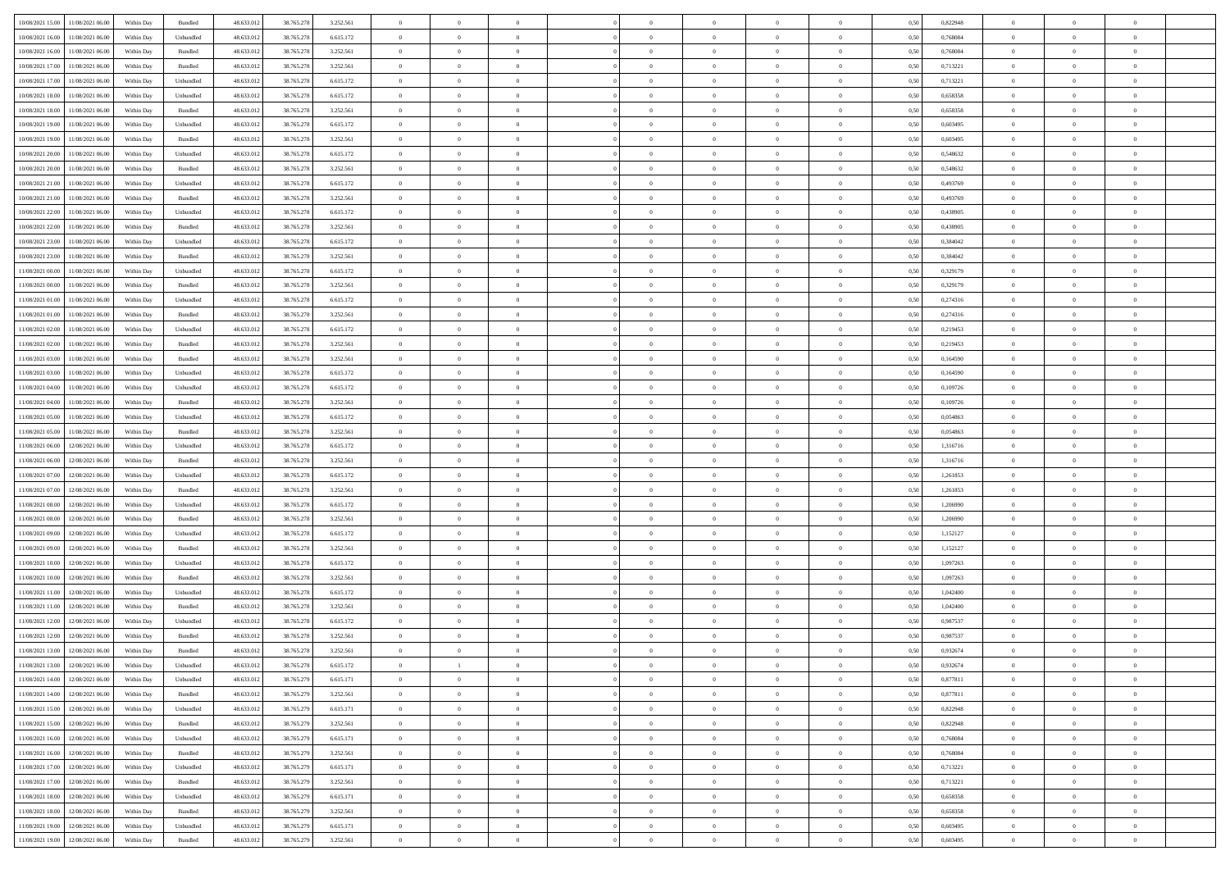| 10/08/2021 15:00 11/08/2021 06:00            | Within Day | Bundled           | 48.633.01  | 38.765.278 | 3.252.561 | $\overline{0}$ | $\overline{0}$ |                | $\overline{0}$ | $\theta$       |                | $\bf{0}$       | 0,50 | 0,822948 | $\theta$       | $\theta$       | $\theta$       |  |
|----------------------------------------------|------------|-------------------|------------|------------|-----------|----------------|----------------|----------------|----------------|----------------|----------------|----------------|------|----------|----------------|----------------|----------------|--|
|                                              |            |                   |            |            |           |                |                |                |                |                |                |                |      |          |                |                |                |  |
| 10/08/2021 16:00<br>11/08/2021 06:00         | Within Day | Unbundled         | 48.633.01  | 38.765.278 | 6.615.172 | $\bf{0}$       | $\bf{0}$       | $\bf{0}$       | $\bf{0}$       | $\overline{0}$ | $\overline{0}$ | $\bf{0}$       | 0,50 | 0,768084 | $\,$ 0 $\,$    | $\bf{0}$       | $\overline{0}$ |  |
| 10/08/2021 16:00<br>11/08/2021 06:00         | Within Day | Bundled           | 48.633.012 | 38.765.278 | 3.252.561 | $\overline{0}$ | $\bf{0}$       | $\overline{0}$ | $\bf{0}$       | $\bf{0}$       | $\overline{0}$ | $\bf{0}$       | 0.50 | 0.768084 | $\overline{0}$ | $\overline{0}$ | $\overline{0}$ |  |
| 10/08/2021 17:00<br>11/08/2021 06:00         | Within Day | Bundled           | 48.633.01  | 38.765.278 | 3.252.561 | $\overline{0}$ | $\overline{0}$ | $\overline{0}$ | $\overline{0}$ | $\theta$       | $\overline{0}$ | $\bf{0}$       | 0,50 | 0,713221 | $\theta$       | $\theta$       | $\overline{0}$ |  |
| 10/08/2021 17:00<br>11/08/2021 06:00         | Within Day | Unbundled         | 48.633.01  | 38.765.278 | 6.615.172 | $\bf{0}$       | $\overline{0}$ | $\bf{0}$       | $\overline{0}$ | $\bf{0}$       | $\overline{0}$ | $\bf{0}$       | 0,50 | 0,713221 | $\,$ 0 $\,$    | $\bf{0}$       | $\overline{0}$ |  |
| 10/08/2021 18:00<br>11/08/2021 06:00         | Within Day | Unbundled         | 48.633.013 | 38.765.278 | 6.615.172 | $\overline{0}$ | $\overline{0}$ | $\overline{0}$ | $\bf{0}$       | $\overline{0}$ | $\theta$       | $\bf{0}$       | 0.50 | 0.658358 | $\,$ 0 $\,$    | $\theta$       | $\overline{0}$ |  |
| 10/08/2021 18:00                             |            |                   |            |            |           | $\overline{0}$ | $\overline{0}$ | $\overline{0}$ | $\overline{0}$ | $\overline{0}$ | $\overline{0}$ |                |      |          | $\,$ 0 $\,$    | $\theta$       | $\overline{0}$ |  |
| 11/08/2021 06:00                             | Within Day | Bundled           | 48.633.013 | 38.765.278 | 3.252.561 |                |                |                |                |                |                | $\bf{0}$       | 0,50 | 0,658358 |                |                |                |  |
| 10/08/2021 19:00<br>11/08/2021 06:00         | Within Day | Unbundled         | 48.633.01  | 38.765.278 | 6.615.172 | $\bf{0}$       | $\bf{0}$       | $\bf{0}$       | $\overline{0}$ | $\overline{0}$ | $\overline{0}$ | $\bf{0}$       | 0,50 | 0,603495 | $\,$ 0 $\,$    | $\bf{0}$       | $\overline{0}$ |  |
| 10/08/2021 19:00<br>11/08/2021 06:00         | Within Day | Bundled           | 48.633.013 | 38.765.278 | 3.252.561 | $\overline{0}$ | $\bf{0}$       | $\overline{0}$ | $\bf{0}$       | $\overline{0}$ | $\overline{0}$ | $\bf{0}$       | 0.50 | 0.603495 | $\bf{0}$       | $\overline{0}$ | $\overline{0}$ |  |
| 10/08/2021 20:00<br>11/08/2021 06:00         | Within Day | Unbundled         | 48.633.012 | 38.765.278 | 6.615.172 | $\bf{0}$       | $\bf{0}$       | $\overline{0}$ | $\overline{0}$ | $\overline{0}$ | $\overline{0}$ | $\bf{0}$       | 0,50 | 0,548632 | $\,$ 0 $\,$    | $\bf{0}$       | $\overline{0}$ |  |
| 10/08/2021 20:00<br>11/08/2021 06:00         | Within Day | Bundled           | 48.633.01  | 38.765.278 | 3.252.561 | $\bf{0}$       | $\bf{0}$       | $\bf{0}$       | $\bf{0}$       | $\overline{0}$ | $\overline{0}$ | $\bf{0}$       | 0,50 | 0,548632 | $\,$ 0 $\,$    | $\bf{0}$       | $\overline{0}$ |  |
| 10/08/2021 21:00<br>11/08/2021 06:00         | Within Day | Unbundled         | 48.633.013 | 38.765.278 | 6.615.172 | $\overline{0}$ | $\bf{0}$       | $\overline{0}$ | $\overline{0}$ | $\bf{0}$       | $\overline{0}$ | $\bf{0}$       | 0.50 | 0.493769 | $\bf{0}$       | $\overline{0}$ | $\,$ 0         |  |
| 10/08/2021 21:00<br>11/08/2021 06:00         | Within Day | Bundled           | 48.633.01  | 38.765.278 | 3.252.561 | $\overline{0}$ | $\overline{0}$ | $\overline{0}$ | $\theta$       | $\theta$       | $\overline{0}$ | $\bf{0}$       | 0,50 | 0,493769 | $\,$ 0 $\,$    | $\theta$       | $\overline{0}$ |  |
| 10/08/2021 22:00<br>11/08/2021 06:00         | Within Day | Unbundled         | 48.633.01  | 38.765.278 | 6.615.172 | $\bf{0}$       | $\overline{0}$ | $\bf{0}$       | $\bf{0}$       | $\bf{0}$       | $\overline{0}$ | $\bf{0}$       | 0,50 | 0,438905 | $\,$ 0 $\,$    | $\bf{0}$       | $\overline{0}$ |  |
|                                              |            |                   |            |            |           |                |                |                |                |                |                |                |      |          |                |                |                |  |
| 10/08/2021 22:00<br>11/08/2021 06:00         | Within Day | Bundled           | 48.633.013 | 38.765.278 | 3.252.561 | $\overline{0}$ | $\bf{0}$       | $\overline{0}$ | $\bf{0}$       | $\overline{0}$ | $\theta$       | $\bf{0}$       | 0.50 | 0.438905 | $\,$ 0 $\,$    | $\theta$       | $\overline{0}$ |  |
| 10/08/2021 23:00<br>11/08/2021 06:00         | Within Day | Unbundled         | 48.633.013 | 38.765.278 | 6.615.172 | $\overline{0}$ | $\overline{0}$ | $\overline{0}$ | $\overline{0}$ | $\overline{0}$ | $\overline{0}$ | $\bf{0}$       | 0,50 | 0,384042 | $\theta$       | $\theta$       | $\overline{0}$ |  |
| 10/08/2021 23:00<br>11/08/2021 06:00         | Within Day | Bundled           | 48.633.01  | 38.765.278 | 3.252.561 | $\bf{0}$       | $\bf{0}$       | $\bf{0}$       | $\overline{0}$ | $\overline{0}$ | $\overline{0}$ | $\bf{0}$       | 0,50 | 0,384042 | $\,$ 0 $\,$    | $\bf{0}$       | $\overline{0}$ |  |
| 11/08/2021 00:00<br>11/08/2021 06:00         | Within Day | Unbundled         | 48.633.013 | 38,765,278 | 6.615.172 | $\overline{0}$ | $\bf{0}$       | $\overline{0}$ | $\bf{0}$       | $\overline{0}$ | $\overline{0}$ | $\bf{0}$       | 0.50 | 0.329179 | $\bf{0}$       | $\overline{0}$ | $\bf{0}$       |  |
| 11/08/2021 00:00<br>11/08/2021 06:00         | Within Day | Bundled           | 48.633.013 | 38.765.278 | 3.252.561 | $\overline{0}$ | $\bf{0}$       | $\overline{0}$ | $\overline{0}$ | $\overline{0}$ | $\overline{0}$ | $\bf{0}$       | 0,50 | 0,329179 | $\,$ 0 $\,$    | $\bf{0}$       | $\overline{0}$ |  |
| 11/08/2021 01:00<br>11/08/2021 06:00         | Within Day | Unbundled         | 48.633.01  | 38.765.278 | 6.615.172 | $\bf{0}$       | $\bf{0}$       | $\bf{0}$       | $\bf{0}$       | $\overline{0}$ | $\overline{0}$ | $\bf{0}$       | 0,50 | 0,274316 | $\,$ 0 $\,$    | $\bf{0}$       | $\overline{0}$ |  |
| 11/08/2021 01:00<br>11/08/2021 06:00         | Within Day | Bundled           | 48.633.012 | 38.765.278 | 3.252.561 | $\overline{0}$ | $\bf{0}$       | $\overline{0}$ | $\overline{0}$ | $\bf{0}$       | $\overline{0}$ | $\bf{0}$       | 0.50 | 0,274316 | $\bf{0}$       | $\overline{0}$ | $\,$ 0         |  |
| 11/08/2021 02:00<br>11/08/2021 06:00         | Within Day | Unbundled         | 48.633.01  | 38.765.278 | 6.615.172 | $\overline{0}$ | $\overline{0}$ | $\overline{0}$ | $\overline{0}$ | $\theta$       | $\overline{0}$ | $\bf{0}$       | 0,50 | 0,219453 | $\theta$       | $\theta$       | $\overline{0}$ |  |
|                                              |            |                   |            |            |           |                |                |                |                |                |                |                |      |          |                |                |                |  |
| 11/08/2021 02:00<br>11/08/2021 06:00         | Within Day | Bundled           | 48.633.01  | 38.765.278 | 3.252.561 | $\bf{0}$       | $\bf{0}$       | $\bf{0}$       | $\bf{0}$       | $\overline{0}$ | $\overline{0}$ | $\bf{0}$       | 0,50 | 0,219453 | $\,$ 0 $\,$    | $\bf{0}$       | $\overline{0}$ |  |
| 11/08/2021 03:00<br>11/08/2021 06:00         | Within Day | Bundled           | 48.633.013 | 38.765.278 | 3.252.561 | $\overline{0}$ | $\bf{0}$       | $\overline{0}$ | $\bf{0}$       | $\overline{0}$ | $\theta$       | $\bf{0}$       | 0.50 | 0.164590 | $\,$ 0 $\,$    | $\theta$       | $\overline{0}$ |  |
| 11/08/2021 03:00<br>11/08/2021 06:00         | Within Day | Unbundled         | 48.633.013 | 38.765.278 | 6.615.172 | $\overline{0}$ | $\overline{0}$ | $\overline{0}$ | $\overline{0}$ | $\overline{0}$ | $\overline{0}$ | $\bf{0}$       | 0,50 | 0,164590 | $\,$ 0 $\,$    | $\theta$       | $\overline{0}$ |  |
| 11/08/2021 04:00<br>11/08/2021 06:00         | Within Day | Unbundled         | 48.633.01  | 38.765.278 | 6.615.172 | $\bf{0}$       | $\overline{0}$ | $\bf{0}$       | $\overline{0}$ | $\bf{0}$       | $\overline{0}$ | $\bf{0}$       | 0,50 | 0,109726 | $\,$ 0 $\,$    | $\bf{0}$       | $\overline{0}$ |  |
| 11/08/2021 04:00<br>11/08/2021 06:00         | Within Day | Bundled           | 48.633.013 | 38.765.278 | 3.252.561 | $\overline{0}$ | $\bf{0}$       | $\overline{0}$ | $\bf{0}$       | $\overline{0}$ | $\overline{0}$ | $\bf{0}$       | 0.50 | 0.109726 | $\bf{0}$       | $\overline{0}$ | $\overline{0}$ |  |
| 11/08/2021 05:00<br>11/08/2021 06:00         | Within Day | Unbundled         | 48.633.01  | 38.765.278 | 6.615.172 | $\overline{0}$ | $\bf{0}$       | $\overline{0}$ | $\overline{0}$ | $\overline{0}$ | $\overline{0}$ | $\bf{0}$       | 0,50 | 0,054863 | $\theta$       | $\bf{0}$       | $\overline{0}$ |  |
| 11/08/2021 05:00<br>11/08/2021 06:00         | Within Day | Bundled           | 48.633.01  | 38.765.278 | 3.252.561 | $\bf{0}$       | $\bf{0}$       | $\bf{0}$       | $\bf{0}$       | $\overline{0}$ | $\overline{0}$ | $\bf{0}$       | 0,50 | 0,054863 | $\,$ 0 $\,$    | $\bf{0}$       | $\overline{0}$ |  |
| 11/08/2021 06:00<br>12/08/2021 06:00         | Within Day | Unbundled         | 48.633.013 | 38.765.278 | 6.615.172 | $\overline{0}$ | $\bf{0}$       | $\overline{0}$ | $\overline{0}$ | $\bf{0}$       | $\overline{0}$ | $\bf{0}$       | 0.50 | 1.316716 | $\bf{0}$       | $\overline{0}$ | $\,$ 0         |  |
|                                              |            |                   |            |            |           |                | $\overline{0}$ |                |                | $\overline{0}$ |                |                |      |          | $\theta$       | $\theta$       | $\overline{0}$ |  |
| 11/08/2021 06:00<br>12/08/2021 06:00         | Within Day | Bundled           | 48.633.013 | 38.765.278 | 3.252.561 | $\overline{0}$ |                | $\overline{0}$ | $\overline{0}$ |                | $\overline{0}$ | $\bf{0}$       | 0.50 | 1,316716 |                |                |                |  |
| 11/08/2021 07:00<br>12/08/2021 06:00         | Within Day | Unbundled         | 48.633.01  | 38.765.278 | 6.615.172 | $\bf{0}$       | $\bf{0}$       | $\bf{0}$       | $\bf{0}$       | $\overline{0}$ | $\overline{0}$ | $\bf{0}$       | 0,50 | 1,261853 | $\,$ 0 $\,$    | $\bf{0}$       | $\overline{0}$ |  |
| 11/08/2021 07:00<br>12/08/2021 06:00         | Within Day | Bundled           | 48.633.013 | 38.765.278 | 3.252.561 | $\overline{0}$ | $\bf{0}$       | $\overline{0}$ | $\bf{0}$       | $\overline{0}$ | $\overline{0}$ | $\bf{0}$       | 0.50 | 1.261853 | $\,$ 0 $\,$    | $\bf{0}$       | $\overline{0}$ |  |
| 11/08/2021 08:00<br>12/08/2021 06:00         | Within Dav | Unbundled         | 48.633.013 | 38.765.278 | 6.615.172 | $\overline{0}$ | $\overline{0}$ | $\overline{0}$ | $\overline{0}$ | $\overline{0}$ | $\overline{0}$ | $\bf{0}$       | 0.50 | 1.206990 | $\theta$       | $\theta$       | $\overline{0}$ |  |
| 11/08/2021 08:00<br>12/08/2021 06:00         | Within Day | Bundled           | 48.633.01  | 38.765.278 | 3.252.561 | $\bf{0}$       | $\bf{0}$       | $\bf{0}$       | $\bf{0}$       | $\overline{0}$ | $\overline{0}$ | $\bf{0}$       | 0,50 | 1,206990 | $\,$ 0 $\,$    | $\bf{0}$       | $\overline{0}$ |  |
| 11/08/2021 09:00<br>12/08/2021 06:00         | Within Day | Unbundled         | 48.633.013 | 38,765,278 | 6.615.172 | $\overline{0}$ | $\bf{0}$       | $\overline{0}$ | $\bf{0}$       | $\overline{0}$ | $\overline{0}$ | $\bf{0}$       | 0.50 | 1.152127 | $\bf{0}$       | $\overline{0}$ | $\overline{0}$ |  |
| 11/08/2021 09:00<br>12/08/2021 06:00         | Within Dav | Bundled           | 48.633.013 | 38.765.278 | 3.252.561 | $\overline{0}$ | $\overline{0}$ | $\overline{0}$ | $\overline{0}$ | $\overline{0}$ | $\overline{0}$ | $\bf{0}$       | 0.50 | 1,152127 | $\theta$       | $\theta$       | $\overline{0}$ |  |
| 11/08/2021 10:00<br>12/08/2021 06:00         | Within Day | Unbundled         | 48.633.01  | 38.765.278 | 6.615.172 | $\bf{0}$       | $\bf{0}$       | $\bf{0}$       | $\bf{0}$       | $\overline{0}$ | $\overline{0}$ | $\bf{0}$       | 0,50 | 1,097263 | $\,$ 0 $\,$    | $\bf{0}$       | $\overline{0}$ |  |
| 12/08/2021 06:00                             | Within Day | Bundled           | 48.633.013 | 38.765.278 | 3.252.561 | $\overline{0}$ | $\bf{0}$       | $\overline{0}$ | $\overline{0}$ | $\bf{0}$       | $\overline{0}$ | $\bf{0}$       | 0.50 | 1.097263 | $\bf{0}$       | $\overline{0}$ | $\,$ 0         |  |
| 11/08/2021 10:00                             |            |                   |            |            |           |                |                |                |                |                |                |                |      |          |                |                |                |  |
| 11/08/2021 11:00<br>12/08/2021 06:00         | Within Dav | Unbundled         | 48.633.013 | 38.765.278 | 6.615.172 | $\overline{0}$ | $\overline{0}$ | $\overline{0}$ | $\overline{0}$ | $\overline{0}$ | $\overline{0}$ | $\bf{0}$       | 0.50 | 1,042400 | $\theta$       | $\theta$       | $\overline{0}$ |  |
| 11/08/2021 11:00<br>12/08/2021 06:00         | Within Day | Bundled           | 48.633.013 | 38.765.278 | 3.252.561 | $\bf{0}$       | $\bf{0}$       | $\bf{0}$       | $\bf{0}$       | $\overline{0}$ | $\overline{0}$ | $\bf{0}$       | 0,50 | 1,042400 | $\,$ 0 $\,$    | $\bf{0}$       | $\overline{0}$ |  |
| 11/08/2021 12:00<br>12/08/2021 06:00         | Within Day | Unbundled         | 48.633.013 | 38.765.278 | 6.615.172 | $\overline{0}$ | $\overline{0}$ | $\overline{0}$ | $\bf{0}$       | $\overline{0}$ | $\Omega$       | $\bf{0}$       | 0.50 | 0.987537 | $\bf{0}$       | $\theta$       | $\overline{0}$ |  |
| 11/08/2021 12:00<br>12/08/2021 06:00         | Within Dav | Bundled           | 48.633.013 | 38.765.278 | 3.252.561 | $\overline{0}$ | $\overline{0}$ | $\Omega$       | $\overline{0}$ | $\theta$       | $\overline{0}$ | $\overline{0}$ | 0.5( | 0,987537 | $\theta$       | $\theta$       | $\overline{0}$ |  |
| 11/08/2021 13:00<br>12/08/2021 06:00         | Within Day | Bundled           | 48.633.01  | 38.765.278 | 3.252.561 | $\bf{0}$       | $\bf{0}$       | $\overline{0}$ | $\bf{0}$       | $\bf{0}$       | $\overline{0}$ | $\bf{0}$       | 0,50 | 0,932674 | $\overline{0}$ | $\bf{0}$       | $\overline{0}$ |  |
| $11/08/2021\ 13.00 \qquad 12/08/2021\ 06.00$ | Within Day | ${\sf Unbundred}$ | 48.633.012 | 38.765.278 | 6.615.172 | $\bf{0}$       |                |                | $\Omega$       |                |                |                | 0,50 | 0,932674 | $\bf{0}$       | $\overline{0}$ |                |  |
| 11/08/2021 14:00 12/08/2021 06:00            | Within Day | Unbundled         | 48.633.012 | 38.765.279 | 6.615.171 | $\overline{0}$ | $\overline{0}$ | $\Omega$       | $\theta$       | $\overline{0}$ | $\overline{0}$ | $\bf{0}$       | 0,50 | 0,877811 | $\theta$       | $\overline{0}$ | $\overline{0}$ |  |
| 11/08/2021 14:00<br>12/08/2021 06:00         | Within Day | Bundled           | 48.633.013 | 38.765.279 | 3.252.561 | $\overline{0}$ | $\bf{0}$       | $\overline{0}$ | $\overline{0}$ | $\bf{0}$       | $\overline{0}$ | $\bf{0}$       | 0,50 | 0,877811 | $\bf{0}$       | $\overline{0}$ | $\bf{0}$       |  |
|                                              |            |                   |            |            |           |                |                |                |                |                |                |                |      |          |                |                |                |  |
| 11/08/2021 15:00 12/08/2021 06:00            | Within Day | Unbundled         | 48.633.012 | 38.765.279 | 6.615.171 | $\overline{0}$ | $\bf{0}$       | $\overline{0}$ | $\overline{0}$ | $\mathbf{0}$   | $\overline{0}$ | $\,$ 0 $\,$    | 0.50 | 0,822948 | $\overline{0}$ | $\bf{0}$       | $\,$ 0 $\,$    |  |
| 11/08/2021 15:00 12/08/2021 06:00            | Within Day | Bundled           | 48.633.012 | 38.765.279 | 3.252.561 | $\overline{0}$ | $\overline{0}$ | $\overline{0}$ | $\overline{0}$ | $\overline{0}$ | $\overline{0}$ | $\bf{0}$       | 0,50 | 0,822948 | $\overline{0}$ | $\theta$       | $\overline{0}$ |  |
| 11/08/2021 16:00<br>12/08/2021 06:00         | Within Day | Unbundled         | 48.633.012 | 38.765.279 | 6.615.171 | $\overline{0}$ | $\bf{0}$       | $\overline{0}$ | $\overline{0}$ | $\bf{0}$       | $\overline{0}$ | $\bf{0}$       | 0,50 | 0,768084 | $\bf{0}$       | $\overline{0}$ | $\overline{0}$ |  |
| 12/08/2021 06:00<br>11/08/2021 16:00         | Within Day | Bundled           | 48.633.012 | 38.765.279 | 3.252.561 | $\overline{0}$ | $\bf{0}$       | $\overline{0}$ | $\overline{0}$ | $\bf{0}$       | $\overline{0}$ | $\bf{0}$       | 0.50 | 0.768084 | $\,$ 0 $\,$    | $\overline{0}$ | $\,$ 0         |  |
| 11/08/2021 17:00<br>12/08/2021 06:00         | Within Dav | Unbundled         | 48.633.012 | 38.765.279 | 6.615.171 | $\overline{0}$ | $\overline{0}$ | $\overline{0}$ | $\overline{0}$ | $\overline{0}$ | $\overline{0}$ | $\bf{0}$       | 0.50 | 0,713221 | $\overline{0}$ | $\theta$       | $\overline{0}$ |  |
| 11/08/2021 17:00<br>12/08/2021 06:00         | Within Day | Bundled           | 48.633.013 | 38.765.279 | 3.252.561 | $\overline{0}$ | $\overline{0}$ | $\overline{0}$ | $\overline{0}$ | $\overline{0}$ | $\overline{0}$ | $\bf{0}$       | 0,50 | 0,713221 | $\bf{0}$       | $\overline{0}$ | $\overline{0}$ |  |
| 11/08/2021 18:00 12/08/2021 06:00            | Within Day | Unbundled         | 48.633.012 | 38.765.279 | 6.615.171 | $\overline{0}$ | $\overline{0}$ | $\overline{0}$ | $\overline{0}$ | $\overline{0}$ | $\overline{0}$ | $\bf{0}$       | 0.50 | 0.658358 | $\mathbf{0}$   | $\bf{0}$       | $\,$ 0         |  |
| 11/08/2021 18:00 12/08/2021 06:00            | Within Dav | Bundled           | 48.633.012 | 38.765.279 | 3.252.561 | $\overline{0}$ | $\overline{0}$ | $\overline{0}$ | $\overline{0}$ | $\overline{0}$ | $\overline{0}$ | $\bf{0}$       | 0,50 | 0,658358 | $\overline{0}$ | $\theta$       | $\overline{0}$ |  |
|                                              |            |                   |            |            |           |                |                |                |                |                |                |                |      |          |                |                |                |  |
| 11/08/2021 19:00<br>12/08/2021 06:00         | Within Day | Unbundled         | 48.633.013 | 38.765.279 | 6.615.171 | $\overline{0}$ | $\bf{0}$       | $\overline{0}$ | $\bf{0}$       | $\overline{0}$ | $\overline{0}$ | $\bf{0}$       | 0,50 | 0,603495 | $\bf{0}$       | $\,$ 0 $\,$    | $\bf{0}$       |  |
| 11/08/2021 19:00 12/08/2021 06:00            | Within Day | Bundled           | 48.633.012 | 38.765.279 | 3.252.561 | $\,$ 0 $\,$    | $\bf{0}$       | $\overline{0}$ | $\overline{0}$ | $\,$ 0 $\,$    | $\overline{0}$ | $\bf{0}$       | 0,50 | 0,603495 | $\overline{0}$ | $\,$ 0 $\,$    | $\,$ 0 $\,$    |  |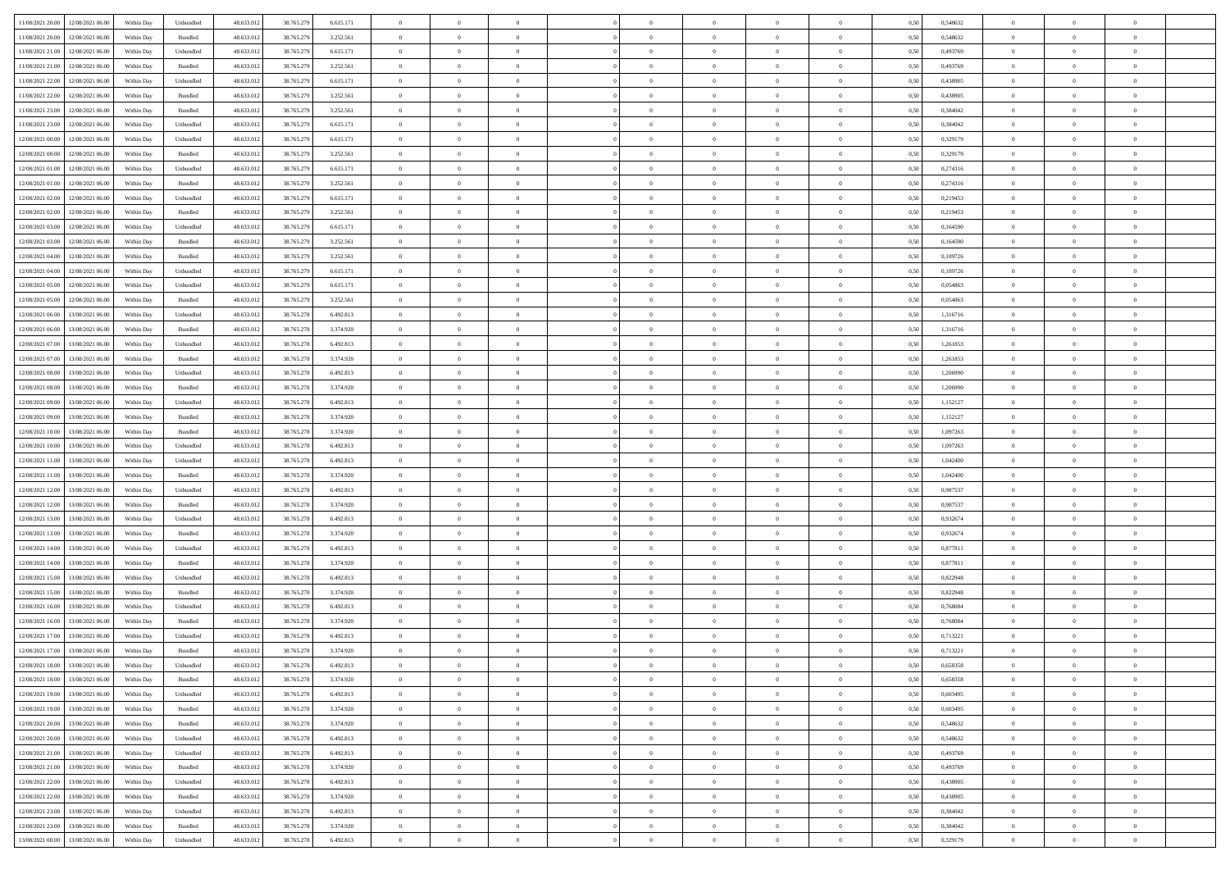| 11/08/2021 20:00 12/08/2021 06:00            | Within Day | Unbundled                   | 48.633.01  | 38.765.279 | 6.615.171 | $\overline{0}$ | $\overline{0}$ |                | $\overline{0}$ | $\theta$       |                | $\theta$       | 0,50 | 0,548632 | $\theta$       | $\theta$       | $\overline{0}$ |  |
|----------------------------------------------|------------|-----------------------------|------------|------------|-----------|----------------|----------------|----------------|----------------|----------------|----------------|----------------|------|----------|----------------|----------------|----------------|--|
|                                              |            |                             |            |            |           |                |                |                |                |                |                |                |      |          |                |                |                |  |
| 11/08/2021 20:00<br>12/08/2021 06:00         | Within Day | Bundled                     | 48.633.01  | 38.765.279 | 3.252.561 | $\bf{0}$       | $\bf{0}$       | $\bf{0}$       | $\bf{0}$       | $\overline{0}$ | $\overline{0}$ | $\bf{0}$       | 0,50 | 0,548632 | $\,$ 0 $\,$    | $\bf{0}$       | $\overline{0}$ |  |
| 11/08/2021 21:00<br>12/08/2021 06:00         | Within Day | Unbundled                   | 48.633.012 | 38.765.279 | 6.615.171 | $\overline{0}$ | $\bf{0}$       | $\overline{0}$ | $\bf{0}$       | $\bf{0}$       | $\overline{0}$ | $\bf{0}$       | 0.50 | 0.493769 | $\overline{0}$ | $\overline{0}$ | $\overline{0}$ |  |
| 11/08/2021 21:00<br>12/08/2021 06:00         | Within Day | Bundled                     | 48.633.013 | 38.765.279 | 3.252.561 | $\overline{0}$ | $\overline{0}$ | $\overline{0}$ | $\overline{0}$ | $\theta$       | $\overline{0}$ | $\bf{0}$       | 0,50 | 0,493769 | $\theta$       | $\theta$       | $\overline{0}$ |  |
| 11/08/2021 22:00<br>12/08/2021 06:00         | Within Day | Unbundled                   | 48.633.01  | 38.765.279 | 6.615.171 | $\bf{0}$       | $\overline{0}$ | $\bf{0}$       | $\overline{0}$ | $\bf{0}$       | $\overline{0}$ | $\bf{0}$       | 0,50 | 0,438905 | $\,$ 0 $\,$    | $\bf{0}$       | $\overline{0}$ |  |
| 11/08/2021 22:00<br>12/08/2021 06:00         |            | Bundled                     | 48.633.013 | 38.765.279 | 3.252.561 | $\overline{0}$ | $\bf{0}$       | $\overline{0}$ | $\bf{0}$       | $\overline{0}$ | $\theta$       | $\bf{0}$       | 0.50 | 0.438905 | $\,$ 0 $\,$    | $\theta$       | $\overline{0}$ |  |
|                                              | Within Day |                             |            |            |           |                |                |                |                |                |                |                |      |          |                |                |                |  |
| 11/08/2021 23:00<br>12/08/2021 06:00         | Within Day | Bundled                     | 48.633.013 | 38.765.279 | 3.252.561 | $\overline{0}$ | $\overline{0}$ | $\overline{0}$ | $\overline{0}$ | $\overline{0}$ | $\overline{0}$ | $\bf{0}$       | 0,50 | 0,384042 | $\,$ 0 $\,$    | $\theta$       | $\overline{0}$ |  |
| 11/08/2021 23:00<br>12/08/2021 06:00         | Within Day | Unbundled                   | 48.633.01  | 38.765.279 | 6.615.171 | $\bf{0}$       | $\bf{0}$       | $\bf{0}$       | $\overline{0}$ | $\overline{0}$ | $\overline{0}$ | $\bf{0}$       | 0,50 | 0,384042 | $\,$ 0 $\,$    | $\bf{0}$       | $\overline{0}$ |  |
| 12/08/2021 00:00<br>12/08/2021 06:00         | Within Day | Unbundled                   | 48.633.013 | 38.765.279 | 6.615.171 | $\overline{0}$ | $\bf{0}$       | $\overline{0}$ | $\bf{0}$       | $\overline{0}$ | $\overline{0}$ | $\bf{0}$       | 0.50 | 0,329179 | $\bf{0}$       | $\overline{0}$ | $\overline{0}$ |  |
| 12/08/2021 00:00<br>12/08/2021 06:00         | Within Day | Bundled                     | 48.633.012 | 38.765.279 | 3.252.561 | $\bf{0}$       | $\bf{0}$       | $\overline{0}$ | $\overline{0}$ | $\overline{0}$ | $\overline{0}$ | $\bf{0}$       | 0,50 | 0,329179 | $\,$ 0 $\,$    | $\bf{0}$       | $\overline{0}$ |  |
| 12/08/2021 01:00<br>12/08/2021 06:00         | Within Day | Unbundled                   | 48.633.01  | 38.765.279 | 6.615.171 | $\bf{0}$       | $\bf{0}$       | $\bf{0}$       | $\bf{0}$       | $\overline{0}$ | $\overline{0}$ | $\bf{0}$       | 0,50 | 0,274316 | $\,$ 0 $\,$    | $\bf{0}$       | $\overline{0}$ |  |
| 12/08/2021 01:00<br>12/08/2021 06:00         | Within Day | Bundled                     | 48.633.013 | 38.765.279 | 3.252.561 | $\overline{0}$ | $\bf{0}$       | $\overline{0}$ | $\overline{0}$ | $\bf{0}$       | $\overline{0}$ | $\bf{0}$       | 0.50 | 0,274316 | $\bf{0}$       | $\,$ 0 $\,$    | $\,$ 0         |  |
| 12/08/2021 02:00<br>12/08/2021 06:00         | Within Day | Unbundled                   | 48.633.01  | 38.765.279 | 6.615.171 | $\overline{0}$ | $\overline{0}$ | $\overline{0}$ | $\theta$       | $\theta$       | $\overline{0}$ | $\bf{0}$       | 0,50 | 0,219453 | $\,$ 0 $\,$    | $\theta$       | $\overline{0}$ |  |
|                                              |            |                             |            |            |           |                |                |                |                |                |                |                |      |          |                |                |                |  |
| 12/08/2021 02:00<br>12/08/2021 06:00         | Within Day | Bundled                     | 48.633.01  | 38.765.279 | 3.252.561 | $\bf{0}$       | $\overline{0}$ | $\bf{0}$       | $\bf{0}$       | $\bf{0}$       | $\overline{0}$ | $\bf{0}$       | 0,50 | 0,219453 | $\,$ 0 $\,$    | $\bf{0}$       | $\overline{0}$ |  |
| 12/08/2021 03:00<br>12/08/2021 06:00         | Within Day | Unbundled                   | 48.633.013 | 38.765.279 | 6.615.171 | $\overline{0}$ | $\bf{0}$       | $\overline{0}$ | $\bf{0}$       | $\overline{0}$ | $\theta$       | $\bf{0}$       | 0.50 | 0.164590 | $\,$ 0 $\,$    | $\theta$       | $\overline{0}$ |  |
| 12/08/2021 03:00<br>12/08/2021 06:00         | Within Day | Bundled                     | 48.633.013 | 38.765.279 | 3.252.561 | $\overline{0}$ | $\overline{0}$ | $\overline{0}$ | $\overline{0}$ | $\overline{0}$ | $\overline{0}$ | $\bf{0}$       | 0,50 | 0,164590 | $\theta$       | $\theta$       | $\overline{0}$ |  |
| 12/08/2021 04:00<br>12/08/2021 06:00         | Within Day | Bundled                     | 48.633.01  | 38.765.279 | 3.252.561 | $\bf{0}$       | $\bf{0}$       | $\bf{0}$       | $\overline{0}$ | $\overline{0}$ | $\overline{0}$ | $\bf{0}$       | 0,50 | 0,109726 | $\,$ 0 $\,$    | $\bf{0}$       | $\overline{0}$ |  |
| 12/08/2021 04:00<br>12/08/2021 06:00         | Within Day | Unbundled                   | 48.633.013 | 38.765.279 | 6.615.171 | $\overline{0}$ | $\bf{0}$       | $\overline{0}$ | $\bf{0}$       | $\overline{0}$ | $\overline{0}$ | $\bf{0}$       | 0.50 | 0.109726 | $\bf{0}$       | $\overline{0}$ | $\bf{0}$       |  |
| 12/08/2021 05:00<br>12/08/2021 06:00         | Within Day | Unbundled                   | 48.633.013 | 38.765.279 | 6.615.171 | $\bf{0}$       | $\bf{0}$       | $\overline{0}$ | $\overline{0}$ | $\overline{0}$ | $\overline{0}$ | $\bf{0}$       | 0,50 | 0,054863 | $\,$ 0 $\,$    | $\bf{0}$       | $\overline{0}$ |  |
| 12/08/2021 05:00<br>12/08/2021 06:00         | Within Day | Bundled                     | 48.633.01  | 38.765.279 | 3.252.561 | $\bf{0}$       | $\bf{0}$       | $\bf{0}$       | $\bf{0}$       | $\overline{0}$ | $\overline{0}$ | $\bf{0}$       | 0,50 | 0,054863 | $\,$ 0 $\,$    | $\bf{0}$       | $\overline{0}$ |  |
|                                              |            |                             |            |            |           |                |                |                |                |                |                |                |      |          |                |                |                |  |
| 12/08/2021 06:00<br>13/08/2021 06:00         | Within Day | Unbundled                   | 48.633.013 | 38.765.278 | 6.492.813 | $\overline{0}$ | $\bf{0}$       | $\overline{0}$ | $\overline{0}$ | $\bf{0}$       | $\overline{0}$ | $\bf{0}$       | 0.50 | 1.316716 | $\bf{0}$       | $\overline{0}$ | $\,$ 0         |  |
| 12/08/2021 06:00<br>13/08/2021 06:00         | Within Day | Bundled                     | 48.633.01  | 38.765.278 | 3.374.920 | $\overline{0}$ | $\overline{0}$ | $\overline{0}$ | $\overline{0}$ | $\theta$       | $\overline{0}$ | $\bf{0}$       | 0,50 | 1,316716 | $\theta$       | $\theta$       | $\overline{0}$ |  |
| 12/08/2021 07:00<br>13/08/2021 06:00         | Within Day | Unbundled                   | 48.633.01  | 38.765.278 | 6.492.813 | $\bf{0}$       | $\bf{0}$       | $\bf{0}$       | $\bf{0}$       | $\overline{0}$ | $\overline{0}$ | $\bf{0}$       | 0,50 | 1,261853 | $\,$ 0 $\,$    | $\bf{0}$       | $\overline{0}$ |  |
| 12/08/2021 07:00<br>13/08/2021 06:00         | Within Day | Bundled                     | 48.633.013 | 38.765.278 | 3.374.920 | $\overline{0}$ | $\bf{0}$       | $\overline{0}$ | $\bf{0}$       | $\overline{0}$ | $\theta$       | $\bf{0}$       | 0.50 | 1.261853 | $\bf{0}$       | $\theta$       | $\overline{0}$ |  |
| 12/08/2021 08:00<br>13/08/2021 06:00         | Within Day | Unbundled                   | 48.633.013 | 38.765.278 | 6.492.813 | $\overline{0}$ | $\overline{0}$ | $\overline{0}$ | $\overline{0}$ | $\overline{0}$ | $\overline{0}$ | $\bf{0}$       | 0,50 | 1,206990 | $\,$ 0 $\,$    | $\theta$       | $\overline{0}$ |  |
| 12/08/2021 08:00<br>13/08/2021 06:00         | Within Day | Bundled                     | 48.633.01  | 38.765.278 | 3.374.920 | $\bf{0}$       | $\overline{0}$ | $\bf{0}$       | $\overline{0}$ | $\overline{0}$ | $\overline{0}$ | $\bf{0}$       | 0,50 | 1,206990 | $\,$ 0 $\,$    | $\bf{0}$       | $\overline{0}$ |  |
| 12/08/2021 09:00<br>13/08/2021 06:00         | Within Day | Unbundled                   | 48.633.013 | 38.765.278 | 6.492.813 | $\overline{0}$ | $\bf{0}$       | $\overline{0}$ | $\bf{0}$       | $\overline{0}$ | $\overline{0}$ | $\bf{0}$       | 0.50 | 1.152127 | $\bf{0}$       | $\overline{0}$ | $\overline{0}$ |  |
| 12/08/2021 09:00<br>13/08/2021 06:00         | Within Day | Bundled                     | 48.633.013 | 38.765.278 | 3.374.920 | $\overline{0}$ | $\bf{0}$       | $\overline{0}$ | $\overline{0}$ | $\overline{0}$ | $\overline{0}$ | $\bf{0}$       | 0,50 | 1,152127 | $\,$ 0 $\,$    | $\bf{0}$       | $\overline{0}$ |  |
|                                              |            |                             |            |            |           |                |                |                |                |                |                |                |      |          |                |                |                |  |
| 12/08/2021 10:00<br>13/08/2021 06:00         | Within Day | Bundled                     | 48.633.01  | 38.765.278 | 3.374.920 | $\bf{0}$       | $\bf{0}$       | $\bf{0}$       | $\bf{0}$       | $\overline{0}$ | $\overline{0}$ | $\bf{0}$       | 0,50 | 1,097263 | $\,$ 0 $\,$    | $\bf{0}$       | $\overline{0}$ |  |
| 12/08/2021 10:00<br>13/08/2021 06:00         | Within Day | Unbundled                   | 48.633.013 | 38.765.278 | 6.492.813 | $\overline{0}$ | $\bf{0}$       | $\overline{0}$ | $\overline{0}$ | $\bf{0}$       | $\overline{0}$ | $\bf{0}$       | 0.50 | 1.097263 | $\bf{0}$       | $\,$ 0 $\,$    | $\,$ 0         |  |
| 12/08/2021 11:00<br>13/08/2021 06:00         | Within Day | Unbundled                   | 48.633.013 | 38.765.278 | 6.492.813 | $\overline{0}$ | $\overline{0}$ | $\overline{0}$ | $\overline{0}$ | $\overline{0}$ | $\overline{0}$ | $\bf{0}$       | 0.50 | 1,042400 | $\theta$       | $\theta$       | $\overline{0}$ |  |
| 12/08/2021 11:00<br>13/08/2021 06:00         | Within Day | Bundled                     | 48.633.01  | 38.765.278 | 3.374.920 | $\bf{0}$       | $\bf{0}$       | $\bf{0}$       | $\bf{0}$       | $\overline{0}$ | $\overline{0}$ | $\bf{0}$       | 0,50 | 1,042400 | $\,$ 0 $\,$    | $\bf{0}$       | $\overline{0}$ |  |
| 12/08/2021 12:00<br>13/08/2021 06:00         | Within Day | Unbundled                   | 48.633.013 | 38.765.278 | 6.492.813 | $\overline{0}$ | $\bf{0}$       | $\overline{0}$ | $\bf{0}$       | $\overline{0}$ | $\overline{0}$ | $\bf{0}$       | 0.50 | 0.987537 | $\,$ 0 $\,$    | $\bf{0}$       | $\overline{0}$ |  |
| 12/08/2021 12:00<br>13/08/2021 06:00         | Within Dav | Bundled                     | 48.633.013 | 38.765.278 | 3.374.920 | $\overline{0}$ | $\overline{0}$ | $\overline{0}$ | $\overline{0}$ | $\overline{0}$ | $\overline{0}$ | $\bf{0}$       | 0.50 | 0,987537 | $\theta$       | $\theta$       | $\overline{0}$ |  |
| 12/08/2021 13:00<br>13/08/2021 06:00         | Within Day | Unbundled                   | 48.633.01  | 38.765.278 | 6.492.813 | $\bf{0}$       | $\bf{0}$       | $\bf{0}$       | $\bf{0}$       | $\overline{0}$ | $\overline{0}$ | $\bf{0}$       | 0,50 | 0,932674 | $\,$ 0 $\,$    | $\bf{0}$       | $\overline{0}$ |  |
| 12/08/2021 13:00<br>13/08/2021 06:00         | Within Day | Bundled                     | 48.633.013 | 38.765.278 | 3.374.920 | $\overline{0}$ | $\bf{0}$       | $\overline{0}$ | $\bf{0}$       | $\overline{0}$ | $\overline{0}$ | $\bf{0}$       | 0.50 | 0.932674 | $\bf{0}$       | $\overline{0}$ | $\overline{0}$ |  |
| 12/08/2021 14:00<br>13/08/2021 06:00         | Within Dav | Unbundled                   | 48.633.013 | 38.765.278 | 6.492.813 | $\overline{0}$ | $\overline{0}$ | $\overline{0}$ | $\overline{0}$ | $\overline{0}$ | $\overline{0}$ | $\bf{0}$       | 0.50 | 0,877811 | $\theta$       | $\theta$       | $\overline{0}$ |  |
|                                              |            |                             |            |            |           |                |                |                |                |                |                |                |      |          |                |                |                |  |
| 12/08/2021 14:00<br>13/08/2021 06:00         | Within Day | Bundled                     | 48.633.01  | 38.765.278 | 3.374.920 | $\bf{0}$       | $\bf{0}$       | $\bf{0}$       | $\bf{0}$       | $\overline{0}$ | $\bf{0}$       | $\bf{0}$       | 0,50 | 0,877811 | $\,$ 0 $\,$    | $\bf{0}$       | $\overline{0}$ |  |
| 12/08/2021 15:00<br>13/08/2021 06:00         | Within Day | Unbundled                   | 48.633.013 | 38.765.278 | 6.492.813 | $\overline{0}$ | $\bf{0}$       | $\overline{0}$ | $\overline{0}$ | $\bf{0}$       | $\overline{0}$ | $\bf{0}$       | 0.50 | 0,822948 | $\,$ 0 $\,$    | $\overline{0}$ | $\,$ 0         |  |
| 12/08/2021 15:00<br>13/08/2021 06:00         | Within Dav | Bundled                     | 48.633.013 | 38.765.278 | 3.374.920 | $\overline{0}$ | $\overline{0}$ | $\overline{0}$ | $\overline{0}$ | $\overline{0}$ | $\overline{0}$ | $\bf{0}$       | 0.5( | 0,822948 | $\theta$       | $\theta$       | $\overline{0}$ |  |
| 12/08/2021 16:00<br>13/08/2021 06:00         | Within Day | Unbundled                   | 48.633.013 | 38.765.278 | 6.492.813 | $\bf{0}$       | $\bf{0}$       | $\bf{0}$       | $\overline{0}$ | $\overline{0}$ | $\overline{0}$ | $\bf{0}$       | 0,50 | 0,768084 | $\,$ 0 $\,$    | $\bf{0}$       | $\overline{0}$ |  |
| 12/08/2021 16:00<br>13/08/2021 06:00         | Within Day | Bundled                     | 48.633.013 | 38.765.278 | 3.374.920 | $\overline{0}$ | $\overline{0}$ | $\overline{0}$ | $\bf{0}$       | $\overline{0}$ | $\overline{0}$ | $\bf{0}$       | 0.50 | 0.768084 | $\bf{0}$       | $\theta$       | $\overline{0}$ |  |
| 12/08/2021 17:00<br>13/08/2021 06:00         | Within Dav | Unbundled                   | 48.633.013 | 38.765.278 | 6.492.813 | $\overline{0}$ | $\overline{0}$ | $\overline{0}$ | $\overline{0}$ | $\theta$       | $\overline{0}$ | $\overline{0}$ | 0.5( | 0,713221 | $\theta$       | $\theta$       | $\overline{0}$ |  |
| 12/08/2021 17:00<br>13/08/2021 06:00         | Within Day | Bundled                     | 48.633.01  | 38.765.278 | 3.374.920 | $\bf{0}$       | $\bf{0}$       | $\bf{0}$       | $\bf{0}$       | $\bf{0}$       | $\overline{0}$ | $\bf{0}$       | 0,50 | 0,713221 | $\,$ 0 $\,$    | $\overline{0}$ | $\overline{0}$ |  |
| $12/08/2021\ 18.00 \qquad 13/08/2021\ 06.00$ | Within Day | $\ensuremath{\mathsf{Unb}}$ | 48.633.012 | 38.765.278 | 6.492.813 | $\bf{0}$       | $\theta$       |                | $\overline{0}$ |                |                |                | 0,50 | 0,658358 | $\bf{0}$       | $\bf{0}$       |                |  |
|                                              |            |                             |            |            |           |                |                |                |                |                |                |                |      |          |                |                |                |  |
| 12/08/2021 18:00 13/08/2021 06:00            | Within Day | Bundled                     | 48.633.012 | 38.765.278 | 3.374.920 | $\overline{0}$ | $\overline{0}$ | $\Omega$       | $\theta$       | $\overline{0}$ | $\overline{0}$ | $\bf{0}$       | 0,50 | 0,658358 | $\theta$       | $\overline{0}$ | $\overline{0}$ |  |
| 12/08/2021 19:00<br>13/08/2021 06:00         | Within Day | Unbundled                   | 48.633.013 | 38.765.278 | 6.492.813 | $\overline{0}$ | $\bf{0}$       | $\overline{0}$ | $\overline{0}$ | $\bf{0}$       | $\overline{0}$ | $\bf{0}$       | 0,50 | 0,603495 | $\bf{0}$       | $\overline{0}$ | $\bf{0}$       |  |
| 12/08/2021 19:00 13/08/2021 06:00            | Within Day | Bundled                     | 48.633.012 | 38.765.278 | 3.374.920 | $\overline{0}$ | $\overline{0}$ | $\overline{0}$ | $\overline{0}$ | $\mathbf{0}$   | $\overline{0}$ | $\,$ 0 $\,$    | 0.50 | 0.603495 | $\overline{0}$ | $\bf{0}$       | $\bf{0}$       |  |
| 12/08/2021 20:00 13/08/2021 06:00            | Within Dav | Bundled                     | 48.633.012 | 38.765.278 | 3.374.920 | $\overline{0}$ | $\overline{0}$ | $\overline{0}$ | $\overline{0}$ | $\overline{0}$ | $\overline{0}$ | $\bf{0}$       | 0,50 | 0,548632 | $\overline{0}$ | $\theta$       | $\overline{0}$ |  |
| 12/08/2021 20:00<br>13/08/2021 06:00         | Within Day | Unbundled                   | 48.633.012 | 38.765.278 | 6.492.813 | $\overline{0}$ | $\bf{0}$       | $\overline{0}$ | $\overline{0}$ | $\bf{0}$       | $\overline{0}$ | $\bf{0}$       | 0,50 | 0,548632 | $\bf{0}$       | $\overline{0}$ | $\overline{0}$ |  |
| 12/08/2021 21:00<br>13/08/2021 06:00         | Within Day | Unbundled                   | 48.633.012 | 38.765.278 | 6.492.813 | $\overline{0}$ | $\bf{0}$       | $\overline{0}$ | $\overline{0}$ | $\bf{0}$       | $\overline{0}$ | $\bf{0}$       | 0.50 | 0.493769 | $\,$ 0 $\,$    | $\overline{0}$ | $\,$ 0         |  |
| 12/08/2021 21:00<br>13/08/2021 06:00         | Within Dav | Bundled                     | 48.633.012 | 38.765.278 | 3.374.920 | $\overline{0}$ | $\overline{0}$ | $\overline{0}$ | $\overline{0}$ | $\overline{0}$ | $\overline{0}$ | $\bf{0}$       | 0.50 | 0,493769 | $\overline{0}$ | $\theta$       | $\overline{0}$ |  |
| 12/08/2021 22:00<br>13/08/2021 06:00         | Within Day | Unbundled                   | 48.633.013 | 38.765.278 | 6.492.813 | $\overline{0}$ | $\overline{0}$ | $\overline{0}$ | $\overline{0}$ | $\overline{0}$ | $\overline{0}$ | $\bf{0}$       | 0,50 | 0,438905 | $\bf{0}$       | $\overline{0}$ | $\overline{0}$ |  |
|                                              |            |                             |            |            |           |                |                |                |                |                |                |                |      |          |                |                |                |  |
| 12/08/2021 22:00<br>13/08/2021 06:00         | Within Day | Bundled                     | 48.633.012 | 38.765.278 | 3.374.920 | $\overline{0}$ | $\overline{0}$ | $\overline{0}$ | $\overline{0}$ | $\overline{0}$ | $\overline{0}$ | $\bf{0}$       | 0.50 | 0.438905 | $\mathbf{0}$   | $\bf{0}$       | $\,$ 0         |  |
| 12/08/2021 23:00 13/08/2021 06:00            | Within Dav | Unbundled                   | 48.633.012 | 38.765.278 | 6.492.813 | $\overline{0}$ | $\overline{0}$ | $\overline{0}$ | $\overline{0}$ | $\overline{0}$ | $\overline{0}$ | $\bf{0}$       | 0,50 | 0,384042 | $\overline{0}$ | $\theta$       | $\overline{0}$ |  |
| 12/08/2021 23:00<br>13/08/2021 06:00         | Within Day | Bundled                     | 48.633.013 | 38.765.278 | 3.374.920 | $\overline{0}$ | $\bf{0}$       | $\overline{0}$ | $\bf{0}$       | $\overline{0}$ | $\overline{0}$ | $\bf{0}$       | 0,50 | 0,384042 | $\bf{0}$       | $\,$ 0 $\,$    | $\bf{0}$       |  |
| 13/08/2021 00:00 13/08/2021 06:00            | Within Day | Unbundled                   | 48.633.012 | 38.765.278 | 6.492.813 | $\,$ 0 $\,$    | $\bf{0}$       | $\overline{0}$ | $\overline{0}$ | $\,$ 0 $\,$    | $\overline{0}$ | $\bf{0}$       | 0,50 | 0,329179 | $\overline{0}$ | $\,$ 0 $\,$    | $\,$ 0 $\,$    |  |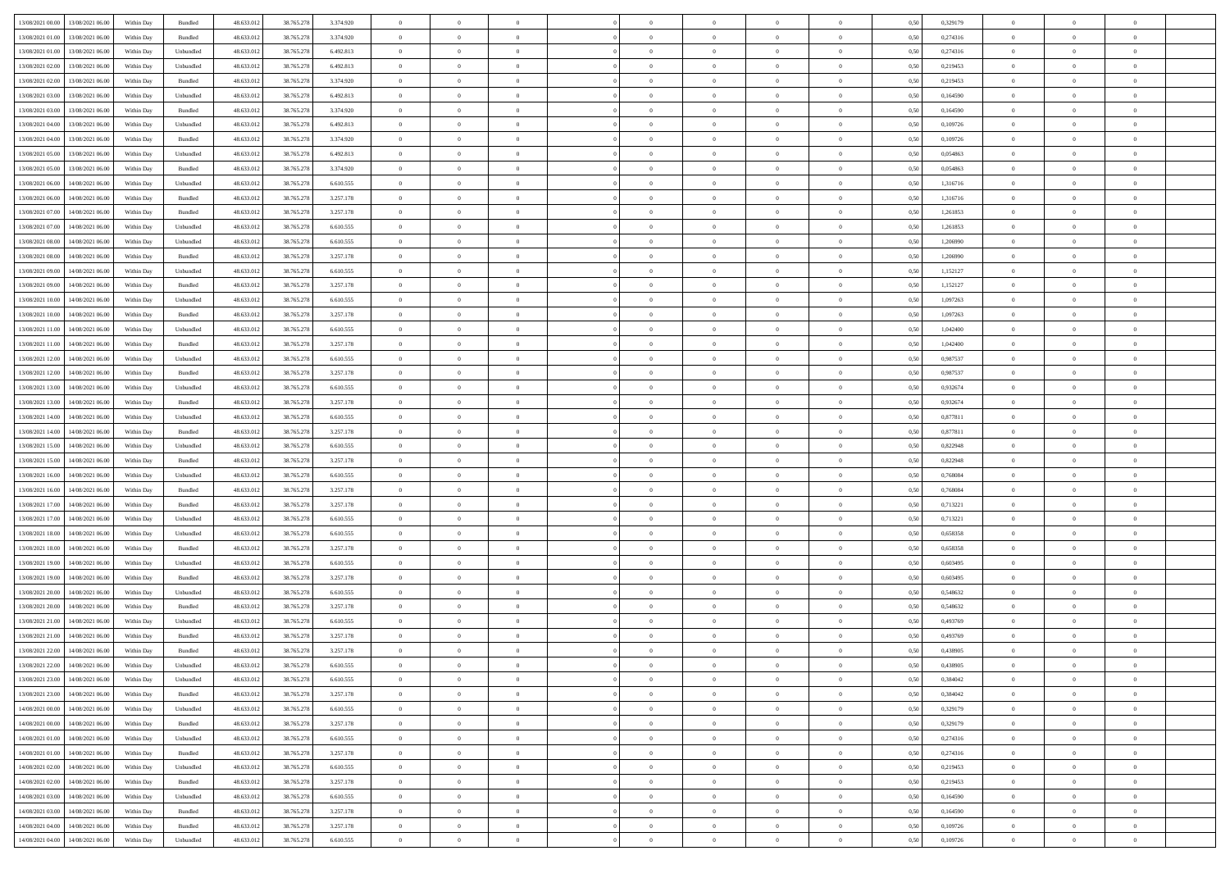|                                              |            |                   |            |            |           | $\overline{0}$ | $\overline{0}$ |                | $\overline{0}$ | $\theta$       |                | $\theta$       |      |          | $\theta$       | $\theta$       | $\overline{0}$ |  |
|----------------------------------------------|------------|-------------------|------------|------------|-----------|----------------|----------------|----------------|----------------|----------------|----------------|----------------|------|----------|----------------|----------------|----------------|--|
| 13/08/2021 00:00 13/08/2021 06:00            | Within Day | Bundled           | 48.633.01  | 38.765.278 | 3.374.920 |                |                |                |                |                |                |                | 0,50 | 0,329179 |                |                |                |  |
| 13/08/2021 01:00<br>13/08/2021 06:00         | Within Day | Bundled           | 48.633.01  | 38.765.278 | 3.374.920 | $\bf{0}$       | $\bf{0}$       | $\bf{0}$       | $\bf{0}$       | $\overline{0}$ | $\overline{0}$ | $\bf{0}$       | 0,50 | 0,274316 | $\,$ 0 $\,$    | $\bf{0}$       | $\overline{0}$ |  |
| 13/08/2021 01:00<br>13/08/2021 06:00         | Within Day | Unbundled         | 48.633.012 | 38.765.278 | 6.492.813 | $\overline{0}$ | $\bf{0}$       | $\overline{0}$ | $\bf{0}$       | $\bf{0}$       | $\overline{0}$ | $\bf{0}$       | 0.50 | 0,274316 | $\overline{0}$ | $\overline{0}$ | $\bf{0}$       |  |
| 13/08/2021 02:00<br>13/08/2021 06:00         | Within Day | Unbundled         | 48.633.013 | 38.765.278 | 6.492.813 | $\overline{0}$ | $\bf{0}$       | $\overline{0}$ | $\overline{0}$ | $\theta$       | $\overline{0}$ | $\bf{0}$       | 0,50 | 0,219453 | $\theta$       | $\theta$       | $\overline{0}$ |  |
| 13/08/2021 02:00<br>13/08/2021 06:00         | Within Day | Bundled           | 48.633.01  | 38.765.278 | 3.374.920 | $\bf{0}$       | $\overline{0}$ | $\bf{0}$       | $\overline{0}$ | $\theta$       | $\overline{0}$ | $\bf{0}$       | 0,50 | 0,219453 | $\,$ 0 $\,$    | $\bf{0}$       | $\overline{0}$ |  |
| 13/08/2021 03:00<br>13/08/2021 06:00         |            | Unbundled         | 48.633.013 | 38.765.278 | 6.492.813 | $\overline{0}$ | $\overline{0}$ | $\overline{0}$ | $\bf{0}$       | $\overline{0}$ | $\theta$       | $\bf{0}$       | 0.50 | 0.164590 | $\,$ 0 $\,$    | $\theta$       | $\overline{0}$ |  |
|                                              | Within Day |                   |            |            |           |                |                |                |                |                |                |                |      |          |                |                |                |  |
| 13/08/2021 03:00<br>13/08/2021 06:00         | Within Day | Bundled           | 48.633.013 | 38.765.278 | 3.374.920 | $\overline{0}$ | $\overline{0}$ | $\overline{0}$ | $\overline{0}$ | $\overline{0}$ | $\overline{0}$ | $\bf{0}$       | 0,50 | 0,164590 | $\theta$       | $\theta$       | $\overline{0}$ |  |
| 13/08/2021 04:00<br>13/08/2021 06:00         | Within Day | Unbundled         | 48.633.01  | 38.765.278 | 6.492.813 | $\bf{0}$       | $\bf{0}$       | $\bf{0}$       | $\overline{0}$ | $\overline{0}$ | $\overline{0}$ | $\bf{0}$       | 0,50 | 0,109726 | $\,$ 0 $\,$    | $\bf{0}$       | $\overline{0}$ |  |
| 13/08/2021 04:00<br>13/08/2021 06:00         | Within Day | Bundled           | 48.633.013 | 38.765.278 | 3.374.920 | $\overline{0}$ | $\bf{0}$       | $\overline{0}$ | $\bf{0}$       | $\overline{0}$ | $\overline{0}$ | $\bf{0}$       | 0.50 | 0.109726 | $\bf{0}$       | $\overline{0}$ | $\overline{0}$ |  |
| 13/08/2021 05:00<br>13/08/2021 06:00         | Within Day | Unbundled         | 48.633.013 | 38.765.278 | 6.492.813 | $\overline{0}$ | $\bf{0}$       | $\overline{0}$ | $\overline{0}$ | $\overline{0}$ | $\overline{0}$ | $\bf{0}$       | 0,50 | 0,054863 | $\,$ 0 $\,$    | $\bf{0}$       | $\overline{0}$ |  |
| 13/08/2021 05:00<br>13/08/2021 06:00         | Within Day | Bundled           | 48.633.01  | 38.765.278 | 3.374.920 | $\bf{0}$       | $\bf{0}$       | $\bf{0}$       | $\bf{0}$       | $\overline{0}$ | $\overline{0}$ | $\bf{0}$       | 0,50 | 0,054863 | $\,$ 0 $\,$    | $\bf{0}$       | $\overline{0}$ |  |
| 13/08/2021 06:00<br>14/08/2021 06:00         | Within Day | Unbundled         | 48.633.013 | 38.765.278 | 6.610.555 | $\overline{0}$ | $\bf{0}$       | $\overline{0}$ | $\overline{0}$ | $\bf{0}$       | $\overline{0}$ | $\bf{0}$       | 0.50 | 1.316716 | $\bf{0}$       | $\overline{0}$ | $\,$ 0         |  |
| 13/08/2021 06:00<br>14/08/2021 06:00         | Within Day | Bundled           | 48.633.01  | 38.765.278 | 3.257.178 | $\overline{0}$ | $\overline{0}$ | $\overline{0}$ | $\theta$       | $\theta$       | $\overline{0}$ | $\bf{0}$       | 0,50 | 1,316716 | $\,$ 0 $\,$    | $\theta$       | $\overline{0}$ |  |
|                                              |            |                   |            |            |           |                |                |                |                |                |                |                |      |          |                |                |                |  |
| 13/08/2021 07:00<br>14/08/2021 06:00         | Within Day | Bundled           | 48.633.01  | 38.765.278 | 3.257.178 | $\bf{0}$       | $\overline{0}$ | $\bf{0}$       | $\bf{0}$       | $\bf{0}$       | $\overline{0}$ | $\bf{0}$       | 0,50 | 1,261853 | $\,$ 0 $\,$    | $\bf{0}$       | $\overline{0}$ |  |
| 13/08/2021 07:00<br>14/08/2021 06:00         | Within Day | Unbundled         | 48.633.013 | 38.765.278 | 6.610.555 | $\overline{0}$ | $\overline{0}$ | $\overline{0}$ | $\bf{0}$       | $\overline{0}$ | $\theta$       | $\bf{0}$       | 0.50 | 1.261853 | $\,$ 0 $\,$    | $\theta$       | $\overline{0}$ |  |
| 13/08/2021 08:00<br>14/08/2021 06:00         | Within Day | Unbundled         | 48.633.013 | 38.765.278 | 6.610.555 | $\overline{0}$ | $\overline{0}$ | $\overline{0}$ | $\overline{0}$ | $\overline{0}$ | $\overline{0}$ | $\bf{0}$       | 0,50 | 1,206990 | $\theta$       | $\theta$       | $\overline{0}$ |  |
| 13/08/2021 08:00<br>14/08/2021 06:00         | Within Day | Bundled           | 48.633.01  | 38.765.278 | 3.257.178 | $\bf{0}$       | $\bf{0}$       | $\bf{0}$       | $\overline{0}$ | $\overline{0}$ | $\overline{0}$ | $\bf{0}$       | 0,50 | 1,206990 | $\,$ 0 $\,$    | $\bf{0}$       | $\overline{0}$ |  |
| 13/08/2021 09:00<br>14/08/2021 06:00         | Within Day | Unbundled         | 48.633.013 | 38.765.278 | 6.610.555 | $\overline{0}$ | $\bf{0}$       | $\overline{0}$ | $\bf{0}$       | $\overline{0}$ | $\overline{0}$ | $\bf{0}$       | 0.50 | 1.152127 | $\bf{0}$       | $\overline{0}$ | $\bf{0}$       |  |
| 13/08/2021 09:00<br>14/08/2021 06:00         | Within Day | Bundled           | 48.633.013 | 38.765.278 | 3.257.178 | $\bf{0}$       | $\bf{0}$       | $\overline{0}$ | $\overline{0}$ | $\overline{0}$ | $\overline{0}$ | $\bf{0}$       | 0,50 | 1,152127 | $\,$ 0 $\,$    | $\bf{0}$       | $\overline{0}$ |  |
| 13/08/2021 10:00<br>14/08/2021 06:00         | Within Day | Unbundled         | 48.633.01  | 38.765.278 | 6.610.555 | $\bf{0}$       | $\bf{0}$       | $\bf{0}$       | $\bf{0}$       | $\overline{0}$ | $\overline{0}$ | $\bf{0}$       | 0,50 | 1,097263 | $\,$ 0 $\,$    | $\bf{0}$       | $\overline{0}$ |  |
| 13/08/2021 10:00<br>14/08/2021 06:00         | Within Day | Bundled           | 48.633.013 | 38.765.278 | 3.257.178 | $\overline{0}$ | $\bf{0}$       | $\overline{0}$ | $\overline{0}$ | $\bf{0}$       | $\overline{0}$ | $\bf{0}$       | 0.50 | 1.097263 | $\bf{0}$       | $\overline{0}$ | $\,$ 0         |  |
|                                              |            |                   |            |            |           |                |                |                |                |                |                |                |      |          |                |                |                |  |
| 13/08/2021 11:00<br>14/08/2021 06:00         | Within Day | Unbundled         | 48.633.01  | 38.765.278 | 6.610.555 | $\overline{0}$ | $\overline{0}$ | $\overline{0}$ | $\overline{0}$ | $\theta$       | $\overline{0}$ | $\bf{0}$       | 0,50 | 1,042400 | $\theta$       | $\theta$       | $\overline{0}$ |  |
| 13/08/2021 11:00<br>14/08/2021 06:00         | Within Day | Bundled           | 48.633.01  | 38.765.278 | 3.257.178 | $\bf{0}$       | $\bf{0}$       | $\bf{0}$       | $\bf{0}$       | $\overline{0}$ | $\overline{0}$ | $\bf{0}$       | 0,50 | 1,042400 | $\,$ 0 $\,$    | $\bf{0}$       | $\overline{0}$ |  |
| 13/08/2021 12:00<br>14/08/2021 06:00         | Within Day | Unbundled         | 48.633.013 | 38.765.278 | 6.610.555 | $\overline{0}$ | $\overline{0}$ | $\overline{0}$ | $\bf{0}$       | $\overline{0}$ | $\theta$       | $\bf{0}$       | 0.50 | 0.987537 | $\,$ 0 $\,$    | $\theta$       | $\overline{0}$ |  |
| 13/08/2021 12:00<br>14/08/2021 06:00         | Within Day | Bundled           | 48.633.013 | 38.765.278 | 3.257.178 | $\overline{0}$ | $\overline{0}$ | $\overline{0}$ | $\overline{0}$ | $\overline{0}$ | $\overline{0}$ | $\bf{0}$       | 0,50 | 0,987537 | $\,$ 0 $\,$    | $\theta$       | $\overline{0}$ |  |
| 13/08/2021 13:00<br>14/08/2021 06:00         | Within Day | Unbundled         | 48.633.01  | 38.765.278 | 6.610.555 | $\bf{0}$       | $\overline{0}$ | $\bf{0}$       | $\overline{0}$ | $\bf{0}$       | $\overline{0}$ | $\bf{0}$       | 0,50 | 0,932674 | $\,$ 0 $\,$    | $\bf{0}$       | $\overline{0}$ |  |
| 13/08/2021 13:00<br>14/08/2021 06:00         | Within Day | Bundled           | 48.633.013 | 38.765.278 | 3.257.178 | $\overline{0}$ | $\bf{0}$       | $\overline{0}$ | $\bf{0}$       | $\overline{0}$ | $\overline{0}$ | $\bf{0}$       | 0.50 | 0.932674 | $\bf{0}$       | $\overline{0}$ | $\overline{0}$ |  |
| 13/08/2021 14:00<br>14/08/2021 06:00         | Within Day | Unbundled         | 48.633.01  | 38.765.278 | 6.610.555 | $\overline{0}$ | $\bf{0}$       | $\overline{0}$ | $\overline{0}$ | $\overline{0}$ | $\overline{0}$ | $\bf{0}$       | 0,50 | 0,877811 | $\theta$       | $\bf{0}$       | $\overline{0}$ |  |
| 13/08/2021 14:00<br>14/08/2021 06:00         | Within Day | Bundled           | 48.633.01  | 38.765.278 | 3.257.178 | $\bf{0}$       | $\bf{0}$       | $\bf{0}$       | $\bf{0}$       | $\overline{0}$ | $\overline{0}$ | $\bf{0}$       | 0,50 | 0,877811 | $\,$ 0 $\,$    | $\bf{0}$       | $\overline{0}$ |  |
| 13/08/2021 15:00<br>14/08/2021 06:00         | Within Day | Unbundled         | 48.633.013 | 38.765.278 | 6.610.555 | $\overline{0}$ | $\bf{0}$       | $\overline{0}$ | $\overline{0}$ | $\bf{0}$       | $\overline{0}$ | $\bf{0}$       | 0.50 | 0.822948 | $\bf{0}$       | $\overline{0}$ | $\,$ 0         |  |
|                                              |            |                   |            |            |           |                |                |                |                |                |                |                |      |          |                |                |                |  |
| 13/08/2021 15:00<br>14/08/2021 06:00         | Within Day | Bundled           | 48.633.013 | 38.765.278 | 3.257.178 | $\overline{0}$ | $\overline{0}$ | $\overline{0}$ | $\overline{0}$ | $\overline{0}$ | $\overline{0}$ | $\bf{0}$       | 0.5( | 0,822948 | $\theta$       | $\theta$       | $\overline{0}$ |  |
| 13/08/2021 16:00<br>14/08/2021 06:00         | Within Day | Unbundled         | 48.633.01  | 38.765.278 | 6.610.555 | $\bf{0}$       | $\bf{0}$       | $\bf{0}$       | $\bf{0}$       | $\overline{0}$ | $\overline{0}$ | $\bf{0}$       | 0,50 | 0,768084 | $\,$ 0 $\,$    | $\bf{0}$       | $\overline{0}$ |  |
| 13/08/2021 16:00<br>14/08/2021 06:00         | Within Day | Bundled           | 48.633.013 | 38.765.278 | 3.257.178 | $\overline{0}$ | $\bf{0}$       | $\overline{0}$ | $\bf{0}$       | $\overline{0}$ | $\overline{0}$ | $\bf{0}$       | 0.50 | 0.768084 | $\,$ 0 $\,$    | $\theta$       | $\overline{0}$ |  |
| 13/08/2021 17:00<br>14/08/2021 06:00         | Within Dav | Bundled           | 48.633.013 | 38.765.278 | 3.257.178 | $\overline{0}$ | $\overline{0}$ | $\overline{0}$ | $\overline{0}$ | $\theta$       | $\overline{0}$ | $\overline{0}$ | 0.50 | 0,713221 | $\theta$       | $\theta$       | $\overline{0}$ |  |
| 13/08/2021 17:00<br>14/08/2021 06:00         | Within Day | Unbundled         | 48.633.01  | 38.765.278 | 6.610.555 | $\bf{0}$       | $\bf{0}$       | $\bf{0}$       | $\bf{0}$       | $\overline{0}$ | $\overline{0}$ | $\bf{0}$       | 0,50 | 0,713221 | $\,$ 0 $\,$    | $\bf{0}$       | $\overline{0}$ |  |
| 13/08/2021 18:00<br>14/08/2021 06:00         | Within Day | Unbundled         | 48.633.013 | 38,765,278 | 6.610.555 | $\overline{0}$ | $\bf{0}$       | $\overline{0}$ | $\bf{0}$       | $\overline{0}$ | $\overline{0}$ | $\bf{0}$       | 0.50 | 0.658358 | $\bf{0}$       | $\overline{0}$ | $\overline{0}$ |  |
| 13/08/2021 18:00<br>14/08/2021 06:00         | Within Dav | Bundled           | 48.633.013 | 38.765.278 | 3.257.178 | $\overline{0}$ | $\overline{0}$ | $\overline{0}$ | $\overline{0}$ | $\overline{0}$ | $\overline{0}$ | $\bf{0}$       | 0.50 | 0,658358 | $\theta$       | $\theta$       | $\overline{0}$ |  |
| 13/08/2021 19:00<br>14/08/2021 06:00         | Within Day | Unbundled         | 48.633.01  | 38.765.278 | 6.610.555 | $\bf{0}$       | $\bf{0}$       | $\bf{0}$       | $\bf{0}$       | $\overline{0}$ | $\overline{0}$ | $\bf{0}$       | 0,50 | 0,603495 | $\,$ 0 $\,$    | $\bf{0}$       | $\overline{0}$ |  |
| 14/08/2021 06:00                             |            | Bundled           | 48.633.013 |            |           |                |                | $\overline{0}$ |                |                | $\overline{0}$ |                |      | 0.603495 |                |                | $\,$ 0         |  |
| 13/08/2021 19:00                             | Within Day |                   |            | 38.765.278 | 3.257.178 | $\overline{0}$ | $\bf{0}$       |                | $\overline{0}$ | $\bf{0}$       |                | $\bf{0}$       | 0.50 |          | $\bf{0}$       | $\overline{0}$ |                |  |
| 13/08/2021 20:00<br>14/08/2021 06:00         | Within Dav | Unbundled         | 48.633.013 | 38.765.278 | 6.610.555 | $\overline{0}$ | $\overline{0}$ | $\overline{0}$ | $\overline{0}$ | $\overline{0}$ | $\overline{0}$ | $\bf{0}$       | 0.50 | 0.548632 | $\theta$       | $\theta$       | $\overline{0}$ |  |
| 13/08/2021 20:00<br>14/08/2021 06:00         | Within Day | Bundled           | 48.633.013 | 38.765.278 | 3.257.178 | $\bf{0}$       | $\bf{0}$       | $\bf{0}$       | $\bf{0}$       | $\overline{0}$ | $\overline{0}$ | $\bf{0}$       | 0,50 | 0,548632 | $\,$ 0 $\,$    | $\bf{0}$       | $\overline{0}$ |  |
| 13/08/2021 21:00<br>14/08/2021 06:00         | Within Day | Unbundled         | 48.633.013 | 38.765.278 | 6.610.555 | $\overline{0}$ | $\overline{0}$ | $\overline{0}$ | $\bf{0}$       | $\overline{0}$ | $\Omega$       | $\bf{0}$       | 0.50 | 0.493769 | $\bf{0}$       | $\theta$       | $\overline{0}$ |  |
| 13/08/2021 21:00<br>14/08/2021 06:00         | Within Dav | Bundled           | 48.633.013 | 38.765.278 | 3.257.178 | $\overline{0}$ | $\overline{0}$ | $\Omega$       | $\overline{0}$ | $\theta$       | $\overline{0}$ | $\overline{0}$ | 0.5( | 0,493769 | $\theta$       | $\theta$       | $\overline{0}$ |  |
| 13/08/2021 22:00<br>14/08/2021 06:00         | Within Day | Bundled           | 48.633.01  | 38.765.278 | 3.257.178 | $\bf{0}$       | $\bf{0}$       | $\overline{0}$ | $\bf{0}$       | $\bf{0}$       | $\overline{0}$ | $\bf{0}$       | 0,50 | 0,438905 | $\overline{0}$ | $\bf{0}$       | $\overline{0}$ |  |
| $13/08/2021\ 22.00 \qquad 14/08/2021\ 06.00$ | Within Day | ${\sf Unbundred}$ | 48.633.012 | 38.765.278 | 6.610.555 | $\bf{0}$       | $\Omega$       |                | $\Omega$       |                |                |                | 0,50 | 0.438905 | $\bf{0}$       | $\overline{0}$ |                |  |
| 13/08/2021 23:00 14/08/2021 06:00            | Within Day | Unbundled         | 48.633.012 | 38.765.278 | 6.610.555 | $\overline{0}$ | $\overline{0}$ | $\Omega$       | $\theta$       | $\overline{0}$ | $\overline{0}$ | $\bf{0}$       | 0,50 | 0,384042 | $\theta$       | $\overline{0}$ | $\overline{0}$ |  |
| 13/08/2021 23:00<br>14/08/2021 06:00         | Within Day | Bundled           | 48.633.013 | 38.765.278 | 3.257.178 | $\overline{0}$ | $\bf{0}$       | $\overline{0}$ | $\overline{0}$ | $\bf{0}$       | $\overline{0}$ |                | 0,50 | 0,384042 | $\bf{0}$       | $\overline{0}$ | $\bf{0}$       |  |
|                                              |            |                   |            |            |           |                |                |                |                |                |                | $\bf{0}$       |      |          |                |                |                |  |
| 14/08/2021 00:00 14/08/2021 06:00            | Within Day | Unbundled         | 48.633.012 | 38.765.278 | 6.610.555 | $\overline{0}$ | $\bf{0}$       | $\overline{0}$ | $\overline{0}$ | $\mathbf{0}$   | $\overline{0}$ | $\,$ 0 $\,$    | 0.50 | 0,329179 | $\overline{0}$ | $\bf{0}$       | $\,$ 0 $\,$    |  |
| 14/08/2021 00:00 14/08/2021 06:00            | Within Day | Bundled           | 48.633.012 | 38.765.278 | 3.257.178 | $\overline{0}$ | $\overline{0}$ | $\overline{0}$ | $\overline{0}$ | $\overline{0}$ | $\overline{0}$ | $\bf{0}$       | 0,50 | 0,329179 | $\overline{0}$ | $\theta$       | $\overline{0}$ |  |
| 14/08/2021 01:00<br>14/08/2021 06:00         | Within Day | Unbundled         | 48.633.012 | 38.765.278 | 6.610.555 | $\overline{0}$ | $\bf{0}$       | $\overline{0}$ | $\overline{0}$ | $\overline{0}$ | $\overline{0}$ | $\bf{0}$       | 0,50 | 0,274316 | $\bf{0}$       | $\overline{0}$ | $\overline{0}$ |  |
| 14/08/2021 06:00<br>14/08/2021 01:00         | Within Day | Bundled           | 48.633.012 | 38.765.278 | 3.257.178 | $\overline{0}$ | $\bf{0}$       | $\overline{0}$ | $\overline{0}$ | $\bf{0}$       | $\overline{0}$ | $\bf{0}$       | 0.50 | 0,274316 | $\,$ 0 $\,$    | $\overline{0}$ | $\,$ 0         |  |
| 14/08/2021 02:00<br>14/08/2021 06:00         | Within Dav | Unbundled         | 48.633.012 | 38.765.278 | 6.610.555 | $\overline{0}$ | $\overline{0}$ | $\overline{0}$ | $\overline{0}$ | $\overline{0}$ | $\overline{0}$ | $\bf{0}$       | 0.50 | 0,219453 | $\overline{0}$ | $\theta$       | $\overline{0}$ |  |
| 14/08/2021 02:00<br>14/08/2021 06:00         | Within Day | Bundled           | 48.633.013 | 38.765.278 | 3.257.178 | $\overline{0}$ | $\overline{0}$ | $\overline{0}$ | $\overline{0}$ | $\overline{0}$ | $\overline{0}$ | $\bf{0}$       | 0,50 | 0,219453 | $\bf{0}$       | $\overline{0}$ | $\overline{0}$ |  |
| 14/08/2021 03:00<br>14/08/2021 06:00         | Within Day | Unbundled         | 48.633.012 | 38.765.278 | 6.610.555 | $\overline{0}$ | $\overline{0}$ | $\overline{0}$ | $\overline{0}$ | $\overline{0}$ | $\overline{0}$ | $\bf{0}$       | 0.50 | 0.164590 | $\mathbf{0}$   | $\bf{0}$       | $\,$ 0         |  |
| 14/08/2021 06:00                             |            |                   |            |            |           |                | $\overline{0}$ |                |                | $\overline{0}$ |                |                |      |          |                | $\theta$       | $\overline{0}$ |  |
| 14/08/2021 03:00                             | Within Dav | Bundled           | 48.633.012 | 38.765.278 | 3.257.178 | $\overline{0}$ |                | $\overline{0}$ | $\overline{0}$ |                | $\overline{0}$ | $\bf{0}$       | 0,50 | 0,164590 | $\overline{0}$ |                |                |  |
| 14/08/2021 04:00<br>14/08/2021 06:00         | Within Day | Bundled           | 48.633.013 | 38.765.278 | 3.257.178 | $\overline{0}$ | $\bf{0}$       | $\overline{0}$ | $\bf{0}$       | $\overline{0}$ | $\overline{0}$ | $\bf{0}$       | 0,50 | 0,109726 | $\bf{0}$       | $\,$ 0 $\,$    | $\bf{0}$       |  |
| 14/08/2021 04:00 14/08/2021 06:00            | Within Day | Unbundled         | 48.633.012 | 38.765.278 | 6.610.555 | $\,$ 0 $\,$    | $\bf{0}$       | $\overline{0}$ | $\overline{0}$ | $\,$ 0 $\,$    | $\overline{0}$ | $\bf{0}$       | 0,50 | 0,109726 | $\overline{0}$ | $\,$ 0 $\,$    | $\,$ 0 $\,$    |  |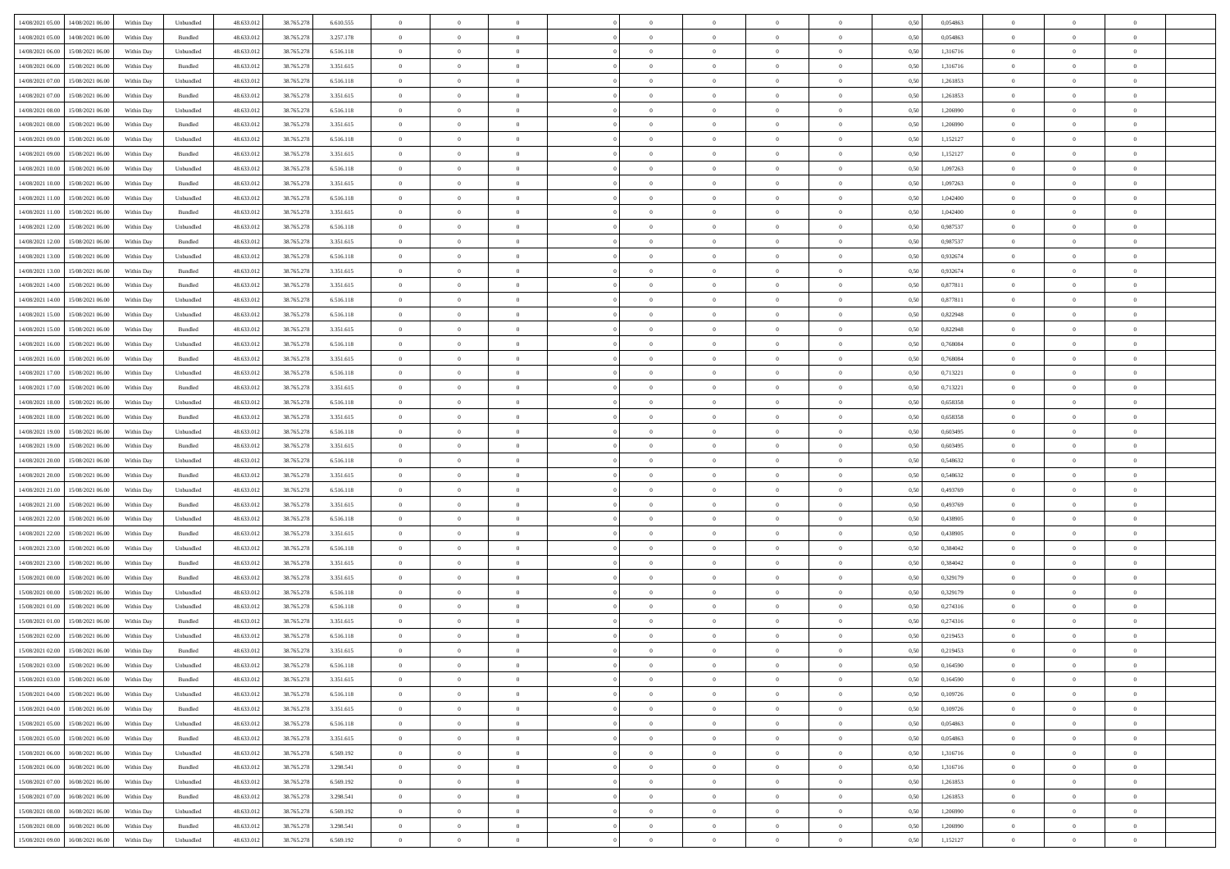| 14/08/2021 05:00 14/08/2021 06:00              | Within Day | Unbundled                   | 48.633.01  | 38.765.278 | 6.610.555 | $\overline{0}$ | $\overline{0}$ |                | $\overline{0}$ | $\theta$       |                | $\theta$       | 0,50 | 0,054863 | $\theta$       | $\theta$       | $\overline{0}$ |  |
|------------------------------------------------|------------|-----------------------------|------------|------------|-----------|----------------|----------------|----------------|----------------|----------------|----------------|----------------|------|----------|----------------|----------------|----------------|--|
| 14/08/2021 05:00<br>14/08/2021 06:00           | Within Day | Bundled                     | 48.633.01  | 38.765.278 | 3.257.178 | $\bf{0}$       | $\bf{0}$       | $\bf{0}$       | $\bf{0}$       | $\overline{0}$ | $\overline{0}$ | $\bf{0}$       | 0,50 | 0,054863 | $\,$ 0 $\,$    | $\bf{0}$       | $\overline{0}$ |  |
| 14/08/2021 06:00<br>15/08/2021 06:00           | Within Day | Unbundled                   | 48.633.012 | 38.765.278 | 6.516.118 | $\overline{0}$ | $\bf{0}$       | $\overline{0}$ | $\bf{0}$       | $\bf{0}$       | $\overline{0}$ | $\bf{0}$       | 0.50 | 1.316716 | $\bf{0}$       | $\overline{0}$ | $\overline{0}$ |  |
| 14/08/2021 06:00<br>15/08/2021 06:00           |            |                             | 48.633.01  |            |           | $\overline{0}$ | $\bf{0}$       | $\overline{0}$ | $\overline{0}$ | $\theta$       | $\overline{0}$ |                |      | 1,316716 | $\,$ 0 $\,$    | $\theta$       | $\overline{0}$ |  |
|                                                | Within Day | Bundled                     |            | 38.765.278 | 3.351.615 |                |                |                |                |                |                | $\bf{0}$       | 0,50 |          |                |                |                |  |
| 14/08/2021 07:00<br>15/08/2021 06:00           | Within Day | Unbundled                   | 48.633.01  | 38.765.278 | 6.516.118 | $\bf{0}$       | $\overline{0}$ | $\bf{0}$       | $\overline{0}$ | $\theta$       | $\overline{0}$ | $\bf{0}$       | 0,50 | 1,261853 | $\,$ 0 $\,$    | $\bf{0}$       | $\overline{0}$ |  |
| 14/08/2021 07:00<br>15/08/2021 06:00           | Within Day | Bundled                     | 48.633.013 | 38.765.278 | 3.351.615 | $\overline{0}$ | $\overline{0}$ | $\overline{0}$ | $\bf{0}$       | $\overline{0}$ | $\theta$       | $\bf{0}$       | 0.50 | 1.261853 | $\,$ 0 $\,$    | $\theta$       | $\overline{0}$ |  |
| 14/08/2021 08:00<br>15/08/2021 06:00           | Within Day | Unbundled                   | 48.633.013 | 38.765.278 | 6.516.118 | $\overline{0}$ | $\overline{0}$ | $\overline{0}$ | $\overline{0}$ | $\overline{0}$ | $\overline{0}$ | $\bf{0}$       | 0,50 | 1,206990 | $\,$ 0 $\,$    | $\theta$       | $\overline{0}$ |  |
|                                                |            |                             |            |            |           |                |                |                |                |                |                |                |      |          |                |                |                |  |
| 14/08/2021 08:00<br>15/08/2021 06:00           | Within Day | Bundled                     | 48.633.01  | 38.765.278 | 3.351.615 | $\bf{0}$       | $\bf{0}$       | $\bf{0}$       | $\overline{0}$ | $\overline{0}$ | $\overline{0}$ | $\bf{0}$       | 0,50 | 1,206990 | $\,$ 0 $\,$    | $\bf{0}$       | $\overline{0}$ |  |
| 14/08/2021 09:00<br>15/08/2021 06:00           | Within Day | Unbundled                   | 48.633.013 | 38.765.278 | 6.516.118 | $\overline{0}$ | $\bf{0}$       | $\overline{0}$ | $\bf{0}$       | $\overline{0}$ | $\overline{0}$ | $\bf{0}$       | 0.50 | 1,152127 | $\bf{0}$       | $\overline{0}$ | $\overline{0}$ |  |
| 14/08/2021 09:00<br>15/08/2021 06:00           | Within Day | Bundled                     | 48.633.012 | 38.765.278 | 3.351.615 | $\bf{0}$       | $\bf{0}$       | $\overline{0}$ | $\overline{0}$ | $\overline{0}$ | $\overline{0}$ | $\bf{0}$       | 0,50 | 1,152127 | $\,$ 0 $\,$    | $\bf{0}$       | $\overline{0}$ |  |
| 14/08/2021 10:00<br>15/08/2021 06:00           | Within Day | Unbundled                   | 48.633.01  | 38.765.278 | 6.516.118 | $\bf{0}$       | $\overline{0}$ | $\bf{0}$       | $\bf{0}$       | $\bf{0}$       | $\overline{0}$ | $\bf{0}$       | 0,50 | 1,097263 | $\,$ 0 $\,$    | $\bf{0}$       | $\overline{0}$ |  |
|                                                |            |                             |            |            |           |                |                |                |                |                |                |                |      |          |                |                |                |  |
| 14/08/2021 10:00<br>15/08/2021 06:00           | Within Day | Bundled                     | 48.633.013 | 38.765.278 | 3.351.615 | $\overline{0}$ | $\bf{0}$       | $\overline{0}$ | $\overline{0}$ | $\bf{0}$       | $\overline{0}$ | $\bf{0}$       | 0.50 | 1.097263 | $\bf{0}$       | $\overline{0}$ | $\overline{0}$ |  |
| 14/08/2021 11:00<br>15/08/2021 06:00           | Within Day | Unbundled                   | 48.633.01  | 38.765.278 | 6.516.118 | $\overline{0}$ | $\overline{0}$ | $\overline{0}$ | $\theta$       | $\theta$       | $\overline{0}$ | $\bf{0}$       | 0,50 | 1,042400 | $\,$ 0 $\,$    | $\theta$       | $\overline{0}$ |  |
| 14/08/2021 11:00<br>15/08/2021 06:00           | Within Day | Bundled                     | 48.633.01  | 38.765.278 | 3.351.615 | $\bf{0}$       | $\overline{0}$ | $\bf{0}$       | $\overline{0}$ | $\bf{0}$       | $\overline{0}$ | $\bf{0}$       | 0,50 | 1,042400 | $\,$ 0 $\,$    | $\bf{0}$       | $\overline{0}$ |  |
|                                                |            |                             |            |            |           |                |                |                |                |                | $\theta$       |                |      |          |                |                |                |  |
| 14/08/2021 12:00<br>15/08/2021 06:00           | Within Day | Unbundled                   | 48.633.013 | 38.765.278 | 6.516.118 | $\overline{0}$ | $\overline{0}$ | $\overline{0}$ | $\bf{0}$       | $\overline{0}$ |                | $\bf{0}$       | 0.50 | 0.987537 | $\,$ 0 $\,$    | $\theta$       | $\overline{0}$ |  |
| 14/08/2021 12:00<br>15/08/2021 06:00           | Within Day | Bundled                     | 48.633.013 | 38.765.278 | 3.351.615 | $\overline{0}$ | $\overline{0}$ | $\overline{0}$ | $\overline{0}$ | $\overline{0}$ | $\overline{0}$ | $\bf{0}$       | 0,50 | 0,987537 | $\theta$       | $\theta$       | $\overline{0}$ |  |
| 14/08/2021 13:00<br>15/08/2021 06:00           | Within Day | Unbundled                   | 48.633.01  | 38.765.278 | 6.516.118 | $\bf{0}$       | $\bf{0}$       | $\bf{0}$       | $\overline{0}$ | $\bf{0}$       | $\overline{0}$ | $\bf{0}$       | 0,50 | 0,932674 | $\,$ 0 $\,$    | $\bf{0}$       | $\overline{0}$ |  |
| 14/08/2021 13:00<br>15/08/2021 06:00           | Within Day | Bundled                     | 48.633.013 | 38.765.278 | 3.351.615 | $\overline{0}$ | $\bf{0}$       | $\overline{0}$ | $\bf{0}$       | $\overline{0}$ | $\overline{0}$ | $\bf{0}$       | 0.50 | 0.932674 | $\bf{0}$       | $\overline{0}$ | $\overline{0}$ |  |
| 14/08/2021 14:00<br>15/08/2021 06:00           |            |                             |            |            |           |                | $\bf{0}$       | $\overline{0}$ | $\overline{0}$ | $\overline{0}$ | $\overline{0}$ |                |      |          | $\,$ 0 $\,$    | $\bf{0}$       | $\overline{0}$ |  |
|                                                | Within Day | Bundled                     | 48.633.013 | 38.765.278 | 3.351.615 | $\bf{0}$       |                |                |                |                |                | $\bf{0}$       | 0,50 | 0,877811 |                |                |                |  |
| 14/08/2021 14:00<br>15/08/2021 06:00           | Within Day | Unbundled                   | 48.633.01  | 38.765.278 | 6.516.118 | $\bf{0}$       | $\bf{0}$       | $\bf{0}$       | $\bf{0}$       | $\overline{0}$ | $\overline{0}$ | $\bf{0}$       | 0,50 | 0,877811 | $\,$ 0 $\,$    | $\bf{0}$       | $\overline{0}$ |  |
| 14/08/2021 15:00<br>15/08/2021 06:00           | Within Day | Unbundled                   | 48.633.013 | 38.765.278 | 6.516.118 | $\overline{0}$ | $\bf{0}$       | $\overline{0}$ | $\overline{0}$ | $\bf{0}$       | $\overline{0}$ | $\bf{0}$       | 0.50 | 0,822948 | $\bf{0}$       | $\overline{0}$ | $\overline{0}$ |  |
| 14/08/2021 15:00<br>15/08/2021 06:00           | Within Day | Bundled                     | 48.633.01  | 38.765.278 | 3.351.615 | $\overline{0}$ | $\overline{0}$ | $\overline{0}$ | $\overline{0}$ | $\theta$       | $\overline{0}$ | $\bf{0}$       | 0,50 | 0,822948 | $\theta$       | $\theta$       | $\overline{0}$ |  |
|                                                |            |                             |            |            |           |                | $\bf{0}$       |                |                | $\overline{0}$ | $\overline{0}$ |                |      |          | $\,$ 0 $\,$    | $\bf{0}$       | $\overline{0}$ |  |
| 14/08/2021 16:00<br>15/08/2021 06:00           | Within Day | Unbundled                   | 48.633.01  | 38.765.278 | 6.516.118 | $\bf{0}$       |                | $\bf{0}$       | $\bf{0}$       |                |                | $\bf{0}$       | 0,50 | 0,768084 |                |                |                |  |
| 14/08/2021 16:00<br>15/08/2021 06:00           | Within Day | Bundled                     | 48.633.013 | 38.765.278 | 3.351.615 | $\overline{0}$ | $\overline{0}$ | $\overline{0}$ | $\bf{0}$       | $\overline{0}$ | $\theta$       | $\bf{0}$       | 0.50 | 0.768084 | $\,$ 0 $\,$    | $\theta$       | $\overline{0}$ |  |
| 14/08/2021 17:00<br>15/08/2021 06:00           | Within Day | Unbundled                   | 48.633.013 | 38.765.278 | 6.516.118 | $\overline{0}$ | $\overline{0}$ | $\overline{0}$ | $\overline{0}$ | $\overline{0}$ | $\overline{0}$ | $\bf{0}$       | 0,50 | 0,713221 | $\,$ 0 $\,$    | $\theta$       | $\overline{0}$ |  |
| 14/08/2021 17:00<br>15/08/2021 06:00           | Within Day | Bundled                     | 48.633.01  | 38.765.278 | 3.351.615 | $\bf{0}$       | $\overline{0}$ | $\bf{0}$       | $\overline{0}$ | $\bf{0}$       | $\overline{0}$ | $\bf{0}$       | 0,50 | 0,713221 | $\,$ 0 $\,$    | $\bf{0}$       | $\overline{0}$ |  |
| 14/08/2021 18:00<br>15/08/2021 06:00           | Within Day | Unbundled                   | 48.633.013 | 38.765.278 | 6.516.118 | $\overline{0}$ | $\bf{0}$       | $\overline{0}$ | $\bf{0}$       | $\overline{0}$ | $\overline{0}$ | $\bf{0}$       | 0.50 | 0.658358 | $\bf{0}$       | $\overline{0}$ | $\overline{0}$ |  |
|                                                |            |                             |            |            |           |                |                |                |                |                |                |                |      |          |                |                |                |  |
| 14/08/2021 18:00<br>15/08/2021 06:00           | Within Day | Bundled                     | 48.633.01  | 38.765.278 | 3.351.615 | $\overline{0}$ | $\bf{0}$       | $\overline{0}$ | $\overline{0}$ | $\overline{0}$ | $\overline{0}$ | $\bf{0}$       | 0,50 | 0,658358 | $\theta$       | $\theta$       | $\overline{0}$ |  |
| 14/08/2021 19:00<br>15/08/2021 06:00           | Within Day | Unbundled                   | 48.633.01  | 38.765.278 | 6.516.118 | $\bf{0}$       | $\bf{0}$       | $\bf{0}$       | $\bf{0}$       | $\overline{0}$ | $\overline{0}$ | $\bf{0}$       | 0,50 | 0,603495 | $\,$ 0 $\,$    | $\bf{0}$       | $\overline{0}$ |  |
| 14/08/2021 19:00<br>15/08/2021 06:00           | Within Day | Bundled                     | 48.633.013 | 38.765.278 | 3.351.615 | $\overline{0}$ | $\bf{0}$       | $\overline{0}$ | $\overline{0}$ | $\bf{0}$       | $\overline{0}$ | $\bf{0}$       | 0.50 | 0.603495 | $\bf{0}$       | $\overline{0}$ | $\overline{0}$ |  |
| 14/08/2021 20:00<br>15/08/2021 06:00           | Within Day | Unbundled                   | 48.633.013 | 38.765.278 | 6.516.118 | $\overline{0}$ | $\overline{0}$ | $\overline{0}$ | $\overline{0}$ | $\overline{0}$ | $\overline{0}$ | $\bf{0}$       | 0.5( | 0.548632 | $\theta$       | $\theta$       | $\overline{0}$ |  |
|                                                |            |                             |            |            |           |                |                |                |                |                |                |                |      |          |                |                |                |  |
| 14/08/2021 20:00<br>15/08/2021 06:00           | Within Day | Bundled                     | 48.633.01  | 38.765.278 | 3.351.615 | $\bf{0}$       | $\overline{0}$ | $\bf{0}$       | $\bf{0}$       | $\overline{0}$ | $\overline{0}$ | $\bf{0}$       | 0,50 | 0,548632 | $\,$ 0 $\,$    | $\bf{0}$       | $\overline{0}$ |  |
| 14/08/2021 21:00<br>15/08/2021 06:00           | Within Day | Unbundled                   | 48.633.013 | 38.765.278 | 6.516.118 | $\overline{0}$ | $\bf{0}$       | $\overline{0}$ | $\bf{0}$       | $\overline{0}$ | $\Omega$       | $\bf{0}$       | 0.50 | 0.493769 | $\,$ 0 $\,$    | $\bf{0}$       | $\overline{0}$ |  |
| 14/08/2021 21:00<br>15/08/2021 06:00           | Within Dav | Bundled                     | 48.633.013 | 38.765.278 | 3.351.615 | $\overline{0}$ | $\overline{0}$ | $\overline{0}$ | $\overline{0}$ | $\theta$       | $\overline{0}$ | $\bf{0}$       | 0.50 | 0,493769 | $\theta$       | $\theta$       | $\overline{0}$ |  |
| 14/08/2021 22:00<br>15/08/2021 06:00           | Within Day | Unbundled                   | 48.633.01  | 38.765.278 | 6.516.118 | $\bf{0}$       | $\bf{0}$       | $\bf{0}$       | $\bf{0}$       | $\overline{0}$ | $\overline{0}$ | $\bf{0}$       | 0,50 | 0,438905 | $\,$ 0 $\,$    | $\bf{0}$       | $\overline{0}$ |  |
| 14/08/2021 22:00<br>15/08/2021 06:00           | Within Day | Bundled                     | 48.633.013 | 38,765,278 | 3.351.615 | $\overline{0}$ | $\bf{0}$       | $\overline{0}$ | $\bf{0}$       | $\overline{0}$ | $\overline{0}$ | $\bf{0}$       | 0.50 | 0.438905 | $\bf{0}$       | $\overline{0}$ | $\overline{0}$ |  |
|                                                |            |                             |            |            |           |                |                |                |                |                |                |                |      |          |                |                |                |  |
| 14/08/2021 23:00<br>15/08/2021 06:00           | Within Dav | Unbundled                   | 48.633.013 | 38.765.278 | 6.516.118 | $\overline{0}$ | $\overline{0}$ | $\overline{0}$ | $\overline{0}$ | $\overline{0}$ | $\overline{0}$ | $\bf{0}$       | 0.50 | 0,384042 | $\theta$       | $\theta$       | $\overline{0}$ |  |
| 14/08/2021 23:00<br>15/08/2021 06:00           | Within Day | Bundled                     | 48.633.01  | 38.765.278 | 3.351.615 | $\bf{0}$       | $\bf{0}$       | $\bf{0}$       | $\bf{0}$       | $\overline{0}$ | $\overline{0}$ | $\bf{0}$       | 0,50 | 0,384042 | $\,$ 0 $\,$    | $\bf{0}$       | $\overline{0}$ |  |
| 15/08/2021 00:00<br>15/08/2021 06:00           | Within Day | Bundled                     | 48.633.013 | 38.765.278 | 3.351.615 | $\overline{0}$ | $\bf{0}$       | $\overline{0}$ | $\overline{0}$ | $\bf{0}$       | $\overline{0}$ | $\bf{0}$       | 0.50 | 0,329179 | $\bf{0}$       | $\overline{0}$ | $\overline{0}$ |  |
| 15/08/2021 00:00<br>15/08/2021 06:00           | Within Dav | Unbundled                   | 48.633.013 | 38.765.278 | 6.516.118 | $\overline{0}$ | $\overline{0}$ | $\overline{0}$ | $\overline{0}$ | $\overline{0}$ | $\overline{0}$ | $\bf{0}$       | 0.5( | 0,329179 | $\theta$       | $\theta$       | $\overline{0}$ |  |
|                                                |            |                             |            |            |           |                |                |                |                |                |                |                |      |          |                |                |                |  |
| 15/08/2021 01:00<br>15/08/2021 06:00           | Within Day | Unbundled                   | 48.633.013 | 38.765.278 | 6.516.118 | $\bf{0}$       | $\bf{0}$       | $\bf{0}$       | $\overline{0}$ | $\overline{0}$ | $\overline{0}$ | $\bf{0}$       | 0,50 | 0,274316 | $\,$ 0 $\,$    | $\bf{0}$       | $\overline{0}$ |  |
| 15/08/2021 01:00<br>15/08/2021 06:00           | Within Day | Bundled                     | 48.633.013 | 38.765.278 | 3.351.615 | $\overline{0}$ | $\overline{0}$ | $\overline{0}$ | $\bf{0}$       | $\theta$       | $\Omega$       | $\bf{0}$       | 0.50 | 0,274316 | $\bf{0}$       | $\theta$       | $\overline{0}$ |  |
| 15/08/2021 02:00<br>15/08/2021 06:00           | Within Dav | Unbundled                   | 48.633.013 | 38.765.278 | 6.516.118 | $\overline{0}$ | $\overline{0}$ | $\Omega$       | $\overline{0}$ | $\theta$       | $\overline{0}$ | $\overline{0}$ | 0.5( | 0,219453 | $\theta$       | $\theta$       | $\overline{0}$ |  |
| 15/08/2021 02:00<br>15/08/2021 06:00           | Within Day | Bundled                     | 48.633.01  | 38.765.278 | 3.351.615 | $\bf{0}$       | $\bf{0}$       | $\overline{0}$ | $\bf{0}$       | $\bf{0}$       | $\overline{0}$ | $\bf{0}$       | 0,50 | 0,219453 | $\,$ 0 $\,$    | $\bf{0}$       | $\overline{0}$ |  |
|                                                |            |                             | 48.633.012 |            | 6.516.118 |                |                |                |                |                |                |                |      |          |                |                |                |  |
| $15/08/2021\; 03.00 \qquad 15/08/2021\; 06.00$ | Within Day | $\ensuremath{\mathsf{Unb}}$ |            | 38.765.278 |           | $\bf{0}$       | $\Omega$       |                | $\Omega$       |                |                |                | 0,50 | 0,164590 | $\theta$       | $\overline{0}$ |                |  |
| 15/08/2021 03:00 15/08/2021 06:00              | Within Day | Bundled                     | 48.633.012 | 38.765.278 | 3.351.615 | $\overline{0}$ | $\overline{0}$ | $\overline{0}$ | $\theta$       | $\overline{0}$ | $\overline{0}$ | $\bf{0}$       | 0,50 | 0,164590 | $\theta$       | $\overline{0}$ | $\overline{0}$ |  |
| 15/08/2021 04:00<br>15/08/2021 06:00           | Within Day | Unbundled                   | 48.633.013 | 38.765.278 | 6.516.118 | $\overline{0}$ | $\bf{0}$       | $\overline{0}$ | $\overline{0}$ | $\bf{0}$       | $\overline{0}$ | $\bf{0}$       | 0,50 | 0,109726 | $\bf{0}$       | $\overline{0}$ | $\bf{0}$       |  |
| 15/08/2021 04:00 15/08/2021 06:00              | Within Day | Bundled                     | 48.633.012 | 38.765.278 | 3.351.615 | $\overline{0}$ | $\bf{0}$       | $\overline{0}$ | $\overline{0}$ | $\mathbf{0}$   | $\overline{0}$ | $\,$ 0 $\,$    | 0.50 | 0.109726 | $\overline{0}$ | $\bf{0}$       | $\,$ 0 $\,$    |  |
|                                                |            |                             |            |            |           |                | $\overline{0}$ |                |                | $\overline{0}$ |                |                |      |          | $\overline{0}$ | $\theta$       | $\overline{0}$ |  |
| 15/08/2021 05:00 15/08/2021 06:00              | Within Day | Unbundled                   | 48.633.012 | 38.765.278 | 6.516.118 | $\overline{0}$ |                | $\overline{0}$ | $\overline{0}$ |                | $\overline{0}$ | $\bf{0}$       | 0,50 | 0,054863 |                |                |                |  |
| 15/08/2021 05:00<br>15/08/2021 06:00           | Within Day | Bundled                     | 48.633.012 | 38.765.278 | 3.351.615 | $\overline{0}$ | $\bf{0}$       | $\overline{0}$ | $\overline{0}$ | $\bf{0}$       | $\overline{0}$ | $\bf{0}$       | 0,50 | 0,054863 | $\bf{0}$       | $\overline{0}$ | $\overline{0}$ |  |
| 15/08/2021 06:00<br>16/08/2021 06:00           | Within Day | Unbundled                   | 48.633.012 | 38.765.278 | 6.569.192 | $\overline{0}$ | $\bf{0}$       | $\overline{0}$ | $\overline{0}$ | $\bf{0}$       | $\overline{0}$ | $\bf{0}$       | 0.50 | 1.316716 | $\,$ 0 $\,$    | $\overline{0}$ | $\,$ 0         |  |
| 15/08/2021 06:00<br>16/08/2021 06:00           | Within Dav | Bundled                     | 48.633.012 | 38.765.278 | 3.298.541 | $\overline{0}$ | $\overline{0}$ | $\overline{0}$ | $\overline{0}$ | $\overline{0}$ | $\overline{0}$ | $\bf{0}$       | 0,50 | 1,316716 | $\overline{0}$ | $\theta$       | $\overline{0}$ |  |
| 15/08/2021 07:00                               |            |                             |            |            |           |                | $\overline{0}$ |                |                | $\overline{0}$ |                |                |      |          | $\bf{0}$       | $\overline{0}$ | $\overline{0}$ |  |
| 16/08/2021 06:00                               | Within Day | Unbundled                   | 48.633.013 | 38.765.278 | 6.569.192 | $\overline{0}$ |                | $\overline{0}$ | $\overline{0}$ |                | $\overline{0}$ | $\bf{0}$       | 0,50 | 1,261853 |                |                |                |  |
| 15/08/2021 07:00<br>16/08/2021 06:00           | Within Day | Bundled                     | 48.633.012 | 38.765.278 | 3.298.541 | $\overline{0}$ | $\overline{0}$ | $\overline{0}$ | $\overline{0}$ | $\overline{0}$ | $\overline{0}$ | $\bf{0}$       | 0.50 | 1.261853 | $\mathbf{0}$   | $\bf{0}$       | $\,$ 0         |  |
| 15/08/2021 08:00<br>16/08/2021 06:00           | Within Dav | Unbundled                   | 48.633.012 | 38.765.278 | 6.569.192 | $\overline{0}$ | $\overline{0}$ | $\overline{0}$ | $\overline{0}$ | $\overline{0}$ | $\overline{0}$ | $\bf{0}$       | 0,50 | 1,206990 | $\overline{0}$ | $\theta$       | $\overline{0}$ |  |
| 15/08/2021 08:00<br>16/08/2021 06:00           | Within Day | Bundled                     | 48.633.013 | 38.765.278 | 3.298.541 | $\overline{0}$ | $\bf{0}$       | $\overline{0}$ | $\overline{0}$ | $\overline{0}$ | $\overline{0}$ | $\bf{0}$       | 0,50 | 1,206990 | $\bf{0}$       | $\,$ 0 $\,$    | $\bf{0}$       |  |
|                                                |            | Unbundled                   | 48.633.012 |            | 6.569.192 | $\,$ 0 $\,$    | $\bf{0}$       | $\overline{0}$ |                | $\,$ 0 $\,$    | $\overline{0}$ | $\bf{0}$       | 0,50 | 1,152127 | $\overline{0}$ | $\,$ 0 $\,$    | $\,$ 0 $\,$    |  |
| 15/08/2021 09:00 16/08/2021 06:00              | Within Day |                             |            | 38.765.278 |           |                |                |                | $\overline{0}$ |                |                |                |      |          |                |                |                |  |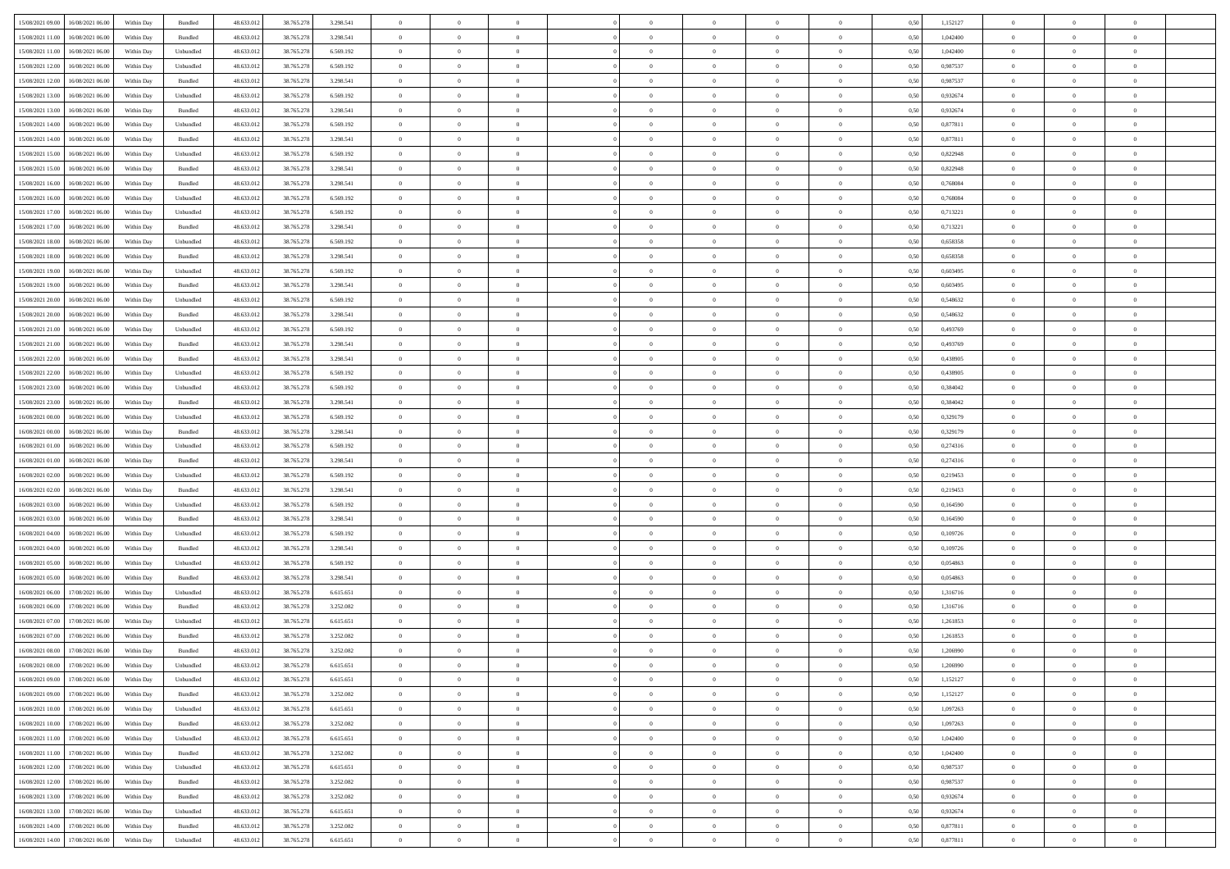| 15/08/2021 09:00 16/08/2021 06:00            | Within Day | Bundled           | 48.633.01  | 38.765.278 | 3.298.541 | $\overline{0}$ | $\overline{0}$ |                | $\overline{0}$ | $\theta$       |                | $\theta$       | 0,50 | 1,152127 | $\theta$       | $\theta$       | $\overline{0}$ |  |
|----------------------------------------------|------------|-------------------|------------|------------|-----------|----------------|----------------|----------------|----------------|----------------|----------------|----------------|------|----------|----------------|----------------|----------------|--|
|                                              |            |                   |            |            |           |                |                |                |                |                |                |                |      |          |                |                |                |  |
| 15/08/2021 11:00<br>16/08/2021 06:00         | Within Day | Bundled           | 48.633.01  | 38.765.278 | 3.298.541 | $\bf{0}$       | $\bf{0}$       | $\bf{0}$       | $\overline{0}$ | $\overline{0}$ | $\overline{0}$ | $\bf{0}$       | 0,50 | 1,042400 | $\,$ 0 $\,$    | $\bf{0}$       | $\overline{0}$ |  |
| 15/08/2021 11:00<br>16/08/2021 06:00         | Within Day | Unbundled         | 48.633.013 | 38.765.278 | 6.569.192 | $\overline{0}$ | $\bf{0}$       | $\overline{0}$ | $\bf{0}$       | $\bf{0}$       | $\overline{0}$ | $\bf{0}$       | 0.50 | 1.042400 | $\bf{0}$       | $\overline{0}$ | $\overline{0}$ |  |
| 15/08/2021 12:00<br>16/08/2021 06:00         | Within Day | Unbundled         | 48.633.01  | 38.765.278 | 6.569.192 | $\overline{0}$ | $\bf{0}$       | $\overline{0}$ | $\theta$       | $\theta$       | $\overline{0}$ | $\bf{0}$       | 0,50 | 0,987537 | $\theta$       | $\theta$       | $\overline{0}$ |  |
|                                              |            |                   |            |            |           |                |                |                |                |                |                |                |      |          |                |                |                |  |
| 15/08/2021 12:00<br>16/08/2021 06:00         | Within Day | Bundled           | 48.633.01  | 38.765.278 | 3.298.541 | $\bf{0}$       | $\overline{0}$ | $\bf{0}$       | $\overline{0}$ | $\theta$       | $\overline{0}$ | $\bf{0}$       | 0,50 | 0,987537 | $\,$ 0 $\,$    | $\bf{0}$       | $\overline{0}$ |  |
| 15/08/2021 13:00<br>16/08/2021 06:00         | Within Day | Unbundled         | 48.633.013 | 38.765.278 | 6.569.192 | $\overline{0}$ | $\overline{0}$ | $\overline{0}$ | $\bf{0}$       | $\overline{0}$ | $\theta$       | $\bf{0}$       | 0.50 | 0.932674 | $\,$ 0 $\,$    | $\theta$       | $\overline{0}$ |  |
| 15/08/2021 13:00<br>16/08/2021 06:00         | Within Day | Bundled           | 48.633.013 | 38.765.278 | 3.298.541 | $\overline{0}$ | $\overline{0}$ | $\overline{0}$ | $\overline{0}$ | $\overline{0}$ | $\overline{0}$ | $\bf{0}$       | 0,50 | 0,932674 | $\theta$       | $\theta$       | $\overline{0}$ |  |
| 15/08/2021 14:00<br>16/08/2021 06:00         | Within Day | Unbundled         | 48.633.01  | 38.765.278 | 6.569.192 | $\bf{0}$       | $\overline{0}$ | $\bf{0}$       | $\overline{0}$ | $\overline{0}$ | $\overline{0}$ | $\bf{0}$       | 0,50 | 0,877811 | $\,$ 0 $\,$    | $\bf{0}$       | $\overline{0}$ |  |
| 15/08/2021 14:00<br>16/08/2021 06:00         |            | Bundled           | 48.633.013 |            |           |                | $\bf{0}$       | $\overline{0}$ |                | $\overline{0}$ | $\overline{0}$ |                | 0.50 | 0.877811 | $\bf{0}$       | $\overline{0}$ | $\overline{0}$ |  |
|                                              | Within Day |                   |            | 38.765.278 | 3.298.541 | $\overline{0}$ |                |                | $\bf{0}$       |                |                | $\bf{0}$       |      |          |                |                |                |  |
| 15/08/2021 15:00<br>16/08/2021 06:00         | Within Day | Unbundled         | 48.633.013 | 38.765.278 | 6.569.192 | $\overline{0}$ | $\bf{0}$       | $\overline{0}$ | $\overline{0}$ | $\overline{0}$ | $\overline{0}$ | $\bf{0}$       | 0,50 | 0,822948 | $\,$ 0 $\,$    | $\bf{0}$       | $\overline{0}$ |  |
| 15/08/2021 15:00<br>16/08/2021 06:00         | Within Day | Bundled           | 48.633.01  | 38.765.278 | 3.298.541 | $\bf{0}$       | $\overline{0}$ | $\bf{0}$       | $\overline{0}$ | $\bf{0}$       | $\overline{0}$ | $\bf{0}$       | 0,50 | 0,822948 | $\,$ 0 $\,$    | $\bf{0}$       | $\overline{0}$ |  |
| 15/08/2021 16:00<br>16/08/2021 06:00         | Within Day | Bundled           | 48.633.013 | 38.765.278 | 3.298.541 | $\overline{0}$ | $\bf{0}$       | $\overline{0}$ | $\overline{0}$ | $\bf{0}$       | $\overline{0}$ | $\bf{0}$       | 0.50 | 0.768084 | $\bf{0}$       | $\overline{0}$ | $\overline{0}$ |  |
| 15/08/2021 16:00<br>16/08/2021 06:00         | Within Day | Unbundled         | 48.633.01  | 38.765.278 | 6.569.192 | $\overline{0}$ | $\overline{0}$ | $\overline{0}$ | $\theta$       | $\theta$       | $\overline{0}$ | $\bf{0}$       | 0,50 | 0,768084 | $\,$ 0 $\,$    | $\theta$       | $\overline{0}$ |  |
|                                              |            |                   |            |            |           |                | $\overline{0}$ |                | $\overline{0}$ | $\theta$       | $\overline{0}$ |                |      |          | $\,$ 0 $\,$    | $\bf{0}$       | $\overline{0}$ |  |
| 15/08/2021 17:00<br>16/08/2021 06:00         | Within Day | Unbundled         | 48.633.01  | 38.765.278 | 6.569.192 | $\bf{0}$       |                | $\bf{0}$       |                |                |                | $\bf{0}$       | 0,50 | 0,713221 |                |                |                |  |
| 15/08/2021 17:00<br>16/08/2021 06:00         | Within Day | Bundled           | 48.633.013 | 38.765.278 | 3.298.541 | $\overline{0}$ | $\overline{0}$ | $\overline{0}$ | $\bf{0}$       | $\overline{0}$ | $\Omega$       | $\bf{0}$       | 0.50 | 0,713221 | $\,$ 0 $\,$    | $\theta$       | $\overline{0}$ |  |
| 15/08/2021 18:00<br>16/08/2021 06:00         | Within Day | Unbundled         | 48.633.01  | 38.765.278 | 6.569.192 | $\overline{0}$ | $\overline{0}$ | $\overline{0}$ | $\overline{0}$ | $\theta$       | $\overline{0}$ | $\bf{0}$       | 0,50 | 0,658358 | $\theta$       | $\theta$       | $\overline{0}$ |  |
| 15/08/2021 18:00<br>16/08/2021 06:00         | Within Day | Bundled           | 48.633.01  | 38.765.278 | 3.298.541 | $\bf{0}$       | $\overline{0}$ | $\bf{0}$       | $\overline{0}$ | $\theta$       | $\overline{0}$ | $\bf{0}$       | 0,50 | 0,658358 | $\,$ 0 $\,$    | $\bf{0}$       | $\overline{0}$ |  |
| 15/08/2021 19:00<br>16/08/2021 06:00         | Within Day | Unbundled         | 48.633.013 | 38.765.278 | 6.569.192 | $\overline{0}$ | $\bf{0}$       | $\overline{0}$ | $\bf{0}$       | $\overline{0}$ | $\overline{0}$ | $\bf{0}$       | 0.50 | 0.603495 | $\bf{0}$       | $\overline{0}$ | $\overline{0}$ |  |
|                                              |            |                   |            |            |           | $\overline{0}$ |                | $\overline{0}$ | $\overline{0}$ | $\overline{0}$ | $\overline{0}$ |                |      |          | $\,$ 0 $\,$    |                | $\overline{0}$ |  |
| 15/08/2021 19:00<br>16/08/2021 06:00         | Within Day | Bundled           | 48.633.013 | 38.765.278 | 3.298.541 |                | $\bf{0}$       |                |                |                |                | $\bf{0}$       | 0,50 | 0,603495 |                | $\bf{0}$       |                |  |
| 15/08/2021 20:00<br>16/08/2021 06:00         | Within Day | Unbundled         | 48.633.01  | 38.765.278 | 6.569.192 | $\bf{0}$       | $\bf{0}$       | $\bf{0}$       | $\bf{0}$       | $\overline{0}$ | $\overline{0}$ | $\bf{0}$       | 0,50 | 0,548632 | $\,$ 0 $\,$    | $\bf{0}$       | $\overline{0}$ |  |
| 15/08/2021 20:00<br>16/08/2021 06:00         | Within Day | Bundled           | 48.633.013 | 38.765.278 | 3.298.541 | $\overline{0}$ | $\bf{0}$       | $\overline{0}$ | $\bf{0}$       | $\bf{0}$       | $\overline{0}$ | $\bf{0}$       | 0.50 | 0.548632 | $\bf{0}$       | $\overline{0}$ | $\overline{0}$ |  |
| 15/08/2021 21:00<br>16/08/2021 06:00         | Within Day | Unbundled         | 48.633.01  | 38.765.278 | 6.569.192 | $\overline{0}$ | $\overline{0}$ | $\overline{0}$ | $\theta$       | $\theta$       | $\overline{0}$ | $\bf{0}$       | 0,50 | 0,493769 | $\theta$       | $\theta$       | $\overline{0}$ |  |
| 15/08/2021 21:00<br>16/08/2021 06:00         | Within Day | Bundled           | 48.633.01  | 38.765.278 | 3.298.541 | $\bf{0}$       | $\overline{0}$ | $\bf{0}$       | $\bf{0}$       | $\,$ 0 $\,$    | $\overline{0}$ | $\bf{0}$       | 0,50 | 0,493769 | $\,$ 0 $\,$    | $\bf{0}$       | $\overline{0}$ |  |
| 15/08/2021 22:00<br>16/08/2021 06:00         | Within Day | Bundled           | 48.633.013 | 38.765.278 | 3.298.541 | $\overline{0}$ | $\overline{0}$ | $\overline{0}$ | $\overline{0}$ | $\overline{0}$ | $\Omega$       | $\bf{0}$       | 0.50 | 0.438905 | $\,$ 0 $\,$    | $\theta$       | $\overline{0}$ |  |
| 15/08/2021 22:00<br>16/08/2021 06:00         | Within Day | Unbundled         | 48.633.013 | 38.765.278 | 6.569.192 | $\overline{0}$ | $\overline{0}$ | $\overline{0}$ | $\overline{0}$ | $\theta$       | $\overline{0}$ | $\bf{0}$       | 0,50 | 0,438905 | $\theta$       | $\theta$       | $\overline{0}$ |  |
|                                              |            |                   |            |            |           |                |                |                |                |                |                |                |      |          |                |                |                |  |
| 15/08/2021 23:00<br>16/08/2021 06:00         | Within Day | Unbundled         | 48.633.01  | 38.765.278 | 6.569.192 | $\bf{0}$       | $\overline{0}$ | $\bf{0}$       | $\overline{0}$ | $\theta$       | $\overline{0}$ | $\bf{0}$       | 0,50 | 0,384042 | $\,$ 0 $\,$    | $\bf{0}$       | $\overline{0}$ |  |
| 15/08/2021 23:00<br>16/08/2021 06:00         | Within Day | Bundled           | 48.633.013 | 38.765.278 | 3.298.541 | $\overline{0}$ | $\bf{0}$       | $\overline{0}$ | $\bf{0}$       | $\overline{0}$ | $\overline{0}$ | $\bf{0}$       | 0.50 | 0.384042 | $\bf{0}$       | $\overline{0}$ | $\overline{0}$ |  |
| 16/08/2021 00:00<br>16/08/2021 06:00         | Within Day | Unbundled         | 48.633.01  | 38.765.278 | 6.569.192 | $\overline{0}$ | $\overline{0}$ | $\overline{0}$ | $\overline{0}$ | $\overline{0}$ | $\overline{0}$ | $\bf{0}$       | 0,50 | 0,329179 | $\theta$       | $\theta$       | $\overline{0}$ |  |
| 16/08/2021 00:00<br>16/08/2021 06:00         | Within Day | Bundled           | 48.633.01  | 38.765.278 | 3.298.541 | $\bf{0}$       | $\bf{0}$       | $\bf{0}$       | $\bf{0}$       | $\overline{0}$ | $\overline{0}$ | $\bf{0}$       | 0,50 | 0,329179 | $\,$ 0 $\,$    | $\bf{0}$       | $\overline{0}$ |  |
| 16/08/2021 01:00<br>16/08/2021 06:00         | Within Day | Unbundled         | 48.633.013 | 38.765.278 | 6.569.192 | $\overline{0}$ | $\bf{0}$       | $\overline{0}$ | $\bf{0}$       | $\bf{0}$       | $\overline{0}$ | $\bf{0}$       | 0.50 | 0,274316 | $\bf{0}$       | $\overline{0}$ | $\overline{0}$ |  |
| 16/08/2021 01:00<br>16/08/2021 06:00         | Within Day | Bundled           | 48.633.013 | 38.765.278 | 3.298.541 | $\overline{0}$ | $\overline{0}$ | $\overline{0}$ | $\overline{0}$ | $\overline{0}$ | $\overline{0}$ | $\bf{0}$       | 0.5( | 0,274316 | $\theta$       | $\theta$       | $\overline{0}$ |  |
|                                              |            |                   |            |            |           |                |                |                |                |                |                |                |      |          |                |                |                |  |
| 16/08/2021 02:00<br>16/08/2021 06:00         | Within Day | Unbundled         | 48.633.01  | 38.765.278 | 6.569.192 | $\bf{0}$       | $\overline{0}$ | $\bf{0}$       | $\bf{0}$       | $\overline{0}$ | $\overline{0}$ | $\bf{0}$       | 0,50 | 0,219453 | $\,$ 0 $\,$    | $\bf{0}$       | $\overline{0}$ |  |
| 16/08/2021 02:00<br>16/08/2021 06:00         | Within Day | Bundled           | 48.633.013 | 38.765.278 | 3.298.541 | $\overline{0}$ | $\bf{0}$       | $\overline{0}$ | $\bf{0}$       | $\bf{0}$       | $\Omega$       | $\bf{0}$       | 0.50 | 0,219453 | $\,$ 0 $\,$    | $\theta$       | $\overline{0}$ |  |
| 16/08/2021 03:00<br>16/08/2021 06:00         | Within Dav | Unbundled         | 48.633.013 | 38.765.278 | 6.569.192 | $\overline{0}$ | $\overline{0}$ | $\overline{0}$ | $\overline{0}$ | $\theta$       | $\overline{0}$ | $\overline{0}$ | 0.50 | 0,164590 | $\theta$       | $\theta$       | $\overline{0}$ |  |
| 16/08/2021 03:00<br>16/08/2021 06:00         | Within Day | Bundled           | 48.633.01  | 38.765.278 | 3.298.541 | $\bf{0}$       | $\bf{0}$       | $\bf{0}$       | $\overline{0}$ | $\bf{0}$       | $\overline{0}$ | $\bf{0}$       | 0,50 | 0,164590 | $\,$ 0 $\,$    | $\bf{0}$       | $\overline{0}$ |  |
| 16/08/2021 04:00<br>16/08/2021 06:00         | Within Day | Unbundled         | 48.633.013 | 38,765,278 | 6.569.192 | $\overline{0}$ | $\bf{0}$       | $\overline{0}$ | $\bf{0}$       | $\overline{0}$ | $\overline{0}$ | $\bf{0}$       | 0.50 | 0.109726 | $\bf{0}$       | $\overline{0}$ | $\overline{0}$ |  |
| 16/08/2021 04:00<br>16/08/2021 06:00         | Within Dav | Bundled           | 48.633.013 | 38.765.278 | 3.298.541 | $\overline{0}$ | $\overline{0}$ | $\overline{0}$ | $\overline{0}$ | $\overline{0}$ | $\overline{0}$ | $\overline{0}$ | 0.50 | 0,109726 | $\theta$       | $\theta$       | $\overline{0}$ |  |
|                                              |            |                   |            |            |           |                |                |                |                |                |                |                |      |          |                |                |                |  |
| 16/08/2021 05:00<br>16/08/2021 06:00         | Within Day | Unbundled         | 48.633.01  | 38.765.278 | 6.569.192 | $\bf{0}$       | $\bf{0}$       | $\bf{0}$       | $\bf{0}$       | $\overline{0}$ | $\overline{0}$ | $\bf{0}$       | 0,50 | 0,054863 | $\,$ 0 $\,$    | $\bf{0}$       | $\overline{0}$ |  |
| 16/08/2021 05:00<br>16/08/2021 06:00         | Within Day | Bundled           | 48.633.013 | 38.765.278 | 3.298.541 | $\overline{0}$ | $\bf{0}$       | $\overline{0}$ | $\bf{0}$       | $\bf{0}$       | $\overline{0}$ | $\bf{0}$       | 0.50 | 0.054863 | $\bf{0}$       | $\overline{0}$ | $\overline{0}$ |  |
| 16/08/2021 06:00<br>17/08/2021 06:00         | Within Dav | Unbundled         | 48.633.013 | 38.765.278 | 6.615.651 | $\overline{0}$ | $\overline{0}$ | $\overline{0}$ | $\overline{0}$ | $\theta$       | $\overline{0}$ | $\bf{0}$       | 0.5( | 1,316716 | $\theta$       | $\theta$       | $\overline{0}$ |  |
| 16/08/2021 06:00<br>17/08/2021 06:00         | Within Day | Bundled           | 48.633.013 | 38.765.278 | 3.252.082 | $\bf{0}$       | $\bf{0}$       | $\bf{0}$       | $\bf{0}$       | $\overline{0}$ | $\overline{0}$ | $\bf{0}$       | 0,50 | 1,316716 | $\,$ 0 $\,$    | $\bf{0}$       | $\overline{0}$ |  |
| 16/08/2021 07:00<br>17/08/2021 06:00         | Within Day | Unbundled         | 48.633.013 | 38.765.278 | 6.615.651 | $\overline{0}$ | $\overline{0}$ | $\overline{0}$ | $\overline{0}$ | $\theta$       | $\Omega$       | $\bf{0}$       | 0.50 | 1.261853 | $\bf{0}$       | $\theta$       | $\overline{0}$ |  |
| 16/08/2021 07:00<br>17/08/2021 06:00         | Within Dav | Bundled           | 48.633.013 | 38.765.278 | 3.252.082 | $\overline{0}$ | $\overline{0}$ | $\Omega$       | $\overline{0}$ | $\theta$       | $\Omega$       | $\overline{0}$ | 0.5( | 1,261853 | $\theta$       | $\theta$       | $\overline{0}$ |  |
|                                              |            |                   |            |            |           |                |                |                |                |                |                |                |      |          |                |                |                |  |
| 16/08/2021 08:00<br>17/08/2021 06:00         | Within Day | Bundled           | 48.633.01  | 38.765.278 | 3.252.082 | $\bf{0}$       | $\bf{0}$       | $\overline{0}$ | $\bf{0}$       | $\bf{0}$       | $\overline{0}$ | $\bf{0}$       | 0,50 | 1,206990 | $\,$ 0 $\,$    | $\bf{0}$       | $\overline{0}$ |  |
| $16/08/2021\;08.00 \qquad 17/08/2021\;06.00$ | Within Day | ${\sf Unbundred}$ | 48.633.012 | 38.765.278 | 6.615.651 | $\bf{0}$       |                |                | $\Omega$       |                |                |                | 0,50 | 1.206990 | $\theta$       | $\overline{0}$ |                |  |
| 16/08/2021 09:00 17/08/2021 06:00            | Within Day | Unbundled         | 48.633.012 | 38.765.278 | 6.615.651 | $\overline{0}$ | $\overline{0}$ | $\overline{0}$ | $\theta$       | $\overline{0}$ | $\overline{0}$ | $\bf{0}$       | 0,50 | 1,152127 | $\theta$       | $\overline{0}$ | $\overline{0}$ |  |
| 16/08/2021 09:00<br>17/08/2021 06:00         | Within Day | Bundled           | 48.633.013 | 38.765.278 | 3.252.082 | $\overline{0}$ | $\bf{0}$       | $\overline{0}$ | $\overline{0}$ | $\bf{0}$       | $\overline{0}$ | $\bf{0}$       | 0,50 | 1,152127 | $\bf{0}$       | $\overline{0}$ | $\bf{0}$       |  |
| 16/08/2021 10:00 17/08/2021 06:00            | Within Day | Unbundled         | 48.633.012 | 38.765.278 | 6.615.651 | $\overline{0}$ | $\bf{0}$       | $\overline{0}$ | $\overline{0}$ | $\mathbf{0}$   | $\overline{0}$ | $\,$ 0 $\,$    | 0.50 | 1,097263 | $\overline{0}$ | $\bf{0}$       | $\,$ 0 $\,$    |  |
|                                              |            |                   |            |            |           |                | $\overline{0}$ |                |                | $\overline{0}$ |                |                |      |          | $\overline{0}$ | $\theta$       | $\overline{0}$ |  |
| 16/08/2021 10:00 17/08/2021 06:00            | Within Day | Bundled           | 48.633.012 | 38.765.278 | 3.252.082 | $\overline{0}$ |                | $\overline{0}$ | $\overline{0}$ |                | $\overline{0}$ | $\bf{0}$       | 0,50 | 1,097263 |                |                |                |  |
| 16/08/2021 11:00<br>17/08/2021 06:00         | Within Day | Unbundled         | 48.633.012 | 38.765.278 | 6.615.651 | $\overline{0}$ | $\bf{0}$       | $\overline{0}$ | $\overline{0}$ | $\overline{0}$ | $\overline{0}$ | $\bf{0}$       | 0,50 | 1,042400 | $\bf{0}$       | $\overline{0}$ | $\overline{0}$ |  |
| 17/08/2021 06:00<br>16/08/2021 11:00         | Within Day | Bundled           | 48.633.012 | 38.765.278 | 3.252.082 | $\overline{0}$ | $\bf{0}$       | $\overline{0}$ | $\overline{0}$ | $\bf{0}$       | $\overline{0}$ | $\bf{0}$       | 0.50 | 1.042400 | $\,$ 0 $\,$    | $\overline{0}$ | $\,$ 0         |  |
| 16/08/2021 12:00<br>17/08/2021 06:00         | Within Dav | Unbundled         | 48.633.012 | 38.765.278 | 6.615.651 | $\overline{0}$ | $\overline{0}$ | $\overline{0}$ | $\overline{0}$ | $\overline{0}$ | $\overline{0}$ | $\bf{0}$       | 0,50 | 0,987537 | $\overline{0}$ | $\theta$       | $\overline{0}$ |  |
| 16/08/2021 12:00<br>17/08/2021 06:00         | Within Day | Bundled           | 48.633.013 | 38.765.278 | 3.252.082 | $\overline{0}$ | $\overline{0}$ | $\overline{0}$ | $\overline{0}$ | $\overline{0}$ | $\overline{0}$ | $\bf{0}$       | 0,50 | 0,987537 | $\bf{0}$       | $\overline{0}$ | $\overline{0}$ |  |
| 16/08/2021 13:00<br>17/08/2021 06:00         | Within Day | Bundled           | 48.633.012 | 38.765.278 | 3.252.082 | $\overline{0}$ | $\overline{0}$ | $\overline{0}$ | $\overline{0}$ | $\overline{0}$ | $\overline{0}$ | $\bf{0}$       | 0.50 | 0.932674 | $\mathbf{0}$   | $\bf{0}$       | $\,$ 0         |  |
| 16/08/2021 13:00<br>17/08/2021 06:00         | Within Dav | Unbundled         | 48.633.012 | 38.765.278 | 6.615.651 | $\overline{0}$ | $\overline{0}$ | $\overline{0}$ | $\overline{0}$ | $\overline{0}$ | $\overline{0}$ | $\bf{0}$       | 0,50 | 0,932674 | $\overline{0}$ | $\theta$       | $\overline{0}$ |  |
|                                              |            |                   |            |            |           |                |                |                |                |                |                |                |      |          |                |                |                |  |
| 16/08/2021 14:00<br>17/08/2021 06:00         | Within Day | Bundled           | 48.633.013 | 38.765.278 | 3.252.082 | $\overline{0}$ | $\bf{0}$       | $\overline{0}$ | $\bf{0}$       | $\overline{0}$ | $\overline{0}$ | $\bf{0}$       | 0,50 | 0,877811 | $\bf{0}$       | $\,$ 0 $\,$    | $\overline{0}$ |  |
| 16/08/2021 14:00 17/08/2021 06:00            | Within Day | Unbundled         | 48.633.012 | 38.765.278 | 6.615.651 | $\,$ 0 $\,$    | $\bf{0}$       | $\overline{0}$ | $\overline{0}$ | $\,$ 0 $\,$    | $\overline{0}$ | $\bf{0}$       | 0,50 | 0,877811 | $\overline{0}$ | $\,$ 0 $\,$    | $\,$ 0 $\,$    |  |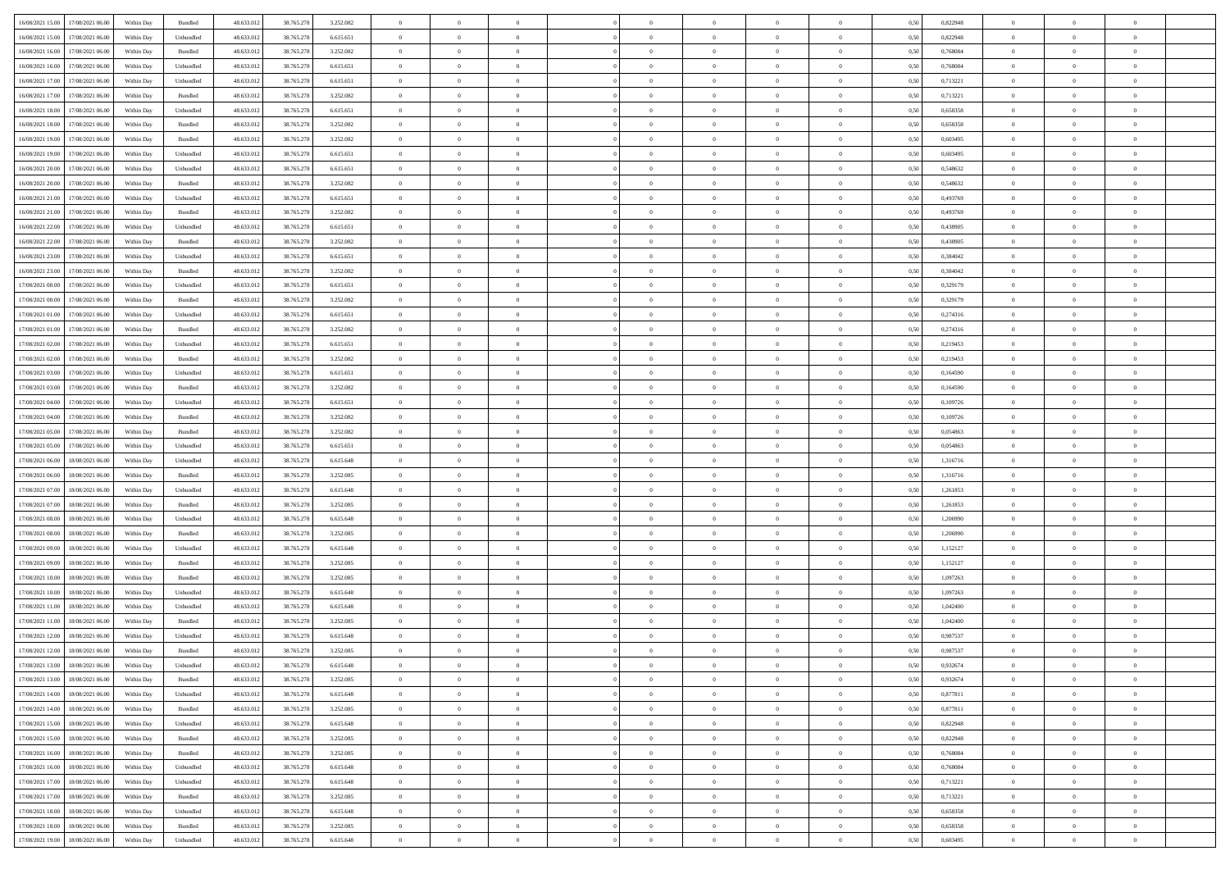| 16/08/2021 15:00 17/08/2021 06:00            |            |                             | 48.633.01  |            |           | $\overline{0}$ | $\overline{0}$ |                | $\overline{0}$ | $\theta$       |                | $\theta$       |      | 0,822948 | $\theta$       | $\theta$       | $\theta$       |  |
|----------------------------------------------|------------|-----------------------------|------------|------------|-----------|----------------|----------------|----------------|----------------|----------------|----------------|----------------|------|----------|----------------|----------------|----------------|--|
|                                              | Within Day | Bundled                     |            | 38.765.278 | 3.252.082 |                |                |                |                |                |                |                | 0,50 |          |                |                |                |  |
| 16/08/2021 15:00<br>17/08/2021 06:00         | Within Day | Unbundled                   | 48.633.01  | 38.765.278 | 6.615.651 | $\bf{0}$       | $\bf{0}$       | $\bf{0}$       | $\bf{0}$       | $\overline{0}$ | $\overline{0}$ | $\bf{0}$       | 0,50 | 0,822948 | $\,$ 0 $\,$    | $\bf{0}$       | $\overline{0}$ |  |
| 16/08/2021 16:00<br>17/08/2021 06:00         | Within Day | Bundled                     | 48.633.012 | 38.765.278 | 3.252.082 | $\overline{0}$ | $\bf{0}$       | $\overline{0}$ | $\bf{0}$       | $\bf{0}$       | $\overline{0}$ | $\bf{0}$       | 0.50 | 0.768084 | $\bf{0}$       | $\overline{0}$ | $\overline{0}$ |  |
| 16/08/2021 16:00<br>17/08/2021 06:00         | Within Day | Unbundled                   | 48.633.01  | 38.765.278 | 6.615.651 | $\overline{0}$ | $\bf{0}$       | $\overline{0}$ | $\overline{0}$ | $\theta$       | $\overline{0}$ | $\bf{0}$       | 0,50 | 0,768084 | $\theta$       | $\theta$       | $\overline{0}$ |  |
|                                              |            |                             |            |            |           |                |                |                |                |                |                |                |      |          |                |                |                |  |
| 16/08/2021 17:00<br>17/08/2021 06:00         | Within Day | Unbundled                   | 48.633.01  | 38.765.278 | 6.615.651 | $\bf{0}$       | $\overline{0}$ | $\bf{0}$       | $\overline{0}$ | $\theta$       | $\overline{0}$ | $\bf{0}$       | 0,50 | 0,713221 | $\,$ 0 $\,$    | $\bf{0}$       | $\overline{0}$ |  |
| 16/08/2021 17:00<br>17/08/2021 06:00         | Within Day | Bundled                     | 48.633.013 | 38.765.278 | 3.252.082 | $\overline{0}$ | $\overline{0}$ | $\overline{0}$ | $\bf{0}$       | $\overline{0}$ | $\theta$       | $\bf{0}$       | 0.50 | 0,713221 | $\,$ 0 $\,$    | $\theta$       | $\overline{0}$ |  |
| 16/08/2021 18:00<br>17/08/2021 06:00         | Within Day | Unbundled                   | 48.633.013 | 38.765.278 | 6.615.651 | $\overline{0}$ | $\overline{0}$ | $\overline{0}$ | $\overline{0}$ | $\overline{0}$ | $\overline{0}$ | $\bf{0}$       | 0,50 | 0,658358 | $\,$ 0 $\,$    | $\theta$       | $\overline{0}$ |  |
| 16/08/2021 18:00<br>17/08/2021 06:00         | Within Day | Bundled                     | 48.633.01  | 38.765.278 | 3.252.082 | $\bf{0}$       | $\bf{0}$       | $\bf{0}$       | $\overline{0}$ | $\overline{0}$ | $\overline{0}$ | $\bf{0}$       | 0,50 | 0,658358 | $\,$ 0 $\,$    | $\bf{0}$       | $\overline{0}$ |  |
| 16/08/2021 19:00<br>17/08/2021 06:00         | Within Day | Bundled                     | 48.633.013 | 38.765.278 | 3.252.082 | $\overline{0}$ | $\bf{0}$       | $\overline{0}$ | $\bf{0}$       | $\overline{0}$ | $\overline{0}$ | $\bf{0}$       | 0.50 | 0.603495 | $\bf{0}$       | $\overline{0}$ | $\overline{0}$ |  |
|                                              |            |                             |            |            |           |                |                |                |                |                |                |                |      |          |                |                |                |  |
| 16/08/2021 19:00<br>17/08/2021 06:00         | Within Day | Unbundled                   | 48.633.012 | 38.765.278 | 6.615.651 | $\bf{0}$       | $\bf{0}$       | $\overline{0}$ | $\overline{0}$ | $\overline{0}$ | $\overline{0}$ | $\bf{0}$       | 0,50 | 0,603495 | $\,$ 0 $\,$    | $\bf{0}$       | $\overline{0}$ |  |
| 16/08/2021 20:00<br>17/08/2021 06:00         | Within Day | Unbundled                   | 48.633.01  | 38.765.278 | 6.615.651 | $\bf{0}$       | $\overline{0}$ | $\bf{0}$       | $\bf{0}$       | $\bf{0}$       | $\overline{0}$ | $\bf{0}$       | 0,50 | 0,548632 | $\,$ 0 $\,$    | $\bf{0}$       | $\overline{0}$ |  |
| 16/08/2021 20:00<br>17/08/2021 06:00         | Within Day | Bundled                     | 48.633.013 | 38.765.278 | 3.252.082 | $\overline{0}$ | $\bf{0}$       | $\overline{0}$ | $\overline{0}$ | $\bf{0}$       | $\overline{0}$ | $\bf{0}$       | 0.50 | 0.548632 | $\bf{0}$       | $\overline{0}$ | $\bf{0}$       |  |
| 16/08/2021 21:00<br>17/08/2021 06:00         | Within Day | Unbundled                   | 48.633.01  | 38.765.278 | 6.615.651 | $\overline{0}$ | $\overline{0}$ | $\overline{0}$ | $\theta$       | $\theta$       | $\overline{0}$ | $\bf{0}$       | 0,50 | 0,493769 | $\,$ 0 $\,$    | $\theta$       | $\overline{0}$ |  |
| 17/08/2021 06:00                             | Within Day | Bundled                     | 48.633.01  | 38.765.278 | 3.252.082 | $\bf{0}$       | $\overline{0}$ | $\bf{0}$       | $\overline{0}$ | $\bf{0}$       | $\overline{0}$ | $\bf{0}$       | 0,50 | 0,493769 | $\,$ 0 $\,$    | $\bf{0}$       | $\overline{0}$ |  |
| 16/08/2021 21:00                             |            |                             |            |            |           |                |                |                |                |                |                |                |      |          |                |                |                |  |
| 16/08/2021 22:00<br>17/08/2021 06:00         | Within Day | Unbundled                   | 48.633.013 | 38.765.278 | 6.615.651 | $\overline{0}$ | $\overline{0}$ | $\overline{0}$ | $\bf{0}$       | $\overline{0}$ | $\theta$       | $\bf{0}$       | 0.50 | 0.438905 | $\,$ 0 $\,$    | $\theta$       | $\overline{0}$ |  |
| 16/08/2021 22:00<br>17/08/2021 06:00         | Within Day | Bundled                     | 48.633.013 | 38.765.278 | 3.252.082 | $\overline{0}$ | $\overline{0}$ | $\overline{0}$ | $\overline{0}$ | $\overline{0}$ | $\overline{0}$ | $\bf{0}$       | 0,50 | 0,438905 | $\theta$       | $\theta$       | $\overline{0}$ |  |
| 16/08/2021 23:00<br>17/08/2021 06:00         | Within Day | Unbundled                   | 48.633.01  | 38.765.278 | 6.615.651 | $\bf{0}$       | $\bf{0}$       | $\bf{0}$       | $\overline{0}$ | $\bf{0}$       | $\overline{0}$ | $\bf{0}$       | 0,50 | 0,384042 | $\,$ 0 $\,$    | $\bf{0}$       | $\overline{0}$ |  |
| 16/08/2021 23:00<br>17/08/2021 06:00         | Within Day | Bundled                     | 48.633.013 | 38.765.278 | 3.252.082 | $\overline{0}$ | $\bf{0}$       | $\overline{0}$ | $\bf{0}$       | $\overline{0}$ | $\overline{0}$ | $\bf{0}$       | 0.50 | 0.384042 | $\bf{0}$       | $\overline{0}$ | $\overline{0}$ |  |
|                                              |            |                             |            |            |           | $\overline{0}$ |                | $\overline{0}$ | $\overline{0}$ | $\overline{0}$ | $\overline{0}$ |                |      |          | $\,$ 0 $\,$    |                |                |  |
| 17/08/2021 00:00<br>17/08/2021 06:00         | Within Day | Unbundled                   | 48.633.013 | 38.765.278 | 6.615.651 |                | $\bf{0}$       |                |                |                |                | $\bf{0}$       | 0,50 | 0,329179 |                | $\bf{0}$       | $\overline{0}$ |  |
| 17/08/2021 00:00<br>17/08/2021 06:00         | Within Day | Bundled                     | 48.633.01  | 38.765.278 | 3.252.082 | $\bf{0}$       | $\bf{0}$       | $\bf{0}$       | $\bf{0}$       | $\overline{0}$ | $\overline{0}$ | $\bf{0}$       | 0,50 | 0,329179 | $\,$ 0 $\,$    | $\bf{0}$       | $\overline{0}$ |  |
| 17/08/2021 01:00<br>17/08/2021 06:00         | Within Day | Unbundled                   | 48.633.013 | 38.765.278 | 6.615.651 | $\overline{0}$ | $\bf{0}$       | $\overline{0}$ | $\overline{0}$ | $\bf{0}$       | $\overline{0}$ | $\bf{0}$       | 0.50 | 0,274316 | $\bf{0}$       | $\overline{0}$ | $\bf{0}$       |  |
| 17/08/2021 01:00<br>17/08/2021 06:00         | Within Day | Bundled                     | 48.633.01  | 38.765.278 | 3.252.082 | $\overline{0}$ | $\overline{0}$ | $\overline{0}$ | $\overline{0}$ | $\theta$       | $\overline{0}$ | $\bf{0}$       | 0,50 | 0,274316 | $\theta$       | $\theta$       | $\overline{0}$ |  |
| 17/08/2021 02:00<br>17/08/2021 06:00         | Within Day | Unbundled                   | 48.633.01  | 38.765.278 | 6.615.651 | $\bf{0}$       | $\overline{0}$ | $\bf{0}$       | $\bf{0}$       | $\overline{0}$ | $\overline{0}$ | $\bf{0}$       | 0,50 | 0,219453 | $\,$ 0 $\,$    | $\bf{0}$       | $\overline{0}$ |  |
| 17/08/2021 02:00<br>17/08/2021 06:00         | Within Day | Bundled                     | 48.633.013 | 38.765.278 | 3.252.082 | $\overline{0}$ | $\overline{0}$ | $\overline{0}$ | $\bf{0}$       | $\overline{0}$ | $\theta$       | $\bf{0}$       | 0.50 | 0.219453 | $\,$ 0 $\,$    | $\theta$       | $\overline{0}$ |  |
|                                              |            |                             |            |            |           | $\overline{0}$ | $\overline{0}$ | $\overline{0}$ | $\overline{0}$ | $\overline{0}$ | $\overline{0}$ |                |      |          |                | $\theta$       | $\overline{0}$ |  |
| 17/08/2021 03:00<br>17/08/2021 06:00         | Within Day | Unbundled                   | 48.633.013 | 38.765.278 | 6.615.651 |                |                |                |                |                |                | $\bf{0}$       | 0,50 | 0,164590 | $\,$ 0 $\,$    |                |                |  |
| 17/08/2021 03:00<br>17/08/2021 06:00         | Within Day | Bundled                     | 48.633.01  | 38.765.278 | 3.252.082 | $\bf{0}$       | $\overline{0}$ | $\bf{0}$       | $\overline{0}$ | $\bf{0}$       | $\overline{0}$ | $\bf{0}$       | 0,50 | 0,164590 | $\,$ 0 $\,$    | $\bf{0}$       | $\overline{0}$ |  |
| 17/08/2021 04:00<br>17/08/2021 06:00         | Within Day | Unbundled                   | 48.633.013 | 38.765.278 | 6.615.651 | $\overline{0}$ | $\bf{0}$       | $\overline{0}$ | $\bf{0}$       | $\overline{0}$ | $\overline{0}$ | $\bf{0}$       | 0.50 | 0.109726 | $\bf{0}$       | $\overline{0}$ | $\overline{0}$ |  |
| 17/08/2021 04:00<br>17/08/2021 06:00         | Within Day | Bundled                     | 48.633.013 | 38.765.278 | 3.252.082 | $\overline{0}$ | $\bf{0}$       | $\overline{0}$ | $\overline{0}$ | $\overline{0}$ | $\overline{0}$ | $\bf{0}$       | 0,50 | 0,109726 | $\theta$       | $\theta$       | $\overline{0}$ |  |
| 17/08/2021 05:00<br>17/08/2021 06:00         | Within Day | Bundled                     | 48.633.01  | 38.765.278 | 3.252.082 | $\bf{0}$       | $\bf{0}$       | $\bf{0}$       | $\bf{0}$       | $\overline{0}$ | $\overline{0}$ | $\bf{0}$       | 0,50 | 0,054863 | $\,$ 0 $\,$    | $\bf{0}$       | $\overline{0}$ |  |
| 17/08/2021 05:00<br>17/08/2021 06:00         | Within Day | Unbundled                   | 48.633.013 | 38.765.278 | 6.615.651 | $\overline{0}$ | $\bf{0}$       | $\overline{0}$ | $\bf{0}$       | $\bf{0}$       | $\overline{0}$ | $\bf{0}$       | 0.50 | 0.054863 | $\bf{0}$       | $\overline{0}$ | $\bf{0}$       |  |
| 17/08/2021 06:00<br>18/08/2021 06:00         | Within Day | Unbundled                   | 48.633.013 | 38.765.278 | 6.615.648 | $\overline{0}$ | $\overline{0}$ | $\overline{0}$ | $\overline{0}$ | $\overline{0}$ | $\overline{0}$ | $\bf{0}$       | 0.5( | 1,316716 | $\theta$       | $\theta$       | $\overline{0}$ |  |
|                                              |            |                             |            |            |           |                |                |                |                |                |                |                |      |          |                |                |                |  |
| 17/08/2021 06:00<br>18/08/2021 06:00         | Within Day | Bundled                     | 48.633.01  | 38.765.278 | 3.252.085 | $\bf{0}$       | $\overline{0}$ | $\bf{0}$       | $\bf{0}$       | $\,$ 0 $\,$    | $\overline{0}$ | $\bf{0}$       | 0,50 | 1,316716 | $\,$ 0 $\,$    | $\bf{0}$       | $\overline{0}$ |  |
| 17/08/2021 07:00<br>18/08/2021 06:00         | Within Day | Unbundled                   | 48.633.013 | 38.765.278 | 6.615.648 | $\overline{0}$ | $\bf{0}$       | $\overline{0}$ | $\bf{0}$       | $\overline{0}$ | $\Omega$       | $\bf{0}$       | 0.50 | 1.261853 | $\,$ 0 $\,$    | $\theta$       | $\overline{0}$ |  |
| 17/08/2021 07:00<br>18/08/2021 06:00         | Within Dav | Bundled                     | 48.633.013 | 38.765.278 | 3.252.085 | $\overline{0}$ | $\overline{0}$ | $\overline{0}$ | $\overline{0}$ | $\theta$       | $\overline{0}$ | $\overline{0}$ | 0.50 | 1,261853 | $\theta$       | $\theta$       | $\overline{0}$ |  |
| 17/08/2021 08:00<br>18/08/2021 06:00         | Within Day | Unbundled                   | 48.633.01  | 38.765.278 | 6.615.648 | $\bf{0}$       | $\bf{0}$       | $\bf{0}$       | $\bf{0}$       | $\overline{0}$ | $\overline{0}$ | $\bf{0}$       | 0,50 | 1,206990 | $\,$ 0 $\,$    | $\bf{0}$       | $\overline{0}$ |  |
| 17/08/2021 08:00<br>18/08/2021 06:00         | Within Day | Bundled                     | 48.633.013 | 38.765.278 | 3.252.085 | $\overline{0}$ | $\bf{0}$       | $\overline{0}$ | $\bf{0}$       | $\overline{0}$ | $\overline{0}$ | $\bf{0}$       | 0.50 | 1.206990 | $\bf{0}$       | $\overline{0}$ | $\overline{0}$ |  |
| 17/08/2021 09:00<br>18/08/2021 06:00         | Within Dav | Unbundled                   | 48.633.013 | 38.765.278 | 6.615.648 | $\overline{0}$ | $\overline{0}$ | $\overline{0}$ | $\overline{0}$ | $\overline{0}$ | $\overline{0}$ | $\bf{0}$       | 0.50 | 1,152127 | $\theta$       | $\theta$       | $\overline{0}$ |  |
|                                              |            |                             |            |            |           |                |                |                |                |                |                |                |      |          |                |                |                |  |
| 17/08/2021 09:00<br>18/08/2021 06:00         | Within Day | Bundled                     | 48.633.01  | 38.765.278 | 3.252.085 | $\bf{0}$       | $\bf{0}$       | $\bf{0}$       | $\bf{0}$       | $\overline{0}$ | $\overline{0}$ | $\bf{0}$       | 0,50 | 1,152127 | $\,$ 0 $\,$    | $\bf{0}$       | $\overline{0}$ |  |
| 17/08/2021 10:00<br>18/08/2021 06:00         | Within Day | Bundled                     | 48.633.013 | 38.765.278 | 3.252.085 | $\overline{0}$ | $\bf{0}$       | $\overline{0}$ | $\overline{0}$ | $\bf{0}$       | $\overline{0}$ | $\bf{0}$       | 0.50 | 1.097263 | $\bf{0}$       | $\overline{0}$ | $\overline{0}$ |  |
| 17/08/2021 10:00<br>18/08/2021 06:00         | Within Dav | Unbundled                   | 48.633.013 | 38.765.278 | 6.615.648 | $\overline{0}$ | $\overline{0}$ | $\overline{0}$ | $\overline{0}$ | $\overline{0}$ | $\overline{0}$ | $\bf{0}$       | 0.5( | 1,097263 | $\theta$       | $\theta$       | $\overline{0}$ |  |
| 17/08/2021 11:00<br>18/08/2021 06:00         | Within Day | Unbundled                   | 48.633.013 | 38.765.278 | 6.615.648 | $\bf{0}$       | $\bf{0}$       | $\bf{0}$       | $\bf{0}$       | $\overline{0}$ | $\overline{0}$ | $\bf{0}$       | 0,50 | 1,042400 | $\,$ 0 $\,$    | $\bf{0}$       | $\overline{0}$ |  |
| 17/08/2021 11:00<br>18/08/2021 06:00         | Within Day | Bundled                     | 48.633.013 | 38.765.278 | 3.252.085 | $\overline{0}$ | $\overline{0}$ | $\overline{0}$ | $\bf{0}$       | $\theta$       | $\Omega$       | $\bf{0}$       | 0.50 | 1.042400 | $\bf{0}$       | $\theta$       | $\overline{0}$ |  |
| 17/08/2021 12:00<br>18/08/2021 06:00         | Within Dav | Unbundled                   | 48.633.013 | 38.765.278 | 6.615.648 | $\overline{0}$ | $\overline{0}$ | $\Omega$       | $\overline{0}$ | $\theta$       | $\overline{0}$ | $\overline{0}$ | 0.5( | 0,987537 | $\theta$       | $\theta$       | $\overline{0}$ |  |
|                                              |            |                             |            |            |           |                |                |                |                |                |                |                |      |          |                |                |                |  |
| 17/08/2021 12:00<br>18/08/2021 06:00         | Within Day | Bundled                     | 48.633.01  | 38.765.278 | 3.252.085 | $\bf{0}$       | $\bf{0}$       | $\overline{0}$ | $\bf{0}$       | $\bf{0}$       | $\overline{0}$ | $\bf{0}$       | 0,50 | 0,987537 | $\,$ 0 $\,$    | $\bf{0}$       | $\overline{0}$ |  |
| $17/08/2021\ 13.00 \qquad 18/08/2021\ 06.00$ | Within Day | $\ensuremath{\mathsf{Unb}}$ | 48.633.012 | 38.765.278 | 6.615.648 | $\bf{0}$       | $\Omega$       |                | $\Omega$       |                |                |                | 0,50 | 0,932674 | $\theta$       | $\overline{0}$ |                |  |
| 17/08/2021 13:00 18/08/2021 06:00            | Within Day | Bundled                     | 48.633.012 | 38.765.278 | 3.252.085 | $\overline{0}$ | $\overline{0}$ | $\Omega$       | $\theta$       | $\overline{0}$ | $\overline{0}$ | $\bf{0}$       | 0,50 | 0,932674 | $\theta$       | $\overline{0}$ | $\overline{0}$ |  |
| 17/08/2021 14:00<br>18/08/2021 06:00         | Within Day | Unbundled                   | 48.633.013 | 38.765.278 | 6.615.648 | $\overline{0}$ | $\bf{0}$       | $\overline{0}$ | $\overline{0}$ | $\bf{0}$       | $\overline{0}$ | $\bf{0}$       | 0,50 | 0,877811 | $\bf{0}$       | $\overline{0}$ | $\bf{0}$       |  |
| 17/08/2021 14:00 18/08/2021 06:00            | Within Day | Bundled                     | 48.633.012 | 38.765.278 | 3.252.085 | $\overline{0}$ | $\bf{0}$       | $\overline{0}$ | $\overline{0}$ | $\mathbf{0}$   | $\overline{0}$ | $\,$ 0 $\,$    | 0.50 | 0.877811 | $\overline{0}$ | $\bf{0}$       | $\,$ 0 $\,$    |  |
|                                              |            |                             |            |            |           |                | $\overline{0}$ |                |                | $\overline{0}$ |                |                |      |          | $\overline{0}$ | $\theta$       | $\overline{0}$ |  |
| 17/08/2021 15:00 18/08/2021 06:00            | Within Day | Unbundled                   | 48.633.012 | 38.765.278 | 6.615.648 | $\overline{0}$ |                | $\overline{0}$ | $\overline{0}$ |                | $\overline{0}$ | $\bf{0}$       | 0,50 | 0,822948 |                |                |                |  |
| 17/08/2021 15:00<br>18/08/2021 06:00         | Within Day | Bundled                     | 48.633.012 | 38.765.278 | 3.252.085 | $\overline{0}$ | $\bf{0}$       | $\overline{0}$ | $\overline{0}$ | $\bf{0}$       | $\overline{0}$ | $\bf{0}$       | 0,50 | 0,822948 | $\bf{0}$       | $\overline{0}$ | $\overline{0}$ |  |
| 17/08/2021 16:00<br>18/08/2021 06:00         | Within Day | Bundled                     | 48.633.012 | 38.765.278 | 3.252.085 | $\overline{0}$ | $\bf{0}$       | $\overline{0}$ | $\overline{0}$ | $\bf{0}$       | $\overline{0}$ | $\bf{0}$       | 0.50 | 0.768084 | $\,$ 0 $\,$    | $\overline{0}$ | $\,$ 0         |  |
| 17/08/2021 16:00<br>18/08/2021 06:00         | Within Dav | Unbundled                   | 48.633.012 | 38.765.278 | 6.615.648 | $\overline{0}$ | $\overline{0}$ | $\overline{0}$ | $\overline{0}$ | $\overline{0}$ | $\overline{0}$ | $\bf{0}$       | 0.50 | 0,768084 | $\overline{0}$ | $\theta$       | $\overline{0}$ |  |
| 17/08/2021 17:00<br>18/08/2021 06:00         | Within Day | Unbundled                   | 48.633.013 | 38.765.278 | 6.615.648 | $\overline{0}$ | $\overline{0}$ | $\overline{0}$ | $\overline{0}$ | $\overline{0}$ | $\overline{0}$ | $\bf{0}$       | 0,50 | 0,713221 | $\bf{0}$       | $\overline{0}$ | $\overline{0}$ |  |
| 17/08/2021 17:00<br>18/08/2021 06:00         | Within Day | Bundled                     | 48.633.012 | 38.765.278 | 3.252.085 | $\overline{0}$ | $\overline{0}$ | $\overline{0}$ | $\overline{0}$ | $\overline{0}$ | $\overline{0}$ | $\bf{0}$       | 0.50 | 0.713221 | $\mathbf{0}$   | $\bf{0}$       | $\,$ 0         |  |
|                                              |            |                             |            |            |           |                |                |                |                |                |                |                |      |          |                |                |                |  |
| 17/08/2021 18:00 18/08/2021 06:00            | Within Dav | Unbundled                   | 48.633.012 | 38.765.278 | 6.615.648 | $\overline{0}$ | $\overline{0}$ | $\overline{0}$ | $\overline{0}$ | $\overline{0}$ | $\overline{0}$ | $\bf{0}$       | 0,50 | 0,658358 | $\overline{0}$ | $\theta$       | $\overline{0}$ |  |
| 17/08/2021 18:00<br>18/08/2021 06:00         | Within Day | Bundled                     | 48.633.013 | 38.765.278 | 3.252.085 | $\overline{0}$ | $\bf{0}$       | $\overline{0}$ | $\bf{0}$       | $\overline{0}$ | $\overline{0}$ | $\bf{0}$       | 0,50 | 0,658358 | $\bf{0}$       | $\,$ 0 $\,$    | $\bf{0}$       |  |
| 17/08/2021 19:00 18/08/2021 06:00            | Within Day | Unbundled                   | 48.633.012 | 38.765.278 | 6.615.648 | $\,$ 0 $\,$    | $\bf{0}$       | $\overline{0}$ | $\overline{0}$ | $\,$ 0 $\,$    | $\overline{0}$ | $\bf{0}$       | 0,50 | 0,603495 | $\overline{0}$ | $\,$ 0 $\,$    | $\,$ 0 $\,$    |  |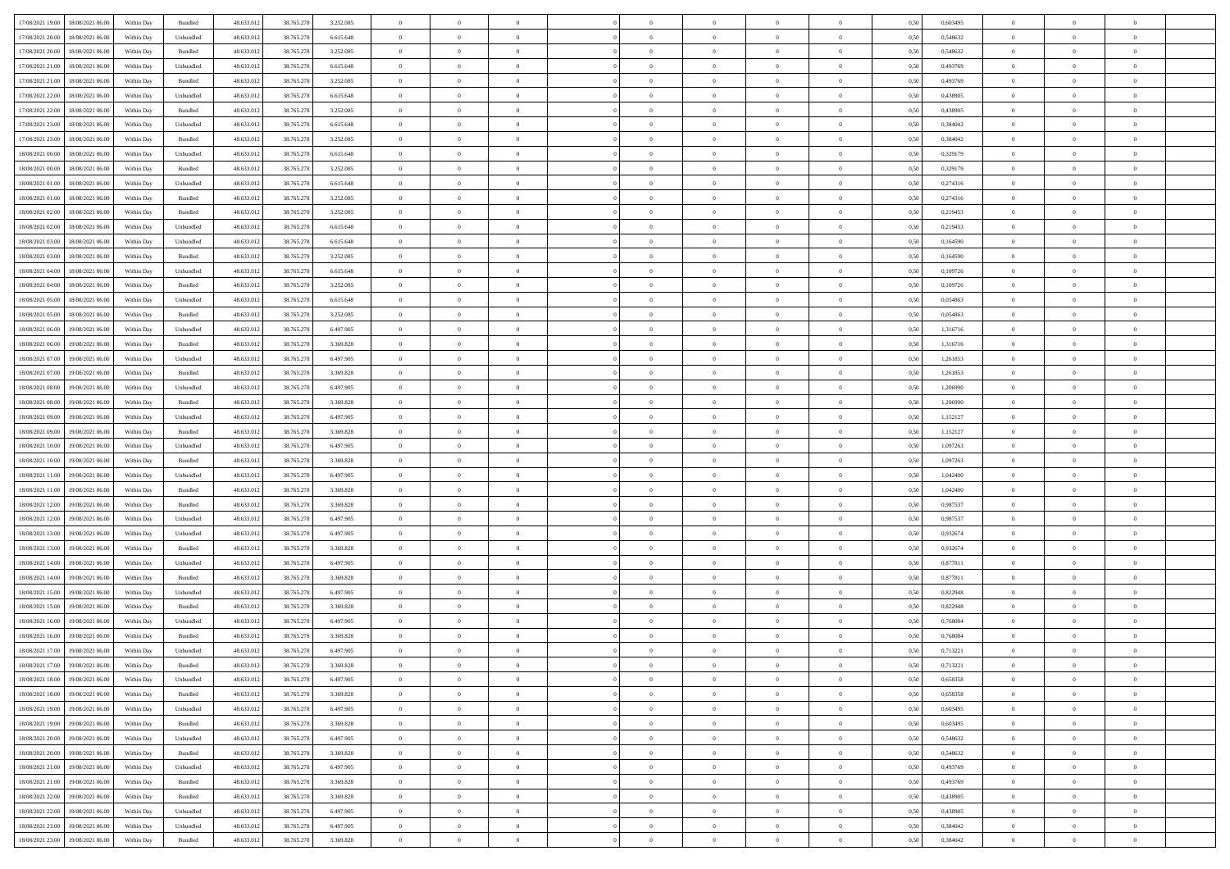|                                      |            |           |            |            |           | $\overline{0}$ | $\overline{0}$ |                | $\overline{0}$ | $\theta$       |                | $\theta$       |      |          | $\theta$       | $\theta$       | $\overline{0}$ |  |
|--------------------------------------|------------|-----------|------------|------------|-----------|----------------|----------------|----------------|----------------|----------------|----------------|----------------|------|----------|----------------|----------------|----------------|--|
| 17/08/2021 19:00 18/08/2021 06:00    | Within Day | Bundled   | 48.633.01  | 38.765.278 | 3.252.085 |                |                |                |                |                |                |                | 0,50 | 0,603495 |                |                |                |  |
| 17/08/2021 20:00<br>18/08/2021 06:00 | Within Day | Unbundled | 48.633.01  | 38.765.278 | 6.615.648 | $\bf{0}$       | $\bf{0}$       | $\bf{0}$       | $\bf{0}$       | $\overline{0}$ | $\overline{0}$ | $\bf{0}$       | 0,50 | 0,548632 | $\,$ 0 $\,$    | $\bf{0}$       | $\overline{0}$ |  |
| 17/08/2021 20:00<br>18/08/2021 06:00 | Within Day | Bundled   | 48.633.012 | 38.765.278 | 3.252.085 | $\overline{0}$ | $\bf{0}$       | $\overline{0}$ | $\bf{0}$       | $\bf{0}$       | $\overline{0}$ | $\bf{0}$       | 0.50 | 0.548632 | $\bf{0}$       | $\overline{0}$ | $\overline{0}$ |  |
| 17/08/2021 21:00<br>18/08/2021 06:00 | Within Day | Unbundled | 48.633.01  | 38.765.278 | 6.615.648 | $\overline{0}$ | $\bf{0}$       | $\overline{0}$ | $\theta$       | $\theta$       | $\overline{0}$ | $\bf{0}$       | 0,50 | 0,493769 | $\theta$       | $\theta$       | $\overline{0}$ |  |
| 17/08/2021 21:00<br>18/08/2021 06:00 | Within Day | Bundled   | 48.633.01  | 38.765.278 | 3.252.085 | $\bf{0}$       | $\overline{0}$ | $\bf{0}$       | $\overline{0}$ | $\theta$       | $\overline{0}$ | $\bf{0}$       | 0,50 | 0,493769 | $\,$ 0 $\,$    | $\bf{0}$       | $\overline{0}$ |  |
|                                      |            |           |            |            |           |                |                |                |                |                |                |                |      |          |                |                |                |  |
| 17/08/2021 22:00<br>18/08/2021 06:00 | Within Day | Unbundled | 48.633.013 | 38.765.278 | 6.615.648 | $\overline{0}$ | $\overline{0}$ | $\overline{0}$ | $\bf{0}$       | $\overline{0}$ | $\theta$       | $\bf{0}$       | 0.50 | 0.438905 | $\,$ 0 $\,$    | $\theta$       | $\overline{0}$ |  |
| 17/08/2021 22:00<br>18/08/2021 06:00 | Within Day | Bundled   | 48.633.013 | 38.765.278 | 3.252.085 | $\overline{0}$ | $\overline{0}$ | $\overline{0}$ | $\overline{0}$ | $\overline{0}$ | $\overline{0}$ | $\bf{0}$       | 0,50 | 0,438905 | $\theta$       | $\theta$       | $\overline{0}$ |  |
| 17/08/2021 23:00<br>18/08/2021 06:00 | Within Day | Unbundled | 48.633.01  | 38.765.278 | 6.615.648 | $\overline{0}$ | $\overline{0}$ | $\bf{0}$       | $\overline{0}$ | $\bf{0}$       | $\overline{0}$ | $\bf{0}$       | 0,50 | 0,384042 | $\,$ 0 $\,$    | $\bf{0}$       | $\overline{0}$ |  |
| 17/08/2021 23:00<br>18/08/2021 06:00 | Within Day | Bundled   | 48.633.013 | 38.765.278 | 3.252.085 | $\overline{0}$ | $\bf{0}$       | $\overline{0}$ | $\bf{0}$       | $\overline{0}$ | $\overline{0}$ | $\bf{0}$       | 0.50 | 0.384042 | $\bf{0}$       | $\overline{0}$ | $\overline{0}$ |  |
| 18/08/2021 00:00<br>18/08/2021 06:00 | Within Day | Unbundled | 48.633.012 | 38.765.278 | 6.615.648 | $\overline{0}$ | $\bf{0}$       | $\overline{0}$ | $\overline{0}$ | $\overline{0}$ | $\overline{0}$ | $\bf{0}$       | 0,50 | 0,329179 | $\,$ 0 $\,$    | $\bf{0}$       | $\overline{0}$ |  |
| 18/08/2021 00:00<br>18/08/2021 06:00 | Within Day | Bundled   | 48.633.01  | 38.765.278 | 3.252.085 | $\bf{0}$       | $\overline{0}$ | $\bf{0}$       | $\bf{0}$       | $\bf{0}$       | $\overline{0}$ | $\bf{0}$       | 0,50 | 0,329179 | $\,$ 0 $\,$    | $\bf{0}$       | $\overline{0}$ |  |
| 18/08/2021 01:00<br>18/08/2021 06:00 | Within Day | Unbundled | 48.633.013 | 38.765.278 | 6.615.648 | $\overline{0}$ | $\bf{0}$       | $\overline{0}$ | $\overline{0}$ | $\bf{0}$       | $\overline{0}$ | $\bf{0}$       | 0.50 | 0,274316 | $\bf{0}$       | $\overline{0}$ | $\bf{0}$       |  |
|                                      |            |           |            |            |           | $\overline{0}$ | $\overline{0}$ | $\overline{0}$ | $\theta$       | $\theta$       | $\overline{0}$ |                |      |          | $\,$ 0 $\,$    | $\theta$       | $\overline{0}$ |  |
| 18/08/2021 01:00<br>18/08/2021 06:00 | Within Day | Bundled   | 48.633.01  | 38.765.278 | 3.252.085 |                |                |                |                |                |                | $\bf{0}$       | 0,50 | 0,274316 |                |                |                |  |
| 18/08/2021 02:00<br>18/08/2021 06:00 | Within Day | Bundled   | 48.633.01  | 38.765.278 | 3.252.085 | $\bf{0}$       | $\overline{0}$ | $\bf{0}$       | $\overline{0}$ | $\theta$       | $\overline{0}$ | $\bf{0}$       | 0,50 | 0,219453 | $\,$ 0 $\,$    | $\bf{0}$       | $\overline{0}$ |  |
| 18/08/2021 02:00<br>18/08/2021 06:00 | Within Day | Unbundled | 48.633.013 | 38.765.278 | 6.615.648 | $\overline{0}$ | $\overline{0}$ | $\overline{0}$ | $\bf{0}$       | $\overline{0}$ | $\Omega$       | $\bf{0}$       | 0.50 | 0,219453 | $\,$ 0 $\,$    | $\theta$       | $\overline{0}$ |  |
| 18/08/2021 03:00<br>18/08/2021 06:00 | Within Day | Unbundled | 48.633.013 | 38.765.278 | 6.615.648 | $\overline{0}$ | $\overline{0}$ | $\overline{0}$ | $\overline{0}$ | $\theta$       | $\overline{0}$ | $\bf{0}$       | 0,50 | 0,164590 | $\theta$       | $\theta$       | $\overline{0}$ |  |
| 18/08/2021 03:00<br>18/08/2021 06:00 | Within Day | Bundled   | 48.633.01  | 38.765.278 | 3.252.085 | $\bf{0}$       | $\overline{0}$ | $\bf{0}$       | $\overline{0}$ | $\theta$       | $\overline{0}$ | $\bf{0}$       | 0,50 | 0,164590 | $\,$ 0 $\,$    | $\bf{0}$       | $\overline{0}$ |  |
| 18/08/2021 04:00<br>18/08/2021 06:00 | Within Day | Unbundled | 48.633.013 | 38,765,278 | 6.615.648 | $\overline{0}$ | $\bf{0}$       | $\overline{0}$ | $\bf{0}$       | $\overline{0}$ | $\overline{0}$ | $\bf{0}$       | 0.50 | 0.109726 | $\bf{0}$       | $\overline{0}$ | $\overline{0}$ |  |
| 18/08/2021 04:00<br>18/08/2021 06:00 | Within Day | Bundled   | 48.633.013 | 38.765.278 | 3.252.085 | $\overline{0}$ | $\bf{0}$       | $\overline{0}$ | $\overline{0}$ | $\overline{0}$ | $\overline{0}$ | $\bf{0}$       | 0,50 | 0,109726 | $\,$ 0 $\,$    | $\bf{0}$       | $\overline{0}$ |  |
| 18/08/2021 05:00<br>18/08/2021 06:00 | Within Day | Unbundled | 48.633.01  | 38.765.278 | 6.615.648 | $\bf{0}$       | $\bf{0}$       | $\bf{0}$       | $\bf{0}$       | $\overline{0}$ | $\overline{0}$ | $\bf{0}$       | 0,50 | 0,054863 | $\,$ 0 $\,$    | $\bf{0}$       | $\overline{0}$ |  |
|                                      |            |           |            |            |           |                |                |                |                |                |                |                |      |          |                |                |                |  |
| 18/08/2021 05:00<br>18/08/2021 06:00 | Within Day | Bundled   | 48.633.013 | 38.765.278 | 3.252.085 | $\overline{0}$ | $\bf{0}$       | $\overline{0}$ | $\bf{0}$       | $\bf{0}$       | $\overline{0}$ | $\bf{0}$       | 0.50 | 0.054863 | $\bf{0}$       | $\overline{0}$ | $\bf{0}$       |  |
| 18/08/2021 06:00<br>19/08/2021 06:00 | Within Day | Unbundled | 48.633.01  | 38.765.278 | 6.497.905 | $\overline{0}$ | $\overline{0}$ | $\overline{0}$ | $\overline{0}$ | $\theta$       | $\overline{0}$ | $\bf{0}$       | 0,50 | 1,316716 | $\theta$       | $\theta$       | $\overline{0}$ |  |
| 18/08/2021 06:00<br>19/08/2021 06:00 | Within Day | Bundled   | 48.633.01  | 38.765.278 | 3.369.828 | $\bf{0}$       | $\overline{0}$ | $\bf{0}$       | $\bf{0}$       | $\,$ 0 $\,$    | $\overline{0}$ | $\bf{0}$       | 0,50 | 1,316716 | $\,$ 0 $\,$    | $\bf{0}$       | $\overline{0}$ |  |
| 18/08/2021 07:00<br>19/08/2021 06:00 | Within Day | Unbundled | 48.633.013 | 38.765.278 | 6.497.905 | $\overline{0}$ | $\overline{0}$ | $\overline{0}$ | $\overline{0}$ | $\overline{0}$ | $\Omega$       | $\bf{0}$       | 0.50 | 1.261853 | $\,$ 0 $\,$    | $\theta$       | $\overline{0}$ |  |
| 18/08/2021 07:00<br>19/08/2021 06:00 | Within Day | Bundled   | 48.633.013 | 38.765.278 | 3.369.828 | $\overline{0}$ | $\overline{0}$ | $\overline{0}$ | $\overline{0}$ | $\theta$       | $\overline{0}$ | $\bf{0}$       | 0,50 | 1,261853 | $\,$ 0 $\,$    | $\theta$       | $\overline{0}$ |  |
| 18/08/2021 08:00<br>19/08/2021 06:00 | Within Day | Unbundled | 48.633.01  | 38.765.278 | 6.497.905 | $\bf{0}$       | $\overline{0}$ | $\bf{0}$       | $\overline{0}$ | $\theta$       | $\overline{0}$ | $\bf{0}$       | 0,50 | 1,206990 | $\,$ 0 $\,$    | $\bf{0}$       | $\overline{0}$ |  |
| 18/08/2021 08:00<br>19/08/2021 06:00 | Within Day | Bundled   | 48.633.013 | 38.765.278 | 3.369.828 | $\overline{0}$ | $\bf{0}$       | $\overline{0}$ | $\bf{0}$       | $\overline{0}$ | $\overline{0}$ | $\bf{0}$       | 0.50 | 1.206990 | $\bf{0}$       | $\overline{0}$ | $\overline{0}$ |  |
| 18/08/2021 09:00<br>19/08/2021 06:00 | Within Day | Unbundled | 48.633.01  | 38.765.278 | 6.497.905 | $\overline{0}$ | $\bf{0}$       | $\overline{0}$ | $\overline{0}$ | $\overline{0}$ | $\overline{0}$ | $\bf{0}$       | 0,50 | 1,152127 | $\theta$       | $\theta$       | $\overline{0}$ |  |
| 18/08/2021 09:00<br>19/08/2021 06:00 | Within Day | Bundled   | 48.633.01  | 38.765.278 | 3.369.828 | $\bf{0}$       | $\bf{0}$       | $\bf{0}$       | $\bf{0}$       | $\overline{0}$ | $\overline{0}$ | $\bf{0}$       | 0,50 | 1,152127 | $\,$ 0 $\,$    | $\bf{0}$       | $\overline{0}$ |  |
| 18/08/2021 10:00<br>19/08/2021 06:00 | Within Day | Unbundled | 48.633.013 | 38.765.278 | 6.497.905 | $\overline{0}$ | $\bf{0}$       | $\overline{0}$ | $\bf{0}$       | $\bf{0}$       | $\overline{0}$ | $\bf{0}$       | 0.50 | 1.097263 | $\bf{0}$       | $\overline{0}$ | $\bf{0}$       |  |
|                                      |            |           |            |            |           |                |                |                |                |                |                |                |      |          |                |                |                |  |
| 18/08/2021 10:00<br>19/08/2021 06:00 | Within Day | Bundled   | 48.633.013 | 38.765.278 | 3.369.828 | $\overline{0}$ | $\overline{0}$ | $\overline{0}$ | $\overline{0}$ | $\overline{0}$ | $\overline{0}$ | $\bf{0}$       | 0.5( | 1,097263 | $\theta$       | $\theta$       | $\overline{0}$ |  |
| 18/08/2021 11:00<br>19/08/2021 06:00 | Within Day | Unbundled | 48.633.01  | 38.765.278 | 6.497.905 | $\bf{0}$       | $\overline{0}$ | $\bf{0}$       | $\bf{0}$       | $\overline{0}$ | $\overline{0}$ | $\bf{0}$       | 0,50 | 1,042400 | $\,$ 0 $\,$    | $\bf{0}$       | $\overline{0}$ |  |
| 18/08/2021 11:00<br>19/08/2021 06:00 | Within Day | Bundled   | 48.633.013 | 38.765.278 | 3.369.828 | $\overline{0}$ | $\bf{0}$       | $\overline{0}$ | $\bf{0}$       | $\overline{0}$ | $\Omega$       | $\bf{0}$       | 0.50 | 1.042400 | $\,$ 0 $\,$    | $\theta$       | $\overline{0}$ |  |
| 18/08/2021 12:00<br>19/08/2021 06:00 | Within Dav | Bundled   | 48.633.013 | 38.765.278 | 3.369.828 | $\overline{0}$ | $\overline{0}$ | $\overline{0}$ | $\overline{0}$ | $\theta$       | $\overline{0}$ | $\overline{0}$ | 0.50 | 0,987537 | $\theta$       | $\theta$       | $\overline{0}$ |  |
| 18/08/2021 12:00<br>19/08/2021 06:00 | Within Day | Unbundled | 48.633.013 | 38.765.278 | 6.497.905 | $\bf{0}$       | $\bf{0}$       | $\bf{0}$       | $\bf{0}$       | $\bf{0}$       | $\overline{0}$ | $\bf{0}$       | 0,50 | 0,987537 | $\,$ 0 $\,$    | $\bf{0}$       | $\overline{0}$ |  |
| 18/08/2021 13:00<br>19/08/2021 06:00 | Within Day | Unbundled | 48.633.013 | 38,765,278 | 6.497.905 | $\overline{0}$ | $\bf{0}$       | $\overline{0}$ | $\bf{0}$       | $\overline{0}$ | $\overline{0}$ | $\bf{0}$       | 0.50 | 0.932674 | $\bf{0}$       | $\overline{0}$ | $\overline{0}$ |  |
| 18/08/2021 13:00<br>19/08/2021 06:00 | Within Dav | Bundled   | 48.633.013 | 38.765.278 | 3.369.828 | $\overline{0}$ | $\overline{0}$ | $\overline{0}$ | $\overline{0}$ | $\overline{0}$ | $\overline{0}$ | $\overline{0}$ | 0.50 | 0,932674 | $\theta$       | $\theta$       | $\overline{0}$ |  |
| 18/08/2021 14:00<br>19/08/2021 06:00 | Within Day | Unbundled | 48.633.01  | 38.765.278 | 6.497.905 | $\bf{0}$       | $\bf{0}$       | $\bf{0}$       | $\bf{0}$       | $\overline{0}$ | $\overline{0}$ | $\bf{0}$       | 0,50 | 0,877811 | $\,$ 0 $\,$    | $\bf{0}$       | $\overline{0}$ |  |
| 19/08/2021 06:00                     |            | Bundled   | 48.633.013 |            |           |                |                |                |                |                | $\overline{0}$ |                | 0.50 | 0.877811 |                |                |                |  |
| 18/08/2021 14:00                     | Within Day |           |            | 38.765.278 | 3.369.828 | $\overline{0}$ | $\bf{0}$       | $\overline{0}$ | $\bf{0}$       | $\bf{0}$       |                | $\bf{0}$       |      |          | $\bf{0}$       | $\overline{0}$ | $\overline{0}$ |  |
| 18/08/2021 15:00<br>19/08/2021 06:00 | Within Dav | Unbundled | 48.633.013 | 38.765.278 | 6.497.905 | $\overline{0}$ | $\overline{0}$ | $\overline{0}$ | $\overline{0}$ | $\theta$       | $\overline{0}$ | $\bf{0}$       | 0.50 | 0,822948 | $\theta$       | $\theta$       | $\overline{0}$ |  |
| 18/08/2021 15:00<br>19/08/2021 06:00 | Within Day | Bundled   | 48.633.013 | 38.765.278 | 3.369.828 | $\bf{0}$       | $\bf{0}$       | $\bf{0}$       | $\bf{0}$       | $\overline{0}$ | $\overline{0}$ | $\bf{0}$       | 0,50 | 0,822948 | $\,$ 0 $\,$    | $\bf{0}$       | $\overline{0}$ |  |
| 18/08/2021 16:00<br>19/08/2021 06:00 | Within Day | Unbundled | 48.633.013 | 38.765.278 | 6.497.905 | $\overline{0}$ | $\overline{0}$ | $\overline{0}$ | $\bf{0}$       | $\theta$       | $\Omega$       | $\bf{0}$       | 0.50 | 0.768084 | $\bf{0}$       | $\theta$       | $\overline{0}$ |  |
| 18/08/2021 16:00<br>19/08/2021 06:00 | Within Dav | Bundled   | 48.633.013 | 38.765.278 | 3.369.828 | $\overline{0}$ | $\overline{0}$ | $\Omega$       | $\overline{0}$ | $\theta$       | $\Omega$       | $\overline{0}$ | 0.5( | 0,768084 | $\theta$       | $\theta$       | $\overline{0}$ |  |
| 18/08/2021 17:00<br>19/08/2021 06:00 | Within Day | Unbundled | 48.633.01  | 38.765.278 | 6.497.905 | $\bf{0}$       | $\bf{0}$       | $\bf{0}$       | $\bf{0}$       | $\bf{0}$       | $\overline{0}$ | $\bf{0}$       | 0,50 | 0,713221 | $\overline{0}$ | $\bf{0}$       | $\overline{0}$ |  |
| 18/08/2021 17:00 19/08/2021 06:00    | Within Day | Bundled   | 48.633.012 | 38.765.278 | 3 369 828 | $\bf{0}$       | $\Omega$       |                | $\Omega$       |                |                |                | 0,50 | 0,713221 | $\bf{0}$       | $\overline{0}$ |                |  |
| 18/08/2021 18:00 19/08/2021 06:00    | Within Day | Unbundled | 48.633.012 | 38.765.278 | 6.497.905 | $\overline{0}$ | $\overline{0}$ | $\overline{0}$ | $\theta$       | $\overline{0}$ | $\overline{0}$ | $\bf{0}$       | 0,50 | 0,658358 | $\theta$       | $\overline{0}$ | $\overline{0}$ |  |
| 18/08/2021 18:00<br>19/08/2021 06:00 | Within Day | Bundled   | 48.633.013 | 38.765.278 | 3.369.828 | $\overline{0}$ | $\bf{0}$       | $\overline{0}$ | $\overline{0}$ | $\bf{0}$       | $\overline{0}$ | $\bf{0}$       | 0,50 | 0,658358 | $\bf{0}$       | $\overline{0}$ | $\bf{0}$       |  |
|                                      |            |           |            |            | 6.497.905 |                |                |                |                |                | $\overline{0}$ |                | 0.50 | 0.603495 | $\overline{0}$ |                |                |  |
| 18/08/2021 19:00 19/08/2021 06:00    | Within Day | Unbundled | 48.633.012 | 38.765.278 |           | $\overline{0}$ | $\overline{0}$ | $\overline{0}$ | $\overline{0}$ | $\mathbf{0}$   |                | $\,$ 0 $\,$    |      |          |                | $\bf{0}$       | $\,$ 0 $\,$    |  |
| 18/08/2021 19:00 19/08/2021 06:00    | Within Day | Bundled   | 48.633.012 | 38.765.278 | 3.369.828 | $\overline{0}$ | $\overline{0}$ | $\overline{0}$ | $\overline{0}$ | $\overline{0}$ | $\overline{0}$ | $\bf{0}$       | 0,50 | 0,603495 | $\overline{0}$ | $\theta$       | $\overline{0}$ |  |
| 18/08/2021 20:00<br>19/08/2021 06:00 | Within Day | Unbundled | 48.633.012 | 38.765.278 | 6.497.905 | $\overline{0}$ | $\bf{0}$       | $\overline{0}$ | $\overline{0}$ | $\bf{0}$       | $\overline{0}$ | $\bf{0}$       | 0,50 | 0,548632 | $\bf{0}$       | $\overline{0}$ | $\overline{0}$ |  |
| 18/08/2021 20:00<br>19/08/2021 06:00 | Within Day | Bundled   | 48.633.012 | 38.765.278 | 3.369.828 | $\overline{0}$ | $\bf{0}$       | $\overline{0}$ | $\overline{0}$ | $\bf{0}$       | $\overline{0}$ | $\bf{0}$       | 0.50 | 0.548632 | $\,$ 0 $\,$    | $\overline{0}$ | $\,$ 0         |  |
| 18/08/2021 21:00<br>19/08/2021 06:00 | Within Dav | Unbundled | 48.633.012 | 38.765.278 | 6.497.905 | $\overline{0}$ | $\overline{0}$ | $\overline{0}$ | $\overline{0}$ | $\overline{0}$ | $\overline{0}$ | $\bf{0}$       | 0,50 | 0,493769 | $\overline{0}$ | $\theta$       | $\overline{0}$ |  |
| 18/08/2021 21:00<br>19/08/2021 06:00 | Within Day | Bundled   | 48.633.013 | 38.765.278 | 3.369.828 | $\overline{0}$ | $\overline{0}$ | $\overline{0}$ | $\overline{0}$ | $\overline{0}$ | $\overline{0}$ | $\bf{0}$       | 0,50 | 0,493769 | $\bf{0}$       | $\overline{0}$ | $\overline{0}$ |  |
| 18/08/2021 22:00<br>19/08/2021 06:00 | Within Day | Bundled   | 48.633.012 | 38.765.278 | 3.369.828 | $\overline{0}$ | $\overline{0}$ | $\overline{0}$ | $\overline{0}$ | $\overline{0}$ | $\overline{0}$ | $\bf{0}$       | 0.50 | 0.438905 | $\mathbf{0}$   | $\bf{0}$       | $\,$ 0         |  |
| 18/08/2021 22:00<br>19/08/2021 06:00 | Within Dav | Unbundled | 48.633.012 | 38.765.278 | 6.497.905 | $\overline{0}$ | $\overline{0}$ | $\overline{0}$ | $\overline{0}$ | $\overline{0}$ | $\overline{0}$ | $\bf{0}$       | 0,50 | 0,438905 | $\overline{0}$ | $\theta$       | $\overline{0}$ |  |
|                                      |            |           |            |            |           |                | $\bf{0}$       |                |                | $\overline{0}$ |                |                |      |          | $\bf{0}$       | $\overline{0}$ | $\bf{0}$       |  |
| 18/08/2021 23:00<br>19/08/2021 06:00 | Within Day | Unbundled | 48.633.013 | 38.765.278 | 6.497.905 | $\overline{0}$ |                | $\overline{0}$ | $\overline{0}$ |                | $\overline{0}$ | $\bf{0}$       | 0,50 | 0,384042 |                |                |                |  |
| 18/08/2021 23:00 19/08/2021 06:00    | Within Day | Bundled   | 48.633.012 | 38.765.278 | 3.369.828 | $\,$ 0 $\,$    | $\bf{0}$       | $\overline{0}$ | $\overline{0}$ | $\,$ 0 $\,$    | $\overline{0}$ | $\,$ 0 $\,$    | 0,50 | 0,384042 | $\overline{0}$ | $\,$ 0 $\,$    | $\,$ 0 $\,$    |  |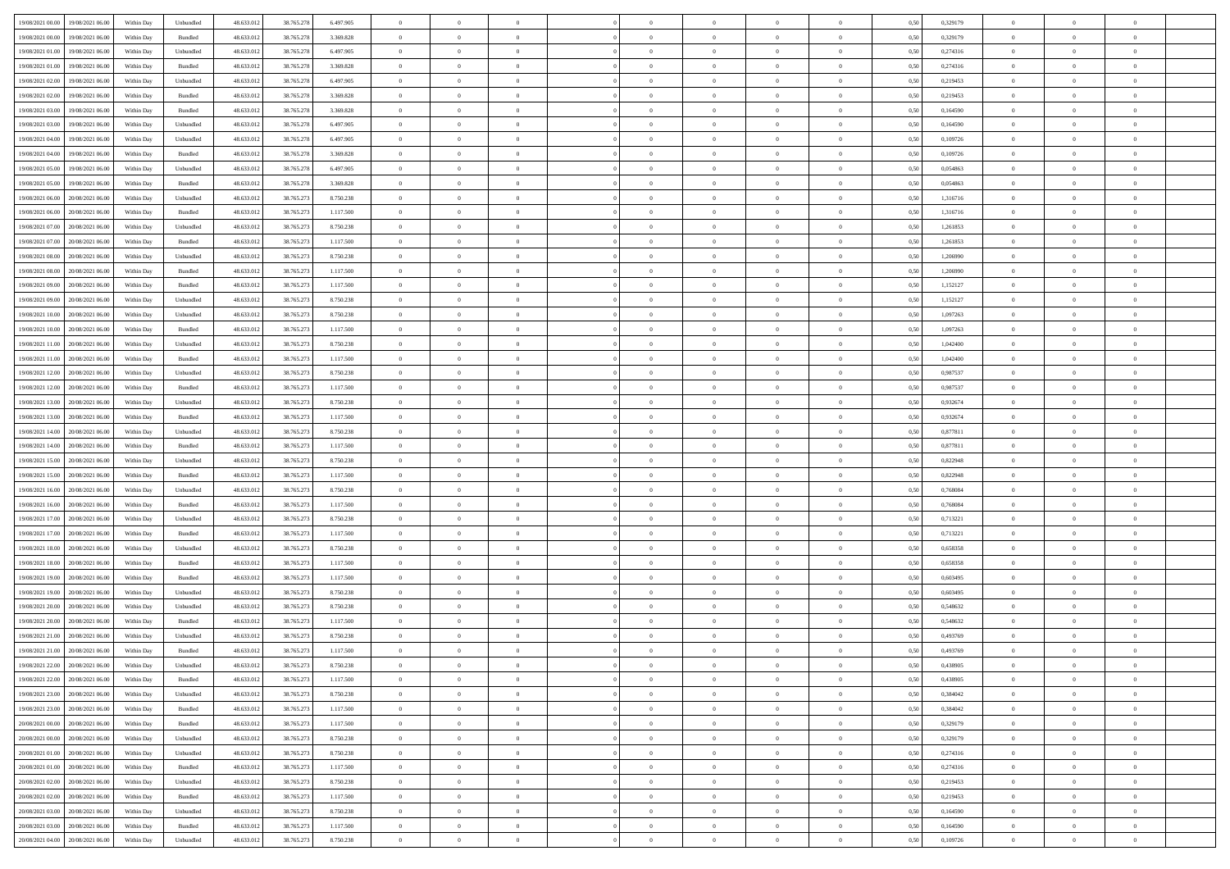| 19/08/2021 00:00 19/08/2021 06:00    | Within Day | Unbundled         | 48.633.01  | 38.765.278 | 6.497.905 | $\overline{0}$ | $\overline{0}$ |                | $\overline{0}$ | $\theta$       |                | $\bf{0}$       | 0,50 | 0,329179 | $\theta$       | $\theta$       | $\theta$       |  |
|--------------------------------------|------------|-------------------|------------|------------|-----------|----------------|----------------|----------------|----------------|----------------|----------------|----------------|------|----------|----------------|----------------|----------------|--|
| 19/08/2021 00:00<br>19/08/2021 06:00 | Within Day | Bundled           | 48.633.01  | 38.765.278 | 3.369.828 | $\bf{0}$       | $\overline{0}$ | $\bf{0}$       | $\bf{0}$       | $\overline{0}$ | $\overline{0}$ | $\bf{0}$       | 0,50 | 0,329179 | $\,$ 0 $\,$    | $\bf{0}$       | $\overline{0}$ |  |
| 19/08/2021 01:00<br>19/08/2021 06:00 | Within Day | Unbundled         | 48.633.012 | 38.765.278 | 6.497.905 | $\overline{0}$ | $\bf{0}$       | $\overline{0}$ | $\bf{0}$       | $\bf{0}$       | $\overline{0}$ | $\bf{0}$       | 0.50 | 0,274316 | $\bf{0}$       | $\overline{0}$ | $\overline{0}$ |  |
| 19/08/2021 01:00<br>19/08/2021 06:00 |            |                   |            |            |           | $\overline{0}$ | $\bf{0}$       | $\overline{0}$ | $\theta$       | $\theta$       | $\overline{0}$ |                |      | 0,274316 | $\theta$       | $\theta$       | $\overline{0}$ |  |
|                                      | Within Day | Bundled           | 48.633.013 | 38.765.278 | 3.369.828 |                |                |                |                |                |                | $\bf{0}$       | 0,50 |          |                |                |                |  |
| 19/08/2021 02:00<br>19/08/2021 06:00 | Within Day | Unbundled         | 48.633.01  | 38.765.278 | 6.497.905 | $\overline{0}$ | $\overline{0}$ | $\bf{0}$       | $\overline{0}$ | $\theta$       | $\overline{0}$ | $\bf{0}$       | 0,50 | 0,219453 | $\,$ 0 $\,$    | $\bf{0}$       | $\overline{0}$ |  |
| 19/08/2021 02:00<br>19/08/2021 06:00 | Within Day | Bundled           | 48.633.013 | 38.765.278 | 3.369.828 | $\overline{0}$ | $\overline{0}$ | $\overline{0}$ | $\bf{0}$       | $\overline{0}$ | $\theta$       | $\bf{0}$       | 0.50 | 0,219453 | $\bf{0}$       | $\theta$       | $\overline{0}$ |  |
| 19/08/2021 03:00<br>19/08/2021 06:00 | Within Day | Bundled           | 48.633.013 | 38.765.278 | 3.369.828 | $\overline{0}$ | $\overline{0}$ | $\overline{0}$ | $\overline{0}$ | $\overline{0}$ | $\overline{0}$ | $\bf{0}$       | 0,50 | 0,164590 | $\theta$       | $\theta$       | $\overline{0}$ |  |
|                                      |            |                   |            |            |           |                |                |                |                |                |                |                |      |          |                |                |                |  |
| 19/08/2021 03:00<br>19/08/2021 06:00 | Within Day | Unbundled         | 48.633.01  | 38.765.278 | 6.497.905 | $\bf{0}$       | $\overline{0}$ | $\bf{0}$       | $\overline{0}$ | $\overline{0}$ | $\overline{0}$ | $\bf{0}$       | 0,50 | 0,164590 | $\,$ 0 $\,$    | $\bf{0}$       | $\overline{0}$ |  |
| 19/08/2021 04:00<br>19/08/2021 06:00 | Within Day | Unbundled         | 48.633.013 | 38.765.278 | 6.497.905 | $\overline{0}$ | $\bf{0}$       | $\overline{0}$ | $\bf{0}$       | $\overline{0}$ | $\overline{0}$ | $\bf{0}$       | 0.50 | 0.109726 | $\bf{0}$       | $\overline{0}$ | $\overline{0}$ |  |
| 19/08/2021 04:00<br>19/08/2021 06:00 | Within Day | Bundled           | 48.633.012 | 38.765.278 | 3.369.828 | $\overline{0}$ | $\bf{0}$       | $\overline{0}$ | $\overline{0}$ | $\overline{0}$ | $\overline{0}$ | $\bf{0}$       | 0,50 | 0,109726 | $\,$ 0 $\,$    | $\bf{0}$       | $\overline{0}$ |  |
| 19/08/2021 05:00<br>19/08/2021 06:00 | Within Day | Unbundled         | 48.633.01  | 38.765.278 | 6.497.905 | $\bf{0}$       | $\overline{0}$ | $\bf{0}$       | $\overline{0}$ | $\bf{0}$       | $\overline{0}$ | $\bf{0}$       | 0,50 | 0,054863 | $\,$ 0 $\,$    | $\bf{0}$       | $\overline{0}$ |  |
|                                      |            |                   |            |            |           |                |                |                |                |                |                |                |      |          |                |                |                |  |
| 19/08/2021 05:00<br>19/08/2021 06:00 | Within Day | Bundled           | 48.633.013 | 38.765.278 | 3.369.828 | $\overline{0}$ | $\bf{0}$       | $\overline{0}$ | $\bf{0}$       | $\bf{0}$       | $\overline{0}$ | $\bf{0}$       | 0.50 | 0.054863 | $\bf{0}$       | $\overline{0}$ | $\bf{0}$       |  |
| 19/08/2021 06:00<br>20/08/2021 06:00 | Within Day | Unbundled         | 48.633.01  | 38.765.273 | 8.750.238 | $\overline{0}$ | $\overline{0}$ | $\overline{0}$ | $\theta$       | $\theta$       | $\overline{0}$ | $\bf{0}$       | 0,50 | 1,316716 | $\,$ 0 $\,$    | $\theta$       | $\overline{0}$ |  |
| 19/08/2021 06:00<br>20/08/2021 06:00 | Within Day | Bundled           | 48.633.01  | 38.765.27  | 1.117.500 | $\bf{0}$       | $\theta$       | $\bf{0}$       | $\overline{0}$ | $\theta$       | $\overline{0}$ | $\bf{0}$       | 0,50 | 1,316716 | $\bf{0}$       | $\bf{0}$       | $\overline{0}$ |  |
|                                      |            |                   |            |            |           |                |                |                |                |                |                |                |      |          |                |                |                |  |
| 19/08/2021 07:00<br>20/08/2021 06:00 | Within Day | Unbundled         | 48.633.013 | 38.765.273 | 8.750.238 | $\overline{0}$ | $\overline{0}$ | $\overline{0}$ | $\bf{0}$       | $\overline{0}$ | $\Omega$       | $\bf{0}$       | 0.50 | 1.261853 | $\,$ 0 $\,$    | $\theta$       | $\overline{0}$ |  |
| 19/08/2021 07:00<br>20/08/2021 06:00 | Within Day | Bundled           | 48.633.013 | 38.765.273 | 1.117.500 | $\overline{0}$ | $\overline{0}$ | $\overline{0}$ | $\overline{0}$ | $\theta$       | $\overline{0}$ | $\bf{0}$       | 0,50 | 1,261853 | $\theta$       | $\theta$       | $\overline{0}$ |  |
| 19/08/2021 08:00<br>20/08/2021 06:00 | Within Day | Unbundled         | 48.633.01  | 38.765.27  | 8.750.238 | $\bf{0}$       | $\overline{0}$ | $\bf{0}$       | $\overline{0}$ | $\theta$       | $\overline{0}$ | $\bf{0}$       | 0,50 | 1,206990 | $\,$ 0 $\,$    | $\bf{0}$       | $\overline{0}$ |  |
| 19/08/2021 08:00<br>20/08/2021 06:00 | Within Day | Bundled           | 48.633.013 | 38.765.27  | 1.117.500 | $\overline{0}$ | $\bf{0}$       | $\overline{0}$ | $\bf{0}$       | $\overline{0}$ | $\overline{0}$ | $\bf{0}$       | 0.50 | 1.206990 | $\bf{0}$       | $\overline{0}$ | $\overline{0}$ |  |
|                                      |            |                   |            |            |           | $\overline{0}$ |                | $\overline{0}$ | $\overline{0}$ | $\overline{0}$ | $\overline{0}$ |                |      |          | $\,$ 0 $\,$    |                | $\overline{0}$ |  |
| 19/08/2021 09:00<br>20/08/2021 06:00 | Within Day | Bundled           | 48.633.013 | 38.765.273 | 1.117.500 |                | $\bf{0}$       |                |                |                |                | $\bf{0}$       | 0,50 | 1,152127 |                | $\bf{0}$       |                |  |
| 19/08/2021 09:00<br>20/08/2021 06:00 | Within Day | Unbundled         | 48.633.01  | 38.765.27  | 8.750.238 | $\bf{0}$       | $\bf{0}$       | $\bf{0}$       | $\bf{0}$       | $\overline{0}$ | $\overline{0}$ | $\bf{0}$       | 0,50 | 1,152127 | $\,$ 0 $\,$    | $\bf{0}$       | $\overline{0}$ |  |
| 19/08/2021 10:00<br>20/08/2021 06:00 | Within Day | Unbundled         | 48.633.013 | 38.765.273 | 8.750.238 | $\overline{0}$ | $\bf{0}$       | $\overline{0}$ | $\bf{0}$       | $\bf{0}$       | $\overline{0}$ | $\bf{0}$       | 0.50 | 1.097263 | $\bf{0}$       | $\overline{0}$ | $\overline{0}$ |  |
| 19/08/2021 10:00<br>20/08/2021 06:00 | Within Day | Bundled           | 48.633.01  | 38.765.273 | 1.117.500 | $\overline{0}$ | $\overline{0}$ | $\overline{0}$ | $\theta$       | $\theta$       | $\overline{0}$ | $\bf{0}$       | 0,50 | 1,097263 | $\theta$       | $\theta$       | $\overline{0}$ |  |
|                                      |            |                   |            |            |           |                | $\overline{0}$ |                |                | $\bf{0}$       | $\overline{0}$ |                |      |          | $\,$ 0 $\,$    | $\bf{0}$       | $\overline{0}$ |  |
| 19/08/2021 11:00<br>20/08/2021 06:00 | Within Day | Unbundled         | 48.633.01  | 38.765.27  | 8.750.238 | $\bf{0}$       |                | $\bf{0}$       | $\bf{0}$       |                |                | $\bf{0}$       | 0,50 | 1,042400 |                |                |                |  |
| 19/08/2021 11:00<br>20/08/2021 06:00 | Within Day | Bundled           | 48.633.013 | 38.765.27  | 1.117.500 | $\overline{0}$ | $\overline{0}$ | $\overline{0}$ | $\bf{0}$       | $\overline{0}$ | $\Omega$       | $\bf{0}$       | 0.50 | 1.042400 | $\bf{0}$       | $\theta$       | $\overline{0}$ |  |
| 19/08/2021 12:00<br>20/08/2021 06:00 | Within Day | Unbundled         | 48.633.013 | 38.765.273 | 8.750.238 | $\overline{0}$ | $\overline{0}$ | $\overline{0}$ | $\overline{0}$ | $\theta$       | $\overline{0}$ | $\bf{0}$       | 0,50 | 0,987537 | $\theta$       | $\theta$       | $\overline{0}$ |  |
| 19/08/2021 12:00<br>20/08/2021 06:00 | Within Day | Bundled           | 48.633.01  | 38.765.27  | 1.117.500 | $\bf{0}$       | $\overline{0}$ | $\bf{0}$       | $\overline{0}$ | $\theta$       | $\overline{0}$ | $\bf{0}$       | 0,50 | 0,987537 | $\,$ 0 $\,$    | $\bf{0}$       | $\overline{0}$ |  |
| 19/08/2021 13:00<br>20/08/2021 06:00 | Within Day | Unbundled         | 48.633.013 | 38.765.27  | 8.750.238 | $\overline{0}$ | $\bf{0}$       | $\overline{0}$ | $\bf{0}$       | $\overline{0}$ | $\overline{0}$ | $\bf{0}$       | 0.50 | 0.932674 | $\bf{0}$       | $\overline{0}$ | $\overline{0}$ |  |
|                                      |            |                   |            |            |           |                |                |                |                |                |                |                |      |          |                |                |                |  |
| 19/08/2021 13:00<br>20/08/2021 06:00 | Within Day | Bundled           | 48.633.012 | 38.765.273 | 1.117.500 | $\overline{0}$ | $\overline{0}$ | $\overline{0}$ | $\overline{0}$ | $\overline{0}$ | $\overline{0}$ | $\bf{0}$       | 0,50 | 0,932674 | $\theta$       | $\theta$       | $\overline{0}$ |  |
| 19/08/2021 14:00<br>20/08/2021 06:00 | Within Day | Unbundled         | 48.633.01  | 38.765.27  | 8.750.238 | $\bf{0}$       | $\bf{0}$       | $\bf{0}$       | $\bf{0}$       | $\overline{0}$ | $\overline{0}$ | $\bf{0}$       | 0,50 | 0,877811 | $\,$ 0 $\,$    | $\bf{0}$       | $\overline{0}$ |  |
| 19/08/2021 14:00<br>20/08/2021 06:00 | Within Day | Bundled           | 48.633.013 | 38.765.273 | 1.117.500 | $\overline{0}$ | $\bf{0}$       | $\overline{0}$ | $\bf{0}$       | $\bf{0}$       | $\overline{0}$ | $\bf{0}$       | 0.50 | 0.877811 | $\bf{0}$       | $\overline{0}$ | $\bf{0}$       |  |
| 19/08/2021 15:00<br>20/08/2021 06:00 | Within Day | Unbundled         | 48.633.013 | 38.765.27  | 8.750.238 | $\overline{0}$ | $\overline{0}$ | $\overline{0}$ | $\overline{0}$ | $\overline{0}$ | $\overline{0}$ | $\bf{0}$       | 0.5( | 0.822948 | $\theta$       | $\theta$       | $\overline{0}$ |  |
|                                      |            |                   |            |            |           |                |                |                |                |                |                |                |      |          |                |                |                |  |
| 19/08/2021 15:00<br>20/08/2021 06:00 | Within Day | Bundled           | 48.633.01  | 38.765.27  | 1.117.500 | $\bf{0}$       | $\overline{0}$ | $\bf{0}$       | $\bf{0}$       | $\overline{0}$ | $\overline{0}$ | $\bf{0}$       | 0,50 | 0,822948 | $\,$ 0 $\,$    | $\bf{0}$       | $\overline{0}$ |  |
| 19/08/2021 16:00<br>20/08/2021 06:00 | Within Day | Unbundled         | 48.633.013 | 38.765.273 | 8.750.238 | $\overline{0}$ | $\bf{0}$       | $\overline{0}$ | $\bf{0}$       | $\overline{0}$ | $\Omega$       | $\bf{0}$       | 0.50 | 0.768084 | $\,$ 0 $\,$    | $\theta$       | $\overline{0}$ |  |
| 19/08/2021 16:00<br>20/08/2021 06:00 | Within Dav | Bundled           | 48.633.013 | 38.765.273 | 1.117.500 | $\overline{0}$ | $\overline{0}$ | $\overline{0}$ | $\overline{0}$ | $\theta$       | $\overline{0}$ | $\bf{0}$       | 0.50 | 0,768084 | $\theta$       | $\theta$       | $\overline{0}$ |  |
| 19/08/2021 17:00<br>20/08/2021 06:00 | Within Day | Unbundled         | 48.633.01  | 38.765.27  | 8.750.238 | $\bf{0}$       | $\overline{0}$ | $\bf{0}$       | $\overline{0}$ | $\bf{0}$       | $\overline{0}$ | $\bf{0}$       | 0,50 | 0,713221 | $\,$ 0 $\,$    | $\bf{0}$       | $\overline{0}$ |  |
| 19/08/2021 17:00<br>20/08/2021 06:00 | Within Day | Bundled           | 48.633.013 | 38.765.27  | 1.117.500 | $\overline{0}$ | $\bf{0}$       | $\overline{0}$ | $\bf{0}$       | $\overline{0}$ | $\overline{0}$ | $\bf{0}$       | 0.50 | 0.713221 | $\bf{0}$       | $\overline{0}$ | $\overline{0}$ |  |
|                                      |            |                   |            |            |           |                |                |                |                |                |                |                |      |          |                |                |                |  |
| 19/08/2021 18:00<br>20/08/2021 06:00 | Within Dav | Unbundled         | 48.633.013 | 38.765.273 | 8.750.238 | $\overline{0}$ | $\overline{0}$ | $\overline{0}$ | $\overline{0}$ | $\overline{0}$ | $\overline{0}$ | $\bf{0}$       | 0.50 | 0,658358 | $\theta$       | $\theta$       | $\overline{0}$ |  |
| 19/08/2021 18:00<br>20/08/2021 06:00 | Within Day | Bundled           | 48.633.01  | 38.765.27  | 1.117.500 | $\bf{0}$       | $\bf{0}$       | $\bf{0}$       | $\bf{0}$       | $\overline{0}$ | $\overline{0}$ | $\bf{0}$       | 0,50 | 0,658358 | $\,$ 0 $\,$    | $\bf{0}$       | $\overline{0}$ |  |
| 19/08/2021 19:00<br>20/08/2021 06:00 | Within Day | Bundled           | 48.633.013 | 38.765.273 | 1.117.500 | $\overline{0}$ | $\bf{0}$       | $\overline{0}$ | $\bf{0}$       | $\bf{0}$       | $\overline{0}$ | $\bf{0}$       | 0.50 | 0.603495 | $\bf{0}$       | $\overline{0}$ | $\overline{0}$ |  |
| 19/08/2021 19:00<br>20/08/2021 06:00 | Within Dav | Unbundled         | 48.633.013 | 38.765.273 | 8.750.238 | $\overline{0}$ | $\overline{0}$ | $\overline{0}$ | $\overline{0}$ | $\theta$       | $\overline{0}$ | $\bf{0}$       | 0.50 | 0.603495 | $\theta$       | $\theta$       | $\overline{0}$ |  |
|                                      |            |                   |            |            |           |                |                |                |                |                |                |                |      |          |                |                |                |  |
| 19/08/2021 20:00<br>20/08/2021 06:00 | Within Day | Unbundled         | 48.633.013 | 38.765.27  | 8.750.238 | $\bf{0}$       | $\bf{0}$       | $\bf{0}$       | $\bf{0}$       | $\overline{0}$ | $\overline{0}$ | $\bf{0}$       | 0,50 | 0,548632 | $\,$ 0 $\,$    | $\bf{0}$       | $\overline{0}$ |  |
| 19/08/2021 20:00<br>20/08/2021 06:00 | Within Day | Bundled           | 48.633.013 | 38.765.27  | 1.117.500 | $\overline{0}$ | $\overline{0}$ | $\overline{0}$ | $\bf{0}$       | $\theta$       | $\Omega$       | $\bf{0}$       | 0.50 | 0.548632 | $\,$ 0 $\,$    | $\theta$       | $\overline{0}$ |  |
| 19/08/2021 21:00<br>20/08/2021 06:00 | Within Dav | Unbundled         | 48.633.013 | 38.765.27  | 8.750.238 | $\overline{0}$ | $\overline{0}$ | $\Omega$       | $\overline{0}$ | $\theta$       | $\overline{0}$ | $\overline{0}$ | 0.5( | 0,493769 | $\theta$       | $\theta$       | $\overline{0}$ |  |
| 19/08/2021 21:00<br>20/08/2021 06:00 | Within Day | Bundled           | 48.633.01  | 38.765.27  | 1.117.500 | $\bf{0}$       | $\bf{0}$       | $\overline{0}$ | $\bf{0}$       | $\bf{0}$       | $\overline{0}$ | $\bf{0}$       | 0,50 | 0,493769 | $\overline{0}$ | $\bf{0}$       | $\overline{0}$ |  |
| 19/08/2021 22:00 20/08/2021 06:00    | Within Day | ${\sf Unbundred}$ | 48.633.012 | 38.765.273 | 8.750.238 | $\overline{0}$ | $\Omega$       |                | $\Omega$       |                |                |                | 0,50 | 0.438905 | $\theta$       | $\overline{0}$ |                |  |
|                                      |            |                   |            |            |           |                |                |                |                |                |                |                |      |          |                |                |                |  |
| 19/08/2021 22:00 20/08/2021 06:00    | Within Day | Bundled           | 48.633.012 | 38.765.273 | 1.117.500 | $\overline{0}$ | $\overline{0}$ | $\overline{0}$ | $\theta$       | $\overline{0}$ | $\overline{0}$ | $\bf{0}$       | 0,50 | 0,438905 | $\theta$       | $\overline{0}$ | $\overline{0}$ |  |
| 19/08/2021 23:00<br>20/08/2021 06:00 | Within Day | Unbundled         | 48.633.013 | 38.765.273 | 8.750.238 | $\overline{0}$ | $\bf{0}$       | $\overline{0}$ | $\overline{0}$ | $\bf{0}$       | $\overline{0}$ | $\bf{0}$       | 0,50 | 0,384042 | $\bf{0}$       | $\overline{0}$ | $\bf{0}$       |  |
| 19/08/2021 23:00 20/08/2021 06:00    | Within Day | Bundled           | 48.633.012 | 38.765.273 | 1.117.500 | $\overline{0}$ | $\overline{0}$ | $\overline{0}$ | $\overline{0}$ | $\mathbf{0}$   | $\overline{0}$ | $\,$ 0 $\,$    | 0.50 | 0.384042 | $\overline{0}$ | $\bf{0}$       | $\bf{0}$       |  |
| 20/08/2021 00:00 20/08/2021 06:00    | Within Day | Bundled           | 48.633.012 | 38.765.273 | 1.117.500 | $\overline{0}$ | $\overline{0}$ | $\overline{0}$ | $\overline{0}$ | $\overline{0}$ | $\overline{0}$ | $\bf{0}$       | 0,50 | 0,329179 | $\overline{0}$ | $\theta$       | $\overline{0}$ |  |
|                                      |            |                   |            |            |           |                |                |                |                |                |                |                |      |          |                |                |                |  |
| 20/08/2021 00:00<br>20/08/2021 06:00 | Within Day | Unbundled         | 48.633.012 | 38.765.273 | 8.750.238 | $\overline{0}$ | $\bf{0}$       | $\overline{0}$ | $\overline{0}$ | $\bf{0}$       | $\overline{0}$ | $\bf{0}$       | 0,50 | 0,329179 | $\bf{0}$       | $\overline{0}$ | $\overline{0}$ |  |
| 20/08/2021 01:00 20/08/2021 06:00    | Within Day | Unbundled         | 48.633.012 | 38.765.273 | 8.750.238 | $\overline{0}$ | $\bf{0}$       | $\overline{0}$ | $\overline{0}$ | $\bf{0}$       | $\overline{0}$ | $\bf{0}$       | 0.50 | 0,274316 | $\,$ 0 $\,$    | $\overline{0}$ | $\,$ 0         |  |
| 20/08/2021 01:00 20/08/2021 06:00    | Within Dav | Bundled           | 48.633.012 | 38.765.273 | 1.117.500 | $\overline{0}$ | $\overline{0}$ | $\overline{0}$ | $\overline{0}$ | $\overline{0}$ | $\overline{0}$ | $\bf{0}$       | 0.50 | 0,274316 | $\overline{0}$ | $\theta$       | $\overline{0}$ |  |
| 20/08/2021 02:00<br>20/08/2021 06:00 | Within Day | Unbundled         | 48.633.013 | 38.765.273 | 8.750.238 | $\overline{0}$ | $\overline{0}$ | $\overline{0}$ | $\overline{0}$ | $\overline{0}$ | $\overline{0}$ | $\bf{0}$       | 0,50 | 0,219453 | $\bf{0}$       | $\overline{0}$ | $\overline{0}$ |  |
|                                      |            |                   |            |            |           |                |                |                |                |                |                |                |      |          |                |                |                |  |
| 20/08/2021 02:00<br>20/08/2021 06:00 | Within Day | Bundled           | 48.633.012 | 38.765.273 | 1.117.500 | $\overline{0}$ | $\overline{0}$ | $\overline{0}$ | $\overline{0}$ | $\overline{0}$ | $\overline{0}$ | $\bf{0}$       | 0.50 | 0.219453 | $\mathbf{0}$   | $\bf{0}$       | $\,$ 0         |  |
| 20/08/2021 03:00 20/08/2021 06:00    | Within Dav | Unbundled         | 48.633.012 | 38.765.273 | 8.750.238 | $\overline{0}$ | $\overline{0}$ | $\overline{0}$ | $\overline{0}$ | $\overline{0}$ | $\overline{0}$ | $\bf{0}$       | 0,50 | 0,164590 | $\overline{0}$ | $\theta$       | $\overline{0}$ |  |
| 20/08/2021 03:00<br>20/08/2021 06:00 | Within Day | Bundled           | 48.633.013 | 38.765.273 | 1.117.500 | $\overline{0}$ | $\bf{0}$       | $\overline{0}$ | $\overline{0}$ | $\overline{0}$ | $\overline{0}$ | $\bf{0}$       | 0,50 | 0,164590 | $\bf{0}$       | $\,$ 0 $\,$    | $\bf{0}$       |  |
| 20/08/2021 04:00 20/08/2021 06:00    | Within Day | Unbundled         | 48.633.012 | 38.765.273 | 8.750.238 | $\,$ 0 $\,$    | $\bf{0}$       | $\overline{0}$ | $\overline{0}$ | $\,$ 0 $\,$    | $\overline{0}$ | $\,$ 0 $\,$    | 0,50 | 0,109726 | $\overline{0}$ | $\,$ 0 $\,$    | $\,$ 0 $\,$    |  |
|                                      |            |                   |            |            |           |                |                |                |                |                |                |                |      |          |                |                |                |  |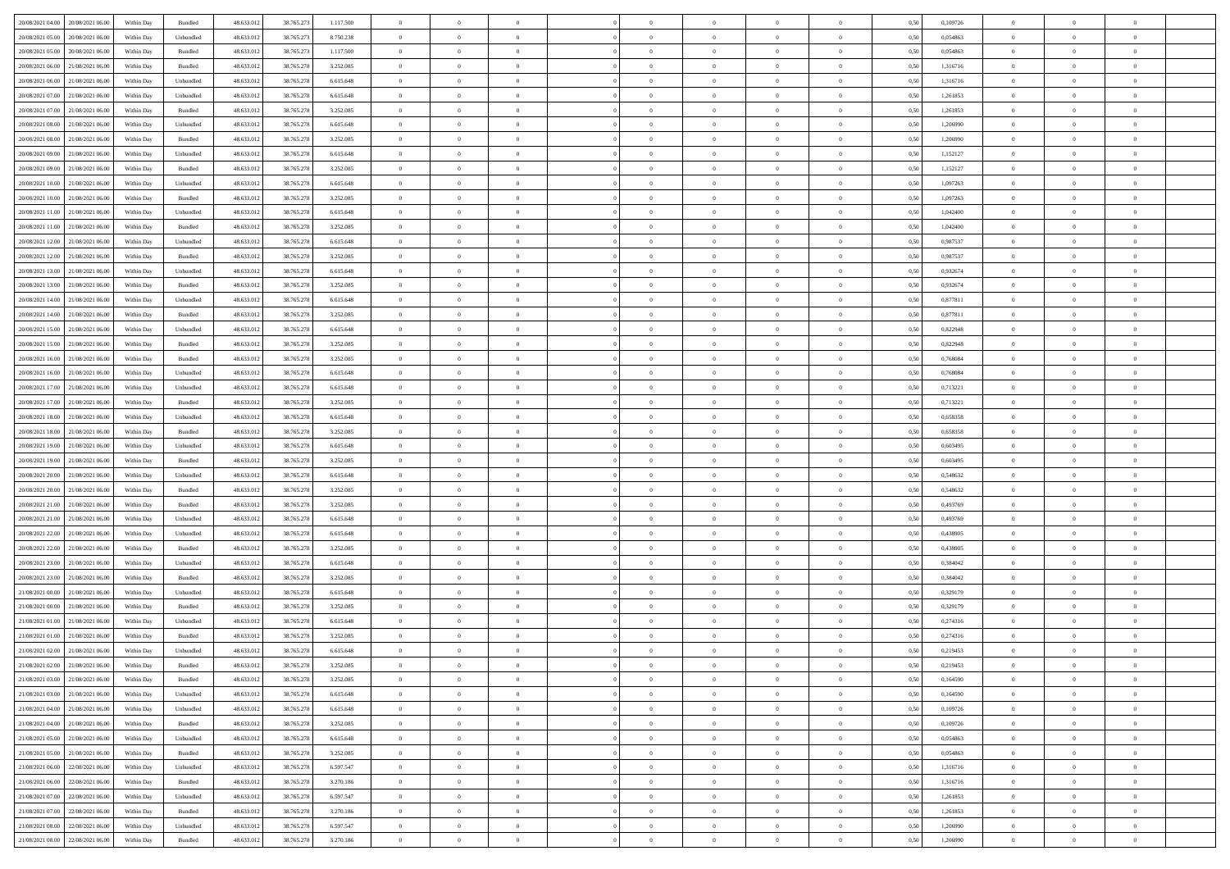| 20/08/2021 04:00 20/08/2021 06:00            | Within Day | Bundled            | 48.633.01  | 38.765.273 | 1.117.500 | $\overline{0}$ | $\theta$       |                | $\overline{0}$ | $\theta$       |                | $\bf{0}$       | 0,50 | 0,109726 | $\theta$       | $\theta$       | $\theta$       |  |
|----------------------------------------------|------------|--------------------|------------|------------|-----------|----------------|----------------|----------------|----------------|----------------|----------------|----------------|------|----------|----------------|----------------|----------------|--|
| 20/08/2021 05:00<br>20/08/2021 06:00         | Within Day | Unbundled          | 48.633.01  | 38.765.27  | 8.750.238 | $\bf{0}$       | $\bf{0}$       | $\bf{0}$       | $\bf{0}$       | $\overline{0}$ | $\overline{0}$ | $\bf{0}$       | 0,50 | 0,054863 | $\,$ 0 $\,$    | $\bf{0}$       | $\overline{0}$ |  |
| 20/08/2021 05:00<br>20/08/2021 06:00         | Within Day | Bundled            | 48.633.012 | 38.765.273 | 1.117.500 | $\overline{0}$ | $\bf{0}$       | $\overline{0}$ | $\bf{0}$       | $\bf{0}$       | $\overline{0}$ | $\bf{0}$       | 0.50 | 0.054863 | $\overline{0}$ | $\overline{0}$ | $\overline{0}$ |  |
| 20/08/2021 06:00<br>21/08/2021 06:00         | Within Day | Bundled            | 48.633.01  | 38.765.278 | 3.252.085 | $\overline{0}$ | $\overline{0}$ | $\overline{0}$ | $\overline{0}$ | $\theta$       | $\overline{0}$ | $\bf{0}$       | 0,50 | 1,316716 | $\theta$       | $\theta$       | $\overline{0}$ |  |
| 20/08/2021 06:00<br>21/08/2021 06:00         | Within Day | Unbundled          | 48.633.01  | 38.765.278 | 6.615.648 | $\bf{0}$       | $\overline{0}$ | $\bf{0}$       | $\overline{0}$ | $\theta$       | $\overline{0}$ | $\bf{0}$       | 0,50 | 1,316716 | $\,$ 0 $\,$    | $\bf{0}$       | $\overline{0}$ |  |
|                                              |            |                    |            |            |           |                |                |                |                |                | $\theta$       |                |      |          |                |                |                |  |
| 20/08/2021 07:00<br>21/08/2021 06:00         | Within Day | Unbundled          | 48.633.013 | 38.765.278 | 6.615.648 | $\overline{0}$ | $\overline{0}$ | $\overline{0}$ | $\bf{0}$       | $\overline{0}$ |                | $\bf{0}$       | 0.50 | 1.261853 | $\,$ 0 $\,$    | $\theta$       | $\overline{0}$ |  |
| 20/08/2021 07:00<br>21/08/2021 06:00         | Within Day | Bundled            | 48.633.013 | 38.765.278 | 3.252.085 | $\overline{0}$ | $\overline{0}$ | $\overline{0}$ | $\overline{0}$ | $\overline{0}$ | $\overline{0}$ | $\bf{0}$       | 0,50 | 1,261853 | $\,$ 0 $\,$    | $\theta$       | $\overline{0}$ |  |
| 20/08/2021 08:00<br>21/08/2021 06:00         | Within Day | Unbundled          | 48.633.01  | 38.765.278 | 6.615.648 | $\bf{0}$       | $\bf{0}$       | $\bf{0}$       | $\overline{0}$ | $\overline{0}$ | $\overline{0}$ | $\bf{0}$       | 0,50 | 1,206990 | $\,$ 0 $\,$    | $\bf{0}$       | $\overline{0}$ |  |
| 20/08/2021 08:00<br>21/08/2021 06:00         | Within Day | Bundled            | 48.633.013 | 38.765.278 | 3.252.085 | $\overline{0}$ | $\bf{0}$       | $\overline{0}$ | $\bf{0}$       | $\overline{0}$ | $\overline{0}$ | $\bf{0}$       | 0.50 | 1.206990 | $\bf{0}$       | $\overline{0}$ | $\overline{0}$ |  |
| 20/08/2021 09:00<br>21/08/2021 06:00         | Within Day | Unbundled          | 48.633.012 | 38.765.278 | 6.615.648 | $\overline{0}$ | $\bf{0}$       | $\overline{0}$ | $\overline{0}$ | $\overline{0}$ | $\overline{0}$ | $\bf{0}$       | 0,50 | 1,152127 | $\,$ 0 $\,$    | $\bf{0}$       | $\overline{0}$ |  |
| 20/08/2021 09:00<br>21/08/2021 06:00         | Within Day | Bundled            | 48.633.01  | 38.765.278 | 3.252.085 | $\bf{0}$       | $\overline{0}$ | $\bf{0}$       | $\bf{0}$       | $\bf{0}$       | $\overline{0}$ | $\bf{0}$       | 0,50 | 1,152127 | $\,$ 0 $\,$    | $\bf{0}$       | $\overline{0}$ |  |
| 20/08/2021 10:00<br>21/08/2021 06:00         | Within Day | Unbundled          | 48.633.013 | 38.765.278 | 6.615.648 | $\overline{0}$ | $\bf{0}$       | $\overline{0}$ | $\overline{0}$ | $\bf{0}$       | $\overline{0}$ | $\bf{0}$       | 0.50 | 1.097263 | $\bf{0}$       | $\overline{0}$ | $\bf{0}$       |  |
| 20/08/2021 10:00<br>21/08/2021 06:00         | Within Day | Bundled            | 48.633.01  | 38.765.278 | 3.252.085 | $\overline{0}$ | $\overline{0}$ | $\overline{0}$ | $\theta$       | $\theta$       | $\overline{0}$ | $\bf{0}$       | 0,50 | 1,097263 | $\,$ 0 $\,$    | $\theta$       | $\overline{0}$ |  |
|                                              |            |                    |            |            |           |                |                |                |                |                |                |                |      |          |                |                |                |  |
| 20/08/2021 11:00<br>21/08/2021 06:00         | Within Day | Unbundled          | 48.633.01  | 38.765.278 | 6.615.648 | $\bf{0}$       | $\overline{0}$ | $\bf{0}$       | $\overline{0}$ | $\bf{0}$       | $\overline{0}$ | $\bf{0}$       | 0,50 | 1,042400 | $\,$ 0 $\,$    | $\bf{0}$       | $\overline{0}$ |  |
| 20/08/2021 11:00<br>21/08/2021 06:00         | Within Day | Bundled            | 48.633.013 | 38.765.278 | 3.252.085 | $\overline{0}$ | $\overline{0}$ | $\overline{0}$ | $\bf{0}$       | $\overline{0}$ | $\theta$       | $\bf{0}$       | 0.50 | 1.042400 | $\,$ 0 $\,$    | $\theta$       | $\overline{0}$ |  |
| 20/08/2021 12:00<br>21/08/2021 06:00         | Within Day | Unbundled          | 48.633.013 | 38.765.278 | 6.615.648 | $\overline{0}$ | $\overline{0}$ | $\overline{0}$ | $\overline{0}$ | $\overline{0}$ | $\overline{0}$ | $\bf{0}$       | 0,50 | 0,987537 | $\theta$       | $\theta$       | $\overline{0}$ |  |
| 20/08/2021 12:00<br>21/08/2021 06:00         | Within Day | Bundled            | 48.633.01  | 38.765.278 | 3.252.085 | $\bf{0}$       | $\bf{0}$       | $\bf{0}$       | $\overline{0}$ | $\bf{0}$       | $\overline{0}$ | $\bf{0}$       | 0,50 | 0,987537 | $\,$ 0 $\,$    | $\bf{0}$       | $\overline{0}$ |  |
| 20/08/2021 13:00<br>21/08/2021 06:00         | Within Day | Unbundled          | 48.633.013 | 38,765,278 | 6.615.648 | $\overline{0}$ | $\bf{0}$       | $\overline{0}$ | $\bf{0}$       | $\overline{0}$ | $\overline{0}$ | $\bf{0}$       | 0.50 | 0.932674 | $\bf{0}$       | $\overline{0}$ | $\bf{0}$       |  |
| 20/08/2021 13:00<br>21/08/2021 06:00         | Within Day | Bundled            | 48.633.013 | 38.765.278 | 3.252.085 | $\overline{0}$ | $\bf{0}$       | $\overline{0}$ | $\overline{0}$ | $\overline{0}$ | $\overline{0}$ | $\bf{0}$       | 0,50 | 0,932674 | $\,$ 0 $\,$    | $\bf{0}$       | $\overline{0}$ |  |
| 20/08/2021 14:00<br>21/08/2021 06:00         | Within Day | Unbundled          | 48.633.01  | 38.765.278 | 6.615.648 | $\bf{0}$       | $\bf{0}$       | $\bf{0}$       | $\bf{0}$       | $\overline{0}$ | $\overline{0}$ | $\bf{0}$       | 0,50 | 0,877811 | $\,$ 0 $\,$    | $\bf{0}$       | $\overline{0}$ |  |
|                                              |            |                    |            |            |           |                |                |                |                |                |                |                |      |          |                |                |                |  |
| 20/08/2021 14:00<br>21/08/2021 06:00         | Within Day | Bundled            | 48.633.012 | 38.765.278 | 3.252.085 | $\overline{0}$ | $\bf{0}$       | $\overline{0}$ | $\overline{0}$ | $\bf{0}$       | $\overline{0}$ | $\bf{0}$       | 0.50 | 0.877811 | $\bf{0}$       | $\overline{0}$ | $\,$ 0         |  |
| 20/08/2021 15:00<br>21/08/2021 06:00         | Within Day | Unbundled          | 48.633.01  | 38.765.278 | 6.615.648 | $\overline{0}$ | $\overline{0}$ | $\overline{0}$ | $\overline{0}$ | $\theta$       | $\overline{0}$ | $\bf{0}$       | 0,50 | 0,822948 | $\theta$       | $\theta$       | $\overline{0}$ |  |
| 20/08/2021 15:00<br>21/08/2021 06:00         | Within Day | Bundled            | 48.633.013 | 38.765.278 | 3.252.085 | $\bf{0}$       | $\bf{0}$       | $\bf{0}$       | $\bf{0}$       | $\overline{0}$ | $\overline{0}$ | $\bf{0}$       | 0,50 | 0,822948 | $\,$ 0 $\,$    | $\bf{0}$       | $\overline{0}$ |  |
| 20/08/2021 16:00<br>21/08/2021 06:00         | Within Day | Bundled            | 48.633.013 | 38.765.278 | 3.252.085 | $\overline{0}$ | $\overline{0}$ | $\overline{0}$ | $\bf{0}$       | $\overline{0}$ | $\theta$       | $\bf{0}$       | 0.50 | 0.768084 | $\,$ 0 $\,$    | $\theta$       | $\overline{0}$ |  |
| 20/08/2021 16:00<br>21/08/2021 06:00         | Within Day | Unbundled          | 48.633.013 | 38.765.278 | 6.615.648 | $\overline{0}$ | $\overline{0}$ | $\overline{0}$ | $\overline{0}$ | $\overline{0}$ | $\overline{0}$ | $\bf{0}$       | 0,50 | 0,768084 | $\,$ 0 $\,$    | $\theta$       | $\overline{0}$ |  |
| 20/08/2021 17:00<br>21/08/2021 06:00         | Within Day | Unbundled          | 48.633.013 | 38.765.278 | 6.615.648 | $\bf{0}$       | $\overline{0}$ | $\bf{0}$       | $\overline{0}$ | $\bf{0}$       | $\overline{0}$ | $\bf{0}$       | 0,50 | 0,713221 | $\,$ 0 $\,$    | $\bf{0}$       | $\overline{0}$ |  |
| 20/08/2021 17:00<br>21/08/2021 06:00         | Within Day | Bundled            | 48.633.013 | 38.765.278 | 3.252.085 | $\overline{0}$ | $\bf{0}$       | $\overline{0}$ | $\bf{0}$       | $\overline{0}$ | $\overline{0}$ | $\bf{0}$       | 0.50 | 0.713221 | $\bf{0}$       | $\overline{0}$ | $\overline{0}$ |  |
| 20/08/2021 18:00<br>21/08/2021 06:00         | Within Day | Unbundled          | 48.633.01  | 38.765.278 | 6.615.648 | $\overline{0}$ | $\bf{0}$       | $\overline{0}$ | $\overline{0}$ | $\overline{0}$ | $\overline{0}$ | $\bf{0}$       | 0,50 | 0,658358 | $\theta$       | $\theta$       | $\overline{0}$ |  |
| 20/08/2021 18:00<br>21/08/2021 06:00         | Within Day | Bundled            | 48.633.01  | 38.765.278 | 3.252.085 | $\bf{0}$       | $\bf{0}$       | $\bf{0}$       | $\bf{0}$       | $\overline{0}$ | $\overline{0}$ | $\bf{0}$       | 0,50 | 0,658358 | $\,$ 0 $\,$    | $\bf{0}$       | $\overline{0}$ |  |
|                                              |            |                    |            |            |           |                |                |                |                |                |                |                |      |          |                |                |                |  |
| 20/08/2021 19:00<br>21/08/2021 06:00         | Within Day | Unbundled          | 48.633.013 | 38.765.278 | 6.615.648 | $\overline{0}$ | $\bf{0}$       | $\overline{0}$ | $\bf{0}$       | $\bf{0}$       | $\overline{0}$ | $\bf{0}$       | 0.50 | 0.603495 | $\bf{0}$       | $\overline{0}$ | $\bf{0}$       |  |
| 20/08/2021 19:00<br>21/08/2021 06:00         | Within Day | Bundled            | 48.633.013 | 38.765.278 | 3.252.085 | $\overline{0}$ | $\overline{0}$ | $\overline{0}$ | $\overline{0}$ | $\overline{0}$ | $\overline{0}$ | $\bf{0}$       | 0.50 | 0.603495 | $\theta$       | $\theta$       | $\overline{0}$ |  |
| 20/08/2021 20:00<br>21/08/2021 06:00         | Within Day | Unbundled          | 48.633.01  | 38.765.278 | 6.615.648 | $\bf{0}$       | $\overline{0}$ | $\bf{0}$       | $\bf{0}$       | $\overline{0}$ | $\overline{0}$ | $\bf{0}$       | 0,50 | 0,548632 | $\,$ 0 $\,$    | $\bf{0}$       | $\overline{0}$ |  |
| 20/08/2021 20:00<br>21/08/2021 06:00         | Within Day | Bundled            | 48.633.013 | 38.765.278 | 3.252.085 | $\overline{0}$ | $\bf{0}$       | $\overline{0}$ | $\bf{0}$       | $\overline{0}$ | $\overline{0}$ | $\bf{0}$       | 0.50 | 0.548632 | $\,$ 0 $\,$    | $\bf{0}$       | $\overline{0}$ |  |
| 20/08/2021 21:00<br>21/08/2021 06:00         | Within Dav | Bundled            | 48.633.013 | 38.765.278 | 3.252.085 | $\overline{0}$ | $\overline{0}$ | $\overline{0}$ | $\overline{0}$ | $\theta$       | $\overline{0}$ | $\bf{0}$       | 0.50 | 0,493769 | $\theta$       | $\theta$       | $\overline{0}$ |  |
| 20/08/2021 21:00<br>21/08/2021 06:00         | Within Day | Unbundled          | 48.633.013 | 38.765.278 | 6.615.648 | $\bf{0}$       | $\bf{0}$       | $\bf{0}$       | $\bf{0}$       | $\overline{0}$ | $\overline{0}$ | $\bf{0}$       | 0,50 | 0,493769 | $\,$ 0 $\,$    | $\bf{0}$       | $\overline{0}$ |  |
| 20/08/2021 22:00<br>21/08/2021 06:00         | Within Day | Unbundled          | 48.633.013 | 38,765,278 | 6.615.648 | $\overline{0}$ | $\bf{0}$       | $\overline{0}$ | $\bf{0}$       | $\overline{0}$ | $\overline{0}$ | $\bf{0}$       | 0.50 | 0.438905 | $\bf{0}$       | $\overline{0}$ | $\overline{0}$ |  |
| 20/08/2021 22:00<br>21/08/2021 06:00         | Within Dav | Bundled            | 48.633.013 | 38.765.278 | 3.252.085 | $\overline{0}$ | $\overline{0}$ | $\overline{0}$ | $\overline{0}$ | $\overline{0}$ | $\overline{0}$ | $\bf{0}$       | 0.50 | 0,438905 | $\theta$       | $\theta$       | $\overline{0}$ |  |
| 20/08/2021 23:00<br>21/08/2021 06:00         | Within Day | Unbundled          | 48.633.01  | 38.765.278 | 6.615.648 | $\bf{0}$       | $\bf{0}$       | $\bf{0}$       | $\bf{0}$       | $\overline{0}$ | $\overline{0}$ | $\bf{0}$       | 0,50 | 0,384042 | $\,$ 0 $\,$    | $\bf{0}$       | $\overline{0}$ |  |
|                                              |            |                    |            |            |           |                |                |                |                |                |                |                |      |          |                |                |                |  |
| 20/08/2021 23:00<br>21/08/2021 06:00         | Within Day | Bundled            | 48.633.013 | 38.765.278 | 3.252.085 | $\overline{0}$ | $\bf{0}$       | $\overline{0}$ | $\overline{0}$ | $\bf{0}$       | $\overline{0}$ | $\bf{0}$       | 0.50 | 0.384042 | $\bf{0}$       | $\overline{0}$ | $\bf{0}$       |  |
| 21/08/2021 00:00<br>21/08/2021 06:00         | Within Dav | Unbundled          | 48.633.013 | 38.765.278 | 6.615.648 | $\overline{0}$ | $\overline{0}$ | $\overline{0}$ | $\overline{0}$ | $\overline{0}$ | $\overline{0}$ | $\bf{0}$       | 0.5( | 0,329179 | $\theta$       | $\theta$       | $\overline{0}$ |  |
| 21/08/2021 00:00<br>21/08/2021 06:00         | Within Day | Bundled            | 48.633.013 | 38.765.278 | 3.252.085 | $\bf{0}$       | $\bf{0}$       | $\bf{0}$       | $\bf{0}$       | $\overline{0}$ | $\overline{0}$ | $\bf{0}$       | 0,50 | 0,329179 | $\,$ 0 $\,$    | $\bf{0}$       | $\overline{0}$ |  |
| 21/08/2021 01:00<br>21/08/2021 06:00         | Within Day | Unbundled          | 48.633.013 | 38.765.278 | 6.615.648 | $\overline{0}$ | $\overline{0}$ | $\overline{0}$ | $\bf{0}$       | $\overline{0}$ | $\Omega$       | $\bf{0}$       | 0.50 | 0,274316 | $\bf{0}$       | $\theta$       | $\overline{0}$ |  |
| 21/08/2021 01:00<br>21/08/2021 06:00         | Within Dav | Bundled            | 48.633.013 | 38.765.278 | 3.252.085 | $\overline{0}$ | $\overline{0}$ | $\Omega$       | $\overline{0}$ | $\theta$       | $\overline{0}$ | $\overline{0}$ | 0.5( | 0,274316 | $\theta$       | $\theta$       | $\overline{0}$ |  |
| 21/08/2021 02:00<br>21/08/2021 06:00         | Within Day | Unbundled          | 48.633.01  | 38.765.278 | 6.615.648 | $\bf{0}$       | $\bf{0}$       | $\overline{0}$ | $\bf{0}$       | $\bf{0}$       | $\overline{0}$ | $\bf{0}$       | 0,50 | 0,219453 | $\overline{0}$ | $\bf{0}$       | $\overline{0}$ |  |
| $21/08/2021\ 02.00 \qquad 21/08/2021\ 06.00$ | Within Day | $\mathbf B$ undled | 48.633.012 | 38.765.278 | 3.252.085 | $\bf{0}$       | $\Omega$       |                | $\Omega$       |                |                |                | 0,50 | 0,219453 | $\bf{0}$       | $\overline{0}$ |                |  |
| 21/08/2021 03:00 21/08/2021 06:00            | Within Day | Bundled            | 48.633.012 | 38.765.278 | 3.252.085 | $\overline{0}$ | $\overline{0}$ | $\Omega$       | $\theta$       | $\overline{0}$ | $\overline{0}$ | $\bf{0}$       | 0,50 | 0,164590 | $\theta$       | $\theta$       | $\overline{0}$ |  |
|                                              |            |                    |            |            |           |                |                |                |                |                |                |                |      |          |                |                |                |  |
| 21/08/2021 03:00<br>21/08/2021 06:00         | Within Day | Unbundled          | 48.633.013 | 38.765.278 | 6.615.648 | $\overline{0}$ | $\bf{0}$       | $\overline{0}$ | $\overline{0}$ | $\bf{0}$       | $\overline{0}$ | $\bf{0}$       | 0,50 | 0,164590 | $\bf{0}$       | $\overline{0}$ | $\bf{0}$       |  |
| 21/08/2021 04:00 21/08/2021 06:00            | Within Day | Unbundled          | 48.633.012 | 38.765.278 | 6.615.648 | $\overline{0}$ | $\overline{0}$ | $\overline{0}$ | $\overline{0}$ | $\mathbf{0}$   | $\overline{0}$ | $\,$ 0 $\,$    | 0.50 | 0.109726 | $\overline{0}$ | $\bf{0}$       | $\bf{0}$       |  |
| 21/08/2021 04:00 21/08/2021 06:00            | Within Day | Bundled            | 48.633.012 | 38.765.278 | 3.252.085 | $\overline{0}$ | $\overline{0}$ | $\overline{0}$ | $\overline{0}$ | $\overline{0}$ | $\overline{0}$ | $\bf{0}$       | 0,50 | 0,109726 | $\overline{0}$ | $\theta$       | $\overline{0}$ |  |
| 21/08/2021 05:00<br>21/08/2021 06:00         | Within Day | Unbundled          | 48.633.012 | 38.765.278 | 6.615.648 | $\overline{0}$ | $\bf{0}$       | $\overline{0}$ | $\overline{0}$ | $\bf{0}$       | $\overline{0}$ | $\bf{0}$       | 0,50 | 0,054863 | $\bf{0}$       | $\overline{0}$ | $\overline{0}$ |  |
| 21/08/2021 05:00 21/08/2021 06:00            | Within Day | Bundled            | 48.633.012 | 38.765.278 | 3.252.085 | $\overline{0}$ | $\bf{0}$       | $\overline{0}$ | $\overline{0}$ | $\bf{0}$       | $\overline{0}$ | $\bf{0}$       | 0.50 | 0.054863 | $\,$ 0 $\,$    | $\overline{0}$ | $\,$ 0         |  |
| 21/08/2021 06:00 22/08/2021 06:00            | Within Day | Unbundled          | 48.633.012 | 38.765.278 | 6.597.547 | $\overline{0}$ | $\overline{0}$ | $\overline{0}$ | $\overline{0}$ | $\overline{0}$ | $\overline{0}$ | $\bf{0}$       | 0.50 | 1,316716 | $\overline{0}$ | $\theta$       | $\overline{0}$ |  |
| 21/08/2021 06:00<br>22/08/2021 06:00         | Within Day | Bundled            | 48.633.013 | 38.765.278 | 3.270.186 | $\overline{0}$ | $\overline{0}$ | $\overline{0}$ | $\overline{0}$ | $\overline{0}$ | $\overline{0}$ | $\bf{0}$       | 0,50 | 1,316716 | $\bf{0}$       | $\overline{0}$ | $\,$ 0         |  |
| 21/08/2021 07:00 22/08/2021 06:00            | Within Day | Unbundled          | 48.633.012 | 38.765.278 | 6.597.547 | $\overline{0}$ | $\overline{0}$ | $\overline{0}$ | $\overline{0}$ | $\overline{0}$ | $\overline{0}$ | $\bf{0}$       | 0.50 | 1.261853 | $\mathbf{0}$   | $\bf{0}$       | $\,$ 0         |  |
|                                              |            |                    |            |            |           |                |                |                |                |                |                |                |      |          |                |                |                |  |
| 21/08/2021 07:00 22/08/2021 06:00            | Within Dav | Bundled            | 48.633.012 | 38.765.278 | 3.270.186 | $\overline{0}$ | $\overline{0}$ | $\overline{0}$ | $\overline{0}$ | $\overline{0}$ | $\overline{0}$ | $\bf{0}$       | 0,50 | 1,261853 | $\overline{0}$ | $\theta$       | $\overline{0}$ |  |
| 21/08/2021 08:00<br>22/08/2021 06:00         | Within Day | Unbundled          | 48.633.013 | 38.765.278 | 6.597.547 | $\overline{0}$ | $\bf{0}$       | $\overline{0}$ | $\overline{0}$ | $\overline{0}$ | $\overline{0}$ | $\bf{0}$       | 0,50 | 1,206990 | $\bf{0}$       | $\overline{0}$ | $\bf{0}$       |  |
| 21/08/2021 08:00 22/08/2021 06:00            | Within Day | Bundled            | 48.633.012 | 38.765.278 | 3.270.186 | $\,$ 0 $\,$    | $\bf{0}$       | $\overline{0}$ | $\overline{0}$ | $\,$ 0 $\,$    | $\overline{0}$ | $\,$ 0 $\,$    | 0,50 | 1,206990 | $\overline{0}$ | $\,$ 0 $\,$    | $\,$ 0 $\,$    |  |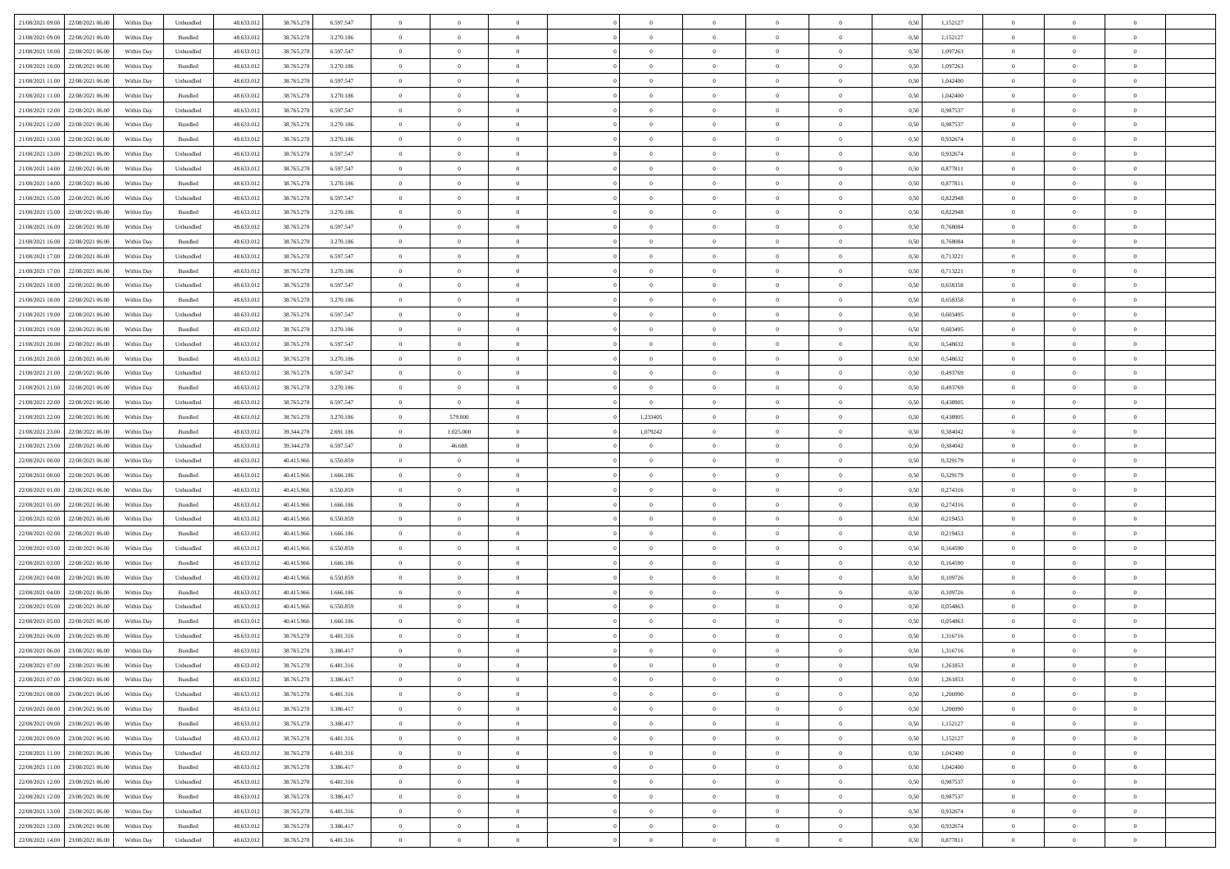|                                      |            |                   |            |            |           | $\overline{0}$ | $\overline{0}$ |                | $\overline{0}$ | $\theta$       |                | $\theta$       |      |          | $\theta$       | $\theta$       | $\overline{0}$ |  |
|--------------------------------------|------------|-------------------|------------|------------|-----------|----------------|----------------|----------------|----------------|----------------|----------------|----------------|------|----------|----------------|----------------|----------------|--|
| 21/08/2021 09:00 22/08/2021 06:00    | Within Day | Unbundled         | 48.633.01  | 38.765.278 | 6.597.547 |                |                |                |                |                |                |                | 0,50 | 1,152127 |                |                |                |  |
| 21/08/2021 09:00<br>22/08/2021 06:00 | Within Day | Bundled           | 48.633.01  | 38.765.278 | 3.270.186 | $\bf{0}$       | $\bf{0}$       | $\bf{0}$       | $\bf{0}$       | $\overline{0}$ | $\overline{0}$ | $\bf{0}$       | 0,50 | 1,152127 | $\,$ 0 $\,$    | $\bf{0}$       | $\overline{0}$ |  |
| 21/08/2021 10:00<br>22/08/2021 06:00 | Within Day | Unbundled         | 48.633.013 | 38.765.278 | 6,597,547 | $\overline{0}$ | $\bf{0}$       | $\overline{0}$ | $\bf{0}$       | $\bf{0}$       | $\overline{0}$ | $\bf{0}$       | 0.50 | 1.097263 | $\overline{0}$ | $\overline{0}$ | $\overline{0}$ |  |
| 21/08/2021 10:00<br>22/08/2021 06:00 | Within Day | Bundled           | 48.633.01  | 38.765.278 | 3.270.186 | $\overline{0}$ | $\overline{0}$ | $\overline{0}$ | $\overline{0}$ | $\theta$       | $\overline{0}$ | $\bf{0}$       | 0,50 | 1,097263 | $\theta$       | $\theta$       | $\overline{0}$ |  |
| 21/08/2021 11:00<br>22/08/2021 06:00 | Within Day | Unbundled         | 48.633.01  | 38.765.278 | 6.597.547 | $\bf{0}$       | $\overline{0}$ | $\bf{0}$       | $\overline{0}$ | $\bf{0}$       | $\overline{0}$ | $\bf{0}$       | 0,50 | 1,042400 | $\,$ 0 $\,$    | $\bf{0}$       | $\overline{0}$ |  |
|                                      |            |                   |            |            |           |                |                |                |                |                |                |                |      |          |                |                |                |  |
| 21/08/2021 11:00<br>22/08/2021 06:00 | Within Day | Bundled           | 48.633.013 | 38.765.278 | 3.270.186 | $\overline{0}$ | $\bf{0}$       | $\overline{0}$ | $\bf{0}$       | $\overline{0}$ | $\theta$       | $\bf{0}$       | 0.50 | 1.042400 | $\,$ 0 $\,$    | $\theta$       | $\overline{0}$ |  |
| 21/08/2021 12:00<br>22/08/2021 06:00 | Within Day | Unbundled         | 48.633.013 | 38.765.278 | 6.597.547 | $\overline{0}$ | $\overline{0}$ | $\overline{0}$ | $\overline{0}$ | $\overline{0}$ | $\overline{0}$ | $\bf{0}$       | 0,50 | 0,987537 | $\,$ 0 $\,$    | $\theta$       | $\overline{0}$ |  |
| 21/08/2021 12:00<br>22/08/2021 06:00 | Within Day | Bundled           | 48.633.01  | 38.765.278 | 3.270.186 | $\bf{0}$       | $\bf{0}$       | $\bf{0}$       | $\overline{0}$ | $\overline{0}$ | $\overline{0}$ | $\bf{0}$       | 0,50 | 0,987537 | $\,$ 0 $\,$    | $\bf{0}$       | $\overline{0}$ |  |
| 21/08/2021 13:00<br>22/08/2021 06:00 | Within Day | Bundled           | 48.633.013 | 38.765.278 | 3.270.186 | $\overline{0}$ | $\bf{0}$       | $\overline{0}$ | $\bf{0}$       | $\overline{0}$ | $\overline{0}$ | $\bf{0}$       | 0.50 | 0.932674 | $\bf{0}$       | $\overline{0}$ | $\overline{0}$ |  |
| 21/08/2021 13:00<br>22/08/2021 06:00 | Within Day | Unbundled         | 48.633.012 | 38.765.278 | 6.597.547 | $\bf{0}$       | $\bf{0}$       | $\overline{0}$ | $\overline{0}$ | $\overline{0}$ | $\overline{0}$ | $\bf{0}$       | 0,50 | 0,932674 | $\,$ 0 $\,$    | $\,$ 0 $\,$    | $\overline{0}$ |  |
| 21/08/2021 14:00<br>22/08/2021 06:00 | Within Day | Unbundled         | 48.633.01  | 38.765.278 | 6.597.547 | $\bf{0}$       | $\bf{0}$       | $\bf{0}$       | $\bf{0}$       | $\overline{0}$ | $\overline{0}$ | $\bf{0}$       | 0,50 | 0,877811 | $\,$ 0 $\,$    | $\bf{0}$       | $\overline{0}$ |  |
| 21/08/2021 14:00<br>22/08/2021 06:00 | Within Day | Bundled           | 48.633.013 | 38.765.278 | 3.270.186 | $\overline{0}$ | $\bf{0}$       | $\overline{0}$ | $\overline{0}$ | $\bf{0}$       | $\overline{0}$ | $\bf{0}$       | 0.50 | 0.877811 | $\bf{0}$       | $\,$ 0 $\,$    | $\,$ 0         |  |
|                                      |            |                   |            |            |           | $\overline{0}$ |                | $\overline{0}$ | $\theta$       | $\theta$       | $\overline{0}$ |                |      |          | $\,$ 0 $\,$    | $\theta$       |                |  |
| 21/08/2021 15:00<br>22/08/2021 06:00 | Within Day | Unbundled         | 48.633.01  | 38.765.278 | 6.597.547 |                | $\bf{0}$       |                |                |                |                | $\bf{0}$       | 0,50 | 0,822948 |                |                | $\overline{0}$ |  |
| 21/08/2021 15:00<br>22/08/2021 06:00 | Within Day | Bundled           | 48.633.01  | 38.765.278 | 3.270.186 | $\bf{0}$       | $\overline{0}$ | $\bf{0}$       | $\overline{0}$ | $\bf{0}$       | $\overline{0}$ | $\bf{0}$       | 0,50 | 0,822948 | $\,$ 0 $\,$    | $\bf{0}$       | $\overline{0}$ |  |
| 21/08/2021 16:00<br>22/08/2021 06:00 | Within Day | Unbundled         | 48.633.013 | 38.765.278 | 6.597.547 | $\overline{0}$ | $\bf{0}$       | $\overline{0}$ | $\bf{0}$       | $\overline{0}$ | $\theta$       | $\bf{0}$       | 0.50 | 0.768084 | $\,$ 0 $\,$    | $\bf{0}$       | $\overline{0}$ |  |
| 21/08/2021 16:00<br>22/08/2021 06:00 | Within Day | Bundled           | 48.633.013 | 38.765.278 | 3.270.186 | $\overline{0}$ | $\overline{0}$ | $\overline{0}$ | $\overline{0}$ | $\overline{0}$ | $\overline{0}$ | $\bf{0}$       | 0,50 | 0,768084 | $\theta$       | $\theta$       | $\overline{0}$ |  |
| 21/08/2021 17:00<br>22/08/2021 06:00 | Within Day | Unbundled         | 48.633.01  | 38.765.278 | 6.597.547 | $\bf{0}$       | $\bf{0}$       | $\bf{0}$       | $\overline{0}$ | $\overline{0}$ | $\overline{0}$ | $\bf{0}$       | 0,50 | 0,713221 | $\,$ 0 $\,$    | $\bf{0}$       | $\overline{0}$ |  |
| 21/08/2021 17:00<br>22/08/2021 06:00 | Within Day | Bundled           | 48.633.013 | 38.765.278 | 3.270.186 | $\overline{0}$ | $\bf{0}$       | $\overline{0}$ | $\bf{0}$       | $\overline{0}$ | $\overline{0}$ | $\bf{0}$       | 0.50 | 0.713221 | $\bf{0}$       | $\overline{0}$ | $\bf{0}$       |  |
| 21/08/2021 18:00<br>22/08/2021 06:00 | Within Day | Unbundled         | 48.633.013 | 38.765.278 | 6.597.547 | $\bf{0}$       | $\bf{0}$       | $\overline{0}$ | $\overline{0}$ | $\overline{0}$ | $\overline{0}$ | $\bf{0}$       | 0,50 | 0,658358 | $\,$ 0 $\,$    | $\bf{0}$       | $\overline{0}$ |  |
| 21/08/2021 18:00<br>22/08/2021 06:00 | Within Day | Bundled           | 48.633.01  | 38.765.278 | 3.270.186 | $\bf{0}$       | $\bf{0}$       | $\bf{0}$       | $\bf{0}$       | $\overline{0}$ | $\overline{0}$ | $\bf{0}$       | 0,50 | 0,658358 | $\,$ 0 $\,$    | $\bf{0}$       | $\overline{0}$ |  |
| 21/08/2021 19:00                     |            | Unbundled         | 48.633.013 |            | 6,597,547 |                | $\bf{0}$       |                |                | $\bf{0}$       | $\overline{0}$ |                | 0.50 | 0.603495 | $\bf{0}$       | $\overline{0}$ | $\,$ 0         |  |
| 22/08/2021 06:00                     | Within Day |                   |            | 38.765.278 |           | $\overline{0}$ |                | $\overline{0}$ | $\overline{0}$ |                |                | $\bf{0}$       |      |          |                |                |                |  |
| 21/08/2021 19:00<br>22/08/2021 06:00 | Within Day | Bundled           | 48.633.01  | 38.765.278 | 3.270.186 | $\overline{0}$ | $\overline{0}$ | $\overline{0}$ | $\overline{0}$ | $\theta$       | $\overline{0}$ | $\bf{0}$       | 0,50 | 0,603495 | $\theta$       | $\theta$       | $\overline{0}$ |  |
| 21/08/2021 20:00<br>22/08/2021 06:00 | Within Day | Unbundled         | 48.633.01  | 38.765.278 | 6.597.547 | $\bf{0}$       | $\bf{0}$       | $\bf{0}$       | $\bf{0}$       | $\overline{0}$ | $\overline{0}$ | $\bf{0}$       | 0,50 | 0,548632 | $\,$ 0 $\,$    | $\bf{0}$       | $\overline{0}$ |  |
| 21/08/2021 20:00<br>22/08/2021 06:00 | Within Day | Bundled           | 48.633.013 | 38.765.278 | 3.270.186 | $\overline{0}$ | $\bf{0}$       | $\overline{0}$ | $\bf{0}$       | $\overline{0}$ | $\theta$       | $\bf{0}$       | 0.50 | 0.548632 | $\bf{0}$       | $\theta$       | $\overline{0}$ |  |
| 21/08/2021 21:00<br>22/08/2021 06:00 | Within Day | Unbundled         | 48.633.013 | 38.765.278 | 6.597.547 | $\overline{0}$ | $\overline{0}$ | $\overline{0}$ | $\overline{0}$ | $\overline{0}$ | $\overline{0}$ | $\bf{0}$       | 0,50 | 0,493769 | $\,$ 0 $\,$    | $\theta$       | $\overline{0}$ |  |
| 21/08/2021 21:00<br>22/08/2021 06:00 | Within Day | Bundled           | 48.633.01  | 38.765.278 | 3.270.186 | $\bf{0}$       | $\bf{0}$       | $\bf{0}$       | $\overline{0}$ | $\bf{0}$       | $\overline{0}$ | $\bf{0}$       | 0,50 | 0,493769 | $\,$ 0 $\,$    | $\bf{0}$       | $\overline{0}$ |  |
| 21/08/2021 22:00<br>22/08/2021 06:00 | Within Day | Unbundled         | 48.633.013 | 38.765.278 | 6,597,547 | $\overline{0}$ | $\overline{0}$ | $\overline{0}$ | $\bf{0}$       | $\overline{0}$ | $\overline{0}$ | $\bf{0}$       | 0.50 | 0.438905 | $\bf{0}$       | $\overline{0}$ | $\overline{0}$ |  |
| 21/08/2021 22:00<br>22/08/2021 06:00 | Within Day | Bundled           | 48.633.013 | 38.765.278 | 3.270.186 | $\overline{0}$ | 579.000        | $\overline{0}$ | 1,233405       | $\overline{0}$ | $\overline{0}$ | $\bf{0}$       | 0,50 | 0,438905 | $\theta$       | $\theta$       | $\overline{0}$ |  |
| 21/08/2021 23:00<br>22/08/2021 06:00 | Within Day | Bundled           | 48.633.01  | 39.344.278 | 2.691.186 | $\bf{0}$       | 1.025.000      | $\bf{0}$       | 1,079242       | $\overline{0}$ | $\overline{0}$ | $\bf{0}$       | 0,50 | 0,384042 | $\,$ 0 $\,$    | $\bf{0}$       | $\overline{0}$ |  |
|                                      |            |                   |            |            |           |                |                |                |                |                |                |                |      |          |                |                |                |  |
| 21/08/2021 23:00<br>22/08/2021 06:00 | Within Day | Unbundled         | 48.633.013 | 39.344.278 | 6,597,547 | $\overline{0}$ | 46.688         | $\overline{0}$ | $\bf{0}$       | $\bf{0}$       | $\overline{0}$ | $\bf{0}$       | 0.50 | 0.384042 | $\,$ 0 $\,$    | $\,$ 0 $\,$    | $\,$ 0         |  |
| 22/08/2021 00:00<br>22/08/2021 06:00 | Within Day | Unbundled         | 48.633.013 | 40.415.966 | 6,550,859 | $\overline{0}$ | $\overline{0}$ | $\overline{0}$ | $\overline{0}$ | $\overline{0}$ | $\overline{0}$ | $\bf{0}$       | 0.5( | 0,329179 | $\theta$       | $\theta$       | $\overline{0}$ |  |
| 22/08/2021 00:00<br>22/08/2021 06:00 | Within Day | Bundled           | 48.633.01  | 40.415.96  | 1.666.186 | $\bf{0}$       | $\overline{0}$ | $\bf{0}$       | $\bf{0}$       | $\overline{0}$ | $\overline{0}$ | $\bf{0}$       | 0,50 | 0,329179 | $\,$ 0 $\,$    | $\bf{0}$       | $\overline{0}$ |  |
| 22/08/2021 01:00<br>22/08/2021 06:00 | Within Day | Unbundled         | 48.633.013 | 40.415.966 | 6,550,859 | $\overline{0}$ | $\bf{0}$       | $\overline{0}$ | $\bf{0}$       | $\overline{0}$ | $\overline{0}$ | $\bf{0}$       | 0.50 | 0,274316 | $\,$ 0 $\,$    | $\bf{0}$       | $\overline{0}$ |  |
| 22/08/2021 01:00<br>22/08/2021 06:00 | Within Dav | Bundled           | 48.633.013 | 40.415.966 | 1.666.186 | $\overline{0}$ | $\overline{0}$ | $\overline{0}$ | $\overline{0}$ | $\overline{0}$ | $\overline{0}$ | $\bf{0}$       | 0.50 | 0,274316 | $\theta$       | $\theta$       | $\overline{0}$ |  |
| 22/08/2021 02:00<br>22/08/2021 06:00 | Within Day | Unbundled         | 48.633.013 | 40.415.966 | 6.550.859 | $\bf{0}$       | $\bf{0}$       | $\bf{0}$       | $\bf{0}$       | $\overline{0}$ | $\overline{0}$ | $\bf{0}$       | 0,50 | 0,219453 | $\,$ 0 $\,$    | $\bf{0}$       | $\overline{0}$ |  |
| 22/08/2021 02:00<br>22/08/2021 06:00 | Within Day | Bundled           | 48.633.013 | 40.415.966 | 1.666.186 | $\overline{0}$ | $\bf{0}$       | $\overline{0}$ | $\bf{0}$       | $\overline{0}$ | $\overline{0}$ | $\bf{0}$       | 0.50 | 0.219453 | $\bf{0}$       | $\overline{0}$ | $\overline{0}$ |  |
| 22/08/2021 03:00<br>22/08/2021 06:00 | Within Day | Unbundled         | 48.633.013 | 40.415.966 | 6,550,859 | $\overline{0}$ | $\overline{0}$ | $\overline{0}$ | $\overline{0}$ | $\overline{0}$ | $\overline{0}$ | $\bf{0}$       | 0.50 | 0,164590 | $\theta$       | $\theta$       | $\overline{0}$ |  |
| 22/08/2021 03:00<br>22/08/2021 06:00 | Within Day | Bundled           | 48.633.01  | 40.415.96  | 1.666.186 | $\bf{0}$       | $\bf{0}$       | $\bf{0}$       | $\bf{0}$       | $\overline{0}$ | $\overline{0}$ | $\bf{0}$       | 0,50 | 0,164590 | $\,$ 0 $\,$    | $\bf{0}$       | $\overline{0}$ |  |
|                                      |            |                   |            |            |           |                |                |                |                |                |                |                |      |          |                |                |                |  |
| 22/08/2021 04:00<br>22/08/2021 06:00 | Within Day | Unbundled         | 48.633.013 | 40.415.966 | 6,550,859 | $\overline{0}$ | $\bf{0}$       | $\overline{0}$ | $\overline{0}$ | $\bf{0}$       | $\overline{0}$ | $\bf{0}$       | 0.50 | 0.109726 | $\,$ 0 $\,$    | $\,$ 0 $\,$    | $\overline{0}$ |  |
| 22/08/2021 04:00<br>22/08/2021 06:00 | Within Day | Bundled           | 48.633.013 | 40.415.966 | 1.666.186 | $\overline{0}$ | $\overline{0}$ | $\overline{0}$ | $\overline{0}$ | $\overline{0}$ | $\overline{0}$ | $\bf{0}$       | 0.50 | 0,109726 | $\theta$       | $\theta$       | $\overline{0}$ |  |
| 22/08/2021 05:00<br>22/08/2021 06:00 | Within Day | Unbundled         | 48.633.013 | 40.415.966 | 6.550.859 | $\bf{0}$       | $\bf{0}$       | $\bf{0}$       | $\bf{0}$       | $\overline{0}$ | $\overline{0}$ | $\bf{0}$       | 0,50 | 0,054863 | $\,$ 0 $\,$    | $\bf{0}$       | $\overline{0}$ |  |
| 22/08/2021 05:00<br>22/08/2021 06:00 | Within Day | Bundled           | 48.633.013 | 40.415.966 | 1.666.186 | $\overline{0}$ | $\overline{0}$ | $\overline{0}$ | $\bf{0}$       | $\overline{0}$ | $\overline{0}$ | $\bf{0}$       | 0.50 | 0.054863 | $\bf{0}$       | $\theta$       | $\overline{0}$ |  |
| 22/08/2021 06:00<br>23/08/2021 06:00 | Within Dav | Unbundled         | 48.633.013 | 38.765.278 | 6.481.316 | $\overline{0}$ | $\overline{0}$ | $\Omega$       | $\theta$       | $\theta$       | $\overline{0}$ | $\overline{0}$ | 0.5( | 1,316716 | $\theta$       | $\theta$       | $\overline{0}$ |  |
| 22/08/2021 06:00<br>23/08/2021 06:00 | Within Day | Bundled           | 48.633.01  | 38.765.278 | 3.386.417 | $\bf{0}$       | $\bf{0}$       | $\bf{0}$       | $\bf{0}$       | $\bf{0}$       | $\overline{0}$ | $\bf{0}$       | 0,50 | 1,316716 | $\overline{0}$ | $\overline{0}$ | $\overline{0}$ |  |
| 22/08/2021 07:00 23/08/2021 06:00    | Within Day | ${\sf Unbundred}$ | 48.633.012 | 38.765.278 | 6.481.316 | $\bf{0}$       | $\theta$       |                | $\overline{0}$ |                |                |                | 0,50 | 1,261853 | $\bf{0}$       | $\bf{0}$       |                |  |
| 22/08/2021 07:00 23/08/2021 06:00    | Within Day | Bundled           | 48.633.012 | 38.765.278 | 3.386.417 | $\overline{0}$ | $\overline{0}$ | $\Omega$       | $\theta$       | $\overline{0}$ | $\overline{0}$ | $\bf{0}$       | 0,50 | 1,261853 | $\theta$       | $\overline{0}$ | $\overline{0}$ |  |
| 22/08/2021 08:00<br>23/08/2021 06:00 | Within Day | Unbundled         | 48.633.013 | 38.765.278 | 6.481.316 | $\overline{0}$ | $\bf{0}$       | $\overline{0}$ | $\overline{0}$ | $\bf{0}$       | $\overline{0}$ | $\bf{0}$       | 0,50 | 1,206990 | $\bf{0}$       | $\overline{0}$ | $\bf{0}$       |  |
|                                      |            |                   |            |            |           |                |                |                |                |                |                |                |      |          |                |                |                |  |
| 22/08/2021 08:00 23/08/2021 06:00    | Within Day | Bundled           | 48.633.012 | 38.765.278 | 3.386.417 | $\overline{0}$ | $\overline{0}$ | $\overline{0}$ | $\overline{0}$ | $\mathbf{0}$   | $\overline{0}$ | $\,$ 0 $\,$    | 0.50 | 1.206990 | $\overline{0}$ | $\bf{0}$       | $\,$ 0 $\,$    |  |
| 22/08/2021 09:00 23/08/2021 06:00    | Within Day | Bundled           | 48.633.012 | 38.765.278 | 3.386.417 | $\overline{0}$ | $\overline{0}$ | $\overline{0}$ | $\overline{0}$ | $\overline{0}$ | $\overline{0}$ | $\bf{0}$       | 0,50 | 1,152127 | $\overline{0}$ | $\theta$       | $\overline{0}$ |  |
| 22/08/2021 09:00<br>23/08/2021 06:00 | Within Day | Unbundled         | 48.633.012 | 38.765.278 | 6.481.316 | $\overline{0}$ | $\bf{0}$       | $\overline{0}$ | $\overline{0}$ | $\bf{0}$       | $\overline{0}$ | $\bf{0}$       | 0,50 | 1,152127 | $\bf{0}$       | $\overline{0}$ | $\overline{0}$ |  |
| 22/08/2021 11:00 23/08/2021 06:00    | Within Day | Unbundled         | 48.633.012 | 38.765.278 | 6.481.316 | $\overline{0}$ | $\bf{0}$       | $\overline{0}$ | $\overline{0}$ | $\bf{0}$       | $\overline{0}$ | $\bf{0}$       | 0.50 | 1.042400 | $\,$ 0 $\,$    | $\overline{0}$ | $\,$ 0         |  |
| 22/08/2021 11:00 23/08/2021 06:00    | Within Dav | Bundled           | 48.633.012 | 38.765.278 | 3.386.417 | $\overline{0}$ | $\overline{0}$ | $\overline{0}$ | $\overline{0}$ | $\overline{0}$ | $\overline{0}$ | $\bf{0}$       | 0,50 | 1,042400 | $\overline{0}$ | $\theta$       | $\overline{0}$ |  |
| 22/08/2021 12:00<br>23/08/2021 06:00 | Within Day | Unbundled         | 48.633.013 | 38.765.278 | 6.481.316 | $\overline{0}$ | $\overline{0}$ | $\overline{0}$ | $\overline{0}$ | $\overline{0}$ | $\overline{0}$ | $\bf{0}$       | 0,50 | 0,987537 | $\bf{0}$       | $\overline{0}$ | $\overline{0}$ |  |
| 22/08/2021 12:00 23/08/2021 06:00    | Within Day | Bundled           | 48.633.012 | 38.765.278 | 3.386.417 | $\overline{0}$ | $\overline{0}$ | $\overline{0}$ | $\overline{0}$ | $\overline{0}$ | $\overline{0}$ | $\bf{0}$       | 0.50 | 0.987537 | $\mathbf{0}$   | $\bf{0}$       | $\,$ 0         |  |
| 22/08/2021 13:00 23/08/2021 06:00    | Within Dav | Unbundled         | 48.633.012 | 38.765.278 | 6.481.316 | $\overline{0}$ | $\overline{0}$ | $\overline{0}$ | $\overline{0}$ | $\overline{0}$ | $\overline{0}$ | $\bf{0}$       | 0.50 | 0,932674 | $\overline{0}$ | $\theta$       | $\overline{0}$ |  |
|                                      |            |                   |            |            |           |                |                |                |                |                |                |                |      |          |                |                |                |  |
| 22/08/2021 13:00<br>23/08/2021 06:00 | Within Day | Bundled           | 48.633.013 | 38.765.278 | 3.386.417 | $\overline{0}$ | $\bf{0}$       | $\overline{0}$ | $\bf{0}$       | $\overline{0}$ | $\overline{0}$ | $\bf{0}$       | 0,50 | 0,932674 | $\bf{0}$       | $\,0\,$        | $\bf{0}$       |  |
| 22/08/2021 14:00 23/08/2021 06:00    | Within Day | Unbundled         | 48.633.012 | 38.765.278 | 6.481.316 | $\,$ 0 $\,$    | $\bf{0}$       | $\overline{0}$ | $\overline{0}$ | $\,$ 0 $\,$    | $\overline{0}$ | $\,$ 0 $\,$    | 0,50 | 0,877811 | $\overline{0}$ | $\,$ 0 $\,$    | $\,$ 0 $\,$    |  |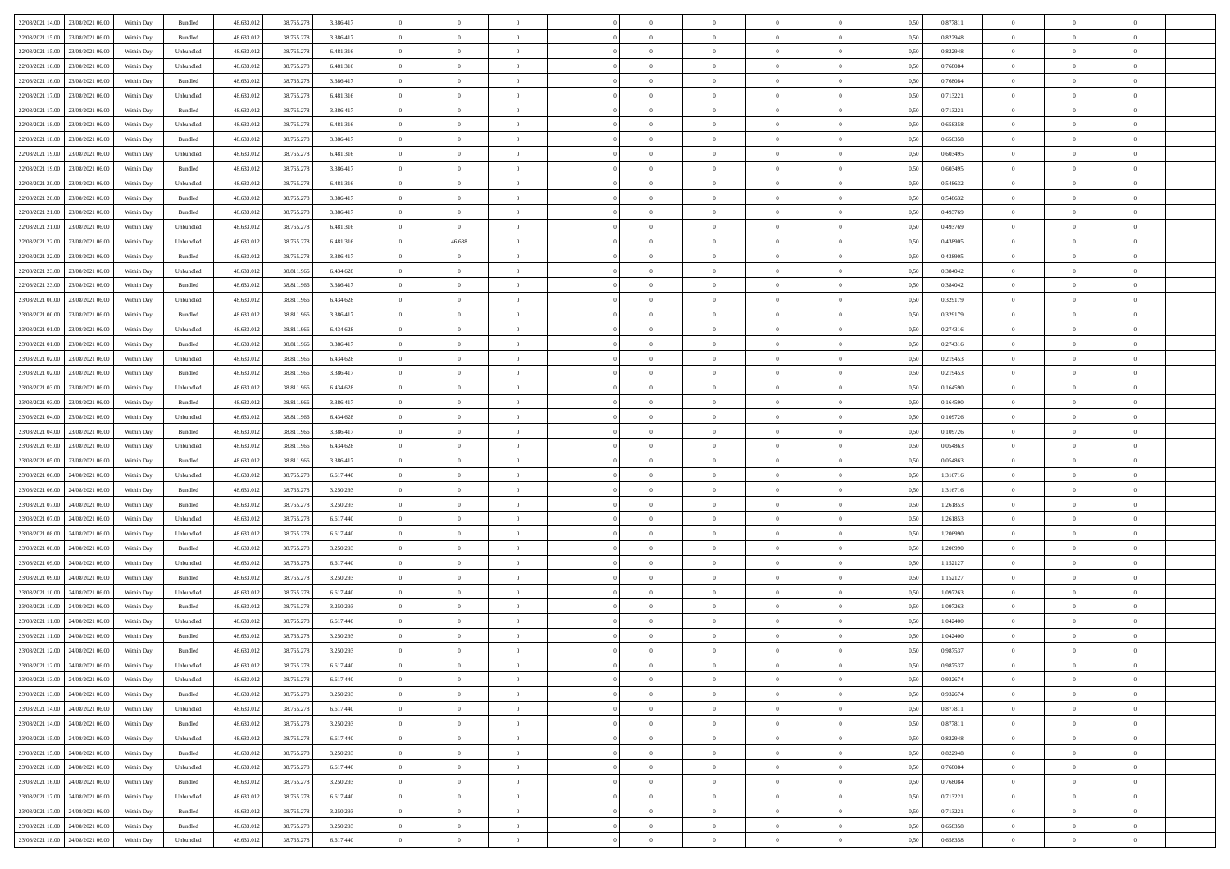| 22/08/2021 14:00 23/08/2021 06:00            | Within Day | Bundled           | 48.633.01  | 38.765.278 | 3.386.417 | $\overline{0}$ | $\theta$       |                | $\overline{0}$ | $\theta$       |                | $\theta$       | 0,50 | 0,877811 | $\theta$       | $\theta$       | $\overline{0}$ |  |
|----------------------------------------------|------------|-------------------|------------|------------|-----------|----------------|----------------|----------------|----------------|----------------|----------------|----------------|------|----------|----------------|----------------|----------------|--|
|                                              |            |                   |            |            |           |                |                |                |                |                |                |                |      |          |                |                |                |  |
| 22/08/2021 15:00<br>23/08/2021 06:00         | Within Day | Bundled           | 48.633.01  | 38.765.278 | 3.386.417 | $\bf{0}$       | $\bf{0}$       | $\bf{0}$       | $\bf{0}$       | $\overline{0}$ | $\overline{0}$ | $\bf{0}$       | 0,50 | 0,822948 | $\,$ 0 $\,$    | $\bf{0}$       | $\overline{0}$ |  |
| 22/08/2021 15:00<br>23/08/2021 06:00         | Within Day | Unbundled         | 48.633.012 | 38.765.278 | 6.481.316 | $\overline{0}$ | $\bf{0}$       | $\overline{0}$ | $\bf{0}$       | $\bf{0}$       | $\overline{0}$ | $\bf{0}$       | 0.50 | 0,822948 | $\bf{0}$       | $\overline{0}$ | $\overline{0}$ |  |
| 22/08/2021 16:00<br>23/08/2021 06:00         | Within Day | Unbundled         | 48.633.013 | 38.765.278 | 6.481.316 | $\overline{0}$ | $\overline{0}$ | $\overline{0}$ | $\overline{0}$ | $\theta$       | $\overline{0}$ | $\bf{0}$       | 0,50 | 0,768084 | $\theta$       | $\theta$       | $\overline{0}$ |  |
| 22/08/2021 16:00<br>23/08/2021 06:00         | Within Day | Bundled           | 48.633.01  | 38.765.278 | 3.386.417 | $\bf{0}$       | $\overline{0}$ | $\bf{0}$       | $\overline{0}$ | $\bf{0}$       | $\overline{0}$ | $\bf{0}$       | 0,50 | 0,768084 | $\,$ 0 $\,$    | $\bf{0}$       | $\overline{0}$ |  |
| 22/08/2021 17:00<br>23/08/2021 06:00         | Within Day | Unbundled         | 48.633.013 | 38.765.278 | 6.481.316 | $\overline{0}$ | $\bf{0}$       | $\overline{0}$ | $\bf{0}$       | $\overline{0}$ | $\theta$       | $\bf{0}$       | 0.50 | 0,713221 | $\bf{0}$       | $\theta$       | $\overline{0}$ |  |
| 22/08/2021 17:00<br>23/08/2021 06:00         |            |                   |            |            |           | $\overline{0}$ | $\overline{0}$ | $\overline{0}$ | $\overline{0}$ | $\overline{0}$ | $\overline{0}$ |                |      |          | $\,$ 0 $\,$    | $\theta$       | $\overline{0}$ |  |
|                                              | Within Day | Bundled           | 48.633.013 | 38.765.278 | 3.386.417 |                |                |                |                |                |                | $\bf{0}$       | 0,50 | 0,713221 |                |                |                |  |
| 22/08/2021 18:00<br>23/08/2021 06:00         | Within Day | Unbundled         | 48.633.01  | 38.765.278 | 6.481.316 | $\bf{0}$       | $\bf{0}$       | $\bf{0}$       | $\overline{0}$ | $\overline{0}$ | $\overline{0}$ | $\bf{0}$       | 0,50 | 0,658358 | $\,$ 0 $\,$    | $\bf{0}$       | $\overline{0}$ |  |
| 22/08/2021 18:00<br>23/08/2021 06:00         | Within Day | Bundled           | 48.633.013 | 38.765.278 | 3.386.417 | $\overline{0}$ | $\bf{0}$       | $\overline{0}$ | $\bf{0}$       | $\overline{0}$ | $\overline{0}$ | $\bf{0}$       | 0.50 | 0.658358 | $\bf{0}$       | $\overline{0}$ | $\overline{0}$ |  |
| 22/08/2021 19:00<br>23/08/2021 06:00         | Within Day | Unbundled         | 48.633.012 | 38.765.278 | 6.481.316 | $\overline{0}$ | $\bf{0}$       | $\overline{0}$ | $\overline{0}$ | $\overline{0}$ | $\overline{0}$ | $\bf{0}$       | 0,50 | 0,603495 | $\,$ 0 $\,$    | $\bf{0}$       | $\overline{0}$ |  |
| 22/08/2021 19:00<br>23/08/2021 06:00         | Within Day | Bundled           | 48.633.01  | 38.765.278 | 3.386.417 | $\bf{0}$       | $\bf{0}$       | $\bf{0}$       | $\bf{0}$       | $\overline{0}$ | $\overline{0}$ | $\bf{0}$       | 0,50 | 0,603495 | $\,$ 0 $\,$    | $\bf{0}$       | $\overline{0}$ |  |
| 22/08/2021 20:00<br>23/08/2021 06:00         | Within Day | Unbundled         | 48.633.013 | 38.765.278 | 6.481.316 | $\overline{0}$ | $\bf{0}$       | $\overline{0}$ | $\overline{0}$ | $\bf{0}$       | $\overline{0}$ | $\bf{0}$       | 0.50 | 0.548632 | $\bf{0}$       | $\overline{0}$ | $\,$ 0         |  |
| 22/08/2021 20:00<br>23/08/2021 06:00         | Within Day | Bundled           | 48.633.01  | 38.765.278 | 3.386.417 | $\overline{0}$ | $\overline{0}$ | $\overline{0}$ | $\theta$       | $\theta$       | $\overline{0}$ | $\bf{0}$       | 0,50 | 0,548632 | $\,$ 0 $\,$    | $\theta$       | $\overline{0}$ |  |
|                                              |            |                   |            |            |           |                | $\overline{0}$ |                |                |                | $\overline{0}$ |                |      |          | $\,$ 0 $\,$    | $\bf{0}$       | $\overline{0}$ |  |
| 22/08/2021 21:00<br>23/08/2021 06:00         | Within Day | Bundled           | 48.633.01  | 38.765.278 | 3.386.417 | $\bf{0}$       |                | $\bf{0}$       | $\bf{0}$       | $\bf{0}$       |                | $\bf{0}$       | 0,50 | 0,493769 |                |                |                |  |
| 22/08/2021 21:00<br>23/08/2021 06:00         | Within Day | Unbundled         | 48.633.013 | 38.765.278 | 6.481.316 | $\overline{0}$ | $\overline{0}$ | $\overline{0}$ | $\bf{0}$       | $\overline{0}$ | $\theta$       | $\bf{0}$       | 0.50 | 0.493769 | $\,$ 0 $\,$    | $\theta$       | $\overline{0}$ |  |
| 22/08/2021 22:00<br>23/08/2021 06:00         | Within Day | Unbundled         | 48.633.013 | 38.765.278 | 6.481.316 | $\overline{0}$ | 46.688         | $\overline{0}$ | $\overline{0}$ | $\overline{0}$ | $\overline{0}$ | $\bf{0}$       | 0,50 | 0,438905 | $\theta$       | $\theta$       | $\overline{0}$ |  |
| 22/08/2021 22:00<br>23/08/2021 06:00         | Within Day | Bundled           | 48.633.01  | 38.765.278 | 3.386.417 | $\bf{0}$       | $\theta$       | $\bf{0}$       | $\overline{0}$ | $\overline{0}$ | $\overline{0}$ | $\bf{0}$       | 0,50 | 0,438905 | $\,$ 0 $\,$    | $\bf{0}$       | $\overline{0}$ |  |
| 22/08/2021 23:00<br>23/08/2021 06:00         | Within Day | Unbundled         | 48.633.013 | 38.811.96  | 6.434.628 | $\overline{0}$ | $\bf{0}$       | $\overline{0}$ | $\bf{0}$       | $\overline{0}$ | $\overline{0}$ | $\bf{0}$       | 0.50 | 0.384042 | $\bf{0}$       | $\overline{0}$ | $\overline{0}$ |  |
| 22/08/2021 23:00<br>23/08/2021 06:00         | Within Day | Bundled           | 48.633.013 | 38.811.966 | 3.386.417 | $\overline{0}$ | $\bf{0}$       | $\overline{0}$ | $\overline{0}$ | $\overline{0}$ | $\overline{0}$ | $\bf{0}$       | 0,50 | 0,384042 | $\,$ 0 $\,$    | $\bf{0}$       | $\overline{0}$ |  |
| 23/08/2021 00:00<br>23/08/2021 06:00         | Within Day | Unbundled         | 48.633.01  | 38.811.96  | 6.434.628 | $\bf{0}$       | $\bf{0}$       | $\bf{0}$       | $\bf{0}$       | $\overline{0}$ | $\overline{0}$ | $\bf{0}$       | 0,50 | 0,329179 | $\,$ 0 $\,$    | $\bf{0}$       | $\overline{0}$ |  |
| 23/08/2021 00:00<br>23/08/2021 06:00         | Within Day | Bundled           | 48.633.012 | 38.811.966 | 3.386.417 | $\overline{0}$ | $\bf{0}$       | $\overline{0}$ | $\overline{0}$ | $\bf{0}$       | $\overline{0}$ | $\bf{0}$       | 0.50 | 0,329179 | $\bf{0}$       | $\overline{0}$ | $\,$ 0         |  |
|                                              |            |                   |            |            |           | $\overline{0}$ | $\overline{0}$ | $\overline{0}$ | $\overline{0}$ | $\theta$       | $\overline{0}$ |                |      |          | $\theta$       | $\theta$       | $\overline{0}$ |  |
| 23/08/2021 01:00<br>23/08/2021 06:00         | Within Day | Unbundled         | 48.633.01  | 38.811.966 | 6.434.628 |                |                |                |                |                |                | $\bf{0}$       | 0,50 | 0,274316 |                |                |                |  |
| 23/08/2021 01:00<br>23/08/2021 06:00         | Within Day | Bundled           | 48.633.013 | 38.811.966 | 3.386.417 | $\bf{0}$       | $\bf{0}$       | $\bf{0}$       | $\bf{0}$       | $\overline{0}$ | $\overline{0}$ | $\bf{0}$       | 0,50 | 0,274316 | $\,$ 0 $\,$    | $\bf{0}$       | $\overline{0}$ |  |
| 23/08/2021 02:00<br>23/08/2021 06:00         | Within Day | Unbundled         | 48.633.013 | 38.811.966 | 6.434.628 | $\overline{0}$ | $\bf{0}$       | $\overline{0}$ | $\bf{0}$       | $\overline{0}$ | $\theta$       | $\bf{0}$       | 0.50 | 0,219453 | $\bf{0}$       | $\theta$       | $\overline{0}$ |  |
| 23/08/2021 02:00<br>23/08/2021 06:00         | Within Day | Bundled           | 48.633.013 | 38.811.966 | 3.386.417 | $\overline{0}$ | $\overline{0}$ | $\overline{0}$ | $\overline{0}$ | $\overline{0}$ | $\overline{0}$ | $\bf{0}$       | 0,50 | 0,219453 | $\,$ 0 $\,$    | $\theta$       | $\overline{0}$ |  |
| 23/08/2021 03:00<br>23/08/2021 06:00         | Within Day | Unbundled         | 48.633.01  | 38.811.96  | 6.434.628 | $\bf{0}$       | $\overline{0}$ | $\bf{0}$       | $\overline{0}$ | $\bf{0}$       | $\overline{0}$ | $\bf{0}$       | 0,50 | 0,164590 | $\,$ 0 $\,$    | $\bf{0}$       | $\overline{0}$ |  |
| 23/08/2021 03:00<br>23/08/2021 06:00         | Within Day | Bundled           | 48.633.013 | 38.811.966 | 3.386.417 | $\overline{0}$ | $\bf{0}$       | $\overline{0}$ | $\bf{0}$       | $\overline{0}$ | $\overline{0}$ | $\bf{0}$       | 0.50 | 0.164590 | $\bf{0}$       | $\overline{0}$ | $\overline{0}$ |  |
| 23/08/2021 04:00<br>23/08/2021 06:00         | Within Day | Unbundled         | 48.633.012 | 38.811.966 | 6.434.628 | $\overline{0}$ | $\bf{0}$       | $\overline{0}$ | $\overline{0}$ | $\overline{0}$ | $\overline{0}$ | $\bf{0}$       | 0,50 | 0,109726 | $\theta$       | $\theta$       | $\overline{0}$ |  |
| 23/08/2021 04:00<br>23/08/2021 06:00         | Within Day | Bundled           | 48.633.01  | 38.811.966 | 3.386.417 | $\bf{0}$       | $\bf{0}$       | $\bf{0}$       | $\bf{0}$       | $\overline{0}$ | $\overline{0}$ | $\bf{0}$       | 0,50 | 0,109726 | $\,$ 0 $\,$    | $\bf{0}$       | $\overline{0}$ |  |
|                                              |            |                   |            |            |           |                |                |                |                |                |                |                |      |          |                |                |                |  |
| 23/08/2021 05:00<br>23/08/2021 06:00         | Within Day | Unbundled         | 48.633.013 | 38.811.966 | 6.434.628 | $\overline{0}$ | $\bf{0}$       | $\overline{0}$ | $\overline{0}$ | $\bf{0}$       | $\overline{0}$ | $\bf{0}$       | 0.50 | 0.054863 | $\bf{0}$       | $\overline{0}$ | $\,$ 0         |  |
| 23/08/2021 05:00<br>23/08/2021 06:00         | Within Day | Bundled           | 48.633.013 | 38.811.966 | 3.386.417 | $\overline{0}$ | $\overline{0}$ | $\overline{0}$ | $\overline{0}$ | $\overline{0}$ | $\overline{0}$ | $\bf{0}$       | 0.50 | 0,054863 | $\theta$       | $\theta$       | $\overline{0}$ |  |
| 23/08/2021 06:00<br>24/08/2021 06.00         | Within Day | Unbundled         | 48.633.01  | 38.765.278 | 6.617.440 | $\bf{0}$       | $\overline{0}$ | $\bf{0}$       | $\bf{0}$       | $\overline{0}$ | $\overline{0}$ | $\bf{0}$       | 0,50 | 1,316716 | $\,$ 0 $\,$    | $\bf{0}$       | $\overline{0}$ |  |
| 23/08/2021 06:00<br>24/08/2021 06:00         | Within Day | Bundled           | 48.633.013 | 38.765.278 | 3.250.293 | $\overline{0}$ | $\bf{0}$       | $\overline{0}$ | $\bf{0}$       | $\overline{0}$ | $\overline{0}$ | $\bf{0}$       | 0.50 | 1.316716 | $\bf{0}$       | $\bf{0}$       | $\overline{0}$ |  |
| 23/08/2021 07:00<br>24/08/2021 06:00         | Within Dav | Bundled           | 48.633.013 | 38.765.278 | 3.250.293 | $\overline{0}$ | $\overline{0}$ | $\overline{0}$ | $\overline{0}$ | $\overline{0}$ | $\overline{0}$ | $\bf{0}$       | 0.50 | 1,261853 | $\theta$       | $\theta$       | $\overline{0}$ |  |
| 23/08/2021 07:00<br>24/08/2021 06.00         | Within Day | Unbundled         | 48.633.01  | 38.765.278 | 6.617.440 | $\bf{0}$       | $\bf{0}$       | $\bf{0}$       | $\bf{0}$       | $\overline{0}$ | $\overline{0}$ | $\bf{0}$       | 0,50 | 1,261853 | $\,$ 0 $\,$    | $\bf{0}$       | $\overline{0}$ |  |
| 23/08/2021 08:00<br>24/08/2021 06:00         | Within Day | Unbundled         | 48.633.013 | 38,765,278 | 6.617.440 | $\overline{0}$ | $\bf{0}$       | $\overline{0}$ | $\bf{0}$       | $\overline{0}$ | $\overline{0}$ | $\bf{0}$       | 0.50 | 1.206990 | $\bf{0}$       | $\overline{0}$ | $\overline{0}$ |  |
| 23/08/2021 08:00<br>24/08/2021 06:00         | Within Dav | Bundled           | 48.633.013 | 38.765.278 | 3.250.293 | $\overline{0}$ | $\overline{0}$ | $\overline{0}$ | $\overline{0}$ | $\overline{0}$ | $\overline{0}$ | $\bf{0}$       | 0.50 | 1.206990 | $\theta$       | $\theta$       | $\overline{0}$ |  |
| 24/08/2021 06.00                             | Within Day | Unbundled         | 48.633.01  | 38.765.278 | 6.617.440 | $\bf{0}$       | $\bf{0}$       | $\bf{0}$       | $\bf{0}$       | $\overline{0}$ | $\overline{0}$ | $\bf{0}$       | 0,50 | 1,152127 | $\,$ 0 $\,$    | $\bf{0}$       | $\overline{0}$ |  |
| 23/08/2021 09:00                             |            |                   |            |            |           |                |                |                |                |                |                |                |      |          |                |                |                |  |
| 23/08/2021 09:00<br>24/08/2021 06:00         | Within Day | Bundled           | 48.633.013 | 38.765.278 | 3.250.293 | $\overline{0}$ | $\bf{0}$       | $\overline{0}$ | $\overline{0}$ | $\bf{0}$       | $\overline{0}$ | $\bf{0}$       | 0.50 | 1,152127 | $\,$ 0 $\,$    | $\overline{0}$ | $\,$ 0         |  |
| 23/08/2021 10:00<br>24/08/2021 06:00         | Within Dav | Unbundled         | 48.633.013 | 38.765.278 | 6.617.440 | $\overline{0}$ | $\overline{0}$ | $\overline{0}$ | $\overline{0}$ | $\overline{0}$ | $\overline{0}$ | $\bf{0}$       | 0.50 | 1,097263 | $\theta$       | $\theta$       | $\overline{0}$ |  |
| 23/08/2021 10:00<br>24/08/2021 06.00         | Within Day | Bundled           | 48.633.013 | 38.765.278 | 3.250.293 | $\bf{0}$       | $\bf{0}$       | $\bf{0}$       | $\bf{0}$       | $\overline{0}$ | $\overline{0}$ | $\bf{0}$       | 0,50 | 1,097263 | $\,$ 0 $\,$    | $\bf{0}$       | $\overline{0}$ |  |
| 23/08/2021 11:00<br>24/08/2021 06.00         | Within Day | Unbundled         | 48.633.013 | 38.765.278 | 6.617.440 | $\overline{0}$ | $\overline{0}$ | $\overline{0}$ | $\bf{0}$       | $\overline{0}$ | $\overline{0}$ | $\bf{0}$       | 0.50 | 1.042400 | $\bf{0}$       | $\theta$       | $\overline{0}$ |  |
| 23/08/2021 11:00<br>24/08/2021 06:00         | Within Dav | Bundled           | 48.633.013 | 38.765.278 | 3.250.293 | $\overline{0}$ | $\overline{0}$ | $\Omega$       | $\overline{0}$ | $\theta$       | $\overline{0}$ | $\overline{0}$ | 0.5( | 1,042400 | $\theta$       | $\theta$       | $\overline{0}$ |  |
| 23/08/2021 12:00<br>24/08/2021 06:00         | Within Day | Bundled           | 48.633.01  | 38.765.278 | 3.250.293 | $\bf{0}$       | $\bf{0}$       | $\bf{0}$       | $\bf{0}$       | $\bf{0}$       | $\overline{0}$ | $\bf{0}$       | 0,50 | 0,987537 | $\,$ 0 $\,$    | $\bf{0}$       | $\overline{0}$ |  |
| $23/08/2021\ 12.00 \qquad 24/08/2021\ 06.00$ | Within Day | ${\sf Unbundred}$ | 48.633.012 | 38.765.278 | 6.617.440 | $\bf{0}$       | $\theta$       |                | $\Omega$       |                |                |                | 0,50 | 0.987537 | $\bf{0}$       | $\bf{0}$       |                |  |
| 23/08/2021 13:00 24/08/2021 06:00            | Within Day | Unbundled         | 48.633.012 | 38.765.278 | 6.617.440 | $\overline{0}$ | $\overline{0}$ | $\Omega$       | $\theta$       | $\overline{0}$ | $\overline{0}$ | $\bf{0}$       | 0,50 | 0,932674 | $\theta$       | $\theta$       | $\overline{0}$ |  |
|                                              |            |                   |            |            |           |                |                |                |                |                |                |                |      |          |                |                |                |  |
| 23/08/2021 13:00<br>24/08/2021 06:00         | Within Day | Bundled           | 48.633.013 | 38.765.278 | 3.250.293 | $\overline{0}$ | $\bf{0}$       | $\overline{0}$ | $\overline{0}$ | $\bf{0}$       | $\overline{0}$ | $\bf{0}$       | 0,50 | 0,932674 | $\bf{0}$       | $\overline{0}$ | $\bf{0}$       |  |
| 23/08/2021 14:00 24/08/2021 06:00            | Within Day | Unbundled         | 48.633.012 | 38.765.278 | 6.617.440 | $\overline{0}$ | $\bf{0}$       | $\overline{0}$ | $\overline{0}$ | $\mathbf{0}$   | $\overline{0}$ | $\,$ 0 $\,$    | 0.50 | 0.877811 | $\overline{0}$ | $\bf{0}$       | $\,$ 0 $\,$    |  |
| 23/08/2021 14:00 24/08/2021 06:00            | Within Day | Bundled           | 48.633.012 | 38.765.278 | 3.250.293 | $\overline{0}$ | $\overline{0}$ | $\overline{0}$ | $\overline{0}$ | $\overline{0}$ | $\overline{0}$ | $\bf{0}$       | 0,50 | 0,877811 | $\overline{0}$ | $\theta$       | $\overline{0}$ |  |
| 23/08/2021 15:00<br>24/08/2021 06:00         | Within Day | Unbundled         | 48.633.012 | 38.765.278 | 6.617.440 | $\overline{0}$ | $\bf{0}$       | $\overline{0}$ | $\overline{0}$ | $\bf{0}$       | $\overline{0}$ | $\bf{0}$       | 0,50 | 0,822948 | $\bf{0}$       | $\overline{0}$ | $\overline{0}$ |  |
| 24/08/2021 06:00<br>23/08/2021 15:00         | Within Day | Bundled           | 48.633.012 | 38.765.278 | 3.250.293 | $\overline{0}$ | $\bf{0}$       | $\overline{0}$ | $\overline{0}$ | $\bf{0}$       | $\overline{0}$ | $\bf{0}$       | 0.50 | 0.822948 | $\,$ 0 $\,$    | $\overline{0}$ | $\,$ 0         |  |
| 23/08/2021 16:00<br>24/08/2021 06:00         | Within Dav | Unbundled         | 48.633.012 | 38.765.278 | 6.617.440 | $\overline{0}$ | $\overline{0}$ | $\overline{0}$ | $\overline{0}$ | $\overline{0}$ | $\overline{0}$ | $\bf{0}$       | 0.50 | 0,768084 | $\overline{0}$ | $\theta$       | $\overline{0}$ |  |
| 23/08/2021 16:00<br>24/08/2021 06:00         | Within Day | Bundled           | 48.633.013 | 38.765.278 | 3.250.293 | $\overline{0}$ | $\overline{0}$ | $\overline{0}$ | $\overline{0}$ | $\overline{0}$ | $\overline{0}$ | $\bf{0}$       | 0,50 | 0,768084 | $\bf{0}$       | $\overline{0}$ | $\overline{0}$ |  |
|                                              |            |                   |            |            |           |                |                |                |                |                |                |                |      |          |                |                |                |  |
| 23/08/2021 17:00 24/08/2021 06:00            | Within Day | Unbundled         | 48.633.012 | 38.765.278 | 6.617.440 | $\overline{0}$ | $\overline{0}$ | $\overline{0}$ | $\overline{0}$ | $\overline{0}$ | $\overline{0}$ | $\bf{0}$       | 0.50 | 0.713221 | $\mathbf{0}$   | $\bf{0}$       | $\,$ 0         |  |
| 23/08/2021 17:00 24/08/2021 06:00            | Within Dav | Bundled           | 48.633.012 | 38.765.278 | 3.250.293 | $\overline{0}$ | $\overline{0}$ | $\overline{0}$ | $\overline{0}$ | $\overline{0}$ | $\overline{0}$ | $\bf{0}$       | 0,50 | 0,713221 | $\overline{0}$ | $\theta$       | $\overline{0}$ |  |
| 23/08/2021 18:00<br>24/08/2021 06:00         | Within Day | Bundled           | 48.633.013 | 38.765.278 | 3.250.293 | $\overline{0}$ | $\bf{0}$       | $\overline{0}$ | $\bf{0}$       | $\overline{0}$ | $\overline{0}$ | $\bf{0}$       | 0,50 | 0,658358 | $\bf{0}$       | $\,$ 0 $\,$    | $\overline{0}$ |  |
| 23/08/2021 18:00 24/08/2021 06:00            | Within Day | Unbundled         | 48.633.012 | 38.765.278 | 6.617.440 | $\,$ 0 $\,$    | $\bf{0}$       | $\overline{0}$ | $\overline{0}$ | $\,$ 0 $\,$    | $\overline{0}$ | $\bf{0}$       | 0,50 | 0,658358 | $\overline{0}$ | $\,$ 0 $\,$    | $\,$ 0 $\,$    |  |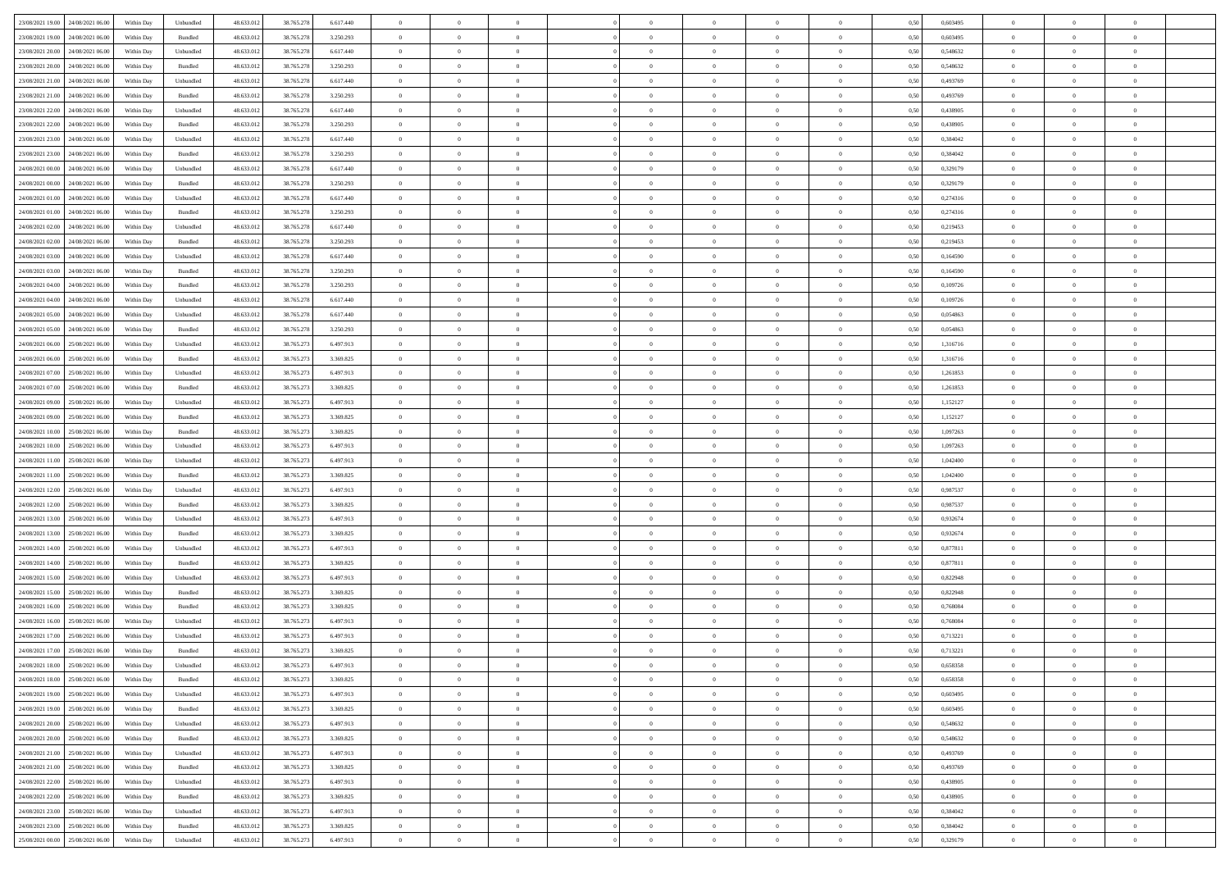| 23/08/2021 19:00 24/08/2021 06:00    | Within Day | Unbundled         | 48.633.01  | 38.765.278 | 6.617.440 | $\overline{0}$ | $\overline{0}$ |                | $\overline{0}$ | $\theta$       |                | $\theta$       | 0,50 | 0,603495 | $\theta$       | $\theta$       | $\overline{0}$ |  |
|--------------------------------------|------------|-------------------|------------|------------|-----------|----------------|----------------|----------------|----------------|----------------|----------------|----------------|------|----------|----------------|----------------|----------------|--|
| 23/08/2021 19:00<br>24/08/2021 06.00 | Within Day | Bundled           | 48.633.01  | 38.765.278 | 3.250.293 | $\bf{0}$       | $\bf{0}$       | $\bf{0}$       | $\bf{0}$       | $\overline{0}$ | $\overline{0}$ | $\bf{0}$       | 0,50 | 0,603495 | $\,$ 0 $\,$    | $\bf{0}$       | $\overline{0}$ |  |
| 23/08/2021 20:00<br>24/08/2021 06:00 | Within Day | Unbundled         | 48.633.012 | 38.765.278 | 6.617.440 | $\overline{0}$ | $\bf{0}$       | $\overline{0}$ | $\bf{0}$       | $\bf{0}$       | $\overline{0}$ | $\bf{0}$       | 0.50 | 0.548632 | $\overline{0}$ | $\overline{0}$ | $\bf{0}$       |  |
| 23/08/2021 20:00<br>24/08/2021 06:00 | Within Day | Bundled           | 48.633.01  | 38.765.278 | 3.250.293 | $\overline{0}$ | $\overline{0}$ | $\overline{0}$ | $\overline{0}$ | $\theta$       | $\overline{0}$ | $\bf{0}$       | 0,50 | 0,548632 | $\,$ 0 $\,$    | $\,$ 0 $\,$    | $\overline{0}$ |  |
|                                      |            |                   |            |            |           |                |                |                |                |                |                |                |      |          |                |                |                |  |
| 23/08/2021 21:00<br>24/08/2021 06.00 | Within Day | Unbundled         | 48.633.01  | 38.765.278 | 6.617.440 | $\bf{0}$       | $\overline{0}$ | $\bf{0}$       | $\overline{0}$ | $\bf{0}$       | $\overline{0}$ | $\bf{0}$       | 0,50 | 0,493769 | $\,$ 0 $\,$    | $\bf{0}$       | $\overline{0}$ |  |
| 23/08/2021 21:00<br>24/08/2021 06:00 | Within Day | Bundled           | 48.633.013 | 38.765.278 | 3.250.293 | $\overline{0}$ | $\bf{0}$       | $\overline{0}$ | $\bf{0}$       | $\overline{0}$ | $\overline{0}$ | $\bf{0}$       | 0.50 | 0.493769 | $\,$ 0 $\,$    | $\theta$       | $\overline{0}$ |  |
| 23/08/2021 22:00<br>24/08/2021 06:00 | Within Day | Unbundled         | 48.633.013 | 38.765.278 | 6.617.440 | $\overline{0}$ | $\overline{0}$ | $\overline{0}$ | $\overline{0}$ | $\overline{0}$ | $\overline{0}$ | $\bf{0}$       | 0,50 | 0,438905 | $\,$ 0 $\,$    | $\theta$       | $\overline{0}$ |  |
| 23/08/2021 22:00<br>24/08/2021 06.00 | Within Day | Bundled           | 48.633.01  | 38.765.278 | 3.250.293 | $\bf{0}$       | $\bf{0}$       | $\bf{0}$       | $\overline{0}$ | $\overline{0}$ | $\overline{0}$ | $\bf{0}$       | 0,50 | 0,438905 | $\,$ 0 $\,$    | $\bf{0}$       | $\overline{0}$ |  |
|                                      |            |                   |            |            |           |                |                |                |                |                |                |                |      |          |                |                |                |  |
| 23/08/2021 23:00<br>24/08/2021 06:00 | Within Day | Unbundled         | 48.633.013 | 38.765.278 | 6.617.440 | $\overline{0}$ | $\bf{0}$       | $\overline{0}$ | $\bf{0}$       | $\overline{0}$ | $\overline{0}$ | $\bf{0}$       | 0.50 | 0.384042 | $\bf{0}$       | $\overline{0}$ | $\overline{0}$ |  |
| 23/08/2021 23:00<br>24/08/2021 06:00 | Within Day | Bundled           | 48.633.013 | 38.765.278 | 3.250.293 | $\bf{0}$       | $\bf{0}$       | $\overline{0}$ | $\overline{0}$ | $\overline{0}$ | $\overline{0}$ | $\bf{0}$       | 0,50 | 0,384042 | $\,$ 0 $\,$    | $\,$ 0 $\,$    | $\overline{0}$ |  |
| 24/08/2021 00:00<br>24/08/2021 06.00 | Within Day | Unbundled         | 48.633.01  | 38.765.278 | 6.617.440 | $\bf{0}$       | $\bf{0}$       | $\bf{0}$       | $\bf{0}$       | $\overline{0}$ | $\overline{0}$ | $\bf{0}$       | 0,50 | 0,329179 | $\,$ 0 $\,$    | $\bf{0}$       | $\overline{0}$ |  |
| 24/08/2021 00:00<br>24/08/2021 06:00 | Within Day | Bundled           | 48.633.013 | 38.765.278 | 3.250.293 | $\overline{0}$ | $\bf{0}$       | $\overline{0}$ | $\overline{0}$ | $\overline{0}$ | $\overline{0}$ | $\bf{0}$       | 0.50 | 0,329179 | $\overline{0}$ | $\,$ 0 $\,$    | $\,$ 0         |  |
| 24/08/2021 01:00<br>24/08/2021 06:00 |            |                   | 48.633.01  |            |           | $\overline{0}$ | $\bf{0}$       | $\overline{0}$ | $\theta$       | $\theta$       | $\overline{0}$ |                |      | 0,274316 | $\,$ 0 $\,$    | $\,$ 0 $\,$    | $\overline{0}$ |  |
|                                      | Within Day | Unbundled         |            | 38.765.278 | 6.617.440 |                |                |                |                |                |                | $\bf{0}$       | 0,50 |          |                |                |                |  |
| 24/08/2021 01:00<br>24/08/2021 06.00 | Within Day | Bundled           | 48.633.01  | 38.765.278 | 3.250.293 | $\bf{0}$       | $\overline{0}$ | $\bf{0}$       | $\bf{0}$       | $\bf{0}$       | $\overline{0}$ | $\bf{0}$       | 0,50 | 0,274316 | $\,$ 0 $\,$    | $\bf{0}$       | $\overline{0}$ |  |
| 24/08/2021 02:00<br>24/08/2021 06:00 | Within Day | Unbundled         | 48.633.013 | 38.765.278 | 6.617.440 | $\overline{0}$ | $\bf{0}$       | $\overline{0}$ | $\bf{0}$       | $\overline{0}$ | $\overline{0}$ | $\bf{0}$       | 0.50 | 0,219453 | $\,$ 0 $\,$    | $\bf{0}$       | $\overline{0}$ |  |
| 24/08/2021 02:00<br>24/08/2021 06:00 | Within Day | Bundled           | 48.633.013 | 38.765.278 | 3.250.293 | $\overline{0}$ | $\bf{0}$       | $\overline{0}$ | $\overline{0}$ | $\overline{0}$ | $\overline{0}$ | $\bf{0}$       | 0,50 | 0,219453 | $\theta$       | $\theta$       | $\overline{0}$ |  |
| 24/08/2021 03:00<br>24/08/2021 06.00 | Within Day | Unbundled         | 48.633.01  | 38.765.278 | 6.617.440 | $\bf{0}$       | $\bf{0}$       | $\bf{0}$       | $\overline{0}$ | $\overline{0}$ | $\overline{0}$ | $\bf{0}$       | 0,50 | 0,164590 | $\,$ 0 $\,$    | $\bf{0}$       | $\overline{0}$ |  |
|                                      |            |                   |            |            |           |                |                |                |                |                |                |                |      |          |                |                |                |  |
| 24/08/2021 03:00<br>24/08/2021 06:00 | Within Day | Bundled           | 48.633.013 | 38.765.278 | 3.250.293 | $\overline{0}$ | $\bf{0}$       | $\overline{0}$ | $\bf{0}$       | $\overline{0}$ | $\overline{0}$ | $\bf{0}$       | 0.50 | 0.164590 | $\bf{0}$       | $\overline{0}$ | $\bf{0}$       |  |
| 24/08/2021 04:00<br>24/08/2021 06:00 | Within Day | Bundled           | 48.633.013 | 38.765.278 | 3.250.293 | $\bf{0}$       | $\bf{0}$       | $\overline{0}$ | $\overline{0}$ | $\overline{0}$ | $\overline{0}$ | $\bf{0}$       | 0,50 | 0,109726 | $\,$ 0 $\,$    | $\bf{0}$       | $\overline{0}$ |  |
| 24/08/2021 04:00<br>24/08/2021 06.00 | Within Day | Unbundled         | 48.633.01  | 38.765.278 | 6.617.440 | $\bf{0}$       | $\bf{0}$       | $\bf{0}$       | $\bf{0}$       | $\overline{0}$ | $\overline{0}$ | $\bf{0}$       | 0,50 | 0,109726 | $\,$ 0 $\,$    | $\bf{0}$       | $\overline{0}$ |  |
| 24/08/2021 05:00<br>24/08/2021 06:00 | Within Day | Unbundled         | 48.633.013 | 38.765.278 | 6.617.440 | $\overline{0}$ | $\bf{0}$       | $\overline{0}$ | $\overline{0}$ | $\bf{0}$       | $\overline{0}$ | $\bf{0}$       | 0.50 | 0.054863 | $\bf{0}$       | $\,$ 0 $\,$    | $\,$ 0         |  |
| 24/08/2021 05:00<br>24/08/2021 06:00 | Within Day | Bundled           | 48.633.01  | 38.765.278 | 3.250.293 | $\overline{0}$ | $\overline{0}$ | $\overline{0}$ | $\overline{0}$ | $\theta$       | $\overline{0}$ | $\bf{0}$       | 0,50 | 0,054863 | $\theta$       | $\theta$       | $\overline{0}$ |  |
|                                      |            |                   |            |            |           |                |                |                |                |                |                |                |      |          |                |                |                |  |
| 24/08/2021 06:00<br>25/08/2021 06.00 | Within Day | Unbundled         | 48.633.01  | 38.765.27  | 6.497.913 | $\bf{0}$       | $\bf{0}$       | $\bf{0}$       | $\bf{0}$       | $\overline{0}$ | $\overline{0}$ | $\bf{0}$       | 0,50 | 1,316716 | $\,$ 0 $\,$    | $\bf{0}$       | $\overline{0}$ |  |
| 24/08/2021 06:00<br>25/08/2021 06:00 | Within Day | Bundled           | 48.633.013 | 38.765.27  | 3.369.825 | $\overline{0}$ | $\bf{0}$       | $\overline{0}$ | $\bf{0}$       | $\overline{0}$ | $\overline{0}$ | $\bf{0}$       | 0.50 | 1.316716 | $\bf{0}$       | $\theta$       | $\overline{0}$ |  |
| 24/08/2021 07:00<br>25/08/2021 06:00 | Within Day | Unbundled         | 48.633.013 | 38.765.273 | 6.497.913 | $\overline{0}$ | $\overline{0}$ | $\overline{0}$ | $\overline{0}$ | $\overline{0}$ | $\overline{0}$ | $\bf{0}$       | 0,50 | 1,261853 | $\,$ 0 $\,$    | $\theta$       | $\overline{0}$ |  |
| 24/08/2021 07:00<br>25/08/2021 06:00 | Within Day | Bundled           | 48.633.01  | 38.765.27  | 3.369.825 | $\bf{0}$       | $\overline{0}$ | $\bf{0}$       | $\overline{0}$ | $\overline{0}$ | $\overline{0}$ | $\bf{0}$       | 0,50 | 1,261853 | $\,$ 0 $\,$    | $\bf{0}$       | $\overline{0}$ |  |
| 24/08/2021 09:00<br>25/08/2021 06:00 | Within Day | Unbundled         | 48.633.013 | 38.765.27  | 6.497.913 | $\overline{0}$ | $\bf{0}$       | $\overline{0}$ | $\bf{0}$       | $\overline{0}$ | $\overline{0}$ | $\bf{0}$       | 0.50 | 1.152127 | $\bf{0}$       | $\overline{0}$ | $\overline{0}$ |  |
|                                      |            |                   |            |            |           |                |                |                |                |                |                |                |      |          |                |                |                |  |
| 24/08/2021 09:00<br>25/08/2021 06:00 | Within Day | Bundled           | 48.633.01  | 38.765.273 | 3.369.825 | $\overline{0}$ | $\bf{0}$       | $\overline{0}$ | $\overline{0}$ | $\overline{0}$ | $\overline{0}$ | $\bf{0}$       | 0,50 | 1,152127 | $\,$ 0 $\,$    | $\bf{0}$       | $\overline{0}$ |  |
| 24/08/2021 10:00<br>25/08/2021 06.00 | Within Day | Bundled           | 48.633.01  | 38.765.27  | 3.369.825 | $\bf{0}$       | $\bf{0}$       | $\bf{0}$       | $\bf{0}$       | $\overline{0}$ | $\overline{0}$ | $\bf{0}$       | 0,50 | 1,097263 | $\,$ 0 $\,$    | $\bf{0}$       | $\overline{0}$ |  |
| 24/08/2021 10:00<br>25/08/2021 06:00 | Within Day | Unbundled         | 48.633.013 | 38.765.273 | 6.497.913 | $\overline{0}$ | $\bf{0}$       | $\overline{0}$ | $\overline{0}$ | $\bf{0}$       | $\overline{0}$ | $\bf{0}$       | 0.50 | 1.097263 | $\,$ 0 $\,$    | $\,$ 0 $\,$    | $\,$ 0         |  |
| 24/08/2021 11:00<br>25/08/2021 06:00 | Within Day | Unbundled         | 48.633.013 | 38.765.27  | 6.497.913 | $\overline{0}$ | $\overline{0}$ | $\overline{0}$ | $\overline{0}$ | $\overline{0}$ | $\overline{0}$ | $\bf{0}$       | 0.50 | 1,042400 | $\theta$       | $\theta$       | $\overline{0}$ |  |
| 24/08/2021 11:00<br>25/08/2021 06.00 | Within Day | Bundled           | 48.633.01  | 38.765.27  | 3.369.825 | $\bf{0}$       | $\bf{0}$       | $\bf{0}$       | $\bf{0}$       | $\overline{0}$ | $\overline{0}$ | $\bf{0}$       | 0,50 | 1,042400 | $\,$ 0 $\,$    | $\bf{0}$       | $\overline{0}$ |  |
|                                      |            |                   |            |            |           |                |                |                |                |                |                |                |      |          |                |                |                |  |
| 24/08/2021 12:00<br>25/08/2021 06:00 | Within Day | Unbundled         | 48.633.013 | 38.765.273 | 6.497.913 | $\overline{0}$ | $\bf{0}$       | $\overline{0}$ | $\bf{0}$       | $\overline{0}$ | $\overline{0}$ | $\bf{0}$       | 0.50 | 0.987537 | $\,$ 0 $\,$    | $\bf{0}$       | $\overline{0}$ |  |
| 24/08/2021 12:00<br>25/08/2021 06:00 | Within Day | Bundled           | 48.633.013 | 38.765.273 | 3.369.825 | $\overline{0}$ | $\overline{0}$ | $\overline{0}$ | $\overline{0}$ | $\overline{0}$ | $\overline{0}$ | $\bf{0}$       | 0.50 | 0,987537 | $\theta$       | $\theta$       | $\overline{0}$ |  |
| 24/08/2021 13:00<br>25/08/2021 06:00 | Within Day | Unbundled         | 48.633.013 | 38.765.27  | 6.497.913 | $\bf{0}$       | $\bf{0}$       | $\bf{0}$       | $\bf{0}$       | $\overline{0}$ | $\overline{0}$ | $\bf{0}$       | 0,50 | 0,932674 | $\,$ 0 $\,$    | $\bf{0}$       | $\overline{0}$ |  |
| 24/08/2021 13:00<br>25/08/2021 06:00 | Within Day | Bundled           | 48.633.013 | 38.765.27  | 3.369.825 | $\overline{0}$ | $\bf{0}$       | $\overline{0}$ | $\bf{0}$       | $\overline{0}$ | $\overline{0}$ | $\bf{0}$       | 0.50 | 0.932674 | $\bf{0}$       | $\overline{0}$ | $\bf{0}$       |  |
| 24/08/2021 14:00<br>25/08/2021 06:00 | Within Day | Unbundled         | 48.633.013 | 38.765.273 | 6.497.913 | $\overline{0}$ | $\overline{0}$ | $\overline{0}$ | $\overline{0}$ | $\overline{0}$ | $\overline{0}$ | $\bf{0}$       | 0.50 | 0,877811 | $\theta$       | $\theta$       | $\overline{0}$ |  |
|                                      |            |                   |            |            |           |                |                |                |                |                |                |                |      |          |                |                |                |  |
| 24/08/2021 14:00<br>25/08/2021 06.00 | Within Day | Bundled           | 48.633.01  | 38.765.27  | 3.369.825 | $\bf{0}$       | $\bf{0}$       | $\bf{0}$       | $\bf{0}$       | $\overline{0}$ | $\bf{0}$       | $\bf{0}$       | 0,50 | 0,877811 | $\,$ 0 $\,$    | $\bf{0}$       | $\overline{0}$ |  |
| 24/08/2021 15:00<br>25/08/2021 06:00 | Within Day | Unbundled         | 48.633.013 | 38.765.273 | 6.497.913 | $\overline{0}$ | $\bf{0}$       | $\overline{0}$ | $\overline{0}$ | $\bf{0}$       | $\overline{0}$ | $\bf{0}$       | 0.50 | 0,822948 | $\bf{0}$       | $\,$ 0 $\,$    | $\,$ 0         |  |
| 24/08/2021 15:00<br>25/08/2021 06:00 | Within Day | Bundled           | 48.633.013 | 38.765.273 | 3.369.825 | $\overline{0}$ | $\overline{0}$ | $\overline{0}$ | $\overline{0}$ | $\overline{0}$ | $\overline{0}$ | $\bf{0}$       | 0.50 | 0,822948 | $\theta$       | $\theta$       | $\overline{0}$ |  |
| 24/08/2021 16:00<br>25/08/2021 06:00 | Within Day | Bundled           | 48.633.013 | 38.765.27  | 3.369.825 | $\bf{0}$       | $\bf{0}$       | $\bf{0}$       | $\bf{0}$       | $\overline{0}$ | $\overline{0}$ | $\bf{0}$       | 0,50 | 0,768084 | $\,$ 0 $\,$    | $\bf{0}$       | $\overline{0}$ |  |
| 24/08/2021 16:00<br>25/08/2021 06:00 | Within Day | Unbundled         | 48.633.013 | 38.765.27  | 6.497.913 | $\overline{0}$ | $\bf{0}$       | $\overline{0}$ | $\bf{0}$       | $\overline{0}$ | $\overline{0}$ | $\bf{0}$       | 0.50 | 0.768084 | $\bf{0}$       | $\bf{0}$       | $\overline{0}$ |  |
| 24/08/2021 17:00<br>25/08/2021 06:00 | Within Dav | Unbundled         | 48.633.013 | 38.765.273 | 6.497.913 | $\overline{0}$ | $\overline{0}$ | $\overline{0}$ | $\theta$       | $\theta$       | $\overline{0}$ | $\overline{0}$ | 0.5( | 0,713221 | $\theta$       | $\theta$       | $\overline{0}$ |  |
|                                      |            |                   |            |            |           |                |                |                |                |                |                |                |      |          |                |                |                |  |
| 24/08/2021 17:00<br>25/08/2021 06:00 | Within Day | Bundled           | 48.633.01  | 38.765.27  | 3.369.825 | $\bf{0}$       | $\bf{0}$       | $\bf{0}$       | $\bf{0}$       | $\bf{0}$       | $\overline{0}$ | $\bf{0}$       | 0,50 | 0,713221 | $\overline{0}$ | $\overline{0}$ | $\overline{0}$ |  |
| 24/08/2021 18:00 25/08/2021 06:00    | Within Day | ${\sf Unbundred}$ | 48.633.012 | 38.765.273 | 6.497.913 | $\bf{0}$       | $\theta$       |                | $\overline{0}$ | $\Omega$       |                |                | 0,50 | 0,658358 | $\bf{0}$       | $\bf{0}$       |                |  |
| 24/08/2021 18:00 25/08/2021 06:00    | Within Day | Bundled           | 48.633.012 | 38.765.273 | 3.369.825 | $\overline{0}$ | $\overline{0}$ | $\Omega$       | $\theta$       | $\overline{0}$ | $\overline{0}$ | $\bf{0}$       | 0,50 | 0,658358 | $\theta$       | $\theta$       | $\overline{0}$ |  |
| 24/08/2021 19:00<br>25/08/2021 06:00 | Within Day | Unbundled         | 48.633.013 | 38.765.273 | 6.497.913 | $\overline{0}$ | $\bf{0}$       | $\overline{0}$ | $\overline{0}$ | $\bf{0}$       | $\overline{0}$ | $\bf{0}$       | 0,50 | 0,603495 | $\bf{0}$       | $\overline{0}$ | $\bf{0}$       |  |
| 24/08/2021 19:00 25/08/2021 06:00    |            |                   | 48.633.012 |            |           | $\overline{0}$ | $\overline{0}$ |                |                | $\mathbf{0}$   | $\overline{0}$ | $\,$ 0 $\,$    | 0.50 | 0.603495 | $\overline{0}$ | $\bf{0}$       | $\bf{0}$       |  |
|                                      | Within Day | Bundled           |            | 38.765.273 | 3.369.825 |                |                | $\overline{0}$ | $\overline{0}$ |                |                |                |      |          |                |                |                |  |
| 24/08/2021 20:00 25/08/2021 06:00    | Within Day | Unbundled         | 48.633.012 | 38.765.273 | 6.497.913 | $\overline{0}$ | $\overline{0}$ | $\overline{0}$ | $\overline{0}$ | $\overline{0}$ | $\overline{0}$ | $\bf{0}$       | 0,50 | 0,548632 | $\overline{0}$ | $\theta$       | $\overline{0}$ |  |
| 24/08/2021 20:00<br>25/08/2021 06:00 | Within Day | Bundled           | 48.633.012 | 38.765.273 | 3.369.825 | $\overline{0}$ | $\bf{0}$       | $\overline{0}$ | $\overline{0}$ | $\bf{0}$       | $\overline{0}$ | $\bf{0}$       | 0,50 | 0,548632 | $\bf{0}$       | $\overline{0}$ | $\overline{0}$ |  |
| 24/08/2021 21:00 25/08/2021 06:00    | Within Day | Unbundled         | 48.633.012 | 38.765.273 | 6.497.913 | $\overline{0}$ | $\bf{0}$       | $\overline{0}$ | $\overline{0}$ | $\bf{0}$       | $\overline{0}$ | $\bf{0}$       | 0.50 | 0.493769 | $\,$ 0 $\,$    | $\overline{0}$ | $\,$ 0         |  |
| 24/08/2021 21:00 25/08/2021 06:00    | Within Dav | Bundled           | 48.633.012 | 38.765.273 | 3.369.825 | $\overline{0}$ | $\overline{0}$ | $\overline{0}$ | $\overline{0}$ | $\overline{0}$ | $\overline{0}$ | $\bf{0}$       | 0.50 | 0,493769 | $\overline{0}$ | $\theta$       | $\overline{0}$ |  |
| 24/08/2021 22:00                     |            |                   |            |            |           |                | $\overline{0}$ |                |                | $\overline{0}$ |                |                |      |          | $\bf{0}$       | $\overline{0}$ | $\,$ 0         |  |
| 25/08/2021 06:00                     | Within Day | Unbundled         | 48.633.013 | 38.765.273 | 6.497.913 | $\overline{0}$ |                | $\overline{0}$ | $\overline{0}$ |                | $\overline{0}$ | $\bf{0}$       | 0,50 | 0,438905 |                |                |                |  |
| 24/08/2021 22:00 25/08/2021 06:00    | Within Day | Bundled           | 48.633.012 | 38.765.273 | 3.369.825 | $\overline{0}$ | $\overline{0}$ | $\overline{0}$ | $\overline{0}$ | $\overline{0}$ | $\overline{0}$ | $\bf{0}$       | 0.50 | 0.438905 | $\mathbf{0}$   | $\bf{0}$       | $\,$ 0         |  |
| 24/08/2021 23:00 25/08/2021 06:00    | Within Dav | Unbundled         | 48.633.012 | 38.765.273 | 6.497.913 | $\overline{0}$ | $\overline{0}$ | $\overline{0}$ | $\overline{0}$ | $\overline{0}$ | $\overline{0}$ | $\bf{0}$       | 0,50 | 0,384042 | $\overline{0}$ | $\theta$       | $\overline{0}$ |  |
| 24/08/2021 23:00<br>25/08/2021 06:00 | Within Day | Bundled           | 48.633.013 | 38.765.273 | 3.369.825 | $\overline{0}$ | $\bf{0}$       | $\overline{0}$ | $\overline{0}$ | $\overline{0}$ | $\overline{0}$ | $\bf{0}$       | 0,50 | 0,384042 | $\bf{0}$       | $\,$ 0 $\,$    | $\bf{0}$       |  |
| 25/08/2021 00:00 25/08/2021 06:00    | Within Day | Unbundled         | 48.633.012 | 38.765.273 | 6.497.913 | $\,$ 0 $\,$    | $\bf{0}$       | $\overline{0}$ | $\overline{0}$ | $\,$ 0 $\,$    | $\overline{0}$ | $\,$ 0 $\,$    | 0,50 | 0,329179 | $\overline{0}$ | $\,$ 0 $\,$    | $\,$ 0 $\,$    |  |
|                                      |            |                   |            |            |           |                |                |                |                |                |                |                |      |          |                |                |                |  |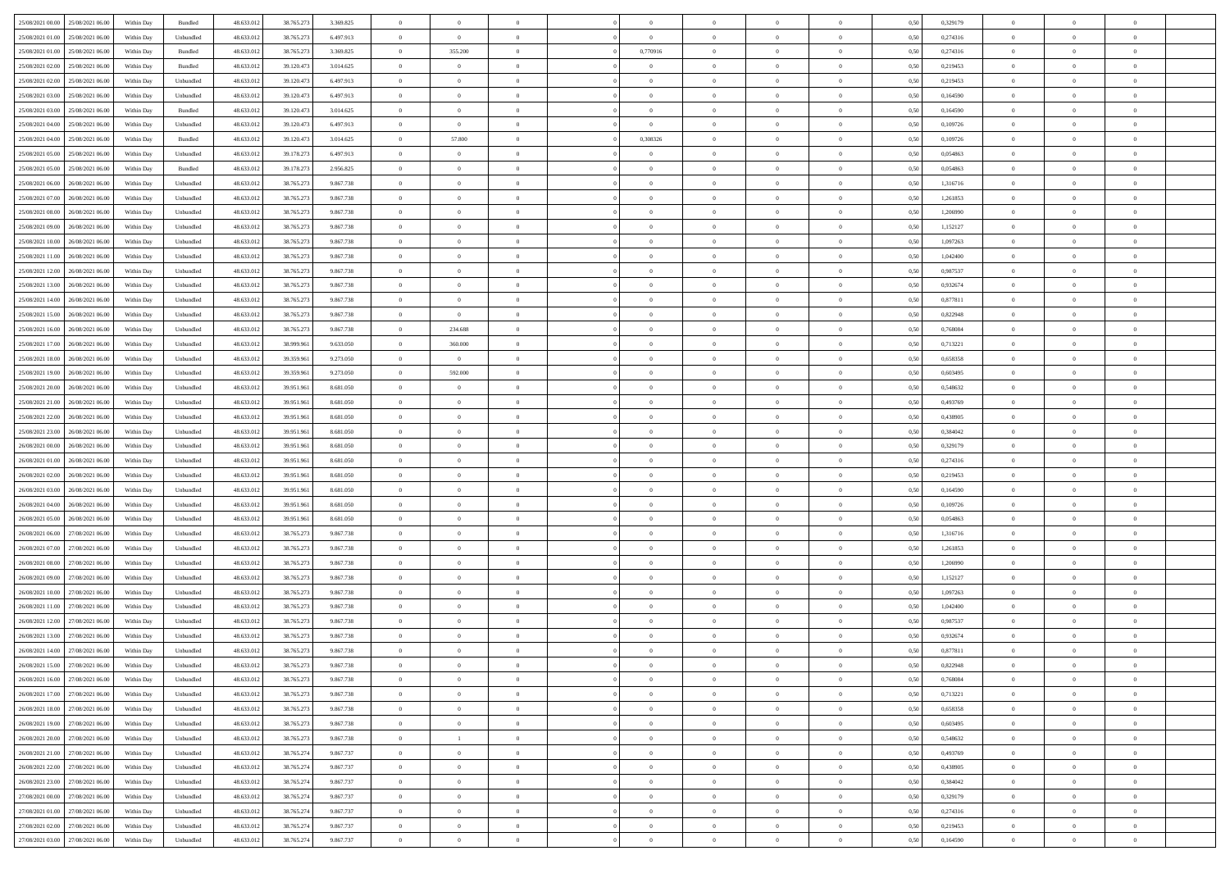| 25/08/2021 00:00 25/08/2021 06:00                        | Within Day | Bundled   | 48.633.013 | 38.765.273 | 3.369.825 | $\overline{0}$ | $\overline{0}$ | $\Omega$       | $\Omega$       | $\theta$       | $\Omega$       | $\theta$       | 0,50 | 0,329179 | $\theta$       | $\theta$       | $\theta$       |  |
|----------------------------------------------------------|------------|-----------|------------|------------|-----------|----------------|----------------|----------------|----------------|----------------|----------------|----------------|------|----------|----------------|----------------|----------------|--|
| 25/08/2021 01:00<br>25/08/2021 06:00                     | Within Day | Unbundled | 48.633.01  | 38.765.273 | 6.497.913 | $\overline{0}$ | $\overline{0}$ | $\overline{0}$ | $\theta$       | $\theta$       | $\overline{0}$ | $\bf{0}$       | 0,50 | 0,274316 | $\theta$       | $\theta$       | $\overline{0}$ |  |
| 25/08/2021 01:00<br>25/08/2021 06:00                     | Within Day | Bundled   | 48.633.012 | 38.765.273 | 3.369.825 | $\overline{0}$ | 355.200        | $\overline{0}$ | 0,770916       | $\overline{0}$ | $\bf{0}$       | $\bf{0}$       | 0,50 | 0,274316 | $\bf{0}$       | $\overline{0}$ | $\overline{0}$ |  |
| 25/08/2021 02:00<br>25/08/2021 06:00                     | Within Day | Bundled   | 48.633.012 | 39.120.473 | 3.014.625 | $\overline{0}$ | $\overline{0}$ | $\overline{0}$ | $\overline{0}$ | $\overline{0}$ | $\overline{0}$ | $\overline{0}$ | 0.50 | 0.219453 | $\theta$       | $\theta$       | $\overline{0}$ |  |
| 25/08/2021 02:00<br>25/08/2021 06:00                     | Within Day | Unbundled | 48.633.01  | 39.120.473 | 6.497.913 | $\overline{0}$ | $\overline{0}$ | $\overline{0}$ | $\overline{0}$ | $\theta$       | $\overline{0}$ | $\bf{0}$       | 0,50 | 0,219453 | $\theta$       | $\theta$       | $\overline{0}$ |  |
|                                                          |            |           |            |            |           |                | $\bf{0}$       |                |                |                |                |                |      |          | $\bf{0}$       | $\overline{0}$ | $\bf{0}$       |  |
| 25/08/2021 03:00<br>25/08/2021 06:00<br>25/08/2021 03:00 | Within Day | Unbundled | 48.633.012 | 39.120.473 | 6.497.913 | $\overline{0}$ | $\overline{0}$ | $\overline{0}$ | $\overline{0}$ | $\overline{0}$ | $\overline{0}$ | $\bf{0}$       | 0,50 | 0,164590 | $\theta$       | $\theta$       | $\overline{0}$ |  |
| 25/08/2021 06:00                                         | Within Day | Bundled   | 48.633.013 | 39.120.473 | 3.014.625 | $\overline{0}$ |                | $\overline{0}$ | $\overline{0}$ | $\overline{0}$ | $\overline{0}$ | $\overline{0}$ | 0.5( | 0,164590 |                |                |                |  |
| 25/08/2021 04:00<br>25/08/2021 06:00                     | Within Day | Unbundled | 48.633.01  | 39.120.473 | 6.497.913 | $\overline{0}$ | $\overline{0}$ | $\overline{0}$ | $\overline{0}$ | $\overline{0}$ | $\overline{0}$ | $\bf{0}$       | 0,50 | 0,109726 | $\theta$       | $\theta$       | $\overline{0}$ |  |
| 25/08/2021 04:00<br>25/08/2021 06:00                     | Within Day | Bundled   | 48.633.012 | 39.120.473 | 3.014.625 | $\overline{0}$ | 57.800         | $\overline{0}$ | 0,308326       | $\overline{0}$ | $\bf{0}$       | $\bf{0}$       | 0,50 | 0,109726 | $\bf{0}$       | $\overline{0}$ | $\overline{0}$ |  |
| 25/08/2021 05:00<br>25/08/2021 06:00                     | Within Day | Unbundled | 48.633.013 | 39.178.273 | 6.497.913 | $\overline{0}$ | $\overline{0}$ | $\overline{0}$ | $\overline{0}$ | $\overline{0}$ | $\overline{0}$ | $\bf{0}$       | 0.5( | 0,054863 | $\theta$       | $\theta$       | $\overline{0}$ |  |
| 25/08/2021 05:00<br>25/08/2021 06:00                     | Within Day | Bundled   | 48.633.01  | 39.178.273 | 2.956.825 | $\overline{0}$ | $\overline{0}$ | $\overline{0}$ | $\overline{0}$ | $\theta$       | $\overline{0}$ | $\bf{0}$       | 0,50 | 0,054863 | $\theta$       | $\theta$       | $\overline{0}$ |  |
| 25/08/2021 06:00<br>26/08/2021 06:00                     | Within Day | Unbundled | 48.633.012 | 38.765.273 | 9.867.738 | $\overline{0}$ | $\bf{0}$       | $\overline{0}$ | $\overline{0}$ | $\overline{0}$ | $\overline{0}$ | $\bf{0}$       | 0,50 | 1,316716 | $\bf{0}$       | $\overline{0}$ | $\overline{0}$ |  |
| 25/08/2021 07:00<br>26/08/2021 06:00                     | Within Day | Unbundled | 48.633.012 | 38.765.27  | 9.867.738 | $\overline{0}$ | $\overline{0}$ | $\overline{0}$ | $\overline{0}$ | $\overline{0}$ | $\overline{0}$ | $\overline{0}$ | 0.5( | 1.261853 | $\theta$       | $\theta$       | $\overline{0}$ |  |
| 25/08/2021 08:00<br>26/08/2021 06:00                     | Within Day | Unbundled | 48.633.01  | 38.765.273 | 9.867.738 | $\overline{0}$ | $\theta$       | $\overline{0}$ | $\overline{0}$ | $\overline{0}$ | $\overline{0}$ | $\bf{0}$       | 0,50 | 1,206990 | $\theta$       | $\theta$       | $\overline{0}$ |  |
| 25/08/2021 09:00<br>26/08/2021 06:00                     | Within Day | Unbundled | 48.633.012 | 38.765.273 | 9.867.738 | $\overline{0}$ | $\bf{0}$       | $\overline{0}$ | $\overline{0}$ | $\overline{0}$ | $\overline{0}$ | $\bf{0}$       | 0,50 | 1,152127 | $\bf{0}$       | $\overline{0}$ | $\bf{0}$       |  |
| 25/08/2021 10:00<br>26/08/2021 06:00                     | Within Day | Unbundled | 48.633.012 | 38.765.273 | 9.867.738 | $\overline{0}$ | $\overline{0}$ | $\overline{0}$ | $\overline{0}$ | $\overline{0}$ | $\overline{0}$ | $\overline{0}$ | 0.5( | 1,097263 | $\theta$       | $\overline{0}$ | $\overline{0}$ |  |
| 25/08/2021 11:00<br>26/08/2021 06:00                     | Within Day | Unbundled | 48.633.01  | 38.765.273 | 9.867.738 | $\overline{0}$ | $\overline{0}$ | $\overline{0}$ | $\overline{0}$ | $\theta$       | $\overline{0}$ | $\bf{0}$       | 0,50 | 1,042400 | $\theta$       | $\theta$       | $\overline{0}$ |  |
|                                                          |            |           |            |            |           |                |                |                |                |                |                |                |      |          |                |                |                |  |
| 25/08/2021 12:00<br>26/08/2021 06:00                     | Within Day | Unbundled | 48.633.012 | 38.765.273 | 9.867.738 | $\overline{0}$ | $\bf{0}$       | $\overline{0}$ | $\overline{0}$ | $\overline{0}$ | $\bf{0}$       | $\bf{0}$       | 0,50 | 0,987537 | $\bf{0}$       | $\overline{0}$ | $\overline{0}$ |  |
| 25/08/2021 13:00<br>26/08/2021 06:00                     | Within Day | Unbundled | 48.633.013 | 38.765.27  | 9.867.738 | $\overline{0}$ | $\overline{0}$ | $\overline{0}$ | $\overline{0}$ | $\overline{0}$ | $\overline{0}$ | $\overline{0}$ | 0.5( | 0,932674 | $\theta$       | $\theta$       | $\overline{0}$ |  |
| 25/08/2021 14:00<br>26/08/2021 06:00                     | Within Day | Unbundled | 48.633.01  | 38.765.273 | 9.867.738 | $\overline{0}$ | $\overline{0}$ | $\overline{0}$ | $\overline{0}$ | $\theta$       | $\overline{0}$ | $\bf{0}$       | 0,50 | 0,877811 | $\theta$       | $\theta$       | $\overline{0}$ |  |
| 25/08/2021 15:00<br>26/08/2021 06:00                     | Within Day | Unbundled | 48.633.012 | 38.765.273 | 9.867.738 | $\overline{0}$ | $\overline{0}$ | $\overline{0}$ | $\overline{0}$ | $\overline{0}$ | $\overline{0}$ | $\bf{0}$       | 0,50 | 0,822948 | $\bf{0}$       | $\overline{0}$ | $\overline{0}$ |  |
| 25/08/2021 16:00<br>26/08/2021 06:00                     | Within Day | Unbundled | 48.633.012 | 38.765.27  | 9.867.738 | $\overline{0}$ | 234.688        | $\overline{0}$ | $\overline{0}$ | $\overline{0}$ | $\overline{0}$ | $\overline{0}$ | 0.50 | 0.768084 | $\theta$       | $\theta$       | $\overline{0}$ |  |
| 25/08/2021 17:00<br>26/08/2021 06:00                     | Within Day | Unbundled | 48.633.01  | 38.999.961 | 9.633.050 | $\overline{0}$ | 360,000        | $\overline{0}$ | $\overline{0}$ | $\theta$       | $\overline{0}$ | $\bf{0}$       | 0,50 | 0,713221 | $\theta$       | $\theta$       | $\overline{0}$ |  |
| 25/08/2021 18:00<br>26/08/2021 06:00                     | Within Day | Unbundled | 48.633.012 | 39.359.961 | 9.273.050 | $\overline{0}$ | $\overline{0}$ | $\overline{0}$ | $\overline{0}$ | $\overline{0}$ | $\overline{0}$ | $\bf{0}$       | 0,50 | 0,658358 | $\overline{0}$ | $\overline{0}$ | $\bf{0}$       |  |
| 25/08/2021 19:00<br>26/08/2021 06:00                     | Within Day | Unbundled | 48.633.013 | 39,359.96  | 9.273.050 | $\overline{0}$ | 592.000        | $\overline{0}$ | $\overline{0}$ | $\overline{0}$ | $\overline{0}$ | $\overline{0}$ | 0.5( | 0,603495 | $\theta$       | $\theta$       | $\overline{0}$ |  |
| 25/08/2021 20:00<br>26/08/2021 06:00                     | Within Day | Unbundled | 48.633.01  | 39.951.961 | 8.681.050 | $\overline{0}$ | $\overline{0}$ | $\overline{0}$ | $\overline{0}$ | $\theta$       | $\overline{0}$ | $\bf{0}$       | 0,50 | 0,548632 | $\theta$       | $\theta$       | $\overline{0}$ |  |
| 25/08/2021 21:00<br>26/08/2021 06:00                     | Within Day | Unbundled | 48.633.012 | 39.951.961 | 8.681.050 | $\overline{0}$ | $\bf{0}$       | $\overline{0}$ | $\overline{0}$ | $\overline{0}$ | $\overline{0}$ | $\bf{0}$       | 0,50 | 0,493769 | $\bf{0}$       | $\bf{0}$       | $\overline{0}$ |  |
| 25/08/2021 22:00<br>26/08/2021 06:00                     | Within Day | Unbundled | 48.633.012 | 39.951.96  | 8.681.050 | $\overline{0}$ | $\overline{0}$ | $\overline{0}$ | $\overline{0}$ | $\overline{0}$ | $\overline{0}$ | $\overline{0}$ | 0.5( | 0,438905 | $\theta$       | $\theta$       | $\overline{0}$ |  |
| 25/08/2021 23:00<br>26/08/2021 06:00                     | Within Day | Unbundled | 48.633.01  | 39.951.961 | 8.681.050 | $\overline{0}$ | $\overline{0}$ | $\overline{0}$ | $\overline{0}$ | $\theta$       | $\overline{0}$ | $\bf{0}$       | 0,50 | 0,384042 | $\theta$       | $\theta$       | $\overline{0}$ |  |
| 26/08/2021 00:00<br>26/08/2021 06:00                     | Within Day | Unbundled | 48.633.012 | 39.951.961 | 8.681.050 | $\overline{0}$ | $\bf{0}$       | $\overline{0}$ | $\overline{0}$ | $\overline{0}$ | $\overline{0}$ | $\bf{0}$       | 0,50 | 0,329179 | $\bf{0}$       | $\overline{0}$ | $\overline{0}$ |  |
|                                                          |            |           |            |            |           |                |                |                |                |                |                |                |      |          |                |                |                |  |
| 26/08/2021 01:00<br>26/08/2021 06:00                     | Within Day | Unbundled | 48.633.013 | 39.951.96  | 8.681.050 | $\overline{0}$ | $\overline{0}$ | $\Omega$       | $\Omega$       | $\theta$       | $\theta$       | $\overline{0}$ | 0.50 | 0,274316 | $\,$ 0 $\,$    | $\overline{0}$ | $\theta$       |  |
| 26/08/2021 02:00<br>26/08/2021 06:00                     | Within Day | Unbundled | 48.633.01  | 39.951.961 | 8.681.050 | $\overline{0}$ | $\overline{0}$ | $\overline{0}$ | $\overline{0}$ | $\theta$       | $\overline{0}$ | $\bf{0}$       | 0,50 | 0,219453 | $\theta$       | $\theta$       | $\overline{0}$ |  |
| 26/08/2021 03:00<br>26/08/2021 06:00                     | Within Day | Unbundled | 48.633.012 | 39.951.961 | 8.681.050 | $\overline{0}$ | $\bf{0}$       | $\overline{0}$ | $\overline{0}$ | $\overline{0}$ | $\overline{0}$ | $\bf{0}$       | 0,50 | 0,164590 | $\bf{0}$       | $\overline{0}$ | $\bf{0}$       |  |
| 26/08/2021 04:00<br>26/08/2021 06:00                     | Within Day | Unbundled | 48.633.01  | 39.951.96  | 8.681.050 | $\overline{0}$ | $\overline{0}$ | $\Omega$       | $\Omega$       | $\overline{0}$ | $\Omega$       | $\overline{0}$ | 0.50 | 0.109726 | $\overline{0}$ | $\theta$       | $\theta$       |  |
| 26/08/2021 05:00<br>26/08/2021 06:00                     | Within Day | Unbundled | 48.633.01  | 39.951.961 | 8.681.050 | $\overline{0}$ | $\overline{0}$ | $\overline{0}$ | $\overline{0}$ | $\theta$       | $\overline{0}$ | $\bf{0}$       | 0,50 | 0,054863 | $\theta$       | $\theta$       | $\overline{0}$ |  |
| 26/08/2021 06:00<br>27/08/2021 06:00                     | Within Day | Unbundled | 48.633.012 | 38.765.273 | 9.867.738 | $\overline{0}$ | $\bf{0}$       | $\overline{0}$ | $\overline{0}$ | $\overline{0}$ | $\overline{0}$ | $\bf{0}$       | 0,50 | 1,316716 | $\bf{0}$       | $\overline{0}$ | $\overline{0}$ |  |
| 26/08/2021 07:00<br>27/08/2021 06:00                     | Within Day | Unbundled | 48.633.013 | 38.765.27  | 9.867.738 | $\overline{0}$ | $\overline{0}$ | $\Omega$       | $\Omega$       | $\Omega$       | $\theta$       | $\overline{0}$ | 0.50 | 1,261853 | $\,$ 0 $\,$    | $\theta$       | $\theta$       |  |
| 26/08/2021 08:00<br>27/08/2021 06:00                     | Within Day | Unbundled | 48.633.01  | 38.765.273 | 9.867.738 | $\bf{0}$       | $\overline{0}$ | $\overline{0}$ | $\overline{0}$ | $\theta$       | $\overline{0}$ | $\bf{0}$       | 0,50 | 1,206990 | $\theta$       | $\theta$       | $\overline{0}$ |  |
| 26/08/2021 09:00<br>27/08/2021 06:00                     | Within Day | Unbundled | 48.633.012 | 38.765.273 | 9.867.738 | $\overline{0}$ | $\bf{0}$       | $\overline{0}$ | $\overline{0}$ | $\overline{0}$ | $\overline{0}$ | $\bf{0}$       | 0,50 | 1,152127 | $\bf{0}$       | $\overline{0}$ | $\overline{0}$ |  |
| 26/08/2021 10:00<br>27/08/2021 06:00                     | Within Day | Unbundled | 48.633.013 | 38.765.273 | 9.867.738 | $\overline{0}$ | $\overline{0}$ | $\overline{0}$ | $\Omega$       | $\theta$       | $\Omega$       | $\overline{0}$ | 0.50 | 1,097263 | $\bf{0}$       | $\theta$       | $\theta$       |  |
| 26/08/2021 11:00<br>27/08/2021 06:00                     | Within Day | Unbundled | 48.633.01  | 38.765.273 | 9.867.738 | $\bf{0}$       | $\overline{0}$ | $\overline{0}$ | $\overline{0}$ | $\theta$       | $\overline{0}$ | $\bf{0}$       | 0,50 | 1,042400 | $\theta$       | $\theta$       | $\overline{0}$ |  |
| 26/08/2021 12:00<br>27/08/2021 06:00                     | Within Day | Unbundled | 48.633.012 | 38.765.273 | 9.867.738 | $\overline{0}$ | $\bf{0}$       | $\overline{0}$ | $\overline{0}$ | $\overline{0}$ | $\overline{0}$ | $\bf{0}$       | 0,50 | 0,987537 | $\overline{0}$ | $\overline{0}$ | $\bf{0}$       |  |
| 26/08/2021 13:00<br>27/08/2021 06:00                     | Within Day | Unbundled | 48.633.01  | 38.765.27  | 9.867.738 | $\overline{0}$ | $\overline{0}$ | $\Omega$       | $\Omega$       | $\Omega$       | $\theta$       | $\overline{0}$ | 0.50 | 0.932674 | $\theta$       | $\overline{0}$ | $\theta$       |  |
| 26/08/2021 14:00 27/08/2021 06:00                        | Within Day | Unbundled | 48.633.012 | 38.765.273 | 9.867.738 | $\bf{0}$       | $\bf{0}$       | $\overline{0}$ | $\overline{0}$ | $\bf{0}$       | $\overline{0}$ | $\bf{0}$       | 0,50 | 0,877811 | $\bf{0}$       | $\,$ 0 $\,$    | $\overline{0}$ |  |
| 26/08/2021 15:00 27/08/2021 06:00                        | Within Day | Unbundled | 48.633.012 | 38.765.273 | 9.867.738 | $\bf{0}$       |                |                |                |                |                |                | 0,50 | 0,822948 | $\bf{0}$       | $\bf{0}$       |                |  |
|                                                          |            |           |            |            |           |                |                |                |                |                |                |                |      |          |                |                |                |  |
| 26/08/2021 16:00 27/08/2021 06:00                        | Within Day | Unbundled | 48.633.013 | 38.765.273 | 9.867.738 | $\Omega$       | $\overline{0}$ | $\Omega$       | $\Omega$       | $\Omega$       | $\theta$       | $\overline{0}$ | 0.50 | 0.768084 | $\theta$       | $\Omega$       | $\theta$       |  |
| 26/08/2021 17:00<br>27/08/2021 06:00                     | Within Day | Unbundled | 48.633.012 | 38.765.273 | 9.867.738 | $\overline{0}$ | $\overline{0}$ | $\overline{0}$ | $\overline{0}$ | $\,$ 0 $\,$    | $\overline{0}$ | $\,$ 0 $\,$    | 0,50 | 0,713221 | $\,$ 0 $\,$    | $\,$ 0 $\,$    | $\bf{0}$       |  |
| 26/08/2021 18:00 27/08/2021 06:00                        | Within Day | Unbundled | 48.633.012 | 38.765.273 | 9.867.738 | $\overline{0}$ | $\overline{0}$ | $\overline{0}$ | $\overline{0}$ | $\overline{0}$ | $\overline{0}$ | $\bf{0}$       | 0,50 | 0,658358 | $\overline{0}$ | $\bf{0}$       | $\overline{0}$ |  |
| 26/08/2021 19:00<br>27/08/2021 06:00                     | Within Day | Unbundled | 48.633.012 | 38.765.273 | 9.867.738 | $\overline{0}$ | $\bf{0}$       | $\overline{0}$ | $\overline{0}$ | $\overline{0}$ | $\overline{0}$ | $\bf{0}$       | 0.50 | 0,603495 | $\bf{0}$       | $\theta$       | $\overline{0}$ |  |
| 26/08/2021 20:00<br>27/08/2021 06:00                     | Within Day | Unbundled | 48.633.012 | 38.765.273 | 9.867.738 | $\overline{0}$ | $\overline{1}$ | $\overline{0}$ | $\overline{0}$ | $\overline{0}$ | $\overline{0}$ | $\,$ 0 $\,$    | 0,50 | 0,548632 | $\,$ 0 $\,$    | $\theta$       | $\overline{0}$ |  |
| 26/08/2021 21:00 27/08/2021 06:00                        | Within Day | Unbundled | 48.633.012 | 38.765.274 | 9.867.737 | $\overline{0}$ | $\overline{0}$ | $\overline{0}$ | $\overline{0}$ | $\overline{0}$ | $\overline{0}$ | $\bf{0}$       | 0,50 | 0,493769 | $\overline{0}$ | $\overline{0}$ | $\overline{0}$ |  |
| 26/08/2021 22:00 27/08/2021 06:00                        | Within Day | Unbundled | 48.633.013 | 38.765.274 | 9.867.737 | $\overline{0}$ | $\overline{0}$ | $\overline{0}$ | $\overline{0}$ | $\overline{0}$ | $\overline{0}$ | $\bf{0}$       | 0.50 | 0.438905 | $\overline{0}$ | $\theta$       | $\overline{0}$ |  |
| 26/08/2021 23:00<br>27/08/2021 06:00                     | Within Day | Unbundled | 48.633.012 | 38.765.274 | 9.867.737 | $\overline{0}$ | $\bf{0}$       | $\overline{0}$ | $\overline{0}$ | $\overline{0}$ | $\overline{0}$ | $\bf{0}$       | 0,50 | 0,384042 | $\,$ 0 $\,$    | $\theta$       | $\overline{0}$ |  |
| 27/08/2021 00:00<br>27/08/2021 06:00                     | Within Day | Unbundled | 48.633.012 | 38.765.274 | 9.867.737 | $\overline{0}$ | $\bf{0}$       | $\overline{0}$ | $\overline{0}$ | $\overline{0}$ | $\overline{0}$ | $\bf{0}$       | 0,50 | 0,329179 | $\overline{0}$ | $\overline{0}$ | $\bf{0}$       |  |
| 27/08/2021 01:00 27/08/2021 06:00                        | Within Day | Unbundled | 48.633.012 | 38.765.274 | 9.867.737 | $\overline{0}$ | $\overline{0}$ | $\overline{0}$ | $\overline{0}$ | $\overline{0}$ | $\overline{0}$ | $\bf{0}$       | 0.50 | 0,274316 | $\overline{0}$ | $\theta$       | $\overline{0}$ |  |
| 27/08/2021 02:00<br>27/08/2021 06:00                     | Within Day | Unbundled | 48.633.012 | 38.765.274 | 9.867.737 | $\overline{0}$ | $\bf{0}$       | $\overline{0}$ | $\overline{0}$ | $\bf{0}$       | $\bf{0}$       | $\bf{0}$       | 0,50 | 0,219453 | $\,$ 0 $\,$    | $\,$ 0 $\,$    | $\bf{0}$       |  |
|                                                          |            |           |            |            |           |                |                |                |                |                |                |                |      |          |                |                |                |  |
| 27/08/2021 03:00 27/08/2021 06:00                        | Within Day | Unbundled | 48.633.012 | 38.765.274 | 9.867.737 | $\overline{0}$ | $\bf{0}$       | $\overline{0}$ | $\overline{0}$ | $\overline{0}$ | $\overline{0}$ | $\bf{0}$       | 0,50 | 0,164590 | $\overline{0}$ | $\bf{0}$       | $\overline{0}$ |  |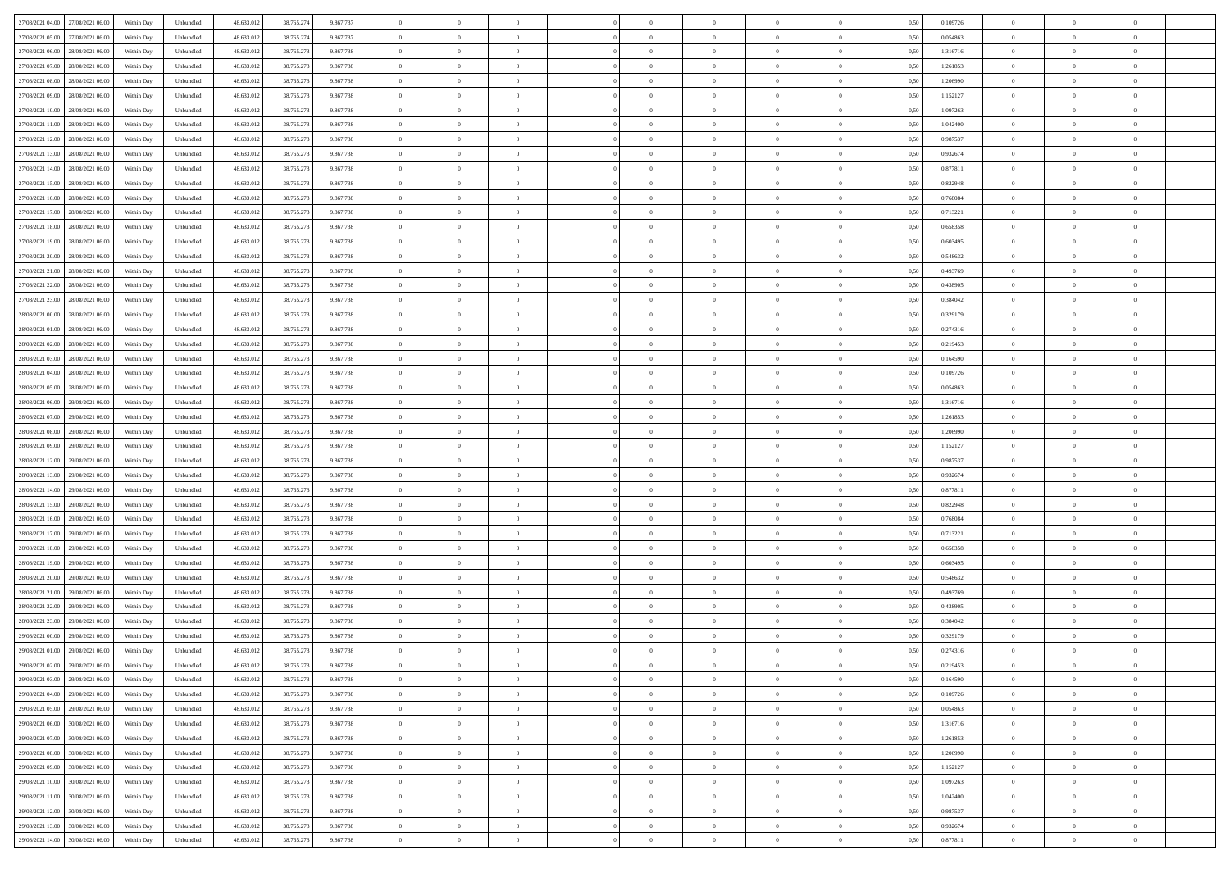| 27/08/2021 04:00 27/08/2021 06:00            | Within Day | Unbundled                         | 48.633.01  | 38.765.274 | 9.867.737 | $\overline{0}$ | $\theta$       |                | $\overline{0}$ | $\theta$       |                | $\bf{0}$       | 0,50 | 0,109726 | $\theta$       | $\theta$       | $\overline{0}$ |  |
|----------------------------------------------|------------|-----------------------------------|------------|------------|-----------|----------------|----------------|----------------|----------------|----------------|----------------|----------------|------|----------|----------------|----------------|----------------|--|
| 27/08/2021 05:00<br>27/08/2021 06:00         | Within Day | Unbundled                         | 48.633.01  | 38.765.274 | 9.867.737 | $\bf{0}$       | $\overline{0}$ | $\bf{0}$       | $\bf{0}$       | $\overline{0}$ | $\overline{0}$ | $\bf{0}$       | 0,50 | 0,054863 | $\,$ 0 $\,$    | $\bf{0}$       | $\overline{0}$ |  |
| 27/08/2021 06:00<br>28/08/2021 06:00         | Within Day | Unbundled                         | 48.633.013 | 38.765.273 | 9.867.738 | $\overline{0}$ | $\bf{0}$       | $\overline{0}$ | $\bf{0}$       | $\bf{0}$       | $\overline{0}$ | $\bf{0}$       | 0.50 | 1.316716 | $\bf{0}$       | $\overline{0}$ | $\overline{0}$ |  |
| 27/08/2021 07:00<br>28/08/2021 06:00         | Within Day | Unbundled                         | 48.633.013 | 38.765.273 | 9.867.738 | $\overline{0}$ | $\bf{0}$       | $\overline{0}$ | $\theta$       | $\theta$       | $\overline{0}$ | $\bf{0}$       | 0,50 | 1,261853 | $\theta$       | $\theta$       | $\overline{0}$ |  |
|                                              |            |                                   |            |            |           |                |                |                |                |                |                |                |      |          |                |                |                |  |
| 27/08/2021 08:00<br>28/08/2021 06:00         | Within Day | Unbundled                         | 48.633.01  | 38.765.27  | 9.867.738 | $\overline{0}$ | $\overline{0}$ | $\bf{0}$       | $\overline{0}$ | $\theta$       | $\overline{0}$ | $\bf{0}$       | 0,50 | 1,206990 | $\,$ 0 $\,$    | $\theta$       | $\overline{0}$ |  |
| 27/08/2021 09:00<br>28/08/2021 06:00         | Within Day | Unbundled                         | 48.633.013 | 38.765.27  | 9.867.738 | $\overline{0}$ | $\overline{0}$ | $\overline{0}$ | $\bf{0}$       | $\overline{0}$ | $\theta$       | $\bf{0}$       | 0.50 | 1,152127 | $\,$ 0 $\,$    | $\theta$       | $\overline{0}$ |  |
| 27/08/2021 10:00<br>28/08/2021 06:00         | Within Day | Unbundled                         | 48.633.013 | 38.765.273 | 9.867.738 | $\overline{0}$ | $\overline{0}$ | $\overline{0}$ | $\overline{0}$ | $\overline{0}$ | $\overline{0}$ | $\bf{0}$       | 0,50 | 1,097263 | $\theta$       | $\theta$       | $\overline{0}$ |  |
| 27/08/2021 11:00<br>28/08/2021 06:00         | Within Day | Unbundled                         | 48.633.01  | 38.765.27  | 9.867.738 | $\overline{0}$ | $\overline{0}$ | $\bf{0}$       | $\overline{0}$ | $\overline{0}$ | $\overline{0}$ | $\bf{0}$       | 0,50 | 1,042400 | $\,$ 0 $\,$    | $\bf{0}$       | $\overline{0}$ |  |
| 27/08/2021 12:00<br>28/08/2021 06:00         | Within Day | Unbundled                         | 48.633.013 | 38.765.27  | 9.867.738 | $\overline{0}$ | $\bf{0}$       | $\overline{0}$ | $\bf{0}$       | $\overline{0}$ | $\overline{0}$ | $\bf{0}$       | 0.50 | 0.987537 | $\bf{0}$       | $\overline{0}$ | $\overline{0}$ |  |
| 27/08/2021 13:00<br>28/08/2021 06:00         | Within Day | Unbundled                         | 48.633.012 | 38.765.273 | 9.867.738 | $\overline{0}$ | $\bf{0}$       | $\overline{0}$ | $\overline{0}$ | $\theta$       | $\overline{0}$ | $\bf{0}$       | 0,50 | 0,932674 | $\theta$       | $\theta$       | $\overline{0}$ |  |
|                                              |            |                                   |            |            |           |                |                |                |                |                |                |                |      |          |                |                |                |  |
| 27/08/2021 14:00<br>28/08/2021 06:00         | Within Day | Unbundled                         | 48.633.01  | 38.765.27  | 9.867.738 | $\bf{0}$       | $\overline{0}$ | $\bf{0}$       | $\overline{0}$ | $\bf{0}$       | $\overline{0}$ | $\bf{0}$       | 0,50 | 0,877811 | $\,$ 0 $\,$    | $\bf{0}$       | $\overline{0}$ |  |
| 27/08/2021 15:00<br>28/08/2021 06:00         | Within Day | Unbundled                         | 48.633.013 | 38.765.273 | 9.867.738 | $\overline{0}$ | $\bf{0}$       | $\overline{0}$ | $\bf{0}$       | $\bf{0}$       | $\overline{0}$ | $\bf{0}$       | 0.50 | 0.822948 | $\bf{0}$       | $\overline{0}$ | $\,$ 0         |  |
| 27/08/2021 16:00<br>28/08/2021 06:00         | Within Day | Unbundled                         | 48.633.01  | 38.765.273 | 9.867.738 | $\overline{0}$ | $\overline{0}$ | $\overline{0}$ | $\theta$       | $\theta$       | $\overline{0}$ | $\bf{0}$       | 0,50 | 0,768084 | $\theta$       | $\theta$       | $\overline{0}$ |  |
| 27/08/2021 17:00<br>28/08/2021 06:00         | Within Day | Unbundled                         | 48.633.01  | 38.765.27  | 9.867.738 | $\bf{0}$       | $\theta$       | $\bf{0}$       | $\overline{0}$ | $\theta$       | $\overline{0}$ | $\bf{0}$       | 0,50 | 0,713221 | $\bf{0}$       | $\bf{0}$       | $\overline{0}$ |  |
| 27/08/2021 18:00<br>28/08/2021 06:00         | Within Day | Unbundled                         | 48.633.013 | 38.765.27  | 9.867.738 | $\overline{0}$ | $\overline{0}$ | $\overline{0}$ | $\bf{0}$       | $\overline{0}$ | $\theta$       | $\bf{0}$       | 0.50 | 0.658358 | $\theta$       | $\theta$       | $\overline{0}$ |  |
|                                              |            |                                   |            |            |           |                |                |                |                |                |                |                |      |          |                |                |                |  |
| 27/08/2021 19:00<br>28/08/2021 06:00         | Within Day | Unbundled                         | 48.633.013 | 38.765.273 | 9.867.738 | $\overline{0}$ | $\overline{0}$ | $\overline{0}$ | $\overline{0}$ | $\overline{0}$ | $\overline{0}$ | $\bf{0}$       | 0,50 | 0,603495 | $\theta$       | $\theta$       | $\overline{0}$ |  |
| 27/08/2021 20:00<br>28/08/2021 06:00         | Within Day | Unbundled                         | 48.633.01  | 38.765.27  | 9.867.738 | $\bf{0}$       | $\overline{0}$ | $\bf{0}$       | $\overline{0}$ | $\theta$       | $\overline{0}$ | $\bf{0}$       | 0,50 | 0,548632 | $\,$ 0 $\,$    | $\bf{0}$       | $\overline{0}$ |  |
| 27/08/2021 21:00<br>28/08/2021 06:00         | Within Day | Unbundled                         | 48.633.013 | 38,765.27  | 9.867.738 | $\overline{0}$ | $\bf{0}$       | $\overline{0}$ | $\bf{0}$       | $\overline{0}$ | $\overline{0}$ | $\bf{0}$       | 0.50 | 0.493769 | $\bf{0}$       | $\overline{0}$ | $\bf{0}$       |  |
| 27/08/2021 22:00<br>28/08/2021 06:00         | Within Day | Unbundled                         | 48.633.013 | 38.765.273 | 9.867.738 | $\overline{0}$ | $\bf{0}$       | $\overline{0}$ | $\theta$       | $\overline{0}$ | $\overline{0}$ | $\bf{0}$       | 0,50 | 0,438905 | $\,$ 0 $\,$    | $\theta$       | $\overline{0}$ |  |
| 27/08/2021 23:00<br>28/08/2021 06:00         | Within Day | Unbundled                         | 48.633.01  | 38.765.27  | 9.867.738 | $\bf{0}$       | $\bf{0}$       | $\bf{0}$       | $\bf{0}$       | $\overline{0}$ | $\overline{0}$ | $\bf{0}$       | 0,50 | 0,384042 | $\,$ 0 $\,$    | $\bf{0}$       | $\overline{0}$ |  |
| 28/08/2021 00:00<br>28/08/2021 06:00         | Within Day | Unbundled                         | 48.633.013 | 38.765.273 | 9.867.738 | $\overline{0}$ | $\bf{0}$       | $\overline{0}$ | $\bf{0}$       | $\bf{0}$       | $\overline{0}$ | $\bf{0}$       | 0.50 | 0,329179 | $\bf{0}$       | $\overline{0}$ | $\,$ 0         |  |
|                                              |            |                                   |            |            |           | $\overline{0}$ | $\overline{0}$ | $\overline{0}$ | $\theta$       | $\theta$       | $\overline{0}$ |                |      |          | $\theta$       | $\theta$       | $\overline{0}$ |  |
| 28/08/2021 01:00<br>28/08/2021 06:00         | Within Day | Unbundled                         | 48.633.01  | 38.765.273 | 9.867.738 |                |                |                |                |                |                | $\bf{0}$       | 0,50 | 0,274316 |                |                |                |  |
| 28/08/2021 02:00<br>28/08/2021 06:00         | Within Day | Unbundled                         | 48.633.01  | 38.765.27  | 9.867.738 | $\bf{0}$       | $\overline{0}$ | $\bf{0}$       | $\overline{0}$ | $\theta$       | $\overline{0}$ | $\bf{0}$       | 0,50 | 0,219453 | $\,$ 0 $\,$    | $\bf{0}$       | $\overline{0}$ |  |
| 28/08/2021 03:00<br>28/08/2021 06:00         | Within Day | Unbundled                         | 48.633.013 | 38.765.27  | 9.867.738 | $\overline{0}$ | $\overline{0}$ | $\overline{0}$ | $\bf{0}$       | $\overline{0}$ | $\theta$       | $\bf{0}$       | 0.50 | 0.164590 | $\,$ 0 $\,$    | $\theta$       | $\overline{0}$ |  |
| 28/08/2021 04:00<br>28/08/2021 06:00         | Within Day | Unbundled                         | 48.633.013 | 38.765.273 | 9.867.738 | $\overline{0}$ | $\overline{0}$ | $\overline{0}$ | $\overline{0}$ | $\overline{0}$ | $\overline{0}$ | $\bf{0}$       | 0,50 | 0,109726 | $\theta$       | $\theta$       | $\overline{0}$ |  |
| 28/08/2021 05:00<br>28/08/2021 06:00         | Within Day | Unbundled                         | 48.633.01  | 38.765.27  | 9.867.738 | $\bf{0}$       | $\overline{0}$ | $\bf{0}$       | $\overline{0}$ | $\bf{0}$       | $\overline{0}$ | $\bf{0}$       | 0,50 | 0,054863 | $\,$ 0 $\,$    | $\bf{0}$       | $\overline{0}$ |  |
| 28/08/2021 06:00<br>29/08/2021 06:00         | Within Day | Unbundled                         | 48.633.013 | 38.765.27  | 9.867.738 | $\overline{0}$ | $\bf{0}$       | $\overline{0}$ | $\bf{0}$       | $\overline{0}$ | $\overline{0}$ | $\bf{0}$       | 0.50 | 1.316716 | $\bf{0}$       | $\overline{0}$ | $\overline{0}$ |  |
| 28/08/2021 07:00<br>29/08/2021 06:00         | Within Day | Unbundled                         | 48.633.01  | 38.765.273 | 9.867.738 | $\overline{0}$ | $\overline{0}$ | $\overline{0}$ | $\overline{0}$ | $\overline{0}$ | $\overline{0}$ | $\bf{0}$       | 0,50 | 1,261853 | $\theta$       | $\theta$       | $\overline{0}$ |  |
|                                              |            |                                   |            |            |           |                |                |                |                |                |                |                |      |          |                |                |                |  |
| 28/08/2021 08:00<br>29/08/2021 06.00         | Within Day | Unbundled                         | 48.633.01  | 38.765.27  | 9.867.738 | $\bf{0}$       | $\bf{0}$       | $\bf{0}$       | $\bf{0}$       | $\overline{0}$ | $\overline{0}$ | $\bf{0}$       | 0,50 | 1,206990 | $\,$ 0 $\,$    | $\bf{0}$       | $\overline{0}$ |  |
| 28/08/2021 09:00<br>29/08/2021 06:00         | Within Day | Unbundled                         | 48.633.013 | 38.765.27  | 9.867.738 | $\overline{0}$ | $\bf{0}$       | $\overline{0}$ | $\bf{0}$       | $\bf{0}$       | $\overline{0}$ | $\bf{0}$       | 0.50 | 1,152127 | $\bf{0}$       | $\overline{0}$ | $\bf{0}$       |  |
| 28/08/2021 12:00<br>29/08/2021 06:00         | Within Day | Unbundled                         | 48.633.013 | 38.765.27  | 9.867.738 | $\overline{0}$ | $\overline{0}$ | $\overline{0}$ | $\overline{0}$ | $\overline{0}$ | $\overline{0}$ | $\bf{0}$       | 0.50 | 0,987537 | $\theta$       | $\theta$       | $\overline{0}$ |  |
| 28/08/2021 13:00<br>29/08/2021 06.00         | Within Day | Unbundled                         | 48.633.01  | 38.765.27  | 9.867.738 | $\bf{0}$       | $\overline{0}$ | $\bf{0}$       | $\overline{0}$ | $\overline{0}$ | $\overline{0}$ | $\bf{0}$       | 0,50 | 0,932674 | $\,$ 0 $\,$    | $\bf{0}$       | $\overline{0}$ |  |
| 28/08/2021 14:00<br>29/08/2021 06:00         | Within Day | Unbundled                         | 48.633.013 | 38.765.27  | 9.867.738 | $\overline{0}$ | $\bf{0}$       | $\overline{0}$ | $\bf{0}$       | $\overline{0}$ | $\Omega$       | $\bf{0}$       | 0.50 | 0.877811 | $\,$ 0 $\,$    | $\theta$       | $\overline{0}$ |  |
| 28/08/2021 15:00<br>29/08/2021 06:00         | Within Dav | Unbundled                         | 48.633.013 | 38.765.273 | 9.867.738 | $\overline{0}$ | $\overline{0}$ | $\overline{0}$ | $\overline{0}$ | $\overline{0}$ | $\overline{0}$ | $\bf{0}$       | 0.50 | 0,822948 | $\theta$       | $\theta$       | $\overline{0}$ |  |
| 28/08/2021 16:00<br>29/08/2021 06:00         | Within Day | Unbundled                         | 48.633.013 | 38.765.27  | 9.867.738 | $\bf{0}$       | $\overline{0}$ | $\bf{0}$       | $\overline{0}$ | $\bf{0}$       | $\overline{0}$ | $\bf{0}$       | 0,50 | 0,768084 | $\,$ 0 $\,$    | $\bf{0}$       | $\overline{0}$ |  |
|                                              |            |                                   |            |            |           |                |                |                |                |                |                |                |      |          |                |                |                |  |
| 28/08/2021 17:00<br>29/08/2021 06:00         | Within Day | Unbundled                         | 48.633.013 | 38.765.27  | 9.867.738 | $\overline{0}$ | $\bf{0}$       | $\overline{0}$ | $\bf{0}$       | $\overline{0}$ | $\overline{0}$ | $\bf{0}$       | 0.50 | 0.713221 | $\bf{0}$       | $\overline{0}$ | $\overline{0}$ |  |
| 28/08/2021 18:00<br>29/08/2021 06:00         | Within Dav | Unbundled                         | 48.633.013 | 38.765.27  | 9.867.738 | $\overline{0}$ | $\overline{0}$ | $\overline{0}$ | $\overline{0}$ | $\overline{0}$ | $\overline{0}$ | $\bf{0}$       | 0.50 | 0,658358 | $\theta$       | $\theta$       | $\overline{0}$ |  |
| 28/08/2021 19:00<br>29/08/2021 06.00         | Within Day | Unbundled                         | 48.633.01  | 38.765.27  | 9.867.738 | $\bf{0}$       | $\bf{0}$       | $\bf{0}$       | $\bf{0}$       | $\overline{0}$ | $\overline{0}$ | $\bf{0}$       | 0,50 | 0,603495 | $\,$ 0 $\,$    | $\bf{0}$       | $\overline{0}$ |  |
| 28/08/2021 20:00<br>29/08/2021 06:00         | Within Day | Unbundled                         | 48.633.013 | 38.765.273 | 9.867.738 | $\overline{0}$ | $\bf{0}$       | $\overline{0}$ | $\bf{0}$       | $\bf{0}$       | $\overline{0}$ | $\bf{0}$       | 0.50 | 0.548632 | $\bf{0}$       | $\overline{0}$ | $\,$ 0         |  |
| 28/08/2021 21:00<br>29/08/2021 06:00         | Within Dav | Unbundled                         | 48.633.013 | 38.765.273 | 9.867.738 | $\overline{0}$ | $\overline{0}$ | $\overline{0}$ | $\overline{0}$ | $\theta$       | $\overline{0}$ | $\bf{0}$       | 0.50 | 0,493769 | $\theta$       | $\theta$       | $\overline{0}$ |  |
| 28/08/2021 22:00<br>29/08/2021 06.00         | Within Day | Unbundled                         | 48.633.013 | 38.765.27  | 9.867.738 | $\bf{0}$       | $\bf{0}$       | $\bf{0}$       | $\bf{0}$       | $\overline{0}$ | $\overline{0}$ | $\bf{0}$       | 0,50 | 0,438905 | $\,$ 0 $\,$    | $\bf{0}$       | $\overline{0}$ |  |
| 28/08/2021 23:00<br>29/08/2021 06:00         | Within Day | Unbundled                         | 48.633.013 | 38.765.27  | 9.867.738 | $\overline{0}$ | $\overline{0}$ | $\overline{0}$ | $\bf{0}$       | $\theta$       | $\Omega$       | $\bf{0}$       | 0.50 | 0.384042 | $\bf{0}$       | $\theta$       | $\overline{0}$ |  |
|                                              |            |                                   |            |            |           |                |                |                |                |                |                |                |      |          |                |                |                |  |
| 29/08/2021 00:00<br>29/08/2021 06:00         | Within Dav | Unbundled                         | 48.633.013 | 38.765.27  | 9.867.738 | $\overline{0}$ | $\overline{0}$ | $\Omega$       | $\Omega$       | $\theta$       | $\Omega$       | $\overline{0}$ | 0.5( | 0,329179 | $\theta$       | $\theta$       | $\overline{0}$ |  |
| 29/08/2021 01:00<br>29/08/2021 06:00         | Within Day | Unbundled                         | 48.633.01  | 38.765.273 | 9.867.738 | $\bf{0}$       | $\,$ 0 $\,$    | $\overline{0}$ | $\bf{0}$       | $\bf{0}$       | $\overline{0}$ | $\bf{0}$       | 0,50 | 0,274316 | $\overline{0}$ | $\bf{0}$       | $\overline{0}$ |  |
| $29/08/2021\;02.00 \qquad 29/08/2021\;06.00$ | Within Day | $\ensuremath{\mathsf{Unbundred}}$ | 48.633.012 | 38.765.273 | 9867738   | $\overline{0}$ |                |                | $\Omega$       |                |                |                | 0,50 | 0,219453 | $\theta$       | $\overline{0}$ |                |  |
| 29/08/2021 03:00 29/08/2021 06:00            | Within Day | Unbundled                         | 48.633.012 | 38.765.273 | 9.867.738 | $\overline{0}$ | $\overline{0}$ | $\overline{0}$ | $\theta$       | $\overline{0}$ | $\overline{0}$ | $\bf{0}$       | 0,50 | 0,164590 | $\theta$       | $\overline{0}$ | $\overline{0}$ |  |
| 29/08/2021 04:00<br>29/08/2021 06:00         | Within Day | Unbundled                         | 48.633.013 | 38.765.273 | 9.867.738 | $\overline{0}$ | $\bf{0}$       | $\overline{0}$ | $\overline{0}$ | $\bf{0}$       | $\overline{0}$ | $\bf{0}$       | 0,50 | 0,109726 | $\overline{0}$ | $\overline{0}$ | $\bf{0}$       |  |
| 29/08/2021 05:00 29/08/2021 06:00            | Within Day | Unbundled                         | 48.633.012 | 38.765.273 | 9.867.738 | $\overline{0}$ | $\bf{0}$       | $\overline{0}$ | $\overline{0}$ | $\mathbf{0}$   | $\overline{0}$ | $\,$ 0 $\,$    | 0.50 | 0.054863 | $\overline{0}$ | $\bf{0}$       | $\bf{0}$       |  |
| 29/08/2021 06:00 30/08/2021 06:00            | Within Day | Unbundled                         | 48.633.012 | 38.765.273 | 9.867.738 | $\overline{0}$ | $\overline{0}$ | $\overline{0}$ | $\overline{0}$ | $\overline{0}$ | $\overline{0}$ | $\bf{0}$       | 0,50 | 1,316716 | $\overline{0}$ | $\theta$       | $\overline{0}$ |  |
|                                              |            |                                   |            |            |           |                |                |                |                |                |                |                |      |          |                |                |                |  |
| 29/08/2021 07:00<br>30/08/2021 06:00         | Within Day | Unbundled                         | 48.633.012 | 38.765.273 | 9.867.738 | $\overline{0}$ | $\bf{0}$       | $\overline{0}$ | $\overline{0}$ | $\bf{0}$       | $\overline{0}$ | $\bf{0}$       | 0,50 | 1,261853 | $\bf{0}$       | $\overline{0}$ | $\overline{0}$ |  |
| 29/08/2021 08:00<br>30/08/2021 06:00         | Within Day | Unbundled                         | 48.633.012 | 38.765.273 | 9.867.738 | $\overline{0}$ | $\bf{0}$       | $\overline{0}$ | $\overline{0}$ | $\bf{0}$       | $\overline{0}$ | $\bf{0}$       | 0.50 | 1.206990 | $\,$ 0 $\,$    | $\overline{0}$ | $\,$ 0         |  |
| 29/08/2021 09:00<br>30/08/2021 06:00         | Within Dav | Unbundled                         | 48.633.012 | 38.765.273 | 9.867.738 | $\overline{0}$ | $\overline{0}$ | $\overline{0}$ | $\overline{0}$ | $\overline{0}$ | $\overline{0}$ | $\bf{0}$       | 0.50 | 1,152127 | $\overline{0}$ | $\theta$       | $\overline{0}$ |  |
| 29/08/2021 10:00<br>30/08/2021 06:00         | Within Day | Unbundled                         | 48.633.013 | 38.765.273 | 9.867.738 | $\overline{0}$ | $\overline{0}$ | $\overline{0}$ | $\overline{0}$ | $\overline{0}$ | $\overline{0}$ | $\bf{0}$       | 0,50 | 1,097263 | $\bf{0}$       | $\overline{0}$ | $\overline{0}$ |  |
| 30/08/2021 06:00<br>29/08/2021 11:00         | Within Day | Unbundled                         | 48.633.012 | 38.765.273 | 9.867.738 | $\overline{0}$ | $\overline{0}$ | $\overline{0}$ | $\overline{0}$ | $\overline{0}$ | $\overline{0}$ | $\bf{0}$       | 0.50 | 1.042400 | $\mathbf{0}$   | $\bf{0}$       | $\,$ 0         |  |
| 29/08/2021 12:00<br>30/08/2021 06:00         | Within Dav | Unbundled                         | 48.633.012 | 38.765.273 | 9.867.738 | $\overline{0}$ | $\overline{0}$ | $\overline{0}$ | $\overline{0}$ | $\overline{0}$ | $\overline{0}$ | $\bf{0}$       | 0,50 | 0,987537 | $\overline{0}$ | $\theta$       | $\overline{0}$ |  |
|                                              |            |                                   |            |            |           |                |                |                |                |                |                |                |      |          |                |                |                |  |
| 29/08/2021 13:00<br>30/08/2021 06:00         | Within Day | Unbundled                         | 48.633.013 | 38.765.273 | 9.867.738 | $\overline{0}$ | $\bf{0}$       | $\overline{0}$ | $\bf{0}$       | $\overline{0}$ | $\overline{0}$ | $\bf{0}$       | 0,50 | 0,932674 | $\bf{0}$       | $\overline{0}$ | $\bf{0}$       |  |
| 29/08/2021 14:00 30/08/2021 06:00            | Within Day | Unbundled                         | 48.633.012 | 38.765.273 | 9.867.738 | $\,$ 0 $\,$    | $\bf{0}$       | $\overline{0}$ | $\overline{0}$ | $\,$ 0 $\,$    | $\overline{0}$ | $\,$ 0 $\,$    | 0,50 | 0,877811 | $\overline{0}$ | $\,$ 0 $\,$    | $\,$ 0 $\,$    |  |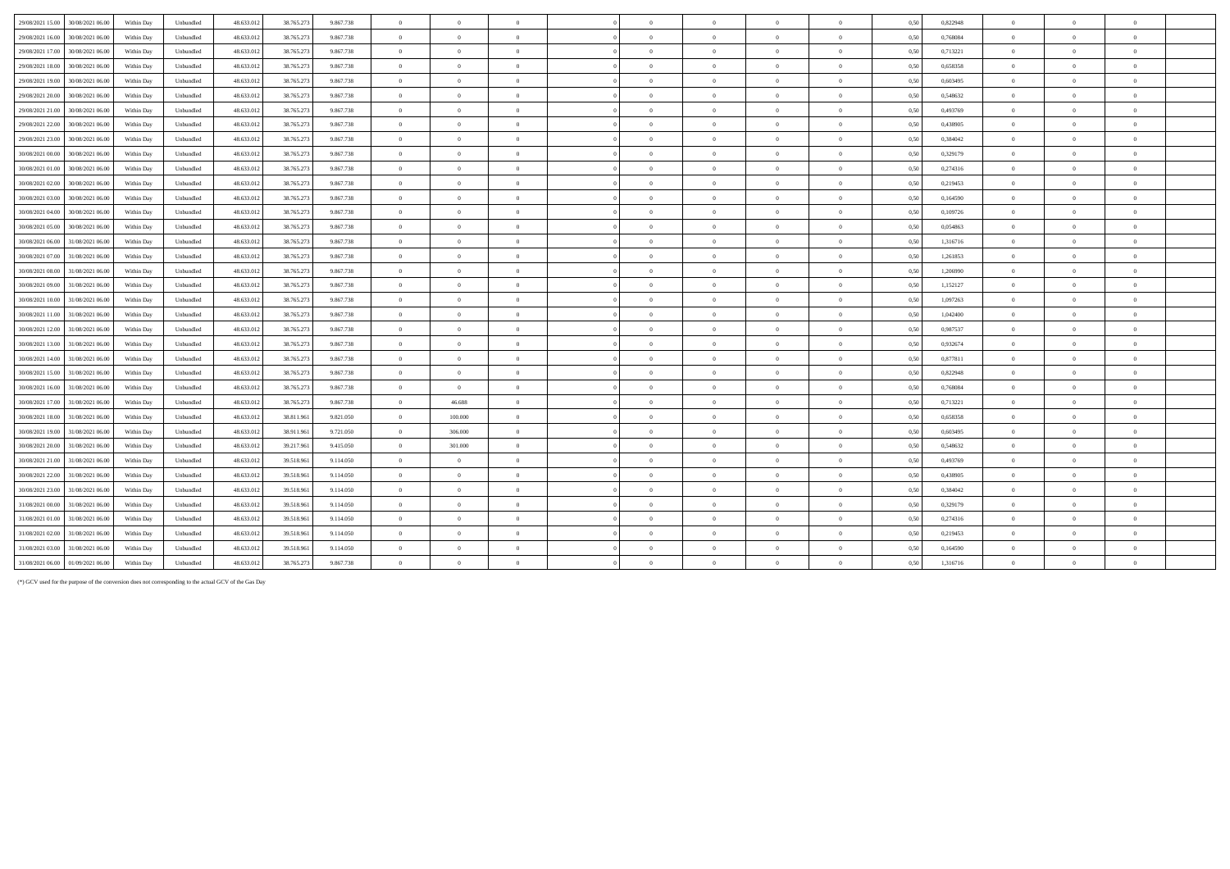| 29/08/2021 15:00 30/08/2021 06:00    | Within Dav | Unbundled | 48.633.012 | 38,765,273 | 9.867.738 | $\overline{0}$ | $\overline{0}$ | $\overline{0}$ | $\overline{0}$ | $\overline{0}$ | $\overline{0}$ | $\overline{0}$ | 0.50 | 0,822948 | $\overline{0}$ | $\Omega$       |          |  |
|--------------------------------------|------------|-----------|------------|------------|-----------|----------------|----------------|----------------|----------------|----------------|----------------|----------------|------|----------|----------------|----------------|----------|--|
| 29/08/2021 16:00<br>30/08/2021 06:00 | Within Day | Unbundled | 48.633.012 | 38.765.273 | 9.867.738 | $\overline{0}$ | $\overline{0}$ | $\overline{0}$ | $\Omega$       | $\overline{0}$ | $\overline{0}$ | $\theta$       | 0,50 | 0,768084 | $\overline{0}$ | $\Omega$       | $\theta$ |  |
| 29/08/2021 17:00<br>30/08/2021 06:00 | Within Day | Unbundled | 48.633.012 | 38.765.273 | 9.867.738 | $\overline{0}$ | $\overline{0}$ | $\overline{0}$ | $\Omega$       | $\overline{0}$ | $\overline{0}$ | $\overline{0}$ | 0,50 | 0,713221 | $\overline{0}$ | $\Omega$       | $\theta$ |  |
| 29/08/2021 18:00<br>30/08/2021 06:00 | Within Day | Unbundled | 48.633.012 | 38.765.273 | 9.867.738 | $\overline{0}$ | $\overline{0}$ | $\overline{0}$ | $\overline{0}$ | $\overline{0}$ | $\overline{0}$ | $\overline{0}$ | 0,50 | 0,658358 | $\overline{0}$ | $\Omega$       | $\theta$ |  |
| 29/08/2021 19:00<br>30/08/2021 06:00 | Within Day | Unbundled | 48.633.012 | 38.765.273 | 9.867.738 | $\overline{0}$ | $\overline{0}$ | $\overline{0}$ | $\theta$       | $\overline{0}$ | $\overline{0}$ | $\theta$       | 0.50 | 0.603495 | $\overline{0}$ | $\Omega$       | $\theta$ |  |
| 29/08/2021 20:00<br>30/08/2021 06:00 | Within Day | Unbundled | 48.633.012 | 38.765.273 | 9.867.738 | $\overline{0}$ | $\Omega$       | $\overline{0}$ | $\overline{0}$ | $\overline{0}$ | $\overline{0}$ | $\overline{0}$ | 0.50 | 0.548632 | $\overline{0}$ | $\Omega$       | $\theta$ |  |
| 29/08/2021 21:00<br>30/08/2021 06:00 | Within Day | Unbundled | 48.633.012 | 38.765.273 | 9.867.738 | $\overline{0}$ | $\overline{0}$ | $\overline{0}$ | $\overline{0}$ | $\overline{0}$ | $\overline{0}$ | $\overline{0}$ | 0,50 | 0,493769 | $\overline{0}$ | $\overline{0}$ | $\theta$ |  |
| 29/08/2021 22:00<br>30/08/2021 06:00 | Within Day | Unbundled | 48.633.012 | 38.765.273 | 9.867.738 | $\overline{0}$ | $\overline{0}$ | $\overline{0}$ | $\Omega$       | $\theta$       | $\Omega$       | $\theta$       | 0,50 | 0,438905 | $\theta$       | $\Omega$       |          |  |
| 29/08/2021 23:00<br>30/08/2021 06:00 | Within Day | Unbundled | 48.633.013 | 38.765.273 | 9.867.738 | $\overline{0}$ | $\overline{0}$ | $\overline{0}$ | $\Omega$       | $\Omega$       | $\Omega$       | $\theta$       | 0.50 | 0,384042 | $\overline{0}$ | $\Omega$       | $\theta$ |  |
| 30/08/2021 00:00<br>30/08/2021 06:00 | Within Day | Unbundled | 48.633.012 | 38.765.273 | 9.867.738 | $\overline{0}$ | $\overline{0}$ | $\overline{0}$ | $\overline{0}$ | $\overline{0}$ | $\overline{0}$ | $\bf{0}$       | 0,50 | 0,329179 | $\overline{0}$ | $\overline{0}$ | $\theta$ |  |
| 30/08/2021 01:00<br>30/08/2021 06:00 | Within Day | Unbundled | 48.633.012 | 38.765.273 | 9.867.738 | $\overline{0}$ | $\overline{0}$ | $\overline{0}$ | $\sqrt{2}$     | $\Omega$       | $\Omega$       | $\overline{0}$ | 0,50 | 0,274316 | $\Omega$       | $\Omega$       | $\theta$ |  |
| 30/08/2021 02:00<br>30/08/2021 06:00 | Within Day | Unbundled | 48.633.012 | 38.765.273 | 9.867.738 | $\overline{0}$ | $\overline{0}$ | $\overline{0}$ | $\Omega$       | $\Omega$       | $\overline{0}$ | $\overline{0}$ | 0.50 | 0,219453 | $\overline{0}$ | $\Omega$       | $\theta$ |  |
| 30/08/2021 03:00<br>30/08/2021 06:00 | Within Day | Unbundled | 48.633.012 | 38.765.273 | 9.867.738 | $\overline{0}$ | $\overline{0}$ | $\overline{0}$ | $\overline{0}$ | $\overline{0}$ | $\overline{0}$ | $\overline{0}$ | 0,50 | 0,164590 | $\overline{0}$ | $\Omega$       | $\theta$ |  |
| 30/08/2021 04:00<br>30/08/2021 06:00 | Within Day | Unbundled | 48.633.012 | 38.765.273 | 9.867.738 | $\overline{0}$ | $\Omega$       | $\Omega$       | $\Omega$       | $\Omega$       | $\Omega$       | $\Omega$       | 0,50 | 0,109726 | $\theta$       |                |          |  |
| 30/08/2021 05:00<br>30/08/2021 06:00 | Within Day | Unbundled | 48.633.012 | 38.765.273 | 9.867.738 | $\overline{0}$ | $\Omega$       | $\Omega$       | $\Omega$       | $\theta$       | $\Omega$       | $\theta$       | 0.50 | 0.054863 | $\Omega$       |                |          |  |
| 30/08/2021 06:00 31/08/2021 06:00    | Within Day | Unbundled | 48.633.012 | 38.765.273 | 9.867.738 | $\overline{0}$ | $\overline{0}$ | $\overline{0}$ | $\theta$       | $\overline{0}$ | $\theta$       | $\theta$       | 0,50 | 1,316716 | $\overline{0}$ | $\Omega$       | $\theta$ |  |
| 30/08/2021 07:00 31/08/2021 06:00    | Within Day | Unbundled | 48.633.012 | 38.765.273 | 9.867.738 | $\overline{0}$ | $\Omega$       | $\overline{0}$ | $\sqrt{2}$     | $\Omega$       | $\Omega$       | $\mathbf{a}$   | 0.50 | 1,261853 | $\overline{0}$ | $\Omega$       | $\theta$ |  |
| 30/08/2021 08:00<br>31/08/2021 06:00 | Within Day | Unbundled | 48.633.012 | 38.765.273 | 9.867.738 | $\overline{0}$ | $\Omega$       | $\theta$       | $\theta$       | $\theta$       | $\Omega$       | $\theta$       | 0.50 | 1.206990 | $\overline{0}$ | $^{\circ}$     |          |  |
| 30/08/2021 09:00<br>31/08/2021 06:00 | Within Day | Unbundled | 48.633.012 | 38.765.273 | 9.867.738 | $\overline{0}$ | $\overline{0}$ | $\overline{0}$ | $\Omega$       | $\theta$       | $\Omega$       | $\theta$       | 0,50 | 1,152127 | $\overline{0}$ | $\Omega$       |          |  |
| 30/08/2021 10:00<br>31/08/2021 06:00 | Within Day | Unbundled | 48.633.012 | 38.765.273 | 9.867.738 | $\overline{0}$ | $\Omega$       | $\Omega$       | $\Omega$       | $\Omega$       | $\Omega$       | $\theta$       | 0,50 | 1,097263 | $\Omega$       |                |          |  |
| 30/08/2021 11:00<br>31/08/2021 06:00 | Within Day | Unbundled | 48.633.012 | 38.765.273 | 9.867.738 | $\overline{0}$ | $\overline{0}$ | $\overline{0}$ | $\Omega$       | $\theta$       | $\theta$       | $\overline{0}$ | 0.50 | 1,042400 | $\overline{0}$ | $\overline{0}$ | $\theta$ |  |
| 30/08/2021 12:00 31/08/2021 06:00    | Within Day | Unbundled | 48.633.012 | 38.765.273 | 9.867.738 | $\overline{0}$ | $\overline{0}$ | $\overline{0}$ | $\overline{0}$ | $\overline{0}$ | $\overline{0}$ | $\overline{0}$ | 0,50 | 0,987537 | $\overline{0}$ | $\theta$       | $\theta$ |  |
| 30/08/2021 13:00<br>31/08/2021 06:00 | Within Day | Unbundled | 48.633.012 | 38.765.273 | 9.867.738 | $\overline{0}$ | $\overline{0}$ | $\overline{0}$ | $\theta$       | $\overline{0}$ | $\Omega$       | $\overline{0}$ | 0,50 | 0,932674 | $\overline{0}$ | $\Omega$       | $\theta$ |  |
| 30/08/2021 14:00 31/08/2021 06:00    | Within Day | Unbundled | 48.633.012 | 38.765.273 | 9.867.738 | $\overline{0}$ | $\overline{0}$ | $\overline{0}$ | $\theta$       | $\theta$       | $\overline{0}$ | $\overline{0}$ | 0,50 | 0,877811 | $\overline{0}$ | $\Omega$       | $\theta$ |  |
| 30/08/2021 15:00<br>31/08/2021 06:00 | Within Day | Unbundled | 48.633.012 | 38.765.273 | 9.867.738 | $\overline{0}$ | $\overline{0}$ | $\overline{0}$ | $\Omega$       | $\overline{0}$ | $\overline{0}$ | $\theta$       | 0,50 | 0,822948 | $\overline{0}$ | $\Omega$       | $\theta$ |  |
| 30/08/2021 16:00<br>31/08/2021 06:00 | Within Day | Unbundled | 48.633.012 | 38.765.273 | 9.867.738 | $\overline{0}$ | $\overline{0}$ | $\overline{0}$ | $\Omega$       | $\overline{0}$ | $\theta$       | $\overline{0}$ | 0,50 | 0,768084 | $\overline{0}$ | $\Omega$       | $\theta$ |  |
| 30/08/2021 17:00<br>31/08/2021 06:00 | Within Day | Unbundled | 48.633.012 | 38.765.273 | 9.867.738 | $\overline{0}$ | 46.688         | $\overline{0}$ | $\overline{0}$ | $\overline{0}$ | $\overline{0}$ | $\overline{0}$ | 0,50 | 0,713221 | $\overline{0}$ | $\Omega$       | $\theta$ |  |
| 30/08/2021 18:00<br>31/08/2021 06:00 | Within Day | Unbundled | 48.633.012 | 38.811.961 | 9.821.050 | $\overline{0}$ | 100,000        | $\overline{0}$ | $\overline{0}$ | $\overline{0}$ | $\overline{0}$ | $\overline{0}$ | 0.50 | 0.658358 | $\overline{0}$ | $\Omega$       | $\theta$ |  |
| 30/08/2021 19:00<br>31/08/2021 06:00 | Within Day | Unbundled | 48.633.012 | 38.911.961 | 9.721.050 | $\overline{0}$ | 306,000        | $\overline{0}$ | $\overline{0}$ | $\overline{0}$ | $\overline{0}$ | $\theta$       | 0.50 | 0.603495 | $\overline{0}$ | $\Omega$       | $\theta$ |  |
| 30/08/2021 20:00<br>31/08/2021 06:00 | Within Day | Unbundled | 48.633.012 | 39.217.961 | 9.415.050 | $\overline{0}$ | 301.000        | $\overline{0}$ | $\theta$       | $\overline{0}$ | $\overline{0}$ | $\theta$       | 0.50 | 0.548632 | $\overline{0}$ | $\Omega$       | $\theta$ |  |
| 30/08/2021 21:00<br>31/08/2021 06:00 | Within Day | Unbundled | 48.633.012 | 39.518.961 | 9.114.050 | $\overline{0}$ | $\Omega$       | $\overline{0}$ | $\Omega$       | $\theta$       | $\Omega$       | $\overline{0}$ | 0.50 | 0.493769 | $\overline{0}$ | $\Omega$       |          |  |
| 30/08/2021 22:00<br>31/08/2021 06:00 | Within Day | Unbundled | 48.633.013 | 39.518.961 | 9.114.050 | $\overline{0}$ | $\overline{0}$ | $\overline{0}$ | $\overline{0}$ | $\bf{0}$       | $\theta$       | $\overline{0}$ | 0.50 | 0,438905 | $\theta$       | $\overline{0}$ |          |  |
| 30/08/2021 23:00<br>31/08/2021 06:00 | Within Day | Unbundled | 48.633.013 | 39.518.961 | 9.114.050 | $\overline{0}$ | $\overline{0}$ | $\overline{0}$ | $\theta$       | $\theta$       | $\overline{0}$ | $\overline{0}$ | 0,50 | 0,384042 | $\overline{0}$ | $\overline{0}$ | $\theta$ |  |
| 31/08/2021 00:00<br>31/08/2021 06:00 | Within Day | Unbundled | 48.633.013 | 39.518.961 | 9.114.050 | $\overline{0}$ | $\overline{0}$ | $\overline{0}$ | $\theta$       | $\overline{0}$ | $\overline{0}$ | $\overline{0}$ | 0,50 | 0,329179 | $\overline{0}$ | $\overline{0}$ | $\theta$ |  |
| 31/08/2021 01:00<br>31/08/2021 06:00 | Within Dav | Unbundled | 48.633.012 | 39.518.961 | 9.114.050 | $\overline{0}$ | $\Omega$       | $\overline{0}$ | $\theta$       | $\theta$       | $\Omega$       | $\theta$       | 0.50 | 0.274316 | $\Omega$       | $\Omega$       | $\theta$ |  |
| 31/08/2021 02:00<br>31/08/2021 06:00 | Within Day | Unbundled | 48.633.012 | 39.518.961 | 9.114.050 | $\overline{0}$ | $\overline{0}$ | $\overline{0}$ | $\theta$       | $\theta$       | $\overline{0}$ | $\theta$       | 0,50 | 0,219453 | $\overline{0}$ | $\Omega$       | $\theta$ |  |
| 31/08/2021 03:00<br>31/08/2021 06:00 | Within Day | Unbundled | 48.633.012 | 39.518.961 | 9.114.050 | $\overline{0}$ | $\Omega$       | $\Omega$       | $\Omega$       | $\Omega$       | $\Omega$       | $\theta$       | 0,50 | 0.164590 | $\overline{0}$ | $\Omega$       | $\theta$ |  |
| 31/08/2021 06:00 01/09/2021 06:00    | Within Day | Unbundled | 48.633.012 | 38.765.273 | 9.867.738 | $\overline{0}$ | $\overline{0}$ | $\overline{0}$ | $\overline{0}$ | $\theta$       | $\theta$       | $\Omega$       | 0,50 | 1,316716 | $\theta$       | $\Omega$       | $\theta$ |  |

(\*) GCV used for the purpose of the conversion does not corresponding to the actual GCV of the Gas Day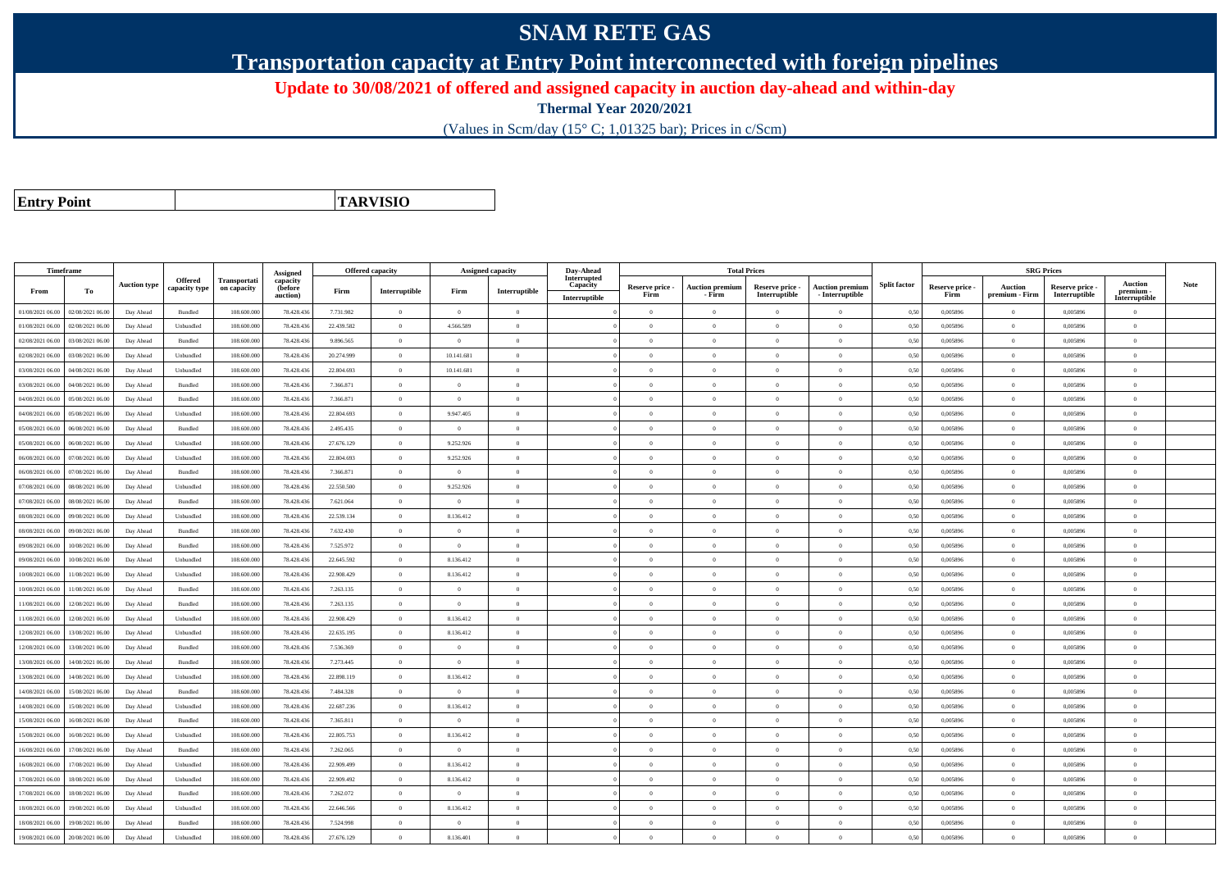## **SNAM RETE GAS**

**Transportation capacity at Entry Point interconnected with foreign pipelines**

**Update to 30/08/2021 of offered and assigned capacity in auction day-ahead and within-day**

**Thermal Year 2020/2021**

(Values in Scm/day (15° C; 1,01325 bar); Prices in c/Scm)

**Entry Point**

**TARVISIO**

|                  | Timeframe        |                     |                                 |                             |                                             |            | <b>Offered capacity</b> |                | <b>Assigned capacity</b>                | Day-Ahead                                |                         |                                  | <b>Total Prices</b>              |                                      |                     |                         |                                  | <b>SRG Prices</b>                |                                              |             |
|------------------|------------------|---------------------|---------------------------------|-----------------------------|---------------------------------------------|------------|-------------------------|----------------|-----------------------------------------|------------------------------------------|-------------------------|----------------------------------|----------------------------------|--------------------------------------|---------------------|-------------------------|----------------------------------|----------------------------------|----------------------------------------------|-------------|
| From             | To               | <b>Auction type</b> | <b>Offered</b><br>capacity type | Transportati<br>on capacity | Assigned<br>capacity<br>(before<br>auction) | Firm       | Interruptible           | Firm           | $\label{prop:1} \textbf{Interruptible}$ | Interrupted<br>Capacity<br>Interruptible | Reserve price -<br>Firm | <b>Auction premiun</b><br>- Firm | Reserve price -<br>Interruptible | Auction premium<br>$-$ Interruptible | <b>Split factor</b> | Reserve price -<br>Firm | <b>Auction</b><br>premium - Firm | Reserve price -<br>Interruptible | <b>Auction</b><br>premium -<br>Interruptible | <b>Note</b> |
| 01/08/2021 06:00 | 02/08/2021 06:00 | Day Ahead           | Bundled                         | 108.600.000                 | 78.428.436                                  | 7.731.982  | $\overline{0}$          | $\overline{0}$ | $\overline{0}$                          |                                          | $\theta$                | $\theta$                         | $\overline{0}$                   | $\Omega$                             | 0,50                | 0,005896                | $\Omega$                         | 0,005896                         | $\overline{0}$                               |             |
| 01/08/2021 06:00 | 02/08/2021 06:00 | Day Ahead           | Unbundled                       | 108.600.000                 | 78.428.436                                  | 22.439.582 | $\overline{0}$          | 4 566 589      | $\Omega$                                |                                          | $\Omega$                | $\mathbf{a}$                     | $\Omega$                         | $\overline{0}$                       | 0,50                | 0,005896                | $\overline{0}$                   | 0,005896                         | $\theta$                                     |             |
| 02/08/2021 06:00 | 03/08/2021 06:00 | Day Ahead           | Bundled                         | 108.600.000                 | 78.428.436                                  | 9.896.565  | $\Omega$                | $\Omega$       | $\Omega$                                |                                          | $\Omega$                |                                  | $\Omega$                         | $\Omega$                             | 0,50                | 0,005896                | $\theta$                         | 0,005896                         | $\theta$                                     |             |
| 02/08/2021 06:00 | 03/08/2021 06:00 | Day Ahead           | Unbundled                       | 108,600,000                 | 78,428,436                                  | 20.274.999 | $\overline{0}$          | 10.141.681     | $\Omega$                                |                                          | $\Omega$                | $\theta$                         | $\overline{0}$                   | $\theta$                             | 0,50                | 0.005896                | $\overline{0}$                   | 0.005896                         | $\theta$                                     |             |
| 03/08/2021 06:00 | 04/08/2021 06:00 | Day Ahead           | Unbundled                       | 108.600.000                 | 78.428.436                                  | 22.804.693 | $\overline{0}$          | 10.141.681     | $\Omega$                                |                                          | $\theta$                | $\theta$                         | $\overline{0}$                   | $\bf{0}$                             | 0,50                | 0,005896                | $\mathbf{0}$                     | 0,005896                         | $\theta$                                     |             |
| 03/08/2021 06:00 | 04/08/2021 06:00 | Day Ahead           | Bundled                         | 108,600,000                 | 78,428,436                                  | 7.366.871  | $\overline{0}$          | $\Omega$       | $\Omega$                                |                                          | $\theta$                | $\theta$                         | $\Omega$                         | $\theta$                             | 0.50                | 0.005896                | $\Omega$                         | 0.005896                         | $\theta$                                     |             |
| 04/08/2021 06:00 | 05/08/2021 06:00 | Day Ahead           | Bundled                         | 108,600,000                 | 78.428.436                                  | 7366871    | $\overline{0}$          | $\Omega$       | $\Omega$                                |                                          | $\theta$                | $\theta$                         | $\Omega$                         | $\theta$                             | 0,50                | 0.005896                | $\overline{0}$                   | 0.005896                         | $\theta$                                     |             |
| 04/08/2021 06:00 | 05/08/2021 06:00 | Day Ahead           | Unbundled                       | 108.600.000                 | 78.428.436                                  | 22.804.693 | $\overline{0}$          | 9.947.405      | $\theta$                                |                                          | $\theta$                | $\theta$                         | $\theta$                         | $\bf{0}$                             | 0,50                | 0,005896                | $\overline{0}$                   | 0,005896                         | $\overline{0}$                               |             |
| 05/08/2021 06:00 | 06/08/2021 06:00 | Day Ahead           | Bundled                         | 108,600,000                 | 78,428,436                                  | 2.495.435  | $\overline{0}$          | $\theta$       | $\Omega$                                |                                          | $\theta$                | $\mathbf{a}$                     | $\Omega$                         | $\Omega$                             | 0,50                | 0.005896                | $\theta$                         | 0.005896                         | $\theta$                                     |             |
| 05/08/2021 06:00 | 06/08/2021 06.0  | Day Ahead           | Unbundled                       | 108.600.00                  | 78.428.436                                  | 27.676.129 | $\overline{0}$          | 9.252.926      | $\Omega$                                |                                          | $\Omega$                | $\sqrt{2}$                       | $\Omega$                         | $\Omega$                             | 0,50                | 0,005896                | $\Omega$                         | 0,005896                         | $\theta$                                     |             |
| 06/08/2021 06:00 | 07/08/2021 06:00 | Day Ahead           | Unbundled                       | 108.600.000                 | 78.428.436                                  | 22.804.693 | $\overline{0}$          | 9.252.926      | $\Omega$                                |                                          | $\theta$                | $\theta$                         | $\Omega$                         | $\bf{0}$                             | 0,50                | 0,005896                | $\mathbf{0}$                     | 0,005896                         | $\theta$                                     |             |
| 06/08/2021 06:00 | 07/08/2021 06:00 | Day Ahead           | <b>Bundled</b>                  | 108,600,000                 | 78.428.436                                  | 7.366.871  | $\overline{0}$          | $\theta$       | $\Omega$                                |                                          | $\Omega$                | $\theta$                         | $\Omega$                         | $\theta$                             | 0.50                | 0.005896                | $\overline{0}$                   | 0.005896                         | $\theta$                                     |             |
| 07/08/2021 06:00 | 08/08/2021 06:00 | Day Ahead           | Unbundled                       | 108.600.000                 | 78.428.436                                  | 22.550.500 | $\overline{0}$          | 9.252.926      | $\Omega$                                |                                          | $\theta$                | $\theta$                         | $\Omega$                         | $\theta$                             | 0,50                | 0.005896                | $\mathbf{0}$                     | 0.005896                         | $\theta$                                     |             |
| 07/08/2021 06:00 | 08/08/2021 06:00 | Day Ahead           | Bundled                         | 108.600.000                 | 78.428.436                                  | 7.621.064  | $\overline{0}$          | $\overline{0}$ | $\overline{0}$                          |                                          | $\theta$                | $\theta$                         | $\overline{0}$                   | $\bf{0}$                             | 0,50                | 0,005896                | $\overline{0}$                   | 0,005896                         | $\overline{0}$                               |             |
| 08/08/2021 06:00 | 09/08/2021 06:00 | Day Ahead           | Unbundled                       | 108.600.000                 | 78.428.436                                  | 22.539.134 | $\overline{0}$          | 8.136.412      | $\Omega$                                |                                          | $\Omega$                | $\mathbf{a}$                     | $\Omega$                         | $\bf{0}$                             | 0,50                | 0,005896                | $\overline{0}$                   | 0,005896                         | $\theta$                                     |             |
| 08/08/2021 06:00 | 09/08/2021 06:00 | Day Ahead           | Bundled                         | 108.600.000                 | 78.428.436                                  | 7.632.430  | $\overline{0}$          | $\Omega$       | $\Omega$                                |                                          | $\Omega$                |                                  | $\Omega$                         | $\Omega$                             | 0,50                | 0,005896                | $\theta$                         | 0,005896                         | $\theta$                                     |             |
| 09/08/2021 06:00 | 10/08/2021 06:00 | Day Ahead           | Bundled                         | 108,600,000                 | 78,428,436                                  | 7.525.972  | $\overline{0}$          | $\overline{0}$ | $\Omega$                                |                                          | $\theta$                | $\theta$                         | $\overline{0}$                   | $\theta$                             | 0,50                | 0.005896                | $\mathbf{0}$                     | 0.005896                         | $\theta$                                     |             |
| 09/08/2021 06:00 | 10/08/2021 06:00 | Day Ahead           | Unbundled                       | 108.600.000                 | 78.428.436                                  | 22.645.592 | $\overline{0}$          | 8.136.412      | $\overline{0}$                          |                                          | $\theta$                | $\theta$                         | $\overline{0}$                   | $\bf{0}$                             | 0,50                | 0,005896                | $\mathbf{0}$                     | 0,005896                         | $\theta$                                     |             |
| 10/08/2021 06:00 | 11/08/2021 06:00 | Day Ahead           | Unbundled                       | 108,600,000                 | 78.428.436                                  | 22.908.429 | $\overline{0}$          | 8.136.412      | $\theta$                                |                                          | $\Omega$                | $\theta$                         | $\Omega$                         | $\theta$                             | 0.50                | 0.005896                | $\theta$                         | 0.005896                         | $\theta$                                     |             |
| 10/08/2021 06:00 | 11/08/2021 06:00 | Day Ahead           | Bundled                         | 108,600,000                 | 78.428.436                                  | 7.263.135  | $\overline{0}$          | $\overline{0}$ | $\overline{0}$                          |                                          | $\overline{0}$          | $\theta$                         | $\Omega$                         | $\overline{0}$                       | 0.50                | 0.005896                | $\overline{0}$                   | 0.005896                         | $\theta$                                     |             |
| 11/08/2021 06:00 | 12/08/2021 06:00 | Day Ahead           | Bundled                         | 108.600.000                 | 78.428.436                                  | 7.263.135  | $\overline{0}$          | $\overline{0}$ | $\theta$                                |                                          | $\theta$                | $\theta$                         | $\overline{0}$                   | $\bf{0}$                             | 0,50                | 0,005896                | $\overline{0}$                   | 0,005896                         | $\overline{0}$                               |             |
| 11/08/2021 06:00 | 12/08/2021 06:00 | Day Ahead           | Unbundled                       | 108,600,000                 | 78,428,436                                  | 22.908.429 | $\overline{0}$          | 8.136.412      | $\Omega$                                |                                          | $\theta$                | $\mathbf{a}$                     | $\Omega$                         | $\Omega$                             | 0,50                | 0.005896                | $\Omega$                         | 0.005896                         | $\theta$                                     |             |
| 12/08/2021 06:00 | 13/08/2021 06:00 | Day Ahead           | Unbundled                       | 108.600.000                 | 78.428.436                                  | 22.635.195 | $\Omega$                | 8.136.412      | $\Omega$                                |                                          | $\theta$                | $\theta$                         | $\Omega$                         | $\theta$                             | 0,50                | 0,005896                | $\Omega$                         | 0,005896                         | $\theta$                                     |             |
| 12/08/2021 06:00 | 13/08/2021 06:00 | Day Ahead           | Bundled                         | 108.600.000                 | 78.428.436                                  | 7.536.369  | $\overline{0}$          | $\Omega$       | $\Omega$                                |                                          | $\Omega$                | $\theta$                         | $\theta$                         | $\bf{0}$                             | 0,50                | 0,005896                | $\mathbf{0}$                     | 0,005896                         | $\theta$                                     |             |
| 13/08/2021 06:00 | 14/08/2021 06:00 | Day Ahead           | Bundled                         | 108,600,000                 | 78.428.436                                  | 7.273.445  | $\overline{0}$          | $\Omega$       | $\Omega$                                |                                          | $\Omega$                | $\theta$                         | $\Omega$                         | $\overline{0}$                       | 0.50                | 0.005896                | $\mathbf{0}$                     | 0.005896                         | $\theta$                                     |             |
| 13/08/2021 06:00 | 14/08/2021 06.0  | Day Ahead           | Unbundled                       | 108.600.000                 | 78.428.436                                  | 22.898.119 | $\overline{0}$          | 8.136.412      | $\Omega$                                |                                          | $\theta$                | $\theta$                         | $\Omega$                         | $\bf{0}$                             | 0,50                | 0,005896                | $\mathbf{0}$                     | 0,005896                         | $\overline{0}$                               |             |
| 14/08/2021 06:00 | 15/08/2021 06:00 | Day Ahead           | Bundled                         | 108,600,000                 | 78,428,436                                  | 7.484.328  | $\overline{0}$          | $\overline{0}$ | $\overline{0}$                          |                                          | $\theta$                | $\theta$                         | $\overline{0}$                   | $\bf{0}$                             | 0.50                | 0.005896                | $\overline{0}$                   | 0.005896                         | $\overline{0}$                               |             |
| 14/08/2021 06:00 | 15/08/2021 06:00 | Day Ahead           | Unbundled                       | 108.600.000                 | 78.428.436                                  | 22.687.236 | $\overline{0}$          | 8.136.412      | $\Omega$                                |                                          | $\theta$                | $\mathbf{a}$                     | $\overline{0}$                   | $\bf{0}$                             | 0,50                | 0,005896                | $\overline{0}$                   | 0,005896                         | $\theta$                                     |             |
| 15/08/2021 06:00 | 16/08/2021 06:00 | Day Ahead           | Bundled                         | 108.600.00                  | 78.428.436                                  | 7.365.811  | $\overline{0}$          | $\overline{0}$ | $\overline{0}$                          |                                          | $\theta$                | $\theta$                         | $\overline{0}$                   | $\bf{0}$                             | 0,50                | 0,005896                | $\overline{0}$                   | 0,005896                         | $\overline{0}$                               |             |
| 15/08/2021 06:00 | 16/08/2021 06:00 | Day Ahead           | Unbundled                       | 108,600,000                 | 78,428,436                                  | 22.805.753 | $\overline{0}$          | 8.136.412      | $\Omega$                                |                                          | $\theta$                | $\theta$                         | $\theta$                         | $\theta$                             | 0,50                | 0.005896                | $\mathbf{0}$                     | 0.005896                         | $\theta$                                     |             |
| 16/08/2021 06:00 | 17/08/2021 06:00 | Day Ahead           | Bundled                         | 108.600.000                 | 78.428.436                                  | 7.262.065  | $\overline{0}$          | $\overline{0}$ | $\overline{0}$                          |                                          | $\theta$                | $\theta$                         | $\overline{0}$                   | $\bf{0}$                             | 0,50                | 0,005896                | $\mathbf{0}$                     | 0,005896                         | $\overline{0}$                               |             |
| 16/08/2021 06:00 | 7/08/2021 06:00  | Day Ahead           | Unbundled                       | 108.600.000                 | 78.428.436                                  | 22.909.499 | $\overline{0}$          | 8.136.412      | $\Omega$                                |                                          | $\Omega$                | $\theta$                         | $\Omega$                         | $\Omega$                             | 0,50                | 0,005896                | $\theta$                         | 0,005896                         | $\theta$                                     |             |
| 17/08/2021 06:00 | 18/08/2021 06:00 | Day Ahead           | Unbundled                       | 108,600,000                 | 78.428.436                                  | 22.909.492 | $\overline{0}$          | 8.136.412      | $\Omega$                                |                                          | $\Omega$                | $\theta$                         | $\Omega$                         | $\theta$                             | 0.50                | 0.005896                | $\overline{0}$                   | 0.005896                         | $\theta$                                     |             |
| 17/08/2021 06:00 | 18/08/2021 06:00 | Day Ahead           | Bundled                         | 108.600.000                 | 78.428.436                                  | 7.262.072  | $\overline{0}$          | $\overline{0}$ | $\theta$                                |                                          | $\theta$                | $\theta$                         | $\overline{0}$                   | $\bf{0}$                             | 0,50                | 0.005896                | $\overline{0}$                   | 0.005896                         | $\overline{0}$                               |             |
| 18/08/2021 06:00 | 19/08/2021 06:00 | Day Ahead           | Unbundled                       | 108.600.000                 | 78.428.436                                  | 22.646.566 | $\overline{0}$          | 8.136.412      | $\Omega$                                |                                          | $\theta$                |                                  | $\overline{0}$                   | $\bf{0}$                             | 0,50                | 0,005896                | $\theta$                         | 0,005896                         | $\theta$                                     |             |
| 18/08/2021 06:00 | 19/08/2021 06.0  | Day Ahead           | Bundled                         | 108.600.000                 | 78.428.436                                  | 7.524.998  | $\overline{0}$          | $\overline{0}$ | $\overline{0}$                          |                                          | $\theta$                | $\mathbf{a}$                     | $\Omega$                         | $\bf{0}$                             | 0,50                | 0,005896                | $\mathbf{0}$                     | 0,005896                         | $\overline{0}$                               |             |
| 19/08/2021 06:00 | 20/08/2021 06:00 | Day Ahead           | Unbundled                       | 108.600.000                 | 78.428.436                                  | 27.676.129 | $\Omega$                | 8.136.401      | $\Omega$                                |                                          | $\Omega$                |                                  | $\Omega$                         | $\theta$                             | 0,50                | 0,005896                | $\theta$                         | 0,005896                         | $\theta$                                     |             |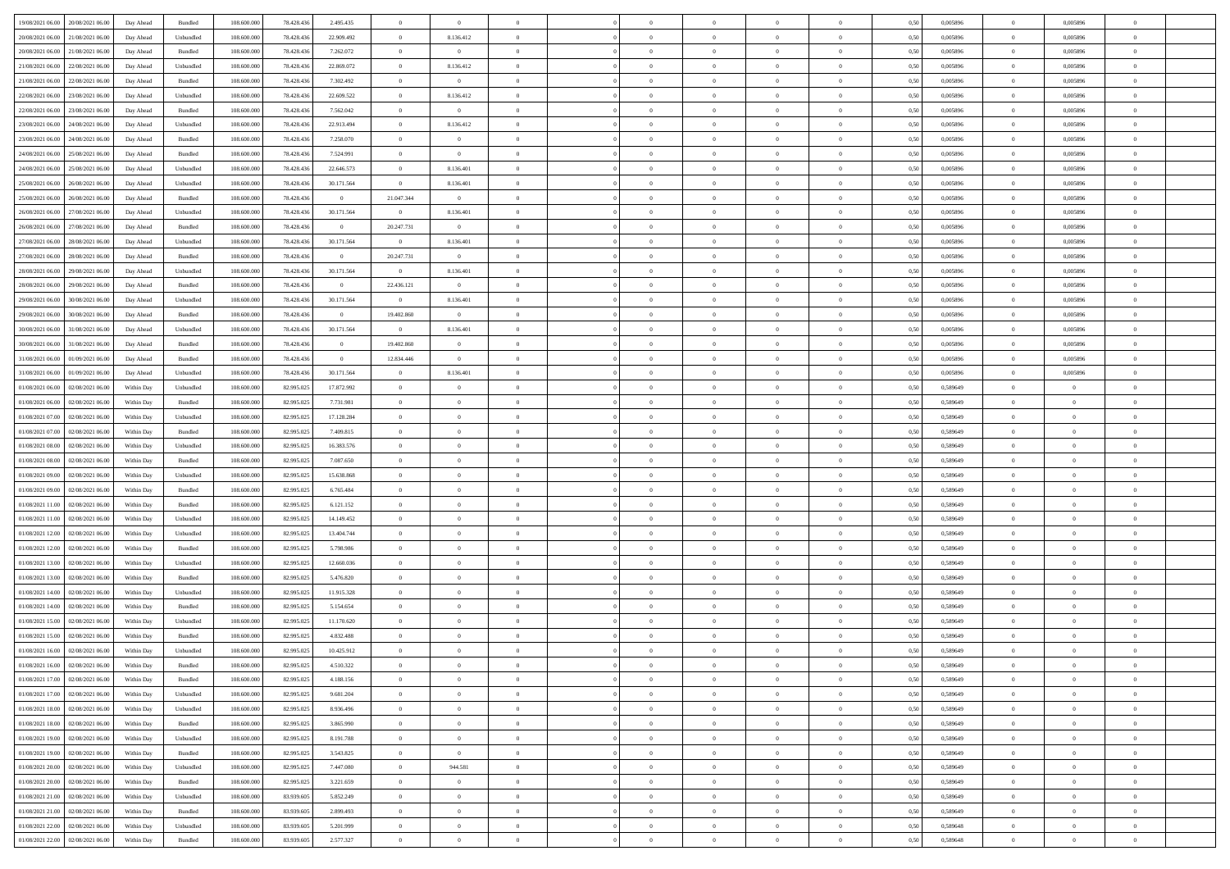| 19/08/2021 06:00 20/08/2021 06:00    | Day Ahead  | Bundled   | 108.600.000 | 78.428.436 | 2.495.435      | $\overline{0}$ | $\overline{0}$ |                |                |                |                |                | 0,50 | 0,005896 | $\overline{0}$ | 0,005896       |                |  |
|--------------------------------------|------------|-----------|-------------|------------|----------------|----------------|----------------|----------------|----------------|----------------|----------------|----------------|------|----------|----------------|----------------|----------------|--|
| 20/08/2021 06:00<br>21/08/2021 06:00 | Day Ahead  | Unbundled | 108,600,00  | 78.428.436 | 22.909.492     | $\overline{0}$ | 8.136.412      | $\Omega$       | $\Omega$       | $\overline{0}$ | $\overline{0}$ | $\bf{0}$       | 0.50 | 0.005896 | $\overline{0}$ | 0.005896       | $\theta$       |  |
|                                      |            |           |             |            |                |                |                |                |                |                |                |                |      |          |                |                |                |  |
| 20/08/2021 06:00<br>21/08/2021 06:00 | Day Ahead  | Bundled   | 108.600.000 | 78.428.436 | 7.262.072      | $\overline{0}$ | $\overline{0}$ | $\overline{0}$ | $\Omega$       | $\overline{0}$ | $\overline{0}$ | $\overline{0}$ | 0.50 | 0,005896 | $\overline{0}$ | 0,005896       | $\theta$       |  |
| 21/08/2021 06:00<br>22/08/2021 06:00 | Day Ahead  | Unbundled | 108.600.000 | 78.428.436 | 22.869.072     | $\overline{0}$ | 8.136.412      | $\overline{0}$ | $\overline{0}$ | $\bf{0}$       | $\overline{0}$ | $\overline{0}$ | 0,50 | 0,005896 | $\overline{0}$ | 0,005896       | $\bf{0}$       |  |
| 21/08/2021 06:00<br>22/08/2021 06:00 | Day Ahead  | Bundled   | 108.600.000 | 78.428.436 | 7.302.492      | $\overline{0}$ | $\overline{0}$ | $\overline{0}$ | $\Omega$       | $\bf{0}$       | $\overline{0}$ | $\bf{0}$       | 0,50 | 0,005896 | $\overline{0}$ | 0,005896       | $\theta$       |  |
| 22/08/2021 06:00<br>23/08/2021 06:00 | Day Ahead  | Unbundled | 108.600.000 | 78.428.436 | 22.609.522     | $\overline{0}$ | 8.136.412      | $\overline{0}$ | $\overline{0}$ | $\overline{0}$ | $\overline{0}$ | $\bf{0}$       | 0.50 | 0,005896 | $\overline{0}$ | 0,005896       | $\theta$       |  |
| 22/08/2021 06:00<br>23/08/2021 06:00 | Day Ahead  | Bundled   | 108.600.000 | 78.428.436 | 7.562.042      | $\overline{0}$ | $\overline{0}$ | $\theta$       | $\Omega$       | $\bf{0}$       | $\overline{0}$ | $\theta$       | 0,50 | 0,005896 | $\overline{0}$ | 0,005896       | $\theta$       |  |
| 23/08/2021 06:00<br>24/08/2021 06:00 | Day Ahead  | Unbundled | 108,600,00  | 78.428.436 | 22.913.494     | $\overline{0}$ | 8.136.412      | $\overline{0}$ | $\Omega$       | $\overline{0}$ | $\overline{0}$ | $\theta$       | 0.50 | 0.005896 | $\overline{0}$ | 0.005896       | $\theta$       |  |
| 23/08/2021 06:00<br>24/08/2021 06:00 | Day Ahead  | Bundled   | 108.600.000 | 78.428.436 | 7.258.070      | $\overline{0}$ | $\overline{0}$ | $\overline{0}$ | $\overline{0}$ | $\overline{0}$ | $\overline{0}$ | $\overline{0}$ | 0,50 | 0,005896 | $\overline{0}$ | 0,005896       | $\theta$       |  |
| 24/08/2021 06:00<br>25/08/2021 06:00 | Day Ahead  | Bundled   | 108.600.000 | 78.428.436 | 7.524.991      | $\overline{0}$ | $\overline{0}$ | $\overline{0}$ | $\overline{0}$ | $\bf{0}$       | $\overline{0}$ | $\overline{0}$ | 0,50 | 0,005896 | $\overline{0}$ | 0,005896       | $\bf{0}$       |  |
| 24/08/2021 06:00<br>25/08/2021 06:00 | Day Ahead  | Unbundled | 108,600,00  | 78.428.436 | 22.646.573     | $\overline{0}$ | 8.136.401      | $\overline{0}$ | $\Omega$       | $\bf{0}$       | $\overline{0}$ | $\bf{0}$       | 0,50 | 0.005896 | $\overline{0}$ | 0.005896       | $\theta$       |  |
| 25/08/2021 06:00<br>26/08/2021 06:00 | Day Ahead  | Unbundled | 108.600.000 | 78.428.436 | 30.171.564     | $\overline{0}$ | 8.136.401      | $\overline{0}$ | $\overline{0}$ | $\overline{0}$ | $\overline{0}$ | $\overline{0}$ | 0.50 | 0,005896 | $\overline{0}$ | 0.005896       | $\theta$       |  |
|                                      |            |           |             |            | $\overline{0}$ |                |                | $\overline{0}$ |                |                | $\overline{0}$ | $\theta$       |      |          |                |                | $\theta$       |  |
| 25/08/2021 06:00<br>26/08/2021 06:00 | Day Ahead  | Bundled   | 108.600.000 | 78.428.436 |                | 21.047.344     | $\overline{0}$ |                | $\overline{0}$ | $\bf{0}$       |                |                | 0,50 | 0,005896 | $\overline{0}$ | 0,005896       |                |  |
| 26/08/2021 06:00<br>27/08/2021 06:00 | Day Ahead  | Unbundled | 108,600,00  | 78.428.436 | 30.171.564     | $\overline{0}$ | 8.136.401      | $\overline{0}$ | $\Omega$       | $\overline{0}$ | $\overline{0}$ | $\bf{0}$       | 0.50 | 0.005896 | $\overline{0}$ | 0.005896       | $\theta$       |  |
| 26/08/2021 06:00<br>27/08/2021 06:00 | Day Ahead  | Bundled   | 108.600.000 | 78.428.436 | $\overline{0}$ | 20.247.731     | $\overline{0}$ | $\overline{0}$ | $\Omega$       | $\overline{0}$ | $\overline{0}$ | $\overline{0}$ | 0,50 | 0,005896 | $\overline{0}$ | 0,005896       | $\theta$       |  |
| 27/08/2021 06:00<br>28/08/2021 06:00 | Day Ahead  | Unbundled | 108.600.000 | 78.428.436 | 30.171.564     | $\overline{0}$ | 8.136.401      | $\theta$       | $\Omega$       | $\bf{0}$       | $\overline{0}$ | $\overline{0}$ | 0,50 | 0,005896 | $\overline{0}$ | 0,005896       | $\theta$       |  |
| 27/08/2021 06:00<br>28/08/2021 06:00 | Day Ahead  | Bundled   | 108,600,00  | 78.428.436 | $\overline{0}$ | 20.247.731     | $\overline{0}$ | $\overline{0}$ | $\Omega$       | $\overline{0}$ | $\overline{0}$ | $\bf{0}$       | 0.50 | 0.005896 | $\overline{0}$ | 0.005896       | $\theta$       |  |
| 28/08/2021 06:00<br>29/08/2021 06:00 | Day Ahead  | Unbundled | 108.600.000 | 78.428.436 | 30.171.564     | $\overline{0}$ | 8.136.401      | $\overline{0}$ | $\overline{0}$ | $\overline{0}$ | $\overline{0}$ | $\overline{0}$ | 0.50 | 0,005896 | $\overline{0}$ | 0.005896       | $\theta$       |  |
| 28/08/2021 06:00<br>29/08/2021 06:00 | Day Ahead  | Bundled   | 108.600.000 | 78.428.436 | $\overline{0}$ | 22.436.121     | $\overline{0}$ | $\overline{0}$ | $\overline{0}$ | $\bf{0}$       | $\bf{0}$       | $\overline{0}$ | 0,50 | 0,005896 | $\overline{0}$ | 0,005896       | $\bf{0}$       |  |
| 29/08/2021 06:00<br>30/08/2021 06:00 | Day Ahead  | Unbundled | 108.600.000 | 78.428.436 | 30.171.564     | $\overline{0}$ | 8.136.401      | $\overline{0}$ | $\Omega$       | $\bf{0}$       | $\overline{0}$ | $\bf{0}$       | 0,50 | 0,005896 | $\overline{0}$ | 0,005896       | $\theta$       |  |
| 29/08/2021 06:00<br>30/08/2021 06:00 | Day Ahead  | Bundled   | 108.600.000 | 78.428.436 | $\overline{0}$ | 19.402.860     | $\overline{0}$ | $\overline{0}$ | $^{\circ}$     | $\overline{0}$ | $\overline{0}$ | $\bf{0}$       | 0.50 | 0,005896 | $\overline{0}$ | 0,005896       | $\theta$       |  |
| 30/08/2021 06:00<br>31/08/2021 06:00 | Day Ahead  | Unbundled | 108.600.000 | 78.428.436 | 30.171.564     | $\overline{0}$ | 8.136.401      | $\theta$       | $\Omega$       | $\bf{0}$       | $\overline{0}$ | $\theta$       | 0,50 | 0,005896 | $\overline{0}$ | 0,005896       | $\sqrt{2}$     |  |
| 30/08/2021 06:00<br>31/08/2021 06:00 |            | Bundled   | 108,600,00  | 78.428.436 | $\overline{0}$ | 19,402,860     | $\overline{0}$ | $\theta$       | $\Omega$       | $\overline{0}$ | $\overline{0}$ | $\bf{0}$       | 0.50 | 0.005896 | $\overline{0}$ | 0.005896       | $\theta$       |  |
|                                      | Day Ahead  |           |             |            |                |                |                |                |                |                |                |                |      |          |                |                |                |  |
| 31/08/2021 06:00<br>01/09/2021 06:00 | Day Ahead  | Bundled   | 108.600.000 | 78.428.436 | $\overline{0}$ | 12.834.446     | $\overline{0}$ | $\overline{0}$ | $\Omega$       | $\overline{0}$ | $\overline{0}$ | $\overline{0}$ | 0.50 | 0,005896 | $\overline{0}$ | 0,005896       | $\theta$       |  |
| 31/08/2021 06:00<br>01/09/2021 06:00 | Day Ahead  | Unbundled | 108.600.000 | 78.428.436 | 30.171.564     | $\overline{0}$ | 8.136.401      | $\overline{0}$ | $\overline{0}$ | $\bf{0}$       | $\overline{0}$ | $\overline{0}$ | 0,50 | 0,005896 | $\overline{0}$ | 0,005896       | $\bf{0}$       |  |
| 01/08/2021 06:00<br>02/08/2021 06:00 | Within Day | Unbundled | 108,600,00  | 82,995.025 | 17.872.992     | $\overline{0}$ | $\overline{0}$ | $\overline{0}$ | $\Omega$       | $\bf{0}$       | $\overline{0}$ | $\bf{0}$       | 0,50 | 0,589649 | $\overline{0}$ | $\overline{0}$ | $\theta$       |  |
| 01/08/2021 06:00<br>02/08/2021 06:00 | Within Dav | Bundled   | 108.600.000 | 82.995.025 | 7.731.981      | $\overline{0}$ | $\overline{0}$ | $\overline{0}$ | $\overline{0}$ | $\overline{0}$ | $\overline{0}$ | $\bf{0}$       | 0.50 | 0,589649 | $\overline{0}$ | $\overline{0}$ | $\theta$       |  |
| 01/08/2021 07:00<br>02/08/2021 06:00 | Within Day | Unbundled | 108.600.000 | 82.995.025 | 17.128.284     | $\overline{0}$ | $\overline{0}$ | $\Omega$       | $\theta$       | $\bf{0}$       | $\overline{0}$ | $\theta$       | 0,50 | 0,589649 | $\overline{0}$ | $\overline{0}$ | $\theta$       |  |
| 01/08/2021 07:00<br>02/08/2021 06:00 | Within Day | Bundled   | 108,600,00  | 82,995.025 | 7.409.815      | $\overline{0}$ | $\overline{0}$ | $\overline{0}$ | $\Omega$       | $\overline{0}$ | $\overline{0}$ | $\bf{0}$       | 0.50 | 0,589649 | $\overline{0}$ | $\overline{0}$ | $\theta$       |  |
| 01/08/2021 08:00<br>02/08/2021 06:00 | Within Dav | Unbundled | 108.600.000 | 82.995.025 | 16.383.576     | $\overline{0}$ | $\overline{0}$ | $\overline{0}$ | $\Omega$       | $\overline{0}$ | $\overline{0}$ | $\overline{0}$ | 0,50 | 0,589649 | $\overline{0}$ | $^{\circ}$     | $^{\circ}$     |  |
| 01/08/2021 08:00<br>02/08/2021 06:00 | Within Day | Bundled   | 108.600.000 | 82.995.025 | 7.087.650      | $\overline{0}$ | $\overline{0}$ | $\overline{0}$ | $\overline{0}$ | $\overline{0}$ | $\theta$       | $\overline{0}$ | 0,50 | 0,589649 | $\overline{0}$ | $\overline{0}$ |                |  |
| 01/08/2021 09:00<br>02/08/2021 06:00 | Within Day | Unbundled | 108,600,00  | 82,995.025 | 15.638.868     | $\overline{0}$ | $\overline{0}$ | $\overline{0}$ | $\Omega$       | $\bf{0}$       | $\overline{0}$ | $\bf{0}$       | 0,50 | 0,589649 | $\overline{0}$ | $\overline{0}$ | $\theta$       |  |
| 01/08/2021 09:00<br>02/08/2021 06:00 | Within Dav | Bundled   | 108.600.000 | 82.995.025 | 6.765.484      | $\overline{0}$ | $\overline{0}$ | $\overline{0}$ | $\Omega$       | $\overline{0}$ | $\overline{0}$ | $\overline{0}$ | 0.50 | 0,589649 | $\overline{0}$ | $^{\circ}$     | $\theta$       |  |
|                                      |            |           |             |            |                |                |                |                |                |                |                |                |      |          |                |                |                |  |
| 01/08/2021 11:00<br>02/08/2021 06:00 | Within Day | Bundled   | 108.600.000 | 82.995.025 | 6.121.152      | $\overline{0}$ | $\overline{0}$ | $\overline{0}$ | $\overline{0}$ | $\overline{0}$ | $\theta$       | $\overline{0}$ | 0,50 | 0,589649 | $\overline{0}$ | $\overline{0}$ |                |  |
| 01/08/2021 11:00<br>02/08/2021 06:00 | Within Day | Unbundled | 108.600.000 | 82.995.025 | 14.149.452     | $\overline{0}$ | $\overline{0}$ | $\overline{0}$ | $\Omega$       | $\bf{0}$       | $\overline{0}$ | $\bf{0}$       | 0,50 | 0,589649 | $\overline{0}$ | $\overline{0}$ | $\theta$       |  |
| 01/08/2021 12:00<br>02/08/2021 06:00 | Within Dav | Unbundled | 108.600.000 | 82.995.025 | 13.404.744     | $\overline{0}$ | $\overline{0}$ | $\overline{0}$ | $\overline{0}$ | $\overline{0}$ | $\overline{0}$ | $\bf{0}$       | 0.50 | 0,589649 | $\overline{0}$ | $^{\circ}$     | $\theta$       |  |
| 01/08/2021 12:00<br>02/08/2021 06:00 | Within Day | Bundled   | 108.600.000 | 82.995.025 | 5.798.986      | $\overline{0}$ | $\overline{0}$ | $\overline{0}$ | $\overline{0}$ | $\overline{0}$ | $\theta$       | $\theta$       | 0,50 | 0,589649 | $\overline{0}$ | $\overline{0}$ |                |  |
| 01/08/2021 13:00<br>02/08/2021 06:00 | Within Day | Unbundled | 108,600,00  | 82.995.02  | 12.660.036     | $\overline{0}$ | $\overline{0}$ | $\overline{0}$ | $\Omega$       | $\overline{0}$ | $\overline{0}$ | $\bf{0}$       | 0.50 | 0,589649 | $\overline{0}$ | $\overline{0}$ | $\theta$       |  |
| 01/08/2021 13:00<br>02/08/2021 06:00 | Within Dav | Bundled   | 108.600.000 | 82.995.025 | 5.476.820      | $\overline{0}$ | $\overline{0}$ | $\overline{0}$ | $\Omega$       | $\overline{0}$ | $\overline{0}$ | $\overline{0}$ | 0,50 | 0,589649 | $\overline{0}$ | $^{\circ}$     | $\theta$       |  |
| 01/08/2021 14:00<br>02/08/2021 06:00 | Within Day | Unbundled | 108.600.000 | 82.995.025 | 11.915.328     | $\overline{0}$ | $\overline{0}$ | $\overline{0}$ | $\overline{0}$ | $\overline{0}$ | $\overline{0}$ | $\overline{0}$ | 0,50 | 0,589649 | $\overline{0}$ | $\overline{0}$ | $\overline{0}$ |  |
| 01/08/2021 14:00<br>02/08/2021 06:00 | Within Day | Bundled   | 108.600.000 | 82,995.025 | 5.154.654      | $\overline{0}$ | $\overline{0}$ | $\overline{0}$ | $\Omega$       | $\bf{0}$       | $\overline{0}$ | $\bf{0}$       | 0,50 | 0,589649 | $\overline{0}$ | $\overline{0}$ | $\theta$       |  |
| 01/08/2021 15:00<br>02/08/2021 06:00 | Within Dav | Unbundled | 108.600.000 | 82.995.025 | 11.170.620     | $\overline{0}$ | $\overline{0}$ | $\overline{0}$ | $\Omega$       | $\overline{0}$ | $\overline{0}$ | $\bf{0}$       | 0.50 | 0,589649 | $\overline{0}$ | $^{\circ}$     | $^{\circ}$     |  |
| 01/08/2021 15:00<br>02/08/2021 06:00 | Within Day | Bundled   | 108.600.000 | 82.995.025 | 4.832.488      | $\overline{0}$ | $\overline{0}$ |                |                | $\theta$       | $\theta$       |                | 0,50 | 0,589649 | $\overline{0}$ |                |                |  |
| 01/08/2021 16:00<br>02/08/2021 06:00 | Within Day | Unbundled | 108.600.000 | 82.995.025 | 10.425.912     | $\overline{0}$ | $\overline{0}$ | $\overline{0}$ | $\overline{0}$ | $\bf{0}$       | $\bf{0}$       | $\bf{0}$       | 0,50 | 0,589649 | $\overline{0}$ | $\overline{0}$ | $\theta$       |  |
| 01/08/2021 16:00 02/08/2021 06:00    |            | Bundled   | 108.600.000 | 82.995.025 |                |                |                |                |                |                |                |                |      |          |                |                |                |  |
|                                      | Within Day |           |             |            | 4.510.322      | $\overline{0}$ | $\overline{0}$ |                |                | $\Omega$       |                |                | 0,50 | 0,589649 | $\theta$       |                |                |  |
| 01/08/2021 17:00 02/08/2021 06:00    | Within Day | Bundled   | 108.600.000 | 82.995.025 | 4.188.156      | $\overline{0}$ | $\overline{0}$ | $\overline{0}$ | $\overline{0}$ | $\overline{0}$ | $\overline{0}$ | $\overline{0}$ | 0,50 | 0,589649 | $\overline{0}$ | $\overline{0}$ | $\overline{0}$ |  |
| 01/08/2021 17:00 02/08/2021 06:00    | Within Day | Unbundled | 108,600,000 | 82.995.025 | 9.681.204      | $\overline{0}$ | $\overline{0}$ | $\overline{0}$ | $\overline{0}$ | $\overline{0}$ | $\overline{0}$ | $\overline{0}$ | 0,50 | 0,589649 | $\overline{0}$ | $\overline{0}$ | $\bf{0}$       |  |
| 01/08/2021 18:00 02/08/2021 06:00    | Within Dav | Unbundled | 108.600.000 | 82.995.025 | 8.936.496      | $\overline{0}$ | $\overline{0}$ | $\overline{0}$ | $\overline{0}$ | $\overline{0}$ | $\overline{0}$ | $\bf{0}$       | 0,50 | 0,589649 | $\overline{0}$ | $\overline{0}$ | $\overline{0}$ |  |
| 01/08/2021 18:00 02/08/2021 06:00    | Within Day | Bundled   | 108.600.000 | 82.995.025 | 3.865.990      | $\overline{0}$ | $\overline{0}$ | $\overline{0}$ | $\overline{0}$ | $\,$ 0 $\,$    | $\overline{0}$ | $\overline{0}$ | 0,50 | 0,589649 | $\overline{0}$ | $\overline{0}$ | $\overline{0}$ |  |
| 01/08/2021 19:00 02/08/2021 06:00    | Within Day | Unbundled | 108.600.000 | 82.995.025 | 8.191.788      | $\overline{0}$ | $\overline{0}$ | $\overline{0}$ | $\overline{0}$ | $\overline{0}$ | $\overline{0}$ | $\bf{0}$       | 0,50 | 0,589649 | $\overline{0}$ | $\overline{0}$ | $\overline{0}$ |  |
| 01/08/2021 19:00<br>02/08/2021 06:00 | Within Dav | Bundled   | 108.600.000 | 82.995.025 | 3.543.825      | $\overline{0}$ | $\overline{0}$ | $\overline{0}$ | $\overline{0}$ | $\overline{0}$ | $\overline{0}$ | $\overline{0}$ | 0,50 | 0,589649 | $\overline{0}$ | $\overline{0}$ | $\overline{0}$ |  |
| 01/08/2021 20:00 02/08/2021 06:00    | Within Day | Unbundled | 108.600.000 | 82.995.025 | 7.447.080      | $\overline{0}$ | 944.581        | $\overline{0}$ | $\overline{0}$ | $\overline{0}$ | $\overline{0}$ | $\overline{0}$ | 0,50 | 0,589649 | $\overline{0}$ | $\overline{0}$ | $\overline{0}$ |  |
| 01/08/2021 20:00 02/08/2021 06:00    | Within Day | Bundled   | 108,600,00  | 82.995.025 | 3.221.659      | $\overline{0}$ | $\overline{0}$ | $\overline{0}$ | $\Omega$       | $\bf{0}$       | $\overline{0}$ | $\mathbf{0}$   | 0.50 | 0,589649 | $\overline{0}$ | $\overline{0}$ | $\theta$       |  |
| 01/08/2021 21:00<br>02/08/2021 06:00 | Within Dav | Unbundled | 108.600.000 | 83.939.605 | 5.852.249      | $\overline{0}$ | $\overline{0}$ | $\overline{0}$ | $\overline{0}$ | $\overline{0}$ | $\overline{0}$ | $\overline{0}$ | 0,50 | 0,589649 | $\overline{0}$ | $\overline{0}$ | $\overline{0}$ |  |
|                                      |            |           |             |            |                |                |                |                |                |                |                |                |      |          |                |                |                |  |
| 01/08/2021 21:00 02/08/2021 06:00    | Within Day | Bundled   | 108.600.000 | 83.939.605 | 2.899.493      | $\overline{0}$ | $\overline{0}$ | $\overline{0}$ | $\overline{0}$ | $\,$ 0 $\,$    | $\overline{0}$ | $\overline{0}$ | 0,50 | 0,589649 | $\overline{0}$ | $\overline{0}$ | $\overline{0}$ |  |
| 01/08/2021 22:00 02/08/2021 06:00    | Within Day | Unbundled | 108.600.000 | 83.939.605 | 5.201.999      | $\overline{0}$ | $\overline{0}$ | $\overline{0}$ | $\overline{0}$ | $\bf{0}$       | $\overline{0}$ | $\bf{0}$       | 0,50 | 0,589648 | $\overline{0}$ | $\overline{0}$ | $\bf{0}$       |  |
| 01/08/2021 22:00 02/08/2021 06:00    | Within Day | Bundled   | 108.600.000 | 83.939.605 | 2.577.327      | $\overline{0}$ | $\overline{0}$ | $\overline{0}$ | $\overline{0}$ | $\overline{0}$ | $\overline{0}$ | $\mathbf{0}$   | 0,50 | 0,589648 | $\overline{0}$ | $\overline{0}$ | $\overline{0}$ |  |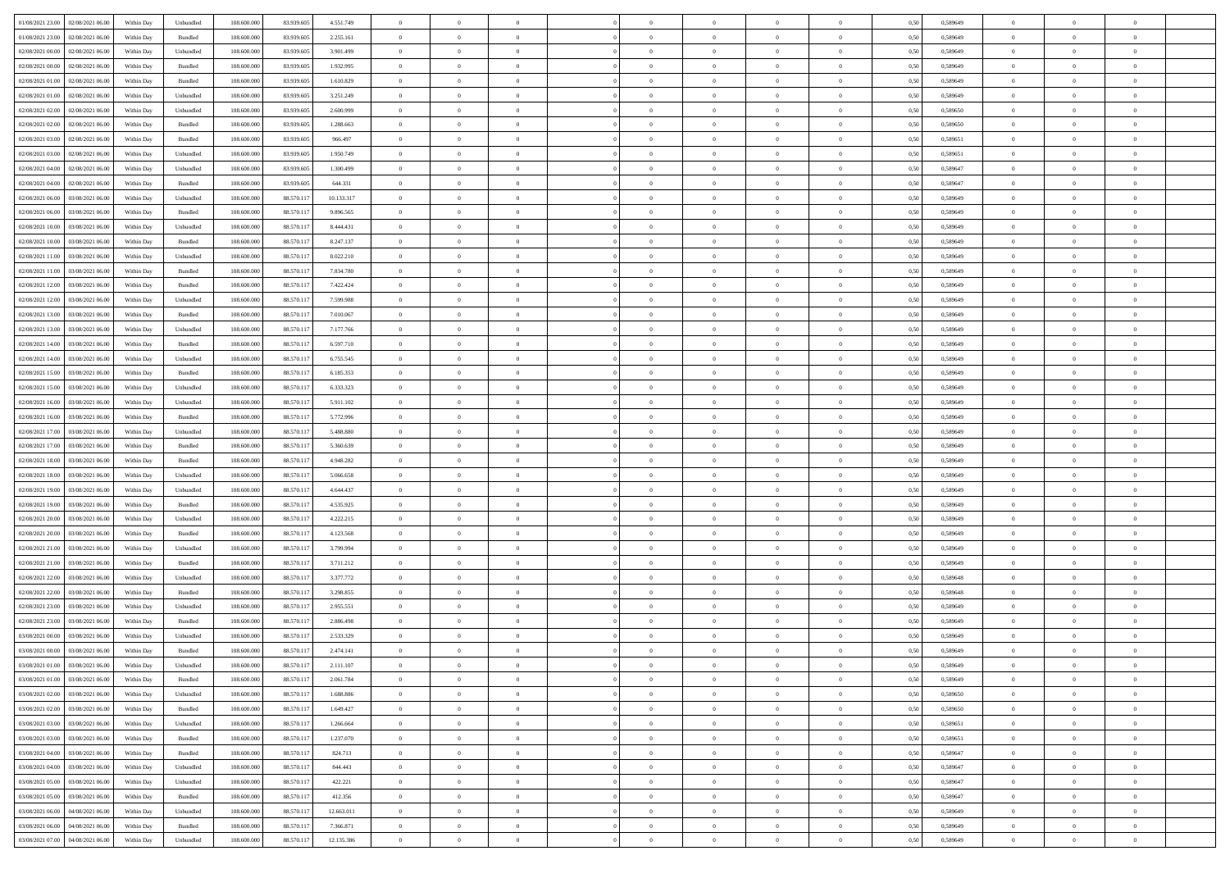|                                                                        |            |                             |             |            |            | $\overline{0}$ | $\overline{0}$ |                | $\overline{0}$ | $\theta$       |                | $\theta$       |      |          | $\theta$       | $\theta$       | $\overline{0}$ |  |
|------------------------------------------------------------------------|------------|-----------------------------|-------------|------------|------------|----------------|----------------|----------------|----------------|----------------|----------------|----------------|------|----------|----------------|----------------|----------------|--|
| 01/08/2021 23:00 02/08/2021 06:00                                      | Within Day | Unbundled                   | 108.600.000 | 83.939.605 | 4.551.749  |                |                |                |                |                |                |                | 0,50 | 0,589649 |                |                |                |  |
| 01/08/2021 23:00<br>02/08/2021 06:00                                   | Within Day | Bundled                     | 108.600.00  | 83.939.60  | 2.255.161  | $\bf{0}$       | $\bf{0}$       | $\bf{0}$       | $\overline{0}$ | $\overline{0}$ | $\overline{0}$ | $\bf{0}$       | 0,50 | 0,589649 | $\,$ 0 $\,$    | $\bf{0}$       | $\overline{0}$ |  |
| 02/08/2021 00:00<br>02/08/2021 06:00                                   | Within Day | Unbundled                   | 108,600,000 | 83.939.605 | 3.901.499  | $\overline{0}$ | $\bf{0}$       | $\overline{0}$ | $\bf{0}$       | $\bf{0}$       | $\overline{0}$ | $\bf{0}$       | 0.50 | 0.589649 | $\bf{0}$       | $\overline{0}$ | $\overline{0}$ |  |
| 02/08/2021 00:00<br>02/08/2021 06:00                                   | Within Day | Bundled                     | 108.600.000 | 83.939.605 | 1.932.995  | $\overline{0}$ | $\overline{0}$ | $\overline{0}$ | $\theta$       | $\theta$       | $\overline{0}$ | $\bf{0}$       | 0,50 | 0,589649 | $\theta$       | $\theta$       | $\overline{0}$ |  |
|                                                                        |            |                             |             |            |            |                |                |                |                |                |                |                |      |          |                |                |                |  |
| 02/08/2021 01:00<br>02/08/2021 06.00                                   | Within Day | Bundled                     | 108.600.00  | 83.939.605 | 1.610.829  | $\bf{0}$       | $\overline{0}$ | $\bf{0}$       | $\overline{0}$ | $\theta$       | $\overline{0}$ | $\bf{0}$       | 0,50 | 0,589649 | $\,$ 0 $\,$    | $\bf{0}$       | $\overline{0}$ |  |
| 02/08/2021 01:00<br>02/08/2021 06:00                                   | Within Day | Unbundled                   | 108,600,000 | 83.939.605 | 3.251.249  | $\overline{0}$ | $\overline{0}$ | $\overline{0}$ | $\bf{0}$       | $\overline{0}$ | $\theta$       | $\bf{0}$       | 0.50 | 0.589649 | $\,$ 0 $\,$    | $\theta$       | $\overline{0}$ |  |
| 02/08/2021 02:00<br>02/08/2021 06:00                                   | Within Day | Unbundled                   | 108.600.000 | 83.939.605 | 2.600.999  | $\overline{0}$ | $\overline{0}$ | $\overline{0}$ | $\overline{0}$ | $\overline{0}$ | $\overline{0}$ | $\bf{0}$       | 0,50 | 0,589650 | $\,$ 0 $\,$    | $\theta$       | $\overline{0}$ |  |
|                                                                        |            |                             |             |            |            |                |                |                |                |                |                |                |      |          |                |                |                |  |
| 02/08/2021 02:00<br>02/08/2021 06:00                                   | Within Day | Bundled                     | 108.600.00  | 83.939.60  | 1.288.663  | $\bf{0}$       | $\bf{0}$       | $\bf{0}$       | $\overline{0}$ | $\theta$       | $\overline{0}$ | $\bf{0}$       | 0,50 | 0,589650 | $\,$ 0 $\,$    | $\bf{0}$       | $\overline{0}$ |  |
| 02/08/2021 03:00<br>02/08/2021 06:00                                   | Within Day | Bundled                     | 108,600,000 | 83.939.60  | 966.497    | $\overline{0}$ | $\bf{0}$       | $\overline{0}$ | $\bf{0}$       | $\overline{0}$ | $\overline{0}$ | $\bf{0}$       | 0.50 | 0.589651 | $\bf{0}$       | $\overline{0}$ | $\overline{0}$ |  |
| 02/08/2021 03:00<br>02/08/2021 06:00                                   | Within Day | Unbundled                   | 108.600.000 | 83.939.605 | 1.950.749  | $\overline{0}$ | $\bf{0}$       | $\overline{0}$ | $\overline{0}$ | $\overline{0}$ | $\overline{0}$ | $\bf{0}$       | 0,50 | 0,589651 | $\,$ 0 $\,$    | $\bf{0}$       | $\overline{0}$ |  |
| 02/08/2021 04:00<br>02/08/2021 06.00                                   | Within Day | Unbundled                   | 108.600.00  | 83.939.60  | 1.300.499  | $\bf{0}$       | $\overline{0}$ | $\bf{0}$       | $\bf{0}$       | $\bf{0}$       | $\overline{0}$ | $\bf{0}$       | 0,50 | 0,589647 | $\,$ 0 $\,$    | $\bf{0}$       | $\overline{0}$ |  |
|                                                                        |            |                             |             |            |            |                |                |                |                |                |                |                |      |          |                |                |                |  |
| 02/08/2021 04:00<br>02/08/2021 06:00                                   | Within Day | Bundled                     | 108,600,000 | 83.939.605 | 644.331    | $\overline{0}$ | $\bf{0}$       | $\overline{0}$ | $\overline{0}$ | $\bf{0}$       | $\overline{0}$ | $\bf{0}$       | 0.50 | 0.589647 | $\bf{0}$       | $\overline{0}$ | $\,$ 0         |  |
| 02/08/2021 06:00<br>03/08/2021 06:00                                   | Within Day | Unbundled                   | 108.600.000 | 88.570.117 | 10.133.317 | $\overline{0}$ | $\overline{0}$ | $\overline{0}$ | $\theta$       | $\theta$       | $\overline{0}$ | $\bf{0}$       | 0,50 | 0,589649 | $\,$ 0 $\,$    | $\theta$       | $\overline{0}$ |  |
| 02/08/2021 06:00<br>03/08/2021 06:00                                   | Within Day | Bundled                     | 108.600.00  | 88.570.11  | 9.896.565  | $\bf{0}$       | $\overline{0}$ | $\bf{0}$       | $\overline{0}$ | $\theta$       | $\overline{0}$ | $\bf{0}$       | 0,50 | 0,589649 | $\,$ 0 $\,$    | $\bf{0}$       | $\overline{0}$ |  |
| 02/08/2021 10:00<br>03/08/2021 06:00                                   |            | Unbundled                   | 108,600,000 | 88.570.117 | 8.444.431  | $\overline{0}$ | $\overline{0}$ | $\overline{0}$ | $\bf{0}$       | $\overline{0}$ | $\Omega$       | $\bf{0}$       | 0.50 | 0.589649 | $\,$ 0 $\,$    | $\theta$       | $\overline{0}$ |  |
|                                                                        | Within Day |                             |             |            |            |                |                |                |                |                |                |                |      |          |                |                |                |  |
| 02/08/2021 10:00<br>03/08/2021 06:00                                   | Within Day | Bundled                     | 108.600.000 | 88.570.117 | 8.247.137  | $\overline{0}$ | $\overline{0}$ | $\overline{0}$ | $\overline{0}$ | $\theta$       | $\overline{0}$ | $\bf{0}$       | 0,50 | 0,589649 | $\theta$       | $\theta$       | $\overline{0}$ |  |
| 02/08/2021 11:00<br>03/08/2021 06:00                                   | Within Day | Unbundled                   | 108.600.00  | 88.570.117 | 8.022.210  | $\bf{0}$       | $\overline{0}$ | $\bf{0}$       | $\overline{0}$ | $\theta$       | $\overline{0}$ | $\bf{0}$       | 0,50 | 0,589649 | $\,$ 0 $\,$    | $\bf{0}$       | $\overline{0}$ |  |
| 02/08/2021 11:00<br>03/08/2021 06:00                                   | Within Day | Bundled                     | 108,600,000 | 88.570.117 | 7.834.780  | $\overline{0}$ | $\bf{0}$       | $\overline{0}$ | $\bf{0}$       | $\overline{0}$ | $\overline{0}$ | $\bf{0}$       | 0.50 | 0.589649 | $\bf{0}$       | $\overline{0}$ | $\overline{0}$ |  |
| 02/08/2021 12:00<br>03/08/2021 06:00                                   | Within Day | Bundled                     | 108.600.000 | 88.570.117 | 7.422.424  | $\overline{0}$ | $\bf{0}$       | $\overline{0}$ | $\overline{0}$ | $\overline{0}$ | $\overline{0}$ | $\bf{0}$       | 0,50 | 0,589649 | $\,$ 0 $\,$    | $\bf{0}$       | $\overline{0}$ |  |
|                                                                        |            |                             |             |            |            |                |                |                |                |                |                |                |      |          |                |                |                |  |
| 02/08/2021 12:00<br>03/08/2021 06:00                                   | Within Day | Unbundled                   | 108.600.00  | 88.570.11  | 7.599.988  | $\bf{0}$       | $\bf{0}$       | $\bf{0}$       | $\bf{0}$       | $\overline{0}$ | $\overline{0}$ | $\bf{0}$       | 0,50 | 0,589649 | $\,$ 0 $\,$    | $\bf{0}$       | $\overline{0}$ |  |
| 02/08/2021 13:00<br>03/08/2021 06:00                                   | Within Day | Bundled                     | 108,600,000 | 88.570.117 | 7.010.067  | $\overline{0}$ | $\bf{0}$       | $\overline{0}$ | $\overline{0}$ | $\bf{0}$       | $\overline{0}$ | $\bf{0}$       | 0.50 | 0.589649 | $\bf{0}$       | $\overline{0}$ | $\overline{0}$ |  |
| 02/08/2021 13:00<br>03/08/2021 06:00                                   | Within Day | Unbundled                   | 108.600.000 | 88.570.117 | 7.177.766  | $\overline{0}$ | $\overline{0}$ | $\overline{0}$ | $\theta$       | $\theta$       | $\overline{0}$ | $\bf{0}$       | 0,50 | 0,589649 | $\theta$       | $\theta$       | $\overline{0}$ |  |
| 02/08/2021 14:00<br>03/08/2021 06:00                                   | Within Day | Bundled                     | 108.600.00  | 88.570.11  | 6.597.710  | $\bf{0}$       | $\overline{0}$ | $\bf{0}$       | $\bf{0}$       | $\overline{0}$ | $\overline{0}$ | $\bf{0}$       | 0,50 | 0,589649 | $\,$ 0 $\,$    | $\bf{0}$       | $\overline{0}$ |  |
|                                                                        |            |                             |             |            |            |                |                |                |                |                |                |                |      |          |                |                |                |  |
| 02/08/2021 14:00<br>03/08/2021 06:00                                   | Within Day | Unbundled                   | 108,600,000 | 88.570.117 | 6.755.545  | $\overline{0}$ | $\overline{0}$ | $\overline{0}$ | $\bf{0}$       | $\overline{0}$ | $\Omega$       | $\bf{0}$       | 0.50 | 0.589649 | $\,$ 0 $\,$    | $\theta$       | $\overline{0}$ |  |
| 02/08/2021 15:00<br>03/08/2021 06:00                                   | Within Day | Bundled                     | 108.600.000 | 88.570.117 | 6.185.353  | $\overline{0}$ | $\overline{0}$ | $\overline{0}$ | $\overline{0}$ | $\theta$       | $\overline{0}$ | $\bf{0}$       | 0,50 | 0,589649 | $\,$ 0 $\,$    | $\theta$       | $\overline{0}$ |  |
| 02/08/2021 15:00<br>03/08/2021 06:00                                   | Within Day | Unbundled                   | 108.600.00  | 88.570.11  | 6.333.323  | $\bf{0}$       | $\overline{0}$ | $\bf{0}$       | $\overline{0}$ | $\theta$       | $\overline{0}$ | $\bf{0}$       | 0,50 | 0,589649 | $\,$ 0 $\,$    | $\bf{0}$       | $\overline{0}$ |  |
| 02/08/2021 16:00<br>03/08/2021 06:00                                   | Within Day | Unbundled                   | 108,600,000 | 88.570.117 | 5.911.102  | $\overline{0}$ | $\bf{0}$       | $\overline{0}$ | $\bf{0}$       | $\overline{0}$ | $\overline{0}$ | $\bf{0}$       | 0.50 | 0.589649 | $\bf{0}$       | $\overline{0}$ | $\overline{0}$ |  |
|                                                                        |            |                             |             |            |            |                |                |                |                |                |                |                |      |          |                |                |                |  |
| 02/08/2021 16:00<br>03/08/2021 06:00                                   | Within Day | Bundled                     | 108.600.000 | 88.570.117 | 5.772.996  | $\overline{0}$ | $\bf{0}$       | $\overline{0}$ | $\overline{0}$ | $\overline{0}$ | $\overline{0}$ | $\bf{0}$       | 0,50 | 0,589649 | $\theta$       | $\theta$       | $\overline{0}$ |  |
| 02/08/2021 17:00<br>03/08/2021 06:00                                   | Within Day | Unbundled                   | 108.600.00  | 88.570.11  | 5.488.880  | $\bf{0}$       | $\bf{0}$       | $\bf{0}$       | $\bf{0}$       | $\overline{0}$ | $\overline{0}$ | $\bf{0}$       | 0,50 | 0,589649 | $\,$ 0 $\,$    | $\bf{0}$       | $\overline{0}$ |  |
| 02/08/2021 17:00<br>03/08/2021 06:00                                   | Within Day | Bundled                     | 108,600,000 | 88.570.117 | 5.360.639  | $\overline{0}$ | $\bf{0}$       | $\overline{0}$ | $\bf{0}$       | $\bf{0}$       | $\overline{0}$ | $\bf{0}$       | 0.50 | 0.589649 | $\bf{0}$       | $\overline{0}$ | $\overline{0}$ |  |
| 02/08/2021 18:00<br>03/08/2021 06:00                                   | Within Day | Bundled                     | 108.600.000 | 88.570.117 | 4.948.282  | $\overline{0}$ | $\overline{0}$ | $\overline{0}$ | $\overline{0}$ | $\overline{0}$ | $\overline{0}$ | $\bf{0}$       | 0.50 | 0.589649 | $\theta$       | $\theta$       | $\overline{0}$ |  |
|                                                                        |            |                             |             |            |            |                |                |                |                |                |                |                |      |          |                |                |                |  |
| 02/08/2021 18:00<br>03/08/2021 06:00                                   | Within Day | Unbundled                   | 108.600.00  | 88.570.11  | 5.066.658  | $\bf{0}$       | $\overline{0}$ | $\bf{0}$       | $\bf{0}$       | $\overline{0}$ | $\overline{0}$ | $\bf{0}$       | 0,50 | 0,589649 | $\,$ 0 $\,$    | $\bf{0}$       | $\overline{0}$ |  |
| 02/08/2021 19:00<br>03/08/2021 06:00                                   | Within Day | Unbundled                   | 108,600,000 | 88.570.117 | 4.644.437  | $\overline{0}$ | $\bf{0}$       | $\overline{0}$ | $\bf{0}$       | $\overline{0}$ | $\Omega$       | $\bf{0}$       | 0.50 | 0.589649 | $\,$ 0 $\,$    | $\theta$       | $\overline{0}$ |  |
| 02/08/2021 19:00<br>03/08/2021 06:00                                   | Within Dav | Bundled                     | 108.600.000 | 88.570.117 | 4.535.925  | $\overline{0}$ | $\overline{0}$ | $\overline{0}$ | $\overline{0}$ | $\theta$       | $\overline{0}$ | $\bf{0}$       | 0.50 | 0.589649 | $\theta$       | $\theta$       | $\overline{0}$ |  |
| 02/08/2021 20:00<br>03/08/2021 06:00                                   | Within Day | Unbundled                   | 108.600.00  | 88.570.11  | 4.222.215  | $\bf{0}$       | $\bf{0}$       | $\bf{0}$       | $\bf{0}$       | $\bf{0}$       | $\overline{0}$ | $\bf{0}$       | 0,50 | 0,589649 | $\,$ 0 $\,$    | $\bf{0}$       | $\overline{0}$ |  |
| 03/08/2021 06:00                                                       |            | Bundled                     | 108,600,000 | 88.570.117 |            |                | $\bf{0}$       | $\overline{0}$ |                | $\overline{0}$ | $\overline{0}$ |                | 0.50 | 0.589649 | $\bf{0}$       | $\overline{0}$ | $\overline{0}$ |  |
| 02/08/2021 20:00                                                       | Within Day |                             |             |            | 4.123.568  | $\overline{0}$ |                |                | $\bf{0}$       |                |                | $\bf{0}$       |      |          |                |                |                |  |
| 02/08/2021 21:00<br>03/08/2021 06:00                                   | Within Dav | Unbundled                   | 108.600.000 | 88.570.117 | 3.799.994  | $\overline{0}$ | $\overline{0}$ | $\overline{0}$ | $\overline{0}$ | $\overline{0}$ | $\overline{0}$ | $\bf{0}$       | 0.50 | 0.589649 | $\theta$       | $\theta$       | $\overline{0}$ |  |
| 02/08/2021 21:00<br>03/08/2021 06:00                                   | Within Day | Bundled                     | 108.600.00  | 88.570.117 | 3.711.212  | $\bf{0}$       | $\bf{0}$       | $\bf{0}$       | $\bf{0}$       | $\overline{0}$ | $\overline{0}$ | $\bf{0}$       | 0,50 | 0,589649 | $\,$ 0 $\,$    | $\bf{0}$       | $\overline{0}$ |  |
| 02/08/2021 22:00<br>03/08/2021 06:00                                   | Within Day | Unbundled                   | 108,600,000 | 88.570.117 | 3.377.772  | $\overline{0}$ | $\bf{0}$       | $\overline{0}$ | $\overline{0}$ | $\bf{0}$       | $\overline{0}$ | $\bf{0}$       | 0.50 | 0.589648 | $\bf{0}$       | $\overline{0}$ | $\overline{0}$ |  |
| 02/08/2021 22:00<br>03/08/2021 06:00                                   | Within Day | Bundled                     | 108.600.000 | 88.570.117 | 3.298.855  | $\overline{0}$ | $\overline{0}$ | $\overline{0}$ | $\overline{0}$ | $\theta$       | $\overline{0}$ | $\bf{0}$       | 0.50 | 0.589648 | $\theta$       | $\theta$       | $\overline{0}$ |  |
|                                                                        |            |                             |             |            |            |                |                |                |                |                |                |                |      |          |                |                |                |  |
| 02/08/2021 23:00<br>03/08/2021 06:00                                   | Within Day | Unbundled                   | 108.600.00  | 88.570.11  | 2.955.551  | $\bf{0}$       | $\bf{0}$       | $\bf{0}$       | $\bf{0}$       | $\overline{0}$ | $\overline{0}$ | $\bf{0}$       | 0,50 | 0,589649 | $\,$ 0 $\,$    | $\bf{0}$       | $\overline{0}$ |  |
| 02/08/2021 23:00<br>03/08/2021 06:00                                   | Within Day | Bundled                     | 108,600,000 | 88.570.117 | 2.886.498  | $\overline{0}$ | $\overline{0}$ | $\overline{0}$ | $\bf{0}$       | $\theta$       | $\Omega$       | $\bf{0}$       | 0.50 | 0.589649 | $\,$ 0 $\,$    | $\theta$       | $\overline{0}$ |  |
| 03/08/2021 00:00<br>03/08/2021 06:00                                   | Within Dav | Unbundled                   | 108.600.000 | 88.570.117 | 2.533.329  | $\overline{0}$ | $\overline{0}$ | $\Omega$       | $\overline{0}$ | $\theta$       | $\Omega$       | $\overline{0}$ | 0.50 | 0.589649 | $\theta$       | $\theta$       | $\overline{0}$ |  |
| 03/08/2021 00:00<br>03/08/2021 06:00                                   | Within Day | Bundled                     | 108.600.00  | 88.570.117 | 2.474.141  | $\bf{0}$       | $\bf{0}$       | $\bf{0}$       | $\bf{0}$       | $\bf{0}$       | $\overline{0}$ | $\bf{0}$       | 0,50 | 0,589649 | $\,$ 0 $\,$    | $\bf{0}$       | $\overline{0}$ |  |
|                                                                        |            |                             |             |            |            |                |                |                |                |                |                |                |      |          |                |                |                |  |
| ${\color{red} 03/08/2021~01.00} \qquad {\color{red} 03/08/2021~06.00}$ | Within Day | $\ensuremath{\mathsf{Unb}}$ | 108.600.000 | 88.570.117 | 2.111.107  | $\bf{0}$       | $\Omega$       |                | $\Omega$       |                |                |                | 0,50 | 0.589649 | $\theta$       | $\overline{0}$ |                |  |
| 03/08/2021 01:00 03/08/2021 06:00                                      | Within Day | Bundled                     | 108.600.000 | 88.570.117 | 2.061.784  | $\overline{0}$ | $\overline{0}$ | $\overline{0}$ | $\theta$       | $\overline{0}$ | $\overline{0}$ | $\bf{0}$       | 0,50 | 0,589649 | $\theta$       | $\overline{0}$ | $\overline{0}$ |  |
| 03/08/2021 02:00<br>03/08/2021 06:00                                   | Within Day | Unbundled                   | 108.600.00  | 88.570.117 | 1.688.886  | $\overline{0}$ | $\bf{0}$       | $\overline{0}$ | $\overline{0}$ | $\bf{0}$       | $\overline{0}$ | $\bf{0}$       | 0,50 | 0,589650 | $\bf{0}$       | $\overline{0}$ | $\bf{0}$       |  |
| 03/08/2021 02:00 03/08/2021 06:00                                      | Within Day | Bundled                     | 108,600,000 | 88.570.117 | 1.649.427  | $\overline{0}$ | $\bf{0}$       | $\overline{0}$ | $\overline{0}$ | $\mathbf{0}$   | $\overline{0}$ | $\,$ 0 $\,$    | 0.50 | 0.589650 | $\overline{0}$ | $\bf{0}$       | $\bf{0}$       |  |
|                                                                        |            |                             |             |            |            |                |                |                |                |                |                |                |      |          |                |                |                |  |
| 03/08/2021 03:00 03/08/2021 06:00                                      | Within Day | Unbundled                   | 108.600.000 | 88.570.117 | 1.266.664  | $\overline{0}$ | $\overline{0}$ | $\overline{0}$ | $\overline{0}$ | $\overline{0}$ | $\overline{0}$ | $\bf{0}$       | 0,50 | 0,589651 | $\overline{0}$ | $\theta$       | $\overline{0}$ |  |
| 03/08/2021 03:00<br>03/08/2021 06:00                                   | Within Day | Bundled                     | 108.600.000 | 88.570.117 | 1.237.070  | $\overline{0}$ | $\bf{0}$       | $\overline{0}$ | $\overline{0}$ | $\bf{0}$       | $\overline{0}$ | $\bf{0}$       | 0,50 | 0,589651 | $\bf{0}$       | $\overline{0}$ | $\overline{0}$ |  |
| 03/08/2021 04:00 03/08/2021 06:00                                      | Within Day | Bundled                     | 108,600,000 | 88.570.117 | 824.713    | $\overline{0}$ | $\bf{0}$       | $\overline{0}$ | $\overline{0}$ | $\bf{0}$       | $\overline{0}$ | $\bf{0}$       | 0.50 | 0.589647 | $\,$ 0 $\,$    | $\overline{0}$ | $\overline{0}$ |  |
| 03/08/2021 04:00<br>03/08/2021 06:00                                   | Within Dav | Unbundled                   | 108.600.000 | 88.570.117 | 844.443    | $\overline{0}$ | $\overline{0}$ | $\overline{0}$ | $\overline{0}$ | $\overline{0}$ | $\overline{0}$ | $\bf{0}$       | 0,50 | 0,589647 | $\overline{0}$ | $\theta$       | $\overline{0}$ |  |
|                                                                        |            |                             |             |            |            |                |                |                |                |                |                |                |      |          |                |                |                |  |
| 03/08/2021 05:00<br>03/08/2021 06:00                                   | Within Day | Unbundled                   | 108.600.00  | 88.570.117 | 422.221    | $\overline{0}$ | $\overline{0}$ | $\overline{0}$ | $\overline{0}$ | $\overline{0}$ | $\overline{0}$ | $\bf{0}$       | 0,50 | 0,589647 | $\bf{0}$       | $\overline{0}$ | $\,$ 0         |  |
| 03/08/2021 05:00 03/08/2021 06:00                                      | Within Day | Bundled                     | 108,600,000 | 88.570.117 | 412,356    | $\overline{0}$ | $\overline{0}$ | $\overline{0}$ | $\overline{0}$ | $\overline{0}$ | $\overline{0}$ | $\bf{0}$       | 0.50 | 0.589647 | $\mathbf{0}$   | $\bf{0}$       | $\,$ 0         |  |
| 03/08/2021 06:00 04/08/2021 06:00                                      | Within Dav | Unbundled                   | 108.600.000 | 88.570.117 | 12.663.011 | $\overline{0}$ | $\overline{0}$ | $\overline{0}$ | $\overline{0}$ | $\overline{0}$ | $\overline{0}$ | $\bf{0}$       | 0,50 | 0.589649 | $\overline{0}$ | $\theta$       | $\overline{0}$ |  |
| 03/08/2021 06:00<br>04/08/2021 06:00                                   | Within Day | Bundled                     | 108.600.00  | 88.570.117 | 7.366.871  | $\overline{0}$ | $\bf{0}$       | $\overline{0}$ | $\overline{0}$ | $\overline{0}$ | $\overline{0}$ | $\bf{0}$       | 0,50 | 0,589649 | $\bf{0}$       | $\overline{0}$ | $\bf{0}$       |  |
|                                                                        |            |                             |             |            |            |                |                |                |                |                |                |                |      |          |                |                |                |  |
| 03/08/2021 07:00 04/08/2021 06:00                                      | Within Day | Unbundled                   | 108.600.000 | 88.570.117 | 12.135.386 | $\overline{0}$ | $\bf{0}$       | $\overline{0}$ | $\overline{0}$ | $\,$ 0 $\,$    | $\overline{0}$ | $\,$ 0 $\,$    | 0,50 | 0,589649 | $\overline{0}$ | $\,$ 0 $\,$    | $\,$ 0 $\,$    |  |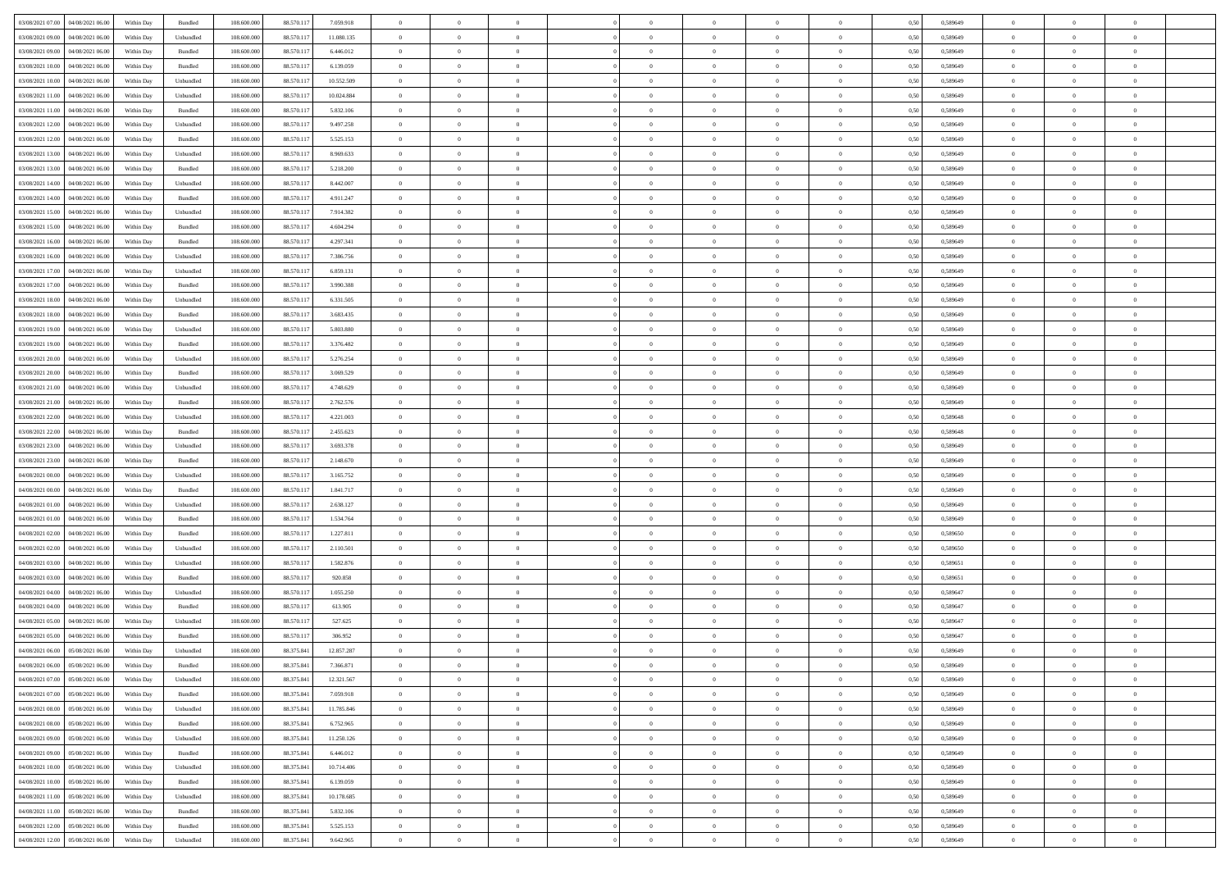| 03/08/2021 07:00   04/08/2021 06:00            | Within Day | Bundled           | 108.600.000 | 88.570.117   | 7.059.918  | $\overline{0}$ | $\theta$       |                | $\overline{0}$ | $\theta$       |                | $\theta$       | 0,50 | 0,589649 | $\theta$       | $\theta$       | $\theta$       |  |
|------------------------------------------------|------------|-------------------|-------------|--------------|------------|----------------|----------------|----------------|----------------|----------------|----------------|----------------|------|----------|----------------|----------------|----------------|--|
| 03/08/2021 09:00<br>04/08/2021 06:00           | Within Day | Unbundled         | 108.600.00  | 88.570.11    | 11.080.135 | $\bf{0}$       | $\bf{0}$       | $\bf{0}$       | $\bf{0}$       | $\overline{0}$ | $\overline{0}$ | $\bf{0}$       | 0,50 | 0,589649 | $\,$ 0 $\,$    | $\bf{0}$       | $\overline{0}$ |  |
| 03/08/2021 09:00<br>04/08/2021 06:00           | Within Day | Bundled           | 108,600,000 | 88.570.117   | 6.446.012  | $\overline{0}$ | $\bf{0}$       | $\overline{0}$ | $\bf{0}$       | $\bf{0}$       | $\overline{0}$ | $\bf{0}$       | 0.50 | 0.589649 | $\bf{0}$       | $\overline{0}$ | $\bf{0}$       |  |
| 03/08/2021 10:00<br>04/08/2021 06:00           |            |                   | 108.600.000 | 88.570.117   |            | $\overline{0}$ | $\overline{0}$ | $\overline{0}$ | $\overline{0}$ | $\theta$       | $\overline{0}$ |                |      |          | $\theta$       | $\theta$       | $\overline{0}$ |  |
|                                                | Within Day | Bundled           |             |              | 6.139.059  |                |                |                |                |                |                | $\bf{0}$       | 0,50 | 0,589649 |                |                |                |  |
| 03/08/2021 10:00<br>04/08/2021 06.00           | Within Day | Unbundled         | 108.600.00  | 88.570.11    | 10.552.509 | $\bf{0}$       | $\overline{0}$ | $\bf{0}$       | $\overline{0}$ | $\theta$       | $\overline{0}$ | $\bf{0}$       | 0,50 | 0,589649 | $\,$ 0 $\,$    | $\bf{0}$       | $\overline{0}$ |  |
| 03/08/2021 11:00<br>04/08/2021 06:00           | Within Day | Unbundled         | 108,600,000 | 88.570.117   | 10.024.884 | $\overline{0}$ | $\overline{0}$ | $\overline{0}$ | $\bf{0}$       | $\overline{0}$ | $\theta$       | $\bf{0}$       | 0.50 | 0.589649 | $\,$ 0 $\,$    | $\theta$       | $\overline{0}$ |  |
| 03/08/2021 11:00<br>04/08/2021 06:00           | Within Day | Bundled           | 108.600.000 | 88.570.117   | 5.832.106  | $\overline{0}$ | $\overline{0}$ | $\overline{0}$ | $\overline{0}$ | $\overline{0}$ | $\overline{0}$ | $\bf{0}$       | 0,50 | 0,589649 | $\theta$       | $\theta$       | $\overline{0}$ |  |
|                                                |            |                   |             |              |            |                |                |                |                |                |                |                |      |          |                |                |                |  |
| 03/08/2021 12:00<br>04/08/2021 06.00           | Within Day | Unbundled         | 108.600.00  | 88.570.11    | 9.497.258  | $\bf{0}$       | $\bf{0}$       | $\bf{0}$       | $\overline{0}$ | $\overline{0}$ | $\overline{0}$ | $\bf{0}$       | 0,50 | 0,589649 | $\,$ 0 $\,$    | $\bf{0}$       | $\overline{0}$ |  |
| 03/08/2021 12:00<br>04/08/2021 06:00           | Within Day | Bundled           | 108,600,000 | 88.570.117   | 5.525.153  | $\overline{0}$ | $\bf{0}$       | $\overline{0}$ | $\bf{0}$       | $\overline{0}$ | $\overline{0}$ | $\bf{0}$       | 0.50 | 0.589649 | $\bf{0}$       | $\overline{0}$ | $\overline{0}$ |  |
| 03/08/2021 13:00<br>04/08/2021 06:00           | Within Day | Unbundled         | 108.600.000 | 88.570.117   | 8.969.633  | $\overline{0}$ | $\bf{0}$       | $\overline{0}$ | $\overline{0}$ | $\overline{0}$ | $\overline{0}$ | $\bf{0}$       | 0,50 | 0,589649 | $\,$ 0 $\,$    | $\bf{0}$       | $\overline{0}$ |  |
| 03/08/2021 13:00<br>04/08/2021 06.00           | Within Day | Bundled           | 108.600.00  | 88.570.117   | 5.218.200  | $\bf{0}$       | $\overline{0}$ | $\bf{0}$       | $\bf{0}$       | $\overline{0}$ | $\overline{0}$ | $\bf{0}$       | 0,50 | 0,589649 | $\,$ 0 $\,$    | $\bf{0}$       | $\overline{0}$ |  |
|                                                |            |                   |             |              |            |                |                |                |                |                |                |                |      |          |                |                |                |  |
| 03/08/2021 14:00<br>04/08/2021 06:00           | Within Day | Unbundled         | 108,600,000 | 88.570.117   | 8,442,007  | $\overline{0}$ | $\bf{0}$       | $\overline{0}$ | $\overline{0}$ | $\bf{0}$       | $\overline{0}$ | $\bf{0}$       | 0.50 | 0.589649 | $\bf{0}$       | $\overline{0}$ | $\,$ 0         |  |
| 03/08/2021 14:00<br>04/08/2021 06:00           | Within Day | Bundled           | 108.600.000 | 88.570.117   | 4.911.247  | $\overline{0}$ | $\overline{0}$ | $\overline{0}$ | $\theta$       | $\theta$       | $\overline{0}$ | $\bf{0}$       | 0,50 | 0,589649 | $\,$ 0 $\,$    | $\theta$       | $\overline{0}$ |  |
| 03/08/2021 15:00<br>04/08/2021 06.00           | Within Day | Unbundled         | 108.600.00  | 88.570.11    | 7.914.382  | $\bf{0}$       | $\overline{0}$ | $\bf{0}$       | $\overline{0}$ | $\bf{0}$       | $\overline{0}$ | $\bf{0}$       | 0,50 | 0,589649 | $\,$ 0 $\,$    | $\bf{0}$       | $\overline{0}$ |  |
|                                                |            |                   |             |              |            |                |                |                |                |                | $\theta$       |                |      |          |                |                |                |  |
| 03/08/2021 15:00<br>04/08/2021 06:00           | Within Day | Bundled           | 108,600,000 | 88.570.117   | 4.604.294  | $\overline{0}$ | $\overline{0}$ | $\overline{0}$ | $\bf{0}$       | $\overline{0}$ |                | $\bf{0}$       | 0.50 | 0.589649 | $\theta$       | $\theta$       | $\overline{0}$ |  |
| 03/08/2021 16:00<br>04/08/2021 06:00           | Within Day | Bundled           | 108.600.000 | 88.570.117   | 4.297.341  | $\overline{0}$ | $\overline{0}$ | $\overline{0}$ | $\overline{0}$ | $\overline{0}$ | $\overline{0}$ | $\bf{0}$       | 0,50 | 0,589649 | $\theta$       | $\theta$       | $\overline{0}$ |  |
| 03/08/2021 16:00<br>04/08/2021 06.00           | Within Day | Unbundled         | 108.600.00  | 88.570.11    | 7.386.756  | $\bf{0}$       | $\bf{0}$       | $\bf{0}$       | $\overline{0}$ | $\,$ 0 $\,$    | $\overline{0}$ | $\bf{0}$       | 0,50 | 0,589649 | $\,$ 0 $\,$    | $\bf{0}$       | $\overline{0}$ |  |
| 03/08/2021 17:00<br>04/08/2021 06:00           | Within Day | Unbundled         | 108,600,000 | 88.570.117   | 6.859.131  | $\overline{0}$ | $\bf{0}$       | $\overline{0}$ | $\bf{0}$       | $\overline{0}$ | $\overline{0}$ | $\bf{0}$       | 0.50 | 0.589649 | $\bf{0}$       | $\overline{0}$ | $\bf{0}$       |  |
| 03/08/2021 17:00<br>04/08/2021 06:00           |            |                   | 108.600.000 |              |            | $\overline{0}$ | $\bf{0}$       | $\overline{0}$ | $\overline{0}$ | $\overline{0}$ | $\overline{0}$ |                |      |          | $\,$ 0 $\,$    | $\bf{0}$       | $\overline{0}$ |  |
|                                                | Within Day | Bundled           |             | 88.570.117   | 3.990.388  |                |                |                |                |                |                | $\bf{0}$       | 0,50 | 0,589649 |                |                |                |  |
| 03/08/2021 18:00<br>04/08/2021 06.00           | Within Day | Unbundled         | 108.600.00  | 88.570.11    | 6.331.505  | $\bf{0}$       | $\bf{0}$       | $\bf{0}$       | $\bf{0}$       | $\overline{0}$ | $\overline{0}$ | $\bf{0}$       | 0,50 | 0,589649 | $\,$ 0 $\,$    | $\bf{0}$       | $\overline{0}$ |  |
| 03/08/2021 18:00<br>04/08/2021 06:00           | Within Day | Bundled           | 108,600,000 | 88.570.117   | 3.683.435  | $\overline{0}$ | $\bf{0}$       | $\overline{0}$ | $\overline{0}$ | $\bf{0}$       | $\overline{0}$ | $\bf{0}$       | 0.50 | 0.589649 | $\bf{0}$       | $\overline{0}$ | $\,$ 0         |  |
| 03/08/2021 19:00<br>04/08/2021 06:00           | Within Day | Unbundled         | 108.600.000 | 88.570.117   | 5.803.880  | $\overline{0}$ | $\overline{0}$ | $\overline{0}$ | $\overline{0}$ | $\theta$       | $\overline{0}$ | $\bf{0}$       | 0,50 | 0,589649 | $\theta$       | $\theta$       | $\overline{0}$ |  |
|                                                |            |                   |             |              |            |                | $\overline{0}$ |                |                | $\,$ 0 $\,$    | $\overline{0}$ |                |      |          | $\,$ 0 $\,$    | $\bf{0}$       | $\overline{0}$ |  |
| 03/08/2021 19:00<br>04/08/2021 06.00           | Within Day | Bundled           | 108.600.00  | 88.570.11    | 3.376.482  | $\bf{0}$       |                | $\bf{0}$       | $\bf{0}$       |                |                | $\bf{0}$       | 0,50 | 0,589649 |                |                |                |  |
| 03/08/2021 20:00<br>04/08/2021 06:00           | Within Day | Unbundled         | 108,600,000 | 88.570.117   | 5.276.254  | $\overline{0}$ | $\overline{0}$ | $\overline{0}$ | $\bf{0}$       | $\overline{0}$ | $\theta$       | $\bf{0}$       | 0.50 | 0.589649 | $\,$ 0 $\,$    | $\theta$       | $\overline{0}$ |  |
| 03/08/2021 20:00<br>04/08/2021 06:00           | Within Day | Bundled           | 108.600.000 | 88.570.117   | 3.069.529  | $\overline{0}$ | $\overline{0}$ | $\overline{0}$ | $\overline{0}$ | $\overline{0}$ | $\overline{0}$ | $\bf{0}$       | 0,50 | 0,589649 | $\theta$       | $\theta$       | $\overline{0}$ |  |
| 03/08/2021 21:00<br>04/08/2021 06.00           | Within Day | Unbundled         | 108.600.00  | 88.570.11    | 4.748.629  | $\bf{0}$       | $\overline{0}$ | $\bf{0}$       | $\overline{0}$ | $\bf{0}$       | $\overline{0}$ | $\bf{0}$       | 0,50 | 0,589649 | $\,$ 0 $\,$    | $\bf{0}$       | $\overline{0}$ |  |
| 03/08/2021 21:00<br>04/08/2021 06:00           | Within Day | Bundled           | 108,600,000 | 88.570.117   | 2.762.576  | $\overline{0}$ | $\bf{0}$       | $\overline{0}$ | $\bf{0}$       | $\overline{0}$ | $\overline{0}$ | $\bf{0}$       | 0.50 | 0.589649 | $\bf{0}$       | $\overline{0}$ | $\overline{0}$ |  |
|                                                |            |                   |             |              |            |                |                |                |                |                |                |                |      |          |                |                |                |  |
| 03/08/2021 22:00<br>04/08/2021 06:00           | Within Day | Unbundled         | 108.600.000 | 88.570.117   | 4.221.003  | $\overline{0}$ | $\bf{0}$       | $\overline{0}$ | $\overline{0}$ | $\overline{0}$ | $\overline{0}$ | $\bf{0}$       | 0,50 | 0,589648 | $\theta$       | $\theta$       | $\overline{0}$ |  |
| 03/08/2021 22:00<br>04/08/2021 06.00           | Within Day | Bundled           | 108.600.00  | 88.570.11    | 2.455.623  | $\bf{0}$       | $\bf{0}$       | $\bf{0}$       | $\bf{0}$       | $\overline{0}$ | $\overline{0}$ | $\bf{0}$       | 0,50 | 0,589648 | $\,$ 0 $\,$    | $\bf{0}$       | $\overline{0}$ |  |
| 03/08/2021 23:00<br>04/08/2021 06:00           | Within Day | Unbundled         | 108,600,000 | 88.570.117   | 3.693.378  | $\overline{0}$ | $\bf{0}$       | $\overline{0}$ | $\bf{0}$       | $\bf{0}$       | $\overline{0}$ | $\bf{0}$       | 0.50 | 0.589649 | $\bf{0}$       | $\overline{0}$ | $\,$ 0         |  |
| 03/08/2021 23:00<br>04/08/2021 06:00           | Within Day | Bundled           | 108.600.000 | 88.570.117   | 2.148.670  | $\overline{0}$ | $\overline{0}$ | $\overline{0}$ | $\overline{0}$ | $\overline{0}$ | $\overline{0}$ | $\bf{0}$       | 0.50 | 0.589649 | $\theta$       | $\theta$       | $\overline{0}$ |  |
|                                                |            |                   |             |              |            |                |                |                |                |                |                |                |      |          |                |                |                |  |
| 04/08/2021 00:00<br>04/08/2021 06.00           | Within Day | Unbundled         | 108.600.00  | 88.570.11    | 3.165.752  | $\bf{0}$       | $\bf{0}$       | $\bf{0}$       | $\bf{0}$       | $\,$ 0 $\,$    | $\overline{0}$ | $\bf{0}$       | 0,50 | 0,589649 | $\,$ 0 $\,$    | $\bf{0}$       | $\overline{0}$ |  |
| 04/08/2021 00:00<br>04/08/2021 06:00           | Within Day | Bundled           | 108,600,000 | 88.570.117   | 1.841.717  | $\overline{0}$ | $\bf{0}$       | $\overline{0}$ | $\bf{0}$       | $\overline{0}$ | $\Omega$       | $\bf{0}$       | 0.50 | 0.589649 | $\,$ 0 $\,$    | $\theta$       | $\overline{0}$ |  |
| 04/08/2021 01:00<br>04/08/2021 06:00           | Within Dav | Unbundled         | 108.600.000 | 88.570.117   | 2.638.127  | $\overline{0}$ | $\overline{0}$ | $\overline{0}$ | $\overline{0}$ | $\theta$       | $\overline{0}$ | $\bf{0}$       | 0.50 | 0.589649 | $\theta$       | $\theta$       | $\overline{0}$ |  |
| 04/08/2021 01:00<br>04/08/2021 06.00           | Within Day | Bundled           | 108.600.00  | 88.570.11    | 1.534.764  | $\bf{0}$       | $\bf{0}$       | $\bf{0}$       | $\bf{0}$       | $\overline{0}$ | $\overline{0}$ | $\bf{0}$       | 0,50 | 0,589649 | $\,$ 0 $\,$    | $\bf{0}$       | $\overline{0}$ |  |
| 04/08/2021 06:00                               |            | Bundled           | 108,600,000 |              |            |                | $\bf{0}$       | $\overline{0}$ |                | $\overline{0}$ | $\overline{0}$ |                | 0.50 | 0.589650 | $\bf{0}$       | $\overline{0}$ | $\overline{0}$ |  |
| 04/08/2021 02:00                               | Within Day |                   |             | 88.570.117   | 1.227.811  | $\overline{0}$ |                |                | $\bf{0}$       |                |                | $\bf{0}$       |      |          |                |                |                |  |
| 04/08/2021 02:00<br>04/08/2021 06:00           | Within Dav | Unbundled         | 108.600.000 | 88.570.117   | 2.110.501  | $\overline{0}$ | $\overline{0}$ | $\overline{0}$ | $\overline{0}$ | $\overline{0}$ | $\overline{0}$ | $\bf{0}$       | 0.50 | 0.589650 | $\theta$       | $\theta$       | $\overline{0}$ |  |
| 04/08/2021 03:00<br>04/08/2021 06.00           | Within Day | Unbundled         | 108.600.00  | 88.570.117   | 1.582.876  | $\bf{0}$       | $\bf{0}$       | $\bf{0}$       | $\bf{0}$       | $\overline{0}$ | $\overline{0}$ | $\bf{0}$       | 0,50 | 0,589651 | $\,$ 0 $\,$    | $\bf{0}$       | $\overline{0}$ |  |
| 04/08/2021 03:00<br>04/08/2021 06:00           | Within Day | Bundled           | 108,600,000 | 88.570.117   | 920.858    | $\overline{0}$ | $\bf{0}$       | $\overline{0}$ | $\overline{0}$ | $\bf{0}$       | $\overline{0}$ | $\bf{0}$       | 0.50 | 0.589651 | $\bf{0}$       | $\overline{0}$ | $\,$ 0         |  |
| 04/08/2021 04:00<br>04/08/2021 06:00           | Within Dav | Unbundled         | 108.600.000 | 88.570.117   | 1.055.250  | $\overline{0}$ | $\overline{0}$ | $\overline{0}$ | $\overline{0}$ | $\overline{0}$ | $\overline{0}$ | $\bf{0}$       | 0.50 | 0.589647 | $\theta$       | $\theta$       | $\overline{0}$ |  |
|                                                |            |                   |             |              |            |                |                |                |                |                |                |                |      |          |                |                |                |  |
| 04/08/2021 04:00<br>04/08/2021 06.00           | Within Day | Bundled           | 108.600.00  | 88.570.11    | 613.905    | $\bf{0}$       | $\bf{0}$       | $\bf{0}$       | $\bf{0}$       | $\overline{0}$ | $\overline{0}$ | $\bf{0}$       | 0,50 | 0,589647 | $\,$ 0 $\,$    | $\bf{0}$       | $\overline{0}$ |  |
| 04/08/2021 05:00<br>04/08/2021 06:00           | Within Day | Unbundled         | 108,600,000 | 88.570.117   | 527.625    | $\overline{0}$ | $\overline{0}$ | $\overline{0}$ | $\overline{0}$ | $\overline{0}$ | $\Omega$       | $\bf{0}$       | 0.50 | 0.589647 | $\bf{0}$       | $\theta$       | $\overline{0}$ |  |
| 04/08/2021 05:00<br>04/08/2021 06:00           | Within Dav | Bundled           | 108.600.000 | 88.570.117   | 306.952    | $\overline{0}$ | $\overline{0}$ | $\Omega$       | $\overline{0}$ | $\theta$       | $\overline{0}$ | $\overline{0}$ | 0.50 | 0.589647 | $\theta$       | $\theta$       | $\overline{0}$ |  |
| 04/08/2021 06:00<br>05/08/2021 06:00           | Within Day | Unbundled         | 108.600.000 | 88.375.841   | 12.857.287 | $\bf{0}$       | $\bf{0}$       | $\bf{0}$       | $\bf{0}$       | $\bf{0}$       | $\overline{0}$ | $\bf{0}$       | 0,50 | 0,589649 | $\overline{0}$ | $\overline{0}$ | $\overline{0}$ |  |
|                                                |            | Bundled           | 108.600.000 |              | 7.366.871  |                |                |                |                |                |                |                |      | 0.589649 |                |                |                |  |
| $04/08/2021\; 06.00 \qquad 05/08/2021\; 06.00$ | Within Day |                   |             | 88.375.841   |            | $\bf{0}$       | $\theta$       |                | $\Omega$       |                |                |                | 0,50 |          | $\bf{0}$       | $\overline{0}$ |                |  |
| 04/08/2021 07:00 05/08/2021 06:00              | Within Day | Unbundled         | 108.600.000 | 88.375.841   | 12.321.567 | $\overline{0}$ | $\overline{0}$ | $\Omega$       | $\theta$       | $\overline{0}$ | $\overline{0}$ | $\bf{0}$       | 0,50 | 0,589649 | $\theta$       | $\overline{0}$ | $\overline{0}$ |  |
| 04/08/2021 07:00<br>05/08/2021 06:00           | Within Day | Bundled           | 108.600.00  | 88.375.841   | 7.059.918  | $\overline{0}$ | $\bf{0}$       | $\overline{0}$ | $\overline{0}$ | $\bf{0}$       | $\overline{0}$ | $\bf{0}$       | 0,50 | 0,589649 | $\bf{0}$       | $\overline{0}$ | $\bf{0}$       |  |
| 04/08/2021 08:00 05/08/2021 06:00              | Within Day | Unbundled         | 108,600,000 | 88.375.841   | 11.785.846 | $\overline{0}$ | $\bf{0}$       | $\overline{0}$ | $\overline{0}$ | $\mathbf{0}$   | $\overline{0}$ | $\,$ 0 $\,$    | 0.50 | 0.589649 | $\overline{0}$ | $\bf{0}$       | $\,$ 0 $\,$    |  |
|                                                |            |                   |             |              |            |                |                |                |                |                |                |                |      |          |                |                |                |  |
| 04/08/2021 08:00 05/08/2021 06:00              | Within Dav | Bundled           | 108.600.000 | 88.375.841   | 6.752.965  | $\overline{0}$ | $\overline{0}$ | $\overline{0}$ | $\overline{0}$ | $\overline{0}$ | $\overline{0}$ | $\bf{0}$       | 0,50 | 0.589649 | $\theta$       | $\theta$       | $\overline{0}$ |  |
| 04/08/2021 09:00<br>05/08/2021 06:00           | Within Day | Unbundled         | 108.600.000 | 88.375.841   | 11.250.126 | $\overline{0}$ | $\bf{0}$       | $\overline{0}$ | $\overline{0}$ | $\bf{0}$       | $\overline{0}$ | $\bf{0}$       | 0,50 | 0,589649 | $\bf{0}$       | $\overline{0}$ | $\overline{0}$ |  |
| 04/08/2021 09:00  05/08/2021 06:00             | Within Day | Bundled           | 108,600,000 | 88,375,841   | 6.446.012  | $\overline{0}$ | $\bf{0}$       | $\overline{0}$ | $\overline{0}$ | $\overline{0}$ | $\overline{0}$ | $\bf{0}$       | 0.50 | 0.589649 | $\,$ 0 $\,$    | $\overline{0}$ | $\,$ 0         |  |
| 04/08/2021 10:00  05/08/2021 06:00             | Within Dav | Unbundled         | 108.600.000 | 88.375.841   | 10.714.406 | $\overline{0}$ | $\overline{0}$ | $\overline{0}$ | $\overline{0}$ | $\overline{0}$ | $\overline{0}$ | $\bf{0}$       | 0,50 | 0.589649 | $\overline{0}$ | $\theta$       | $\overline{0}$ |  |
|                                                |            |                   |             |              |            |                |                |                |                |                |                |                |      |          |                |                |                |  |
| 04/08/2021 10:00<br>05/08/2021 06:00           | Within Day | Bundled           | 108.600.00  | 88.375.841   | 6.139.059  | $\overline{0}$ | $\overline{0}$ | $\overline{0}$ | $\overline{0}$ | $\overline{0}$ | $\overline{0}$ | $\bf{0}$       | 0,50 | 0,589649 | $\bf{0}$       | $\overline{0}$ | $\,$ 0         |  |
| 04/08/2021 11:00  05/08/2021 06:00             | Within Day | Unbundled         | 108,600,000 | 88, 375, 841 | 10.178.685 | $\overline{0}$ | $\overline{0}$ | $\overline{0}$ | $\overline{0}$ | $\overline{0}$ | $\overline{0}$ | $\bf{0}$       | 0.50 | 0.589649 | $\mathbf{0}$   | $\bf{0}$       | $\,$ 0         |  |
| 04/08/2021 11:00  05/08/2021 06:00             | Within Dav | Bundled           | 108.600.000 | 88.375.841   | 5.832.106  | $\overline{0}$ | $\overline{0}$ | $\overline{0}$ | $\overline{0}$ | $\overline{0}$ | $\overline{0}$ | $\bf{0}$       | 0,50 | 0.589649 | $\overline{0}$ | $\theta$       | $\overline{0}$ |  |
| 04/08/2021 12:00<br>05/08/2021 06:00           | Within Day | Bundled           | 108.600.00  | 88.375.841   | 5.525.153  | $\overline{0}$ | $\bf{0}$       | $\overline{0}$ | $\overline{0}$ | $\overline{0}$ | $\overline{0}$ | $\bf{0}$       | 0,50 | 0,589649 | $\bf{0}$       | $\,$ 0 $\,$    | $\bf{0}$       |  |
|                                                |            |                   |             |              |            |                |                |                |                |                |                |                |      |          |                |                |                |  |
| 04/08/2021 12:00 05/08/2021 06:00              | Within Day | ${\sf Unbundred}$ | 108.600.000 | 88.375.841   | 9.642.965  | $\,$ 0 $\,$    | $\bf{0}$       | $\overline{0}$ | $\overline{0}$ | $\,$ 0 $\,$    | $\overline{0}$ | $\bf{0}$       | 0,50 | 0,589649 | $\overline{0}$ | $\,$ 0 $\,$    | $\,$ 0 $\,$    |  |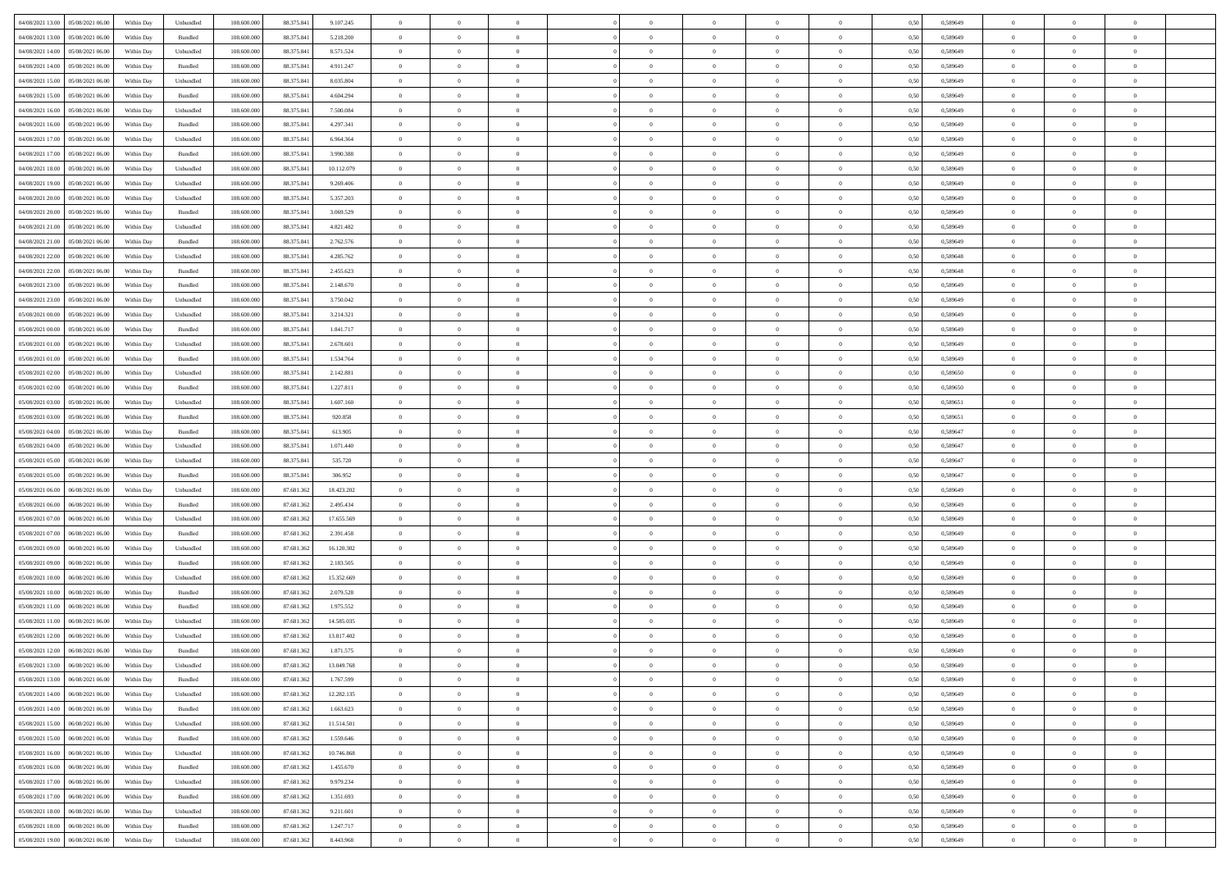| 04/08/2021 13:00  05/08/2021 06:00                                                     | Within Day | Unbundled                   | 108.600.000 | 88.375.841 | 9.107.245  | $\overline{0}$ | $\overline{0}$ |                | $\overline{0}$ | $\theta$       |                | $\theta$       | 0,50 | 0,589649 | $\theta$       | $\theta$       | $\overline{0}$ |  |
|----------------------------------------------------------------------------------------|------------|-----------------------------|-------------|------------|------------|----------------|----------------|----------------|----------------|----------------|----------------|----------------|------|----------|----------------|----------------|----------------|--|
| 04/08/2021 13:00<br>05/08/2021 06:00                                                   | Within Day | Bundled                     | 108.600.00  | 88.375.841 | 5.218.200  | $\bf{0}$       | $\bf{0}$       | $\bf{0}$       | $\overline{0}$ | $\overline{0}$ | $\overline{0}$ | $\bf{0}$       | 0,50 | 0,589649 | $\,$ 0 $\,$    | $\bf{0}$       | $\overline{0}$ |  |
| 04/08/2021 14:00<br>05/08/2021 06:00                                                   | Within Day | Unbundled                   | 108,600,000 | 88.375.841 | 8.571.524  | $\overline{0}$ | $\bf{0}$       | $\overline{0}$ | $\bf{0}$       | $\bf{0}$       | $\overline{0}$ | $\bf{0}$       | 0.50 | 0.589649 | $\bf{0}$       | $\overline{0}$ | $\overline{0}$ |  |
| 04/08/2021 14:00<br>05/08/2021 06:00                                                   | Within Day | Bundled                     | 108.600.000 | 88.375.841 | 4.911.247  | $\overline{0}$ | $\overline{0}$ | $\overline{0}$ | $\theta$       | $\theta$       | $\overline{0}$ | $\bf{0}$       | 0,50 | 0,589649 | $\,$ 0 $\,$    | $\theta$       | $\overline{0}$ |  |
|                                                                                        |            |                             |             |            |            |                |                |                |                |                |                |                |      |          |                |                |                |  |
| 04/08/2021 15:00<br>05/08/2021 06.00                                                   | Within Day | Unbundled                   | 108.600.00  | 88.375.841 | 8.035.804  | $\bf{0}$       | $\overline{0}$ | $\bf{0}$       | $\overline{0}$ | $\theta$       | $\overline{0}$ | $\bf{0}$       | 0,50 | 0,589649 | $\,$ 0 $\,$    | $\bf{0}$       | $\overline{0}$ |  |
| 04/08/2021 15:00<br>05/08/2021 06:00                                                   | Within Day | Bundled                     | 108,600,000 | 88.375.84  | 4.604.294  | $\overline{0}$ | $\overline{0}$ | $\overline{0}$ | $\bf{0}$       | $\overline{0}$ | $\theta$       | $\bf{0}$       | 0.50 | 0.589649 | $\,$ 0 $\,$    | $\theta$       | $\overline{0}$ |  |
| 04/08/2021 16:00<br>05/08/2021 06:00                                                   | Within Day | Unbundled                   | 108.600.000 | 88.375.841 | 7.500.084  | $\overline{0}$ | $\overline{0}$ | $\overline{0}$ | $\overline{0}$ | $\overline{0}$ | $\overline{0}$ | $\bf{0}$       | 0,50 | 0,589649 | $\,$ 0 $\,$    | $\theta$       | $\overline{0}$ |  |
| 04/08/2021 16:00<br>05/08/2021 06.00                                                   | Within Day | Bundled                     | 108.600.00  | 88.375.84  | 4.297.341  | $\bf{0}$       | $\overline{0}$ | $\bf{0}$       | $\overline{0}$ | $\bf{0}$       | $\overline{0}$ | $\bf{0}$       | 0,50 | 0,589649 | $\,$ 0 $\,$    | $\bf{0}$       | $\overline{0}$ |  |
|                                                                                        |            |                             |             |            |            |                |                |                |                |                |                |                |      |          |                |                |                |  |
| 04/08/2021 17:00<br>05/08/2021 06:00                                                   | Within Day | Unbundled                   | 108,600,000 | 88.375.84  | 6.964.364  | $\overline{0}$ | $\bf{0}$       | $\overline{0}$ | $\bf{0}$       | $\overline{0}$ | $\overline{0}$ | $\bf{0}$       | 0.50 | 0.589649 | $\bf{0}$       | $\overline{0}$ | $\overline{0}$ |  |
| 04/08/2021 17:00<br>05/08/2021 06:00                                                   | Within Day | Bundled                     | 108.600.000 | 88.375.841 | 3.990.388  | $\bf{0}$       | $\bf{0}$       | $\overline{0}$ | $\overline{0}$ | $\overline{0}$ | $\overline{0}$ | $\bf{0}$       | 0,50 | 0,589649 | $\,$ 0 $\,$    | $\bf{0}$       | $\overline{0}$ |  |
| 04/08/2021 18:00<br>05/08/2021 06.00                                                   | Within Day | Unbundled                   | 108.600.00  | 88.375.841 | 10.112.079 | $\bf{0}$       | $\overline{0}$ | $\bf{0}$       | $\bf{0}$       | $\bf{0}$       | $\overline{0}$ | $\bf{0}$       | 0,50 | 0,589649 | $\,$ 0 $\,$    | $\bf{0}$       | $\overline{0}$ |  |
| 04/08/2021 19:00<br>05/08/2021 06:00                                                   | Within Day | Unbundled                   | 108,600,000 | 88.375.84  | 9.269.406  | $\overline{0}$ | $\bf{0}$       | $\overline{0}$ | $\overline{0}$ | $\bf{0}$       | $\overline{0}$ | $\bf{0}$       | 0.50 | 0.589649 | $\bf{0}$       | $\overline{0}$ | $\,$ 0         |  |
| 04/08/2021 20:00<br>05/08/2021 06:00                                                   |            |                             | 108.600.000 |            |            | $\overline{0}$ | $\overline{0}$ | $\overline{0}$ | $\theta$       | $\theta$       | $\overline{0}$ | $\bf{0}$       |      |          | $\,$ 0 $\,$    | $\theta$       | $\overline{0}$ |  |
|                                                                                        | Within Day | Unbundled                   |             | 88.375.841 | 5.357.203  |                |                |                |                |                |                |                | 0,50 | 0,589649 |                |                |                |  |
| 04/08/2021 20:00<br>05/08/2021 06:00                                                   | Within Day | Bundled                     | 108.600.00  | 88.375.84  | 3.069.529  | $\bf{0}$       | $\overline{0}$ | $\bf{0}$       | $\overline{0}$ | $\theta$       | $\overline{0}$ | $\bf{0}$       | 0,50 | 0,589649 | $\bf{0}$       | $\bf{0}$       | $\overline{0}$ |  |
| 04/08/2021 21:00<br>05/08/2021 06:00                                                   | Within Day | Unbundled                   | 108,600,000 | 88.375.84  | 4.821.482  | $\overline{0}$ | $\overline{0}$ | $\overline{0}$ | $\bf{0}$       | $\overline{0}$ | $\Omega$       | $\bf{0}$       | 0.50 | 0.589649 | $\,$ 0 $\,$    | $\theta$       | $\overline{0}$ |  |
| 04/08/2021 21:00<br>05/08/2021 06:00                                                   | Within Day | Bundled                     | 108.600.000 | 88.375.841 | 2.762.576  | $\overline{0}$ | $\overline{0}$ | $\overline{0}$ | $\overline{0}$ | $\overline{0}$ | $\overline{0}$ | $\bf{0}$       | 0,50 | 0,589649 | $\theta$       | $\theta$       | $\overline{0}$ |  |
| 04/08/2021 22:00<br>05/08/2021 06.00                                                   | Within Day | Unbundled                   | 108.600.00  | 88.375.841 | 4.285.762  | $\bf{0}$       | $\overline{0}$ | $\bf{0}$       | $\overline{0}$ | $\theta$       | $\overline{0}$ | $\bf{0}$       | 0,50 | 0,589648 | $\,$ 0 $\,$    | $\bf{0}$       | $\overline{0}$ |  |
|                                                                                        |            |                             |             |            |            |                |                |                |                |                |                |                |      |          |                |                |                |  |
| 04/08/2021 22:00<br>05/08/2021 06:00                                                   | Within Day | Bundled                     | 108,600,000 | 88.375.84  | 2.455.623  | $\overline{0}$ | $\bf{0}$       | $\overline{0}$ | $\bf{0}$       | $\overline{0}$ | $\overline{0}$ | $\bf{0}$       | 0.50 | 0.589648 | $\bf{0}$       | $\overline{0}$ | $\overline{0}$ |  |
| 04/08/2021 23:00<br>05/08/2021 06:00                                                   | Within Day | Bundled                     | 108.600.000 | 88.375.841 | 2.148.670  | $\bf{0}$       | $\bf{0}$       | $\overline{0}$ | $\overline{0}$ | $\overline{0}$ | $\overline{0}$ | $\bf{0}$       | 0,50 | 0,589649 | $\,$ 0 $\,$    | $\bf{0}$       | $\overline{0}$ |  |
| 04/08/2021 23:00<br>05/08/2021 06.00                                                   | Within Day | Unbundled                   | 108.600.00  | 88.375.841 | 3.750.042  | $\bf{0}$       | $\bf{0}$       | $\bf{0}$       | $\bf{0}$       | $\overline{0}$ | $\overline{0}$ | $\bf{0}$       | 0,50 | 0,589649 | $\,$ 0 $\,$    | $\bf{0}$       | $\overline{0}$ |  |
| 05/08/2021 00:00<br>05/08/2021 06:00                                                   | Within Day | Unbundled                   | 108,600,000 | 88.375.841 | 3.214.321  | $\overline{0}$ | $\bf{0}$       | $\overline{0}$ | $\overline{0}$ | $\bf{0}$       | $\overline{0}$ | $\bf{0}$       | 0.50 | 0.589649 | $\bf{0}$       | $\overline{0}$ | $\overline{0}$ |  |
| 05/08/2021 00:00<br>05/08/2021 06:00                                                   | Within Day | Bundled                     | 108.600.000 | 88.375.841 | 1.841.717  | $\overline{0}$ | $\overline{0}$ | $\overline{0}$ | $\theta$       | $\theta$       | $\overline{0}$ | $\bf{0}$       | 0,50 | 0,589649 | $\theta$       | $\theta$       | $\overline{0}$ |  |
|                                                                                        |            |                             |             |            |            |                |                |                |                |                |                |                |      |          |                |                |                |  |
| 05/08/2021 01:00<br>05/08/2021 06.00                                                   | Within Day | Unbundled                   | 108.600.00  | 88.375.841 | 2.678.601  | $\bf{0}$       | $\overline{0}$ | $\bf{0}$       | $\bf{0}$       | $\overline{0}$ | $\overline{0}$ | $\bf{0}$       | 0,50 | 0,589649 | $\,$ 0 $\,$    | $\bf{0}$       | $\overline{0}$ |  |
| 05/08/2021 01:00<br>05/08/2021 06:00                                                   | Within Day | Bundled                     | 108,600,000 | 88.375.84  | 1.534.764  | $\overline{0}$ | $\overline{0}$ | $\overline{0}$ | $\bf{0}$       | $\overline{0}$ | $\Omega$       | $\bf{0}$       | 0.50 | 0.589649 | $\,$ 0 $\,$    | $\theta$       | $\overline{0}$ |  |
| 05/08/2021 02:00<br>05/08/2021 06:00                                                   | Within Day | Unbundled                   | 108.600.000 | 88.375.841 | 2.142.881  | $\overline{0}$ | $\overline{0}$ | $\overline{0}$ | $\overline{0}$ | $\overline{0}$ | $\overline{0}$ | $\bf{0}$       | 0,50 | 0,589650 | $\,$ 0 $\,$    | $\theta$       | $\overline{0}$ |  |
| 05/08/2021 02:00<br>05/08/2021 06:00                                                   | Within Day | Bundled                     | 108.600.00  | 88.375.84  | 1.227.811  | $\bf{0}$       | $\overline{0}$ | $\bf{0}$       | $\overline{0}$ | $\theta$       | $\overline{0}$ | $\bf{0}$       | 0,50 | 0,589650 | $\,$ 0 $\,$    | $\bf{0}$       | $\overline{0}$ |  |
| 05/08/2021 03:00<br>05/08/2021 06:00                                                   | Within Day | Unbundled                   | 108,600,000 | 88.375.84  | 1.607.160  | $\overline{0}$ | $\bf{0}$       | $\overline{0}$ | $\bf{0}$       | $\overline{0}$ | $\overline{0}$ | $\bf{0}$       | 0.50 | 0.589651 | $\bf{0}$       | $\overline{0}$ | $\overline{0}$ |  |
|                                                                                        |            |                             |             |            |            |                |                |                |                |                |                |                |      |          |                |                |                |  |
| 05/08/2021 03:00<br>05/08/2021 06:00                                                   | Within Day | Bundled                     | 108.600.000 | 88.375.841 | 920.858    | $\overline{0}$ | $\bf{0}$       | $\overline{0}$ | $\overline{0}$ | $\overline{0}$ | $\overline{0}$ | $\bf{0}$       | 0,50 | 0,589651 | $\theta$       | $\theta$       | $\overline{0}$ |  |
| 05/08/2021 04:00<br>05/08/2021 06.00                                                   | Within Day | Bundled                     | 108.600.00  | 88.375.841 | 613.905    | $\bf{0}$       | $\bf{0}$       | $\bf{0}$       | $\bf{0}$       | $\overline{0}$ | $\overline{0}$ | $\bf{0}$       | 0,50 | 0,589647 | $\,$ 0 $\,$    | $\bf{0}$       | $\overline{0}$ |  |
| 05/08/2021 04:00<br>05/08/2021 06:00                                                   | Within Day | Unbundled                   | 108,600,000 | 88.375.841 | 1.071.440  | $\overline{0}$ | $\bf{0}$       | $\overline{0}$ | $\bf{0}$       | $\bf{0}$       | $\overline{0}$ | $\bf{0}$       | 0.50 | 0.589647 | $\bf{0}$       | $\overline{0}$ | $\overline{0}$ |  |
| 05/08/2021 05:00<br>05/08/2021 06:00                                                   | Within Day | Unbundled                   | 108.600.000 | 88.375.841 | 535,720    | $\overline{0}$ | $\overline{0}$ | $\overline{0}$ | $\overline{0}$ | $\overline{0}$ | $\overline{0}$ | $\bf{0}$       | 0.50 | 0.589647 | $\theta$       | $\theta$       | $\overline{0}$ |  |
| 05/08/2021 05:00<br>05/08/2021 06.00                                                   | Within Day | Bundled                     | 108.600.00  | 88.375.84  | 306.952    | $\bf{0}$       | $\overline{0}$ | $\bf{0}$       | $\bf{0}$       | $\overline{0}$ | $\overline{0}$ | $\bf{0}$       | 0,50 | 0,589647 | $\,$ 0 $\,$    | $\bf{0}$       | $\overline{0}$ |  |
|                                                                                        |            |                             |             |            |            |                |                |                |                |                |                |                |      |          |                |                |                |  |
| 05/08/2021 06:00<br>06/08/2021 06:00                                                   | Within Day | Unbundled                   | 108,600,000 | 87.681.362 | 18.423.202 | $\overline{0}$ | $\bf{0}$       | $\overline{0}$ | $\bf{0}$       | $\overline{0}$ | $\Omega$       | $\bf{0}$       | 0.50 | 0.589649 | $\,$ 0 $\,$    | $\theta$       | $\overline{0}$ |  |
| 05/08/2021 06:00<br>06/08/2021 06:00                                                   | Within Dav | Bundled                     | 108.600.000 | 87.681.362 | 2.495.434  | $\overline{0}$ | $\overline{0}$ | $\overline{0}$ | $\overline{0}$ | $\theta$       | $\overline{0}$ | $\bf{0}$       | 0.50 | 0.589649 | $\theta$       | $\theta$       | $\overline{0}$ |  |
| 05/08/2021 07:00<br>06/08/2021 06:00                                                   | Within Day | Unbundled                   | 108.600.00  | 87.681.36  | 17.655.569 | $\bf{0}$       | $\bf{0}$       | $\bf{0}$       | $\bf{0}$       | $\bf{0}$       | $\overline{0}$ | $\bf{0}$       | 0,50 | 0,589649 | $\,$ 0 $\,$    | $\bf{0}$       | $\overline{0}$ |  |
| 05/08/2021 07:00<br>06/08/2021 06:00                                                   | Within Day | Bundled                     | 108,600,000 | 87.681.362 | 2.391.458  | $\overline{0}$ | $\bf{0}$       | $\overline{0}$ | $\bf{0}$       | $\overline{0}$ | $\overline{0}$ | $\bf{0}$       | 0.50 | 0.589649 | $\bf{0}$       | $\overline{0}$ | $\overline{0}$ |  |
| 05/08/2021 09:00<br>06/08/2021 06:00                                                   | Within Dav | Unbundled                   | 108.600.000 | 87.681.362 | 16.120.302 | $\overline{0}$ | $\overline{0}$ | $\overline{0}$ | $\overline{0}$ | $\overline{0}$ | $\overline{0}$ | $\bf{0}$       | 0.50 | 0.589649 | $\theta$       | $\theta$       | $\overline{0}$ |  |
|                                                                                        |            |                             |             |            |            |                |                |                |                |                |                |                |      |          |                |                |                |  |
| 05/08/2021 09:00<br>06/08/2021 06:00                                                   | Within Day | Bundled                     | 108.600.00  | 87.681.36  | 2.183.505  | $\bf{0}$       | $\bf{0}$       | $\bf{0}$       | $\bf{0}$       | $\overline{0}$ | $\overline{0}$ | $\bf{0}$       | 0,50 | 0,589649 | $\,$ 0 $\,$    | $\bf{0}$       | $\overline{0}$ |  |
| 05/08/2021 10:00<br>06/08/2021 06:00                                                   | Within Day | Unbundled                   | 108,600,000 | 87.681.362 | 15.352.669 | $\overline{0}$ | $\bf{0}$       | $\overline{0}$ | $\overline{0}$ | $\bf{0}$       | $\overline{0}$ | $\bf{0}$       | 0.50 | 0.589649 | $\bf{0}$       | $\overline{0}$ | $\overline{0}$ |  |
| 05/08/2021 10:00<br>06/08/2021 06:00                                                   | Within Dav | Bundled                     | 108.600.000 | 87.681.362 | 2.079.528  | $\overline{0}$ | $\overline{0}$ | $\overline{0}$ | $\overline{0}$ | $\theta$       | $\overline{0}$ | $\bf{0}$       | 0.50 | 0.589649 | $\theta$       | $\theta$       | $\overline{0}$ |  |
| 05/08/2021 11:00<br>06/08/2021 06:00                                                   | Within Day | Bundled                     | 108.600.00  | 87.681.362 | 1.975.552  | $\bf{0}$       | $\bf{0}$       | $\bf{0}$       | $\bf{0}$       | $\overline{0}$ | $\overline{0}$ | $\bf{0}$       | 0,50 | 0,589649 | $\,$ 0 $\,$    | $\bf{0}$       | $\overline{0}$ |  |
| 05/08/2021 11:00<br>06/08/2021 06:00                                                   | Within Day | Unbundled                   | 108,600,000 | 87.681.362 | 14.585.035 | $\overline{0}$ | $\overline{0}$ | $\overline{0}$ | $\bf{0}$       | $\overline{0}$ | $\Omega$       | $\bf{0}$       | 0.50 | 0.589649 | $\,$ 0 $\,$    | $\theta$       | $\overline{0}$ |  |
|                                                                                        |            |                             |             |            |            |                |                |                |                |                |                |                |      |          |                |                |                |  |
| 05/08/2021 12:00<br>06/08/2021 06:00                                                   | Within Dav | Unbundled                   | 108.600.000 | 87.681.362 | 13.817.402 | $\overline{0}$ | $\overline{0}$ | $\Omega$       | $\overline{0}$ | $\theta$       | $\Omega$       | $\overline{0}$ | 0.5( | 0.589649 | $\theta$       | $\theta$       | $\overline{0}$ |  |
| 05/08/2021 12:00<br>06/08/2021 06:00                                                   | Within Day | Bundled                     | 108.600.00  | 87.681.362 | 1.871.575  | $\bf{0}$       | $\bf{0}$       | $\bf{0}$       | $\bf{0}$       | $\bf{0}$       | $\overline{0}$ | $\bf{0}$       | 0,50 | 0,589649 | $\,$ 0 $\,$    | $\bf{0}$       | $\overline{0}$ |  |
| ${\color{red} 05/08/2021}\,\, 13.00 {\color{red}06/08/2021}\,\, 06.00 {\color{red}00}$ | Within Day | $\ensuremath{\mathsf{Unb}}$ | 108.600.000 | 87.681.362 | 13.049.768 | $\overline{0}$ | $\Omega$       |                | $\Omega$       |                |                |                | 0,50 | 0.589649 | $\theta$       | $\overline{0}$ |                |  |
| 05/08/2021 13:00 06/08/2021 06:00                                                      | Within Day | Bundled                     | 108.600.000 | 87.681.362 | 1.767.599  | $\overline{0}$ | $\overline{0}$ | $\overline{0}$ | $\theta$       | $\overline{0}$ | $\overline{0}$ | $\bf{0}$       | 0,50 | 0,589649 | $\theta$       | $\theta$       | $\overline{0}$ |  |
| 05/08/2021 14:00<br>06/08/2021 06:00                                                   | Within Day | Unbundled                   | 108.600.00  | 87.681.36  | 12.282.135 | $\overline{0}$ | $\bf{0}$       | $\overline{0}$ | $\overline{0}$ | $\bf{0}$       | $\overline{0}$ | $\bf{0}$       | 0,50 | 0,589649 | $\bf{0}$       | $\overline{0}$ | $\bf{0}$       |  |
|                                                                                        |            |                             |             |            |            |                |                |                |                |                |                |                |      |          |                |                |                |  |
| 05/08/2021 14:00   06/08/2021 06:00                                                    | Within Day | Bundled                     | 108,600,000 | 87.681.362 | 1.663.623  | $\overline{0}$ | $\bf{0}$       | $\overline{0}$ | $\overline{0}$ | $\mathbf{0}$   | $\overline{0}$ | $\,$ 0 $\,$    | 0.50 | 0.589649 | $\overline{0}$ | $\bf{0}$       | $\,$ 0 $\,$    |  |
| 05/08/2021 15:00   06/08/2021 06:00                                                    | Within Day | Unbundled                   | 108.600.000 | 87.681.362 | 11.514.501 | $\overline{0}$ | $\overline{0}$ | $\overline{0}$ | $\overline{0}$ | $\overline{0}$ | $\overline{0}$ | $\bf{0}$       | 0,50 | 0.589649 | $\theta$       | $\theta$       | $\overline{0}$ |  |
| 05/08/2021 15:00<br>06/08/2021 06:00                                                   | Within Day | Bundled                     | 108.600.000 | 87.681.362 | 1.559.646  | $\overline{0}$ | $\bf{0}$       | $\overline{0}$ | $\overline{0}$ | $\bf{0}$       | $\overline{0}$ | $\bf{0}$       | 0,50 | 0,589649 | $\bf{0}$       | $\overline{0}$ | $\overline{0}$ |  |
| 05/08/2021 16:00<br>06/08/2021 06:00                                                   | Within Day | Unbundled                   | 108,600,000 | 87.681.362 | 10.746.868 | $\overline{0}$ | $\bf{0}$       | $\overline{0}$ | $\overline{0}$ | $\overline{0}$ | $\overline{0}$ | $\bf{0}$       | 0.50 | 0.589649 | $\,$ 0 $\,$    | $\overline{0}$ | $\,$ 0         |  |
| 05/08/2021 16:00<br>06/08/2021 06:00                                                   | Within Dav | Bundled                     | 108.600.000 | 87.681.362 | 1.455.670  | $\overline{0}$ | $\overline{0}$ | $\overline{0}$ | $\overline{0}$ | $\overline{0}$ | $\overline{0}$ | $\bf{0}$       | 0,50 | 0.589649 | $\overline{0}$ | $\theta$       | $\overline{0}$ |  |
|                                                                                        |            |                             |             |            |            |                |                |                |                |                |                |                |      |          |                |                |                |  |
| 05/08/2021 17:00<br>06/08/2021 06:00                                                   | Within Day | Unbundled                   | 108.600.00  | 87.681.36  | 9.979.234  | $\overline{0}$ | $\overline{0}$ | $\overline{0}$ | $\overline{0}$ | $\overline{0}$ | $\overline{0}$ | $\bf{0}$       | 0,50 | 0,589649 | $\bf{0}$       | $\overline{0}$ | $\overline{0}$ |  |
| 05/08/2021 17:00<br>06/08/2021 06:00                                                   | Within Day | Bundled                     | 108,600,000 | 87.681.362 | 1.351.693  | $\overline{0}$ | $\overline{0}$ | $\overline{0}$ | $\overline{0}$ | $\overline{0}$ | $\overline{0}$ | $\bf{0}$       | 0.50 | 0.589649 | $\mathbf{0}$   | $\bf{0}$       | $\,$ 0         |  |
| 05/08/2021 18:00   06/08/2021 06:00                                                    | Within Dav | Unbundled                   | 108.600.000 | 87.681.362 | 9.211.601  | $\overline{0}$ | $\overline{0}$ | $\overline{0}$ | $\overline{0}$ | $\overline{0}$ | $\overline{0}$ | $\bf{0}$       | 0,50 | 0.589649 | $\overline{0}$ | $\theta$       | $\overline{0}$ |  |
| 05/08/2021 18:00<br>06/08/2021 06:00                                                   | Within Day | Bundled                     | 108.600.00  | 87.681.362 | 1.247.717  | $\overline{0}$ | $\bf{0}$       | $\overline{0}$ | $\bf{0}$       | $\overline{0}$ | $\overline{0}$ | $\bf{0}$       | 0,50 | 0,589649 | $\bf{0}$       | $\,$ 0 $\,$    | $\bf{0}$       |  |
|                                                                                        |            |                             |             |            |            |                |                |                |                |                |                |                |      |          |                |                |                |  |
| 05/08/2021 19:00   06/08/2021 06:00                                                    | Within Day | Unbundled                   | 108.600.000 | 87.681.362 | 8.443.968  | $\,$ 0 $\,$    | $\bf{0}$       | $\overline{0}$ | $\overline{0}$ | $\,$ 0 $\,$    | $\overline{0}$ | $\bf{0}$       | 0,50 | 0,589649 | $\overline{0}$ | $\,$ 0 $\,$    | $\,$ 0 $\,$    |  |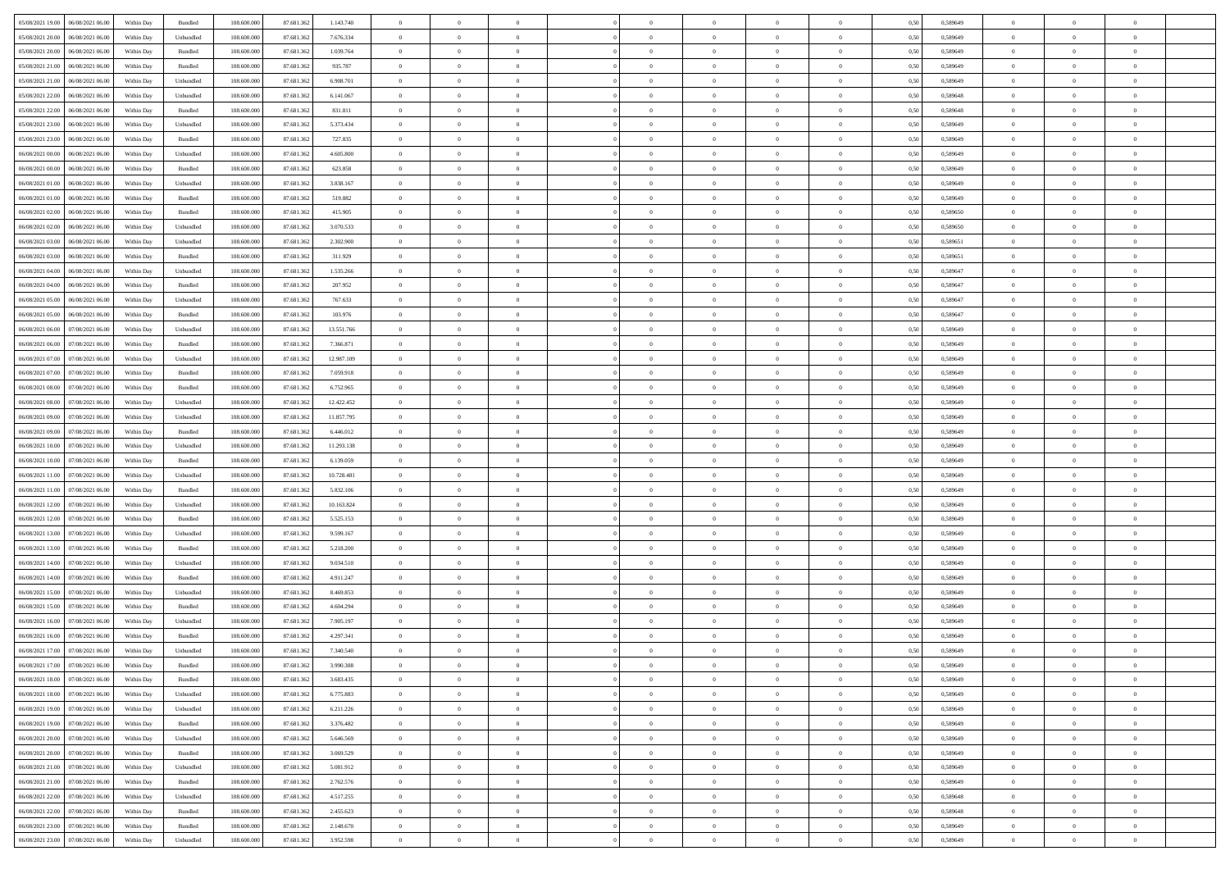|                                      |            |                    |             |            |            | $\overline{0}$ | $\theta$       |                | $\overline{0}$ | $\theta$       |                | $\bf{0}$       |      |          | $\theta$       | $\theta$       | $\theta$       |  |
|--------------------------------------|------------|--------------------|-------------|------------|------------|----------------|----------------|----------------|----------------|----------------|----------------|----------------|------|----------|----------------|----------------|----------------|--|
| 05/08/2021 19:00   06/08/2021 06:00  | Within Day | Bundled            | 108.600.000 | 87.681.362 | 1.143.740  |                |                |                |                |                |                |                | 0,50 | 0,589649 |                |                |                |  |
| 05/08/2021 20:00<br>06/08/2021 06:00 | Within Day | Unbundled          | 108.600.00  | 87.681.36  | 7.676.334  | $\bf{0}$       | $\bf{0}$       | $\bf{0}$       | $\bf{0}$       | $\overline{0}$ | $\overline{0}$ | $\bf{0}$       | 0,50 | 0,589649 | $\,$ 0 $\,$    | $\bf{0}$       | $\overline{0}$ |  |
| 05/08/2021 20:00<br>06/08/2021 06:00 | Within Day | Bundled            | 108,600,000 | 87.681.362 | 1.039.764  | $\overline{0}$ | $\bf{0}$       | $\overline{0}$ | $\bf{0}$       | $\bf{0}$       | $\overline{0}$ | $\bf{0}$       | 0.50 | 0.589649 | $\bf{0}$       | $\overline{0}$ | $\overline{0}$ |  |
| 05/08/2021 21:00<br>06/08/2021 06:00 | Within Day | Bundled            | 108.600.000 | 87.681.362 | 935.787    | $\overline{0}$ | $\overline{0}$ | $\overline{0}$ | $\overline{0}$ | $\theta$       | $\overline{0}$ | $\bf{0}$       | 0,50 | 0,589649 | $\theta$       | $\theta$       | $\overline{0}$ |  |
| 05/08/2021 21:00<br>06/08/2021 06:00 | Within Day | Unbundled          | 108.600.00  | 87.681.362 | 6.908.701  | $\bf{0}$       | $\overline{0}$ | $\bf{0}$       | $\overline{0}$ | $\theta$       | $\overline{0}$ | $\bf{0}$       | 0,50 | 0,589649 | $\,$ 0 $\,$    | $\bf{0}$       | $\overline{0}$ |  |
|                                      |            |                    |             |            |            |                |                |                |                |                |                |                |      |          |                |                |                |  |
| 05/08/2021 22:00<br>06/08/2021 06:00 | Within Day | Unbundled          | 108,600,000 | 87.681.362 | 6.141.067  | $\overline{0}$ | $\overline{0}$ | $\overline{0}$ | $\bf{0}$       | $\overline{0}$ | $\theta$       | $\bf{0}$       | 0.50 | 0.589648 | $\bf{0}$       | $\theta$       | $\overline{0}$ |  |
| 05/08/2021 22:00<br>06/08/2021 06:00 | Within Day | Bundled            | 108.600.000 | 87.681.362 | 831.811    | $\overline{0}$ | $\overline{0}$ | $\overline{0}$ | $\overline{0}$ | $\overline{0}$ | $\overline{0}$ | $\bf{0}$       | 0,50 | 0,589648 | $\theta$       | $\theta$       | $\overline{0}$ |  |
| 05/08/2021 23:00<br>06/08/2021 06:00 | Within Day | Unbundled          | 108.600.00  | 87.681.36  | 5.373.434  | $\overline{0}$ | $\bf{0}$       | $\bf{0}$       | $\overline{0}$ | $\overline{0}$ | $\overline{0}$ | $\bf{0}$       | 0,50 | 0,589649 | $\,$ 0 $\,$    | $\bf{0}$       | $\overline{0}$ |  |
| 05/08/2021 23:00<br>06/08/2021 06:00 | Within Day | Bundled            | 108,600,000 | 87.681.362 | 727.835    | $\overline{0}$ | $\bf{0}$       | $\overline{0}$ | $\bf{0}$       | $\overline{0}$ | $\overline{0}$ | $\bf{0}$       | 0.50 | 0.589649 | $\bf{0}$       | $\overline{0}$ | $\overline{0}$ |  |
| 06/08/2021 00:00<br>06/08/2021 06:00 | Within Day | Unbundled          | 108.600.000 | 87.681.362 | 4.605.800  | $\overline{0}$ | $\bf{0}$       | $\overline{0}$ | $\overline{0}$ | $\overline{0}$ | $\overline{0}$ | $\bf{0}$       | 0,50 | 0,589649 | $\,$ 0 $\,$    | $\bf{0}$       | $\overline{0}$ |  |
| 06/08/2021 00:00<br>06/08/2021 06:00 | Within Day | Bundled            | 108.600.00  | 87.681.362 | 623.858    | $\bf{0}$       | $\overline{0}$ | $\bf{0}$       | $\bf{0}$       | $\bf{0}$       | $\overline{0}$ | $\bf{0}$       | 0,50 | 0,589649 | $\,$ 0 $\,$    | $\bf{0}$       | $\overline{0}$ |  |
| 06/08/2021 01:00<br>06/08/2021 06:00 | Within Day | Unbundled          | 108,600,000 | 87.681.362 | 3.838.167  | $\overline{0}$ | $\bf{0}$       | $\overline{0}$ | $\overline{0}$ | $\bf{0}$       | $\overline{0}$ | $\bf{0}$       | 0.50 | 0.589649 | $\bf{0}$       | $\overline{0}$ | $\bf{0}$       |  |
|                                      |            |                    |             |            |            | $\overline{0}$ | $\overline{0}$ | $\overline{0}$ | $\theta$       | $\theta$       | $\overline{0}$ |                |      |          | $\,$ 0 $\,$    | $\theta$       | $\overline{0}$ |  |
| 06/08/2021 01:00<br>06/08/2021 06:00 | Within Day | Bundled            | 108.600.000 | 87.681.362 | 519.882    |                |                |                |                |                |                | $\bf{0}$       | 0,50 | 0,589649 |                |                |                |  |
| 06/08/2021 02:00<br>06/08/2021 06:00 | Within Day | Bundled            | 108.600.00  | 87.681.362 | 415.905    | $\bf{0}$       | $\overline{0}$ | $\bf{0}$       | $\overline{0}$ | $\theta$       | $\overline{0}$ | $\bf{0}$       | 0,50 | 0,589650 | $\,$ 0 $\,$    | $\bf{0}$       | $\overline{0}$ |  |
| 06/08/2021 02:00<br>06/08/2021 06:00 | Within Day | Unbundled          | 108,600,000 | 87.681.362 | 3.070.533  | $\overline{0}$ | $\overline{0}$ | $\overline{0}$ | $\bf{0}$       | $\overline{0}$ | $\Omega$       | $\bf{0}$       | 0.50 | 0.589650 | $\,$ 0 $\,$    | $\theta$       | $\overline{0}$ |  |
| 06/08/2021 03:00<br>06/08/2021 06:00 | Within Day | Unbundled          | 108.600.000 | 87.681.362 | 2.302.900  | $\overline{0}$ | $\overline{0}$ | $\overline{0}$ | $\overline{0}$ | $\overline{0}$ | $\overline{0}$ | $\bf{0}$       | 0,50 | 0,589651 | $\theta$       | $\theta$       | $\overline{0}$ |  |
| 06/08/2021 03:00<br>06/08/2021 06:00 | Within Day | Bundled            | 108.600.00  | 87.681.362 | 311.929    | $\bf{0}$       | $\overline{0}$ | $\bf{0}$       | $\overline{0}$ | $\theta$       | $\overline{0}$ | $\bf{0}$       | 0,50 | 0,589651 | $\,$ 0 $\,$    | $\bf{0}$       | $\overline{0}$ |  |
| 06/08/2021 04:00<br>06/08/2021 06:00 | Within Day | Unbundled          | 108,600,000 | 87.681.362 | 1.535.266  | $\overline{0}$ | $\bf{0}$       | $\overline{0}$ | $\bf{0}$       | $\overline{0}$ | $\overline{0}$ | $\bf{0}$       | 0.50 | 0.589647 | $\bf{0}$       | $\overline{0}$ | $\overline{0}$ |  |
| 06/08/2021 04:00<br>06/08/2021 06:00 | Within Day | Bundled            | 108.600.000 | 87.681.362 | 207.952    | $\bf{0}$       | $\bf{0}$       | $\overline{0}$ | $\overline{0}$ | $\overline{0}$ | $\overline{0}$ | $\bf{0}$       | 0,50 | 0,589647 | $\,$ 0 $\,$    | $\bf{0}$       | $\overline{0}$ |  |
| 06/08/2021 06:00                     | Within Day | Unbundled          | 108.600.00  | 87.681.362 | 767.633    | $\bf{0}$       | $\bf{0}$       | $\bf{0}$       | $\bf{0}$       | $\overline{0}$ | $\overline{0}$ | $\bf{0}$       | 0,50 | 0,589647 | $\,$ 0 $\,$    | $\bf{0}$       | $\overline{0}$ |  |
| 06/08/2021 05:00                     |            |                    |             |            |            |                |                |                |                |                |                |                |      |          |                |                |                |  |
| 06/08/2021 05:00<br>06/08/2021 06:00 | Within Day | Bundled            | 108,600,000 | 87.681.362 | 103.976    | $\overline{0}$ | $\bf{0}$       | $\overline{0}$ | $\overline{0}$ | $\bf{0}$       | $\overline{0}$ | $\bf{0}$       | 0.50 | 0.589647 | $\bf{0}$       | $\overline{0}$ | $\,$ 0         |  |
| 06/08/2021 06:00<br>07/08/2021 06:00 | Within Day | Unbundled          | 108.600.000 | 87.681.362 | 13.551.766 | $\overline{0}$ | $\overline{0}$ | $\overline{0}$ | $\overline{0}$ | $\theta$       | $\overline{0}$ | $\bf{0}$       | 0,50 | 0,589649 | $\theta$       | $\theta$       | $\overline{0}$ |  |
| 06/08/2021 06:00<br>07/08/2021 06.00 | Within Day | Bundled            | 108.600.00  | 87.681.362 | 7.366.871  | $\bf{0}$       | $\overline{0}$ | $\bf{0}$       | $\bf{0}$       | $\,$ 0 $\,$    | $\overline{0}$ | $\bf{0}$       | 0,50 | 0,589649 | $\,$ 0 $\,$    | $\bf{0}$       | $\overline{0}$ |  |
| 06/08/2021 07:00<br>07/08/2021 06:00 | Within Day | Unbundled          | 108,600,000 | 87.681.362 | 12.987.109 | $\overline{0}$ | $\overline{0}$ | $\overline{0}$ | $\bf{0}$       | $\overline{0}$ | $\theta$       | $\bf{0}$       | 0.50 | 0.589649 | $\bf{0}$       | $\theta$       | $\overline{0}$ |  |
| 06/08/2021 07:00<br>07/08/2021 06:00 | Within Day | Bundled            | 108.600.000 | 87.681.362 | 7.059.918  | $\overline{0}$ | $\overline{0}$ | $\overline{0}$ | $\overline{0}$ | $\overline{0}$ | $\overline{0}$ | $\bf{0}$       | 0,50 | 0,589649 | $\theta$       | $\theta$       | $\overline{0}$ |  |
| 06/08/2021 08:00<br>07/08/2021 06.00 | Within Day | Bundled            | 108.600.00  | 87.681.36  | 6.752.965  | $\bf{0}$       | $\overline{0}$ | $\bf{0}$       | $\overline{0}$ | $\bf{0}$       | $\overline{0}$ | $\bf{0}$       | 0,50 | 0,589649 | $\,$ 0 $\,$    | $\bf{0}$       | $\overline{0}$ |  |
| 06/08/2021 08:00<br>07/08/2021 06:00 | Within Day | Unbundled          | 108,600,000 | 87.681.362 | 12.422.452 | $\overline{0}$ | $\bf{0}$       | $\overline{0}$ | $\bf{0}$       | $\overline{0}$ | $\overline{0}$ | $\bf{0}$       | 0.50 | 0.589649 | $\bf{0}$       | $\overline{0}$ | $\overline{0}$ |  |
| 06/08/2021 09:00<br>07/08/2021 06:00 | Within Day | Unbundled          | 108.600.000 | 87.681.362 | 11.857.795 | $\overline{0}$ | $\bf{0}$       | $\overline{0}$ | $\overline{0}$ | $\overline{0}$ | $\overline{0}$ | $\bf{0}$       | 0,50 | 0,589649 | $\theta$       | $\theta$       | $\overline{0}$ |  |
|                                      |            |                    |             |            |            |                |                |                |                |                |                |                |      |          |                |                |                |  |
| 06/08/2021 09:00<br>07/08/2021 06.00 | Within Day | Bundled            | 108.600.00  | 87.681.362 | 6.446.012  | $\bf{0}$       | $\bf{0}$       | $\bf{0}$       | $\bf{0}$       | $\overline{0}$ | $\overline{0}$ | $\bf{0}$       | 0,50 | 0,589649 | $\,$ 0 $\,$    | $\bf{0}$       | $\overline{0}$ |  |
| 06/08/2021 10:00<br>07/08/2021 06:00 | Within Day | Unbundled          | 108,600,000 | 87.681.362 | 11.293.138 | $\overline{0}$ | $\bf{0}$       | $\overline{0}$ | $\bf{0}$       | $\bf{0}$       | $\overline{0}$ | $\bf{0}$       | 0.50 | 0.589649 | $\bf{0}$       | $\overline{0}$ | $\bf{0}$       |  |
| 06/08/2021 10:00<br>07/08/2021 06:00 | Within Day | Bundled            | 108.600.000 | 87.681.362 | 6.139.059  | $\overline{0}$ | $\overline{0}$ | $\overline{0}$ | $\overline{0}$ | $\overline{0}$ | $\overline{0}$ | $\bf{0}$       | 0.50 | 0.589649 | $\theta$       | $\theta$       | $\overline{0}$ |  |
| 06/08/2021 11:00<br>07/08/2021 06.00 | Within Day | Unbundled          | 108.600.00  | 87.681.362 | 10.728.481 | $\bf{0}$       | $\overline{0}$ | $\bf{0}$       | $\bf{0}$       | $\,$ 0 $\,$    | $\overline{0}$ | $\bf{0}$       | 0,50 | 0,589649 | $\,$ 0 $\,$    | $\bf{0}$       | $\overline{0}$ |  |
| 06/08/2021 11:00<br>07/08/2021 06:00 | Within Day | Bundled            | 108,600,000 | 87.681.362 | 5.832.106  | $\overline{0}$ | $\bf{0}$       | $\overline{0}$ | $\bf{0}$       | $\overline{0}$ | $\Omega$       | $\bf{0}$       | 0.50 | 0.589649 | $\,$ 0 $\,$    | $\theta$       | $\overline{0}$ |  |
| 06/08/2021 12:00<br>07/08/2021 06:00 | Within Dav | Unbundled          | 108.600.000 | 87.681.362 | 10.163.824 | $\overline{0}$ | $\overline{0}$ | $\overline{0}$ | $\overline{0}$ | $\theta$       | $\overline{0}$ | $\bf{0}$       | 0.50 | 0.589649 | $\theta$       | $\theta$       | $\overline{0}$ |  |
| 06/08/2021 12:00<br>07/08/2021 06.00 | Within Day | Bundled            | 108.600.00  | 87.681.362 | 5.525.153  | $\bf{0}$       | $\bf{0}$       | $\bf{0}$       | $\bf{0}$       | $\bf{0}$       | $\overline{0}$ | $\bf{0}$       | 0,50 | 0,589649 | $\,$ 0 $\,$    | $\bf{0}$       | $\overline{0}$ |  |
| 06/08/2021 13:00<br>07/08/2021 06:00 | Within Day | Unbundled          | 108,600,000 | 87.681.362 | 9.599.167  | $\overline{0}$ | $\bf{0}$       | $\overline{0}$ | $\bf{0}$       | $\overline{0}$ | $\overline{0}$ | $\bf{0}$       | 0.50 | 0.589649 | $\bf{0}$       | $\overline{0}$ | $\overline{0}$ |  |
|                                      |            |                    |             |            |            |                |                |                |                |                |                |                |      |          |                |                |                |  |
| 06/08/2021 13:00<br>07/08/2021 06:00 | Within Dav | Bundled            | 108.600.000 | 87.681.362 | 5.218.200  | $\overline{0}$ | $\overline{0}$ | $\overline{0}$ | $\overline{0}$ | $\overline{0}$ | $\overline{0}$ | $\overline{0}$ | 0.50 | 0.589649 | $\theta$       | $\theta$       | $\overline{0}$ |  |
| 06/08/2021 14:00<br>07/08/2021 06.00 | Within Day | Unbundled          | 108.600.00  | 87.681.362 | 9.034.510  | $\bf{0}$       | $\bf{0}$       | $\bf{0}$       | $\bf{0}$       | $\overline{0}$ | $\overline{0}$ | $\bf{0}$       | 0,50 | 0,589649 | $\,$ 0 $\,$    | $\bf{0}$       | $\overline{0}$ |  |
| 06/08/2021 14:00<br>07/08/2021 06:00 | Within Day | Bundled            | 108,600,000 | 87.681.362 | 4.911.247  | $\overline{0}$ | $\bf{0}$       | $\overline{0}$ | $\overline{0}$ | $\bf{0}$       | $\overline{0}$ | $\bf{0}$       | 0.50 | 0.589649 | $\bf{0}$       | $\overline{0}$ | $\overline{0}$ |  |
| 06/08/2021 15:00<br>07/08/2021 06:00 | Within Dav | Unbundled          | 108.600.000 | 87.681.362 | 8.469.853  | $\overline{0}$ | $\overline{0}$ | $\overline{0}$ | $\overline{0}$ | $\overline{0}$ | $\overline{0}$ | $\bf{0}$       | 0.50 | 0.589649 | $\theta$       | $\theta$       | $\overline{0}$ |  |
| 06/08/2021 15:00<br>07/08/2021 06.00 | Within Day | Bundled            | 108.600.00  | 87.681.362 | 4.604.294  | $\bf{0}$       | $\bf{0}$       | $\bf{0}$       | $\bf{0}$       | $\overline{0}$ | $\overline{0}$ | $\bf{0}$       | 0,50 | 0,589649 | $\,$ 0 $\,$    | $\bf{0}$       | $\overline{0}$ |  |
| 06/08/2021 16:00<br>07/08/2021 06:00 | Within Day | Unbundled          | 108,600,000 | 87.681.362 | 7.905.197  | $\overline{0}$ | $\overline{0}$ | $\overline{0}$ | $\bf{0}$       | $\overline{0}$ | $\Omega$       | $\bf{0}$       | 0.50 | 0.589649 | $\bf{0}$       | $\theta$       | $\overline{0}$ |  |
| 06/08/2021 16:00<br>07/08/2021 06:00 | Within Dav | Bundled            | 108.600.000 | 87.681.36  | 4.297.341  | $\overline{0}$ | $\overline{0}$ | $\Omega$       | $\overline{0}$ | $\theta$       | $\overline{0}$ | $\overline{0}$ | 0.5( | 0.589649 | $\theta$       | $\theta$       | $\overline{0}$ |  |
| 06/08/2021 17:00<br>07/08/2021 06:00 | Within Day | Unbundled          | 108.600.00  | 87.681.362 | 7.340.540  | $\bf{0}$       | $\bf{0}$       | $\bf{0}$       | $\bf{0}$       | $\bf{0}$       | $\overline{0}$ | $\bf{0}$       | 0,50 | 0,589649 | $\overline{0}$ | $\bf{0}$       | $\overline{0}$ |  |
| 06/08/2021 17:00 07/08/2021 06:00    | Within Day | $\mathbf B$ undled | 108.600.000 | 87.681.362 | 3 990 388  | $\bf{0}$       | $\Omega$       |                | $\Omega$       |                |                |                | 0,50 | 0.589649 | $\bf{0}$       | $\overline{0}$ |                |  |
|                                      |            |                    |             |            |            |                |                |                |                |                |                |                |      |          |                |                |                |  |
| 06/08/2021 18:00 07/08/2021 06:00    | Within Day | Bundled            | 108.600.000 | 87.681.362 | 3.683.435  | $\overline{0}$ | $\overline{0}$ | $\Omega$       | $\theta$       | $\overline{0}$ | $\overline{0}$ | $\bf{0}$       | 0,50 | 0,589649 | $\theta$       | $\theta$       | $\overline{0}$ |  |
| 06/08/2021 18:00<br>07/08/2021 06:00 | Within Day | Unbundled          | 108.600.00  | 87.681.362 | 6.775.883  | $\overline{0}$ | $\bf{0}$       | $\overline{0}$ | $\overline{0}$ | $\bf{0}$       | $\overline{0}$ | $\bf{0}$       | 0,50 | 0,589649 | $\bf{0}$       | $\overline{0}$ | $\bf{0}$       |  |
| 06/08/2021 19:00 07/08/2021 06:00    | Within Day | Unbundled          | 108,600,000 | 87.681.362 | 6.211.226  | $\overline{0}$ | $\bf{0}$       | $\overline{0}$ | $\overline{0}$ | $\mathbf{0}$   | $\overline{0}$ | $\,$ 0 $\,$    | 0.50 | 0.589649 | $\overline{0}$ | $\bf{0}$       | $\bf{0}$       |  |
| 06/08/2021 19:00 07/08/2021 06:00    | Within Day | Bundled            | 108.600.000 | 87.681.362 | 3.376.482  | $\overline{0}$ | $\overline{0}$ | $\overline{0}$ | $\overline{0}$ | $\overline{0}$ | $\overline{0}$ | $\bf{0}$       | 0,50 | 0.589649 | $\theta$       | $\theta$       | $\overline{0}$ |  |
| 06/08/2021 20:00<br>07/08/2021 06:00 | Within Day | Unbundled          | 108.600.000 | 87.681.362 | 5.646.569  | $\overline{0}$ | $\bf{0}$       | $\overline{0}$ | $\overline{0}$ | $\bf{0}$       | $\overline{0}$ | $\bf{0}$       | 0,50 | 0,589649 | $\bf{0}$       | $\overline{0}$ | $\overline{0}$ |  |
| 06/08/2021 20:00 07/08/2021 06:00    | Within Day | Bundled            | 108,600,000 | 87.681.362 | 3.069.529  | $\overline{0}$ | $\bf{0}$       | $\overline{0}$ | $\overline{0}$ | $\bf{0}$       | $\overline{0}$ | $\bf{0}$       | 0.50 | 0.589649 | $\,$ 0 $\,$    | $\overline{0}$ | $\,$ 0         |  |
| 06/08/2021 21:00 07/08/2021 06:00    | Within Dav | Unbundled          | 108.600.000 | 87.681.362 | 5.081.912  | $\overline{0}$ | $\overline{0}$ | $\overline{0}$ | $\overline{0}$ | $\overline{0}$ | $\overline{0}$ | $\bf{0}$       | 0,50 | 0.589649 | $\overline{0}$ | $\theta$       | $\overline{0}$ |  |
|                                      |            |                    |             |            |            |                |                |                |                |                |                |                |      |          |                |                |                |  |
| 06/08/2021 21:00<br>07/08/2021 06:00 | Within Day | Bundled            | 108.600.00  | 87.681.362 | 2.762.576  | $\overline{0}$ | $\overline{0}$ | $\overline{0}$ | $\overline{0}$ | $\overline{0}$ | $\overline{0}$ | $\bf{0}$       | 0,50 | 0,589649 | $\bf{0}$       | $\overline{0}$ | $\,$ 0         |  |
| 06/08/2021 22:00 07/08/2021 06:00    | Within Day | Unbundled          | 108,600,000 | 87.681.362 | 4.517.255  | $\overline{0}$ | $\overline{0}$ | $\overline{0}$ | $\overline{0}$ | $\overline{0}$ | $\overline{0}$ | $\bf{0}$       | 0.50 | 0.589648 | $\mathbf{0}$   | $\bf{0}$       | $\,$ 0         |  |
| 06/08/2021 22:00 07/08/2021 06:00    | Within Dav | Bundled            | 108.600.000 | 87.681.362 | 2.455.623  | $\overline{0}$ | $\overline{0}$ | $\overline{0}$ | $\overline{0}$ | $\overline{0}$ | $\overline{0}$ | $\bf{0}$       | 0,50 | 0.589648 | $\overline{0}$ | $\theta$       | $\overline{0}$ |  |
| 06/08/2021 23:00<br>07/08/2021 06:00 | Within Day | Bundled            | 108.600.00  | 87.681.362 | 2.148.670  | $\overline{0}$ | $\bf{0}$       | $\overline{0}$ | $\overline{0}$ | $\overline{0}$ | $\overline{0}$ | $\bf{0}$       | 0,50 | 0,589649 | $\bf{0}$       | $\,$ 0 $\,$    | $\bf{0}$       |  |
| 06/08/2021 23:00 07/08/2021 06:00    | Within Day | Unbundled          | 108.600.000 | 87.681.362 | 3.952.598  | $\,$ 0 $\,$    | $\bf{0}$       | $\overline{0}$ | $\overline{0}$ | $\,$ 0 $\,$    | $\overline{0}$ | $\,$ 0 $\,$    | 0,50 | 0,589649 | $\overline{0}$ | $\,$ 0 $\,$    | $\,$ 0 $\,$    |  |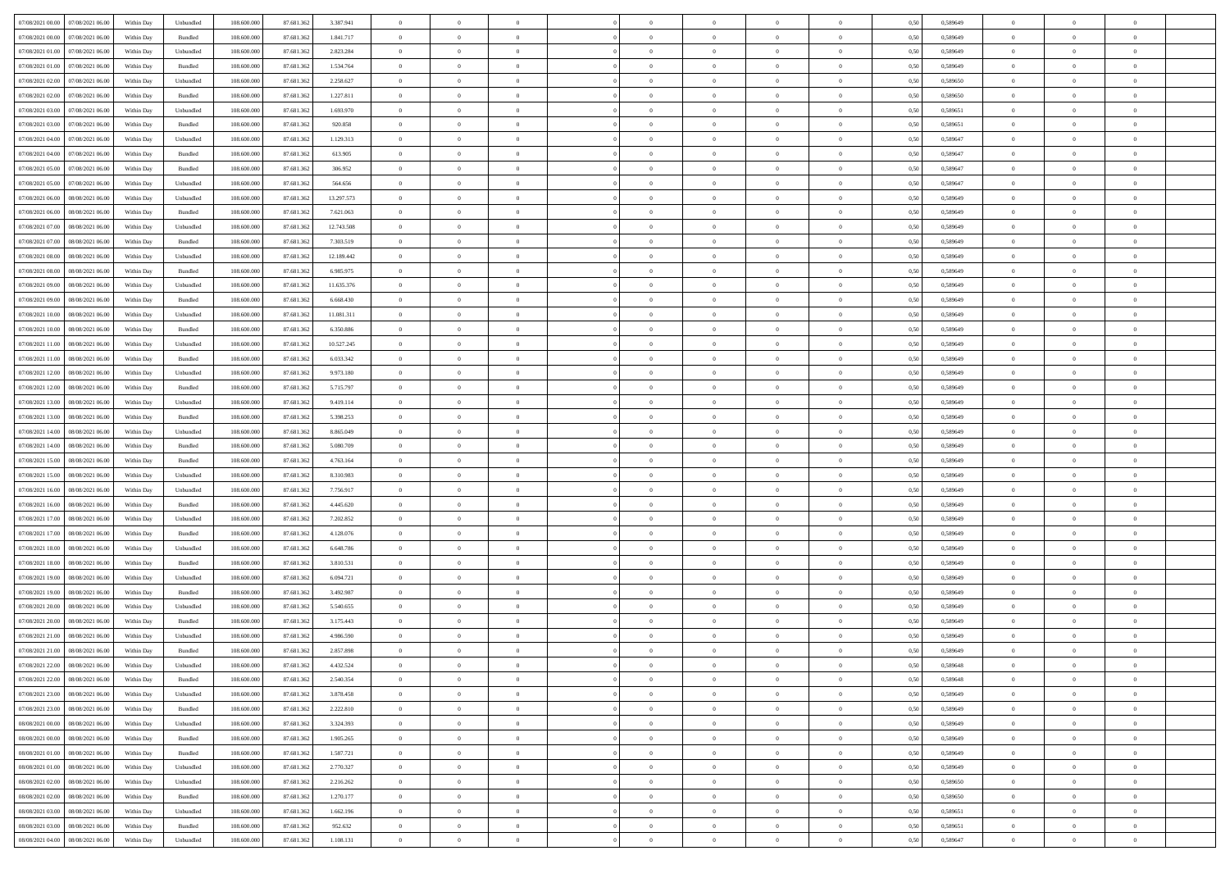| 07/08/2021 00:00 07/08/2021 06:00                                                                 | Within Day | Unbundled                   | 108.600.000 | 87.681.362 | 3.387.941  | $\overline{0}$ | $\overline{0}$ |                | $\overline{0}$ | $\theta$       |                | $\theta$       | 0,50 | 0,589649 | $\theta$       | $\theta$       | $\overline{0}$ |  |
|---------------------------------------------------------------------------------------------------|------------|-----------------------------|-------------|------------|------------|----------------|----------------|----------------|----------------|----------------|----------------|----------------|------|----------|----------------|----------------|----------------|--|
| 07/08/2021 00:00<br>07/08/2021 06:00                                                              | Within Day | Bundled                     | 108.600.00  | 87.681.36  | 1.841.717  | $\bf{0}$       | $\bf{0}$       | $\bf{0}$       | $\overline{0}$ | $\overline{0}$ | $\overline{0}$ | $\bf{0}$       | 0,50 | 0,589649 | $\,$ 0 $\,$    | $\bf{0}$       | $\overline{0}$ |  |
| 07/08/2021 01:00<br>07/08/2021 06:00                                                              | Within Day | Unbundled                   | 108,600,000 | 87.681.362 | 2.823.284  | $\overline{0}$ | $\bf{0}$       | $\overline{0}$ | $\bf{0}$       | $\bf{0}$       | $\overline{0}$ | $\bf{0}$       | 0.50 | 0.589649 | $\bf{0}$       | $\overline{0}$ | $\overline{0}$ |  |
| 07/08/2021 01:00<br>07/08/2021 06:00                                                              | Within Day | Bundled                     | 108.600.000 | 87.681.362 | 1.534.764  | $\overline{0}$ | $\overline{0}$ | $\overline{0}$ | $\theta$       | $\theta$       | $\overline{0}$ | $\bf{0}$       | 0,50 | 0,589649 | $\theta$       | $\theta$       | $\overline{0}$ |  |
|                                                                                                   |            |                             |             |            |            |                |                |                |                |                |                |                |      |          |                |                |                |  |
| 07/08/2021 02:00<br>07/08/2021 06.00                                                              | Within Day | Unbundled                   | 108.600.00  | 87.681.362 | 2.258.627  | $\bf{0}$       | $\overline{0}$ | $\bf{0}$       | $\overline{0}$ | $\theta$       | $\overline{0}$ | $\bf{0}$       | 0,50 | 0,589650 | $\,$ 0 $\,$    | $\bf{0}$       | $\overline{0}$ |  |
| 07/08/2021 02:00<br>07/08/2021 06:00                                                              | Within Day | Bundled                     | 108,600,000 | 87.681.362 | 1.227.811  | $\overline{0}$ | $\overline{0}$ | $\overline{0}$ | $\bf{0}$       | $\overline{0}$ | $\Omega$       | $\bf{0}$       | 0.50 | 0.589650 | $\bf{0}$       | $\theta$       | $\overline{0}$ |  |
| 07/08/2021 03:00<br>07/08/2021 06:00                                                              | Within Day | Unbundled                   | 108.600.000 | 87.681.362 | 1.693.970  | $\overline{0}$ | $\overline{0}$ | $\overline{0}$ | $\overline{0}$ | $\overline{0}$ | $\overline{0}$ | $\bf{0}$       | 0,50 | 0,589651 | $\theta$       | $\theta$       | $\overline{0}$ |  |
| 07/08/2021 03:00<br>07/08/2021 06.00                                                              | Within Day | Bundled                     | 108.600.00  | 87.681.36  | 920.858    | $\bf{0}$       | $\overline{0}$ | $\bf{0}$       | $\overline{0}$ | $\theta$       | $\overline{0}$ | $\bf{0}$       | 0,50 | 0,589651 | $\,$ 0 $\,$    | $\bf{0}$       | $\overline{0}$ |  |
| 07/08/2021 04:00<br>07/08/2021 06:00                                                              | Within Day | Unbundled                   | 108,600,000 | 87.681.362 | 1.129.313  | $\overline{0}$ | $\bf{0}$       | $\overline{0}$ | $\bf{0}$       | $\overline{0}$ | $\overline{0}$ | $\bf{0}$       | 0.50 | 0.589647 | $\bf{0}$       | $\overline{0}$ | $\overline{0}$ |  |
| 07/08/2021 04:00<br>07/08/2021 06:00                                                              | Within Day | Bundled                     | 108.600.000 | 87.681.362 | 613.905    | $\bf{0}$       | $\bf{0}$       | $\overline{0}$ | $\overline{0}$ | $\overline{0}$ | $\overline{0}$ | $\bf{0}$       | 0,50 | 0,589647 | $\,$ 0 $\,$    | $\bf{0}$       | $\overline{0}$ |  |
|                                                                                                   |            |                             |             |            |            |                |                |                |                |                |                |                |      |          |                |                |                |  |
| 07/08/2021 05:00<br>07/08/2021 06.00                                                              | Within Day | Bundled                     | 108.600.00  | 87.681.362 | 306.952    | $\bf{0}$       | $\overline{0}$ | $\bf{0}$       | $\bf{0}$       | $\bf{0}$       | $\overline{0}$ | $\bf{0}$       | 0,50 | 0,589647 | $\,$ 0 $\,$    | $\bf{0}$       | $\overline{0}$ |  |
| 07/08/2021 05:00<br>07/08/2021 06:00                                                              | Within Day | Unbundled                   | 108,600,000 | 87.681.362 | 564,656    | $\overline{0}$ | $\bf{0}$       | $\overline{0}$ | $\overline{0}$ | $\bf{0}$       | $\overline{0}$ | $\bf{0}$       | 0.50 | 0.589647 | $\bf{0}$       | $\overline{0}$ | $\bf{0}$       |  |
| 07/08/2021 06:00<br>08/08/2021 06:00                                                              | Within Day | Unbundled                   | 108.600.000 | 87.681.362 | 13.297.573 | $\overline{0}$ | $\overline{0}$ | $\overline{0}$ | $\theta$       | $\theta$       | $\overline{0}$ | $\bf{0}$       | 0,50 | 0,589649 | $\,$ 0 $\,$    | $\theta$       | $\overline{0}$ |  |
| 07/08/2021 06:00<br>08/08/2021 06:00                                                              | Within Day | Bundled                     | 108.600.00  | 87.681.36  | 7.621.063  | $\bf{0}$       | $\overline{0}$ | $\bf{0}$       | $\overline{0}$ | $\theta$       | $\overline{0}$ | $\bf{0}$       | 0,50 | 0,589649 | $\bf{0}$       | $\bf{0}$       | $\overline{0}$ |  |
| 07/08/2021 07:00<br>08/08/2021 06:00                                                              | Within Day | Unbundled                   | 108,600,000 | 87.681.362 | 12.743.508 | $\overline{0}$ | $\overline{0}$ | $\overline{0}$ | $\bf{0}$       | $\overline{0}$ | $\Omega$       | $\bf{0}$       | 0.50 | 0.589649 | $\theta$       | $\theta$       | $\overline{0}$ |  |
| 07/08/2021 07:00<br>08/08/2021 06:00                                                              | Within Day | Bundled                     | 108.600.000 | 87.681.362 | 7.303.519  | $\overline{0}$ | $\overline{0}$ | $\overline{0}$ | $\overline{0}$ | $\overline{0}$ | $\overline{0}$ | $\bf{0}$       | 0,50 | 0,589649 | $\theta$       | $\theta$       | $\overline{0}$ |  |
|                                                                                                   |            |                             |             |            |            |                |                |                |                |                |                |                |      |          |                |                |                |  |
| 07/08/2021 08:00<br>08/08/2021 06:00                                                              | Within Day | Unbundled                   | 108.600.00  | 87.681.36  | 12.189.442 | $\bf{0}$       | $\overline{0}$ | $\bf{0}$       | $\overline{0}$ | $\theta$       | $\overline{0}$ | $\bf{0}$       | 0,50 | 0,589649 | $\,$ 0 $\,$    | $\bf{0}$       | $\overline{0}$ |  |
| 07/08/2021 08:00<br>08/08/2021 06:00                                                              | Within Day | Bundled                     | 108,600,000 | 87.681.362 | 6.985.975  | $\overline{0}$ | $\bf{0}$       | $\overline{0}$ | $\bf{0}$       | $\overline{0}$ | $\overline{0}$ | $\bf{0}$       | 0.50 | 0.589649 | $\bf{0}$       | $\overline{0}$ | $\overline{0}$ |  |
| 07/08/2021 09:00<br>08/08/2021 06:00                                                              | Within Day | Unbundled                   | 108.600.000 | 87.681.362 | 11.635.376 | $\overline{0}$ | $\bf{0}$       | $\overline{0}$ | $\overline{0}$ | $\overline{0}$ | $\overline{0}$ | $\bf{0}$       | 0,50 | 0,589649 | $\,$ 0 $\,$    | $\bf{0}$       | $\overline{0}$ |  |
| 07/08/2021 09:00<br>08/08/2021 06:00                                                              | Within Day | Bundled                     | 108.600.00  | 87.681.362 | 6.668.430  | $\bf{0}$       | $\bf{0}$       | $\bf{0}$       | $\bf{0}$       | $\overline{0}$ | $\overline{0}$ | $\bf{0}$       | 0,50 | 0,589649 | $\,$ 0 $\,$    | $\bf{0}$       | $\overline{0}$ |  |
| 07/08/2021 10:00<br>08/08/2021 06:00                                                              | Within Day | Unbundled                   | 108,600,000 | 87.681.362 | 11.081.311 | $\overline{0}$ | $\bf{0}$       | $\overline{0}$ | $\bf{0}$       | $\bf{0}$       | $\overline{0}$ | $\bf{0}$       | 0.50 | 0.589649 | $\bf{0}$       | $\overline{0}$ | $\overline{0}$ |  |
| 07/08/2021 10:00<br>08/08/2021 06:00                                                              | Within Day | Bundled                     | 108.600.000 | 87.681.362 | 6.350.886  | $\overline{0}$ | $\overline{0}$ | $\overline{0}$ | $\theta$       | $\theta$       | $\overline{0}$ | $\bf{0}$       | 0,50 | 0,589649 | $\theta$       | $\theta$       | $\overline{0}$ |  |
|                                                                                                   |            |                             |             |            |            |                |                |                |                |                |                |                |      |          |                |                |                |  |
| 07/08/2021 11:00<br>08/08/2021 06:00                                                              | Within Day | Unbundled                   | 108.600.00  | 87.681.362 | 10.527.245 | $\bf{0}$       | $\overline{0}$ | $\bf{0}$       | $\bf{0}$       | $\overline{0}$ | $\overline{0}$ | $\bf{0}$       | 0,50 | 0,589649 | $\,$ 0 $\,$    | $\bf{0}$       | $\overline{0}$ |  |
| 07/08/2021 11:00<br>08/08/2021 06:00                                                              | Within Day | Bundled                     | 108,600,000 | 87.681.362 | 6.033.342  | $\overline{0}$ | $\overline{0}$ | $\overline{0}$ | $\overline{0}$ | $\overline{0}$ | $\Omega$       | $\bf{0}$       | 0.50 | 0.589649 | $\bf{0}$       | $\theta$       | $\overline{0}$ |  |
| 07/08/2021 12:00<br>08/08/2021 06:00                                                              | Within Day | Unbundled                   | 108.600.000 | 87.681.362 | 9.973.180  | $\overline{0}$ | $\overline{0}$ | $\overline{0}$ | $\overline{0}$ | $\theta$       | $\overline{0}$ | $\bf{0}$       | 0,50 | 0,589649 | $\,$ 0 $\,$    | $\theta$       | $\overline{0}$ |  |
| 07/08/2021 12:00<br>08/08/2021 06:00                                                              | Within Day | Bundled                     | 108.600.00  | 87.681.36  | 5.715.797  | $\bf{0}$       | $\overline{0}$ | $\bf{0}$       | $\overline{0}$ | $\theta$       | $\overline{0}$ | $\bf{0}$       | 0,50 | 0,589649 | $\,$ 0 $\,$    | $\bf{0}$       | $\overline{0}$ |  |
| 07/08/2021 13:00<br>08/08/2021 06:00                                                              | Within Day | Unbundled                   | 108,600,000 | 87.681.362 | 9.419.114  | $\overline{0}$ | $\bf{0}$       | $\overline{0}$ | $\bf{0}$       | $\overline{0}$ | $\overline{0}$ | $\bf{0}$       | 0.50 | 0.589649 | $\bf{0}$       | $\overline{0}$ | $\overline{0}$ |  |
| 07/08/2021 13:00<br>08/08/2021 06:00                                                              | Within Day | Bundled                     | 108.600.000 | 87.681.362 | 5.398.253  | $\overline{0}$ | $\bf{0}$       | $\overline{0}$ | $\overline{0}$ | $\overline{0}$ | $\overline{0}$ | $\bf{0}$       | 0,50 | 0,589649 | $\theta$       | $\theta$       | $\overline{0}$ |  |
|                                                                                                   |            |                             |             |            |            |                |                |                |                |                |                |                |      |          |                |                |                |  |
| 07/08/2021 14:00<br>08/08/2021 06:00                                                              | Within Day | Unbundled                   | 108.600.00  | 87.681.362 | 8.865.049  | $\bf{0}$       | $\bf{0}$       | $\bf{0}$       | $\bf{0}$       | $\overline{0}$ | $\overline{0}$ | $\bf{0}$       | 0,50 | 0,589649 | $\,$ 0 $\,$    | $\bf{0}$       | $\overline{0}$ |  |
| 07/08/2021 14:00<br>08/08/2021 06:00                                                              | Within Day | Bundled                     | 108,600,000 | 87.681.362 | 5.080.709  | $\overline{0}$ | $\bf{0}$       | $\overline{0}$ | $\bf{0}$       | $\bf{0}$       | $\overline{0}$ | $\bf{0}$       | 0.50 | 0.589649 | $\bf{0}$       | $\overline{0}$ | $\overline{0}$ |  |
| 07/08/2021 15:00<br>08/08/2021 06:00                                                              | Within Day | Bundled                     | 108.600.000 | 87.681.362 | 4.763.164  | $\overline{0}$ | $\overline{0}$ | $\overline{0}$ | $\overline{0}$ | $\overline{0}$ | $\overline{0}$ | $\bf{0}$       | 0.50 | 0.589649 | $\theta$       | $\theta$       | $\overline{0}$ |  |
| 07/08/2021 15:00<br>08/08/2021 06:00                                                              | Within Day | Unbundled                   | 108.600.00  | 87.681.362 | 8.310.983  | $\bf{0}$       | $\overline{0}$ | $\bf{0}$       | $\bf{0}$       | $\overline{0}$ | $\overline{0}$ | $\bf{0}$       | 0,50 | 0,589649 | $\,$ 0 $\,$    | $\bf{0}$       | $\overline{0}$ |  |
| 07/08/2021 16:00<br>08/08/2021 06:00                                                              | Within Day | Unbundled                   | 108,600,000 | 87.681.362 | 7.756.917  | $\overline{0}$ | $\bf{0}$       | $\overline{0}$ | $\bf{0}$       | $\overline{0}$ | $\Omega$       | $\bf{0}$       | 0.50 | 0.589649 | $\,$ 0 $\,$    | $\theta$       | $\overline{0}$ |  |
| 07/08/2021 16:00<br>08/08/2021 06:00                                                              | Within Dav | Bundled                     | 108.600.000 | 87.681.362 | 4.445.620  | $\overline{0}$ | $\overline{0}$ | $\overline{0}$ | $\overline{0}$ | $\theta$       | $\overline{0}$ | $\bf{0}$       | 0.50 | 0.589649 | $\theta$       | $\theta$       | $\overline{0}$ |  |
| 07/08/2021 17:00<br>08/08/2021 06:00                                                              | Within Day | Unbundled                   | 108.600.00  | 87.681.36  | 7.202.852  | $\bf{0}$       | $\bf{0}$       | $\bf{0}$       | $\bf{0}$       | $\bf{0}$       | $\overline{0}$ | $\bf{0}$       | 0,50 | 0,589649 | $\,$ 0 $\,$    | $\bf{0}$       | $\overline{0}$ |  |
| 08/08/2021 06:00                                                                                  |            | Bundled                     | 108,600,000 |            | 4.128.076  |                |                |                |                |                | $\overline{0}$ |                |      |          |                |                |                |  |
| 07/08/2021 17:00                                                                                  | Within Day |                             |             | 87.681.362 |            | $\overline{0}$ | $\bf{0}$       | $\overline{0}$ | $\bf{0}$       | $\overline{0}$ |                | $\bf{0}$       | 0.50 | 0.589649 | $\bf{0}$       | $\overline{0}$ | $\overline{0}$ |  |
| 07/08/2021 18:00<br>08/08/2021 06:00                                                              | Within Dav | Unbundled                   | 108.600.000 | 87.681.362 | 6.648.786  | $\overline{0}$ | $\overline{0}$ | $\overline{0}$ | $\overline{0}$ | $\overline{0}$ | $\overline{0}$ | $\overline{0}$ | 0.50 | 0.589649 | $\theta$       | $\theta$       | $\overline{0}$ |  |
| 07/08/2021 18:00<br>08/08/2021 06:00                                                              | Within Day | Bundled                     | 108.600.00  | 87.681.362 | 3.810.531  | $\bf{0}$       | $\bf{0}$       | $\bf{0}$       | $\bf{0}$       | $\overline{0}$ | $\overline{0}$ | $\bf{0}$       | 0,50 | 0,589649 | $\,$ 0 $\,$    | $\bf{0}$       | $\overline{0}$ |  |
| 07/08/2021 19:00<br>08/08/2021 06:00                                                              | Within Day | Unbundled                   | 108,600,000 | 87.681.362 | 6.094.721  | $\overline{0}$ | $\bf{0}$       | $\overline{0}$ | $\overline{0}$ | $\bf{0}$       | $\overline{0}$ | $\bf{0}$       | 0.50 | 0.589649 | $\bf{0}$       | $\overline{0}$ | $\overline{0}$ |  |
| 07/08/2021 19:00<br>08/08/2021 06:00                                                              | Within Dav | Bundled                     | 108.600.000 | 87.681.362 | 3.492.987  | $\overline{0}$ | $\overline{0}$ | $\overline{0}$ | $\overline{0}$ | $\theta$       | $\overline{0}$ | $\bf{0}$       | 0.50 | 0.589649 | $\theta$       | $\theta$       | $\overline{0}$ |  |
| 07/08/2021 20:00<br>08/08/2021 06:00                                                              | Within Day | Unbundled                   | 108.600.00  | 87.681.362 | 5.540.655  | $\bf{0}$       | $\bf{0}$       | $\bf{0}$       | $\bf{0}$       | $\overline{0}$ | $\overline{0}$ | $\bf{0}$       | 0,50 | 0,589649 | $\,$ 0 $\,$    | $\bf{0}$       | $\overline{0}$ |  |
| 07/08/2021 20:00<br>08/08/2021 06:00                                                              | Within Day | Bundled                     | 108,600,000 | 87.681.362 | 3.175.443  | $\overline{0}$ | $\overline{0}$ | $\overline{0}$ | $\overline{0}$ | $\theta$       | $\Omega$       | $\bf{0}$       | 0.50 | 0.589649 | $\,$ 0 $\,$    | $\theta$       | $\overline{0}$ |  |
| 07/08/2021 21:00<br>08/08/2021 06:00                                                              | Within Dav | Unbundled                   | 108.600.000 | 87.681.36  | 4.986.590  | $\overline{0}$ | $\overline{0}$ | $\Omega$       | $\overline{0}$ | $\theta$       | $\Omega$       | $\overline{0}$ | 0.50 | 0.589649 | $\theta$       | $\theta$       | $\overline{0}$ |  |
|                                                                                                   |            |                             |             |            |            |                |                |                |                |                |                |                |      |          |                |                |                |  |
| 07/08/2021 21:00<br>08/08/2021 06:00                                                              | Within Day | Bundled                     | 108.600.000 | 87.681.362 | 2.857.898  | $\bf{0}$       | $\bf{0}$       | $\bf{0}$       | $\bf{0}$       | $\bf{0}$       | $\overline{0}$ | $\bf{0}$       | 0,50 | 0,589649 | $\,$ 0 $\,$    | $\bf{0}$       | $\overline{0}$ |  |
| $\begin{array}{ c c c c c } \hline 07/08/2021 & 22.00 & 08/08/2021 & 06.00 \\ \hline \end{array}$ | Within Day | $\ensuremath{\mathsf{Unb}}$ | 108.600.000 | 87.681.362 | 4.432.524  | $\bf{0}$       | $\Omega$       |                | $\Omega$       |                |                |                | 0,50 | 0.589648 | $\theta$       | $\overline{0}$ |                |  |
| 07/08/2021 22:00 08/08/2021 06:00                                                                 | Within Day | Bundled                     | 108.600.000 | 87.681.362 | 2.540.354  | $\overline{0}$ | $\overline{0}$ | $\Omega$       | $\theta$       | $\overline{0}$ | $\overline{0}$ | $\bf{0}$       | 0,50 | 0,589648 | $\theta$       | $\overline{0}$ | $\overline{0}$ |  |
| 07/08/2021 23:00<br>08/08/2021 06:00                                                              | Within Day | Unbundled                   | 108.600.00  | 87.681.362 | 3.878.458  | $\overline{0}$ | $\bf{0}$       | $\overline{0}$ | $\overline{0}$ | $\bf{0}$       | $\overline{0}$ | $\bf{0}$       | 0,50 | 0,589649 | $\bf{0}$       | $\overline{0}$ | $\bf{0}$       |  |
| 07/08/2021 23:00   08/08/2021 06:00                                                               | Within Day | Bundled                     | 108,600,000 | 87.681.362 | 2.222.810  | $\overline{0}$ | $\bf{0}$       | $\overline{0}$ | $\overline{0}$ | $\mathbf{0}$   | $\overline{0}$ | $\,$ 0 $\,$    | 0.50 | 0.589649 | $\overline{0}$ | $\bf{0}$       | $\,$ 0 $\,$    |  |
| 08/08/2021 00:00 08/08/2021 06:00                                                                 | Within Day | Unbundled                   | 108.600.000 | 87.681.362 | 3.324.393  | $\overline{0}$ | $\overline{0}$ | $\overline{0}$ | $\overline{0}$ | $\overline{0}$ | $\overline{0}$ | $\bf{0}$       | 0,50 | 0.589649 | $\theta$       | $\theta$       | $\overline{0}$ |  |
|                                                                                                   |            |                             |             |            |            |                |                |                |                |                |                |                |      |          |                |                |                |  |
| 08/08/2021 00:00<br>08/08/2021 06:00                                                              | Within Day | Bundled                     | 108.600.000 | 87.681.362 | 1.905.265  | $\overline{0}$ | $\bf{0}$       | $\overline{0}$ | $\overline{0}$ | $\bf{0}$       | $\overline{0}$ | $\bf{0}$       | 0,50 | 0,589649 | $\bf{0}$       | $\overline{0}$ | $\overline{0}$ |  |
| 08/08/2021 01:00  08/08/2021 06:00                                                                | Within Day | Bundled                     | 108,600,000 | 87.681.362 | 1.587.721  | $\overline{0}$ | $\bf{0}$       | $\overline{0}$ | $\overline{0}$ | $\bf{0}$       | $\overline{0}$ | $\bf{0}$       | 0.50 | 0.589649 | $\,$ 0 $\,$    | $\overline{0}$ | $\,$ 0         |  |
| 08/08/2021 01:00  08/08/2021 06:00                                                                | Within Dav | Unbundled                   | 108.600.000 | 87.681.362 | 2.770.327  | $\overline{0}$ | $\overline{0}$ | $\overline{0}$ | $\overline{0}$ | $\overline{0}$ | $\overline{0}$ | $\bf{0}$       | 0,50 | 0.589649 | $\overline{0}$ | $\theta$       | $\overline{0}$ |  |
| 08/08/2021 02:00<br>08/08/2021 06:00                                                              | Within Day | Unbundled                   | 108.600.00  | 87.681.362 | 2.216.262  | $\overline{0}$ | $\overline{0}$ | $\overline{0}$ | $\overline{0}$ | $\overline{0}$ | $\overline{0}$ | $\bf{0}$       | 0,50 | 0,589650 | $\bf{0}$       | $\overline{0}$ | $\,$ 0         |  |
| 08/08/2021 02:00<br>08/08/2021 06:00                                                              | Within Day | Bundled                     | 108,600,000 | 87.681.362 | 1.270.177  | $\overline{0}$ | $\overline{0}$ | $\overline{0}$ | $\overline{0}$ | $\overline{0}$ | $\overline{0}$ | $\bf{0}$       | 0.50 | 0.589650 | $\mathbf{0}$   | $\bf{0}$       | $\,$ 0         |  |
| 08/08/2021 03:00  08/08/2021 06:00                                                                | Within Dav | Unbundled                   | 108.600.000 | 87.681.362 | 1.662.196  | $\overline{0}$ | $\overline{0}$ | $\overline{0}$ | $\overline{0}$ | $\overline{0}$ | $\overline{0}$ | $\bf{0}$       | 0,50 | 0,589651 | $\overline{0}$ | $\theta$       | $\overline{0}$ |  |
|                                                                                                   |            |                             |             |            |            |                |                |                |                |                |                |                |      |          |                |                |                |  |
| 08/08/2021 03:00<br>08/08/2021 06:00                                                              | Within Day | Bundled                     | 108.600.00  | 87.681.362 | 952.632    | $\overline{0}$ | $\bf{0}$       | $\overline{0}$ | $\overline{0}$ | $\overline{0}$ | $\overline{0}$ | $\bf{0}$       | 0,50 | 0,589651 | $\bf{0}$       | $\,$ 0 $\,$    | $\bf{0}$       |  |
| 08/08/2021 04:00 08/08/2021 06:00                                                                 | Within Day | Unbundled                   | 108.600.000 | 87.681.362 | 1.108.131  | $\,$ 0 $\,$    | $\bf{0}$       | $\overline{0}$ | $\overline{0}$ | $\,$ 0 $\,$    | $\overline{0}$ | $\,$ 0 $\,$    | 0,50 | 0,589647 | $\overline{0}$ | $\,$ 0 $\,$    | $\,$ 0 $\,$    |  |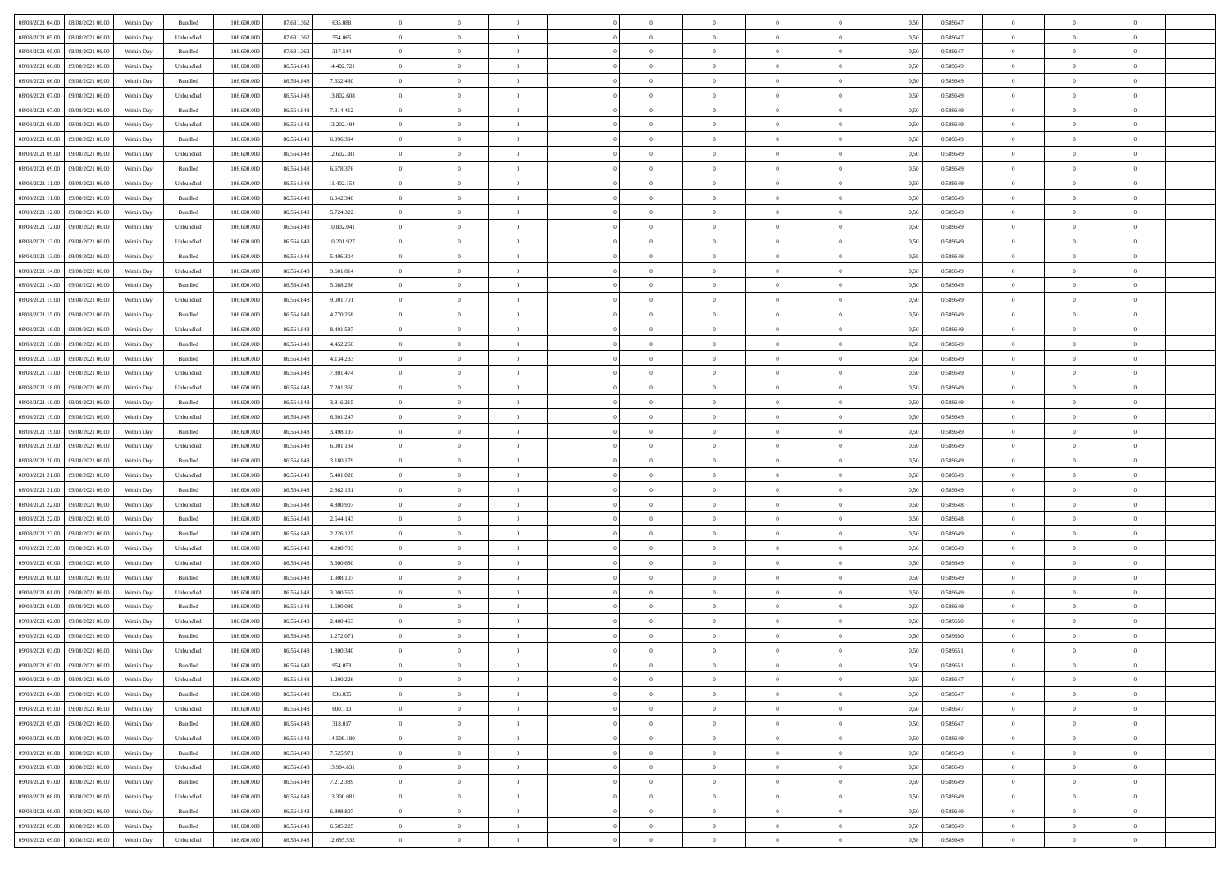| 08/08/2021 04:00 08/08/2021 06:00              | Within Day | Bundled           | 108.600.000 | 87.681.362 | 635.088    | $\overline{0}$ | $\overline{0}$ |                | $\overline{0}$ | $\theta$       |                | $\theta$       | 0,50 | 0,589647 | $\theta$       | $\theta$       | $\overline{0}$ |  |
|------------------------------------------------|------------|-------------------|-------------|------------|------------|----------------|----------------|----------------|----------------|----------------|----------------|----------------|------|----------|----------------|----------------|----------------|--|
| 08/08/2021 05:00<br>08/08/2021 06:00           | Within Day | Unbundled         | 108.600.00  | 87.681.362 | 554.065    | $\bf{0}$       | $\bf{0}$       | $\bf{0}$       | $\overline{0}$ | $\overline{0}$ | $\overline{0}$ | $\bf{0}$       | 0,50 | 0,589647 | $\,$ 0 $\,$    | $\bf{0}$       | $\overline{0}$ |  |
| 08/08/2021 05:00<br>08/08/2021 06:00           | Within Day | Bundled           | 108,600,000 | 87.681.362 | 317.544    | $\overline{0}$ | $\bf{0}$       | $\overline{0}$ | $\bf{0}$       | $\bf{0}$       | $\overline{0}$ | $\bf{0}$       | 0.50 | 0.589647 | $\bf{0}$       | $\overline{0}$ | $\overline{0}$ |  |
| 08/08/2021 06:00<br>09/08/2021 06:00           |            |                   | 108.600.000 |            |            | $\overline{0}$ | $\overline{0}$ | $\overline{0}$ | $\theta$       | $\theta$       | $\overline{0}$ | $\bf{0}$       |      |          | $\theta$       | $\theta$       | $\overline{0}$ |  |
|                                                | Within Day | Unbundled         |             | 86.564.848 | 14.402.721 |                |                |                |                |                |                |                | 0,50 | 0,589649 |                |                |                |  |
| 08/08/2021 06:00<br>09/08/2021 06.00           | Within Day | Bundled           | 108.600.00  | 86.564.848 | 7.632.430  | $\overline{0}$ | $\overline{0}$ | $\bf{0}$       | $\overline{0}$ | $\theta$       | $\overline{0}$ | $\bf{0}$       | 0,50 | 0,589649 | $\,$ 0 $\,$    | $\bf{0}$       | $\overline{0}$ |  |
| 08/08/2021 07:00<br>09/08/2021 06:00           | Within Day | Unbundled         | 108,600,000 | 86.564.848 | 13,802,608 | $\overline{0}$ | $\overline{0}$ | $\overline{0}$ | $\bf{0}$       | $\overline{0}$ | $\Omega$       | $\bf{0}$       | 0.50 | 0.589649 | $\bf{0}$       | $\theta$       | $\overline{0}$ |  |
| 08/08/2021 07:00<br>09/08/2021 06:00           | Within Day | Bundled           | 108.600.000 | 86.564.848 | 7.314.412  | $\overline{0}$ | $\overline{0}$ | $\overline{0}$ | $\overline{0}$ | $\theta$       | $\overline{0}$ | $\bf{0}$       | 0,50 | 0,589649 | $\theta$       | $\theta$       | $\overline{0}$ |  |
|                                                |            |                   |             |            |            |                |                |                |                |                |                |                |      |          |                |                |                |  |
| 08/08/2021 08:00<br>09/08/2021 06.00           | Within Day | Unbundled         | 108.600.00  | 86.564.848 | 13.202.494 | $\overline{0}$ | $\overline{0}$ | $\bf{0}$       | $\overline{0}$ | $\theta$       | $\overline{0}$ | $\bf{0}$       | 0,50 | 0,589649 | $\,$ 0 $\,$    | $\bf{0}$       | $\overline{0}$ |  |
| 08/08/2021 08:00<br>09/08/2021 06:00           | Within Day | Bundled           | 108,600,000 | 86.564.848 | 6.996.394  | $\overline{0}$ | $\bf{0}$       | $\overline{0}$ | $\bf{0}$       | $\overline{0}$ | $\overline{0}$ | $\bf{0}$       | 0.50 | 0.589649 | $\bf{0}$       | $\overline{0}$ | $\overline{0}$ |  |
| 08/08/2021 09:00<br>09/08/2021 06:00           | Within Day | Unbundled         | 108.600.000 | 86.564.848 | 12.602.381 | $\overline{0}$ | $\bf{0}$       | $\overline{0}$ | $\overline{0}$ | $\theta$       | $\overline{0}$ | $\bf{0}$       | 0,50 | 0,589649 | $\,$ 0 $\,$    | $\theta$       | $\overline{0}$ |  |
| 08/08/2021 09:00<br>09/08/2021 06.00           | Within Day | Bundled           | 108.600.00  | 86.564.848 | 6.678.376  | $\bf{0}$       | $\overline{0}$ | $\bf{0}$       | $\overline{0}$ | $\bf{0}$       | $\overline{0}$ | $\bf{0}$       | 0,50 | 0,589649 | $\,$ 0 $\,$    | $\bf{0}$       | $\overline{0}$ |  |
|                                                |            |                   |             |            |            |                |                |                |                |                |                |                |      |          |                |                |                |  |
| 08/08/2021 11:00<br>09/08/2021 06:00           | Within Day | Unbundled         | 108,600,000 | 86,564,848 | 11.402.154 | $\overline{0}$ | $\bf{0}$       | $\overline{0}$ | $\bf{0}$       | $\bf{0}$       | $\overline{0}$ | $\bf{0}$       | 0.50 | 0.589649 | $\bf{0}$       | $\overline{0}$ | $\overline{0}$ |  |
| 08/08/2021 11:00<br>09/08/2021 06:00           | Within Day | Bundled           | 108.600.000 | 86.564.848 | 6.042.340  | $\overline{0}$ | $\overline{0}$ | $\overline{0}$ | $\overline{0}$ | $\theta$       | $\overline{0}$ | $\bf{0}$       | 0,50 | 0,589649 | $\,$ 0 $\,$    | $\theta$       | $\overline{0}$ |  |
| 08/08/2021 12:00<br>09/08/2021 06.00           | Within Day | Bundled           | 108.600.00  | 86.564.848 | 5.724.322  | $\bf{0}$       | $\overline{0}$ | $\bf{0}$       | $\overline{0}$ | $\theta$       | $\overline{0}$ | $\bf{0}$       | 0,50 | 0,589649 | $\bf{0}$       | $\bf{0}$       | $\overline{0}$ |  |
|                                                |            |                   |             |            |            |                |                |                |                |                |                |                |      |          |                |                |                |  |
| 08/08/2021 12:00<br>09/08/2021 06:00           | Within Day | Unbundled         | 108,600,000 | 86.564.848 | 10.802.041 | $\overline{0}$ | $\overline{0}$ | $\overline{0}$ | $\bf{0}$       | $\overline{0}$ | $\Omega$       | $\bf{0}$       | 0.50 | 0.589649 | $\theta$       | $\theta$       | $\overline{0}$ |  |
| 08/08/2021 13:00<br>09/08/2021 06:00           | Within Day | Unbundled         | 108.600.000 | 86.564.848 | 10.201.927 | $\overline{0}$ | $\overline{0}$ | $\overline{0}$ | $\overline{0}$ | $\theta$       | $\overline{0}$ | $\bf{0}$       | 0,50 | 0,589649 | $\theta$       | $\theta$       | $\overline{0}$ |  |
| 08/08/2021 13:00<br>09/08/2021 06.00           | Within Day | Bundled           | 108.600.00  | 86.564.848 | 5.406.304  | $\bf{0}$       | $\overline{0}$ | $\bf{0}$       | $\overline{0}$ | $\theta$       | $\overline{0}$ | $\bf{0}$       | 0,50 | 0,589649 | $\,$ 0 $\,$    | $\bf{0}$       | $\overline{0}$ |  |
| 08/08/2021 14:00<br>09/08/2021 06:00           | Within Day | Unbundled         | 108,600,000 | 86.564.848 | 9.601.814  | $\overline{0}$ | $\bf{0}$       | $\overline{0}$ | $\bf{0}$       | $\overline{0}$ | $\overline{0}$ | $\bf{0}$       | 0.50 | 0.589649 | $\bf{0}$       | $\overline{0}$ | $\overline{0}$ |  |
| 08/08/2021 14:00<br>09/08/2021 06:00           |            |                   | 108.600.000 |            |            | $\overline{0}$ | $\bf{0}$       | $\overline{0}$ | $\overline{0}$ | $\overline{0}$ | $\overline{0}$ |                |      |          | $\,$ 0 $\,$    | $\theta$       | $\overline{0}$ |  |
|                                                | Within Day | Bundled           |             | 86.564.848 | 5.088.286  |                |                |                |                |                |                | $\bf{0}$       | 0,50 | 0,589649 |                |                |                |  |
| 08/08/2021 15:00<br>09/08/2021 06.00           | Within Day | Unbundled         | 108.600.00  | 86.564.848 | 9.001.701  | $\bf{0}$       | $\bf{0}$       | $\bf{0}$       | $\bf{0}$       | $\overline{0}$ | $\overline{0}$ | $\bf{0}$       | 0,50 | 0,589649 | $\,$ 0 $\,$    | $\bf{0}$       | $\overline{0}$ |  |
| 08/08/2021 15:00<br>09/08/2021 06:00           | Within Day | Bundled           | 108,600,000 | 86,564,848 | 4.770.268  | $\overline{0}$ | $\bf{0}$       | $\overline{0}$ | $\bf{0}$       | $\bf{0}$       | $\overline{0}$ | $\bf{0}$       | 0.50 | 0.589649 | $\bf{0}$       | $\overline{0}$ | $\overline{0}$ |  |
| 08/08/2021 16:00<br>09/08/2021 06:00           | Within Day | Unbundled         | 108.600.000 | 86.564.848 | 8.401.587  | $\overline{0}$ | $\overline{0}$ | $\overline{0}$ | $\theta$       | $\theta$       | $\overline{0}$ | $\bf{0}$       | 0,50 | 0,589649 | $\theta$       | $\theta$       | $\overline{0}$ |  |
|                                                |            |                   |             |            |            |                | $\overline{0}$ |                | $\overline{0}$ | $\theta$       | $\overline{0}$ |                |      |          | $\,$ 0 $\,$    | $\bf{0}$       | $\overline{0}$ |  |
| 08/08/2021 16:00<br>09/08/2021 06.00           | Within Day | Bundled           | 108.600.00  | 86.564.848 | 4.452.250  | $\bf{0}$       |                | $\bf{0}$       |                |                |                | $\bf{0}$       | 0,50 | 0,589649 |                |                |                |  |
| 08/08/2021 17:00<br>09/08/2021 06:00           | Within Day | Bundled           | 108,600,000 | 86.564.848 | 4.134.233  | $\overline{0}$ | $\overline{0}$ | $\overline{0}$ | $\overline{0}$ | $\overline{0}$ | $\Omega$       | $\bf{0}$       | 0.50 | 0.589649 | $\bf{0}$       | $\theta$       | $\overline{0}$ |  |
| 08/08/2021 17:00<br>09/08/2021 06:00           | Within Day | Unbundled         | 108.600.000 | 86.564.848 | 7.801.474  | $\overline{0}$ | $\overline{0}$ | $\overline{0}$ | $\overline{0}$ | $\theta$       | $\overline{0}$ | $\bf{0}$       | 0,50 | 0,589649 | $\theta$       | $\theta$       | $\overline{0}$ |  |
| 08/08/2021 18:00<br>09/08/2021 06.00           | Within Day | Unbundled         | 108.600.00  | 86.564.848 | 7.201.360  | $\bf{0}$       | $\overline{0}$ | $\bf{0}$       | $\overline{0}$ | $\theta$       | $\overline{0}$ | $\bf{0}$       | 0,50 | 0,589649 | $\,$ 0 $\,$    | $\bf{0}$       | $\overline{0}$ |  |
| 09/08/2021 06:00                               |            | Bundled           | 108,600,000 | 86.564.848 | 3.816.215  |                | $\bf{0}$       | $\overline{0}$ |                | $\overline{0}$ | $\overline{0}$ |                | 0.50 | 0.589649 | $\bf{0}$       | $\overline{0}$ | $\overline{0}$ |  |
| 08/08/2021 18:00                               | Within Day |                   |             |            |            | $\overline{0}$ |                |                | $\bf{0}$       |                |                | $\bf{0}$       |      |          |                |                |                |  |
| 08/08/2021 19:00<br>09/08/2021 06:00           | Within Day | Unbundled         | 108.600.000 | 86.564.848 | 6.601.247  | $\overline{0}$ | $\overline{0}$ | $\overline{0}$ | $\overline{0}$ | $\overline{0}$ | $\overline{0}$ | $\bf{0}$       | 0,50 | 0,589649 | $\theta$       | $\theta$       | $\overline{0}$ |  |
| 08/08/2021 19:00<br>09/08/2021 06.00           | Within Day | Bundled           | 108.600.00  | 86.564.848 | 3.498.197  | $\bf{0}$       | $\bf{0}$       | $\bf{0}$       | $\bf{0}$       | $\overline{0}$ | $\overline{0}$ | $\bf{0}$       | 0,50 | 0,589649 | $\,$ 0 $\,$    | $\bf{0}$       | $\overline{0}$ |  |
| 08/08/2021 20:00<br>09/08/2021 06:00           | Within Day | Unbundled         | 108,600,000 | 86,564,848 | 6.001.134  | $\overline{0}$ | $\bf{0}$       | $\overline{0}$ | $\bf{0}$       | $\bf{0}$       | $\overline{0}$ | $\bf{0}$       | 0.50 | 0.589649 | $\bf{0}$       | $\overline{0}$ | $\overline{0}$ |  |
| 08/08/2021 20:00<br>09/08/2021 06:00           | Within Day | Bundled           | 108.600.000 | 86,564,848 | 3.180.179  | $\overline{0}$ | $\overline{0}$ | $\overline{0}$ | $\overline{0}$ | $\overline{0}$ | $\overline{0}$ | $\bf{0}$       | 0.50 | 0.589649 | $\theta$       | $\theta$       | $\overline{0}$ |  |
|                                                |            |                   |             |            |            |                |                |                |                |                |                |                |      |          |                |                |                |  |
| 08/08/2021 21:00<br>09/08/2021 06.00           | Within Day | Unbundled         | 108.600.00  | 86.564.848 | 5.401.020  | $\bf{0}$       | $\overline{0}$ | $\bf{0}$       | $\overline{0}$ | $\overline{0}$ | $\overline{0}$ | $\bf{0}$       | 0,50 | 0,589649 | $\,$ 0 $\,$    | $\bf{0}$       | $\overline{0}$ |  |
| 08/08/2021 21:00<br>09/08/2021 06:00           | Within Day | Bundled           | 108,600,000 | 86,564,848 | 2.862.161  | $\overline{0}$ | $\bf{0}$       | $\overline{0}$ | $\bf{0}$       | $\bf{0}$       | $\Omega$       | $\bf{0}$       | 0.50 | 0.589649 | $\,$ 0 $\,$    | $\theta$       | $\overline{0}$ |  |
| 08/08/2021 22:00<br>09/08/2021 06:00           | Within Dav | Unbundled         | 108.600.000 | 86.564.848 | 4,800,907  | $\overline{0}$ | $\overline{0}$ | $\overline{0}$ | $\overline{0}$ | $\theta$       | $\overline{0}$ | $\bf{0}$       | 0.50 | 0.589648 | $\theta$       | $\theta$       | $\overline{0}$ |  |
| 09/08/2021 06.00                               | Within Day | Bundled           | 108.600.00  | 86.564.848 | 2.544.143  | $\bf{0}$       | $\bf{0}$       | $\bf{0}$       | $\overline{0}$ | $\bf{0}$       | $\overline{0}$ | $\bf{0}$       | 0,50 | 0,589648 | $\,$ 0 $\,$    | $\bf{0}$       | $\overline{0}$ |  |
| 08/08/2021 22:00                               |            |                   |             |            |            |                |                |                |                |                |                |                |      |          |                |                |                |  |
| 08/08/2021 23:00<br>09/08/2021 06:00           | Within Day | Bundled           | 108,600,000 | 86.564.848 | 2.226.125  | $\overline{0}$ | $\bf{0}$       | $\overline{0}$ | $\bf{0}$       | $\overline{0}$ | $\overline{0}$ | $\bf{0}$       | 0.50 | 0.589649 | $\bf{0}$       | $\overline{0}$ | $\overline{0}$ |  |
| 08/08/2021 23:00<br>09/08/2021 06:00           | Within Dav | Unbundled         | 108.600.000 | 86.564.848 | 4.200.793  | $\overline{0}$ | $\overline{0}$ | $\overline{0}$ | $\overline{0}$ | $\overline{0}$ | $\overline{0}$ | $\overline{0}$ | 0.50 | 0.589649 | $\theta$       | $\theta$       | $\overline{0}$ |  |
| 09/08/2021 00:00<br>09/08/2021 06.00           | Within Day | Unbundled         | 108.600.00  | 86.564.848 | 3.600.680  | $\bf{0}$       | $\bf{0}$       | $\bf{0}$       | $\bf{0}$       | $\overline{0}$ | $\overline{0}$ | $\bf{0}$       | 0,50 | 0,589649 | $\,$ 0 $\,$    | $\bf{0}$       | $\overline{0}$ |  |
| 09/08/2021 00:00<br>09/08/2021 06:00           | Within Day | Bundled           | 108,600,000 | 86,564,848 | 1.908.107  | $\overline{0}$ | $\bf{0}$       | $\overline{0}$ | $\bf{0}$       | $\bf{0}$       | $\overline{0}$ | $\bf{0}$       | 0.50 | 0.589649 | $\bf{0}$       | $\overline{0}$ | $\overline{0}$ |  |
|                                                |            |                   |             |            |            |                |                |                |                |                |                |                |      |          |                |                |                |  |
| 09/08/2021 01:00<br>09/08/2021 06:00           | Within Dav | Unbundled         | 108.600.000 | 86.564.848 | 3.000.567  | $\overline{0}$ | $\overline{0}$ | $\overline{0}$ | $\overline{0}$ | $\theta$       | $\overline{0}$ | $\bf{0}$       | 0.50 | 0.589649 | $\theta$       | $\theta$       | $\overline{0}$ |  |
| 09/08/2021 01:00<br>09/08/2021 06.00           | Within Day | Bundled           | 108.600.00  | 86.564.848 | 1.590.089  | $\bf{0}$       | $\bf{0}$       | $\bf{0}$       | $\bf{0}$       | $\overline{0}$ | $\overline{0}$ | $\bf{0}$       | 0,50 | 0,589649 | $\,$ 0 $\,$    | $\bf{0}$       | $\overline{0}$ |  |
| 09/08/2021 02:00<br>09/08/2021 06:00           | Within Day | Unbundled         | 108,600,000 | 86.564.848 | 2.400.453  | $\overline{0}$ | $\overline{0}$ | $\overline{0}$ | $\bf{0}$       | $\overline{0}$ | $\Omega$       | $\bf{0}$       | 0.50 | 0.589650 | $\,$ 0 $\,$    | $\theta$       | $\overline{0}$ |  |
| 09/08/2021 02:00<br>09/08/2021 06:00           | Within Dav | Bundled           | 108.600.000 | 86,564,848 | 1.272.071  | $\overline{0}$ | $\overline{0}$ | $\Omega$       | $\overline{0}$ | $\theta$       | $\Omega$       | $\overline{0}$ | 0.5( | 0,589650 | $\theta$       | $\theta$       | $\overline{0}$ |  |
|                                                |            |                   |             |            |            |                |                |                |                |                |                |                |      |          |                |                |                |  |
| 09/08/2021 03:00<br>09/08/2021 06:00           | Within Day | Unbundled         | 108.600.00  | 86.564.848 | 1.800.340  | $\bf{0}$       | $\bf{0}$       | $\overline{0}$ | $\bf{0}$       | $\bf{0}$       | $\overline{0}$ | $\bf{0}$       | 0,50 | 0,589651 | $\,$ 0 $\,$    | $\bf{0}$       | $\overline{0}$ |  |
| $09/08/2021\; 03.00 \qquad 09/08/2021\; 06.00$ | Within Day | Bundled           | 108.600.000 | 86.564.848 | 954.053    | $\overline{0}$ | $\Omega$       |                | $\Omega$       |                |                |                | 0,50 | 0.589651 | $\theta$       | $\overline{0}$ |                |  |
| 09/08/2021 04:00 09/08/2021 06:00              | Within Day | Unbundled         | 108.600.000 | 86.564.848 | 1.200.226  | $\overline{0}$ | $\overline{0}$ | $\overline{0}$ | $\theta$       | $\overline{0}$ | $\overline{0}$ | $\bf{0}$       | 0,50 | 0,589647 | $\theta$       | $\overline{0}$ | $\overline{0}$ |  |
| 09/08/2021 04:00<br>09/08/2021 06:00           | Within Day | Bundled           | 108.600.00  | 86.564.848 | 636.035    | $\overline{0}$ | $\bf{0}$       | $\overline{0}$ | $\overline{0}$ | $\bf{0}$       | $\overline{0}$ | $\bf{0}$       | 0,50 | 0,589647 | $\bf{0}$       | $\overline{0}$ | $\bf{0}$       |  |
|                                                |            |                   |             |            |            |                |                |                |                |                |                |                |      |          |                |                |                |  |
| 09/08/2021 05:00 09/08/2021 06:00              | Within Day | Unbundled         | 108,600,000 | 86,564,848 | 600.113    | $\overline{0}$ | $\bf{0}$       | $\overline{0}$ | $\overline{0}$ | $\mathbf{0}$   | $\overline{0}$ | $\,$ 0 $\,$    | 0.50 | 0.589647 | $\overline{0}$ | $\bf{0}$       | $\,$ 0 $\,$    |  |
| 09/08/2021 05:00 09/08/2021 06:00              | Within Day | Bundled           | 108.600.000 | 86.564.848 | 318.017    | $\overline{0}$ | $\overline{0}$ | $\overline{0}$ | $\overline{0}$ | $\overline{0}$ | $\overline{0}$ | $\bf{0}$       | 0,50 | 0,589647 | $\theta$       | $\theta$       | $\overline{0}$ |  |
| 09/08/2021 06:00<br>10/08/2021 06:00           | Within Day | Unbundled         | 108.600.000 | 86.564.848 | 14.509.180 | $\overline{0}$ | $\bf{0}$       | $\overline{0}$ | $\overline{0}$ | $\bf{0}$       | $\overline{0}$ | $\bf{0}$       | 0,50 | 0,589649 | $\bf{0}$       | $\overline{0}$ | $\overline{0}$ |  |
| 09/08/2021 06:00<br>10/08/2021 06:00           | Within Day | Bundled           | 108,600,000 | 86,564,848 | 7.525.971  | $\overline{0}$ | $\bf{0}$       | $\overline{0}$ | $\overline{0}$ | $\bf{0}$       | $\overline{0}$ | $\bf{0}$       | 0.50 | 0.589649 | $\,$ 0 $\,$    | $\overline{0}$ | $\,$ 0         |  |
|                                                |            |                   |             |            |            |                |                |                |                |                |                |                |      |          |                |                |                |  |
| 09/08/2021 07:00<br>10/08/2021 06:00           | Within Dav | Unbundled         | 108.600.000 | 86.564.848 | 13.904.631 | $\overline{0}$ | $\overline{0}$ | $\overline{0}$ | $\overline{0}$ | $\overline{0}$ | $\overline{0}$ | $\bf{0}$       | 0,50 | 0.589649 | $\overline{0}$ | $\theta$       | $\overline{0}$ |  |
| 09/08/2021 07:00<br>10/08/2021 06:00           | Within Day | Bundled           | 108.600.00  | 86.564.848 | 7.212.389  | $\overline{0}$ | $\overline{0}$ | $\overline{0}$ | $\overline{0}$ | $\overline{0}$ | $\overline{0}$ | $\bf{0}$       | 0,50 | 0,589649 | $\bf{0}$       | $\overline{0}$ | $\,$ 0         |  |
| 10/08/2021 06:00<br>09/08/2021 08:00           | Within Day | Unbundled         | 108,600,000 | 86,564,848 | 13,300,081 | $\overline{0}$ | $\overline{0}$ | $\overline{0}$ | $\overline{0}$ | $\overline{0}$ | $\overline{0}$ | $\bf{0}$       | 0.50 | 0.589649 | $\mathbf{0}$   | $\bf{0}$       | $\,$ 0         |  |
| 09/08/2021 08:00<br>10/08/2021 06:00           | Within Dav | Bundled           | 108.600.000 | 86.564.848 | 6.898.807  | $\overline{0}$ | $\overline{0}$ | $\overline{0}$ | $\overline{0}$ | $\overline{0}$ | $\overline{0}$ | $\bf{0}$       | 0,50 | 0.589649 | $\overline{0}$ | $\theta$       | $\overline{0}$ |  |
|                                                |            |                   |             |            |            |                |                |                |                |                |                |                |      |          |                |                |                |  |
| 09/08/2021 09:00<br>10/08/2021 06:00           | Within Day | Bundled           | 108.600.00  | 86.564.848 | 6.585.225  | $\overline{0}$ | $\bf{0}$       | $\overline{0}$ | $\overline{0}$ | $\overline{0}$ | $\overline{0}$ | $\bf{0}$       | 0,50 | 0,589649 | $\bf{0}$       | $\,$ 0 $\,$    | $\bf{0}$       |  |
| 09/08/2021 09:00 10/08/2021 06:00              | Within Day | ${\sf Unbundred}$ | 108.600.000 | 86.564.848 | 12.695.532 | $\overline{0}$ | $\bf{0}$       | $\overline{0}$ | $\overline{0}$ | $\,$ 0 $\,$    | $\overline{0}$ | $\,$ 0 $\,$    | 0,50 | 0,589649 | $\overline{0}$ | $\,$ 0 $\,$    | $\,$ 0 $\,$    |  |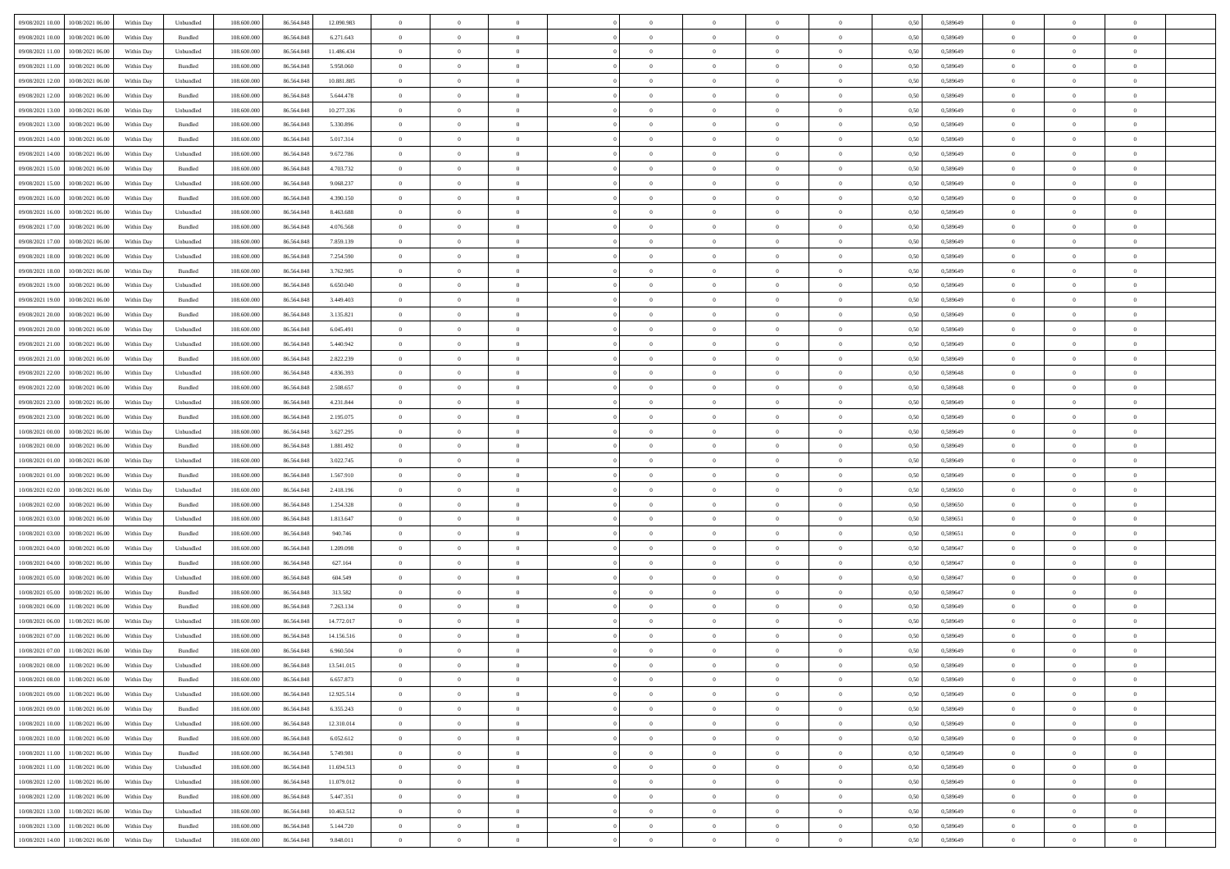| 09/08/2021 10:00 10/08/2021 06:00            |            |           | 108.600.000 |            | 12.090.983 | $\overline{0}$ | $\overline{0}$ |                | $\overline{0}$ | $\theta$       |                | $\theta$       |      | 0,589649 | $\theta$       | $\theta$       | $\overline{0}$ |  |
|----------------------------------------------|------------|-----------|-------------|------------|------------|----------------|----------------|----------------|----------------|----------------|----------------|----------------|------|----------|----------------|----------------|----------------|--|
|                                              | Within Day | Unbundled |             | 86.564.848 |            |                |                |                |                |                |                |                | 0,50 |          |                |                |                |  |
| 09/08/2021 10:00<br>10/08/2021 06:00         | Within Day | Bundled   | 108.600.00  | 86.564.848 | 6.271.643  | $\bf{0}$       | $\bf{0}$       | $\bf{0}$       | $\overline{0}$ | $\overline{0}$ | $\overline{0}$ | $\bf{0}$       | 0,50 | 0,589649 | $\,$ 0 $\,$    | $\bf{0}$       | $\overline{0}$ |  |
| 09/08/2021 11:00<br>10/08/2021 06:00         | Within Day | Unbundled | 108,600,000 | 86,564,848 | 11.486.434 | $\overline{0}$ | $\bf{0}$       | $\overline{0}$ | $\bf{0}$       | $\bf{0}$       | $\overline{0}$ | $\bf{0}$       | 0.50 | 0.589649 | $\bf{0}$       | $\overline{0}$ | $\overline{0}$ |  |
| 09/08/2021 11:00<br>10/08/2021 06:00         | Within Day | Bundled   | 108.600.000 | 86.564.848 | 5.958.060  | $\overline{0}$ | $\overline{0}$ | $\overline{0}$ | $\overline{0}$ | $\theta$       | $\overline{0}$ | $\bf{0}$       | 0,50 | 0,589649 | $\theta$       | $\theta$       | $\overline{0}$ |  |
|                                              |            |           |             |            |            |                |                |                |                |                |                |                |      |          |                |                |                |  |
| 09/08/2021 12:00<br>10/08/2021 06:00         | Within Day | Unbundled | 108.600.00  | 86.564.848 | 10.881.885 | $\bf{0}$       | $\overline{0}$ | $\bf{0}$       | $\overline{0}$ | $\theta$       | $\overline{0}$ | $\bf{0}$       | 0,50 | 0,589649 | $\,$ 0 $\,$    | $\bf{0}$       | $\overline{0}$ |  |
| 09/08/2021 12:00<br>10/08/2021 06:00         | Within Day | Bundled   | 108,600,000 | 86.564.848 | 5.644.478  | $\overline{0}$ | $\overline{0}$ | $\overline{0}$ | $\bf{0}$       | $\overline{0}$ | $\theta$       | $\bf{0}$       | 0.50 | 0.589649 | $\,$ 0 $\,$    | $\theta$       | $\overline{0}$ |  |
| 09/08/2021 13:00<br>10/08/2021 06:00         | Within Day | Unbundled | 108.600.000 | 86.564.848 | 10.277.336 | $\overline{0}$ | $\overline{0}$ | $\overline{0}$ | $\overline{0}$ | $\overline{0}$ | $\overline{0}$ | $\bf{0}$       | 0,50 | 0,589649 | $\,$ 0 $\,$    | $\theta$       | $\overline{0}$ |  |
| 09/08/2021 13:00<br>10/08/2021 06:00         | Within Day | Bundled   | 108.600.00  | 86.564.848 | 5.330.896  | $\bf{0}$       | $\bf{0}$       | $\bf{0}$       | $\overline{0}$ | $\overline{0}$ | $\overline{0}$ | $\bf{0}$       | 0,50 | 0,589649 | $\,$ 0 $\,$    | $\bf{0}$       | $\overline{0}$ |  |
|                                              |            |           |             |            |            |                |                |                |                |                |                |                |      |          |                |                |                |  |
| 09/08/2021 14:00<br>10/08/2021 06:00         | Within Day | Bundled   | 108,600,000 | 86.564.848 | 5.017.314  | $\overline{0}$ | $\bf{0}$       | $\overline{0}$ | $\bf{0}$       | $\overline{0}$ | $\overline{0}$ | $\bf{0}$       | 0.50 | 0.589649 | $\bf{0}$       | $\overline{0}$ | $\overline{0}$ |  |
| 09/08/2021 14:00<br>10/08/2021 06:00         | Within Day | Unbundled | 108.600.000 | 86.564.848 | 9.672.786  | $\overline{0}$ | $\bf{0}$       | $\overline{0}$ | $\overline{0}$ | $\overline{0}$ | $\overline{0}$ | $\bf{0}$       | 0,50 | 0,589649 | $\,$ 0 $\,$    | $\,$ 0 $\,$    | $\overline{0}$ |  |
| 09/08/2021 15:00<br>10/08/2021 06:00         | Within Day | Bundled   | 108.600.00  | 86.564.848 | 4.703.732  | $\bf{0}$       | $\overline{0}$ | $\bf{0}$       | $\bf{0}$       | $\bf{0}$       | $\overline{0}$ | $\bf{0}$       | 0,50 | 0,589649 | $\,$ 0 $\,$    | $\bf{0}$       | $\overline{0}$ |  |
| 09/08/2021 15:00<br>10/08/2021 06:00         | Within Day | Unbundled | 108,600,000 | 86,564,848 | 9.068.237  | $\overline{0}$ | $\bf{0}$       | $\overline{0}$ | $\overline{0}$ | $\bf{0}$       | $\overline{0}$ | $\bf{0}$       | 0.50 | 0.589649 | $\bf{0}$       | $\overline{0}$ | $\,$ 0         |  |
| 09/08/2021 16:00<br>10/08/2021 06:00         | Within Day | Bundled   | 108.600.000 | 86.564.848 | 4.390.150  | $\overline{0}$ | $\overline{0}$ | $\overline{0}$ | $\theta$       | $\theta$       | $\overline{0}$ | $\bf{0}$       | 0,50 | 0,589649 | $\,$ 0 $\,$    | $\theta$       | $\overline{0}$ |  |
|                                              |            |           |             |            |            |                |                |                |                |                |                |                |      |          |                |                |                |  |
| 09/08/2021 16:00<br>10/08/2021 06:00         | Within Day | Unbundled | 108.600.00  | 86.564.848 | 8.463.688  | $\bf{0}$       | $\overline{0}$ | $\bf{0}$       | $\overline{0}$ | $\theta$       | $\overline{0}$ | $\bf{0}$       | 0,50 | 0,589649 | $\,$ 0 $\,$    | $\bf{0}$       | $\overline{0}$ |  |
| 09/08/2021 17:00<br>10/08/2021 06:00         | Within Day | Bundled   | 108,600,000 | 86,564,848 | 4.076.568  | $\overline{0}$ | $\overline{0}$ | $\overline{0}$ | $\bf{0}$       | $\overline{0}$ | $\Omega$       | $\bf{0}$       | 0.50 | 0.589649 | $\,$ 0 $\,$    | $\theta$       | $\overline{0}$ |  |
| 09/08/2021 17:00<br>10/08/2021 06:00         | Within Day | Unbundled | 108.600.000 | 86.564.848 | 7.859.139  | $\overline{0}$ | $\overline{0}$ | $\overline{0}$ | $\overline{0}$ | $\overline{0}$ | $\overline{0}$ | $\bf{0}$       | 0,50 | 0,589649 | $\theta$       | $\theta$       | $\overline{0}$ |  |
| 09/08/2021 18:00<br>10/08/2021 06:00         | Within Day | Unbundled | 108.600.00  | 86.564.848 | 7.254.590  | $\bf{0}$       | $\bf{0}$       | $\bf{0}$       | $\overline{0}$ | $\theta$       | $\overline{0}$ | $\bf{0}$       | 0,50 | 0,589649 | $\,$ 0 $\,$    | $\bf{0}$       | $\overline{0}$ |  |
| 09/08/2021 18:00<br>10/08/2021 06:00         | Within Day | Bundled   | 108,600,000 | 86.564.848 | 3.762.985  | $\overline{0}$ | $\bf{0}$       | $\overline{0}$ | $\bf{0}$       | $\overline{0}$ | $\overline{0}$ | $\bf{0}$       | 0.50 | 0.589649 | $\bf{0}$       | $\overline{0}$ | $\overline{0}$ |  |
|                                              |            |           |             |            |            |                |                |                |                |                |                |                |      |          |                |                |                |  |
| 09/08/2021 19:00<br>10/08/2021 06:00         | Within Day | Unbundled | 108.600.000 | 86.564.848 | 6.650.040  | $\overline{0}$ | $\bf{0}$       | $\overline{0}$ | $\overline{0}$ | $\overline{0}$ | $\overline{0}$ | $\bf{0}$       | 0,50 | 0,589649 | $\,$ 0 $\,$    | $\bf{0}$       | $\overline{0}$ |  |
| 09/08/2021 19:00<br>10/08/2021 06:00         | Within Day | Bundled   | 108.600.00  | 86.564.848 | 3.449.403  | $\bf{0}$       | $\bf{0}$       | $\bf{0}$       | $\bf{0}$       | $\overline{0}$ | $\overline{0}$ | $\bf{0}$       | 0,50 | 0,589649 | $\,$ 0 $\,$    | $\bf{0}$       | $\overline{0}$ |  |
| 09/08/2021 20:00<br>10/08/2021 06:00         | Within Day | Bundled   | 108,600,000 | 86,564,848 | 3.135.821  | $\overline{0}$ | $\bf{0}$       | $\overline{0}$ | $\overline{0}$ | $\bf{0}$       | $\overline{0}$ | $\bf{0}$       | 0.50 | 0.589649 | $\bf{0}$       | $\overline{0}$ | $\overline{0}$ |  |
| 09/08/2021 20:00<br>10/08/2021 06:00         | Within Day | Unbundled | 108.600.000 | 86.564.848 | 6.045.491  | $\overline{0}$ | $\overline{0}$ | $\overline{0}$ | $\overline{0}$ | $\theta$       | $\overline{0}$ | $\bf{0}$       | 0,50 | 0,589649 | $\theta$       | $\theta$       | $\overline{0}$ |  |
|                                              |            |           |             |            |            |                | $\overline{0}$ |                |                | $\,$ 0 $\,$    | $\overline{0}$ |                |      |          | $\,$ 0 $\,$    | $\bf{0}$       | $\overline{0}$ |  |
| 09/08/2021 21:00<br>10/08/2021 06:00         | Within Day | Unbundled | 108.600.00  | 86.564.848 | 5.440.942  | $\bf{0}$       |                | $\bf{0}$       | $\bf{0}$       |                |                | $\bf{0}$       | 0,50 | 0,589649 |                |                |                |  |
| 09/08/2021 21:00<br>10/08/2021 06:00         | Within Day | Bundled   | 108,600,000 | 86.564.848 | 2.822.239  | $\overline{0}$ | $\overline{0}$ | $\overline{0}$ | $\bf{0}$       | $\overline{0}$ | $\Omega$       | $\bf{0}$       | 0.50 | 0.589649 | $\,$ 0 $\,$    | $\theta$       | $\overline{0}$ |  |
| 09/08/2021 22:00<br>10/08/2021 06:00         | Within Day | Unbundled | 108.600.000 | 86.564.848 | 4.836.393  | $\overline{0}$ | $\overline{0}$ | $\overline{0}$ | $\overline{0}$ | $\overline{0}$ | $\overline{0}$ | $\bf{0}$       | 0,50 | 0,589648 | $\,$ 0 $\,$    | $\theta$       | $\overline{0}$ |  |
| 09/08/2021 22:00<br>10/08/2021 06:00         | Within Day | Bundled   | 108.600.00  | 86.564.848 | 2.508.657  | $\bf{0}$       | $\overline{0}$ | $\bf{0}$       | $\overline{0}$ | $\bf{0}$       | $\overline{0}$ | $\bf{0}$       | 0,50 | 0,589648 | $\,$ 0 $\,$    | $\bf{0}$       | $\overline{0}$ |  |
| 09/08/2021 23:00<br>10/08/2021 06:00         | Within Day | Unbundled | 108,600,000 | 86.564.848 | 4.231.844  | $\overline{0}$ | $\bf{0}$       | $\overline{0}$ | $\bf{0}$       | $\overline{0}$ | $\overline{0}$ | $\bf{0}$       | 0.50 | 0.589649 | $\bf{0}$       | $\overline{0}$ | $\overline{0}$ |  |
| 09/08/2021 23:00<br>10/08/2021 06:00         | Within Day | Bundled   | 108.600.000 | 86.564.848 | 2.195.075  | $\overline{0}$ | $\bf{0}$       | $\overline{0}$ | $\overline{0}$ | $\overline{0}$ | $\overline{0}$ | $\bf{0}$       | 0,50 | 0,589649 | $\theta$       | $\theta$       | $\overline{0}$ |  |
|                                              |            |           |             |            |            |                |                |                |                |                |                |                |      |          |                |                |                |  |
| 10/08/2021 00:00<br>10/08/2021 06:00         | Within Day | Unbundled | 108.600.00  | 86.564.848 | 3.627.295  | $\bf{0}$       | $\bf{0}$       | $\bf{0}$       | $\bf{0}$       | $\overline{0}$ | $\overline{0}$ | $\bf{0}$       | 0,50 | 0,589649 | $\,$ 0 $\,$    | $\bf{0}$       | $\overline{0}$ |  |
| 10/08/2021 00:00<br>10/08/2021 06:00         | Within Day | Bundled   | 108,600,000 | 86,564,848 | 1.881.492  | $\overline{0}$ | $\bf{0}$       | $\overline{0}$ | $\overline{0}$ | $\bf{0}$       | $\overline{0}$ | $\bf{0}$       | 0.50 | 0.589649 | $\bf{0}$       | $\overline{0}$ | $\overline{0}$ |  |
| 10/08/2021 01:00<br>10/08/2021 06:00         | Within Day | Unbundled | 108.600.000 | 86,564,848 | 3.022.745  | $\overline{0}$ | $\overline{0}$ | $\overline{0}$ | $\overline{0}$ | $\overline{0}$ | $\overline{0}$ | $\bf{0}$       | 0.50 | 0.589649 | $\theta$       | $\theta$       | $\overline{0}$ |  |
| 10/08/2021 01:00<br>10/08/2021 06:00         | Within Day | Bundled   | 108.600.00  | 86.564.848 | 1.567.910  | $\bf{0}$       | $\bf{0}$       | $\bf{0}$       | $\bf{0}$       | $\,$ 0 $\,$    | $\overline{0}$ | $\bf{0}$       | 0,50 | 0,589649 | $\,$ 0 $\,$    | $\bf{0}$       | $\overline{0}$ |  |
| 10/08/2021 02:00<br>10/08/2021 06:00         |            | Unbundled | 108,600,000 | 86,564,848 | 2.418.196  | $\overline{0}$ | $\bf{0}$       | $\overline{0}$ | $\bf{0}$       | $\overline{0}$ | $\Omega$       | $\bf{0}$       | 0.50 | 0.589650 | $\,$ 0 $\,$    | $\theta$       | $\overline{0}$ |  |
|                                              | Within Day |           |             |            |            |                |                |                |                |                |                |                |      |          |                |                |                |  |
| 10/08/2021 02:00<br>10/08/2021 06:00         | Within Dav | Bundled   | 108.600.000 | 86.564.848 | 1.254.328  | $\overline{0}$ | $\overline{0}$ | $\overline{0}$ | $\overline{0}$ | $\theta$       | $\overline{0}$ | $\bf{0}$       | 0.50 | 0.589650 | $\theta$       | $\theta$       | $\overline{0}$ |  |
| 10/08/2021 03:00<br>10/08/2021 06:00         | Within Day | Unbundled | 108.600.00  | 86.564.848 | 1.813.647  | $\bf{0}$       | $\bf{0}$       | $\bf{0}$       | $\bf{0}$       | $\bf{0}$       | $\overline{0}$ | $\bf{0}$       | 0,50 | 0,589651 | $\,$ 0 $\,$    | $\bf{0}$       | $\overline{0}$ |  |
| 10/08/2021 03:00<br>10/08/2021 06:00         | Within Day | Bundled   | 108,600,000 | 86.564.848 | 940.746    | $\overline{0}$ | $\bf{0}$       | $\overline{0}$ | $\bf{0}$       | $\overline{0}$ | $\overline{0}$ | $\bf{0}$       | 0.50 | 0.589651 | $\bf{0}$       | $\overline{0}$ | $\overline{0}$ |  |
| 10/08/2021 04:00<br>10/08/2021 06:00         | Within Dav | Unbundled | 108.600.000 | 86,564,848 | 1.209.098  | $\overline{0}$ | $\overline{0}$ | $\overline{0}$ | $\overline{0}$ | $\overline{0}$ | $\overline{0}$ | $\bf{0}$       | 0.50 | 0.589647 | $\theta$       | $\theta$       | $\overline{0}$ |  |
| 10/08/2021 04:00<br>10/08/2021 06:00         | Within Day | Bundled   | 108.600.00  | 86.564.848 | 627.164    | $\bf{0}$       | $\bf{0}$       | $\bf{0}$       | $\bf{0}$       | $\overline{0}$ | $\overline{0}$ | $\bf{0}$       | 0,50 | 0,589647 | $\,$ 0 $\,$    | $\bf{0}$       | $\overline{0}$ |  |
|                                              |            |           |             |            |            |                |                |                |                |                |                |                |      |          |                |                |                |  |
| 10/08/2021 05:00<br>10/08/2021 06:00         | Within Day | Unbundled | 108,600,000 | 86,564,848 | 604.549    | $\overline{0}$ | $\bf{0}$       | $\overline{0}$ | $\overline{0}$ | $\bf{0}$       | $\overline{0}$ | $\bf{0}$       | 0.50 | 0.589647 | $\bf{0}$       | $\overline{0}$ | $\overline{0}$ |  |
| 10/08/2021 05:00<br>10/08/2021 06:00         | Within Dav | Bundled   | 108.600.000 | 86.564.848 | 313.582    | $\overline{0}$ | $\overline{0}$ | $\overline{0}$ | $\overline{0}$ | $\overline{0}$ | $\overline{0}$ | $\bf{0}$       | 0.50 | 0.589647 | $\theta$       | $\theta$       | $\overline{0}$ |  |
| 10/08/2021 06:00<br>11/08/2021 06:00         | Within Day | Bundled   | 108.600.00  | 86.564.848 | 7.263.134  | $\bf{0}$       | $\bf{0}$       | $\bf{0}$       | $\bf{0}$       | $\overline{0}$ | $\overline{0}$ | $\bf{0}$       | 0,50 | 0,589649 | $\,$ 0 $\,$    | $\bf{0}$       | $\overline{0}$ |  |
| 10/08/2021 06:00<br>11/08/2021 06:00         | Within Day | Unbundled | 108,600,000 | 86.564.848 | 14.772.017 | $\overline{0}$ | $\overline{0}$ | $\overline{0}$ | $\bf{0}$       | $\theta$       | $\Omega$       | $\bf{0}$       | 0.50 | 0.589649 | $\,$ 0 $\,$    | $\theta$       | $\overline{0}$ |  |
| 10/08/2021 07:00<br>11/08/2021 06:00         | Within Dav | Unbundled | 108.600.000 | 86,564,848 | 14.156.516 | $\overline{0}$ | $\overline{0}$ | $\Omega$       | $\theta$       | $\theta$       | $\overline{0}$ | $\overline{0}$ | 0.50 | 0.589649 | $\theta$       | $\theta$       | $\overline{0}$ |  |
|                                              |            |           |             |            |            |                |                |                |                |                |                |                |      |          |                |                |                |  |
| 10/08/2021 07:00<br>11/08/2021 06:00         | Within Day | Bundled   | 108.600.00  | 86.564.848 | 6.960.504  | $\bf{0}$       | $\bf{0}$       | $\bf{0}$       | $\bf{0}$       | $\bf{0}$       | $\overline{0}$ | $\bf{0}$       | 0,50 | 0,589649 | $\,$ 0 $\,$    | $\overline{0}$ | $\overline{0}$ |  |
| $10/08/2021\;08.00 \qquad 11/08/2021\;06.00$ | Within Day | Unbundled | 108.600.000 | 86.564.848 | 13.541.015 | $\bf{0}$       | $\Omega$       |                | $\Omega$       |                |                |                | 0,50 | 0.589649 | $\theta$       | $\overline{0}$ |                |  |
| 10/08/2021 08:00 11/08/2021 06:00            | Within Day | Bundled   | 108.600.000 | 86.564.848 | 6.657.873  | $\overline{0}$ | $\overline{0}$ | $\Omega$       | $\theta$       | $\overline{0}$ | $\overline{0}$ | $\bf{0}$       | 0,50 | 0,589649 | $\theta$       | $\theta$       | $\overline{0}$ |  |
| 10/08/2021 09:00<br>11/08/2021 06:00         | Within Day | Unbundled | 108.600.00  | 86.564.848 | 12.925.514 | $\overline{0}$ | $\bf{0}$       | $\overline{0}$ | $\overline{0}$ | $\bf{0}$       | $\overline{0}$ | $\bf{0}$       | 0,50 | 0,589649 | $\bf{0}$       | $\overline{0}$ | $\bf{0}$       |  |
| 10/08/2021 09:00 11/08/2021 06:00            | Within Day | Bundled   | 108,600,000 | 86,564,848 | 6.355.243  | $\overline{0}$ | $\bf{0}$       | $\overline{0}$ | $\overline{0}$ | $\mathbf{0}$   | $\overline{0}$ | $\,$ 0 $\,$    | 0.50 | 0.589649 | $\overline{0}$ | $\bf{0}$       | $\,$ 0 $\,$    |  |
|                                              |            |           |             |            |            |                |                |                |                |                |                |                |      |          |                |                |                |  |
| 10/08/2021 10:00 11/08/2021 06:00            | Within Dav | Unbundled | 108.600.000 | 86.564.848 | 12.310.014 | $\overline{0}$ | $\overline{0}$ | $\overline{0}$ | $\overline{0}$ | $\overline{0}$ | $\overline{0}$ | $\bf{0}$       | 0,50 | 0.589649 | $\theta$       | $\theta$       | $\overline{0}$ |  |
| 10/08/2021 10:00<br>11/08/2021 06:00         | Within Day | Bundled   | 108.600.000 | 86.564.848 | 6.052.612  | $\overline{0}$ | $\bf{0}$       | $\overline{0}$ | $\overline{0}$ | $\overline{0}$ | $\overline{0}$ | $\bf{0}$       | 0,50 | 0,589649 | $\bf{0}$       | $\overline{0}$ | $\overline{0}$ |  |
| 10/08/2021 11:00<br>11/08/2021 06:00         | Within Day | Bundled   | 108,600,000 | 86,564,848 | 5.749.981  | $\overline{0}$ | $\bf{0}$       | $\overline{0}$ | $\overline{0}$ | $\overline{0}$ | $\overline{0}$ | $\bf{0}$       | 0.50 | 0.589649 | $\,$ 0 $\,$    | $\overline{0}$ | $\,$ 0         |  |
| 10/08/2021 11:00<br>11/08/2021 06:00         | Within Dav | Unbundled | 108.600.000 | 86.564.848 | 11.694.513 | $\overline{0}$ | $\overline{0}$ | $\overline{0}$ | $\overline{0}$ | $\overline{0}$ | $\overline{0}$ | $\bf{0}$       | 0,50 | 0.589649 | $\overline{0}$ | $\theta$       | $\overline{0}$ |  |
| 10/08/2021 12:00<br>11/08/2021 06:00         | Within Day | Unbundled | 108.600.00  | 86.564.848 | 11.079.012 | $\overline{0}$ | $\overline{0}$ | $\overline{0}$ | $\overline{0}$ | $\overline{0}$ | $\overline{0}$ | $\bf{0}$       | 0,50 | 0,589649 | $\bf{0}$       | $\overline{0}$ | $\overline{0}$ |  |
|                                              |            |           |             |            |            |                |                |                |                |                |                |                |      |          |                |                |                |  |
| 10/08/2021 12:00<br>11/08/2021 06:00         | Within Day | Bundled   | 108,600,000 | 86,564,848 | 5.447.351  | $\overline{0}$ | $\overline{0}$ | $\overline{0}$ | $\overline{0}$ | $\overline{0}$ | $\overline{0}$ | $\bf{0}$       | 0.50 | 0.589649 | $\mathbf{0}$   | $\bf{0}$       | $\,$ 0         |  |
| 10/08/2021 13:00<br>11/08/2021 06:00         | Within Dav | Unbundled | 108.600.000 | 86.564.848 | 10.463.512 | $\overline{0}$ | $\overline{0}$ | $\overline{0}$ | $\overline{0}$ | $\overline{0}$ | $\overline{0}$ | $\bf{0}$       | 0,50 | 0.589649 | $\overline{0}$ | $\theta$       | $\overline{0}$ |  |
| 10/08/2021 13:00<br>11/08/2021 06:00         | Within Day | Bundled   | 108.600.00  | 86.564.848 | 5.144.720  | $\overline{0}$ | $\bf{0}$       | $\overline{0}$ | $\bf{0}$       | $\overline{0}$ | $\bf{0}$       | $\bf{0}$       | 0,50 | 0,589649 | $\bf{0}$       | $\,0\,$        | $\bf{0}$       |  |
| 10/08/2021 14:00 11/08/2021 06:00            | Within Day | Unbundled | 108.600.000 | 86.564.848 | 9.848.011  | $\,$ 0 $\,$    | $\bf{0}$       | $\overline{0}$ | $\overline{0}$ | $\,$ 0 $\,$    | $\overline{0}$ | $\bf{0}$       | 0,50 | 0,589649 | $\overline{0}$ | $\,$ 0 $\,$    | $\,$ 0 $\,$    |  |
|                                              |            |           |             |            |            |                |                |                |                |                |                |                |      |          |                |                |                |  |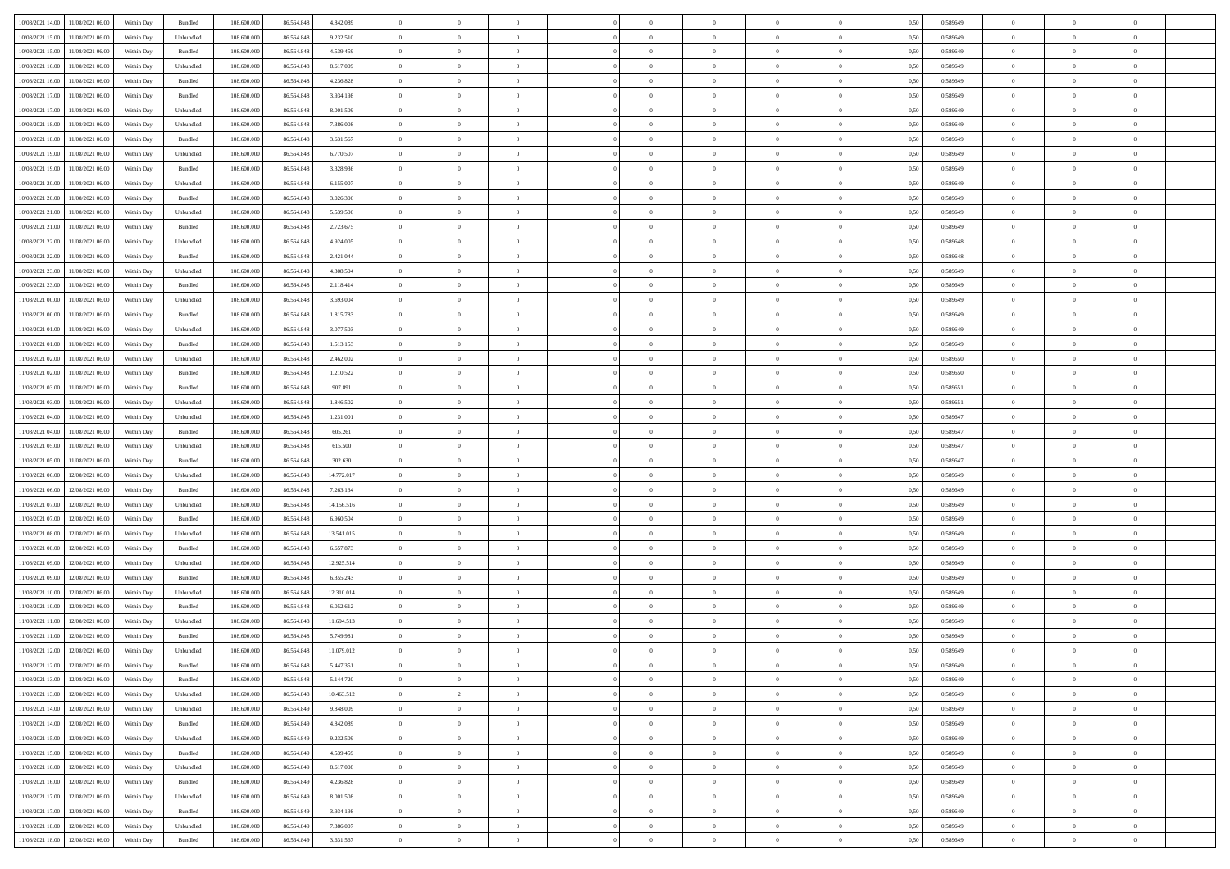| 10/08/2021 14:00 11/08/2021 06:00        | Within Day | Bundled            | 108.600.000 | 86.564.848 | 4.842.089  | $\overline{0}$ | $\overline{0}$ |                | $\overline{0}$ | $\theta$       |                | $\theta$       | 0,50 | 0,589649 | $\theta$       | $\theta$       | $\overline{0}$ |  |
|------------------------------------------|------------|--------------------|-------------|------------|------------|----------------|----------------|----------------|----------------|----------------|----------------|----------------|------|----------|----------------|----------------|----------------|--|
|                                          |            |                    |             |            |            |                |                |                |                |                |                |                |      |          |                |                |                |  |
| 10/08/2021 15:00<br>11/08/2021 06:00     | Within Day | Unbundled          | 108.600.00  | 86.564.848 | 9.232.510  | $\bf{0}$       | $\bf{0}$       | $\bf{0}$       | $\bf{0}$       | $\overline{0}$ | $\overline{0}$ | $\bf{0}$       | 0,50 | 0,589649 | $\,$ 0 $\,$    | $\bf{0}$       | $\overline{0}$ |  |
| 10/08/2021 15:00<br>11/08/2021 06:00     | Within Day | Bundled            | 108,600,000 | 86,564,848 | 4.539.459  | $\overline{0}$ | $\bf{0}$       | $\overline{0}$ | $\bf{0}$       | $\bf{0}$       | $\overline{0}$ | $\bf{0}$       | 0.50 | 0.589649 | $\bf{0}$       | $\overline{0}$ | $\bf{0}$       |  |
| 10/08/2021 16:00<br>11/08/2021 06:00     | Within Day | Unbundled          | 108.600.000 | 86.564.848 | 8.617.009  | $\overline{0}$ | $\overline{0}$ | $\overline{0}$ | $\overline{0}$ | $\theta$       | $\overline{0}$ | $\bf{0}$       | 0,50 | 0,589649 | $\,$ 0 $\,$    | $\theta$       | $\overline{0}$ |  |
| 10/08/2021 16:00<br>11/08/2021 06:00     | Within Day | Bundled            | 108.600.00  | 86.564.848 | 4.236.828  | $\bf{0}$       | $\overline{0}$ | $\bf{0}$       | $\overline{0}$ | $\bf{0}$       | $\overline{0}$ | $\bf{0}$       | 0,50 | 0,589649 | $\,$ 0 $\,$    | $\bf{0}$       | $\overline{0}$ |  |
| 10/08/2021 17:00<br>11/08/2021 06:00     | Within Day | Bundled            | 108,600,000 | 86.564.848 | 3.934.198  | $\overline{0}$ | $\bf{0}$       | $\overline{0}$ | $\bf{0}$       | $\overline{0}$ | $\theta$       | $\bf{0}$       | 0.50 | 0.589649 | $\,$ 0 $\,$    | $\theta$       | $\overline{0}$ |  |
|                                          |            |                    |             |            |            | $\overline{0}$ | $\overline{0}$ | $\overline{0}$ | $\overline{0}$ | $\overline{0}$ | $\overline{0}$ |                |      |          |                | $\theta$       |                |  |
| 10/08/2021 17:00<br>11/08/2021 06:00     | Within Day | Unbundled          | 108.600.000 | 86.564.848 | 8.001.509  |                |                |                |                |                |                | $\bf{0}$       | 0,50 | 0,589649 | $\,$ 0 $\,$    |                | $\overline{0}$ |  |
| 10/08/2021 18:00<br>11/08/2021 06:00     | Within Day | Unbundled          | 108.600.00  | 86.564.848 | 7.386.008  | $\bf{0}$       | $\bf{0}$       | $\bf{0}$       | $\overline{0}$ | $\overline{0}$ | $\overline{0}$ | $\bf{0}$       | 0,50 | 0,589649 | $\,$ 0 $\,$    | $\bf{0}$       | $\overline{0}$ |  |
| 10/08/2021 18:00<br>11/08/2021 06:00     | Within Day | Bundled            | 108,600,000 | 86.564.848 | 3.631.567  | $\overline{0}$ | $\bf{0}$       | $\overline{0}$ | $\bf{0}$       | $\overline{0}$ | $\overline{0}$ | $\bf{0}$       | 0.50 | 0.589649 | $\bf{0}$       | $\overline{0}$ | $\overline{0}$ |  |
| 10/08/2021 19:00<br>11/08/2021 06:00     | Within Day | Unbundled          | 108.600.000 | 86.564.848 | 6.770.507  | $\bf{0}$       | $\bf{0}$       | $\overline{0}$ | $\overline{0}$ | $\overline{0}$ | $\overline{0}$ | $\bf{0}$       | 0,50 | 0,589649 | $\,$ 0 $\,$    | $\bf{0}$       | $\overline{0}$ |  |
| 10/08/2021 19:00<br>11/08/2021 06:00     | Within Day | Bundled            | 108.600.00  | 86.564.848 | 3.328.936  | $\bf{0}$       | $\bf{0}$       | $\bf{0}$       | $\bf{0}$       | $\overline{0}$ | $\overline{0}$ | $\bf{0}$       | 0,50 | 0,589649 | $\,$ 0 $\,$    | $\bf{0}$       | $\overline{0}$ |  |
| 10/08/2021 20:00<br>11/08/2021 06:00     | Within Day | Unbundled          | 108,600,000 | 86,564,848 | 6.155.007  | $\overline{0}$ | $\bf{0}$       | $\overline{0}$ | $\overline{0}$ | $\bf{0}$       | $\overline{0}$ | $\bf{0}$       | 0.50 | 0.589649 | $\bf{0}$       | $\overline{0}$ | $\,$ 0         |  |
| 10/08/2021 20:00<br>11/08/2021 06:00     | Within Day | Bundled            | 108.600.000 | 86.564.848 | 3.026.306  | $\overline{0}$ | $\overline{0}$ | $\overline{0}$ | $\theta$       | $\theta$       | $\overline{0}$ | $\bf{0}$       | 0,50 | 0,589649 | $\,$ 0 $\,$    | $\theta$       | $\overline{0}$ |  |
| 10/08/2021 21:00<br>11/08/2021 06:00     | Within Day | Unbundled          | 108.600.00  | 86.564.84  | 5.539.506  | $\bf{0}$       | $\overline{0}$ | $\bf{0}$       | $\bf{0}$       | $\bf{0}$       | $\overline{0}$ | $\bf{0}$       | 0,50 | 0,589649 | $\,$ 0 $\,$    | $\bf{0}$       | $\overline{0}$ |  |
|                                          |            |                    |             |            |            |                |                |                |                |                |                |                |      |          |                |                |                |  |
| 10/08/2021 21:00<br>11/08/2021 06:00     | Within Day | Bundled            | 108,600,000 | 86.564.848 | 2.723.675  | $\overline{0}$ | $\bf{0}$       | $\overline{0}$ | $\bf{0}$       | $\overline{0}$ | $\theta$       | $\bf{0}$       | 0.50 | 0.589649 | $\,$ 0 $\,$    | $\theta$       | $\overline{0}$ |  |
| 10/08/2021 22:00<br>11/08/2021 06:00     | Within Day | Unbundled          | 108.600.000 | 86.564.848 | 4.924.005  | $\overline{0}$ | $\overline{0}$ | $\overline{0}$ | $\overline{0}$ | $\overline{0}$ | $\overline{0}$ | $\bf{0}$       | 0,50 | 0,589648 | $\theta$       | $\theta$       | $\overline{0}$ |  |
| 10/08/2021 22:00<br>11/08/2021 06:00     | Within Day | Bundled            | 108.600.00  | 86.564.848 | 2.421.044  | $\bf{0}$       | $\bf{0}$       | $\bf{0}$       | $\overline{0}$ | $\bf{0}$       | $\overline{0}$ | $\bf{0}$       | 0,50 | 0,589648 | $\,$ 0 $\,$    | $\bf{0}$       | $\overline{0}$ |  |
| 10/08/2021 23:00<br>11/08/2021 06:00     | Within Day | Unbundled          | 108,600,000 | 86.564.848 | 4.308.504  | $\overline{0}$ | $\bf{0}$       | $\overline{0}$ | $\bf{0}$       | $\overline{0}$ | $\overline{0}$ | $\bf{0}$       | 0.50 | 0.589649 | $\bf{0}$       | $\overline{0}$ | $\bf{0}$       |  |
| 10/08/2021 23:00<br>11/08/2021 06:00     | Within Day | Bundled            | 108.600.000 | 86.564.848 | 2.118.414  | $\overline{0}$ | $\bf{0}$       | $\overline{0}$ | $\overline{0}$ | $\overline{0}$ | $\overline{0}$ | $\bf{0}$       | 0,50 | 0,589649 | $\,$ 0 $\,$    | $\bf{0}$       | $\overline{0}$ |  |
| 11/08/2021 00:00<br>11/08/2021 06:00     | Within Day | Unbundled          | 108.600.00  | 86.564.848 | 3.693.004  | $\bf{0}$       | $\bf{0}$       | $\bf{0}$       | $\bf{0}$       | $\overline{0}$ | $\overline{0}$ | $\bf{0}$       | 0,50 | 0,589649 | $\,$ 0 $\,$    | $\bf{0}$       | $\overline{0}$ |  |
| $11/08/2021\ 00.00$<br>11/08/2021 06:00  | Within Day | Bundled            | 108,600,000 | 86,564,848 | 1.815.783  | $\overline{0}$ | $\bf{0}$       | $\overline{0}$ | $\overline{0}$ | $\bf{0}$       | $\overline{0}$ | $\bf{0}$       | 0.50 | 0.589649 | $\bf{0}$       | $\overline{0}$ | $\,$ 0         |  |
|                                          |            |                    |             |            |            |                |                |                |                |                |                |                |      |          |                |                |                |  |
| 11/08/2021 01:00<br>11/08/2021 06:00     | Within Day | Unbundled          | 108.600.000 | 86.564.848 | 3.077.503  | $\overline{0}$ | $\overline{0}$ | $\overline{0}$ | $\overline{0}$ | $\theta$       | $\overline{0}$ | $\bf{0}$       | 0,50 | 0,589649 | $\theta$       | $\theta$       | $\overline{0}$ |  |
| 11/08/2021 01:00<br>11/08/2021 06:00     | Within Day | Bundled            | 108.600.00  | 86.564.848 | 1.513.153  | $\bf{0}$       | $\bf{0}$       | $\bf{0}$       | $\bf{0}$       | $\overline{0}$ | $\overline{0}$ | $\bf{0}$       | 0,50 | 0,589649 | $\,$ 0 $\,$    | $\bf{0}$       | $\overline{0}$ |  |
| 11/08/2021 02:00<br>11/08/2021 06:00     | Within Day | Unbundled          | 108,600,000 | 86.564.848 | 2.462.002  | $\overline{0}$ | $\bf{0}$       | $\overline{0}$ | $\bf{0}$       | $\overline{0}$ | $\theta$       | $\bf{0}$       | 0.50 | 0.589650 | $\,$ 0 $\,$    | $\theta$       | $\overline{0}$ |  |
| 11/08/2021 02:00<br>11/08/2021 06:00     | Within Day | Bundled            | 108.600.000 | 86.564.848 | 1.210.522  | $\overline{0}$ | $\overline{0}$ | $\overline{0}$ | $\overline{0}$ | $\overline{0}$ | $\overline{0}$ | $\bf{0}$       | 0,50 | 0,589650 | $\,$ 0 $\,$    | $\theta$       | $\overline{0}$ |  |
| 11/08/2021 03:00<br>11/08/2021 06:00     | Within Day | Bundled            | 108.600.00  | 86.564.848 | 907.891    | $\bf{0}$       | $\overline{0}$ | $\bf{0}$       | $\overline{0}$ | $\bf{0}$       | $\overline{0}$ | $\bf{0}$       | 0,50 | 0,589651 | $\,$ 0 $\,$    | $\bf{0}$       | $\overline{0}$ |  |
| 11/08/2021 03:00<br>11/08/2021 06:00     | Within Day | Unbundled          | 108,600,000 | 86.564.848 | 1.846.502  | $\overline{0}$ | $\bf{0}$       | $\overline{0}$ | $\bf{0}$       | $\overline{0}$ | $\overline{0}$ | $\bf{0}$       | 0.50 | 0.589651 | $\bf{0}$       | $\overline{0}$ | $\overline{0}$ |  |
| 11/08/2021 04:00<br>11/08/2021 06:00     | Within Day | Unbundled          | 108.600.000 | 86.564.848 | 1.231.001  | $\overline{0}$ | $\bf{0}$       | $\overline{0}$ | $\overline{0}$ | $\overline{0}$ | $\overline{0}$ | $\bf{0}$       | 0,50 | 0,589647 | $\theta$       | $\bf{0}$       | $\overline{0}$ |  |
| 11/08/2021 04:00<br>11/08/2021 06:00     | Within Day | Bundled            | 108.600.00  | 86.564.848 | 605.261    | $\bf{0}$       | $\bf{0}$       | $\bf{0}$       | $\bf{0}$       | $\overline{0}$ | $\overline{0}$ | $\bf{0}$       | 0,50 | 0,589647 | $\,$ 0 $\,$    | $\bf{0}$       | $\overline{0}$ |  |
|                                          |            |                    |             |            |            |                |                |                |                |                |                |                |      |          |                |                |                |  |
| 11/08/2021 05:00<br>11/08/2021 06:00     | Within Day | Unbundled          | 108,600,000 | 86.564.848 | 615,500    | $\overline{0}$ | $\bf{0}$       | $\overline{0}$ | $\bf{0}$       | $\bf{0}$       | $\overline{0}$ | $\bf{0}$       | 0.50 | 0.589647 | $\bf{0}$       | $\overline{0}$ | $\,$ 0         |  |
| 11/08/2021 05:00<br>11/08/2021 06:00     | Within Day | Bundled            | 108.600.000 | 86,564,848 | 302.630    | $\overline{0}$ | $\overline{0}$ | $\overline{0}$ | $\overline{0}$ | $\overline{0}$ | $\overline{0}$ | $\bf{0}$       | 0.50 | 0.589647 | $\theta$       | $\theta$       | $\overline{0}$ |  |
| 11/08/2021 06:00<br>12/08/2021 06:00     | Within Day | Unbundled          | 108.600.00  | 86.564.848 | 14.772.017 | $\bf{0}$       | $\bf{0}$       | $\bf{0}$       | $\bf{0}$       | $\overline{0}$ | $\overline{0}$ | $\bf{0}$       | 0,50 | 0,589649 | $\,$ 0 $\,$    | $\bf{0}$       | $\overline{0}$ |  |
| 11/08/2021 06:00<br>12/08/2021 06:00     | Within Day | Bundled            | 108,600,000 | 86,564,848 | 7.263.134  | $\overline{0}$ | $\bf{0}$       | $\overline{0}$ | $\bf{0}$       | $\overline{0}$ | $\overline{0}$ | $\bf{0}$       | 0.50 | 0.589649 | $\,$ 0 $\,$    | $\bf{0}$       | $\overline{0}$ |  |
| 11/08/2021 07:00<br>12/08/2021 06:00     | Within Dav | Unbundled          | 108.600.000 | 86.564.848 | 14.156.516 | $\overline{0}$ | $\overline{0}$ | $\overline{0}$ | $\overline{0}$ | $\overline{0}$ | $\overline{0}$ | $\bf{0}$       | 0.50 | 0.589649 | $\theta$       | $\theta$       | $\overline{0}$ |  |
| 11/08/2021 07:00<br>12/08/2021 06:00     | Within Day | Bundled            | 108.600.00  | 86.564.848 | 6.960.504  | $\bf{0}$       | $\bf{0}$       | $\bf{0}$       | $\bf{0}$       | $\overline{0}$ | $\overline{0}$ | $\bf{0}$       | 0,50 | 0,589649 | $\,$ 0 $\,$    | $\bf{0}$       | $\overline{0}$ |  |
| 11/08/2021 08:00<br>12/08/2021 06:00     | Within Day | Unbundled          | 108,600,000 | 86.564.848 | 13.541.015 | $\overline{0}$ | $\bf{0}$       | $\overline{0}$ | $\bf{0}$       | $\overline{0}$ | $\overline{0}$ | $\bf{0}$       | 0.50 | 0.589649 | $\bf{0}$       | $\overline{0}$ | $\overline{0}$ |  |
| 11/08/2021 08:00<br>12/08/2021 06:00     | Within Dav | Bundled            | 108.600.000 | 86,564,848 | 6.657.873  | $\overline{0}$ | $\overline{0}$ | $\overline{0}$ | $\overline{0}$ | $\overline{0}$ | $\overline{0}$ | $\bf{0}$       | 0.50 | 0.589649 | $\theta$       | $\theta$       | $\overline{0}$ |  |
| 12/08/2021 06:00                         | Within Day | Unbundled          | 108.600.00  | 86.564.848 | 12.925.514 | $\bf{0}$       | $\bf{0}$       | $\bf{0}$       | $\bf{0}$       | $\overline{0}$ | $\overline{0}$ | $\bf{0}$       | 0,50 | 0,589649 | $\,$ 0 $\,$    | $\bf{0}$       | $\overline{0}$ |  |
| 11/08/2021 09:00                         |            |                    |             |            |            |                |                |                |                |                |                |                |      |          |                |                |                |  |
| $11/08/2021\ 09.00$<br>12/08/2021 06:00  | Within Day | Bundled            | 108,600,000 | 86,564,848 | 6.355.243  | $\overline{0}$ | $\bf{0}$       | $\overline{0}$ | $\overline{0}$ | $\bf{0}$       | $\overline{0}$ | $\bf{0}$       | 0.50 | 0.589649 | $\bf{0}$       | $\overline{0}$ | $\,$ 0         |  |
| 11/08/2021 10:00<br>12/08/2021 06:00     | Within Dav | Unbundled          | 108.600.000 | 86.564.848 | 12.310.014 | $\overline{0}$ | $\overline{0}$ | $\overline{0}$ | $\overline{0}$ | $\overline{0}$ | $\overline{0}$ | $\bf{0}$       | 0.50 | 0.589649 | $\theta$       | $\theta$       | $\overline{0}$ |  |
| 11/08/2021 10:00<br>12/08/2021 06:00     | Within Day | Bundled            | 108.600.00  | 86.564.848 | 6.052.612  | $\bf{0}$       | $\bf{0}$       | $\bf{0}$       | $\bf{0}$       | $\overline{0}$ | $\overline{0}$ | $\bf{0}$       | 0,50 | 0,589649 | $\,$ 0 $\,$    | $\bf{0}$       | $\overline{0}$ |  |
| 11/08/2021 11:00<br>12/08/2021 06:00     | Within Day | Unbundled          | 108,600,000 | 86.564.848 | 11.694.513 | $\overline{0}$ | $\overline{0}$ | $\overline{0}$ | $\bf{0}$       | $\overline{0}$ | $\Omega$       | $\bf{0}$       | 0.50 | 0.589649 | $\bf{0}$       | $\theta$       | $\overline{0}$ |  |
| 11/08/2021 11:00<br>12/08/2021 06:00     | Within Dav | Bundled            | 108.600.000 | 86,564,848 | 5.749.981  | $\overline{0}$ | $\overline{0}$ | $\overline{0}$ | $\theta$       | $\theta$       | $\overline{0}$ | $\overline{0}$ | 0.5( | 0.589649 | $\theta$       | $\theta$       | $\overline{0}$ |  |
| 11/08/2021 12:00<br>12/08/2021 06:00     | Within Day | Unbundled          | 108.600.00  | 86.564.848 | 11.079.012 | $\bf{0}$       | $\bf{0}$       | $\bf{0}$       | $\bf{0}$       | $\bf{0}$       | $\overline{0}$ | $\bf{0}$       | 0,50 | 0,589649 | $\,$ 0 $\,$    | $\bf{0}$       | $\overline{0}$ |  |
| $11/08/2021\;12.00\;\;$ 12/08/2021 06:00 | Within Day | $\mathbf B$ undled | 108.600.000 | 86.564.848 | 5.447.351  | $\bf{0}$       | $\theta$       |                | $\overline{0}$ |                |                |                | 0,50 | 0.589649 | $\bf{0}$       | $\bf{0}$       |                |  |
| 11/08/2021 13:00 12/08/2021 06:00        | Within Day | Bundled            | 108.600.000 | 86.564.848 | 5.144.720  | $\overline{0}$ | $\overline{0}$ | $\Omega$       | $\theta$       | $\overline{0}$ | $\overline{0}$ | $\bf{0}$       | 0,50 | 0,589649 | $\theta$       | $\theta$       | $\overline{0}$ |  |
|                                          |            |                    |             |            |            |                |                |                |                |                |                |                |      |          |                |                |                |  |
| 11/08/2021 13:00<br>12/08/2021 06:00     | Within Day | Unbundled          | 108.600.00  | 86.564.848 | 10.463.512 | $\overline{0}$ | $\overline{2}$ | $\overline{0}$ | $\overline{0}$ | $\bf{0}$       | $\overline{0}$ | $\bf{0}$       | 0,50 | 0,589649 | $\bf{0}$       | $\overline{0}$ | $\bf{0}$       |  |
| 11/08/2021 14:00 12/08/2021 06:00        | Within Day | Unbundled          | 108,600,000 | 86,564,849 | 9.848,009  | $\overline{0}$ | $\bf{0}$       | $\overline{0}$ | $\overline{0}$ | $\mathbf{0}$   | $\overline{0}$ | $\,$ 0 $\,$    | 0.50 | 0.589649 | $\overline{0}$ | $\bf{0}$       | $\,$ 0 $\,$    |  |
| 11/08/2021 14:00 12/08/2021 06:00        | Within Dav | Bundled            | 108.600.000 | 86.564.849 | 4.842.089  | $\overline{0}$ | $\overline{0}$ | $\overline{0}$ | $\overline{0}$ | $\overline{0}$ | $\overline{0}$ | $\bf{0}$       | 0,50 | 0.589649 | $\overline{0}$ | $\theta$       | $\overline{0}$ |  |
| 11/08/2021 15:00<br>12/08/2021 06:00     | Within Day | Unbundled          | 108.600.000 | 86.564.849 | 9.232.509  | $\overline{0}$ | $\bf{0}$       | $\overline{0}$ | $\overline{0}$ | $\bf{0}$       | $\overline{0}$ | $\bf{0}$       | 0,50 | 0,589649 | $\bf{0}$       | $\overline{0}$ | $\overline{0}$ |  |
| 12/08/2021 06:00<br>11/08/2021 15:00     | Within Day | Bundled            | 108,600,000 | 86,564,849 | 4.539.459  | $\overline{0}$ | $\bf{0}$       | $\overline{0}$ | $\overline{0}$ | $\bf{0}$       | $\overline{0}$ | $\bf{0}$       | 0.50 | 0.589649 | $\,$ 0 $\,$    | $\overline{0}$ | $\,$ 0         |  |
| 11/08/2021 16:00<br>12/08/2021 06:00     | Within Dav | Unbundled          | 108.600.000 | 86.564.849 | 8.617.008  | $\overline{0}$ | $\overline{0}$ | $\overline{0}$ | $\overline{0}$ | $\overline{0}$ | $\overline{0}$ | $\bf{0}$       | 0,50 | 0.589649 | $\overline{0}$ | $\theta$       | $\overline{0}$ |  |
| 11/08/2021 16:00<br>12/08/2021 06:00     | Within Day | Bundled            | 108.600.00  | 86.564.849 | 4.236.828  | $\overline{0}$ | $\overline{0}$ | $\overline{0}$ | $\overline{0}$ | $\overline{0}$ | $\overline{0}$ | $\bf{0}$       | 0,50 | 0,589649 | $\bf{0}$       | $\overline{0}$ | $\,$ 0         |  |
| 11/08/2021 17:00 12/08/2021 06:00        |            | Unbundled          | 108,600,000 | 86,564,849 | 8.001.508  |                | $\overline{0}$ |                |                |                | $\overline{0}$ |                | 0.50 |          |                |                | $\,$ 0         |  |
|                                          | Within Day |                    |             |            |            | $\overline{0}$ |                | $\overline{0}$ | $\overline{0}$ | $\overline{0}$ |                | $\bf{0}$       |      | 0.589649 | $\mathbf{0}$   | $\bf{0}$       |                |  |
| 11/08/2021 17:00 12/08/2021 06:00        | Within Dav | Bundled            | 108.600.000 | 86.564.849 | 3.934.198  | $\overline{0}$ | $\overline{0}$ | $\overline{0}$ | $\overline{0}$ | $\overline{0}$ | $\overline{0}$ | $\bf{0}$       | 0,50 | 0.589649 | $\overline{0}$ | $\theta$       | $\overline{0}$ |  |
| 11/08/2021 18:00<br>12/08/2021 06:00     | Within Day | Unbundled          | 108.600.00  | 86.564.849 | 7.386.007  | $\overline{0}$ | $\bf{0}$       | $\overline{0}$ | $\bf{0}$       | $\overline{0}$ | $\overline{0}$ | $\bf{0}$       | 0,50 | 0,589649 | $\bf{0}$       | $\,$ 0 $\,$    | $\bf{0}$       |  |
| 11/08/2021 18:00 12/08/2021 06:00        | Within Day | Bundled            | 108.600.000 | 86.564.849 | 3.631.567  | $\overline{0}$ | $\bf{0}$       | $\overline{0}$ | $\overline{0}$ | $\,$ 0 $\,$    | $\overline{0}$ | $\,$ 0 $\,$    | 0,50 | 0,589649 | $\overline{0}$ | $\,$ 0 $\,$    | $\,$ 0 $\,$    |  |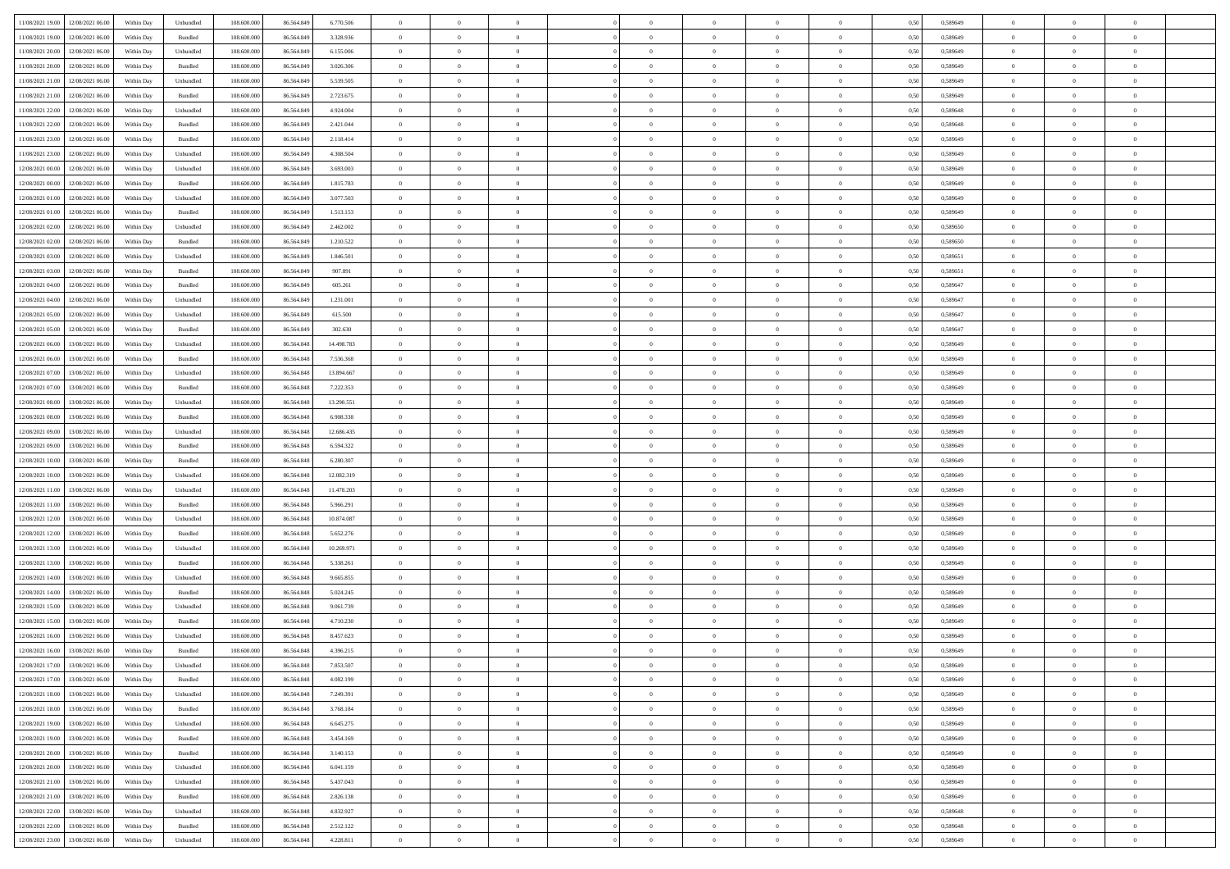| 11/08/2021 19:00 12/08/2021 06:00             | Within Day | Unbundled                   | 108.600.000 | 86.564.849 | 6.770.506  | $\overline{0}$ | $\overline{0}$ |                | $\overline{0}$ | $\theta$       |                | $\theta$       | 0,50 | 0,589649 | $\theta$       | $\theta$       | $\overline{0}$ |  |
|-----------------------------------------------|------------|-----------------------------|-------------|------------|------------|----------------|----------------|----------------|----------------|----------------|----------------|----------------|------|----------|----------------|----------------|----------------|--|
|                                               |            |                             |             |            |            |                |                |                |                |                |                |                |      |          |                |                |                |  |
| 11/08/2021 19:00<br>12/08/2021 06:00          | Within Day | Bundled                     | 108.600.00  | 86.564.849 | 3.328.936  | $\bf{0}$       | $\bf{0}$       | $\bf{0}$       | $\bf{0}$       | $\overline{0}$ | $\overline{0}$ | $\bf{0}$       | 0,50 | 0,589649 | $\,$ 0 $\,$    | $\bf{0}$       | $\overline{0}$ |  |
| 11/08/2021 20:00<br>12/08/2021 06:00          | Within Day | Unbundled                   | 108,600,000 | 86,564,849 | 6.155.006  | $\overline{0}$ | $\bf{0}$       | $\overline{0}$ | $\bf{0}$       | $\bf{0}$       | $\overline{0}$ | $\bf{0}$       | 0.50 | 0.589649 | $\bf{0}$       | $\overline{0}$ | $\overline{0}$ |  |
| 11/08/2021 20:00<br>12/08/2021 06:00          | Within Day | Bundled                     | 108.600.000 | 86.564.849 | 3.026.306  | $\overline{0}$ | $\overline{0}$ | $\overline{0}$ | $\overline{0}$ | $\theta$       | $\overline{0}$ | $\bf{0}$       | 0,50 | 0,589649 | $\,$ 0 $\,$    | $\theta$       | $\overline{0}$ |  |
| 11/08/2021 21:00<br>12/08/2021 06:00          | Within Day | Unbundled                   | 108.600.00  | 86.564.849 | 5.539.505  | $\bf{0}$       | $\overline{0}$ | $\bf{0}$       | $\overline{0}$ | $\bf{0}$       | $\overline{0}$ | $\bf{0}$       | 0,50 | 0,589649 | $\,$ 0 $\,$    | $\bf{0}$       | $\overline{0}$ |  |
| 11/08/2021 21:00<br>12/08/2021 06:00          | Within Day | Bundled                     | 108,600,000 | 86.564.849 | 2.723.675  | $\overline{0}$ | $\bf{0}$       | $\overline{0}$ | $\bf{0}$       | $\overline{0}$ | $\theta$       | $\bf{0}$       | 0.50 | 0.589649 | $\,$ 0 $\,$    | $\theta$       | $\overline{0}$ |  |
|                                               |            |                             |             |            |            | $\overline{0}$ | $\overline{0}$ | $\overline{0}$ | $\overline{0}$ | $\overline{0}$ | $\overline{0}$ |                |      |          |                | $\theta$       |                |  |
| 11/08/2021 22:00<br>12/08/2021 06:00          | Within Day | Unbundled                   | 108.600.000 | 86.564.849 | 4.924.004  |                |                |                |                |                |                | $\bf{0}$       | 0,50 | 0,589648 | $\,$ 0 $\,$    |                | $\overline{0}$ |  |
| 11/08/2021 22:00<br>12/08/2021 06:00          | Within Day | Bundled                     | 108.600.00  | 86.564.849 | 2.421.044  | $\bf{0}$       | $\bf{0}$       | $\bf{0}$       | $\overline{0}$ | $\overline{0}$ | $\overline{0}$ | $\bf{0}$       | 0,50 | 0,589648 | $\,$ 0 $\,$    | $\bf{0}$       | $\overline{0}$ |  |
| 11/08/2021 23:00<br>12/08/2021 06:00          | Within Day | Bundled                     | 108,600,000 | 86.564.849 | 2.118.414  | $\overline{0}$ | $\bf{0}$       | $\overline{0}$ | $\bf{0}$       | $\overline{0}$ | $\overline{0}$ | $\bf{0}$       | 0.50 | 0.589649 | $\bf{0}$       | $\overline{0}$ | $\overline{0}$ |  |
| 11/08/2021 23:00<br>12/08/2021 06:00          | Within Day | Unbundled                   | 108.600.000 | 86.564.849 | 4.308.504  | $\bf{0}$       | $\bf{0}$       | $\overline{0}$ | $\overline{0}$ | $\overline{0}$ | $\overline{0}$ | $\bf{0}$       | 0,50 | 0,589649 | $\,$ 0 $\,$    | $\bf{0}$       | $\overline{0}$ |  |
| 12/08/2021 00:00<br>12/08/2021 06:00          | Within Day | Unbundled                   | 108.600.00  | 86.564.849 | 3.693.003  | $\bf{0}$       | $\bf{0}$       | $\bf{0}$       | $\bf{0}$       | $\overline{0}$ | $\overline{0}$ | $\bf{0}$       | 0,50 | 0,589649 | $\,$ 0 $\,$    | $\bf{0}$       | $\overline{0}$ |  |
| 12/08/2021 00:00<br>12/08/2021 06:00          | Within Day | Bundled                     | 108,600,000 | 86,564,849 | 1.815.783  | $\overline{0}$ | $\bf{0}$       | $\overline{0}$ | $\overline{0}$ | $\bf{0}$       | $\overline{0}$ | $\bf{0}$       | 0.50 | 0.589649 | $\bf{0}$       | $\overline{0}$ | $\,$ 0         |  |
| 12/08/2021 01:00<br>12/08/2021 06:00          | Within Day | Unbundled                   | 108.600.000 | 86.564.849 | 3.077.503  | $\overline{0}$ | $\overline{0}$ | $\overline{0}$ | $\theta$       | $\theta$       | $\overline{0}$ | $\bf{0}$       | 0,50 | 0,589649 | $\,$ 0 $\,$    | $\theta$       | $\overline{0}$ |  |
| 12/08/2021 01:00<br>12/08/2021 06:00          | Within Day | Bundled                     | 108.600.00  | 86.564.849 | 1.513.153  | $\bf{0}$       | $\overline{0}$ | $\bf{0}$       | $\bf{0}$       | $\bf{0}$       | $\overline{0}$ | $\bf{0}$       | 0,50 | 0,589649 | $\,$ 0 $\,$    | $\bf{0}$       | $\overline{0}$ |  |
|                                               |            |                             |             |            |            |                |                |                |                |                |                |                |      |          |                |                |                |  |
| 12/08/2021 02:00<br>12/08/2021 06:00          | Within Day | Unbundled                   | 108,600,000 | 86.564.849 | 2.462.002  | $\overline{0}$ | $\bf{0}$       | $\overline{0}$ | $\bf{0}$       | $\overline{0}$ | $\theta$       | $\bf{0}$       | 0.50 | 0.589650 | $\,$ 0 $\,$    | $\theta$       | $\overline{0}$ |  |
| 12/08/2021 02:00<br>12/08/2021 06:00          | Within Day | Bundled                     | 108.600.000 | 86.564.849 | 1.210.522  | $\overline{0}$ | $\overline{0}$ | $\overline{0}$ | $\overline{0}$ | $\overline{0}$ | $\overline{0}$ | $\bf{0}$       | 0,50 | 0,589650 | $\theta$       | $\theta$       | $\overline{0}$ |  |
| 12/08/2021 03:00<br>12/08/2021 06:00          | Within Day | Unbundled                   | 108.600.00  | 86.564.849 | 1.846.501  | $\bf{0}$       | $\bf{0}$       | $\bf{0}$       | $\overline{0}$ | $\overline{0}$ | $\overline{0}$ | $\bf{0}$       | 0,50 | 0,589651 | $\,$ 0 $\,$    | $\bf{0}$       | $\overline{0}$ |  |
| 12/08/2021 03:00<br>12/08/2021 06:00          | Within Day | Bundled                     | 108,600,000 | 86.564.849 | 907.891    | $\overline{0}$ | $\bf{0}$       | $\overline{0}$ | $\bf{0}$       | $\overline{0}$ | $\overline{0}$ | $\bf{0}$       | 0.50 | 0.589651 | $\bf{0}$       | $\overline{0}$ | $\overline{0}$ |  |
| 12/08/2021 04:00<br>12/08/2021 06:00          | Within Day | Bundled                     | 108.600.000 | 86.564.849 | 605.261    | $\overline{0}$ | $\bf{0}$       | $\overline{0}$ | $\overline{0}$ | $\overline{0}$ | $\overline{0}$ | $\bf{0}$       | 0,50 | 0,589647 | $\,$ 0 $\,$    | $\bf{0}$       | $\overline{0}$ |  |
| 12/08/2021 04:00<br>12/08/2021 06:00          | Within Day | Unbundled                   | 108.600.00  | 86.564.849 | 1.231.001  | $\bf{0}$       | $\bf{0}$       | $\bf{0}$       | $\bf{0}$       | $\overline{0}$ | $\overline{0}$ | $\bf{0}$       | 0,50 | 0,589647 | $\,$ 0 $\,$    | $\bf{0}$       | $\overline{0}$ |  |
| 12/08/2021 05:00<br>12/08/2021 06:00          | Within Day | Unbundled                   | 108,600,000 | 86,564,849 | 615.500    | $\overline{0}$ | $\bf{0}$       | $\overline{0}$ | $\overline{0}$ | $\bf{0}$       | $\overline{0}$ | $\bf{0}$       | 0.50 | 0.589647 | $\bf{0}$       | $\overline{0}$ | $\,$ 0         |  |
| 12/08/2021 05:00<br>12/08/2021 06:00          |            |                             | 108.600.000 |            |            | $\overline{0}$ | $\overline{0}$ | $\overline{0}$ | $\overline{0}$ | $\theta$       | $\overline{0}$ |                |      |          | $\theta$       | $\theta$       | $\overline{0}$ |  |
|                                               | Within Day | Bundled                     |             | 86.564.849 | 302.630    |                |                |                |                |                |                | $\bf{0}$       | 0,50 | 0,589647 |                |                |                |  |
| 12/08/2021 06:00<br>13/08/2021 06:00          | Within Day | Unbundled                   | 108.600.00  | 86.564.848 | 14.498.783 | $\bf{0}$       | $\bf{0}$       | $\bf{0}$       | $\bf{0}$       | $\overline{0}$ | $\overline{0}$ | $\bf{0}$       | 0,50 | 0,589649 | $\,$ 0 $\,$    | $\bf{0}$       | $\overline{0}$ |  |
| 12/08/2021 06:00<br>13/08/2021 06:00          | Within Day | Bundled                     | 108,600,000 | 86.564.848 | 7.536.368  | $\overline{0}$ | $\bf{0}$       | $\overline{0}$ | $\bf{0}$       | $\overline{0}$ | $\theta$       | $\bf{0}$       | 0.50 | 0.589649 | $\,$ 0 $\,$    | $\theta$       | $\overline{0}$ |  |
| 12/08/2021 07:00<br>13/08/2021 06:00          | Within Day | Unbundled                   | 108.600.000 | 86.564.848 | 13.894.667 | $\overline{0}$ | $\overline{0}$ | $\overline{0}$ | $\overline{0}$ | $\overline{0}$ | $\overline{0}$ | $\bf{0}$       | 0,50 | 0,589649 | $\,$ 0 $\,$    | $\theta$       | $\overline{0}$ |  |
| 12/08/2021 07:00<br>13/08/2021 06:00          | Within Day | Bundled                     | 108.600.00  | 86.564.848 | 7.222.353  | $\bf{0}$       | $\overline{0}$ | $\bf{0}$       | $\overline{0}$ | $\overline{0}$ | $\overline{0}$ | $\bf{0}$       | 0,50 | 0,589649 | $\,$ 0 $\,$    | $\bf{0}$       | $\overline{0}$ |  |
| 12/08/2021 08:00<br>13/08/2021 06:00          | Within Day | Unbundled                   | 108,600,000 | 86.564.848 | 13.290.551 | $\overline{0}$ | $\bf{0}$       | $\overline{0}$ | $\bf{0}$       | $\overline{0}$ | $\overline{0}$ | $\bf{0}$       | 0.50 | 0.589649 | $\bf{0}$       | $\overline{0}$ | $\overline{0}$ |  |
| 12/08/2021 08:00<br>13/08/2021 06:00          | Within Day | Bundled                     | 108.600.000 | 86.564.848 | 6.908.338  | $\overline{0}$ | $\bf{0}$       | $\overline{0}$ | $\overline{0}$ | $\overline{0}$ | $\overline{0}$ | $\bf{0}$       | 0,50 | 0,589649 | $\theta$       | $\theta$       | $\overline{0}$ |  |
| 12/08/2021 09:00<br>13/08/2021 06:00          | Within Day | Unbundled                   | 108.600.00  | 86.564.848 | 12.686.435 | $\bf{0}$       | $\bf{0}$       | $\bf{0}$       | $\bf{0}$       | $\overline{0}$ | $\overline{0}$ | $\bf{0}$       | 0,50 | 0,589649 | $\,$ 0 $\,$    | $\bf{0}$       | $\overline{0}$ |  |
| 12/08/2021 09:00<br>13/08/2021 06:00          | Within Day | Bundled                     | 108,600,000 | 86,564,848 | 6.594.322  | $\overline{0}$ | $\bf{0}$       | $\overline{0}$ | $\overline{0}$ | $\bf{0}$       | $\overline{0}$ | $\bf{0}$       | 0.50 | 0.589649 | $\bf{0}$       | $\overline{0}$ | $\,$ 0         |  |
|                                               |            |                             |             |            |            |                |                |                |                |                |                |                |      |          |                |                |                |  |
| 12/08/2021 10:00<br>13/08/2021 06:00          | Within Day | Bundled                     | 108.600.000 | 86,564,848 | 6.280.307  | $\overline{0}$ | $\overline{0}$ | $\overline{0}$ | $\overline{0}$ | $\overline{0}$ | $\overline{0}$ | $\bf{0}$       | 0.50 | 0.589649 | $\theta$       | $\theta$       | $\overline{0}$ |  |
| 12/08/2021 10:00<br>13/08/2021 06:00          | Within Day | Unbundled                   | 108.600.00  | 86.564.848 | 12.082.319 | $\bf{0}$       | $\bf{0}$       | $\bf{0}$       | $\bf{0}$       | $\overline{0}$ | $\overline{0}$ | $\bf{0}$       | 0,50 | 0,589649 | $\,$ 0 $\,$    | $\bf{0}$       | $\overline{0}$ |  |
| 12/08/2021 11:00<br>13/08/2021 06:00          | Within Day | Unbundled                   | 108,600,000 | 86,564,848 | 11.478.203 | $\overline{0}$ | $\bf{0}$       | $\overline{0}$ | $\bf{0}$       | $\overline{0}$ | $\overline{0}$ | $\bf{0}$       | 0.50 | 0.589649 | $\,$ 0 $\,$    | $\bf{0}$       | $\overline{0}$ |  |
| 12/08/2021 11:00<br>13/08/2021 06:00          | Within Dav | Bundled                     | 108.600.000 | 86.564.848 | 5.966.291  | $\overline{0}$ | $\overline{0}$ | $\overline{0}$ | $\overline{0}$ | $\overline{0}$ | $\overline{0}$ | $\bf{0}$       | 0.50 | 0.589649 | $\theta$       | $\theta$       | $\overline{0}$ |  |
| 12/08/2021 12:00<br>13/08/2021 06:00          | Within Day | Unbundled                   | 108.600.00  | 86.564.848 | 10.874.087 | $\bf{0}$       | $\bf{0}$       | $\bf{0}$       | $\bf{0}$       | $\overline{0}$ | $\overline{0}$ | $\bf{0}$       | 0,50 | 0,589649 | $\,$ 0 $\,$    | $\bf{0}$       | $\overline{0}$ |  |
| 12/08/2021 12:00<br>13/08/2021 06:00          | Within Day | Bundled                     | 108,600,000 | 86.564.848 | 5.652.276  | $\overline{0}$ | $\bf{0}$       | $\overline{0}$ | $\bf{0}$       | $\overline{0}$ | $\overline{0}$ | $\bf{0}$       | 0.50 | 0.589649 | $\bf{0}$       | $\overline{0}$ | $\overline{0}$ |  |
| 12/08/2021 13:00<br>13/08/2021 06:00          | Within Dav | Unbundled                   | 108.600.000 | 86,564,848 | 10.269.971 | $\overline{0}$ | $\overline{0}$ | $\overline{0}$ | $\overline{0}$ | $\overline{0}$ | $\overline{0}$ | $\bf{0}$       | 0.50 | 0.589649 | $\theta$       | $\theta$       | $\overline{0}$ |  |
| 12/08/2021 13:00<br>13/08/2021 06:00          | Within Day | Bundled                     | 108.600.00  | 86.564.848 | 5.338.261  | $\bf{0}$       | $\bf{0}$       | $\bf{0}$       | $\bf{0}$       | $\overline{0}$ | $\overline{0}$ | $\bf{0}$       | 0,50 | 0,589649 | $\,$ 0 $\,$    | $\bf{0}$       | $\overline{0}$ |  |
|                                               |            |                             |             |            |            |                |                |                |                |                |                |                |      |          |                |                |                |  |
| 12/08/2021 14:00<br>13/08/2021 06:00          | Within Day | Unbundled                   | 108,600,000 | 86,564,848 | 9.665.855  | $\overline{0}$ | $\bf{0}$       | $\overline{0}$ | $\overline{0}$ | $\bf{0}$       | $\overline{0}$ | $\bf{0}$       | 0.50 | 0.589649 | $\bf{0}$       | $\overline{0}$ | $\,$ 0         |  |
| 12/08/2021 14:00<br>13/08/2021 06:00          | Within Dav | Bundled                     | 108.600.000 | 86.564.848 | 5.024.245  | $\overline{0}$ | $\overline{0}$ | $\overline{0}$ | $\overline{0}$ | $\overline{0}$ | $\overline{0}$ | $\bf{0}$       | 0.50 | 0.589649 | $\theta$       | $\theta$       | $\overline{0}$ |  |
| 12/08/2021 15:00<br>13/08/2021 06:00          | Within Day | Unbundled                   | 108.600.00  | 86.564.848 | 9.061.739  | $\bf{0}$       | $\bf{0}$       | $\bf{0}$       | $\bf{0}$       | $\overline{0}$ | $\overline{0}$ | $\bf{0}$       | 0,50 | 0,589649 | $\,$ 0 $\,$    | $\bf{0}$       | $\overline{0}$ |  |
| 12/08/2021 15:00<br>13/08/2021 06:00          | Within Day | Bundled                     | 108,600,000 | 86.564.848 | 4.710.230  | $\overline{0}$ | $\overline{0}$ | $\overline{0}$ | $\bf{0}$       | $\overline{0}$ | $\overline{0}$ | $\bf{0}$       | 0.50 | 0.589649 | $\bf{0}$       | $\theta$       | $\overline{0}$ |  |
| 12/08/2021 16:00<br>13/08/2021 06:00          | Within Dav | Unbundled                   | 108.600.000 | 86,564,848 | 8.457.623  | $\overline{0}$ | $\overline{0}$ | $\overline{0}$ | $\theta$       | $\theta$       | $\overline{0}$ | $\overline{0}$ | 0.5( | 0.589649 | $\theta$       | $\theta$       | $\overline{0}$ |  |
| 12/08/2021 16:00<br>13/08/2021 06:00          | Within Day | Bundled                     | 108.600.00  | 86.564.848 | 4.396.215  | $\bf{0}$       | $\bf{0}$       | $\bf{0}$       | $\bf{0}$       | $\bf{0}$       | $\overline{0}$ | $\bf{0}$       | 0,50 | 0,589649 | $\,$ 0 $\,$    | $\overline{0}$ | $\overline{0}$ |  |
| $12/08/2021\ 17.00\quad \  13/08/2021\ 06.00$ | Within Day | $\ensuremath{\mathsf{Unb}}$ | 108.600.000 | 86.564.848 | 7853507    | $\bf{0}$       | $\theta$       |                | $\overline{0}$ | $\Omega$       |                |                | 0,50 | 0.589649 | $\bf{0}$       | $\bf{0}$       |                |  |
| 12/08/2021 17:00 13/08/2021 06:00             | Within Day | Bundled                     | 108.600.000 | 86.564.848 | 4.082.199  | $\overline{0}$ | $\overline{0}$ | $\Omega$       | $\theta$       | $\overline{0}$ | $\overline{0}$ | $\bf{0}$       | 0,50 | 0,589649 | $\theta$       | $\theta$       | $\overline{0}$ |  |
| 12/08/2021 18:00<br>13/08/2021 06:00          | Within Day | Unbundled                   | 108.600.00  | 86.564.848 | 7.249.391  | $\overline{0}$ | $\bf{0}$       | $\overline{0}$ | $\overline{0}$ | $\bf{0}$       | $\overline{0}$ |                | 0,50 | 0,589649 | $\bf{0}$       | $\overline{0}$ | $\bf{0}$       |  |
|                                               |            |                             |             |            |            |                |                |                |                |                |                | $\bf{0}$       |      |          |                |                |                |  |
| 12/08/2021 18:00 13/08/2021 06:00             | Within Day | Bundled                     | 108,600,000 | 86,564,848 | 3.768.184  | $\overline{0}$ | $\bf{0}$       | $\overline{0}$ | $\overline{0}$ | $\mathbf{0}$   | $\overline{0}$ | $\,$ 0 $\,$    | 0.50 | 0.589649 | $\overline{0}$ | $\bf{0}$       | $\,$ 0 $\,$    |  |
| 12/08/2021 19:00 13/08/2021 06:00             | Within Day | Unbundled                   | 108.600.000 | 86.564.848 | 6.645.275  | $\overline{0}$ | $\overline{0}$ | $\overline{0}$ | $\overline{0}$ | $\overline{0}$ | $\overline{0}$ | $\bf{0}$       | 0,50 | 0.589649 | $\overline{0}$ | $\theta$       | $\overline{0}$ |  |
| 12/08/2021 19:00<br>13/08/2021 06:00          | Within Day | Bundled                     | 108.600.000 | 86.564.848 | 3.454.169  | $\overline{0}$ | $\bf{0}$       | $\overline{0}$ | $\overline{0}$ | $\overline{0}$ | $\overline{0}$ | $\bf{0}$       | 0,50 | 0,589649 | $\bf{0}$       | $\overline{0}$ | $\overline{0}$ |  |
| 13/08/2021 06:00<br>12/08/2021 20:00          | Within Day | Bundled                     | 108,600,000 | 86,564,848 | 3.140.153  | $\overline{0}$ | $\bf{0}$       | $\overline{0}$ | $\overline{0}$ | $\bf{0}$       | $\overline{0}$ | $\bf{0}$       | 0.50 | 0.589649 | $\,$ 0 $\,$    | $\overline{0}$ | $\,$ 0         |  |
| 12/08/2021 20:00<br>13/08/2021 06:00          | Within Dav | Unbundled                   | 108.600.000 | 86.564.848 | 6.041.159  | $\overline{0}$ | $\overline{0}$ | $\overline{0}$ | $\overline{0}$ | $\overline{0}$ | $\overline{0}$ | $\bf{0}$       | 0,50 | 0.589649 | $\overline{0}$ | $\theta$       | $\overline{0}$ |  |
| 12/08/2021 21:00<br>13/08/2021 06:00          | Within Day | Unbundled                   | 108.600.00  | 86.564.848 | 5.437.043  | $\overline{0}$ | $\overline{0}$ | $\overline{0}$ | $\overline{0}$ | $\overline{0}$ | $\overline{0}$ | $\bf{0}$       | 0,50 | 0,589649 | $\bf{0}$       | $\overline{0}$ | $\overline{0}$ |  |
| 12/08/2021 21:00 13/08/2021 06:00             | Within Day | Bundled                     | 108,600,000 | 86,564,848 | 2.826.138  | $\overline{0}$ | $\overline{0}$ | $\overline{0}$ | $\overline{0}$ | $\overline{0}$ | $\overline{0}$ | $\bf{0}$       | 0.50 | 0.589649 | $\mathbf{0}$   | $\bf{0}$       | $\,$ 0         |  |
|                                               |            |                             |             |            |            |                | $\overline{0}$ |                |                | $\overline{0}$ |                |                |      |          |                | $\theta$       | $\overline{0}$ |  |
| 12/08/2021 22:00 13/08/2021 06:00             | Within Dav | Unbundled                   | 108.600.000 | 86.564.848 | 4.832.927  | $\overline{0}$ |                | $\overline{0}$ | $\overline{0}$ |                | $\overline{0}$ | $\bf{0}$       | 0,50 | 0.589648 | $\overline{0}$ |                |                |  |
| 12/08/2021 22:00<br>13/08/2021 06:00          | Within Day | Bundled                     | 108.600.00  | 86.564.848 | 2.512.122  | $\overline{0}$ | $\bf{0}$       | $\overline{0}$ | $\bf{0}$       | $\overline{0}$ | $\overline{0}$ | $\bf{0}$       | 0,50 | 0,589648 | $\bf{0}$       | $\,$ 0 $\,$    | $\bf{0}$       |  |
| 12/08/2021 23:00 13/08/2021 06:00             | Within Day | Unbundled                   | 108.600.000 | 86.564.848 | 4.228.811  | $\,$ 0 $\,$    | $\bf{0}$       | $\overline{0}$ | $\overline{0}$ | $\,$ 0 $\,$    | $\overline{0}$ | $\,$ 0 $\,$    | 0,50 | 0,589649 | $\overline{0}$ | $\,$ 0 $\,$    | $\,$ 0 $\,$    |  |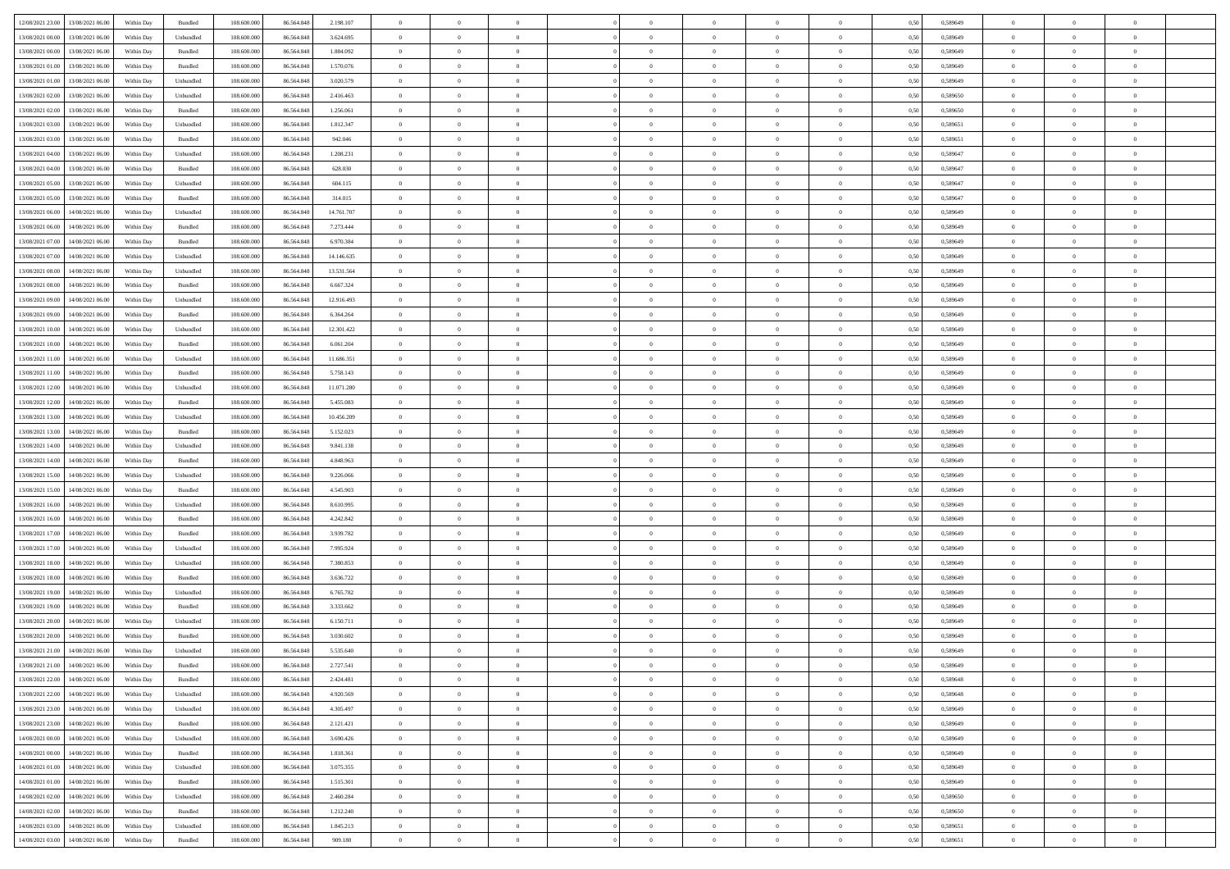|                                                |            |           |             |            |            | $\overline{0}$ | $\overline{0}$ |                | $\overline{0}$ | $\theta$       |                | $\theta$       |      |          | $\theta$       | $\theta$       | $\overline{0}$ |  |
|------------------------------------------------|------------|-----------|-------------|------------|------------|----------------|----------------|----------------|----------------|----------------|----------------|----------------|------|----------|----------------|----------------|----------------|--|
| 12/08/2021 23:00 13/08/2021 06:00              | Within Day | Bundled   | 108.600.000 | 86.564.848 | 2.198.107  |                |                |                |                |                |                |                | 0,50 | 0,589649 |                |                |                |  |
| 13/08/2021 00:00<br>13/08/2021 06:00           | Within Day | Unbundled | 108.600.00  | 86.564.84  | 3.624.695  | $\bf{0}$       | $\bf{0}$       | $\bf{0}$       | $\bf{0}$       | $\overline{0}$ | $\overline{0}$ | $\bf{0}$       | 0,50 | 0,589649 | $\,$ 0 $\,$    | $\bf{0}$       | $\overline{0}$ |  |
| 13/08/2021 00:00<br>13/08/2021 06:00           | Within Day | Bundled   | 108,600,000 | 86,564,848 | 1.884.092  | $\overline{0}$ | $\bf{0}$       | $\overline{0}$ | $\bf{0}$       | $\bf{0}$       | $\overline{0}$ | $\bf{0}$       | 0.50 | 0.589649 | $\bf{0}$       | $\overline{0}$ | $\bf{0}$       |  |
|                                                |            |           |             |            |            | $\overline{0}$ | $\overline{0}$ | $\overline{0}$ | $\overline{0}$ | $\theta$       | $\overline{0}$ |                |      |          | $\,$ 0 $\,$    | $\theta$       | $\overline{0}$ |  |
| 13/08/2021 01:00<br>13/08/2021 06:00           | Within Day | Bundled   | 108.600.000 | 86.564.848 | 1.570.076  |                |                |                |                |                |                | $\bf{0}$       | 0,50 | 0,589649 |                |                |                |  |
| 13/08/2021 01:00<br>13/08/2021 06:00           | Within Day | Unbundled | 108.600.00  | 86.564.848 | 3.020.579  | $\bf{0}$       | $\overline{0}$ | $\bf{0}$       | $\overline{0}$ | $\theta$       | $\overline{0}$ | $\bf{0}$       | 0,50 | 0,589649 | $\,$ 0 $\,$    | $\bf{0}$       | $\overline{0}$ |  |
| 13/08/2021 02:00<br>13/08/2021 06:00           | Within Day | Unbundled | 108,600,000 | 86.564.848 | 2.416.463  | $\overline{0}$ | $\overline{0}$ | $\overline{0}$ | $\bf{0}$       | $\overline{0}$ | $\theta$       | $\bf{0}$       | 0.50 | 0.589650 | $\,$ 0 $\,$    | $\theta$       | $\overline{0}$ |  |
| 13/08/2021 02:00<br>13/08/2021 06:00           | Within Day | Bundled   | 108.600.000 | 86.564.848 | 1.256.061  | $\overline{0}$ | $\overline{0}$ | $\overline{0}$ | $\overline{0}$ | $\overline{0}$ | $\overline{0}$ | $\bf{0}$       | 0,50 | 0,589650 | $\,$ 0 $\,$    | $\theta$       | $\overline{0}$ |  |
|                                                |            |           |             |            |            |                |                |                |                |                |                |                |      |          |                |                |                |  |
| 13/08/2021 03:00<br>13/08/2021 06:00           | Within Day | Unbundled | 108.600.00  | 86.564.848 | 1.812.347  | $\bf{0}$       | $\bf{0}$       | $\bf{0}$       | $\overline{0}$ | $\overline{0}$ | $\overline{0}$ | $\bf{0}$       | 0,50 | 0,589651 | $\,$ 0 $\,$    | $\bf{0}$       | $\overline{0}$ |  |
| 13/08/2021 03:00<br>13/08/2021 06:00           | Within Day | Bundled   | 108,600,000 | 86.564.848 | 942.046    | $\overline{0}$ | $\bf{0}$       | $\overline{0}$ | $\bf{0}$       | $\overline{0}$ | $\overline{0}$ | $\bf{0}$       | 0.50 | 0.589651 | $\bf{0}$       | $\overline{0}$ | $\overline{0}$ |  |
| 13/08/2021 04:00<br>13/08/2021 06:00           | Within Day | Unbundled | 108.600.000 | 86.564.848 | 1.208.231  | $\bf{0}$       | $\bf{0}$       | $\overline{0}$ | $\overline{0}$ | $\overline{0}$ | $\overline{0}$ | $\bf{0}$       | 0,50 | 0,589647 | $\,$ 0 $\,$    | $\bf{0}$       | $\overline{0}$ |  |
|                                                |            |           |             |            |            |                |                |                |                |                |                |                |      |          |                |                |                |  |
| 13/08/2021 04:00<br>13/08/2021 06:00           | Within Day | Bundled   | 108.600.00  | 86.564.848 | 628.030    | $\bf{0}$       | $\bf{0}$       | $\bf{0}$       | $\bf{0}$       | $\overline{0}$ | $\overline{0}$ | $\bf{0}$       | 0,50 | 0,589647 | $\,$ 0 $\,$    | $\bf{0}$       | $\overline{0}$ |  |
| 13/08/2021 05:00<br>13/08/2021 06:00           | Within Day | Unbundled | 108,600,000 | 86,564,848 | 604.115    | $\overline{0}$ | $\bf{0}$       | $\overline{0}$ | $\overline{0}$ | $\bf{0}$       | $\overline{0}$ | $\bf{0}$       | 0.50 | 0.589647 | $\bf{0}$       | $\overline{0}$ | $\,$ 0         |  |
| 13/08/2021 05:00<br>13/08/2021 06:00           | Within Day | Bundled   | 108.600.000 | 86.564.848 | 314.015    | $\overline{0}$ | $\overline{0}$ | $\overline{0}$ | $\theta$       | $\theta$       | $\overline{0}$ | $\bf{0}$       | 0,50 | 0,589647 | $\,$ 0 $\,$    | $\theta$       | $\overline{0}$ |  |
| 13/08/2021 06:00<br>14/08/2021 06:00           | Within Day | Unbundled | 108.600.00  | 86.564.848 | 14.761.707 | $\bf{0}$       | $\overline{0}$ | $\bf{0}$       | $\bf{0}$       | $\bf{0}$       | $\overline{0}$ | $\bf{0}$       | 0,50 | 0,589649 | $\,$ 0 $\,$    | $\bf{0}$       | $\overline{0}$ |  |
|                                                |            |           |             |            |            |                |                |                |                |                |                |                |      |          |                |                |                |  |
| 13/08/2021 06:00<br>14/08/2021 06:00           | Within Day | Bundled   | 108,600,000 | 86.564.848 | 7.273.444  | $\overline{0}$ | $\bf{0}$       | $\overline{0}$ | $\bf{0}$       | $\overline{0}$ | $\theta$       | $\bf{0}$       | 0.50 | 0.589649 | $\,$ 0 $\,$    | $\theta$       | $\overline{0}$ |  |
| 13/08/2021 07:00<br>14/08/2021 06:00           | Within Day | Bundled   | 108.600.000 | 86.564.848 | 6.970.384  | $\overline{0}$ | $\overline{0}$ | $\overline{0}$ | $\overline{0}$ | $\overline{0}$ | $\overline{0}$ | $\bf{0}$       | 0,50 | 0,589649 | $\theta$       | $\theta$       | $\overline{0}$ |  |
| 13/08/2021 07:00<br>14/08/2021 06:00           | Within Day | Unbundled | 108.600.00  | 86.564.848 | 14.146.635 | $\bf{0}$       | $\bf{0}$       | $\bf{0}$       | $\overline{0}$ | $\bf{0}$       | $\overline{0}$ | $\bf{0}$       | 0,50 | 0,589649 | $\,$ 0 $\,$    | $\bf{0}$       | $\overline{0}$ |  |
| 13/08/2021 08:00<br>14/08/2021 06:00           | Within Day | Unbundled | 108,600,000 | 86.564.848 | 13.531.564 | $\overline{0}$ | $\bf{0}$       | $\overline{0}$ | $\bf{0}$       | $\overline{0}$ | $\overline{0}$ | $\bf{0}$       | 0.50 | 0.589649 | $\bf{0}$       | $\overline{0}$ | $\bf{0}$       |  |
|                                                |            |           |             |            |            |                |                |                |                |                |                |                |      |          |                |                |                |  |
| 13/08/2021 08:00<br>14/08/2021 06:00           | Within Day | Bundled   | 108.600.000 | 86.564.848 | 6.667.324  | $\overline{0}$ | $\bf{0}$       | $\overline{0}$ | $\overline{0}$ | $\overline{0}$ | $\overline{0}$ | $\bf{0}$       | 0,50 | 0,589649 | $\,$ 0 $\,$    | $\bf{0}$       | $\overline{0}$ |  |
| 13/08/2021 09:00<br>14/08/2021 06:00           | Within Day | Unbundled | 108.600.00  | 86.564.848 | 12.916.493 | $\bf{0}$       | $\bf{0}$       | $\bf{0}$       | $\bf{0}$       | $\overline{0}$ | $\overline{0}$ | $\bf{0}$       | 0,50 | 0,589649 | $\,$ 0 $\,$    | $\bf{0}$       | $\overline{0}$ |  |
| 13/08/2021 09:00<br>14/08/2021 06:00           | Within Day | Bundled   | 108,600,000 | 86,564,848 | 6.364.264  | $\overline{0}$ | $\bf{0}$       | $\overline{0}$ | $\overline{0}$ | $\bf{0}$       | $\overline{0}$ | $\bf{0}$       | 0.50 | 0.589649 | $\bf{0}$       | $\overline{0}$ | $\,$ 0         |  |
| 13/08/2021 10:00<br>14/08/2021 06:00           | Within Day | Unbundled | 108.600.000 | 86.564.848 | 12.301.422 | $\overline{0}$ | $\overline{0}$ | $\overline{0}$ | $\overline{0}$ | $\theta$       | $\overline{0}$ | $\bf{0}$       | 0,50 | 0,589649 | $\theta$       | $\theta$       | $\overline{0}$ |  |
|                                                |            |           |             |            |            |                |                |                |                |                |                |                |      |          |                |                |                |  |
| 13/08/2021 10:00<br>14/08/2021 06:00           | Within Day | Bundled   | 108.600.00  | 86.564.848 | 6.061.204  | $\bf{0}$       | $\bf{0}$       | $\bf{0}$       | $\bf{0}$       | $\overline{0}$ | $\overline{0}$ | $\bf{0}$       | 0,50 | 0,589649 | $\,$ 0 $\,$    | $\bf{0}$       | $\overline{0}$ |  |
| 13/08/2021 11:00<br>14/08/2021 06:00           | Within Day | Unbundled | 108,600,000 | 86.564.848 | 11.686.351 | $\overline{0}$ | $\overline{0}$ | $\overline{0}$ | $\bf{0}$       | $\overline{0}$ | $\theta$       | $\bf{0}$       | 0.50 | 0.589649 | $\,$ 0 $\,$    | $\theta$       | $\overline{0}$ |  |
| 13/08/2021 11:00<br>14/08/2021 06:00           | Within Day | Bundled   | 108.600.000 | 86.564.848 | 5.758.143  | $\overline{0}$ | $\overline{0}$ | $\overline{0}$ | $\overline{0}$ | $\overline{0}$ | $\overline{0}$ | $\bf{0}$       | 0,50 | 0,589649 | $\,$ 0 $\,$    | $\theta$       | $\overline{0}$ |  |
| 13/08/2021 12:00<br>14/08/2021 06:00           | Within Day | Unbundled | 108.600.00  | 86.564.848 | 11.071.280 | $\bf{0}$       | $\overline{0}$ | $\bf{0}$       | $\overline{0}$ | $\bf{0}$       | $\overline{0}$ | $\bf{0}$       | 0,50 | 0,589649 | $\,$ 0 $\,$    | $\bf{0}$       | $\overline{0}$ |  |
|                                                |            |           |             |            |            |                |                |                |                |                |                |                |      |          |                |                |                |  |
| 13/08/2021 12:00<br>14/08/2021 06:00           | Within Day | Bundled   | 108,600,000 | 86.564.848 | 5.455.083  | $\overline{0}$ | $\bf{0}$       | $\overline{0}$ | $\bf{0}$       | $\overline{0}$ | $\overline{0}$ | $\bf{0}$       | 0.50 | 0.589649 | $\bf{0}$       | $\overline{0}$ | $\overline{0}$ |  |
| 13/08/2021 13:00<br>14/08/2021 06:00           | Within Day | Unbundled | 108.600.000 | 86.564.848 | 10.456.209 | $\overline{0}$ | $\bf{0}$       | $\overline{0}$ | $\overline{0}$ | $\overline{0}$ | $\overline{0}$ | $\bf{0}$       | 0,50 | 0,589649 | $\theta$       | $\theta$       | $\overline{0}$ |  |
| 13/08/2021 13:00<br>14/08/2021 06:00           | Within Day | Bundled   | 108.600.00  | 86.564.848 | 5.152.023  | $\bf{0}$       | $\bf{0}$       | $\bf{0}$       | $\bf{0}$       | $\overline{0}$ | $\overline{0}$ | $\bf{0}$       | 0,50 | 0,589649 | $\,$ 0 $\,$    | $\bf{0}$       | $\overline{0}$ |  |
| 13/08/2021 14:00<br>14/08/2021 06:00           | Within Day | Unbundled | 108,600,000 | 86,564,848 | 9.841.138  | $\overline{0}$ | $\bf{0}$       | $\overline{0}$ | $\bf{0}$       | $\bf{0}$       | $\overline{0}$ | $\bf{0}$       | 0.50 | 0.589649 | $\bf{0}$       | $\overline{0}$ | $\,$ 0         |  |
|                                                |            |           |             |            |            |                |                |                |                |                |                |                |      |          |                |                |                |  |
| 13/08/2021 14:00<br>14/08/2021 06:00           | Within Day | Bundled   | 108.600.000 | 86,564,848 | 4.848.963  | $\overline{0}$ | $\overline{0}$ | $\overline{0}$ | $\overline{0}$ | $\overline{0}$ | $\overline{0}$ | $\bf{0}$       | 0.50 | 0.589649 | $\theta$       | $\theta$       | $\overline{0}$ |  |
| 13/08/2021 15:00<br>14/08/2021 06:00           | Within Day | Unbundled | 108.600.00  | 86.564.848 | 9.226.066  | $\bf{0}$       | $\bf{0}$       | $\bf{0}$       | $\bf{0}$       | $\overline{0}$ | $\overline{0}$ | $\bf{0}$       | 0,50 | 0,589649 | $\,$ 0 $\,$    | $\bf{0}$       | $\overline{0}$ |  |
| 13/08/2021 15:00<br>14/08/2021 06:00           | Within Day | Bundled   | 108,600,000 | 86.564.848 | 4.545.903  | $\overline{0}$ | $\bf{0}$       | $\overline{0}$ | $\bf{0}$       | $\overline{0}$ | $\overline{0}$ | $\bf{0}$       | 0.50 | 0.589649 | $\,$ 0 $\,$    | $\bf{0}$       | $\overline{0}$ |  |
| 13/08/2021 16:00<br>14/08/2021 06:00           | Within Dav | Unbundled | 108.600.000 | 86.564.848 | 8.610.995  | $\overline{0}$ | $\overline{0}$ | $\overline{0}$ | $\overline{0}$ | $\overline{0}$ | $\overline{0}$ | $\bf{0}$       | 0.50 | 0.589649 | $\theta$       | $\theta$       | $\overline{0}$ |  |
|                                                |            |           |             |            |            |                |                |                |                |                |                |                |      |          |                |                |                |  |
| 13/08/2021 16:00<br>14/08/2021 06:00           | Within Day | Bundled   | 108.600.00  | 86.564.848 | 4.242.842  | $\bf{0}$       | $\bf{0}$       | $\bf{0}$       | $\bf{0}$       | $\overline{0}$ | $\overline{0}$ | $\bf{0}$       | 0,50 | 0,589649 | $\,$ 0 $\,$    | $\bf{0}$       | $\overline{0}$ |  |
| 13/08/2021 17:00<br>14/08/2021 06:00           | Within Day | Bundled   | 108,600,000 | 86.564.848 | 3.939.782  | $\overline{0}$ | $\bf{0}$       | $\overline{0}$ | $\bf{0}$       | $\overline{0}$ | $\overline{0}$ | $\bf{0}$       | 0.50 | 0.589649 | $\bf{0}$       | $\overline{0}$ | $\overline{0}$ |  |
| 13/08/2021 17:00<br>14/08/2021 06:00           | Within Dav | Unbundled | 108.600.000 | 86.564.848 | 7.995.924  | $\overline{0}$ | $\overline{0}$ | $\overline{0}$ | $\overline{0}$ | $\overline{0}$ | $\overline{0}$ | $\bf{0}$       | 0.50 | 0.589649 | $\theta$       | $\theta$       | $\overline{0}$ |  |
| 13/08/2021 18:00<br>14/08/2021 06:00           | Within Day | Unbundled | 108.600.00  | 86.564.848 | 7.380.853  | $\bf{0}$       | $\bf{0}$       | $\bf{0}$       | $\bf{0}$       | $\overline{0}$ | $\overline{0}$ | $\bf{0}$       | 0,50 | 0,589649 | $\,$ 0 $\,$    | $\bf{0}$       | $\overline{0}$ |  |
|                                                |            |           |             |            |            |                |                |                |                |                |                |                |      |          |                |                |                |  |
| 13/08/2021 18:00<br>14/08/2021 06:00           | Within Day | Bundled   | 108,600,000 | 86,564,848 | 3.636.722  | $\overline{0}$ | $\bf{0}$       | $\overline{0}$ | $\overline{0}$ | $\bf{0}$       | $\overline{0}$ | $\bf{0}$       | 0.50 | 0.589649 | $\bf{0}$       | $\overline{0}$ | $\,$ 0         |  |
| 13/08/2021 19:00<br>14/08/2021 06:00           | Within Dav | Unbundled | 108.600.000 | 86.564.848 | 6.765.782  | $\overline{0}$ | $\overline{0}$ | $\overline{0}$ | $\overline{0}$ | $\overline{0}$ | $\overline{0}$ | $\bf{0}$       | 0.50 | 0.589649 | $\theta$       | $\theta$       | $\overline{0}$ |  |
| 13/08/2021 19:00<br>14/08/2021 06:00           | Within Day | Bundled   | 108.600.00  | 86.564.848 | 3.333.662  | $\bf{0}$       | $\bf{0}$       | $\bf{0}$       | $\bf{0}$       | $\overline{0}$ | $\overline{0}$ | $\bf{0}$       | 0,50 | 0,589649 | $\,$ 0 $\,$    | $\bf{0}$       | $\overline{0}$ |  |
| 13/08/2021 20:00<br>14/08/2021 06:00           | Within Day | Unbundled | 108,600,000 | 86.564.848 | 6.150.711  | $\overline{0}$ | $\overline{0}$ | $\overline{0}$ | $\bf{0}$       | $\overline{0}$ | $\Omega$       | $\bf{0}$       | 0.50 | 0.589649 | $\bf{0}$       | $\theta$       | $\overline{0}$ |  |
| 13/08/2021 20:00<br>14/08/2021 06:00           | Within Dav | Bundled   | 108.600.000 | 86,564,848 | 3.030.602  | $\overline{0}$ | $\overline{0}$ | $\overline{0}$ | $\theta$       | $\theta$       | $\overline{0}$ | $\overline{0}$ | 0.5( | 0.589649 | $\theta$       | $\theta$       | $\overline{0}$ |  |
|                                                |            |           |             |            |            |                |                |                |                |                |                |                |      |          |                |                |                |  |
| 13/08/2021 21:00<br>14/08/2021 06:00           | Within Day | Unbundled | 108.600.00  | 86.564.848 | 5.535.640  | $\bf{0}$       | $\bf{0}$       | $\bf{0}$       | $\bf{0}$       | $\bf{0}$       | $\overline{0}$ | $\bf{0}$       | 0,50 | 0,589649 | $\overline{0}$ | $\overline{0}$ | $\overline{0}$ |  |
| $13/08/2021\; 21.00 \qquad 14/08/2021\; 06.00$ | Within Day | Bundled   | 108.600.000 | 86.564.848 | 2.727.541  | $\bf{0}$       | $\theta$       |                | $\overline{0}$ |                |                |                | 0,50 | 0.589649 | $\bf{0}$       | $\bf{0}$       |                |  |
| 13/08/2021 22:00 14/08/2021 06:00              | Within Day | Bundled   | 108.600.000 | 86.564.848 | 2.424.481  | $\overline{0}$ | $\overline{0}$ | $\Omega$       | $\theta$       | $\overline{0}$ | $\overline{0}$ | $\bf{0}$       | 0,50 | 0,589648 | $\theta$       | $\theta$       | $\overline{0}$ |  |
|                                                |            |           |             |            |            |                |                |                |                |                |                |                |      |          |                |                |                |  |
| 13/08/2021 22:00<br>14/08/2021 06:00           | Within Day | Unbundled | 108.600.00  | 86.564.848 | 4.920.569  | $\overline{0}$ | $\bf{0}$       | $\overline{0}$ | $\overline{0}$ | $\bf{0}$       | $\overline{0}$ | $\bf{0}$       | 0,50 | 0,589648 | $\bf{0}$       | $\overline{0}$ | $\bf{0}$       |  |
| 13/08/2021 23:00 14/08/2021 06:00              | Within Day | Unbundled | 108,600,000 | 86,564,848 | 4.305.497  | $\overline{0}$ | $\bf{0}$       | $\overline{0}$ | $\overline{0}$ | $\mathbf{0}$   | $\overline{0}$ | $\,$ 0 $\,$    | 0.50 | 0.589649 | $\overline{0}$ | $\bf{0}$       | $\,$ 0 $\,$    |  |
| 13/08/2021 23:00 14/08/2021 06:00              | Within Day | Bundled   | 108.600.000 | 86.564.848 | 2.121.421  | $\overline{0}$ | $\overline{0}$ | $\overline{0}$ | $\overline{0}$ | $\overline{0}$ | $\overline{0}$ | $\bf{0}$       | 0,50 | 0.589649 | $\overline{0}$ | $\theta$       | $\overline{0}$ |  |
| 14/08/2021 00:00<br>14/08/2021 06:00           | Within Day | Unbundled | 108.600.000 | 86.564.848 | 3.690.426  | $\overline{0}$ | $\bf{0}$       | $\overline{0}$ | $\overline{0}$ | $\overline{0}$ | $\overline{0}$ | $\bf{0}$       | 0,50 | 0,589649 | $\bf{0}$       | $\overline{0}$ | $\overline{0}$ |  |
|                                                |            |           |             |            |            |                |                |                |                |                |                |                |      |          |                |                |                |  |
| 14/08/2021 06:00<br>14/08/2021 00:00           | Within Day | Bundled   | 108,600,000 | 86,564,848 | 1.818.361  | $\overline{0}$ | $\bf{0}$       | $\overline{0}$ | $\overline{0}$ | $\bf{0}$       | $\overline{0}$ | $\bf{0}$       | 0.50 | 0.589649 | $\,$ 0 $\,$    | $\overline{0}$ | $\,$ 0         |  |
| 14/08/2021 01:00<br>14/08/2021 06:00           | Within Dav | Unbundled | 108.600.000 | 86.564.848 | 3.075.355  | $\overline{0}$ | $\overline{0}$ | $\overline{0}$ | $\overline{0}$ | $\overline{0}$ | $\overline{0}$ | $\bf{0}$       | 0,50 | 0.589649 | $\overline{0}$ | $\theta$       | $\overline{0}$ |  |
| 14/08/2021 01:00<br>14/08/2021 06:00           | Within Day | Bundled   | 108.600.00  | 86.564.848 | 1.515.301  | $\overline{0}$ | $\overline{0}$ | $\overline{0}$ | $\overline{0}$ | $\overline{0}$ | $\overline{0}$ | $\bf{0}$       | 0,50 | 0,589649 | $\bf{0}$       | $\overline{0}$ | $\overline{0}$ |  |
| 14/08/2021 02:00<br>14/08/2021 06:00           | Within Day | Unbundled | 108,600,000 | 86,564,848 | 2.460.284  | $\overline{0}$ | $\overline{0}$ | $\overline{0}$ | $\overline{0}$ | $\overline{0}$ | $\overline{0}$ | $\bf{0}$       | 0.50 | 0.589650 | $\mathbf{0}$   | $\bf{0}$       | $\,$ 0         |  |
|                                                |            |           |             |            |            |                |                |                |                |                |                |                |      |          |                |                |                |  |
| 14/08/2021 02:00<br>14/08/2021 06:00           | Within Dav | Bundled   | 108.600.000 | 86.564.848 | 1.212.240  | $\overline{0}$ | $\overline{0}$ | $\overline{0}$ | $\overline{0}$ | $\overline{0}$ | $\overline{0}$ | $\bf{0}$       | 0,50 | 0,589650 | $\overline{0}$ | $\theta$       | $\overline{0}$ |  |
| 14/08/2021 03:00<br>14/08/2021 06:00           | Within Day | Unbundled | 108.600.00  | 86.564.848 | 1.845.213  | $\overline{0}$ | $\bf{0}$       | $\overline{0}$ | $\bf{0}$       | $\overline{0}$ | $\overline{0}$ | $\bf{0}$       | 0,50 | 0,589651 | $\bf{0}$       | $\,$ 0 $\,$    | $\bf{0}$       |  |
| 14/08/2021 03:00 14/08/2021 06:00              | Within Day | Bundled   | 108.600.000 | 86.564.848 | 909.180    | $\,$ 0 $\,$    | $\bf{0}$       | $\overline{0}$ | $\overline{0}$ | $\,$ 0 $\,$    | $\overline{0}$ | $\,$ 0 $\,$    | 0,50 | 0,589651 | $\overline{0}$ | $\,$ 0 $\,$    | $\,$ 0 $\,$    |  |
|                                                |            |           |             |            |            |                |                |                |                |                |                |                |      |          |                |                |                |  |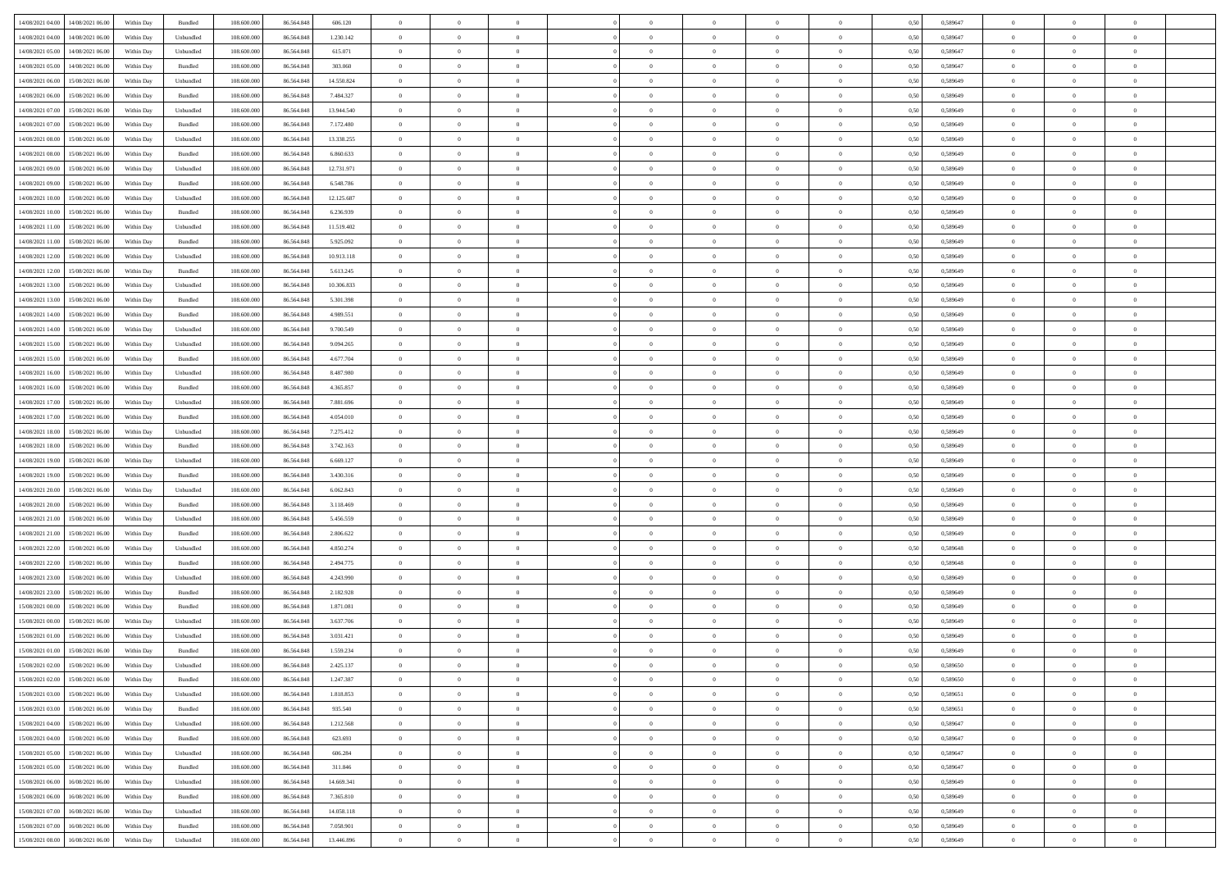| 14/08/2021 04:00 14/08/2021 06:00              | Within Day | Bundled                     | 108.600.000 | 86.564.848 | 606.120    | $\overline{0}$ | $\overline{0}$ |                | $\overline{0}$ | $\theta$       |                | $\theta$       | 0,50 | 0,589647 | $\theta$       | $\theta$       | $\overline{0}$ |  |
|------------------------------------------------|------------|-----------------------------|-------------|------------|------------|----------------|----------------|----------------|----------------|----------------|----------------|----------------|------|----------|----------------|----------------|----------------|--|
| 14/08/2021 04:00<br>14/08/2021 06:00           | Within Day | Unbundled                   | 108.600.00  | 86.564.848 | 1.230.142  | $\bf{0}$       | $\bf{0}$       | $\bf{0}$       | $\bf{0}$       | $\overline{0}$ | $\overline{0}$ | $\bf{0}$       | 0,50 | 0,589647 | $\,$ 0 $\,$    | $\bf{0}$       | $\overline{0}$ |  |
| 14/08/2021 05:00<br>14/08/2021 06:00           | Within Day | Unbundled                   | 108,600,000 | 86,564,848 | 615.071    | $\overline{0}$ | $\bf{0}$       | $\overline{0}$ | $\bf{0}$       | $\bf{0}$       | $\overline{0}$ | $\bf{0}$       | 0.50 | 0.589647 | $\bf{0}$       | $\overline{0}$ | $\overline{0}$ |  |
| 14/08/2021 05:00<br>14/08/2021 06:00           |            |                             | 108.600.000 |            |            | $\overline{0}$ | $\overline{0}$ | $\overline{0}$ | $\theta$       | $\theta$       | $\overline{0}$ |                |      |          | $\,$ 0 $\,$    | $\theta$       | $\overline{0}$ |  |
|                                                | Within Day | Bundled                     |             | 86.564.848 | 303.060    |                |                |                |                |                |                | $\bf{0}$       | 0,50 | 0,589647 |                |                |                |  |
| 14/08/2021 06:00<br>15/08/2021 06:00           | Within Day | Unbundled                   | 108.600.00  | 86.564.848 | 14.550.824 | $\bf{0}$       | $\overline{0}$ | $\bf{0}$       | $\overline{0}$ | $\theta$       | $\overline{0}$ | $\bf{0}$       | 0,50 | 0,589649 | $\,$ 0 $\,$    | $\bf{0}$       | $\overline{0}$ |  |
| 14/08/2021 06:00<br>15/08/2021 06:00           | Within Day | Bundled                     | 108,600,000 | 86,564,848 | 7.484.327  | $\overline{0}$ | $\overline{0}$ | $\overline{0}$ | $\bf{0}$       | $\overline{0}$ | $\theta$       | $\bf{0}$       | 0.50 | 0.589649 | $\,$ 0 $\,$    | $\theta$       | $\overline{0}$ |  |
| 14/08/2021 07:00<br>15/08/2021 06:00           | Within Day | Unbundled                   | 108.600.000 | 86.564.848 | 13.944.540 | $\overline{0}$ | $\overline{0}$ | $\overline{0}$ | $\overline{0}$ | $\overline{0}$ | $\overline{0}$ | $\bf{0}$       | 0,50 | 0,589649 | $\,$ 0 $\,$    | $\theta$       | $\overline{0}$ |  |
|                                                |            |                             |             |            |            |                |                |                |                |                |                |                |      |          |                |                |                |  |
| 14/08/2021 07:00<br>15/08/2021 06:00           | Within Day | Bundled                     | 108.600.00  | 86.564.848 | 7.172.480  | $\bf{0}$       | $\bf{0}$       | $\bf{0}$       | $\overline{0}$ | $\overline{0}$ | $\overline{0}$ | $\bf{0}$       | 0,50 | 0,589649 | $\,$ 0 $\,$    | $\bf{0}$       | $\overline{0}$ |  |
| 14/08/2021 08:00<br>15/08/2021 06:00           | Within Day | Unbundled                   | 108,600,000 | 86.564.848 | 13.338.255 | $\overline{0}$ | $\bf{0}$       | $\overline{0}$ | $\bf{0}$       | $\overline{0}$ | $\overline{0}$ | $\bf{0}$       | 0.50 | 0.589649 | $\bf{0}$       | $\overline{0}$ | $\overline{0}$ |  |
| 14/08/2021 08:00<br>15/08/2021 06:00           | Within Day | Bundled                     | 108.600.000 | 86.564.848 | 6.860.633  | $\bf{0}$       | $\bf{0}$       | $\overline{0}$ | $\overline{0}$ | $\overline{0}$ | $\overline{0}$ | $\bf{0}$       | 0,50 | 0,589649 | $\,$ 0 $\,$    | $\bf{0}$       | $\overline{0}$ |  |
| 14/08/2021 09:00<br>15/08/2021 06:00           | Within Day | Unbundled                   | 108.600.00  | 86.564.848 | 12.731.971 | $\bf{0}$       | $\overline{0}$ | $\bf{0}$       | $\bf{0}$       | $\bf{0}$       | $\overline{0}$ | $\bf{0}$       | 0,50 | 0,589649 | $\,$ 0 $\,$    | $\bf{0}$       | $\overline{0}$ |  |
|                                                |            |                             |             |            |            |                |                |                |                |                |                |                |      |          |                |                |                |  |
| 14/08/2021 09:00<br>15/08/2021 06:00           | Within Day | Bundled                     | 108,600,000 | 86,564,848 | 6.548.786  | $\overline{0}$ | $\bf{0}$       | $\overline{0}$ | $\overline{0}$ | $\bf{0}$       | $\overline{0}$ | $\bf{0}$       | 0.50 | 0.589649 | $\bf{0}$       | $\overline{0}$ | $\,$ 0         |  |
| 14/08/2021 10:00<br>15/08/2021 06:00           | Within Day | Unbundled                   | 108.600.000 | 86.564.848 | 12.125.687 | $\overline{0}$ | $\overline{0}$ | $\overline{0}$ | $\theta$       | $\theta$       | $\overline{0}$ | $\bf{0}$       | 0,50 | 0,589649 | $\,$ 0 $\,$    | $\theta$       | $\overline{0}$ |  |
| 14/08/2021 10:00<br>15/08/2021 06:00           | Within Day | Bundled                     | 108.600.00  | 86.564.848 | 6.236.939  | $\bf{0}$       | $\overline{0}$ | $\bf{0}$       | $\overline{0}$ | $\bf{0}$       | $\overline{0}$ | $\bf{0}$       | 0,50 | 0,589649 | $\,$ 0 $\,$    | $\bf{0}$       | $\overline{0}$ |  |
|                                                |            |                             |             |            |            |                |                |                |                |                | $\theta$       |                |      |          |                |                |                |  |
| 14/08/2021 11:00<br>15/08/2021 06:00           | Within Day | Unbundled                   | 108,600,000 | 86,564,848 | 11.519.402 | $\overline{0}$ | $\overline{0}$ | $\overline{0}$ | $\bf{0}$       | $\overline{0}$ |                | $\bf{0}$       | 0.50 | 0.589649 | $\,$ 0 $\,$    | $\theta$       | $\overline{0}$ |  |
| 14/08/2021 11:00<br>15/08/2021 06:00           | Within Day | Bundled                     | 108.600.000 | 86.564.848 | 5.925.092  | $\overline{0}$ | $\overline{0}$ | $\overline{0}$ | $\overline{0}$ | $\overline{0}$ | $\overline{0}$ | $\bf{0}$       | 0,50 | 0,589649 | $\theta$       | $\theta$       | $\overline{0}$ |  |
| 14/08/2021 12:00<br>15/08/2021 06:00           | Within Day | Unbundled                   | 108.600.00  | 86.564.848 | 10.913.118 | $\bf{0}$       | $\bf{0}$       | $\bf{0}$       | $\overline{0}$ | $\bf{0}$       | $\overline{0}$ | $\bf{0}$       | 0,50 | 0,589649 | $\,$ 0 $\,$    | $\bf{0}$       | $\overline{0}$ |  |
| 14/08/2021 12:00<br>15/08/2021 06:00           | Within Day | Bundled                     | 108,600,000 | 86.564.848 | 5.613.245  | $\overline{0}$ | $\bf{0}$       | $\overline{0}$ | $\bf{0}$       | $\overline{0}$ | $\overline{0}$ | $\bf{0}$       | 0.50 | 0.589649 | $\bf{0}$       | $\overline{0}$ | $\overline{0}$ |  |
| 14/08/2021 13:00<br>15/08/2021 06:00           | Within Day | Unbundled                   | 108.600.000 | 86.564.848 | 10.306.833 | $\bf{0}$       | $\bf{0}$       | $\overline{0}$ | $\overline{0}$ | $\overline{0}$ | $\overline{0}$ | $\bf{0}$       | 0,50 | 0,589649 | $\,$ 0 $\,$    | $\bf{0}$       | $\overline{0}$ |  |
|                                                |            |                             |             |            |            |                |                |                |                |                |                |                |      |          |                |                |                |  |
| 14/08/2021 13:00<br>15/08/2021 06:00           | Within Day | Bundled                     | 108.600.00  | 86.564.848 | 5.301.398  | $\bf{0}$       | $\bf{0}$       | $\bf{0}$       | $\bf{0}$       | $\overline{0}$ | $\overline{0}$ | $\bf{0}$       | 0,50 | 0,589649 | $\,$ 0 $\,$    | $\bf{0}$       | $\overline{0}$ |  |
| 14/08/2021 14:00<br>15/08/2021 06:00           | Within Day | Bundled                     | 108,600,000 | 86,564,848 | 4.989.551  | $\overline{0}$ | $\bf{0}$       | $\overline{0}$ | $\overline{0}$ | $\bf{0}$       | $\overline{0}$ | $\bf{0}$       | 0.50 | 0.589649 | $\bf{0}$       | $\overline{0}$ | $\,$ 0         |  |
| 14/08/2021 14:00<br>15/08/2021 06:00           | Within Day | Unbundled                   | 108.600.000 | 86.564.848 | 9.700.549  | $\overline{0}$ | $\overline{0}$ | $\overline{0}$ | $\theta$       | $\theta$       | $\overline{0}$ | $\bf{0}$       | 0,50 | 0,589649 | $\theta$       | $\theta$       | $\overline{0}$ |  |
|                                                |            |                             |             |            |            |                | $\bf{0}$       |                |                | $\overline{0}$ | $\overline{0}$ |                |      |          | $\,$ 0 $\,$    | $\bf{0}$       | $\overline{0}$ |  |
| 14/08/2021 15:00<br>15/08/2021 06:00           | Within Day | Unbundled                   | 108.600.00  | 86.564.848 | 9.094.265  | $\bf{0}$       |                | $\bf{0}$       | $\bf{0}$       |                |                | $\bf{0}$       | 0,50 | 0,589649 |                |                |                |  |
| 14/08/2021 15:00<br>15/08/2021 06:00           | Within Day | Bundled                     | 108,600,000 | 86.564.848 | 4.677.704  | $\overline{0}$ | $\overline{0}$ | $\overline{0}$ | $\bf{0}$       | $\overline{0}$ | $\theta$       | $\bf{0}$       | 0.50 | 0.589649 | $\,$ 0 $\,$    | $\theta$       | $\overline{0}$ |  |
| 14/08/2021 16:00<br>15/08/2021 06:00           | Within Day | Unbundled                   | 108.600.000 | 86.564.848 | 8.487.980  | $\overline{0}$ | $\overline{0}$ | $\overline{0}$ | $\overline{0}$ | $\overline{0}$ | $\overline{0}$ | $\bf{0}$       | 0,50 | 0,589649 | $\,$ 0 $\,$    | $\theta$       | $\overline{0}$ |  |
| 14/08/2021 16:00<br>15/08/2021 06:00           | Within Day | Bundled                     | 108.600.00  | 86.564.848 | 4.365.857  | $\bf{0}$       | $\overline{0}$ | $\bf{0}$       | $\overline{0}$ | $\bf{0}$       | $\overline{0}$ | $\bf{0}$       | 0,50 | 0,589649 | $\,$ 0 $\,$    | $\bf{0}$       | $\overline{0}$ |  |
| 14/08/2021 17:00<br>15/08/2021 06:00           | Within Day | Unbundled                   | 108,600,000 | 86,564,848 | 7.881.696  | $\overline{0}$ | $\bf{0}$       | $\overline{0}$ | $\bf{0}$       | $\overline{0}$ | $\overline{0}$ | $\bf{0}$       | 0.50 | 0.589649 | $\bf{0}$       | $\overline{0}$ | $\overline{0}$ |  |
|                                                |            |                             |             |            |            |                |                |                |                |                |                |                |      |          |                |                |                |  |
| 14/08/2021 17:00<br>15/08/2021 06:00           | Within Day | Bundled                     | 108.600.000 | 86.564.848 | 4.054.010  | $\overline{0}$ | $\bf{0}$       | $\overline{0}$ | $\overline{0}$ | $\overline{0}$ | $\overline{0}$ | $\bf{0}$       | 0,50 | 0,589649 | $\theta$       | $\theta$       | $\overline{0}$ |  |
| 14/08/2021 18:00<br>15/08/2021 06:00           | Within Day | Unbundled                   | 108.600.00  | 86.564.848 | 7.275.412  | $\bf{0}$       | $\bf{0}$       | $\bf{0}$       | $\bf{0}$       | $\overline{0}$ | $\overline{0}$ | $\bf{0}$       | 0,50 | 0,589649 | $\,$ 0 $\,$    | $\bf{0}$       | $\overline{0}$ |  |
| 14/08/2021 18:00<br>15/08/2021 06:00           | Within Day | Bundled                     | 108,600,000 | 86,564,848 | 3.742.163  | $\overline{0}$ | $\bf{0}$       | $\overline{0}$ | $\overline{0}$ | $\bf{0}$       | $\overline{0}$ | $\bf{0}$       | 0.50 | 0.589649 | $\bf{0}$       | $\overline{0}$ | $\bf{0}$       |  |
| 14/08/2021 19:00<br>15/08/2021 06:00           | Within Day | Unbundled                   | 108.600.000 | 86,564,848 | 6.669.127  | $\overline{0}$ | $\overline{0}$ | $\overline{0}$ | $\overline{0}$ | $\overline{0}$ | $\overline{0}$ | $\bf{0}$       | 0.50 | 0.589649 | $\theta$       | $\theta$       | $\overline{0}$ |  |
|                                                |            |                             |             |            |            |                |                |                |                |                |                |                |      |          |                |                |                |  |
| 14/08/2021 19:00<br>15/08/2021 06:00           | Within Day | Bundled                     | 108.600.00  | 86.564.848 | 3.430.316  | $\bf{0}$       | $\bf{0}$       | $\bf{0}$       | $\bf{0}$       | $\overline{0}$ | $\overline{0}$ | $\bf{0}$       | 0,50 | 0,589649 | $\,$ 0 $\,$    | $\bf{0}$       | $\overline{0}$ |  |
| 14/08/2021 20:00<br>15/08/2021 06:00           | Within Day | Unbundled                   | 108,600,000 | 86,564,848 | 6.062.843  | $\overline{0}$ | $\bf{0}$       | $\overline{0}$ | $\bf{0}$       | $\overline{0}$ | $\overline{0}$ | $\bf{0}$       | 0.50 | 0.589649 | $\,$ 0 $\,$    | $\bf{0}$       | $\overline{0}$ |  |
| 14/08/2021 20:00<br>15/08/2021 06:00           | Within Dav | Bundled                     | 108.600.000 | 86.564.848 | 3.118.469  | $\overline{0}$ | $\overline{0}$ | $\overline{0}$ | $\overline{0}$ | $\overline{0}$ | $\overline{0}$ | $\bf{0}$       | 0.50 | 0.589649 | $\theta$       | $\theta$       | $\overline{0}$ |  |
| 14/08/2021 21:00<br>15/08/2021 06:00           | Within Day | Unbundled                   | 108.600.00  | 86.564.848 | 5.456.559  | $\bf{0}$       | $\bf{0}$       | $\bf{0}$       | $\bf{0}$       | $\bf{0}$       | $\overline{0}$ | $\bf{0}$       | 0,50 | 0,589649 | $\,$ 0 $\,$    | $\bf{0}$       | $\overline{0}$ |  |
| 14/08/2021 21:00<br>15/08/2021 06:00           |            | Bundled                     | 108,600,000 | 86.564.848 | 2.806.622  |                | $\bf{0}$       | $\overline{0}$ |                | $\overline{0}$ | $\overline{0}$ |                | 0.50 | 0.589649 | $\bf{0}$       | $\overline{0}$ | $\overline{0}$ |  |
|                                                | Within Day |                             |             |            |            | $\overline{0}$ |                |                | $\bf{0}$       |                |                | $\bf{0}$       |      |          |                |                |                |  |
| 14/08/2021 22:00<br>15/08/2021 06:00           | Within Dav | Unbundled                   | 108.600.000 | 86.564.848 | 4.850.274  | $\overline{0}$ | $\overline{0}$ | $\overline{0}$ | $\overline{0}$ | $\overline{0}$ | $\overline{0}$ | $\bf{0}$       | 0.50 | 0.589648 | $\theta$       | $\theta$       | $\overline{0}$ |  |
| 14/08/2021 22:00<br>15/08/2021 06:00           | Within Day | Bundled                     | 108.600.00  | 86.564.848 | 2.494.775  | $\bf{0}$       | $\bf{0}$       | $\bf{0}$       | $\bf{0}$       | $\overline{0}$ | $\overline{0}$ | $\bf{0}$       | 0,50 | 0,589648 | $\,$ 0 $\,$    | $\bf{0}$       | $\overline{0}$ |  |
| 14/08/2021 23:00<br>15/08/2021 06:00           | Within Day | Unbundled                   | 108,600,000 | 86,564,848 | 4.243.990  | $\overline{0}$ | $\bf{0}$       | $\overline{0}$ | $\overline{0}$ | $\bf{0}$       | $\overline{0}$ | $\bf{0}$       | 0.50 | 0.589649 | $\bf{0}$       | $\overline{0}$ | $\overline{0}$ |  |
| 14/08/2021 23:00<br>15/08/2021 06:00           | Within Dav | Bundled                     | 108.600.000 | 86.564.848 | 2.182.928  | $\overline{0}$ | $\overline{0}$ | $\overline{0}$ | $\overline{0}$ | $\overline{0}$ | $\overline{0}$ | $\bf{0}$       | 0.50 | 0.589649 | $\theta$       | $\theta$       | $\overline{0}$ |  |
|                                                |            |                             |             |            |            |                |                |                |                |                |                |                |      |          |                |                |                |  |
| 15/08/2021 00:00<br>15/08/2021 06:00           | Within Day | Bundled                     | 108.600.00  | 86.564.848 | 1.871.081  | $\bf{0}$       | $\bf{0}$       | $\bf{0}$       | $\bf{0}$       | $\overline{0}$ | $\overline{0}$ | $\bf{0}$       | 0,50 | 0,589649 | $\,$ 0 $\,$    | $\bf{0}$       | $\overline{0}$ |  |
| 15/08/2021 00:00<br>15/08/2021 06:00           | Within Day | Unbundled                   | 108,600,000 | 86.564.848 | 3.637.706  | $\overline{0}$ | $\overline{0}$ | $\overline{0}$ | $\bf{0}$       | $\overline{0}$ | $\Omega$       | $\bf{0}$       | 0.50 | 0.589649 | $\bf{0}$       | $\theta$       | $\overline{0}$ |  |
| 15/08/2021 01:00<br>15/08/2021 06:00           | Within Dav | Unbundled                   | 108.600.000 | 86,564,848 | 3.031.421  | $\overline{0}$ | $\overline{0}$ | $\overline{0}$ | $\theta$       | $\theta$       | $\overline{0}$ | $\overline{0}$ | 0.5( | 0.589649 | $\theta$       | $\theta$       | $\overline{0}$ |  |
| 15/08/2021 01:00<br>15/08/2021 06:00           | Within Day | Bundled                     | 108.600.00  | 86.564.848 | 1.559.234  | $\bf{0}$       | $\bf{0}$       | $\bf{0}$       | $\bf{0}$       | $\bf{0}$       | $\overline{0}$ | $\bf{0}$       | 0,50 | 0,589649 | $\,$ 0 $\,$    | $\overline{0}$ | $\overline{0}$ |  |
|                                                |            |                             |             |            |            |                |                |                |                |                |                |                |      |          |                |                |                |  |
| $15/08/2021\; 02.00 \qquad 15/08/2021\; 06.00$ | Within Day | $\ensuremath{\mathsf{Unb}}$ | 108.600.000 | 86.564.848 | 2.425.137  | $\bf{0}$       | $\theta$       |                | $\overline{0}$ |                |                |                | 0,50 | 0.589650 | $\bf{0}$       | $\overline{0}$ |                |  |
| 15/08/2021 02:00 15/08/2021 06:00              | Within Day | Bundled                     | 108.600.000 | 86.564.848 | 1.247.387  | $\overline{0}$ | $\overline{0}$ | $\Omega$       | $\theta$       | $\overline{0}$ | $\overline{0}$ | $\bf{0}$       | 0,50 | 0,589650 | $\theta$       | $\overline{0}$ | $\overline{0}$ |  |
| 15/08/2021 03:00<br>15/08/2021 06:00           | Within Day | Unbundled                   | 108.600.00  | 86.564.848 | 1.818.853  | $\overline{0}$ | $\bf{0}$       | $\overline{0}$ | $\overline{0}$ | $\bf{0}$       | $\overline{0}$ | $\bf{0}$       | 0,50 | 0,589651 | $\bf{0}$       | $\overline{0}$ | $\bf{0}$       |  |
| 15/08/2021 03:00 15/08/2021 06:00              | Within Day | Bundled                     | 108,600,000 | 86,564,848 | 935.540    | $\overline{0}$ | $\overline{0}$ | $\overline{0}$ | $\overline{0}$ | $\mathbf{0}$   | $\overline{0}$ | $\,$ 0 $\,$    | 0.50 | 0.589651 | $\overline{0}$ | $\bf{0}$       | $\,$ 0 $\,$    |  |
|                                                |            |                             |             |            |            |                |                |                |                |                |                |                |      |          |                |                |                |  |
| 15/08/2021 04:00 15/08/2021 06:00              | Within Dav | Unbundled                   | 108.600.000 | 86.564.848 | 1.212.568  | $\overline{0}$ | $\overline{0}$ | $\overline{0}$ | $\overline{0}$ | $\overline{0}$ | $\overline{0}$ | $\bf{0}$       | 0,50 | 0,589647 | $\overline{0}$ | $\theta$       | $\overline{0}$ |  |
| 15/08/2021 04:00<br>15/08/2021 06:00           | Within Day | Bundled                     | 108.600.000 | 86.564.848 | 623.693    | $\overline{0}$ | $\bf{0}$       | $\overline{0}$ | $\overline{0}$ | $\bf{0}$       | $\overline{0}$ | $\bf{0}$       | 0,50 | 0,589647 | $\bf{0}$       | $\overline{0}$ | $\overline{0}$ |  |
| 15/08/2021 05:00<br>15/08/2021 06:00           | Within Day | Unbundled                   | 108,600,000 | 86,564,848 | 606.284    | $\overline{0}$ | $\bf{0}$       | $\overline{0}$ | $\overline{0}$ | $\bf{0}$       | $\overline{0}$ | $\bf{0}$       | 0.50 | 0.589647 | $\,$ 0 $\,$    | $\overline{0}$ | $\,$ 0         |  |
| 15/08/2021 05:00<br>15/08/2021 06:00           | Within Dav | Bundled                     | 108.600.000 | 86.564.848 | 311.846    | $\overline{0}$ | $\overline{0}$ | $\overline{0}$ | $\overline{0}$ | $\overline{0}$ | $\overline{0}$ | $\bf{0}$       | 0.50 | 0,589647 | $\overline{0}$ | $\theta$       | $\overline{0}$ |  |
|                                                |            |                             |             |            |            |                |                |                |                |                |                |                |      |          |                |                |                |  |
| 15/08/2021 06:00<br>16/08/2021 06:00           | Within Day | Unbundled                   | 108.600.00  | 86.564.848 | 14.669.341 | $\overline{0}$ | $\overline{0}$ | $\overline{0}$ | $\overline{0}$ | $\overline{0}$ | $\overline{0}$ | $\bf{0}$       | 0,50 | 0,589649 | $\bf{0}$       | $\overline{0}$ | $\,$ 0         |  |
| 15/08/2021 06:00<br>16/08/2021 06:00           | Within Day | Bundled                     | 108,600,000 | 86,564,848 | 7.365.810  | $\overline{0}$ | $\overline{0}$ | $\overline{0}$ | $\overline{0}$ | $\overline{0}$ | $\overline{0}$ | $\bf{0}$       | 0.50 | 0.589649 | $\mathbf{0}$   | $\bf{0}$       | $\,$ 0         |  |
| 15/08/2021 07:00 16/08/2021 06:00              | Within Dav | Unbundled                   | 108.600.000 | 86.564.848 | 14.058.118 | $\overline{0}$ | $\overline{0}$ | $\overline{0}$ | $\overline{0}$ | $\overline{0}$ | $\overline{0}$ | $\bf{0}$       | 0,50 | 0.589649 | $\overline{0}$ | $\theta$       | $\overline{0}$ |  |
| 15/08/2021 07:00<br>16/08/2021 06:00           | Within Day | Bundled                     | 108.600.00  | 86.564.848 | 7.058.901  | $\overline{0}$ | $\bf{0}$       | $\overline{0}$ | $\overline{0}$ | $\overline{0}$ | $\overline{0}$ | $\bf{0}$       | 0,50 | 0,589649 | $\bf{0}$       | $\,0\,$        | $\bf{0}$       |  |
|                                                |            |                             |             |            |            |                |                |                |                |                |                |                |      |          |                |                |                |  |
| 15/08/2021 08:00 16/08/2021 06:00              | Within Day | Unbundled                   | 108.600.000 | 86.564.848 | 13.446.896 | $\overline{0}$ | $\bf{0}$       | $\overline{0}$ | $\overline{0}$ | $\,$ 0 $\,$    | $\overline{0}$ | $\,$ 0 $\,$    | 0,50 | 0,589649 | $\overline{0}$ | $\,$ 0 $\,$    | $\,$ 0 $\,$    |  |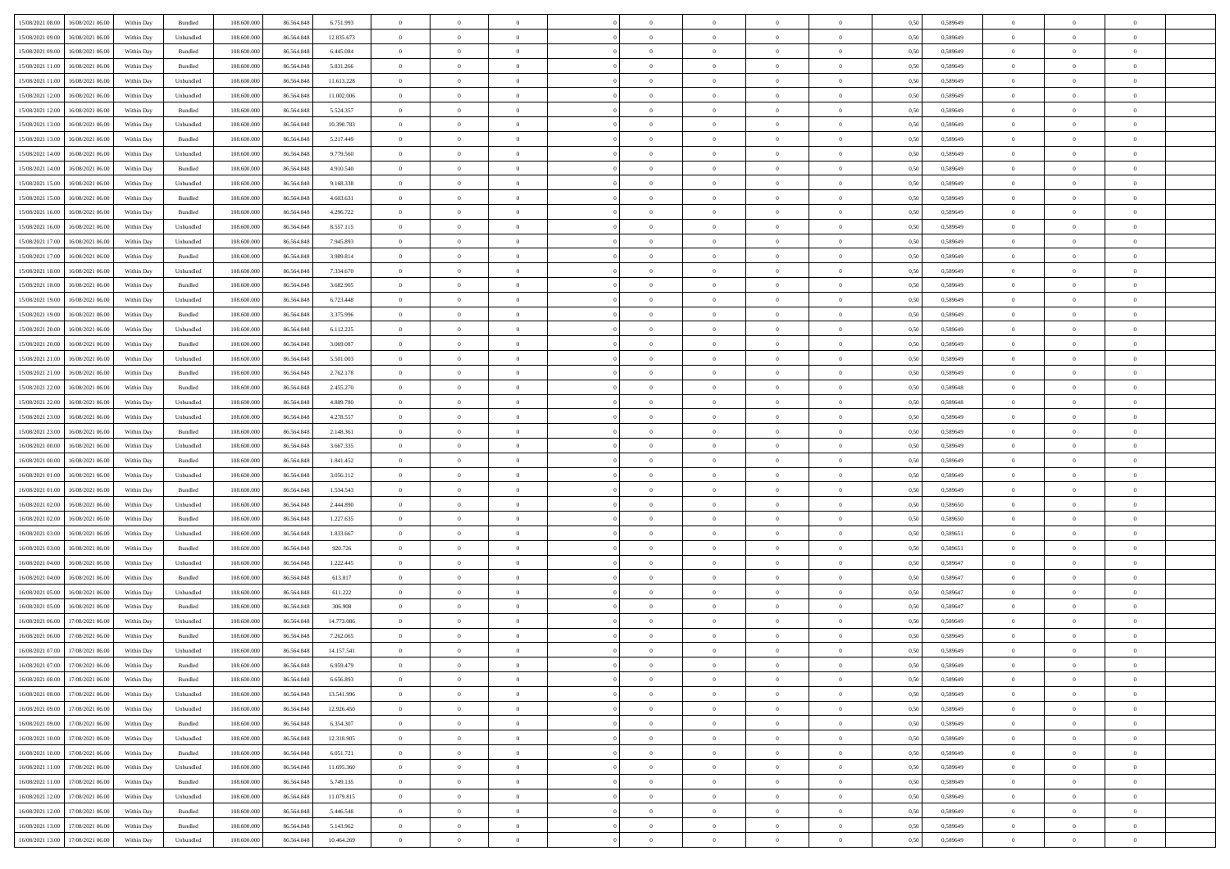| 15/08/2021 08:00 16/08/2021 06:00            | Within Day | Bundled           | 108.600.000 | 86.564.848 | 6.751.993  | $\overline{0}$ | $\overline{0}$ |                | $\overline{0}$ | $\theta$       |                | $\theta$       | 0,50 | 0,589649 | $\theta$       | $\theta$       | $\overline{0}$ |  |
|----------------------------------------------|------------|-------------------|-------------|------------|------------|----------------|----------------|----------------|----------------|----------------|----------------|----------------|------|----------|----------------|----------------|----------------|--|
| 15/08/2021 09:00<br>16/08/2021 06:00         | Within Day | Unbundled         | 108.600.00  | 86.564.848 | 12.835.673 | $\bf{0}$       | $\bf{0}$       | $\bf{0}$       | $\bf{0}$       | $\overline{0}$ | $\overline{0}$ | $\bf{0}$       | 0,50 | 0,589649 | $\,$ 0 $\,$    | $\bf{0}$       | $\overline{0}$ |  |
| 15/08/2021 09:00<br>16/08/2021 06:00         | Within Day | Bundled           | 108,600,000 | 86,564,848 | 6.445.084  | $\overline{0}$ | $\bf{0}$       | $\overline{0}$ | $\bf{0}$       | $\bf{0}$       | $\overline{0}$ | $\bf{0}$       | 0.50 | 0.589649 | $\bf{0}$       | $\overline{0}$ | $\overline{0}$ |  |
| 15/08/2021 11:00<br>16/08/2021 06:00         |            |                   | 108.600.000 |            |            | $\overline{0}$ | $\overline{0}$ | $\overline{0}$ | $\theta$       | $\theta$       | $\overline{0}$ |                |      |          | $\theta$       | $\theta$       | $\overline{0}$ |  |
|                                              | Within Day | Bundled           |             | 86.564.848 | 5.831.266  |                |                |                |                |                |                | $\bf{0}$       | 0,50 | 0,589649 |                |                |                |  |
| 15/08/2021 11:00<br>16/08/2021 06:00         | Within Day | Unbundled         | 108.600.00  | 86.564.848 | 11.613.228 | $\bf{0}$       | $\overline{0}$ | $\bf{0}$       | $\overline{0}$ | $\theta$       | $\overline{0}$ | $\bf{0}$       | 0,50 | 0,589649 | $\,$ 0 $\,$    | $\bf{0}$       | $\overline{0}$ |  |
| 15/08/2021 12:00<br>16/08/2021 06:00         | Within Day | Unbundled         | 108,600,000 | 86.564.848 | 11.002.006 | $\overline{0}$ | $\overline{0}$ | $\overline{0}$ | $\bf{0}$       | $\overline{0}$ | $\theta$       | $\bf{0}$       | 0.50 | 0.589649 | $\,$ 0 $\,$    | $\theta$       | $\overline{0}$ |  |
| 15/08/2021 12:00<br>16/08/2021 06:00         | Within Day | Bundled           | 108.600.000 | 86.564.848 | 5.524.357  | $\overline{0}$ | $\overline{0}$ | $\overline{0}$ | $\overline{0}$ | $\overline{0}$ | $\overline{0}$ | $\bf{0}$       | 0,50 | 0,589649 | $\theta$       | $\theta$       | $\overline{0}$ |  |
|                                              |            |                   |             |            |            |                |                |                |                |                |                |                |      |          |                |                |                |  |
| 15/08/2021 13:00<br>16/08/2021 06:00         | Within Day | Unbundled         | 108.600.00  | 86.564.848 | 10.390.783 | $\bf{0}$       | $\bf{0}$       | $\bf{0}$       | $\overline{0}$ | $\overline{0}$ | $\overline{0}$ | $\bf{0}$       | 0,50 | 0,589649 | $\,$ 0 $\,$    | $\bf{0}$       | $\overline{0}$ |  |
| 15/08/2021 13:00<br>16/08/2021 06:00         | Within Day | Bundled           | 108,600,000 | 86.564.848 | 5.217.449  | $\overline{0}$ | $\bf{0}$       | $\overline{0}$ | $\bf{0}$       | $\overline{0}$ | $\overline{0}$ | $\bf{0}$       | 0.50 | 0.589649 | $\bf{0}$       | $\overline{0}$ | $\overline{0}$ |  |
| 15/08/2021 14:00<br>16/08/2021 06:00         | Within Day | Unbundled         | 108.600.000 | 86.564.848 | 9.779.560  | $\bf{0}$       | $\bf{0}$       | $\overline{0}$ | $\overline{0}$ | $\overline{0}$ | $\overline{0}$ | $\bf{0}$       | 0,50 | 0,589649 | $\,$ 0 $\,$    | $\bf{0}$       | $\overline{0}$ |  |
| 15/08/2021 14:00<br>16/08/2021 06:00         | Within Day | Bundled           | 108.600.00  | 86.564.848 | 4.910.540  | $\bf{0}$       | $\overline{0}$ | $\bf{0}$       | $\bf{0}$       | $\bf{0}$       | $\overline{0}$ | $\bf{0}$       | 0,50 | 0,589649 | $\,$ 0 $\,$    | $\bf{0}$       | $\overline{0}$ |  |
|                                              |            |                   |             |            |            |                |                |                |                |                |                |                |      |          |                |                |                |  |
| 15/08/2021 15:00<br>16/08/2021 06:00         | Within Day | Unbundled         | 108,600,000 | 86,564,848 | 9.168.338  | $\overline{0}$ | $\bf{0}$       | $\overline{0}$ | $\overline{0}$ | $\bf{0}$       | $\overline{0}$ | $\bf{0}$       | 0.50 | 0.589649 | $\bf{0}$       | $\overline{0}$ | $\,$ 0         |  |
| 15/08/2021 15:00<br>16/08/2021 06:00         | Within Day | Bundled           | 108.600.000 | 86.564.848 | 4.603.631  | $\overline{0}$ | $\overline{0}$ | $\overline{0}$ | $\theta$       | $\theta$       | $\overline{0}$ | $\bf{0}$       | 0,50 | 0,589649 | $\,$ 0 $\,$    | $\theta$       | $\overline{0}$ |  |
| 15/08/2021 16:00<br>16/08/2021 06:00         | Within Day | Bundled           | 108.600.00  | 86.564.848 | 4.296.722  | $\bf{0}$       | $\overline{0}$ | $\bf{0}$       | $\overline{0}$ | $\theta$       | $\overline{0}$ | $\bf{0}$       | 0,50 | 0,589649 | $\,$ 0 $\,$    | $\bf{0}$       | $\overline{0}$ |  |
|                                              |            |                   |             |            |            |                |                |                |                |                | $\theta$       |                |      |          |                |                |                |  |
| 15/08/2021 16:00<br>16/08/2021 06:00         | Within Day | Unbundled         | 108,600,000 | 86,564,848 | 8.557.115  | $\overline{0}$ | $\overline{0}$ | $\overline{0}$ | $\bf{0}$       | $\overline{0}$ |                | $\bf{0}$       | 0.50 | 0.589649 | $\theta$       | $\theta$       | $\overline{0}$ |  |
| 15/08/2021 17:00<br>16/08/2021 06:00         | Within Day | Unbundled         | 108.600.000 | 86.564.848 | 7.945.893  | $\overline{0}$ | $\overline{0}$ | $\overline{0}$ | $\overline{0}$ | $\overline{0}$ | $\overline{0}$ | $\bf{0}$       | 0,50 | 0,589649 | $\theta$       | $\theta$       | $\overline{0}$ |  |
| 15/08/2021 17:00<br>16/08/2021 06:00         | Within Day | Bundled           | 108.600.00  | 86.564.848 | 3.989.814  | $\bf{0}$       | $\overline{0}$ | $\bf{0}$       | $\overline{0}$ | $\bf{0}$       | $\overline{0}$ | $\bf{0}$       | 0,50 | 0,589649 | $\,$ 0 $\,$    | $\bf{0}$       | $\overline{0}$ |  |
| 15/08/2021 18:00<br>16/08/2021 06:00         | Within Day | Unbundled         | 108,600,000 | 86.564.848 | 7.334.670  | $\overline{0}$ | $\bf{0}$       | $\overline{0}$ | $\bf{0}$       | $\overline{0}$ | $\overline{0}$ | $\bf{0}$       | 0.50 | 0.589649 | $\bf{0}$       | $\overline{0}$ | $\overline{0}$ |  |
| 15/08/2021 18:00<br>16/08/2021 06:00         |            |                   | 108.600.000 |            |            | $\overline{0}$ | $\bf{0}$       | $\overline{0}$ | $\overline{0}$ | $\overline{0}$ | $\overline{0}$ |                |      |          | $\,$ 0 $\,$    | $\bf{0}$       | $\overline{0}$ |  |
|                                              | Within Day | Bundled           |             | 86.564.848 | 3.682.905  |                |                |                |                |                |                | $\bf{0}$       | 0,50 | 0,589649 |                |                |                |  |
| 15/08/2021 19:00<br>16/08/2021 06:00         | Within Day | Unbundled         | 108.600.00  | 86.564.848 | 6.723.448  | $\bf{0}$       | $\bf{0}$       | $\bf{0}$       | $\bf{0}$       | $\overline{0}$ | $\overline{0}$ | $\bf{0}$       | 0,50 | 0,589649 | $\,$ 0 $\,$    | $\bf{0}$       | $\overline{0}$ |  |
| 15/08/2021 19:00<br>16/08/2021 06:00         | Within Day | Bundled           | 108,600,000 | 86,564,848 | 3.375.996  | $\overline{0}$ | $\bf{0}$       | $\overline{0}$ | $\overline{0}$ | $\bf{0}$       | $\overline{0}$ | $\bf{0}$       | 0.50 | 0.589649 | $\bf{0}$       | $\overline{0}$ | $\overline{0}$ |  |
| 15/08/2021 20:00<br>16/08/2021 06:00         | Within Day | Unbundled         | 108.600.000 | 86.564.848 | 6.112.225  | $\overline{0}$ | $\overline{0}$ | $\overline{0}$ | $\theta$       | $\theta$       | $\overline{0}$ | $\bf{0}$       | 0,50 | 0,589649 | $\theta$       | $\theta$       | $\overline{0}$ |  |
|                                              |            |                   |             |            |            |                | $\overline{0}$ |                |                | $\,$ 0 $\,$    | $\overline{0}$ |                |      |          | $\,$ 0 $\,$    | $\bf{0}$       | $\overline{0}$ |  |
| 15/08/2021 20:00<br>16/08/2021 06:00         | Within Day | Bundled           | 108.600.00  | 86.564.848 | 3.069.087  | $\bf{0}$       |                | $\bf{0}$       | $\bf{0}$       |                |                | $\bf{0}$       | 0,50 | 0,589649 |                |                |                |  |
| 15/08/2021 21:00<br>16/08/2021 06:00         | Within Day | Unbundled         | 108,600,000 | 86.564.848 | 5.501.003  | $\overline{0}$ | $\overline{0}$ | $\overline{0}$ | $\bf{0}$       | $\overline{0}$ | $\Omega$       | $\bf{0}$       | 0.50 | 0.589649 | $\,$ 0 $\,$    | $\theta$       | $\overline{0}$ |  |
| 15/08/2021 21:00<br>16/08/2021 06:00         | Within Day | Bundled           | 108.600.000 | 86.564.848 | 2.762.178  | $\overline{0}$ | $\overline{0}$ | $\overline{0}$ | $\overline{0}$ | $\overline{0}$ | $\overline{0}$ | $\bf{0}$       | 0,50 | 0,589649 | $\,$ 0 $\,$    | $\theta$       | $\overline{0}$ |  |
| 15/08/2021 22:00<br>16/08/2021 06:00         | Within Day | Bundled           | 108.600.00  | 86.564.848 | 2.455.270  | $\bf{0}$       | $\overline{0}$ | $\bf{0}$       | $\overline{0}$ | $\bf{0}$       | $\overline{0}$ | $\bf{0}$       | 0,50 | 0,589648 | $\,$ 0 $\,$    | $\bf{0}$       | $\overline{0}$ |  |
| 15/08/2021 22:00<br>16/08/2021 06:00         | Within Day | Unbundled         | 108,600,000 | 86.564.848 | 4.889.780  | $\overline{0}$ | $\bf{0}$       | $\overline{0}$ | $\bf{0}$       | $\overline{0}$ | $\overline{0}$ | $\bf{0}$       | 0.50 | 0.589648 | $\bf{0}$       | $\overline{0}$ | $\overline{0}$ |  |
|                                              |            |                   |             |            |            |                |                |                |                |                |                |                |      |          |                |                |                |  |
| 15/08/2021 23:00<br>16/08/2021 06:00         | Within Day | Unbundled         | 108.600.000 | 86.564.848 | 4.278.557  | $\overline{0}$ | $\bf{0}$       | $\overline{0}$ | $\overline{0}$ | $\overline{0}$ | $\overline{0}$ | $\bf{0}$       | 0,50 | 0,589649 | $\theta$       | $\theta$       | $\overline{0}$ |  |
| 15/08/2021 23:00<br>16/08/2021 06:00         | Within Day | Bundled           | 108.600.00  | 86.564.848 | 2.148.361  | $\bf{0}$       | $\bf{0}$       | $\bf{0}$       | $\bf{0}$       | $\overline{0}$ | $\overline{0}$ | $\bf{0}$       | 0,50 | 0,589649 | $\,$ 0 $\,$    | $\bf{0}$       | $\overline{0}$ |  |
| 16/08/2021 00:00<br>16/08/2021 06:00         | Within Day | Unbundled         | 108,600,000 | 86,564,848 | 3.667.335  | $\overline{0}$ | $\bf{0}$       | $\overline{0}$ | $\bf{0}$       | $\bf{0}$       | $\overline{0}$ | $\bf{0}$       | 0.50 | 0.589649 | $\bf{0}$       | $\overline{0}$ | $\overline{0}$ |  |
| 16/08/2021 00:00<br>16/08/2021 06:00         | Within Day | Bundled           | 108.600.000 | 86.564.848 | 1.841.452  | $\overline{0}$ | $\overline{0}$ | $\overline{0}$ | $\overline{0}$ | $\overline{0}$ | $\overline{0}$ | $\bf{0}$       | 0.50 | 0.589649 | $\theta$       | $\theta$       | $\overline{0}$ |  |
|                                              |            |                   |             |            |            |                |                |                |                |                |                |                |      |          |                |                |                |  |
| 16/08/2021 01:00<br>16/08/2021 06:00         | Within Day | Unbundled         | 108.600.00  | 86.564.848 | 3.056.112  | $\bf{0}$       | $\overline{0}$ | $\bf{0}$       | $\bf{0}$       | $\,$ 0 $\,$    | $\overline{0}$ | $\bf{0}$       | 0,50 | 0,589649 | $\,$ 0 $\,$    | $\bf{0}$       | $\overline{0}$ |  |
| 16/08/2021 01:00<br>16/08/2021 06:00         | Within Day | Bundled           | 108,600,000 | 86,564,848 | 1.534.543  | $\overline{0}$ | $\bf{0}$       | $\overline{0}$ | $\bf{0}$       | $\overline{0}$ | $\Omega$       | $\bf{0}$       | 0.50 | 0.589649 | $\,$ 0 $\,$    | $\theta$       | $\overline{0}$ |  |
| 16/08/2021 02:00<br>16/08/2021 06:00         | Within Dav | Unbundled         | 108.600.000 | 86.564.848 | 2.444.890  | $\overline{0}$ | $\overline{0}$ | $\overline{0}$ | $\overline{0}$ | $\theta$       | $\overline{0}$ | $\bf{0}$       | 0.50 | 0.589650 | $\theta$       | $\theta$       | $\overline{0}$ |  |
| 16/08/2021 02:00<br>16/08/2021 06:00         | Within Day | Bundled           | 108.600.00  | 86.564.848 | 1.227.635  | $\bf{0}$       | $\bf{0}$       | $\bf{0}$       | $\bf{0}$       | $\bf{0}$       | $\overline{0}$ | $\bf{0}$       | 0,50 | 0,589650 | $\,$ 0 $\,$    | $\bf{0}$       | $\overline{0}$ |  |
| 16/08/2021 06:00                             |            | Unbundled         | 108,600,000 | 86.564.848 | 1.833.667  |                | $\bf{0}$       | $\overline{0}$ |                | $\overline{0}$ | $\overline{0}$ |                | 0.50 | 0.589651 | $\bf{0}$       | $\overline{0}$ | $\overline{0}$ |  |
| 16/08/2021 03:00                             | Within Day |                   |             |            |            | $\overline{0}$ |                |                | $\bf{0}$       |                |                | $\bf{0}$       |      |          |                |                |                |  |
| 16/08/2021 03:00<br>16/08/2021 06:00         | Within Dav | Bundled           | 108.600.000 | 86.564.848 | 920.726    | $\overline{0}$ | $\overline{0}$ | $\overline{0}$ | $\overline{0}$ | $\overline{0}$ | $\overline{0}$ | $\bf{0}$       | 0.50 | 0.589651 | $\theta$       | $\theta$       | $\overline{0}$ |  |
| 16/08/2021 04:00<br>16/08/2021 06:00         | Within Day | Unbundled         | 108.600.00  | 86.564.848 | 1.222.445  | $\bf{0}$       | $\bf{0}$       | $\bf{0}$       | $\bf{0}$       | $\overline{0}$ | $\overline{0}$ | $\bf{0}$       | 0,50 | 0,589647 | $\,$ 0 $\,$    | $\bf{0}$       | $\overline{0}$ |  |
| 16/08/2021 04:00<br>16/08/2021 06:00         | Within Day | Bundled           | 108,600,000 | 86,564,848 | 613.817    | $\overline{0}$ | $\bf{0}$       | $\overline{0}$ | $\overline{0}$ | $\bf{0}$       | $\overline{0}$ | $\bf{0}$       | 0.50 | 0.589647 | $\bf{0}$       | $\overline{0}$ | $\overline{0}$ |  |
| 16/08/2021 05:00<br>16/08/2021 06:00         | Within Dav | Unbundled         | 108.600.000 | 86.564.848 | 611.222    | $\overline{0}$ | $\overline{0}$ | $\overline{0}$ | $\overline{0}$ | $\overline{0}$ | $\overline{0}$ | $\bf{0}$       | 0.50 | 0.589647 | $\theta$       | $\theta$       | $\overline{0}$ |  |
|                                              |            |                   |             |            |            |                |                |                |                |                |                |                |      |          |                |                |                |  |
| 16/08/2021 05:00<br>16/08/2021 06:00         | Within Day | Bundled           | 108.600.00  | 86.564.848 | 306.908    | $\bf{0}$       | $\bf{0}$       | $\bf{0}$       | $\bf{0}$       | $\overline{0}$ | $\overline{0}$ | $\bf{0}$       | 0,50 | 0,589647 | $\,$ 0 $\,$    | $\bf{0}$       | $\overline{0}$ |  |
| 16/08/2021 06:00<br>17/08/2021 06:00         | Within Day | Unbundled         | 108,600,000 | 86.564.848 | 14.773.086 | $\overline{0}$ | $\overline{0}$ | $\overline{0}$ | $\overline{0}$ | $\theta$       | $\Omega$       | $\bf{0}$       | 0.50 | 0.589649 | $\,$ 0 $\,$    | $\theta$       | $\overline{0}$ |  |
| 16/08/2021 06:00<br>17/08/2021 06:00         | Within Dav | Bundled           | 108.600.000 | 86,564,848 | 7.262.065  | $\overline{0}$ | $\overline{0}$ | $\Omega$       | $\theta$       | $\theta$       | $\overline{0}$ | $\overline{0}$ | 0.50 | 0.589649 | $\theta$       | $\theta$       | $\overline{0}$ |  |
| 16/08/2021 07:00<br>17/08/2021 06:00         | Within Day | Unbundled         | 108.600.00  | 86.564.848 | 14.157.541 | $\bf{0}$       | $\bf{0}$       | $\bf{0}$       | $\bf{0}$       | $\bf{0}$       | $\overline{0}$ | $\bf{0}$       | 0,50 | 0,589649 | $\,$ 0 $\,$    | $\bf{0}$       | $\overline{0}$ |  |
|                                              |            |                   |             |            |            |                |                |                |                |                |                |                |      |          |                |                |                |  |
| $16/08/2021\;07.00 \qquad 17/08/2021\;06.00$ | Within Day | Bundled           | 108.600.000 | 86.564.848 | 6959479    | $\bf{0}$       | $\Omega$       |                | $\overline{0}$ |                |                |                | 0,50 | 0.589649 | $\theta$       | $\overline{0}$ |                |  |
| 16/08/2021 08:00 17/08/2021 06:00            | Within Day | Bundled           | 108.600.000 | 86.564.848 | 6.656.893  | $\overline{0}$ | $\overline{0}$ | $\Omega$       | $\theta$       | $\overline{0}$ | $\overline{0}$ | $\bf{0}$       | 0,50 | 0,589649 | $\theta$       | $\theta$       | $\overline{0}$ |  |
| 16/08/2021 08:00<br>17/08/2021 06:00         | Within Day | Unbundled         | 108.600.00  | 86.564.848 | 13.541.996 | $\overline{0}$ | $\bf{0}$       | $\overline{0}$ | $\overline{0}$ | $\bf{0}$       | $\overline{0}$ | $\bf{0}$       | 0,50 | 0,589649 | $\bf{0}$       | $\overline{0}$ | $\bf{0}$       |  |
| 16/08/2021 09:00 17/08/2021 06:00            | Within Day | Unbundled         | 108,600,000 | 86,564,848 | 12.926.450 | $\overline{0}$ | $\bf{0}$       | $\overline{0}$ | $\overline{0}$ | $\mathbf{0}$   | $\overline{0}$ | $\,$ 0 $\,$    | 0.50 | 0.589649 | $\overline{0}$ | $\bf{0}$       | $\,$ 0 $\,$    |  |
|                                              |            |                   |             |            |            |                |                |                |                |                |                |                |      |          |                |                |                |  |
| 16/08/2021 09:00 17/08/2021 06:00            | Within Dav | Bundled           | 108.600.000 | 86.564.848 | 6.354.307  | $\overline{0}$ | $\overline{0}$ | $\overline{0}$ | $\overline{0}$ | $\overline{0}$ | $\overline{0}$ | $\bf{0}$       | 0,50 | 0.589649 | $\theta$       | $\theta$       | $\overline{0}$ |  |
| 16/08/2021 10:00<br>17/08/2021 06:00         | Within Day | Unbundled         | 108.600.000 | 86.564.848 | 12.310.905 | $\overline{0}$ | $\bf{0}$       | $\overline{0}$ | $\overline{0}$ | $\bf{0}$       | $\overline{0}$ | $\bf{0}$       | 0,50 | 0,589649 | $\bf{0}$       | $\overline{0}$ | $\overline{0}$ |  |
| 17/08/2021 06:00<br>16/08/2021 10:00         | Within Day | Bundled           | 108,600,000 | 86,564,848 | 6.051.721  | $\overline{0}$ | $\bf{0}$       | $\overline{0}$ | $\overline{0}$ | $\overline{0}$ | $\overline{0}$ | $\bf{0}$       | 0.50 | 0.589649 | $\,$ 0 $\,$    | $\overline{0}$ | $\,$ 0         |  |
| 16/08/2021 11:00<br>17/08/2021 06:00         | Within Dav | Unbundled         | 108.600.000 | 86.564.848 | 11.695.360 | $\overline{0}$ | $\overline{0}$ | $\overline{0}$ | $\overline{0}$ | $\overline{0}$ | $\overline{0}$ | $\bf{0}$       | 0,50 | 0.589649 | $\overline{0}$ | $\theta$       | $\overline{0}$ |  |
|                                              |            |                   |             |            |            |                | $\overline{0}$ |                |                | $\overline{0}$ |                |                |      |          | $\bf{0}$       | $\overline{0}$ | $\,$ 0         |  |
| 16/08/2021 11:00<br>17/08/2021 06:00         | Within Day | Bundled           | 108.600.00  | 86.564.848 | 5.749.135  | $\overline{0}$ |                | $\overline{0}$ | $\overline{0}$ |                | $\overline{0}$ | $\bf{0}$       | 0,50 | 0,589649 |                |                |                |  |
| 16/08/2021 12:00<br>17/08/2021 06:00         | Within Day | Unbundled         | 108,600,000 | 86,564,848 | 11.079.815 | $\overline{0}$ | $\overline{0}$ | $\overline{0}$ | $\overline{0}$ | $\overline{0}$ | $\overline{0}$ | $\bf{0}$       | 0.50 | 0.589649 | $\mathbf{0}$   | $\bf{0}$       | $\,$ 0         |  |
| 16/08/2021 12:00<br>17/08/2021 06:00         | Within Dav | Bundled           | 108.600.000 | 86.564.848 | 5.446.548  | $\overline{0}$ | $\overline{0}$ | $\overline{0}$ | $\overline{0}$ | $\overline{0}$ | $\overline{0}$ | $\bf{0}$       | 0,50 | 0.589649 | $\overline{0}$ | $\theta$       | $\overline{0}$ |  |
| 16/08/2021 13:00<br>17/08/2021 06:00         | Within Day | Bundled           | 108.600.00  | 86.564.848 | 5.143.962  | $\overline{0}$ | $\bf{0}$       | $\overline{0}$ | $\bf{0}$       | $\overline{0}$ | $\overline{0}$ | $\bf{0}$       | 0,50 | 0,589649 | $\bf{0}$       | $\,0\,$        | $\bf{0}$       |  |
|                                              |            |                   |             |            |            |                |                |                |                |                |                |                |      |          |                |                |                |  |
| 16/08/2021 13:00 17/08/2021 06:00            | Within Day | ${\sf Unbundred}$ | 108.600.000 | 86.564.848 | 10.464.269 | $\overline{0}$ | $\bf{0}$       | $\overline{0}$ | $\overline{0}$ | $\,$ 0 $\,$    | $\overline{0}$ | $\,$ 0 $\,$    | 0,50 | 0,589649 | $\overline{0}$ | $\,$ 0 $\,$    | $\,$ 0 $\,$    |  |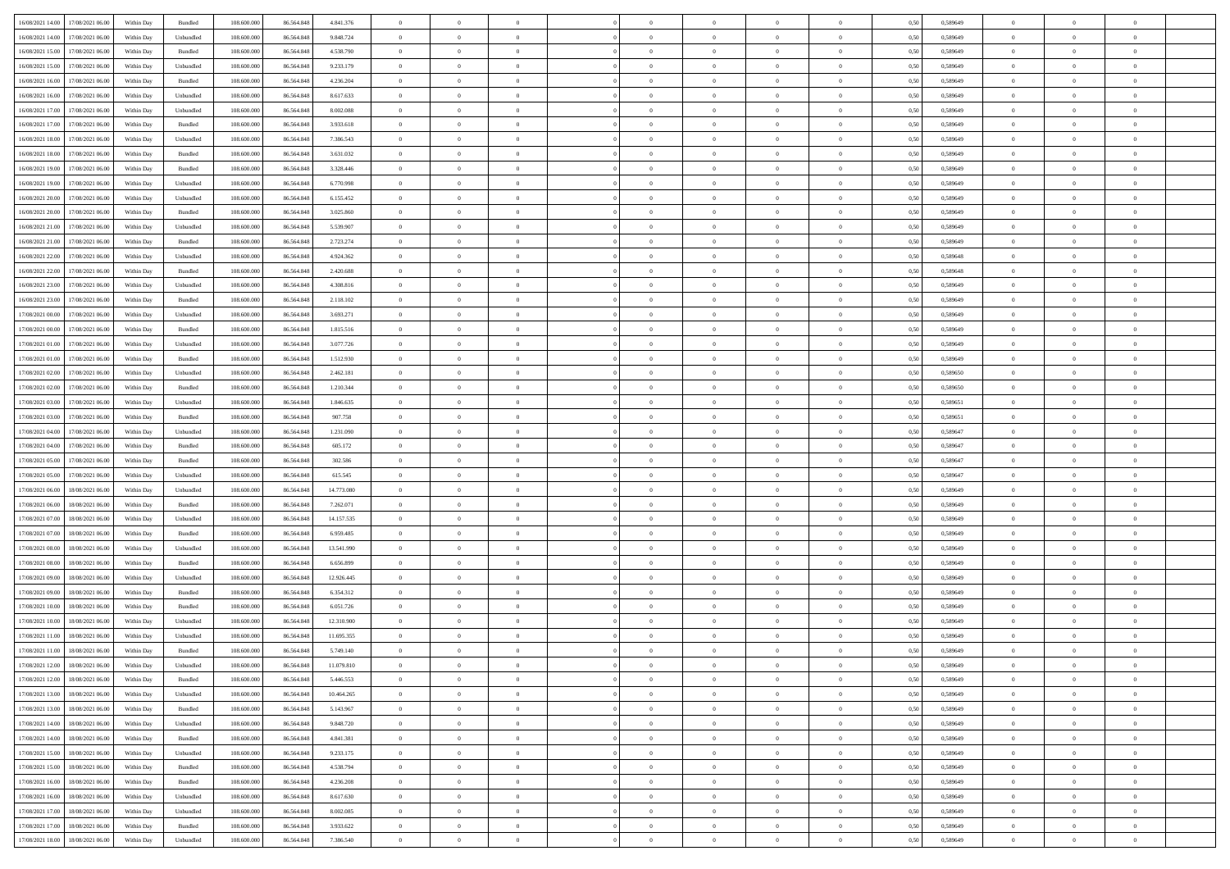| 16/08/2021 14:00 17/08/2021 06:00              | Within Day | Bundled                     | 108.600.000 | 86.564.848 | 4.841.376  | $\overline{0}$ | $\overline{0}$ |                | $\overline{0}$ | $\theta$       |                | $\theta$       | 0,50 | 0,589649 | $\theta$       | $\theta$       | $\overline{0}$ |  |
|------------------------------------------------|------------|-----------------------------|-------------|------------|------------|----------------|----------------|----------------|----------------|----------------|----------------|----------------|------|----------|----------------|----------------|----------------|--|
|                                                |            |                             |             |            |            |                |                |                |                |                |                |                |      |          |                |                |                |  |
| 16/08/2021 14:00<br>17/08/2021 06:00           | Within Day | Unbundled                   | 108.600.00  | 86.564.848 | 9.848.724  | $\bf{0}$       | $\bf{0}$       | $\bf{0}$       | $\bf{0}$       | $\overline{0}$ | $\overline{0}$ | $\bf{0}$       | 0,50 | 0,589649 | $\,$ 0 $\,$    | $\bf{0}$       | $\overline{0}$ |  |
| 16/08/2021 15:00<br>17/08/2021 06:00           | Within Day | Bundled                     | 108,600,000 | 86,564,848 | 4.538.790  | $\overline{0}$ | $\bf{0}$       | $\overline{0}$ | $\bf{0}$       | $\bf{0}$       | $\overline{0}$ | $\bf{0}$       | 0.50 | 0.589649 | $\bf{0}$       | $\overline{0}$ | $\overline{0}$ |  |
| 16/08/2021 15:00<br>17/08/2021 06:00           | Within Day | Unbundled                   | 108.600.000 | 86.564.848 | 9.233.179  | $\overline{0}$ | $\overline{0}$ | $\overline{0}$ | $\overline{0}$ | $\theta$       | $\overline{0}$ | $\bf{0}$       | 0,50 | 0,589649 | $\,$ 0 $\,$    | $\theta$       | $\overline{0}$ |  |
| 16/08/2021 16:00<br>17/08/2021 06:00           | Within Day | Bundled                     | 108.600.00  | 86.564.848 | 4.236.204  | $\bf{0}$       | $\overline{0}$ | $\bf{0}$       | $\overline{0}$ | $\theta$       | $\overline{0}$ | $\bf{0}$       | 0,50 | 0,589649 | $\,$ 0 $\,$    | $\bf{0}$       | $\overline{0}$ |  |
| 16/08/2021 16:00<br>17/08/2021 06:00           | Within Day | Unbundled                   | 108,600,000 | 86.564.848 | 8.617.633  | $\overline{0}$ | $\overline{0}$ | $\overline{0}$ | $\bf{0}$       | $\overline{0}$ | $\theta$       | $\bf{0}$       | 0.50 | 0.589649 | $\,$ 0 $\,$    | $\theta$       | $\overline{0}$ |  |
| 16/08/2021 17:00<br>17/08/2021 06:00           |            |                             |             |            |            | $\overline{0}$ | $\overline{0}$ | $\overline{0}$ | $\overline{0}$ | $\overline{0}$ | $\overline{0}$ |                |      |          | $\,$ 0 $\,$    | $\theta$       | $\overline{0}$ |  |
|                                                | Within Day | Unbundled                   | 108.600.000 | 86.564.848 | 8.002.088  |                |                |                |                |                |                | $\bf{0}$       | 0,50 | 0,589649 |                |                |                |  |
| 16/08/2021 17:00<br>17/08/2021 06:00           | Within Day | Bundled                     | 108.600.00  | 86.564.848 | 3.933.618  | $\bf{0}$       | $\bf{0}$       | $\bf{0}$       | $\overline{0}$ | $\overline{0}$ | $\overline{0}$ | $\bf{0}$       | 0,50 | 0,589649 | $\,$ 0 $\,$    | $\bf{0}$       | $\overline{0}$ |  |
| 16/08/2021 18:00<br>17/08/2021 06:00           | Within Day | Unbundled                   | 108,600,000 | 86.564.848 | 7.386.543  | $\overline{0}$ | $\bf{0}$       | $\overline{0}$ | $\bf{0}$       | $\overline{0}$ | $\overline{0}$ | $\bf{0}$       | 0.50 | 0.589649 | $\bf{0}$       | $\overline{0}$ | $\overline{0}$ |  |
| 16/08/2021 18:00<br>17/08/2021 06:00           | Within Day | Bundled                     | 108.600.000 | 86.564.848 | 3.631.032  | $\overline{0}$ | $\bf{0}$       | $\overline{0}$ | $\overline{0}$ | $\overline{0}$ | $\overline{0}$ | $\bf{0}$       | 0,50 | 0,589649 | $\,$ 0 $\,$    | $\bf{0}$       | $\overline{0}$ |  |
| 16/08/2021 19:00<br>17/08/2021 06:00           | Within Day | Bundled                     | 108.600.00  | 86.564.848 | 3.328.446  | $\bf{0}$       | $\bf{0}$       | $\bf{0}$       | $\bf{0}$       | $\bf{0}$       | $\overline{0}$ | $\bf{0}$       | 0,50 | 0,589649 | $\,$ 0 $\,$    | $\bf{0}$       | $\overline{0}$ |  |
| 16/08/2021 19:00<br>17/08/2021 06:00           | Within Day | Unbundled                   | 108,600,000 | 86,564,848 | 6.770.998  | $\overline{0}$ | $\bf{0}$       | $\overline{0}$ | $\overline{0}$ | $\bf{0}$       | $\overline{0}$ | $\bf{0}$       | 0.50 | 0.589649 | $\bf{0}$       | $\overline{0}$ | $\,$ 0         |  |
| 16/08/2021 20:00<br>17/08/2021 06:00           | Within Day | Unbundled                   | 108.600.000 | 86.564.848 | 6.155.452  | $\overline{0}$ | $\overline{0}$ | $\overline{0}$ | $\theta$       | $\theta$       | $\overline{0}$ | $\bf{0}$       | 0,50 | 0,589649 | $\,$ 0 $\,$    | $\theta$       | $\overline{0}$ |  |
|                                                |            |                             |             |            |            |                | $\overline{0}$ |                | $\overline{0}$ |                | $\overline{0}$ |                |      |          | $\,$ 0 $\,$    | $\bf{0}$       | $\overline{0}$ |  |
| 16/08/2021 20:00<br>17/08/2021 06:00           | Within Day | Bundled                     | 108.600.00  | 86.564.848 | 3.025.860  | $\bf{0}$       |                | $\bf{0}$       |                | $\bf{0}$       |                | $\bf{0}$       | 0,50 | 0,589649 |                |                |                |  |
| 16/08/2021 21:00<br>17/08/2021 06:00           | Within Day | Unbundled                   | 108 600 000 | 86,564,848 | 5.539.907  | $\overline{0}$ | $\bf{0}$       | $\overline{0}$ | $\bf{0}$       | $\overline{0}$ | $\theta$       | $\bf{0}$       | 0.50 | 0.589649 | $\,$ 0 $\,$    | $\theta$       | $\overline{0}$ |  |
| 16/08/2021 21:00<br>17/08/2021 06:00           | Within Day | Bundled                     | 108.600.000 | 86.564.848 | 2.723.274  | $\overline{0}$ | $\overline{0}$ | $\overline{0}$ | $\overline{0}$ | $\overline{0}$ | $\overline{0}$ | $\bf{0}$       | 0,50 | 0,589649 | $\theta$       | $\theta$       | $\overline{0}$ |  |
| 16/08/2021 22:00<br>17/08/2021 06:00           | Within Day | Unbundled                   | 108.600.00  | 86.564.848 | 4.924.362  | $\bf{0}$       | $\bf{0}$       | $\bf{0}$       | $\overline{0}$ | $\bf{0}$       | $\overline{0}$ | $\bf{0}$       | 0,50 | 0,589648 | $\,$ 0 $\,$    | $\bf{0}$       | $\overline{0}$ |  |
| 16/08/2021 22:00<br>17/08/2021 06:00           | Within Day | Bundled                     | 108,600,000 | 86.564.848 | 2.420.688  | $\overline{0}$ | $\bf{0}$       | $\overline{0}$ | $\bf{0}$       | $\overline{0}$ | $\overline{0}$ | $\bf{0}$       | 0.50 | 0.589648 | $\bf{0}$       | $\overline{0}$ | $\bf{0}$       |  |
| 16/08/2021 23:00<br>17/08/2021 06:00           | Within Day | Unbundled                   | 108.600.000 | 86.564.848 | 4.308.816  | $\overline{0}$ | $\bf{0}$       | $\overline{0}$ | $\overline{0}$ | $\overline{0}$ | $\overline{0}$ | $\bf{0}$       | 0,50 | 0,589649 | $\,$ 0 $\,$    | $\bf{0}$       | $\overline{0}$ |  |
| 16/08/2021 23:00<br>17/08/2021 06:00           | Within Day | Bundled                     | 108.600.00  | 86.564.848 | 2.118.102  | $\bf{0}$       | $\bf{0}$       | $\bf{0}$       | $\bf{0}$       | $\overline{0}$ | $\overline{0}$ | $\bf{0}$       | 0,50 | 0,589649 | $\,$ 0 $\,$    | $\bf{0}$       | $\overline{0}$ |  |
|                                                |            | Unbundled                   | 108,600,000 | 86,564,848 |            |                | $\bf{0}$       | $\overline{0}$ |                | $\bf{0}$       | $\overline{0}$ |                | 0.50 | 0.589649 | $\bf{0}$       | $\overline{0}$ | $\,$ 0         |  |
| 17/08/2021 00:00<br>17/08/2021 06:00           | Within Day |                             |             |            | 3.693.271  | $\overline{0}$ |                |                | $\overline{0}$ |                |                | $\bf{0}$       |      |          |                |                |                |  |
| 17/08/2021 00:00<br>17/08/2021 06:00           | Within Day | Bundled                     | 108.600.000 | 86.564.848 | 1.815.516  | $\overline{0}$ | $\overline{0}$ | $\overline{0}$ | $\overline{0}$ | $\theta$       | $\overline{0}$ | $\bf{0}$       | 0,50 | 0,589649 | $\theta$       | $\theta$       | $\overline{0}$ |  |
| 17/08/2021 01:00<br>17/08/2021 06:00           | Within Day | Unbundled                   | 108.600.00  | 86.564.848 | 3.077.726  | $\bf{0}$       | $\bf{0}$       | $\bf{0}$       | $\bf{0}$       | $\overline{0}$ | $\overline{0}$ | $\bf{0}$       | 0,50 | 0,589649 | $\,$ 0 $\,$    | $\bf{0}$       | $\overline{0}$ |  |
| 17/08/2021 01:00<br>17/08/2021 06:00           | Within Day | Bundled                     | 108,600,000 | 86.564.848 | 1.512.930  | $\overline{0}$ | $\bf{0}$       | $\overline{0}$ | $\bf{0}$       | $\overline{0}$ | $\theta$       | $\bf{0}$       | 0.50 | 0.589649 | $\,$ 0 $\,$    | $\theta$       | $\overline{0}$ |  |
| 17/08/2021 02:00<br>17/08/2021 06:00           | Within Day | Unbundled                   | 108.600.000 | 86.564.848 | 2.462.181  | $\overline{0}$ | $\overline{0}$ | $\overline{0}$ | $\overline{0}$ | $\overline{0}$ | $\overline{0}$ | $\bf{0}$       | 0,50 | 0,589650 | $\,$ 0 $\,$    | $\theta$       | $\overline{0}$ |  |
| 17/08/2021 02:00<br>17/08/2021 06:00           | Within Day | Bundled                     | 108.600.00  | 86.564.848 | 1.210.344  | $\bf{0}$       | $\overline{0}$ | $\bf{0}$       | $\overline{0}$ | $\bf{0}$       | $\overline{0}$ | $\bf{0}$       | 0,50 | 0,589650 | $\,$ 0 $\,$    | $\bf{0}$       | $\overline{0}$ |  |
| 17/08/2021 03:00<br>17/08/2021 06:00           | Within Day | Unbundled                   | 108,600,000 | 86.564.848 | 1.846.635  | $\overline{0}$ | $\bf{0}$       | $\overline{0}$ | $\bf{0}$       | $\overline{0}$ | $\overline{0}$ | $\bf{0}$       | 0.50 | 0.589651 | $\bf{0}$       | $\overline{0}$ | $\overline{0}$ |  |
| 17/08/2021 03:00<br>17/08/2021 06:00           | Within Day | Bundled                     | 108.600.000 | 86.564.848 | 907.758    | $\overline{0}$ | $\bf{0}$       | $\overline{0}$ | $\overline{0}$ | $\overline{0}$ | $\overline{0}$ | $\bf{0}$       | 0,50 | 0,589651 | $\theta$       | $\bf{0}$       | $\overline{0}$ |  |
|                                                |            |                             |             |            |            |                |                |                |                |                |                |                |      |          |                |                |                |  |
| 17/08/2021 04:00<br>17/08/2021 06:00           | Within Day | Unbundled                   | 108.600.00  | 86.564.848 | 1.231.090  | $\bf{0}$       | $\bf{0}$       | $\bf{0}$       | $\bf{0}$       | $\overline{0}$ | $\overline{0}$ | $\bf{0}$       | 0,50 | 0,589647 | $\,$ 0 $\,$    | $\bf{0}$       | $\overline{0}$ |  |
| 17/08/2021 04:00<br>17/08/2021 06:00           | Within Day | Bundled                     | 108,600,000 | 86,564,848 | 605.172    | $\overline{0}$ | $\bf{0}$       | $\overline{0}$ | $\bf{0}$       | $\bf{0}$       | $\overline{0}$ | $\bf{0}$       | 0.50 | 0.589647 | $\bf{0}$       | $\overline{0}$ | $\,$ 0         |  |
| 17/08/2021 05:00<br>17/08/2021 06:00           | Within Day | Bundled                     | 108.600.000 | 86,564,848 | 302.586    | $\overline{0}$ | $\overline{0}$ | $\overline{0}$ | $\overline{0}$ | $\overline{0}$ | $\overline{0}$ | $\bf{0}$       | 0.50 | 0.589647 | $\theta$       | $\theta$       | $\overline{0}$ |  |
| 17/08/2021 05:00<br>17/08/2021 06:00           | Within Day | Unbundled                   | 108.600.00  | 86.564.848 | 615.545    | $\bf{0}$       | $\bf{0}$       | $\bf{0}$       | $\bf{0}$       | $\overline{0}$ | $\overline{0}$ | $\bf{0}$       | 0,50 | 0,589647 | $\,$ 0 $\,$    | $\bf{0}$       | $\overline{0}$ |  |
| 17/08/2021 06:00<br>18/08/2021 06:00           | Within Day | Unbundled                   | 108,600,000 | 86,564,848 | 14,773,080 | $\overline{0}$ | $\bf{0}$       | $\overline{0}$ | $\bf{0}$       | $\overline{0}$ | $\overline{0}$ | $\bf{0}$       | 0.50 | 0.589649 | $\,$ 0 $\,$    | $\bf{0}$       | $\overline{0}$ |  |
| 17/08/2021 06:00<br>18/08/2021 06:00           | Within Dav | Bundled                     | 108.600.000 | 86.564.848 | 7.262.071  | $\overline{0}$ | $\overline{0}$ | $\overline{0}$ | $\overline{0}$ | $\overline{0}$ | $\overline{0}$ | $\bf{0}$       | 0.50 | 0.589649 | $\theta$       | $\theta$       | $\overline{0}$ |  |
| 17/08/2021 07:00<br>18/08/2021 06:00           | Within Day | Unbundled                   | 108.600.00  | 86.564.848 | 14.157.535 | $\bf{0}$       | $\bf{0}$       | $\bf{0}$       | $\bf{0}$       | $\overline{0}$ | $\overline{0}$ | $\bf{0}$       | 0,50 | 0,589649 | $\,$ 0 $\,$    | $\bf{0}$       | $\overline{0}$ |  |
| 17/08/2021 07:00<br>18/08/2021 06:00           | Within Day | Bundled                     | 108,600,000 | 86.564.848 | 6.959.485  | $\overline{0}$ | $\bf{0}$       | $\overline{0}$ | $\bf{0}$       | $\overline{0}$ | $\overline{0}$ | $\bf{0}$       | 0.50 | 0.589649 | $\bf{0}$       | $\overline{0}$ | $\overline{0}$ |  |
| 17/08/2021 08:00<br>18/08/2021 06:00           | Within Dav | Unbundled                   | 108.600.000 | 86.564.848 | 13.541.990 | $\overline{0}$ | $\overline{0}$ | $\overline{0}$ | $\overline{0}$ | $\overline{0}$ | $\overline{0}$ | $\bf{0}$       | 0.50 | 0.589649 | $\theta$       | $\theta$       | $\overline{0}$ |  |
|                                                |            |                             |             |            |            |                |                |                |                |                |                |                |      |          |                |                |                |  |
| 17/08/2021 08:00<br>18/08/2021 06:00           | Within Day | Bundled                     | 108.600.00  | 86.564.848 | 6.656.899  | $\bf{0}$       | $\bf{0}$       | $\bf{0}$       | $\bf{0}$       | $\overline{0}$ | $\overline{0}$ | $\bf{0}$       | 0,50 | 0,589649 | $\,$ 0 $\,$    | $\bf{0}$       | $\overline{0}$ |  |
| 17/08/2021 09:00<br>18/08/2021 06:00           | Within Day | Unbundled                   | 108,600,000 | 86,564,848 | 12.926.445 | $\overline{0}$ | $\bf{0}$       | $\overline{0}$ | $\overline{0}$ | $\bf{0}$       | $\overline{0}$ | $\bf{0}$       | 0.50 | 0.589649 | $\bf{0}$       | $\overline{0}$ | $\,$ 0         |  |
| 17/08/2021 09:00<br>18/08/2021 06:00           | Within Dav | Bundled                     | 108.600.000 | 86.564.848 | 6.354.312  | $\overline{0}$ | $\overline{0}$ | $\overline{0}$ | $\overline{0}$ | $\overline{0}$ | $\overline{0}$ | $\bf{0}$       | 0.50 | 0.589649 | $\theta$       | $\theta$       | $\overline{0}$ |  |
| 17/08/2021 10:00<br>18/08/2021 06:00           | Within Day | Bundled                     | 108.600.00  | 86.564.848 | 6.051.726  | $\bf{0}$       | $\bf{0}$       | $\bf{0}$       | $\bf{0}$       | $\overline{0}$ | $\overline{0}$ | $\bf{0}$       | 0,50 | 0,589649 | $\,$ 0 $\,$    | $\bf{0}$       | $\overline{0}$ |  |
| 17/08/2021 10:00<br>18/08/2021 06:00           | Within Day | Unbundled                   | 108,600,000 | 86.564.848 | 12.310.900 | $\overline{0}$ | $\overline{0}$ | $\overline{0}$ | $\bf{0}$       | $\overline{0}$ | $\Omega$       | $\bf{0}$       | 0.50 | 0.589649 | $\bf{0}$       | $\theta$       | $\overline{0}$ |  |
| 17/08/2021 11:00<br>18/08/2021 06:00           | Within Dav | Unbundled                   | 108.600.000 | 86,564,848 | 11.695.355 | $\overline{0}$ | $\overline{0}$ | $\overline{0}$ | $\theta$       | $\theta$       | $\overline{0}$ | $\overline{0}$ | 0.5( | 0.589649 | $\theta$       | $\theta$       | $\overline{0}$ |  |
| 17/08/2021 11:00<br>18/08/2021 06:00           | Within Day | Bundled                     | 108.600.00  | 86.564.848 | 5.749.140  | $\bf{0}$       | $\bf{0}$       | $\bf{0}$       | $\bf{0}$       | $\bf{0}$       | $\overline{0}$ | $\bf{0}$       | 0,50 | 0,589649 | $\,$ 0 $\,$    | $\overline{0}$ | $\overline{0}$ |  |
| $17/08/2021\ 12.00 \quad \  18/08/2021\ 06.00$ | Within Day | $\ensuremath{\mathsf{Unb}}$ | 108.600.000 | 86.564.848 | 11.079.810 | $\bf{0}$       | $\theta$       |                | $\overline{0}$ |                |                |                | 0,50 | 0.589649 | $\bf{0}$       | $\bf{0}$       |                |  |
|                                                |            |                             |             |            |            |                |                |                |                |                |                |                |      |          |                |                |                |  |
| 17/08/2021 12:00 18/08/2021 06:00              | Within Day | Bundled                     | 108.600.000 | 86.564.848 | 5.446.553  | $\overline{0}$ | $\overline{0}$ | $\Omega$       | $\theta$       | $\overline{0}$ | $\overline{0}$ | $\bf{0}$       | 0,50 | 0,589649 | $\theta$       | $\theta$       | $\overline{0}$ |  |
| 17/08/2021 13:00<br>18/08/2021 06:00           | Within Day | Unbundled                   | 108.600.00  | 86.564.848 | 10.464.265 | $\overline{0}$ | $\bf{0}$       | $\overline{0}$ | $\overline{0}$ | $\bf{0}$       | $\overline{0}$ | $\bf{0}$       | 0,50 | 0,589649 | $\bf{0}$       | $\overline{0}$ | $\bf{0}$       |  |
| 17/08/2021 13:00 18/08/2021 06:00              | Within Day | Bundled                     | 108,600,000 | 86,564,848 | 5.143.967  | $\overline{0}$ | $\bf{0}$       | $\overline{0}$ | $\overline{0}$ | $\mathbf{0}$   | $\overline{0}$ | $\,$ 0 $\,$    | 0.50 | 0.589649 | $\overline{0}$ | $\bf{0}$       | $\,$ 0 $\,$    |  |
| 17/08/2021 14:00 18/08/2021 06:00              | Within Dav | Unbundled                   | 108.600.000 | 86.564.848 | 9.848.720  | $\overline{0}$ | $\overline{0}$ | $\overline{0}$ | $\overline{0}$ | $\overline{0}$ | $\overline{0}$ | $\bf{0}$       | 0,50 | 0.589649 | $\theta$       | $\theta$       | $\overline{0}$ |  |
| 17/08/2021 14:00<br>18/08/2021 06:00           | Within Day | Bundled                     | 108.600.000 | 86.564.848 | 4.841.381  | $\overline{0}$ | $\bf{0}$       | $\overline{0}$ | $\overline{0}$ | $\bf{0}$       | $\overline{0}$ | $\bf{0}$       | 0,50 | 0,589649 | $\bf{0}$       | $\overline{0}$ | $\overline{0}$ |  |
| 17/08/2021 15:00<br>18/08/2021 06:00           | Within Day | Unbundled                   | 108,600,000 | 86,564,848 | 9.233.175  | $\overline{0}$ | $\bf{0}$       | $\overline{0}$ | $\overline{0}$ | $\bf{0}$       | $\overline{0}$ | $\bf{0}$       | 0.50 | 0.589649 | $\,$ 0 $\,$    | $\overline{0}$ | $\,$ 0         |  |
| 17/08/2021 15:00<br>18/08/2021 06:00           | Within Dav | Bundled                     | 108.600.000 | 86.564.848 | 4.538.794  | $\overline{0}$ | $\overline{0}$ | $\overline{0}$ | $\overline{0}$ | $\overline{0}$ | $\overline{0}$ | $\bf{0}$       | 0,50 | 0.589649 | $\overline{0}$ | $\theta$       | $\overline{0}$ |  |
|                                                |            |                             |             |            |            |                |                |                |                |                |                |                |      |          |                |                |                |  |
| 17/08/2021 16:00<br>18/08/2021 06:00           | Within Day | Bundled                     | 108.600.00  | 86.564.848 | 4.236.208  | $\overline{0}$ | $\overline{0}$ | $\overline{0}$ | $\overline{0}$ | $\overline{0}$ | $\overline{0}$ | $\bf{0}$       | 0,50 | 0,589649 | $\bf{0}$       | $\overline{0}$ | $\,$ 0         |  |
| 17/08/2021 16:00<br>18/08/2021 06:00           | Within Day | Unbundled                   | 108,600,000 | 86,564,848 | 8.617.630  | $\overline{0}$ | $\overline{0}$ | $\overline{0}$ | $\overline{0}$ | $\overline{0}$ | $\overline{0}$ | $\bf{0}$       | 0.50 | 0.589649 | $\mathbf{0}$   | $\bf{0}$       | $\,$ 0         |  |
| 17/08/2021 17:00 18/08/2021 06:00              | Within Dav | Unbundled                   | 108.600.000 | 86.564.848 | 8.002.085  | $\overline{0}$ | $\overline{0}$ | $\overline{0}$ | $\overline{0}$ | $\overline{0}$ | $\overline{0}$ | $\bf{0}$       | 0,50 | 0.589649 | $\overline{0}$ | $\theta$       | $\overline{0}$ |  |
| 17/08/2021 17:00<br>18/08/2021 06:00           | Within Day | Bundled                     | 108.600.00  | 86.564.848 | 3.933.622  | $\overline{0}$ | $\bf{0}$       | $\overline{0}$ | $\bf{0}$       | $\overline{0}$ | $\overline{0}$ | $\bf{0}$       | 0,50 | 0,589649 | $\bf{0}$       | $\,$ 0 $\,$    | $\bf{0}$       |  |
| 17/08/2021 18:00 18/08/2021 06:00              | Within Day | Unbundled                   | 108.600.000 | 86.564.848 | 7.386.540  | $\,$ 0 $\,$    | $\bf{0}$       | $\overline{0}$ | $\overline{0}$ | $\,$ 0 $\,$    | $\overline{0}$ | $\,$ 0 $\,$    | 0,50 | 0,589649 | $\overline{0}$ | $\,$ 0 $\,$    | $\,$ 0 $\,$    |  |
|                                                |            |                             |             |            |            |                |                |                |                |                |                |                |      |          |                |                |                |  |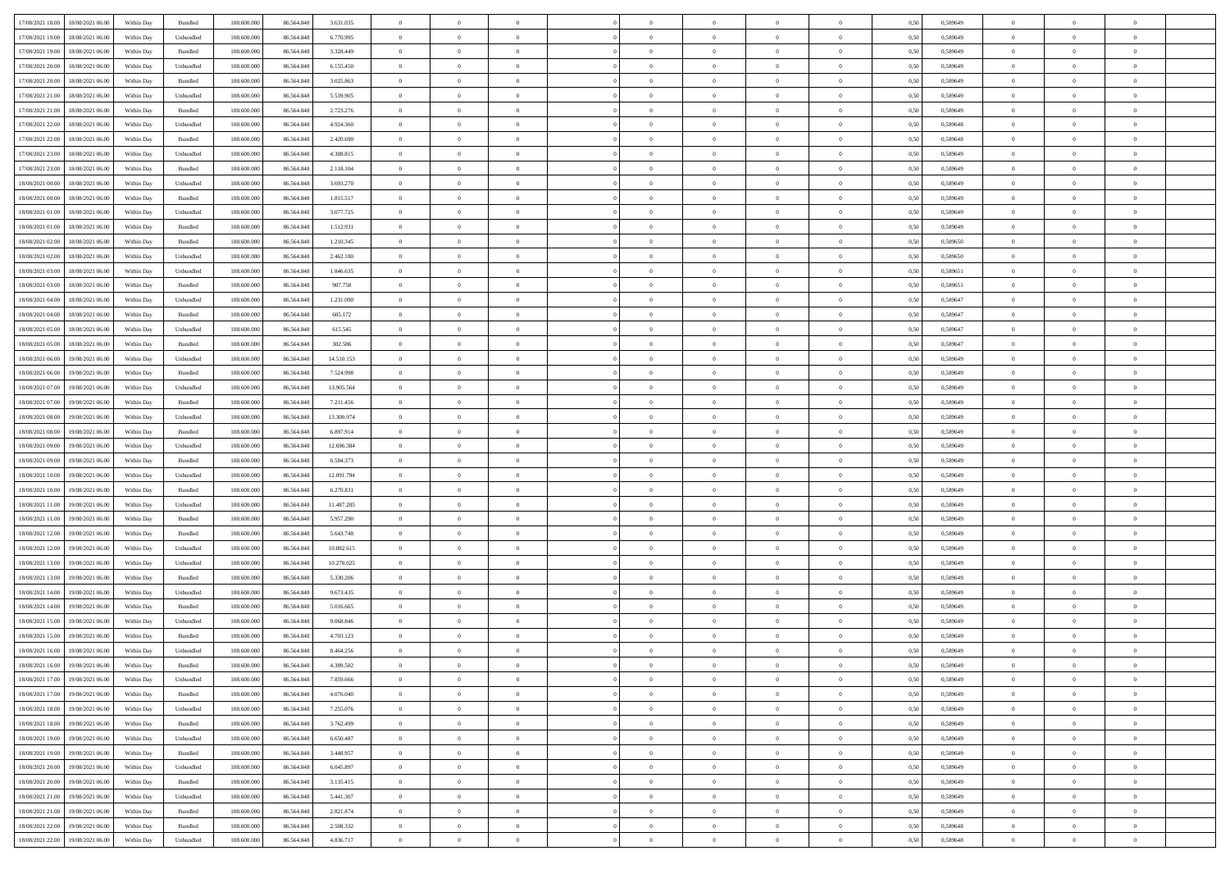| 17/08/2021 18:00 18/08/2021 06:00            | Within Day | Bundled           | 108.600.000 | 86.564.848 | 3.631.035  | $\overline{0}$ | $\theta$       |                | $\overline{0}$ | $\theta$       |                | $\theta$       | 0,50 | 0,589649 | $\theta$       | $\theta$       | $\overline{0}$ |  |
|----------------------------------------------|------------|-------------------|-------------|------------|------------|----------------|----------------|----------------|----------------|----------------|----------------|----------------|------|----------|----------------|----------------|----------------|--|
|                                              |            |                   |             |            |            |                |                |                |                |                |                |                |      |          |                |                |                |  |
| 17/08/2021 19:00<br>18/08/2021 06:00         | Within Day | Unbundled         | 108.600.00  | 86.564.848 | 6.770.995  | $\bf{0}$       | $\bf{0}$       | $\bf{0}$       | $\overline{0}$ | $\overline{0}$ | $\overline{0}$ | $\bf{0}$       | 0,50 | 0,589649 | $\,$ 0 $\,$    | $\bf{0}$       | $\overline{0}$ |  |
| 17/08/2021 19:00<br>18/08/2021 06:00         | Within Day | Bundled           | 108,600,000 | 86,564,848 | 3.328.449  | $\overline{0}$ | $\bf{0}$       | $\overline{0}$ | $\bf{0}$       | $\bf{0}$       | $\overline{0}$ | $\bf{0}$       | 0.50 | 0.589649 | $\bf{0}$       | $\overline{0}$ | $\overline{0}$ |  |
| 17/08/2021 20:00<br>18/08/2021 06:00         | Within Day | Unbundled         | 108.600.000 | 86.564.848 | 6.155.450  | $\overline{0}$ | $\bf{0}$       | $\overline{0}$ | $\theta$       | $\theta$       | $\overline{0}$ | $\bf{0}$       | 0,50 | 0,589649 | $\theta$       | $\theta$       | $\overline{0}$ |  |
|                                              |            |                   |             |            |            |                |                |                |                |                |                |                |      |          |                |                |                |  |
| 17/08/2021 20:00<br>18/08/2021 06:00         | Within Day | Bundled           | 108.600.00  | 86.564.848 | 3.025.863  | $\bf{0}$       | $\overline{0}$ | $\bf{0}$       | $\overline{0}$ | $\theta$       | $\overline{0}$ | $\bf{0}$       | 0,50 | 0,589649 | $\,$ 0 $\,$    | $\bf{0}$       | $\overline{0}$ |  |
| 17/08/2021 21:00<br>18/08/2021 06:00         | Within Day | Unbundled         | 108,600,000 | 86.564.848 | 5.539.905  | $\overline{0}$ | $\overline{0}$ | $\overline{0}$ | $\bf{0}$       | $\overline{0}$ | $\theta$       | $\bf{0}$       | 0.50 | 0.589649 | $\bf{0}$       | $\theta$       | $\overline{0}$ |  |
| 17/08/2021 21:00<br>18/08/2021 06:00         | Within Day | Bundled           | 108.600.000 | 86.564.848 | 2.723.276  | $\overline{0}$ | $\overline{0}$ | $\overline{0}$ | $\overline{0}$ | $\overline{0}$ | $\overline{0}$ | $\bf{0}$       | 0,50 | 0,589649 | $\theta$       | $\theta$       | $\overline{0}$ |  |
| 17/08/2021 22:00<br>18/08/2021 06:00         | Within Day | Unbundled         | 108.600.00  | 86.564.848 | 4.924.360  | $\bf{0}$       | $\bf{0}$       | $\bf{0}$       | $\overline{0}$ | $\overline{0}$ | $\overline{0}$ | $\bf{0}$       | 0,50 | 0,589648 | $\,$ 0 $\,$    | $\bf{0}$       | $\overline{0}$ |  |
| 17/08/2021 22:00<br>18/08/2021 06:00         | Within Day | Bundled           | 108,600,000 | 86.564.848 | 2.420.690  | $\overline{0}$ | $\bf{0}$       | $\overline{0}$ | $\bf{0}$       | $\overline{0}$ | $\overline{0}$ | $\bf{0}$       | 0.50 | 0.589648 | $\bf{0}$       | $\overline{0}$ | $\overline{0}$ |  |
|                                              |            |                   |             |            |            |                |                |                |                |                |                |                |      |          |                |                |                |  |
| 17/08/2021 23:00<br>18/08/2021 06:00         | Within Day | Unbundled         | 108.600.000 | 86.564.848 | 4.308.815  | $\overline{0}$ | $\bf{0}$       | $\overline{0}$ | $\overline{0}$ | $\overline{0}$ | $\overline{0}$ | $\bf{0}$       | 0,50 | 0,589649 | $\,$ 0 $\,$    | $\bf{0}$       | $\overline{0}$ |  |
| 17/08/2021 23:00<br>18/08/2021 06:00         | Within Day | Bundled           | 108.600.00  | 86.564.848 | 2.118.104  | $\bf{0}$       | $\overline{0}$ | $\bf{0}$       | $\bf{0}$       | $\bf{0}$       | $\overline{0}$ | $\bf{0}$       | 0,50 | 0,589649 | $\,$ 0 $\,$    | $\bf{0}$       | $\overline{0}$ |  |
| 18/08/2021 00:00<br>18/08/2021 06:00         | Within Day | Unbundled         | 108,600,000 | 86,564,848 | 3.693.270  | $\overline{0}$ | $\bf{0}$       | $\overline{0}$ | $\overline{0}$ | $\bf{0}$       | $\overline{0}$ | $\bf{0}$       | 0.50 | 0.589649 | $\bf{0}$       | $\overline{0}$ | $\bf{0}$       |  |
| 18/08/2021 00:00<br>18/08/2021 06:00         | Within Day | Bundled           | 108.600.000 | 86.564.848 | 1.815.517  | $\overline{0}$ | $\overline{0}$ | $\overline{0}$ | $\theta$       | $\theta$       | $\overline{0}$ | $\bf{0}$       | 0,50 | 0,589649 | $\,$ 0 $\,$    | $\theta$       | $\overline{0}$ |  |
|                                              |            |                   |             |            |            |                | $\overline{0}$ |                | $\overline{0}$ | $\theta$       | $\overline{0}$ |                |      |          |                | $\bf{0}$       | $\overline{0}$ |  |
| 18/08/2021 01:00<br>18/08/2021 06:00         | Within Day | Unbundled         | 108.600.00  | 86.564.84  | 3.077.725  | $\bf{0}$       |                | $\bf{0}$       |                |                |                | $\bf{0}$       | 0,50 | 0,589649 | $\bf{0}$       |                |                |  |
| 18/08/2021 01:00<br>18/08/2021 06:00         | Within Day | Bundled           | 108 600 000 | 86.564.848 | 1.512.931  | $\overline{0}$ | $\overline{0}$ | $\overline{0}$ | $\bf{0}$       | $\overline{0}$ | $\Omega$       | $\bf{0}$       | 0.50 | 0.589649 | $\theta$       | $\theta$       | $\overline{0}$ |  |
| 18/08/2021 02:00<br>18/08/2021 06:00         | Within Day | Bundled           | 108.600.000 | 86.564.848 | 1.210.345  | $\overline{0}$ | $\overline{0}$ | $\overline{0}$ | $\overline{0}$ | $\overline{0}$ | $\overline{0}$ | $\bf{0}$       | 0,50 | 0,589650 | $\theta$       | $\theta$       | $\overline{0}$ |  |
| 18/08/2021 02:00<br>18/08/2021 06:00         | Within Day | Unbundled         | 108.600.00  | 86.564.848 | 2.462.180  | $\bf{0}$       | $\overline{0}$ | $\bf{0}$       | $\overline{0}$ | $\theta$       | $\overline{0}$ | $\bf{0}$       | 0,50 | 0,589650 | $\,$ 0 $\,$    | $\bf{0}$       | $\overline{0}$ |  |
| 18/08/2021 03:00<br>18/08/2021 06:00         | Within Day | Unbundled         | 108,600,000 | 86.564.848 | 1.846.635  | $\overline{0}$ | $\bf{0}$       | $\overline{0}$ | $\bf{0}$       | $\overline{0}$ | $\overline{0}$ | $\bf{0}$       | 0.50 | 0.589651 | $\bf{0}$       | $\overline{0}$ | $\overline{0}$ |  |
|                                              |            |                   |             |            |            | $\overline{0}$ |                | $\overline{0}$ | $\overline{0}$ | $\overline{0}$ | $\overline{0}$ |                |      |          | $\,$ 0 $\,$    |                |                |  |
| 18/08/2021 03:00<br>18/08/2021 06:00         | Within Day | Bundled           | 108.600.000 | 86.564.848 | 907.758    |                | $\bf{0}$       |                |                |                |                | $\bf{0}$       | 0,50 | 0,589651 |                | $\bf{0}$       | $\overline{0}$ |  |
| 18/08/2021 04:00<br>18/08/2021 06:00         | Within Day | Unbundled         | 108.600.00  | 86.564.848 | 1.231.090  | $\bf{0}$       | $\bf{0}$       | $\bf{0}$       | $\bf{0}$       | $\overline{0}$ | $\overline{0}$ | $\bf{0}$       | 0,50 | 0,589647 | $\,$ 0 $\,$    | $\bf{0}$       | $\overline{0}$ |  |
| 18/08/2021 04:00<br>18/08/2021 06:00         | Within Day | Bundled           | 108,600,000 | 86,564,848 | 605.172    | $\overline{0}$ | $\bf{0}$       | $\overline{0}$ | $\bf{0}$       | $\bf{0}$       | $\overline{0}$ | $\bf{0}$       | 0.50 | 0.589647 | $\bf{0}$       | $\overline{0}$ | $\,$ 0         |  |
| 18/08/2021 05:00<br>18/08/2021 06:00         | Within Day | Unbundled         | 108.600.000 | 86.564.848 | 615.545    | $\overline{0}$ | $\overline{0}$ | $\overline{0}$ | $\theta$       | $\theta$       | $\overline{0}$ | $\bf{0}$       | 0,50 | 0,589647 | $\theta$       | $\theta$       | $\overline{0}$ |  |
| 18/08/2021 05:00<br>18/08/2021 06:00         | Within Day | Bundled           | 108.600.00  | 86.564.848 | 302.586    | $\bf{0}$       | $\overline{0}$ | $\bf{0}$       | $\bf{0}$       | $\,$ 0 $\,$    | $\overline{0}$ | $\bf{0}$       | 0,50 | 0,589647 | $\,$ 0 $\,$    | $\bf{0}$       | $\overline{0}$ |  |
| 18/08/2021 06:00<br>19/08/2021 06:00         | Within Day | Unbundled         | 108,600,000 | 86.564.848 | 14.510.153 | $\overline{0}$ | $\overline{0}$ | $\overline{0}$ | $\overline{0}$ | $\overline{0}$ | $\Omega$       | $\bf{0}$       | 0.50 | 0.589649 | $\bf{0}$       | $\theta$       | $\overline{0}$ |  |
|                                              |            |                   |             |            |            | $\overline{0}$ | $\overline{0}$ | $\overline{0}$ | $\overline{0}$ | $\overline{0}$ | $\overline{0}$ |                |      |          |                | $\theta$       | $\overline{0}$ |  |
| 18/08/2021 06:00<br>19/08/2021 06:00         | Within Day | Bundled           | 108.600.000 | 86.564.848 | 7.524.998  |                |                |                |                |                |                | $\bf{0}$       | 0,50 | 0,589649 | $\,$ 0 $\,$    |                |                |  |
| 18/08/2021 07:00<br>19/08/2021 06:00         | Within Day | Unbundled         | 108.600.00  | 86.564.848 | 13.905.564 | $\bf{0}$       | $\overline{0}$ | $\bf{0}$       | $\overline{0}$ | $\theta$       | $\overline{0}$ | $\bf{0}$       | 0,50 | 0,589649 | $\,$ 0 $\,$    | $\bf{0}$       | $\overline{0}$ |  |
| 18/08/2021 07:00<br>19/08/2021 06:00         | Within Day | Bundled           | 108,600,000 | 86.564.848 | 7.211.456  | $\overline{0}$ | $\bf{0}$       | $\overline{0}$ | $\bf{0}$       | $\overline{0}$ | $\overline{0}$ | $\bf{0}$       | 0.50 | 0.589649 | $\bf{0}$       | $\overline{0}$ | $\overline{0}$ |  |
| 18/08/2021 08:00<br>19/08/2021 06:00         | Within Day | Unbundled         | 108.600.000 | 86.564.848 | 13.300.974 | $\overline{0}$ | $\bf{0}$       | $\overline{0}$ | $\overline{0}$ | $\overline{0}$ | $\overline{0}$ | $\bf{0}$       | 0,50 | 0,589649 | $\theta$       | $\theta$       | $\overline{0}$ |  |
| 18/08/2021 08:00<br>19/08/2021 06:00         | Within Day | Bundled           | 108.600.00  | 86.564.848 | 6.897.914  | $\bf{0}$       | $\bf{0}$       | $\bf{0}$       | $\bf{0}$       | $\overline{0}$ | $\overline{0}$ | $\bf{0}$       | 0,50 | 0,589649 | $\,$ 0 $\,$    | $\bf{0}$       | $\overline{0}$ |  |
| 18/08/2021 09:00<br>19/08/2021 06:00         | Within Day | Unbundled         | 108,600,000 | 86,564,848 | 12.696.384 | $\overline{0}$ | $\bf{0}$       | $\overline{0}$ | $\bf{0}$       | $\bf{0}$       | $\overline{0}$ | $\bf{0}$       | 0.50 | 0.589649 | $\bf{0}$       | $\overline{0}$ | $\bf{0}$       |  |
| 18/08/2021 09:00<br>19/08/2021 06:00         | Within Day | Bundled           | 108.600.000 | 86,564,848 | 6.584.373  | $\overline{0}$ | $\overline{0}$ | $\overline{0}$ | $\overline{0}$ | $\overline{0}$ | $\overline{0}$ | $\bf{0}$       | 0.50 | 0.589649 | $\theta$       | $\theta$       | $\overline{0}$ |  |
|                                              |            |                   |             |            |            |                |                |                |                |                |                |                |      |          |                |                |                |  |
| 18/08/2021 10:00<br>19/08/2021 06:00         | Within Day | Unbundled         | 108.600.00  | 86.564.848 | 12.091.794 | $\bf{0}$       | $\overline{0}$ | $\bf{0}$       | $\bf{0}$       | $\overline{0}$ | $\overline{0}$ | $\bf{0}$       | 0,50 | 0,589649 | $\,$ 0 $\,$    | $\bf{0}$       | $\overline{0}$ |  |
| 18/08/2021 10:00<br>19/08/2021 06:00         | Within Day | Bundled           | 108,600,000 | 86,564,848 | 6.270.831  | $\overline{0}$ | $\bf{0}$       | $\overline{0}$ | $\bf{0}$       | $\overline{0}$ | $\Omega$       | $\bf{0}$       | 0.50 | 0.589649 | $\,$ 0 $\,$    | $\theta$       | $\overline{0}$ |  |
| 18/08/2021 11:00<br>19/08/2021 06:00         | Within Dav | Unbundled         | 108.600.000 | 86.564.848 | 11.487.205 | $\overline{0}$ | $\overline{0}$ | $\overline{0}$ | $\overline{0}$ | $\theta$       | $\overline{0}$ | $\overline{0}$ | 0.50 | 0.589649 | $\theta$       | $\theta$       | $\overline{0}$ |  |
| 18/08/2021 11:00<br>19/08/2021 06:00         | Within Day | Bundled           | 108.600.00  | 86.564.848 | 5.957.290  | $\bf{0}$       | $\bf{0}$       | $\bf{0}$       | $\bf{0}$       | $\bf{0}$       | $\overline{0}$ | $\bf{0}$       | 0,50 | 0,589649 | $\,$ 0 $\,$    | $\bf{0}$       | $\overline{0}$ |  |
| 18/08/2021 12:00<br>19/08/2021 06:00         | Within Day | Bundled           | 108,600,000 | 86.564.848 | 5.643.748  | $\overline{0}$ | $\bf{0}$       | $\overline{0}$ | $\bf{0}$       | $\overline{0}$ | $\overline{0}$ | $\bf{0}$       | 0.50 | 0.589649 | $\bf{0}$       | $\overline{0}$ | $\overline{0}$ |  |
| 18/08/2021 12:00<br>19/08/2021 06:00         | Within Dav | Unbundled         | 108.600.000 | 86.564.848 | 10.882.615 | $\overline{0}$ | $\overline{0}$ | $\overline{0}$ | $\overline{0}$ | $\overline{0}$ | $\overline{0}$ | $\overline{0}$ | 0.50 | 0.589649 | $\theta$       | $\theta$       | $\overline{0}$ |  |
|                                              |            |                   |             |            |            |                |                |                |                |                |                |                |      |          |                |                |                |  |
| 18/08/2021 13:00<br>19/08/2021 06:00         | Within Day | Unbundled         | 108.600.00  | 86.564.848 | 10.278.025 | $\bf{0}$       | $\bf{0}$       | $\bf{0}$       | $\bf{0}$       | $\overline{0}$ | $\overline{0}$ | $\bf{0}$       | 0,50 | 0,589649 | $\,$ 0 $\,$    | $\bf{0}$       | $\overline{0}$ |  |
| 18/08/2021 13:00<br>19/08/2021 06:00         | Within Day | Bundled           | 108,600,000 | 86,564,848 | 5.330.206  | $\overline{0}$ | $\bf{0}$       | $\overline{0}$ | $\overline{0}$ | $\bf{0}$       | $\overline{0}$ | $\bf{0}$       | 0.50 | 0.589649 | $\bf{0}$       | $\overline{0}$ | $\overline{0}$ |  |
| 18/08/2021 14:00<br>19/08/2021 06:00         | Within Dav | Unbundled         | 108.600.000 | 86.564.848 | 9.673.435  | $\overline{0}$ | $\overline{0}$ | $\overline{0}$ | $\overline{0}$ | $\theta$       | $\overline{0}$ | $\bf{0}$       | 0.50 | 0.589649 | $\theta$       | $\theta$       | $\overline{0}$ |  |
| 18/08/2021 14:00<br>19/08/2021 06:00         | Within Day | Bundled           | 108.600.00  | 86.564.848 | 5.016.665  | $\bf{0}$       | $\bf{0}$       | $\bf{0}$       | $\bf{0}$       | $\overline{0}$ | $\overline{0}$ | $\bf{0}$       | 0,50 | 0,589649 | $\,$ 0 $\,$    | $\bf{0}$       | $\overline{0}$ |  |
| 18/08/2021 15:00<br>19/08/2021 06:00         | Within Day | Unbundled         | 108,600,000 | 86.564.848 | 9.068.846  | $\overline{0}$ | $\overline{0}$ | $\overline{0}$ | $\overline{0}$ | $\overline{0}$ | $\Omega$       | $\bf{0}$       | 0.50 | 0.589649 | $\,$ 0 $\,$    | $\theta$       | $\overline{0}$ |  |
| 18/08/2021 15:00<br>19/08/2021 06:00         | Within Dav | Bundled           | 108.600.000 | 86,564,848 | 4.703.123  | $\overline{0}$ | $\overline{0}$ | $\Omega$       | $\overline{0}$ | $\theta$       | $\Omega$       | $\overline{0}$ | 0.5( | 0.589649 | $\theta$       | $\theta$       | $\overline{0}$ |  |
|                                              |            |                   |             |            |            |                |                |                |                |                |                |                |      |          |                |                |                |  |
| 18/08/2021 16:00<br>19/08/2021 06:00         | Within Day | Unbundled         | 108.600.00  | 86.564.848 | 8.464.256  | $\bf{0}$       | $\bf{0}$       | $\bf{0}$       | $\bf{0}$       | $\bf{0}$       | $\overline{0}$ | $\bf{0}$       | 0,50 | 0,589649 | $\,$ 0 $\,$    | $\bf{0}$       | $\overline{0}$ |  |
| $18/08/2021\ 16.00 \qquad 19/08/2021\ 06.00$ | Within Day | Bundled           | 108.600.000 | 86.564.848 | 4 389 582  | $\bf{0}$       | $\Omega$       |                | $\overline{0}$ |                |                |                | 0,50 | 0.589649 | $\theta$       | $\overline{0}$ |                |  |
| 18/08/2021 17:00 19/08/2021 06:00            | Within Day | Unbundled         | 108.600.000 | 86.564.848 | 7.859.666  | $\overline{0}$ | $\overline{0}$ | $\Omega$       | $\theta$       | $\overline{0}$ | $\overline{0}$ | $\bf{0}$       | 0,50 | 0,589649 | $\theta$       | $\overline{0}$ | $\overline{0}$ |  |
| 18/08/2021 17:00<br>19/08/2021 06:00         | Within Day | Bundled           | 108.600.00  | 86.564.848 | 4.076.040  | $\overline{0}$ | $\bf{0}$       | $\overline{0}$ | $\overline{0}$ | $\bf{0}$       | $\overline{0}$ | $\bf{0}$       | 0,50 | 0,589649 | $\bf{0}$       | $\overline{0}$ | $\bf{0}$       |  |
| 18/08/2021 18:00 19/08/2021 06:00            | Within Day | Unbundled         | 108,600,000 | 86,564,848 | 7.255.076  | $\overline{0}$ | $\bf{0}$       | $\overline{0}$ | $\overline{0}$ | $\mathbf{0}$   | $\overline{0}$ | $\,$ 0 $\,$    | 0.50 | 0.589649 | $\overline{0}$ | $\bf{0}$       | $\,$ 0 $\,$    |  |
| 18/08/2021 18:00 19/08/2021 06:00            | Within Day | Bundled           | 108.600.000 | 86.564.848 | 3.762.499  | $\overline{0}$ | $\overline{0}$ | $\overline{0}$ | $\overline{0}$ | $\overline{0}$ | $\overline{0}$ | $\bf{0}$       | 0,50 | 0.589649 | $\overline{0}$ | $\theta$       | $\overline{0}$ |  |
|                                              |            |                   |             |            |            |                |                |                |                |                |                |                |      |          |                |                |                |  |
| 18/08/2021 19:00<br>19/08/2021 06:00         | Within Day | Unbundled         | 108.600.000 | 86.564.848 | 6.650.487  | $\overline{0}$ | $\bf{0}$       | $\overline{0}$ | $\overline{0}$ | $\bf{0}$       | $\overline{0}$ | $\bf{0}$       | 0,50 | 0,589649 | $\bf{0}$       | $\overline{0}$ | $\overline{0}$ |  |
| 18/08/2021 19:00<br>19/08/2021 06:00         | Within Day | Bundled           | 108,600,000 | 86,564,848 | 3.448.957  | $\overline{0}$ | $\bf{0}$       | $\overline{0}$ | $\overline{0}$ | $\bf{0}$       | $\overline{0}$ | $\bf{0}$       | 0.50 | 0.589649 | $\,$ 0 $\,$    | $\overline{0}$ | $\,$ 0         |  |
| 18/08/2021 20:00<br>19/08/2021 06:00         | Within Dav | Unbundled         | 108.600.000 | 86.564.848 | 6.045.897  | $\overline{0}$ | $\overline{0}$ | $\overline{0}$ | $\overline{0}$ | $\overline{0}$ | $\overline{0}$ | $\bf{0}$       | 0,50 | 0.589649 | $\overline{0}$ | $\theta$       | $\overline{0}$ |  |
| 18/08/2021 20:00<br>19/08/2021 06:00         | Within Day | Bundled           | 108.600.00  | 86.564.848 | 3.135.415  | $\overline{0}$ | $\overline{0}$ | $\overline{0}$ | $\overline{0}$ | $\overline{0}$ | $\overline{0}$ | $\bf{0}$       | 0,50 | 0,589649 | $\bf{0}$       | $\overline{0}$ | $\,$ 0         |  |
| 18/08/2021 21:00 19/08/2021 06:00            | Within Day | Unbundled         | 108,600,000 | 86,564,848 | 5.441.307  | $\overline{0}$ | $\overline{0}$ | $\overline{0}$ | $\overline{0}$ | $\overline{0}$ | $\overline{0}$ | $\bf{0}$       | 0.50 | 0.589649 | $\mathbf{0}$   | $\bf{0}$       | $\,$ 0         |  |
| 18/08/2021 21:00 19/08/2021 06:00            | Within Dav | Bundled           | 108.600.000 | 86.564.848 | 2.821.874  | $\overline{0}$ | $\overline{0}$ | $\overline{0}$ | $\overline{0}$ | $\overline{0}$ | $\overline{0}$ | $\bf{0}$       | 0,50 | 0.589649 | $\overline{0}$ | $\theta$       | $\overline{0}$ |  |
|                                              |            |                   |             |            |            |                |                |                |                |                |                |                |      |          |                |                |                |  |
| 18/08/2021 22:00<br>19/08/2021 06:00         | Within Day | Bundled           | 108.600.00  | 86.564.848 | 2.508.332  | $\overline{0}$ | $\bf{0}$       | $\overline{0}$ | $\bf{0}$       | $\overline{0}$ | $\overline{0}$ | $\bf{0}$       | 0,50 | 0,589648 | $\bf{0}$       | $\,0\,$        | $\bf{0}$       |  |
| 18/08/2021 22:00 19/08/2021 06:00            | Within Day | ${\sf Unbundred}$ | 108.600.000 | 86.564.848 | 4.836.717  | $\,$ 0 $\,$    | $\bf{0}$       | $\overline{0}$ | $\overline{0}$ | $\,$ 0 $\,$    | $\overline{0}$ | $\,$ 0 $\,$    | 0,50 | 0,589648 | $\overline{0}$ | $\,$ 0 $\,$    | $\,$ 0 $\,$    |  |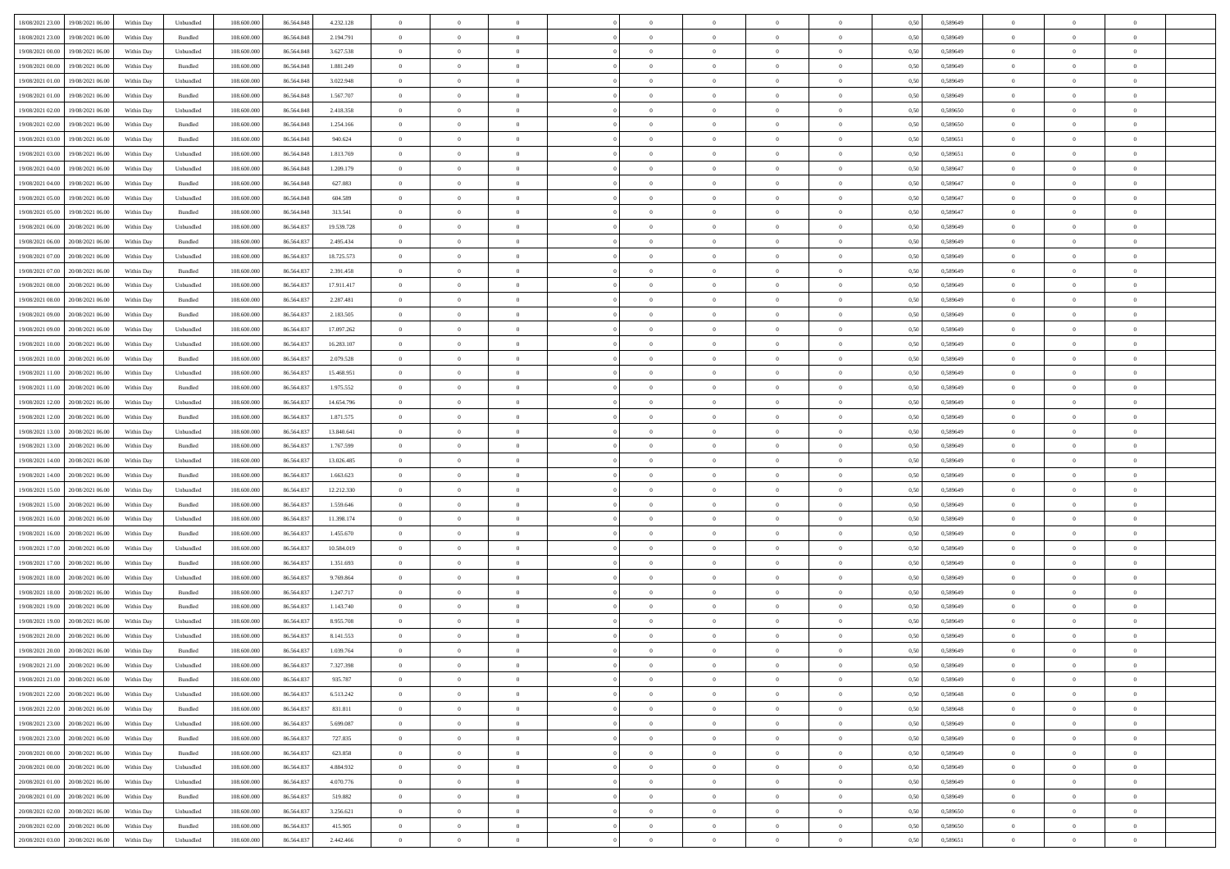| 18/08/2021 23:00 19/08/2021 06:00    | Within Day | Unbundled                   | 108.600.000 | 86.564.848 | 4.232.128  | $\overline{0}$ | $\overline{0}$ |                | $\overline{0}$ | $\theta$       |                | $\theta$       | 0,50 | 0,589649 | $\theta$       | $\theta$       | $\overline{0}$ |  |
|--------------------------------------|------------|-----------------------------|-------------|------------|------------|----------------|----------------|----------------|----------------|----------------|----------------|----------------|------|----------|----------------|----------------|----------------|--|
| 18/08/2021 23:00<br>19/08/2021 06:00 | Within Day | Bundled                     | 108.600.00  | 86.564.848 | 2.194.791  | $\bf{0}$       | $\bf{0}$       | $\bf{0}$       | $\overline{0}$ | $\overline{0}$ | $\overline{0}$ | $\bf{0}$       | 0,50 | 0,589649 | $\,$ 0 $\,$    | $\bf{0}$       | $\overline{0}$ |  |
| 19/08/2021 00:00<br>19/08/2021 06:00 | Within Day | Unbundled                   | 108,600,000 | 86,564,848 | 3.627.538  | $\overline{0}$ | $\bf{0}$       | $\overline{0}$ | $\bf{0}$       | $\bf{0}$       | $\overline{0}$ | $\bf{0}$       | 0.50 | 0.589649 | $\bf{0}$       | $\overline{0}$ | $\overline{0}$ |  |
| 19/08/2021 00:00<br>19/08/2021 06:00 |            |                             | 108.600.000 |            |            | $\overline{0}$ | $\overline{0}$ | $\overline{0}$ | $\theta$       | $\theta$       | $\overline{0}$ |                |      |          | $\theta$       | $\theta$       | $\overline{0}$ |  |
|                                      | Within Day | Bundled                     |             | 86.564.848 | 1.881.249  |                |                |                |                |                |                | $\bf{0}$       | 0,50 | 0,589649 |                |                |                |  |
| 19/08/2021 01:00<br>19/08/2021 06:00 | Within Day | Unbundled                   | 108.600.00  | 86.564.848 | 3.022.948  | $\bf{0}$       | $\overline{0}$ | $\bf{0}$       | $\overline{0}$ | $\theta$       | $\overline{0}$ | $\bf{0}$       | 0,50 | 0,589649 | $\,$ 0 $\,$    | $\bf{0}$       | $\overline{0}$ |  |
| 19/08/2021 01:00<br>19/08/2021 06:00 | Within Day | Bundled                     | 108,600,000 | 86.564.848 | 1.567.707  | $\overline{0}$ | $\overline{0}$ | $\overline{0}$ | $\bf{0}$       | $\overline{0}$ | $\theta$       | $\bf{0}$       | 0.50 | 0.589649 | $\bf{0}$       | $\theta$       | $\overline{0}$ |  |
| 19/08/2021 02:00<br>19/08/2021 06:00 | Within Day | Unbundled                   | 108.600.000 | 86.564.848 | 2.418.358  | $\overline{0}$ | $\overline{0}$ | $\overline{0}$ | $\overline{0}$ | $\overline{0}$ | $\overline{0}$ | $\bf{0}$       | 0,50 | 0,589650 | $\,$ 0 $\,$    | $\theta$       | $\overline{0}$ |  |
|                                      |            |                             |             |            |            |                |                |                |                |                |                |                |      |          |                |                |                |  |
| 19/08/2021 02:00<br>19/08/2021 06:00 | Within Day | Bundled                     | 108.600.00  | 86.564.848 | 1.254.166  | $\bf{0}$       | $\bf{0}$       | $\bf{0}$       | $\overline{0}$ | $\overline{0}$ | $\overline{0}$ | $\bf{0}$       | 0,50 | 0,589650 | $\,$ 0 $\,$    | $\bf{0}$       | $\overline{0}$ |  |
| 19/08/2021 03:00<br>19/08/2021 06:00 | Within Day | Bundled                     | 108,600,000 | 86.564.848 | 940.624    | $\overline{0}$ | $\bf{0}$       | $\overline{0}$ | $\bf{0}$       | $\overline{0}$ | $\overline{0}$ | $\bf{0}$       | 0.50 | 0.589651 | $\bf{0}$       | $\overline{0}$ | $\overline{0}$ |  |
| 19/08/2021 03:00<br>19/08/2021 06:00 | Within Day | Unbundled                   | 108.600.000 | 86.564.848 | 1.813.769  | $\overline{0}$ | $\bf{0}$       | $\overline{0}$ | $\overline{0}$ | $\overline{0}$ | $\overline{0}$ | $\bf{0}$       | 0,50 | 0,589651 | $\,$ 0 $\,$    | $\bf{0}$       | $\overline{0}$ |  |
| 19/08/2021 04:00<br>19/08/2021 06:00 | Within Day | Unbundled                   | 108.600.00  | 86.564.848 | 1.209.179  | $\bf{0}$       | $\overline{0}$ | $\bf{0}$       | $\bf{0}$       | $\bf{0}$       | $\overline{0}$ | $\bf{0}$       | 0,50 | 0,589647 | $\,$ 0 $\,$    | $\bf{0}$       | $\overline{0}$ |  |
|                                      |            |                             |             |            |            |                |                |                |                |                |                |                |      |          |                |                |                |  |
| 19/08/2021 04:00<br>19/08/2021 06:00 | Within Day | Bundled                     | 108,600,000 | 86,564,848 | 627.083    | $\overline{0}$ | $\bf{0}$       | $\overline{0}$ | $\overline{0}$ | $\bf{0}$       | $\overline{0}$ | $\bf{0}$       | 0.50 | 0.589647 | $\bf{0}$       | $\overline{0}$ | $\overline{0}$ |  |
| 19/08/2021 05:00<br>19/08/2021 06:00 | Within Day | Unbundled                   | 108.600.000 | 86.564.848 | 604.589    | $\overline{0}$ | $\overline{0}$ | $\overline{0}$ | $\theta$       | $\theta$       | $\overline{0}$ | $\bf{0}$       | 0,50 | 0,589647 | $\,$ 0 $\,$    | $\theta$       | $\overline{0}$ |  |
| 19/08/2021 05:00<br>19/08/2021 06:00 | Within Day | Bundled                     | 108.600.00  | 86.564.848 | 313.541    | $\bf{0}$       | $\overline{0}$ | $\bf{0}$       | $\overline{0}$ | $\theta$       | $\overline{0}$ | $\bf{0}$       | 0,50 | 0,589647 | $\bf{0}$       | $\bf{0}$       | $\overline{0}$ |  |
|                                      |            |                             |             |            |            |                |                |                |                |                |                |                |      |          |                |                |                |  |
| 19/08/2021 06:00<br>20/08/2021 06:00 | Within Day | Unbundled                   | 108,600,000 | 86,564,837 | 19.539.728 | $\overline{0}$ | $\overline{0}$ | $\overline{0}$ | $\bf{0}$       | $\overline{0}$ | $\Omega$       | $\bf{0}$       | 0.50 | 0.589649 | $\bf{0}$       | $\theta$       | $\overline{0}$ |  |
| 19/08/2021 06:00<br>20/08/2021 06:00 | Within Day | Bundled                     | 108.600.000 | 86.564.837 | 2.495.434  | $\overline{0}$ | $\overline{0}$ | $\overline{0}$ | $\overline{0}$ | $\overline{0}$ | $\overline{0}$ | $\bf{0}$       | 0,50 | 0,589649 | $\theta$       | $\theta$       | $\overline{0}$ |  |
| 19/08/2021 07:00<br>20/08/2021 06:00 | Within Day | Unbundled                   | 108.600.00  | 86.564.837 | 18.725.573 | $\bf{0}$       | $\overline{0}$ | $\bf{0}$       | $\overline{0}$ | $\theta$       | $\overline{0}$ | $\bf{0}$       | 0,50 | 0,589649 | $\,$ 0 $\,$    | $\bf{0}$       | $\overline{0}$ |  |
| 19/08/2021 07:00<br>20/08/2021 06:00 | Within Day | Bundled                     | 108,600,000 | 86.564.83  | 2.391.458  | $\overline{0}$ | $\bf{0}$       | $\overline{0}$ | $\bf{0}$       | $\overline{0}$ | $\overline{0}$ | $\bf{0}$       | 0.50 | 0.589649 | $\bf{0}$       | $\overline{0}$ | $\overline{0}$ |  |
| 19/08/2021 08:00<br>20/08/2021 06:00 | Within Day | Unbundled                   | 108.600.000 | 86.564.837 | 17.911.417 | $\bf{0}$       | $\bf{0}$       | $\overline{0}$ | $\overline{0}$ | $\overline{0}$ | $\overline{0}$ | $\bf{0}$       | 0,50 | 0,589649 | $\,$ 0 $\,$    | $\bf{0}$       | $\overline{0}$ |  |
|                                      |            |                             |             |            |            |                |                |                |                |                |                |                |      |          |                |                |                |  |
| 19/08/2021 08:00<br>20/08/2021 06:00 | Within Day | Bundled                     | 108.600.00  | 86.564.83  | 2.287.481  | $\bf{0}$       | $\bf{0}$       | $\bf{0}$       | $\bf{0}$       | $\overline{0}$ | $\overline{0}$ | $\bf{0}$       | 0,50 | 0,589649 | $\,$ 0 $\,$    | $\bf{0}$       | $\overline{0}$ |  |
| 19/08/2021 09:00<br>20/08/2021 06:00 | Within Day | Bundled                     | 108,600,000 | 86.564.837 | 2.183.505  | $\overline{0}$ | $\bf{0}$       | $\overline{0}$ | $\overline{0}$ | $\bf{0}$       | $\overline{0}$ | $\bf{0}$       | 0.50 | 0.589649 | $\bf{0}$       | $\overline{0}$ | $\overline{0}$ |  |
| 19/08/2021 09:00<br>20/08/2021 06:00 | Within Day | Unbundled                   | 108.600.000 | 86.564.837 | 17.097.262 | $\overline{0}$ | $\overline{0}$ | $\overline{0}$ | $\theta$       | $\theta$       | $\overline{0}$ | $\bf{0}$       | 0,50 | 0,589649 | $\theta$       | $\theta$       | $\overline{0}$ |  |
| 19/08/2021 10:00<br>20/08/2021 06:00 | Within Day | Unbundled                   | 108.600.00  | 86.564.83  | 16.283.107 | $\bf{0}$       | $\overline{0}$ | $\bf{0}$       | $\bf{0}$       | $\,$ 0 $\,$    | $\overline{0}$ | $\bf{0}$       | 0,50 | 0,589649 | $\,$ 0 $\,$    | $\bf{0}$       | $\overline{0}$ |  |
|                                      |            |                             |             |            |            |                |                |                |                |                |                |                |      |          |                |                |                |  |
| 19/08/2021 10:00<br>20/08/2021 06:00 | Within Day | Bundled                     | 108,600,000 | 86.564.83  | 2.079.528  | $\overline{0}$ | $\overline{0}$ | $\overline{0}$ | $\bf{0}$       | $\overline{0}$ | $\Omega$       | $\bf{0}$       | 0.50 | 0.589649 | $\,$ 0 $\,$    | $\theta$       | $\overline{0}$ |  |
| 19/08/2021 11:00<br>20/08/2021 06:00 | Within Day | Unbundled                   | 108.600.000 | 86.564.837 | 15.468.951 | $\overline{0}$ | $\overline{0}$ | $\overline{0}$ | $\overline{0}$ | $\overline{0}$ | $\overline{0}$ | $\bf{0}$       | 0,50 | 0,589649 | $\,$ 0 $\,$    | $\theta$       | $\overline{0}$ |  |
| 19/08/2021 11:00<br>20/08/2021 06:00 | Within Day | Bundled                     | 108.600.00  | 86.564.83  | 1.975.552  | $\bf{0}$       | $\overline{0}$ | $\bf{0}$       | $\overline{0}$ | $\bf{0}$       | $\overline{0}$ | $\bf{0}$       | 0,50 | 0,589649 | $\,$ 0 $\,$    | $\bf{0}$       | $\overline{0}$ |  |
| 19/08/2021 12:00<br>20/08/2021 06:00 | Within Day | Unbundled                   | 108,600,000 | 86.564.83  | 14.654.796 | $\overline{0}$ | $\bf{0}$       | $\overline{0}$ | $\bf{0}$       | $\overline{0}$ | $\overline{0}$ | $\bf{0}$       | 0.50 | 0.589649 | $\bf{0}$       | $\overline{0}$ | $\overline{0}$ |  |
|                                      |            |                             |             |            |            |                |                |                |                |                |                |                |      |          |                |                |                |  |
| 19/08/2021 12:00<br>20/08/2021 06:00 | Within Day | Bundled                     | 108.600.000 | 86.564.837 | 1.871.575  | $\overline{0}$ | $\bf{0}$       | $\overline{0}$ | $\overline{0}$ | $\overline{0}$ | $\overline{0}$ | $\bf{0}$       | 0,50 | 0,589649 | $\theta$       | $\theta$       | $\overline{0}$ |  |
| 19/08/2021 13:00<br>20/08/2021 06:00 | Within Day | Unbundled                   | 108.600.00  | 86.564.83  | 13.840.641 | $\bf{0}$       | $\bf{0}$       | $\bf{0}$       | $\bf{0}$       | $\overline{0}$ | $\overline{0}$ | $\bf{0}$       | 0,50 | 0,589649 | $\,$ 0 $\,$    | $\bf{0}$       | $\overline{0}$ |  |
| 19/08/2021 13:00<br>20/08/2021 06:00 | Within Day | Bundled                     | 108,600,000 | 86.564.837 | 1.767.599  | $\overline{0}$ | $\bf{0}$       | $\overline{0}$ | $\bf{0}$       | $\bf{0}$       | $\overline{0}$ | $\bf{0}$       | 0.50 | 0.589649 | $\bf{0}$       | $\overline{0}$ | $\overline{0}$ |  |
| 19/08/2021 14:00<br>20/08/2021 06:00 | Within Day | Unbundled                   | 108.600.000 | 86,564,837 | 13.026.485 | $\overline{0}$ | $\overline{0}$ | $\overline{0}$ | $\overline{0}$ | $\overline{0}$ | $\overline{0}$ | $\bf{0}$       | 0.50 | 0.589649 | $\theta$       | $\theta$       | $\overline{0}$ |  |
|                                      |            |                             |             |            |            |                |                |                |                |                |                |                |      |          |                |                |                |  |
| 19/08/2021 14:00<br>20/08/2021 06:00 | Within Day | Bundled                     | 108.600.00  | 86.564.83  | 1.663.623  | $\bf{0}$       | $\overline{0}$ | $\bf{0}$       | $\bf{0}$       | $\,$ 0 $\,$    | $\overline{0}$ | $\bf{0}$       | 0,50 | 0,589649 | $\,$ 0 $\,$    | $\bf{0}$       | $\overline{0}$ |  |
| 19/08/2021 15:00<br>20/08/2021 06:00 | Within Day | Unbundled                   | 108,600,000 | 86,564,837 | 12.212.330 | $\overline{0}$ | $\bf{0}$       | $\overline{0}$ | $\bf{0}$       | $\overline{0}$ | $\Omega$       | $\bf{0}$       | 0.50 | 0.589649 | $\,$ 0 $\,$    | $\theta$       | $\overline{0}$ |  |
| 19/08/2021 15:00<br>20/08/2021 06:00 | Within Dav | Bundled                     | 108.600.000 | 86.564.837 | 1.559.646  | $\overline{0}$ | $\overline{0}$ | $\overline{0}$ | $\overline{0}$ | $\theta$       | $\overline{0}$ | $\bf{0}$       | 0.50 | 0.589649 | $\theta$       | $\theta$       | $\overline{0}$ |  |
| 19/08/2021 16:00<br>20/08/2021 06:00 | Within Day | Unbundled                   | 108.600.00  | 86.564.83  | 11.398.174 | $\bf{0}$       | $\bf{0}$       | $\bf{0}$       | $\bf{0}$       | $\bf{0}$       | $\overline{0}$ | $\bf{0}$       | 0,50 | 0,589649 | $\,$ 0 $\,$    | $\bf{0}$       | $\overline{0}$ |  |
| 19/08/2021 16:00<br>20/08/2021 06:00 | Within Day | Bundled                     | 108,600,000 | 86.564.83  | 1.455.670  | $\overline{0}$ | $\bf{0}$       | $\overline{0}$ | $\bf{0}$       | $\overline{0}$ | $\overline{0}$ | $\bf{0}$       | 0.50 | 0.589649 | $\bf{0}$       | $\overline{0}$ | $\overline{0}$ |  |
|                                      |            |                             |             |            |            |                |                |                |                |                |                |                |      |          |                |                |                |  |
| 19/08/2021 17:00<br>20/08/2021 06:00 | Within Dav | Unbundled                   | 108.600.000 | 86.564.837 | 10.584.019 | $\overline{0}$ | $\overline{0}$ | $\overline{0}$ | $\overline{0}$ | $\overline{0}$ | $\overline{0}$ | $\bf{0}$       | 0.50 | 0.589649 | $\theta$       | $\theta$       | $\overline{0}$ |  |
| 19/08/2021 17:00<br>20/08/2021 06:00 | Within Day | Bundled                     | 108.600.00  | 86.564.83  | 1.351.693  | $\bf{0}$       | $\bf{0}$       | $\bf{0}$       | $\bf{0}$       | $\overline{0}$ | $\overline{0}$ | $\bf{0}$       | 0,50 | 0,589649 | $\,$ 0 $\,$    | $\bf{0}$       | $\overline{0}$ |  |
| 19/08/2021 18:00<br>20/08/2021 06:00 | Within Day | Unbundled                   | 108,600,000 | 86.564.837 | 9.769.864  | $\overline{0}$ | $\bf{0}$       | $\overline{0}$ | $\overline{0}$ | $\bf{0}$       | $\overline{0}$ | $\bf{0}$       | 0.50 | 0.589649 | $\bf{0}$       | $\overline{0}$ | $\overline{0}$ |  |
| 19/08/2021 18:00<br>20/08/2021 06:00 | Within Dav | Bundled                     | 108.600.000 | 86.564.837 | 1.247.717  | $\overline{0}$ | $\overline{0}$ | $\overline{0}$ | $\overline{0}$ | $\theta$       | $\overline{0}$ | $\bf{0}$       | 0.50 | 0.589649 | $\theta$       | $\theta$       | $\overline{0}$ |  |
|                                      |            |                             |             |            |            |                |                |                |                |                |                |                |      |          |                |                |                |  |
| 19/08/2021 19:00<br>20/08/2021 06:00 | Within Day | Bundled                     | 108.600.00  | 86.564.83  | 1.143.740  | $\bf{0}$       | $\bf{0}$       | $\bf{0}$       | $\bf{0}$       | $\overline{0}$ | $\overline{0}$ | $\bf{0}$       | 0,50 | 0,589649 | $\,$ 0 $\,$    | $\bf{0}$       | $\overline{0}$ |  |
| 19/08/2021 19:00<br>20/08/2021 06:00 | Within Day | Unbundled                   | 108,600,000 | 86.564.83  | 8.955.708  | $\overline{0}$ | $\overline{0}$ | $\overline{0}$ | $\bf{0}$       | $\theta$       | $\Omega$       | $\bf{0}$       | 0.50 | 0.589649 | $\,$ 0 $\,$    | $\theta$       | $\overline{0}$ |  |
| 19/08/2021 20:00<br>20/08/2021 06:00 | Within Dav | Unbundled                   | 108.600.000 | 86,564,837 | 8.141.553  | $\overline{0}$ | $\overline{0}$ | $\Omega$       | $\overline{0}$ | $\theta$       | $\Omega$       | $\overline{0}$ | 0.5( | 0.589649 | $\theta$       | $\theta$       | $\overline{0}$ |  |
| 19/08/2021 20:00<br>20/08/2021 06:00 | Within Day | Bundled                     | 108.600.00  | 86.564.837 | 1.039.764  | $\bf{0}$       | $\bf{0}$       | $\bf{0}$       | $\bf{0}$       | $\bf{0}$       | $\overline{0}$ | $\bf{0}$       | 0,50 | 0,589649 | $\,$ 0 $\,$    | $\bf{0}$       | $\overline{0}$ |  |
| 19/08/2021 21:00 20/08/2021 06:00    |            |                             | 108.600.000 |            |            |                |                |                |                |                |                |                |      | 0.589649 |                |                |                |  |
|                                      | Within Day | $\ensuremath{\mathsf{Unb}}$ |             | 86.564.837 | 7.327.398  | $\bf{0}$       | $\theta$       |                | $\Omega$       |                |                |                | 0,50 |          | $\theta$       | $\overline{0}$ |                |  |
| 19/08/2021 21:00 20/08/2021 06:00    | Within Day | Bundled                     | 108.600.000 | 86.564.837 | 935.787    | $\overline{0}$ | $\overline{0}$ | $\overline{0}$ | $\theta$       | $\overline{0}$ | $\overline{0}$ | $\bf{0}$       | 0,50 | 0,589649 | $\theta$       | $\theta$       | $\overline{0}$ |  |
| 19/08/2021 22:00<br>20/08/2021 06:00 | Within Day | Unbundled                   | 108.600.00  | 86.564.837 | 6.513.242  | $\overline{0}$ | $\bf{0}$       | $\overline{0}$ | $\overline{0}$ | $\bf{0}$       | $\overline{0}$ | $\bf{0}$       | 0,50 | 0,589648 | $\bf{0}$       | $\overline{0}$ | $\bf{0}$       |  |
| 19/08/2021 22:00 20/08/2021 06:00    | Within Day | Bundled                     | 108,600,000 | 86.564.837 | 831.811    | $\overline{0}$ | $\overline{0}$ | $\overline{0}$ | $\overline{0}$ | $\mathbf{0}$   | $\overline{0}$ | $\,$ 0 $\,$    | 0.50 | 0.589648 | $\overline{0}$ | $\bf{0}$       | $\bf{0}$       |  |
| 19/08/2021 23:00 20/08/2021 06:00    | Within Day | Unbundled                   | 108.600.000 | 86.564.837 | 5.699.087  | $\overline{0}$ | $\overline{0}$ | $\overline{0}$ | $\overline{0}$ | $\overline{0}$ | $\overline{0}$ | $\bf{0}$       | 0,50 | 0.589649 | $\overline{0}$ | $\theta$       | $\overline{0}$ |  |
|                                      |            |                             |             |            |            |                |                |                |                |                |                |                |      |          |                |                |                |  |
| 19/08/2021 23:00<br>20/08/2021 06:00 | Within Day | Bundled                     | 108.600.000 | 86.564.837 | 727.835    | $\overline{0}$ | $\bf{0}$       | $\overline{0}$ | $\overline{0}$ | $\bf{0}$       | $\overline{0}$ | $\bf{0}$       | 0,50 | 0,589649 | $\bf{0}$       | $\overline{0}$ | $\overline{0}$ |  |
| 20/08/2021 00:00<br>20/08/2021 06:00 | Within Day | Bundled                     | 108,600,000 | 86.564.837 | 623.858    | $\overline{0}$ | $\bf{0}$       | $\overline{0}$ | $\overline{0}$ | $\bf{0}$       | $\overline{0}$ | $\bf{0}$       | 0.50 | 0.589649 | $\,$ 0 $\,$    | $\overline{0}$ | $\,$ 0         |  |
| 20/08/2021 00:00 20/08/2021 06:00    | Within Dav | Unbundled                   | 108.600.000 | 86.564.837 | 4.884.932  | $\overline{0}$ | $\overline{0}$ | $\overline{0}$ | $\overline{0}$ | $\overline{0}$ | $\overline{0}$ | $\bf{0}$       | 0,50 | 0.589649 | $\overline{0}$ | $\theta$       | $\overline{0}$ |  |
| 20/08/2021 01:00                     |            |                             |             |            |            |                | $\overline{0}$ |                |                | $\overline{0}$ |                |                |      |          | $\bf{0}$       | $\overline{0}$ | $\,$ 0         |  |
| 20/08/2021 06:00                     | Within Day | Unbundled                   | 108.600.00  | 86.564.837 | 4.070.776  | $\overline{0}$ |                | $\overline{0}$ | $\overline{0}$ |                | $\overline{0}$ | $\bf{0}$       | 0,50 | 0,589649 |                |                |                |  |
| 20/08/2021 01:00 20/08/2021 06:00    | Within Day | Bundled                     | 108,600,000 | 86,564,837 | 519.882    | $\overline{0}$ | $\overline{0}$ | $\overline{0}$ | $\overline{0}$ | $\overline{0}$ | $\overline{0}$ | $\bf{0}$       | 0.50 | 0.589649 | $\mathbf{0}$   | $\bf{0}$       | $\,$ 0         |  |
| 20/08/2021 02:00 20/08/2021 06:00    | Within Dav | Unbundled                   | 108.600.000 | 86.564.837 | 3.256.621  | $\overline{0}$ | $\overline{0}$ | $\overline{0}$ | $\overline{0}$ | $\overline{0}$ | $\overline{0}$ | $\bf{0}$       | 0,50 | 0,589650 | $\overline{0}$ | $\theta$       | $\overline{0}$ |  |
| 20/08/2021 02:00<br>20/08/2021 06:00 | Within Day | Bundled                     | 108.600.00  | 86.564.837 | 415.905    | $\overline{0}$ | $\bf{0}$       | $\overline{0}$ | $\overline{0}$ | $\overline{0}$ | $\overline{0}$ | $\bf{0}$       | 0,50 | 0,589650 | $\bf{0}$       | $\overline{0}$ | $\bf{0}$       |  |
|                                      |            |                             |             |            |            |                |                |                |                |                |                |                |      |          |                |                |                |  |
| 20/08/2021 03:00 20/08/2021 06:00    | Within Day | Unbundled                   | 108.600.000 | 86.564.837 | 2.442.466  | $\,$ 0 $\,$    | $\bf{0}$       | $\overline{0}$ | $\overline{0}$ | $\,$ 0 $\,$    | $\overline{0}$ | $\,$ 0 $\,$    | 0,50 | 0,589651 | $\overline{0}$ | $\,$ 0 $\,$    | $\,$ 0 $\,$    |  |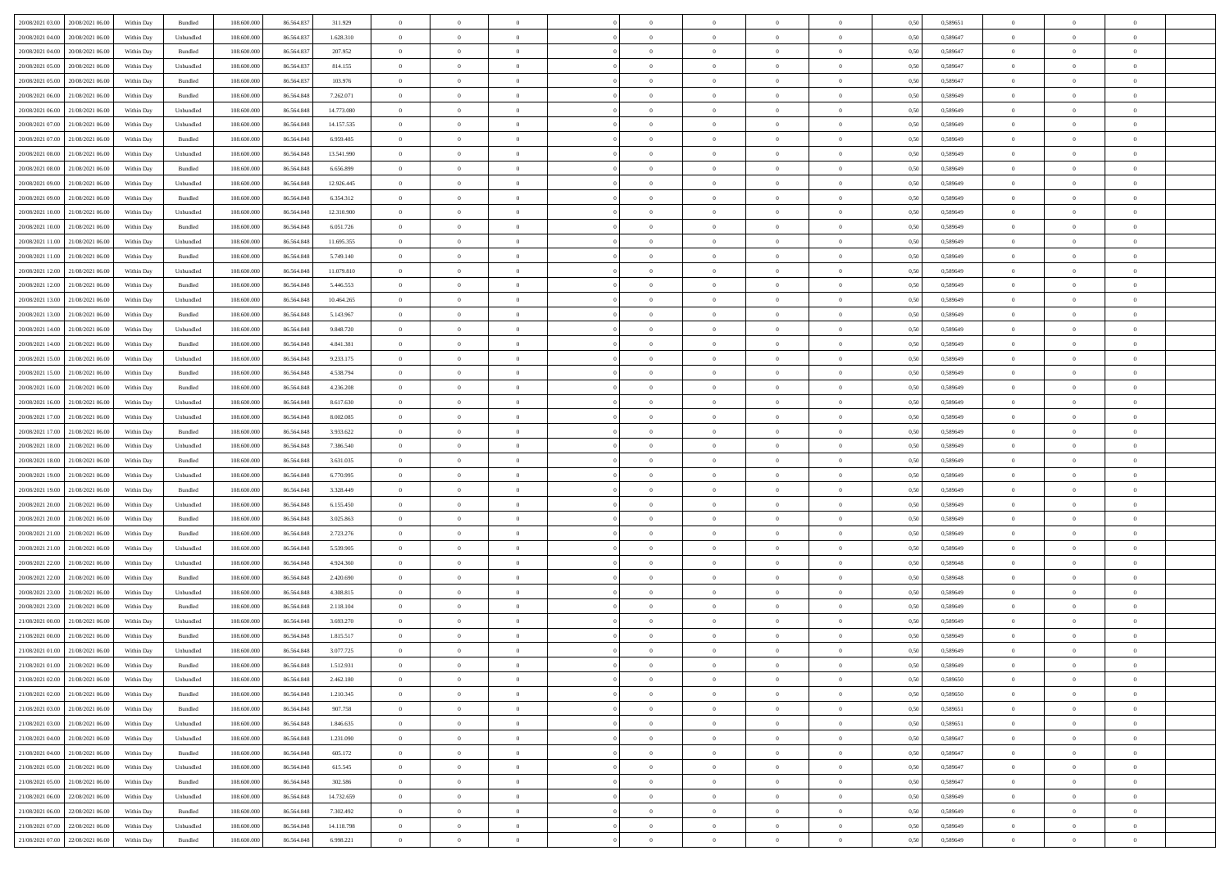| 20/08/2021 03:00 20/08/2021 06:00    | Within Day | Bundled            | 108.600.000 | 86.564.837 | 311.929    | $\overline{0}$ | $\theta$       |                | $\overline{0}$ | $\theta$       |                | $\theta$       | 0,50 | 0,589651 | $\theta$       | $\theta$       | $\theta$       |  |
|--------------------------------------|------------|--------------------|-------------|------------|------------|----------------|----------------|----------------|----------------|----------------|----------------|----------------|------|----------|----------------|----------------|----------------|--|
| 20/08/2021 04:00<br>20/08/2021 06:00 | Within Day | Unbundled          | 108.600.00  | 86.564.83  | 1.628.310  | $\bf{0}$       | $\bf{0}$       | $\bf{0}$       | $\bf{0}$       | $\overline{0}$ | $\overline{0}$ | $\bf{0}$       | 0,50 | 0,589647 | $\,$ 0 $\,$    | $\bf{0}$       | $\overline{0}$ |  |
| 20/08/2021 04:00<br>20/08/2021 06:00 | Within Day | Bundled            | 108,600,000 | 86.564.83  | 207.952    | $\overline{0}$ | $\bf{0}$       | $\overline{0}$ | $\bf{0}$       | $\bf{0}$       | $\overline{0}$ | $\bf{0}$       | 0.50 | 0.589647 | $\bf{0}$       | $\overline{0}$ | $\bf{0}$       |  |
| 20/08/2021 05:00<br>20/08/2021 06:00 |            |                    | 108.600.000 |            |            | $\overline{0}$ | $\overline{0}$ | $\overline{0}$ | $\overline{0}$ | $\theta$       | $\overline{0}$ |                |      |          | $\theta$       | $\theta$       | $\overline{0}$ |  |
|                                      | Within Day | Unbundled          |             | 86.564.837 | 814.155    |                |                |                |                |                |                | $\bf{0}$       | 0,50 | 0,589647 |                |                |                |  |
| 20/08/2021 05:00<br>20/08/2021 06:00 | Within Day | Bundled            | 108.600.00  | 86.564.83  | 103.976    | $\bf{0}$       | $\overline{0}$ | $\bf{0}$       | $\overline{0}$ | $\theta$       | $\overline{0}$ | $\bf{0}$       | 0,50 | 0,589647 | $\,$ 0 $\,$    | $\bf{0}$       | $\overline{0}$ |  |
| 20/08/2021 06:00<br>21/08/2021 06:00 | Within Day | Bundled            | 108,600,000 | 86.564.848 | 7.262.071  | $\overline{0}$ | $\overline{0}$ | $\overline{0}$ | $\bf{0}$       | $\overline{0}$ | $\theta$       | $\bf{0}$       | 0.50 | 0.589649 | $\,$ 0 $\,$    | $\theta$       | $\overline{0}$ |  |
| 20/08/2021 06:00<br>21/08/2021 06:00 | Within Day | Unbundled          | 108.600.000 | 86.564.848 | 14.773.080 | $\overline{0}$ | $\overline{0}$ | $\overline{0}$ | $\overline{0}$ | $\overline{0}$ | $\overline{0}$ | $\bf{0}$       | 0,50 | 0,589649 | $\theta$       | $\theta$       | $\overline{0}$ |  |
|                                      |            |                    |             |            |            |                |                |                |                |                |                |                |      |          |                |                |                |  |
| 20/08/2021 07:00<br>21/08/2021 06:00 | Within Day | Unbundled          | 108.600.00  | 86.564.848 | 14.157.535 | $\bf{0}$       | $\bf{0}$       | $\bf{0}$       | $\overline{0}$ | $\overline{0}$ | $\overline{0}$ | $\bf{0}$       | 0,50 | 0,589649 | $\,$ 0 $\,$    | $\bf{0}$       | $\overline{0}$ |  |
| 20/08/2021 07:00<br>21/08/2021 06:00 | Within Day | Bundled            | 108,600,000 | 86.564.848 | 6.959.485  | $\overline{0}$ | $\bf{0}$       | $\overline{0}$ | $\bf{0}$       | $\overline{0}$ | $\overline{0}$ | $\bf{0}$       | 0.50 | 0.589649 | $\bf{0}$       | $\overline{0}$ | $\overline{0}$ |  |
| 20/08/2021 08:00<br>21/08/2021 06:00 | Within Day | Unbundled          | 108.600.000 | 86.564.848 | 13.541.990 | $\bf{0}$       | $\bf{0}$       | $\overline{0}$ | $\overline{0}$ | $\overline{0}$ | $\overline{0}$ | $\bf{0}$       | 0,50 | 0,589649 | $\,$ 0 $\,$    | $\bf{0}$       | $\overline{0}$ |  |
| 20/08/2021 08:00<br>21/08/2021 06:00 | Within Day | Bundled            | 108.600.00  | 86.564.848 | 6.656.899  | $\bf{0}$       | $\overline{0}$ | $\bf{0}$       | $\bf{0}$       | $\overline{0}$ | $\overline{0}$ | $\bf{0}$       | 0,50 | 0,589649 | $\,$ 0 $\,$    | $\bf{0}$       | $\overline{0}$ |  |
|                                      |            |                    |             |            |            |                |                |                |                |                |                |                |      |          |                |                |                |  |
| 20/08/2021 09:00<br>21/08/2021 06:00 | Within Day | Unbundled          | 108,600,000 | 86,564,848 | 12.926.445 | $\overline{0}$ | $\bf{0}$       | $\overline{0}$ | $\overline{0}$ | $\bf{0}$       | $\overline{0}$ | $\bf{0}$       | 0.50 | 0.589649 | $\bf{0}$       | $\overline{0}$ | $\,$ 0         |  |
| 20/08/2021 09:00<br>21/08/2021 06:00 | Within Day | Bundled            | 108.600.000 | 86.564.848 | 6.354.312  | $\overline{0}$ | $\overline{0}$ | $\overline{0}$ | $\theta$       | $\theta$       | $\overline{0}$ | $\bf{0}$       | 0,50 | 0,589649 | $\,$ 0 $\,$    | $\theta$       | $\overline{0}$ |  |
| 20/08/2021 10:00<br>21/08/2021 06:00 | Within Day | Unbundled          | 108.600.00  | 86.564.848 | 12.310.900 | $\bf{0}$       | $\overline{0}$ | $\bf{0}$       | $\overline{0}$ | $\bf{0}$       | $\overline{0}$ | $\bf{0}$       | 0,50 | 0,589649 | $\,$ 0 $\,$    | $\bf{0}$       | $\overline{0}$ |  |
| 20/08/2021 10:00<br>21/08/2021 06:00 | Within Day | Bundled            | 108,600,000 | 86.564.848 | 6.051.726  | $\overline{0}$ | $\overline{0}$ | $\overline{0}$ | $\bf{0}$       | $\overline{0}$ | $\theta$       | $\bf{0}$       | 0.50 | 0.589649 | $\theta$       | $\theta$       | $\overline{0}$ |  |
| 20/08/2021 11:00<br>21/08/2021 06:00 | Within Day | Unbundled          | 108.600.000 | 86.564.848 | 11.695.355 | $\overline{0}$ | $\overline{0}$ | $\overline{0}$ | $\overline{0}$ | $\overline{0}$ | $\overline{0}$ | $\bf{0}$       | 0,50 | 0,589649 | $\theta$       | $\theta$       | $\overline{0}$ |  |
|                                      |            |                    |             |            |            |                |                |                |                |                |                |                |      |          |                |                |                |  |
| 20/08/2021 11:00<br>21/08/2021 06:00 | Within Day | Bundled            | 108.600.00  | 86.564.848 | 5.749.140  | $\bf{0}$       | $\bf{0}$       | $\bf{0}$       | $\overline{0}$ | $\bf{0}$       | $\overline{0}$ | $\bf{0}$       | 0,50 | 0,589649 | $\,$ 0 $\,$    | $\bf{0}$       | $\overline{0}$ |  |
| 20/08/2021 12:00<br>21/08/2021 06:00 | Within Day | Unbundled          | 108 600 000 | 86.564.848 | 11.079.810 | $\overline{0}$ | $\bf{0}$       | $\overline{0}$ | $\bf{0}$       | $\overline{0}$ | $\overline{0}$ | $\bf{0}$       | 0.50 | 0.589649 | $\bf{0}$       | $\overline{0}$ | $\bf{0}$       |  |
| 20/08/2021 12:00<br>21/08/2021 06:00 | Within Day | Bundled            | 108.600.000 | 86.564.848 | 5.446.553  | $\overline{0}$ | $\bf{0}$       | $\overline{0}$ | $\overline{0}$ | $\overline{0}$ | $\overline{0}$ | $\bf{0}$       | 0,50 | 0,589649 | $\,$ 0 $\,$    | $\bf{0}$       | $\overline{0}$ |  |
| 20/08/2021 13:00<br>21/08/2021 06:00 | Within Day | Unbundled          | 108.600.00  | 86.564.848 | 10.464.265 | $\bf{0}$       | $\bf{0}$       | $\bf{0}$       | $\bf{0}$       | $\overline{0}$ | $\overline{0}$ | $\bf{0}$       | 0,50 | 0,589649 | $\,$ 0 $\,$    | $\bf{0}$       | $\overline{0}$ |  |
|                                      |            |                    |             |            |            |                |                |                |                |                |                |                |      |          |                |                |                |  |
| 20/08/2021 13:00<br>21/08/2021 06:00 | Within Day | Bundled            | 108,600,000 | 86,564,848 | 5.143.967  | $\overline{0}$ | $\bf{0}$       | $\overline{0}$ | $\overline{0}$ | $\bf{0}$       | $\overline{0}$ | $\bf{0}$       | 0.50 | 0.589649 | $\bf{0}$       | $\overline{0}$ | $\,$ 0         |  |
| 20/08/2021 14:00<br>21/08/2021 06:00 | Within Day | Unbundled          | 108.600.000 | 86.564.848 | 9.848.720  | $\overline{0}$ | $\overline{0}$ | $\overline{0}$ | $\overline{0}$ | $\theta$       | $\overline{0}$ | $\bf{0}$       | 0,50 | 0,589649 | $\theta$       | $\theta$       | $\overline{0}$ |  |
| 20/08/2021 14:00<br>21/08/2021 06:00 | Within Day | Bundled            | 108.600.00  | 86.564.848 | 4.841.381  | $\bf{0}$       | $\overline{0}$ | $\bf{0}$       | $\bf{0}$       | $\overline{0}$ | $\overline{0}$ | $\bf{0}$       | 0,50 | 0,589649 | $\,$ 0 $\,$    | $\bf{0}$       | $\overline{0}$ |  |
| 20/08/2021 15:00<br>21/08/2021 06:00 | Within Day | Unbundled          | 108,600,000 | 86.564.848 | 9.233.175  | $\overline{0}$ | $\overline{0}$ | $\overline{0}$ | $\bf{0}$       | $\overline{0}$ | $\theta$       | $\bf{0}$       | 0.50 | 0.589649 | $\,$ 0 $\,$    | $\theta$       | $\overline{0}$ |  |
| 20/08/2021 15:00<br>21/08/2021 06:00 | Within Day | Bundled            | 108.600.000 | 86.564.848 | 4.538.794  | $\overline{0}$ | $\overline{0}$ | $\overline{0}$ | $\overline{0}$ | $\overline{0}$ | $\overline{0}$ | $\bf{0}$       | 0,50 | 0,589649 | $\theta$       | $\theta$       | $\overline{0}$ |  |
|                                      |            |                    |             |            |            |                |                |                |                |                |                |                |      |          |                |                |                |  |
| 20/08/2021 16:00<br>21/08/2021 06:00 | Within Day | Bundled            | 108.600.00  | 86.564.848 | 4.236.208  | $\bf{0}$       | $\overline{0}$ | $\bf{0}$       | $\overline{0}$ | $\bf{0}$       | $\overline{0}$ | $\bf{0}$       | 0,50 | 0,589649 | $\,$ 0 $\,$    | $\bf{0}$       | $\overline{0}$ |  |
| 20/08/2021 16:00<br>21/08/2021 06:00 | Within Day | Unbundled          | 108,600,000 | 86.564.848 | 8.617.630  | $\overline{0}$ | $\bf{0}$       | $\overline{0}$ | $\bf{0}$       | $\overline{0}$ | $\overline{0}$ | $\bf{0}$       | 0.50 | 0.589649 | $\bf{0}$       | $\overline{0}$ | $\overline{0}$ |  |
| 20/08/2021 17:00<br>21/08/2021 06:00 | Within Day | Unbundled          | 108.600.000 | 86.564.848 | 8.002.085  | $\overline{0}$ | $\bf{0}$       | $\overline{0}$ | $\overline{0}$ | $\overline{0}$ | $\overline{0}$ | $\bf{0}$       | 0,50 | 0,589649 | $\theta$       | $\theta$       | $\overline{0}$ |  |
| 20/08/2021 17:00<br>21/08/2021 06:00 | Within Day | Bundled            | 108.600.00  | 86.564.848 | 3.933.622  | $\bf{0}$       | $\bf{0}$       | $\bf{0}$       | $\bf{0}$       | $\overline{0}$ | $\overline{0}$ | $\bf{0}$       | 0,50 | 0,589649 | $\,$ 0 $\,$    | $\bf{0}$       | $\overline{0}$ |  |
|                                      |            |                    |             |            |            |                |                |                |                |                |                |                |      |          |                |                |                |  |
| 20/08/2021 18:00<br>21/08/2021 06:00 | Within Day | Unbundled          | 108,600,000 | 86.564.848 | 7.386.540  | $\overline{0}$ | $\bf{0}$       | $\overline{0}$ | $\bf{0}$       | $\bf{0}$       | $\overline{0}$ | $\bf{0}$       | 0.50 | 0.589649 | $\bf{0}$       | $\overline{0}$ | $\,$ 0         |  |
| 20/08/2021 18:00<br>21/08/2021 06:00 | Within Day | Bundled            | 108.600.000 | 86,564,848 | 3.631.035  | $\overline{0}$ | $\overline{0}$ | $\overline{0}$ | $\overline{0}$ | $\overline{0}$ | $\overline{0}$ | $\bf{0}$       | 0.50 | 0.589649 | $\theta$       | $\theta$       | $\overline{0}$ |  |
| 20/08/2021 19:00<br>21/08/2021 06:00 | Within Day | Unbundled          | 108.600.00  | 86.564.848 | 6.770.995  | $\bf{0}$       | $\bf{0}$       | $\bf{0}$       | $\bf{0}$       | $\overline{0}$ | $\overline{0}$ | $\bf{0}$       | 0,50 | 0,589649 | $\,$ 0 $\,$    | $\bf{0}$       | $\overline{0}$ |  |
| 20/08/2021 19:00<br>21/08/2021 06:00 | Within Day | Bundled            | 108,600,000 | 86,564,848 | 3.328.449  | $\overline{0}$ | $\bf{0}$       | $\overline{0}$ | $\bf{0}$       | $\overline{0}$ | $\theta$       | $\bf{0}$       | 0.50 | 0.589649 | $\,$ 0 $\,$    | $\theta$       | $\overline{0}$ |  |
| 20/08/2021 20:00<br>21/08/2021 06:00 | Within Dav | Unbundled          | 108.600.000 | 86.564.848 | 6.155.450  | $\overline{0}$ | $\overline{0}$ | $\overline{0}$ | $\overline{0}$ | $\overline{0}$ | $\overline{0}$ | $\bf{0}$       | 0.50 | 0.589649 | $\theta$       | $\theta$       | $\overline{0}$ |  |
|                                      |            |                    |             |            |            |                |                |                |                |                |                |                |      |          |                |                |                |  |
| 20/08/2021 20:00<br>21/08/2021 06:00 | Within Day | Bundled            | 108.600.00  | 86.564.848 | 3.025.863  | $\bf{0}$       | $\bf{0}$       | $\bf{0}$       | $\bf{0}$       | $\overline{0}$ | $\overline{0}$ | $\bf{0}$       | 0,50 | 0,589649 | $\,$ 0 $\,$    | $\bf{0}$       | $\overline{0}$ |  |
| 20/08/2021 21:00<br>21/08/2021 06:00 | Within Day | Bundled            | 108,600,000 | 86.564.848 | 2.723.276  | $\overline{0}$ | $\bf{0}$       | $\overline{0}$ | $\bf{0}$       | $\overline{0}$ | $\overline{0}$ | $\bf{0}$       | 0.50 | 0.589649 | $\bf{0}$       | $\overline{0}$ | $\bf{0}$       |  |
| 20/08/2021 21:00<br>21/08/2021 06:00 | Within Dav | Unbundled          | 108.600.000 | 86,564,848 | 5.539.905  | $\overline{0}$ | $\overline{0}$ | $\overline{0}$ | $\overline{0}$ | $\overline{0}$ | $\overline{0}$ | $\bf{0}$       | 0.50 | 0.589649 | $\theta$       | $\theta$       | $\overline{0}$ |  |
| 20/08/2021 22:00<br>21/08/2021 06:00 | Within Day | Unbundled          | 108.600.00  | 86.564.848 | 4.924.360  | $\bf{0}$       | $\bf{0}$       | $\bf{0}$       | $\bf{0}$       | $\overline{0}$ | $\overline{0}$ | $\bf{0}$       | 0,50 | 0,589648 | $\,$ 0 $\,$    | $\bf{0}$       | $\overline{0}$ |  |
|                                      |            |                    |             |            |            |                |                |                |                |                |                |                |      |          |                |                |                |  |
| 20/08/2021 22:00<br>21/08/2021 06:00 | Within Day | Bundled            | 108,600,000 | 86,564,848 | 2.420.690  | $\overline{0}$ | $\bf{0}$       | $\overline{0}$ | $\overline{0}$ | $\bf{0}$       | $\overline{0}$ | $\bf{0}$       | 0.50 | 0.589648 | $\bf{0}$       | $\overline{0}$ | $\,$ 0         |  |
| 20/08/2021 23:00<br>21/08/2021 06:00 | Within Dav | Unbundled          | 108.600.000 | 86.564.848 | 4.308.815  | $\overline{0}$ | $\overline{0}$ | $\overline{0}$ | $\overline{0}$ | $\overline{0}$ | $\overline{0}$ | $\bf{0}$       | 0.50 | 0.589649 | $\theta$       | $\theta$       | $\overline{0}$ |  |
| 20/08/2021 23:00<br>21/08/2021 06:00 | Within Day | Bundled            | 108.600.00  | 86.564.848 | 2.118.104  | $\bf{0}$       | $\bf{0}$       | $\bf{0}$       | $\bf{0}$       | $\overline{0}$ | $\overline{0}$ | $\bf{0}$       | 0,50 | 0,589649 | $\,$ 0 $\,$    | $\bf{0}$       | $\overline{0}$ |  |
| 21/08/2021 00:00<br>21/08/2021 06:00 | Within Day | Unbundled          | 108,600,000 | 86.564.848 | 3.693.270  | $\overline{0}$ | $\overline{0}$ | $\overline{0}$ | $\bf{0}$       | $\overline{0}$ | $\Omega$       | $\bf{0}$       | 0.50 | 0.589649 | $\bf{0}$       | $\theta$       | $\overline{0}$ |  |
| 21/08/2021 00:00<br>21/08/2021 06:00 | Within Dav | Bundled            | 108.600.000 | 86,564,848 | 1.815.517  | $\overline{0}$ | $\overline{0}$ | $\Omega$       | $\overline{0}$ | $\theta$       | $\overline{0}$ | $\overline{0}$ | 0.5( | 0.589649 | $\theta$       | $\theta$       | $\overline{0}$ |  |
|                                      |            |                    |             |            |            |                |                |                |                |                |                |                |      |          |                |                |                |  |
| 21/08/2021 01:00<br>21/08/2021 06:00 | Within Day | Unbundled          | 108.600.00  | 86.564.848 | 3.077.725  | $\bf{0}$       | $\bf{0}$       | $\bf{0}$       | $\bf{0}$       | $\bf{0}$       | $\overline{0}$ | $\bf{0}$       | 0,50 | 0,589649 | $\overline{0}$ | $\overline{0}$ | $\overline{0}$ |  |
| 21/08/2021 01:00 21/08/2021 06:00    | Within Day | $\mathbf B$ undled | 108.600.000 | 86.564.848 | 1.512.931  | $\bf{0}$       | $\theta$       |                | $\overline{0}$ |                |                |                | 0,50 | 0.589649 | $\bf{0}$       | $\overline{0}$ |                |  |
| 21/08/2021 02:00 21/08/2021 06:00    | Within Day | Unbundled          | 108.600.000 | 86.564.848 | 2.462.180  | $\overline{0}$ | $\overline{0}$ | $\Omega$       | $\theta$       | $\overline{0}$ | $\overline{0}$ | $\bf{0}$       | 0,50 | 0,589650 | $\theta$       | $\theta$       | $\overline{0}$ |  |
| 21/08/2021 02:00<br>21/08/2021 06:00 | Within Day | Bundled            | 108.600.00  | 86.564.848 | 1.210.345  | $\overline{0}$ | $\bf{0}$       | $\overline{0}$ | $\overline{0}$ | $\bf{0}$       | $\overline{0}$ | $\bf{0}$       | 0,50 | 0,589650 | $\bf{0}$       | $\overline{0}$ | $\bf{0}$       |  |
|                                      |            |                    | 108,600,000 | 86,564,848 | 907.758    |                |                |                |                |                | $\overline{0}$ |                | 0.50 | 0.589651 | $\overline{0}$ |                |                |  |
| 21/08/2021 03:00 21/08/2021 06:00    | Within Day | Bundled            |             |            |            | $\overline{0}$ | $\overline{0}$ | $\overline{0}$ | $\overline{0}$ | $\mathbf{0}$   |                | $\,$ 0 $\,$    |      |          |                | $\bf{0}$       | $\overline{0}$ |  |
| 21/08/2021 03:00 21/08/2021 06:00    | Within Day | Unbundled          | 108.600.000 | 86.564.848 | 1.846.635  | $\overline{0}$ | $\overline{0}$ | $\overline{0}$ | $\overline{0}$ | $\overline{0}$ | $\overline{0}$ | $\bf{0}$       | 0,50 | 0,589651 | $\overline{0}$ | $\theta$       | $\overline{0}$ |  |
| 21/08/2021 04:00<br>21/08/2021 06:00 | Within Day | Unbundled          | 108.600.000 | 86.564.848 | 1.231.090  | $\overline{0}$ | $\bf{0}$       | $\overline{0}$ | $\overline{0}$ | $\bf{0}$       | $\overline{0}$ | $\bf{0}$       | 0,50 | 0,589647 | $\bf{0}$       | $\overline{0}$ | $\overline{0}$ |  |
| 21/08/2021 04:00 21/08/2021 06:00    | Within Day | Bundled            | 108,600,000 | 86,564,848 | 605.172    | $\overline{0}$ | $\bf{0}$       | $\overline{0}$ | $\overline{0}$ | $\bf{0}$       | $\overline{0}$ | $\bf{0}$       | 0.50 | 0.589647 | $\,$ 0 $\,$    | $\overline{0}$ | $\,$ 0         |  |
| 21/08/2021 05:00 21/08/2021 06:00    | Within Dav | Unbundled          | 108.600.000 | 86.564.848 | 615.545    | $\overline{0}$ | $\overline{0}$ | $\overline{0}$ | $\overline{0}$ | $\overline{0}$ | $\overline{0}$ | $\bf{0}$       | 0.50 | 0,589647 | $\overline{0}$ | $\theta$       | $\overline{0}$ |  |
|                                      |            |                    |             |            |            |                |                |                |                |                |                |                |      |          |                |                |                |  |
| 21/08/2021 05:00<br>21/08/2021 06:00 | Within Day | Bundled            | 108.600.00  | 86.564.848 | 302.586    | $\overline{0}$ | $\overline{0}$ | $\overline{0}$ | $\overline{0}$ | $\overline{0}$ | $\overline{0}$ | $\bf{0}$       | 0,50 | 0,589647 | $\bf{0}$       | $\overline{0}$ | $\,$ 0         |  |
| 21/08/2021 06:00 22/08/2021 06:00    | Within Day | Unbundled          | 108,600,000 | 86,564,848 | 14.732.659 | $\overline{0}$ | $\overline{0}$ | $\overline{0}$ | $\overline{0}$ | $\overline{0}$ | $\overline{0}$ | $\bf{0}$       | 0.50 | 0.589649 | $\mathbf{0}$   | $\bf{0}$       | $\,$ 0         |  |
| 21/08/2021 06:00 22/08/2021 06:00    | Within Dav | Bundled            | 108.600.000 | 86.564.848 | 7.302.492  | $\overline{0}$ | $\overline{0}$ | $\overline{0}$ | $\overline{0}$ | $\overline{0}$ | $\overline{0}$ | $\bf{0}$       | 0,50 | 0.589649 | $\overline{0}$ | $\theta$       | $\overline{0}$ |  |
| 21/08/2021 07:00<br>22/08/2021 06:00 | Within Day | Unbundled          | 108.600.00  | 86.564.848 | 14.118.798 | $\overline{0}$ | $\bf{0}$       | $\overline{0}$ | $\overline{0}$ | $\overline{0}$ | $\overline{0}$ | $\bf{0}$       | 0,50 | 0,589649 | $\bf{0}$       | $\,$ 0 $\,$    | $\bf{0}$       |  |
|                                      |            |                    |             |            |            |                |                |                |                |                |                |                |      |          |                |                |                |  |
| 21/08/2021 07:00 22/08/2021 06:00    | Within Day | Bundled            | 108.600.000 | 86.564.848 | 6.998.221  | $\,$ 0 $\,$    | $\bf{0}$       | $\overline{0}$ | $\overline{0}$ | $\,$ 0 $\,$    | $\overline{0}$ | $\,$ 0 $\,$    | 0,50 | 0,589649 | $\overline{0}$ | $\,$ 0 $\,$    | $\,$ 0 $\,$    |  |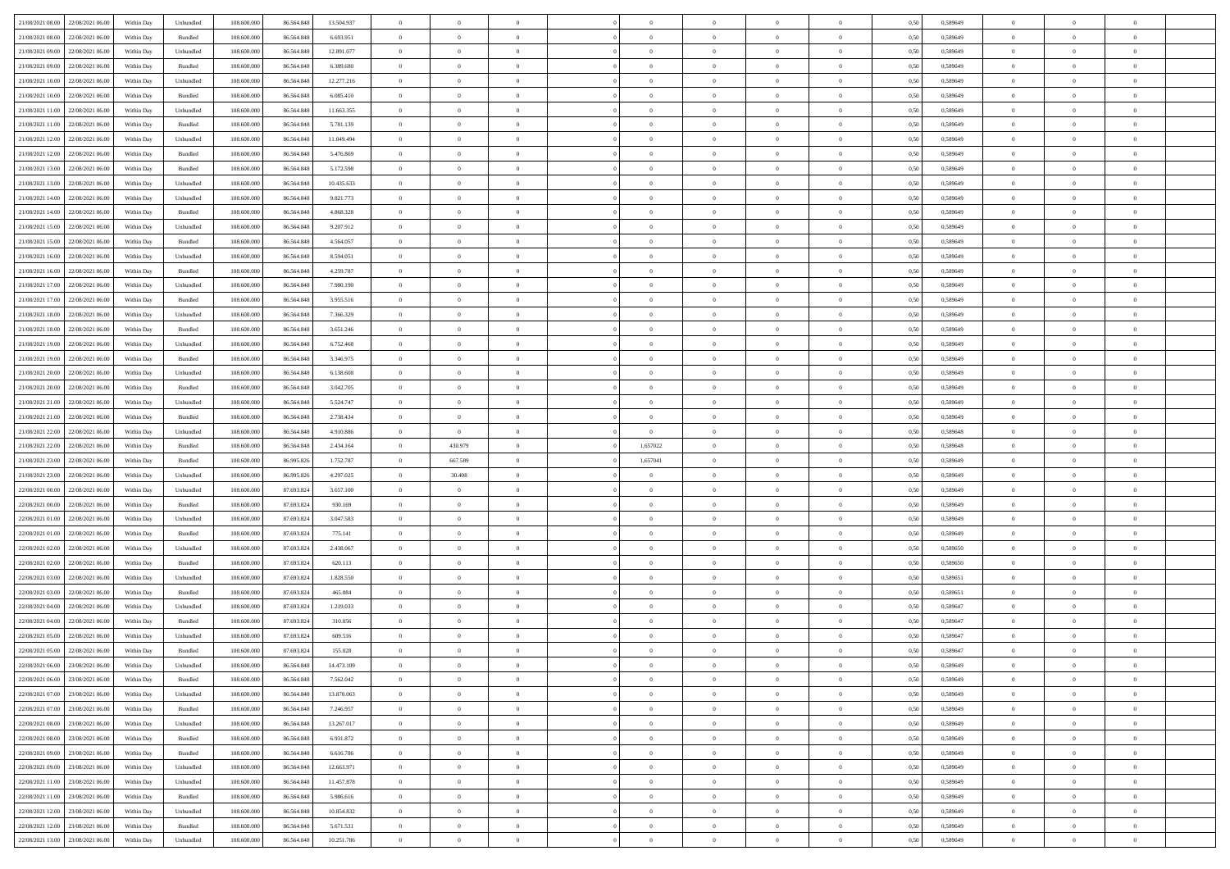| 21/08/2021 08:00 22/08/2021 06:00    | Within Day | Unbundled                   | 108.600.000 | 86.564.848 | 13.504.937 | $\overline{0}$ | $\overline{0}$   |                | $\overline{0}$ | $\theta$       |                | $\theta$       | 0,50 | 0,589649 | $\theta$       | $\theta$       | $\overline{0}$ |  |
|--------------------------------------|------------|-----------------------------|-------------|------------|------------|----------------|------------------|----------------|----------------|----------------|----------------|----------------|------|----------|----------------|----------------|----------------|--|
| 21/08/2021 08:00<br>22/08/2021 06:00 | Within Day | Bundled                     | 108.600.00  | 86.564.84  | 6.693.951  | $\bf{0}$       | $\bf{0}$         | $\bf{0}$       | $\bf{0}$       | $\overline{0}$ | $\overline{0}$ | $\bf{0}$       | 0,50 | 0,589649 | $\,$ 0 $\,$    | $\bf{0}$       | $\overline{0}$ |  |
| 21/08/2021 09:00<br>22/08/2021 06:00 | Within Day | Unbundled                   | 108,600,000 | 86,564,848 | 12.891.077 | $\overline{0}$ | $\bf{0}$         | $\overline{0}$ | $\bf{0}$       | $\bf{0}$       | $\overline{0}$ | $\bf{0}$       | 0.50 | 0.589649 | $\bf{0}$       | $\overline{0}$ | $\bf{0}$       |  |
|                                      |            |                             |             |            |            | $\overline{0}$ | $\overline{0}$   | $\overline{0}$ | $\overline{0}$ | $\theta$       | $\overline{0}$ |                |      |          | $\,$ 0 $\,$    | $\theta$       | $\overline{0}$ |  |
| 21/08/2021 09:00<br>22/08/2021 06:00 | Within Day | Bundled                     | 108.600.000 | 86.564.848 | 6.389.680  |                |                  |                |                |                |                | $\bf{0}$       | 0,50 | 0,589649 |                |                |                |  |
| 21/08/2021 10:00<br>22/08/2021 06:00 | Within Day | Unbundled                   | 108.600.00  | 86.564.848 | 12.277.216 | $\bf{0}$       | $\overline{0}$   | $\bf{0}$       | $\overline{0}$ | $\bf{0}$       | $\overline{0}$ | $\bf{0}$       | 0,50 | 0,589649 | $\,$ 0 $\,$    | $\bf{0}$       | $\overline{0}$ |  |
| 21/08/2021 10:00<br>22/08/2021 06:00 | Within Day | Bundled                     | 108,600,000 | 86.564.848 | 6.085.410  | $\overline{0}$ | $\bf{0}$         | $\overline{0}$ | $\bf{0}$       | $\overline{0}$ | $\theta$       | $\bf{0}$       | 0.50 | 0.589649 | $\,$ 0 $\,$    | $\theta$       | $\overline{0}$ |  |
| 21/08/2021 11:00<br>22/08/2021 06:00 | Within Day | Unbundled                   | 108.600.000 | 86.564.848 | 11.663.355 | $\overline{0}$ | $\overline{0}$   | $\overline{0}$ | $\overline{0}$ | $\overline{0}$ | $\overline{0}$ | $\bf{0}$       | 0,50 | 0,589649 | $\,$ 0 $\,$    | $\theta$       | $\overline{0}$ |  |
|                                      |            |                             |             |            |            |                |                  |                |                |                |                |                |      |          |                |                |                |  |
| 21/08/2021 11:00<br>22/08/2021 06:00 | Within Day | Bundled                     | 108.600.00  | 86.564.848 | 5.781.139  | $\bf{0}$       | $\bf{0}$         | $\bf{0}$       | $\overline{0}$ | $\overline{0}$ | $\overline{0}$ | $\bf{0}$       | 0,50 | 0,589649 | $\,$ 0 $\,$    | $\bf{0}$       | $\overline{0}$ |  |
| 21/08/2021 12:00<br>22/08/2021 06:00 | Within Day | Unbundled                   | 108,600,000 | 86.564.848 | 11.049.494 | $\overline{0}$ | $\bf{0}$         | $\overline{0}$ | $\bf{0}$       | $\overline{0}$ | $\overline{0}$ | $\bf{0}$       | 0.50 | 0.589649 | $\bf{0}$       | $\overline{0}$ | $\overline{0}$ |  |
| 21/08/2021 12:00<br>22/08/2021 06:00 | Within Day | Bundled                     | 108.600.000 | 86.564.848 | 5.476.869  | $\overline{0}$ | $\bf{0}$         | $\overline{0}$ | $\overline{0}$ | $\overline{0}$ | $\overline{0}$ | $\bf{0}$       | 0,50 | 0,589649 | $\,$ 0 $\,$    | $\,$ 0 $\,$    | $\overline{0}$ |  |
| 21/08/2021 13:00<br>22/08/2021 06:00 | Within Day | Bundled                     | 108.600.00  | 86.564.848 | 5.172.598  | $\bf{0}$       | $\bf{0}$         | $\bf{0}$       | $\bf{0}$       | $\overline{0}$ | $\overline{0}$ | $\bf{0}$       | 0,50 | 0,589649 | $\,$ 0 $\,$    | $\bf{0}$       | $\overline{0}$ |  |
|                                      |            |                             |             |            |            |                |                  |                |                |                |                |                |      |          |                |                |                |  |
| 21/08/2021 13:00<br>22/08/2021 06:00 | Within Day | Unbundled                   | 108,600,000 | 86,564,848 | 10.435.633 | $\overline{0}$ | $\bf{0}$         | $\overline{0}$ | $\overline{0}$ | $\overline{0}$ | $\overline{0}$ | $\bf{0}$       | 0.50 | 0.589649 | $\bf{0}$       | $\,$ 0 $\,$    | $\,$ 0         |  |
| 21/08/2021 14:00<br>22/08/2021 06:00 | Within Day | Unbundled                   | 108.600.000 | 86.564.848 | 9.821.773  | $\overline{0}$ | $\overline{0}$   | $\overline{0}$ | $\theta$       | $\theta$       | $\overline{0}$ | $\bf{0}$       | 0,50 | 0,589649 | $\,$ 0 $\,$    | $\theta$       | $\overline{0}$ |  |
| 21/08/2021 14:00<br>22/08/2021 06:00 | Within Day | Bundled                     | 108.600.00  | 86.564.848 | 4.868.328  | $\bf{0}$       | $\overline{0}$   | $\bf{0}$       | $\bf{0}$       | $\bf{0}$       | $\overline{0}$ | $\bf{0}$       | 0,50 | 0,589649 | $\,$ 0 $\,$    | $\bf{0}$       | $\overline{0}$ |  |
|                                      |            |                             | 108 600 000 |            |            |                |                  |                |                |                | $\theta$       |                |      |          |                |                |                |  |
| 21/08/2021 15:00<br>22/08/2021 06:00 | Within Day | Unbundled                   |             | 86,564,848 | 9.207.912  | $\overline{0}$ | $\bf{0}$         | $\overline{0}$ | $\bf{0}$       | $\overline{0}$ |                | $\bf{0}$       | 0.50 | 0.589649 | $\,$ 0 $\,$    | $\theta$       | $\overline{0}$ |  |
| 21/08/2021 15:00<br>22/08/2021 06:00 | Within Day | Bundled                     | 108.600.000 | 86.564.848 | 4.564.057  | $\overline{0}$ | $\overline{0}$   | $\overline{0}$ | $\overline{0}$ | $\overline{0}$ | $\overline{0}$ | $\bf{0}$       | 0,50 | 0,589649 | $\theta$       | $\theta$       | $\overline{0}$ |  |
| 21/08/2021 16:00<br>22/08/2021 06:00 | Within Day | Unbundled                   | 108.600.00  | 86.564.848 | 8.594.051  | $\bf{0}$       | $\bf{0}$         | $\bf{0}$       | $\overline{0}$ | $\overline{0}$ | $\overline{0}$ | $\bf{0}$       | 0,50 | 0,589649 | $\,$ 0 $\,$    | $\bf{0}$       | $\overline{0}$ |  |
| 21/08/2021 16:00<br>22/08/2021 06:00 | Within Day | Bundled                     | 108,600,000 | 86.564.848 | 4.259.787  | $\overline{0}$ | $\bf{0}$         | $\overline{0}$ | $\bf{0}$       | $\overline{0}$ | $\overline{0}$ | $\bf{0}$       | 0.50 | 0.589649 | $\bf{0}$       | $\overline{0}$ | $\bf{0}$       |  |
| 21/08/2021 17:00<br>22/08/2021 06:00 | Within Day | Unbundled                   | 108.600.000 | 86.564.848 | 7.980.190  | $\overline{0}$ | $\bf{0}$         | $\overline{0}$ | $\overline{0}$ | $\overline{0}$ | $\overline{0}$ | $\bf{0}$       | 0,50 | 0,589649 | $\,$ 0 $\,$    | $\bf{0}$       | $\overline{0}$ |  |
|                                      |            |                             |             |            |            |                |                  |                |                |                |                |                |      |          |                |                |                |  |
| 21/08/2021 17:00<br>22/08/2021 06:00 | Within Day | Bundled                     | 108.600.00  | 86.564.848 | 3.955.516  | $\bf{0}$       | $\bf{0}$         | $\bf{0}$       | $\bf{0}$       | $\overline{0}$ | $\overline{0}$ | $\bf{0}$       | 0,50 | 0,589649 | $\,$ 0 $\,$    | $\bf{0}$       | $\overline{0}$ |  |
| 21/08/2021 18:00<br>22/08/2021 06:00 | Within Day | Unbundled                   | 108,600,000 | 86,564,848 | 7.366.329  | $\overline{0}$ | $\bf{0}$         | $\overline{0}$ | $\overline{0}$ | $\bf{0}$       | $\overline{0}$ | $\bf{0}$       | 0.50 | 0.589649 | $\bf{0}$       | $\overline{0}$ | $\,$ 0         |  |
| 21/08/2021 18:00<br>22/08/2021 06:00 | Within Day | Bundled                     | 108.600.000 | 86.564.848 | 3.651.246  | $\overline{0}$ | $\overline{0}$   | $\overline{0}$ | $\overline{0}$ | $\theta$       | $\overline{0}$ | $\bf{0}$       | 0,50 | 0,589649 | $\theta$       | $\theta$       | $\overline{0}$ |  |
|                                      |            |                             |             |            |            |                | $\bf{0}$         |                |                | $\overline{0}$ | $\overline{0}$ |                |      |          | $\,$ 0 $\,$    | $\bf{0}$       | $\overline{0}$ |  |
| 21/08/2021 19:00<br>22/08/2021 06:00 | Within Day | Unbundled                   | 108.600.00  | 86.564.848 | 6.752.468  | $\bf{0}$       |                  | $\bf{0}$       | $\bf{0}$       |                |                | $\bf{0}$       | 0,50 | 0,589649 |                |                |                |  |
| 21/08/2021 19:00<br>22/08/2021 06:00 | Within Day | Bundled                     | 108,600,000 | 86.564.848 | 3.346.975  | $\overline{0}$ | $\bf{0}$         | $\overline{0}$ | $\bf{0}$       | $\overline{0}$ | $\theta$       | $\bf{0}$       | 0.50 | 0.589649 | $\,$ 0 $\,$    | $\theta$       | $\overline{0}$ |  |
| 21/08/2021 20:00<br>22/08/2021 06:00 | Within Day | Unbundled                   | 108.600.000 | 86.564.848 | 6.138.608  | $\overline{0}$ | $\overline{0}$   | $\overline{0}$ | $\overline{0}$ | $\overline{0}$ | $\overline{0}$ | $\bf{0}$       | 0,50 | 0,589649 | $\,$ 0 $\,$    | $\theta$       | $\overline{0}$ |  |
| 21/08/2021 20:00<br>22/08/2021 06:00 | Within Day | Bundled                     | 108.600.00  | 86.564.848 | 3.042.705  | $\bf{0}$       | $\overline{0}$   | $\bf{0}$       | $\overline{0}$ | $\overline{0}$ | $\overline{0}$ | $\bf{0}$       | 0,50 | 0,589649 | $\,$ 0 $\,$    | $\bf{0}$       | $\overline{0}$ |  |
| 21/08/2021 21:00<br>22/08/2021 06:00 | Within Day | Unbundled                   | 108 600 000 | 86.564.848 | 5.524.747  | $\overline{0}$ | $\bf{0}$         | $\overline{0}$ | $\bf{0}$       | $\overline{0}$ | $\overline{0}$ | $\bf{0}$       | 0.50 | 0.589649 | $\bf{0}$       | $\overline{0}$ | $\overline{0}$ |  |
|                                      |            |                             |             |            |            |                |                  |                |                |                |                |                |      |          |                |                |                |  |
| 21/08/2021 21:00<br>22/08/2021 06:00 | Within Day | Bundled                     | 108.600.000 | 86.564.848 | 2.738.434  | $\overline{0}$ | $\bf{0}$         | $\overline{0}$ | $\overline{0}$ | $\overline{0}$ | $\overline{0}$ | $\bf{0}$       | 0,50 | 0,589649 | $\theta$       | $\theta$       | $\overline{0}$ |  |
| 21/08/2021 22:00<br>22/08/2021 06:00 | Within Day | Unbundled                   | 108.600.00  | 86.564.848 | 4.910.886  | $\bf{0}$       | $\bf{0}$         | $\bf{0}$       | $\bf{0}$       | $\overline{0}$ | $\overline{0}$ | $\bf{0}$       | 0,50 | 0,589648 | $\,$ 0 $\,$    | $\bf{0}$       | $\overline{0}$ |  |
| 21/08/2021 22:00<br>22/08/2021 06:00 | Within Day | Bundled                     | 108,600,000 | 86,564,848 | 2.434.164  | $\overline{0}$ | 430.979          | $\overline{0}$ | 1,657022       | $\bf{0}$       | $\overline{0}$ | $\bf{0}$       | 0.50 | 0.589648 | $\bf{0}$       | $\,$ 0 $\,$    | $\,$ 0         |  |
| 21/08/2021 23:00<br>22/08/2021 06:00 | Within Day | Bundled                     | 108.600.000 | 86,995,826 | 1,752,787  | $\overline{0}$ | 667.589          | $\overline{0}$ | 1,657041       | $\overline{0}$ | $\overline{0}$ | $\bf{0}$       | 0.50 | 0.589649 | $\theta$       | $\theta$       | $\overline{0}$ |  |
|                                      |            |                             |             |            |            |                |                  |                |                |                |                |                |      |          |                |                |                |  |
| 21/08/2021 23:00<br>22/08/2021 06:00 | Within Day | Unbundled                   | 108.600.00  | 86.995.826 | 4.297.025  | $\bf{0}$       | 30.408           | $\bf{0}$       | $\overline{0}$ | $\overline{0}$ | $\overline{0}$ | $\bf{0}$       | 0,50 | 0,589649 | $\,$ 0 $\,$    | $\bf{0}$       | $\overline{0}$ |  |
| 22/08/2021 00:00<br>22/08/2021 06:00 | Within Day | Unbundled                   | 108,600,000 | 87.693.824 | 3.657.100  | $\overline{0}$ | $\overline{0}$   | $\overline{0}$ | $\bf{0}$       | $\overline{0}$ | $\overline{0}$ | $\bf{0}$       | 0.50 | 0.589649 | $\,$ 0 $\,$    | $\bf{0}$       | $\overline{0}$ |  |
| 22/08/2021 00:00<br>22/08/2021 06:00 | Within Dav | Bundled                     | 108.600.000 | 87.693.824 | 930.169    | $\overline{0}$ | $\overline{0}$   | $\overline{0}$ | $\overline{0}$ | $\overline{0}$ | $\overline{0}$ | $\bf{0}$       | 0.50 | 0.589649 | $\theta$       | $\theta$       | $\overline{0}$ |  |
| 22/08/2021 01:00<br>22/08/2021 06:00 | Within Day | Unbundled                   | 108.600.00  | 87.693.824 | 3.047.583  | $\bf{0}$       | $\bf{0}$         | $\bf{0}$       | $\bf{0}$       | $\overline{0}$ | $\overline{0}$ | $\bf{0}$       | 0,50 | 0,589649 | $\,$ 0 $\,$    | $\bf{0}$       | $\overline{0}$ |  |
| 22/08/2021 01:00<br>22/08/2021 06:00 | Within Day | Bundled                     | 108,600,000 | 87.693.82  | 775.141    | $\overline{0}$ | $\bf{0}$         | $\overline{0}$ | $\bf{0}$       | $\overline{0}$ | $\overline{0}$ | $\bf{0}$       | 0.50 | 0.589649 | $\bf{0}$       | $\overline{0}$ | $\overline{0}$ |  |
|                                      |            |                             |             |            |            |                |                  |                |                |                |                |                |      |          |                |                |                |  |
| 22/08/2021 02:00<br>22/08/2021 06:00 | Within Dav | Unbundled                   | 108.600.000 | 87.693.824 | 2.438.067  | $\overline{0}$ | $\overline{0}$   | $\overline{0}$ | $\overline{0}$ | $\overline{0}$ | $\overline{0}$ | $\bf{0}$       | 0.50 | 0.589650 | $\theta$       | $\theta$       | $\overline{0}$ |  |
| 22/08/2021 02:00<br>22/08/2021 06:00 | Within Day | Bundled                     | 108.600.00  | 87.693.824 | 620.113    | $\bf{0}$       | $\bf{0}$         | $\bf{0}$       | $\bf{0}$       | $\overline{0}$ | $\overline{0}$ | $\bf{0}$       | 0,50 | 0,589650 | $\,$ 0 $\,$    | $\bf{0}$       | $\overline{0}$ |  |
| 22/08/2021 03:00<br>22/08/2021 06:00 | Within Day | Unbundled                   | 108,600,000 | 87.693.824 | 1.828,550  | $\overline{0}$ | $\bf{0}$         | $\overline{0}$ | $\overline{0}$ | $\bf{0}$       | $\overline{0}$ | $\bf{0}$       | 0.50 | 0.589651 | $\bf{0}$       | $\,$ 0 $\,$    | $\,$ 0         |  |
| 22/08/2021 03:00<br>22/08/2021 06:00 | Within Dav | Bundled                     | 108.600.000 | 87.693.824 | 465.084    | $\overline{0}$ | $\overline{0}$   | $\overline{0}$ | $\overline{0}$ | $\overline{0}$ | $\overline{0}$ | $\bf{0}$       | 0.50 | 0.589651 | $\theta$       | $\theta$       | $\overline{0}$ |  |
|                                      |            |                             |             |            |            |                |                  |                |                |                |                |                |      |          |                |                |                |  |
| 22/08/2021 04:00<br>22/08/2021 06:00 | Within Day | Unbundled                   | 108.600.00  | 87.693.824 | 1.219.033  | $\bf{0}$       | $\bf{0}$         | $\bf{0}$       | $\bf{0}$       | $\overline{0}$ | $\overline{0}$ | $\bf{0}$       | 0,50 | 0,589647 | $\,$ 0 $\,$    | $\bf{0}$       | $\overline{0}$ |  |
| 22/08/2021 04:00<br>22/08/2021 06:00 | Within Day | Bundled                     | 108,600,000 | 87.693.82  | 310.056    | $\overline{0}$ | $\bf{0}$         | $\overline{0}$ | $\bf{0}$       | $\overline{0}$ | $\overline{0}$ | $\bf{0}$       | 0.50 | 0.589647 | $\bf{0}$       | $\theta$       | $\overline{0}$ |  |
| 22/08/2021 05:00<br>22/08/2021 06:00 | Within Dav | Unbundled                   | 108.600.000 | 87.693.824 | 609,516    | $\overline{0}$ | $\overline{0}$   | $\Omega$       | $\theta$       | $\theta$       | $\overline{0}$ | $\overline{0}$ | 0.5( | 0.589647 | $\theta$       | $\theta$       | $\overline{0}$ |  |
| 22/08/2021 05:00<br>22/08/2021 06:00 | Within Day | Bundled                     | 108.600.00  | 87.693.824 | 155.028    | $\bf{0}$       | $\bf{0}$         | $\bf{0}$       | $\bf{0}$       | $\bf{0}$       | $\overline{0}$ | $\bf{0}$       | 0,50 | 0,589647 | $\overline{0}$ | $\overline{0}$ | $\overline{0}$ |  |
| 22/08/2021 06:00 23/08/2021 06:00    |            |                             | 108.600.000 |            | 14.473.109 |                |                  |                |                |                |                |                |      | 0.589649 |                |                |                |  |
|                                      | Within Day | $\ensuremath{\mathsf{Unb}}$ |             | 86.564.848 |            | $\bf{0}$       | $\boldsymbol{0}$ |                | $\overline{0}$ |                |                |                | 0,50 |          | $\bf{0}$       | $\bf{0}$       |                |  |
| 22/08/2021 06:00 23/08/2021 06:00    | Within Day | Bundled                     | 108.600.000 | 86.564.848 | 7.562.042  | $\overline{0}$ | $\overline{0}$   | $\Omega$       | $\theta$       | $\overline{0}$ | $\overline{0}$ | $\bf{0}$       | 0,50 | 0,589649 | $\theta$       | $\theta$       | $\overline{0}$ |  |
| 22/08/2021 07:00<br>23/08/2021 06:00 | Within Day | Unbundled                   | 108.600.00  | 86.564.848 | 13.870.063 | $\overline{0}$ | $\bf{0}$         | $\overline{0}$ | $\overline{0}$ | $\bf{0}$       | $\overline{0}$ | $\bf{0}$       | 0,50 | 0,589649 | $\bf{0}$       | $\overline{0}$ | $\bf{0}$       |  |
| 22/08/2021 07:00 23/08/2021 06:00    | Within Day | Bundled                     | 108,600,000 | 86,564,848 | 7.246.957  | $\overline{0}$ | $\bf{0}$         | $\overline{0}$ | $\overline{0}$ | $\mathbf{0}$   | $\overline{0}$ | $\,$ 0 $\,$    | 0.50 | 0.589649 | $\overline{0}$ | $\bf{0}$       | $\,$ 0 $\,$    |  |
|                                      |            |                             |             |            |            |                | $\overline{0}$   |                |                | $\overline{0}$ |                |                |      |          | $\theta$       | $\theta$       | $\overline{0}$ |  |
| 22/08/2021 08:00 23/08/2021 06:00    | Within Dav | Unbundled                   | 108.600.000 | 86.564.848 | 13.267.017 | $\overline{0}$ |                  | $\overline{0}$ | $\overline{0}$ |                | $\overline{0}$ | $\bf{0}$       | 0,50 | 0.589649 |                |                |                |  |
| 22/08/2021 08:00<br>23/08/2021 06:00 | Within Day | Bundled                     | 108.600.000 | 86.564.848 | 6.931.872  | $\overline{0}$ | $\bf{0}$         | $\overline{0}$ | $\overline{0}$ | $\bf{0}$       | $\overline{0}$ | $\bf{0}$       | 0,50 | 0,589649 | $\bf{0}$       | $\overline{0}$ | $\overline{0}$ |  |
| 22/08/2021 09:00 23/08/2021 06:00    | Within Day | Bundled                     | 108,600,000 | 86,564,848 | 6.616.786  | $\overline{0}$ | $\bf{0}$         | $\overline{0}$ | $\overline{0}$ | $\overline{0}$ | $\overline{0}$ | $\bf{0}$       | 0.50 | 0.589649 | $\,$ 0 $\,$    | $\overline{0}$ | $\,$ 0         |  |
| 22/08/2021 09:00 23/08/2021 06:00    | Within Dav | Unbundled                   | 108.600.000 | 86.564.848 | 12.663.971 | $\overline{0}$ | $\overline{0}$   | $\overline{0}$ | $\overline{0}$ | $\overline{0}$ | $\overline{0}$ | $\bf{0}$       | 0,50 | 0.589649 | $\overline{0}$ | $\theta$       | $\overline{0}$ |  |
| 22/08/2021 11:00                     |            |                             |             |            |            |                | $\overline{0}$   |                |                | $\overline{0}$ |                |                |      |          | $\bf{0}$       | $\overline{0}$ | $\,$ 0         |  |
| 23/08/2021 06:00                     | Within Day | Unbundled                   | 108.600.00  | 86.564.848 | 11.457.878 | $\overline{0}$ |                  | $\overline{0}$ | $\overline{0}$ |                | $\overline{0}$ | $\bf{0}$       | 0,50 | 0,589649 |                |                |                |  |
| 22/08/2021 11:00 23/08/2021 06:00    | Within Day | Bundled                     | 108,600,000 | 86,564,848 | 5.986.616  | $\overline{0}$ | $\overline{0}$   | $\overline{0}$ | $\overline{0}$ | $\overline{0}$ | $\overline{0}$ | $\bf{0}$       | 0.50 | 0.589649 | $\mathbf{0}$   | $\bf{0}$       | $\,$ 0         |  |
| 22/08/2021 12:00 23/08/2021 06:00    | Within Dav | Unbundled                   | 108.600.000 | 86.564.848 | 10.854.832 | $\overline{0}$ | $\overline{0}$   | $\overline{0}$ | $\overline{0}$ | $\overline{0}$ | $\overline{0}$ | $\bf{0}$       | 0,50 | 0.589649 | $\overline{0}$ | $\theta$       | $\overline{0}$ |  |
| 22/08/2021 12:00<br>23/08/2021 06:00 | Within Day | Bundled                     | 108.600.00  | 86.564.848 | 5.671.531  | $\overline{0}$ | $\bf{0}$         | $\overline{0}$ | $\bf{0}$       | $\overline{0}$ | $\overline{0}$ | $\bf{0}$       | 0,50 | 0,589649 | $\bf{0}$       | $\,$ 0 $\,$    | $\bf{0}$       |  |
|                                      |            |                             |             |            |            |                |                  |                |                |                |                |                |      |          |                |                |                |  |
| 22/08/2021 13:00 23/08/2021 06:00    | Within Day | ${\sf Unbundred}$           | 108.600.000 | 86.564.848 | 10.251.786 | $\overline{0}$ | $\bf{0}$         | $\overline{0}$ | $\overline{0}$ | $\,$ 0 $\,$    | $\overline{0}$ | $\bf{0}$       | 0,50 | 0,589649 | $\overline{0}$ | $\,$ 0 $\,$    | $\,$ 0 $\,$    |  |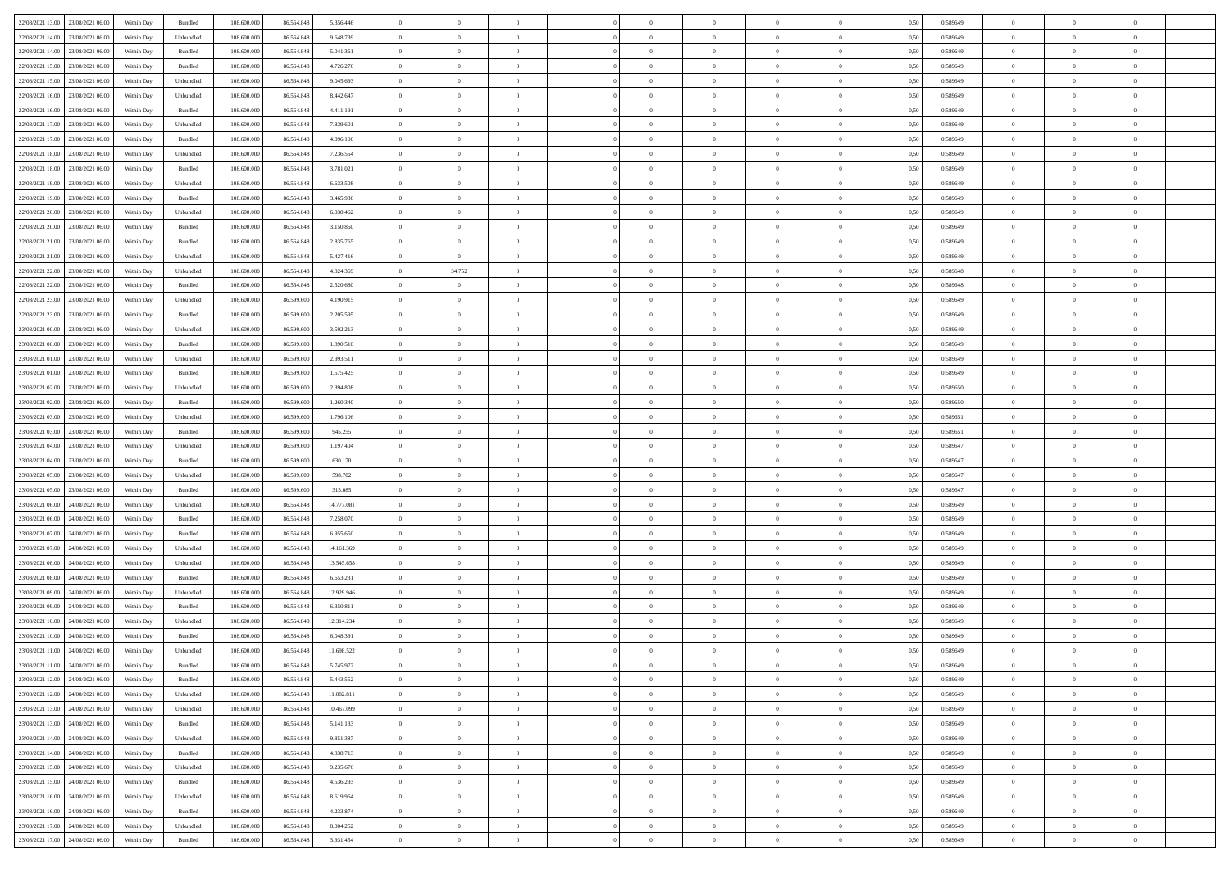|                                      |            |                    |             |            |            | $\overline{0}$ | $\overline{0}$ |                | $\overline{0}$ | $\theta$       |                | $\theta$       |      |          | $\theta$       | $\theta$       | $\overline{0}$ |  |
|--------------------------------------|------------|--------------------|-------------|------------|------------|----------------|----------------|----------------|----------------|----------------|----------------|----------------|------|----------|----------------|----------------|----------------|--|
| 22/08/2021 13:00 23/08/2021 06:00    | Within Day | Bundled            | 108.600.000 | 86.564.848 | 5.356.446  |                |                |                |                |                |                |                | 0,50 | 0,589649 |                |                |                |  |
| 22/08/2021 14:00<br>23/08/2021 06:00 | Within Day | Unbundled          | 108.600.00  | 86.564.848 | 9.648.739  | $\bf{0}$       | $\bf{0}$       | $\bf{0}$       | $\bf{0}$       | $\overline{0}$ | $\overline{0}$ | $\bf{0}$       | 0,50 | 0,589649 | $\,$ 0 $\,$    | $\bf{0}$       | $\overline{0}$ |  |
| 22/08/2021 14:00<br>23/08/2021 06:00 | Within Day | Bundled            | 108,600,000 | 86,564,848 | 5.041.361  | $\overline{0}$ | $\bf{0}$       | $\overline{0}$ | $\bf{0}$       | $\bf{0}$       | $\overline{0}$ | $\bf{0}$       | 0.50 | 0.589649 | $\bf{0}$       | $\overline{0}$ | $\bf{0}$       |  |
| 22/08/2021 15:00<br>23/08/2021 06:00 | Within Day | Bundled            | 108.600.000 | 86.564.848 | 4.726.276  | $\overline{0}$ | $\overline{0}$ | $\overline{0}$ | $\theta$       | $\theta$       | $\overline{0}$ | $\bf{0}$       | 0,50 | 0,589649 | $\,$ 0 $\,$    | $\theta$       | $\overline{0}$ |  |
|                                      |            |                    |             |            |            |                |                |                |                |                |                |                |      |          |                |                |                |  |
| 22/08/2021 15:00<br>23/08/2021 06:00 | Within Day | Unbundled          | 108.600.00  | 86.564.848 | 9.045.693  | $\bf{0}$       | $\overline{0}$ | $\bf{0}$       | $\overline{0}$ | $\theta$       | $\overline{0}$ | $\bf{0}$       | 0,50 | 0,589649 | $\,$ 0 $\,$    | $\bf{0}$       | $\overline{0}$ |  |
| 22/08/2021 16:00<br>23/08/2021 06:00 | Within Day | Unbundled          | 108,600,000 | 86.564.848 | 8.442.647  | $\overline{0}$ | $\bf{0}$       | $\overline{0}$ | $\bf{0}$       | $\overline{0}$ | $\theta$       | $\bf{0}$       | 0.50 | 0.589649 | $\,$ 0 $\,$    | $\theta$       | $\overline{0}$ |  |
| 22/08/2021 16:00<br>23/08/2021 06:00 | Within Day | Bundled            | 108.600.000 | 86.564.848 | 4.411.191  | $\overline{0}$ | $\overline{0}$ | $\overline{0}$ | $\overline{0}$ | $\overline{0}$ | $\overline{0}$ | $\bf{0}$       | 0,50 | 0,589649 | $\,$ 0 $\,$    | $\theta$       | $\overline{0}$ |  |
|                                      |            |                    |             |            |            |                |                |                |                |                |                |                |      |          |                |                |                |  |
| 22/08/2021 17:00<br>23/08/2021 06:00 | Within Day | Unbundled          | 108.600.00  | 86.564.848 | 7.839.601  | $\bf{0}$       | $\bf{0}$       | $\bf{0}$       | $\overline{0}$ | $\overline{0}$ | $\overline{0}$ | $\bf{0}$       | 0,50 | 0,589649 | $\,$ 0 $\,$    | $\bf{0}$       | $\overline{0}$ |  |
| 22/08/2021 17:00<br>23/08/2021 06:00 | Within Day | Bundled            | 108,600,000 | 86.564.848 | 4.096.106  | $\overline{0}$ | $\bf{0}$       | $\overline{0}$ | $\bf{0}$       | $\overline{0}$ | $\overline{0}$ | $\bf{0}$       | 0.50 | 0.589649 | $\bf{0}$       | $\overline{0}$ | $\overline{0}$ |  |
| 22/08/2021 18:00<br>23/08/2021 06:00 | Within Day | Unbundled          | 108.600.000 | 86.564.848 | 7.236.554  | $\overline{0}$ | $\bf{0}$       | $\overline{0}$ | $\overline{0}$ | $\overline{0}$ | $\overline{0}$ | $\bf{0}$       | 0,50 | 0,589649 | $\,$ 0 $\,$    | $\bf{0}$       | $\overline{0}$ |  |
| 22/08/2021 18:00<br>23/08/2021 06:00 | Within Day | Bundled            | 108.600.00  | 86.564.848 | 3.781.021  | $\bf{0}$       | $\bf{0}$       | $\bf{0}$       | $\bf{0}$       | $\overline{0}$ | $\overline{0}$ | $\bf{0}$       | 0,50 | 0,589649 | $\,$ 0 $\,$    | $\bf{0}$       | $\overline{0}$ |  |
| 22/08/2021 19:00<br>23/08/2021 06:00 | Within Day | Unbundled          | 108,600,000 | 86,564,848 | 6.633.508  | $\overline{0}$ | $\bf{0}$       | $\overline{0}$ | $\overline{0}$ | $\bf{0}$       | $\overline{0}$ | $\bf{0}$       | 0.50 | 0.589649 | $\bf{0}$       | $\overline{0}$ | $\,$ 0         |  |
|                                      |            |                    |             |            |            |                |                |                |                |                |                |                |      |          |                |                |                |  |
| 22/08/2021 19:00<br>23/08/2021 06:00 | Within Day | Bundled            | 108.600.000 | 86.564.848 | 3.465.936  | $\overline{0}$ | $\overline{0}$ | $\overline{0}$ | $\theta$       | $\theta$       | $\overline{0}$ | $\bf{0}$       | 0,50 | 0,589649 | $\,$ 0 $\,$    | $\theta$       | $\overline{0}$ |  |
| 22/08/2021 20:00<br>23/08/2021 06:00 | Within Day | Unbundled          | 108.600.00  | 86.564.848 | 6.030.462  | $\bf{0}$       | $\overline{0}$ | $\bf{0}$       | $\bf{0}$       | $\bf{0}$       | $\overline{0}$ | $\bf{0}$       | 0,50 | 0,589649 | $\,$ 0 $\,$    | $\bf{0}$       | $\overline{0}$ |  |
| 22/08/2021 20:00<br>23/08/2021 06:00 | Within Day | Bundled            | 108,600,000 | 86,564,848 | 3.150.850  | $\overline{0}$ | $\bf{0}$       | $\overline{0}$ | $\bf{0}$       | $\overline{0}$ | $\theta$       | $\bf{0}$       | 0.50 | 0.589649 | $\,$ 0 $\,$    | $\theta$       | $\overline{0}$ |  |
| 22/08/2021 21:00<br>23/08/2021 06:00 | Within Day | Bundled            | 108.600.000 | 86.564.848 | 2.835.765  | $\overline{0}$ | $\overline{0}$ | $\overline{0}$ | $\overline{0}$ | $\overline{0}$ | $\overline{0}$ | $\bf{0}$       | 0,50 | 0,589649 | $\theta$       | $\theta$       | $\overline{0}$ |  |
|                                      |            |                    |             |            |            |                |                |                |                |                |                |                |      |          |                |                |                |  |
| 22/08/2021 21:00<br>23/08/2021 06:00 | Within Day | Unbundled          | 108.600.00  | 86.564.848 | 5.427.416  | $\bf{0}$       | $\bf{0}$       | $\bf{0}$       | $\overline{0}$ | $\overline{0}$ | $\overline{0}$ | $\bf{0}$       | 0,50 | 0,589649 | $\,$ 0 $\,$    | $\bf{0}$       | $\overline{0}$ |  |
| 22/08/2021 22:00<br>23/08/2021 06:00 | Within Day | Unbundled          | 108,600,000 | 86.564.848 | 4.824.369  | $\overline{0}$ | 34.752         | $\overline{0}$ | $\bf{0}$       | $\overline{0}$ | $\overline{0}$ | $\bf{0}$       | 0.50 | 0.589648 | $\bf{0}$       | $\overline{0}$ | $\bf{0}$       |  |
| 22/08/2021 22:00<br>23/08/2021 06:00 | Within Day | Bundled            | 108.600.000 | 86.564.848 | 2.520.680  | $\bf{0}$       | $\overline{0}$ | $\overline{0}$ | $\overline{0}$ | $\overline{0}$ | $\overline{0}$ | $\bf{0}$       | 0,50 | 0,589648 | $\,$ 0 $\,$    | $\bf{0}$       | $\overline{0}$ |  |
| 22/08/2021 23:00<br>23/08/2021 06:00 | Within Day | Unbundled          | 108.600.00  | 86.599.600 | 4.190.915  | $\bf{0}$       | $\bf{0}$       | $\bf{0}$       | $\bf{0}$       | $\overline{0}$ | $\overline{0}$ | $\bf{0}$       | 0,50 | 0,589649 | $\,$ 0 $\,$    | $\bf{0}$       | $\overline{0}$ |  |
| 22/08/2021 23:00<br>23/08/2021 06:00 | Within Day | Bundled            | 108,600,000 | 86,599,600 | 2.205.595  | $\overline{0}$ | $\bf{0}$       | $\overline{0}$ | $\overline{0}$ | $\bf{0}$       | $\overline{0}$ | $\bf{0}$       | 0.50 | 0.589649 | $\bf{0}$       | $\overline{0}$ | $\,$ 0         |  |
|                                      |            |                    |             |            |            |                |                |                |                |                |                |                |      |          |                |                |                |  |
| 23/08/2021 00:00<br>23/08/2021 06:00 | Within Day | Unbundled          | 108.600.000 | 86.599.600 | 3.592.213  | $\overline{0}$ | $\overline{0}$ | $\overline{0}$ | $\theta$       | $\theta$       | $\overline{0}$ | $\bf{0}$       | 0,50 | 0,589649 | $\theta$       | $\theta$       | $\overline{0}$ |  |
| 23/08/2021 00:00<br>23/08/2021 06:00 | Within Day | Bundled            | 108.600.00  | 86.599.600 | 1.890.510  | $\bf{0}$       | $\bf{0}$       | $\bf{0}$       | $\bf{0}$       | $\overline{0}$ | $\overline{0}$ | $\bf{0}$       | 0,50 | 0,589649 | $\,$ 0 $\,$    | $\bf{0}$       | $\overline{0}$ |  |
| 23/08/2021 01:00<br>23/08/2021 06:00 | Within Day | Unbundled          | 108,600,000 | 86,599,600 | 2.993.511  | $\overline{0}$ | $\bf{0}$       | $\overline{0}$ | $\bf{0}$       | $\overline{0}$ | $\theta$       | $\bf{0}$       | 0.50 | 0.589649 | $\,$ 0 $\,$    | $\theta$       | $\overline{0}$ |  |
| 23/08/2021 01:00<br>23/08/2021 06:00 | Within Day | Bundled            | 108.600.000 | 86.599.600 | 1.575.425  | $\overline{0}$ | $\overline{0}$ | $\overline{0}$ | $\overline{0}$ | $\overline{0}$ | $\overline{0}$ | $\bf{0}$       | 0,50 | 0,589649 | $\,$ 0 $\,$    | $\theta$       | $\overline{0}$ |  |
|                                      |            |                    |             |            |            | $\bf{0}$       | $\overline{0}$ | $\bf{0}$       | $\overline{0}$ | $\bf{0}$       | $\overline{0}$ |                |      |          | $\,$ 0 $\,$    | $\bf{0}$       | $\overline{0}$ |  |
| 23/08/2021 02:00<br>23/08/2021 06:00 | Within Day | Unbundled          | 108.600.00  | 86.599.600 | 2.394.808  |                |                |                |                |                |                | $\bf{0}$       | 0,50 | 0,589650 |                |                |                |  |
| 23/08/2021 02:00<br>23/08/2021 06:00 | Within Day | Bundled            | 108,600,000 | 86,599,600 | 1.260.340  | $\overline{0}$ | $\bf{0}$       | $\overline{0}$ | $\bf{0}$       | $\overline{0}$ | $\overline{0}$ | $\bf{0}$       | 0.50 | 0.589650 | $\bf{0}$       | $\overline{0}$ | $\overline{0}$ |  |
| 23/08/2021 03:00<br>23/08/2021 06:00 | Within Day | Unbundled          | 108.600.000 | 86.599.600 | 1.796.106  | $\overline{0}$ | $\bf{0}$       | $\overline{0}$ | $\overline{0}$ | $\overline{0}$ | $\overline{0}$ | $\bf{0}$       | 0,50 | 0,589651 | $\theta$       | $\theta$       | $\overline{0}$ |  |
| 23/08/2021 03:00<br>23/08/2021 06:00 | Within Day | Bundled            | 108.600.00  | 86.599.600 | 945.255    | $\bf{0}$       | $\bf{0}$       | $\bf{0}$       | $\bf{0}$       | $\overline{0}$ | $\overline{0}$ | $\bf{0}$       | 0,50 | 0,589651 | $\,$ 0 $\,$    | $\bf{0}$       | $\overline{0}$ |  |
| 23/08/2021 04:00<br>23/08/2021 06:00 | Within Day | Unbundled          | 108,600,000 | 86,599,600 | 1.197.404  | $\overline{0}$ | $\bf{0}$       | $\overline{0}$ | $\bf{0}$       | $\bf{0}$       | $\overline{0}$ | $\bf{0}$       | 0.50 | 0.589647 | $\bf{0}$       | $\overline{0}$ | $\,$ 0         |  |
|                                      |            |                    |             |            |            |                | $\overline{0}$ |                |                | $\overline{0}$ |                |                |      |          | $\theta$       | $\theta$       | $\overline{0}$ |  |
| 23/08/2021 04:00<br>23/08/2021 06:00 | Within Day | Bundled            | 108.600.000 | 86.599.600 | 630.170    | $\overline{0}$ |                | $\overline{0}$ | $\overline{0}$ |                | $\overline{0}$ | $\bf{0}$       | 0.50 | 0.589647 |                |                |                |  |
| 23/08/2021 05:00<br>23/08/2021 06:00 | Within Day | Unbundled          | 108.600.00  | 86.599.600 | 598.702    | $\bf{0}$       | $\bf{0}$       | $\bf{0}$       | $\bf{0}$       | $\overline{0}$ | $\overline{0}$ | $\bf{0}$       | 0,50 | 0,589647 | $\,$ 0 $\,$    | $\bf{0}$       | $\overline{0}$ |  |
| 23/08/2021 05:00<br>23/08/2021 06:00 | Within Day | Bundled            | 108,600,000 | 86,599,600 | 315.085    | $\overline{0}$ | $\bf{0}$       | $\overline{0}$ | $\bf{0}$       | $\overline{0}$ | $\overline{0}$ | $\bf{0}$       | 0.50 | 0.589647 | $\,$ 0 $\,$    | $\bf{0}$       | $\overline{0}$ |  |
| 23/08/2021 06:00<br>24/08/2021 06:00 | Within Dav | Unbundled          | 108.600.000 | 86.564.848 | 14.777.081 | $\overline{0}$ | $\overline{0}$ | $\overline{0}$ | $\overline{0}$ | $\overline{0}$ | $\overline{0}$ | $\bf{0}$       | 0.50 | 0.589649 | $\theta$       | $\theta$       | $\overline{0}$ |  |
| 23/08/2021 06:00<br>24/08/2021 06.00 | Within Day | Bundled            | 108.600.00  | 86.564.848 | 7.258.070  | $\bf{0}$       | $\bf{0}$       | $\bf{0}$       | $\bf{0}$       | $\overline{0}$ | $\overline{0}$ | $\bf{0}$       | 0,50 | 0,589649 | $\,$ 0 $\,$    | $\bf{0}$       | $\overline{0}$ |  |
|                                      |            |                    |             |            |            |                |                |                |                |                |                |                |      |          |                |                |                |  |
| 23/08/2021 07:00<br>24/08/2021 06:00 | Within Day | Bundled            | 108,600,000 | 86.564.848 | 6.955.650  | $\overline{0}$ | $\bf{0}$       | $\overline{0}$ | $\bf{0}$       | $\overline{0}$ | $\overline{0}$ | $\bf{0}$       | 0.50 | 0.589649 | $\bf{0}$       | $\overline{0}$ | $\overline{0}$ |  |
| 23/08/2021 07:00<br>24/08/2021 06:00 | Within Dav | Unbundled          | 108.600.000 | 86,564,848 | 14.161.369 | $\overline{0}$ | $\overline{0}$ | $\overline{0}$ | $\overline{0}$ | $\overline{0}$ | $\overline{0}$ | $\bf{0}$       | 0.50 | 0.589649 | $\theta$       | $\theta$       | $\overline{0}$ |  |
| 23/08/2021 08:00<br>24/08/2021 06.00 | Within Day | Unbundled          | 108.600.00  | 86.564.848 | 13.545.658 | $\bf{0}$       | $\bf{0}$       | $\bf{0}$       | $\bf{0}$       | $\overline{0}$ | $\overline{0}$ | $\bf{0}$       | 0,50 | 0,589649 | $\,$ 0 $\,$    | $\bf{0}$       | $\overline{0}$ |  |
| 23/08/2021 08:00<br>24/08/2021 06:00 | Within Day | Bundled            | 108,600,000 | 86,564,848 | 6.653.231  | $\overline{0}$ | $\bf{0}$       | $\overline{0}$ | $\overline{0}$ | $\bf{0}$       | $\overline{0}$ | $\bf{0}$       | 0.50 | 0.589649 | $\bf{0}$       | $\,$ 0 $\,$    | $\,$ 0         |  |
| 23/08/2021 09:00<br>24/08/2021 06:00 | Within Dav | Unbundled          | 108.600.000 | 86.564.848 | 12.929.946 | $\overline{0}$ | $\overline{0}$ | $\overline{0}$ | $\overline{0}$ | $\overline{0}$ | $\overline{0}$ | $\bf{0}$       | 0.50 | 0.589649 | $\theta$       | $\theta$       | $\overline{0}$ |  |
|                                      |            |                    |             |            |            | $\bf{0}$       | $\bf{0}$       | $\bf{0}$       |                | $\overline{0}$ | $\overline{0}$ |                |      |          | $\,$ 0 $\,$    | $\bf{0}$       | $\overline{0}$ |  |
| 23/08/2021 09:00<br>24/08/2021 06.00 | Within Day | Bundled            | 108.600.00  | 86.564.848 | 6.350.811  |                |                |                | $\bf{0}$       |                |                | $\bf{0}$       | 0,50 | 0,589649 |                |                |                |  |
| 23/08/2021 10:00<br>24/08/2021 06:00 | Within Day | Unbundled          | 108,600,000 | 86.564.848 | 12.314.234 | $\overline{0}$ | $\overline{0}$ | $\overline{0}$ | $\bf{0}$       | $\overline{0}$ | $\overline{0}$ | $\bf{0}$       | 0.50 | 0.589649 | $\bf{0}$       | $\theta$       | $\overline{0}$ |  |
| 23/08/2021 10:00<br>24/08/2021 06:00 | Within Dav | Bundled            | 108.600.000 | 86,564,848 | 6.048.391  | $\overline{0}$ | $\overline{0}$ | $\Omega$       | $\theta$       | $\theta$       | $\overline{0}$ | $\overline{0}$ | 0.5( | 0.589649 | $\theta$       | $\theta$       | $\overline{0}$ |  |
| 23/08/2021 11:00<br>24/08/2021 06:00 | Within Day | Unbundled          | 108.600.00  | 86.564.848 | 11.698.522 | $\bf{0}$       | $\bf{0}$       | $\bf{0}$       | $\bf{0}$       | $\bf{0}$       | $\overline{0}$ | $\bf{0}$       | 0,50 | 0,589649 | $\,$ 0 $\,$    | $\overline{0}$ | $\overline{0}$ |  |
| 23/08/2021 11:00 24/08/2021 06:00    | Within Day | $\mathbf B$ undled | 108.600.000 | 86.564.848 | 5.745.972  | $\bf{0}$       | $\theta$       |                | $\overline{0}$ |                |                |                | 0,50 | 0.589649 | $\bf{0}$       | $\bf{0}$       |                |  |
| 23/08/2021 12:00 24/08/2021 06:00    | Within Day | Bundled            | 108.600.000 | 86.564.848 | 5.443.552  | $\overline{0}$ | $\overline{0}$ | $\Omega$       | $\theta$       | $\overline{0}$ | $\overline{0}$ | $\bf{0}$       | 0,50 | 0,589649 | $\theta$       | $\theta$       | $\overline{0}$ |  |
|                                      |            |                    |             |            |            |                |                |                |                |                |                |                |      |          |                |                |                |  |
| 23/08/2021 12:00<br>24/08/2021 06:00 | Within Day | Unbundled          | 108.600.00  | 86.564.848 | 11.082.811 | $\overline{0}$ | $\bf{0}$       | $\overline{0}$ | $\overline{0}$ | $\bf{0}$       | $\overline{0}$ | $\bf{0}$       | 0,50 | 0,589649 | $\bf{0}$       | $\overline{0}$ | $\bf{0}$       |  |
| 23/08/2021 13:00 24/08/2021 06:00    | Within Day | Unbundled          | 108,600,000 | 86,564,848 | 10.467.099 | $\overline{0}$ | $\bf{0}$       | $\overline{0}$ | $\overline{0}$ | $\mathbf{0}$   | $\overline{0}$ | $\,$ 0 $\,$    | 0.50 | 0.589649 | $\overline{0}$ | $\bf{0}$       | $\,$ 0 $\,$    |  |
| 23/08/2021 13:00 24/08/2021 06:00    | Within Day | Bundled            | 108.600.000 | 86.564.848 | 5.141.133  | $\overline{0}$ | $\overline{0}$ | $\overline{0}$ | $\overline{0}$ | $\overline{0}$ | $\overline{0}$ | $\bf{0}$       | 0,50 | 0.589649 | $\theta$       | $\theta$       | $\overline{0}$ |  |
| 23/08/2021 14:00<br>24/08/2021 06:00 | Within Day | Unbundled          | 108.600.000 | 86.564.848 | 9.851.387  | $\overline{0}$ | $\bf{0}$       | $\overline{0}$ | $\overline{0}$ | $\overline{0}$ | $\overline{0}$ | $\bf{0}$       | 0,50 | 0,589649 | $\bf{0}$       | $\overline{0}$ | $\overline{0}$ |  |
|                                      |            |                    |             |            |            |                |                |                |                |                |                |                |      |          |                |                |                |  |
| 24/08/2021 06:00<br>23/08/2021 14:00 | Within Day | Bundled            | 108,600,000 | 86,564,848 | 4.838.713  | $\overline{0}$ | $\bf{0}$       | $\overline{0}$ | $\overline{0}$ | $\bf{0}$       | $\overline{0}$ | $\bf{0}$       | 0.50 | 0.589649 | $\,$ 0 $\,$    | $\overline{0}$ | $\,$ 0         |  |
| 23/08/2021 15:00<br>24/08/2021 06:00 | Within Dav | Unbundled          | 108.600.000 | 86.564.848 | 9.235.676  | $\overline{0}$ | $\overline{0}$ | $\overline{0}$ | $\overline{0}$ | $\overline{0}$ | $\overline{0}$ | $\bf{0}$       | 0,50 | 0.589649 | $\overline{0}$ | $\theta$       | $\overline{0}$ |  |
| 23/08/2021 15:00<br>24/08/2021 06:00 | Within Day | Bundled            | 108.600.00  | 86.564.848 | 4.536.293  | $\overline{0}$ | $\overline{0}$ | $\overline{0}$ | $\overline{0}$ | $\overline{0}$ | $\overline{0}$ | $\bf{0}$       | 0,50 | 0,589649 | $\bf{0}$       | $\overline{0}$ | $\overline{0}$ |  |
| 23/08/2021 16:00 24/08/2021 06:00    | Within Day | Unbundled          | 108,600,000 | 86,564,848 | 8.619.964  | $\overline{0}$ | $\overline{0}$ | $\overline{0}$ | $\overline{0}$ | $\overline{0}$ | $\overline{0}$ | $\bf{0}$       | 0.50 | 0.589649 | $\mathbf{0}$   | $\bf{0}$       | $\,$ 0         |  |
|                                      |            |                    |             |            |            |                |                |                |                |                |                |                |      |          |                |                |                |  |
| 23/08/2021 16:00 24/08/2021 06:00    | Within Dav | Bundled            | 108.600.000 | 86.564.848 | 4.233.874  | $\overline{0}$ | $\overline{0}$ | $\overline{0}$ | $\overline{0}$ | $\overline{0}$ | $\overline{0}$ | $\bf{0}$       | 0,50 | 0.589649 | $\overline{0}$ | $\theta$       | $\overline{0}$ |  |
| 23/08/2021 17:00<br>24/08/2021 06:00 | Within Day | Unbundled          | 108.600.00  | 86.564.848 | 8.004.252  | $\overline{0}$ | $\bf{0}$       | $\overline{0}$ | $\bf{0}$       | $\overline{0}$ | $\bf{0}$       | $\bf{0}$       | 0,50 | 0,589649 | $\bf{0}$       | $\bf{0}$       | $\bf{0}$       |  |
| 23/08/2021 17:00 24/08/2021 06:00    | Within Day | Bundled            | 108.600.000 | 86.564.848 | 3.931.454  | $\,$ 0 $\,$    | $\bf{0}$       | $\overline{0}$ | $\overline{0}$ | $\,$ 0 $\,$    | $\overline{0}$ | $\bf{0}$       | 0,50 | 0,589649 | $\overline{0}$ | $\,$ 0 $\,$    | $\,$ 0 $\,$    |  |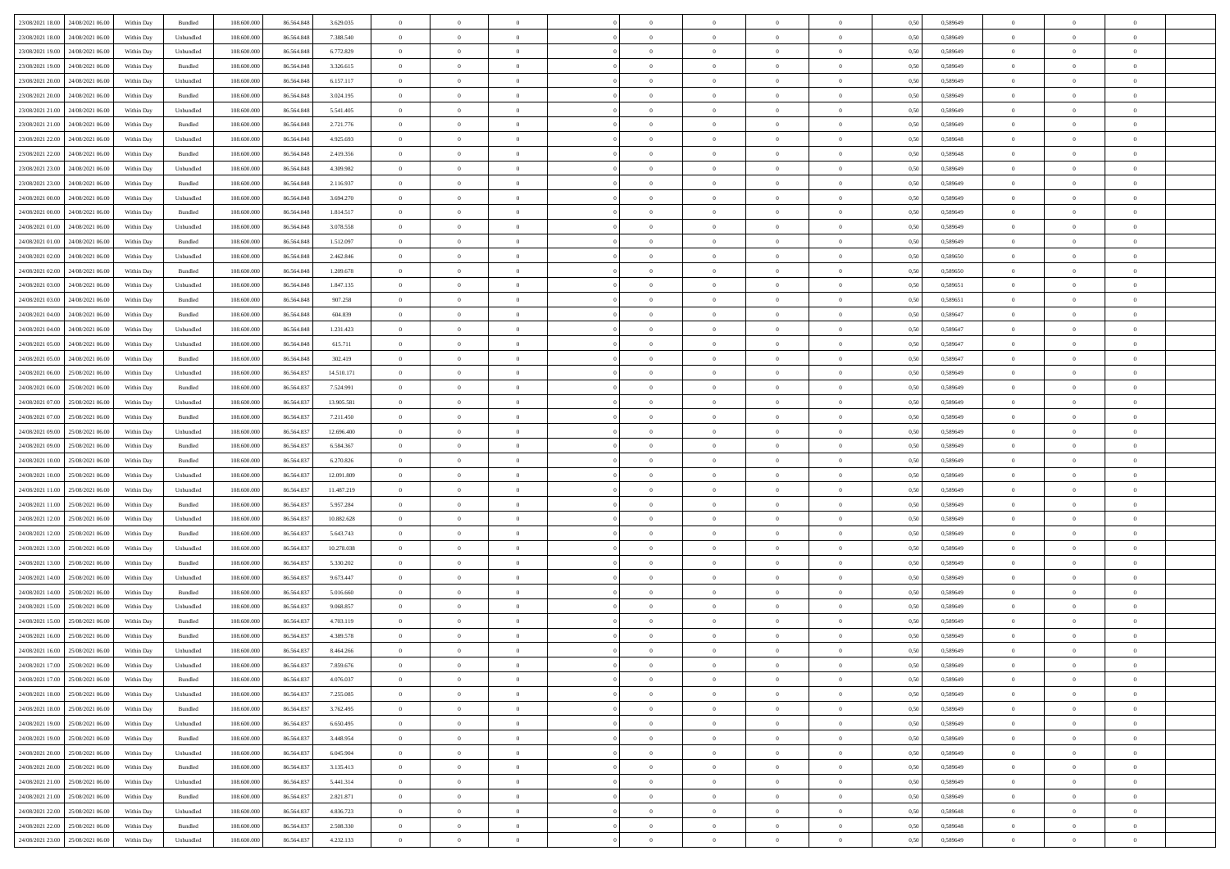| 23/08/2021 18:00 24/08/2021 06:00    | Within Day | Bundled                     | 108.600.000 | 86.564.848 | 3.629.035  | $\overline{0}$ | $\overline{0}$ |                | $\overline{0}$ | $\theta$       |                | $\theta$       | 0,50 | 0,589649 | $\theta$       | $\theta$       | $\overline{0}$ |  |
|--------------------------------------|------------|-----------------------------|-------------|------------|------------|----------------|----------------|----------------|----------------|----------------|----------------|----------------|------|----------|----------------|----------------|----------------|--|
| 23/08/2021 18:00<br>24/08/2021 06.00 | Within Day | Unbundled                   | 108.600.00  | 86.564.848 | 7.388.540  | $\bf{0}$       | $\bf{0}$       | $\bf{0}$       | $\bf{0}$       | $\overline{0}$ | $\overline{0}$ | $\bf{0}$       | 0,50 | 0,589649 | $\,$ 0 $\,$    | $\bf{0}$       | $\overline{0}$ |  |
| 23/08/2021 19:00<br>24/08/2021 06:00 | Within Day | Unbundled                   | 108,600,000 | 86.564.848 | 6.772.829  | $\overline{0}$ | $\bf{0}$       | $\overline{0}$ | $\bf{0}$       | $\bf{0}$       | $\overline{0}$ | $\bf{0}$       | 0.50 | 0.589649 | $\bf{0}$       | $\overline{0}$ | $\overline{0}$ |  |
| 23/08/2021 19:00<br>24/08/2021 06:00 |            |                             | 108.600.000 |            |            | $\overline{0}$ | $\overline{0}$ | $\overline{0}$ | $\theta$       | $\theta$       | $\overline{0}$ |                |      |          | $\,$ 0 $\,$    | $\theta$       | $\overline{0}$ |  |
|                                      | Within Day | Bundled                     |             | 86.564.848 | 3.326.615  |                |                |                |                |                |                | $\bf{0}$       | 0,50 | 0,589649 |                |                |                |  |
| 23/08/2021 20:00<br>24/08/2021 06.00 | Within Day | Unbundled                   | 108.600.00  | 86.564.848 | 6.157.117  | $\bf{0}$       | $\overline{0}$ | $\bf{0}$       | $\overline{0}$ | $\theta$       | $\overline{0}$ | $\bf{0}$       | 0,50 | 0,589649 | $\,$ 0 $\,$    | $\bf{0}$       | $\overline{0}$ |  |
| 23/08/2021 20:00<br>24/08/2021 06:00 | Within Day | Bundled                     | 108,600,000 | 86,564,848 | 3.024.195  | $\overline{0}$ | $\bf{0}$       | $\overline{0}$ | $\bf{0}$       | $\overline{0}$ | $\theta$       | $\bf{0}$       | 0.50 | 0.589649 | $\,$ 0 $\,$    | $\theta$       | $\overline{0}$ |  |
| 23/08/2021 21:00<br>24/08/2021 06:00 | Within Day | Unbundled                   | 108.600.000 | 86.564.848 | 5.541.405  | $\overline{0}$ | $\overline{0}$ | $\overline{0}$ | $\overline{0}$ | $\overline{0}$ | $\overline{0}$ | $\bf{0}$       | 0,50 | 0,589649 | $\,$ 0 $\,$    | $\theta$       | $\overline{0}$ |  |
|                                      |            |                             |             |            |            |                |                |                |                |                |                |                |      |          |                |                |                |  |
| 23/08/2021 21:00<br>24/08/2021 06.00 | Within Day | Bundled                     | 108.600.00  | 86.564.848 | 2.721.776  | $\bf{0}$       | $\bf{0}$       | $\bf{0}$       | $\overline{0}$ | $\overline{0}$ | $\overline{0}$ | $\bf{0}$       | 0,50 | 0,589649 | $\,$ 0 $\,$    | $\bf{0}$       | $\overline{0}$ |  |
| 23/08/2021 22:00<br>24/08/2021 06:00 | Within Day | Unbundled                   | 108,600,000 | 86.564.848 | 4.925.693  | $\overline{0}$ | $\bf{0}$       | $\overline{0}$ | $\bf{0}$       | $\overline{0}$ | $\overline{0}$ | $\bf{0}$       | 0.50 | 0.589648 | $\bf{0}$       | $\overline{0}$ | $\overline{0}$ |  |
| 23/08/2021 22:00<br>24/08/2021 06:00 | Within Day | Bundled                     | 108.600.000 | 86.564.848 | 2.419.356  | $\bf{0}$       | $\bf{0}$       | $\overline{0}$ | $\overline{0}$ | $\overline{0}$ | $\overline{0}$ | $\bf{0}$       | 0,50 | 0,589648 | $\,$ 0 $\,$    | $\,$ 0 $\,$    | $\overline{0}$ |  |
| 23/08/2021 23:00<br>24/08/2021 06.00 | Within Day | Unbundled                   | 108.600.00  | 86.564.848 | 4.309.982  | $\bf{0}$       | $\bf{0}$       | $\bf{0}$       | $\bf{0}$       | $\bf{0}$       | $\overline{0}$ | $\bf{0}$       | 0,50 | 0,589649 | $\,$ 0 $\,$    | $\bf{0}$       | $\overline{0}$ |  |
|                                      |            |                             |             |            |            |                |                |                |                |                |                |                |      |          |                |                |                |  |
| 23/08/2021 23:00<br>24/08/2021 06:00 | Within Day | Bundled                     | 108,600,000 | 86,564,848 | 2.116.937  | $\overline{0}$ | $\bf{0}$       | $\overline{0}$ | $\overline{0}$ | $\bf{0}$       | $\overline{0}$ | $\bf{0}$       | 0.50 | 0.589649 | $\bf{0}$       | $\,$ 0 $\,$    | $\,$ 0         |  |
| 24/08/2021 00:00<br>24/08/2021 06:00 | Within Day | Unbundled                   | 108.600.000 | 86.564.848 | 3.694.270  | $\overline{0}$ | $\overline{0}$ | $\overline{0}$ | $\theta$       | $\theta$       | $\overline{0}$ | $\bf{0}$       | 0,50 | 0,589649 | $\,$ 0 $\,$    | $\theta$       | $\overline{0}$ |  |
| 24/08/2021 00:00<br>24/08/2021 06.00 | Within Day | Bundled                     | 108.600.00  | 86.564.848 | 1.814.517  | $\bf{0}$       | $\overline{0}$ | $\bf{0}$       | $\overline{0}$ | $\bf{0}$       | $\overline{0}$ | $\bf{0}$       | 0,50 | 0,589649 | $\,$ 0 $\,$    | $\bf{0}$       | $\overline{0}$ |  |
| 24/08/2021 01:00<br>24/08/2021 06:00 | Within Day | Unbundled                   | 108,600,000 | 86,564,848 | 3.078.558  | $\overline{0}$ | $\bf{0}$       | $\overline{0}$ | $\bf{0}$       | $\overline{0}$ | $\theta$       | $\bf{0}$       | 0.50 | 0.589649 | $\,$ 0 $\,$    | $\theta$       | $\overline{0}$ |  |
|                                      |            |                             |             |            |            |                |                |                |                |                |                |                |      |          |                |                |                |  |
| 24/08/2021 01:00<br>24/08/2021 06:00 | Within Day | Bundled                     | 108.600.000 | 86.564.848 | 1.512.097  | $\overline{0}$ | $\overline{0}$ | $\overline{0}$ | $\overline{0}$ | $\overline{0}$ | $\overline{0}$ | $\bf{0}$       | 0,50 | 0,589649 | $\theta$       | $\theta$       | $\overline{0}$ |  |
| 24/08/2021 02:00<br>24/08/2021 06.00 | Within Day | Unbundled                   | 108.600.00  | 86.564.848 | 2.462.846  | $\bf{0}$       | $\bf{0}$       | $\bf{0}$       | $\overline{0}$ | $\bf{0}$       | $\overline{0}$ | $\bf{0}$       | 0,50 | 0,589650 | $\,$ 0 $\,$    | $\bf{0}$       | $\overline{0}$ |  |
| 24/08/2021 02:00<br>24/08/2021 06:00 | Within Day | Bundled                     | 108,600,000 | 86.564.848 | 1.209.678  | $\overline{0}$ | $\bf{0}$       | $\overline{0}$ | $\bf{0}$       | $\overline{0}$ | $\overline{0}$ | $\bf{0}$       | 0.50 | 0.589650 | $\bf{0}$       | $\overline{0}$ | $\overline{0}$ |  |
| 24/08/2021 03:00<br>24/08/2021 06:00 | Within Day | Unbundled                   | 108.600.000 | 86.564.848 | 1.847.135  | $\overline{0}$ | $\bf{0}$       | $\overline{0}$ | $\overline{0}$ | $\overline{0}$ | $\overline{0}$ | $\bf{0}$       | 0,50 | 0,589651 | $\,$ 0 $\,$    | $\bf{0}$       | $\overline{0}$ |  |
|                                      |            |                             |             |            |            |                |                |                |                |                |                |                |      |          |                |                |                |  |
| 24/08/2021 03:00<br>24/08/2021 06.00 | Within Day | Bundled                     | 108.600.00  | 86.564.848 | 907.258    | $\bf{0}$       | $\bf{0}$       | $\bf{0}$       | $\bf{0}$       | $\overline{0}$ | $\overline{0}$ | $\bf{0}$       | 0,50 | 0,589651 | $\,$ 0 $\,$    | $\bf{0}$       | $\overline{0}$ |  |
| 24/08/2021 04:00<br>24/08/2021 06:00 | Within Day | Bundled                     | 108,600,000 | 86,564,848 | 604.839    | $\overline{0}$ | $\bf{0}$       | $\overline{0}$ | $\overline{0}$ | $\bf{0}$       | $\overline{0}$ | $\bf{0}$       | 0.50 | 0.589647 | $\bf{0}$       | $\overline{0}$ | $\,$ 0         |  |
| 24/08/2021 04:00<br>24/08/2021 06:00 | Within Day | Unbundled                   | 108.600.000 | 86.564.848 | 1.231.423  | $\overline{0}$ | $\overline{0}$ | $\overline{0}$ | $\overline{0}$ | $\theta$       | $\overline{0}$ | $\bf{0}$       | 0,50 | 0,589647 | $\theta$       | $\theta$       | $\overline{0}$ |  |
| 24/08/2021 05:00<br>24/08/2021 06.00 | Within Day | Unbundled                   | 108.600.00  | 86.564.848 | 615.711    | $\bf{0}$       | $\bf{0}$       | $\bf{0}$       | $\bf{0}$       | $\overline{0}$ | $\overline{0}$ | $\bf{0}$       | 0,50 | 0,589647 | $\,$ 0 $\,$    | $\bf{0}$       | $\overline{0}$ |  |
|                                      |            |                             |             |            |            |                |                |                |                |                | $\theta$       |                |      |          |                |                |                |  |
| 24/08/2021 05:00<br>24/08/2021 06:00 | Within Day | Bundled                     | 108,600,000 | 86.564.848 | 302.419    | $\overline{0}$ | $\bf{0}$       | $\overline{0}$ | $\bf{0}$       | $\overline{0}$ |                | $\bf{0}$       | 0.50 | 0.589647 | $\,$ 0 $\,$    | $\theta$       | $\overline{0}$ |  |
| 24/08/2021 06:00<br>25/08/2021 06:00 | Within Day | Unbundled                   | 108.600.000 | 86.564.837 | 14.510.171 | $\overline{0}$ | $\overline{0}$ | $\overline{0}$ | $\overline{0}$ | $\overline{0}$ | $\overline{0}$ | $\bf{0}$       | 0,50 | 0,589649 | $\,$ 0 $\,$    | $\theta$       | $\overline{0}$ |  |
| 24/08/2021 06:00<br>25/08/2021 06:00 | Within Day | Bundled                     | 108.600.00  | 86.564.83  | 7.524.991  | $\bf{0}$       | $\overline{0}$ | $\bf{0}$       | $\overline{0}$ | $\bf{0}$       | $\overline{0}$ | $\bf{0}$       | 0,50 | 0,589649 | $\,$ 0 $\,$    | $\bf{0}$       | $\overline{0}$ |  |
| 24/08/2021 07:00<br>25/08/2021 06:00 | Within Day | Unbundled                   | 108,600,000 | 86.564.83  | 13,905.581 | $\overline{0}$ | $\bf{0}$       | $\overline{0}$ | $\bf{0}$       | $\overline{0}$ | $\overline{0}$ | $\bf{0}$       | 0.50 | 0.589649 | $\bf{0}$       | $\overline{0}$ | $\overline{0}$ |  |
| 24/08/2021 07:00<br>25/08/2021 06:00 | Within Day | Bundled                     | 108.600.000 | 86.564.837 | 7.211.450  | $\overline{0}$ | $\bf{0}$       | $\overline{0}$ | $\overline{0}$ | $\overline{0}$ | $\overline{0}$ | $\bf{0}$       | 0,50 | 0,589649 | $\theta$       | $\theta$       | $\overline{0}$ |  |
|                                      |            |                             |             |            |            |                |                |                |                |                |                |                |      |          |                |                |                |  |
| 24/08/2021 09:00<br>25/08/2021 06.00 | Within Day | Unbundled                   | 108.600.00  | 86.564.83  | 12.696.400 | $\bf{0}$       | $\bf{0}$       | $\bf{0}$       | $\bf{0}$       | $\overline{0}$ | $\overline{0}$ | $\bf{0}$       | 0,50 | 0,589649 | $\,$ 0 $\,$    | $\bf{0}$       | $\overline{0}$ |  |
| 24/08/2021 09:00<br>25/08/2021 06:00 | Within Day | Bundled                     | 108,600,000 | 86,564,837 | 6.584.367  | $\overline{0}$ | $\bf{0}$       | $\overline{0}$ | $\overline{0}$ | $\bf{0}$       | $\overline{0}$ | $\bf{0}$       | 0.50 | 0.589649 | $\bf{0}$       | $\,$ 0 $\,$    | $\,$ 0         |  |
| 24/08/2021 10:00<br>25/08/2021 06:00 | Within Day | Bundled                     | 108.600.000 | 86.564.837 | 6.270.826  | $\overline{0}$ | $\overline{0}$ | $\overline{0}$ | $\overline{0}$ | $\overline{0}$ | $\overline{0}$ | $\bf{0}$       | 0.50 | 0.589649 | $\theta$       | $\theta$       | $\overline{0}$ |  |
| 24/08/2021 10:00<br>25/08/2021 06.00 | Within Day | Unbundled                   | 108.600.00  | 86.564.83  | 12.091.809 | $\bf{0}$       | $\bf{0}$       | $\bf{0}$       | $\bf{0}$       | $\overline{0}$ | $\overline{0}$ | $\bf{0}$       | 0,50 | 0,589649 | $\,$ 0 $\,$    | $\bf{0}$       | $\overline{0}$ |  |
|                                      |            |                             |             |            |            |                |                |                |                |                |                |                |      |          |                |                |                |  |
| 24/08/2021 11:00<br>25/08/2021 06:00 | Within Day | Unbundled                   | 108,600,000 | 86,564,837 | 11.487.219 | $\overline{0}$ | $\bf{0}$       | $\overline{0}$ | $\bf{0}$       | $\overline{0}$ | $\overline{0}$ | $\bf{0}$       | 0.50 | 0.589649 | $\,$ 0 $\,$    | $\bf{0}$       | $\overline{0}$ |  |
| 24/08/2021 11:00<br>25/08/2021 06:00 | Within Dav | Bundled                     | 108.600.000 | 86.564.837 | 5.957.284  | $\overline{0}$ | $\overline{0}$ | $\overline{0}$ | $\overline{0}$ | $\overline{0}$ | $\overline{0}$ | $\bf{0}$       | 0.50 | 0.589649 | $\theta$       | $\theta$       | $\overline{0}$ |  |
| 24/08/2021 12:00<br>25/08/2021 06:00 | Within Day | Unbundled                   | 108.600.00  | 86.564.837 | 10.882.628 | $\bf{0}$       | $\bf{0}$       | $\bf{0}$       | $\bf{0}$       | $\overline{0}$ | $\overline{0}$ | $\bf{0}$       | 0,50 | 0,589649 | $\,$ 0 $\,$    | $\bf{0}$       | $\overline{0}$ |  |
| 24/08/2021 12:00<br>25/08/2021 06:00 | Within Day | Bundled                     | 108,600,000 | 86.564.83  | 5.643.743  | $\overline{0}$ | $\bf{0}$       | $\overline{0}$ | $\bf{0}$       | $\overline{0}$ | $\overline{0}$ | $\bf{0}$       | 0.50 | 0.589649 | $\bf{0}$       | $\overline{0}$ | $\overline{0}$ |  |
|                                      |            |                             |             |            |            |                | $\overline{0}$ |                |                | $\overline{0}$ |                |                |      |          | $\theta$       | $\theta$       | $\overline{0}$ |  |
| 24/08/2021 13:00<br>25/08/2021 06:00 | Within Dav | Unbundled                   | 108.600.000 | 86.564.837 | 10.278.038 | $\overline{0}$ |                | $\overline{0}$ | $\overline{0}$ |                | $\overline{0}$ | $\bf{0}$       | 0.50 | 0.589649 |                |                |                |  |
| 24/08/2021 13:00<br>25/08/2021 06.00 | Within Day | Bundled                     | 108.600.00  | 86.564.83  | 5.330.202  | $\bf{0}$       | $\bf{0}$       | $\bf{0}$       | $\bf{0}$       | $\overline{0}$ | $\overline{0}$ | $\bf{0}$       | 0,50 | 0,589649 | $\,$ 0 $\,$    | $\bf{0}$       | $\overline{0}$ |  |
| 24/08/2021 14:00<br>25/08/2021 06:00 | Within Day | Unbundled                   | 108,600,000 | 86,564,837 | 9.673.447  | $\overline{0}$ | $\bf{0}$       | $\overline{0}$ | $\overline{0}$ | $\bf{0}$       | $\overline{0}$ | $\bf{0}$       | 0.50 | 0.589649 | $\bf{0}$       | $\,$ 0 $\,$    | $\overline{0}$ |  |
| 24/08/2021 14:00<br>25/08/2021 06:00 | Within Dav | Bundled                     | 108.600.000 | 86.564.837 | 5.016.660  | $\overline{0}$ | $\overline{0}$ | $\overline{0}$ | $\overline{0}$ | $\overline{0}$ | $\overline{0}$ | $\bf{0}$       | 0.50 | 0.589649 | $\theta$       | $\theta$       | $\overline{0}$ |  |
| 24/08/2021 15:00<br>25/08/2021 06.00 | Within Day | Unbundled                   | 108.600.00  | 86.564.837 | 9.068.857  | $\bf{0}$       | $\bf{0}$       | $\bf{0}$       | $\bf{0}$       | $\overline{0}$ | $\overline{0}$ | $\bf{0}$       | 0,50 | 0,589649 | $\,$ 0 $\,$    | $\bf{0}$       | $\overline{0}$ |  |
|                                      |            |                             |             |            |            |                |                |                |                |                |                |                |      |          |                |                |                |  |
| 24/08/2021 15:00<br>25/08/2021 06:00 | Within Day | Bundled                     | 108,600,000 | 86.564.83  | 4.703.119  | $\overline{0}$ | $\overline{0}$ | $\overline{0}$ | $\bf{0}$       | $\overline{0}$ | $\overline{0}$ | $\bf{0}$       | 0.50 | 0.589649 | $\bf{0}$       | $\theta$       | $\overline{0}$ |  |
| 24/08/2021 16:00<br>25/08/2021 06:00 | Within Dav | Bundled                     | 108.600.000 | 86,564,837 | 4.389.578  | $\overline{0}$ | $\overline{0}$ | $\Omega$       | $\theta$       | $\theta$       | $\overline{0}$ | $\overline{0}$ | 0.5( | 0.589649 | $\theta$       | $\theta$       | $\overline{0}$ |  |
| 24/08/2021 16:00<br>25/08/2021 06:00 | Within Day | Unbundled                   | 108.600.00  | 86.564.837 | 8.464.266  | $\bf{0}$       | $\bf{0}$       | $\bf{0}$       | $\bf{0}$       | $\bf{0}$       | $\overline{0}$ | $\bf{0}$       | 0,50 | 0,589649 | $\,$ 0 $\,$    | $\overline{0}$ | $\overline{0}$ |  |
| 24/08/2021 17:00 25/08/2021 06:00    | Within Day | $\ensuremath{\mathsf{Unb}}$ | 108.600.000 | 86.564.837 | 7859676    | $\bf{0}$       | $\theta$       |                | $\overline{0}$ |                |                |                | 0,50 | 0.589649 | $\bf{0}$       | $\bf{0}$       |                |  |
|                                      |            |                             |             |            |            |                |                |                |                |                |                |                |      |          |                |                |                |  |
| 24/08/2021 17:00 25/08/2021 06:00    | Within Day | Bundled                     | 108.600.000 | 86.564.837 | 4.076.037  | $\overline{0}$ | $\overline{0}$ | $\Omega$       | $\theta$       | $\overline{0}$ | $\overline{0}$ | $\bf{0}$       | 0,50 | 0,589649 | $\theta$       | $\theta$       | $\overline{0}$ |  |
| 24/08/2021 18:00<br>25/08/2021 06:00 | Within Day | Unbundled                   | 108.600.00  | 86.564.837 | 7.255.085  | $\overline{0}$ | $\bf{0}$       | $\overline{0}$ | $\overline{0}$ | $\bf{0}$       | $\overline{0}$ | $\bf{0}$       | 0,50 | 0,589649 | $\bf{0}$       | $\overline{0}$ | $\bf{0}$       |  |
| 24/08/2021 18:00 25/08/2021 06:00    | Within Day | Bundled                     | 108,600,000 | 86.564.837 | 3.762.495  | $\overline{0}$ | $\bf{0}$       | $\overline{0}$ | $\overline{0}$ | $\mathbf{0}$   | $\overline{0}$ | $\,$ 0 $\,$    | 0.50 | 0.589649 | $\overline{0}$ | $\bf{0}$       | $\,$ 0 $\,$    |  |
| 24/08/2021 19:00 25/08/2021 06:00    | Within Day | Unbundled                   | 108.600.000 | 86.564.837 | 6.650.495  | $\overline{0}$ | $\overline{0}$ | $\overline{0}$ | $\overline{0}$ | $\overline{0}$ | $\overline{0}$ | $\bf{0}$       | 0,50 | 0.589649 | $\overline{0}$ | $\theta$       | $\overline{0}$ |  |
|                                      |            |                             |             |            |            |                |                |                |                |                |                |                |      |          |                |                |                |  |
| 24/08/2021 19:00<br>25/08/2021 06:00 | Within Day | Bundled                     | 108.600.000 | 86.564.837 | 3.448.954  | $\overline{0}$ | $\bf{0}$       | $\overline{0}$ | $\overline{0}$ | $\bf{0}$       | $\overline{0}$ | $\bf{0}$       | 0,50 | 0,589649 | $\bf{0}$       | $\overline{0}$ | $\overline{0}$ |  |
| 24/08/2021 20:00 25/08/2021 06:00    | Within Day | Unbundled                   | 108,600,000 | 86,564,837 | 6.045.904  | $\overline{0}$ | $\bf{0}$       | $\overline{0}$ | $\overline{0}$ | $\bf{0}$       | $\overline{0}$ | $\bf{0}$       | 0.50 | 0.589649 | $\,$ 0 $\,$    | $\overline{0}$ | $\,$ 0         |  |
| 24/08/2021 20:00 25/08/2021 06:00    | Within Dav | Bundled                     | 108.600.000 | 86.564.837 | 3.135.413  | $\overline{0}$ | $\overline{0}$ | $\overline{0}$ | $\overline{0}$ | $\overline{0}$ | $\overline{0}$ | $\bf{0}$       | 0,50 | 0.589649 | $\overline{0}$ | $\theta$       | $\overline{0}$ |  |
| 24/08/2021 21:00<br>25/08/2021 06:00 | Within Day | Unbundled                   | 108.600.00  | 86.564.837 | 5.441.314  | $\overline{0}$ | $\overline{0}$ | $\overline{0}$ | $\overline{0}$ | $\overline{0}$ | $\overline{0}$ | $\bf{0}$       | 0,50 | 0,589649 | $\bf{0}$       | $\overline{0}$ | $\,$ 0         |  |
|                                      |            |                             |             |            |            |                |                |                |                |                |                |                |      |          |                |                |                |  |
| 24/08/2021 21:00 25/08/2021 06:00    | Within Day | Bundled                     | 108,600,000 | 86,564,837 | 2.821.871  | $\overline{0}$ | $\overline{0}$ | $\overline{0}$ | $\overline{0}$ | $\overline{0}$ | $\overline{0}$ | $\bf{0}$       | 0.50 | 0.589649 | $\mathbf{0}$   | $\bf{0}$       | $\,$ 0         |  |
| 24/08/2021 22:00 25/08/2021 06:00    | Within Dav | Unbundled                   | 108.600.000 | 86.564.837 | 4.836.723  | $\overline{0}$ | $\overline{0}$ | $\overline{0}$ | $\overline{0}$ | $\overline{0}$ | $\overline{0}$ | $\bf{0}$       | 0,50 | 0.589648 | $\overline{0}$ | $\theta$       | $\overline{0}$ |  |
| 24/08/2021 22:00<br>25/08/2021 06:00 | Within Day | Bundled                     | 108.600.00  | 86.564.837 | 2.508.330  | $\overline{0}$ | $\bf{0}$       | $\overline{0}$ | $\bf{0}$       | $\overline{0}$ | $\overline{0}$ | $\bf{0}$       | 0,50 | 0,589648 | $\bf{0}$       | $\,$ 0 $\,$    | $\bf{0}$       |  |
| 24/08/2021 23:00 25/08/2021 06:00    | Within Day | ${\sf Unbundred}$           | 108.600.000 | 86.564.837 | 4.232.133  | $\,$ 0 $\,$    | $\bf{0}$       | $\overline{0}$ | $\overline{0}$ | $\,$ 0 $\,$    | $\overline{0}$ | $\,$ 0 $\,$    | 0,50 | 0,589649 | $\overline{0}$ | $\,$ 0 $\,$    | $\,$ 0 $\,$    |  |
|                                      |            |                             |             |            |            |                |                |                |                |                |                |                |      |          |                |                |                |  |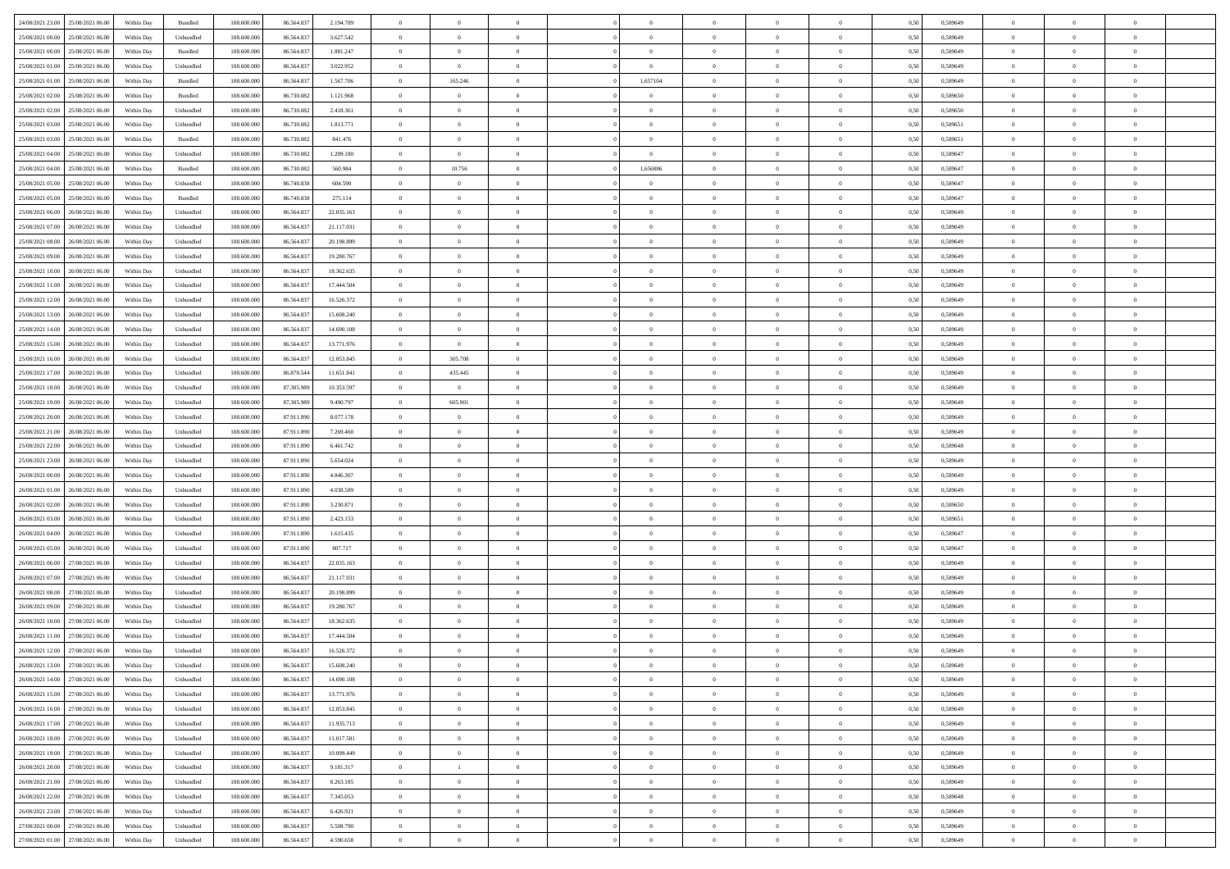| 24/08/2021 23:00 25/08/2021 06:00    | Within Day | Bundled                     | 108.600.000 | 86.564.837 | 2.194.789  | $\overline{0}$ | $\overline{0}$ |                | $\overline{0}$ | $\theta$       |                | $\theta$       | 0,50 | 0,589649 | $\theta$       | $\theta$       | $\overline{0}$ |  |
|--------------------------------------|------------|-----------------------------|-------------|------------|------------|----------------|----------------|----------------|----------------|----------------|----------------|----------------|------|----------|----------------|----------------|----------------|--|
| 25/08/2021 00:00<br>25/08/2021 06:00 | Within Day | Unbundled                   | 108.600.00  | 86.564.83  | 3.627.542  | $\bf{0}$       | $\bf{0}$       | $\bf{0}$       | $\bf{0}$       | $\overline{0}$ | $\overline{0}$ | $\bf{0}$       | 0,50 | 0,589649 | $\,$ 0 $\,$    | $\bf{0}$       | $\overline{0}$ |  |
| 25/08/2021 00:00<br>25/08/2021 06:00 | Within Day | Bundled                     | 108,600,000 | 86.564.837 | 1.881.247  | $\overline{0}$ | $\bf{0}$       | $\overline{0}$ | $\bf{0}$       | $\bf{0}$       | $\overline{0}$ | $\bf{0}$       | 0.50 | 0.589649 | $\bf{0}$       | $\overline{0}$ | $\bf{0}$       |  |
|                                      |            |                             |             |            |            | $\overline{0}$ | $\overline{0}$ | $\overline{0}$ | $\overline{0}$ | $\theta$       | $\overline{0}$ |                |      |          | $\theta$       | $\theta$       | $\overline{0}$ |  |
| 25/08/2021 01:00<br>25/08/2021 06:00 | Within Day | Unbundled                   | 108.600.000 | 86.564.837 | 3.022.952  |                |                |                |                |                |                | $\bf{0}$       | 0,50 | 0,589649 |                |                |                |  |
| 25/08/2021 01:00<br>25/08/2021 06.00 | Within Day | Bundled                     | 108.600.00  | 86.564.83  | 1.567.706  | $\bf{0}$       | 165.246        | $\bf{0}$       | 1,657104       | $\theta$       | $\overline{0}$ | $\bf{0}$       | 0,50 | 0,589649 | $\,$ 0 $\,$    | $\bf{0}$       | $\overline{0}$ |  |
| 25/08/2021 02:00<br>25/08/2021 06:00 | Within Day | Bundled                     | 108,600,000 | 86,730,082 | 1.121.968  | $\overline{0}$ | $\overline{0}$ | $\overline{0}$ | $\bf{0}$       | $\overline{0}$ | $\theta$       | $\bf{0}$       | 0.50 | 0.589650 | $\,$ 0 $\,$    | $\theta$       | $\overline{0}$ |  |
| 25/08/2021 02:00<br>25/08/2021 06:00 | Within Day | Unbundled                   | 108.600.000 | 86.730.082 | 2.418.361  | $\overline{0}$ | $\overline{0}$ | $\overline{0}$ | $\overline{0}$ | $\overline{0}$ | $\overline{0}$ | $\bf{0}$       | 0,50 | 0,589650 | $\theta$       | $\theta$       | $\overline{0}$ |  |
|                                      |            |                             |             |            |            |                |                |                |                |                |                |                |      |          |                |                |                |  |
| 25/08/2021 03:00<br>25/08/2021 06:00 | Within Day | Unbundled                   | 108.600.00  | 86.730.082 | 1.813.771  | $\bf{0}$       | $\bf{0}$       | $\bf{0}$       | $\overline{0}$ | $\overline{0}$ | $\overline{0}$ | $\bf{0}$       | 0,50 | 0,589651 | $\,$ 0 $\,$    | $\bf{0}$       | $\overline{0}$ |  |
| 25/08/2021 03:00<br>25/08/2021 06:00 | Within Day | Bundled                     | 108,600,000 | 86.730.082 | 841.476    | $\overline{0}$ | $\bf{0}$       | $\overline{0}$ | $\bf{0}$       | $\overline{0}$ | $\overline{0}$ | $\bf{0}$       | 0.50 | 0.589651 | $\bf{0}$       | $\overline{0}$ | $\overline{0}$ |  |
| 25/08/2021 04:00<br>25/08/2021 06:00 | Within Day | Unbundled                   | 108.600.000 | 86.730.082 | 1.209.180  | $\overline{0}$ | $\bf{0}$       | $\overline{0}$ | $\overline{0}$ | $\overline{0}$ | $\overline{0}$ | $\bf{0}$       | 0,50 | 0,589647 | $\,$ 0 $\,$    | $\bf{0}$       | $\overline{0}$ |  |
| 25/08/2021 04:00<br>25/08/2021 06.00 | Within Day | Bundled                     | 108.600.00  | 86.730.082 | 560.984    | $\bf{0}$       | 10.756         | $\bf{0}$       | 1,656886       | $\bf{0}$       | $\overline{0}$ | $\bf{0}$       | 0,50 | 0,589647 | $\,$ 0 $\,$    | $\bf{0}$       | $\overline{0}$ |  |
|                                      |            |                             |             |            |            |                |                |                |                |                |                |                |      |          |                |                |                |  |
| 25/08/2021 05:00<br>25/08/2021 06:00 | Within Day | Unbundled                   | 108,600,000 | 86,740,838 | 604.590    | $\overline{0}$ | $\bf{0}$       | $\overline{0}$ | $\overline{0}$ | $\bf{0}$       | $\overline{0}$ | $\bf{0}$       | 0.50 | 0.589647 | $\bf{0}$       | $\overline{0}$ | $\,$ 0         |  |
| 25/08/2021 05:00<br>25/08/2021 06:00 | Within Day | Bundled                     | 108.600.000 | 86.740.838 | 275.114    | $\overline{0}$ | $\overline{0}$ | $\overline{0}$ | $\overline{0}$ | $\theta$       | $\overline{0}$ | $\bf{0}$       | 0,50 | 0,589647 | $\,$ 0 $\,$    | $\theta$       | $\overline{0}$ |  |
| 25/08/2021 06:00<br>26/08/2021 06:00 | Within Day | Unbundled                   | 108.600.00  | 86.564.83  | 22.035.163 | $\bf{0}$       | $\overline{0}$ | $\bf{0}$       | $\bf{0}$       | $\bf{0}$       | $\overline{0}$ | $\bf{0}$       | 0,50 | 0,589649 | $\,$ 0 $\,$    | $\bf{0}$       | $\overline{0}$ |  |
| 25/08/2021 07:00<br>26/08/2021 06:00 | Within Day | Unbundled                   | 108 600 000 | 86.564.83  | 21.117.031 | $\overline{0}$ | $\bf{0}$       | $\overline{0}$ | $\bf{0}$       | $\overline{0}$ | $\theta$       | $\bf{0}$       | 0.50 | 0.589649 | $\,$ 0 $\,$    | $\theta$       | $\overline{0}$ |  |
|                                      |            |                             |             |            |            |                |                |                |                |                |                |                |      |          |                |                |                |  |
| 25/08/2021 08:00<br>26/08/2021 06:00 | Within Day | Unbundled                   | 108.600.000 | 86.564.837 | 20.198.899 | $\overline{0}$ | $\overline{0}$ | $\overline{0}$ | $\overline{0}$ | $\overline{0}$ | $\overline{0}$ | $\bf{0}$       | 0,50 | 0,589649 | $\theta$       | $\theta$       | $\overline{0}$ |  |
| 25/08/2021 09:00<br>26/08/2021 06:00 | Within Day | Unbundled                   | 108.600.00  | 86.564.83  | 19.280.767 | $\bf{0}$       | $\bf{0}$       | $\bf{0}$       | $\overline{0}$ | $\overline{0}$ | $\overline{0}$ | $\bf{0}$       | 0,50 | 0,589649 | $\,$ 0 $\,$    | $\bf{0}$       | $\overline{0}$ |  |
| 25/08/2021 10:00<br>26/08/2021 06:00 | Within Day | Unbundled                   | 108,600,000 | 86.564.83  | 18.362.635 | $\overline{0}$ | $\bf{0}$       | $\overline{0}$ | $\bf{0}$       | $\overline{0}$ | $\overline{0}$ | $\bf{0}$       | 0.50 | 0.589649 | $\bf{0}$       | $\overline{0}$ | $\bf{0}$       |  |
| 25/08/2021 11:00<br>26/08/2021 06:00 | Within Day | Unbundled                   | 108.600.000 | 86.564.837 | 17.444.504 | $\overline{0}$ | $\bf{0}$       | $\overline{0}$ | $\overline{0}$ | $\overline{0}$ | $\overline{0}$ | $\bf{0}$       | 0,50 | 0,589649 | $\,$ 0 $\,$    | $\bf{0}$       | $\overline{0}$ |  |
|                                      |            |                             |             |            |            |                |                |                |                |                |                |                |      |          |                |                |                |  |
| 25/08/2021 12:00<br>26/08/2021 06:00 | Within Day | Unbundled                   | 108.600.00  | 86.564.83  | 16.526.372 | $\bf{0}$       | $\bf{0}$       | $\bf{0}$       | $\bf{0}$       | $\overline{0}$ | $\overline{0}$ | $\bf{0}$       | 0,50 | 0,589649 | $\,$ 0 $\,$    | $\bf{0}$       | $\overline{0}$ |  |
| 25/08/2021 13:00<br>26/08/2021 06:00 | Within Day | Unbundled                   | 108,600,000 | 86,564,837 | 15,608,240 | $\overline{0}$ | $\bf{0}$       | $\overline{0}$ | $\overline{0}$ | $\bf{0}$       | $\overline{0}$ | $\bf{0}$       | 0.50 | 0.589649 | $\bf{0}$       | $\overline{0}$ | $\,$ 0         |  |
| 25/08/2021 14:00<br>26/08/2021 06:00 | Within Day | Unbundled                   | 108.600.000 | 86.564.837 | 14.690.108 | $\overline{0}$ | $\overline{0}$ | $\overline{0}$ | $\theta$       | $\theta$       | $\overline{0}$ | $\bf{0}$       | 0,50 | 0,589649 | $\theta$       | $\theta$       | $\overline{0}$ |  |
| 25/08/2021 15:00<br>26/08/2021 06:00 | Within Day | Unbundled                   | 108.600.00  | 86.564.83  | 13.771.976 | $\bf{0}$       | $\overline{0}$ | $\bf{0}$       | $\bf{0}$       | $\overline{0}$ | $\overline{0}$ | $\bf{0}$       | 0,50 | 0,589649 | $\,$ 0 $\,$    | $\bf{0}$       | $\overline{0}$ |  |
|                                      |            |                             |             |            |            |                |                |                |                |                | $\theta$       |                |      |          |                |                |                |  |
| 25/08/2021 16:00<br>26/08/2021 06:00 | Within Day | Unbundled                   | 108,600,000 | 86.564.83  | 12.853.845 | $\overline{0}$ | 305,708        | $\overline{0}$ | $\bf{0}$       | $\overline{0}$ |                | $\bf{0}$       | 0.50 | 0.589649 | $\,$ 0 $\,$    | $\theta$       | $\overline{0}$ |  |
| 25/08/2021 17:00<br>26/08/2021 06:00 | Within Day | Unbundled                   | 108.600.000 | 86.870.544 | 11.651.841 | $\overline{0}$ | 435.445        | $\overline{0}$ | $\overline{0}$ | $\overline{0}$ | $\overline{0}$ | $\bf{0}$       | 0,50 | 0,589649 | $\,$ 0 $\,$    | $\theta$       | $\overline{0}$ |  |
| 25/08/2021 18:00<br>26/08/2021 06:00 | Within Day | Unbundled                   | 108.600.00  | 87.305.98  | 10.353.597 | $\bf{0}$       | $\bf{0}$       | $\bf{0}$       | $\overline{0}$ | $\overline{0}$ | $\overline{0}$ | $\bf{0}$       | 0,50 | 0,589649 | $\,$ 0 $\,$    | $\bf{0}$       | $\overline{0}$ |  |
| 25/08/2021 19:00<br>26/08/2021 06:00 | Within Day | Unbundled                   | 108,600,000 | 87.305.989 | 9.490.797  | $\overline{0}$ | 605.901        | $\overline{0}$ | $\bf{0}$       | $\overline{0}$ | $\overline{0}$ | $\bf{0}$       | 0.50 | 0.589649 | $\bf{0}$       | $\overline{0}$ | $\overline{0}$ |  |
| 25/08/2021 20:00<br>26/08/2021 06:00 | Within Day | Unbundled                   | 108.600.000 | 87.911.890 | 8.077.178  | $\overline{0}$ | $\overline{0}$ | $\overline{0}$ | $\overline{0}$ | $\overline{0}$ | $\overline{0}$ | $\bf{0}$       | 0,50 | 0,589649 | $\theta$       | $\theta$       | $\overline{0}$ |  |
|                                      |            |                             |             |            |            |                |                |                |                |                |                |                |      |          |                |                |                |  |
| 25/08/2021 21:00<br>26/08/2021 06:00 | Within Day | Unbundled                   | 108.600.00  | 87.911.890 | 7.269.460  | $\bf{0}$       | $\bf{0}$       | $\bf{0}$       | $\bf{0}$       | $\overline{0}$ | $\overline{0}$ | $\bf{0}$       | 0,50 | 0,589649 | $\,$ 0 $\,$    | $\bf{0}$       | $\overline{0}$ |  |
| 25/08/2021 22:00<br>26/08/2021 06:00 | Within Day | Unbundled                   | 108,600,000 | 87.911.890 | 6.461.742  | $\overline{0}$ | $\bf{0}$       | $\overline{0}$ | $\bf{0}$       | $\bf{0}$       | $\overline{0}$ | $\bf{0}$       | 0.50 | 0.589648 | $\bf{0}$       | $\overline{0}$ | $\,$ 0         |  |
| 25/08/2021 23:00<br>26/08/2021 06:00 | Within Day | Unbundled                   | 108.600.000 | 87.911.890 | 5.654.024  | $\overline{0}$ | $\overline{0}$ | $\overline{0}$ | $\overline{0}$ | $\overline{0}$ | $\overline{0}$ | $\bf{0}$       | 0.50 | 0.589649 | $\theta$       | $\theta$       | $\overline{0}$ |  |
| 26/08/2021 00:00<br>26/08/2021 06:00 | Within Day | Unbundled                   | 108.600.00  | 87.911.890 | 4.846.307  | $\bf{0}$       | $\bf{0}$       | $\bf{0}$       | $\bf{0}$       | $\overline{0}$ | $\overline{0}$ | $\bf{0}$       | 0,50 | 0,589649 | $\,$ 0 $\,$    | $\bf{0}$       | $\overline{0}$ |  |
|                                      |            |                             |             |            |            |                |                |                |                |                |                |                |      |          |                |                |                |  |
| 26/08/2021 01:00<br>26/08/2021 06:00 | Within Day | Unbundled                   | 108,600,000 | 87.911.890 | 4.038.589  | $\overline{0}$ | $\bf{0}$       | $\overline{0}$ | $\bf{0}$       | $\overline{0}$ | $\overline{0}$ | $\bf{0}$       | 0.50 | 0.589649 | $\,$ 0 $\,$    | $\bf{0}$       | $\overline{0}$ |  |
| 26/08/2021 02:00<br>26/08/2021 06:00 | Within Dav | Unbundled                   | 108.600.000 | 87.911.890 | 3.230.871  | $\overline{0}$ | $\overline{0}$ | $\overline{0}$ | $\overline{0}$ | $\overline{0}$ | $\overline{0}$ | $\bf{0}$       | 0.50 | 0.589650 | $\theta$       | $\theta$       | $\overline{0}$ |  |
| 26/08/2021 03:00<br>26/08/2021 06:00 | Within Day | Unbundled                   | 108.600.00  | 87.911.890 | 2.423.153  | $\bf{0}$       | $\bf{0}$       | $\bf{0}$       | $\bf{0}$       | $\overline{0}$ | $\overline{0}$ | $\bf{0}$       | 0,50 | 0,589651 | $\,$ 0 $\,$    | $\bf{0}$       | $\overline{0}$ |  |
| 26/08/2021 04:00<br>26/08/2021 06:00 | Within Day | Unbundled                   | 108,600,000 | 87.911.890 | 1.615.435  | $\overline{0}$ | $\bf{0}$       | $\overline{0}$ | $\bf{0}$       | $\overline{0}$ | $\overline{0}$ | $\bf{0}$       | 0.50 | 0.589647 | $\bf{0}$       | $\overline{0}$ | $\overline{0}$ |  |
|                                      |            |                             |             |            |            |                |                |                |                |                |                |                |      |          |                |                |                |  |
| 26/08/2021 05:00<br>26/08/2021 06:00 | Within Dav | Unbundled                   | 108.600.000 | 87.911.890 | 807.717    | $\overline{0}$ | $\overline{0}$ | $\overline{0}$ | $\overline{0}$ | $\overline{0}$ | $\overline{0}$ | $\bf{0}$       | 0.50 | 0.589647 | $\theta$       | $\theta$       | $\overline{0}$ |  |
| 26/08/2021 06:00<br>27/08/2021 06:00 | Within Day | Unbundled                   | 108.600.00  | 86.564.83  | 22.035.163 | $\bf{0}$       | $\bf{0}$       | $\bf{0}$       | $\bf{0}$       | $\overline{0}$ | $\overline{0}$ | $\bf{0}$       | 0,50 | 0,589649 | $\,$ 0 $\,$    | $\bf{0}$       | $\overline{0}$ |  |
| 26/08/2021 07:00<br>27/08/2021 06:00 | Within Day | Unbundled                   | 108,600,000 | 86,564,837 | 21.117.031 | $\overline{0}$ | $\bf{0}$       | $\overline{0}$ | $\overline{0}$ | $\bf{0}$       | $\overline{0}$ | $\bf{0}$       | 0.50 | 0.589649 | $\bf{0}$       | $\overline{0}$ | $\,$ 0         |  |
| 26/08/2021 08:00<br>27/08/2021 06:00 | Within Dav | Unbundled                   | 108.600.000 | 86.564.837 | 20.198.899 | $\overline{0}$ | $\overline{0}$ | $\overline{0}$ | $\overline{0}$ | $\overline{0}$ | $\overline{0}$ | $\bf{0}$       | 0.50 | 0.589649 | $\theta$       | $\theta$       | $\overline{0}$ |  |
| 26/08/2021 09:00<br>27/08/2021 06:00 | Within Day | Unbundled                   | 108.600.00  | 86.564.83  | 19.280.767 | $\bf{0}$       | $\bf{0}$       | $\bf{0}$       | $\bf{0}$       | $\overline{0}$ | $\overline{0}$ | $\bf{0}$       | 0,50 | 0,589649 | $\,$ 0 $\,$    | $\bf{0}$       | $\overline{0}$ |  |
|                                      |            |                             |             |            |            |                |                |                |                |                |                |                |      |          |                |                |                |  |
| 26/08/2021 10:00<br>27/08/2021 06:00 | Within Day | Unbundled                   | 108 600 000 | 86.564.83  | 18.362.635 | $\overline{0}$ | $\overline{0}$ | $\overline{0}$ | $\bf{0}$       | $\overline{0}$ | $\Omega$       | $\bf{0}$       | 0.50 | 0.589649 | $\bf{0}$       | $\theta$       | $\overline{0}$ |  |
| 26/08/2021 11:00<br>27/08/2021 06:00 | Within Dav | Unbundled                   | 108.600.000 | 86,564,837 | 17,444.504 | $\overline{0}$ | $\overline{0}$ | $\Omega$       | $\theta$       | $\theta$       | $\overline{0}$ | $\overline{0}$ | 0.5( | 0.589649 | $\theta$       | $\theta$       | $\overline{0}$ |  |
| 26/08/2021 12:00<br>27/08/2021 06:00 | Within Day | Unbundled                   | 108.600.00  | 86.564.837 | 16.526.372 | $\bf{0}$       | $\bf{0}$       | $\bf{0}$       | $\bf{0}$       | $\bf{0}$       | $\overline{0}$ | $\bf{0}$       | 0,50 | 0,589649 | $\,$ 0 $\,$    | $\overline{0}$ | $\overline{0}$ |  |
| 26/08/2021 13:00 27/08/2021 06:00    | Within Day | $\ensuremath{\mathsf{Unb}}$ | 108.600.000 | 86.564.837 | 15.608.240 | $\bf{0}$       | $\theta$       |                | $\overline{0}$ |                |                |                | 0,50 | 0.589649 | $\bf{0}$       | $\bf{0}$       |                |  |
|                                      |            |                             |             |            |            |                |                |                |                |                |                |                |      |          |                |                |                |  |
| 26/08/2021 14:00 27/08/2021 06:00    | Within Day | Unbundled                   | 108.600.000 | 86.564.837 | 14.690.108 | $\overline{0}$ | $\overline{0}$ | $\Omega$       | $\theta$       | $\overline{0}$ | $\overline{0}$ | $\bf{0}$       | 0,50 | 0,589649 | $\theta$       | $\theta$       | $\overline{0}$ |  |
| 26/08/2021 15:00<br>27/08/2021 06:00 | Within Day | Unbundled                   | 108.600.00  | 86.564.837 | 13.771.976 | $\overline{0}$ | $\bf{0}$       | $\overline{0}$ | $\overline{0}$ | $\bf{0}$       | $\overline{0}$ | $\bf{0}$       | 0,50 | 0,589649 | $\bf{0}$       | $\overline{0}$ | $\bf{0}$       |  |
| 26/08/2021 16:00 27/08/2021 06:00    | Within Day | Unbundled                   | 108,600,000 | 86,564,837 | 12.853.845 | $\overline{0}$ | $\bf{0}$       | $\overline{0}$ | $\overline{0}$ | $\mathbf{0}$   | $\overline{0}$ | $\,$ 0 $\,$    | 0.50 | 0.589649 | $\overline{0}$ | $\bf{0}$       | $\,$ 0 $\,$    |  |
| 26/08/2021 17:00 27/08/2021 06:00    | Within Day | Unbundled                   | 108.600.000 | 86.564.837 | 11.935.713 | $\overline{0}$ | $\overline{0}$ | $\overline{0}$ | $\overline{0}$ | $\overline{0}$ | $\overline{0}$ | $\bf{0}$       | 0,50 | 0.589649 | $\theta$       | $\theta$       | $\overline{0}$ |  |
|                                      |            |                             |             |            |            |                |                |                |                |                |                |                |      |          |                |                |                |  |
| 26/08/2021 18:00<br>27/08/2021 06:00 | Within Day | Unbundled                   | 108.600.000 | 86.564.837 | 11.017.581 | $\overline{0}$ | $\bf{0}$       | $\overline{0}$ | $\overline{0}$ | $\bf{0}$       | $\overline{0}$ | $\bf{0}$       | 0,50 | 0,589649 | $\bf{0}$       | $\overline{0}$ | $\overline{0}$ |  |
| 27/08/2021 06:00<br>26/08/2021 19:00 | Within Day | Unbundled                   | 108,600,000 | 86,564,837 | 10,099,449 | $\overline{0}$ | $\bf{0}$       | $\overline{0}$ | $\overline{0}$ | $\overline{0}$ | $\overline{0}$ | $\bf{0}$       | 0.50 | 0.589649 | $\,$ 0 $\,$    | $\overline{0}$ | $\,$ 0         |  |
| 26/08/2021 20:00<br>27/08/2021 06:00 | Within Dav | Unbundled                   | 108.600.000 | 86.564.837 | 9.181.317  | $\overline{0}$ | $\overline{1}$ | $\overline{0}$ | $\overline{0}$ | $\overline{0}$ | $\overline{0}$ | $\bf{0}$       | 0,50 | 0.589649 | $\overline{0}$ | $\theta$       | $\overline{0}$ |  |
| 26/08/2021 21:00<br>27/08/2021 06:00 | Within Day | Unbundled                   | 108.600.00  | 86.564.837 | 8.263.185  | $\overline{0}$ | $\overline{0}$ | $\overline{0}$ | $\overline{0}$ | $\overline{0}$ | $\overline{0}$ | $\bf{0}$       | 0,50 | 0,589649 | $\bf{0}$       | $\overline{0}$ | $\,$ 0         |  |
|                                      |            |                             |             |            |            |                |                |                |                |                |                |                |      |          |                |                |                |  |
| 26/08/2021 22:00 27/08/2021 06:00    | Within Day | Unbundled                   | 108,600,000 | 86,564,837 | 7.345.053  | $\overline{0}$ | $\overline{0}$ | $\overline{0}$ | $\overline{0}$ | $\overline{0}$ | $\overline{0}$ | $\bf{0}$       | 0.50 | 0.589648 | $\mathbf{0}$   | $\bf{0}$       | $\,$ 0         |  |
| 26/08/2021 23:00 27/08/2021 06:00    | Within Dav | Unbundled                   | 108.600.000 | 86.564.837 | 6.426.921  | $\overline{0}$ | $\overline{0}$ | $\overline{0}$ | $\overline{0}$ | $\overline{0}$ | $\overline{0}$ | $\bf{0}$       | 0,50 | 0.589649 | $\overline{0}$ | $\theta$       | $\overline{0}$ |  |
| 27/08/2021 00:00<br>27/08/2021 06:00 | Within Day | Unbundled                   | 108.600.00  | 86.564.837 | 5.508.790  | $\overline{0}$ | $\bf{0}$       | $\overline{0}$ | $\bf{0}$       | $\overline{0}$ | $\bf{0}$       | $\bf{0}$       | 0,50 | 0,589649 | $\bf{0}$       | $\,0\,$        | $\bf{0}$       |  |
| 27/08/2021 01:00 27/08/2021 06:00    | Within Day | Unbundled                   | 108.600.000 | 86.564.837 | 4.590.658  | $\overline{0}$ | $\bf{0}$       | $\overline{0}$ | $\overline{0}$ | $\,$ 0 $\,$    | $\overline{0}$ | $\bf{0}$       | 0,50 | 0,589649 | $\overline{0}$ | $\,$ 0 $\,$    | $\,$ 0 $\,$    |  |
|                                      |            |                             |             |            |            |                |                |                |                |                |                |                |      |          |                |                |                |  |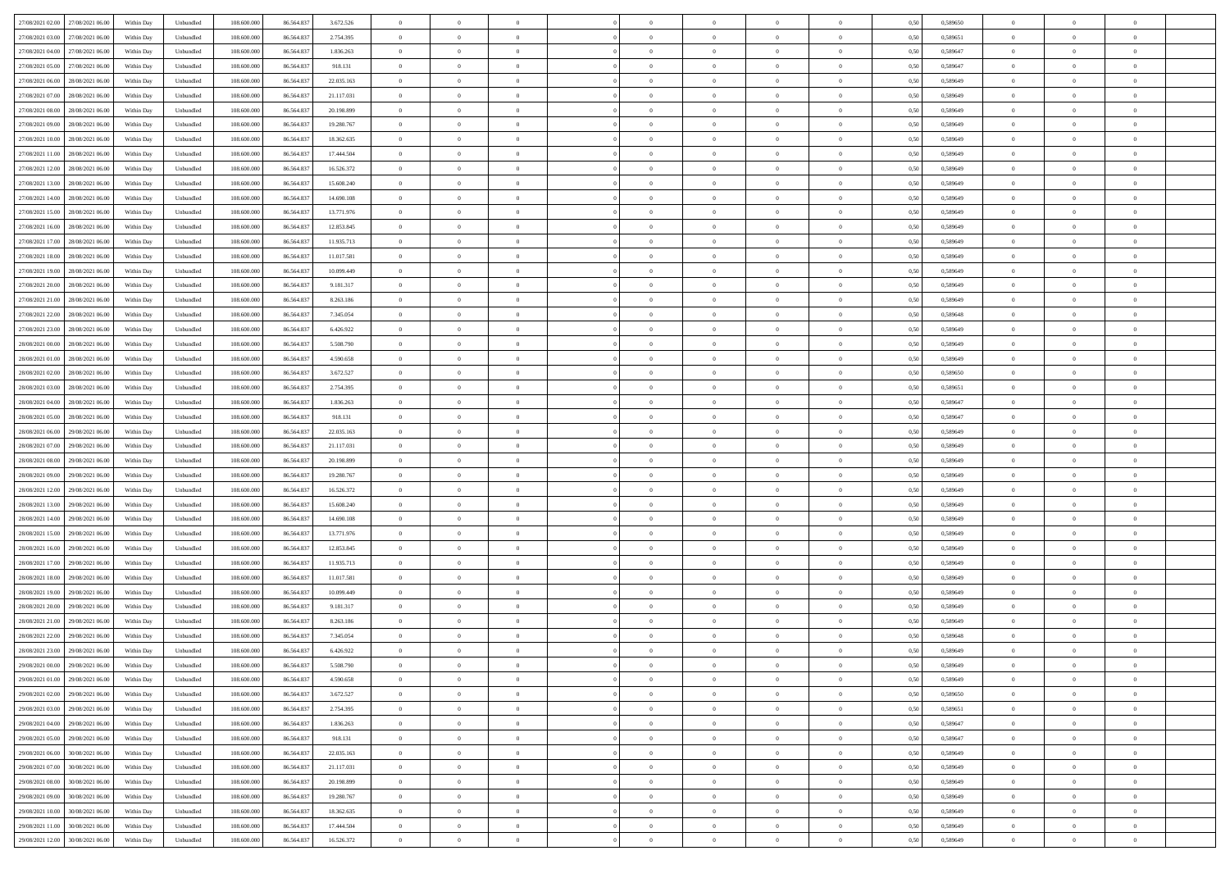| 27/08/2021 02:00 27/08/2021 06:00    | Within Day | Unbundled                   | 108.600.000 | 86.564.837 | 3.672.526  | $\overline{0}$ | $\theta$       |                | $\overline{0}$ | $\bf{0}$       | $\overline{0}$ | $\theta$       | 0,50 | 0,589650 | $\,0\,$        | $\overline{0}$ | $\bf{0}$       |  |
|--------------------------------------|------------|-----------------------------|-------------|------------|------------|----------------|----------------|----------------|----------------|----------------|----------------|----------------|------|----------|----------------|----------------|----------------|--|
|                                      |            |                             |             |            |            |                |                |                |                |                |                |                |      |          |                |                |                |  |
| 27/08/2021 03:00<br>27/08/2021 06:00 | Within Day | Unbundled                   | 108.600.00  | 86.564.83  | 2.754.395  | $\overline{0}$ | $\overline{0}$ | $\overline{0}$ | $\overline{0}$ | $\,$ 0         | $\overline{0}$ | $\bf{0}$       | 0,50 | 0,589651 | $\bf{0}$       | $\overline{0}$ | $\bf{0}$       |  |
| 27/08/2021 04:00<br>27/08/2021 06:00 | Within Day | Unbundled                   | 108,600,000 | 86.564.837 | 1.836.263  | $\overline{0}$ | $\overline{0}$ | $\overline{0}$ | $\overline{0}$ | $\bf{0}$       | $\overline{0}$ | $\overline{0}$ | 0.50 | 0.589647 | $\overline{0}$ | $\bf{0}$       | $\bf{0}$       |  |
| 27/08/2021 05:00<br>27/08/2021 06:00 | Within Day | Unbundled                   | 108.600.000 | 86.564.837 | 918.131    | $\overline{0}$ | $\overline{0}$ | $\overline{0}$ | $\overline{0}$ | $\,$ 0         | $\overline{0}$ | $\theta$       | 0,50 | 0,589647 | $\,0\,$        | $\overline{0}$ | $\overline{0}$ |  |
| 27/08/2021 06:00<br>28/08/2021 06:00 | Within Day | Unbundled                   | 108.600.00  | 86.564.837 | 22.035.163 | $\overline{0}$ | $\theta$       | $\overline{0}$ |                | $\bf{0}$       | $\overline{0}$ | $\bf{0}$       | 0,50 | 0,589649 | $\bf{0}$       | $\overline{0}$ | $\,$ 0         |  |
| 27/08/2021 07:00<br>28/08/2021 06:00 | Within Day | Unbundled                   | 108,600,000 | 86,564,837 | 21.117.031 | $\overline{0}$ | $\overline{0}$ | $\overline{0}$ | $\overline{0}$ | $\bf{0}$       | $\overline{0}$ | $\overline{0}$ | 0.50 | 0.589649 | $\bf{0}$       | $\overline{0}$ | $\bf{0}$       |  |
|                                      |            |                             |             |            |            |                |                |                |                |                |                |                |      |          |                |                |                |  |
| 27/08/2021 08:00<br>28/08/2021 06:00 | Within Day | Unbundled                   | 108.600.000 | 86.564.837 | 20.198.899 | $\overline{0}$ | $\overline{0}$ | $\overline{0}$ | $\overline{0}$ | $\,$ 0         | $\overline{0}$ | $\overline{0}$ | 0,50 | 0,589649 | $\,0\,$        | $\overline{0}$ | $\bf{0}$       |  |
| 27/08/2021 09:00<br>28/08/2021 06:00 | Within Day | Unbundled                   | 108.600.00  | 86.564.837 | 19.280.767 | $\overline{0}$ | $\theta$       | $\overline{0}$ |                | $\,$ 0         | $\overline{0}$ | $\bf{0}$       | 0,50 | 0,589649 | $\bf{0}$       | $\overline{0}$ | $\bf{0}$       |  |
| 27/08/2021 10:00<br>28/08/2021 06:00 | Within Day | Unbundled                   | 108,600,000 | 86,564,837 | 18.362.635 | $\overline{0}$ | $\overline{0}$ | $\overline{0}$ | $\overline{0}$ | $\bf{0}$       | $\overline{0}$ | $\overline{0}$ | 0.50 | 0.589649 | $\bf{0}$       | $\overline{0}$ | $\bf{0}$       |  |
| 27/08/2021 11:00<br>28/08/2021 06:00 | Within Day | Unbundled                   | 108.600.000 | 86.564.837 | 17.444.504 | $\overline{0}$ | $\overline{0}$ | $\overline{0}$ | $\overline{0}$ | $\bf{0}$       | $\overline{0}$ | $\overline{0}$ | 0,50 | 0,589649 | $\,0\,$        | $\overline{0}$ | $\bf{0}$       |  |
| 27/08/2021 12:00<br>28/08/2021 06:00 | Within Day | Unbundled                   | 108.600.00  | 86.564.837 | 16.526.372 | $\bf{0}$       | $\theta$       | $\overline{0}$ | $\overline{0}$ | $\,$ 0         | $\overline{0}$ | $\bf{0}$       | 0,50 | 0,589649 | $\bf{0}$       | $\overline{0}$ | $\bf{0}$       |  |
| 27/08/2021 13:00<br>28/08/2021 06:00 | Within Day | Unbundled                   | 108,600,000 | 86.564.837 | 15,608,240 | $\overline{0}$ | $\overline{0}$ | $\overline{0}$ | $\overline{0}$ | $\,$ 0 $\,$    | $\overline{0}$ | $\overline{0}$ | 0.50 | 0.589649 | $\overline{0}$ | $\bf{0}$       | $\bf{0}$       |  |
| 27/08/2021 14:00<br>28/08/2021 06:00 | Within Day | Unbundled                   | 108.600.000 | 86.564.837 | 14.690.108 | $\overline{0}$ | $\overline{0}$ | $\overline{0}$ | $\overline{0}$ | $\,$ 0         | $\overline{0}$ | $\theta$       | 0,50 | 0,589649 | $\,0\,$        | $\overline{0}$ | $\bf{0}$       |  |
|                                      |            |                             |             |            |            |                |                |                |                |                |                |                |      |          |                |                |                |  |
| 27/08/2021 15:00<br>28/08/2021 06:00 | Within Day | Unbundled                   | 108.600.00  | 86.564.837 | 13.771.976 | $\overline{0}$ | $\theta$       | $\overline{0}$ |                | $\bf{0}$       | $\overline{0}$ | $\bf{0}$       | 0,50 | 0,589649 | $\bf{0}$       | $\overline{0}$ | $\,$ 0         |  |
| 27/08/2021 16:00<br>28/08/2021 06:00 | Within Day | Unbundled                   | 108,600,000 | 86,564,837 | 12.853.845 | $\overline{0}$ | $\overline{0}$ | $\overline{0}$ | $\overline{0}$ | $\bf{0}$       | $\overline{0}$ | $\overline{0}$ | 0.50 | 0.589649 | $\bf{0}$       | $\overline{0}$ | $\bf{0}$       |  |
| 27/08/2021 17:00<br>28/08/2021 06:00 | Within Day | Unbundled                   | 108.600.000 | 86.564.837 | 11.935.713 | $\overline{0}$ | $\overline{0}$ | $\overline{0}$ | $\overline{0}$ | $\bf{0}$       | $\overline{0}$ | $\overline{0}$ | 0,50 | 0,589649 | $\,0\,$        | $\overline{0}$ | $\overline{0}$ |  |
| 27/08/2021 18:00<br>28/08/2021 06:00 | Within Day | Unbundled                   | 108.600.00  | 86.564.837 | 11.017.581 | $\overline{0}$ | $\theta$       | $\overline{0}$ |                | $\,$ 0         | $\overline{0}$ | $\bf{0}$       | 0,50 | 0,589649 | $\bf{0}$       | $\overline{0}$ | $\bf{0}$       |  |
| 27/08/2021 19:00<br>28/08/2021 06:00 | Within Day | Unbundled                   | 108,600,000 | 86.564.83  | 10.099.449 | $\overline{0}$ | $\overline{0}$ | $\overline{0}$ | $\overline{0}$ | $\bf{0}$       | $\overline{0}$ | $\overline{0}$ | 0.50 | 0.589649 | $\bf{0}$       | $\overline{0}$ | $\bf{0}$       |  |
| 27/08/2021 20:00<br>28/08/2021 06:00 | Within Day | Unbundled                   | 108.600.000 | 86.564.837 | 9.181.317  | $\overline{0}$ | $\overline{0}$ | $\overline{0}$ | $\overline{0}$ | $\,$ 0         | $\overline{0}$ | $\overline{0}$ | 0,50 | 0,589649 | $\,0\,$        | $\overline{0}$ | $\bf{0}$       |  |
|                                      |            |                             |             |            |            | $\bf{0}$       | $\overline{0}$ | $\overline{0}$ | $\overline{0}$ | $\,$ 0         |                |                |      |          | $\bf{0}$       | $\overline{0}$ | $\bf{0}$       |  |
| 27/08/2021 21:00<br>28/08/2021 06:00 | Within Day | Unbundled                   | 108.600.00  | 86.564.837 | 8.263.186  |                |                |                |                |                | $\overline{0}$ | $\bf{0}$       | 0,50 | 0,589649 |                |                |                |  |
| 27/08/2021 22:00<br>28/08/2021 06:00 | Within Day | Unbundled                   | 108,600,000 | 86.564.837 | 7.345.054  | $\overline{0}$ | $\overline{0}$ | $\overline{0}$ | $\overline{0}$ | $\,$ 0 $\,$    | $\overline{0}$ | $\overline{0}$ | 0.50 | 0.589648 | $\overline{0}$ | $\bf{0}$       | $\bf{0}$       |  |
| 27/08/2021 23:00<br>28/08/2021 06:00 | Within Day | Unbundled                   | 108.600.000 | 86.564.837 | 6.426.922  | $\overline{0}$ | $\overline{0}$ | $\overline{0}$ | $\overline{0}$ | $\,$ 0         | $\overline{0}$ | $\overline{0}$ | 0,50 | 0,589649 | $\,0\,$        | $\overline{0}$ | $\bf{0}$       |  |
| 28/08/2021 00:00<br>28/08/2021 06:00 | Within Day | Unbundled                   | 108.600.00  | 86.564.837 | 5.508.790  | $\overline{0}$ | $\theta$       | $\overline{0}$ |                | $\,$ 0         | $\overline{0}$ | $\bf{0}$       | 0,50 | 0,589649 | $\bf{0}$       | $\overline{0}$ | $\bf{0}$       |  |
| 28/08/2021 01:00<br>28/08/2021 06:00 | Within Day | Unbundled                   | 108,600,000 | 86.564.83  | 4.590.658  | $\overline{0}$ | $\overline{0}$ | $\overline{0}$ | $\overline{0}$ | $\bf{0}$       | $\overline{0}$ | $\overline{0}$ | 0.50 | 0.589649 | $\bf{0}$       | $\overline{0}$ | $\bf{0}$       |  |
| 28/08/2021 02:00<br>28/08/2021 06:00 | Within Day | Unbundled                   | 108.600.000 | 86.564.837 | 3.672.527  | $\overline{0}$ | $\overline{0}$ | $\overline{0}$ | $\overline{0}$ | $\,$ 0         | $\overline{0}$ | $\overline{0}$ | 0,50 | 0,589650 | $\,0\,$        | $\overline{0}$ | $\overline{0}$ |  |
| 28/08/2021 03:00<br>28/08/2021 06:00 | Within Day | Unbundled                   | 108.600.00  | 86.564.837 | 2.754.395  | $\overline{0}$ | $\theta$       | $\overline{0}$ |                | $\,$ 0         | $\overline{0}$ | $\bf{0}$       | 0,50 | 0,589651 | $\bf{0}$       | $\overline{0}$ | $\,$ 0         |  |
|                                      |            |                             |             |            |            |                |                |                |                |                |                |                |      |          |                |                |                |  |
| 28/08/2021 04:00<br>28/08/2021 06:00 | Within Day | Unbundled                   | 108,600,000 | 86,564,837 | 1.836.263  | $\overline{0}$ | $\overline{0}$ | $\overline{0}$ | $\overline{0}$ | $\bf{0}$       | $\overline{0}$ | $\overline{0}$ | 0.50 | 0.589647 | $\bf{0}$       | $\overline{0}$ | $\bf{0}$       |  |
| 28/08/2021 05:00<br>28/08/2021 06:00 | Within Day | Unbundled                   | 108.600.000 | 86.564.837 | 918.131    | $\overline{0}$ | $\overline{0}$ | $\overline{0}$ | $\overline{0}$ | $\,$ 0         | $\overline{0}$ | $\overline{0}$ | 0,50 | 0,589647 | $\,0\,$        | $\overline{0}$ | $\bf{0}$       |  |
| 28/08/2021 06:00<br>29/08/2021 06:00 | Within Day | Unbundled                   | 108.600.00  | 86.564.837 | 22.035.163 | $\bf{0}$       | $\overline{0}$ | $\overline{0}$ | $\overline{0}$ | $\bf{0}$       | $\overline{0}$ | $\bf{0}$       | 0,50 | 0,589649 | $\bf{0}$       | $\overline{0}$ | $\bf{0}$       |  |
| 28/08/2021 07:00<br>29/08/2021 06:00 | Within Day | Unbundled                   | 108,600,000 | 86,564,837 | 21.117.031 | $\overline{0}$ | $\overline{0}$ | $\overline{0}$ | $\overline{0}$ | $\,$ 0 $\,$    | $\overline{0}$ | $\overline{0}$ | 0.50 | 0.589649 | $\overline{0}$ | $\bf{0}$       | $\bf{0}$       |  |
| 28/08/2021 08:00<br>29/08/2021 06:00 | Within Day | Unbundled                   | 108.600.000 | 86.564.837 | 20.198.899 | $\overline{0}$ | $\overline{0}$ | $\overline{0}$ | $\Omega$       | $\mathbf{0}$   | $\overline{0}$ | $\overline{0}$ | 0.50 | 0.589649 | $\mathbf{0}$   | $\overline{0}$ | $\overline{0}$ |  |
| 28/08/2021 09:00<br>29/08/2021 06.00 | Within Day | Unbundled                   | 108.600.00  | 86.564.837 | 19.280.767 | $\overline{0}$ | $\theta$       | $\overline{0}$ |                | $\,$ 0         | $\overline{0}$ | $\bf{0}$       | 0,50 | 0,589649 | $\bf{0}$       | $\overline{0}$ | $\bf{0}$       |  |
| 28/08/2021 12:00<br>29/08/2021 06:00 | Within Day | Unbundled                   | 108,600,000 | 86,564,837 | 16.526.372 | $\overline{0}$ | $\overline{0}$ | $\overline{0}$ | $\overline{0}$ | $\bf{0}$       | $\overline{0}$ | $\overline{0}$ | 0.50 | 0.589649 | $\bf{0}$       | $\overline{0}$ | $\bf{0}$       |  |
|                                      |            |                             |             |            |            |                |                |                |                |                |                |                |      |          |                |                |                |  |
| 28/08/2021 13:00<br>29/08/2021 06:00 | Within Day | Unbundled                   | 108.600.000 | 86.564.837 | 15.608.240 | $\overline{0}$ | $\overline{0}$ | $\Omega$       | $\Omega$       | $\mathbf{0}$   | $\overline{0}$ | $\overline{0}$ | 0.50 | 0.589649 | $\mathbf{0}$   | $\overline{0}$ | $\overline{0}$ |  |
| 28/08/2021 14:00<br>29/08/2021 06:00 | Within Day | Unbundled                   | 108.600.00  | 86.564.837 | 14.690.108 | $\overline{0}$ | $\theta$       | $\overline{0}$ |                | $\,$ 0         | $\overline{0}$ | $\bf{0}$       | 0,50 | 0,589649 | $\bf{0}$       | $\overline{0}$ | $\bf{0}$       |  |
| 28/08/2021 15:00<br>29/08/2021 06:00 | Within Day | Unbundled                   | 108,600,000 | 86,564,837 | 13,771.976 | $\overline{0}$ | $\overline{0}$ | $\overline{0}$ | $\overline{0}$ | $\bf{0}$       | $\overline{0}$ | $\overline{0}$ | 0.50 | 0.589649 | $\bf{0}$       | $\overline{0}$ | $\bf{0}$       |  |
| 28/08/2021 16:00<br>29/08/2021 06:00 | Within Day | Unbundled                   | 108.600.000 | 86.564.837 | 12.853.845 | $\overline{0}$ | $\overline{0}$ | $\overline{0}$ | $\Omega$       | $\overline{0}$ | $\overline{0}$ | $\overline{0}$ | 0.50 | 0.589649 | $\mathbf{0}$   | $\overline{0}$ | $\overline{0}$ |  |
| 28/08/2021 17:00<br>29/08/2021 06.00 | Within Day | Unbundled                   | 108.600.00  | 86.564.837 | 11.935.713 | $\bf{0}$       | $\overline{0}$ | $\overline{0}$ | $\overline{0}$ | $\bf{0}$       | $\overline{0}$ | $\bf{0}$       | 0,50 | 0,589649 | $\bf{0}$       | $\overline{0}$ | $\bf{0}$       |  |
| 28/08/2021 18:00<br>29/08/2021 06:00 | Within Day | Unbundled                   | 108,600,000 | 86.564.837 | 11.017.581 | $\overline{0}$ | $\overline{0}$ | $\overline{0}$ | $\overline{0}$ | $\,$ 0 $\,$    | $\overline{0}$ | $\overline{0}$ | 0.50 | 0.589649 | $\overline{0}$ | $\overline{0}$ | $\bf{0}$       |  |
| 28/08/2021 19:00<br>29/08/2021 06:00 | Within Day | Unbundled                   | 108.600.000 | 86.564.837 | 10,099.449 | $\overline{0}$ | $\overline{0}$ | $\Omega$       | $\Omega$       | $\mathbf{0}$   | $\overline{0}$ | $\overline{0}$ | 0.50 | 0.589649 | $\mathbf{0}$   | $\overline{0}$ | $\overline{0}$ |  |
| 28/08/2021 20:00<br>29/08/2021 06.00 | Within Day | Unbundled                   | 108.600.00  | 86.564.837 | 9.181.317  | $\overline{0}$ | $\overline{0}$ | $\overline{0}$ | $\overline{0}$ | $\,$ 0         | $\overline{0}$ | $\bf{0}$       | 0,50 | 0,589649 | $\bf{0}$       | $\overline{0}$ | $\bf{0}$       |  |
|                                      |            |                             |             |            |            |                |                |                |                |                |                |                |      |          |                |                |                |  |
| 28/08/2021 21:00<br>29/08/2021 06:00 | Within Day | Unbundled                   | 108,600,000 | 86.564.83  | 8.263.186  | $\overline{0}$ | $\theta$       | $\overline{0}$ | $\overline{0}$ | $\bf{0}$       | $\overline{0}$ | $\overline{0}$ | 0.50 | 0.589649 | $\bf{0}$       | $\overline{0}$ | $\bf{0}$       |  |
| 28/08/2021 22:00<br>29/08/2021 06:00 | Within Day | Unbundled                   | 108.600.000 | 86.564.837 | 7.345.054  | $\overline{0}$ | $\theta$       | $\Omega$       | $\Omega$       | $\bf{0}$       | $\overline{0}$ | $\Omega$       | 0.50 | 0.589648 | $\mathbf{0}$   | $\overline{0}$ | $\overline{0}$ |  |
| 28/08/2021 23:00<br>29/08/2021 06:00 | Within Day | Unbundled                   | 108.600.00  | 86.564.837 | 6.426.922  | $\bf{0}$       | $\overline{0}$ | $\overline{0}$ | $\bf{0}$       | $\,$ 0         | $\overline{0}$ | $\bf{0}$       | 0,50 | 0,589649 | $\bf{0}$       | $\overline{0}$ | $\,$ 0         |  |
| 29/08/2021 00:00 29/08/2021 06:00    | Within Day | $\ensuremath{\mathsf{Unb}}$ | 108.600.000 | 86.564.837 | 5.508.790  | $\bf{0}$       | $\Omega$       |                |                |                |                |                | 0,50 | 0.589649 | $\overline{0}$ | $\Omega$       |                |  |
| 29/08/2021 01:00 29/08/2021 06:00    | Within Day | Unbundled                   | 108.600.000 | 86.564.837 | 4.590.658  | $\theta$       | $\overline{0}$ | $\theta$       | $\Omega$       | $\overline{0}$ | $\overline{0}$ | $\mathbf{0}$   | 0,50 | 0,589649 | $\theta$       | $\overline{0}$ | $\bf{0}$       |  |
| 29/08/2021 02:00<br>29/08/2021 06:00 | Within Day | Unbundled                   | 108.600.00  | 86.564.837 | 3.672.527  | $\overline{0}$ | $\overline{0}$ | $\overline{0}$ | $\bf{0}$       | $\overline{0}$ | $\overline{0}$ | $\mathbf{0}$   | 0,50 | 0,589650 | $\overline{0}$ | $\overline{0}$ | $\bf{0}$       |  |
| 29/08/2021 03:00 29/08/2021 06:00    | Within Day | Unbundled                   | 108,600,000 | 86.564.837 | 2.754.395  | $\overline{0}$ | $\overline{0}$ | $\overline{0}$ | $\overline{0}$ | $\overline{0}$ | $\overline{0}$ | $\mathbf{0}$   | 0.50 | 0.589651 | $\overline{0}$ | $\,$ 0 $\,$    | $\,$ 0 $\,$    |  |
|                                      |            |                             |             |            |            |                |                |                |                |                |                |                |      |          |                |                |                |  |
| 29/08/2021 04:00 29/08/2021 06:00    | Within Dav | Unbundled                   | 108.600.000 | 86.564.837 | 1.836.263  | $\overline{0}$ | $\overline{0}$ | $\overline{0}$ | $\overline{0}$ | $\overline{0}$ | $\overline{0}$ | $\overline{0}$ | 0,50 | 0,589647 | $\theta$       | $\overline{0}$ | $\bf{0}$       |  |
| 29/08/2021 05:00<br>29/08/2021 06:00 | Within Day | Unbundled                   | 108.600.00  | 86.564.837 | 918.131    | $\overline{0}$ | $\overline{0}$ | $\overline{0}$ | $\overline{0}$ | $\bf{0}$       | $\overline{0}$ | $\bf{0}$       | 0,50 | 0,589647 | $\,$ 0 $\,$    | $\overline{0}$ | $\bf{0}$       |  |
| 29/08/2021 06:00<br>30/08/2021 06:00 | Within Day | Unbundled                   | 108,600,000 | 86.564.837 | 22.035.163 | $\overline{0}$ | $\overline{0}$ | $\overline{0}$ | $\overline{0}$ | $\,$ 0 $\,$    | $\overline{0}$ | $\overline{0}$ | 0.50 | 0.589649 | $\overline{0}$ | $\overline{0}$ | $\bf{0}$       |  |
| 29/08/2021 07:00<br>30/08/2021 06:00 | Within Dav | Unbundled                   | 108.600.000 | 86.564.837 | 21.117.031 | $\overline{0}$ | $\overline{0}$ | $\overline{0}$ | $\overline{0}$ | $\overline{0}$ | $\overline{0}$ | $\overline{0}$ | 0,50 | 0,589649 | $\overline{0}$ | $\overline{0}$ | $\bf{0}$       |  |
| 29/08/2021 08:00<br>30/08/2021 06:00 | Within Day | Unbundled                   | 108.600.00  | 86.564.837 | 20.198.899 | $\overline{0}$ | $\,$ 0         | $\overline{0}$ | $\bf{0}$       | $\,$ 0 $\,$    | $\overline{0}$ | $\mathbf{0}$   | 0,50 | 0,589649 | $\overline{0}$ | $\,$ 0 $\,$    | $\bf{0}$       |  |
| 29/08/2021 09:00<br>30/08/2021 06:00 | Within Day | Unbundled                   | 108,600,000 | 86,564,837 | 19,280,767 | $\overline{0}$ | $\overline{0}$ | $\overline{0}$ | $\overline{0}$ | $\,$ 0 $\,$    | $\overline{0}$ | $\overline{0}$ | 0.50 | 0.589649 | $\overline{0}$ | $\,$ 0 $\,$    | $\bf{0}$       |  |
| 29/08/2021 10:00                     |            |                             |             |            |            |                |                |                |                |                |                |                |      |          |                |                |                |  |
| 30/08/2021 06:00                     | Within Dav | Unbundled                   | 108.600.000 | 86.564.837 | 18.362.635 | $\overline{0}$ | $\overline{0}$ | $\overline{0}$ | $\overline{0}$ | $\overline{0}$ | $\overline{0}$ | $\overline{0}$ | 0,50 | 0.589649 | $\overline{0}$ | $\overline{0}$ | $\bf{0}$       |  |
| 29/08/2021 11:00<br>30/08/2021 06:00 | Within Day | Unbundled                   | 108.600.00  | 86.564.837 | 17.444.504 | $\overline{0}$ | $\overline{0}$ | $\overline{0}$ | $\overline{0}$ | $\bf{0}$       | $\overline{0}$ | $\bf{0}$       | 0,50 | 0,589649 | $\overline{0}$ | $\overline{0}$ | $\bf{0}$       |  |
| 29/08/2021 12:00 30/08/2021 06:00    | Within Day | Unbundled                   | 108.600.000 | 86.564.837 | 16.526.372 | $\overline{0}$ | $\bf{0}$       | $\overline{0}$ | $\overline{0}$ | $\,$ 0 $\,$    | $\overline{0}$ | $\overline{0}$ | 0,50 | 0,589649 | $\,$ 0 $\,$    | $\,$ 0 $\,$    | $\bf{0}$       |  |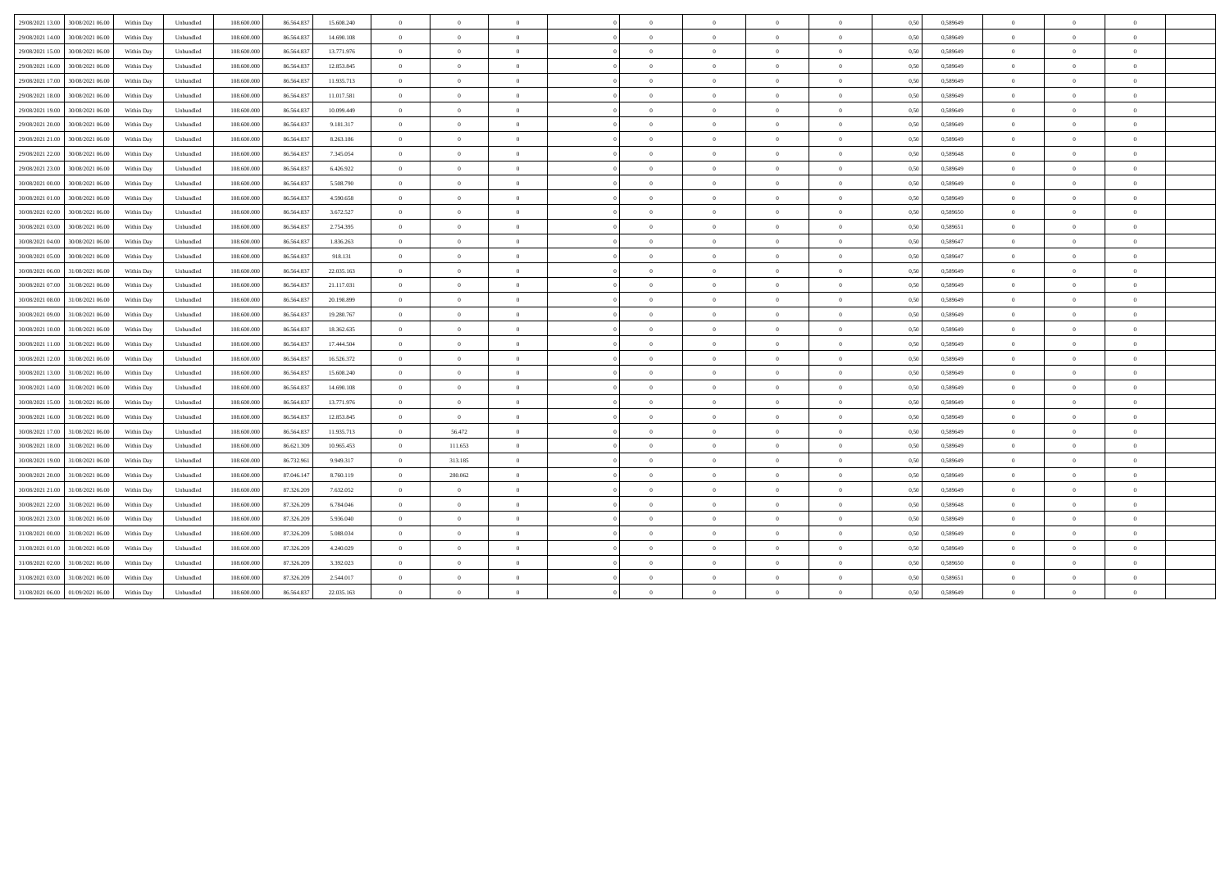| 29/08/2021 13:00 | 30/08/2021 06:00 | Within Day | Unbundled | 108.600.000 | 86.564.83  | 15.608.240 | $\overline{0}$ | $\overline{0}$ |                |            | $\overline{0}$ | $\overline{0}$ |                | 0,50 | 0,589649 | $\overline{0}$ |                |          |  |
|------------------|------------------|------------|-----------|-------------|------------|------------|----------------|----------------|----------------|------------|----------------|----------------|----------------|------|----------|----------------|----------------|----------|--|
| 29/08/2021 14:00 | 30/08/2021 06:00 | Within Dav | Unbundled | 108 600 000 | 86,564,837 | 14 690 108 | $\theta$       | $\overline{0}$ | $\theta$       | $\Omega$   | $\theta$       | $\overline{0}$ | $\theta$       | 0.50 | 0.589649 | $\overline{0}$ | $\Omega$       | $\theta$ |  |
| 29/08/2021 15:00 | 30/08/2021 06:00 | Within Day | Unbundled | 108.600.000 | 86.564.837 | 13.771.976 | $\overline{0}$ | $\Omega$       | $\Omega$       |            | $\Omega$       | $\Omega$       |                | 0,50 | 0,589649 | $\overline{0}$ |                |          |  |
| 29/08/2021 16:00 | 30/08/2021 06:00 | Within Day | Unbundled | 108,600,000 | 86,564,837 | 12.853.845 | $\overline{0}$ | $\overline{0}$ | $\overline{0}$ | $\Omega$   | $\overline{0}$ | $\theta$       | $\theta$       | 0.50 | 0.589649 | $\overline{0}$ | $\Omega$       |          |  |
| 29/08/2021 17:00 | 30/08/2021 06:00 | Within Day | Unbundled | 108.600.000 | 86.564.837 | 11.935.713 | $\overline{0}$ | $\overline{0}$ | $\overline{0}$ | $\Omega$   | $\overline{0}$ | $\Omega$       | $\theta$       | 0,50 | 0,589649 | $\overline{0}$ | $\Omega$       |          |  |
| 29/08/2021 18:00 | 30/08/2021 06:00 | Within Day | Unbundled | 108,600,000 | 86,564,837 | 11.017.581 | $\overline{0}$ | $\theta$       | $\overline{0}$ | $\Omega$   | $\theta$       | $\overline{0}$ | $\overline{0}$ | 0,50 | 0,589649 | $\overline{0}$ | $\Omega$       | $\theta$ |  |
| 29/08/2021 19:00 | 30/08/2021 06:00 | Within Day | Unbundled | 108,600,000 | 86,564,837 | 10,099.449 | $\overline{0}$ | $\theta$       | $\overline{0}$ | $\Omega$   | $\overline{0}$ | $\theta$       | $\theta$       | 0.50 | 0.589649 | $\overline{0}$ | $\Omega$       | $\theta$ |  |
| 29/08/2021 20:00 | 30/08/2021 06.00 | Within Day | Unbundled | 108.600.000 | 86.564.837 | 9.181.317  | $\overline{0}$ | $\overline{0}$ | $\Omega$       |            | $\overline{0}$ | $\Omega$       | $\theta$       | 0.50 | 0,589649 | $\overline{0}$ | $\Omega$       |          |  |
| 29/08/2021 21:00 | 30/08/2021 06:00 | Within Day | Unbundled | 108 600 000 | 86.564.83  | 8.263.186  | $\overline{0}$ | $\overline{0}$ | $\overline{0}$ | $\sqrt{2}$ | $\overline{0}$ | $\overline{0}$ | $\theta$       | 0.50 | 0,589649 | $\overline{0}$ | $\Omega$       | $\theta$ |  |
| 29/08/2021 22:00 | 30/08/2021 06:00 | Within Day | Unbundled | 108.600.000 | 86.564.837 | 7.345.054  | $\theta$       | $\overline{0}$ | $\Omega$       | $\sqrt{2}$ | $\overline{0}$ | $\theta$       | $\theta$       | 0,50 | 0,589648 | $\overline{0}$ | $\Omega$       | $\theta$ |  |
| 29/08/2021 23:00 | 30/08/2021 06:00 | Within Day | Unbundled | 108,600,000 | 86,564,837 | 6.426.922  | $\overline{0}$ | $\Omega$       | $\theta$       |            | $\theta$       | $\Omega$       | $\mathbf{a}$   | 0.50 | 0.589649 | $\Omega$       | $\Omega$       |          |  |
| 30/08/2021 00:00 | 30/08/2021 06:00 | Within Day | Unbundled | 108.600.000 | 86.564.83  | 5.508.790  | $\overline{0}$ | $\overline{0}$ | $\overline{0}$ | $\Omega$   | $\overline{0}$ | $\overline{0}$ | $\theta$       | 0,50 | 0,589649 | $\theta$       | $\overline{0}$ | $\theta$ |  |
| 30/08/2021 01:00 | 30/08/2021 06:00 | Within Day | Unbundled | 108.600.000 | 86.564.837 | 4.590.658  | $\overline{0}$ | $\overline{0}$ | $\overline{0}$ | $\Omega$   | $\overline{0}$ | $\theta$       | $\overline{0}$ | 0,50 | 0,589649 | $\overline{0}$ | $\Omega$       | $\theta$ |  |
| 30/08/2021 02:00 | 30/08/2021 06:00 | Within Day | Unbundled | 108.600.000 | 86.564.837 | 3.672.527  | $\overline{0}$ | $\overline{0}$ | $\overline{0}$ | $\Omega$   | $\bf{0}$       | $\overline{0}$ | $\overline{0}$ | 0.50 | 0,589650 | $\overline{0}$ | $\Omega$       | $\theta$ |  |
| 30/08/2021 03:00 | 30/08/2021 06:00 | Within Day | Unbundled | 108.600.000 | 86.564.83  | 2.754.395  | $\overline{0}$ | $\overline{0}$ | $\Omega$       |            | $\theta$       | $\Omega$       | $\theta$       | 0,50 | 0,589651 | $\overline{0}$ | $\Omega$       |          |  |
| 30/08/2021 04:00 | 30/08/2021 06:00 | Within Day | Unbundled | 108,600,000 | 86.564.837 | 1.836.263  | $\overline{0}$ | $\overline{0}$ | $\overline{0}$ | $\Omega$   | $\bf{0}$       | $\overline{0}$ | $\theta$       | 0,50 | 0,589647 | $\overline{0}$ | $\theta$       | $\theta$ |  |
| 30/08/2021 05:00 | 30/08/2021 06:00 | Within Day | Unbundled | 108.600.000 | 86.564.837 | 918.131    | $\overline{0}$ | $\overline{0}$ | $\Omega$       | $\theta$   | $\overline{0}$ | $\theta$       | $\theta$       | 0,50 | 0,589647 | $\overline{0}$ | $\Omega$       | $\theta$ |  |
| 30/08/2021 06:00 | 31/08/2021 06:00 | Within Day | Unbundled | 108,600,000 | 86,564,837 | 22.035.163 | $\overline{0}$ | $\Omega$       | $\theta$       | $\theta$   | $\theta$       | $\Omega$       | $\theta$       | 0.50 | 0.589649 | $\overline{0}$ | $^{\circ}$     |          |  |
| 30/08/2021 07:00 | 31/08/2021 06:00 | Within Day | Unbundled | 108.600.000 | 86.564.837 | 21.117.031 | $\overline{0}$ | $\overline{0}$ | $\overline{0}$ | $\sqrt{2}$ | $\overline{0}$ | $\theta$       | $\theta$       | 0,50 | 0,589649 | $\overline{0}$ | $\Omega$       |          |  |
| 30/08/2021 08:00 | 31/08/2021 06:00 | Within Day | Unbundled | 108.600.000 | 86.564.837 | 20.198.899 | $\overline{0}$ | $\overline{0}$ | $\overline{0}$ | $\Omega$   | $\overline{0}$ | $\overline{0}$ | $\overline{0}$ | 0,50 | 0,589649 | $\overline{0}$ | $\overline{0}$ | $\theta$ |  |
| 30/08/2021 09:00 | 31/08/2021 06:00 | Within Day | Unbundled | 108.600.000 | 86.564.837 | 19.280.767 | $\overline{0}$ | $\overline{0}$ | $\overline{0}$ | $\theta$   | $\bf{0}$       | $\bf{0}$       | $\overline{0}$ | 0,50 | 0,589649 | $\overline{0}$ | $\overline{0}$ | $\theta$ |  |
| 30/08/2021 10:00 | 31/08/2021 06.00 | Within Day | Unbundled | 108.600.000 | 86.564.83  | 18.362.635 | $\overline{0}$ | $\overline{0}$ | $\overline{0}$ | $\Omega$   | $\overline{0}$ | $\theta$       | $\overline{0}$ | 0,50 | 0,589649 | $\overline{0}$ | $\overline{0}$ |          |  |
| 30/08/2021 11:00 | 31/08/2021 06:00 | Within Dav | Unbundled | 108 600 000 | 86,564,837 | 17.444.504 | $\overline{0}$ | $\overline{0}$ | $\theta$       | $\theta$   | $\theta$       | $\overline{0}$ | $\theta$       | 0.50 | 0.589649 | $\overline{0}$ | $\Omega$       | $\theta$ |  |
| 30/08/2021 12:00 | 31/08/2021 06:00 | Within Day | Unbundled | 108.600.000 | 86.564.837 | 16.526.372 | $\overline{0}$ | $\overline{0}$ | $\overline{0}$ |            | $\bf{0}$       | $\theta$       | $\Omega$       | 0,50 | 0,589649 | $\theta$       |                |          |  |
| 30/08/2021 13:00 | 31/08/2021 06:00 | Within Day | Unbundled | 108,600,000 | 86,564,837 | 15.608.240 | $\overline{0}$ | $\overline{0}$ | $\overline{0}$ | $\Omega$   | $\overline{0}$ | $\overline{0}$ | $\theta$       | 0.50 | 0.589649 | $\overline{0}$ | $\Omega$       |          |  |
| 30/08/2021 14:00 | 31/08/2021 06:00 | Within Day | Unbundled | 108.600.000 | 86.564.837 | 14.690.108 | $\overline{0}$ | $\overline{0}$ | $\overline{0}$ | $\sqrt{2}$ | $\theta$       | $\Omega$       | $\theta$       | 0,50 | 0,589649 | $\overline{0}$ | $\Omega$       |          |  |
| 30/08/2021 15:00 | 31/08/2021 06:00 | Within Dav | Unbundled | 108,600,000 | 86,564,837 | 13,771,976 | $\overline{0}$ | $\Omega$       | $\overline{0}$ | $\Omega$   | $\theta$       | $\Omega$       | $\overline{0}$ | 0.50 | 0.589649 | $\Omega$       | $\Omega$       | $\theta$ |  |
| 30/08/2021 16:00 | 31/08/2021 06:00 | Within Day | Unbundled | 108,600,000 | 86,564,837 | 12.853.845 | $\overline{0}$ | $\theta$       | $\overline{0}$ | $\Omega$   | $\bf{0}$       | $\overline{0}$ | $\overline{0}$ | 0.50 | 0.589649 | $\overline{0}$ | $\Omega$       | $\theta$ |  |
| 30/08/2021 17:00 | 31/08/2021 06.00 | Within Day | Unbundled | 108.600.000 | 86.564.83  | 11.935.713 | $\overline{0}$ | 56.472         | $\Omega$       | $\Omega$   | $\theta$       | $\Omega$       | $\theta$       | 0.50 | 0,589649 | $\overline{0}$ | $\Omega$       |          |  |
| 30/08/2021 18:00 | 31/08/2021 06:00 | Within Day | Unbundled | 108 600 000 | 86.621.309 | 10.965.453 | $\overline{0}$ | 111.653        | $\theta$       | $\Omega$   | $\theta$       | $\Omega$       | $\theta$       | 0.50 | 0.589649 | $\overline{0}$ | $\Omega$       | $\theta$ |  |
| 30/08/2021 19:00 | 31/08/2021 06:00 | Within Day | Unbundled | 108.600.000 | 86.732.96  | 9.949.317  | $\overline{0}$ | 313.185        | $\Omega$       |            | $\overline{0}$ | $\Omega$       | $\theta$       | 0,50 | 0,589649 | $\overline{0}$ | $\Omega$       |          |  |
| 30/08/2021 20:00 | 31/08/2021 06:00 | Within Day | Unbundled | 108,600,000 | 87.046.147 | 8.760.119  | $\overline{0}$ | 280.062        | $\theta$       | $\Omega$   | $\theta$       | $\Omega$       | $\theta$       | 0.50 | 0.589649 | $\overline{0}$ | $\Omega$       |          |  |
| 30/08/2021 21:00 | 31/08/2021 06:00 | Within Day | Unbundled | 108.600.000 | 87.326.209 | 7.632.052  | $\overline{0}$ | $\overline{0}$ | $\overline{0}$ | $\Omega$   | $\overline{0}$ | $\theta$       | $\theta$       | 0,50 | 0,589649 | $\overline{0}$ | $\overline{0}$ |          |  |
| 30/08/2021 22:00 | 31/08/2021 06:00 | Within Day | Unbundled | 108.600.000 | 87.326.209 | 6.784.046  | $\overline{0}$ | $\theta$       | $\overline{0}$ | $\Omega$   | $\theta$       | $\overline{0}$ | $\overline{0}$ | 0,50 | 0,589648 | $\overline{0}$ | $\Omega$       | $\theta$ |  |
| 30/08/2021 23:00 | 31/08/2021 06:00 | Within Day | Unbundled | 108.600.000 | 87.326.209 | 5.936.040  | $\overline{0}$ | $\overline{0}$ | $\overline{0}$ | $\theta$   | $\overline{0}$ | $\overline{0}$ | $\theta$       | 0.50 | 0.589649 | $\overline{0}$ | $\Omega$       | $\theta$ |  |
| 31/08/2021 00:00 | 31/08/2021 06:00 | Within Day | Unbundled | 108.600.000 | 87.326.209 | 5.088.034  | $\overline{0}$ | $\overline{0}$ | $\overline{0}$ | $\Omega$   | $\overline{0}$ | $\theta$       | $\theta$       | 0,50 | 0,589649 | $\overline{0}$ | $\Omega$       |          |  |
| 31/08/2021 01:00 | 31/08/2021 06:00 | Within Day | Unbundled | 108.600.000 | 87.326.209 | 4.240.029  | $\overline{0}$ | $\overline{0}$ | $\overline{0}$ | $\theta$   | $\overline{0}$ | $\overline{0}$ | $\theta$       | 0,50 | 0,589649 | $\overline{0}$ | $\overline{0}$ |          |  |
| 31/08/2021 02:00 | 31/08/2021 06:00 | Within Day | Unbundled | 108.600.000 | 87.326.209 | 3.392.023  | $\overline{0}$ | $\overline{0}$ | $\Omega$       | $\theta$   | $\overline{0}$ | $\theta$       | $\theta$       | 0,50 | 0,589650 | $\overline{0}$ | $\Omega$       | $\theta$ |  |
| 31/08/2021 03:00 | 31/08/2021 06:00 | Within Day | Unbundled | 108,600,000 | 87.326.209 | 2.544.017  | $\theta$       | $\Omega$       | $\Omega$       |            | $\Omega$       | $\Omega$       | $\mathbf{a}$   | 0.50 | 0.589651 | $\Omega$       | $\Omega$       |          |  |
| 31/08/2021 06:00 | 01/09/2021 06.00 | Within Day | Unbundled | 108.600.000 | 86.564.83  | 22.035.163 | $\overline{0}$ | $\overline{0}$ | $\Omega$       | $\Omega$   | $\Omega$       | $\Omega$       |                | 0,50 | 0,589649 | $\theta$       | $\overline{0}$ |          |  |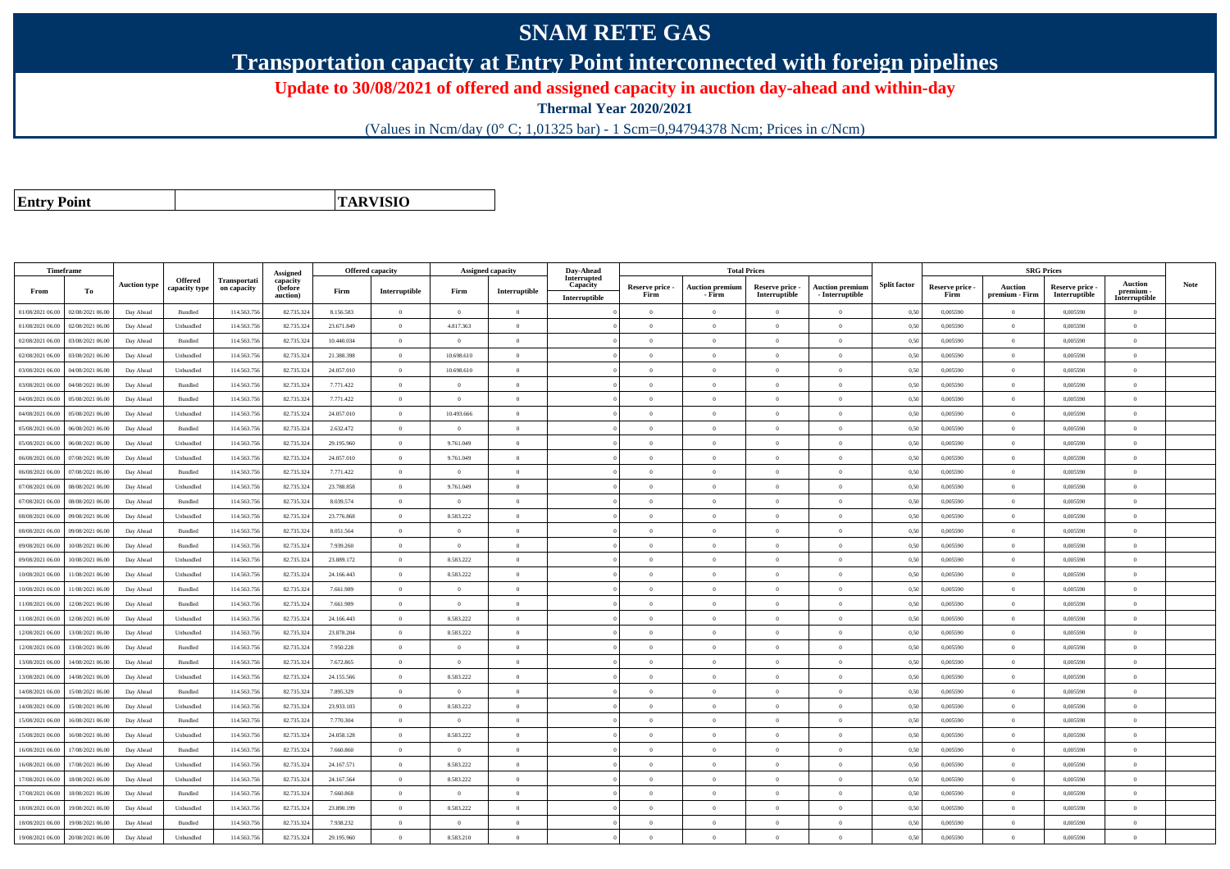## **SNAM RETE GAS**

**Transportation capacity at Entry Point interconnected with foreign pipelines**

**Update to 30/08/2021 of offered and assigned capacity in auction day-ahead and within-day**

**Thermal Year 2020/2021**

(Values in Ncm/day (0° C; 1,01325 bar) - 1 Scm=0,94794378 Ncm; Prices in c/Ncm)

**Entry Point**

**TARVISIO**

|                  | Timeframe        |                     |                                 |                             | Assigned                        | <b>Offered capacity</b> |                |                | <b>Assigned capacity</b> | Day-Ahead                                | <b>Total Prices</b>     |                                  |                                  |                                      |                     |                         |                                  | <b>SRG Prices</b>                |                                              |             |
|------------------|------------------|---------------------|---------------------------------|-----------------------------|---------------------------------|-------------------------|----------------|----------------|--------------------------|------------------------------------------|-------------------------|----------------------------------|----------------------------------|--------------------------------------|---------------------|-------------------------|----------------------------------|----------------------------------|----------------------------------------------|-------------|
| From             | To               | <b>Auction type</b> | <b>Offered</b><br>capacity type | Transportati<br>on capacity | capacity<br>(before<br>auction) | Firm                    | Interruptible  | Firm           | Interruptible            | Interrupted<br>Capacity<br>Interruptible | Reserve price -<br>Firm | <b>Auction premiun</b><br>- Firm | Reserve price -<br>Interruptible | Auction premium<br>$-$ Interruptible | <b>Split factor</b> | Reserve price -<br>Firm | <b>Auction</b><br>premium - Firm | Reserve price -<br>Interruptible | <b>Auction</b><br>premium -<br>Interruptible | <b>Note</b> |
| 01/08/2021 06:00 | 02/08/2021 06:00 | Day Ahead           | Bundled                         | 114.563.756                 | 82.735.324                      | 8.156.583               | $\overline{0}$ | $\overline{0}$ | $\Omega$                 |                                          | $\theta$                | $\theta$                         | $\Omega$                         | $\Omega$                             | 0,50                | 0,005590                | $\Omega$                         | 0,005590                         | $\theta$                                     |             |
| 01/08/2021 06:00 | 02/08/2021 06:00 | Day Ahead           | Unbundled                       | 114.563.756                 | 82.735.324                      | 23.671.849              | $\overline{0}$ | 4.817.363      | $\Omega$                 |                                          | $\Omega$                | $\mathbf{a}$                     | $\Omega$                         | $\Omega$                             | 0,50                | 0.005590                | $\overline{0}$                   | 0.005590                         | $\theta$                                     |             |
| 02/08/2021 06:00 | 03/08/2021 06:00 | Day Ahead           | Bundled                         | 114.563.75                  | 82.735.32                       | 10.440.034              | $\Omega$       | $\Omega$       | $\Omega$                 |                                          | $\Omega$                |                                  | $\Omega$                         | $\Omega$                             | 0,50                | 0,005590                | $\theta$                         | 0,005590                         | $\theta$                                     |             |
| 02/08/2021 06:00 | 03/08/2021 06:00 | Day Ahead           | Unbundled                       | 114,563,756                 | 82,735,324                      | 21.388.398              | $\overline{0}$ | 10.698.610     | $\Omega$                 |                                          | $\theta$                | $\theta$                         | $\overline{0}$                   | $\theta$                             | 0.50                | 0.005590                | $\theta$                         | 0.005590                         | $\theta$                                     |             |
| 03/08/2021 06:00 | 04/08/2021 06:00 | Day Ahead           | Unbundled                       | 114.563.756                 | 82.735.324                      | 24.057.010              | $\overline{0}$ | 10.698.610     | $\overline{0}$           |                                          | $\theta$                | $\theta$                         | $\overline{0}$                   | $\,$ 0                               | 0,50                | 0,005590                | $\,$ 0 $\,$                      | 0,005590                         | $\overline{0}$                               |             |
| 03/08/2021 06:00 | 04/08/2021 06.00 | Day Ahead           | Bundled                         | 114.563.756                 | 82.735.32                       | 7.771.422               | $\overline{0}$ | $\overline{0}$ | $\theta$                 |                                          | $\theta$                | $\theta$                         | $\overline{0}$                   | $\bf{0}$                             | 0,50                | 0,005590                | $\theta$                         | 0,005590                         | $\overline{0}$                               |             |
| 04/08/2021 06:00 | 05/08/2021 06:00 | Day Ahead           | Bundled                         | 114.563.756                 | 82.735.32                       | 7.771.422               | $\overline{0}$ | $\Omega$       | $\Omega$                 |                                          | $\theta$                | $\theta$                         | $\overline{0}$                   | $\theta$                             | 0,50                | 0.005590                | $\mathbf{0}$                     | 0.005590                         | $\theta$                                     |             |
| 04/08/2021 06:00 | 05/08/2021 06:00 | Day Ahead           | Unbundled                       | 114.563.756                 | 82.735.324                      | 24.057.010              | $\overline{0}$ | 10.493.666     | $\Omega$                 |                                          | $\theta$                | $\theta$                         | $\overline{0}$                   | $\bf{0}$                             | 0,50                | 0,005590                | $\overline{0}$                   | 0,005590                         | $\theta$                                     |             |
| 05/08/2021 06:00 | 06/08/2021 06:00 | Day Ahead           | Bundled                         | 114,563,756                 | 82,735,324                      | 2.632.472               | $\Omega$       | $\Omega$       | $\Omega$                 |                                          | $\Omega$                |                                  | $\Omega$                         | $\theta$                             | 0.50                | 0.005590                | $\theta$                         | 0.005590                         | $\Omega$                                     |             |
| 05/08/2021 06:00 | 06/08/2021 06.0  | Day Ahead           | Unbundled                       | 114.563.756                 | 82.735.32                       | 29.195.960              | $\Omega$       | 9.761.049      | $\Omega$                 |                                          | $\Omega$                | $\theta$                         | $\Omega$                         | $\Omega$                             | 0,50                | 0,005590                | $\theta$                         | 0,005590                         | $\theta$                                     |             |
| 06/08/2021 06:00 | 07/08/2021 06:00 | Day Ahead           | Unbundled                       | 114.563.756                 | 82.735.324                      | 24.057.010              | $\overline{0}$ | 9.761.049      | $\theta$                 |                                          | $\theta$                | $\theta$                         | $\theta$                         | $\bf{0}$                             | 0,50                | 0,005590                | $\theta$                         | 0,005590                         | $\overline{0}$                               |             |
| 06/08/2021 06:00 | 07/08/2021 06:00 | Day Ahead           | Bundled                         | 114.563.756                 | 82.735.324                      | 7.771.422               | $\overline{0}$ | $\Omega$       | $\Omega$                 |                                          | $\Omega$                | $\theta$                         | $\Omega$                         | $\Omega$                             | 0.50                | 0.005590                | $\mathbf{0}$                     | 0.005590                         | $\theta$                                     |             |
| 07/08/2021 06:00 | 08/08/2021 06.0  | Day Ahead           | Unbundled                       | 114.563.75                  | 82.735.32                       | 23.788.858              | $\overline{0}$ | 9.761.049      | $\theta$                 |                                          | $\theta$                | $\theta$                         | $\overline{0}$                   | $\bf{0}$                             | 0,50                | 0,005590                | $\theta$                         | 0,005590                         | $\overline{0}$                               |             |
| 07/08/2021 06:00 | 08/08/2021 06:00 | Day Ahead           | Bundled                         | 114.563.756                 | 82.735.324                      | 8.039.574               | $\overline{0}$ | $\Omega$       | $\Omega$                 |                                          | $\theta$                | $\theta$                         | $\Omega$                         | $\Omega$                             | 0,50                | 0,005590                | $\mathbf{0}$                     | 0,005590                         | $\theta$                                     |             |
| 08/08/2021 06:00 | 09/08/2021 06:00 | Day Ahead           | Unbundled                       | 114.563.756                 | 82.735.32                       | 23,776,868              | $\overline{0}$ | 8.583.222      | $\Omega$                 |                                          | $\theta$                | $\mathbf{a}$                     | $\Omega$                         | $\theta$                             | 0,50                | 0.005590                | $\theta$                         | 0.005590                         | $\theta$                                     |             |
| 08/08/2021 06:00 | 09/08/2021 06:00 | Day Ahead           | Bundled                         | 114.563.75                  | 82.735.32                       | 8.051.564               | $\Omega$       | $\Omega$       | $\Omega$                 |                                          | $\Omega$                | $\theta$                         | $\Omega$                         | $\theta$                             | 0,50                | 0,005590                | $\theta$                         | 0,005590                         | $\theta$                                     |             |
| 09/08/2021 06:00 | 10/08/2021 06:00 | Day Ahead           | Bundled                         | 114.563.756                 | 82.735.324                      | 7.939.260               | $\overline{0}$ | $\overline{0}$ | $\overline{0}$           |                                          | $\theta$                | $\theta$                         | $\overline{0}$                   | $\bf{0}$                             | 0,50                | 0,005590                | $\mathbf{0}$                     | 0,005590                         | $\overline{0}$                               |             |
| 09/08/2021 06:00 | 10/08/2021 06:00 | Day Ahead           | Unbundled                       | 114.563.756                 | 82.735.324                      | 23.889.172              | $\overline{0}$ | 8.583.222      | $\overline{0}$           |                                          | $\overline{0}$          | $\theta$                         | $\bf{0}$                         | $\bf{0}$                             | 0,50                | 0,005590                | $\,0\,$                          | 0,005590                         | $\overline{0}$                               |             |
| 10/08/2021 06:00 | 11/08/2021 06.00 | Day Ahead           | Unbundled                       | 114.563.75                  | 82.735.32                       | 24.166.443              | $\overline{0}$ | 8.583.222      | $\Omega$                 |                                          | $\Omega$                | $\Omega$                         | $\Omega$                         | $\bf{0}$                             | 0,50                | 0,005590                | $\mathbf{0}$                     | 0,005590                         | $\theta$                                     |             |
| 10/08/2021 06:00 | 11/08/2021 06:00 | Day Ahead           | Bundled                         | 114,563,756                 | 82,735,324                      | 7.661.989               | $\overline{0}$ | $\Omega$       | $\Omega$                 |                                          | $\Omega$                | $\theta$                         | $\overline{0}$                   | $\theta$                             | 0.50                | 0.005590                | $\theta$                         | 0.005590                         | $\theta$                                     |             |
| 11/08/2021 06:00 | 12/08/2021 06:00 | Day Ahead           | Bundled                         | 114.563.756                 | 82.735.324                      | 7.661.989               | $\overline{0}$ | $\Omega$       | $\Omega$                 |                                          | $\theta$                | $\theta$                         | $\Omega$                         | $\bf{0}$                             | 0,50                | 0,005590                | $\overline{0}$                   | 0,005590                         | $\theta$                                     |             |
| 11/08/2021 06:00 | 12/08/2021 06:00 | Day Ahead           | Unbundled                       | 114,563,756                 | 82,735,324                      | 24.166.443              | $\Omega$       | 8.583.222      | $\Omega$                 |                                          | $\Omega$                |                                  | $\Omega$                         | $\theta$                             | 0.50                | 0.005590                | $\theta$                         | 0.005590                         | $\theta$                                     |             |
| 12/08/2021 06:00 | 13/08/2021 06:00 | Day Ahead           | Unbundled                       | 114.563.756                 | 82.735.324                      | 23.878.204              | $\overline{0}$ | 8.583.222      | $\overline{0}$           |                                          | $\theta$                | $\theta$                         | $\overline{0}$                   | $\overline{0}$                       | 0,50                | 0,005590                | $\,0\,$                          | 0,005590                         | $\overline{0}$                               |             |
| 12/08/2021 06:00 | 13/08/2021 06:00 | Day Ahead           | Bundled                         | 114.563.756                 | 82.735.324                      | 7.950.228               | $\overline{0}$ | $\overline{0}$ | $\theta$                 |                                          | $\theta$                | $\theta$                         | $\overline{0}$                   | $\bf{0}$                             | 0,50                | 0,005590                | $\theta$                         | 0,005590                         | $\overline{0}$                               |             |
| 13/08/2021 06:00 | 14/08/2021 06:00 | Day Ahead           | <b>Bundled</b>                  | 114,563,756                 | 82,735,324                      | 7.672.865               | $\overline{0}$ | $\Omega$       | $\Omega$                 |                                          | $\theta$                | $\theta$                         | $\theta$                         | $\Omega$                             | 0.50                | 0.005590                | $\mathbf{0}$                     | 0.005590                         | $\theta$                                     |             |
| 13/08/2021 06:00 | 14/08/2021 06:00 | Day Ahead           | Unbundled                       | 114,563,756                 | 82.735.32                       | 24.155.566              | $\overline{0}$ | 8.583.222      | $\Omega$                 |                                          | $\theta$                | $\theta$                         | $\Omega$                         | $\Omega$                             | 0.50                | 0.005590                | $\mathbf{0}$                     | 0.005590                         | $\Omega$                                     |             |
| 14/08/2021 06:00 | 15/08/2021 06:00 | Day Ahead           | Bundled                         | 114.563.756                 | 82.735.32                       | 7.895.329               | $\Omega$       | $\Omega$       | $\Omega$                 |                                          | $\Omega$                | $\theta$                         | $\Omega$                         | $\Omega$                             | 0,50                | 0,005590                | $\theta$                         | 0.005590                         | $\theta$                                     |             |
| 14/08/2021 06:00 | 15/08/2021 06:00 | Day Ahead           | Unbundled                       | 114,563,756                 | 82,735,324                      | 23.933.103              | $\overline{0}$ | 8.583.222      | $\Omega$                 |                                          | $\theta$                | $\theta$                         | $\theta$                         | $\theta$                             | 0.50                | 0.005590                | $\mathbf{0}$                     | 0.005590                         | $\theta$                                     |             |
| 15/08/2021 06:00 | 16/08/2021 06:00 | Day Ahead           | Bundled                         | 114.563.756                 | 82.735.324                      | 7.770.304               | $\overline{0}$ | $\overline{0}$ | $\Omega$                 |                                          | $\theta$                | $\theta$                         | $\Omega$                         | $\bf{0}$                             | 0,50                | 0,005590                | $\mathbf{0}$                     | 0,005590                         | $\overline{0}$                               |             |
| 15/08/2021 06:00 | 16/08/2021 06:00 | Day Ahead           | Unbundled                       | 114.563.756                 | 82.735.324                      | 24.058.128              | $\overline{0}$ | 8.583.222      | $\overline{0}$           |                                          | $\theta$                | $\theta$                         | $\overline{0}$                   | $\bf{0}$                             | 0,50                | 0,005590                | $\mathbf{0}$                     | 0,005590                         | $\overline{0}$                               |             |
| 16/08/2021 06:00 | 17/08/2021 06:00 | Day Ahead           | Bundled                         | 114.563.756                 | 82.735.32                       | 7 660 860               | $\overline{0}$ | $\Omega$       | $\overline{0}$           |                                          | $\theta$                | $\theta$                         | $\overline{0}$                   | $\overline{0}$                       | 0,50                | 0.005590                | $\mathbf{0}$                     | 0.005590                         | $\theta$                                     |             |
| 16/08/2021 06:00 | 17/08/2021 06.00 | Day Ahead           | Unbundled                       | 114.563.75                  | 82.735.32                       | 24.167.571              | $\overline{0}$ | 8.583.222      | $\theta$                 |                                          | $\theta$                | $\theta$                         | $\overline{0}$                   | $\bf{0}$                             | 0,50                | 0,005590                | $\theta$                         | 0,005590                         | $\theta$                                     |             |
| 17/08/2021 06:00 | 18/08/2021 06:00 | Day Ahead           | Unbundled                       | 114,563,756                 | 82,735,324                      | 24.167.564              | $\overline{0}$ | 8.583.222      | $\Omega$                 |                                          | $\Omega$                | $\theta$                         | $\Omega$                         | $\theta$                             | 0.50                | 0.005590                | $\Omega$                         | 0.005590                         | $\theta$                                     |             |
| 17/08/2021 06:00 | 18/08/2021 06:00 | Day Ahead           | Bundled                         | 114.563.756                 | 82.735.324                      | 7.660.868               | $\overline{0}$ | $\Omega$       | $\theta$                 |                                          | $\theta$                | $\theta$                         | $\overline{0}$                   | $\bf{0}$                             | 0,50                | 0,005590                | $\overline{0}$                   | 0,005590                         | $\theta$                                     |             |
| 18/08/2021 06:00 | 19/08/2021 06.0  | Day Ahead           | Unbundled                       | 114.563.75                  | 82.735.32                       | 23.890.199              | $\overline{0}$ | 8.583.222      | $\theta$                 |                                          | $\theta$                | $\theta$                         | $\overline{0}$                   | $\bf{0}$                             | 0,50                | 0,005590                | $\overline{0}$                   | 0,005590                         | $\overline{0}$                               |             |
| 18/08/2021 06:00 | 19/08/2021 06:00 | Day Ahead           | Bundled                         | 114.563.756                 | 82.735.324                      | 7.938.232               | $\overline{0}$ | $\Omega$       | $\Omega$                 |                                          | $\theta$                | $\theta$                         | $\Omega$                         | $\Omega$                             | 0,50                | 0.005590                | $\Omega$                         | 0.005590                         | $\theta$                                     |             |
| 19/08/2021 06:00 | 20/08/2021 06:00 | Day Ahead           | Unbundled                       | 114.563.756                 | 82.735.324                      | 29.195.960              | $\overline{0}$ | 8.583.210      | $\Omega$                 |                                          | $\theta$                | $\Omega$                         | $\Omega$                         | $\Omega$                             | 0,50                | 0,005590                | $\theta$                         | 0,005590                         | $\theta$                                     |             |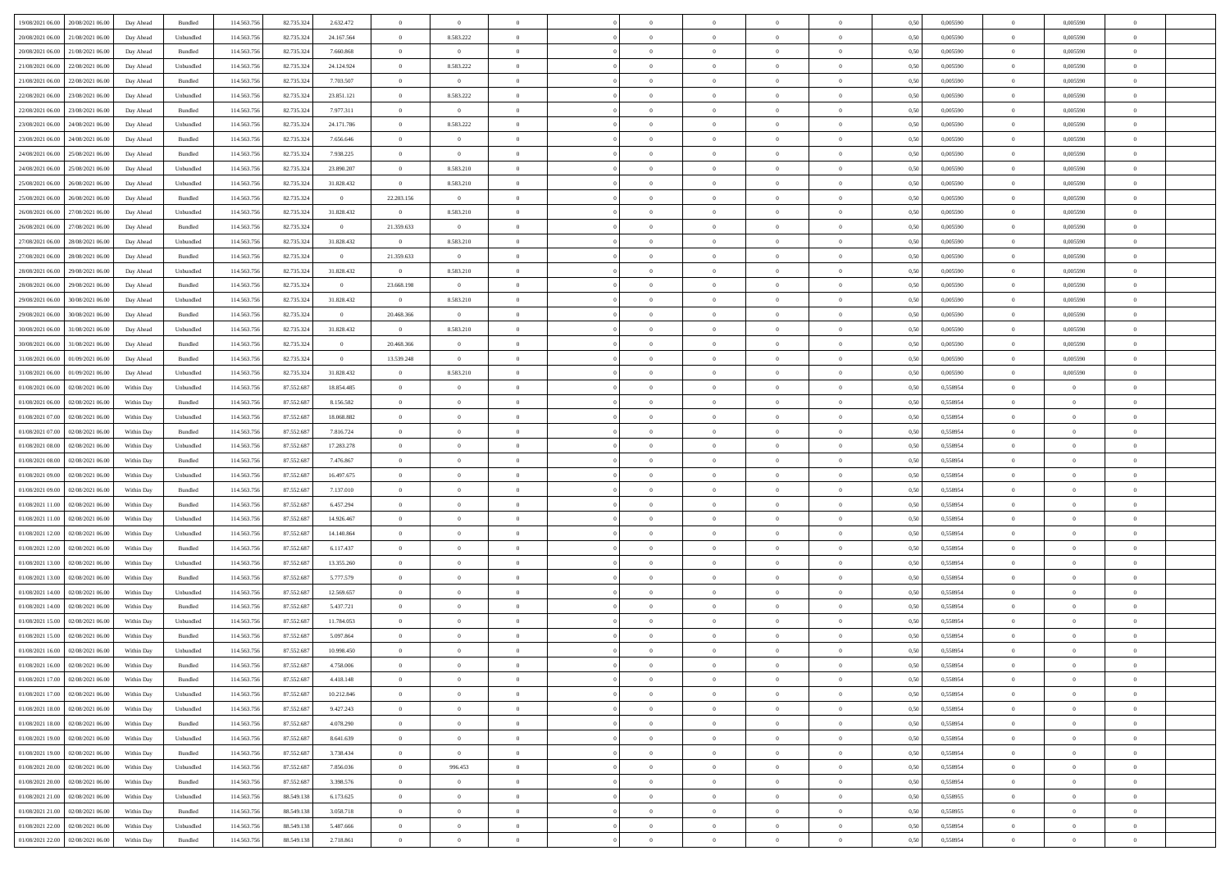| 19/08/2021 06:00<br>20/08/2021 06:00         | Day Ahead  | Bundled   | 114.563.756 | 82.735.324 | 2.632.472      | $\overline{0}$ | $\overline{0}$ |                |                | $\overline{0}$ | $\theta$       |                | 0,50 | 0,005590 | $\overline{0}$ | 0,005590       |                |  |
|----------------------------------------------|------------|-----------|-------------|------------|----------------|----------------|----------------|----------------|----------------|----------------|----------------|----------------|------|----------|----------------|----------------|----------------|--|
|                                              |            |           |             |            |                |                |                |                |                |                |                |                |      |          |                |                |                |  |
| 20/08/2021 06:00<br>21/08/2021 06.00         | Day Ahead  | Unbundled | 114.563.75  | 82.735.32  | 24.167.564     | $\bf{0}$       | 8.583.222      | $\overline{0}$ | $\overline{0}$ | $\overline{0}$ | $\overline{0}$ | $\bf{0}$       | 0,50 | 0,005590 | $\bf{0}$       | 0,005590       | $\Omega$       |  |
| 20/08/2021 06:00<br>21/08/2021 06:00         | Day Ahead  | Bundled   | 114,563,756 | 82.735.324 | 7.660.868      | $\overline{0}$ | $\overline{0}$ | $\overline{0}$ | $\overline{0}$ | $\overline{0}$ | $\overline{0}$ | $\overline{0}$ | 0,50 | 0.005590 | $\overline{0}$ | 0.005590       | $\overline{0}$ |  |
| 21/08/2021 06:00<br>22/08/2021 06:00         | Day Ahead  | Unbundled | 114.563.756 | 82.735.324 | 24.124.924     | $\overline{0}$ | 8.583.222      | $\overline{0}$ | $\overline{0}$ | $\bf{0}$       | $\overline{0}$ | $\overline{0}$ | 0,50 | 0,005590 | $\overline{0}$ | 0,005590       | $\overline{0}$ |  |
| 21/08/2021 06.00<br>22/08/2021 06.00         | Day Ahead  | Bundled   | 114.563.75  | 82.735.324 | 7.703.507      | $\bf{0}$       | $\overline{0}$ | $\overline{0}$ | $\overline{0}$ | $\overline{0}$ | $\overline{0}$ | $\bf{0}$       | 0,50 | 0,005590 | $\bf{0}$       | 0,005590       | $\Omega$       |  |
| 22/08/2021 06.00<br>23/08/2021 06:00         | Day Ahead  | Unbundled | 114,563,756 | 82.735.32  | 23.851.121     | $\overline{0}$ | 8.583.222      | $\overline{0}$ | $\overline{0}$ | $\overline{0}$ | $\overline{0}$ | $\overline{0}$ | 0.50 | 0.005590 | $\overline{0}$ | 0.005590       | $\overline{0}$ |  |
|                                              |            |           |             |            |                | $\overline{0}$ | $\overline{0}$ | $\overline{0}$ | $\overline{0}$ |                | $\overline{0}$ | $\overline{0}$ |      |          |                |                | $\overline{0}$ |  |
| 22/08/2021 06:00<br>23/08/2021 06:00         | Day Ahead  | Bundled   | 114.563.756 | 82.735.324 | 7.977.311      |                |                |                |                | $\bf{0}$       |                |                | 0,50 | 0,005590 | $\overline{0}$ | 0,005590       |                |  |
| 23/08/2021 06.00<br>24/08/2021 06.0          | Day Ahead  | Unbundled | 114.563.75  | 82.735.32  | 24.171.786     | $\bf{0}$       | 8.583.222      | $\overline{0}$ | $\overline{0}$ | $\overline{0}$ | $\overline{0}$ | $\bf{0}$       | 0,50 | 0,005590 | $\bf{0}$       | 0,005590       | $\Omega$       |  |
| 23/08/2021 06.00<br>24/08/2021 06:00         | Day Ahead  | Bundled   | 114,563,756 | 82.735.324 | 7.656.646      | $\overline{0}$ | $\overline{0}$ | $\overline{0}$ | $\overline{0}$ | $\bf{0}$       | $\overline{0}$ | $\overline{0}$ | 0.50 | 0.005590 | $\overline{0}$ | 0.005590       | $\overline{0}$ |  |
| 24/08/2021 06.00<br>25/08/2021 06:00         | Day Ahead  | Bundled   | 114.563.756 | 82.735.324 | 7.938.225      | $\overline{0}$ | $\overline{0}$ | $\overline{0}$ | $\overline{0}$ | $\overline{0}$ | $\overline{0}$ | $\overline{0}$ | 0,50 | 0,005590 | $\overline{0}$ | 0,005590       | $\overline{0}$ |  |
| 24/08/2021 06.00<br>25/08/2021 06.0          | Day Ahead  | Unbundled | 114.563.75  | 82.735.324 | 23.890.207     | $\bf{0}$       | 8.583.210      | $\overline{0}$ | $\overline{0}$ | $\overline{0}$ | $\overline{0}$ | $\bf{0}$       | 0,50 | 0,005590 | $\bf{0}$       | 0,005590       | $\Omega$       |  |
| 25/08/2021 06.00<br>26/08/2021 06:00         | Day Ahead  | Unbundled | 114,563,756 | 82.735.32  | 31.828.432     | $\overline{0}$ | 8.583.210      | $\overline{0}$ | $\overline{0}$ | $\overline{0}$ | $\overline{0}$ | $\overline{0}$ | 0.50 | 0.005590 | $\overline{0}$ | 0.005590       | $\overline{0}$ |  |
| 25/08/2021 06:00<br>26/08/2021 06:00         | Day Ahead  | Bundled   | 114.563.756 | 82.735.324 | $\overline{0}$ | 22.203.156     | $\overline{0}$ | $\overline{0}$ | $\overline{0}$ | $\overline{0}$ | $\overline{0}$ | $\overline{0}$ | 0,50 | 0,005590 | $\overline{0}$ | 0,005590       | $\overline{0}$ |  |
|                                              |            |           |             |            |                |                |                |                |                |                |                |                |      |          |                |                |                |  |
| 26/08/2021 06.00<br>27/08/2021 06.00         | Day Ahead  | Unbundled | 114.563.756 | 82.735.324 | 31.828.432     | $\bf{0}$       | 8.583.210      | $\overline{0}$ | $\overline{0}$ | $\overline{0}$ | $\overline{0}$ | $\bf{0}$       | 0,50 | 0,005590 | $\overline{0}$ | 0,005590       | $\Omega$       |  |
| 26/08/2021 06:00<br>27/08/2021 06:00         | Day Ahead  | Bundled   | 114,563,756 | 82.735.32  | $\overline{0}$ | 21.359.633     | $\overline{0}$ | $\overline{0}$ | $\overline{0}$ | $\bf{0}$       | $\overline{0}$ | $\overline{0}$ | 0.50 | 0.005590 | $\overline{0}$ | 0.005590       | $\overline{0}$ |  |
| 27/08/2021 06:00<br>28/08/2021 06:00         | Day Ahead  | Unbundled | 114.563.756 | 82.735.324 | 31.828.432     | $\overline{0}$ | 8.583.210      | $\overline{0}$ | $\overline{0}$ | $\bf{0}$       | $\overline{0}$ | $\overline{0}$ | 0,50 | 0,005590 | $\mathbf{0}$   | 0,005590       | $\overline{0}$ |  |
| 27/08/2021 06.00<br>28/08/2021 06.0          | Day Ahead  | Bundled   | 114.563.75  | 82.735.324 | $\bf{0}$       | 21.359.633     | $\bf{0}$       | $\overline{0}$ | $\overline{0}$ | $\overline{0}$ | $\overline{0}$ | $\bf{0}$       | 0,50 | 0,005590 | $\overline{0}$ | 0,005590       | $\overline{0}$ |  |
| 28/08/2021 06:00<br>29/08/2021 06:00         | Day Ahead  | Unbundled | 114,563,756 | 82.735.324 | 31.828.432     | $\overline{0}$ | 8.583.210      | $\overline{0}$ | $\overline{0}$ | $\overline{0}$ | $\overline{0}$ | $\overline{0}$ | 0.50 | 0.005590 | $\overline{0}$ | 0.005590       | $\overline{0}$ |  |
| 28/08/2021 06:00<br>29/08/2021 06:00         | Day Ahead  | Bundled   | 114.563.756 | 82.735.324 | $\overline{0}$ | 23.668.198     | $\overline{0}$ | $\overline{0}$ | $\overline{0}$ | $\bf{0}$       | $\overline{0}$ | $\overline{0}$ | 0,50 | 0,005590 | $\overline{0}$ | 0,005590       | $\overline{0}$ |  |
| 29/08/2021 06.00<br>30/08/2021 06.00         | Day Ahead  | Unbundled | 114.563.756 | 82.735.32  | 31.828.432     | $\overline{0}$ | 8.583.210      | $\overline{0}$ | $\overline{0}$ | $\overline{0}$ | $\overline{0}$ | $\bf{0}$       | 0,50 | 0,005590 | $\overline{0}$ | 0,005590       | $\Omega$       |  |
|                                              |            |           |             |            |                |                |                |                |                |                |                |                |      |          |                |                |                |  |
| 29/08/2021 06.00<br>30/08/2021 06:00         | Day Ahead  | Bundled   | 114,563,756 | 82.735.32  | $\overline{0}$ | 20.468.366     | $\overline{0}$ | $\overline{0}$ | $\overline{0}$ | $\overline{0}$ | $\overline{0}$ | $\overline{0}$ | 0.50 | 0.005590 | $\overline{0}$ | 0.005590       | $\overline{0}$ |  |
| 30/08/2021 06:00<br>31/08/2021 06:00         | Day Ahead  | Unbundled | 114.563.756 | 82.735.324 | 31.828.432     | $\overline{0}$ | 8.583.210      | $\overline{0}$ | $\overline{0}$ | $\bf{0}$       | $\overline{0}$ | $\overline{0}$ | 0,50 | 0,005590 | $\mathbf{0}$   | 0,005590       | $\overline{0}$ |  |
| 30/08/2021 06.00<br>31/08/2021 06.00         | Day Ahead  | Bundled   | 114.563.75  | 82.735.324 | $\bf{0}$       | 20.468.366     | $\overline{0}$ | $\overline{0}$ | $\overline{0}$ | $\overline{0}$ | $\overline{0}$ | $\bf{0}$       | 0,50 | 0,005590 | $\overline{0}$ | 0,005590       | $\overline{0}$ |  |
| 31/08/2021 06.00<br>01/09/2021 06:00         | Day Ahead  | Bundled   | 114,563,756 | 82.735.324 | $\overline{0}$ | 13.539.248     | $\overline{0}$ | $\overline{0}$ | $\overline{0}$ | $\bf{0}$       | $\overline{0}$ | $\overline{0}$ | 0.50 | 0.005590 | $\overline{0}$ | 0.005590       | $\overline{0}$ |  |
| 31/08/2021 06.00<br>01/09/2021 06:00         | Day Ahead  | Unbundled | 114.563.756 | 82.735.324 | 31.828.432     | $\overline{0}$ | 8.583.210      | $\overline{0}$ | $\overline{0}$ | $\overline{0}$ | $\overline{0}$ | $\overline{0}$ | 0,50 | 0,005590 | $\overline{0}$ | 0,005590       | $\overline{0}$ |  |
| 01/08/2021 06.00<br>02/08/2021 06.0          | Within Day | Unbundled | 114.563.75  | 87.552.68  | 18.854.485     | $\bf{0}$       | $\overline{0}$ | $\overline{0}$ | $\overline{0}$ | $\overline{0}$ | $\overline{0}$ | $\bf{0}$       | 0,50 | 0,558954 | $\overline{0}$ | $\bf{0}$       | $\Omega$       |  |
| 01/08/2021 06:00<br>02/08/2021 06:00         | Within Day | Bundled   | 114,563,756 | 87.552.687 | 8.156.582      | $\overline{0}$ | $\overline{0}$ | $\overline{0}$ | $\overline{0}$ | $\overline{0}$ | $\overline{0}$ | $\overline{0}$ | 0.50 | 0.558954 |                | $\overline{0}$ | $\Omega$       |  |
|                                              |            |           |             |            |                |                |                |                |                |                |                |                |      |          | $\overline{0}$ |                |                |  |
| 01/08/2021 07.00<br>02/08/2021 06:00         | Within Day | Unbundled | 114.563.756 | 87.552.687 | 18.068.882     | $\overline{0}$ | $\overline{0}$ | $\overline{0}$ | $\overline{0}$ | $\overline{0}$ | $\overline{0}$ | $\overline{0}$ | 0,50 | 0,558954 | $\overline{0}$ | $\overline{0}$ | $\overline{0}$ |  |
| 01/08/2021 07:00<br>02/08/2021 06.0          | Within Day | Bundled   | 114.563.75  | 87.552.687 | 7.816.724      | $\bf{0}$       | $\overline{0}$ | $\overline{0}$ |                | $\overline{0}$ | $\overline{0}$ | $\bf{0}$       | 0,50 | 0,558954 | $\overline{0}$ | $\bf{0}$       | $\Omega$       |  |
| 01/08/2021 08:00<br>02/08/2021 06:00         | Within Day | Unbundled | 114,563,756 | 87.552.687 | 17.283.278     | $\overline{0}$ | $\overline{0}$ | $\overline{0}$ | $\overline{0}$ | $\bf{0}$       | $\overline{0}$ | $\overline{0}$ | 0.50 | 0.558954 | $\overline{0}$ | $\overline{0}$ | $\overline{0}$ |  |
| 01/08/2021 08:00<br>02/08/2021 06:00         | Within Day | Bundled   | 114.563.756 | 87.552.687 | 7.476.867      | $\overline{0}$ | $\overline{0}$ | $\overline{0}$ | $\Omega$       | $\overline{0}$ | $\overline{0}$ | $\overline{0}$ | 0,50 | 0,558954 | $\overline{0}$ | $\overline{0}$ | $\theta$       |  |
| 01/08/2021 09:00<br>02/08/2021 06.0          | Within Day | Unbundled | 114.563.75  | 87.552.68  | 16.497.675     | $\overline{0}$ | $\overline{0}$ | $\overline{0}$ | $\overline{0}$ | $\overline{0}$ | $\overline{0}$ | $\bf{0}$       | 0,50 | 0,558954 | $\overline{0}$ | $\overline{0}$ | $\overline{0}$ |  |
| 01/08/2021 09:00<br>02/08/2021 06:00         | Within Day | Bundled   | 114,563,756 | 87.552.687 | 7.137.010      | $\overline{0}$ | $\bf{0}$       | $\overline{0}$ | $\overline{0}$ | $\overline{0}$ | $\overline{0}$ | $\overline{0}$ | 0.50 | 0,558954 | $\bf{0}$       | $\overline{0}$ | $\overline{0}$ |  |
| 01/08/2021 11:00<br>02/08/2021 06:00         | Within Dav | Bundled   | 114.563.756 | 87.552.687 | 6.457.294      | $\overline{0}$ | $\overline{0}$ | $\Omega$       | $\Omega$       | $\overline{0}$ | $\overline{0}$ | $\overline{0}$ | 0,50 | 0,558954 | $\overline{0}$ | $\overline{0}$ | $\theta$       |  |
|                                              |            |           |             |            |                |                |                |                |                |                |                |                |      |          |                |                |                |  |
| 01/08/2021 11:00<br>02/08/2021 06.0          | Within Day | Unbundled | 114.563.756 | 87.552.687 | 14.926.467     | $\bf{0}$       | $\overline{0}$ | $\overline{0}$ | $\overline{0}$ | $\overline{0}$ | $\overline{0}$ | $\bf{0}$       | 0,50 | 0,558954 | $\overline{0}$ | $\overline{0}$ | $\overline{0}$ |  |
| 01/08/2021 12:00<br>02/08/2021 06:00         | Within Day | Unbundled | 114,563,756 | 87.552.687 | 14.140.864     | $\overline{0}$ | $\overline{0}$ | $\overline{0}$ | $\overline{0}$ | $\overline{0}$ | $\overline{0}$ | $\overline{0}$ | 0.50 | 0.558954 | $\overline{0}$ | $\overline{0}$ | $\overline{0}$ |  |
| 01/08/2021 12:00<br>02/08/2021 06:00         | Within Day | Bundled   | 114.563.756 | 87.552.687 | 6.117.437      | $\overline{0}$ | $\overline{0}$ | $\overline{0}$ | $\Omega$       | $\overline{0}$ | $\overline{0}$ | $\overline{0}$ | 0,50 | 0,558954 | $\overline{0}$ | $\overline{0}$ | $\theta$       |  |
| 01/08/2021 13:00<br>02/08/2021 06.0          | Within Day | Unbundled | 114.563.75  | 87.552.687 | 13.355.260     | $\overline{0}$ | $\overline{0}$ | $\overline{0}$ | $\overline{0}$ | $\overline{0}$ | $\overline{0}$ | $\bf{0}$       | 0,50 | 0,558954 | $\overline{0}$ | $\bf{0}$       | $\overline{0}$ |  |
| 01/08/2021 13:00<br>02/08/2021 06:00         | Within Day | Bundled   | 114,563,756 | 87.552.687 | 5.777.579      | $\overline{0}$ | $\overline{0}$ | $\overline{0}$ | $\overline{0}$ | $\bf{0}$       | $\overline{0}$ | $\overline{0}$ | 0.50 | 0.558954 | $\overline{0}$ | $\overline{0}$ | $\overline{0}$ |  |
| 01/08/2021 14:00<br>02/08/2021 06:00         | Within Dav | Unbundled | 114.563.756 | 87.552.687 | 12.569.657     | $\overline{0}$ | $\overline{0}$ | $\overline{0}$ | $\Omega$       | $\overline{0}$ | $\overline{0}$ | $\overline{0}$ | 0,50 | 0,558954 | $\overline{0}$ | $\overline{0}$ | $\theta$       |  |
| 01/08/2021 14:00<br>02/08/2021 06.0          | Within Day | Bundled   | 114.563.75  | 87.552.687 | 5.437.721      | $\overline{0}$ | $\overline{0}$ | $\overline{0}$ | $\overline{0}$ | $\overline{0}$ | $\overline{0}$ | $\bf{0}$       | 0,50 | 0,558954 | $\overline{0}$ | $\bf{0}$       | $\overline{0}$ |  |
| 01/08/2021 15:00<br>02/08/2021 06:00         | Within Day | Unbundled | 114,563,756 | 87.552.687 | 11.784.053     | $\overline{0}$ | $\overline{0}$ | $\overline{0}$ | $\Omega$       | $\overline{0}$ | $\overline{0}$ | $\overline{0}$ | 0.50 | 0.558954 | $\overline{0}$ | $\overline{0}$ | $\overline{0}$ |  |
|                                              |            |           |             |            |                |                |                |                |                |                |                |                |      |          |                |                |                |  |
| 01/08/2021 15:00<br>02/08/2021 06:00         | Within Day | Bundled   | 114.563.756 | 87.552.687 | 5.097.864      | $\overline{0}$ | $\theta$       | $\theta$       | $\Omega$       | $\overline{0}$ | $\overline{0}$ | $\theta$       | 0.50 | 0,558954 | $\overline{0}$ | $\theta$       | $\theta$       |  |
| 01/08/2021 16:00<br>02/08/2021 06.00         | Within Day | Unbundled | 114.563.756 | 87.552.687 | 10.998.450     | $\overline{0}$ | $\overline{0}$ | $\overline{0}$ | $\overline{0}$ | $\overline{0}$ | $\bf{0}$       | $\overline{0}$ | 0,50 | 0,558954 | $\overline{0}$ | $\bf{0}$       | $\overline{0}$ |  |
| $01/08/2021\ 16.00 \qquad 02/08/2021\ 06.00$ | Within Day | Bundled   | 114.563.756 | 87.552.687 | 4.758.006      | $\bf{0}$       | $\theta$       |                |                |                |                |                | 0,50 | 0.558954 | $\bf{0}$       |                |                |  |
| 01/08/2021 17:00<br>02/08/2021 06:00         | Within Dav | Bundled   | 114.563.756 | 87.552.687 | 4.418.148      | $\theta$       | $\overline{0}$ | $\overline{0}$ | $\Omega$       | $\overline{0}$ | $\overline{0}$ | $\theta$       | 0,50 | 0,558954 | $\overline{0}$ | $\overline{0}$ | $\theta$       |  |
| 01/08/2021 17:00<br>02/08/2021 06.00         | Within Day | Unbundled | 114.563.756 | 87.552.687 | 10.212.846     | $\overline{0}$ | $\overline{0}$ | $\overline{0}$ | $\overline{0}$ | $\bf{0}$       | $\overline{0}$ | $\overline{0}$ | 0,50 | 0,558954 | $\overline{0}$ | $\overline{0}$ | $\overline{0}$ |  |
| 02/08/2021 06:00<br>01/08/2021 18.00         | Within Day | Unbundled | 114,563,756 | 87.552.687 | 9.427.243      | $\overline{0}$ | $\overline{0}$ | $\overline{0}$ | $\overline{0}$ | $\bf{0}$       | $\overline{0}$ | $\overline{0}$ | 0.50 | 0.558954 | $\overline{0}$ | $\overline{0}$ | $\overline{0}$ |  |
|                                              |            |           |             |            |                |                | $\overline{0}$ |                | $\Omega$       | $\overline{0}$ | $\overline{0}$ |                |      |          |                |                | $\overline{0}$ |  |
| 01/08/2021 18:00<br>02/08/2021 06:00         | Within Dav | Bundled   | 114.563.756 | 87.552.687 | 4.078.290      | $\overline{0}$ |                | $\overline{0}$ |                |                |                | $\mathbf{0}$   | 0,50 | 0,558954 | $\overline{0}$ | $\overline{0}$ |                |  |
| 01/08/2021 19:00<br>02/08/2021 06:00         | Within Day | Unbundled | 114.563.756 | 87.552.687 | 8.641.639      | $\overline{0}$ | $\overline{0}$ | $\overline{0}$ | $\overline{0}$ | $\bf{0}$       | $\overline{0}$ | $\overline{0}$ | 0,50 | 0,558954 | $\overline{0}$ | $\bf{0}$       | $\overline{0}$ |  |
| 01/08/2021 19:00<br>02/08/2021 06:00         | Within Day | Bundled   | 114,563,756 | 87.552.687 | 3.738.434      | $\overline{0}$ | $\overline{0}$ | $\overline{0}$ | $\overline{0}$ | $\overline{0}$ | $\overline{0}$ | $\overline{0}$ | 0.50 | 0.558954 | $\overline{0}$ | $\overline{0}$ | $\overline{0}$ |  |
| 01/08/2021 20:00<br>02/08/2021 06:00         | Within Day | Unbundled | 114.563.756 | 87.552.687 | 7.856.036      | $\overline{0}$ | 996.453        | $\overline{0}$ | $\overline{0}$ | $\overline{0}$ | $\overline{0}$ | $\overline{0}$ | 0,50 | 0,558954 | $\overline{0}$ | $\overline{0}$ | $\overline{0}$ |  |
| 01/08/2021 20:00<br>02/08/2021 06.00         | Within Day | Bundled   | 114.563.75  | 87.552.687 | 3.398.576      | $\overline{0}$ | $\overline{0}$ | $\overline{0}$ | $\overline{0}$ | $\bf{0}$       | $\overline{0}$ | $\overline{0}$ | 0,50 | 0,558954 | $\mathbf{0}$   | $\overline{0}$ | $\overline{0}$ |  |
| 02/08/2021 06:00<br>01/08/2021 21.00         | Within Day | Unbundled | 114,563,756 | 88.549.138 | 6.173.625      | $\overline{0}$ | $\overline{0}$ | $\overline{0}$ | $\overline{0}$ | $\bf{0}$       | $\overline{0}$ | $\overline{0}$ | 0.50 | 0.558955 | $\overline{0}$ | $\overline{0}$ | $\overline{0}$ |  |
| 01/08/2021 21:00<br>02/08/2021 06:00         | Within Dav | Bundled   | 114.563.756 | 88.549.138 | 3.058.718      | $\overline{0}$ | $\overline{0}$ | $\overline{0}$ | $\Omega$       | $\overline{0}$ | $\overline{0}$ | $\overline{0}$ | 0,50 | 0,558955 | $\overline{0}$ | $\overline{0}$ | $\theta$       |  |
|                                              |            |           |             |            |                |                |                |                | $\overline{0}$ |                |                |                |      |          |                |                | $\overline{0}$ |  |
| 01/08/2021 22.00<br>02/08/2021 06:00         | Within Day | Unbundled | 114.563.756 | 88.549.13  | 5.487.666      | $\overline{0}$ | $\overline{0}$ | $\overline{0}$ |                | $\bf{0}$       | $\overline{0}$ | $\mathbf{0}$   | 0,50 | 0,558954 | $\overline{0}$ | $\overline{0}$ |                |  |
| 01/08/2021 22.00 02/08/2021 06:00            | Within Day | Bundled   | 114.563.756 | 88.549.138 | 2.718.861      | $\overline{0}$ | $\bf{0}$       | $\overline{0}$ | $\overline{0}$ | $\,$ 0         | $\overline{0}$ | $\overline{0}$ | 0,50 | 0,558954 | $\overline{0}$ | $\overline{0}$ | $\overline{0}$ |  |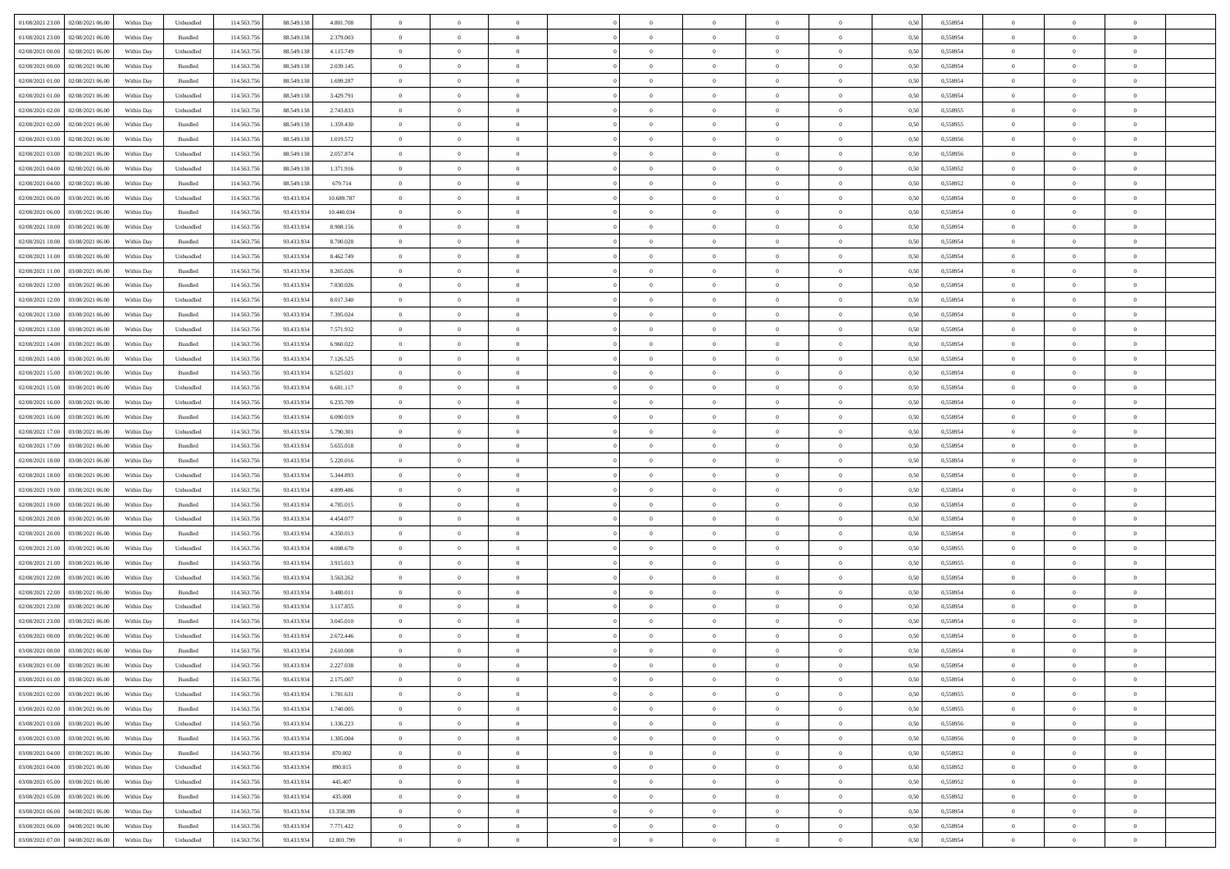| 01/08/2021 23:00 02/08/2021 06:00                                      | Within Day | Unbundled                   | 114.563.75  | 88.549.138 | 4.801.708  | $\overline{0}$ | $\overline{0}$ |                | $\overline{0}$ | $\theta$       |                | $\theta$       | 0,50 | 0,558954 | $\theta$       | $\theta$       | $\overline{0}$ |  |
|------------------------------------------------------------------------|------------|-----------------------------|-------------|------------|------------|----------------|----------------|----------------|----------------|----------------|----------------|----------------|------|----------|----------------|----------------|----------------|--|
| 01/08/2021 23:00<br>02/08/2021 06:00                                   | Within Day | Bundled                     | 114.563.75  | 88.549.13  | 2.379.003  | $\bf{0}$       | $\bf{0}$       | $\bf{0}$       | $\overline{0}$ | $\overline{0}$ | $\overline{0}$ | $\bf{0}$       | 0,50 | 0,558954 | $\,$ 0 $\,$    | $\bf{0}$       | $\overline{0}$ |  |
| 02/08/2021 00:00<br>02/08/2021 06:00                                   | Within Day | Unbundled                   | 114,563,75  | 88.549.138 | 4.115.749  | $\overline{0}$ | $\bf{0}$       | $\overline{0}$ | $\bf{0}$       | $\bf{0}$       | $\overline{0}$ | $\bf{0}$       | 0.50 | 0.558954 | $\bf{0}$       | $\overline{0}$ | $\overline{0}$ |  |
| 02/08/2021 00:00<br>02/08/2021 06:00                                   |            |                             | 114.563.75  |            |            | $\overline{0}$ | $\overline{0}$ | $\overline{0}$ | $\theta$       | $\theta$       | $\overline{0}$ |                |      |          | $\theta$       | $\theta$       | $\overline{0}$ |  |
|                                                                        | Within Day | Bundled                     |             | 88.549.138 | 2.039.145  |                |                |                |                |                |                | $\bf{0}$       | 0,50 | 0,558954 |                |                |                |  |
| 02/08/2021 01:00<br>02/08/2021 06.00                                   | Within Day | Bundled                     | 114.563.75  | 88.549.13  | 1.699.287  | $\bf{0}$       | $\overline{0}$ | $\bf{0}$       | $\overline{0}$ | $\theta$       | $\overline{0}$ | $\bf{0}$       | 0,50 | 0,558954 | $\,$ 0 $\,$    | $\bf{0}$       | $\overline{0}$ |  |
| 02/08/2021 01:00<br>02/08/2021 06:00                                   | Within Day | Unbundled                   | 114,563,75  | 88.549.138 | 3.429.791  | $\overline{0}$ | $\overline{0}$ | $\overline{0}$ | $\bf{0}$       | $\overline{0}$ | $\theta$       | $\bf{0}$       | 0.50 | 0.558954 | $\,$ 0 $\,$    | $\theta$       | $\overline{0}$ |  |
| 02/08/2021 02:00<br>02/08/2021 06:00                                   | Within Day | Unbundled                   | 114.563.75  | 88.549.138 | 2.743.833  | $\overline{0}$ | $\overline{0}$ | $\overline{0}$ | $\overline{0}$ | $\overline{0}$ | $\overline{0}$ | $\bf{0}$       | 0,50 | 0,558955 | $\,$ 0 $\,$    | $\theta$       | $\overline{0}$ |  |
|                                                                        |            |                             |             |            |            |                |                |                |                |                |                |                |      |          |                |                |                |  |
| 02/08/2021 02:00<br>02/08/2021 06:00                                   | Within Day | Bundled                     | 114.563.75  | 88.549.13  | 1.359.430  | $\bf{0}$       | $\bf{0}$       | $\bf{0}$       | $\overline{0}$ | $\overline{0}$ | $\overline{0}$ | $\bf{0}$       | 0,50 | 0,558955 | $\,$ 0 $\,$    | $\bf{0}$       | $\overline{0}$ |  |
| 02/08/2021 03:00<br>02/08/2021 06:00                                   | Within Day | Bundled                     | 114,563,75  | 88.549.138 | 1.019.572  | $\overline{0}$ | $\bf{0}$       | $\overline{0}$ | $\bf{0}$       | $\overline{0}$ | $\overline{0}$ | $\bf{0}$       | 0.50 | 0.558956 | $\bf{0}$       | $\overline{0}$ | $\overline{0}$ |  |
| 02/08/2021 03:00<br>02/08/2021 06:00                                   | Within Day | Unbundled                   | 114.563.756 | 88.549.138 | 2.057.874  | $\overline{0}$ | $\bf{0}$       | $\overline{0}$ | $\overline{0}$ | $\overline{0}$ | $\overline{0}$ | $\bf{0}$       | 0,50 | 0,558956 | $\,$ 0 $\,$    | $\bf{0}$       | $\overline{0}$ |  |
| 02/08/2021 04:00<br>02/08/2021 06.00                                   | Within Day | Unbundled                   | 114.563.75  | 88.549.13  | 1.371.916  | $\bf{0}$       | $\overline{0}$ | $\bf{0}$       | $\bf{0}$       | $\bf{0}$       | $\overline{0}$ | $\bf{0}$       | 0,50 | 0,558952 | $\,$ 0 $\,$    | $\bf{0}$       | $\overline{0}$ |  |
|                                                                        |            |                             |             |            |            |                |                |                |                |                |                |                |      |          |                |                |                |  |
| 02/08/2021 04:00<br>02/08/2021 06:00                                   | Within Day | Bundled                     | 114,563,75  | 88.549.138 | 679.714    | $\overline{0}$ | $\bf{0}$       | $\overline{0}$ | $\overline{0}$ | $\bf{0}$       | $\overline{0}$ | $\bf{0}$       | 0.50 | 0.558952 | $\bf{0}$       | $\overline{0}$ | $\overline{0}$ |  |
| 02/08/2021 06:00<br>03/08/2021 06:00                                   | Within Day | Unbundled                   | 114.563.75  | 93.433.934 | 10.689.787 | $\overline{0}$ | $\overline{0}$ | $\overline{0}$ | $\theta$       | $\theta$       | $\overline{0}$ | $\bf{0}$       | 0,50 | 0,558954 | $\,$ 0 $\,$    | $\theta$       | $\overline{0}$ |  |
| 02/08/2021 06:00<br>03/08/2021 06:00                                   | Within Day | Bundled                     | 114.563.75  | 93.433.93  | 10.440.034 | $\bf{0}$       | $\overline{0}$ | $\bf{0}$       | $\overline{0}$ | $\theta$       | $\overline{0}$ | $\bf{0}$       | 0,50 | 0,558954 | $\,$ 0 $\,$    | $\bf{0}$       | $\overline{0}$ |  |
|                                                                        |            |                             |             |            |            |                |                |                |                |                |                |                |      |          |                |                |                |  |
| 02/08/2021 10:00<br>03/08/2021 06:00                                   | Within Day | Unbundled                   | 114,563,75  | 93.433.934 | 8.908.156  | $\overline{0}$ | $\overline{0}$ | $\overline{0}$ | $\bf{0}$       | $\overline{0}$ | $\Omega$       | $\bf{0}$       | 0.50 | 0.558954 | $\,$ 0 $\,$    | $\theta$       | $\overline{0}$ |  |
| 02/08/2021 10:00<br>03/08/2021 06:00                                   | Within Day | Bundled                     | 114.563.75  | 93.433.934 | 8.700.028  | $\overline{0}$ | $\overline{0}$ | $\overline{0}$ | $\overline{0}$ | $\overline{0}$ | $\overline{0}$ | $\bf{0}$       | 0,50 | 0,558954 | $\theta$       | $\theta$       | $\overline{0}$ |  |
| 02/08/2021 11:00<br>03/08/2021 06:00                                   | Within Day | Unbundled                   | 114.563.75  | 93.433.93  | 8.462.749  | $\bf{0}$       | $\overline{0}$ | $\bf{0}$       | $\overline{0}$ | $\theta$       | $\overline{0}$ | $\bf{0}$       | 0,50 | 0,558954 | $\,$ 0 $\,$    | $\bf{0}$       | $\overline{0}$ |  |
| 02/08/2021 11:00<br>03/08/2021 06:00                                   | Within Day | Bundled                     | 114,563,75  | 93.433.93  | 8.265.026  | $\overline{0}$ | $\bf{0}$       | $\overline{0}$ | $\bf{0}$       | $\overline{0}$ | $\overline{0}$ | $\bf{0}$       | 0.50 | 0.558954 | $\bf{0}$       | $\overline{0}$ | $\overline{0}$ |  |
| 02/08/2021 12:00<br>03/08/2021 06:00                                   | Within Day | Bundled                     | 114.563.75  | 93.433.934 | 7.830.026  | $\overline{0}$ | $\bf{0}$       | $\overline{0}$ | $\overline{0}$ | $\overline{0}$ | $\overline{0}$ | $\bf{0}$       | 0,50 | 0,558954 | $\,$ 0 $\,$    | $\bf{0}$       | $\overline{0}$ |  |
|                                                                        |            |                             |             |            |            |                |                |                |                |                |                |                |      |          |                |                |                |  |
| 02/08/2021 12:00<br>03/08/2021 06:00                                   | Within Day | Unbundled                   | 114.563.75  | 93.433.93  | 8.017.340  | $\bf{0}$       | $\bf{0}$       | $\bf{0}$       | $\bf{0}$       | $\overline{0}$ | $\overline{0}$ | $\bf{0}$       | 0,50 | 0,558954 | $\,$ 0 $\,$    | $\bf{0}$       | $\overline{0}$ |  |
| 02/08/2021 13:00<br>03/08/2021 06:00                                   | Within Day | Bundled                     | 114.563.75  | 93.433.934 | 7.395.024  | $\overline{0}$ | $\bf{0}$       | $\overline{0}$ | $\overline{0}$ | $\bf{0}$       | $\overline{0}$ | $\bf{0}$       | 0.50 | 0.558954 | $\bf{0}$       | $\overline{0}$ | $\overline{0}$ |  |
| 02/08/2021 13:00<br>03/08/2021 06:00                                   | Within Day | Unbundled                   | 114.563.75  | 93.433.934 | 7.571.932  | $\overline{0}$ | $\overline{0}$ | $\overline{0}$ | $\theta$       | $\theta$       | $\overline{0}$ | $\bf{0}$       | 0,50 | 0,558954 | $\theta$       | $\theta$       | $\overline{0}$ |  |
| 02/08/2021 14:00<br>03/08/2021 06:00                                   | Within Day | Bundled                     | 114.563.75  | 93.433.93  | 6.960.022  | $\bf{0}$       | $\overline{0}$ | $\bf{0}$       | $\bf{0}$       | $\overline{0}$ | $\overline{0}$ | $\bf{0}$       | 0,50 | 0,558954 | $\,$ 0 $\,$    | $\bf{0}$       | $\overline{0}$ |  |
|                                                                        |            |                             |             |            |            |                |                |                |                |                |                |                |      |          |                |                |                |  |
| 02/08/2021 14:00<br>03/08/2021 06:00                                   | Within Day | Unbundled                   | 114,563,75  | 93.433.93  | 7.126.525  | $\overline{0}$ | $\overline{0}$ | $\overline{0}$ | $\bf{0}$       | $\overline{0}$ | $\Omega$       | $\bf{0}$       | 0.50 | 0.558954 | $\,$ 0 $\,$    | $\theta$       | $\overline{0}$ |  |
| 02/08/2021 15:00<br>03/08/2021 06:00                                   | Within Day | Bundled                     | 114.563.75  | 93.433.934 | 6.525.021  | $\overline{0}$ | $\overline{0}$ | $\overline{0}$ | $\overline{0}$ | $\overline{0}$ | $\overline{0}$ | $\bf{0}$       | 0,50 | 0,558954 | $\,$ 0 $\,$    | $\theta$       | $\overline{0}$ |  |
| 02/08/2021 15:00<br>03/08/2021 06:00                                   | Within Day | Unbundled                   | 114.563.75  | 93.433.93  | 6.681.117  | $\bf{0}$       | $\overline{0}$ | $\bf{0}$       | $\overline{0}$ | $\theta$       | $\overline{0}$ | $\bf{0}$       | 0,50 | 0,558954 | $\,$ 0 $\,$    | $\bf{0}$       | $\overline{0}$ |  |
| 02/08/2021 16:00<br>03/08/2021 06:00                                   | Within Day | Unbundled                   | 114.563.75  | 93.433.934 | 6.235.709  | $\overline{0}$ | $\bf{0}$       | $\overline{0}$ | $\bf{0}$       | $\overline{0}$ | $\overline{0}$ | $\bf{0}$       | 0.50 | 0.558954 | $\bf{0}$       | $\overline{0}$ | $\overline{0}$ |  |
|                                                                        |            |                             |             |            |            |                |                |                |                |                |                |                |      |          |                |                |                |  |
| 02/08/2021 16:00<br>03/08/2021 06:00                                   | Within Day | Bundled                     | 114.563.756 | 93.433.934 | 6.090.019  | $\overline{0}$ | $\bf{0}$       | $\overline{0}$ | $\overline{0}$ | $\overline{0}$ | $\overline{0}$ | $\bf{0}$       | 0,50 | 0,558954 | $\theta$       | $\theta$       | $\overline{0}$ |  |
| 02/08/2021 17:00<br>03/08/2021 06:00                                   | Within Day | Unbundled                   | 114.563.75  | 93.433.93  | 5.790.301  | $\bf{0}$       | $\bf{0}$       | $\bf{0}$       | $\bf{0}$       | $\overline{0}$ | $\overline{0}$ | $\bf{0}$       | 0,50 | 0,558954 | $\,$ 0 $\,$    | $\bf{0}$       | $\overline{0}$ |  |
| 02/08/2021 17:00<br>03/08/2021 06:00                                   | Within Day | Bundled                     | 114.563.75  | 93.433.934 | 5.655.018  | $\overline{0}$ | $\bf{0}$       | $\overline{0}$ | $\bf{0}$       | $\bf{0}$       | $\overline{0}$ | $\bf{0}$       | 0.50 | 0.558954 | $\bf{0}$       | $\overline{0}$ | $\overline{0}$ |  |
| 02/08/2021 18:00<br>03/08/2021 06:00                                   | Within Day | Bundled                     | 114.563.75  | 93.433.934 | 5.220.016  | $\overline{0}$ | $\overline{0}$ | $\overline{0}$ | $\overline{0}$ | $\overline{0}$ | $\overline{0}$ | $\bf{0}$       | 0.50 | 0,558954 | $\theta$       | $\theta$       | $\overline{0}$ |  |
|                                                                        |            |                             |             |            |            |                |                |                |                |                |                |                |      |          |                |                |                |  |
| 02/08/2021 18:00<br>03/08/2021 06:00                                   | Within Day | Unbundled                   | 114.563.75  | 93.433.93  | 5.344.893  | $\bf{0}$       | $\overline{0}$ | $\bf{0}$       | $\bf{0}$       | $\overline{0}$ | $\overline{0}$ | $\bf{0}$       | 0,50 | 0,558954 | $\,$ 0 $\,$    | $\bf{0}$       | $\overline{0}$ |  |
| 02/08/2021 19:00<br>03/08/2021 06:00                                   | Within Day | Unbundled                   | 114,563,75  | 93.433.934 | 4.899.486  | $\overline{0}$ | $\bf{0}$       | $\overline{0}$ | $\bf{0}$       | $\overline{0}$ | $\Omega$       | $\bf{0}$       | 0.50 | 0.558954 | $\,$ 0 $\,$    | $\theta$       | $\overline{0}$ |  |
| 02/08/2021 19:00<br>03/08/2021 06:00                                   | Within Dav | Bundled                     | 114.563.75  | 93.433.934 | 4.785.015  | $\overline{0}$ | $\overline{0}$ | $\overline{0}$ | $\overline{0}$ | $\theta$       | $\overline{0}$ | $\bf{0}$       | 0.50 | 0,558954 | $\theta$       | $\theta$       | $\overline{0}$ |  |
| 02/08/2021 20:00<br>03/08/2021 06:00                                   | Within Day | Unbundled                   | 114.563.75  | 93.433.93  | 4.454.077  | $\bf{0}$       | $\bf{0}$       | $\bf{0}$       | $\bf{0}$       | $\bf{0}$       | $\overline{0}$ | $\bf{0}$       | 0,50 | 0,558954 | $\,$ 0 $\,$    | $\bf{0}$       | $\overline{0}$ |  |
| 03/08/2021 06:00                                                       |            | Bundled                     | 114,563,75  | 93.433.93  | 4.350.013  |                | $\bf{0}$       | $\overline{0}$ |                | $\overline{0}$ | $\overline{0}$ |                | 0.50 | 0.558954 | $\bf{0}$       | $\overline{0}$ | $\overline{0}$ |  |
| 02/08/2021 20:00                                                       | Within Day |                             |             |            |            | $\overline{0}$ |                |                | $\bf{0}$       |                |                | $\bf{0}$       |      |          |                |                |                |  |
| 02/08/2021 21:00<br>03/08/2021 06:00                                   | Within Day | Unbundled                   | 114.563.75  | 93.433.934 | 4.008.670  | $\overline{0}$ | $\overline{0}$ | $\overline{0}$ | $\overline{0}$ | $\overline{0}$ | $\overline{0}$ | $\bf{0}$       | 0.50 | 0,558955 | $\theta$       | $\theta$       | $\overline{0}$ |  |
| 02/08/2021 21:00<br>03/08/2021 06:00                                   | Within Day | Bundled                     | 114.563.75  | 93.433.93  | 3.915.013  | $\bf{0}$       | $\bf{0}$       | $\bf{0}$       | $\bf{0}$       | $\overline{0}$ | $\overline{0}$ | $\bf{0}$       | 0,50 | 0,558955 | $\,$ 0 $\,$    | $\bf{0}$       | $\overline{0}$ |  |
| 02/08/2021 22:00<br>03/08/2021 06:00                                   | Within Day | Unbundled                   | 114.563.75  | 93.433.934 | 3.563.262  | $\overline{0}$ | $\bf{0}$       | $\overline{0}$ | $\overline{0}$ | $\bf{0}$       | $\overline{0}$ | $\bf{0}$       | 0.50 | 0.558954 | $\bf{0}$       | $\overline{0}$ | $\overline{0}$ |  |
| 02/08/2021 22:00<br>03/08/2021 06:00                                   | Within Day | Bundled                     | 114.563.75  | 93.433.934 | 3.480,011  | $\overline{0}$ | $\overline{0}$ | $\overline{0}$ | $\overline{0}$ | $\theta$       | $\overline{0}$ | $\bf{0}$       | 0.50 | 0,558954 | $\theta$       | $\theta$       | $\overline{0}$ |  |
|                                                                        |            |                             |             |            |            |                |                |                |                |                |                |                |      |          |                |                |                |  |
| 02/08/2021 23:00<br>03/08/2021 06:00                                   | Within Day | Unbundled                   | 114.563.75  | 93.433.93  | 3.117.855  | $\bf{0}$       | $\bf{0}$       | $\bf{0}$       | $\bf{0}$       | $\overline{0}$ | $\overline{0}$ | $\bf{0}$       | 0,50 | 0,558954 | $\,$ 0 $\,$    | $\bf{0}$       | $\overline{0}$ |  |
| 02/08/2021 23:00<br>03/08/2021 06:00                                   | Within Day | Bundled                     | 114,563,75  | 93.433.93  | 3.045.010  | $\overline{0}$ | $\overline{0}$ | $\overline{0}$ | $\bf{0}$       | $\theta$       | $\Omega$       | $\bf{0}$       | 0.50 | 0.558954 | $\bf{0}$       | $\theta$       | $\overline{0}$ |  |
| 03/08/2021 00:00<br>03/08/2021 06:00                                   | Within Dav | Unbundled                   | 114.563.75  | 93.433.934 | 2.672.446  | $\overline{0}$ | $\overline{0}$ | $\Omega$       | $\overline{0}$ | $\theta$       | $\Omega$       | $\overline{0}$ | 0.5( | 0,558954 | $\theta$       | $\theta$       | $\overline{0}$ |  |
| 03/08/2021 00:00<br>03/08/2021 06:00                                   | Within Day | Bundled                     | 114.563.75  | 93.433.934 | 2.610.008  | $\bf{0}$       | $\bf{0}$       | $\overline{0}$ | $\bf{0}$       | $\bf{0}$       | $\overline{0}$ | $\bf{0}$       | 0,50 | 0,558954 | $\,$ 0 $\,$    | $\bf{0}$       | $\overline{0}$ |  |
|                                                                        |            |                             |             |            |            |                |                |                |                |                |                |                |      |          |                |                |                |  |
| ${\color{red} 03/08/2021~01.00} \qquad {\color{red} 03/08/2021~06.00}$ | Within Day | $\ensuremath{\mathsf{Unb}}$ | 114.563.756 | 93.433.934 | 2.227.038  | $\overline{0}$ | $\Omega$       |                | $\Omega$       |                |                |                | 0,50 | 0.558954 | $\theta$       | $\overline{0}$ |                |  |
| 03/08/2021 01:00 03/08/2021 06:00                                      | Within Day | Bundled                     | 114.563.756 | 93.433.934 | 2.175.007  | $\overline{0}$ | $\overline{0}$ | $\overline{0}$ | $\theta$       | $\overline{0}$ | $\overline{0}$ | $\bf{0}$       | 0,50 | 0,558954 | $\theta$       | $\overline{0}$ | $\overline{0}$ |  |
| 03/08/2021 02:00<br>03/08/2021 06:00                                   | Within Day | Unbundled                   | 114.563.75  | 93.433.934 | 1.781.631  | $\overline{0}$ | $\bf{0}$       | $\overline{0}$ | $\overline{0}$ | $\bf{0}$       | $\overline{0}$ | $\bf{0}$       | 0,50 | 0,558955 | $\bf{0}$       | $\overline{0}$ | $\bf{0}$       |  |
| 03/08/2021 02:00 03/08/2021 06:00                                      | Within Day | Bundled                     | 114.563.756 | 93.433.934 | 1.740.005  | $\overline{0}$ | $\bf{0}$       | $\overline{0}$ | $\overline{0}$ | $\mathbf{0}$   | $\overline{0}$ | $\,$ 0 $\,$    | 0.50 | 0.558955 | $\overline{0}$ | $\bf{0}$       | $\overline{0}$ |  |
|                                                                        |            |                             |             |            |            |                |                |                |                |                |                |                |      |          |                |                |                |  |
| 03/08/2021 03:00 03/08/2021 06:00                                      | Within Day | Unbundled                   | 114.563.756 | 93.433.934 | 1.336.223  | $\overline{0}$ | $\overline{0}$ | $\overline{0}$ | $\overline{0}$ | $\overline{0}$ | $\overline{0}$ | $\bf{0}$       | 0,50 | 0,558956 | $\overline{0}$ | $\theta$       | $\overline{0}$ |  |
| 03/08/2021 03:00<br>03/08/2021 06:00                                   | Within Day | Bundled                     | 114.563.75  | 93.433.934 | 1.305.004  | $\overline{0}$ | $\bf{0}$       | $\overline{0}$ | $\overline{0}$ | $\bf{0}$       | $\overline{0}$ | $\bf{0}$       | 0,50 | 0,558956 | $\bf{0}$       | $\overline{0}$ | $\overline{0}$ |  |
| 03/08/2021 04:00 03/08/2021 06:00                                      | Within Day | Bundled                     | 114.563.756 | 93.433.934 | 870.002    | $\overline{0}$ | $\bf{0}$       | $\overline{0}$ | $\overline{0}$ | $\bf{0}$       | $\overline{0}$ | $\bf{0}$       | 0.50 | 0.558952 | $\,$ 0 $\,$    | $\overline{0}$ | $\,$ 0         |  |
| 03/08/2021 04:00<br>03/08/2021 06:00                                   | Within Dav | Unbundled                   | 114.563.756 | 93.433.934 | 890,815    | $\overline{0}$ | $\overline{0}$ | $\overline{0}$ | $\overline{0}$ | $\overline{0}$ | $\overline{0}$ | $\bf{0}$       | 0.50 | 0,558952 | $\overline{0}$ | $\theta$       | $\overline{0}$ |  |
| 03/08/2021 05:00                                                       |            |                             |             |            |            |                | $\overline{0}$ |                |                | $\overline{0}$ |                |                |      |          | $\bf{0}$       | $\overline{0}$ | $\,$ 0         |  |
| 03/08/2021 06:00                                                       | Within Day | Unbundled                   | 114.563.75  | 93.433.934 | 445.407    | $\overline{0}$ |                | $\overline{0}$ | $\overline{0}$ |                | $\overline{0}$ | $\bf{0}$       | 0,50 | 0,558952 |                |                |                |  |
| 03/08/2021 05:00 03/08/2021 06:00                                      | Within Day | Bundled                     | 114,563,756 | 93.433.934 | 435,000    | $\overline{0}$ | $\overline{0}$ | $\overline{0}$ | $\overline{0}$ | $\overline{0}$ | $\overline{0}$ | $\bf{0}$       | 0.50 | 0.558952 | $\mathbf{0}$   | $\bf{0}$       | $\,$ 0         |  |
| 03/08/2021 06:00 04/08/2021 06:00                                      | Within Dav | Unbundled                   | 114.563.756 | 93.433.934 | 13.358.399 | $\overline{0}$ | $\overline{0}$ | $\overline{0}$ | $\overline{0}$ | $\overline{0}$ | $\overline{0}$ | $\bf{0}$       | 0,50 | 0,558954 | $\overline{0}$ | $\theta$       | $\overline{0}$ |  |
| 03/08/2021 06:00<br>04/08/2021 06:00                                   | Within Day | Bundled                     | 114.563.75  | 93.433.934 | 7.771.422  | $\overline{0}$ | $\bf{0}$       | $\overline{0}$ | $\overline{0}$ | $\overline{0}$ | $\overline{0}$ | $\bf{0}$       | 0,50 | 0,558954 | $\bf{0}$       | $\overline{0}$ | $\bf{0}$       |  |
|                                                                        |            |                             |             |            |            |                |                |                |                |                |                |                |      |          |                |                |                |  |
| 03/08/2021 07:00 04/08/2021 06:00                                      | Within Day | Unbundled                   | 114.563.756 | 93.433.934 | 12.801.799 | $\overline{0}$ | $\bf{0}$       | $\overline{0}$ | $\overline{0}$ | $\,$ 0 $\,$    | $\overline{0}$ | $\bf{0}$       | 0,50 | 0,558954 | $\overline{0}$ | $\,$ 0 $\,$    | $\,$ 0 $\,$    |  |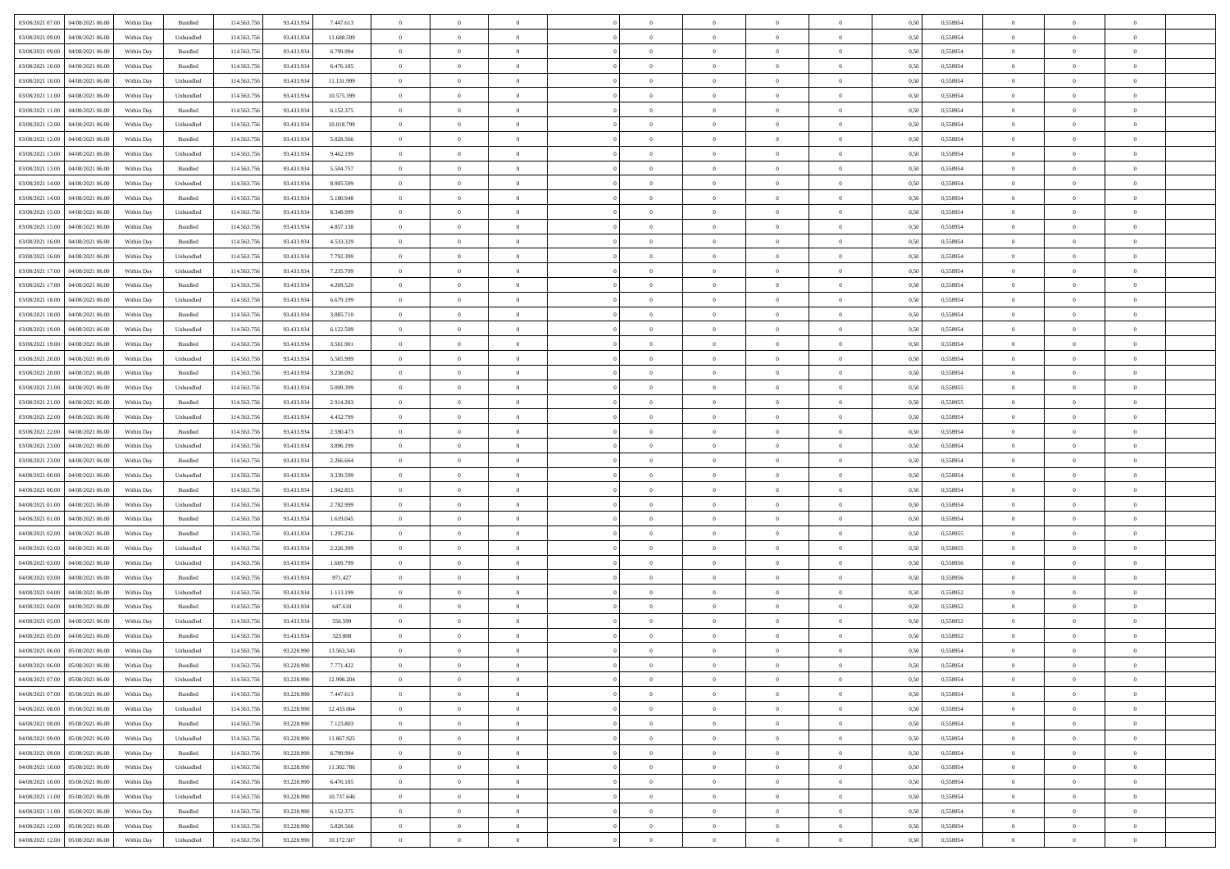|                                                |            |                   |             |            |            | $\overline{0}$ | $\overline{0}$ |                | $\overline{0}$ | $\theta$       |                | $\theta$       |      |          | $\theta$       | $\theta$       | $\theta$       |  |
|------------------------------------------------|------------|-------------------|-------------|------------|------------|----------------|----------------|----------------|----------------|----------------|----------------|----------------|------|----------|----------------|----------------|----------------|--|
| 03/08/2021 07:00   04/08/2021 06:00            | Within Day | Bundled           | 114.563.75  | 93.433.934 | 7.447.613  |                |                |                |                |                |                |                | 0,50 | 0,558954 |                |                |                |  |
| 03/08/2021 09:00<br>04/08/2021 06:00           | Within Day | Unbundled         | 114.563.75  | 93.433.93  | 11.688.599 | $\bf{0}$       | $\bf{0}$       | $\bf{0}$       | $\bf{0}$       | $\overline{0}$ | $\overline{0}$ | $\bf{0}$       | 0,50 | 0,558954 | $\,$ 0 $\,$    | $\bf{0}$       | $\overline{0}$ |  |
| 03/08/2021 09:00<br>04/08/2021 06:00           | Within Day | Bundled           | 114.563.75  | 93.433.934 | 6.799.994  | $\overline{0}$ | $\bf{0}$       | $\overline{0}$ | $\bf{0}$       | $\bf{0}$       | $\overline{0}$ | $\bf{0}$       | 0.50 | 0.558954 | $\bf{0}$       | $\overline{0}$ | $\overline{0}$ |  |
| 03/08/2021 10:00<br>04/08/2021 06:00           | Within Day | Bundled           | 114.563.75  | 93.433.934 | 6.476.185  | $\overline{0}$ | $\overline{0}$ | $\overline{0}$ | $\overline{0}$ | $\theta$       | $\overline{0}$ | $\bf{0}$       | 0,50 | 0,558954 | $\theta$       | $\theta$       | $\overline{0}$ |  |
| 03/08/2021 10:00<br>04/08/2021 06.00           | Within Day | Unbundled         | 114.563.75  | 93.433.93  | 11.131.999 | $\overline{0}$ | $\overline{0}$ | $\bf{0}$       | $\overline{0}$ | $\theta$       | $\overline{0}$ | $\bf{0}$       | 0,50 | 0,558954 | $\,$ 0 $\,$    | $\bf{0}$       | $\overline{0}$ |  |
|                                                |            |                   |             |            |            |                |                |                |                |                |                |                |      |          |                |                |                |  |
| 03/08/2021 11:00<br>04/08/2021 06:00           | Within Day | Unbundled         | 114,563,75  | 93.433.93  | 10.575.399 | $\overline{0}$ | $\overline{0}$ | $\overline{0}$ | $\bf{0}$       | $\overline{0}$ | $\theta$       | $\bf{0}$       | 0.50 | 0.558954 | $\,$ 0 $\,$    | $\theta$       | $\overline{0}$ |  |
| 03/08/2021 11:00<br>04/08/2021 06:00           | Within Day | Bundled           | 114.563.75  | 93.433.934 | 6.152.375  | $\overline{0}$ | $\overline{0}$ | $\overline{0}$ | $\overline{0}$ | $\overline{0}$ | $\overline{0}$ | $\bf{0}$       | 0,50 | 0,558954 | $\theta$       | $\theta$       | $\overline{0}$ |  |
| 03/08/2021 12:00<br>04/08/2021 06.00           | Within Day | Unbundled         | 114.563.75  | 93.433.93  | 10.018.799 | $\overline{0}$ | $\bf{0}$       | $\bf{0}$       | $\overline{0}$ | $\overline{0}$ | $\overline{0}$ | $\bf{0}$       | 0,50 | 0,558954 | $\,$ 0 $\,$    | $\bf{0}$       | $\overline{0}$ |  |
| 03/08/2021 12:00<br>04/08/2021 06:00           | Within Day | Bundled           | 114,563,75  | 93.433.93  | 5.828.566  | $\overline{0}$ | $\bf{0}$       | $\overline{0}$ | $\bf{0}$       | $\overline{0}$ | $\overline{0}$ | $\bf{0}$       | 0.50 | 0.558954 | $\bf{0}$       | $\overline{0}$ | $\overline{0}$ |  |
| 03/08/2021 13:00<br>04/08/2021 06:00           | Within Day | Unbundled         | 114.563.756 | 93.433.934 | 9.462.199  | $\overline{0}$ | $\bf{0}$       | $\overline{0}$ | $\overline{0}$ | $\overline{0}$ | $\overline{0}$ | $\bf{0}$       | 0,50 | 0,558954 | $\,$ 0 $\,$    | $\bf{0}$       | $\overline{0}$ |  |
| 03/08/2021 13:00<br>04/08/2021 06.00           | Within Day | Bundled           | 114.563.75  | 93.433.934 | 5.504.757  | $\bf{0}$       | $\overline{0}$ | $\bf{0}$       | $\bf{0}$       | $\overline{0}$ | $\overline{0}$ | $\bf{0}$       | 0,50 | 0,558954 | $\,$ 0 $\,$    | $\bf{0}$       | $\overline{0}$ |  |
| 03/08/2021 14:00<br>04/08/2021 06:00           | Within Day | Unbundled         | 114,563,75  | 93.433.934 | 8.905.599  | $\overline{0}$ | $\bf{0}$       | $\overline{0}$ | $\overline{0}$ | $\bf{0}$       | $\overline{0}$ | $\bf{0}$       | 0.50 | 0.558954 | $\bf{0}$       | $\overline{0}$ | $\,$ 0         |  |
|                                                |            |                   |             |            |            | $\overline{0}$ | $\overline{0}$ | $\overline{0}$ | $\theta$       | $\theta$       | $\overline{0}$ |                |      |          | $\,$ 0 $\,$    | $\theta$       | $\overline{0}$ |  |
| 03/08/2021 14:00<br>04/08/2021 06:00           | Within Day | Bundled           | 114.563.75  | 93.433.934 | 5.180.948  |                |                |                |                |                |                | $\bf{0}$       | 0,50 | 0,558954 |                |                |                |  |
| 03/08/2021 15:00<br>04/08/2021 06.00           | Within Day | Unbundled         | 114.563.75  | 93.433.93  | 8.348.999  | $\bf{0}$       | $\overline{0}$ | $\bf{0}$       | $\overline{0}$ | $\theta$       | $\overline{0}$ | $\bf{0}$       | 0,50 | 0,558954 | $\,$ 0 $\,$    | $\bf{0}$       | $\overline{0}$ |  |
| 03/08/2021 15:00<br>04/08/2021 06:00           | Within Day | Bundled           | 114,563,75  | 93.433.934 | 4.857.138  | $\overline{0}$ | $\overline{0}$ | $\overline{0}$ | $\bf{0}$       | $\overline{0}$ | $\theta$       | $\bf{0}$       | 0.50 | 0.558954 | $\,$ 0 $\,$    | $\theta$       | $\overline{0}$ |  |
| 03/08/2021 16:00<br>04/08/2021 06:00           | Within Day | Bundled           | 114.563.75  | 93.433.934 | 4.533.329  | $\overline{0}$ | $\overline{0}$ | $\overline{0}$ | $\overline{0}$ | $\overline{0}$ | $\overline{0}$ | $\bf{0}$       | 0,50 | 0,558954 | $\theta$       | $\theta$       | $\overline{0}$ |  |
| 03/08/2021 16:00<br>04/08/2021 06.00           | Within Day | Unbundled         | 114.563.75  | 93.433.93  | 7.792.399  | $\bf{0}$       | $\bf{0}$       | $\bf{0}$       | $\overline{0}$ | $\theta$       | $\overline{0}$ | $\bf{0}$       | 0,50 | 0,558954 | $\,$ 0 $\,$    | $\bf{0}$       | $\overline{0}$ |  |
| 03/08/2021 17:00<br>04/08/2021 06:00           | Within Day | Unbundled         | 114,563,75  | 93.433.93  | 7.235.799  | $\overline{0}$ | $\bf{0}$       | $\overline{0}$ | $\bf{0}$       | $\overline{0}$ | $\overline{0}$ | $\bf{0}$       | 0.50 | 0.558954 | $\bf{0}$       | $\overline{0}$ | $\overline{0}$ |  |
| 03/08/2021 17:00<br>04/08/2021 06:00           | Within Day | Bundled           | 114.563.75  | 93.433.934 | 4.209.520  | $\overline{0}$ | $\bf{0}$       | $\overline{0}$ | $\overline{0}$ | $\overline{0}$ | $\overline{0}$ | $\bf{0}$       | 0,50 | 0,558954 | $\,$ 0 $\,$    | $\bf{0}$       | $\overline{0}$ |  |
| 03/08/2021 18:00<br>04/08/2021 06.00           | Within Day | Unbundled         | 114.563.75  | 93.433.93  | 6.679.199  | $\bf{0}$       | $\bf{0}$       | $\bf{0}$       | $\bf{0}$       | $\overline{0}$ | $\overline{0}$ | $\bf{0}$       | 0,50 | 0,558954 | $\,$ 0 $\,$    | $\bf{0}$       | $\overline{0}$ |  |
|                                                |            |                   |             |            |            |                |                |                |                |                |                |                |      |          |                |                |                |  |
| 03/08/2021 18:00<br>04/08/2021 06:00           | Within Day | Bundled           | 114.563.75  | 93.433.934 | 3.885.710  | $\overline{0}$ | $\bf{0}$       | $\overline{0}$ | $\overline{0}$ | $\bf{0}$       | $\overline{0}$ | $\bf{0}$       | 0.50 | 0.558954 | $\bf{0}$       | $\overline{0}$ | $\,$ 0         |  |
| 03/08/2021 19:00<br>04/08/2021 06:00           | Within Day | Unbundled         | 114.563.75  | 93.433.934 | 6.122.599  | $\overline{0}$ | $\overline{0}$ | $\overline{0}$ | $\overline{0}$ | $\theta$       | $\overline{0}$ | $\bf{0}$       | 0,50 | 0,558954 | $\theta$       | $\theta$       | $\overline{0}$ |  |
| 03/08/2021 19:00<br>04/08/2021 06.00           | Within Day | Bundled           | 114.563.75  | 93.433.93  | 3.561.901  | $\bf{0}$       | $\overline{0}$ | $\bf{0}$       | $\bf{0}$       | $\,$ 0 $\,$    | $\overline{0}$ | $\bf{0}$       | 0,50 | 0,558954 | $\,$ 0 $\,$    | $\bf{0}$       | $\overline{0}$ |  |
| 03/08/2021 20:00<br>04/08/2021 06:00           | Within Day | Unbundled         | 114,563,75  | 93.433.93  | 5.565.999  | $\overline{0}$ | $\overline{0}$ | $\overline{0}$ | $\bf{0}$       | $\overline{0}$ | $\theta$       | $\bf{0}$       | 0.50 | 0.558954 | $\,$ 0 $\,$    | $\theta$       | $\overline{0}$ |  |
| 03/08/2021 20:00<br>04/08/2021 06:00           | Within Day | Bundled           | 114.563.75  | 93.433.934 | 3.238.092  | $\overline{0}$ | $\overline{0}$ | $\overline{0}$ | $\overline{0}$ | $\overline{0}$ | $\overline{0}$ | $\bf{0}$       | 0,50 | 0,558954 | $\theta$       | $\theta$       | $\overline{0}$ |  |
| 03/08/2021 21:00<br>04/08/2021 06.00           | Within Day | Unbundled         | 114.563.75  | 93.433.93  | 5.009.399  | $\bf{0}$       | $\overline{0}$ | $\bf{0}$       | $\overline{0}$ | $\bf{0}$       | $\overline{0}$ | $\bf{0}$       | 0,50 | 0,558955 | $\,$ 0 $\,$    | $\bf{0}$       | $\overline{0}$ |  |
| 03/08/2021 21:00<br>04/08/2021 06:00           | Within Day | Bundled           | 114,563,75  | 93.433.934 | 2.914.283  | $\overline{0}$ | $\bf{0}$       | $\overline{0}$ | $\bf{0}$       | $\overline{0}$ | $\overline{0}$ | $\bf{0}$       | 0.50 | 0.558955 | $\bf{0}$       | $\overline{0}$ | $\overline{0}$ |  |
| 03/08/2021 22:00<br>04/08/2021 06:00           | Within Day | Unbundled         | 114.563.75  | 93.433.934 | 4.452.799  | $\overline{0}$ | $\bf{0}$       | $\overline{0}$ | $\overline{0}$ | $\overline{0}$ | $\overline{0}$ | $\bf{0}$       | 0,50 | 0,558954 | $\theta$       | $\theta$       | $\overline{0}$ |  |
| 04/08/2021 06.00                               | Within Day | Bundled           | 114.563.75  | 93.433.93  | 2.590.473  | $\bf{0}$       | $\bf{0}$       | $\bf{0}$       | $\bf{0}$       | $\overline{0}$ | $\overline{0}$ | $\bf{0}$       | 0,50 | 0,558954 | $\,$ 0 $\,$    | $\bf{0}$       | $\overline{0}$ |  |
| 03/08/2021 22:00                               |            |                   |             |            |            |                |                |                |                |                |                |                |      |          |                |                |                |  |
| 03/08/2021 23:00<br>04/08/2021 06:00           | Within Day | Unbundled         | 114,563,75  | 93.433.934 | 3.896.199  | $\overline{0}$ | $\bf{0}$       | $\overline{0}$ | $\bf{0}$       | $\bf{0}$       | $\overline{0}$ | $\bf{0}$       | 0.50 | 0.558954 | $\bf{0}$       | $\overline{0}$ | $\,$ 0         |  |
| 03/08/2021 23:00<br>04/08/2021 06:00           | Within Day | Bundled           | 114.563.75  | 93.433.934 | 2.266.664  | $\overline{0}$ | $\overline{0}$ | $\overline{0}$ | $\overline{0}$ | $\overline{0}$ | $\overline{0}$ | $\bf{0}$       | 0.50 | 0.558954 | $\theta$       | $\theta$       | $\overline{0}$ |  |
| 04/08/2021 00:00<br>04/08/2021 06.00           | Within Day | Unbundled         | 114.563.75  | 93.433.93  | 3.339.599  | $\bf{0}$       | $\overline{0}$ | $\bf{0}$       | $\bf{0}$       | $\overline{0}$ | $\overline{0}$ | $\bf{0}$       | 0,50 | 0,558954 | $\,$ 0 $\,$    | $\bf{0}$       | $\overline{0}$ |  |
| 04/08/2021 00:00<br>04/08/2021 06:00           | Within Day | Bundled           | 114,563,75  | 93.433.934 | 1.942.855  | $\overline{0}$ | $\bf{0}$       | $\overline{0}$ | $\bf{0}$       | $\overline{0}$ | $\Omega$       | $\bf{0}$       | 0.50 | 0.558954 | $\,$ 0 $\,$    | $\theta$       | $\overline{0}$ |  |
| 04/08/2021 01:00<br>04/08/2021 06:00           | Within Dav | Unbundled         | 114.563.75  | 93.433.934 | 2.782.999  | $\overline{0}$ | $\overline{0}$ | $\overline{0}$ | $\overline{0}$ | $\theta$       | $\overline{0}$ | $\bf{0}$       | 0.50 | 0,558954 | $\theta$       | $\theta$       | $\overline{0}$ |  |
| 04/08/2021 01:00<br>04/08/2021 06.00           | Within Day | Bundled           | 114.563.75  | 93.433.93  | 1.619.045  | $\bf{0}$       | $\bf{0}$       | $\bf{0}$       | $\bf{0}$       | $\overline{0}$ | $\overline{0}$ | $\bf{0}$       | 0,50 | 0,558954 | $\,$ 0 $\,$    | $\bf{0}$       | $\overline{0}$ |  |
| 04/08/2021 02:00<br>04/08/2021 06:00           | Within Day | Bundled           | 114,563,75  | 93.433.93  | 1.295.236  | $\overline{0}$ | $\bf{0}$       | $\overline{0}$ | $\bf{0}$       | $\overline{0}$ | $\overline{0}$ | $\bf{0}$       | 0.50 | 0.558955 | $\bf{0}$       | $\overline{0}$ | $\overline{0}$ |  |
| 04/08/2021 02:00<br>04/08/2021 06:00           | Within Dav | Unbundled         | 114.563.75  | 93.433.934 | 2.226.399  | $\overline{0}$ | $\overline{0}$ | $\overline{0}$ | $\overline{0}$ | $\overline{0}$ | $\overline{0}$ | $\bf{0}$       | 0.50 | 0,558955 | $\theta$       | $\theta$       | $\overline{0}$ |  |
|                                                |            |                   |             |            |            |                |                |                |                |                |                |                |      |          |                |                |                |  |
| 04/08/2021 03:00<br>04/08/2021 06.00           | Within Day | Unbundled         | 114.563.75  | 93.433.93  | 1.669.799  | $\bf{0}$       | $\bf{0}$       | $\bf{0}$       | $\bf{0}$       | $\overline{0}$ | $\overline{0}$ | $\bf{0}$       | 0,50 | 0,558956 | $\,$ 0 $\,$    | $\bf{0}$       | $\overline{0}$ |  |
| 04/08/2021 03:00<br>04/08/2021 06:00           | Within Day | Bundled           | 114.563.75  | 93.433.934 | 971.427    | $\overline{0}$ | $\bf{0}$       | $\overline{0}$ | $\overline{0}$ | $\bf{0}$       | $\overline{0}$ | $\bf{0}$       | 0.50 | 0.558956 | $\bf{0}$       | $\overline{0}$ | $\overline{0}$ |  |
| 04/08/2021 04:00<br>04/08/2021 06:00           | Within Dav | Unbundled         | 114.563.75  | 93.433.934 | 1.113.199  | $\overline{0}$ | $\overline{0}$ | $\overline{0}$ | $\overline{0}$ | $\overline{0}$ | $\overline{0}$ | $\bf{0}$       | 0.50 | 0,558952 | $\theta$       | $\theta$       | $\overline{0}$ |  |
| 04/08/2021 04:00<br>04/08/2021 06.00           | Within Day | Bundled           | 114.563.75  | 93.433.93  | 647.618    | $\bf{0}$       | $\bf{0}$       | $\bf{0}$       | $\bf{0}$       | $\overline{0}$ | $\overline{0}$ | $\bf{0}$       | 0,50 | 0,558952 | $\,$ 0 $\,$    | $\bf{0}$       | $\overline{0}$ |  |
| 04/08/2021 05:00<br>04/08/2021 06:00           | Within Day | Unbundled         | 114,563,75  | 93.433.93  | 556.599    | $\overline{0}$ | $\overline{0}$ | $\overline{0}$ | $\bf{0}$       | $\overline{0}$ | $\Omega$       | $\bf{0}$       | 0.50 | 0.558952 | $\bf{0}$       | $\theta$       | $\overline{0}$ |  |
| 04/08/2021 05:00<br>04/08/2021 06:00           | Within Dav | Bundled           | 114.563.75  | 93.433.934 | 323,808    | $\overline{0}$ | $\overline{0}$ | $\Omega$       | $\overline{0}$ | $\theta$       | $\Omega$       | $\overline{0}$ | 0.5( | 0,558952 | $\theta$       | $\theta$       | $\overline{0}$ |  |
| 04/08/2021 06:00<br>05/08/2021 06:00           | Within Day | Unbundled         | 114.563.75  | 93.228.990 | 13.563.343 | $\bf{0}$       | $\bf{0}$       | $\bf{0}$       | $\bf{0}$       | $\bf{0}$       | $\overline{0}$ | $\bf{0}$       | 0,50 | 0,558954 | $\overline{0}$ | $\overline{0}$ | $\overline{0}$ |  |
| $04/08/2021\; 06.00 \qquad 05/08/2021\; 06.00$ | Within Day | Bundled           | 114.563.756 | 93.228.990 | 7.771.422  | $\bf{0}$       | $\theta$       |                | $\overline{0}$ |                |                |                | 0,50 | 0.558954 | $\theta$       | $\overline{0}$ |                |  |
| 04/08/2021 07:00 05/08/2021 06:00              | Within Day | Unbundled         | 114.563.756 | 93.228.990 | 12.998.204 | $\overline{0}$ | $\overline{0}$ | $\Omega$       | $\theta$       | $\overline{0}$ | $\overline{0}$ | $\bf{0}$       | 0,50 | 0,558954 | $\theta$       | $\theta$       | $\overline{0}$ |  |
|                                                |            |                   |             |            |            |                |                |                |                |                |                |                |      |          |                |                |                |  |
| 04/08/2021 07:00<br>05/08/2021 06:00           | Within Day | Bundled           | 114.563.75  | 93.228.990 | 7.447.613  | $\overline{0}$ | $\bf{0}$       | $\overline{0}$ | $\overline{0}$ | $\bf{0}$       | $\overline{0}$ | $\bf{0}$       | 0,50 | 0,558954 | $\bf{0}$       | $\overline{0}$ | $\bf{0}$       |  |
| 04/08/2021 08:00 05/08/2021 06:00              | Within Day | Unbundled         | 114,563,756 | 93.228.990 | 12.433.064 | $\overline{0}$ | $\bf{0}$       | $\overline{0}$ | $\overline{0}$ | $\mathbf{0}$   | $\overline{0}$ | $\,$ 0 $\,$    | 0.50 | 0.558954 | $\overline{0}$ | $\bf{0}$       | $\,$ 0 $\,$    |  |
| 04/08/2021 08:00 05/08/2021 06:00              | Within Dav | Bundled           | 114.563.756 | 93.228.990 | 7.123.803  | $\overline{0}$ | $\overline{0}$ | $\overline{0}$ | $\overline{0}$ | $\overline{0}$ | $\overline{0}$ | $\bf{0}$       | 0,50 | 0,558954 | $\theta$       | $\theta$       | $\overline{0}$ |  |
| 04/08/2021 09:00<br>05/08/2021 06:00           | Within Day | Unbundled         | 114.563.75  | 93.228.990 | 11.867.925 | $\overline{0}$ | $\bf{0}$       | $\overline{0}$ | $\overline{0}$ | $\bf{0}$       | $\overline{0}$ | $\bf{0}$       | 0,50 | 0,558954 | $\bf{0}$       | $\overline{0}$ | $\overline{0}$ |  |
| 04/08/2021 09:00  05/08/2021 06:00             | Within Day | Bundled           | 114.563.756 | 93.228.990 | 6.799.994  | $\overline{0}$ | $\bf{0}$       | $\overline{0}$ | $\overline{0}$ | $\overline{0}$ | $\overline{0}$ | $\bf{0}$       | 0.50 | 0.558954 | $\,$ 0 $\,$    | $\overline{0}$ | $\,$ 0         |  |
| 04/08/2021 10:00  05/08/2021 06:00             | Within Dav | Unbundled         | 114.563.756 | 93.228.990 | 11.302.786 | $\overline{0}$ | $\overline{0}$ | $\overline{0}$ | $\overline{0}$ | $\overline{0}$ | $\overline{0}$ | $\bf{0}$       | 0.50 | 0,558954 | $\overline{0}$ | $\theta$       | $\overline{0}$ |  |
| 04/08/2021 10:00<br>05/08/2021 06:00           | Within Day | Bundled           | 114.563.75  | 93.228.990 | 6.476.185  | $\overline{0}$ | $\overline{0}$ | $\overline{0}$ | $\overline{0}$ | $\overline{0}$ | $\overline{0}$ | $\bf{0}$       | 0,50 | 0,558954 | $\bf{0}$       | $\overline{0}$ | $\overline{0}$ |  |
|                                                |            |                   |             |            |            |                |                |                |                |                |                |                |      |          |                |                |                |  |
| 04/08/2021 11:00  05/08/2021 06:00             | Within Day | Unbundled         | 114.563.75  | 93.228.990 | 10.737.646 | $\overline{0}$ | $\overline{0}$ | $\overline{0}$ | $\overline{0}$ | $\overline{0}$ | $\overline{0}$ | $\bf{0}$       | 0.50 | 0.558954 | $\mathbf{0}$   | $\bf{0}$       | $\,$ 0         |  |
| 04/08/2021 11:00  05/08/2021 06:00             | Within Dav | Bundled           | 114.563.756 | 93.228.990 | 6.152.375  | $\overline{0}$ | $\overline{0}$ | $\overline{0}$ | $\overline{0}$ | $\overline{0}$ | $\overline{0}$ | $\bf{0}$       | 0,50 | 0,558954 | $\overline{0}$ | $\theta$       | $\overline{0}$ |  |
| 04/08/2021 12:00<br>05/08/2021 06:00           | Within Day | Bundled           | 114.563.75  | 93.228.990 | 5.828.566  | $\overline{0}$ | $\bf{0}$       | $\overline{0}$ | $\overline{0}$ | $\overline{0}$ | $\overline{0}$ | $\bf{0}$       | 0,50 | 0,558954 | $\bf{0}$       | $\,$ 0 $\,$    | $\bf{0}$       |  |
| 04/08/2021 12:00 05/08/2021 06:00              | Within Day | ${\sf Unbundred}$ | 114.563.756 | 93.228.990 | 10.172.507 | $\overline{0}$ | $\bf{0}$       | $\overline{0}$ | $\overline{0}$ | $\,$ 0 $\,$    | $\overline{0}$ | $\bf{0}$       | 0,50 | 0,558954 | $\overline{0}$ | $\,$ 0 $\,$    | $\,$ 0 $\,$    |  |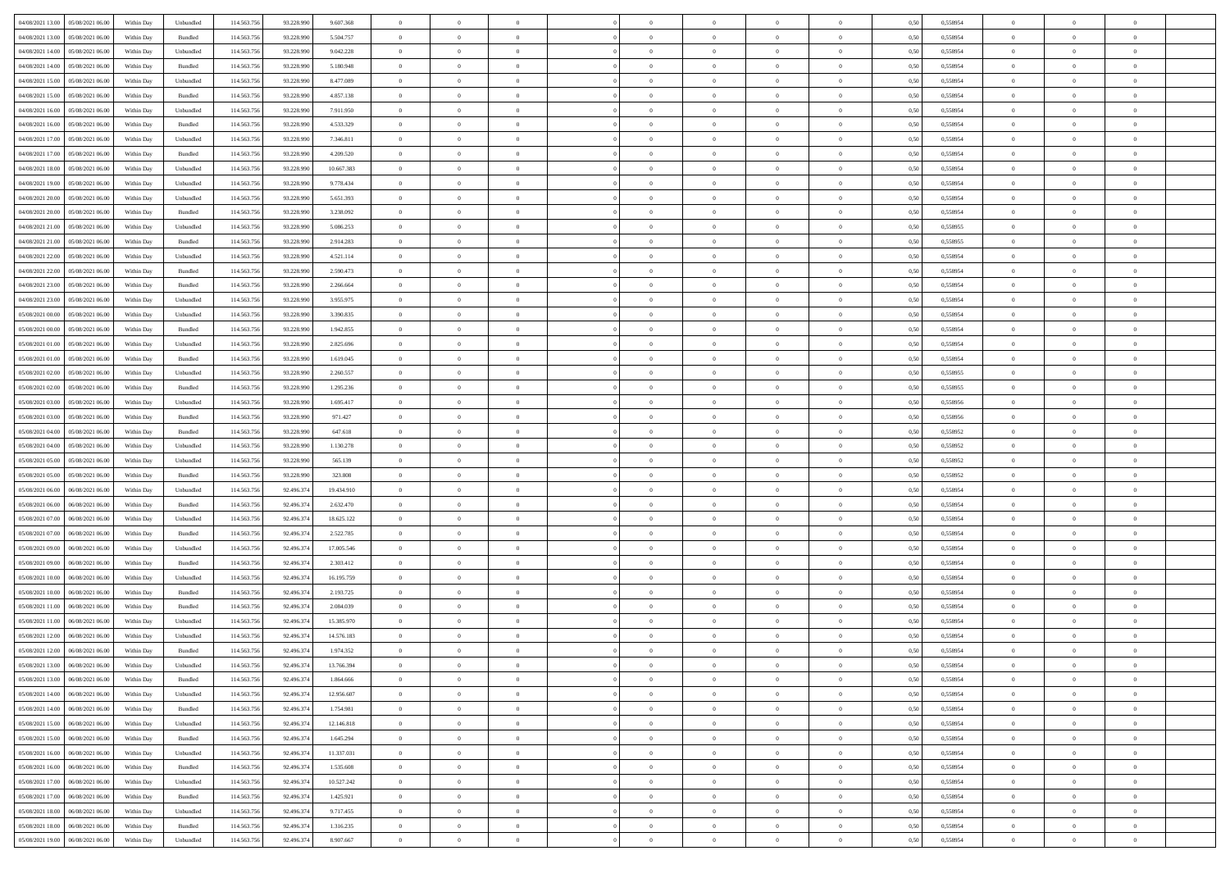| 04/08/2021 13:00  05/08/2021 06:00                                            | Within Day | Unbundled                   | 114.563.75  | 93.228.990 | 9.607.368  | $\overline{0}$ | $\overline{0}$ |                | $\overline{0}$ | $\theta$       |                | $\bf{0}$       | 0,50 | 0,558954 | $\theta$       | $\theta$       | $\overline{0}$ |  |
|-------------------------------------------------------------------------------|------------|-----------------------------|-------------|------------|------------|----------------|----------------|----------------|----------------|----------------|----------------|----------------|------|----------|----------------|----------------|----------------|--|
| 04/08/2021 13:00<br>05/08/2021 06:00                                          | Within Day | Bundled                     | 114.563.75  | 93.228.99  | 5.504.757  | $\bf{0}$       | $\bf{0}$       | $\bf{0}$       | $\overline{0}$ | $\overline{0}$ | $\overline{0}$ | $\bf{0}$       | 0,50 | 0,558954 | $\,$ 0 $\,$    | $\bf{0}$       | $\overline{0}$ |  |
| 04/08/2021 14:00<br>05/08/2021 06:00                                          | Within Day | Unbundled                   | 114,563,75  | 93.228.990 | 9.042.228  | $\overline{0}$ | $\bf{0}$       | $\overline{0}$ | $\bf{0}$       | $\bf{0}$       | $\overline{0}$ | $\bf{0}$       | 0.50 | 0.558954 | $\bf{0}$       | $\overline{0}$ | $\overline{0}$ |  |
| 04/08/2021 14:00<br>05/08/2021 06:00                                          | Within Day | Bundled                     | 114.563.75  | 93.228.990 | 5.180.948  | $\overline{0}$ | $\bf{0}$       | $\overline{0}$ | $\theta$       | $\theta$       | $\overline{0}$ | $\bf{0}$       | 0,50 | 0,558954 | $\theta$       | $\theta$       | $\overline{0}$ |  |
|                                                                               |            |                             |             |            |            |                |                |                |                |                |                |                |      |          |                |                |                |  |
| 04/08/2021 15:00<br>05/08/2021 06.00                                          | Within Day | Unbundled                   | 114.563.75  | 93.228.99  | 8.477.089  | $\bf{0}$       | $\overline{0}$ | $\bf{0}$       | $\overline{0}$ | $\theta$       | $\overline{0}$ | $\bf{0}$       | 0,50 | 0,558954 | $\,$ 0 $\,$    | $\bf{0}$       | $\overline{0}$ |  |
| 04/08/2021 15:00<br>05/08/2021 06:00                                          | Within Day | Bundled                     | 114,563,75  | 93.228.990 | 4.857.138  | $\overline{0}$ | $\overline{0}$ | $\overline{0}$ | $\bf{0}$       | $\overline{0}$ | $\theta$       | $\bf{0}$       | 0.50 | 0.558954 | $\,$ 0 $\,$    | $\theta$       | $\overline{0}$ |  |
| 04/08/2021 16:00<br>05/08/2021 06:00                                          | Within Day | Unbundled                   | 114.563.75  | 93.228.990 | 7.911.950  | $\overline{0}$ | $\overline{0}$ | $\overline{0}$ | $\overline{0}$ | $\overline{0}$ | $\overline{0}$ | $\bf{0}$       | 0,50 | 0,558954 | $\,$ 0 $\,$    | $\theta$       | $\overline{0}$ |  |
| 04/08/2021 16:00<br>05/08/2021 06.00                                          | Within Day | Bundled                     | 114.563.75  | 93.228.99  | 4.533.329  | $\bf{0}$       | $\overline{0}$ | $\bf{0}$       | $\overline{0}$ | $\bf{0}$       | $\overline{0}$ | $\bf{0}$       | 0,50 | 0,558954 | $\,$ 0 $\,$    | $\bf{0}$       | $\overline{0}$ |  |
|                                                                               |            |                             |             |            |            |                |                |                |                |                |                |                |      |          |                |                |                |  |
| 04/08/2021 17:00<br>05/08/2021 06:00                                          | Within Day | Unbundled                   | 114,563,75  | 93.228.990 | 7.346.811  | $\overline{0}$ | $\bf{0}$       | $\overline{0}$ | $\bf{0}$       | $\overline{0}$ | $\overline{0}$ | $\bf{0}$       | 0.50 | 0.558954 | $\bf{0}$       | $\overline{0}$ | $\overline{0}$ |  |
| 04/08/2021 17:00<br>05/08/2021 06:00                                          | Within Day | Bundled                     | 114.563.756 | 93.228.990 | 4.209.520  | $\overline{0}$ | $\bf{0}$       | $\overline{0}$ | $\overline{0}$ | $\overline{0}$ | $\overline{0}$ | $\bf{0}$       | 0,50 | 0,558954 | $\,$ 0 $\,$    | $\bf{0}$       | $\overline{0}$ |  |
| 04/08/2021 18:00<br>05/08/2021 06:00                                          | Within Day | Unbundled                   | 114.563.75  | 93.228.990 | 10.667.383 | $\bf{0}$       | $\overline{0}$ | $\bf{0}$       | $\bf{0}$       | $\bf{0}$       | $\overline{0}$ | $\bf{0}$       | 0,50 | 0,558954 | $\,$ 0 $\,$    | $\bf{0}$       | $\overline{0}$ |  |
| 04/08/2021 19:00<br>05/08/2021 06:00                                          | Within Day | Unbundled                   | 114,563,75  | 93.228.990 | 9.778.434  | $\overline{0}$ | $\bf{0}$       | $\overline{0}$ | $\bf{0}$       | $\bf{0}$       | $\overline{0}$ | $\bf{0}$       | 0.50 | 0.558954 | $\bf{0}$       | $\overline{0}$ | $\overline{0}$ |  |
|                                                                               |            |                             |             |            |            | $\overline{0}$ |                |                |                |                |                |                |      |          |                | $\theta$       |                |  |
| 04/08/2021 20:00<br>05/08/2021 06:00                                          | Within Day | Unbundled                   | 114.563.75  | 93.228.990 | 5.651.393  |                | $\overline{0}$ | $\overline{0}$ | $\theta$       | $\theta$       | $\overline{0}$ | $\bf{0}$       | 0,50 | 0,558954 | $\,$ 0 $\,$    |                | $\overline{0}$ |  |
| 04/08/2021 20:00<br>05/08/2021 06:00                                          | Within Day | Bundled                     | 114.563.75  | 93.228.99  | 3.238.092  | $\bf{0}$       | $\overline{0}$ | $\bf{0}$       | $\overline{0}$ | $\theta$       | $\overline{0}$ | $\bf{0}$       | 0,50 | 0,558954 | $\,$ 0 $\,$    | $\bf{0}$       | $\overline{0}$ |  |
| 04/08/2021 21:00<br>05/08/2021 06:00                                          | Within Day | Unbundled                   | 114,563,75  | 93.228.990 | 5.086.253  | $\overline{0}$ | $\overline{0}$ | $\overline{0}$ | $\bf{0}$       | $\overline{0}$ | $\Omega$       | $\bf{0}$       | 0.50 | 0.558955 | $\,$ 0 $\,$    | $\theta$       | $\overline{0}$ |  |
| 04/08/2021 21:00<br>05/08/2021 06:00                                          | Within Day | Bundled                     | 114.563.75  | 93.228.990 | 2.914.283  | $\overline{0}$ | $\overline{0}$ | $\overline{0}$ | $\overline{0}$ | $\overline{0}$ | $\overline{0}$ | $\bf{0}$       | 0,50 | 0,558955 | $\theta$       | $\theta$       | $\overline{0}$ |  |
| 05/08/2021 06.00                                                              | Within Day | Unbundled                   | 114.563.75  | 93.228.99  | 4.521.114  | $\bf{0}$       | $\overline{0}$ | $\bf{0}$       | $\overline{0}$ | $\theta$       | $\overline{0}$ | $\bf{0}$       | 0,50 | 0,558954 | $\,$ 0 $\,$    | $\bf{0}$       | $\overline{0}$ |  |
| 04/08/2021 22:00                                                              |            |                             |             |            |            |                |                |                |                |                |                |                |      |          |                |                |                |  |
| 04/08/2021 22:00<br>05/08/2021 06:00                                          | Within Day | Bundled                     | 114,563,75  | 93.228.990 | 2.590.473  | $\overline{0}$ | $\bf{0}$       | $\overline{0}$ | $\bf{0}$       | $\overline{0}$ | $\overline{0}$ | $\bf{0}$       | 0.50 | 0.558954 | $\bf{0}$       | $\overline{0}$ | $\overline{0}$ |  |
| 04/08/2021 23:00<br>05/08/2021 06:00                                          | Within Day | Bundled                     | 114.563.75  | 93.228.990 | 2.266.664  | $\overline{0}$ | $\bf{0}$       | $\overline{0}$ | $\overline{0}$ | $\overline{0}$ | $\overline{0}$ | $\bf{0}$       | 0,50 | 0,558954 | $\,$ 0 $\,$    | $\bf{0}$       | $\overline{0}$ |  |
| 04/08/2021 23:00<br>05/08/2021 06.00                                          | Within Day | Unbundled                   | 114.563.75  | 93.228.99  | 3.955.975  | $\bf{0}$       | $\bf{0}$       | $\bf{0}$       | $\bf{0}$       | $\overline{0}$ | $\overline{0}$ | $\bf{0}$       | 0,50 | 0,558954 | $\,$ 0 $\,$    | $\bf{0}$       | $\overline{0}$ |  |
| 05/08/2021 00:00<br>05/08/2021 06:00                                          | Within Day | Unbundled                   | 114,563,75  | 93.228.990 | 3.390.835  | $\overline{0}$ | $\bf{0}$       | $\overline{0}$ | $\bf{0}$       | $\bf{0}$       | $\overline{0}$ | $\bf{0}$       | 0.50 | 0.558954 | $\bf{0}$       | $\overline{0}$ | $\overline{0}$ |  |
| 05/08/2021 00:00<br>05/08/2021 06:00                                          | Within Day | Bundled                     | 114.563.75  | 93.228.990 | 1.942.855  | $\overline{0}$ | $\overline{0}$ | $\overline{0}$ | $\theta$       | $\theta$       | $\overline{0}$ | $\bf{0}$       | 0,50 | 0,558954 | $\theta$       | $\theta$       | $\overline{0}$ |  |
|                                                                               |            |                             |             |            |            |                |                |                |                |                |                |                |      |          |                |                |                |  |
| 05/08/2021 01:00<br>05/08/2021 06.00                                          | Within Day | Unbundled                   | 114.563.75  | 93.228.99  | 2.825.696  | $\bf{0}$       | $\overline{0}$ | $\bf{0}$       | $\bf{0}$       | $\overline{0}$ | $\overline{0}$ | $\bf{0}$       | 0,50 | 0,558954 | $\,$ 0 $\,$    | $\bf{0}$       | $\overline{0}$ |  |
| 05/08/2021 01:00<br>05/08/2021 06:00                                          | Within Day | Bundled                     | 114,563,75  | 93.228.990 | 1.619.045  | $\overline{0}$ | $\overline{0}$ | $\overline{0}$ | $\bf{0}$       | $\overline{0}$ | $\Omega$       | $\bf{0}$       | 0.50 | 0.558954 | $\,$ 0 $\,$    | $\theta$       | $\overline{0}$ |  |
| 05/08/2021 02:00<br>05/08/2021 06:00                                          | Within Day | Unbundled                   | 114.563.75  | 93.228.990 | 2.260.557  | $\overline{0}$ | $\overline{0}$ | $\overline{0}$ | $\overline{0}$ | $\overline{0}$ | $\overline{0}$ | $\bf{0}$       | 0,50 | 0,558955 | $\,$ 0 $\,$    | $\theta$       | $\overline{0}$ |  |
| 05/08/2021 02:00<br>05/08/2021 06:00                                          | Within Day | Bundled                     | 114.563.75  | 93.228.99  | 1.295.236  | $\bf{0}$       | $\overline{0}$ | $\bf{0}$       | $\overline{0}$ | $\theta$       | $\overline{0}$ | $\bf{0}$       | 0,50 | 0,558955 | $\,$ 0 $\,$    | $\bf{0}$       | $\overline{0}$ |  |
| 05/08/2021 06:00                                                              |            | Unbundled                   | 114,563,75  | 93.228.990 |            |                |                |                |                |                | $\overline{0}$ |                |      |          |                |                |                |  |
| 05/08/2021 03:00                                                              | Within Day |                             |             |            | 1.695.417  | $\overline{0}$ | $\bf{0}$       | $\overline{0}$ | $\bf{0}$       | $\overline{0}$ |                | $\bf{0}$       | 0.50 | 0.558956 | $\bf{0}$       | $\overline{0}$ | $\overline{0}$ |  |
| 05/08/2021 03:00<br>05/08/2021 06:00                                          | Within Day | Bundled                     | 114.563.75  | 93.228.990 | 971.427    | $\overline{0}$ | $\overline{0}$ | $\overline{0}$ | $\overline{0}$ | $\overline{0}$ | $\overline{0}$ | $\bf{0}$       | 0,50 | 0,558956 | $\theta$       | $\theta$       | $\overline{0}$ |  |
| 05/08/2021 04:00<br>05/08/2021 06.00                                          | Within Day | Bundled                     | 114.563.75  | 93.228.990 | 647.618    | $\bf{0}$       | $\bf{0}$       | $\bf{0}$       | $\bf{0}$       | $\overline{0}$ | $\overline{0}$ | $\bf{0}$       | 0,50 | 0,558952 | $\,$ 0 $\,$    | $\bf{0}$       | $\overline{0}$ |  |
| 05/08/2021 04:00<br>05/08/2021 06:00                                          | Within Day | Unbundled                   | 114,563,75  | 93.228.990 | 1.130.278  | $\overline{0}$ | $\bf{0}$       | $\overline{0}$ | $\bf{0}$       | $\bf{0}$       | $\overline{0}$ | $\bf{0}$       | 0.50 | 0.558952 | $\bf{0}$       | $\overline{0}$ | $\overline{0}$ |  |
| 05/08/2021 05:00<br>05/08/2021 06:00                                          | Within Day | Unbundled                   | 114.563.75  | 93.228.990 | 565.139    | $\overline{0}$ | $\overline{0}$ | $\overline{0}$ | $\overline{0}$ | $\overline{0}$ | $\overline{0}$ | $\bf{0}$       | 0.5( | 0,558952 | $\theta$       | $\theta$       | $\overline{0}$ |  |
|                                                                               |            |                             |             |            |            |                |                |                |                |                |                |                |      |          |                |                |                |  |
| 05/08/2021 05:00<br>05/08/2021 06.00                                          | Within Day | Bundled                     | 114.563.75  | 93.228.99  | 323.808    | $\bf{0}$       | $\overline{0}$ | $\bf{0}$       | $\bf{0}$       | $\overline{0}$ | $\overline{0}$ | $\bf{0}$       | 0,50 | 0,558952 | $\,$ 0 $\,$    | $\bf{0}$       | $\overline{0}$ |  |
| 05/08/2021 06:00<br>06/08/2021 06:00                                          | Within Day | Unbundled                   | 114,563,75  | 92.496.37  | 19.434.910 | $\overline{0}$ | $\bf{0}$       | $\overline{0}$ | $\bf{0}$       | $\overline{0}$ | $\Omega$       | $\bf{0}$       | 0.50 | 0.558954 | $\,$ 0 $\,$    | $\theta$       | $\overline{0}$ |  |
| 05/08/2021 06:00<br>06/08/2021 06:00                                          | Within Dav | Bundled                     | 114.563.75  | 92.496.374 | 2.632.470  | $\overline{0}$ | $\overline{0}$ | $\overline{0}$ | $\overline{0}$ | $\theta$       | $\overline{0}$ | $\bf{0}$       | 0.50 | 0,558954 | $\theta$       | $\theta$       | $\overline{0}$ |  |
| 05/08/2021 07:00<br>06/08/2021 06:00                                          | Within Day | Unbundled                   | 114.563.75  | 92.496.37  | 18.625.122 | $\bf{0}$       | $\bf{0}$       | $\bf{0}$       | $\bf{0}$       | $\bf{0}$       | $\overline{0}$ | $\bf{0}$       | 0,50 | 0,558954 | $\,$ 0 $\,$    | $\bf{0}$       | $\overline{0}$ |  |
| 05/08/2021 07:00<br>06/08/2021 06:00                                          | Within Day | Bundled                     | 114,563,75  | 92.496.37  | 2.522.785  | $\overline{0}$ | $\bf{0}$       | $\overline{0}$ | $\bf{0}$       | $\overline{0}$ | $\overline{0}$ | $\bf{0}$       | 0.50 | 0.558954 | $\bf{0}$       | $\overline{0}$ | $\overline{0}$ |  |
|                                                                               |            |                             |             |            |            |                |                |                |                |                |                |                |      |          |                |                |                |  |
| 05/08/2021 09:00<br>06/08/2021 06:00                                          | Within Dav | Unbundled                   | 114.563.75  | 92.496.374 | 17.005.546 | $\overline{0}$ | $\overline{0}$ | $\overline{0}$ | $\overline{0}$ | $\overline{0}$ | $\overline{0}$ | $\bf{0}$       | 0.50 | 0,558954 | $\theta$       | $\theta$       | $\overline{0}$ |  |
| 05/08/2021 09:00<br>06/08/2021 06:00                                          | Within Day | Bundled                     | 114.563.75  | 92.496.37  | 2.303.412  | $\bf{0}$       | $\bf{0}$       | $\bf{0}$       | $\bf{0}$       | $\overline{0}$ | $\overline{0}$ | $\bf{0}$       | 0,50 | 0,558954 | $\,$ 0 $\,$    | $\bf{0}$       | $\overline{0}$ |  |
| 05/08/2021 10:00<br>06/08/2021 06:00                                          | Within Day | Unbundled                   | 114.563.75  | 92.496.37  | 16.195.759 | $\overline{0}$ | $\bf{0}$       | $\overline{0}$ | $\bf{0}$       | $\bf{0}$       | $\overline{0}$ | $\bf{0}$       | 0.50 | 0.558954 | $\bf{0}$       | $\overline{0}$ | $\overline{0}$ |  |
| 05/08/2021 10:00<br>06/08/2021 06:00                                          | Within Dav | Bundled                     | 114.563.75  | 92.496.374 | 2.193.725  | $\overline{0}$ | $\overline{0}$ | $\overline{0}$ | $\overline{0}$ | $\overline{0}$ | $\overline{0}$ | $\bf{0}$       | 0.50 | 0.558954 | $\theta$       | $\theta$       | $\overline{0}$ |  |
| 05/08/2021 11:00<br>06/08/2021 06:00                                          | Within Day | Bundled                     | 114.563.75  | 92.496.37  | 2.084.039  | $\bf{0}$       | $\bf{0}$       | $\bf{0}$       | $\bf{0}$       | $\overline{0}$ | $\overline{0}$ | $\bf{0}$       | 0,50 | 0,558954 | $\,$ 0 $\,$    | $\bf{0}$       | $\overline{0}$ |  |
|                                                                               |            |                             |             |            |            |                |                |                |                |                |                |                |      |          |                |                |                |  |
| 05/08/2021 11:00<br>06/08/2021 06:00                                          | Within Day | Unbundled                   | 114,563,75  | 92.496.37  | 15.385.970 | $\overline{0}$ | $\overline{0}$ | $\overline{0}$ | $\bf{0}$       | $\overline{0}$ | $\Omega$       | $\bf{0}$       | 0.50 | 0.558954 | $\bf{0}$       | $\theta$       | $\overline{0}$ |  |
| 05/08/2021 12:00<br>06/08/2021 06:00                                          | Within Dav | Unbundled                   | 114.563.75  | 92.496.374 | 14.576.183 | $\overline{0}$ | $\overline{0}$ | $\Omega$       | $\overline{0}$ | $\theta$       | $\Omega$       | $\overline{0}$ | 0.5( | 0,558954 | $\theta$       | $\theta$       | $\overline{0}$ |  |
| 05/08/2021 12:00<br>06/08/2021 06:00                                          | Within Day | Bundled                     | 114.563.75  | 92.496.37  | 1.974.352  | $\bf{0}$       | $\bf{0}$       | $\overline{0}$ | $\bf{0}$       | $\bf{0}$       | $\overline{0}$ | $\bf{0}$       | 0,50 | 0,558954 | $\,$ 0 $\,$    | $\bf{0}$       | $\overline{0}$ |  |
| ${\color{red} 05/08/2021}\,\, 13.00 \quad {\color{red} 06/08/2021}\,\, 06.00$ | Within Day | $\ensuremath{\mathsf{Unb}}$ | 114.563.756 | 92.496.374 | 13.766.394 | $\overline{0}$ | $\Omega$       |                | $\Omega$       |                |                |                | 0,50 | 0.558954 | $\theta$       | $\overline{0}$ |                |  |
| 05/08/2021 13:00 06/08/2021 06:00                                             | Within Day | Bundled                     | 114.563.756 | 92.496.374 | 1.864.666  | $\overline{0}$ | $\overline{0}$ | $\Omega$       | $\theta$       | $\overline{0}$ | $\overline{0}$ | $\bf{0}$       | 0,50 | 0,558954 | $\theta$       | $\theta$       | $\overline{0}$ |  |
|                                                                               |            |                             |             |            |            |                |                |                |                |                |                |                |      |          |                |                |                |  |
| 05/08/2021 14:00<br>06/08/2021 06:00                                          | Within Day | Unbundled                   | 114.563.75  | 92.496.37  | 12.956.607 | $\overline{0}$ | $\bf{0}$       | $\overline{0}$ | $\overline{0}$ | $\bf{0}$       | $\overline{0}$ | $\bf{0}$       | 0,50 | 0,558954 | $\bf{0}$       | $\overline{0}$ | $\bf{0}$       |  |
| 05/08/2021 14:00   06/08/2021 06:00                                           | Within Day | Bundled                     | 114,563,756 | 92,496,374 | 1.754.981  | $\overline{0}$ | $\bf{0}$       | $\overline{0}$ | $\overline{0}$ | $\mathbf{0}$   | $\overline{0}$ | $\,$ 0 $\,$    | 0.50 | 0.558954 | $\overline{0}$ | $\bf{0}$       | $\,$ 0 $\,$    |  |
| 05/08/2021 15:00   06/08/2021 06:00                                           | Within Day | Unbundled                   | 114.563.756 | 92.496.374 | 12.146.818 | $\overline{0}$ | $\overline{0}$ | $\overline{0}$ | $\overline{0}$ | $\overline{0}$ | $\overline{0}$ | $\bf{0}$       | 0,50 | 0,558954 | $\theta$       | $\theta$       | $\overline{0}$ |  |
| 05/08/2021 15:00<br>06/08/2021 06:00                                          | Within Day | Bundled                     | 114.563.75  | 92.496.374 | 1.645.294  | $\overline{0}$ | $\bf{0}$       | $\overline{0}$ | $\overline{0}$ | $\overline{0}$ | $\overline{0}$ | $\bf{0}$       | 0,50 | 0,558954 | $\bf{0}$       | $\overline{0}$ | $\overline{0}$ |  |
|                                                                               |            |                             |             | 92.496.374 |            |                | $\bf{0}$       | $\overline{0}$ |                | $\overline{0}$ | $\overline{0}$ |                | 0.50 | 0.558954 | $\,$ 0 $\,$    | $\overline{0}$ | $\,$ 0         |  |
| 05/08/2021 16:00<br>06/08/2021 06:00                                          | Within Day | Unbundled                   | 114.563.756 |            | 11.337.031 | $\overline{0}$ |                |                | $\overline{0}$ |                |                | $\bf{0}$       |      |          |                |                |                |  |
| 05/08/2021 16:00<br>06/08/2021 06:00                                          | Within Dav | Bundled                     | 114.563.756 | 92.496.374 | 1.535.608  | $\overline{0}$ | $\overline{0}$ | $\overline{0}$ | $\overline{0}$ | $\overline{0}$ | $\overline{0}$ | $\bf{0}$       | 0.50 | 0,558954 | $\overline{0}$ | $\theta$       | $\overline{0}$ |  |
| 05/08/2021 17:00<br>06/08/2021 06:00                                          | Within Day | Unbundled                   | 114.563.75  | 92.496.37  | 10.527.242 | $\overline{0}$ | $\overline{0}$ | $\overline{0}$ | $\overline{0}$ | $\overline{0}$ | $\overline{0}$ | $\bf{0}$       | 0,50 | 0,558954 | $\bf{0}$       | $\overline{0}$ | $\overline{0}$ |  |
| 05/08/2021 17:00<br>06/08/2021 06:00                                          | Within Day | Bundled                     | 114.563.75  | 92,496,374 | 1.425.921  | $\overline{0}$ | $\overline{0}$ | $\overline{0}$ | $\overline{0}$ | $\overline{0}$ | $\overline{0}$ | $\bf{0}$       | 0.50 | 0.558954 | $\mathbf{0}$   | $\bf{0}$       | $\,$ 0         |  |
| 05/08/2021 18:00   06/08/2021 06:00                                           | Within Dav | Unbundled                   | 114.563.756 | 92.496.374 | 9.717.455  | $\overline{0}$ | $\overline{0}$ | $\overline{0}$ | $\overline{0}$ | $\overline{0}$ | $\overline{0}$ | $\bf{0}$       | 0,50 | 0,558954 | $\overline{0}$ | $\theta$       | $\overline{0}$ |  |
|                                                                               |            |                             |             |            |            |                |                |                |                |                |                |                |      |          |                |                |                |  |
| 05/08/2021 18:00<br>06/08/2021 06:00                                          | Within Day | Bundled                     | 114.563.75  | 92.496.37  | 1.316.235  | $\overline{0}$ | $\bf{0}$       | $\overline{0}$ | $\bf{0}$       | $\overline{0}$ | $\overline{0}$ | $\bf{0}$       | 0,50 | 0,558954 | $\bf{0}$       | $\,$ 0 $\,$    | $\bf{0}$       |  |
| 05/08/2021 19:00   06/08/2021 06:00                                           | Within Day | Unbundled                   | 114.563.756 | 92.496.374 | 8.907.667  | $\overline{0}$ | $\bf{0}$       | $\overline{0}$ | $\overline{0}$ | $\,$ 0 $\,$    | $\overline{0}$ | $\bf{0}$       | 0,50 | 0,558954 | $\overline{0}$ | $\,$ 0 $\,$    | $\,$ 0 $\,$    |  |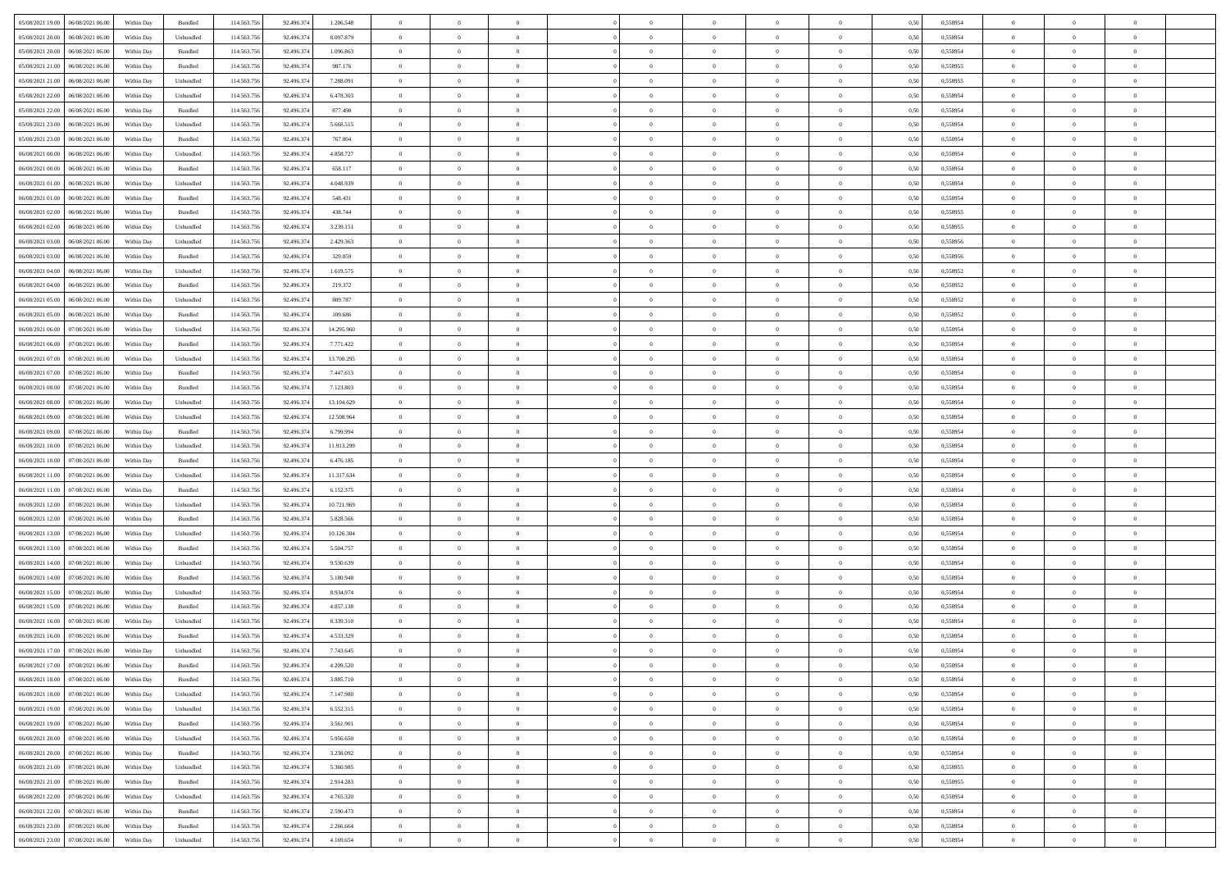|                                      |            |                   |             |            |            | $\overline{0}$ | $\overline{0}$ |                | $\overline{0}$ | $\theta$       |                | $\theta$       |      |          | $\theta$       | $\theta$       | $\theta$       |  |
|--------------------------------------|------------|-------------------|-------------|------------|------------|----------------|----------------|----------------|----------------|----------------|----------------|----------------|------|----------|----------------|----------------|----------------|--|
| 05/08/2021 19:00   06/08/2021 06:00  | Within Day | Bundled           | 114.563.75  | 92.496.374 | 1.206.548  |                |                |                |                |                |                |                | 0,50 | 0,558954 |                |                |                |  |
| 05/08/2021 20:00<br>06/08/2021 06:00 | Within Day | Unbundled         | 114.563.75  | 92.496.37  | 8.097.879  | $\bf{0}$       | $\bf{0}$       | $\bf{0}$       | $\bf{0}$       | $\overline{0}$ | $\overline{0}$ | $\bf{0}$       | 0,50 | 0,558954 | $\,$ 0 $\,$    | $\bf{0}$       | $\overline{0}$ |  |
| 05/08/2021 20:00<br>06/08/2021 06:00 | Within Day | Bundled           | 114,563,75  | 92.496.37  | 1.096.863  | $\overline{0}$ | $\bf{0}$       | $\overline{0}$ | $\bf{0}$       | $\bf{0}$       | $\overline{0}$ | $\bf{0}$       | 0.50 | 0.558954 | $\bf{0}$       | $\overline{0}$ | $\overline{0}$ |  |
| 05/08/2021 21:00<br>06/08/2021 06:00 | Within Day | Bundled           | 114.563.75  | 92.496.374 | 987.176    | $\overline{0}$ | $\overline{0}$ | $\overline{0}$ | $\overline{0}$ | $\theta$       | $\overline{0}$ | $\bf{0}$       | 0,50 | 0,558955 | $\theta$       | $\theta$       | $\overline{0}$ |  |
| 05/08/2021 21:00<br>06/08/2021 06:00 | Within Day | Unbundled         | 114.563.75  | 92.496.37  | 7.288.091  | $\overline{0}$ | $\overline{0}$ | $\bf{0}$       | $\overline{0}$ | $\theta$       | $\overline{0}$ | $\bf{0}$       | 0,50 | 0,558955 | $\,$ 0 $\,$    | $\bf{0}$       | $\overline{0}$ |  |
|                                      |            |                   |             |            |            |                |                |                |                |                |                |                |      |          |                |                |                |  |
| 05/08/2021 22:00<br>06/08/2021 06:00 | Within Day | Unbundled         | 114,563,75  | 92.496.37  | 6.478.303  | $\overline{0}$ | $\overline{0}$ | $\overline{0}$ | $\bf{0}$       | $\overline{0}$ | $\theta$       | $\bf{0}$       | 0.50 | 0.558954 | $\,$ 0 $\,$    | $\theta$       | $\overline{0}$ |  |
| 05/08/2021 22:00<br>06/08/2021 06:00 | Within Day | Bundled           | 114.563.75  | 92.496.374 | 877.490    | $\overline{0}$ | $\overline{0}$ | $\overline{0}$ | $\overline{0}$ | $\overline{0}$ | $\overline{0}$ | $\bf{0}$       | 0,50 | 0,558954 | $\theta$       | $\theta$       | $\overline{0}$ |  |
| 05/08/2021 23:00<br>06/08/2021 06:00 | Within Day | Unbundled         | 114.563.75  | 92.496.37  | 5.668.515  | $\bf{0}$       | $\bf{0}$       | $\bf{0}$       | $\overline{0}$ | $\overline{0}$ | $\overline{0}$ | $\bf{0}$       | 0,50 | 0,558954 | $\,$ 0 $\,$    | $\bf{0}$       | $\overline{0}$ |  |
| 05/08/2021 23:00<br>06/08/2021 06:00 | Within Day | Bundled           | 114,563,75  | 92.496.37  | 767.804    | $\overline{0}$ | $\bf{0}$       | $\overline{0}$ | $\bf{0}$       | $\overline{0}$ | $\overline{0}$ | $\bf{0}$       | 0.50 | 0.558954 | $\bf{0}$       | $\overline{0}$ | $\overline{0}$ |  |
| 06/08/2021 00:00<br>06/08/2021 06:00 | Within Day | Unbundled         | 114.563.756 | 92.496.374 | 4.858.727  | $\overline{0}$ | $\bf{0}$       | $\overline{0}$ | $\overline{0}$ | $\overline{0}$ | $\overline{0}$ | $\bf{0}$       | 0,50 | 0,558954 | $\,$ 0 $\,$    | $\bf{0}$       | $\overline{0}$ |  |
| 06/08/2021 00:00<br>06/08/2021 06:00 | Within Day | Bundled           | 114.563.75  | 92.496.374 | 658.117    | $\bf{0}$       | $\overline{0}$ | $\bf{0}$       | $\bf{0}$       | $\bf{0}$       | $\overline{0}$ | $\bf{0}$       | 0,50 | 0,558954 | $\,$ 0 $\,$    | $\bf{0}$       | $\overline{0}$ |  |
| 06/08/2021 01:00<br>06/08/2021 06:00 | Within Day | Unbundled         | 114,563,75  | 92.496.374 | 4.048.939  | $\overline{0}$ | $\bf{0}$       | $\overline{0}$ | $\overline{0}$ | $\bf{0}$       | $\overline{0}$ | $\bf{0}$       | 0.50 | 0.558954 | $\bf{0}$       | $\overline{0}$ | $\,$ 0         |  |
|                                      |            |                   |             |            |            | $\overline{0}$ |                |                |                |                |                |                |      |          |                | $\theta$       |                |  |
| 06/08/2021 01:00<br>06/08/2021 06:00 | Within Day | Bundled           | 114.563.75  | 92.496.374 | 548.431    |                | $\overline{0}$ | $\overline{0}$ | $\theta$       | $\theta$       | $\overline{0}$ | $\bf{0}$       | 0,50 | 0,558954 | $\,$ 0 $\,$    |                | $\overline{0}$ |  |
| 06/08/2021 02:00<br>06/08/2021 06:00 | Within Day | Bundled           | 114.563.75  | 92.496.374 | 438.744    | $\bf{0}$       | $\overline{0}$ | $\bf{0}$       | $\overline{0}$ | $\bf{0}$       | $\overline{0}$ | $\bf{0}$       | 0,50 | 0,558955 | $\,$ 0 $\,$    | $\bf{0}$       | $\overline{0}$ |  |
| 06/08/2021 02:00<br>06/08/2021 06:00 | Within Day | Unbundled         | 114,563,75  | 92.496.37  | 3.239.151  | $\overline{0}$ | $\overline{0}$ | $\overline{0}$ | $\bf{0}$       | $\overline{0}$ | $\theta$       | $\bf{0}$       | 0.50 | 0.558955 | $\,$ 0 $\,$    | $\theta$       | $\overline{0}$ |  |
| 06/08/2021 03:00<br>06/08/2021 06:00 | Within Day | Unbundled         | 114.563.75  | 92.496.374 | 2.429.363  | $\overline{0}$ | $\overline{0}$ | $\overline{0}$ | $\overline{0}$ | $\overline{0}$ | $\overline{0}$ | $\bf{0}$       | 0,50 | 0,558956 | $\theta$       | $\theta$       | $\overline{0}$ |  |
| 06/08/2021 03:00<br>06/08/2021 06:00 | Within Day | Bundled           | 114.563.75  | 92.496.374 | 329.059    | $\bf{0}$       | $\bf{0}$       | $\bf{0}$       | $\overline{0}$ | $\bf{0}$       | $\overline{0}$ | $\bf{0}$       | 0,50 | 0,558956 | $\,$ 0 $\,$    | $\bf{0}$       | $\overline{0}$ |  |
| 06/08/2021 04:00<br>06/08/2021 06:00 | Within Day | Unbundled         | 114,563,75  | 92.496.37  | 1.619.575  | $\overline{0}$ | $\bf{0}$       | $\overline{0}$ | $\bf{0}$       | $\overline{0}$ | $\overline{0}$ | $\bf{0}$       | 0.50 | 0.558952 | $\bf{0}$       | $\overline{0}$ | $\overline{0}$ |  |
| 06/08/2021 04:00<br>06/08/2021 06:00 | Within Day | Bundled           | 114.563.75  | 92.496.374 | 219.372    | $\overline{0}$ | $\bf{0}$       | $\overline{0}$ | $\overline{0}$ | $\overline{0}$ | $\overline{0}$ | $\bf{0}$       | 0,50 | 0,558952 | $\,$ 0 $\,$    | $\bf{0}$       | $\overline{0}$ |  |
|                                      |            |                   |             |            |            |                |                |                |                |                |                |                |      |          |                |                |                |  |
| 06/08/2021 05:00<br>06/08/2021 06:00 | Within Day | Unbundled         | 114.563.75  | 92.496.37  | 809.787    | $\bf{0}$       | $\bf{0}$       | $\bf{0}$       | $\bf{0}$       | $\overline{0}$ | $\overline{0}$ | $\bf{0}$       | 0,50 | 0,558952 | $\,$ 0 $\,$    | $\bf{0}$       | $\overline{0}$ |  |
| 06/08/2021 05:00<br>06/08/2021 06:00 | Within Day | Bundled           | 114,563,75  | 92.496.374 | 109,686    | $\overline{0}$ | $\bf{0}$       | $\overline{0}$ | $\overline{0}$ | $\bf{0}$       | $\overline{0}$ | $\bf{0}$       | 0.50 | 0.558952 | $\bf{0}$       | $\overline{0}$ | $\,$ 0         |  |
| 06/08/2021 06:00<br>07/08/2021 06:00 | Within Day | Unbundled         | 114.563.75  | 92.496.374 | 14.295.960 | $\overline{0}$ | $\overline{0}$ | $\overline{0}$ | $\overline{0}$ | $\theta$       | $\overline{0}$ | $\bf{0}$       | 0,50 | 0,558954 | $\theta$       | $\theta$       | $\overline{0}$ |  |
| 06/08/2021 06:00<br>07/08/2021 06.00 | Within Day | Bundled           | 114.563.75  | 92.496.37  | 7.771.422  | $\bf{0}$       | $\overline{0}$ | $\bf{0}$       | $\bf{0}$       | $\,$ 0 $\,$    | $\overline{0}$ | $\bf{0}$       | 0,50 | 0,558954 | $\,$ 0 $\,$    | $\bf{0}$       | $\overline{0}$ |  |
| 06/08/2021 07:00<br>07/08/2021 06:00 | Within Day | Unbundled         | 114,563,75  | 92.496.37  | 13.700.295 | $\overline{0}$ | $\overline{0}$ | $\overline{0}$ | $\bf{0}$       | $\overline{0}$ | $\theta$       | $\bf{0}$       | 0.50 | 0.558954 | $\,$ 0 $\,$    | $\theta$       | $\overline{0}$ |  |
| 06/08/2021 07:00<br>07/08/2021 06:00 | Within Day | Bundled           | 114.563.75  | 92.496.374 | 7.447.613  | $\overline{0}$ | $\overline{0}$ | $\overline{0}$ | $\overline{0}$ | $\overline{0}$ | $\overline{0}$ | $\bf{0}$       | 0,50 | 0,558954 | $\,$ 0 $\,$    | $\theta$       | $\overline{0}$ |  |
| 06/08/2021 08:00<br>07/08/2021 06.00 | Within Day | Bundled           | 114.563.75  | 92.496.37  | 7.123.803  | $\bf{0}$       | $\overline{0}$ | $\bf{0}$       | $\overline{0}$ | $\bf{0}$       | $\overline{0}$ | $\bf{0}$       | 0,50 | 0,558954 | $\,$ 0 $\,$    | $\bf{0}$       | $\overline{0}$ |  |
| 06/08/2021 08:00<br>07/08/2021 06:00 | Within Day | Unbundled         | 114,563,75  | 92.496.37  | 13.104.629 | $\overline{0}$ | $\bf{0}$       | $\overline{0}$ | $\bf{0}$       | $\overline{0}$ | $\overline{0}$ | $\bf{0}$       | 0.50 | 0.558954 | $\bf{0}$       | $\overline{0}$ | $\overline{0}$ |  |
| 06/08/2021 09:00<br>07/08/2021 06:00 | Within Day | Unbundled         | 114.563.75  | 92.496.374 | 12.508.964 | $\overline{0}$ | $\bf{0}$       | $\overline{0}$ | $\overline{0}$ | $\overline{0}$ | $\overline{0}$ | $\bf{0}$       | 0,50 | 0,558954 | $\theta$       | $\theta$       | $\overline{0}$ |  |
|                                      |            |                   |             |            |            |                |                |                |                |                |                |                |      |          |                |                |                |  |
| 06/08/2021 09:00<br>07/08/2021 06.00 | Within Day | Bundled           | 114.563.75  | 92.496.374 | 6.799.994  | $\bf{0}$       | $\bf{0}$       | $\bf{0}$       | $\bf{0}$       | $\overline{0}$ | $\overline{0}$ | $\bf{0}$       | 0,50 | 0,558954 | $\,$ 0 $\,$    | $\bf{0}$       | $\overline{0}$ |  |
| 06/08/2021 10:00<br>07/08/2021 06:00 | Within Day | Unbundled         | 114,563,75  | 92.496.37  | 11.913.299 | $\overline{0}$ | $\bf{0}$       | $\overline{0}$ | $\bf{0}$       | $\bf{0}$       | $\overline{0}$ | $\bf{0}$       | 0.50 | 0.558954 | $\bf{0}$       | $\overline{0}$ | $\bf{0}$       |  |
| 06/08/2021 10:00<br>07/08/2021 06:00 | Within Day | Bundled           | 114.563.75  | 92.496.37  | 6.476.185  | $\overline{0}$ | $\overline{0}$ | $\overline{0}$ | $\overline{0}$ | $\overline{0}$ | $\overline{0}$ | $\bf{0}$       | 0.50 | 0.558954 | $\theta$       | $\theta$       | $\overline{0}$ |  |
| 06/08/2021 11:00<br>07/08/2021 06.00 | Within Day | Unbundled         | 114.563.75  | 92.496.37  | 11.317.634 | $\bf{0}$       | $\overline{0}$ | $\bf{0}$       | $\bf{0}$       | $\,$ 0 $\,$    | $\overline{0}$ | $\bf{0}$       | 0,50 | 0,558954 | $\,$ 0 $\,$    | $\bf{0}$       | $\overline{0}$ |  |
| 06/08/2021 11:00<br>07/08/2021 06:00 | Within Day | Bundled           | 114,563,75  | 92.496.37  | 6.152.375  | $\overline{0}$ | $\bf{0}$       | $\overline{0}$ | $\bf{0}$       | $\overline{0}$ | $\Omega$       | $\bf{0}$       | 0.50 | 0.558954 | $\,$ 0 $\,$    | $\bf{0}$       | $\overline{0}$ |  |
| 06/08/2021 12:00<br>07/08/2021 06:00 | Within Dav | Unbundled         | 114.563.75  | 92.496.374 | 10.721.969 | $\overline{0}$ | $\overline{0}$ | $\overline{0}$ | $\overline{0}$ | $\theta$       | $\overline{0}$ | $\bf{0}$       | 0.50 | 0,558954 | $\theta$       | $\theta$       | $\overline{0}$ |  |
| 06/08/2021 12:00<br>07/08/2021 06.00 | Within Day | Bundled           | 114.563.75  | 92.496.37  | 5.828.566  | $\bf{0}$       | $\bf{0}$       | $\bf{0}$       | $\bf{0}$       | $\overline{0}$ | $\overline{0}$ | $\bf{0}$       | 0,50 | 0,558954 | $\,$ 0 $\,$    | $\bf{0}$       | $\overline{0}$ |  |
| 06/08/2021 13:00<br>07/08/2021 06:00 | Within Day | Unbundled         | 114,563,75  | 92.496.37  | 10.126.304 | $\overline{0}$ | $\bf{0}$       | $\overline{0}$ | $\bf{0}$       | $\overline{0}$ | $\overline{0}$ | $\bf{0}$       | 0.50 | 0.558954 | $\bf{0}$       | $\overline{0}$ | $\overline{0}$ |  |
|                                      |            |                   |             |            |            |                |                |                |                |                |                |                |      |          |                |                |                |  |
| 06/08/2021 13:00<br>07/08/2021 06:00 | Within Dav | Bundled           | 114.563.75  | 92.496.374 | 5.504.757  | $\overline{0}$ | $\overline{0}$ | $\overline{0}$ | $\overline{0}$ | $\overline{0}$ | $\overline{0}$ | $\bf{0}$       | 0.50 | 0,558954 | $\theta$       | $\theta$       | $\overline{0}$ |  |
| 06/08/2021 14:00<br>07/08/2021 06.00 | Within Day | Unbundled         | 114.563.75  | 92.496.37  | 9.530.639  | $\bf{0}$       | $\bf{0}$       | $\bf{0}$       | $\bf{0}$       | $\overline{0}$ | $\overline{0}$ | $\bf{0}$       | 0,50 | 0,558954 | $\,$ 0 $\,$    | $\bf{0}$       | $\overline{0}$ |  |
| 06/08/2021 14:00<br>07/08/2021 06:00 | Within Day | Bundled           | 114,563,75  | 92.496.374 | 5.180.948  | $\overline{0}$ | $\bf{0}$       | $\overline{0}$ | $\overline{0}$ | $\bf{0}$       | $\overline{0}$ | $\bf{0}$       | 0.50 | 0.558954 | $\bf{0}$       | $\overline{0}$ | $\overline{0}$ |  |
| 06/08/2021 15:00<br>07/08/2021 06:00 | Within Dav | Unbundled         | 114.563.75  | 92.496.374 | 8.934.974  | $\overline{0}$ | $\overline{0}$ | $\overline{0}$ | $\overline{0}$ | $\overline{0}$ | $\overline{0}$ | $\bf{0}$       | 0.50 | 0.558954 | $\theta$       | $\theta$       | $\overline{0}$ |  |
| 06/08/2021 15:00<br>07/08/2021 06.00 | Within Day | Bundled           | 114.563.75  | 92.496.374 | 4.857.138  | $\bf{0}$       | $\bf{0}$       | $\bf{0}$       | $\bf{0}$       | $\overline{0}$ | $\overline{0}$ | $\bf{0}$       | 0,50 | 0,558954 | $\,$ 0 $\,$    | $\bf{0}$       | $\overline{0}$ |  |
| 06/08/2021 16:00<br>07/08/2021 06:00 | Within Day | Unbundled         | 114,563,75  | 92.496.37  | 8.339.310  | $\overline{0}$ | $\overline{0}$ | $\overline{0}$ | $\bf{0}$       | $\overline{0}$ | $\Omega$       | $\bf{0}$       | 0.50 | 0.558954 | $\bf{0}$       | $\theta$       | $\overline{0}$ |  |
| 06/08/2021 16:00<br>07/08/2021 06:00 | Within Dav | Bundled           | 114.563.75  | 92.496.374 | 4.533.329  | $\overline{0}$ | $\overline{0}$ | $\Omega$       | $\overline{0}$ | $\theta$       | $\overline{0}$ | $\overline{0}$ | 0.5( | 0,558954 | $\theta$       | $\theta$       | $\overline{0}$ |  |
| 06/08/2021 17:00<br>07/08/2021 06:00 | Within Day | Unbundled         | 114.563.75  | 92.496.374 | 7.743.645  | $\bf{0}$       | $\bf{0}$       | $\bf{0}$       | $\bf{0}$       | $\bf{0}$       | $\overline{0}$ | $\bf{0}$       | 0,50 | 0,558954 | $\overline{0}$ | $\overline{0}$ | $\overline{0}$ |  |
| 06/08/2021 17:00 07/08/2021 06:00    | Within Day | Bundled           | 114.563.756 | 92.496.374 | 4.209.520  | $\bf{0}$       | $\theta$       |                | $\Omega$       |                |                |                | 0,50 | 0.558954 | $\theta$       | $\overline{0}$ |                |  |
|                                      |            |                   |             |            |            |                |                |                |                |                |                |                |      |          |                |                |                |  |
| 06/08/2021 18:00 07/08/2021 06:00    | Within Day | Bundled           | 114.563.756 | 92.496.374 | 3.885.710  | $\overline{0}$ | $\overline{0}$ | $\Omega$       | $\theta$       | $\overline{0}$ | $\overline{0}$ | $\bf{0}$       | 0,50 | 0,558954 | $\theta$       | $\theta$       | $\overline{0}$ |  |
| 06/08/2021 18:00<br>07/08/2021 06:00 | Within Day | Unbundled         | 114.563.75  | 92.496.37  | 7.147.980  | $\overline{0}$ | $\bf{0}$       | $\overline{0}$ | $\overline{0}$ | $\bf{0}$       | $\overline{0}$ | $\bf{0}$       | 0,50 | 0,558954 | $\bf{0}$       | $\overline{0}$ | $\bf{0}$       |  |
| 06/08/2021 19:00 07/08/2021 06:00    | Within Day | Unbundled         | 114,563,756 | 92,496,374 | 6.552.315  | $\overline{0}$ | $\bf{0}$       | $\overline{0}$ | $\overline{0}$ | $\mathbf{0}$   | $\overline{0}$ | $\,$ 0 $\,$    | 0.50 | 0.558954 | $\overline{0}$ | $\bf{0}$       | $\,$ 0 $\,$    |  |
| 06/08/2021 19:00 07/08/2021 06:00    | Within Day | Bundled           | 114.563.756 | 92.496.374 | 3.561.901  | $\overline{0}$ | $\overline{0}$ | $\overline{0}$ | $\overline{0}$ | $\overline{0}$ | $\overline{0}$ | $\bf{0}$       | 0,50 | 0,558954 | $\theta$       | $\theta$       | $\overline{0}$ |  |
| 06/08/2021 20:00<br>07/08/2021 06:00 | Within Day | Unbundled         | 114.563.75  | 92.496.374 | 5.956.650  | $\overline{0}$ | $\bf{0}$       | $\overline{0}$ | $\overline{0}$ | $\bf{0}$       | $\overline{0}$ | $\bf{0}$       | 0,50 | 0,558954 | $\bf{0}$       | $\overline{0}$ | $\overline{0}$ |  |
| 06/08/2021 20:00 07/08/2021 06:00    | Within Day | Bundled           | 114.563.756 | 92.496.374 | 3.238.092  | $\overline{0}$ | $\bf{0}$       | $\overline{0}$ | $\overline{0}$ | $\bf{0}$       | $\overline{0}$ | $\bf{0}$       | 0.50 | 0.558954 | $\,$ 0 $\,$    | $\overline{0}$ | $\,$ 0         |  |
| 06/08/2021 21:00 07/08/2021 06:00    | Within Dav | Unbundled         | 114.563.756 | 92.496.374 | 5.360.985  | $\overline{0}$ | $\overline{0}$ | $\overline{0}$ | $\overline{0}$ | $\overline{0}$ | $\overline{0}$ | $\bf{0}$       | 0.50 | 0,558955 | $\overline{0}$ | $\theta$       | $\overline{0}$ |  |
|                                      |            |                   |             |            |            |                |                |                |                |                |                |                |      |          |                |                |                |  |
| 06/08/2021 21:00<br>07/08/2021 06:00 | Within Day | Bundled           | 114.563.75  | 92.496.374 | 2.914.283  | $\overline{0}$ | $\overline{0}$ | $\overline{0}$ | $\overline{0}$ | $\overline{0}$ | $\overline{0}$ | $\bf{0}$       | 0,50 | 0,558955 | $\bf{0}$       | $\overline{0}$ | $\overline{0}$ |  |
| 06/08/2021 22:00 07/08/2021 06:00    | Within Day | Unbundled         | 114.563.75  | 92,496,374 | 4.765.320  | $\overline{0}$ | $\overline{0}$ | $\overline{0}$ | $\overline{0}$ | $\overline{0}$ | $\overline{0}$ | $\bf{0}$       | 0.50 | 0.558954 | $\mathbf{0}$   | $\bf{0}$       | $\,$ 0         |  |
| 06/08/2021 22:00 07/08/2021 06:00    | Within Dav | Bundled           | 114.563.756 | 92.496.374 | 2.590.473  | $\overline{0}$ | $\overline{0}$ | $\overline{0}$ | $\overline{0}$ | $\overline{0}$ | $\overline{0}$ | $\bf{0}$       | 0,50 | 0,558954 | $\overline{0}$ | $\theta$       | $\overline{0}$ |  |
| 06/08/2021 23:00<br>07/08/2021 06:00 | Within Day | Bundled           | 114.563.75  | 92.496.374 | 2.266.664  | $\overline{0}$ | $\bf{0}$       | $\overline{0}$ | $\overline{0}$ | $\overline{0}$ | $\overline{0}$ | $\bf{0}$       | 0,50 | 0,558954 | $\bf{0}$       | $\,0\,$        | $\bf{0}$       |  |
| 06/08/2021 23:00 07/08/2021 06:00    | Within Day | ${\sf Unbundred}$ | 114.563.756 | 92.496.374 | 4.169.654  | $\overline{0}$ | $\bf{0}$       | $\overline{0}$ | $\overline{0}$ | $\,$ 0 $\,$    | $\overline{0}$ | $\bf{0}$       | 0,50 | 0,558954 | $\overline{0}$ | $\,$ 0 $\,$    | $\,$ 0 $\,$    |  |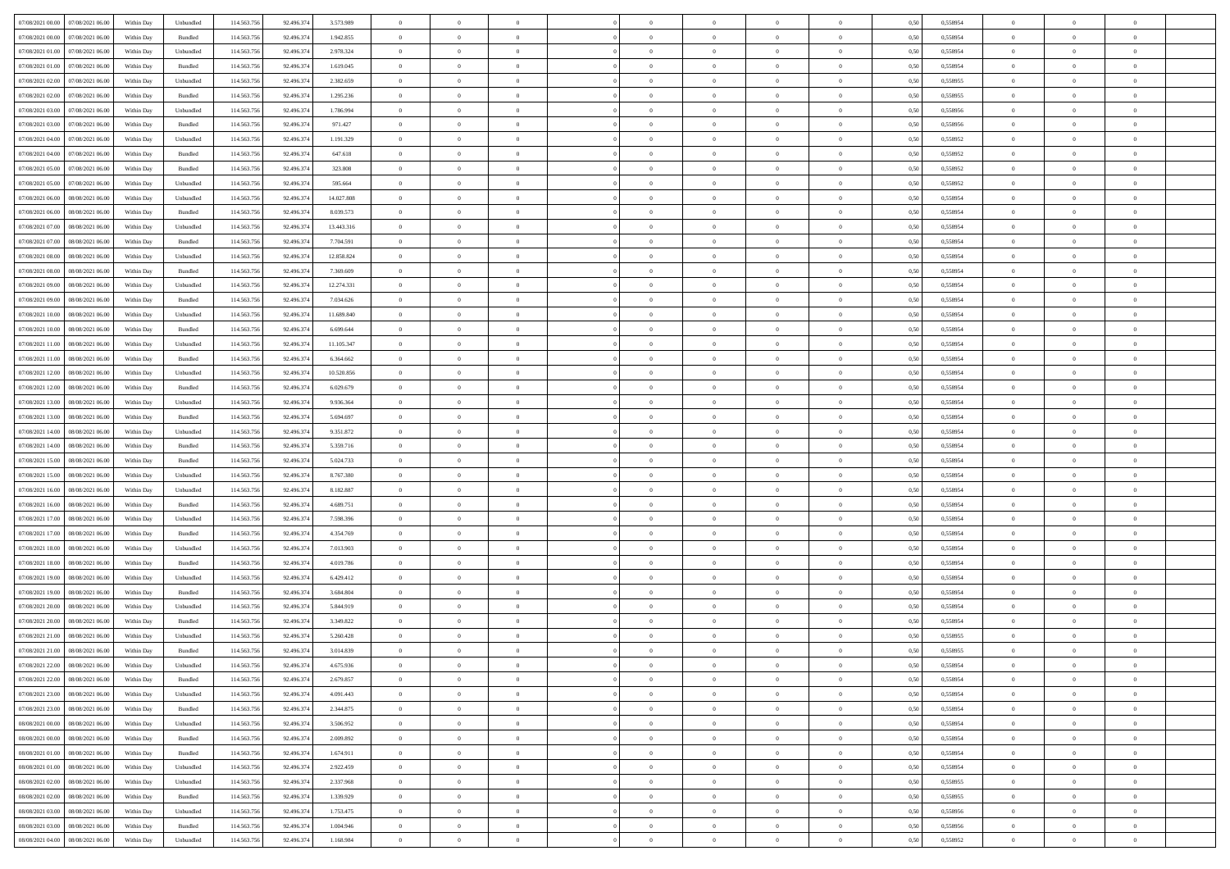| 07/08/2021 00:00 07/08/2021 06:00                                                                 | Within Day | Unbundled                   | 114.563.75  | 92.496.374 | 3.573.989  | $\overline{0}$ | $\overline{0}$ |                | $\overline{0}$ | $\theta$       |                | $\theta$       | 0,50 | 0,558954 | $\theta$       | $\theta$       | $\overline{0}$ |  |
|---------------------------------------------------------------------------------------------------|------------|-----------------------------|-------------|------------|------------|----------------|----------------|----------------|----------------|----------------|----------------|----------------|------|----------|----------------|----------------|----------------|--|
| 07/08/2021 00:00<br>07/08/2021 06:00                                                              | Within Day | Bundled                     | 114.563.75  | 92.496.37  | 1.942.855  | $\bf{0}$       | $\bf{0}$       | $\bf{0}$       | $\overline{0}$ | $\overline{0}$ | $\overline{0}$ | $\bf{0}$       | 0,50 | 0,558954 | $\,$ 0 $\,$    | $\bf{0}$       | $\overline{0}$ |  |
| 07/08/2021 01:00<br>07/08/2021 06:00                                                              | Within Day | Unbundled                   | 114,563,75  | 92.496.37  | 2.978.324  | $\overline{0}$ | $\bf{0}$       | $\overline{0}$ | $\bf{0}$       | $\bf{0}$       | $\overline{0}$ | $\bf{0}$       | 0.50 | 0.558954 | $\bf{0}$       | $\overline{0}$ | $\overline{0}$ |  |
| 07/08/2021 01:00<br>07/08/2021 06:00                                                              | Within Day | Bundled                     | 114.563.75  | 92.496.374 | 1.619.045  | $\overline{0}$ | $\bf{0}$       | $\overline{0}$ | $\overline{0}$ | $\theta$       | $\overline{0}$ | $\bf{0}$       | 0,50 | 0,558954 | $\theta$       | $\theta$       | $\overline{0}$ |  |
|                                                                                                   |            |                             |             |            |            |                |                |                |                |                |                |                |      |          |                |                |                |  |
| 07/08/2021 02:00<br>07/08/2021 06.00                                                              | Within Day | Unbundled                   | 114.563.75  | 92.496.37  | 2.382.659  | $\bf{0}$       | $\overline{0}$ | $\bf{0}$       | $\overline{0}$ | $\theta$       | $\overline{0}$ | $\bf{0}$       | 0,50 | 0,558955 | $\,$ 0 $\,$    | $\bf{0}$       | $\overline{0}$ |  |
| 07/08/2021 02:00<br>07/08/2021 06:00                                                              | Within Day | Bundled                     | 114,563,75  | 92.496.37  | 1.295.236  | $\overline{0}$ | $\overline{0}$ | $\overline{0}$ | $\bf{0}$       | $\overline{0}$ | $\theta$       | $\bf{0}$       | 0.50 | 0.558955 | $\,$ 0 $\,$    | $\theta$       | $\overline{0}$ |  |
| 07/08/2021 03:00<br>07/08/2021 06:00                                                              | Within Day | Unbundled                   | 114.563.75  | 92.496.374 | 1.786.994  | $\overline{0}$ | $\overline{0}$ | $\overline{0}$ | $\overline{0}$ | $\overline{0}$ | $\overline{0}$ | $\bf{0}$       | 0,50 | 0,558956 | $\,$ 0 $\,$    | $\theta$       | $\overline{0}$ |  |
| 07/08/2021 03:00<br>07/08/2021 06.00                                                              | Within Day | Bundled                     | 114.563.75  | 92.496.37  | 971.427    | $\bf{0}$       | $\bf{0}$       | $\bf{0}$       | $\overline{0}$ | $\overline{0}$ | $\overline{0}$ | $\bf{0}$       | 0,50 | 0,558956 | $\,$ 0 $\,$    | $\bf{0}$       | $\overline{0}$ |  |
| 07/08/2021 04:00<br>07/08/2021 06:00                                                              | Within Day | Unbundled                   | 114,563,75  | 92.496.37  | 1.191.329  | $\overline{0}$ | $\bf{0}$       | $\overline{0}$ | $\bf{0}$       | $\overline{0}$ | $\overline{0}$ | $\bf{0}$       | 0.50 | 0.558952 | $\bf{0}$       | $\overline{0}$ | $\overline{0}$ |  |
| 07/08/2021 04:00<br>07/08/2021 06:00                                                              | Within Day | Bundled                     | 114.563.75  | 92.496.374 | 647.618    | $\bf{0}$       | $\bf{0}$       | $\overline{0}$ | $\overline{0}$ | $\overline{0}$ | $\overline{0}$ | $\bf{0}$       | 0,50 | 0,558952 | $\,$ 0 $\,$    | $\bf{0}$       | $\overline{0}$ |  |
|                                                                                                   |            |                             |             |            |            |                |                |                |                |                |                |                |      |          |                |                |                |  |
| 07/08/2021 05:00<br>07/08/2021 06.00                                                              | Within Day | Bundled                     | 114.563.75  | 92.496.37  | 323.808    | $\bf{0}$       | $\overline{0}$ | $\bf{0}$       | $\bf{0}$       | $\bf{0}$       | $\overline{0}$ | $\bf{0}$       | 0,50 | 0,558952 | $\,$ 0 $\,$    | $\bf{0}$       | $\overline{0}$ |  |
| 07/08/2021 05:00<br>07/08/2021 06:00                                                              | Within Day | Unbundled                   | 114,563,75  | 92.496.374 | 595.664    | $\overline{0}$ | $\bf{0}$       | $\overline{0}$ | $\overline{0}$ | $\bf{0}$       | $\overline{0}$ | $\bf{0}$       | 0.50 | 0.558952 | $\bf{0}$       | $\overline{0}$ | $\overline{0}$ |  |
| 07/08/2021 06:00<br>08/08/2021 06:00                                                              | Within Day | Unbundled                   | 114.563.75  | 92.496.374 | 14.027.808 | $\overline{0}$ | $\overline{0}$ | $\overline{0}$ | $\theta$       | $\theta$       | $\overline{0}$ | $\bf{0}$       | 0,50 | 0,558954 | $\,$ 0 $\,$    | $\theta$       | $\overline{0}$ |  |
| 07/08/2021 06:00<br>08/08/2021 06:00                                                              | Within Day | Bundled                     | 114.563.75  | 92.496.37  | 8.039.573  | $\bf{0}$       | $\overline{0}$ | $\bf{0}$       | $\overline{0}$ | $\theta$       | $\overline{0}$ | $\bf{0}$       | 0,50 | 0,558954 | $\bf{0}$       | $\bf{0}$       | $\overline{0}$ |  |
| 07/08/2021 07:00<br>08/08/2021 06:00                                                              | Within Day | Unbundled                   | 114,563,75  | 92.496.37  | 13.443.316 | $\overline{0}$ | $\overline{0}$ | $\overline{0}$ | $\bf{0}$       | $\overline{0}$ | $\Omega$       | $\bf{0}$       | 0.50 | 0.558954 | $\,$ 0 $\,$    | $\theta$       | $\overline{0}$ |  |
|                                                                                                   |            |                             |             |            |            |                |                |                |                |                |                |                |      |          |                |                |                |  |
| 07/08/2021 07:00<br>08/08/2021 06:00                                                              | Within Day | Bundled                     | 114.563.75  | 92.496.374 | 7.704.591  | $\overline{0}$ | $\overline{0}$ | $\overline{0}$ | $\overline{0}$ | $\overline{0}$ | $\overline{0}$ | $\bf{0}$       | 0,50 | 0,558954 | $\theta$       | $\theta$       | $\overline{0}$ |  |
| 07/08/2021 08:00<br>08/08/2021 06:00                                                              | Within Day | Unbundled                   | 114.563.75  | 92.496.37  | 12.858.824 | $\bf{0}$       | $\overline{0}$ | $\bf{0}$       | $\overline{0}$ | $\theta$       | $\overline{0}$ | $\bf{0}$       | 0,50 | 0,558954 | $\,$ 0 $\,$    | $\bf{0}$       | $\overline{0}$ |  |
| 07/08/2021 08:00<br>08/08/2021 06:00                                                              | Within Day | Bundled                     | 114,563,75  | 92.496.37  | 7.369.609  | $\overline{0}$ | $\bf{0}$       | $\overline{0}$ | $\bf{0}$       | $\overline{0}$ | $\overline{0}$ | $\bf{0}$       | 0.50 | 0.558954 | $\bf{0}$       | $\overline{0}$ | $\overline{0}$ |  |
| 07/08/2021 09:00<br>08/08/2021 06:00                                                              | Within Day | Unbundled                   | 114.563.75  | 92.496.374 | 12.274.331 | $\bf{0}$       | $\bf{0}$       | $\overline{0}$ | $\overline{0}$ | $\overline{0}$ | $\overline{0}$ | $\bf{0}$       | 0,50 | 0,558954 | $\,$ 0 $\,$    | $\bf{0}$       | $\overline{0}$ |  |
| 07/08/2021 09:00<br>08/08/2021 06:00                                                              | Within Day | Bundled                     | 114.563.75  | 92.496.37  | 7.034.626  | $\bf{0}$       | $\bf{0}$       | $\bf{0}$       | $\bf{0}$       | $\overline{0}$ | $\overline{0}$ | $\bf{0}$       | 0,50 | 0,558954 | $\,$ 0 $\,$    | $\bf{0}$       | $\overline{0}$ |  |
| 07/08/2021 10:00<br>08/08/2021 06:00                                                              | Within Day | Unbundled                   | 114.563.75  | 92.496.37  | 11.689.840 | $\overline{0}$ | $\bf{0}$       | $\overline{0}$ | $\overline{0}$ | $\bf{0}$       | $\overline{0}$ | $\bf{0}$       | 0.50 | 0.558954 | $\bf{0}$       | $\overline{0}$ | $\overline{0}$ |  |
| 07/08/2021 10:00<br>08/08/2021 06:00                                                              | Within Day | Bundled                     | 114.563.75  | 92.496.374 | 6.699.644  | $\overline{0}$ | $\overline{0}$ | $\overline{0}$ | $\overline{0}$ | $\theta$       | $\overline{0}$ | $\bf{0}$       | 0,50 | 0,558954 | $\theta$       | $\theta$       | $\overline{0}$ |  |
|                                                                                                   |            |                             |             |            |            |                |                |                |                |                |                |                |      |          |                |                |                |  |
| 07/08/2021 11:00<br>08/08/2021 06:00                                                              | Within Day | Unbundled                   | 114.563.75  | 92.496.37  | 11.105.347 | $\bf{0}$       | $\overline{0}$ | $\bf{0}$       | $\bf{0}$       | $\,$ 0 $\,$    | $\overline{0}$ | $\bf{0}$       | 0,50 | 0,558954 | $\,$ 0 $\,$    | $\bf{0}$       | $\overline{0}$ |  |
| 07/08/2021 11:00<br>08/08/2021 06:00                                                              | Within Day | Bundled                     | 114,563,75  | 92.496.37  | 6.364.662  | $\overline{0}$ | $\overline{0}$ | $\overline{0}$ | $\bf{0}$       | $\overline{0}$ | $\Omega$       | $\bf{0}$       | 0.50 | 0.558954 | $\,$ 0 $\,$    | $\theta$       | $\overline{0}$ |  |
| 07/08/2021 12:00<br>08/08/2021 06:00                                                              | Within Day | Unbundled                   | 114.563.75  | 92.496.374 | 10.520.856 | $\overline{0}$ | $\overline{0}$ | $\overline{0}$ | $\overline{0}$ | $\overline{0}$ | $\overline{0}$ | $\bf{0}$       | 0,50 | 0,558954 | $\,$ 0 $\,$    | $\theta$       | $\overline{0}$ |  |
| 07/08/2021 12:00<br>08/08/2021 06:00                                                              | Within Day | Bundled                     | 114.563.75  | 92.496.37  | 6.029.679  | $\bf{0}$       | $\overline{0}$ | $\bf{0}$       | $\overline{0}$ | $\theta$       | $\overline{0}$ | $\bf{0}$       | 0,50 | 0,558954 | $\,$ 0 $\,$    | $\bf{0}$       | $\overline{0}$ |  |
| 07/08/2021 13:00<br>08/08/2021 06:00                                                              | Within Day | Unbundled                   | 114,563,75  | 92.496.37  | 9.936.364  | $\overline{0}$ | $\bf{0}$       | $\overline{0}$ | $\bf{0}$       | $\overline{0}$ | $\overline{0}$ | $\bf{0}$       | 0.50 | 0.558954 | $\bf{0}$       | $\overline{0}$ | $\overline{0}$ |  |
| 07/08/2021 13:00<br>08/08/2021 06:00                                                              | Within Day | Bundled                     | 114.563.756 | 92.496.374 | 5.694.697  | $\overline{0}$ | $\bf{0}$       | $\overline{0}$ | $\overline{0}$ | $\overline{0}$ | $\overline{0}$ | $\bf{0}$       | 0,50 | 0,558954 | $\theta$       | $\theta$       | $\overline{0}$ |  |
|                                                                                                   |            |                             |             |            |            |                |                |                |                |                |                |                |      |          |                |                |                |  |
| 07/08/2021 14:00<br>08/08/2021 06:00                                                              | Within Day | Unbundled                   | 114.563.75  | 92.496.37  | 9.351.872  | $\bf{0}$       | $\bf{0}$       | $\bf{0}$       | $\bf{0}$       | $\overline{0}$ | $\overline{0}$ | $\bf{0}$       | 0,50 | 0,558954 | $\,$ 0 $\,$    | $\bf{0}$       | $\overline{0}$ |  |
| 07/08/2021 14:00<br>08/08/2021 06:00                                                              | Within Day | Bundled                     | 114,563,75  | 92.496.37  | 5.359.716  | $\overline{0}$ | $\bf{0}$       | $\overline{0}$ | $\bf{0}$       | $\bf{0}$       | $\overline{0}$ | $\bf{0}$       | 0.50 | 0.558954 | $\bf{0}$       | $\overline{0}$ | $\overline{0}$ |  |
| 07/08/2021 15:00<br>08/08/2021 06:00                                                              | Within Day | Bundled                     | 114.563.75  | 92.496.37  | 5.024.733  | $\overline{0}$ | $\overline{0}$ | $\overline{0}$ | $\overline{0}$ | $\overline{0}$ | $\overline{0}$ | $\bf{0}$       | 0.50 | 0.558954 | $\theta$       | $\theta$       | $\overline{0}$ |  |
| 07/08/2021 15:00<br>08/08/2021 06:00                                                              | Within Day | Unbundled                   | 114.563.75  | 92.496.37  | 8.767.380  | $\bf{0}$       | $\overline{0}$ | $\bf{0}$       | $\bf{0}$       | $\overline{0}$ | $\overline{0}$ | $\bf{0}$       | 0,50 | 0,558954 | $\,$ 0 $\,$    | $\bf{0}$       | $\overline{0}$ |  |
| 07/08/2021 16:00<br>08/08/2021 06:00                                                              | Within Day | Unbundled                   | 114,563,75  | 92.496.37  | 8.182.887  | $\overline{0}$ | $\bf{0}$       | $\overline{0}$ | $\bf{0}$       | $\overline{0}$ | $\Omega$       | $\bf{0}$       | 0.50 | 0.558954 | $\,$ 0 $\,$    | $\theta$       | $\overline{0}$ |  |
| 07/08/2021 16:00<br>08/08/2021 06:00                                                              | Within Dav | Bundled                     | 114.563.75  | 92.496.374 | 4.689.751  | $\overline{0}$ | $\overline{0}$ | $\overline{0}$ | $\overline{0}$ | $\theta$       | $\overline{0}$ | $\bf{0}$       | 0.50 | 0,558954 | $\theta$       | $\theta$       | $\overline{0}$ |  |
| 07/08/2021 17:00<br>08/08/2021 06:00                                                              | Within Day | Unbundled                   | 114.563.75  | 92.496.37  | 7.598.396  | $\bf{0}$       | $\bf{0}$       | $\bf{0}$       | $\bf{0}$       | $\bf{0}$       | $\overline{0}$ | $\bf{0}$       | 0,50 | 0,558954 | $\,$ 0 $\,$    | $\bf{0}$       | $\overline{0}$ |  |
| 08/08/2021 06:00                                                                                  |            | Bundled                     | 114,563,75  |            | 4.354.769  |                |                |                |                |                | $\overline{0}$ |                |      |          |                |                |                |  |
| 07/08/2021 17:00                                                                                  | Within Day |                             |             | 92.496.37  |            | $\overline{0}$ | $\bf{0}$       | $\overline{0}$ | $\bf{0}$       | $\overline{0}$ |                | $\bf{0}$       | 0.50 | 0.558954 | $\bf{0}$       | $\overline{0}$ | $\overline{0}$ |  |
| 07/08/2021 18:00<br>08/08/2021 06:00                                                              | Within Dav | Unbundled                   | 114.563.75  | 92.496.374 | 7.013.903  | $\overline{0}$ | $\overline{0}$ | $\overline{0}$ | $\overline{0}$ | $\overline{0}$ | $\overline{0}$ | $\overline{0}$ | 0.50 | 0,558954 | $\theta$       | $\theta$       | $\overline{0}$ |  |
| 07/08/2021 18:00<br>08/08/2021 06:00                                                              | Within Day | Bundled                     | 114.563.75  | 92.496.37  | 4.019.786  | $\bf{0}$       | $\bf{0}$       | $\bf{0}$       | $\bf{0}$       | $\overline{0}$ | $\overline{0}$ | $\bf{0}$       | 0,50 | 0,558954 | $\,$ 0 $\,$    | $\bf{0}$       | $\overline{0}$ |  |
| 07/08/2021 19:00<br>08/08/2021 06:00                                                              | Within Day | Unbundled                   | 114.563.75  | 92.496.37  | 6.429.412  | $\overline{0}$ | $\bf{0}$       | $\overline{0}$ | $\overline{0}$ | $\bf{0}$       | $\overline{0}$ | $\bf{0}$       | 0.50 | 0.558954 | $\bf{0}$       | $\overline{0}$ | $\overline{0}$ |  |
| 07/08/2021 19:00<br>08/08/2021 06:00                                                              | Within Dav | Bundled                     | 114.563.75  | 92.496.374 | 3.684.804  | $\overline{0}$ | $\overline{0}$ | $\overline{0}$ | $\overline{0}$ | $\overline{0}$ | $\overline{0}$ | $\bf{0}$       | 0.50 | 0.558954 | $\theta$       | $\theta$       | $\overline{0}$ |  |
| 07/08/2021 20:00<br>08/08/2021 06:00                                                              | Within Day | Unbundled                   | 114.563.75  | 92.496.374 | 5.844.919  | $\bf{0}$       | $\bf{0}$       | $\bf{0}$       | $\bf{0}$       | $\overline{0}$ | $\overline{0}$ | $\bf{0}$       | 0,50 | 0,558954 | $\,$ 0 $\,$    | $\bf{0}$       | $\overline{0}$ |  |
| 07/08/2021 20:00<br>08/08/2021 06:00                                                              | Within Day | Bundled                     | 114,563,75  | 92.496.37  | 3.349.822  | $\overline{0}$ | $\overline{0}$ | $\overline{0}$ | $\bf{0}$       | $\theta$       | $\Omega$       | $\bf{0}$       | 0.50 | 0.558954 | $\bf{0}$       | $\theta$       | $\overline{0}$ |  |
| 07/08/2021 21:00<br>08/08/2021 06:00                                                              | Within Dav | Unbundled                   | 114.563.75  | 92.496.37  | 5.260.428  | $\overline{0}$ | $\overline{0}$ | $\Omega$       | $\overline{0}$ | $\theta$       | $\overline{0}$ | $\overline{0}$ | 0.5( | 0,558955 | $\theta$       | $\theta$       | $\overline{0}$ |  |
|                                                                                                   |            |                             |             |            |            |                |                |                |                |                |                |                |      |          |                |                |                |  |
| 07/08/2021 21:00<br>08/08/2021 06:00                                                              | Within Day | Bundled                     | 114.563.75  | 92.496.374 | 3.014.839  | $\bf{0}$       | $\bf{0}$       | $\bf{0}$       | $\bf{0}$       | $\bf{0}$       | $\overline{0}$ | $\bf{0}$       | 0,50 | 0,558955 | $\,$ 0 $\,$    | $\overline{0}$ | $\overline{0}$ |  |
| $\begin{array}{ c c c c c } \hline 07/08/2021 & 22.00 & 08/08/2021 & 06.00 \\ \hline \end{array}$ | Within Day | $\ensuremath{\mathsf{Unb}}$ | 114.563.756 | 92.496.374 | 4.675.936  | $\overline{0}$ | $\Omega$       |                | $\overline{0}$ |                |                |                | 0,50 | 0.558954 | $\theta$       | $\overline{0}$ |                |  |
| 07/08/2021 22:00 08/08/2021 06:00                                                                 | Within Day | Bundled                     | 114.563.756 | 92.496.374 | 2.679.857  | $\overline{0}$ | $\overline{0}$ | $\Omega$       | $\theta$       | $\overline{0}$ | $\overline{0}$ | $\bf{0}$       | 0,50 | 0,558954 | $\theta$       | $\overline{0}$ | $\overline{0}$ |  |
| 07/08/2021 23:00<br>08/08/2021 06:00                                                              | Within Day | Unbundled                   | 114.563.75  | 92.496.37  | 4.091.443  | $\overline{0}$ | $\bf{0}$       | $\overline{0}$ | $\overline{0}$ | $\bf{0}$       | $\overline{0}$ | $\bf{0}$       | 0,50 | 0,558954 | $\bf{0}$       | $\overline{0}$ | $\bf{0}$       |  |
| 07/08/2021 23:00   08/08/2021 06:00                                                               | Within Day | Bundled                     | 114,563,756 | 92,496,374 | 2.344.875  | $\overline{0}$ | $\bf{0}$       | $\overline{0}$ | $\overline{0}$ | $\mathbf{0}$   | $\overline{0}$ | $\,$ 0 $\,$    | 0.50 | 0.558954 | $\overline{0}$ | $\bf{0}$       | $\,$ 0 $\,$    |  |
| 08/08/2021 00:00 08/08/2021 06:00                                                                 | Within Day | Unbundled                   | 114.563.756 | 92.496.374 | 3.506.952  | $\overline{0}$ | $\overline{0}$ | $\overline{0}$ | $\overline{0}$ | $\overline{0}$ | $\overline{0}$ | $\bf{0}$       | 0,50 | 0,558954 | $\theta$       | $\theta$       | $\overline{0}$ |  |
|                                                                                                   |            |                             |             |            |            |                |                |                |                |                |                |                |      |          |                |                |                |  |
| 08/08/2021 00:00<br>08/08/2021 06:00                                                              | Within Day | Bundled                     | 114.563.75  | 92.496.374 | 2.009.892  | $\overline{0}$ | $\bf{0}$       | $\overline{0}$ | $\overline{0}$ | $\bf{0}$       | $\overline{0}$ | $\bf{0}$       | 0,50 | 0,558954 | $\bf{0}$       | $\overline{0}$ | $\overline{0}$ |  |
| 08/08/2021 01:00<br>08/08/2021 06:00                                                              | Within Day | Bundled                     | 114.563.756 | 92.496.374 | 1.674.911  | $\overline{0}$ | $\bf{0}$       | $\overline{0}$ | $\overline{0}$ | $\overline{0}$ | $\overline{0}$ | $\bf{0}$       | 0.50 | 0.558954 | $\,$ 0 $\,$    | $\overline{0}$ | $\,$ 0         |  |
| 08/08/2021 01:00<br>08/08/2021 06:00                                                              | Within Dav | Unbundled                   | 114.563.756 | 92.496.374 | 2.922.459  | $\overline{0}$ | $\overline{0}$ | $\overline{0}$ | $\overline{0}$ | $\overline{0}$ | $\overline{0}$ | $\bf{0}$       | 0.50 | 0,558954 | $\overline{0}$ | $\theta$       | $\overline{0}$ |  |
| 08/08/2021 02:00<br>08/08/2021 06:00                                                              | Within Day | Unbundled                   | 114.563.75  | 92.496.374 | 2.337.968  | $\overline{0}$ | $\overline{0}$ | $\overline{0}$ | $\overline{0}$ | $\overline{0}$ | $\overline{0}$ | $\bf{0}$       | 0,50 | 0,558955 | $\bf{0}$       | $\overline{0}$ | $\overline{0}$ |  |
| 08/08/2021 02:00<br>08/08/2021 06:00                                                              | Within Day | Bundled                     | 114.563.75  | 92,496,374 | 1.339.929  | $\overline{0}$ | $\overline{0}$ | $\overline{0}$ | $\overline{0}$ | $\overline{0}$ | $\overline{0}$ | $\bf{0}$       | 0.50 | 0.558955 | $\mathbf{0}$   | $\bf{0}$       | $\,$ 0         |  |
| 08/08/2021 03:00  08/08/2021 06:00                                                                | Within Dav | Unbundled                   | 114.563.756 | 92.496.374 | 1.753.475  | $\overline{0}$ | $\overline{0}$ | $\overline{0}$ | $\overline{0}$ | $\overline{0}$ | $\overline{0}$ | $\bf{0}$       | 0,50 | 0,558956 | $\overline{0}$ | $\theta$       | $\overline{0}$ |  |
|                                                                                                   |            |                             |             |            |            |                |                |                |                |                |                |                |      |          |                |                |                |  |
| 08/08/2021 03:00<br>08/08/2021 06:00                                                              | Within Day | Bundled                     | 114.563.75  | 92.496.374 | 1.004.946  | $\overline{0}$ | $\bf{0}$       | $\overline{0}$ | $\bf{0}$       | $\overline{0}$ | $\overline{0}$ | $\bf{0}$       | 0,50 | 0,558956 | $\bf{0}$       | $\,$ 0 $\,$    | $\bf{0}$       |  |
| 08/08/2021 04:00 08/08/2021 06:00                                                                 | Within Day | Unbundled                   | 114.563.756 | 92.496.374 | 1.168.984  | $\overline{0}$ | $\bf{0}$       | $\overline{0}$ | $\overline{0}$ | $\,$ 0 $\,$    | $\overline{0}$ | $\bf{0}$       | 0,50 | 0,558952 | $\overline{0}$ | $\,$ 0 $\,$    | $\,$ 0 $\,$    |  |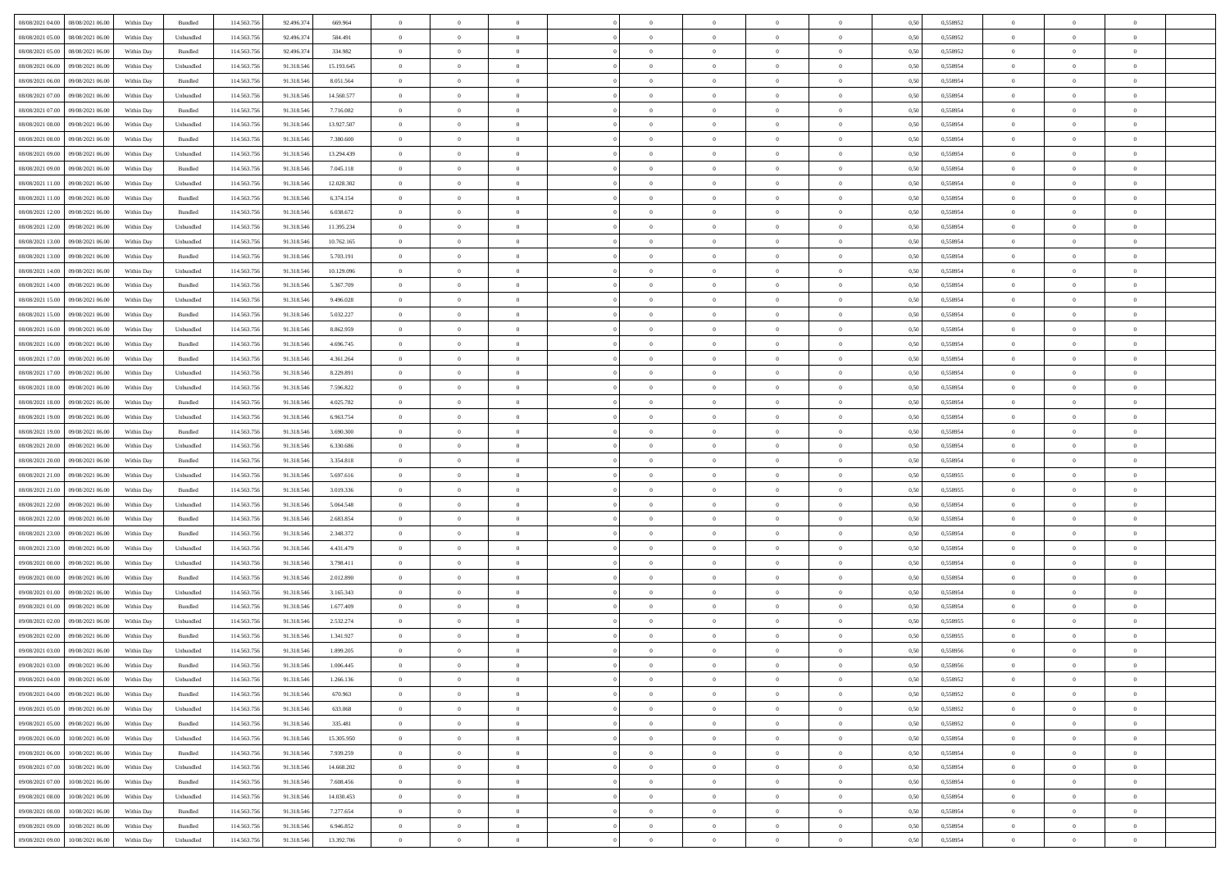| 08/08/2021 04:00<br>08/08/2021 06:00 | Within Day | Bundled   | 114.563.756 | 92.496.374 | 669.964    | $\overline{0}$ | $\overline{0}$ | $\overline{0}$ | $\theta$       | $\theta$       |                | $\overline{0}$ | 0,50 | 0,558952 | $\theta$       | $\theta$       | $\theta$       |  |
|--------------------------------------|------------|-----------|-------------|------------|------------|----------------|----------------|----------------|----------------|----------------|----------------|----------------|------|----------|----------------|----------------|----------------|--|
|                                      |            |           |             |            |            |                | $\overline{0}$ |                | $\overline{0}$ | $\bf{0}$       | $\overline{0}$ |                |      |          | $\overline{0}$ | $\bf{0}$       | $\overline{0}$ |  |
| 08/08/2021 05:00<br>08/08/2021 06.00 | Within Day | Unbundled | 114.563.75  | 92.496.374 | 584.491    | $\overline{0}$ |                | $\overline{0}$ |                |                |                | $\mathbf{0}$   | 0,50 | 0,558952 |                |                |                |  |
| 08/08/2021 05:00<br>08/08/2021 06:00 | Within Day | Bundled   | 114,563,756 | 92.496.374 | 334.982    | $\overline{0}$ | $\overline{0}$ | $\overline{0}$ | $\bf{0}$       | $\bf{0}$       | $\overline{0}$ | $\,$ 0 $\,$    | 0.50 | 0.558952 | $\bf{0}$       | $\overline{0}$ | $\,$ 0         |  |
| 08/08/2021 06:00<br>09/08/2021 06.00 | Within Day | Unbundled | 114.563.756 | 91.318.546 | 15.193.645 | $\overline{0}$ | $\overline{0}$ | $\overline{0}$ | $\bf{0}$       | $\overline{0}$ | $\overline{0}$ | $\,$ 0 $\,$    | 0,50 | 0,558954 | $\theta$       | $\overline{0}$ | $\overline{0}$ |  |
| 08/08/2021 06:00<br>09/08/2021 06.0  | Within Day | Bundled   | 114.563.75  | 91.318.546 | 8.051.564  | $\overline{0}$ | $\overline{0}$ | $\overline{0}$ | $\bf{0}$       | $\overline{0}$ | $\overline{0}$ | $\bf{0}$       | 0,50 | 0,558954 | $\,$ 0 $\,$    | $\bf{0}$       | $\overline{0}$ |  |
| 08/08/2021 07:00<br>09/08/2021 06:00 | Within Day | Unbundled | 114,563,756 | 91.318.546 | 14.560.577 | $\overline{0}$ | $\overline{0}$ | $\overline{0}$ | $\bf{0}$       | $\bf{0}$       | $\overline{0}$ | $\mathbf{0}$   | 0.50 | 0.558954 | $\,$ 0 $\,$    | $\overline{0}$ | $\overline{0}$ |  |
| 08/08/2021 07:00<br>09/08/2021 06:00 | Within Day | Bundled   | 114.563.756 | 91.318.546 | 7.716.082  | $\overline{0}$ | $\overline{0}$ | $\overline{0}$ | $\bf{0}$       | $\overline{0}$ | $\overline{0}$ | $\bf{0}$       | 0,50 | 0,558954 | $\theta$       | $\theta$       | $\overline{0}$ |  |
| 08/08/2021 08:00<br>09/08/2021 06.0  | Within Day | Unbundled | 114.563.756 | 91.318.546 | 13.927.507 | $\overline{0}$ | $\overline{0}$ | $\overline{0}$ | $\,$ 0 $\,$    | $\bf{0}$       | $\overline{0}$ | $\mathbf{0}$   | 0,50 | 0,558954 | $\,$ 0 $\,$    | $\bf{0}$       | $\overline{0}$ |  |
| 08/08/2021 08:00<br>09/08/2021 06:00 | Within Day | Bundled   | 114,563,756 | 91.318.546 | 7.380.600  | $\overline{0}$ | $\overline{0}$ | $\overline{0}$ | $\bf{0}$       | $\bf{0}$       | $\overline{0}$ | $\mathbf{0}$   | 0.50 | 0,558954 | $\bf{0}$       | $\overline{0}$ | $\bf{0}$       |  |
| 08/08/2021 09:00<br>09/08/2021 06:00 | Within Day | Unbundled | 114.563.756 | 91.318.546 | 13.294.439 | $\overline{0}$ | $\overline{0}$ | $\overline{0}$ | $\bf{0}$       | $\bf{0}$       | $\overline{0}$ | $\,$ 0 $\,$    | 0,50 | 0,558954 | $\,$ 0         | $\,$ 0 $\,$    | $\overline{0}$ |  |
|                                      |            |           |             |            |            |                |                |                |                |                |                |                |      |          |                |                |                |  |
| 08/08/2021 09:00<br>09/08/2021 06.0  | Within Day | Bundled   | 114.563.75  | 91.318.546 | 7.045.118  | $\overline{0}$ | $\overline{0}$ | $\overline{0}$ | $\,$ 0 $\,$    | $\bf{0}$       | $\overline{0}$ | $\bf{0}$       | 0,50 | 0,558954 | $\,$ 0 $\,$    | $\bf{0}$       | $\overline{0}$ |  |
| 08/08/2021 11:00<br>09/08/2021 06:00 | Within Day | Unbundled | 114.563.756 | 91.318.546 | 12.028.302 | $\overline{0}$ | $\overline{0}$ | $\overline{0}$ | $\bf{0}$       | $\bf{0}$       | $\overline{0}$ | $\,$ 0 $\,$    | 0.50 | 0.558954 | $\bf{0}$       | $\overline{0}$ | $\,$ 0         |  |
| 08/08/2021 11:00<br>09/08/2021 06:00 | Within Day | Bundled   | 114.563.756 | 91.318.546 | 6.374.154  | $\overline{0}$ | $\overline{0}$ | $\overline{0}$ | $\overline{0}$ | $\overline{0}$ | $\overline{0}$ | $\,$ 0 $\,$    | 0,50 | 0,558954 | $\theta$       | $\theta$       | $\overline{0}$ |  |
| 08/08/2021 12:00<br>09/08/2021 06.0  | Within Day | Bundled   | 114.563.756 | 91.318.546 | 6.038.672  | $\overline{0}$ | $\overline{0}$ | $\overline{0}$ | $\bf{0}$       | $\bf{0}$       | $\overline{0}$ | $\bf{0}$       | 0,50 | 0,558954 | $\,$ 0 $\,$    | $\bf{0}$       | $\overline{0}$ |  |
| 08/08/2021 12:00<br>09/08/2021 06:00 | Within Day | Unbundled | 114,563,756 | 91.318.546 | 11.395.234 | $\overline{0}$ | $\overline{0}$ | $\overline{0}$ | $\bf{0}$       | $\overline{0}$ | $\overline{0}$ | $\mathbf{0}$   | 0.50 | 0.558954 | $\,$ 0 $\,$    | $\theta$       | $\overline{0}$ |  |
| 08/08/2021 13:00<br>09/08/2021 06:00 | Within Day | Unbundled | 114.563.756 | 91.318.546 | 10.762.165 | $\overline{0}$ | $\overline{0}$ | $\overline{0}$ | $\bf{0}$       | $\overline{0}$ | $\overline{0}$ | $\bf{0}$       | 0,50 | 0,558954 | $\theta$       | $\theta$       | $\overline{0}$ |  |
| 08/08/2021 13:00<br>09/08/2021 06.0  | Within Day | Bundled   | 114.563.75  | 91.318.546 | 5.703.191  | $\overline{0}$ | $\overline{0}$ | $\overline{0}$ | $\,$ 0 $\,$    | $\bf{0}$       | $\overline{0}$ | $\bf{0}$       | 0,50 | 0,558954 | $\,$ 0 $\,$    | $\bf{0}$       | $\overline{0}$ |  |
| 08/08/2021 14:00<br>09/08/2021 06:00 | Within Day | Unbundled | 114,563,756 | 91.318.546 | 10.129.096 | $\overline{0}$ | $\overline{0}$ | $\overline{0}$ | $\bf{0}$       | $\bf{0}$       | $\overline{0}$ | $\mathbf{0}$   | 0.50 | 0.558954 | $\bf{0}$       | $\overline{0}$ | $\,$ 0         |  |
| 08/08/2021 14:00<br>09/08/2021 06:00 | Within Day | Bundled   | 114.563.756 | 91.318.546 | 5.367.709  | $\overline{0}$ | $\overline{0}$ | $\overline{0}$ | $\bf{0}$       | $\overline{0}$ | $\overline{0}$ | $\bf{0}$       | 0,50 | 0,558954 | $\,$ 0 $\,$    | $\,$ 0 $\,$    | $\overline{0}$ |  |
|                                      |            |           |             |            |            |                |                |                |                |                |                |                |      |          |                |                |                |  |
| 08/08/2021 15:00<br>09/08/2021 06.0  | Within Day | Unbundled | 114.563.75  | 91.318.546 | 9.496.028  | $\overline{0}$ | $\overline{0}$ | $\overline{0}$ | $\overline{0}$ | $\bf{0}$       | $\overline{0}$ | $\mathbf{0}$   | 0,50 | 0,558954 | $\,$ 0 $\,$    | $\bf{0}$       | $\overline{0}$ |  |
| 08/08/2021 15:00<br>09/08/2021 06:00 | Within Day | Bundled   | 114,563,756 | 91.318.546 | 5.032.227  | $\overline{0}$ | $\overline{0}$ | $\overline{0}$ | $\bf{0}$       | $\overline{0}$ | $\overline{0}$ | $\,$ 0 $\,$    | 0.50 | 0.558954 | $\bf{0}$       | $\overline{0}$ | $\,$ 0         |  |
| 08/08/2021 16:00<br>09/08/2021 06:00 | Within Day | Unbundled | 114.563.756 | 91.318.546 | 8.862.959  | $\overline{0}$ | $\overline{0}$ | $\overline{0}$ | $\overline{0}$ | $\overline{0}$ | $\overline{0}$ | $\,$ 0 $\,$    | 0,50 | 0,558954 | $\theta$       | $\overline{0}$ | $\overline{0}$ |  |
| 08/08/2021 16:00<br>09/08/2021 06.0  | Within Day | Bundled   | 114.563.75  | 91.318.546 | 4.696.745  | $\overline{0}$ | $\overline{0}$ | $\overline{0}$ | $\overline{0}$ | $\bf{0}$       | $\overline{0}$ | $\bf{0}$       | 0,50 | 0,558954 | $\,$ 0 $\,$    | $\bf{0}$       | $\overline{0}$ |  |
| 08/08/2021 17:00<br>09/08/2021 06:00 | Within Day | Bundled   | 114,563,756 | 91.318.546 | 4.361.264  | $\overline{0}$ | $\overline{0}$ | $\overline{0}$ | $\bf{0}$       | $\bf{0}$       | $\overline{0}$ | $\mathbf{0}$   | 0.50 | 0.558954 | $\,$ 0 $\,$    | $\overline{0}$ | $\overline{0}$ |  |
| 08/08/2021 17:00<br>09/08/2021 06:00 | Within Day | Unbundled | 114.563.756 | 91.318.546 | 8.229.891  | $\overline{0}$ | $\overline{0}$ | $\overline{0}$ | $\bf{0}$       | $\overline{0}$ | $\overline{0}$ | $\bf{0}$       | 0,50 | 0,558954 | $\theta$       | $\theta$       | $\overline{0}$ |  |
| 08/08/2021 18:00<br>09/08/2021 06.0  | Within Day | Unbundled | 114.563.756 | 91.318.546 | 7.596.822  | $\overline{0}$ | $\overline{0}$ | $\overline{0}$ | $\,$ 0 $\,$    | $\bf{0}$       | $\overline{0}$ | $\bf{0}$       | 0,50 | 0,558954 | $\,$ 0 $\,$    | $\bf{0}$       | $\overline{0}$ |  |
| 08/08/2021 18:00<br>09/08/2021 06:00 | Within Day | Bundled   | 114,563,756 | 91.318.546 | 4.025.782  | $\overline{0}$ | $\overline{0}$ | $\overline{0}$ | $\bf{0}$       | $\bf{0}$       | $\overline{0}$ | $\mathbf{0}$   | 0.50 | 0.558954 | $\bf{0}$       | $\overline{0}$ | $\bf{0}$       |  |
| 08/08/2021 19:00<br>09/08/2021 06:00 | Within Day | Unbundled | 114.563.756 | 91.318.546 | 6.963.754  | $\overline{0}$ | $\overline{0}$ | $\overline{0}$ | $\bf{0}$       | $\overline{0}$ | $\overline{0}$ | $\,$ 0 $\,$    | 0,50 | 0,558954 | $\,$ 0         | $\overline{0}$ | $\overline{0}$ |  |
| 08/08/2021 19:00<br>09/08/2021 06.0  | Within Day | Bundled   | 114.563.75  | 91.318.546 | 3.690.300  | $\overline{0}$ | $\overline{0}$ | $\overline{0}$ | $\overline{0}$ | $\bf{0}$       | $\overline{0}$ | $\mathbf{0}$   | 0,50 | 0,558954 | $\overline{0}$ | $\bf{0}$       | $\overline{0}$ |  |
| 09/08/2021 06:00                     |            | Unbundled | 114.563.756 | 91.318.546 | 6.330.686  |                |                |                |                | $\overline{0}$ | $\overline{0}$ |                | 0.50 | 0.558954 | $\bf{0}$       | $\overline{0}$ | $\,$ 0         |  |
| 08/08/2021 20:00                     | Within Day |           |             |            |            | $\overline{0}$ | $\overline{0}$ | $\overline{0}$ | $\bf{0}$       |                |                | $\,$ 0 $\,$    |      |          |                |                |                |  |
| 08/08/2021 20:00<br>09/08/2021 06:00 | Within Day | Bundled   | 114.563.756 | 91.318.546 | 3.354.818  | $\overline{0}$ | $\overline{0}$ | $\overline{0}$ | $\overline{0}$ | $\overline{0}$ | $\overline{0}$ | $\overline{0}$ | 0.50 | 0,558954 | $\theta$       | $\theta$       | $\overline{0}$ |  |
| 08/08/2021 21.00<br>09/08/2021 06.0  | Within Day | Unbundled | 114.563.756 | 91.318.546 | 5.697.616  | $\overline{0}$ | $\overline{0}$ | $\overline{0}$ | $\overline{0}$ | $\bf{0}$       | $\overline{0}$ | $\bf{0}$       | 0,50 | 0,558955 | $\,$ 0 $\,$    | $\bf{0}$       | $\overline{0}$ |  |
| 08/08/2021 21:00<br>09/08/2021 06:00 | Within Day | Bundled   | 114,563,756 | 91.318.546 | 3.019.336  | $\overline{0}$ | $\overline{0}$ | $\overline{0}$ | $\bf{0}$       | $\bf{0}$       | $\overline{0}$ | $\mathbf{0}$   | 0.50 | 0.558955 | $\,$ 0 $\,$    | $\bf{0}$       | $\overline{0}$ |  |
| 08/08/2021 22:00<br>09/08/2021 06:00 | Within Dav | Unbundled | 114.563.756 | 91.318.546 | 5.064.548  | $\overline{0}$ | $\overline{0}$ | $\overline{0}$ | $\overline{0}$ | $\overline{0}$ | $\overline{0}$ | $\mathbf{0}$   | 0.50 | 0,558954 | $\theta$       | $\theta$       | $\overline{0}$ |  |
| 08/08/2021 22.00<br>09/08/2021 06.0  | Within Day | Bundled   | 114.563.75  | 91.318.546 | 2.683.854  | $\overline{0}$ | $\overline{0}$ | $\overline{0}$ | $\overline{0}$ | $\bf{0}$       | $\overline{0}$ | $\bf{0}$       | 0,50 | 0,558954 | $\,$ 0 $\,$    | $\bf{0}$       | $\overline{0}$ |  |
| 08/08/2021 23:00<br>09/08/2021 06:00 | Within Day | Bundled   | 114,563,756 | 91.318.546 | 2.348.372  | $\overline{0}$ | $\overline{0}$ | $\overline{0}$ | $\bf{0}$       | $\bf{0}$       | $\overline{0}$ | $\mathbf{0}$   | 0.50 | 0.558954 | $\bf{0}$       | $\overline{0}$ | $\bf{0}$       |  |
| 08/08/2021 23:00<br>09/08/2021 06:00 | Within Day | Unbundled | 114.563.756 | 91.318.546 | 4.431.479  | $\overline{0}$ | $\overline{0}$ | $\overline{0}$ | $\overline{0}$ | $\overline{0}$ | $\overline{0}$ | $\mathbf{0}$   | 0.50 | 0,558954 | $\overline{0}$ | $\overline{0}$ | $\overline{0}$ |  |
| 09/08/2021 00:00<br>09/08/2021 06.0  | Within Day | Unbundled | 114.563.75  | 91.318.546 | 3.798.411  | $\overline{0}$ | $\overline{0}$ | $\overline{0}$ | $\overline{0}$ | $\bf{0}$       | $\overline{0}$ | $\mathbf{0}$   | 0,50 | 0,558954 | $\overline{0}$ | $\bf{0}$       | $\overline{0}$ |  |
| 09/08/2021 00:00<br>09/08/2021 06:00 | Within Day | Bundled   | 114.563.756 | 91.318.546 | 2.012.890  | $\overline{0}$ | $\overline{0}$ | $\overline{0}$ | $\bf{0}$       | $\overline{0}$ | $\overline{0}$ | $\,$ 0 $\,$    | 0.50 | 0.558954 | $\bf{0}$       | $\overline{0}$ | $\,$ 0         |  |
| 09/08/2021 01:00<br>09/08/2021 06:00 | Within Day | Unbundled | 114.563.756 | 91.318.546 | 3.165.343  | $\overline{0}$ | $\overline{0}$ | $\overline{0}$ | $\overline{0}$ | $\overline{0}$ | $\overline{0}$ | $\overline{0}$ | 0.50 | 0,558954 | $\theta$       | $\theta$       | $\overline{0}$ |  |
|                                      |            |           |             |            |            |                | $\overline{0}$ |                | $\overline{0}$ | $\bf{0}$       | $\overline{0}$ | $\bf{0}$       |      |          | $\,$ 0 $\,$    | $\bf{0}$       | $\overline{0}$ |  |
| 09/08/2021 01:00<br>09/08/2021 06.0  | Within Day | Bundled   | 114.563.75  | 91.318.546 | 1.677.409  | $\overline{0}$ |                | $\overline{0}$ |                |                |                |                | 0,50 | 0,558954 |                |                |                |  |
| 09/08/2021 02:00<br>09/08/2021 06:00 | Within Day | Unbundled | 114,563,756 | 91.318.546 | 2.532.274  | $\overline{0}$ | $\overline{0}$ | $\overline{0}$ | $\overline{0}$ | $\bf{0}$       | $\overline{0}$ | $\mathbf{0}$   | 0.50 | 0.558955 | $\,$ 0 $\,$    | $\theta$       | $\overline{0}$ |  |
| 09/08/2021 02:00<br>09/08/2021 06:00 | Within Day | Bundled   | 114.563.756 | 91.318.546 | 1.341.927  | $\overline{0}$ | $\overline{0}$ | $\overline{0}$ | $\overline{0}$ | $\overline{0}$ | $\Omega$       | $\overline{0}$ | 0.50 | 0,558955 | $\theta$       | $\theta$       | $\overline{0}$ |  |
| 09/08/2021 03:00<br>09/08/2021 06:00 | Within Day | Unbundled | 114.563.756 | 91.318.546 | 1.899.205  | $\overline{0}$ | $\overline{0}$ | $\overline{0}$ | $\overline{0}$ | $\bf{0}$       | $\overline{0}$ | $\mathbf{0}$   | 0,50 | 0,558956 | $\overline{0}$ | $\overline{0}$ | $\overline{0}$ |  |
| 09/08/2021 03:00 09/08/2021 06:00    | Within Day | Bundled   | 114.563.756 | 91.318.546 | 1.006.445  | $\bf{0}$       | $\,$ 0 $\,$    |                | $\bf{0}$       |                |                |                | 0,50 | 0,558956 | $\theta$       | $\overline{0}$ |                |  |
| 09/08/2021 04:00 09/08/2021 06:00    | Within Day | Unbundled | 114.563.756 | 91.318.546 | 1.266.136  | $\overline{0}$ | $\overline{0}$ | $\overline{0}$ | $\overline{0}$ | $\overline{0}$ | $\overline{0}$ | $\overline{0}$ | 0,50 | 0,558952 | $\theta$       | $\theta$       | $\overline{0}$ |  |
| 09/08/2021 04:00<br>09/08/2021 06.00 | Within Day | Bundled   | 114.563.756 | 91.318.546 | 670.963    | $\overline{0}$ | $\overline{0}$ | $\overline{0}$ | $\bf{0}$       | $\overline{0}$ | $\overline{0}$ | $\bf{0}$       | 0,50 | 0,558952 | $\overline{0}$ | $\overline{0}$ | $\bf{0}$       |  |
| 09/08/2021 05:00<br>09/08/2021 06:00 | Within Day | Unbundled | 114.563.756 | 91.318.546 | 633,068    | $\overline{0}$ | $\overline{0}$ | $\overline{0}$ | $\,$ 0 $\,$    | $\bf{0}$       | $\overline{0}$ | $\mathbf{0}$   | 0.50 | 0.558952 | $\overline{0}$ | $\bf{0}$       | $\bf{0}$       |  |
| 09/08/2021 05:00<br>09/08/2021 06:00 | Within Dav | Bundled   | 114.563.756 | 91.318.546 | 335.481    | $\overline{0}$ | $\overline{0}$ | $\overline{0}$ | $\overline{0}$ | $\overline{0}$ | $\overline{0}$ | $\mathbf{0}$   | 0,50 | 0,558952 | $\overline{0}$ | $\theta$       | $\overline{0}$ |  |
| 09/08/2021 06:00<br>10/08/2021 06:00 | Within Day | Unbundled | 114.563.756 | 91.318.546 | 15.305.950 | $\overline{0}$ | $\overline{0}$ | $\overline{0}$ | $\bf{0}$       | $\bf{0}$       | $\overline{0}$ | $\mathbf{0}$   | 0,50 | 0,558954 | $\overline{0}$ | $\overline{0}$ | $\overline{0}$ |  |
|                                      |            |           |             |            |            |                |                |                |                |                |                |                |      |          |                |                |                |  |
| 09/08/2021 06.00<br>10/08/2021 06:00 | Within Day | Bundled   | 114.563.756 | 91.318.546 | 7.939.259  | $\overline{0}$ | $\overline{0}$ | $\overline{0}$ | $\bf{0}$       | $\overline{0}$ | $\overline{0}$ | $\mathbf{0}$   | 0.50 | 0.558954 | $\,$ 0 $\,$    | $\theta$       | $\,$ 0         |  |
| 09/08/2021 07:00<br>10/08/2021 06:00 | Within Day | Unbundled | 114.563.756 | 91.318.546 | 14.668.202 | $\overline{0}$ | $\overline{0}$ | $\overline{0}$ | $\overline{0}$ | $\overline{0}$ | $\overline{0}$ | $\mathbf{0}$   | 0,50 | 0,558954 | $\overline{0}$ | $\theta$       | $\overline{0}$ |  |
| 09/08/2021 07:00<br>10/08/2021 06:00 | Within Day | Bundled   | 114.563.756 | 91.318.546 | 7.608.456  | $\overline{0}$ | $\overline{0}$ | $\overline{0}$ | $\bf{0}$       | $\bf{0}$       | $\overline{0}$ | $\,$ 0 $\,$    | 0,50 | 0,558954 | $\bf{0}$       | $\overline{0}$ | $\,$ 0         |  |
| 09/08/2021 08:00<br>10/08/2021 06:00 | Within Day | Unbundled | 114.563.756 | 91.318.546 | 14.030.453 | $\overline{0}$ | $\overline{0}$ | $\overline{0}$ | $\bf{0}$       | $\overline{0}$ | $\overline{0}$ | $\,$ 0 $\,$    | 0.50 | 0.558954 | $\overline{0}$ | $\bf{0}$       | $\,$ 0         |  |
| 09/08/2021 08:00<br>10/08/2021 06:00 | Within Dav | Bundled   | 114.563.756 | 91.318.546 | 7.277.654  | $\overline{0}$ | $\overline{0}$ | $\overline{0}$ | $\overline{0}$ | $\overline{0}$ | $\overline{0}$ | $\mathbf{0}$   | 0,50 | 0,558954 | $\overline{0}$ | $\theta$       | $\overline{0}$ |  |
| 09/08/2021 09:00<br>10/08/2021 06:00 | Within Day | Bundled   | 114.563.756 | 91.318.546 | 6.946.852  | $\overline{0}$ | $\overline{0}$ | $\overline{0}$ | $\bf{0}$       | $\bf{0}$       | $\overline{0}$ | $\mathbf{0}$   | 0,50 | 0,558954 | $\bf{0}$       | $\bf{0}$       | $\bf{0}$       |  |
| 09/08/2021 09:00 10/08/2021 06:00    | Within Day | Unbundled | 114.563.756 | 91.318.546 | 13.392.706 | $\overline{0}$ | $\overline{0}$ | $\overline{0}$ | $\bf{0}$       | $\,$ 0         | $\overline{0}$ | $\,0\,$        | 0,50 | 0,558954 | $\overline{0}$ | $\,$ 0 $\,$    | $\,$ 0 $\,$    |  |
|                                      |            |           |             |            |            |                |                |                |                |                |                |                |      |          |                |                |                |  |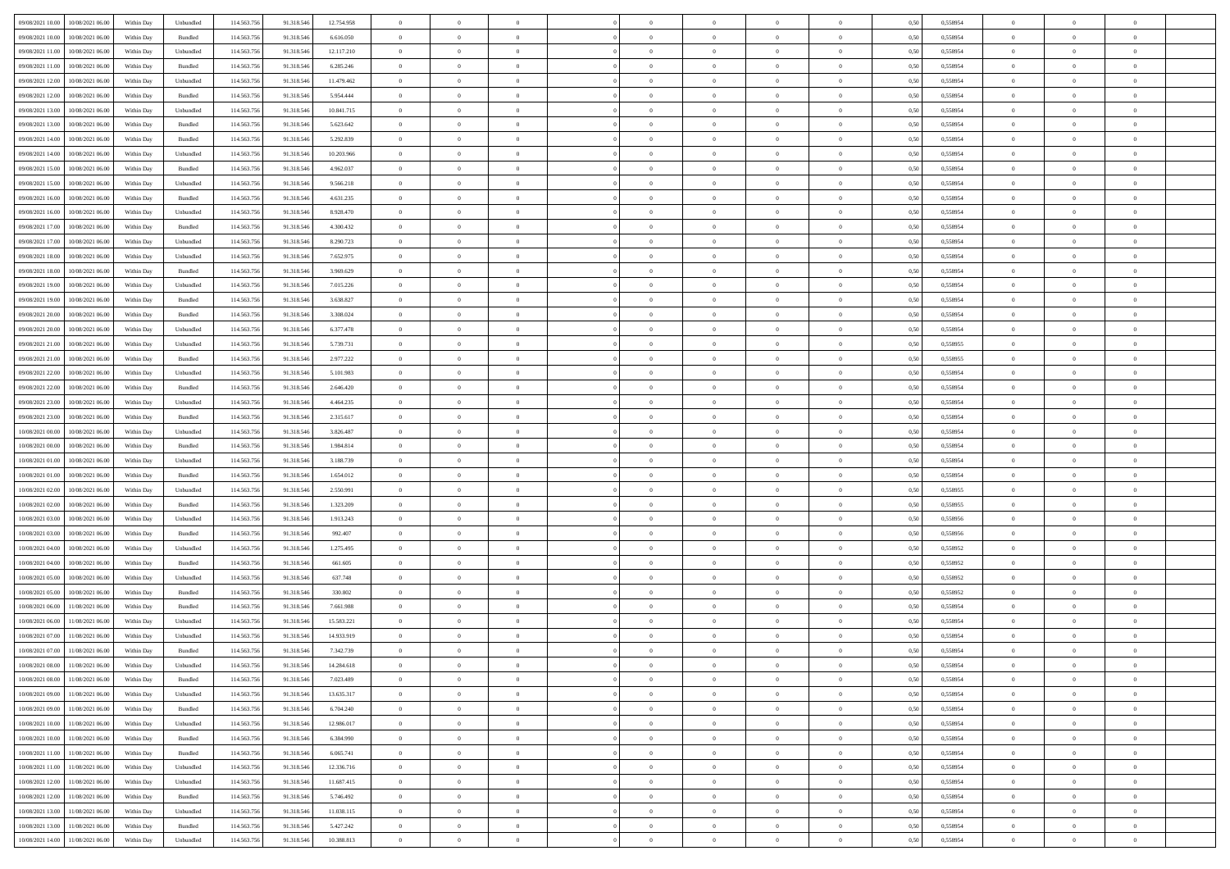| 09/08/2021 10:00    | 10/08/2021 06:00                  | Within Day | Unbundled | 114.563.756 | 91.318.546 | 12.754.958 | $\overline{0}$ | $\theta$       |                | $\overline{0}$ | $\bf{0}$       | $\overline{0}$ | $\theta$       | 0,50 | 0,558954 | $\theta$       | $\theta$       | $\overline{0}$ |  |
|---------------------|-----------------------------------|------------|-----------|-------------|------------|------------|----------------|----------------|----------------|----------------|----------------|----------------|----------------|------|----------|----------------|----------------|----------------|--|
| 09/08/2021 10:00    | 10/08/2021 06:00                  | Within Day | Bundled   | 114.563.75  | 91.318.546 | 6.616.050  | $\overline{0}$ | $\overline{0}$ | $\overline{0}$ | $\overline{0}$ | $\,$ 0         | $\bf{0}$       | $\bf{0}$       | 0,50 | 0,558954 | $\,$ 0 $\,$    | $\overline{0}$ | $\overline{0}$ |  |
|                     |                                   |            |           |             |            |            |                |                |                |                |                |                |                |      |          |                |                |                |  |
| 09/08/2021 11:00    | 10/08/2021 06:00                  | Within Day | Unbundled | 114,563,756 | 91.318.546 | 12.117.210 | $\overline{0}$ | $\overline{0}$ | $\overline{0}$ | $\overline{0}$ | $\bf{0}$       | $\overline{0}$ | $\mathbf{0}$   | 0.50 | 0.558954 | $\overline{0}$ | $\,$ 0 $\,$    | $\bf{0}$       |  |
| 09/08/2021 11:00    | 10/08/2021 06:00                  | Within Day | Bundled   | 114.563.756 | 91.318.546 | 6.285.246  | $\overline{0}$ | $\overline{0}$ | $\overline{0}$ | $\overline{0}$ | $\,0\,$        | $\overline{0}$ | $\overline{0}$ | 0,50 | 0,558954 | $\,$ 0 $\,$    | $\overline{0}$ | $\overline{0}$ |  |
| 09/08/2021 12:00    | 10/08/2021 06:00                  | Within Day | Unbundled | 114.563.75  | 91.318.546 | 11.479.462 | $\overline{0}$ | $\overline{0}$ | $\overline{0}$ | $\overline{0}$ | $\,$ 0         | $\overline{0}$ | $\bf{0}$       | 0,50 | 0,558954 | $\,$ 0 $\,$    | $\overline{0}$ | $\overline{0}$ |  |
| 09/08/2021 12:00    | 10/08/2021 06:00                  | Within Day | Bundled   | 114,563,756 | 91.318.546 | 5.954.444  | $\overline{0}$ | $\overline{0}$ | $\overline{0}$ | $\overline{0}$ | $\bf{0}$       | $\overline{0}$ | $\bf{0}$       | 0.50 | 0.558954 | $\,0\,$        | $\overline{0}$ | $\overline{0}$ |  |
| 09/08/2021 13:00    | 10/08/2021 06:00                  | Within Day | Unbundled | 114.563.756 | 91.318.546 | 10.841.715 | $\overline{0}$ | $\overline{0}$ | $\overline{0}$ | $\overline{0}$ | $\bf{0}$       | $\overline{0}$ | $\overline{0}$ | 0,50 | 0,558954 | $\,$ 0 $\,$    | $\theta$       | $\overline{0}$ |  |
| 09/08/2021 13:00    | 10/08/2021 06:00                  | Within Day | Bundled   | 114.563.75  | 91.318.546 | 5.623.642  | $\overline{0}$ | $\overline{0}$ | $\overline{0}$ | $\overline{0}$ | $\,$ 0         | $\overline{0}$ | $\bf{0}$       | 0,50 | 0,558954 | $\,$ 0 $\,$    | $\overline{0}$ | $\overline{0}$ |  |
| 09/08/2021 14:00    | 10/08/2021 06:00                  | Within Day | Bundled   | 114,563,756 | 91.318.546 | 5.292.839  | $\overline{0}$ | $\overline{0}$ | $\overline{0}$ | $\overline{0}$ | $\bf{0}$       | $\overline{0}$ | $\bf{0}$       | 0.50 | 0.558954 | $\bf{0}$       | $\overline{0}$ | $\bf{0}$       |  |
| 09/08/2021 14:00    | 10/08/2021 06:00                  | Within Day | Unbundled | 114.563.756 | 91.318.546 | 10.203.966 | $\overline{0}$ | $\overline{0}$ | $\overline{0}$ | $\overline{0}$ | $\bf{0}$       | $\overline{0}$ | $\bf{0}$       | 0,50 | 0,558954 | $\,$ 0 $\,$    | $\overline{0}$ | $\overline{0}$ |  |
| 09/08/2021 15:00    | 10/08/2021 06:00                  | Within Day | Bundled   | 114.563.756 | 91.318.546 | 4.962.037  | $\bf{0}$       | $\overline{0}$ | $\overline{0}$ | $\overline{0}$ | $\,$ 0         | $\overline{0}$ | $\bf{0}$       | 0,50 | 0,558954 | $\,$ 0 $\,$    | $\overline{0}$ | $\overline{0}$ |  |
|                     | 10/08/2021 06:00                  |            | Unbundled | 114,563,756 | 91.318.546 |            |                |                |                |                |                | $\overline{0}$ |                | 0.50 | 0.558954 |                | $\,$ 0 $\,$    | $\overline{0}$ |  |
| 09/08/2021 15:00    |                                   | Within Day |           |             |            | 9.566.218  | $\overline{0}$ | $\overline{0}$ | $\overline{0}$ | $\overline{0}$ | $\bf{0}$       |                | $\mathbf{0}$   |      |          | $\overline{0}$ |                |                |  |
| 09/08/2021 16:00    | 10/08/2021 06:00                  | Within Day | Bundled   | 114.563.756 | 91.318.546 | 4.631.235  | $\overline{0}$ | $\overline{0}$ | $\overline{0}$ | $\overline{0}$ | $\,0\,$        | $\overline{0}$ | $\overline{0}$ | 0,50 | 0,558954 | $\,$ 0 $\,$    | $\overline{0}$ | $\overline{0}$ |  |
| 09/08/2021 16:00    | 10/08/2021 06:00                  | Within Day | Unbundled | 114.563.75  | 91.318.546 | 8.928.470  | $\overline{0}$ | $\overline{0}$ | $\overline{0}$ | $\overline{0}$ | $\,$ 0         | $\overline{0}$ | $\bf{0}$       | 0,50 | 0,558954 | $\,$ 0 $\,$    | $\overline{0}$ | $\overline{0}$ |  |
| 09/08/2021 17:00    | 10/08/2021 06:00                  | Within Day | Bundled   | 114,563,756 | 91.318.546 | 4.300.432  | $\overline{0}$ | $\overline{0}$ | $\overline{0}$ | $\overline{0}$ | $\bf{0}$       | $\overline{0}$ | $\bf{0}$       | 0.50 | 0.558954 | $\,0\,$        | $\overline{0}$ | $\overline{0}$ |  |
| 09/08/2021 17:00    | 10/08/2021 06:00                  | Within Day | Unbundled | 114.563.756 | 91.318.546 | 8.290.723  | $\overline{0}$ | $\overline{0}$ | $\overline{0}$ | $\overline{0}$ | $\bf{0}$       | $\overline{0}$ | $\overline{0}$ | 0,50 | 0,558954 | $\,$ 0 $\,$    | $\theta$       | $\overline{0}$ |  |
| 09/08/2021 18:00    | 10/08/2021 06:00                  | Within Day | Unbundled | 114.563.756 | 91.318.546 | 7.652.975  | $\overline{0}$ | $\overline{0}$ | $\overline{0}$ | $\overline{0}$ | $\,$ 0         | $\overline{0}$ | $\bf{0}$       | 0,50 | 0,558954 | $\,$ 0 $\,$    | $\overline{0}$ | $\overline{0}$ |  |
| 09/08/2021 18:00    | 10/08/2021 06:00                  | Within Day | Bundled   | 114,563,756 | 91.318.546 | 3.969.629  | $\overline{0}$ | $\overline{0}$ | $\overline{0}$ | $\overline{0}$ | $\bf{0}$       | $\overline{0}$ | $\mathbf{0}$   | 0.50 | 0.558954 | $\bf{0}$       | $\overline{0}$ | $\bf{0}$       |  |
| 09/08/2021 19:00    | 10/08/2021 06:00                  | Within Day | Unbundled | 114.563.756 | 91.318.546 | 7.015.226  | $\overline{0}$ | $\overline{0}$ | $\overline{0}$ | $\overline{0}$ | $\bf{0}$       | $\overline{0}$ | $\bf{0}$       | 0,50 | 0,558954 | $\,$ 0 $\,$    | $\overline{0}$ | $\overline{0}$ |  |
| 09/08/2021 19:00    | 10/08/2021 06:00                  | Within Day | Bundled   | 114.563.75  | 91.318.546 | 3.638.827  | $\bf{0}$       | $\overline{0}$ | $\overline{0}$ | $\overline{0}$ | $\bf{0}$       | $\overline{0}$ | $\bf{0}$       | 0,50 | 0,558954 | $\,$ 0 $\,$    | $\overline{0}$ | $\overline{0}$ |  |
| 09/08/2021 20:00    | 10/08/2021 06:00                  | Within Day | Bundled   | 114,563,756 | 91.318.546 | 3.308.024  | $\overline{0}$ | $\overline{0}$ | $\overline{0}$ | $\overline{0}$ | $\bf{0}$       | $\overline{0}$ | $\mathbf{0}$   | 0.50 | 0.558954 | $\overline{0}$ | $\,$ 0 $\,$    | $\overline{0}$ |  |
| 09/08/2021 20:00    | 10/08/2021 06:00                  |            |           | 114.563.756 | 91.318.546 | 6.377.478  | $\overline{0}$ | $\overline{0}$ | $\overline{0}$ | $\overline{0}$ | $\,$ 0 $\,$    | $\overline{0}$ | $\overline{0}$ | 0,50 | 0,558954 | $\,$ 0 $\,$    | $\overline{0}$ | $\overline{0}$ |  |
|                     |                                   | Within Day | Unbundled |             |            |            |                |                |                |                |                |                |                |      |          |                |                |                |  |
| 09/08/2021 21:00    | 10/08/2021 06:00                  | Within Day | Unbundled | 114.563.75  | 91.318.546 | 5.739.731  | $\overline{0}$ | $\overline{0}$ | $\overline{0}$ | $\overline{0}$ | $\bf{0}$       | $\bf{0}$       | $\bf{0}$       | 0,50 | 0,558955 | $\,$ 0 $\,$    | $\overline{0}$ | $\overline{0}$ |  |
| 09/08/2021 21:00    | 10/08/2021 06:00                  | Within Day | Bundled   | 114.563.756 | 91.318.546 | 2.977.222  | $\overline{0}$ | $\overline{0}$ | $\overline{0}$ | $\overline{0}$ | $\bf{0}$       | $\overline{0}$ | $\bf{0}$       | 0.50 | 0.558955 | $\,0\,$        | $\overline{0}$ | $\overline{0}$ |  |
| 09/08/2021 22.00    | 10/08/2021 06:00                  | Within Day | Unbundled | 114.563.756 | 91.318.546 | 5.101.983  | $\overline{0}$ | $\overline{0}$ | $\overline{0}$ | $\overline{0}$ | $\bf{0}$       | $\overline{0}$ | $\overline{0}$ | 0,50 | 0,558954 | $\,$ 0 $\,$    | $\theta$       | $\overline{0}$ |  |
| 09/08/2021 22:00    | 10/08/2021 06:00                  | Within Day | Bundled   | 114.563.756 | 91.318.546 | 2.646.420  | $\overline{0}$ | $\overline{0}$ | $\overline{0}$ | $\overline{0}$ | $\,$ 0         | $\bf{0}$       | $\bf{0}$       | 0,50 | 0,558954 | $\,$ 0 $\,$    | $\overline{0}$ | $\overline{0}$ |  |
| 09/08/2021 23:00    | 10/08/2021 06:00                  | Within Day | Unbundled | 114,563,756 | 91.318.546 | 4.464.235  | $\overline{0}$ | $\overline{0}$ | $\overline{0}$ | $\overline{0}$ | $\bf{0}$       | $\overline{0}$ | $\mathbf{0}$   | 0.50 | 0.558954 | $\bf{0}$       | $\overline{0}$ | $\bf{0}$       |  |
| 09/08/2021 23:00    | 10/08/2021 06:00                  | Within Day | Bundled   | 114.563.756 | 91.318.546 | 2.315.617  | $\overline{0}$ | $\overline{0}$ | $\overline{0}$ | $\overline{0}$ | $\bf{0}$       | $\overline{0}$ | $\bf{0}$       | 0,50 | 0,558954 | $\,$ 0 $\,$    | $\overline{0}$ | $\overline{0}$ |  |
| 10/08/2021 00:00    | 10/08/2021 06:00                  | Within Day | Unbundled | 114.563.756 | 91.318.546 | 3.826.487  | $\bf{0}$       | $\overline{0}$ | $\overline{0}$ | $\overline{0}$ | $\bf{0}$       | $\bf{0}$       | $\bf{0}$       | 0,50 | 0,558954 | $\,$ 0 $\,$    | $\overline{0}$ | $\overline{0}$ |  |
| 10/08/2021 00:00    | 10/08/2021 06:00                  | Within Day | Bundled   | 114,563,756 | 91.318.546 | 1.984.814  | $\overline{0}$ | $\overline{0}$ | $\overline{0}$ | $\overline{0}$ | $\bf{0}$       | $\overline{0}$ | $\mathbf{0}$   | 0.50 | 0.558954 | $\overline{0}$ | $\,$ 0 $\,$    | $\overline{0}$ |  |
| 10/08/2021 01:00    | 10/08/2021 06:00                  | Within Dav | Unbundled | 114.563.756 | 91.318.546 | 3.188.739  | $\overline{0}$ | $\overline{0}$ | $\overline{0}$ | $\overline{0}$ | $\overline{0}$ | $\overline{0}$ | $\mathbf{0}$   | 0.50 | 0,558954 | $\theta$       | $\overline{0}$ | $\overline{0}$ |  |
| 10/08/2021 01:00    | 10/08/2021 06:00                  | Within Day | Bundled   | 114.563.75  | 91.318.546 | 1.654.012  | $\overline{0}$ | $\overline{0}$ | $\overline{0}$ | $\overline{0}$ | $\bf{0}$       | $\bf{0}$       | $\bf{0}$       | 0,50 | 0,558954 | $\,$ 0 $\,$    | $\overline{0}$ | $\overline{0}$ |  |
|                     |                                   |            |           |             |            |            |                |                |                |                |                |                |                |      |          |                |                |                |  |
| 10/08/2021 02:00    | 10/08/2021 06:00                  | Within Day | Unbundled | 114,563,756 | 91.318.546 | 2.550.991  | $\overline{0}$ | $\overline{0}$ | $\overline{0}$ | $\overline{0}$ | $\bf{0}$       | $\overline{0}$ | $\bf{0}$       | 0.50 | 0.558955 | $\,0\,$        | $\overline{0}$ | $\overline{0}$ |  |
| 10/08/2021 02:00    | 10/08/2021 06:00                  | Within Dav | Bundled   | 114.563.756 | 91.318.546 | 1.323.209  | $\overline{0}$ | $\overline{0}$ | $\theta$       | $\overline{0}$ | $\overline{0}$ | $\overline{0}$ | $\overline{0}$ | 0.50 | 0,558955 | $\theta$       | $\overline{0}$ | $\overline{0}$ |  |
| 10/08/2021 03:00    | 10/08/2021 06:00                  | Within Day | Unbundled | 114.563.756 | 91.318.546 | 1.913.243  | $\overline{0}$ | $\overline{0}$ | $\overline{0}$ | $\overline{0}$ | $\,$ 0         | $\bf{0}$       | $\bf{0}$       | 0,50 | 0,558956 | $\,$ 0 $\,$    | $\overline{0}$ | $\overline{0}$ |  |
| 10/08/2021 03:00    | 10/08/2021 06:00                  | Within Day | Bundled   | 114,563,756 | 91.318.546 | 992.407    | $\overline{0}$ | $\overline{0}$ | $\overline{0}$ | $\overline{0}$ | $\bf{0}$       | $\overline{0}$ | $\mathbf{0}$   | 0.50 | 0.558956 | $\bf{0}$       | $\overline{0}$ | $\bf{0}$       |  |
| 10/08/2021 04:00    | 10/08/2021 06:00                  | Within Dav | Unbundled | 114.563.756 | 91.318.546 | 1.275.495  | $\overline{0}$ | $\overline{0}$ | $\overline{0}$ | $\overline{0}$ | $\overline{0}$ | $\overline{0}$ | $\overline{0}$ | 0.50 | 0,558952 | $\theta$       | $\overline{0}$ | $\overline{0}$ |  |
| 10/08/2021 04:00    | 10/08/2021 06:00                  | Within Day | Bundled   | 114.563.756 | 91.318.546 | 661.605    | $\bf{0}$       | $\overline{0}$ | $\overline{0}$ | $\bf{0}$       | $\bf{0}$       | $\bf{0}$       | $\bf{0}$       | 0,50 | 0,558952 | $\,$ 0 $\,$    | $\overline{0}$ | $\overline{0}$ |  |
| 10/08/2021 05:00    | 10/08/2021 06:00                  | Within Day | Unbundled | 114,563,756 | 91.318.546 | 637.748    | $\overline{0}$ | $\overline{0}$ | $\overline{0}$ | $\overline{0}$ | $\bf{0}$       | $\overline{0}$ | $\mathbf{0}$   | 0.50 | 0.558952 | $\overline{0}$ | $\,$ 0 $\,$    | $\overline{0}$ |  |
| 10/08/2021 05:00    | 10/08/2021 06:00                  | Within Dav | Bundled   | 114.563.756 | 91.318.546 | 330,802    | $\overline{0}$ | $\overline{0}$ | $\overline{0}$ | $\overline{0}$ | $\overline{0}$ | $\overline{0}$ | $\mathbf{0}$   | 0.50 | 0,558952 | $\theta$       | $\overline{0}$ | $\overline{0}$ |  |
| 10/08/2021 06:00    | 1/08/2021 06.00                   | Within Day | Bundled   | 114.563.756 | 91.318.546 | 7.661.988  | $\overline{0}$ | $\overline{0}$ | $\overline{0}$ | $\overline{0}$ | $\bf{0}$       | $\bf{0}$       | $\bf{0}$       | 0,50 | 0,558954 | $\,$ 0 $\,$    | $\overline{0}$ | $\overline{0}$ |  |
| 10/08/2021 06:00    | 11/08/2021 06:00                  | Within Day | Unbundled | 114.563.756 | 91.318.546 | 15.583.221 | $\overline{0}$ | $\overline{0}$ | $\overline{0}$ | $\overline{0}$ | $\bf{0}$       | $\overline{0}$ | $\bf{0}$       | 0.50 | 0.558954 | $\,0\,$        | $\overline{0}$ | $\overline{0}$ |  |
| 10/08/2021 07:00    | 11/08/2021 06:00                  | Within Dav | Unbundled | 114.563.756 | 91.318.546 | 14.933.919 | $\overline{0}$ | $\theta$       | $\Omega$       | $\Omega$       | $\bf{0}$       | $\overline{0}$ | $\overline{0}$ | 0.50 | 0,558954 | $\theta$       | $\overline{0}$ | $\overline{0}$ |  |
|                     |                                   |            |           |             |            |            |                |                |                |                |                |                |                |      |          |                |                |                |  |
| 10/08/2021 07:00    | 11/08/2021 06:00                  | Within Day | Bundled   | 114.563.756 | 91.318.546 | 7.342.739  | $\overline{0}$ | $\overline{0}$ | $\overline{0}$ | $\bf{0}$       | $\,$ 0         | $\bf{0}$       | $\bf{0}$       | 0,50 | 0,558954 | $\bf{0}$       | $\overline{0}$ | $\overline{0}$ |  |
| $10/08/2021\ 08.00$ | 11/08/2021 06:00                  | Within Day | Unbundled | 114.563.756 | 91.318.546 | 14.284.618 | $\bf{0}$       | $\,$ 0         |                | $^{\circ}$     |                |                |                | 0,50 | 0.558954 | $\,$ 0         | $\theta$       |                |  |
| 10/08/2021 08:00    | 11/08/2021 06:00                  | Within Day | Bundled   | 114.563.756 | 91.318.546 | 7.023.489  | $\Omega$       | $\overline{0}$ | $\overline{0}$ | $\Omega$       | $\mathbf{0}$   | $\overline{0}$ | $\mathbf{0}$   | 0.50 | 0,558954 | $\theta$       | $\theta$       | $\overline{0}$ |  |
| 10/08/2021 09:00    | 11/08/2021 06:00                  | Within Day | Unbundled | 114.563.756 | 91.318.546 | 13.635.317 | $\overline{0}$ | $\bf{0}$       | $\overline{0}$ | $\bf{0}$       | $\overline{0}$ | $\overline{0}$ | $\mathbf{0}$   | 0,50 | 0,558954 | $\bf{0}$       | $\overline{0}$ | $\bf{0}$       |  |
| 10/08/2021 09:00    | 11/08/2021 06:00                  | Within Day | Bundled   | 114.563.756 | 91.318.546 | 6,704,240  | $\overline{0}$ | $\overline{0}$ | $\overline{0}$ | $\overline{0}$ | $\overline{0}$ | $\overline{0}$ | $\mathbf{0}$   | 0.50 | 0.558954 | $\overline{0}$ | $\bf{0}$       | $\bf{0}$       |  |
| 10/08/2021 10:00    | 11/08/2021 06:00                  | Within Day | Unbundled | 114.563.756 | 91.318.546 | 12.986.017 | $\overline{0}$ | $\overline{0}$ | $\overline{0}$ | $\overline{0}$ | $\mathbf{0}$   | $\overline{0}$ | $\mathbf{0}$   | 0.50 | 0,558954 | $\overline{0}$ | $\theta$       | $\overline{0}$ |  |
| 10/08/2021 10:00    | 11/08/2021 06:00                  | Within Day | Bundled   | 114.563.756 | 91.318.546 | 6.384.990  | $\overline{0}$ | $\overline{0}$ | $\overline{0}$ | $\overline{0}$ | $\bf{0}$       | $\bf{0}$       | $\bf{0}$       | 0,50 | 0,558954 | $\bf{0}$       | $\overline{0}$ | $\overline{0}$ |  |
| 10/08/2021 11:00    | 11/08/2021 06:00                  | Within Day | Bundled   | 114.563.756 | 91.318.546 | 6.065.741  | $\overline{0}$ | $\overline{0}$ | $\overline{0}$ | $\overline{0}$ | $\bf{0}$       | $\overline{0}$ | $\mathbf{0}$   | 0.50 | 0.558954 | $\,$ 0 $\,$    | $\theta$       | $\overline{0}$ |  |
| 10/08/2021 11:00    | 11/08/2021 06:00                  | Within Day | Unbundled | 114.563.756 | 91.318.546 | 12.336.716 | $\overline{0}$ | $\overline{0}$ | $\overline{0}$ | $\overline{0}$ | $\overline{0}$ | $\overline{0}$ | $\overline{0}$ | 0.50 | 0,558954 | $\overline{0}$ | $\theta$       | $\overline{0}$ |  |
| 10/08/2021 12:00    | 11/08/2021 06:00                  | Within Day | Unbundled | 114.563.75  | 91.318.546 | 11.687.415 | $\overline{0}$ | $\,$ 0         | $\overline{0}$ | $\bf{0}$       | $\,$ 0 $\,$    | $\bf{0}$       | $\bf{0}$       | 0,50 | 0,558954 | $\,$ 0 $\,$    | $\overline{0}$ | $\overline{0}$ |  |
|                     |                                   |            |           |             |            |            |                |                |                |                |                |                |                |      |          |                |                |                |  |
| 10/08/2021 12:00    | 11/08/2021 06:00                  | Within Day | Bundled   | 114.563.756 | 91.318.546 | 5.746.492  | $\overline{0}$ | $\overline{0}$ | $\overline{0}$ | $\overline{0}$ | $\bf{0}$       | $\overline{0}$ | $\mathbf{0}$   | 0.50 | 0.558954 | $\mathbf{0}$   | $\,$ 0 $\,$    | $\overline{0}$ |  |
| 10/08/2021 13:00    | 11/08/2021 06:00                  | Within Day | Unbundled | 114.563.756 | 91.318.546 | 11.038.115 | $\overline{0}$ | $\overline{0}$ | $\overline{0}$ | $\overline{0}$ | $\overline{0}$ | $\overline{0}$ | $\overline{0}$ | 0,50 | 0,558954 | $\overline{0}$ | $\theta$       | $\overline{0}$ |  |
| 10/08/2021 13:00    | 11/08/2021 06:00                  | Within Day | Bundled   | 114.563.756 | 91.318.546 | 5.427.242  | $\overline{0}$ | $\overline{0}$ | $\overline{0}$ | $\bf{0}$       | $\bf{0}$       | $\bf{0}$       | $\bf{0}$       | 0,50 | 0,558954 | $\bf{0}$       | $\overline{0}$ | $\bf{0}$       |  |
|                     | 10/08/2021 14:00 11/08/2021 06:00 | Within Day | Unbundled | 114.563.756 | 91.318.546 | 10.388.813 | $\overline{0}$ | $\,$ 0 $\,$    | $\overline{0}$ | $\overline{0}$ | $\bf{0}$       | $\overline{0}$ | $\,$ 0 $\,$    | 0,50 | 0,558954 | $\overline{0}$ | $\,$ 0 $\,$    | $\,$ 0 $\,$    |  |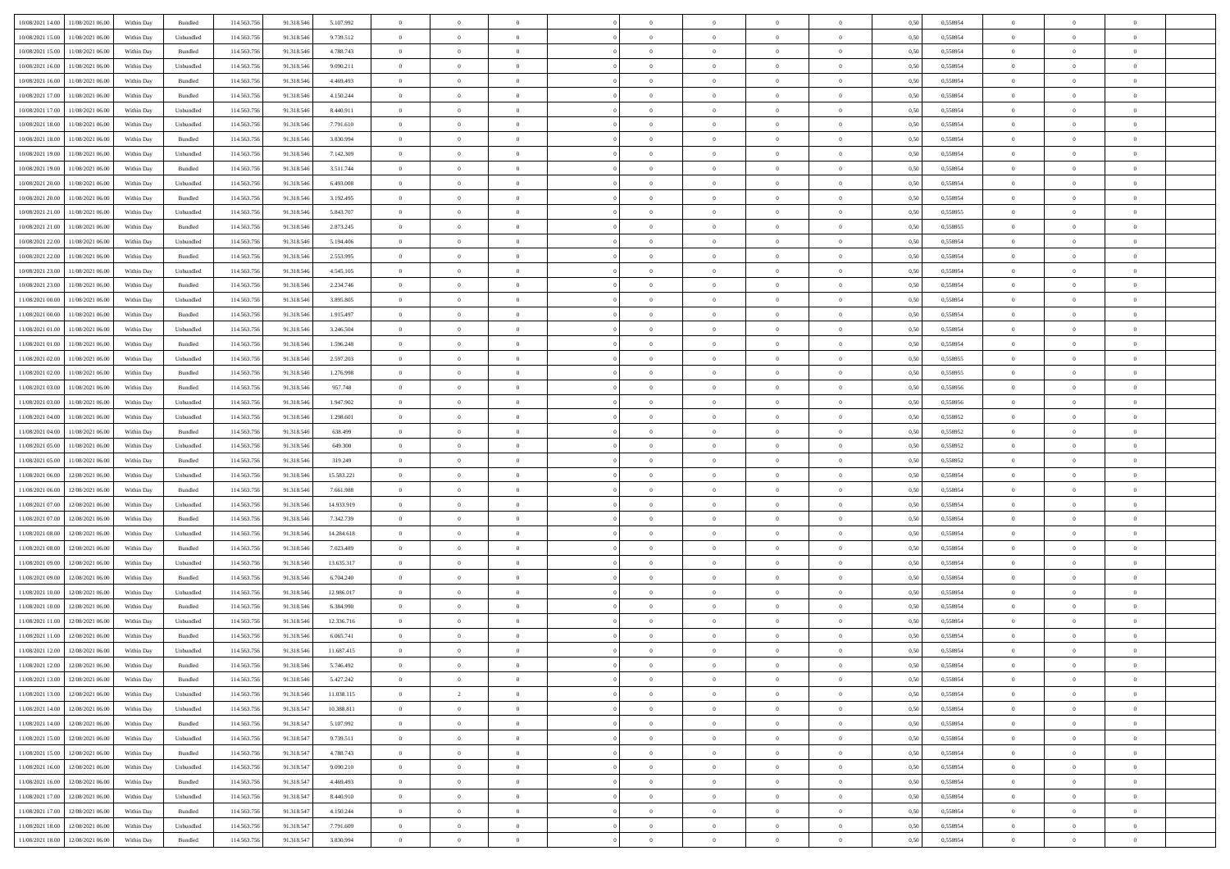| 10/08/2021 14:00 11/08/2021 06:00        | Within Day | Bundled   | 114.563.75  | 91.318.546 | 5.107.992  | $\overline{0}$ | $\theta$       |                | $\overline{0}$ | $\theta$       |                | $\theta$       | 0,50 | 0,558954 | $\theta$       | $\theta$       | $\overline{0}$ |  |
|------------------------------------------|------------|-----------|-------------|------------|------------|----------------|----------------|----------------|----------------|----------------|----------------|----------------|------|----------|----------------|----------------|----------------|--|
|                                          |            |           |             |            |            |                |                |                |                |                |                |                |      |          |                |                |                |  |
| 10/08/2021 15:00<br>11/08/2021 06:00     | Within Day | Unbundled | 114.563.75  | 91.318.54  | 9.739.512  | $\bf{0}$       | $\bf{0}$       | $\bf{0}$       | $\bf{0}$       | $\overline{0}$ | $\overline{0}$ | $\bf{0}$       | 0,50 | 0,558954 | $\,$ 0 $\,$    | $\bf{0}$       | $\overline{0}$ |  |
| 10/08/2021 15:00<br>11/08/2021 06:00     | Within Day | Bundled   | 114,563,75  | 91.318.54  | 4.788.743  | $\overline{0}$ | $\bf{0}$       | $\overline{0}$ | $\bf{0}$       | $\bf{0}$       | $\overline{0}$ | $\bf{0}$       | 0.50 | 0.558954 | $\bf{0}$       | $\overline{0}$ | $\bf{0}$       |  |
| 10/08/2021 16:00<br>11/08/2021 06:00     | Within Day | Unbundled | 114.563.75  | 91.318.546 | 9.090.211  | $\overline{0}$ | $\overline{0}$ | $\overline{0}$ | $\overline{0}$ | $\theta$       | $\overline{0}$ | $\bf{0}$       | 0,50 | 0,558954 | $\theta$       | $\theta$       | $\overline{0}$ |  |
| 10/08/2021 16:00<br>11/08/2021 06:00     | Within Day | Bundled   | 114.563.75  | 91.318.54  | 4.469.493  | $\bf{0}$       | $\overline{0}$ | $\bf{0}$       | $\overline{0}$ | $\theta$       | $\overline{0}$ | $\bf{0}$       | 0,50 | 0,558954 | $\,$ 0 $\,$    | $\bf{0}$       | $\overline{0}$ |  |
| 10/08/2021 17:00<br>11/08/2021 06:00     | Within Day | Bundled   | 114,563,75  | 91.318.54  | 4.150.244  | $\overline{0}$ | $\overline{0}$ | $\overline{0}$ | $\bf{0}$       | $\overline{0}$ | $\theta$       | $\bf{0}$       | 0.50 | 0.558954 | $\,$ 0 $\,$    | $\theta$       | $\overline{0}$ |  |
| 10/08/2021 17:00                         |            |           | 114.563.75  |            |            | $\overline{0}$ | $\overline{0}$ | $\overline{0}$ | $\overline{0}$ | $\overline{0}$ | $\overline{0}$ |                |      |          | $\,$ 0 $\,$    | $\theta$       | $\overline{0}$ |  |
| 11/08/2021 06:00                         | Within Day | Unbundled |             | 91.318.546 | 8.440.911  |                |                |                |                |                |                | $\bf{0}$       | 0,50 | 0,558954 |                |                |                |  |
| 10/08/2021 18:00<br>11/08/2021 06:00     | Within Day | Unbundled | 114.563.75  | 91.318.54  | 7.791.610  | $\bf{0}$       | $\bf{0}$       | $\bf{0}$       | $\overline{0}$ | $\overline{0}$ | $\overline{0}$ | $\bf{0}$       | 0,50 | 0,558954 | $\,$ 0 $\,$    | $\bf{0}$       | $\overline{0}$ |  |
| 10/08/2021 18:00<br>11/08/2021 06:00     | Within Day | Bundled   | 114,563,75  | 91.318.54  | 3.830.994  | $\overline{0}$ | $\bf{0}$       | $\overline{0}$ | $\bf{0}$       | $\overline{0}$ | $\overline{0}$ | $\bf{0}$       | 0.50 | 0.558954 | $\bf{0}$       | $\overline{0}$ | $\overline{0}$ |  |
| 10/08/2021 19:00<br>11/08/2021 06:00     | Within Day | Unbundled | 114.563.756 | 91.318.546 | 7.142.309  | $\bf{0}$       | $\bf{0}$       | $\overline{0}$ | $\overline{0}$ | $\overline{0}$ | $\overline{0}$ | $\bf{0}$       | 0,50 | 0,558954 | $\,$ 0 $\,$    | $\bf{0}$       | $\overline{0}$ |  |
| 10/08/2021 19:00<br>11/08/2021 06:00     | Within Day | Bundled   | 114.563.75  | 91.318.546 | 3.511.744  | $\bf{0}$       | $\bf{0}$       | $\bf{0}$       | $\bf{0}$       | $\overline{0}$ | $\overline{0}$ | $\bf{0}$       | 0,50 | 0,558954 | $\,$ 0 $\,$    | $\bf{0}$       | $\overline{0}$ |  |
| 10/08/2021 20:00<br>11/08/2021 06:00     | Within Day | Unbundled | 114,563,75  | 91.318.546 | 6.493,008  | $\overline{0}$ | $\bf{0}$       | $\overline{0}$ | $\overline{0}$ | $\overline{0}$ | $\overline{0}$ | $\bf{0}$       | 0.50 | 0.558954 | $\bf{0}$       | $\overline{0}$ | $\,$ 0         |  |
| 10/08/2021 20:00<br>11/08/2021 06:00     | Within Day | Bundled   | 114.563.75  | 91.318.546 | 3.192.495  | $\overline{0}$ | $\overline{0}$ | $\overline{0}$ | $\theta$       | $\theta$       | $\overline{0}$ | $\bf{0}$       | 0,50 | 0,558954 | $\,$ 0 $\,$    | $\theta$       | $\overline{0}$ |  |
|                                          |            |           |             |            |            |                | $\overline{0}$ |                |                |                | $\overline{0}$ |                |      |          | $\,$ 0 $\,$    | $\bf{0}$       | $\overline{0}$ |  |
| 10/08/2021 21:00<br>11/08/2021 06:00     | Within Day | Unbundled | 114.563.75  | 91.318.54  | 5.843.707  | $\bf{0}$       |                | $\bf{0}$       | $\bf{0}$       | $\bf{0}$       |                | $\bf{0}$       | 0,50 | 0,558955 |                |                |                |  |
| 10/08/2021 21:00<br>11/08/2021 06:00     | Within Day | Bundled   | 114,563,75  | 91.318.546 | 2.873.245  | $\overline{0}$ | $\bf{0}$       | $\overline{0}$ | $\bf{0}$       | $\overline{0}$ | $\theta$       | $\bf{0}$       | 0.50 | 0.558955 | $\,$ 0 $\,$    | $\theta$       | $\overline{0}$ |  |
| 10/08/2021 22:00<br>11/08/2021 06:00     | Within Day | Unbundled | 114.563.75  | 91.318.546 | 5.194.406  | $\overline{0}$ | $\overline{0}$ | $\overline{0}$ | $\overline{0}$ | $\overline{0}$ | $\overline{0}$ | $\bf{0}$       | 0,50 | 0,558954 | $\theta$       | $\theta$       | $\overline{0}$ |  |
| 10/08/2021 22:00<br>11/08/2021 06:00     | Within Day | Bundled   | 114.563.75  | 91.318.54  | 2.553.995  | $\bf{0}$       | $\bf{0}$       | $\bf{0}$       | $\overline{0}$ | $\overline{0}$ | $\overline{0}$ | $\bf{0}$       | 0,50 | 0,558954 | $\,$ 0 $\,$    | $\bf{0}$       | $\overline{0}$ |  |
| 10/08/2021 23:00<br>11/08/2021 06:00     | Within Day | Unbundled | 114,563,75  | 91.318.54  | 4.545.105  | $\overline{0}$ | $\bf{0}$       | $\overline{0}$ | $\bf{0}$       | $\overline{0}$ | $\overline{0}$ | $\bf{0}$       | 0.50 | 0.558954 | $\bf{0}$       | $\overline{0}$ | $\bf{0}$       |  |
| 10/08/2021 23:00<br>11/08/2021 06:00     | Within Day | Bundled   | 114.563.75  | 91.318.546 | 2.234.746  | $\bf{0}$       | $\bf{0}$       | $\overline{0}$ | $\overline{0}$ | $\overline{0}$ | $\overline{0}$ | $\bf{0}$       | 0,50 | 0,558954 | $\,$ 0 $\,$    | $\bf{0}$       | $\overline{0}$ |  |
| 11/08/2021 00:00<br>11/08/2021 06:00     | Within Day | Unbundled | 114.563.75  | 91.318.54  | 3.895.805  | $\bf{0}$       | $\bf{0}$       | $\bf{0}$       | $\bf{0}$       | $\overline{0}$ | $\overline{0}$ | $\bf{0}$       | 0,50 | 0,558954 | $\,$ 0 $\,$    | $\bf{0}$       | $\overline{0}$ |  |
| 11/08/2021 00:00<br>11/08/2021 06:00     | Within Day | Bundled   | 114,563,75  | 91.318.546 | 1.915.497  | $\overline{0}$ | $\bf{0}$       | $\overline{0}$ | $\overline{0}$ | $\bf{0}$       | $\overline{0}$ | $\bf{0}$       | 0.50 | 0.558954 | $\bf{0}$       | $\overline{0}$ | $\,$ 0         |  |
|                                          |            |           |             |            |            |                |                |                |                |                |                |                |      |          |                |                |                |  |
| 11/08/2021 01:00<br>11/08/2021 06:00     | Within Day | Unbundled | 114.563.75  | 91.318.546 | 3.246.504  | $\overline{0}$ | $\overline{0}$ | $\overline{0}$ | $\overline{0}$ | $\theta$       | $\overline{0}$ | $\bf{0}$       | 0,50 | 0,558954 | $\theta$       | $\theta$       | $\overline{0}$ |  |
| 11/08/2021 01:00<br>11/08/2021 06:00     | Within Day | Bundled   | 114.563.75  | 91.318.54  | 1.596.248  | $\bf{0}$       | $\bf{0}$       | $\bf{0}$       | $\bf{0}$       | $\overline{0}$ | $\overline{0}$ | $\bf{0}$       | 0,50 | 0,558954 | $\,$ 0 $\,$    | $\bf{0}$       | $\overline{0}$ |  |
| 11/08/2021 02:00<br>11/08/2021 06:00     | Within Day | Unbundled | 114,563,75  | 91.318.54  | 2.597.203  | $\overline{0}$ | $\overline{0}$ | $\overline{0}$ | $\bf{0}$       | $\overline{0}$ | $\theta$       | $\bf{0}$       | 0.50 | 0.558955 | $\,$ 0 $\,$    | $\theta$       | $\overline{0}$ |  |
| 11/08/2021 02:00<br>11/08/2021 06:00     | Within Day | Bundled   | 114.563.75  | 91.318.546 | 1.276.998  | $\overline{0}$ | $\overline{0}$ | $\overline{0}$ | $\overline{0}$ | $\overline{0}$ | $\overline{0}$ | $\bf{0}$       | 0,50 | 0,558955 | $\,$ 0 $\,$    | $\theta$       | $\overline{0}$ |  |
| 11/08/2021 03:00<br>11/08/2021 06:00     | Within Day | Bundled   | 114.563.75  | 91.318.54  | 957.748    | $\bf{0}$       | $\overline{0}$ | $\bf{0}$       | $\overline{0}$ | $\overline{0}$ | $\overline{0}$ | $\bf{0}$       | 0,50 | 0,558956 | $\,$ 0 $\,$    | $\bf{0}$       | $\overline{0}$ |  |
| 11/08/2021 03:00<br>11/08/2021 06:00     | Within Day | Unbundled | 114,563,75  | 91.318.54  | 1.947.902  | $\overline{0}$ | $\bf{0}$       | $\overline{0}$ | $\bf{0}$       | $\overline{0}$ | $\overline{0}$ | $\bf{0}$       | 0.50 | 0.558956 | $\bf{0}$       | $\overline{0}$ | $\overline{0}$ |  |
| 11/08/2021 04:00<br>11/08/2021 06:00     | Within Day | Unbundled | 114.563.75  | 91.318.546 | 1.298.601  | $\overline{0}$ | $\bf{0}$       | $\overline{0}$ | $\overline{0}$ | $\overline{0}$ | $\overline{0}$ | $\bf{0}$       | 0,50 | 0,558952 | $\theta$       | $\theta$       | $\overline{0}$ |  |
|                                          |            |           |             |            |            |                |                |                |                |                |                |                |      |          |                |                |                |  |
| 11/08/2021 04:00<br>11/08/2021 06:00     | Within Day | Bundled   | 114.563.75  | 91.318.54  | 638.499    | $\bf{0}$       | $\bf{0}$       | $\bf{0}$       | $\bf{0}$       | $\overline{0}$ | $\overline{0}$ | $\bf{0}$       | 0,50 | 0,558952 | $\,$ 0 $\,$    | $\bf{0}$       | $\overline{0}$ |  |
| 11/08/2021 05:00<br>11/08/2021 06:00     | Within Day | Unbundled | 114,563,75  | 91.318.546 | 649,300    | $\overline{0}$ | $\bf{0}$       | $\overline{0}$ | $\bf{0}$       | $\bf{0}$       | $\overline{0}$ | $\bf{0}$       | 0.50 | 0.558952 | $\bf{0}$       | $\overline{0}$ | $\,$ 0         |  |
| 11/08/2021 05:00<br>11/08/2021 06:00     | Within Day | Bundled   | 114.563.75  | 91.318.546 | 319,249    | $\overline{0}$ | $\overline{0}$ | $\overline{0}$ | $\overline{0}$ | $\overline{0}$ | $\overline{0}$ | $\bf{0}$       | 0.50 | 0,558952 | $\theta$       | $\theta$       | $\overline{0}$ |  |
| 11/08/2021 06:00<br>12/08/2021 06:00     | Within Day | Unbundled | 114.563.75  | 91.318.54  | 15.583.221 | $\bf{0}$       | $\bf{0}$       | $\bf{0}$       | $\bf{0}$       | $\overline{0}$ | $\overline{0}$ | $\bf{0}$       | 0,50 | 0,558954 | $\,$ 0 $\,$    | $\bf{0}$       | $\overline{0}$ |  |
| 11/08/2021 06:00<br>12/08/2021 06:00     | Within Day | Bundled   | 114,563,75  | 91.318.546 | 7.661.988  | $\overline{0}$ | $\bf{0}$       | $\overline{0}$ | $\bf{0}$       | $\overline{0}$ | $\overline{0}$ | $\bf{0}$       | 0.50 | 0.558954 | $\,$ 0 $\,$    | $\bf{0}$       | $\overline{0}$ |  |
| 11/08/2021 07:00<br>12/08/2021 06:00     | Within Dav | Unbundled | 114.563.75  | 91.318.546 | 14.933.919 | $\overline{0}$ | $\overline{0}$ | $\overline{0}$ | $\overline{0}$ | $\overline{0}$ | $\overline{0}$ | $\bf{0}$       | 0.50 | 0,558954 | $\theta$       | $\theta$       | $\overline{0}$ |  |
| 11/08/2021 07:00<br>12/08/2021 06:00     | Within Day | Bundled   | 114.563.75  | 91.318.54  | 7.342.739  | $\bf{0}$       | $\bf{0}$       | $\bf{0}$       | $\bf{0}$       | $\overline{0}$ | $\overline{0}$ | $\bf{0}$       | 0,50 | 0,558954 | $\,$ 0 $\,$    | $\bf{0}$       | $\overline{0}$ |  |
| 11/08/2021 08:00<br>12/08/2021 06:00     | Within Day | Unbundled | 114,563,75  | 91.318.54  | 14.284.618 | $\overline{0}$ | $\bf{0}$       | $\overline{0}$ | $\bf{0}$       | $\overline{0}$ | $\overline{0}$ | $\bf{0}$       | 0.50 | 0.558954 | $\bf{0}$       | $\overline{0}$ | $\overline{0}$ |  |
| 11/08/2021 08:00<br>12/08/2021 06:00     | Within Dav | Bundled   | 114.563.75  | 91.318.546 | 7.023.489  | $\overline{0}$ | $\overline{0}$ | $\overline{0}$ | $\overline{0}$ | $\overline{0}$ | $\overline{0}$ | $\bf{0}$       | 0.50 | 0,558954 | $\theta$       | $\theta$       | $\overline{0}$ |  |
|                                          |            |           |             |            |            |                |                |                |                |                |                |                |      |          |                |                |                |  |
| 11/08/2021 09:00<br>12/08/2021 06:00     | Within Day | Unbundled | 114.563.75  | 91.318.54  | 13.635.317 | $\bf{0}$       | $\bf{0}$       | $\bf{0}$       | $\bf{0}$       | $\overline{0}$ | $\overline{0}$ | $\bf{0}$       | 0,50 | 0,558954 | $\,$ 0 $\,$    | $\bf{0}$       | $\overline{0}$ |  |
| 11/08/2021 09:00<br>12/08/2021 06:00     | Within Day | Bundled   | 114,563,75  | 91.318.546 | 6.704.240  | $\overline{0}$ | $\bf{0}$       | $\overline{0}$ | $\overline{0}$ | $\bf{0}$       | $\overline{0}$ | $\bf{0}$       | 0.50 | 0.558954 | $\bf{0}$       | $\overline{0}$ | $\,$ 0         |  |
| 11/08/2021 10:00<br>12/08/2021 06:00     | Within Dav | Unbundled | 114.563.75  | 91.318.546 | 12,986,017 | $\overline{0}$ | $\overline{0}$ | $\overline{0}$ | $\overline{0}$ | $\overline{0}$ | $\overline{0}$ | $\bf{0}$       | 0.50 | 0.558954 | $\theta$       | $\theta$       | $\overline{0}$ |  |
| 11/08/2021 10:00<br>12/08/2021 06:00     | Within Day | Bundled   | 114.563.75  | 91.318.54  | 6.384.990  | $\bf{0}$       | $\bf{0}$       | $\bf{0}$       | $\bf{0}$       | $\overline{0}$ | $\overline{0}$ | $\bf{0}$       | 0,50 | 0,558954 | $\,$ 0 $\,$    | $\bf{0}$       | $\overline{0}$ |  |
| 11/08/2021 11:00<br>12/08/2021 06:00     | Within Day | Unbundled | 114,563,75  | 91.318.54  | 12.336.716 | $\overline{0}$ | $\overline{0}$ | $\overline{0}$ | $\bf{0}$       | $\overline{0}$ | $\Omega$       | $\bf{0}$       | 0.50 | 0.558954 | $\bf{0}$       | $\theta$       | $\overline{0}$ |  |
| 11/08/2021 11:00<br>12/08/2021 06:00     | Within Dav | Bundled   | 114.563.75  | 91.318.54  | 6.065.741  | $\overline{0}$ | $\overline{0}$ | $\Omega$       | $\overline{0}$ | $\theta$       | $\overline{0}$ | $\overline{0}$ | 0.5( | 0,558954 | $\theta$       | $\theta$       | $\overline{0}$ |  |
| 11/08/2021 12:00<br>12/08/2021 06:00     | Within Day | Unbundled | 114.563.75  | 91.318.546 | 11.687.415 | $\bf{0}$       | $\bf{0}$       | $\bf{0}$       | $\bf{0}$       | $\bf{0}$       | $\overline{0}$ | $\bf{0}$       | 0,50 | 0,558954 | $\overline{0}$ | $\bf{0}$       | $\overline{0}$ |  |
| $11/08/2021\;12.00\;\;$ 12/08/2021 06:00 | Within Day | Bundled   | 114.563.756 | 91.318.546 | 5.746.492  | $\bf{0}$       | $\theta$       |                | $\overline{0}$ |                |                |                | 0,50 | 0.558954 | $\bf{0}$       | $\overline{0}$ |                |  |
| 11/08/2021 13:00 12/08/2021 06:00        | Within Day | Bundled   | 114.563.756 | 91.318.546 | 5.427.242  | $\overline{0}$ | $\overline{0}$ | $\Omega$       | $\theta$       | $\overline{0}$ | $\overline{0}$ | $\bf{0}$       | 0,50 | 0,558954 | $\theta$       | $\overline{0}$ | $\overline{0}$ |  |
|                                          |            |           |             |            |            |                |                |                |                |                |                |                |      |          |                |                |                |  |
| 11/08/2021 13:00<br>12/08/2021 06:00     | Within Day | Unbundled | 114.563.75  | 91.318.546 | 11.038.115 | $\overline{0}$ | $\overline{2}$ | $\overline{0}$ | $\overline{0}$ | $\bf{0}$       | $\overline{0}$ | $\bf{0}$       | 0,50 | 0,558954 | $\bf{0}$       | $\overline{0}$ | $\bf{0}$       |  |
| 11/08/2021 14:00 12/08/2021 06:00        | Within Day | Unbundled | 114,563,756 | 91.318.547 | 10.388.811 | $\overline{0}$ | $\bf{0}$       | $\overline{0}$ | $\overline{0}$ | $\mathbf{0}$   | $\overline{0}$ | $\,$ 0 $\,$    | 0.50 | 0.558954 | $\overline{0}$ | $\bf{0}$       | $\,$ 0 $\,$    |  |
| 11/08/2021 14:00 12/08/2021 06:00        | Within Dav | Bundled   | 114.563.756 | 91.318.547 | 5.107.992  | $\overline{0}$ | $\overline{0}$ | $\overline{0}$ | $\overline{0}$ | $\overline{0}$ | $\overline{0}$ | $\bf{0}$       | 0,50 | 0,558954 | $\overline{0}$ | $\theta$       | $\overline{0}$ |  |
| 11/08/2021 15:00<br>12/08/2021 06:00     | Within Day | Unbundled | 114.563.75  | 91.318.547 | 9.739.511  | $\overline{0}$ | $\bf{0}$       | $\overline{0}$ | $\overline{0}$ | $\bf{0}$       | $\overline{0}$ | $\bf{0}$       | 0,50 | 0,558954 | $\bf{0}$       | $\overline{0}$ | $\overline{0}$ |  |
| 12/08/2021 06:00<br>11/08/2021 15:00     | Within Day | Bundled   | 114.563.756 | 91.318.547 | 4.788.743  | $\overline{0}$ | $\bf{0}$       | $\overline{0}$ | $\overline{0}$ | $\bf{0}$       | $\overline{0}$ | $\bf{0}$       | 0.50 | 0.558954 | $\,$ 0 $\,$    | $\overline{0}$ | $\,$ 0         |  |
| 11/08/2021 16:00<br>12/08/2021 06:00     | Within Dav | Unbundled | 114.563.756 | 91.318.547 | 9.090.210  | $\overline{0}$ | $\overline{0}$ | $\overline{0}$ | $\overline{0}$ | $\overline{0}$ | $\overline{0}$ | $\bf{0}$       | 0.50 | 0,558954 | $\overline{0}$ | $\theta$       | $\overline{0}$ |  |
| 11/08/2021 16:00<br>12/08/2021 06:00     | Within Day | Bundled   | 114.563.75  | 91.318.547 | 4.469.493  | $\overline{0}$ | $\overline{0}$ | $\overline{0}$ | $\overline{0}$ | $\overline{0}$ | $\overline{0}$ | $\bf{0}$       | 0,50 | 0,558954 | $\bf{0}$       | $\overline{0}$ | $\overline{0}$ |  |
|                                          |            |           |             |            |            |                |                |                |                |                |                |                |      |          |                |                |                |  |
| 11/08/2021 17:00 12/08/2021 06:00        | Within Day | Unbundled | 114,563,756 | 91.318.547 | 8.440.910  | $\overline{0}$ | $\overline{0}$ | $\overline{0}$ | $\overline{0}$ | $\overline{0}$ | $\overline{0}$ | $\bf{0}$       | 0.50 | 0.558954 | $\mathbf{0}$   | $\bf{0}$       | $\,$ 0         |  |
| 11/08/2021 17:00 12/08/2021 06:00        | Within Dav | Bundled   | 114.563.756 | 91.318.547 | 4.150.244  | $\overline{0}$ | $\overline{0}$ | $\overline{0}$ | $\overline{0}$ | $\overline{0}$ | $\overline{0}$ | $\bf{0}$       | 0,50 | 0,558954 | $\overline{0}$ | $\theta$       | $\overline{0}$ |  |
| 11/08/2021 18:00<br>12/08/2021 06:00     | Within Day | Unbundled | 114.563.75  | 91.318.547 | 7.791.609  | $\overline{0}$ | $\bf{0}$       | $\overline{0}$ | $\bf{0}$       | $\overline{0}$ | $\overline{0}$ | $\bf{0}$       | 0,50 | 0,558954 | $\bf{0}$       | $\,$ 0 $\,$    | $\bf{0}$       |  |
| 11/08/2021 18:00 12/08/2021 06:00        | Within Day | Bundled   | 114.563.756 | 91.318.547 | 3.830.994  | $\,$ 0 $\,$    | $\bf{0}$       | $\overline{0}$ | $\overline{0}$ | $\,$ 0 $\,$    | $\overline{0}$ | $\bf{0}$       | 0,50 | 0,558954 | $\overline{0}$ | $\,$ 0 $\,$    | $\,$ 0 $\,$    |  |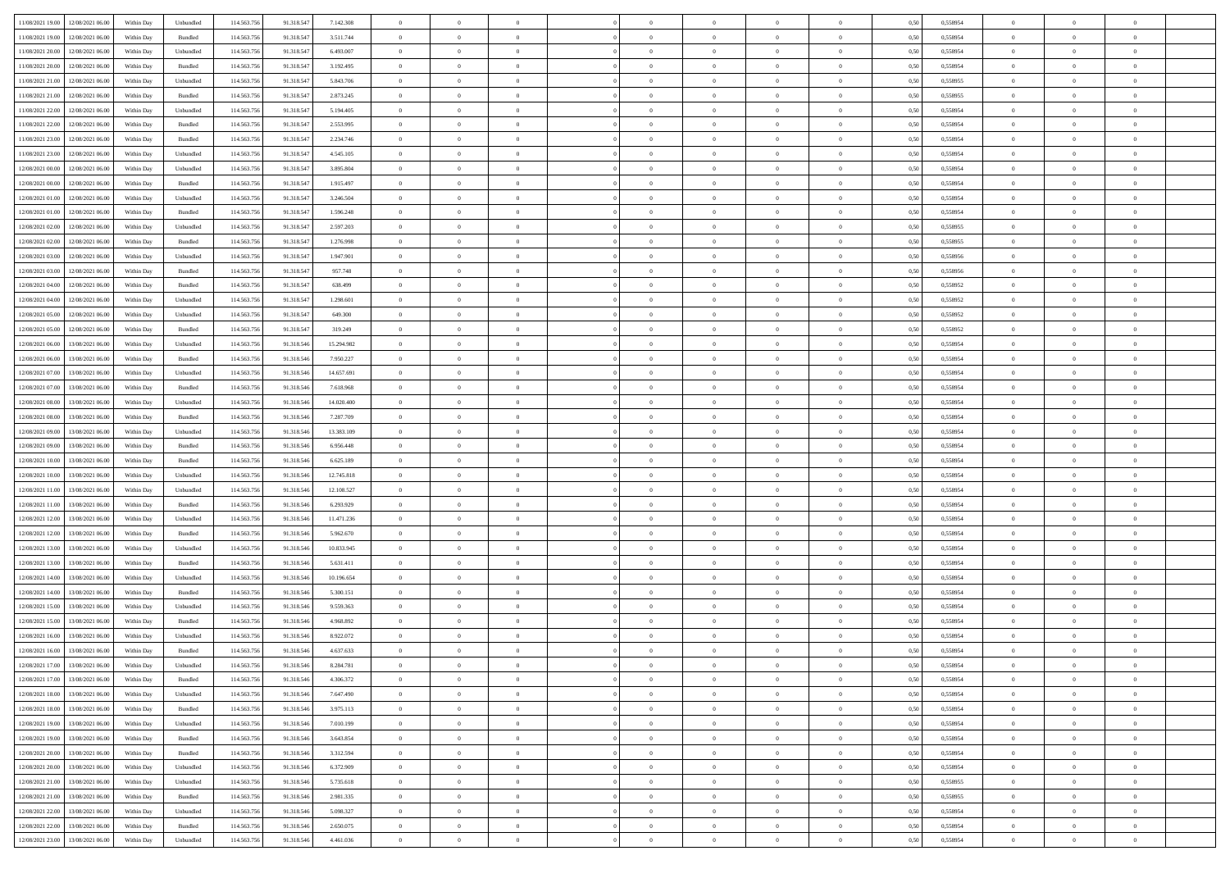| 11/08/2021 19:00 12/08/2021 06:00            |            |                             | 114.563.75  |            |            | $\overline{0}$ | $\overline{0}$ |                | $\overline{0}$ | $\theta$       |                | $\theta$       |      | 0,558954 | $\theta$       | $\theta$       | $\overline{0}$ |  |
|----------------------------------------------|------------|-----------------------------|-------------|------------|------------|----------------|----------------|----------------|----------------|----------------|----------------|----------------|------|----------|----------------|----------------|----------------|--|
|                                              | Within Day | Unbundled                   |             | 91.318.547 | 7.142.308  |                |                |                |                |                |                |                | 0,50 |          |                |                |                |  |
| 11/08/2021 19:00<br>12/08/2021 06:00         | Within Day | Bundled                     | 114.563.75  | 91.318.547 | 3.511.744  | $\bf{0}$       | $\bf{0}$       | $\bf{0}$       | $\bf{0}$       | $\overline{0}$ | $\overline{0}$ | $\bf{0}$       | 0,50 | 0,558954 | $\,$ 0 $\,$    | $\bf{0}$       | $\overline{0}$ |  |
| 11/08/2021 20:00<br>12/08/2021 06:00         | Within Day | Unbundled                   | 114,563,75  | 91.318.547 | 6.493,007  | $\overline{0}$ | $\bf{0}$       | $\overline{0}$ | $\bf{0}$       | $\bf{0}$       | $\overline{0}$ | $\bf{0}$       | 0.50 | 0.558954 | $\overline{0}$ | $\overline{0}$ | $\overline{0}$ |  |
| 11/08/2021 20:00<br>12/08/2021 06:00         | Within Day | Bundled                     | 114.563.75  | 91.318.547 | 3.192.495  | $\overline{0}$ | $\overline{0}$ | $\overline{0}$ | $\overline{0}$ | $\theta$       | $\overline{0}$ | $\bf{0}$       | 0,50 | 0,558954 | $\theta$       | $\theta$       | $\overline{0}$ |  |
|                                              |            |                             |             |            |            |                |                |                |                |                |                |                |      |          |                |                |                |  |
| 11/08/2021 21:00<br>12/08/2021 06:00         | Within Day | Unbundled                   | 114.563.75  | 91.318.547 | 5.843.706  | $\bf{0}$       | $\overline{0}$ | $\bf{0}$       | $\overline{0}$ | $\theta$       | $\overline{0}$ | $\bf{0}$       | 0,50 | 0,558955 | $\,$ 0 $\,$    | $\bf{0}$       | $\overline{0}$ |  |
| 11/08/2021 21:00<br>12/08/2021 06:00         | Within Day | Bundled                     | 114,563,75  | 91.318.547 | 2.873.245  | $\overline{0}$ | $\overline{0}$ | $\overline{0}$ | $\bf{0}$       | $\overline{0}$ | $\theta$       | $\bf{0}$       | 0.50 | 0.558955 | $\,$ 0 $\,$    | $\theta$       | $\overline{0}$ |  |
| 11/08/2021 22:00<br>12/08/2021 06:00         | Within Day | Unbundled                   | 114.563.75  | 91.318.547 | 5.194.405  | $\overline{0}$ | $\overline{0}$ | $\overline{0}$ | $\overline{0}$ | $\overline{0}$ | $\overline{0}$ | $\bf{0}$       | 0,50 | 0,558954 | $\,$ 0 $\,$    | $\theta$       | $\overline{0}$ |  |
| 11/08/2021 22:00<br>12/08/2021 06:00         | Within Day | Bundled                     | 114.563.75  | 91.318.547 | 2.553.995  | $\bf{0}$       | $\bf{0}$       | $\bf{0}$       | $\overline{0}$ | $\overline{0}$ | $\overline{0}$ | $\bf{0}$       | 0,50 | 0,558954 | $\,$ 0 $\,$    | $\bf{0}$       | $\overline{0}$ |  |
| 11/08/2021 23:00<br>12/08/2021 06:00         | Within Day | Bundled                     | 114,563,75  | 91.318.547 | 2.234.746  | $\overline{0}$ | $\bf{0}$       | $\overline{0}$ | $\bf{0}$       | $\overline{0}$ | $\overline{0}$ | $\bf{0}$       | 0.50 | 0.558954 | $\bf{0}$       | $\overline{0}$ | $\overline{0}$ |  |
|                                              |            |                             |             |            |            |                |                |                |                |                |                |                |      |          |                |                |                |  |
| 11/08/2021 23:00<br>12/08/2021 06:00         | Within Day | Unbundled                   | 114.563.756 | 91.318.547 | 4.545.105  | $\bf{0}$       | $\bf{0}$       | $\overline{0}$ | $\overline{0}$ | $\overline{0}$ | $\overline{0}$ | $\bf{0}$       | 0,50 | 0,558954 | $\,$ 0 $\,$    | $\bf{0}$       | $\overline{0}$ |  |
| 12/08/2021 00:00<br>12/08/2021 06:00         | Within Day | Unbundled                   | 114.563.75  | 91.318.547 | 3.895.804  | $\bf{0}$       | $\bf{0}$       | $\bf{0}$       | $\bf{0}$       | $\overline{0}$ | $\overline{0}$ | $\bf{0}$       | 0,50 | 0,558954 | $\,$ 0 $\,$    | $\bf{0}$       | $\overline{0}$ |  |
| 12/08/2021 00:00<br>12/08/2021 06:00         | Within Day | Bundled                     | 114.563.75  | 91.318.547 | 1.915.497  | $\overline{0}$ | $\bf{0}$       | $\overline{0}$ | $\overline{0}$ | $\bf{0}$       | $\overline{0}$ | $\bf{0}$       | 0.50 | 0.558954 | $\bf{0}$       | $\overline{0}$ | $\,$ 0         |  |
| 12/08/2021 01:00<br>12/08/2021 06:00         | Within Day | Unbundled                   | 114.563.75  | 91.318.547 | 3.246.504  | $\overline{0}$ | $\overline{0}$ | $\overline{0}$ | $\theta$       | $\theta$       | $\overline{0}$ | $\bf{0}$       | 0,50 | 0,558954 | $\,$ 0 $\,$    | $\theta$       | $\overline{0}$ |  |
|                                              |            |                             |             |            |            |                | $\overline{0}$ |                |                |                | $\overline{0}$ |                |      |          | $\,$ 0 $\,$    | $\bf{0}$       | $\overline{0}$ |  |
| 12/08/2021 01:00<br>12/08/2021 06:00         | Within Day | Bundled                     | 114.563.75  | 91.318.547 | 1.596.248  | $\bf{0}$       |                | $\bf{0}$       | $\bf{0}$       | $\bf{0}$       |                | $\bf{0}$       | 0,50 | 0,558954 |                |                |                |  |
| 12/08/2021 02:00<br>12/08/2021 06:00         | Within Day | Unbundled                   | 114,563,75  | 91.318.547 | 2.597.203  | $\overline{0}$ | $\bf{0}$       | $\overline{0}$ | $\bf{0}$       | $\overline{0}$ | $\theta$       | $\bf{0}$       | 0.50 | 0.558955 | $\,$ 0 $\,$    | $\theta$       | $\overline{0}$ |  |
| 12/08/2021 02:00<br>12/08/2021 06:00         | Within Day | Bundled                     | 114.563.75  | 91.318.547 | 1.276.998  | $\overline{0}$ | $\overline{0}$ | $\overline{0}$ | $\overline{0}$ | $\overline{0}$ | $\overline{0}$ | $\bf{0}$       | 0,50 | 0,558955 | $\theta$       | $\theta$       | $\overline{0}$ |  |
| 12/08/2021 03:00<br>12/08/2021 06:00         | Within Day | Unbundled                   | 114.563.75  | 91.318.547 | 1.947.901  | $\bf{0}$       | $\bf{0}$       | $\bf{0}$       | $\overline{0}$ | $\,$ 0 $\,$    | $\overline{0}$ | $\bf{0}$       | 0,50 | 0,558956 | $\,$ 0 $\,$    | $\bf{0}$       | $\overline{0}$ |  |
| 12/08/2021 03:00<br>12/08/2021 06:00         | Within Day | Bundled                     | 114,563,75  | 91.318.547 | 957.748    | $\overline{0}$ | $\bf{0}$       | $\overline{0}$ | $\bf{0}$       | $\overline{0}$ | $\overline{0}$ | $\bf{0}$       | 0.50 | 0.558956 | $\bf{0}$       | $\overline{0}$ | $\overline{0}$ |  |
| 12/08/2021 04:00<br>12/08/2021 06:00         | Within Day | Bundled                     | 114.563.75  | 91.318.547 | 638.499    | $\bf{0}$       | $\bf{0}$       | $\overline{0}$ | $\overline{0}$ | $\overline{0}$ | $\overline{0}$ | $\bf{0}$       | 0,50 | 0,558952 | $\,$ 0 $\,$    | $\bf{0}$       | $\overline{0}$ |  |
|                                              |            |                             |             |            |            |                |                |                |                |                |                |                |      |          |                |                |                |  |
| 12/08/2021 04:00<br>12/08/2021 06:00         | Within Day | Unbundled                   | 114.563.75  | 91.318.547 | 1.298.601  | $\bf{0}$       | $\bf{0}$       | $\bf{0}$       | $\bf{0}$       | $\overline{0}$ | $\overline{0}$ | $\bf{0}$       | 0,50 | 0,558952 | $\,$ 0 $\,$    | $\bf{0}$       | $\overline{0}$ |  |
| 12/08/2021 05:00<br>12/08/2021 06:00         | Within Day | Unbundled                   | 114,563,75  | 91.318.547 | 649,300    | $\overline{0}$ | $\bf{0}$       | $\overline{0}$ | $\overline{0}$ | $\bf{0}$       | $\overline{0}$ | $\bf{0}$       | 0.50 | 0.558952 | $\bf{0}$       | $\overline{0}$ | $\,$ 0         |  |
| 12/08/2021 05:00<br>12/08/2021 06:00         | Within Day | Bundled                     | 114.563.75  | 91.318.547 | 319.249    | $\overline{0}$ | $\overline{0}$ | $\overline{0}$ | $\overline{0}$ | $\theta$       | $\overline{0}$ | $\bf{0}$       | 0,50 | 0,558952 | $\theta$       | $\theta$       | $\overline{0}$ |  |
| 12/08/2021 06:00<br>13/08/2021 06:00         | Within Day | Unbundled                   | 114.563.75  | 91.318.54  | 15.294.982 | $\bf{0}$       | $\bf{0}$       | $\bf{0}$       | $\bf{0}$       | $\overline{0}$ | $\overline{0}$ | $\bf{0}$       | 0,50 | 0,558954 | $\,$ 0 $\,$    | $\bf{0}$       | $\overline{0}$ |  |
| 12/08/2021 06:00<br>13/08/2021 06:00         | Within Day | Bundled                     | 114,563,75  | 91.318.54  | 7.950.227  | $\overline{0}$ | $\bf{0}$       | $\overline{0}$ | $\bf{0}$       | $\overline{0}$ | $\theta$       | $\bf{0}$       | 0.50 | 0.558954 | $\,$ 0 $\,$    | $\theta$       | $\overline{0}$ |  |
|                                              |            |                             |             |            |            | $\overline{0}$ | $\overline{0}$ | $\overline{0}$ | $\overline{0}$ | $\overline{0}$ | $\overline{0}$ |                |      |          |                | $\theta$       | $\overline{0}$ |  |
| 12/08/2021 07:00<br>13/08/2021 06:00         | Within Day | Unbundled                   | 114.563.75  | 91.318.546 | 14.657.691 |                |                |                |                |                |                | $\bf{0}$       | 0,50 | 0,558954 | $\,$ 0 $\,$    |                |                |  |
| 12/08/2021 07:00<br>13/08/2021 06:00         | Within Day | Bundled                     | 114.563.75  | 91.318.54  | 7.618.968  | $\bf{0}$       | $\overline{0}$ | $\bf{0}$       | $\overline{0}$ | $\bf{0}$       | $\overline{0}$ | $\bf{0}$       | 0,50 | 0,558954 | $\,$ 0 $\,$    | $\bf{0}$       | $\overline{0}$ |  |
| 12/08/2021 08:00<br>13/08/2021 06:00         | Within Day | Unbundled                   | 114,563,75  | 91.318.54  | 14.020.400 | $\overline{0}$ | $\bf{0}$       | $\overline{0}$ | $\bf{0}$       | $\overline{0}$ | $\overline{0}$ | $\bf{0}$       | 0.50 | 0.558954 | $\bf{0}$       | $\overline{0}$ | $\overline{0}$ |  |
| 12/08/2021 08:00<br>13/08/2021 06:00         | Within Day | Bundled                     | 114.563.756 | 91.318.546 | 7.287.709  | $\overline{0}$ | $\bf{0}$       | $\overline{0}$ | $\overline{0}$ | $\overline{0}$ | $\overline{0}$ | $\bf{0}$       | 0,50 | 0,558954 | $\theta$       | $\theta$       | $\overline{0}$ |  |
| 12/08/2021 09:00<br>13/08/2021 06:00         | Within Day | Unbundled                   | 114.563.75  | 91.318.546 | 13.383.109 | $\bf{0}$       | $\bf{0}$       | $\bf{0}$       | $\bf{0}$       | $\overline{0}$ | $\overline{0}$ | $\bf{0}$       | 0,50 | 0,558954 | $\,$ 0 $\,$    | $\bf{0}$       | $\overline{0}$ |  |
| 12/08/2021 09:00<br>13/08/2021 06:00         | Within Day | Bundled                     | 114,563,75  | 91.318.546 | 6.956.448  | $\overline{0}$ | $\bf{0}$       | $\overline{0}$ | $\overline{0}$ | $\bf{0}$       | $\overline{0}$ | $\bf{0}$       | 0.50 | 0.558954 | $\bf{0}$       | $\overline{0}$ | $\,$ 0         |  |
| 12/08/2021 10:00<br>13/08/2021 06:00         | Within Day | Bundled                     | 114.563.75  | 91.318.546 | 6.625.189  | $\overline{0}$ | $\overline{0}$ | $\overline{0}$ | $\overline{0}$ | $\overline{0}$ | $\overline{0}$ | $\bf{0}$       | 0.50 | 0.558954 | $\theta$       | $\theta$       | $\overline{0}$ |  |
|                                              |            |                             |             |            |            |                |                |                |                |                |                |                |      |          |                |                |                |  |
| 12/08/2021 10:00<br>13/08/2021 06:00         | Within Day | Unbundled                   | 114.563.75  | 91.318.54  | 12.745.818 | $\bf{0}$       | $\bf{0}$       | $\bf{0}$       | $\bf{0}$       | $\overline{0}$ | $\overline{0}$ | $\bf{0}$       | 0,50 | 0,558954 | $\,$ 0 $\,$    | $\bf{0}$       | $\overline{0}$ |  |
| 12/08/2021 11:00<br>13/08/2021 06:00         | Within Day | Unbundled                   | 114,563,75  | 91.318.546 | 12.108.527 | $\overline{0}$ | $\bf{0}$       | $\overline{0}$ | $\bf{0}$       | $\overline{0}$ | $\overline{0}$ | $\bf{0}$       | 0.50 | 0.558954 | $\,$ 0 $\,$    | $\theta$       | $\overline{0}$ |  |
| 12/08/2021 11:00<br>13/08/2021 06:00         | Within Dav | Bundled                     | 114.563.75  | 91.318.546 | 6.293.929  | $\overline{0}$ | $\overline{0}$ | $\overline{0}$ | $\overline{0}$ | $\overline{0}$ | $\overline{0}$ | $\bf{0}$       | 0.50 | 0,558954 | $\theta$       | $\theta$       | $\overline{0}$ |  |
| 12/08/2021 12:00<br>13/08/2021 06:00         | Within Day | Unbundled                   | 114.563.75  | 91.318.546 | 11.471.236 | $\bf{0}$       | $\bf{0}$       | $\bf{0}$       | $\bf{0}$       | $\overline{0}$ | $\overline{0}$ | $\bf{0}$       | 0,50 | 0,558954 | $\,$ 0 $\,$    | $\bf{0}$       | $\overline{0}$ |  |
| 12/08/2021 12:00<br>13/08/2021 06:00         | Within Day | Bundled                     | 114,563,75  | 91.318.54  | 5.962.670  | $\overline{0}$ | $\bf{0}$       | $\overline{0}$ | $\bf{0}$       | $\overline{0}$ | $\overline{0}$ | $\bf{0}$       | 0.50 | 0.558954 | $\bf{0}$       | $\overline{0}$ | $\overline{0}$ |  |
| 12/08/2021 13:00<br>13/08/2021 06:00         | Within Dav | Unbundled                   | 114.563.75  | 91.318.546 | 10.833.945 | $\overline{0}$ | $\overline{0}$ | $\overline{0}$ | $\overline{0}$ | $\overline{0}$ | $\overline{0}$ | $\bf{0}$       | 0.50 | 0,558954 | $\theta$       | $\theta$       | $\overline{0}$ |  |
|                                              |            |                             |             |            |            |                |                |                |                |                |                |                |      |          |                |                |                |  |
| 12/08/2021 13:00<br>13/08/2021 06:00         | Within Day | Bundled                     | 114.563.75  | 91.318.54  | 5.631.411  | $\bf{0}$       | $\bf{0}$       | $\bf{0}$       | $\bf{0}$       | $\overline{0}$ | $\overline{0}$ | $\bf{0}$       | 0,50 | 0,558954 | $\,$ 0 $\,$    | $\bf{0}$       | $\overline{0}$ |  |
| 12/08/2021 14:00<br>13/08/2021 06:00         | Within Day | Unbundled                   | 114.563.75  | 91.318.546 | 10.196.654 | $\overline{0}$ | $\bf{0}$       | $\overline{0}$ | $\overline{0}$ | $\bf{0}$       | $\overline{0}$ | $\bf{0}$       | 0.50 | 0.558954 | $\bf{0}$       | $\overline{0}$ | $\overline{0}$ |  |
| 12/08/2021 14:00<br>13/08/2021 06:00         | Within Dav | Bundled                     | 114.563.75  | 91.318.546 | 5.300.151  | $\overline{0}$ | $\overline{0}$ | $\overline{0}$ | $\overline{0}$ | $\overline{0}$ | $\overline{0}$ | $\bf{0}$       | 0.50 | 0,558954 | $\theta$       | $\theta$       | $\overline{0}$ |  |
| 12/08/2021 15:00<br>13/08/2021 06:00         | Within Day | Unbundled                   | 114.563.75  | 91.318.54  | 9.559.363  | $\bf{0}$       | $\bf{0}$       | $\bf{0}$       | $\overline{0}$ | $\overline{0}$ | $\overline{0}$ | $\bf{0}$       | 0,50 | 0,558954 | $\,$ 0 $\,$    | $\bf{0}$       | $\overline{0}$ |  |
| 12/08/2021 15:00<br>13/08/2021 06:00         | Within Day | Bundled                     | 114,563,75  | 91.318.54  | 4.968.892  | $\overline{0}$ | $\overline{0}$ | $\overline{0}$ | $\bf{0}$       | $\overline{0}$ | $\Omega$       | $\bf{0}$       | 0.50 | 0.558954 | $\bf{0}$       | $\theta$       | $\overline{0}$ |  |
| 12/08/2021 16:00<br>13/08/2021 06:00         | Within Dav | Unbundled                   | 114.563.75  | 91.318.54  | 8.922.072  | $\overline{0}$ | $\overline{0}$ | $\overline{0}$ | $\theta$       | $\theta$       | $\overline{0}$ | $\overline{0}$ | 0.5( | 0,558954 | $\theta$       | $\theta$       | $\overline{0}$ |  |
|                                              |            |                             |             |            |            |                |                |                |                |                |                |                |      |          |                |                |                |  |
| 12/08/2021 16:00<br>13/08/2021 06:00         | Within Day | Bundled                     | 114.563.75  | 91.318.546 | 4.637.633  | $\bf{0}$       | $\bf{0}$       | $\bf{0}$       | $\bf{0}$       | $\bf{0}$       | $\overline{0}$ | $\bf{0}$       | 0,50 | 0,558954 | $\,$ 0 $\,$    | $\overline{0}$ | $\overline{0}$ |  |
| $12/08/2021\ 17.00 \qquad 13/08/2021\ 06.00$ | Within Day | $\ensuremath{\mathsf{Unb}}$ | 114.563.756 | 91.318.546 | 8.284.781  | $\bf{0}$       | $\theta$       |                | $\overline{0}$ |                |                |                | 0,50 | 0.558954 | $\bf{0}$       | $\overline{0}$ |                |  |
| 12/08/2021 17:00 13/08/2021 06:00            | Within Day | Bundled                     | 114.563.756 | 91.318.546 | 4.306.372  | $\overline{0}$ | $\overline{0}$ | $\Omega$       | $\theta$       | $\overline{0}$ | $\overline{0}$ | $\bf{0}$       | 0,50 | 0,558954 | $\theta$       | $\theta$       | $\overline{0}$ |  |
| 12/08/2021 18:00<br>13/08/2021 06:00         | Within Day | Unbundled                   | 114.563.75  | 91.318.546 | 7.647.490  | $\overline{0}$ | $\bf{0}$       | $\overline{0}$ | $\overline{0}$ | $\bf{0}$       | $\overline{0}$ | $\bf{0}$       | 0,50 | 0,558954 | $\bf{0}$       | $\overline{0}$ | $\bf{0}$       |  |
| 12/08/2021 18:00 13/08/2021 06:00            | Within Day | Bundled                     | 114,563,756 | 91.318.546 | 3.975.113  | $\overline{0}$ | $\bf{0}$       | $\overline{0}$ | $\overline{0}$ | $\mathbf{0}$   | $\overline{0}$ | $\,$ 0 $\,$    | 0.50 | 0.558954 | $\overline{0}$ | $\bf{0}$       | $\,$ 0 $\,$    |  |
|                                              |            |                             |             |            |            |                |                |                |                |                |                |                |      |          |                |                |                |  |
| 12/08/2021 19:00 13/08/2021 06:00            | Within Day | Unbundled                   | 114.563.756 | 91.318.546 | 7.010.199  | $\overline{0}$ | $\overline{0}$ | $\overline{0}$ | $\overline{0}$ | $\overline{0}$ | $\overline{0}$ | $\bf{0}$       | 0,50 | 0,558954 | $\overline{0}$ | $\theta$       | $\overline{0}$ |  |
| 12/08/2021 19:00<br>13/08/2021 06:00         | Within Day | Bundled                     | 114.563.75  | 91.318.546 | 3.643.854  | $\overline{0}$ | $\bf{0}$       | $\overline{0}$ | $\overline{0}$ | $\bf{0}$       | $\overline{0}$ | $\bf{0}$       | 0,50 | 0,558954 | $\bf{0}$       | $\overline{0}$ | $\overline{0}$ |  |
| 13/08/2021 06:00<br>12/08/2021 20:00         | Within Day | Bundled                     | 114.563.756 | 91.318.546 | 3.312.594  | $\overline{0}$ | $\bf{0}$       | $\overline{0}$ | $\overline{0}$ | $\bf{0}$       | $\overline{0}$ | $\bf{0}$       | 0.50 | 0.558954 | $\,$ 0 $\,$    | $\overline{0}$ | $\,$ 0         |  |
| 12/08/2021 20:00<br>13/08/2021 06:00         | Within Dav | Unbundled                   | 114.563.756 | 91.318.546 | 6.372.909  | $\overline{0}$ | $\overline{0}$ | $\overline{0}$ | $\overline{0}$ | $\overline{0}$ | $\overline{0}$ | $\bf{0}$       | 0.50 | 0,558954 | $\overline{0}$ | $\theta$       | $\overline{0}$ |  |
| 12/08/2021 21:00<br>13/08/2021 06:00         | Within Day | Unbundled                   | 114.563.75  | 91.318.546 | 5.735.618  | $\overline{0}$ | $\overline{0}$ | $\overline{0}$ | $\overline{0}$ | $\overline{0}$ | $\overline{0}$ | $\bf{0}$       | 0,50 | 0,558955 | $\bf{0}$       | $\overline{0}$ | $\overline{0}$ |  |
| 12/08/2021 21:00 13/08/2021 06:00            |            |                             |             |            |            |                |                |                |                |                |                |                |      |          |                |                |                |  |
|                                              | Within Day | Bundled                     | 114.563.75  | 91.318.546 | 2.981.335  | $\overline{0}$ | $\overline{0}$ | $\overline{0}$ | $\overline{0}$ | $\overline{0}$ | $\overline{0}$ | $\bf{0}$       | 0.50 | 0.558955 | $\mathbf{0}$   | $\bf{0}$       | $\,$ 0         |  |
| 12/08/2021 22:00 13/08/2021 06:00            | Within Dav | Unbundled                   | 114.563.756 | 91.318.546 | 5.098.327  | $\overline{0}$ | $\overline{0}$ | $\overline{0}$ | $\overline{0}$ | $\overline{0}$ | $\overline{0}$ | $\bf{0}$       | 0,50 | 0,558954 | $\overline{0}$ | $\theta$       | $\overline{0}$ |  |
| 12/08/2021 22:00<br>13/08/2021 06:00         | Within Day | Bundled                     | 114.563.75  | 91.318.546 | 2.650.075  | $\overline{0}$ | $\bf{0}$       | $\overline{0}$ | $\bf{0}$       | $\overline{0}$ | $\overline{0}$ | $\bf{0}$       | 0,50 | 0,558954 | $\bf{0}$       | $\,$ 0 $\,$    | $\bf{0}$       |  |
| 12/08/2021 23:00 13/08/2021 06:00            | Within Day | Unbundled                   | 114.563.756 | 91.318.546 | 4.461.036  | $\overline{0}$ | $\bf{0}$       | $\overline{0}$ | $\overline{0}$ | $\,$ 0 $\,$    | $\overline{0}$ | $\bf{0}$       | 0,50 | 0,558954 | $\overline{0}$ | $\,$ 0 $\,$    | $\,$ 0 $\,$    |  |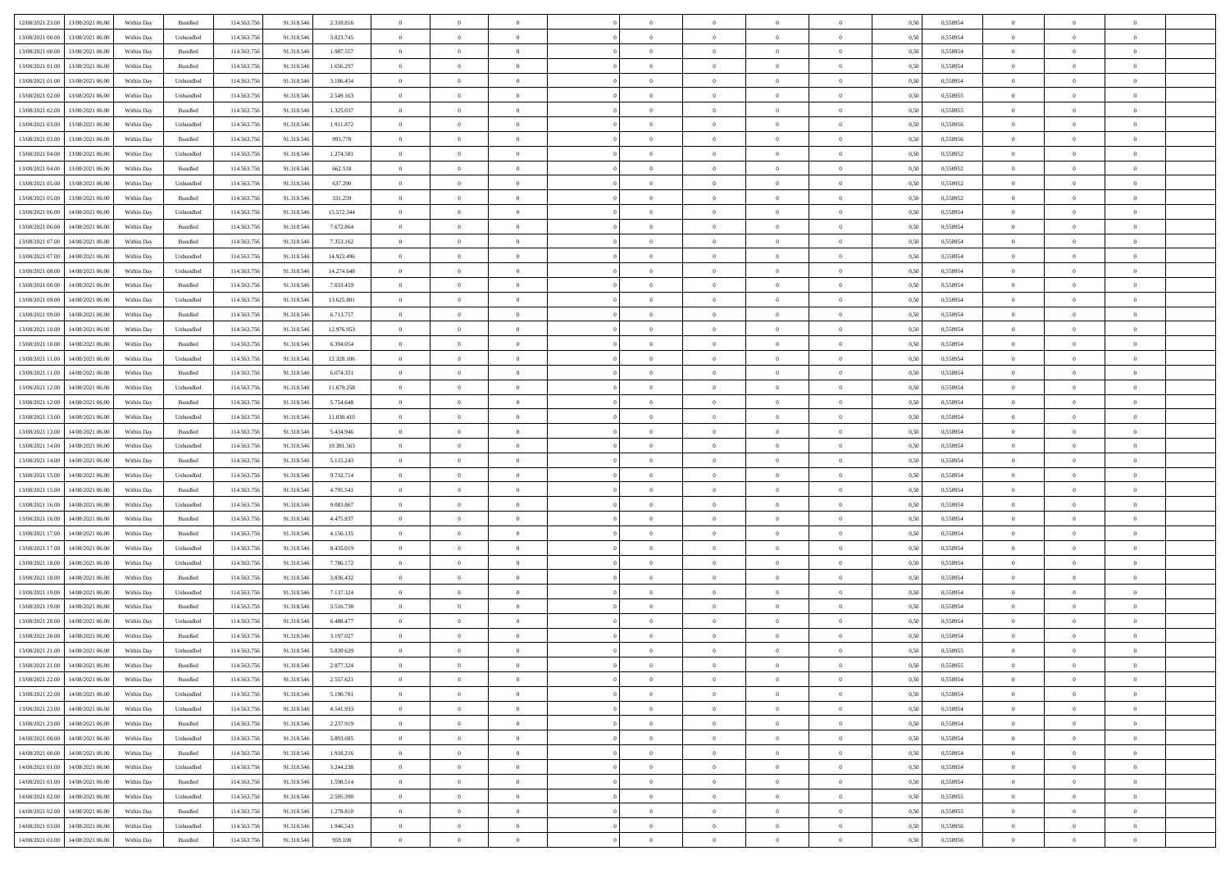|                                                |            |           |             |            |            | $\overline{0}$ | $\overline{0}$ |                | $\overline{0}$ | $\theta$       |                | $\theta$       |      |          | $\theta$       | $\theta$       | $\overline{0}$ |  |
|------------------------------------------------|------------|-----------|-------------|------------|------------|----------------|----------------|----------------|----------------|----------------|----------------|----------------|------|----------|----------------|----------------|----------------|--|
| 12/08/2021 23:00 13/08/2021 06:00              | Within Day | Bundled   | 114.563.75  | 91.318.546 | 2.318.816  |                |                |                |                |                |                |                | 0,50 | 0,558954 |                |                |                |  |
| 13/08/2021 00:00<br>13/08/2021 06:00           | Within Day | Unbundled | 114.563.75  | 91.318.54  | 3.823.745  | $\bf{0}$       | $\bf{0}$       | $\bf{0}$       | $\bf{0}$       | $\overline{0}$ | $\overline{0}$ | $\bf{0}$       | 0,50 | 0,558954 | $\,$ 0 $\,$    | $\bf{0}$       | $\overline{0}$ |  |
| 13/08/2021 00:00<br>13/08/2021 06:00           | Within Day | Bundled   | 114,563,75  | 91.318.546 | 1.987.557  | $\overline{0}$ | $\bf{0}$       | $\overline{0}$ | $\bf{0}$       | $\bf{0}$       | $\overline{0}$ | $\bf{0}$       | 0.50 | 0.558954 | $\bf{0}$       | $\overline{0}$ | $\overline{0}$ |  |
| 13/08/2021 01:00<br>13/08/2021 06:00           | Within Day | Bundled   | 114.563.75  | 91.318.546 | 1.656.297  | $\overline{0}$ | $\overline{0}$ | $\overline{0}$ | $\overline{0}$ | $\theta$       | $\overline{0}$ | $\bf{0}$       | 0,50 | 0,558954 | $\theta$       | $\theta$       | $\overline{0}$ |  |
| 13/08/2021 01:00<br>13/08/2021 06:00           | Within Day | Unbundled | 114.563.75  | 91.318.54  | 3.186.454  | $\bf{0}$       | $\overline{0}$ | $\bf{0}$       | $\overline{0}$ | $\theta$       | $\overline{0}$ | $\bf{0}$       | 0,50 | 0,558954 | $\,$ 0 $\,$    | $\bf{0}$       | $\overline{0}$ |  |
|                                                |            |           |             |            |            |                |                |                |                |                |                |                |      |          |                |                |                |  |
| 13/08/2021 02:00<br>13/08/2021 06:00           | Within Day | Unbundled | 114,563,75  | 91.318.54  | 2.549.163  | $\overline{0}$ | $\overline{0}$ | $\overline{0}$ | $\bf{0}$       | $\overline{0}$ | $\theta$       | $\bf{0}$       | 0.50 | 0.558955 | $\,$ 0 $\,$    | $\theta$       | $\overline{0}$ |  |
| 13/08/2021 02:00<br>13/08/2021 06:00           | Within Day | Bundled   | 114.563.75  | 91.318.546 | 1.325.037  | $\overline{0}$ | $\overline{0}$ | $\overline{0}$ | $\overline{0}$ | $\overline{0}$ | $\overline{0}$ | $\bf{0}$       | 0,50 | 0,558955 | $\,$ 0 $\,$    | $\theta$       | $\overline{0}$ |  |
| 13/08/2021 03:00<br>13/08/2021 06:00           | Within Day | Unbundled | 114.563.75  | 91.318.54  | 1.911.872  | $\bf{0}$       | $\bf{0}$       | $\bf{0}$       | $\overline{0}$ | $\overline{0}$ | $\overline{0}$ | $\bf{0}$       | 0,50 | 0,558956 | $\,$ 0 $\,$    | $\bf{0}$       | $\overline{0}$ |  |
| 13/08/2021 03:00<br>13/08/2021 06:00           | Within Day | Bundled   | 114,563,75  | 91.318.54  | 993.778    | $\overline{0}$ | $\bf{0}$       | $\overline{0}$ | $\bf{0}$       | $\overline{0}$ | $\overline{0}$ | $\bf{0}$       | 0.50 | 0.558956 | $\bf{0}$       | $\overline{0}$ | $\overline{0}$ |  |
| 13/08/2021 04:00<br>13/08/2021 06:00           | Within Day | Unbundled | 114.563.75  | 91.318.546 | 1.274.581  | $\bf{0}$       | $\bf{0}$       | $\overline{0}$ | $\overline{0}$ | $\overline{0}$ | $\overline{0}$ | $\bf{0}$       | 0,50 | 0,558952 | $\,$ 0 $\,$    | $\bf{0}$       | $\overline{0}$ |  |
| 13/08/2021 04:00<br>13/08/2021 06:00           | Within Day | Bundled   | 114.563.75  | 91.318.54  | 662.518    | $\bf{0}$       | $\bf{0}$       | $\bf{0}$       | $\bf{0}$       | $\overline{0}$ | $\overline{0}$ | $\bf{0}$       | 0,50 | 0,558952 | $\,$ 0 $\,$    | $\bf{0}$       | $\overline{0}$ |  |
| 13/08/2021 05:00<br>13/08/2021 06:00           | Within Day | Unbundled | 114,563,75  | 91.318.546 | 637.290    | $\overline{0}$ | $\bf{0}$       | $\overline{0}$ | $\overline{0}$ | $\bf{0}$       | $\overline{0}$ | $\bf{0}$       | 0.50 | 0.558952 | $\bf{0}$       | $\overline{0}$ | $\,$ 0         |  |
|                                                |            |           |             |            |            | $\overline{0}$ | $\overline{0}$ | $\overline{0}$ | $\theta$       | $\theta$       | $\overline{0}$ |                |      |          | $\,$ 0 $\,$    | $\theta$       |                |  |
| 13/08/2021 05:00<br>13/08/2021 06:00           | Within Day | Bundled   | 114.563.75  | 91.318.546 | 331.259    |                |                |                |                |                |                | $\bf{0}$       | 0,50 | 0,558952 |                |                | $\overline{0}$ |  |
| 13/08/2021 06:00<br>14/08/2021 06:00           | Within Day | Unbundled | 114.563.75  | 91.318.54  | 15.572.344 | $\bf{0}$       | $\overline{0}$ | $\bf{0}$       | $\bf{0}$       | $\bf{0}$       | $\overline{0}$ | $\bf{0}$       | 0,50 | 0,558954 | $\,$ 0 $\,$    | $\bf{0}$       | $\overline{0}$ |  |
| 13/08/2021 06:00<br>14/08/2021 06:00           | Within Day | Bundled   | 114,563,75  | 91.318.546 | 7.672.864  | $\overline{0}$ | $\bf{0}$       | $\overline{0}$ | $\bf{0}$       | $\overline{0}$ | $\theta$       | $\bf{0}$       | 0.50 | 0.558954 | $\,$ 0 $\,$    | $\theta$       | $\overline{0}$ |  |
| 13/08/2021 07:00<br>14/08/2021 06:00           | Within Day | Bundled   | 114.563.75  | 91.318.546 | 7.353.162  | $\overline{0}$ | $\overline{0}$ | $\overline{0}$ | $\overline{0}$ | $\overline{0}$ | $\overline{0}$ | $\bf{0}$       | 0,50 | 0,558954 | $\theta$       | $\theta$       | $\overline{0}$ |  |
| 13/08/2021 07:00<br>14/08/2021 06:00           | Within Day | Unbundled | 114.563.75  | 91.318.54  | 14.923.496 | $\bf{0}$       | $\bf{0}$       | $\bf{0}$       | $\overline{0}$ | $\overline{0}$ | $\overline{0}$ | $\bf{0}$       | 0,50 | 0,558954 | $\,$ 0 $\,$    | $\bf{0}$       | $\overline{0}$ |  |
| 13/08/2021 08:00<br>14/08/2021 06:00           | Within Day | Unbundled | 114,563,75  | 91.318.54  | 14.274.648 | $\overline{0}$ | $\bf{0}$       | $\overline{0}$ | $\bf{0}$       | $\overline{0}$ | $\overline{0}$ | $\bf{0}$       | 0.50 | 0.558954 | $\bf{0}$       | $\overline{0}$ | $\bf{0}$       |  |
| 13/08/2021 08:00<br>14/08/2021 06:00           | Within Day | Bundled   | 114.563.75  | 91.318.546 | 7.033.459  | $\bf{0}$       | $\bf{0}$       | $\overline{0}$ | $\overline{0}$ | $\overline{0}$ | $\overline{0}$ | $\bf{0}$       | 0,50 | 0,558954 | $\,$ 0 $\,$    | $\bf{0}$       | $\overline{0}$ |  |
| 13/08/2021 09:00<br>14/08/2021 06:00           | Within Day | Unbundled | 114.563.75  | 91.318.54  | 13.625.801 | $\bf{0}$       | $\bf{0}$       | $\bf{0}$       | $\bf{0}$       | $\overline{0}$ | $\overline{0}$ | $\bf{0}$       | 0,50 | 0,558954 | $\,$ 0 $\,$    | $\bf{0}$       | $\overline{0}$ |  |
|                                                |            |           |             |            |            |                |                |                |                |                |                |                |      |          |                |                |                |  |
| 13/08/2021 09:00<br>14/08/2021 06:00           | Within Day | Bundled   | 114,563,75  | 91.318.546 | 6.713.757  | $\overline{0}$ | $\bf{0}$       | $\overline{0}$ | $\overline{0}$ | $\bf{0}$       | $\overline{0}$ | $\bf{0}$       | 0.50 | 0.558954 | $\bf{0}$       | $\overline{0}$ | $\,$ 0         |  |
| 13/08/2021 10:00<br>14/08/2021 06:00           | Within Day | Unbundled | 114.563.75  | 91.318.546 | 12.976.953 | $\overline{0}$ | $\overline{0}$ | $\overline{0}$ | $\overline{0}$ | $\theta$       | $\overline{0}$ | $\bf{0}$       | 0,50 | 0,558954 | $\theta$       | $\theta$       | $\overline{0}$ |  |
| 13/08/2021 10:00<br>14/08/2021 06:00           | Within Day | Bundled   | 114.563.75  | 91.318.54  | 6.394.054  | $\bf{0}$       | $\bf{0}$       | $\bf{0}$       | $\bf{0}$       | $\overline{0}$ | $\overline{0}$ | $\bf{0}$       | 0,50 | 0,558954 | $\,$ 0 $\,$    | $\bf{0}$       | $\overline{0}$ |  |
| 13/08/2021 11:00<br>14/08/2021 06:00           | Within Day | Unbundled | 114,563,75  | 91.318.54  | 12.328.106 | $\overline{0}$ | $\bf{0}$       | $\overline{0}$ | $\bf{0}$       | $\overline{0}$ | $\theta$       | $\bf{0}$       | 0.50 | 0.558954 | $\,$ 0 $\,$    | $\theta$       | $\overline{0}$ |  |
| 13/08/2021 11:00<br>14/08/2021 06:00           | Within Day | Bundled   | 114.563.75  | 91.318.546 | 6.074.351  | $\overline{0}$ | $\overline{0}$ | $\overline{0}$ | $\overline{0}$ | $\overline{0}$ | $\overline{0}$ | $\bf{0}$       | 0,50 | 0,558954 | $\,$ 0 $\,$    | $\theta$       | $\overline{0}$ |  |
| 13/08/2021 12:00<br>14/08/2021 06:00           | Within Day | Unbundled | 114.563.75  | 91.318.54  | 11.679.258 | $\bf{0}$       | $\overline{0}$ | $\bf{0}$       | $\overline{0}$ | $\overline{0}$ | $\overline{0}$ | $\bf{0}$       | 0,50 | 0,558954 | $\,$ 0 $\,$    | $\bf{0}$       | $\overline{0}$ |  |
| 13/08/2021 12:00<br>14/08/2021 06:00           | Within Day | Bundled   | 114,563,75  | 91.318.54  | 5.754.648  | $\overline{0}$ | $\bf{0}$       | $\overline{0}$ | $\bf{0}$       | $\overline{0}$ | $\overline{0}$ | $\bf{0}$       | 0.50 | 0.558954 | $\bf{0}$       | $\overline{0}$ | $\overline{0}$ |  |
| 13/08/2021 13:00<br>14/08/2021 06:00           | Within Day | Unbundled | 114.563.75  | 91.318.546 | 11.030.410 | $\overline{0}$ | $\bf{0}$       | $\overline{0}$ | $\overline{0}$ | $\overline{0}$ | $\overline{0}$ | $\bf{0}$       | 0,50 | 0,558954 | $\theta$       | $\theta$       | $\overline{0}$ |  |
| 14/08/2021 06:00                               | Within Day | Bundled   | 114.563.75  | 91.318.546 | 5.434.946  | $\bf{0}$       | $\bf{0}$       | $\bf{0}$       | $\bf{0}$       | $\overline{0}$ | $\overline{0}$ | $\bf{0}$       | 0,50 | 0,558954 | $\,$ 0 $\,$    | $\bf{0}$       | $\overline{0}$ |  |
| 13/08/2021 13:00                               |            |           |             |            |            |                |                |                |                |                |                |                |      |          |                |                |                |  |
| 13/08/2021 14:00<br>14/08/2021 06:00           | Within Day | Unbundled | 114,563,75  | 91.318.546 | 10.381.563 | $\overline{0}$ | $\bf{0}$       | $\overline{0}$ | $\overline{0}$ | $\bf{0}$       | $\overline{0}$ | $\bf{0}$       | 0.50 | 0.558954 | $\bf{0}$       | $\overline{0}$ | $\,$ 0         |  |
| 13/08/2021 14:00<br>14/08/2021 06:00           | Within Day | Bundled   | 114.563.75  | 91.318.54  | 5.115.243  | $\overline{0}$ | $\overline{0}$ | $\overline{0}$ | $\overline{0}$ | $\overline{0}$ | $\overline{0}$ | $\bf{0}$       | 0.50 | 0.558954 | $\theta$       | $\theta$       | $\overline{0}$ |  |
| 13/08/2021 15:00<br>14/08/2021 06:00           | Within Day | Unbundled | 114.563.75  | 91.318.54  | 9.732.714  | $\bf{0}$       | $\bf{0}$       | $\bf{0}$       | $\bf{0}$       | $\overline{0}$ | $\overline{0}$ | $\bf{0}$       | 0,50 | 0,558954 | $\,$ 0 $\,$    | $\bf{0}$       | $\overline{0}$ |  |
| 13/08/2021 15:00<br>14/08/2021 06:00           | Within Day | Bundled   | 114,563,75  | 91.318.546 | 4.795.541  | $\overline{0}$ | $\bf{0}$       | $\overline{0}$ | $\bf{0}$       | $\overline{0}$ | $\overline{0}$ | $\bf{0}$       | 0.50 | 0.558954 | $\,$ 0 $\,$    | $\bf{0}$       | $\overline{0}$ |  |
| 13/08/2021 16:00<br>14/08/2021 06:00           | Within Dav | Unbundled | 114.563.75  | 91.318.546 | 9.083.867  | $\overline{0}$ | $\overline{0}$ | $\overline{0}$ | $\overline{0}$ | $\overline{0}$ | $\overline{0}$ | $\bf{0}$       | 0.50 | 0,558954 | $\theta$       | $\theta$       | $\overline{0}$ |  |
| 13/08/2021 16:00<br>14/08/2021 06:00           | Within Day | Bundled   | 114.563.75  | 91.318.54  | 4.475.837  | $\bf{0}$       | $\bf{0}$       | $\bf{0}$       | $\bf{0}$       | $\overline{0}$ | $\overline{0}$ | $\bf{0}$       | 0,50 | 0,558954 | $\,$ 0 $\,$    | $\bf{0}$       | $\overline{0}$ |  |
| 13/08/2021 17:00<br>14/08/2021 06:00           | Within Day | Bundled   | 114,563,75  | 91.318.54  | 4.156.135  | $\overline{0}$ | $\bf{0}$       | $\overline{0}$ | $\bf{0}$       | $\overline{0}$ | $\overline{0}$ | $\bf{0}$       | 0.50 | 0.558954 | $\bf{0}$       | $\overline{0}$ | $\overline{0}$ |  |
| 13/08/2021 17:00<br>14/08/2021 06:00           | Within Dav | Unbundled | 114.563.75  | 91.318.546 | 8.435.019  | $\overline{0}$ | $\overline{0}$ | $\overline{0}$ | $\overline{0}$ | $\overline{0}$ | $\overline{0}$ | $\bf{0}$       | 0.50 | 0,558954 | $\theta$       | $\theta$       | $\overline{0}$ |  |
|                                                |            |           |             |            |            |                |                |                |                |                |                |                |      |          |                |                |                |  |
| 13/08/2021 18:00<br>14/08/2021 06:00           | Within Day | Unbundled | 114.563.75  | 91.318.54  | 7.786.172  | $\bf{0}$       | $\bf{0}$       | $\bf{0}$       | $\bf{0}$       | $\overline{0}$ | $\overline{0}$ | $\bf{0}$       | 0,50 | 0,558954 | $\,$ 0 $\,$    | $\bf{0}$       | $\overline{0}$ |  |
| 13/08/2021 18:00<br>14/08/2021 06:00           | Within Day | Bundled   | 114,563,75  | 91.318.546 | 3.836.432  | $\overline{0}$ | $\bf{0}$       | $\overline{0}$ | $\overline{0}$ | $\bf{0}$       | $\overline{0}$ | $\bf{0}$       | 0.50 | 0.558954 | $\bf{0}$       | $\overline{0}$ | $\,$ 0         |  |
| 13/08/2021 19:00<br>14/08/2021 06:00           | Within Dav | Unbundled | 114.563.75  | 91.318.546 | 7.137.324  | $\overline{0}$ | $\overline{0}$ | $\overline{0}$ | $\overline{0}$ | $\overline{0}$ | $\overline{0}$ | $\bf{0}$       | 0.50 | 0.558954 | $\theta$       | $\theta$       | $\overline{0}$ |  |
| 13/08/2021 19:00<br>14/08/2021 06:00           | Within Day | Bundled   | 114.563.75  | 91.318.54  | 3.516.730  | $\bf{0}$       | $\bf{0}$       | $\bf{0}$       | $\bf{0}$       | $\overline{0}$ | $\overline{0}$ | $\bf{0}$       | 0,50 | 0,558954 | $\,$ 0 $\,$    | $\bf{0}$       | $\overline{0}$ |  |
| 13/08/2021 20:00<br>14/08/2021 06:00           | Within Day | Unbundled | 114,563,75  | 91.318.54  | 6.488.477  | $\overline{0}$ | $\overline{0}$ | $\overline{0}$ | $\bf{0}$       | $\overline{0}$ | $\Omega$       | $\bf{0}$       | 0.50 | 0.558954 | $\bf{0}$       | $\theta$       | $\overline{0}$ |  |
| 13/08/2021 20:00<br>14/08/2021 06:00           | Within Dav | Bundled   | 114.563.75  | 91.318.54  | 3.197.027  | $\overline{0}$ | $\overline{0}$ | $\overline{0}$ | $\overline{0}$ | $\theta$       | $\overline{0}$ | $\overline{0}$ | 0.5( | 0,558954 | $\theta$       | $\theta$       | $\overline{0}$ |  |
| 13/08/2021 21:00<br>14/08/2021 06:00           | Within Day | Unbundled | 114.563.75  | 91.318.546 | 5.839.629  | $\bf{0}$       | $\bf{0}$       | $\bf{0}$       | $\bf{0}$       | $\bf{0}$       | $\overline{0}$ | $\bf{0}$       | 0,50 | 0,558955 | $\,$ 0 $\,$    | $\overline{0}$ | $\overline{0}$ |  |
| $13/08/2021\; 21.00 \qquad 14/08/2021\; 06.00$ | Within Day | Bundled   | 114.563.756 | 91.318.546 | 2.877.324  | $\bf{0}$       | $\theta$       |                | $\overline{0}$ |                |                |                | 0,50 | 0.558955 | $\bf{0}$       | $\bf{0}$       |                |  |
| 13/08/2021 22:00 14/08/2021 06:00              | Within Day | Bundled   | 114.563.756 | 91.318.546 | 2.557.621  | $\overline{0}$ | $\overline{0}$ | $\Omega$       | $\theta$       | $\overline{0}$ | $\overline{0}$ | $\bf{0}$       | 0,50 | 0,558954 | $\theta$       | $\overline{0}$ | $\overline{0}$ |  |
|                                                |            |           |             |            |            |                |                |                |                |                |                |                |      |          |                |                |                |  |
| 13/08/2021 22:00<br>14/08/2021 06:00           | Within Day | Unbundled | 114.563.75  | 91.318.546 | 5.190.781  | $\overline{0}$ | $\bf{0}$       | $\overline{0}$ | $\overline{0}$ | $\bf{0}$       | $\overline{0}$ | $\bf{0}$       | 0,50 | 0,558954 | $\bf{0}$       | $\overline{0}$ | $\bf{0}$       |  |
| 13/08/2021 23:00 14/08/2021 06:00              | Within Day | Unbundled | 114,563,756 | 91.318.546 | 4.541.933  | $\overline{0}$ | $\bf{0}$       | $\overline{0}$ | $\overline{0}$ | $\mathbf{0}$   | $\overline{0}$ | $\,$ 0 $\,$    | 0.50 | 0.558954 | $\overline{0}$ | $\bf{0}$       | $\,$ 0 $\,$    |  |
| 13/08/2021 23:00 14/08/2021 06:00              | Within Day | Bundled   | 114.563.756 | 91.318.546 | 2.237.919  | $\overline{0}$ | $\overline{0}$ | $\overline{0}$ | $\overline{0}$ | $\overline{0}$ | $\overline{0}$ | $\bf{0}$       | 0,50 | 0,558954 | $\overline{0}$ | $\theta$       | $\overline{0}$ |  |
| 14/08/2021 00:00<br>14/08/2021 06:00           | Within Day | Unbundled | 114.563.75  | 91.318.546 | 3.893.085  | $\overline{0}$ | $\bf{0}$       | $\overline{0}$ | $\overline{0}$ | $\bf{0}$       | $\overline{0}$ | $\bf{0}$       | 0,50 | 0,558954 | $\bf{0}$       | $\overline{0}$ | $\overline{0}$ |  |
| 14/08/2021 06:00<br>14/08/2021 00:00           | Within Day | Bundled   | 114.563.756 | 91.318.546 | 1.918.216  | $\overline{0}$ | $\bf{0}$       | $\overline{0}$ | $\overline{0}$ | $\bf{0}$       | $\overline{0}$ | $\bf{0}$       | 0.50 | 0.558954 | $\,$ 0 $\,$    | $\overline{0}$ | $\,$ 0         |  |
| 14/08/2021 01:00<br>14/08/2021 06:00           | Within Dav | Unbundled | 114.563.756 | 91.318.546 | 3.244.238  | $\overline{0}$ | $\overline{0}$ | $\overline{0}$ | $\overline{0}$ | $\overline{0}$ | $\overline{0}$ | $\bf{0}$       | 0.50 | 0,558954 | $\overline{0}$ | $\theta$       | $\overline{0}$ |  |
| 14/08/2021 01:00<br>14/08/2021 06:00           | Within Day | Bundled   | 114.563.75  | 91.318.546 | 1.598.514  | $\overline{0}$ | $\overline{0}$ | $\overline{0}$ | $\overline{0}$ | $\overline{0}$ | $\overline{0}$ | $\bf{0}$       | 0,50 | 0,558954 | $\bf{0}$       | $\overline{0}$ | $\overline{0}$ |  |
|                                                |            |           |             |            |            |                |                |                |                |                |                |                |      |          |                |                |                |  |
| 14/08/2021 02:00<br>14/08/2021 06:00           | Within Day | Unbundled | 114.563.75  | 91.318.546 | 2.595.390  | $\overline{0}$ | $\overline{0}$ | $\overline{0}$ | $\overline{0}$ | $\overline{0}$ | $\overline{0}$ | $\bf{0}$       | 0.50 | 0.558955 | $\mathbf{0}$   | $\bf{0}$       | $\,$ 0         |  |
| 14/08/2021 02:00<br>14/08/2021 06:00           | Within Dav | Bundled   | 114.563.756 | 91.318.546 | 1.278.810  | $\overline{0}$ | $\overline{0}$ | $\overline{0}$ | $\overline{0}$ | $\overline{0}$ | $\overline{0}$ | $\bf{0}$       | 0,50 | 0,558955 | $\overline{0}$ | $\theta$       | $\overline{0}$ |  |
| 14/08/2021 03:00<br>14/08/2021 06:00           | Within Day | Unbundled | 114.563.75  | 91.318.546 | 1.946.543  | $\overline{0}$ | $\bf{0}$       | $\overline{0}$ | $\bf{0}$       | $\overline{0}$ | $\overline{0}$ | $\bf{0}$       | 0,50 | 0,558956 | $\bf{0}$       | $\,$ 0 $\,$    | $\bf{0}$       |  |
| 14/08/2021 03:00 14/08/2021 06:00              | Within Day | Bundled   | 114.563.756 | 91.318.546 | 959.108    | $\,$ 0 $\,$    | $\bf{0}$       | $\overline{0}$ | $\overline{0}$ | $\,$ 0 $\,$    | $\overline{0}$ | $\bf{0}$       | 0,50 | 0,558956 | $\overline{0}$ | $\,$ 0 $\,$    | $\,$ 0 $\,$    |  |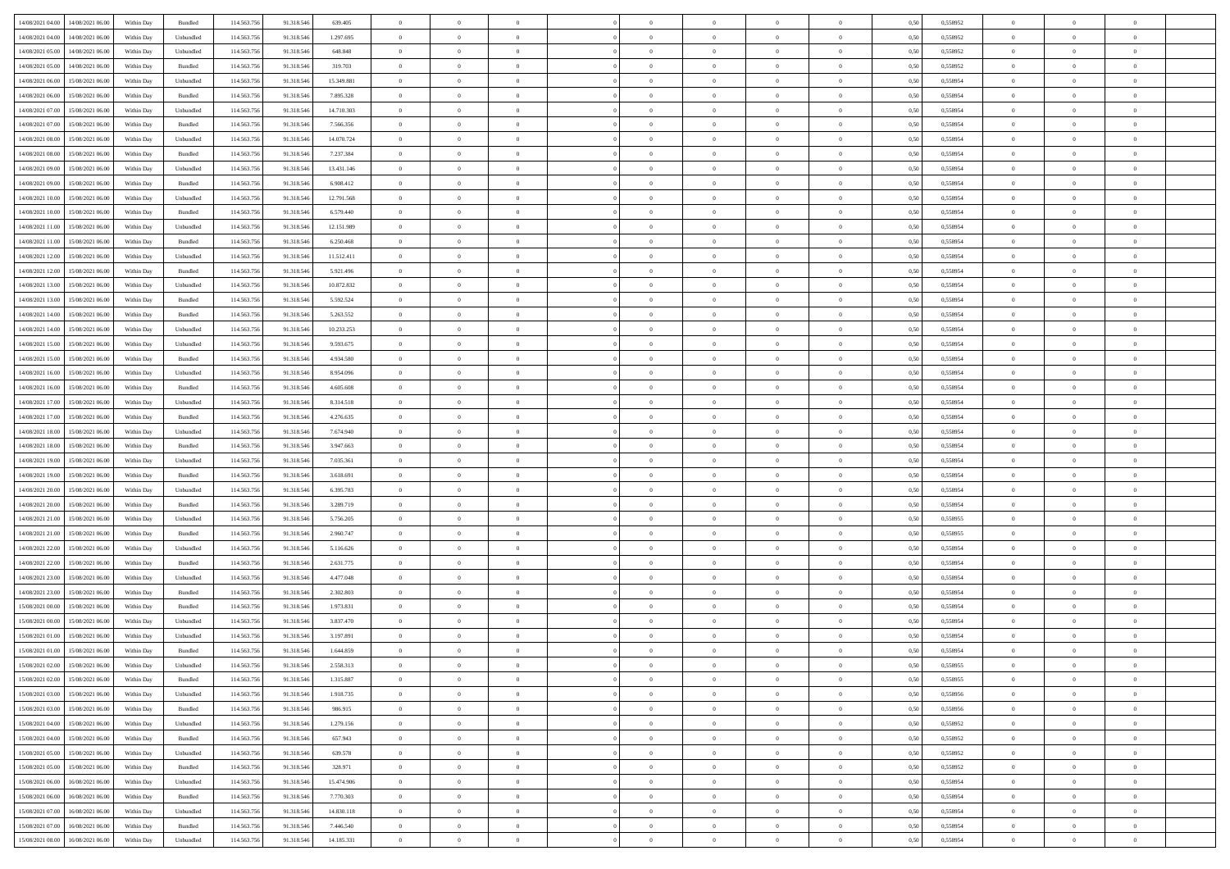| 14/08/2021 04:00 14/08/2021 06:00              | Within Day | Bundled                     | 114.563.75  | 91.318.546 | 639.405    | $\overline{0}$ | $\overline{0}$ |                | $\overline{0}$ | $\theta$       |                | $\theta$       | 0,50 | 0,558952 | $\theta$       | $\theta$       | $\overline{0}$ |  |
|------------------------------------------------|------------|-----------------------------|-------------|------------|------------|----------------|----------------|----------------|----------------|----------------|----------------|----------------|------|----------|----------------|----------------|----------------|--|
| 14/08/2021 04:00<br>14/08/2021 06:00           | Within Day | Unbundled                   | 114.563.75  | 91.318.54  | 1.297.695  | $\bf{0}$       | $\bf{0}$       | $\bf{0}$       | $\bf{0}$       | $\overline{0}$ | $\overline{0}$ | $\bf{0}$       | 0,50 | 0,558952 | $\,$ 0 $\,$    | $\bf{0}$       | $\overline{0}$ |  |
| $14/08/2021\ 05.00$<br>14/08/2021 06:00        | Within Day | Unbundled                   | 114,563,75  | 91.318.546 | 648,848    | $\overline{0}$ | $\bf{0}$       | $\overline{0}$ | $\bf{0}$       | $\bf{0}$       | $\overline{0}$ | $\bf{0}$       | 0.50 | 0.558952 | $\bf{0}$       | $\overline{0}$ | $\overline{0}$ |  |
| 14/08/2021 05:00<br>14/08/2021 06:00           |            |                             | 114.563.75  |            |            | $\overline{0}$ | $\overline{0}$ | $\overline{0}$ | $\theta$       | $\theta$       | $\overline{0}$ |                |      |          | $\theta$       | $\theta$       | $\overline{0}$ |  |
|                                                | Within Day | Bundled                     |             | 91.318.546 | 319.703    |                |                |                |                |                |                | $\bf{0}$       | 0,50 | 0,558952 |                |                |                |  |
| 14/08/2021 06:00<br>15/08/2021 06:00           | Within Day | Unbundled                   | 114.563.75  | 91.318.54  | 15.349.881 | $\bf{0}$       | $\overline{0}$ | $\bf{0}$       | $\overline{0}$ | $\theta$       | $\overline{0}$ | $\bf{0}$       | 0,50 | 0,558954 | $\,$ 0 $\,$    | $\bf{0}$       | $\overline{0}$ |  |
| 14/08/2021 06:00<br>15/08/2021 06:00           | Within Day | Bundled                     | 114,563,75  | 91.318.54  | 7.895.328  | $\overline{0}$ | $\overline{0}$ | $\overline{0}$ | $\bf{0}$       | $\overline{0}$ | $\theta$       | $\bf{0}$       | 0.50 | 0.558954 | $\,$ 0 $\,$    | $\theta$       | $\overline{0}$ |  |
| 14/08/2021 07:00<br>15/08/2021 06:00           | Within Day | Unbundled                   | 114.563.75  | 91.318.546 | 14.710.303 | $\overline{0}$ | $\overline{0}$ | $\overline{0}$ | $\overline{0}$ | $\overline{0}$ | $\overline{0}$ | $\bf{0}$       | 0,50 | 0,558954 | $\,$ 0 $\,$    | $\theta$       | $\overline{0}$ |  |
|                                                |            |                             |             |            |            |                |                |                |                |                |                |                |      |          |                |                |                |  |
| 14/08/2021 07:00<br>15/08/2021 06:00           | Within Day | Bundled                     | 114.563.75  | 91.318.54  | 7.566.356  | $\bf{0}$       | $\bf{0}$       | $\bf{0}$       | $\overline{0}$ | $\overline{0}$ | $\overline{0}$ | $\bf{0}$       | 0,50 | 0,558954 | $\,$ 0 $\,$    | $\bf{0}$       | $\overline{0}$ |  |
| 14/08/2021 08:00<br>15/08/2021 06:00           | Within Day | Unbundled                   | 114,563,75  | 91.318.54  | 14.070.724 | $\overline{0}$ | $\bf{0}$       | $\overline{0}$ | $\bf{0}$       | $\overline{0}$ | $\overline{0}$ | $\bf{0}$       | 0.50 | 0.558954 | $\bf{0}$       | $\overline{0}$ | $\overline{0}$ |  |
| 14/08/2021 08:00<br>15/08/2021 06:00           | Within Day | Bundled                     | 114.563.756 | 91.318.546 | 7.237.384  | $\bf{0}$       | $\bf{0}$       | $\overline{0}$ | $\overline{0}$ | $\overline{0}$ | $\overline{0}$ | $\bf{0}$       | 0,50 | 0,558954 | $\,$ 0 $\,$    | $\bf{0}$       | $\overline{0}$ |  |
| 14/08/2021 09:00<br>15/08/2021 06:00           | Within Day | Unbundled                   | 114.563.75  | 91.318.54  | 13.431.146 | $\bf{0}$       | $\overline{0}$ | $\bf{0}$       | $\bf{0}$       | $\bf{0}$       | $\overline{0}$ | $\bf{0}$       | 0,50 | 0,558954 | $\,$ 0 $\,$    | $\bf{0}$       | $\overline{0}$ |  |
|                                                |            |                             |             |            |            |                |                |                |                |                |                |                |      |          |                |                |                |  |
| 14/08/2021 09:00<br>15/08/2021 06:00           | Within Day | Bundled                     | 114,563,75  | 91.318.546 | 6.908.412  | $\overline{0}$ | $\bf{0}$       | $\overline{0}$ | $\overline{0}$ | $\bf{0}$       | $\overline{0}$ | $\bf{0}$       | 0.50 | 0.558954 | $\bf{0}$       | $\overline{0}$ | $\,$ 0         |  |
| 14/08/2021 10:00<br>15/08/2021 06:00           | Within Day | Unbundled                   | 114.563.75  | 91.318.546 | 12.791.568 | $\overline{0}$ | $\overline{0}$ | $\overline{0}$ | $\theta$       | $\theta$       | $\overline{0}$ | $\bf{0}$       | 0,50 | 0,558954 | $\,$ 0 $\,$    | $\theta$       | $\overline{0}$ |  |
| 14/08/2021 10:00<br>15/08/2021 06:00           | Within Day | Bundled                     | 114.563.75  | 91.318.54  | 6.579.440  | $\bf{0}$       | $\overline{0}$ | $\bf{0}$       | $\overline{0}$ | $\bf{0}$       | $\overline{0}$ | $\bf{0}$       | 0,50 | 0,558954 | $\,$ 0 $\,$    | $\bf{0}$       | $\overline{0}$ |  |
|                                                |            |                             |             |            |            |                |                |                |                |                |                |                |      |          |                |                |                |  |
| 14/08/2021 11:00<br>15/08/2021 06:00           | Within Day | Unbundled                   | 114,563,75  | 91.318.546 | 12.151.989 | $\overline{0}$ | $\overline{0}$ | $\overline{0}$ | $\bf{0}$       | $\overline{0}$ | $\theta$       | $\bf{0}$       | 0.50 | 0.558954 | $\,$ 0 $\,$    | $\theta$       | $\overline{0}$ |  |
| 14/08/2021 11:00<br>15/08/2021 06:00           | Within Day | Bundled                     | 114.563.75  | 91.318.546 | 6.250.468  | $\overline{0}$ | $\overline{0}$ | $\overline{0}$ | $\overline{0}$ | $\overline{0}$ | $\overline{0}$ | $\bf{0}$       | 0,50 | 0,558954 | $\theta$       | $\theta$       | $\overline{0}$ |  |
| 14/08/2021 12:00<br>15/08/2021 06:00           | Within Day | Unbundled                   | 114.563.75  | 91.318.546 | 11.512.411 | $\bf{0}$       | $\bf{0}$       | $\bf{0}$       | $\overline{0}$ | $\bf{0}$       | $\overline{0}$ | $\bf{0}$       | 0,50 | 0,558954 | $\,$ 0 $\,$    | $\bf{0}$       | $\overline{0}$ |  |
| 14/08/2021 12:00<br>15/08/2021 06:00           | Within Day | Bundled                     | 114,563,75  | 91.318.54  | 5.921.496  | $\overline{0}$ | $\bf{0}$       | $\overline{0}$ | $\bf{0}$       | $\overline{0}$ | $\overline{0}$ | $\bf{0}$       | 0.50 | 0.558954 | $\bf{0}$       | $\overline{0}$ | $\overline{0}$ |  |
|                                                |            |                             |             |            |            |                |                | $\overline{0}$ | $\overline{0}$ | $\overline{0}$ | $\overline{0}$ |                |      |          | $\,$ 0 $\,$    |                |                |  |
| 14/08/2021 13:00<br>15/08/2021 06:00           | Within Day | Unbundled                   | 114.563.75  | 91.318.546 | 10.872.832 | $\bf{0}$       | $\bf{0}$       |                |                |                |                | $\bf{0}$       | 0,50 | 0,558954 |                | $\bf{0}$       | $\overline{0}$ |  |
| 14/08/2021 13:00<br>15/08/2021 06:00           | Within Day | Bundled                     | 114.563.75  | 91.318.54  | 5.592.524  | $\bf{0}$       | $\bf{0}$       | $\bf{0}$       | $\bf{0}$       | $\overline{0}$ | $\overline{0}$ | $\bf{0}$       | 0,50 | 0,558954 | $\,$ 0 $\,$    | $\bf{0}$       | $\overline{0}$ |  |
| 14/08/2021 14:00<br>15/08/2021 06:00           | Within Day | Bundled                     | 114.563.75  | 91.318.546 | 5.263.552  | $\overline{0}$ | $\bf{0}$       | $\overline{0}$ | $\overline{0}$ | $\bf{0}$       | $\overline{0}$ | $\bf{0}$       | 0.50 | 0.558954 | $\bf{0}$       | $\overline{0}$ | $\overline{0}$ |  |
| 14/08/2021 14:00<br>15/08/2021 06:00           | Within Day | Unbundled                   | 114.563.75  | 91.318.546 | 10.233.253 | $\overline{0}$ | $\overline{0}$ | $\overline{0}$ | $\theta$       | $\theta$       | $\overline{0}$ | $\bf{0}$       | 0,50 | 0,558954 | $\theta$       | $\theta$       | $\overline{0}$ |  |
|                                                |            |                             |             |            |            |                |                |                |                |                | $\overline{0}$ |                |      |          |                |                |                |  |
| 14/08/2021 15:00<br>15/08/2021 06:00           | Within Day | Unbundled                   | 114.563.75  | 91.318.54  | 9.593.675  | $\bf{0}$       | $\bf{0}$       | $\bf{0}$       | $\bf{0}$       | $\overline{0}$ |                | $\bf{0}$       | 0,50 | 0,558954 | $\,$ 0 $\,$    | $\bf{0}$       | $\overline{0}$ |  |
| 14/08/2021 15:00<br>15/08/2021 06:00           | Within Day | Bundled                     | 114,563,75  | 91.318.54  | 4.934.580  | $\overline{0}$ | $\bf{0}$       | $\overline{0}$ | $\bf{0}$       | $\overline{0}$ | $\theta$       | $\bf{0}$       | 0.50 | 0.558954 | $\,$ 0 $\,$    | $\theta$       | $\overline{0}$ |  |
| 14/08/2021 16:00<br>15/08/2021 06:00           | Within Day | Unbundled                   | 114.563.75  | 91.318.546 | 8.954.096  | $\overline{0}$ | $\overline{0}$ | $\overline{0}$ | $\overline{0}$ | $\overline{0}$ | $\overline{0}$ | $\bf{0}$       | 0,50 | 0,558954 | $\,$ 0 $\,$    | $\theta$       | $\overline{0}$ |  |
| 14/08/2021 16:00<br>15/08/2021 06:00           | Within Day | Bundled                     | 114.563.75  | 91.318.54  | 4.605.608  | $\bf{0}$       | $\overline{0}$ | $\bf{0}$       | $\overline{0}$ | $\bf{0}$       | $\overline{0}$ | $\bf{0}$       | 0,50 | 0,558954 | $\,$ 0 $\,$    | $\bf{0}$       | $\overline{0}$ |  |
| 15/08/2021 06:00                               |            | Unbundled                   | 114,563,75  | 91.318.54  |            |                | $\bf{0}$       | $\overline{0}$ |                | $\overline{0}$ | $\overline{0}$ |                | 0.50 | 0.558954 | $\bf{0}$       | $\overline{0}$ | $\overline{0}$ |  |
| 14/08/2021 17:00                               | Within Day |                             |             |            | 8.314.518  | $\overline{0}$ |                |                | $\bf{0}$       |                |                | $\bf{0}$       |      |          |                |                |                |  |
| 14/08/2021 17:00<br>15/08/2021 06:00           | Within Day | Bundled                     | 114.563.756 | 91.318.546 | 4.276.635  | $\overline{0}$ | $\bf{0}$       | $\overline{0}$ | $\overline{0}$ | $\overline{0}$ | $\overline{0}$ | $\bf{0}$       | 0,50 | 0,558954 | $\,$ 0 $\,$    | $\theta$       | $\overline{0}$ |  |
| 14/08/2021 18:00<br>15/08/2021 06:00           | Within Day | Unbundled                   | 114.563.75  | 91.318.546 | 7.674.940  | $\bf{0}$       | $\bf{0}$       | $\bf{0}$       | $\bf{0}$       | $\overline{0}$ | $\overline{0}$ | $\bf{0}$       | 0,50 | 0,558954 | $\,$ 0 $\,$    | $\bf{0}$       | $\overline{0}$ |  |
| 14/08/2021 18:00<br>15/08/2021 06:00           | Within Day | Bundled                     | 114,563,75  | 91.318.546 | 3.947.663  | $\overline{0}$ | $\bf{0}$       | $\overline{0}$ | $\overline{0}$ | $\bf{0}$       | $\overline{0}$ | $\bf{0}$       | 0.50 | 0.558954 | $\bf{0}$       | $\overline{0}$ | $\overline{0}$ |  |
| 14/08/2021 19:00<br>15/08/2021 06:00           | Within Day | Unbundled                   | 114.563.75  | 91.318.546 | 7.035.361  | $\overline{0}$ | $\overline{0}$ | $\overline{0}$ | $\overline{0}$ | $\overline{0}$ | $\overline{0}$ | $\bf{0}$       | 0.50 | 0.558954 | $\theta$       | $\theta$       | $\overline{0}$ |  |
|                                                |            |                             |             |            |            |                |                |                |                |                |                |                |      |          |                |                |                |  |
| 14/08/2021 19:00<br>15/08/2021 06:00           | Within Day | Bundled                     | 114.563.75  | 91.318.54  | 3.618.691  | $\bf{0}$       | $\bf{0}$       | $\bf{0}$       | $\bf{0}$       | $\overline{0}$ | $\overline{0}$ | $\bf{0}$       | 0,50 | 0,558954 | $\,$ 0 $\,$    | $\bf{0}$       | $\overline{0}$ |  |
| 14/08/2021 20:00<br>15/08/2021 06:00           | Within Day | Unbundled                   | 114,563,75  | 91.318.546 | 6.395.783  | $\overline{0}$ | $\bf{0}$       | $\overline{0}$ | $\bf{0}$       | $\overline{0}$ | $\overline{0}$ | $\bf{0}$       | 0.50 | 0.558954 | $\,$ 0 $\,$    | $\bf{0}$       | $\overline{0}$ |  |
| 14/08/2021 20:00<br>15/08/2021 06:00           | Within Dav | Bundled                     | 114.563.75  | 91.318.546 | 3.289.719  | $\overline{0}$ | $\overline{0}$ | $\overline{0}$ | $\overline{0}$ | $\theta$       | $\overline{0}$ | $\bf{0}$       | 0.50 | 0,558954 | $\theta$       | $\theta$       | $\overline{0}$ |  |
| 15/08/2021 06:00                               | Within Day | Unbundled                   | 114.563.75  | 91.318.546 | 5.756.205  | $\bf{0}$       | $\bf{0}$       | $\bf{0}$       | $\bf{0}$       | $\overline{0}$ | $\overline{0}$ | $\bf{0}$       | 0,50 | 0,558955 | $\,$ 0 $\,$    | $\bf{0}$       | $\overline{0}$ |  |
| 14/08/2021 21:00                               |            |                             |             |            |            |                |                |                |                |                |                |                |      |          |                |                |                |  |
| 14/08/2021 21:00<br>15/08/2021 06:00           | Within Day | Bundled                     | 114,563,75  | 91.318.54  | 2.960.747  | $\overline{0}$ | $\bf{0}$       | $\overline{0}$ | $\bf{0}$       | $\overline{0}$ | $\overline{0}$ | $\bf{0}$       | 0.50 | 0.558955 | $\bf{0}$       | $\overline{0}$ | $\overline{0}$ |  |
| 14/08/2021 22:00<br>15/08/2021 06:00           | Within Dav | Unbundled                   | 114.563.75  | 91.318.546 | 5.116.626  | $\overline{0}$ | $\overline{0}$ | $\overline{0}$ | $\overline{0}$ | $\overline{0}$ | $\overline{0}$ | $\bf{0}$       | 0.50 | 0,558954 | $\theta$       | $\theta$       | $\overline{0}$ |  |
| 14/08/2021 22:00<br>15/08/2021 06:00           | Within Day | Bundled                     | 114.563.75  | 91.318.54  | 2.631.775  | $\bf{0}$       | $\bf{0}$       | $\bf{0}$       | $\bf{0}$       | $\overline{0}$ | $\overline{0}$ | $\bf{0}$       | 0,50 | 0,558954 | $\,$ 0 $\,$    | $\bf{0}$       | $\overline{0}$ |  |
| 14/08/2021 23:00<br>15/08/2021 06:00           | Within Day | Unbundled                   | 114.563.75  | 91.318.546 | 4.477.048  | $\overline{0}$ | $\bf{0}$       | $\overline{0}$ | $\overline{0}$ | $\bf{0}$       | $\overline{0}$ | $\bf{0}$       | 0.50 | 0.558954 | $\bf{0}$       | $\overline{0}$ | $\overline{0}$ |  |
|                                                |            |                             |             |            |            |                |                |                |                |                |                |                |      |          |                |                |                |  |
| 14/08/2021 23:00<br>15/08/2021 06:00           | Within Day | Bundled                     | 114.563.75  | 91.318.546 | 2.302.803  | $\overline{0}$ | $\overline{0}$ | $\overline{0}$ | $\overline{0}$ | $\overline{0}$ | $\overline{0}$ | $\bf{0}$       | 0.50 | 0.558954 | $\theta$       | $\theta$       | $\overline{0}$ |  |
| 15/08/2021 00:00<br>15/08/2021 06:00           | Within Day | Bundled                     | 114.563.75  | 91.318.54  | 1.973.831  | $\bf{0}$       | $\bf{0}$       | $\bf{0}$       | $\bf{0}$       | $\overline{0}$ | $\overline{0}$ | $\bf{0}$       | 0,50 | 0,558954 | $\,$ 0 $\,$    | $\bf{0}$       | $\overline{0}$ |  |
| 15/08/2021 00:00<br>15/08/2021 06:00           | Within Day | Unbundled                   | 114,563,75  | 91.318.54  | 3.837.470  | $\overline{0}$ | $\overline{0}$ | $\overline{0}$ | $\bf{0}$       | $\overline{0}$ | $\Omega$       | $\bf{0}$       | 0.50 | 0.558954 | $\bf{0}$       | $\theta$       | $\overline{0}$ |  |
| 15/08/2021 01:00<br>15/08/2021 06:00           | Within Dav | Unbundled                   | 114.563.75  | 91.318.54  | 3.197.891  | $\overline{0}$ | $\overline{0}$ | $\overline{0}$ | $\theta$       | $\theta$       | $\overline{0}$ | $\overline{0}$ | 0.5( | 0,558954 | $\theta$       | $\theta$       | $\overline{0}$ |  |
|                                                |            |                             |             |            |            |                |                |                |                |                |                |                |      |          |                |                |                |  |
| 15/08/2021 01:00<br>15/08/2021 06:00           | Within Day | Bundled                     | 114.563.75  | 91.318.546 | 1.644.859  | $\bf{0}$       | $\bf{0}$       | $\bf{0}$       | $\bf{0}$       | $\bf{0}$       | $\overline{0}$ | $\bf{0}$       | 0,50 | 0,558954 | $\,$ 0 $\,$    | $\overline{0}$ | $\overline{0}$ |  |
| $15/08/2021\; 02.00 \qquad 15/08/2021\; 06.00$ | Within Day | $\ensuremath{\mathsf{Unb}}$ | 114.563.756 | 91.318.546 | 2.558.313  | $\bf{0}$       | $\theta$       |                | $\overline{0}$ |                |                |                | 0,50 | 0.558955 | $\theta$       | $\overline{0}$ |                |  |
| 15/08/2021 02:00 15/08/2021 06:00              | Within Day | Bundled                     | 114.563.756 | 91.318.546 | 1.315.887  | $\overline{0}$ | $\overline{0}$ | $\Omega$       | $\theta$       | $\overline{0}$ | $\overline{0}$ | $\bf{0}$       | 0,50 | 0,558955 | $\theta$       | $\overline{0}$ | $\overline{0}$ |  |
| 15/08/2021 03:00<br>15/08/2021 06:00           | Within Day | Unbundled                   | 114.563.75  | 91.318.546 | 1.918.735  | $\overline{0}$ | $\bf{0}$       | $\overline{0}$ | $\overline{0}$ | $\bf{0}$       | $\overline{0}$ | $\bf{0}$       | 0,50 | 0,558956 | $\bf{0}$       | $\overline{0}$ | $\bf{0}$       |  |
|                                                |            |                             |             |            |            |                |                |                |                |                |                |                |      |          |                |                |                |  |
| 15/08/2021 03:00 15/08/2021 06:00              | Within Day | Bundled                     | 114,563,756 | 91.318.546 | 986.915    | $\overline{0}$ | $\bf{0}$       | $\overline{0}$ | $\overline{0}$ | $\mathbf{0}$   | $\overline{0}$ | $\,$ 0 $\,$    | 0.50 | 0.558956 | $\overline{0}$ | $\bf{0}$       | $\,$ 0 $\,$    |  |
| 15/08/2021 04:00 15/08/2021 06:00              | Within Day | Unbundled                   | 114.563.756 | 91.318.546 | 1.279.156  | $\overline{0}$ | $\overline{0}$ | $\overline{0}$ | $\overline{0}$ | $\overline{0}$ | $\overline{0}$ | $\bf{0}$       | 0,50 | 0,558952 | $\overline{0}$ | $\theta$       | $\overline{0}$ |  |
| 15/08/2021 04:00<br>15/08/2021 06:00           | Within Day | Bundled                     | 114.563.75  | 91.318.546 | 657.943    | $\overline{0}$ | $\bf{0}$       | $\overline{0}$ | $\overline{0}$ | $\bf{0}$       | $\overline{0}$ | $\bf{0}$       | 0,50 | 0,558952 | $\bf{0}$       | $\overline{0}$ | $\overline{0}$ |  |
| 15/08/2021 05:00<br>15/08/2021 06:00           | Within Day | Unbundled                   | 114.563.756 | 91.318.546 | 639.578    | $\overline{0}$ | $\bf{0}$       | $\overline{0}$ | $\overline{0}$ | $\bf{0}$       | $\overline{0}$ | $\bf{0}$       | 0.50 | 0.558952 | $\,$ 0 $\,$    | $\overline{0}$ | $\,$ 0         |  |
|                                                |            |                             |             |            |            |                |                |                |                |                |                |                |      |          |                |                |                |  |
| 15/08/2021 05:00<br>15/08/2021 06:00           | Within Dav | Bundled                     | 114.563.756 | 91.318.546 | 328.971    | $\overline{0}$ | $\overline{0}$ | $\overline{0}$ | $\overline{0}$ | $\overline{0}$ | $\overline{0}$ | $\bf{0}$       | 0.50 | 0,558952 | $\overline{0}$ | $\theta$       | $\overline{0}$ |  |
| 15/08/2021 06:00<br>16/08/2021 06:00           | Within Day | Unbundled                   | 114.563.75  | 91.318.546 | 15.474.906 | $\overline{0}$ | $\overline{0}$ | $\overline{0}$ | $\overline{0}$ | $\overline{0}$ | $\overline{0}$ | $\bf{0}$       | 0,50 | 0,558954 | $\bf{0}$       | $\overline{0}$ | $\overline{0}$ |  |
| 15/08/2021 06:00<br>16/08/2021 06:00           | Within Day | Bundled                     | 114.563.75  | 91.318.546 | 7.770.303  | $\overline{0}$ | $\overline{0}$ | $\overline{0}$ | $\overline{0}$ | $\overline{0}$ | $\overline{0}$ | $\bf{0}$       | 0.50 | 0.558954 | $\mathbf{0}$   | $\bf{0}$       | $\,$ 0         |  |
| 15/08/2021 07:00 16/08/2021 06:00              | Within Dav | Unbundled                   | 114.563.756 | 91.318.546 | 14.830.118 | $\overline{0}$ | $\overline{0}$ | $\overline{0}$ | $\overline{0}$ | $\overline{0}$ | $\overline{0}$ | $\bf{0}$       | 0,50 | 0,558954 | $\overline{0}$ | $\theta$       | $\overline{0}$ |  |
|                                                |            |                             |             |            |            |                |                |                |                |                |                |                |      |          |                |                |                |  |
| 15/08/2021 07:00<br>16/08/2021 06:00           | Within Day | Bundled                     | 114.563.75  | 91.318.546 | 7.446.540  | $\overline{0}$ | $\bf{0}$       | $\overline{0}$ | $\overline{0}$ | $\overline{0}$ | $\overline{0}$ | $\bf{0}$       | 0,50 | 0,558954 | $\bf{0}$       | $\,0\,$        | $\bf{0}$       |  |
| 15/08/2021 08:00 16/08/2021 06:00              | Within Day | Unbundled                   | 114.563.756 | 91.318.546 | 14.185.331 | $\overline{0}$ | $\bf{0}$       | $\overline{0}$ | $\overline{0}$ | $\,$ 0 $\,$    | $\overline{0}$ | $\bf{0}$       | 0,50 | 0,558954 | $\overline{0}$ | $\,$ 0 $\,$    | $\,$ 0 $\,$    |  |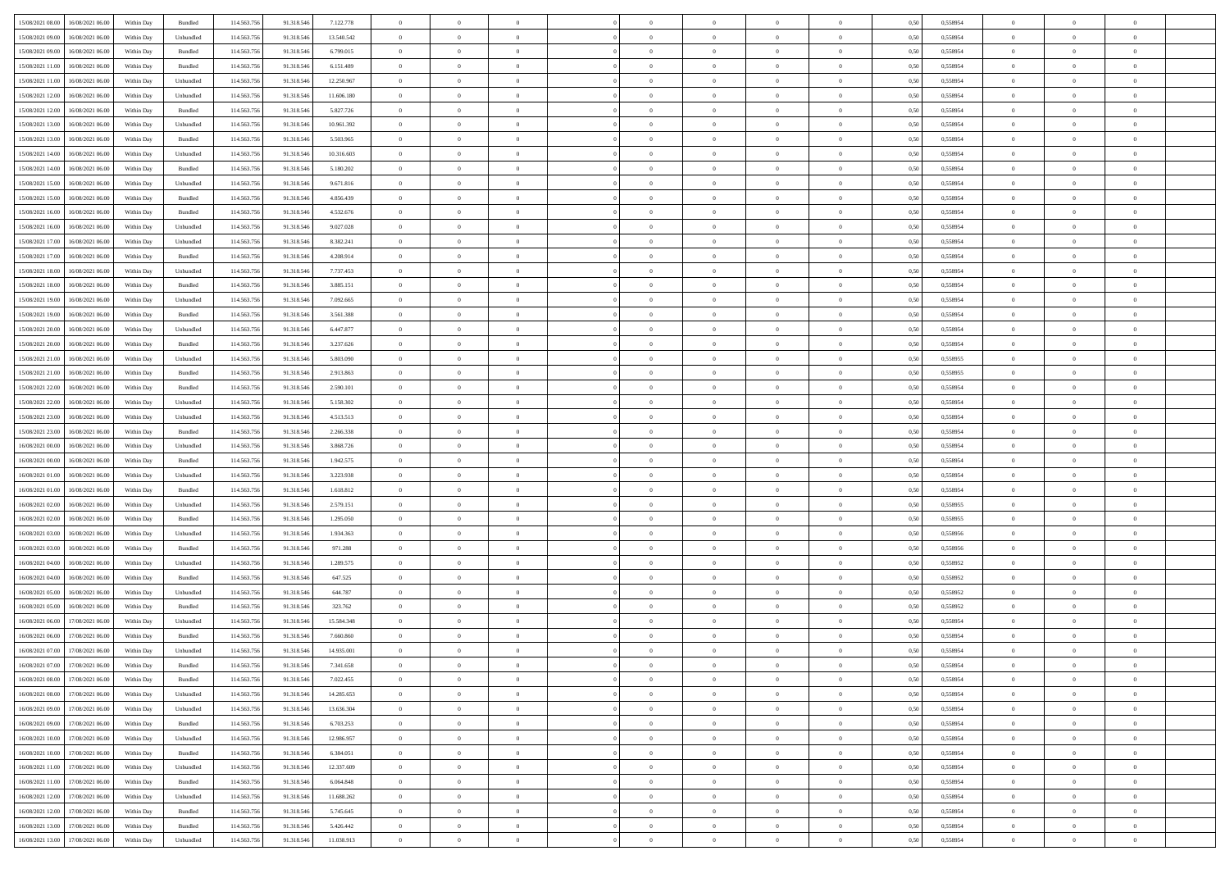| 15/08/2021 08:00 16/08/2021 06:00<br>114.563.75<br>0,558954<br>Within Day<br>Bundled<br>91.318.546<br>7.122.778<br>$\overline{0}$<br>$\overline{0}$<br>$\overline{0}$<br>$\theta$<br>$\theta$<br>0,50<br>15/08/2021 09:00<br>16/08/2021 06:00<br>Within Day<br>Unbundled<br>114.563.75<br>91.318.54<br>13.540.542<br>$\bf{0}$<br>$\overline{0}$<br>$\overline{0}$<br>$\bf{0}$<br>0,50<br>0,558954<br>$\bf{0}$<br>$\bf{0}$<br>$\overline{0}$<br>15/08/2021 09:00<br>16/08/2021 06:00<br>Bundled<br>114.563.75<br>91.318.546<br>6.799.015<br>$\overline{0}$<br>$\bf{0}$<br>$\bf{0}$<br>$\overline{0}$<br>$\bf{0}$<br>0.50<br>0.558954<br>Within Day<br>$\overline{0}$<br>$\bf{0}$<br>15/08/2021 11:00<br>16/08/2021 06:00<br>114.563.75<br>$\overline{0}$<br>$\overline{0}$<br>Within Day<br>Bundled<br>91.318.546<br>6.151.489<br>$\overline{0}$<br>$\theta$<br>$\theta$<br>$\overline{0}$<br>$\bf{0}$<br>0,50<br>0,558954<br>15/08/2021 11:00<br>16/08/2021 06:00<br>Within Day<br>Unbundled<br>114.563.75<br>91.318.54<br>12.250.967<br>$\overline{0}$<br>$\bf{0}$<br>0,50<br>0,558954<br>$\bf{0}$<br>$\bf{0}$<br>$\overline{0}$<br>$\theta$<br>$\overline{0}$<br>15/08/2021 12:00<br>16/08/2021 06:00<br>Unbundled<br>114,563,75<br>91.318.54<br>11,606,180<br>$\overline{0}$<br>$\overline{0}$<br>$\overline{0}$<br>$\theta$<br>$\bf{0}$<br>Within Day<br>$\overline{0}$<br>$\bf{0}$<br>0.50<br>0.558954<br>15/08/2021 12:00<br>114.563.75<br>16/08/2021 06:00<br>Within Day<br>Bundled<br>91.318.546<br>5.827.726<br>$\overline{0}$<br>$\overline{0}$<br>$\overline{0}$<br>$\overline{0}$<br>$\overline{0}$<br>$\overline{0}$<br>$\bf{0}$<br>0,50<br>0,558954 | $\theta$       |                |                |  |
|-------------------------------------------------------------------------------------------------------------------------------------------------------------------------------------------------------------------------------------------------------------------------------------------------------------------------------------------------------------------------------------------------------------------------------------------------------------------------------------------------------------------------------------------------------------------------------------------------------------------------------------------------------------------------------------------------------------------------------------------------------------------------------------------------------------------------------------------------------------------------------------------------------------------------------------------------------------------------------------------------------------------------------------------------------------------------------------------------------------------------------------------------------------------------------------------------------------------------------------------------------------------------------------------------------------------------------------------------------------------------------------------------------------------------------------------------------------------------------------------------------------------------------------------------------------------------------------------------------------------------------------------------------------------|----------------|----------------|----------------|--|
|                                                                                                                                                                                                                                                                                                                                                                                                                                                                                                                                                                                                                                                                                                                                                                                                                                                                                                                                                                                                                                                                                                                                                                                                                                                                                                                                                                                                                                                                                                                                                                                                                                                                   |                | $\theta$       | $\overline{0}$ |  |
|                                                                                                                                                                                                                                                                                                                                                                                                                                                                                                                                                                                                                                                                                                                                                                                                                                                                                                                                                                                                                                                                                                                                                                                                                                                                                                                                                                                                                                                                                                                                                                                                                                                                   | $\,$ 0 $\,$    | $\bf{0}$       | $\overline{0}$ |  |
|                                                                                                                                                                                                                                                                                                                                                                                                                                                                                                                                                                                                                                                                                                                                                                                                                                                                                                                                                                                                                                                                                                                                                                                                                                                                                                                                                                                                                                                                                                                                                                                                                                                                   | $\bf{0}$       | $\overline{0}$ | $\overline{0}$ |  |
|                                                                                                                                                                                                                                                                                                                                                                                                                                                                                                                                                                                                                                                                                                                                                                                                                                                                                                                                                                                                                                                                                                                                                                                                                                                                                                                                                                                                                                                                                                                                                                                                                                                                   | $\theta$       | $\theta$       | $\overline{0}$ |  |
|                                                                                                                                                                                                                                                                                                                                                                                                                                                                                                                                                                                                                                                                                                                                                                                                                                                                                                                                                                                                                                                                                                                                                                                                                                                                                                                                                                                                                                                                                                                                                                                                                                                                   |                |                |                |  |
|                                                                                                                                                                                                                                                                                                                                                                                                                                                                                                                                                                                                                                                                                                                                                                                                                                                                                                                                                                                                                                                                                                                                                                                                                                                                                                                                                                                                                                                                                                                                                                                                                                                                   | $\,$ 0 $\,$    | $\bf{0}$       | $\overline{0}$ |  |
|                                                                                                                                                                                                                                                                                                                                                                                                                                                                                                                                                                                                                                                                                                                                                                                                                                                                                                                                                                                                                                                                                                                                                                                                                                                                                                                                                                                                                                                                                                                                                                                                                                                                   | $\,$ 0 $\,$    | $\theta$       | $\overline{0}$ |  |
|                                                                                                                                                                                                                                                                                                                                                                                                                                                                                                                                                                                                                                                                                                                                                                                                                                                                                                                                                                                                                                                                                                                                                                                                                                                                                                                                                                                                                                                                                                                                                                                                                                                                   | $\,$ 0 $\,$    | $\theta$       | $\overline{0}$ |  |
|                                                                                                                                                                                                                                                                                                                                                                                                                                                                                                                                                                                                                                                                                                                                                                                                                                                                                                                                                                                                                                                                                                                                                                                                                                                                                                                                                                                                                                                                                                                                                                                                                                                                   |                |                |                |  |
| 15/08/2021 13:00<br>16/08/2021 06:00<br>Within Day<br>Unbundled<br>114.563.75<br>91.318.54<br>10.961.392<br>$\bf{0}$<br>$\bf{0}$<br>$\overline{0}$<br>$\overline{0}$<br>$\bf{0}$<br>0,50<br>0,558954<br>$\bf{0}$<br>$\overline{0}$                                                                                                                                                                                                                                                                                                                                                                                                                                                                                                                                                                                                                                                                                                                                                                                                                                                                                                                                                                                                                                                                                                                                                                                                                                                                                                                                                                                                                                | $\,$ 0 $\,$    | $\bf{0}$       | $\overline{0}$ |  |
| 15/08/2021 13:00<br>16/08/2021 06:00<br>Bundled<br>114,563,75<br>91.318.54<br>$\overline{0}$<br>$\bf{0}$<br>$\overline{0}$<br>$\overline{0}$<br>$\bf{0}$<br>Within Day<br>5.503.965<br>$\overline{0}$<br>$\bf{0}$<br>0.50<br>0.558954                                                                                                                                                                                                                                                                                                                                                                                                                                                                                                                                                                                                                                                                                                                                                                                                                                                                                                                                                                                                                                                                                                                                                                                                                                                                                                                                                                                                                             | $\bf{0}$       | $\overline{0}$ | $\overline{0}$ |  |
| 15/08/2021 14:00<br>16/08/2021 06:00<br>114.563.756<br>$\bf{0}$<br>Within Day<br>Unbundled<br>91.318.546<br>10.316.603<br>$\bf{0}$<br>$\overline{0}$<br>$\overline{0}$<br>$\overline{0}$<br>$\overline{0}$<br>$\bf{0}$<br>0,50<br>0,558954                                                                                                                                                                                                                                                                                                                                                                                                                                                                                                                                                                                                                                                                                                                                                                                                                                                                                                                                                                                                                                                                                                                                                                                                                                                                                                                                                                                                                        | $\,$ 0 $\,$    | $\bf{0}$       | $\overline{0}$ |  |
| 15/08/2021 14:00<br>16/08/2021 06:00<br>Within Day<br>Bundled<br>114.563.75<br>91.318.546<br>5.180.202<br>$\bf{0}$<br>$\overline{0}$<br>$\bf{0}$<br>$\overline{0}$<br>$\bf{0}$<br>0,50<br>0,558954<br>$\bf{0}$<br>$\bf{0}$                                                                                                                                                                                                                                                                                                                                                                                                                                                                                                                                                                                                                                                                                                                                                                                                                                                                                                                                                                                                                                                                                                                                                                                                                                                                                                                                                                                                                                        | $\,$ 0 $\,$    | $\bf{0}$       | $\overline{0}$ |  |
|                                                                                                                                                                                                                                                                                                                                                                                                                                                                                                                                                                                                                                                                                                                                                                                                                                                                                                                                                                                                                                                                                                                                                                                                                                                                                                                                                                                                                                                                                                                                                                                                                                                                   |                |                |                |  |
| 15/08/2021 15:00<br>16/08/2021 06:00<br>Within Day<br>Unbundled<br>114,563,75<br>91.318.546<br>9.671.816<br>$\overline{0}$<br>$\bf{0}$<br>$\overline{0}$<br>$\bf{0}$<br>$\overline{0}$<br>$\bf{0}$<br>0.558954<br>$\overline{0}$<br>0.50                                                                                                                                                                                                                                                                                                                                                                                                                                                                                                                                                                                                                                                                                                                                                                                                                                                                                                                                                                                                                                                                                                                                                                                                                                                                                                                                                                                                                          | $\bf{0}$       | $\overline{0}$ | $\overline{0}$ |  |
| 15/08/2021 15:00<br>16/08/2021 06:00<br>114.563.75<br>$\overline{0}$<br>Within Day<br>Bundled<br>91.318.546<br>4.856.439<br>$\overline{0}$<br>$\overline{0}$<br>$\theta$<br>$\theta$<br>$\overline{0}$<br>$\bf{0}$<br>0,50<br>0,558954                                                                                                                                                                                                                                                                                                                                                                                                                                                                                                                                                                                                                                                                                                                                                                                                                                                                                                                                                                                                                                                                                                                                                                                                                                                                                                                                                                                                                            | $\,$ 0 $\,$    | $\theta$       | $\overline{0}$ |  |
| 15/08/2021 16:00<br>16/08/2021 06:00<br>Within Day<br>Bundled<br>114.563.75<br>91.318.54<br>4.532.676<br>$\bf{0}$<br>0,50<br>0,558954<br>$\bf{0}$<br>$\overline{0}$<br>$\bf{0}$<br>$\overline{0}$<br>$\theta$<br>$\overline{0}$                                                                                                                                                                                                                                                                                                                                                                                                                                                                                                                                                                                                                                                                                                                                                                                                                                                                                                                                                                                                                                                                                                                                                                                                                                                                                                                                                                                                                                   | $\,$ 0 $\,$    | $\bf{0}$       | $\overline{0}$ |  |
| 15/08/2021 16:00<br>16/08/2021 06:00<br>Unbundled<br>114,563,75<br>91.318.546<br>$\overline{0}$<br>$\overline{0}$<br>$\overline{0}$<br>$\theta$<br>$\bf{0}$<br>Within Day<br>9.027.028<br>$\overline{0}$<br>$\bf{0}$<br>0.50<br>0.558954                                                                                                                                                                                                                                                                                                                                                                                                                                                                                                                                                                                                                                                                                                                                                                                                                                                                                                                                                                                                                                                                                                                                                                                                                                                                                                                                                                                                                          | $\,$ 0 $\,$    | $\theta$       | $\overline{0}$ |  |
| $\overline{0}$<br>$\overline{0}$<br>$\overline{0}$<br>$\overline{0}$<br>$\overline{0}$<br>$\overline{0}$                                                                                                                                                                                                                                                                                                                                                                                                                                                                                                                                                                                                                                                                                                                                                                                                                                                                                                                                                                                                                                                                                                                                                                                                                                                                                                                                                                                                                                                                                                                                                          | $\theta$       | $\theta$       | $\overline{0}$ |  |
| 15/08/2021 17:00<br>114.563.75<br>16/08/2021 06:00<br>Within Day<br>Unbundled<br>91.318.546<br>8.382.241<br>$\bf{0}$<br>0,50<br>0,558954                                                                                                                                                                                                                                                                                                                                                                                                                                                                                                                                                                                                                                                                                                                                                                                                                                                                                                                                                                                                                                                                                                                                                                                                                                                                                                                                                                                                                                                                                                                          |                |                |                |  |
| 15/08/2021 17:00<br>16/08/2021 06:00<br>Within Day<br>Bundled<br>114.563.75<br>91.318.546<br>4.208.914<br>$\bf{0}$<br>$\overline{0}$<br>$\bf{0}$<br>$\bf{0}$<br>$\overline{0}$<br>$\bf{0}$<br>0,50<br>0,558954<br>$\overline{0}$                                                                                                                                                                                                                                                                                                                                                                                                                                                                                                                                                                                                                                                                                                                                                                                                                                                                                                                                                                                                                                                                                                                                                                                                                                                                                                                                                                                                                                  | $\,$ 0 $\,$    | $\bf{0}$       | $\overline{0}$ |  |
| 15/08/2021 18:00<br>16/08/2021 06:00<br>Unbundled<br>114,563,75<br>91.318.54<br>7.737.453<br>$\overline{0}$<br>$\bf{0}$<br>$\overline{0}$<br>$\overline{0}$<br>$\bf{0}$<br>Within Day<br>$\overline{0}$<br>$\bf{0}$<br>0.50<br>0.558954                                                                                                                                                                                                                                                                                                                                                                                                                                                                                                                                                                                                                                                                                                                                                                                                                                                                                                                                                                                                                                                                                                                                                                                                                                                                                                                                                                                                                           | $\bf{0}$       | $\overline{0}$ | $\overline{0}$ |  |
| 15/08/2021 18:00<br>16/08/2021 06:00<br>114.563.75<br>$\bf{0}$<br>Within Day<br>Bundled<br>91.318.546<br>3.885.151<br>$\bf{0}$<br>$\overline{0}$<br>$\overline{0}$<br>$\overline{0}$<br>$\overline{0}$<br>$\bf{0}$<br>0,50<br>0,558954                                                                                                                                                                                                                                                                                                                                                                                                                                                                                                                                                                                                                                                                                                                                                                                                                                                                                                                                                                                                                                                                                                                                                                                                                                                                                                                                                                                                                            | $\,$ 0 $\,$    | $\bf{0}$       | $\overline{0}$ |  |
| 16/08/2021 06:00<br>Within Day<br>Unbundled<br>114.563.75<br>91.318.546<br>7.092.665<br>$\bf{0}$<br>$\bf{0}$<br>$\bf{0}$<br>$\overline{0}$<br>$\overline{0}$<br>$\bf{0}$<br>0,50<br>0,558954<br>$\bf{0}$                                                                                                                                                                                                                                                                                                                                                                                                                                                                                                                                                                                                                                                                                                                                                                                                                                                                                                                                                                                                                                                                                                                                                                                                                                                                                                                                                                                                                                                          | $\,$ 0 $\,$    | $\bf{0}$       | $\overline{0}$ |  |
| 15/08/2021 19:00                                                                                                                                                                                                                                                                                                                                                                                                                                                                                                                                                                                                                                                                                                                                                                                                                                                                                                                                                                                                                                                                                                                                                                                                                                                                                                                                                                                                                                                                                                                                                                                                                                                  |                |                |                |  |
| 15/08/2021 19:00<br>16/08/2021 06:00<br>Bundled<br>114,563,75<br>91.318.546<br>3.561.388<br>$\overline{0}$<br>$\bf{0}$<br>$\overline{0}$<br>$\overline{0}$<br>$\bf{0}$<br>$\overline{0}$<br>$\bf{0}$<br>0.50<br>0.558954<br>Within Day                                                                                                                                                                                                                                                                                                                                                                                                                                                                                                                                                                                                                                                                                                                                                                                                                                                                                                                                                                                                                                                                                                                                                                                                                                                                                                                                                                                                                            | $\bf{0}$       | $\overline{0}$ | $\overline{0}$ |  |
| 15/08/2021 20:00<br>16/08/2021 06:00<br>114.563.75<br>$\overline{0}$<br>$\overline{0}$<br>Within Day<br>Unbundled<br>91.318.546<br>6.447.877<br>$\overline{0}$<br>$\theta$<br>$\theta$<br>$\overline{0}$<br>$\bf{0}$<br>0,50<br>0,558954                                                                                                                                                                                                                                                                                                                                                                                                                                                                                                                                                                                                                                                                                                                                                                                                                                                                                                                                                                                                                                                                                                                                                                                                                                                                                                                                                                                                                          | $\theta$       | $\theta$       | $\overline{0}$ |  |
| 15/08/2021 20:00<br>16/08/2021 06:00<br>Within Day<br>Bundled<br>114.563.75<br>91.318.54<br>3.237.626<br>$\overline{0}$<br>$\overline{0}$<br>$\overline{0}$<br>$\bf{0}$<br>0,50<br>0,558954<br>$\bf{0}$<br>$\bf{0}$<br>$\bf{0}$                                                                                                                                                                                                                                                                                                                                                                                                                                                                                                                                                                                                                                                                                                                                                                                                                                                                                                                                                                                                                                                                                                                                                                                                                                                                                                                                                                                                                                   | $\,$ 0 $\,$    | $\bf{0}$       | $\overline{0}$ |  |
| 15/08/2021 21:00<br>16/08/2021 06:00<br>Unbundled<br>114,563,75<br>5.803.090<br>$\overline{0}$<br>$\overline{0}$<br>$\overline{0}$<br>$\bf{0}$<br>91.318.54<br>$\overline{0}$<br>$\bf{0}$<br>$\Omega$<br>0.50<br>0.558955                                                                                                                                                                                                                                                                                                                                                                                                                                                                                                                                                                                                                                                                                                                                                                                                                                                                                                                                                                                                                                                                                                                                                                                                                                                                                                                                                                                                                                         | $\,$ 0 $\,$    | $\theta$       | $\overline{0}$ |  |
| Within Day                                                                                                                                                                                                                                                                                                                                                                                                                                                                                                                                                                                                                                                                                                                                                                                                                                                                                                                                                                                                                                                                                                                                                                                                                                                                                                                                                                                                                                                                                                                                                                                                                                                        |                |                |                |  |
| 15/08/2021 21:00<br>114.563.75<br>16/08/2021 06:00<br>Within Day<br>Bundled<br>91.318.546<br>2.913.863<br>$\overline{0}$<br>$\overline{0}$<br>$\overline{0}$<br>$\overline{0}$<br>$\overline{0}$<br>$\overline{0}$<br>$\bf{0}$<br>0,50<br>0,558955                                                                                                                                                                                                                                                                                                                                                                                                                                                                                                                                                                                                                                                                                                                                                                                                                                                                                                                                                                                                                                                                                                                                                                                                                                                                                                                                                                                                                | $\,$ 0 $\,$    | $\theta$       | $\overline{0}$ |  |
| 15/08/2021 22:00<br>16/08/2021 06:00<br>Within Day<br>Bundled<br>114.563.75<br>91.318.54<br>2.590.101<br>$\bf{0}$<br>$\overline{0}$<br>$\bf{0}$<br>$\theta$<br>$\overline{0}$<br>$\bf{0}$<br>0,50<br>0,558954<br>$\overline{0}$                                                                                                                                                                                                                                                                                                                                                                                                                                                                                                                                                                                                                                                                                                                                                                                                                                                                                                                                                                                                                                                                                                                                                                                                                                                                                                                                                                                                                                   | $\,$ 0 $\,$    | $\bf{0}$       | $\overline{0}$ |  |
| 15/08/2021 22:00<br>16/08/2021 06:00<br>Unbundled<br>114,563,75<br>91.318.54<br>$\overline{0}$<br>$\bf{0}$<br>$\overline{0}$<br>$\overline{0}$<br>$\bf{0}$<br>Within Day<br>5.158.302<br>$\overline{0}$<br>$\bf{0}$<br>0.50<br>0.558954                                                                                                                                                                                                                                                                                                                                                                                                                                                                                                                                                                                                                                                                                                                                                                                                                                                                                                                                                                                                                                                                                                                                                                                                                                                                                                                                                                                                                           | $\bf{0}$       | $\overline{0}$ | $\overline{0}$ |  |
| 15/08/2021 23:00<br>16/08/2021 06:00<br>114.563.75<br>Within Day<br>Unbundled<br>91.318.546<br>4.513.513<br>$\overline{0}$<br>$\bf{0}$<br>$\overline{0}$<br>$\overline{0}$<br>$\overline{0}$<br>$\overline{0}$<br>$\bf{0}$<br>0,50<br>0,558954                                                                                                                                                                                                                                                                                                                                                                                                                                                                                                                                                                                                                                                                                                                                                                                                                                                                                                                                                                                                                                                                                                                                                                                                                                                                                                                                                                                                                    | $\theta$       | $\theta$       | $\overline{0}$ |  |
|                                                                                                                                                                                                                                                                                                                                                                                                                                                                                                                                                                                                                                                                                                                                                                                                                                                                                                                                                                                                                                                                                                                                                                                                                                                                                                                                                                                                                                                                                                                                                                                                                                                                   |                |                |                |  |
| 15/08/2021 23:00<br>16/08/2021 06:00<br>Within Day<br>Bundled<br>114.563.75<br>91.318.546<br>2.266.338<br>$\bf{0}$<br>$\bf{0}$<br>$\bf{0}$<br>$\overline{0}$<br>$\overline{0}$<br>$\bf{0}$<br>0,50<br>0,558954<br>$\bf{0}$                                                                                                                                                                                                                                                                                                                                                                                                                                                                                                                                                                                                                                                                                                                                                                                                                                                                                                                                                                                                                                                                                                                                                                                                                                                                                                                                                                                                                                        | $\,$ 0 $\,$    | $\bf{0}$       | $\overline{0}$ |  |
| 16/08/2021 00:00<br>16/08/2021 06:00<br>Within Day<br>Unbundled<br>114,563,75<br>91.318.546<br>3.868.726<br>$\overline{0}$<br>$\bf{0}$<br>$\overline{0}$<br>$\bf{0}$<br>$\overline{0}$<br>$\bf{0}$<br>0.558954<br>$\overline{0}$<br>0.50                                                                                                                                                                                                                                                                                                                                                                                                                                                                                                                                                                                                                                                                                                                                                                                                                                                                                                                                                                                                                                                                                                                                                                                                                                                                                                                                                                                                                          | $\bf{0}$       | $\overline{0}$ | $\overline{0}$ |  |
| 16/08/2021 00:00<br>16/08/2021 06:00<br>114.563.75<br>$\overline{0}$<br>$\overline{0}$<br>$\overline{0}$<br>$\bf{0}$<br>Within Day<br>Bundled<br>91.318.546<br>1.942.575<br>$\overline{0}$<br>$\overline{0}$<br>$\overline{0}$<br>0.50<br>0.558954                                                                                                                                                                                                                                                                                                                                                                                                                                                                                                                                                                                                                                                                                                                                                                                                                                                                                                                                                                                                                                                                                                                                                                                                                                                                                                                                                                                                                | $\theta$       | $\theta$       | $\overline{0}$ |  |
| 16/08/2021 01:00<br>16/08/2021 06:00<br>Within Day<br>Unbundled<br>114.563.75<br>91.318.54<br>3.223.938<br>$\overline{0}$<br>$\bf{0}$<br>$\,$ 0 $\,$<br>$\overline{0}$<br>$\bf{0}$<br>0,50<br>0,558954<br>$\bf{0}$<br>$\bf{0}$                                                                                                                                                                                                                                                                                                                                                                                                                                                                                                                                                                                                                                                                                                                                                                                                                                                                                                                                                                                                                                                                                                                                                                                                                                                                                                                                                                                                                                    | $\,$ 0 $\,$    | $\bf{0}$       | $\overline{0}$ |  |
| 16/08/2021 06:00<br>Bundled<br>114,563,75<br>91.318.546<br>$\bf{0}$<br>$\overline{0}$<br>0.50<br>$\overline{0}$<br>$\Omega$<br>0.558954                                                                                                                                                                                                                                                                                                                                                                                                                                                                                                                                                                                                                                                                                                                                                                                                                                                                                                                                                                                                                                                                                                                                                                                                                                                                                                                                                                                                                                                                                                                           | $\,$ 0 $\,$    | $\theta$       | $\overline{0}$ |  |
| 16/08/2021 01:00<br>$\overline{0}$<br>$\bf{0}$<br>Within Day<br>1.618.812<br>$\bf{0}$                                                                                                                                                                                                                                                                                                                                                                                                                                                                                                                                                                                                                                                                                                                                                                                                                                                                                                                                                                                                                                                                                                                                                                                                                                                                                                                                                                                                                                                                                                                                                                             |                |                |                |  |
| 16/08/2021 02:00<br>16/08/2021 06:00<br>Unbundled<br>114.563.75<br>91.318.546<br>2.579.151<br>$\overline{0}$<br>$\overline{0}$<br>$\bf{0}$<br>0,558955<br>Within Dav<br>$\overline{0}$<br>$\overline{0}$<br>$\theta$<br>$\overline{0}$<br>0.50                                                                                                                                                                                                                                                                                                                                                                                                                                                                                                                                                                                                                                                                                                                                                                                                                                                                                                                                                                                                                                                                                                                                                                                                                                                                                                                                                                                                                    | $\theta$       | $\theta$       | $\overline{0}$ |  |
| 16/08/2021 02:00<br>16/08/2021 06:00<br>Within Day<br>Bundled<br>114.563.75<br>91.318.546<br>1.295.050<br>$\bf{0}$<br>$\bf{0}$<br>$\bf{0}$<br>$\overline{0}$<br>$\overline{0}$<br>$\bf{0}$<br>0,50<br>0,558955<br>$\bf{0}$                                                                                                                                                                                                                                                                                                                                                                                                                                                                                                                                                                                                                                                                                                                                                                                                                                                                                                                                                                                                                                                                                                                                                                                                                                                                                                                                                                                                                                        | $\,$ 0 $\,$    | $\bf{0}$       | $\overline{0}$ |  |
| 16/08/2021 03:00<br>16/08/2021 06:00<br>Unbundled<br>114,563,75<br>1.934.363<br>$\overline{0}$<br>$\bf{0}$<br>$\overline{0}$<br>$\overline{0}$<br>$\bf{0}$<br>Within Day<br>91.318.54<br>$\overline{0}$<br>$\bf{0}$<br>0.50<br>0.558956                                                                                                                                                                                                                                                                                                                                                                                                                                                                                                                                                                                                                                                                                                                                                                                                                                                                                                                                                                                                                                                                                                                                                                                                                                                                                                                                                                                                                           | $\bf{0}$       | $\overline{0}$ | $\overline{0}$ |  |
|                                                                                                                                                                                                                                                                                                                                                                                                                                                                                                                                                                                                                                                                                                                                                                                                                                                                                                                                                                                                                                                                                                                                                                                                                                                                                                                                                                                                                                                                                                                                                                                                                                                                   | $\theta$       |                |                |  |
|                                                                                                                                                                                                                                                                                                                                                                                                                                                                                                                                                                                                                                                                                                                                                                                                                                                                                                                                                                                                                                                                                                                                                                                                                                                                                                                                                                                                                                                                                                                                                                                                                                                                   |                |                |                |  |
| 16/08/2021 03:00<br>16/08/2021 06:00<br>114.563.75<br>91.318.546<br>971.288<br>$\overline{0}$<br>$\overline{0}$<br>$\bf{0}$<br>0,558956<br>Within Dav<br>Bundled<br>$\overline{0}$<br>$\overline{0}$<br>$\overline{0}$<br>$\overline{0}$<br>0.50                                                                                                                                                                                                                                                                                                                                                                                                                                                                                                                                                                                                                                                                                                                                                                                                                                                                                                                                                                                                                                                                                                                                                                                                                                                                                                                                                                                                                  |                | $\theta$       | $\overline{0}$ |  |
| 16/08/2021 04:00<br>16/08/2021 06:00<br>Within Day<br>Unbundled<br>114.563.75<br>91.318.54<br>1.289.575<br>$\bf{0}$<br>$\bf{0}$<br>$\bf{0}$<br>$\overline{0}$<br>$\overline{0}$<br>$\bf{0}$<br>0,50<br>0,558952<br>$\bf{0}$                                                                                                                                                                                                                                                                                                                                                                                                                                                                                                                                                                                                                                                                                                                                                                                                                                                                                                                                                                                                                                                                                                                                                                                                                                                                                                                                                                                                                                       | $\,$ 0 $\,$    | $\bf{0}$       | $\overline{0}$ |  |
| 16/08/2021 04:00<br>16/08/2021 06:00<br>Bundled<br>114,563,75<br>91.318.54<br>647.525<br>$\overline{0}$<br>$\bf{0}$<br>$\overline{0}$<br>$\bf{0}$<br>$\overline{0}$<br>$\bf{0}$<br>0.50<br>0.558952<br>Within Day<br>$\overline{0}$                                                                                                                                                                                                                                                                                                                                                                                                                                                                                                                                                                                                                                                                                                                                                                                                                                                                                                                                                                                                                                                                                                                                                                                                                                                                                                                                                                                                                               | $\bf{0}$       | $\overline{0}$ | $\overline{0}$ |  |
| 16/08/2021 05:00<br>16/08/2021 06:00<br>114.563.75<br>91.318.546<br>$\overline{0}$<br>$\overline{0}$<br>$\overline{0}$<br>$\bf{0}$<br>0,558952<br>Within Dav<br>Unbundled<br>644.787<br>$\overline{0}$<br>$\overline{0}$<br>$\overline{0}$<br>0.50                                                                                                                                                                                                                                                                                                                                                                                                                                                                                                                                                                                                                                                                                                                                                                                                                                                                                                                                                                                                                                                                                                                                                                                                                                                                                                                                                                                                                | $\theta$       | $\theta$       | $\overline{0}$ |  |
| 16/08/2021 05:00<br>16/08/2021 06:00<br>Within Day<br>Bundled<br>114.563.75<br>91.318.546<br>323.762<br>$\bf{0}$<br>$\bf{0}$<br>$\bf{0}$<br>$\bf{0}$<br>$\overline{0}$<br>$\overline{0}$<br>$\bf{0}$<br>0,50<br>0,558952                                                                                                                                                                                                                                                                                                                                                                                                                                                                                                                                                                                                                                                                                                                                                                                                                                                                                                                                                                                                                                                                                                                                                                                                                                                                                                                                                                                                                                          | $\,$ 0 $\,$    | $\bf{0}$       | $\overline{0}$ |  |
|                                                                                                                                                                                                                                                                                                                                                                                                                                                                                                                                                                                                                                                                                                                                                                                                                                                                                                                                                                                                                                                                                                                                                                                                                                                                                                                                                                                                                                                                                                                                                                                                                                                                   |                |                |                |  |
| 16/08/2021 06:00<br>17/08/2021 06:00<br>Unbundled<br>114,563,75<br>15.584.348<br>$\theta$<br>Within Day<br>91.318.54<br>$\overline{0}$<br>$\overline{0}$<br>$\overline{0}$<br>$\overline{0}$<br>$\Omega$<br>$\bf{0}$<br>0.50<br>0.558954                                                                                                                                                                                                                                                                                                                                                                                                                                                                                                                                                                                                                                                                                                                                                                                                                                                                                                                                                                                                                                                                                                                                                                                                                                                                                                                                                                                                                          | $\bf{0}$       | $\theta$       | $\overline{0}$ |  |
| 16/08/2021 06:00<br>17/08/2021 06:00<br>114.563.75<br>91.318.546<br>$\overline{0}$<br>0,558954<br>Within Dav<br>Bundled<br>7.660,860<br>$\overline{0}$<br>$\Omega$<br>$\theta$<br>$\theta$<br>$\overline{0}$<br>$\overline{0}$<br>0.5(                                                                                                                                                                                                                                                                                                                                                                                                                                                                                                                                                                                                                                                                                                                                                                                                                                                                                                                                                                                                                                                                                                                                                                                                                                                                                                                                                                                                                            | $\theta$       | $\theta$       | $\overline{0}$ |  |
| 16/08/2021 07:00<br>17/08/2021 06:00<br>Within Day<br>Unbundled<br>114.563.75<br>91.318.546<br>14.935.001<br>$\bf{0}$<br>$\bf{0}$<br>$\bf{0}$<br>$\bf{0}$<br>$\bf{0}$<br>$\overline{0}$<br>$\bf{0}$<br>0,50<br>0,558954                                                                                                                                                                                                                                                                                                                                                                                                                                                                                                                                                                                                                                                                                                                                                                                                                                                                                                                                                                                                                                                                                                                                                                                                                                                                                                                                                                                                                                           | $\,$ 0 $\,$    | $\bf{0}$       | $\overline{0}$ |  |
| Within Day<br>Bundled<br>114.563.756<br>91.318.546<br>7.341.658<br>0,50<br>0.558954<br>$\overline{0}$<br>$\Omega$<br>$\Omega$                                                                                                                                                                                                                                                                                                                                                                                                                                                                                                                                                                                                                                                                                                                                                                                                                                                                                                                                                                                                                                                                                                                                                                                                                                                                                                                                                                                                                                                                                                                                     | $\theta$       | $\overline{0}$ |                |  |
| $16/08/2021\;07.00 \qquad 17/08/2021\;06.00$<br>$\Omega$                                                                                                                                                                                                                                                                                                                                                                                                                                                                                                                                                                                                                                                                                                                                                                                                                                                                                                                                                                                                                                                                                                                                                                                                                                                                                                                                                                                                                                                                                                                                                                                                          |                |                |                |  |
| 16/08/2021 08:00 17/08/2021 06:00<br>Within Day<br>114.563.756<br>91.318.546<br>7.022.455<br>$\overline{0}$<br>$\overline{0}$<br>$\overline{0}$<br>$\overline{0}$<br>$\bf{0}$<br>0,50<br>0,558954<br>Bundled<br>$\theta$                                                                                                                                                                                                                                                                                                                                                                                                                                                                                                                                                                                                                                                                                                                                                                                                                                                                                                                                                                                                                                                                                                                                                                                                                                                                                                                                                                                                                                          | $\theta$       | $\theta$       | $\overline{0}$ |  |
| 16/08/2021 08:00<br>17/08/2021 06:00<br>Within Day<br>Unbundled<br>114.563.75<br>91.318.546<br>14.285.653<br>$\overline{0}$<br>$\bf{0}$<br>$\overline{0}$<br>$\overline{0}$<br>$\bf{0}$<br>$\overline{0}$<br>$\bf{0}$<br>0,50<br>0,558954                                                                                                                                                                                                                                                                                                                                                                                                                                                                                                                                                                                                                                                                                                                                                                                                                                                                                                                                                                                                                                                                                                                                                                                                                                                                                                                                                                                                                         | $\bf{0}$       | $\overline{0}$ | $\bf{0}$       |  |
| 16/08/2021 09:00 17/08/2021 06:00<br>13.636.304<br>$\overline{0}$<br>$\bf{0}$<br>$\mathbf{0}$<br>$\overline{0}$<br>$\,$ 0 $\,$<br>Within Day<br>Unbundled<br>114,563,756<br>91.318.546<br>$\overline{0}$<br>$\overline{0}$<br>0.50<br>0.558954                                                                                                                                                                                                                                                                                                                                                                                                                                                                                                                                                                                                                                                                                                                                                                                                                                                                                                                                                                                                                                                                                                                                                                                                                                                                                                                                                                                                                    | $\overline{0}$ | $\bf{0}$       | $\,$ 0 $\,$    |  |
| 16/08/2021 09:00 17/08/2021 06:00<br>114.563.756<br>91.318.546<br>6.703.253<br>$\overline{0}$<br>$\overline{0}$<br>$\overline{0}$<br>$\overline{0}$<br>$\overline{0}$<br>$\overline{0}$<br>$\bf{0}$<br>0,50<br>0,558954<br>Within Dav<br>Bundled                                                                                                                                                                                                                                                                                                                                                                                                                                                                                                                                                                                                                                                                                                                                                                                                                                                                                                                                                                                                                                                                                                                                                                                                                                                                                                                                                                                                                  | $\theta$       | $\theta$       | $\overline{0}$ |  |
| $\bf{0}$<br>$\overline{0}$                                                                                                                                                                                                                                                                                                                                                                                                                                                                                                                                                                                                                                                                                                                                                                                                                                                                                                                                                                                                                                                                                                                                                                                                                                                                                                                                                                                                                                                                                                                                                                                                                                        | $\bf{0}$       | $\overline{0}$ | $\overline{0}$ |  |
| 16/08/2021 10:00<br>17/08/2021 06:00<br>Within Day<br>Unbundled<br>114.563.75<br>91.318.546<br>12.986.957<br>$\overline{0}$<br>$\overline{0}$<br>$\overline{0}$<br>$\overline{0}$<br>$\bf{0}$<br>0,50<br>0,558954                                                                                                                                                                                                                                                                                                                                                                                                                                                                                                                                                                                                                                                                                                                                                                                                                                                                                                                                                                                                                                                                                                                                                                                                                                                                                                                                                                                                                                                 |                |                |                |  |
| 17/08/2021 06:00<br>16/08/2021 10:00<br>Within Day<br>Bundled<br>114.563.756<br>91.318.546<br>6.384.051<br>$\overline{0}$<br>$\bf{0}$<br>$\overline{0}$<br>$\overline{0}$<br>$\overline{0}$<br>$\overline{0}$<br>$\bf{0}$<br>0.50<br>0.558954                                                                                                                                                                                                                                                                                                                                                                                                                                                                                                                                                                                                                                                                                                                                                                                                                                                                                                                                                                                                                                                                                                                                                                                                                                                                                                                                                                                                                     | $\,$ 0 $\,$    | $\overline{0}$ | $\,$ 0         |  |
| 16/08/2021 11:00<br>17/08/2021 06:00<br>Unbundled<br>114.563.756<br>91.318.546<br>12.337.609<br>$\overline{0}$<br>$\overline{0}$<br>$\overline{0}$<br>$\overline{0}$<br>$\overline{0}$<br>$\bf{0}$<br>0,558954<br>Within Dav<br>$\overline{0}$<br>0.50                                                                                                                                                                                                                                                                                                                                                                                                                                                                                                                                                                                                                                                                                                                                                                                                                                                                                                                                                                                                                                                                                                                                                                                                                                                                                                                                                                                                            | $\overline{0}$ | $\theta$       | $\overline{0}$ |  |
| $\overline{0}$<br>$\overline{0}$<br>16/08/2021 11:00<br>17/08/2021 06:00<br>Within Day<br>Bundled<br>114.563.75<br>91.318.546<br>6.064.848<br>$\overline{0}$<br>$\overline{0}$<br>$\overline{0}$<br>$\overline{0}$<br>$\bf{0}$<br>0,50<br>0,558954                                                                                                                                                                                                                                                                                                                                                                                                                                                                                                                                                                                                                                                                                                                                                                                                                                                                                                                                                                                                                                                                                                                                                                                                                                                                                                                                                                                                                | $\bf{0}$       | $\overline{0}$ | $\overline{0}$ |  |
| 16/08/2021 12:00<br>17/08/2021 06:00<br>$\overline{0}$<br>$\overline{0}$<br>$\overline{0}$<br>Within Day<br>Unbundled<br>114.563.75<br>91.318.546<br>11.688.262<br>$\overline{0}$<br>$\overline{0}$<br>$\overline{0}$<br>$\bf{0}$<br>0.50<br>0.558954                                                                                                                                                                                                                                                                                                                                                                                                                                                                                                                                                                                                                                                                                                                                                                                                                                                                                                                                                                                                                                                                                                                                                                                                                                                                                                                                                                                                             | $\mathbf{0}$   | $\bf{0}$       | $\,$ 0         |  |
|                                                                                                                                                                                                                                                                                                                                                                                                                                                                                                                                                                                                                                                                                                                                                                                                                                                                                                                                                                                                                                                                                                                                                                                                                                                                                                                                                                                                                                                                                                                                                                                                                                                                   |                |                |                |  |
| 16/08/2021 12:00<br>17/08/2021 06:00<br>Bundled<br>114.563.756<br>91.318.546<br>5.745.645<br>$\overline{0}$<br>$\overline{0}$<br>$\overline{0}$<br>$\overline{0}$<br>$\overline{0}$<br>$\bf{0}$<br>0,50<br>0,558954<br>Within Dav<br>$\overline{0}$                                                                                                                                                                                                                                                                                                                                                                                                                                                                                                                                                                                                                                                                                                                                                                                                                                                                                                                                                                                                                                                                                                                                                                                                                                                                                                                                                                                                               | $\overline{0}$ | $\theta$       | $\overline{0}$ |  |
| 16/08/2021 13:00<br>17/08/2021 06:00<br>Within Day<br>Bundled<br>114.563.75<br>91.318.546<br>5.426.442<br>$\overline{0}$<br>$\bf{0}$<br>$\overline{0}$<br>$\bf{0}$<br>$\overline{0}$<br>$\overline{0}$<br>$\bf{0}$<br>0,50<br>0,558954                                                                                                                                                                                                                                                                                                                                                                                                                                                                                                                                                                                                                                                                                                                                                                                                                                                                                                                                                                                                                                                                                                                                                                                                                                                                                                                                                                                                                            | $\bf{0}$       | $\,0\,$        | $\bf{0}$       |  |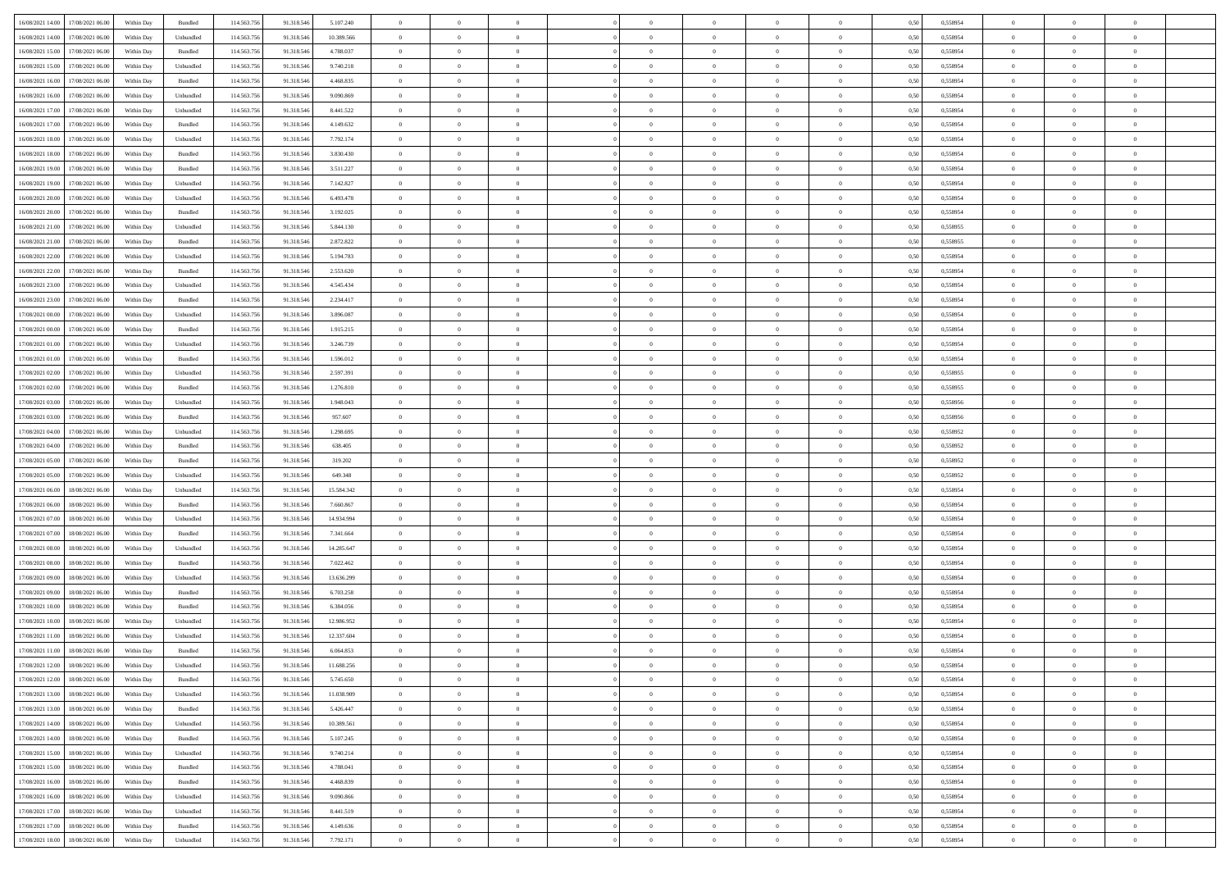| 16/08/2021 14:00 17/08/2021 06:00            | Within Day | Bundled                     | 114.563.75  | 91.318.546 | 5.107.240  | $\overline{0}$ | $\overline{0}$ |                | $\overline{0}$ | $\theta$       |                | $\theta$       | 0,50 | 0,558954 | $\theta$       | $\theta$       | $\overline{0}$ |  |
|----------------------------------------------|------------|-----------------------------|-------------|------------|------------|----------------|----------------|----------------|----------------|----------------|----------------|----------------|------|----------|----------------|----------------|----------------|--|
|                                              |            |                             |             |            |            |                |                |                |                |                |                |                |      |          |                |                |                |  |
| 16/08/2021 14:00<br>17/08/2021 06:00         | Within Day | Unbundled                   | 114.563.75  | 91.318.54  | 10.389.566 | $\bf{0}$       | $\bf{0}$       | $\bf{0}$       | $\bf{0}$       | $\overline{0}$ | $\overline{0}$ | $\bf{0}$       | 0,50 | 0,558954 | $\,$ 0 $\,$    | $\bf{0}$       | $\overline{0}$ |  |
| 16/08/2021 15:00<br>17/08/2021 06:00         | Within Day | Bundled                     | 114,563,75  | 91.318.546 | 4.788.037  | $\overline{0}$ | $\bf{0}$       | $\overline{0}$ | $\bf{0}$       | $\bf{0}$       | $\overline{0}$ | $\bf{0}$       | 0.50 | 0.558954 | $\bf{0}$       | $\overline{0}$ | $\overline{0}$ |  |
| 16/08/2021 15:00<br>17/08/2021 06:00         | Within Day | Unbundled                   | 114.563.75  | 91.318.546 | 9.740.218  | $\overline{0}$ | $\overline{0}$ | $\overline{0}$ | $\overline{0}$ | $\theta$       | $\overline{0}$ | $\bf{0}$       | 0,50 | 0,558954 | $\theta$       | $\theta$       | $\overline{0}$ |  |
| 16/08/2021 16:00<br>17/08/2021 06:00         | Within Day | Bundled                     | 114.563.75  | 91.318.54  | 4.468.835  | $\bf{0}$       | $\overline{0}$ | $\bf{0}$       | $\overline{0}$ | $\theta$       | $\overline{0}$ | $\bf{0}$       | 0,50 | 0,558954 | $\,$ 0 $\,$    | $\bf{0}$       | $\overline{0}$ |  |
| 16/08/2021 16:00<br>17/08/2021 06:00         | Within Day | Unbundled                   | 114,563,75  | 91.318.54  | 9.090.869  | $\overline{0}$ | $\overline{0}$ | $\overline{0}$ | $\bf{0}$       | $\overline{0}$ | $\theta$       | $\bf{0}$       | 0.50 | 0.558954 | $\,$ 0 $\,$    | $\theta$       | $\overline{0}$ |  |
| 16/08/2021 17:00<br>17/08/2021 06:00         |            |                             | 114.563.75  |            |            | $\overline{0}$ | $\overline{0}$ | $\overline{0}$ | $\overline{0}$ | $\overline{0}$ | $\overline{0}$ |                |      |          | $\,$ 0 $\,$    | $\theta$       | $\overline{0}$ |  |
|                                              | Within Day | Unbundled                   |             | 91.318.546 | 8.441.522  |                |                |                |                |                |                | $\bf{0}$       | 0,50 | 0,558954 |                |                |                |  |
| 16/08/2021 17:00<br>17/08/2021 06:00         | Within Day | Bundled                     | 114.563.75  | 91.318.54  | 4.149.632  | $\bf{0}$       | $\bf{0}$       | $\bf{0}$       | $\overline{0}$ | $\overline{0}$ | $\overline{0}$ | $\bf{0}$       | 0,50 | 0,558954 | $\,$ 0 $\,$    | $\bf{0}$       | $\overline{0}$ |  |
| 16/08/2021 18:00<br>17/08/2021 06:00         | Within Day | Unbundled                   | 114,563,75  | 91.318.54  | 7.792.174  | $\overline{0}$ | $\bf{0}$       | $\overline{0}$ | $\bf{0}$       | $\overline{0}$ | $\overline{0}$ | $\bf{0}$       | 0.50 | 0.558954 | $\bf{0}$       | $\overline{0}$ | $\overline{0}$ |  |
| 16/08/2021 18:00<br>17/08/2021 06:00         | Within Day | Bundled                     | 114.563.756 | 91.318.546 | 3.830.430  | $\overline{0}$ | $\bf{0}$       | $\overline{0}$ | $\overline{0}$ | $\overline{0}$ | $\overline{0}$ | $\bf{0}$       | 0,50 | 0,558954 | $\,$ 0 $\,$    | $\bf{0}$       | $\overline{0}$ |  |
| 16/08/2021 19:00<br>17/08/2021 06:00         | Within Day | Bundled                     | 114.563.75  | 91.318.546 | 3.511.227  | $\bf{0}$       | $\bf{0}$       | $\bf{0}$       | $\bf{0}$       | $\overline{0}$ | $\overline{0}$ | $\bf{0}$       | 0,50 | 0,558954 | $\,$ 0 $\,$    | $\bf{0}$       | $\overline{0}$ |  |
| 16/08/2021 19:00<br>17/08/2021 06:00         | Within Day | Unbundled                   | 114,563,75  | 91.318.546 | 7.142.827  | $\overline{0}$ | $\bf{0}$       | $\overline{0}$ | $\overline{0}$ | $\bf{0}$       | $\overline{0}$ | $\bf{0}$       | 0.50 | 0.558954 | $\bf{0}$       | $\overline{0}$ | $\,$ 0         |  |
| 16/08/2021 20:00<br>17/08/2021 06:00         | Within Day | Unbundled                   | 114.563.75  | 91.318.546 | 6.493.478  | $\overline{0}$ | $\overline{0}$ | $\overline{0}$ | $\theta$       | $\theta$       | $\overline{0}$ | $\bf{0}$       | 0,50 | 0,558954 | $\,$ 0 $\,$    | $\theta$       | $\overline{0}$ |  |
|                                              |            |                             |             |            |            |                | $\overline{0}$ |                |                |                | $\overline{0}$ |                |      |          | $\,$ 0 $\,$    | $\bf{0}$       | $\overline{0}$ |  |
| 16/08/2021 20:00<br>17/08/2021 06:00         | Within Day | Bundled                     | 114.563.75  | 91.318.54  | 3.192.025  | $\bf{0}$       |                | $\bf{0}$       | $\bf{0}$       | $\bf{0}$       |                | $\bf{0}$       | 0,50 | 0,558954 |                |                |                |  |
| 16/08/2021 21:00<br>17/08/2021 06:00         | Within Day | Unbundled                   | 114,563,75  | 91.318.546 | 5.844.130  | $\overline{0}$ | $\bf{0}$       | $\overline{0}$ | $\bf{0}$       | $\overline{0}$ | $\theta$       | $\bf{0}$       | 0.50 | 0.558955 | $\,$ 0 $\,$    | $\theta$       | $\overline{0}$ |  |
| 16/08/2021 21:00<br>17/08/2021 06:00         | Within Day | Bundled                     | 114.563.75  | 91.318.546 | 2.872.822  | $\overline{0}$ | $\overline{0}$ | $\overline{0}$ | $\overline{0}$ | $\overline{0}$ | $\overline{0}$ | $\bf{0}$       | 0,50 | 0,558955 | $\theta$       | $\theta$       | $\overline{0}$ |  |
| 16/08/2021 22:00<br>17/08/2021 06:00         | Within Day | Unbundled                   | 114.563.75  | 91.318.54  | 5.194.783  | $\bf{0}$       | $\bf{0}$       | $\bf{0}$       | $\overline{0}$ | $\bf{0}$       | $\overline{0}$ | $\bf{0}$       | 0,50 | 0,558954 | $\,$ 0 $\,$    | $\bf{0}$       | $\overline{0}$ |  |
| 16/08/2021 22:00<br>17/08/2021 06:00         | Within Day | Bundled                     | 114,563,75  | 91.318.54  | 2.553.620  | $\overline{0}$ | $\bf{0}$       | $\overline{0}$ | $\bf{0}$       | $\overline{0}$ | $\overline{0}$ | $\bf{0}$       | 0.50 | 0.558954 | $\bf{0}$       | $\overline{0}$ | $\overline{0}$ |  |
| 16/08/2021 23:00<br>17/08/2021 06:00         | Within Day | Unbundled                   | 114.563.75  | 91.318.546 | 4.545.434  | $\bf{0}$       | $\bf{0}$       | $\overline{0}$ | $\overline{0}$ | $\overline{0}$ | $\overline{0}$ | $\bf{0}$       | 0,50 | 0,558954 | $\,$ 0 $\,$    | $\bf{0}$       | $\overline{0}$ |  |
| 16/08/2021 23:00<br>17/08/2021 06:00         | Within Day | Bundled                     | 114.563.75  | 91.318.54  | 2.234.417  | $\bf{0}$       | $\bf{0}$       | $\bf{0}$       | $\bf{0}$       | $\overline{0}$ | $\overline{0}$ | $\bf{0}$       | 0,50 | 0,558954 | $\,$ 0 $\,$    | $\bf{0}$       | $\overline{0}$ |  |
|                                              |            |                             |             |            |            |                |                |                |                |                |                |                |      |          |                |                |                |  |
| 17/08/2021 00:00<br>17/08/2021 06:00         | Within Day | Unbundled                   | 114,563,75  | 91.318.546 | 3.896.087  | $\overline{0}$ | $\bf{0}$       | $\overline{0}$ | $\overline{0}$ | $\bf{0}$       | $\overline{0}$ | $\bf{0}$       | 0.50 | 0.558954 | $\bf{0}$       | $\overline{0}$ | $\,$ 0         |  |
| 17/08/2021 00:00<br>17/08/2021 06:00         | Within Day | Bundled                     | 114.563.75  | 91.318.546 | 1.915.215  | $\overline{0}$ | $\overline{0}$ | $\overline{0}$ | $\overline{0}$ | $\theta$       | $\overline{0}$ | $\bf{0}$       | 0,50 | 0,558954 | $\theta$       | $\theta$       | $\overline{0}$ |  |
| 17/08/2021 01:00<br>17/08/2021 06:00         | Within Day | Unbundled                   | 114.563.75  | 91.318.54  | 3.246.739  | $\bf{0}$       | $\bf{0}$       | $\bf{0}$       | $\bf{0}$       | $\overline{0}$ | $\overline{0}$ | $\bf{0}$       | 0,50 | 0,558954 | $\,$ 0 $\,$    | $\bf{0}$       | $\overline{0}$ |  |
| 17/08/2021 01:00<br>17/08/2021 06:00         | Within Day | Bundled                     | 114,563,75  | 91.318.54  | 1.596.012  | $\overline{0}$ | $\bf{0}$       | $\overline{0}$ | $\bf{0}$       | $\overline{0}$ | $\theta$       | $\bf{0}$       | 0.50 | 0.558954 | $\,$ 0 $\,$    | $\theta$       | $\overline{0}$ |  |
| 17/08/2021 02:00<br>17/08/2021 06:00         | Within Day | Unbundled                   | 114.563.75  | 91.318.546 | 2.597.391  | $\overline{0}$ | $\overline{0}$ | $\overline{0}$ | $\overline{0}$ | $\overline{0}$ | $\overline{0}$ | $\bf{0}$       | 0,50 | 0,558955 | $\,$ 0 $\,$    | $\theta$       | $\overline{0}$ |  |
| 17/08/2021 02:00<br>17/08/2021 06:00         | Within Day | Bundled                     | 114.563.75  | 91.318.54  | 1.276.810  | $\bf{0}$       | $\overline{0}$ | $\bf{0}$       | $\overline{0}$ | $\bf{0}$       | $\overline{0}$ | $\bf{0}$       | 0,50 | 0,558955 | $\,$ 0 $\,$    | $\bf{0}$       | $\overline{0}$ |  |
| 17/08/2021 03:00<br>17/08/2021 06:00         | Within Day | Unbundled                   | 114,563,75  | 91.318.54  | 1.948.043  | $\overline{0}$ | $\bf{0}$       | $\overline{0}$ | $\bf{0}$       | $\overline{0}$ | $\overline{0}$ | $\bf{0}$       | 0.50 | 0.558956 | $\bf{0}$       | $\overline{0}$ | $\overline{0}$ |  |
| 17/08/2021 03:00<br>17/08/2021 06:00         | Within Day | Bundled                     | 114.563.756 | 91.318.546 | 957.607    | $\overline{0}$ | $\bf{0}$       | $\overline{0}$ | $\overline{0}$ | $\overline{0}$ | $\overline{0}$ | $\bf{0}$       | 0,50 | 0,558956 | $\,$ 0 $\,$    | $\bf{0}$       | $\overline{0}$ |  |
|                                              |            |                             |             |            |            |                |                |                |                |                |                |                |      |          |                |                |                |  |
| 17/08/2021 04:00<br>17/08/2021 06:00         | Within Day | Unbundled                   | 114.563.75  | 91.318.54  | 1.298.695  | $\bf{0}$       | $\bf{0}$       | $\bf{0}$       | $\bf{0}$       | $\overline{0}$ | $\overline{0}$ | $\bf{0}$       | 0,50 | 0,558952 | $\,$ 0 $\,$    | $\bf{0}$       | $\overline{0}$ |  |
| 17/08/2021 04:00<br>17/08/2021 06:00         | Within Day | Bundled                     | 114,563,75  | 91.318.546 | 638.405    | $\overline{0}$ | $\bf{0}$       | $\overline{0}$ | $\overline{0}$ | $\bf{0}$       | $\overline{0}$ | $\bf{0}$       | 0.50 | 0.558952 | $\bf{0}$       | $\,$ 0 $\,$    | $\,$ 0         |  |
| 17/08/2021 05:00<br>17/08/2021 06:00         | Within Day | Bundled                     | 114.563.75  | 91.318.546 | 319.202    | $\overline{0}$ | $\overline{0}$ | $\overline{0}$ | $\overline{0}$ | $\overline{0}$ | $\overline{0}$ | $\bf{0}$       | 0.50 | 0,558952 | $\theta$       | $\theta$       | $\overline{0}$ |  |
| 17/08/2021 05:00<br>17/08/2021 06:00         | Within Day | Unbundled                   | 114.563.75  | 91.318.54  | 649.348    | $\bf{0}$       | $\bf{0}$       | $\bf{0}$       | $\bf{0}$       | $\overline{0}$ | $\overline{0}$ | $\bf{0}$       | 0,50 | 0,558952 | $\,$ 0 $\,$    | $\bf{0}$       | $\overline{0}$ |  |
| 17/08/2021 06:00<br>18/08/2021 06:00         | Within Day | Unbundled                   | 114,563,75  | 91.318.546 | 15.584.342 | $\overline{0}$ | $\bf{0}$       | $\overline{0}$ | $\bf{0}$       | $\overline{0}$ | $\overline{0}$ | $\bf{0}$       | 0.50 | 0.558954 | $\,$ 0 $\,$    | $\bf{0}$       | $\overline{0}$ |  |
| 17/08/2021 06:00<br>18/08/2021 06:00         | Within Dav | Bundled                     | 114.563.75  | 91.318.546 | 7.660.867  | $\overline{0}$ | $\overline{0}$ | $\overline{0}$ | $\overline{0}$ | $\overline{0}$ | $\overline{0}$ | $\bf{0}$       | 0.50 | 0,558954 | $\theta$       | $\theta$       | $\overline{0}$ |  |
| 17/08/2021 07:00<br>18/08/2021 06:00         | Within Day | Unbundled                   | 114.563.75  | 91.318.54  | 14.934.994 | $\bf{0}$       | $\bf{0}$       | $\bf{0}$       | $\bf{0}$       | $\overline{0}$ | $\overline{0}$ | $\bf{0}$       | 0,50 | 0,558954 | $\,$ 0 $\,$    | $\bf{0}$       | $\overline{0}$ |  |
| 17/08/2021 07:00<br>18/08/2021 06:00         | Within Day | Bundled                     | 114,563,75  | 91.318.54  | 7.341.664  | $\overline{0}$ | $\bf{0}$       | $\overline{0}$ | $\bf{0}$       | $\overline{0}$ | $\overline{0}$ | $\bf{0}$       | 0.50 | 0.558954 | $\bf{0}$       | $\overline{0}$ | $\overline{0}$ |  |
|                                              |            |                             |             |            |            |                |                |                |                |                |                |                |      |          |                |                |                |  |
| 17/08/2021 08:00<br>18/08/2021 06:00         | Within Dav | Unbundled                   | 114.563.75  | 91.318.546 | 14.285.647 | $\overline{0}$ | $\overline{0}$ | $\overline{0}$ | $\overline{0}$ | $\overline{0}$ | $\overline{0}$ | $\bf{0}$       | 0.50 | 0,558954 | $\theta$       | $\theta$       | $\overline{0}$ |  |
| 17/08/2021 08:00<br>18/08/2021 06:00         | Within Day | Bundled                     | 114.563.75  | 91.318.54  | 7.022.462  | $\bf{0}$       | $\bf{0}$       | $\bf{0}$       | $\bf{0}$       | $\overline{0}$ | $\overline{0}$ | $\bf{0}$       | 0,50 | 0,558954 | $\,$ 0 $\,$    | $\bf{0}$       | $\overline{0}$ |  |
| 17/08/2021 09:00<br>18/08/2021 06:00         | Within Day | Unbundled                   | 114.563.75  | 91.318.546 | 13.636.299 | $\overline{0}$ | $\bf{0}$       | $\overline{0}$ | $\overline{0}$ | $\bf{0}$       | $\overline{0}$ | $\bf{0}$       | 0.50 | 0.558954 | $\bf{0}$       | $\overline{0}$ | $\overline{0}$ |  |
| 17/08/2021 09:00<br>18/08/2021 06:00         | Within Dav | Bundled                     | 114.563.75  | 91.318.546 | 6.703.258  | $\overline{0}$ | $\overline{0}$ | $\overline{0}$ | $\overline{0}$ | $\overline{0}$ | $\overline{0}$ | $\bf{0}$       | 0.50 | 0.558954 | $\theta$       | $\theta$       | $\overline{0}$ |  |
| 17/08/2021 10:00<br>18/08/2021 06:00         | Within Day | Bundled                     | 114.563.75  | 91.318.54  | 6.384.056  | $\bf{0}$       | $\bf{0}$       | $\bf{0}$       | $\bf{0}$       | $\overline{0}$ | $\overline{0}$ | $\bf{0}$       | 0,50 | 0,558954 | $\,$ 0 $\,$    | $\bf{0}$       | $\overline{0}$ |  |
| 17/08/2021 10:00<br>18/08/2021 06:00         | Within Day | Unbundled                   | 114,563,75  | 91.318.54  | 12.986.952 | $\overline{0}$ | $\overline{0}$ | $\overline{0}$ | $\bf{0}$       | $\overline{0}$ | $\Omega$       | $\bf{0}$       | 0.50 | 0.558954 | $\bf{0}$       | $\theta$       | $\overline{0}$ |  |
| 17/08/2021 11:00<br>18/08/2021 06:00         | Within Dav | Unbundled                   | 114.563.75  | 91.318.54  | 12.337.604 | $\overline{0}$ | $\overline{0}$ | $\overline{0}$ | $\theta$       | $\theta$       | $\overline{0}$ | $\overline{0}$ | 0.5( | 0,558954 | $\theta$       | $\theta$       | $\overline{0}$ |  |
| 17/08/2021 11:00<br>18/08/2021 06:00         | Within Day | Bundled                     | 114.563.75  | 91.318.546 | 6.064.853  | $\bf{0}$       | $\bf{0}$       | $\bf{0}$       | $\bf{0}$       | $\bf{0}$       | $\overline{0}$ | $\bf{0}$       | 0,50 | 0,558954 | $\,$ 0 $\,$    | $\overline{0}$ | $\overline{0}$ |  |
| $17/08/2021\ 12.00 \qquad 18/08/2021\ 06.00$ | Within Day | $\ensuremath{\mathsf{Unb}}$ | 114.563.756 | 91.318.546 | 11.688.256 |                | $\theta$       |                | $\overline{0}$ |                |                |                | 0,50 | 0.558954 |                |                |                |  |
|                                              |            |                             |             |            |            | $\bf{0}$       |                |                |                |                |                |                |      |          | $\bf{0}$       | $\bf{0}$       |                |  |
| 17/08/2021 12:00 18/08/2021 06:00            | Within Day | Bundled                     | 114.563.756 | 91.318.546 | 5.745.650  | $\overline{0}$ | $\overline{0}$ | $\Omega$       | $\theta$       | $\overline{0}$ | $\overline{0}$ | $\bf{0}$       | 0,50 | 0,558954 | $\theta$       | $\theta$       | $\overline{0}$ |  |
| 17/08/2021 13:00<br>18/08/2021 06:00         | Within Day | Unbundled                   | 114.563.75  | 91.318.546 | 11.038.909 | $\overline{0}$ | $\bf{0}$       | $\overline{0}$ | $\overline{0}$ | $\bf{0}$       | $\overline{0}$ | $\bf{0}$       | 0,50 | 0,558954 | $\bf{0}$       | $\overline{0}$ | $\bf{0}$       |  |
| 17/08/2021 13:00 18/08/2021 06:00            | Within Day | Bundled                     | 114,563,756 | 91.318.546 | 5.426.447  | $\overline{0}$ | $\bf{0}$       | $\overline{0}$ | $\overline{0}$ | $\mathbf{0}$   | $\overline{0}$ | $\,$ 0 $\,$    | 0.50 | 0.558954 | $\overline{0}$ | $\bf{0}$       | $\,$ 0 $\,$    |  |
| 17/08/2021 14:00 18/08/2021 06:00            | Within Dav | Unbundled                   | 114.563.756 | 91.318.546 | 10.389.561 | $\overline{0}$ | $\overline{0}$ | $\overline{0}$ | $\overline{0}$ | $\overline{0}$ | $\overline{0}$ | $\bf{0}$       | 0,50 | 0,558954 | $\theta$       | $\theta$       | $\overline{0}$ |  |
| 17/08/2021 14:00<br>18/08/2021 06:00         | Within Day | Bundled                     | 114.563.75  | 91.318.546 | 5.107.245  | $\overline{0}$ | $\bf{0}$       | $\overline{0}$ | $\overline{0}$ | $\bf{0}$       | $\overline{0}$ | $\bf{0}$       | 0,50 | 0,558954 | $\bf{0}$       | $\overline{0}$ | $\overline{0}$ |  |
| 17/08/2021 15:00<br>18/08/2021 06:00         | Within Day | Unbundled                   | 114.563.756 | 91.318.546 | 9.740.214  | $\overline{0}$ | $\bf{0}$       | $\overline{0}$ | $\overline{0}$ | $\bf{0}$       | $\overline{0}$ | $\bf{0}$       | 0.50 | 0.558954 | $\,$ 0 $\,$    | $\overline{0}$ | $\,$ 0         |  |
|                                              |            |                             |             |            |            |                |                |                |                |                |                |                |      |          |                |                |                |  |
| 17/08/2021 15:00<br>18/08/2021 06:00         | Within Dav | Bundled                     | 114.563.756 | 91.318.546 | 4.788.041  | $\overline{0}$ | $\overline{0}$ | $\overline{0}$ | $\overline{0}$ | $\overline{0}$ | $\overline{0}$ | $\bf{0}$       | 0.50 | 0,558954 | $\overline{0}$ | $\theta$       | $\overline{0}$ |  |
| 17/08/2021 16:00<br>18/08/2021 06:00         | Within Day | Bundled                     | 114.563.75  | 91.318.546 | 4.468.839  | $\overline{0}$ | $\overline{0}$ | $\overline{0}$ | $\overline{0}$ | $\overline{0}$ | $\overline{0}$ | $\bf{0}$       | 0,50 | 0,558954 | $\bf{0}$       | $\overline{0}$ | $\overline{0}$ |  |
| 17/08/2021 16:00<br>18/08/2021 06:00         | Within Day | Unbundled                   | 114.563.75  | 91.318.546 | 9 090,866  | $\overline{0}$ | $\overline{0}$ | $\overline{0}$ | $\overline{0}$ | $\overline{0}$ | $\overline{0}$ | $\bf{0}$       | 0.50 | 0.558954 | $\mathbf{0}$   | $\bf{0}$       | $\,$ 0         |  |
| 17/08/2021 17:00 18/08/2021 06:00            | Within Dav | Unbundled                   | 114.563.756 | 91.318.546 | 8.441.519  | $\overline{0}$ | $\overline{0}$ | $\overline{0}$ | $\overline{0}$ | $\overline{0}$ | $\overline{0}$ | $\bf{0}$       | 0,50 | 0,558954 | $\overline{0}$ | $\theta$       | $\overline{0}$ |  |
| 17/08/2021 17:00<br>18/08/2021 06:00         | Within Day | Bundled                     | 114.563.75  | 91.318.546 | 4.149.636  | $\overline{0}$ | $\bf{0}$       | $\overline{0}$ | $\bf{0}$       | $\overline{0}$ | $\bf{0}$       | $\bf{0}$       | 0,50 | 0,558954 | $\bf{0}$       | $\,$ 0 $\,$    | $\bf{0}$       |  |
| 17/08/2021 18:00 18/08/2021 06:00            | Within Day | Unbundled                   | 114.563.756 | 91.318.546 | 7.792.171  | $\,$ 0 $\,$    | $\bf{0}$       | $\overline{0}$ | $\overline{0}$ | $\,$ 0 $\,$    | $\overline{0}$ | $\bf{0}$       | 0,50 | 0,558954 | $\overline{0}$ | $\,$ 0 $\,$    | $\,$ 0 $\,$    |  |
|                                              |            |                             |             |            |            |                |                |                |                |                |                |                |      |          |                |                |                |  |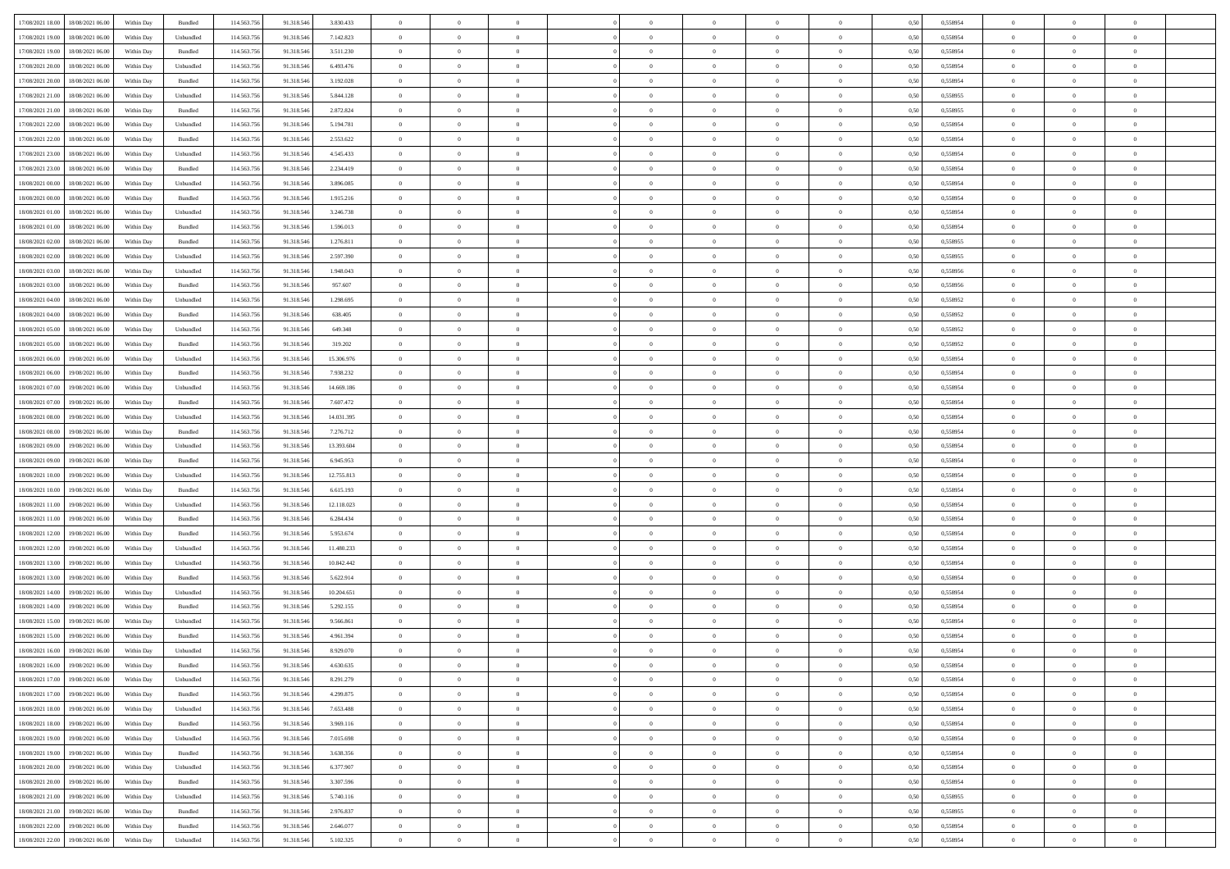| 17/08/2021 18:00 18/08/2021 06:00            | Within Day | Bundled           | 114.563.75  | 91.318.546 | 3.830.433  | $\overline{0}$ | $\overline{0}$ |                | $\overline{0}$ | $\theta$       |                | $\theta$       | 0,50 | 0,558954 | $\theta$       | $\theta$       | $\overline{0}$ |  |
|----------------------------------------------|------------|-------------------|-------------|------------|------------|----------------|----------------|----------------|----------------|----------------|----------------|----------------|------|----------|----------------|----------------|----------------|--|
| 17/08/2021 19:00<br>18/08/2021 06:00         | Within Day | Unbundled         | 114.563.75  | 91.318.54  | 7.142.823  | $\bf{0}$       | $\bf{0}$       | $\bf{0}$       | $\overline{0}$ | $\overline{0}$ | $\overline{0}$ | $\bf{0}$       | 0,50 | 0,558954 | $\,$ 0 $\,$    | $\bf{0}$       | $\overline{0}$ |  |
| 17/08/2021 19:00<br>18/08/2021 06:00         | Within Day | Bundled           | 114,563,75  | 91.318.546 | 3.511.230  | $\overline{0}$ | $\bf{0}$       | $\overline{0}$ | $\bf{0}$       | $\bf{0}$       | $\overline{0}$ | $\bf{0}$       | 0.50 | 0.558954 | $\bf{0}$       | $\overline{0}$ | $\overline{0}$ |  |
| 17/08/2021 20:00<br>18/08/2021 06:00         | Within Day | Unbundled         | 114.563.75  | 91.318.546 | 6.493.476  | $\overline{0}$ | $\overline{0}$ | $\overline{0}$ | $\theta$       | $\theta$       | $\overline{0}$ | $\bf{0}$       | 0,50 | 0,558954 | $\theta$       | $\theta$       | $\overline{0}$ |  |
| 17/08/2021 20:00<br>18/08/2021 06:00         | Within Day | Bundled           | 114.563.75  | 91.318.54  | 3.192.028  | $\bf{0}$       | $\overline{0}$ | $\bf{0}$       | $\overline{0}$ | $\theta$       | $\overline{0}$ | $\bf{0}$       | 0,50 | 0,558954 | $\,$ 0 $\,$    | $\bf{0}$       | $\overline{0}$ |  |
|                                              |            |                   |             |            |            |                |                |                |                |                |                |                |      |          |                |                |                |  |
| 17/08/2021 21:00<br>18/08/2021 06:00         | Within Day | Unbundled         | 114,563,75  | 91.318.54  | 5.844.128  | $\overline{0}$ | $\overline{0}$ | $\overline{0}$ | $\bf{0}$       | $\overline{0}$ | $\theta$       | $\bf{0}$       | 0.50 | 0.558955 | $\,$ 0 $\,$    | $\theta$       | $\overline{0}$ |  |
| 17/08/2021 21:00<br>18/08/2021 06:00         | Within Day | Bundled           | 114.563.75  | 91.318.546 | 2.872.824  | $\overline{0}$ | $\overline{0}$ | $\overline{0}$ | $\overline{0}$ | $\overline{0}$ | $\overline{0}$ | $\bf{0}$       | 0,50 | 0,558955 | $\,$ 0 $\,$    | $\theta$       | $\overline{0}$ |  |
| 17/08/2021 22:00<br>18/08/2021 06:00         | Within Day | Unbundled         | 114.563.75  | 91.318.54  | 5.194.781  | $\bf{0}$       | $\bf{0}$       | $\bf{0}$       | $\overline{0}$ | $\overline{0}$ | $\overline{0}$ | $\bf{0}$       | 0,50 | 0,558954 | $\,$ 0 $\,$    | $\bf{0}$       | $\overline{0}$ |  |
| 17/08/2021 22:00<br>18/08/2021 06:00         | Within Day | Bundled           | 114,563,75  | 91.318.54  | 2.553.622  | $\overline{0}$ | $\bf{0}$       | $\overline{0}$ | $\bf{0}$       | $\overline{0}$ | $\overline{0}$ | $\bf{0}$       | 0.50 | 0.558954 | $\bf{0}$       | $\overline{0}$ | $\overline{0}$ |  |
| 17/08/2021 23:00<br>18/08/2021 06:00         | Within Day | Unbundled         | 114.563.756 | 91.318.546 | 4.545.433  | $\overline{0}$ | $\bf{0}$       | $\overline{0}$ | $\overline{0}$ | $\overline{0}$ | $\overline{0}$ | $\bf{0}$       | 0,50 | 0,558954 | $\,$ 0 $\,$    | $\bf{0}$       | $\overline{0}$ |  |
| 17/08/2021 23:00<br>18/08/2021 06:00         | Within Day | Bundled           | 114.563.75  | 91.318.546 | 2.234.419  | $\bf{0}$       | $\overline{0}$ | $\bf{0}$       | $\bf{0}$       | $\bf{0}$       | $\overline{0}$ | $\bf{0}$       | 0,50 | 0,558954 | $\,$ 0 $\,$    | $\bf{0}$       | $\overline{0}$ |  |
| 18/08/2021 00:00<br>18/08/2021 06:00         | Within Day | Unbundled         | 114,563,75  | 91.318.546 | 3.896.085  | $\overline{0}$ | $\bf{0}$       | $\overline{0}$ | $\overline{0}$ | $\bf{0}$       | $\overline{0}$ | $\bf{0}$       | 0.50 | 0.558954 | $\bf{0}$       | $\overline{0}$ | $\overline{0}$ |  |
| 18/08/2021 00:00<br>18/08/2021 06:00         |            |                   | 114.563.75  |            |            | $\overline{0}$ | $\overline{0}$ | $\overline{0}$ | $\theta$       | $\theta$       | $\overline{0}$ | $\bf{0}$       |      |          | $\,$ 0 $\,$    | $\theta$       | $\overline{0}$ |  |
|                                              | Within Day | Bundled           |             | 91.318.546 | 1.915.216  |                |                |                |                |                |                |                | 0,50 | 0,558954 |                |                |                |  |
| 18/08/2021 01:00<br>18/08/2021 06:00         | Within Day | Unbundled         | 114.563.75  | 91.318.54  | 3.246.738  | $\bf{0}$       | $\overline{0}$ | $\bf{0}$       | $\overline{0}$ | $\theta$       | $\overline{0}$ | $\bf{0}$       | 0,50 | 0,558954 | $\,$ 0 $\,$    | $\bf{0}$       | $\overline{0}$ |  |
| 18/08/2021 01:00<br>18/08/2021 06:00         | Within Day | Bundled           | 114,563,75  | 91.318.546 | 1.596.013  | $\overline{0}$ | $\overline{0}$ | $\overline{0}$ | $\bf{0}$       | $\overline{0}$ | $\Omega$       | $\bf{0}$       | 0.50 | 0.558954 | $\,$ 0 $\,$    | $\theta$       | $\overline{0}$ |  |
| 18/08/2021 02:00<br>18/08/2021 06:00         | Within Day | Bundled           | 114.563.75  | 91.318.546 | 1.276.811  | $\overline{0}$ | $\overline{0}$ | $\overline{0}$ | $\overline{0}$ | $\overline{0}$ | $\overline{0}$ | $\bf{0}$       | 0,50 | 0,558955 | $\theta$       | $\theta$       | $\overline{0}$ |  |
| 18/08/2021 02:00<br>18/08/2021 06:00         | Within Day | Unbundled         | 114.563.75  | 91.318.54  | 2.597.390  | $\bf{0}$       | $\overline{0}$ | $\bf{0}$       | $\overline{0}$ | $\theta$       | $\overline{0}$ | $\bf{0}$       | 0,50 | 0,558955 | $\,$ 0 $\,$    | $\bf{0}$       | $\overline{0}$ |  |
| 18/08/2021 03:00<br>18/08/2021 06:00         | Within Day | Unbundled         | 114,563,75  | 91.318.54  | 1.948.043  | $\overline{0}$ | $\bf{0}$       | $\overline{0}$ | $\bf{0}$       | $\overline{0}$ | $\overline{0}$ | $\bf{0}$       | 0.50 | 0.558956 | $\bf{0}$       | $\overline{0}$ | $\overline{0}$ |  |
| 18/08/2021 03:00<br>18/08/2021 06:00         | Within Day | Bundled           | 114.563.75  | 91.318.546 | 957.607    | $\overline{0}$ | $\bf{0}$       | $\overline{0}$ | $\overline{0}$ | $\overline{0}$ | $\overline{0}$ | $\bf{0}$       | 0,50 | 0,558956 | $\,$ 0 $\,$    | $\bf{0}$       | $\overline{0}$ |  |
| 18/08/2021 04:00<br>18/08/2021 06:00         | Within Day | Unbundled         | 114.563.75  | 91.318.54  | 1.298.695  | $\bf{0}$       | $\bf{0}$       | $\bf{0}$       | $\bf{0}$       | $\overline{0}$ | $\overline{0}$ | $\bf{0}$       | 0,50 | 0,558952 | $\,$ 0 $\,$    | $\bf{0}$       | $\overline{0}$ |  |
|                                              |            |                   |             |            |            |                |                |                |                |                |                |                |      |          |                |                |                |  |
| 18/08/2021 04:00<br>18/08/2021 06:00         | Within Day | Bundled           | 114,563,75  | 91.318.546 | 638.405    | $\overline{0}$ | $\bf{0}$       | $\overline{0}$ | $\overline{0}$ | $\bf{0}$       | $\overline{0}$ | $\bf{0}$       | 0.50 | 0.558952 | $\bf{0}$       | $\overline{0}$ | $\overline{0}$ |  |
| 18/08/2021 05:00<br>18/08/2021 06:00         | Within Day | Unbundled         | 114.563.75  | 91.318.546 | 649.348    | $\overline{0}$ | $\overline{0}$ | $\overline{0}$ | $\theta$       | $\theta$       | $\overline{0}$ | $\bf{0}$       | 0,50 | 0,558952 | $\theta$       | $\theta$       | $\overline{0}$ |  |
| 18/08/2021 05:00<br>18/08/2021 06:00         | Within Day | Bundled           | 114.563.75  | 91.318.54  | 319.202    | $\bf{0}$       | $\overline{0}$ | $\bf{0}$       | $\bf{0}$       | $\,$ 0 $\,$    | $\overline{0}$ | $\bf{0}$       | 0,50 | 0,558952 | $\,$ 0 $\,$    | $\bf{0}$       | $\overline{0}$ |  |
| 18/08/2021 06:00<br>19/08/2021 06:00         | Within Day | Unbundled         | 114,563,75  | 91.318.54  | 15,306,976 | $\overline{0}$ | $\overline{0}$ | $\overline{0}$ | $\overline{0}$ | $\overline{0}$ | $\Omega$       | $\bf{0}$       | 0.50 | 0.558954 | $\,$ 0 $\,$    | $\theta$       | $\overline{0}$ |  |
| 18/08/2021 06:00<br>19/08/2021 06:00         | Within Day | Bundled           | 114.563.75  | 91.318.546 | 7.938.232  | $\overline{0}$ | $\overline{0}$ | $\overline{0}$ | $\overline{0}$ | $\overline{0}$ | $\overline{0}$ | $\bf{0}$       | 0,50 | 0,558954 | $\,$ 0 $\,$    | $\theta$       | $\overline{0}$ |  |
| 18/08/2021 07:00<br>19/08/2021 06:00         | Within Day | Unbundled         | 114.563.75  | 91.318.54  | 14.669.186 | $\bf{0}$       | $\overline{0}$ | $\bf{0}$       | $\overline{0}$ | $\bf{0}$       | $\overline{0}$ | $\bf{0}$       | 0,50 | 0,558954 | $\,$ 0 $\,$    | $\bf{0}$       | $\overline{0}$ |  |
| 18/08/2021 07:00<br>19/08/2021 06:00         | Within Day | Bundled           | 114,563,75  | 91.318.546 | 7.607.472  | $\overline{0}$ | $\bf{0}$       | $\overline{0}$ | $\bf{0}$       | $\overline{0}$ | $\overline{0}$ | $\bf{0}$       | 0.50 | 0.558954 | $\bf{0}$       | $\overline{0}$ | $\overline{0}$ |  |
| 18/08/2021 08:00<br>19/08/2021 06:00         | Within Day | Unbundled         | 114.563.75  | 91.318.546 | 14.031.395 | $\overline{0}$ | $\bf{0}$       | $\overline{0}$ | $\overline{0}$ | $\overline{0}$ | $\overline{0}$ | $\bf{0}$       | 0,50 | 0,558954 | $\theta$       | $\theta$       | $\overline{0}$ |  |
|                                              |            |                   |             |            |            |                |                |                |                |                |                |                |      |          |                |                |                |  |
| 18/08/2021 08:00<br>19/08/2021 06:00         | Within Day | Bundled           | 114.563.75  | 91.318.546 | 7.276.712  | $\bf{0}$       | $\bf{0}$       | $\bf{0}$       | $\bf{0}$       | $\overline{0}$ | $\overline{0}$ | $\bf{0}$       | 0,50 | 0,558954 | $\,$ 0 $\,$    | $\bf{0}$       | $\overline{0}$ |  |
| 18/08/2021 09:00<br>19/08/2021 06:00         | Within Day | Unbundled         | 114,563,75  | 91.318.546 | 13.393.604 | $\overline{0}$ | $\bf{0}$       | $\overline{0}$ | $\overline{0}$ | $\bf{0}$       | $\overline{0}$ | $\bf{0}$       | 0.50 | 0.558954 | $\bf{0}$       | $\overline{0}$ | $\overline{0}$ |  |
| 18/08/2021 09:00<br>19/08/2021 06:00         | Within Day | Bundled           | 114.563.75  | 91.318.546 | 6.945.953  | $\overline{0}$ | $\overline{0}$ | $\overline{0}$ | $\overline{0}$ | $\overline{0}$ | $\overline{0}$ | $\bf{0}$       | 0.50 | 0.558954 | $\theta$       | $\theta$       | $\overline{0}$ |  |
| 18/08/2021 10:00<br>19/08/2021 06:00         | Within Day | Unbundled         | 114.563.75  | 91.318.54  | 12.755.813 | $\bf{0}$       | $\overline{0}$ | $\bf{0}$       | $\bf{0}$       | $\overline{0}$ | $\overline{0}$ | $\bf{0}$       | 0,50 | 0,558954 | $\,$ 0 $\,$    | $\bf{0}$       | $\overline{0}$ |  |
| 18/08/2021 10:00<br>19/08/2021 06:00         | Within Day | Bundled           | 114,563,75  | 91.318.546 | 6.615.193  | $\overline{0}$ | $\bf{0}$       | $\overline{0}$ | $\bf{0}$       | $\overline{0}$ | $\Omega$       | $\bf{0}$       | 0.50 | 0.558954 | $\,$ 0 $\,$    | $\theta$       | $\overline{0}$ |  |
| 18/08/2021 11:00<br>19/08/2021 06:00         | Within Dav | Unbundled         | 114.563.75  | 91.318.546 | 12.118.023 | $\overline{0}$ | $\overline{0}$ | $\overline{0}$ | $\overline{0}$ | $\theta$       | $\overline{0}$ | $\bf{0}$       | 0.50 | 0,558954 | $\theta$       | $\theta$       | $\overline{0}$ |  |
| 18/08/2021 11:00<br>19/08/2021 06:00         | Within Day | Bundled           | 114.563.75  | 91.318.546 | 6.284.434  | $\bf{0}$       | $\bf{0}$       | $\bf{0}$       | $\bf{0}$       | $\bf{0}$       | $\overline{0}$ | $\bf{0}$       | 0,50 | 0,558954 | $\,$ 0 $\,$    | $\bf{0}$       | $\overline{0}$ |  |
| 18/08/2021 12:00<br>19/08/2021 06:00         | Within Day | Bundled           | 114,563,75  | 91.318.54  | 5.953.674  | $\overline{0}$ | $\bf{0}$       | $\overline{0}$ | $\bf{0}$       | $\overline{0}$ | $\overline{0}$ | $\bf{0}$       | 0.50 | 0.558954 | $\bf{0}$       | $\overline{0}$ | $\overline{0}$ |  |
| 18/08/2021 12:00<br>19/08/2021 06:00         | Within Dav | Unbundled         | 114.563.75  | 91.318.546 | 11.480.233 | $\overline{0}$ | $\overline{0}$ | $\overline{0}$ | $\overline{0}$ | $\overline{0}$ | $\overline{0}$ | $\bf{0}$       | 0.50 | 0,558954 | $\theta$       | $\theta$       | $\overline{0}$ |  |
|                                              |            |                   |             |            |            |                |                |                |                |                |                |                |      |          |                |                |                |  |
| 18/08/2021 13:00<br>19/08/2021 06:00         | Within Day | Unbundled         | 114.563.75  | 91.318.54  | 10.842.442 | $\bf{0}$       | $\bf{0}$       | $\bf{0}$       | $\bf{0}$       | $\overline{0}$ | $\overline{0}$ | $\bf{0}$       | 0,50 | 0,558954 | $\,$ 0 $\,$    | $\bf{0}$       | $\overline{0}$ |  |
| 18/08/2021 13:00<br>19/08/2021 06:00         | Within Day | Bundled           | 114,563,75  | 91.318.546 | 5.622.914  | $\overline{0}$ | $\bf{0}$       | $\overline{0}$ | $\overline{0}$ | $\bf{0}$       | $\overline{0}$ | $\bf{0}$       | 0.50 | 0.558954 | $\bf{0}$       | $\overline{0}$ | $\overline{0}$ |  |
| 18/08/2021 14:00<br>19/08/2021 06:00         | Within Dav | Unbundled         | 114.563.75  | 91.318.546 | 10.204.651 | $\overline{0}$ | $\overline{0}$ | $\overline{0}$ | $\overline{0}$ | $\overline{0}$ | $\overline{0}$ | $\bf{0}$       | 0.50 | 0.558954 | $\theta$       | $\theta$       | $\overline{0}$ |  |
| 18/08/2021 14:00<br>19/08/2021 06:00         | Within Day | Bundled           | 114.563.75  | 91.318.54  | 5.292.155  | $\bf{0}$       | $\bf{0}$       | $\bf{0}$       | $\bf{0}$       | $\overline{0}$ | $\overline{0}$ | $\bf{0}$       | 0,50 | 0,558954 | $\,$ 0 $\,$    | $\bf{0}$       | $\overline{0}$ |  |
| 18/08/2021 15:00<br>19/08/2021 06:00         | Within Day | Unbundled         | 114,563,75  | 91.318.54  | 9.566.861  | $\overline{0}$ | $\overline{0}$ | $\overline{0}$ | $\bf{0}$       | $\theta$       | $\Omega$       | $\bf{0}$       | 0.50 | 0.558954 | $\bf{0}$       | $\theta$       | $\overline{0}$ |  |
| 18/08/2021 15:00<br>19/08/2021 06:00         | Within Dav | Bundled           | 114.563.75  | 91.318.546 | 4.961.394  | $\overline{0}$ | $\overline{0}$ | $\Omega$       | $\theta$       | $\theta$       | $\Omega$       | $\overline{0}$ | 0.5( | 0,558954 | $\theta$       | $\theta$       | $\overline{0}$ |  |
| 18/08/2021 16:00<br>19/08/2021 06:00         | Within Day | Unbundled         | 114.563.75  | 91.318.546 | 8.929.070  | $\bf{0}$       | $\bf{0}$       | $\bf{0}$       | $\bf{0}$       | $\bf{0}$       | $\overline{0}$ | $\bf{0}$       | 0,50 | 0,558954 | $\,$ 0 $\,$    | $\bf{0}$       | $\overline{0}$ |  |
| $18/08/2021\ 16.00 \qquad 19/08/2021\ 06.00$ | Within Day | Bundled           | 114.563.756 | 91.318.546 | 4.630.635  | $\bf{0}$       | $\Omega$       |                | $\Omega$       |                |                |                | 0,50 | 0.558954 | $\theta$       | $\overline{0}$ |                |  |
|                                              |            |                   |             |            |            |                |                |                |                |                |                |                |      |          |                |                |                |  |
| 18/08/2021 17:00 19/08/2021 06:00            | Within Day | Unbundled         | 114.563.756 | 91.318.546 | 8.291.279  | $\overline{0}$ | $\overline{0}$ | $\Omega$       | $\theta$       | $\overline{0}$ | $\overline{0}$ | $\bf{0}$       | 0,50 | 0,558954 | $\theta$       | $\overline{0}$ | $\overline{0}$ |  |
| 18/08/2021 17:00<br>19/08/2021 06:00         | Within Day | Bundled           | 114.563.75  | 91.318.546 | 4.299.875  | $\overline{0}$ | $\bf{0}$       | $\overline{0}$ | $\overline{0}$ | $\bf{0}$       | $\overline{0}$ | $\bf{0}$       | 0,50 | 0,558954 | $\bf{0}$       | $\overline{0}$ | $\bf{0}$       |  |
| 18/08/2021 18:00 19/08/2021 06:00            | Within Day | Unbundled         | 114,563,756 | 91.318.546 | 7.653.488  | $\overline{0}$ | $\bf{0}$       | $\overline{0}$ | $\overline{0}$ | $\mathbf{0}$   | $\overline{0}$ | $\,$ 0 $\,$    | 0.50 | 0.558954 | $\overline{0}$ | $\bf{0}$       | $\,$ 0 $\,$    |  |
| 18/08/2021 18:00 19/08/2021 06:00            | Within Day | Bundled           | 114.563.756 | 91.318.546 | 3.969.116  | $\overline{0}$ | $\overline{0}$ | $\overline{0}$ | $\overline{0}$ | $\overline{0}$ | $\overline{0}$ | $\bf{0}$       | 0,50 | 0,558954 | $\overline{0}$ | $\theta$       | $\overline{0}$ |  |
| 18/08/2021 19:00<br>19/08/2021 06:00         | Within Day | Unbundled         | 114.563.75  | 91.318.546 | 7.015.698  | $\overline{0}$ | $\bf{0}$       | $\overline{0}$ | $\overline{0}$ | $\bf{0}$       | $\overline{0}$ | $\bf{0}$       | 0,50 | 0,558954 | $\bf{0}$       | $\overline{0}$ | $\overline{0}$ |  |
| 18/08/2021 19:00<br>19/08/2021 06:00         | Within Day | Bundled           | 114.563.756 | 91.318.546 | 3.638.356  | $\overline{0}$ | $\bf{0}$       | $\overline{0}$ | $\overline{0}$ | $\bf{0}$       | $\overline{0}$ | $\bf{0}$       | 0.50 | 0.558954 | $\,$ 0 $\,$    | $\overline{0}$ | $\,$ 0         |  |
| 18/08/2021 20:00<br>19/08/2021 06:00         | Within Dav | Unbundled         | 114.563.756 | 91.318.546 | 6.377.907  | $\overline{0}$ | $\overline{0}$ | $\overline{0}$ | $\overline{0}$ | $\overline{0}$ | $\overline{0}$ | $\bf{0}$       | 0.50 | 0,558954 | $\overline{0}$ | $\theta$       | $\overline{0}$ |  |
| 18/08/2021 20:00<br>19/08/2021 06:00         | Within Day | Bundled           | 114.563.75  | 91.318.546 | 3.307.596  | $\overline{0}$ | $\overline{0}$ | $\overline{0}$ | $\overline{0}$ | $\overline{0}$ | $\overline{0}$ | $\bf{0}$       | 0,50 | 0,558954 | $\bf{0}$       | $\overline{0}$ | $\overline{0}$ |  |
|                                              |            |                   |             |            |            |                |                |                |                |                |                |                |      |          |                |                |                |  |
| 18/08/2021 21:00 19/08/2021 06:00            | Within Day | Unbundled         | 114.563.75  | 91.318.546 | 5.740.116  | $\overline{0}$ | $\overline{0}$ | $\overline{0}$ | $\overline{0}$ | $\overline{0}$ | $\overline{0}$ | $\bf{0}$       | 0.50 | 0.558955 | $\mathbf{0}$   | $\bf{0}$       | $\,$ 0         |  |
| 18/08/2021 21:00 19/08/2021 06:00            | Within Dav | Bundled           | 114.563.756 | 91.318.546 | 2.976.837  | $\overline{0}$ | $\overline{0}$ | $\overline{0}$ | $\overline{0}$ | $\overline{0}$ | $\overline{0}$ | $\bf{0}$       | 0,50 | 0,558955 | $\overline{0}$ | $\theta$       | $\overline{0}$ |  |
| 18/08/2021 22:00<br>19/08/2021 06:00         | Within Day | Bundled           | 114.563.75  | 91.318.546 | 2.646.077  | $\overline{0}$ | $\bf{0}$       | $\overline{0}$ | $\bf{0}$       | $\overline{0}$ | $\overline{0}$ | $\bf{0}$       | 0,50 | 0,558954 | $\bf{0}$       | $\overline{0}$ | $\bf{0}$       |  |
| 18/08/2021 22:00 19/08/2021 06:00            | Within Day | ${\sf Unbundred}$ | 114.563.756 | 91.318.546 | 5.102.325  | $\,$ 0 $\,$    | $\bf{0}$       | $\overline{0}$ | $\overline{0}$ | $\,$ 0 $\,$    | $\overline{0}$ | $\bf{0}$       | 0,50 | 0,558954 | $\overline{0}$ | $\,$ 0 $\,$    | $\,$ 0 $\,$    |  |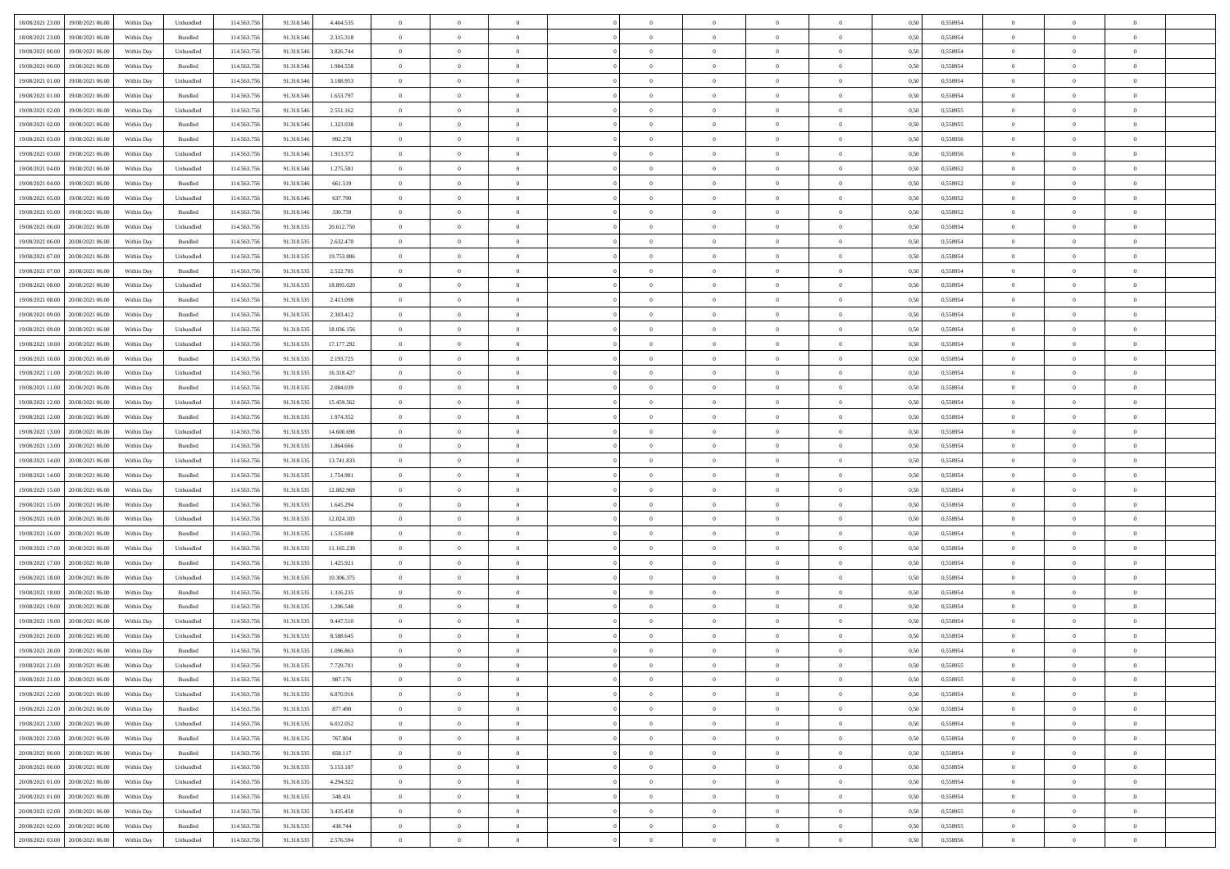| 18/08/2021 23:00 19/08/2021 06:00    | Within Day | Unbundled                   | 114.563.75  | 91.318.546 | 4.464.535  | $\overline{0}$ | $\overline{0}$ |                | $\overline{0}$ | $\theta$       |                | $\theta$       | 0,50 | 0,558954 | $\theta$       | $\theta$       | $\overline{0}$ |  |
|--------------------------------------|------------|-----------------------------|-------------|------------|------------|----------------|----------------|----------------|----------------|----------------|----------------|----------------|------|----------|----------------|----------------|----------------|--|
| 18/08/2021 23:00<br>19/08/2021 06:00 | Within Day | Bundled                     | 114.563.75  | 91.318.54  | 2.315.318  | $\bf{0}$       | $\bf{0}$       | $\bf{0}$       | $\overline{0}$ | $\overline{0}$ | $\overline{0}$ | $\bf{0}$       | 0,50 | 0,558954 | $\,$ 0 $\,$    | $\bf{0}$       | $\overline{0}$ |  |
| 19/08/2021 00:00<br>19/08/2021 06:00 | Within Day | Unbundled                   | 114,563,75  | 91.318.546 | 3.826.744  | $\overline{0}$ | $\bf{0}$       | $\overline{0}$ | $\bf{0}$       | $\bf{0}$       | $\overline{0}$ | $\bf{0}$       | 0.50 | 0.558954 | $\bf{0}$       | $\overline{0}$ | $\overline{0}$ |  |
| 19/08/2021 00:00<br>19/08/2021 06:00 |            |                             | 114.563.75  |            |            | $\overline{0}$ | $\overline{0}$ | $\overline{0}$ | $\theta$       | $\theta$       | $\overline{0}$ |                |      |          | $\theta$       | $\theta$       | $\overline{0}$ |  |
|                                      | Within Day | Bundled                     |             | 91.318.546 | 1.984.558  |                |                |                |                |                |                | $\bf{0}$       | 0,50 | 0,558954 |                |                |                |  |
| 19/08/2021 01:00<br>19/08/2021 06:00 | Within Day | Unbundled                   | 114.563.75  | 91.318.54  | 3.188.953  | $\bf{0}$       | $\overline{0}$ | $\bf{0}$       | $\overline{0}$ | $\theta$       | $\overline{0}$ | $\bf{0}$       | 0,50 | 0,558954 | $\,$ 0 $\,$    | $\bf{0}$       | $\overline{0}$ |  |
| 19/08/2021 01:00<br>19/08/2021 06:00 | Within Day | Bundled                     | 114,563,75  | 91.318.54  | 1.653.797  | $\overline{0}$ | $\overline{0}$ | $\overline{0}$ | $\bf{0}$       | $\overline{0}$ | $\theta$       | $\bf{0}$       | 0.50 | 0.558954 | $\,$ 0 $\,$    | $\theta$       | $\overline{0}$ |  |
| 19/08/2021 02:00<br>19/08/2021 06:00 | Within Day | Unbundled                   | 114.563.75  | 91.318.546 | 2.551.162  | $\overline{0}$ | $\overline{0}$ | $\overline{0}$ | $\overline{0}$ | $\overline{0}$ | $\overline{0}$ | $\bf{0}$       | 0,50 | 0,558955 | $\,$ 0 $\,$    | $\theta$       | $\overline{0}$ |  |
|                                      |            |                             |             |            |            |                |                |                |                |                |                |                |      |          |                |                |                |  |
| 19/08/2021 02:00<br>19/08/2021 06:00 | Within Day | Bundled                     | 114.563.75  | 91.318.54  | 1.323.038  | $\bf{0}$       | $\bf{0}$       | $\bf{0}$       | $\overline{0}$ | $\overline{0}$ | $\overline{0}$ | $\bf{0}$       | 0,50 | 0,558955 | $\,$ 0 $\,$    | $\bf{0}$       | $\overline{0}$ |  |
| 19/08/2021 03:00<br>19/08/2021 06:00 | Within Day | Bundled                     | 114,563,75  | 91.318.54  | 992.278    | $\overline{0}$ | $\bf{0}$       | $\overline{0}$ | $\bf{0}$       | $\overline{0}$ | $\overline{0}$ | $\bf{0}$       | 0.50 | 0.558956 | $\bf{0}$       | $\overline{0}$ | $\overline{0}$ |  |
| 19/08/2021 03:00<br>19/08/2021 06:00 | Within Day | Unbundled                   | 114.563.756 | 91.318.546 | 1.913.372  | $\bf{0}$       | $\bf{0}$       | $\overline{0}$ | $\overline{0}$ | $\overline{0}$ | $\overline{0}$ | $\bf{0}$       | 0,50 | 0,558956 | $\,$ 0 $\,$    | $\bf{0}$       | $\overline{0}$ |  |
| 19/08/2021 04:00<br>19/08/2021 06:00 | Within Day | Unbundled                   | 114.563.75  | 91.318.546 | 1.275.581  | $\bf{0}$       | $\overline{0}$ | $\bf{0}$       | $\bf{0}$       | $\bf{0}$       | $\overline{0}$ | $\bf{0}$       | 0,50 | 0,558952 | $\,$ 0 $\,$    | $\bf{0}$       | $\overline{0}$ |  |
|                                      |            |                             |             |            |            |                |                |                |                |                |                |                |      |          |                |                |                |  |
| 19/08/2021 04:00<br>19/08/2021 06:00 | Within Day | Bundled                     | 114,563,75  | 91.318.546 | 661.519    | $\overline{0}$ | $\bf{0}$       | $\overline{0}$ | $\overline{0}$ | $\bf{0}$       | $\overline{0}$ | $\bf{0}$       | 0.50 | 0.558952 | $\bf{0}$       | $\overline{0}$ | $\overline{0}$ |  |
| 19/08/2021 05:00<br>19/08/2021 06:00 | Within Day | Unbundled                   | 114.563.75  | 91.318.546 | 637.790    | $\overline{0}$ | $\overline{0}$ | $\overline{0}$ | $\theta$       | $\theta$       | $\overline{0}$ | $\bf{0}$       | 0,50 | 0,558952 | $\,$ 0 $\,$    | $\theta$       | $\overline{0}$ |  |
| 19/08/2021 05:00<br>19/08/2021 06:00 | Within Day | Bundled                     | 114.563.75  | 91.318.54  | 330.759    | $\bf{0}$       | $\overline{0}$ | $\bf{0}$       | $\overline{0}$ | $\theta$       | $\overline{0}$ | $\bf{0}$       | 0,50 | 0,558952 | $\,$ 0 $\,$    | $\bf{0}$       | $\overline{0}$ |  |
|                                      |            |                             |             |            |            |                |                |                |                |                |                |                |      |          |                |                |                |  |
| 19/08/2021 06:00<br>20/08/2021 06:00 | Within Day | Unbundled                   | 114,563,75  | 91.318.535 | 20.612.750 | $\overline{0}$ | $\bf{0}$       | $\overline{0}$ | $\bf{0}$       | $\overline{0}$ | $\Omega$       | $\bf{0}$       | 0.50 | 0.558954 | $\,$ 0 $\,$    | $\theta$       | $\overline{0}$ |  |
| 19/08/2021 06:00<br>20/08/2021 06:00 | Within Day | Bundled                     | 114.563.75  | 91.318.535 | 2.632.470  | $\overline{0}$ | $\overline{0}$ | $\overline{0}$ | $\overline{0}$ | $\overline{0}$ | $\overline{0}$ | $\bf{0}$       | 0,50 | 0,558954 | $\theta$       | $\theta$       | $\overline{0}$ |  |
| 19/08/2021 07:00<br>20/08/2021 06:00 | Within Day | Unbundled                   | 114.563.75  | 91.318.53  | 19.753.886 | $\bf{0}$       | $\bf{0}$       | $\bf{0}$       | $\overline{0}$ | $\theta$       | $\overline{0}$ | $\bf{0}$       | 0,50 | 0,558954 | $\,$ 0 $\,$    | $\bf{0}$       | $\overline{0}$ |  |
| 19/08/2021 07:00<br>20/08/2021 06:00 | Within Day | Bundled                     | 114,563,75  | 91.318.53  | 2.522.785  | $\overline{0}$ | $\bf{0}$       | $\overline{0}$ | $\bf{0}$       | $\overline{0}$ | $\overline{0}$ | $\bf{0}$       | 0.50 | 0.558954 | $\bf{0}$       | $\overline{0}$ | $\overline{0}$ |  |
| 19/08/2021 08:00<br>20/08/2021 06:00 | Within Day | Unbundled                   | 114.563.75  | 91.318.535 | 18.895.020 | $\bf{0}$       | $\bf{0}$       | $\overline{0}$ | $\overline{0}$ | $\overline{0}$ | $\overline{0}$ | $\bf{0}$       | 0,50 | 0,558954 | $\,$ 0 $\,$    | $\bf{0}$       | $\overline{0}$ |  |
|                                      |            |                             |             |            |            |                |                |                |                |                |                |                |      |          |                |                |                |  |
| 19/08/2021 08:00<br>20/08/2021 06:00 | Within Day | Bundled                     | 114.563.75  | 91.318.53  | 2.413.098  | $\bf{0}$       | $\bf{0}$       | $\bf{0}$       | $\bf{0}$       | $\overline{0}$ | $\overline{0}$ | $\bf{0}$       | 0,50 | 0,558954 | $\,$ 0 $\,$    | $\bf{0}$       | $\overline{0}$ |  |
| 19/08/2021 09:00<br>20/08/2021 06:00 | Within Day | Bundled                     | 114.563.75  | 91.318.535 | 2.303.412  | $\overline{0}$ | $\bf{0}$       | $\overline{0}$ | $\overline{0}$ | $\bf{0}$       | $\overline{0}$ | $\bf{0}$       | 0.50 | 0.558954 | $\bf{0}$       | $\overline{0}$ | $\overline{0}$ |  |
| 19/08/2021 09:00<br>20/08/2021 06:00 | Within Day | Unbundled                   | 114.563.75  | 91.318.535 | 18.036.156 | $\overline{0}$ | $\overline{0}$ | $\overline{0}$ | $\theta$       | $\theta$       | $\overline{0}$ | $\bf{0}$       | 0,50 | 0,558954 | $\theta$       | $\theta$       | $\overline{0}$ |  |
| 19/08/2021 10:00<br>20/08/2021 06:00 | Within Day | Unbundled                   | 114.563.75  | 91.318.535 | 17.177.292 | $\bf{0}$       | $\overline{0}$ | $\bf{0}$       | $\bf{0}$       | $\,$ 0 $\,$    | $\overline{0}$ | $\bf{0}$       | 0,50 | 0,558954 | $\,$ 0 $\,$    | $\bf{0}$       | $\overline{0}$ |  |
|                                      |            |                             |             |            |            |                |                |                |                |                |                |                |      |          |                |                |                |  |
| 19/08/2021 10:00<br>20/08/2021 06:00 | Within Day | Bundled                     | 114,563,75  | 91.318.53  | 2.193.725  | $\overline{0}$ | $\bf{0}$       | $\overline{0}$ | $\bf{0}$       | $\overline{0}$ | $\Omega$       | $\bf{0}$       | 0.50 | 0.558954 | $\,$ 0 $\,$    | $\theta$       | $\overline{0}$ |  |
| 19/08/2021 11:00<br>20/08/2021 06:00 | Within Day | Unbundled                   | 114.563.75  | 91.318.535 | 16.318.427 | $\overline{0}$ | $\overline{0}$ | $\overline{0}$ | $\overline{0}$ | $\overline{0}$ | $\overline{0}$ | $\bf{0}$       | 0,50 | 0,558954 | $\,$ 0 $\,$    | $\theta$       | $\overline{0}$ |  |
| 19/08/2021 11:00<br>20/08/2021 06:00 | Within Day | Bundled                     | 114.563.75  | 91.318.53  | 2.084.039  | $\bf{0}$       | $\overline{0}$ | $\bf{0}$       | $\overline{0}$ | $\bf{0}$       | $\overline{0}$ | $\bf{0}$       | 0,50 | 0,558954 | $\,$ 0 $\,$    | $\bf{0}$       | $\overline{0}$ |  |
| 19/08/2021 12:00<br>20/08/2021 06:00 | Within Day | Unbundled                   | 114,563,75  | 91.318.53  | 15.459.562 | $\overline{0}$ | $\bf{0}$       | $\overline{0}$ | $\bf{0}$       | $\overline{0}$ | $\overline{0}$ | $\bf{0}$       | 0.50 | 0.558954 | $\bf{0}$       | $\overline{0}$ | $\overline{0}$ |  |
|                                      |            |                             |             |            |            |                |                |                |                |                |                |                |      |          |                |                |                |  |
| 19/08/2021 12:00<br>20/08/2021 06:00 | Within Day | Bundled                     | 114.563.756 | 91.318.535 | 1.974.352  | $\overline{0}$ | $\bf{0}$       | $\overline{0}$ | $\overline{0}$ | $\overline{0}$ | $\overline{0}$ | $\bf{0}$       | 0,50 | 0,558954 | $\,$ 0 $\,$    | $\theta$       | $\overline{0}$ |  |
| 19/08/2021 13:00<br>20/08/2021 06:00 | Within Day | Unbundled                   | 114.563.75  | 91.318.535 | 14.600.698 | $\bf{0}$       | $\bf{0}$       | $\bf{0}$       | $\bf{0}$       | $\overline{0}$ | $\overline{0}$ | $\bf{0}$       | 0,50 | 0,558954 | $\,$ 0 $\,$    | $\bf{0}$       | $\overline{0}$ |  |
| 19/08/2021 13:00<br>20/08/2021 06:00 | Within Day | Bundled                     | 114,563,75  | 91.318.535 | 1.864,666  | $\overline{0}$ | $\bf{0}$       | $\overline{0}$ | $\overline{0}$ | $\bf{0}$       | $\overline{0}$ | $\bf{0}$       | 0.50 | 0.558954 | $\bf{0}$       | $\overline{0}$ | $\overline{0}$ |  |
| 19/08/2021 14:00<br>20/08/2021 06:00 | Within Day | Unbundled                   | 114.563.75  | 91.318.535 | 13.741.833 | $\overline{0}$ | $\overline{0}$ | $\overline{0}$ | $\overline{0}$ | $\overline{0}$ | $\overline{0}$ | $\bf{0}$       | 0.50 | 0.558954 | $\theta$       | $\theta$       | $\overline{0}$ |  |
|                                      |            |                             |             |            |            |                |                |                |                |                |                |                |      |          |                |                |                |  |
| 19/08/2021 14:00<br>20/08/2021 06:00 | Within Day | Bundled                     | 114.563.75  | 91.318.53  | 1.754.981  | $\bf{0}$       | $\overline{0}$ | $\bf{0}$       | $\bf{0}$       | $\,$ 0 $\,$    | $\overline{0}$ | $\bf{0}$       | 0,50 | 0,558954 | $\,$ 0 $\,$    | $\bf{0}$       | $\overline{0}$ |  |
| 19/08/2021 15:00<br>20/08/2021 06:00 | Within Day | Unbundled                   | 114,563,75  | 91.318.53  | 12.882.969 | $\overline{0}$ | $\bf{0}$       | $\overline{0}$ | $\bf{0}$       | $\overline{0}$ | $\Omega$       | $\bf{0}$       | 0.50 | 0.558954 | $\,$ 0 $\,$    | $\theta$       | $\overline{0}$ |  |
| 19/08/2021 15:00<br>20/08/2021 06:00 | Within Dav | Bundled                     | 114.563.75  | 91.318.535 | 1.645.294  | $\overline{0}$ | $\overline{0}$ | $\overline{0}$ | $\overline{0}$ | $\theta$       | $\overline{0}$ | $\bf{0}$       | 0.50 | 0,558954 | $\theta$       | $\theta$       | $\overline{0}$ |  |
| 19/08/2021 16:00<br>20/08/2021 06:00 | Within Day | Unbundled                   | 114.563.75  | 91.318.53  | 12.024.103 | $\bf{0}$       | $\bf{0}$       | $\bf{0}$       | $\bf{0}$       | $\bf{0}$       | $\overline{0}$ | $\bf{0}$       | 0,50 | 0,558954 | $\,$ 0 $\,$    | $\bf{0}$       | $\overline{0}$ |  |
| 19/08/2021 16:00<br>20/08/2021 06:00 | Within Day | Bundled                     | 114,563,75  | 91.318.53  | 1.535.608  | $\overline{0}$ | $\bf{0}$       | $\overline{0}$ | $\bf{0}$       | $\overline{0}$ | $\overline{0}$ | $\bf{0}$       | 0.50 | 0.558954 | $\bf{0}$       | $\overline{0}$ | $\overline{0}$ |  |
|                                      |            |                             |             |            |            |                |                |                |                |                |                |                |      |          |                |                |                |  |
| 19/08/2021 17:00<br>20/08/2021 06:00 | Within Dav | Unbundled                   | 114.563.75  | 91.318.535 | 11.165.239 | $\overline{0}$ | $\overline{0}$ | $\overline{0}$ | $\overline{0}$ | $\overline{0}$ | $\overline{0}$ | $\bf{0}$       | 0.50 | 0,558954 | $\theta$       | $\theta$       | $\overline{0}$ |  |
| 19/08/2021 17:00<br>20/08/2021 06:00 | Within Day | Bundled                     | 114.563.75  | 91.318.535 | 1.425.921  | $\bf{0}$       | $\bf{0}$       | $\bf{0}$       | $\bf{0}$       | $\overline{0}$ | $\overline{0}$ | $\bf{0}$       | 0,50 | 0,558954 | $\,$ 0 $\,$    | $\bf{0}$       | $\overline{0}$ |  |
| 19/08/2021 18:00<br>20/08/2021 06:00 | Within Day | Unbundled                   | 114.563.75  | 91.318.535 | 10.306.375 | $\overline{0}$ | $\bf{0}$       | $\overline{0}$ | $\overline{0}$ | $\bf{0}$       | $\overline{0}$ | $\bf{0}$       | 0.50 | 0.558954 | $\bf{0}$       | $\overline{0}$ | $\overline{0}$ |  |
| 19/08/2021 18:00<br>20/08/2021 06:00 | Within Dav | Bundled                     | 114.563.75  | 91.318.535 | 1.316.235  | $\overline{0}$ | $\overline{0}$ | $\overline{0}$ | $\overline{0}$ | $\theta$       | $\overline{0}$ | $\bf{0}$       | 0.50 | 0.558954 | $\theta$       | $\theta$       | $\overline{0}$ |  |
|                                      |            |                             |             |            |            |                |                |                |                |                |                |                |      |          |                |                |                |  |
| 19/08/2021 19:00<br>20/08/2021 06:00 | Within Day | Bundled                     | 114.563.75  | 91.318.535 | 1.206.548  | $\bf{0}$       | $\bf{0}$       | $\bf{0}$       | $\bf{0}$       | $\overline{0}$ | $\overline{0}$ | $\bf{0}$       | 0,50 | 0,558954 | $\,$ 0 $\,$    | $\bf{0}$       | $\overline{0}$ |  |
| 19/08/2021 19:00<br>20/08/2021 06:00 | Within Day | Unbundled                   | 114,563,75  | 91.318.53  | 9.447.510  | $\overline{0}$ | $\overline{0}$ | $\overline{0}$ | $\bf{0}$       | $\theta$       | $\Omega$       | $\bf{0}$       | 0.50 | 0.558954 | $\bf{0}$       | $\theta$       | $\overline{0}$ |  |
| 19/08/2021 20:00<br>20/08/2021 06:00 | Within Dav | Unbundled                   | 114.563.75  | 91.318.535 | 8.588.645  | $\overline{0}$ | $\overline{0}$ | $\Omega$       | $\overline{0}$ | $\theta$       | $\Omega$       | $\overline{0}$ | 0.5( | 0,558954 | $\theta$       | $\theta$       | $\overline{0}$ |  |
| 19/08/2021 20:00<br>20/08/2021 06:00 | Within Day | Bundled                     | 114.563.75  | 91.318.535 | 1.096.863  | $\bf{0}$       | $\bf{0}$       | $\bf{0}$       | $\bf{0}$       | $\bf{0}$       | $\overline{0}$ | $\bf{0}$       | 0,50 | 0,558954 | $\,$ 0 $\,$    | $\bf{0}$       | $\overline{0}$ |  |
| 19/08/2021 21:00 20/08/2021 06:00    | Within Day |                             |             |            |            |                |                |                | $\Omega$       |                |                |                | 0,50 | 0.558955 |                |                |                |  |
|                                      |            | $\ensuremath{\mathsf{Unb}}$ | 114.563.756 | 91.318.535 | 7.729.781  | $\bf{0}$       | $\theta$       |                |                |                |                |                |      |          | $\theta$       | $\overline{0}$ |                |  |
| 19/08/2021 21:00 20/08/2021 06:00    | Within Day | Bundled                     | 114.563.756 | 91.318.535 | 987.176    | $\overline{0}$ | $\overline{0}$ | $\Omega$       | $\theta$       | $\overline{0}$ | $\overline{0}$ | $\bf{0}$       | 0,50 | 0,558955 | $\theta$       | $\theta$       | $\overline{0}$ |  |
| 19/08/2021 22:00<br>20/08/2021 06:00 | Within Day | Unbundled                   | 114.563.75  | 91.318.535 | 6.870.916  | $\overline{0}$ | $\bf{0}$       | $\overline{0}$ | $\overline{0}$ | $\bf{0}$       | $\overline{0}$ | $\bf{0}$       | 0,50 | 0,558954 | $\bf{0}$       | $\overline{0}$ | $\bf{0}$       |  |
| 19/08/2021 22:00 20/08/2021 06:00    | Within Day | Bundled                     | 114.563.756 | 91.318.535 | 877.490    | $\overline{0}$ | $\overline{0}$ | $\overline{0}$ | $\overline{0}$ | $\mathbf{0}$   | $\overline{0}$ | $\,$ 0 $\,$    | 0.50 | 0.558954 | $\overline{0}$ | $\bf{0}$       | $\,$ 0 $\,$    |  |
| 19/08/2021 23:00 20/08/2021 06:00    | Within Day | Unbundled                   | 114.563.756 | 91.318.535 | 6.012.052  | $\overline{0}$ | $\overline{0}$ | $\overline{0}$ | $\overline{0}$ | $\overline{0}$ | $\overline{0}$ | $\bf{0}$       | 0,50 | 0,558954 | $\overline{0}$ | $\theta$       | $\overline{0}$ |  |
|                                      |            |                             |             |            |            |                |                |                |                |                |                |                |      |          |                |                |                |  |
| 19/08/2021 23:00<br>20/08/2021 06:00 | Within Day | Bundled                     | 114.563.75  | 91.318.535 | 767.804    | $\overline{0}$ | $\bf{0}$       | $\overline{0}$ | $\overline{0}$ | $\bf{0}$       | $\overline{0}$ | $\bf{0}$       | 0,50 | 0,558954 | $\bf{0}$       | $\overline{0}$ | $\overline{0}$ |  |
| 20/08/2021 00:00<br>20/08/2021 06:00 | Within Day | Bundled                     | 114.563.756 | 91.318.535 | 658.117    | $\overline{0}$ | $\bf{0}$       | $\overline{0}$ | $\overline{0}$ | $\bf{0}$       | $\overline{0}$ | $\bf{0}$       | 0.50 | 0.558954 | $\,$ 0 $\,$    | $\overline{0}$ | $\,$ 0         |  |
| 20/08/2021 00:00 20/08/2021 06:00    | Within Dav | Unbundled                   | 114.563.756 | 91.318.535 | 5.153.187  | $\overline{0}$ | $\overline{0}$ | $\overline{0}$ | $\overline{0}$ | $\overline{0}$ | $\overline{0}$ | $\bf{0}$       | 0.50 | 0,558954 | $\overline{0}$ | $\theta$       | $\overline{0}$ |  |
| 20/08/2021 01:00                     |            |                             |             |            |            |                | $\overline{0}$ |                |                | $\overline{0}$ |                |                |      |          | $\bf{0}$       | $\overline{0}$ | $\,$ 0         |  |
| 20/08/2021 06:00                     | Within Day | Unbundled                   | 114.563.75  | 91.318.535 | 4.294.322  | $\overline{0}$ |                | $\overline{0}$ | $\overline{0}$ |                | $\overline{0}$ | $\bf{0}$       | 0,50 | 0,558954 |                |                |                |  |
| 20/08/2021 01:00 20/08/2021 06:00    | Within Day | Bundled                     | 114,563,756 | 91.318.535 | 548,431    | $\overline{0}$ | $\overline{0}$ | $\overline{0}$ | $\overline{0}$ | $\overline{0}$ | $\overline{0}$ | $\bf{0}$       | 0.50 | 0.558954 | $\mathbf{0}$   | $\bf{0}$       | $\,$ 0         |  |
| 20/08/2021 02:00 20/08/2021 06:00    | Within Dav | Unbundled                   | 114.563.756 | 91.318.535 | 3.435.458  | $\overline{0}$ | $\overline{0}$ | $\overline{0}$ | $\overline{0}$ | $\overline{0}$ | $\overline{0}$ | $\bf{0}$       | 0,50 | 0,558955 | $\overline{0}$ | $\theta$       | $\overline{0}$ |  |
| 20/08/2021 02:00<br>20/08/2021 06:00 | Within Day | Bundled                     | 114.563.75  | 91.318.535 | 438.744    | $\overline{0}$ | $\bf{0}$       | $\overline{0}$ | $\overline{0}$ | $\overline{0}$ | $\overline{0}$ | $\bf{0}$       | 0,50 | 0,558955 | $\bf{0}$       | $\overline{0}$ | $\bf{0}$       |  |
|                                      |            |                             |             |            |            |                |                |                |                |                |                |                |      |          |                |                |                |  |
| 20/08/2021 03:00 20/08/2021 06:00    | Within Day | Unbundled                   | 114.563.756 | 91.318.535 | 2.576.594  | $\,$ 0 $\,$    | $\bf{0}$       | $\overline{0}$ | $\overline{0}$ | $\,$ 0 $\,$    | $\overline{0}$ | $\,$ 0 $\,$    | 0,50 | 0,558956 | $\overline{0}$ | $\,$ 0 $\,$    | $\,$ 0 $\,$    |  |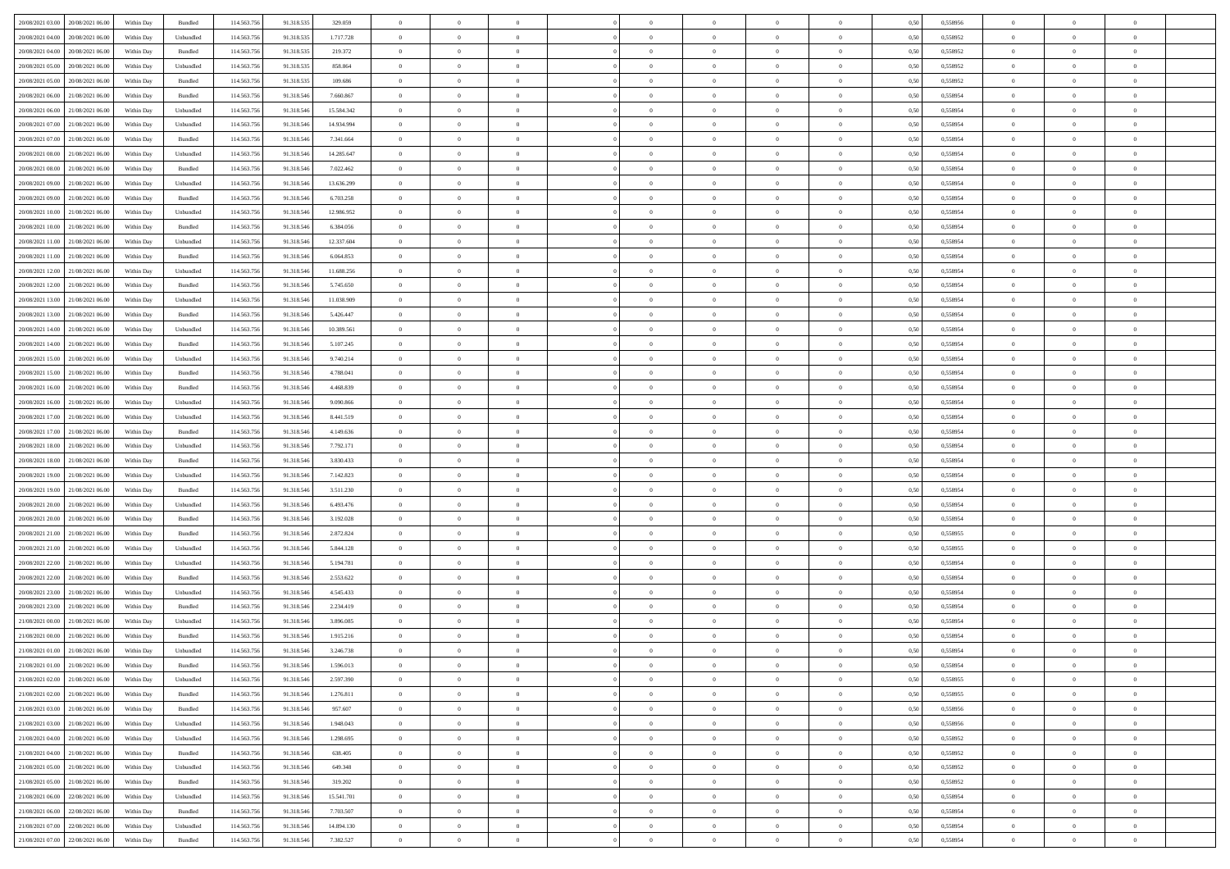| 20/08/2021 03:00 20/08/2021 06:00    | Within Day | Bundled   | 114.563.75  | 91.318.535 | 329.059    | $\overline{0}$ | $\theta$       |                | $\overline{0}$ | $\theta$       |                | $\theta$       | 0,50 | 0,558956 | $\theta$       | $\theta$       | $\overline{0}$ |  |
|--------------------------------------|------------|-----------|-------------|------------|------------|----------------|----------------|----------------|----------------|----------------|----------------|----------------|------|----------|----------------|----------------|----------------|--|
| 20/08/2021 04:00<br>20/08/2021 06:00 | Within Day | Unbundled | 114.563.75  | 91.318.53  | 1.717.728  | $\bf{0}$       | $\bf{0}$       | $\bf{0}$       | $\overline{0}$ | $\overline{0}$ | $\overline{0}$ | $\bf{0}$       | 0,50 | 0,558952 | $\,$ 0 $\,$    | $\bf{0}$       | $\overline{0}$ |  |
| 20/08/2021 04:00<br>20/08/2021 06:00 | Within Day | Bundled   | 114,563,75  | 91.318.535 | 219.372    | $\overline{0}$ | $\bf{0}$       | $\overline{0}$ | $\bf{0}$       | $\bf{0}$       | $\overline{0}$ | $\bf{0}$       | 0.50 | 0.558952 | $\bf{0}$       | $\overline{0}$ | $\overline{0}$ |  |
| 20/08/2021 05:00<br>20/08/2021 06:00 | Within Day | Unbundled | 114.563.75  | 91.318.535 | 858.864    | $\overline{0}$ | $\overline{0}$ | $\overline{0}$ | $\theta$       | $\theta$       | $\overline{0}$ | $\bf{0}$       | 0,50 | 0,558952 | $\theta$       | $\theta$       | $\overline{0}$ |  |
| 20/08/2021 05:00<br>20/08/2021 06:00 | Within Day | Bundled   | 114.563.75  | 91.318.535 | 109.686    | $\bf{0}$       | $\overline{0}$ | $\bf{0}$       | $\overline{0}$ | $\theta$       | $\overline{0}$ | $\bf{0}$       | 0,50 | 0,558952 | $\,$ 0 $\,$    | $\bf{0}$       | $\overline{0}$ |  |
|                                      |            |           |             |            |            |                |                |                |                |                |                |                |      |          |                |                |                |  |
| 20/08/2021 06:00<br>21/08/2021 06:00 | Within Day | Bundled   | 114,563,75  | 91.318.546 | 7.660.867  | $\overline{0}$ | $\overline{0}$ | $\overline{0}$ | $\bf{0}$       | $\overline{0}$ | $\theta$       | $\bf{0}$       | 0.50 | 0.558954 | $\,$ 0 $\,$    | $\theta$       | $\overline{0}$ |  |
| 20/08/2021 06:00<br>21/08/2021 06:00 | Within Day | Unbundled | 114.563.75  | 91.318.546 | 15.584.342 | $\overline{0}$ | $\overline{0}$ | $\overline{0}$ | $\overline{0}$ | $\overline{0}$ | $\overline{0}$ | $\bf{0}$       | 0,50 | 0,558954 | $\theta$       | $\theta$       | $\overline{0}$ |  |
| 20/08/2021 07:00<br>21/08/2021 06:00 | Within Day | Unbundled | 114.563.75  | 91.318.54  | 14.934.994 | $\bf{0}$       | $\bf{0}$       | $\bf{0}$       | $\overline{0}$ | $\overline{0}$ | $\overline{0}$ | $\bf{0}$       | 0,50 | 0,558954 | $\,$ 0 $\,$    | $\bf{0}$       | $\overline{0}$ |  |
| 20/08/2021 07:00<br>21/08/2021 06:00 | Within Day | Bundled   | 114,563,75  | 91.318.54  | 7.341.664  | $\overline{0}$ | $\bf{0}$       | $\overline{0}$ | $\bf{0}$       | $\overline{0}$ | $\overline{0}$ | $\bf{0}$       | 0.50 | 0.558954 | $\bf{0}$       | $\overline{0}$ | $\overline{0}$ |  |
| 20/08/2021 08:00<br>21/08/2021 06:00 | Within Day | Unbundled | 114.563.756 | 91.318.546 | 14.285.647 | $\bf{0}$       | $\bf{0}$       | $\overline{0}$ | $\overline{0}$ | $\overline{0}$ | $\overline{0}$ | $\bf{0}$       | 0,50 | 0,558954 | $\,$ 0 $\,$    | $\bf{0}$       | $\overline{0}$ |  |
| 20/08/2021 08:00<br>21/08/2021 06:00 | Within Day | Bundled   | 114.563.75  | 91.318.546 | 7.022.462  | $\bf{0}$       | $\overline{0}$ | $\bf{0}$       | $\bf{0}$       | $\bf{0}$       | $\overline{0}$ | $\bf{0}$       | 0,50 | 0,558954 | $\,$ 0 $\,$    | $\bf{0}$       | $\overline{0}$ |  |
| 20/08/2021 09:00<br>21/08/2021 06:00 | Within Day | Unbundled | 114,563,75  | 91.318.546 | 13.636.299 | $\overline{0}$ | $\bf{0}$       | $\overline{0}$ | $\overline{0}$ | $\bf{0}$       | $\overline{0}$ | $\bf{0}$       | 0.50 | 0.558954 | $\bf{0}$       | $\overline{0}$ | $\bf{0}$       |  |
|                                      |            |           |             |            |            |                |                |                |                |                |                |                |      |          |                |                |                |  |
| 20/08/2021 09:00<br>21/08/2021 06:00 | Within Day | Bundled   | 114.563.75  | 91.318.546 | 6.703.258  | $\overline{0}$ | $\overline{0}$ | $\overline{0}$ | $\theta$       | $\theta$       | $\overline{0}$ | $\bf{0}$       | 0,50 | 0,558954 | $\,$ 0 $\,$    | $\theta$       | $\overline{0}$ |  |
| 20/08/2021 10:00<br>21/08/2021 06:00 | Within Day | Unbundled | 114.563.75  | 91.318.54  | 12.986.952 | $\bf{0}$       | $\overline{0}$ | $\bf{0}$       | $\overline{0}$ | $\theta$       | $\overline{0}$ | $\bf{0}$       | 0,50 | 0,558954 | $\,$ 0 $\,$    | $\bf{0}$       | $\overline{0}$ |  |
| 20/08/2021 10:00<br>21/08/2021 06:00 | Within Day | Bundled   | 114,563,75  | 91.318.54  | 6.384.056  | $\overline{0}$ | $\overline{0}$ | $\overline{0}$ | $\bf{0}$       | $\overline{0}$ | $\theta$       | $\bf{0}$       | 0.50 | 0.558954 | $\,$ 0 $\,$    | $\theta$       | $\overline{0}$ |  |
| 20/08/2021 11:00<br>21/08/2021 06:00 | Within Day | Unbundled | 114.563.75  | 91.318.546 | 12.337.604 | $\overline{0}$ | $\overline{0}$ | $\overline{0}$ | $\overline{0}$ | $\overline{0}$ | $\overline{0}$ | $\bf{0}$       | 0,50 | 0,558954 | $\theta$       | $\theta$       | $\overline{0}$ |  |
| 20/08/2021 11:00<br>21/08/2021 06:00 | Within Day | Bundled   | 114.563.75  | 91.318.54  | 6.064.853  | $\bf{0}$       | $\overline{0}$ | $\bf{0}$       | $\overline{0}$ | $\bf{0}$       | $\overline{0}$ | $\bf{0}$       | 0,50 | 0,558954 | $\,$ 0 $\,$    | $\bf{0}$       | $\overline{0}$ |  |
| 20/08/2021 12:00<br>21/08/2021 06:00 | Within Day | Unbundled | 114,563,75  | 91.318.54  | 11.688.256 | $\overline{0}$ | $\bf{0}$       | $\overline{0}$ | $\bf{0}$       | $\overline{0}$ | $\overline{0}$ | $\bf{0}$       | 0.50 | 0.558954 | $\bf{0}$       | $\overline{0}$ | $\overline{0}$ |  |
| 20/08/2021 12:00<br>21/08/2021 06:00 | Within Day | Bundled   | 114.563.75  | 91.318.546 | 5.745.650  | $\overline{0}$ | $\bf{0}$       | $\overline{0}$ | $\overline{0}$ | $\overline{0}$ | $\overline{0}$ | $\bf{0}$       | 0,50 | 0,558954 | $\,$ 0 $\,$    | $\bf{0}$       | $\overline{0}$ |  |
|                                      |            |           |             |            |            |                |                |                |                |                |                |                |      |          |                |                |                |  |
| 20/08/2021 13:00<br>21/08/2021 06:00 | Within Day | Unbundled | 114.563.75  | 91.318.54  | 11.038.909 | $\bf{0}$       | $\bf{0}$       | $\bf{0}$       | $\bf{0}$       | $\overline{0}$ | $\overline{0}$ | $\bf{0}$       | 0,50 | 0,558954 | $\,$ 0 $\,$    | $\bf{0}$       | $\overline{0}$ |  |
| 20/08/2021 13:00<br>21/08/2021 06:00 | Within Day | Bundled   | 114,563,75  | 91.318.546 | 5.426.447  | $\overline{0}$ | $\bf{0}$       | $\overline{0}$ | $\overline{0}$ | $\bf{0}$       | $\overline{0}$ | $\bf{0}$       | 0.50 | 0.558954 | $\bf{0}$       | $\overline{0}$ | $\,$ 0         |  |
| 20/08/2021 14:00<br>21/08/2021 06:00 | Within Day | Unbundled | 114.563.75  | 91.318.546 | 10.389.561 | $\overline{0}$ | $\overline{0}$ | $\overline{0}$ | $\theta$       | $\theta$       | $\overline{0}$ | $\bf{0}$       | 0,50 | 0,558954 | $\theta$       | $\theta$       | $\overline{0}$ |  |
| 20/08/2021 14:00<br>21/08/2021 06:00 | Within Day | Bundled   | 114.563.75  | 91.318.54  | 5.107.245  | $\bf{0}$       | $\overline{0}$ | $\bf{0}$       | $\bf{0}$       | $\,$ 0 $\,$    | $\overline{0}$ | $\bf{0}$       | 0,50 | 0,558954 | $\,$ 0 $\,$    | $\bf{0}$       | $\overline{0}$ |  |
| 20/08/2021 15:00<br>21/08/2021 06:00 | Within Day | Unbundled | 114,563,75  | 91.318.54  | 9.740.214  | $\overline{0}$ | $\overline{0}$ | $\overline{0}$ | $\bf{0}$       | $\overline{0}$ | $\theta$       | $\bf{0}$       | 0.50 | 0.558954 | $\,$ 0 $\,$    | $\theta$       | $\overline{0}$ |  |
| 20/08/2021 15:00<br>21/08/2021 06:00 | Within Day | Bundled   | 114.563.75  | 91.318.546 | 4.788.041  | $\overline{0}$ | $\overline{0}$ | $\overline{0}$ | $\overline{0}$ | $\overline{0}$ | $\overline{0}$ | $\bf{0}$       | 0,50 | 0,558954 | $\,$ 0 $\,$    | $\theta$       | $\overline{0}$ |  |
| 20/08/2021 16:00<br>21/08/2021 06:00 | Within Day | Bundled   | 114.563.75  | 91.318.54  | 4.468.839  | $\bf{0}$       | $\overline{0}$ | $\bf{0}$       | $\overline{0}$ | $\bf{0}$       | $\overline{0}$ | $\bf{0}$       | 0,50 | 0,558954 | $\,$ 0 $\,$    | $\bf{0}$       | $\overline{0}$ |  |
| 20/08/2021 16:00<br>21/08/2021 06:00 | Within Day | Unbundled | 114,563,75  | 91.318.546 | 9.090.866  | $\overline{0}$ | $\bf{0}$       | $\overline{0}$ | $\bf{0}$       | $\overline{0}$ | $\overline{0}$ | $\bf{0}$       | 0.50 | 0.558954 | $\bf{0}$       | $\overline{0}$ | $\overline{0}$ |  |
|                                      |            |           |             |            |            |                |                |                |                |                |                |                |      |          |                |                |                |  |
| 20/08/2021 17:00<br>21/08/2021 06:00 | Within Day | Unbundled | 114.563.756 | 91.318.546 | 8.441.519  | $\overline{0}$ | $\bf{0}$       | $\overline{0}$ | $\overline{0}$ | $\overline{0}$ | $\overline{0}$ | $\bf{0}$       | 0,50 | 0,558954 | $\theta$       | $\theta$       | $\overline{0}$ |  |
| 20/08/2021 17:00<br>21/08/2021 06:00 | Within Day | Bundled   | 114.563.75  | 91.318.546 | 4.149.636  | $\bf{0}$       | $\bf{0}$       | $\bf{0}$       | $\bf{0}$       | $\overline{0}$ | $\overline{0}$ | $\bf{0}$       | 0,50 | 0,558954 | $\,$ 0 $\,$    | $\bf{0}$       | $\overline{0}$ |  |
| 20/08/2021 18:00<br>21/08/2021 06:00 | Within Day | Unbundled | 114,563,75  | 91.318.546 | 7.792.171  | $\overline{0}$ | $\bf{0}$       | $\overline{0}$ | $\bf{0}$       | $\bf{0}$       | $\overline{0}$ | $\bf{0}$       | 0.50 | 0.558954 | $\bf{0}$       | $\overline{0}$ | $\bf{0}$       |  |
| 20/08/2021 18:00<br>21/08/2021 06:00 | Within Day | Bundled   | 114.563.75  | 91.318.546 | 3.830.433  | $\overline{0}$ | $\overline{0}$ | $\overline{0}$ | $\overline{0}$ | $\overline{0}$ | $\overline{0}$ | $\bf{0}$       | 0.50 | 0.558954 | $\theta$       | $\theta$       | $\overline{0}$ |  |
| 20/08/2021 19:00<br>21/08/2021 06:00 | Within Day | Unbundled | 114.563.75  | 91.318.54  | 7.142.823  | $\bf{0}$       | $\overline{0}$ | $\bf{0}$       | $\bf{0}$       | $\,$ 0 $\,$    | $\overline{0}$ | $\bf{0}$       | 0,50 | 0,558954 | $\,$ 0 $\,$    | $\bf{0}$       | $\overline{0}$ |  |
| 20/08/2021 19:00<br>21/08/2021 06:00 | Within Day | Bundled   | 114,563,75  | 91.318.546 | 3.511.230  | $\overline{0}$ | $\bf{0}$       | $\overline{0}$ | $\bf{0}$       | $\overline{0}$ | $\Omega$       | $\bf{0}$       | 0.50 | 0.558954 | $\,$ 0 $\,$    | $\theta$       | $\overline{0}$ |  |
| 20/08/2021 20:00<br>21/08/2021 06:00 | Within Dav | Unbundled | 114.563.75  | 91.318.546 | 6.493.476  | $\overline{0}$ | $\overline{0}$ | $\overline{0}$ | $\overline{0}$ | $\theta$       | $\overline{0}$ | $\bf{0}$       | 0.50 | 0,558954 | $\theta$       | $\theta$       | $\overline{0}$ |  |
| 20/08/2021 20:00<br>21/08/2021 06:00 | Within Day | Bundled   | 114.563.75  | 91.318.546 | 3.192.028  | $\bf{0}$       | $\bf{0}$       | $\bf{0}$       | $\bf{0}$       | $\bf{0}$       | $\overline{0}$ | $\bf{0}$       | 0,50 | 0,558954 | $\,$ 0 $\,$    | $\bf{0}$       | $\overline{0}$ |  |
| 21/08/2021 06:00                     |            | Bundled   | 114,563,75  |            |            |                |                |                |                |                | $\overline{0}$ |                |      |          |                |                |                |  |
| 20/08/2021 21:00                     | Within Day |           |             | 91.318.54  | 2.872.824  | $\overline{0}$ | $\bf{0}$       | $\overline{0}$ | $\bf{0}$       | $\overline{0}$ |                | $\bf{0}$       | 0.50 | 0.558955 | $\bf{0}$       | $\overline{0}$ | $\overline{0}$ |  |
| 20/08/2021 21:00<br>21/08/2021 06:00 | Within Dav | Unbundled | 114.563.75  | 91.318.546 | 5.844.128  | $\overline{0}$ | $\overline{0}$ | $\overline{0}$ | $\overline{0}$ | $\overline{0}$ | $\overline{0}$ | $\bf{0}$       | 0.50 | 0,558955 | $\theta$       | $\theta$       | $\overline{0}$ |  |
| 20/08/2021 22:00<br>21/08/2021 06:00 | Within Day | Unbundled | 114.563.75  | 91.318.54  | 5.194.781  | $\bf{0}$       | $\bf{0}$       | $\bf{0}$       | $\bf{0}$       | $\overline{0}$ | $\overline{0}$ | $\bf{0}$       | 0,50 | 0,558954 | $\,$ 0 $\,$    | $\bf{0}$       | $\overline{0}$ |  |
| 20/08/2021 22:00<br>21/08/2021 06:00 | Within Day | Bundled   | 114,563,75  | 91.318.546 | 2.553.622  | $\overline{0}$ | $\bf{0}$       | $\overline{0}$ | $\overline{0}$ | $\bf{0}$       | $\overline{0}$ | $\bf{0}$       | 0.50 | 0.558954 | $\bf{0}$       | $\overline{0}$ | $\overline{0}$ |  |
| 20/08/2021 23:00<br>21/08/2021 06:00 | Within Dav | Unbundled | 114.563.75  | 91.318.546 | 4.545.433  | $\overline{0}$ | $\overline{0}$ | $\overline{0}$ | $\overline{0}$ | $\overline{0}$ | $\overline{0}$ | $\bf{0}$       | 0.50 | 0.558954 | $\theta$       | $\theta$       | $\overline{0}$ |  |
| 20/08/2021 23:00<br>21/08/2021 06:00 | Within Day | Bundled   | 114.563.75  | 91.318.54  | 2.234.419  | $\bf{0}$       | $\bf{0}$       | $\bf{0}$       | $\bf{0}$       | $\overline{0}$ | $\overline{0}$ | $\bf{0}$       | 0,50 | 0,558954 | $\,$ 0 $\,$    | $\bf{0}$       | $\overline{0}$ |  |
| 21/08/2021 00:00<br>21/08/2021 06:00 | Within Day | Unbundled | 114,563,75  | 91.318.54  | 3.896.085  | $\overline{0}$ | $\overline{0}$ | $\overline{0}$ | $\bf{0}$       | $\overline{0}$ | $\Omega$       | $\bf{0}$       | 0.50 | 0.558954 | $\bf{0}$       | $\theta$       | $\overline{0}$ |  |
| 21/08/2021 00:00<br>21/08/2021 06:00 | Within Dav | Bundled   | 114.563.75  | 91.318.546 | 1.915.216  | $\overline{0}$ | $\overline{0}$ | $\Omega$       | $\overline{0}$ | $\theta$       | $\Omega$       | $\overline{0}$ | 0.5( | 0,558954 | $\theta$       | $\theta$       | $\overline{0}$ |  |
| 21/08/2021 01:00<br>21/08/2021 06:00 | Within Day | Unbundled | 114.563.75  | 91.318.546 | 3.246.738  | $\bf{0}$       | $\bf{0}$       | $\bf{0}$       | $\bf{0}$       | $\bf{0}$       | $\overline{0}$ | $\bf{0}$       | 0,50 | 0,558954 | $\overline{0}$ | $\bf{0}$       | $\overline{0}$ |  |
| 21/08/2021 01:00 21/08/2021 06:00    |            | Bundled   |             |            | 1.596.013  |                |                |                | $\Omega$       |                |                |                | 0,50 | 0.558954 |                |                |                |  |
|                                      | Within Day |           | 114.563.756 | 91.318.546 |            | $\bf{0}$       | $\theta$       |                |                |                |                |                |      |          | $\theta$       | $\overline{0}$ |                |  |
| 21/08/2021 02:00 21/08/2021 06:00    | Within Day | Unbundled | 114.563.756 | 91.318.546 | 2.597.390  | $\overline{0}$ | $\overline{0}$ | $\Omega$       | $\theta$       | $\overline{0}$ | $\overline{0}$ | $\bf{0}$       | 0,50 | 0,558955 | $\theta$       | $\theta$       | $\overline{0}$ |  |
| 21/08/2021 02:00<br>21/08/2021 06:00 | Within Day | Bundled   | 114.563.75  | 91.318.546 | 1.276.811  | $\overline{0}$ | $\bf{0}$       | $\overline{0}$ | $\overline{0}$ | $\bf{0}$       | $\overline{0}$ | $\bf{0}$       | 0,50 | 0,558955 | $\bf{0}$       | $\overline{0}$ | $\bf{0}$       |  |
| 21/08/2021 03:00 21/08/2021 06:00    | Within Day | Bundled   | 114,563,756 | 91.318.546 | 957.607    | $\overline{0}$ | $\overline{0}$ | $\overline{0}$ | $\overline{0}$ | $\mathbf{0}$   | $\overline{0}$ | $\,$ 0 $\,$    | 0.50 | 0.558956 | $\overline{0}$ | $\bf{0}$       | $\bf{0}$       |  |
| 21/08/2021 03:00 21/08/2021 06:00    | Within Day | Unbundled | 114.563.756 | 91.318.546 | 1.948.043  | $\overline{0}$ | $\overline{0}$ | $\overline{0}$ | $\overline{0}$ | $\overline{0}$ | $\overline{0}$ | $\bf{0}$       | 0,50 | 0,558956 | $\overline{0}$ | $\theta$       | $\overline{0}$ |  |
| 21/08/2021 04:00<br>21/08/2021 06:00 | Within Day | Unbundled | 114.563.75  | 91.318.546 | 1.298.695  | $\overline{0}$ | $\bf{0}$       | $\overline{0}$ | $\overline{0}$ | $\bf{0}$       | $\overline{0}$ | $\bf{0}$       | 0,50 | 0,558952 | $\bf{0}$       | $\overline{0}$ | $\overline{0}$ |  |
| 21/08/2021 04:00 21/08/2021 06:00    | Within Day | Bundled   | 114.563.756 | 91.318.546 | 638,405    | $\overline{0}$ | $\bf{0}$       | $\overline{0}$ | $\overline{0}$ | $\bf{0}$       | $\overline{0}$ | $\bf{0}$       | 0.50 | 0.558952 | $\,$ 0 $\,$    | $\overline{0}$ | $\,$ 0         |  |
|                                      |            |           |             |            |            |                | $\overline{0}$ |                |                | $\overline{0}$ |                |                |      |          |                | $\theta$       | $\overline{0}$ |  |
| 21/08/2021 05:00 21/08/2021 06:00    | Within Dav | Unbundled | 114.563.756 | 91.318.546 | 649,348    | $\overline{0}$ |                | $\overline{0}$ | $\overline{0}$ |                | $\overline{0}$ | $\bf{0}$       | 0.50 | 0,558952 | $\overline{0}$ |                |                |  |
| 21/08/2021 05:00<br>21/08/2021 06:00 | Within Day | Bundled   | 114.563.75  | 91.318.546 | 319.202    | $\overline{0}$ | $\overline{0}$ | $\overline{0}$ | $\overline{0}$ | $\overline{0}$ | $\overline{0}$ | $\bf{0}$       | 0,50 | 0,558952 | $\bf{0}$       | $\overline{0}$ | $\,$ 0         |  |
| 21/08/2021 06:00 22/08/2021 06:00    | Within Day | Unbundled | 114,563,756 | 91.318.546 | 15.541.701 | $\overline{0}$ | $\overline{0}$ | $\overline{0}$ | $\overline{0}$ | $\overline{0}$ | $\overline{0}$ | $\bf{0}$       | 0.50 | 0.558954 | $\mathbf{0}$   | $\bf{0}$       | $\,$ 0         |  |
| 21/08/2021 06:00 22/08/2021 06:00    | Within Dav | Bundled   | 114.563.756 | 91.318.546 | 7.703.507  | $\overline{0}$ | $\overline{0}$ | $\overline{0}$ | $\overline{0}$ | $\overline{0}$ | $\overline{0}$ | $\bf{0}$       | 0,50 | 0,558954 | $\overline{0}$ | $\theta$       | $\overline{0}$ |  |
| 21/08/2021 07:00<br>22/08/2021 06:00 | Within Day | Unbundled | 114.563.75  | 91.318.546 | 14.894.130 | $\overline{0}$ | $\bf{0}$       | $\overline{0}$ | $\overline{0}$ | $\overline{0}$ | $\overline{0}$ | $\bf{0}$       | 0,50 | 0,558954 | $\bf{0}$       | $\overline{0}$ | $\bf{0}$       |  |
| 21/08/2021 07:00 22/08/2021 06:00    | Within Day | Bundled   | 114.563.756 | 91.318.546 | 7.382.527  | $\,$ 0 $\,$    | $\bf{0}$       | $\overline{0}$ | $\overline{0}$ | $\,$ 0 $\,$    | $\overline{0}$ | $\,$ 0 $\,$    | 0,50 | 0,558954 | $\overline{0}$ | $\,$ 0 $\,$    | $\,$ 0 $\,$    |  |
|                                      |            |           |             |            |            |                |                |                |                |                |                |                |      |          |                |                |                |  |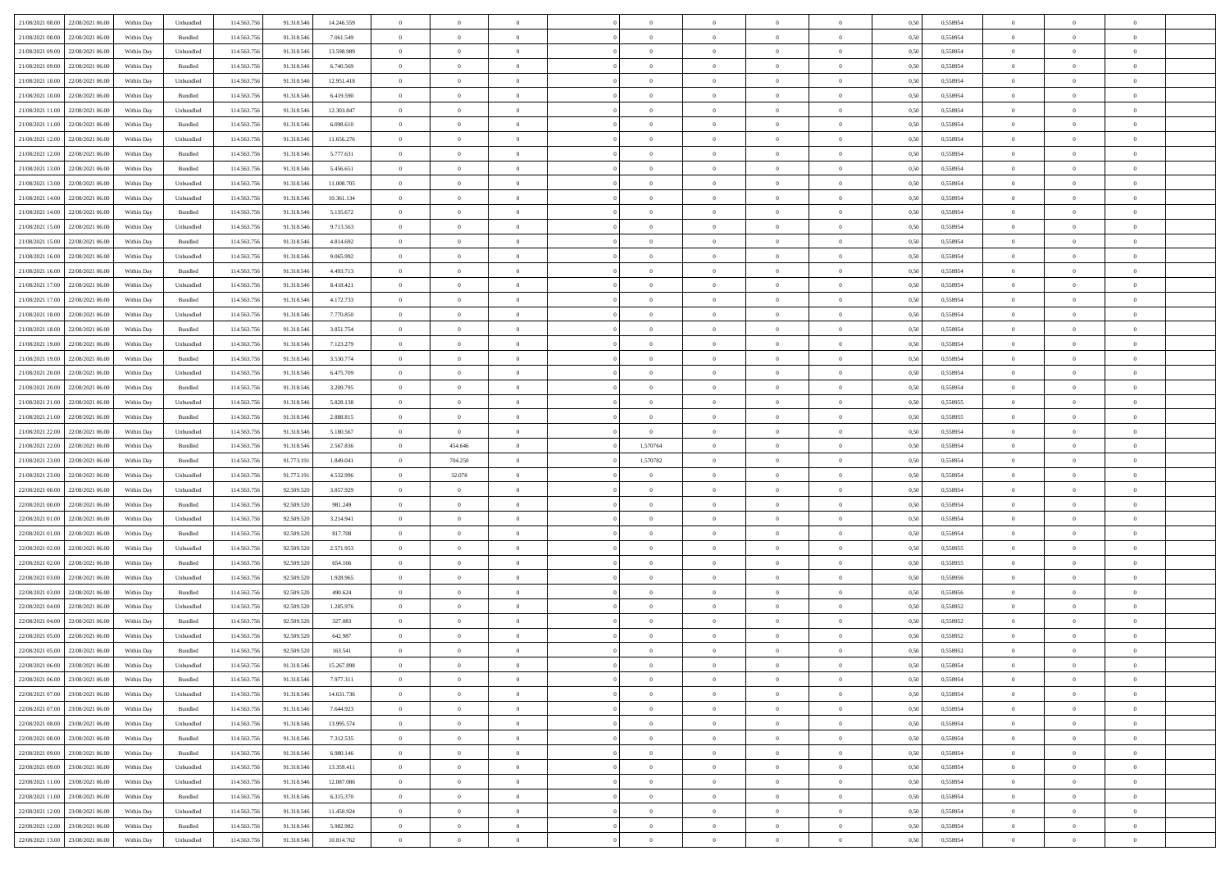| 21/08/2021 08:00 22/08/2021 06:00                                         | Within Day               | Unbundled                    | 114.563.756               | 91.318.546               | 14.246.559              | $\overline{0}$                   | $\overline{0}$       |                                  | $\overline{0}$             | $\theta$                      |                                  | $\theta$             | 0,50         | 0,558954             | $\theta$                   | $\theta$                   | $\overline{0}$          |  |
|---------------------------------------------------------------------------|--------------------------|------------------------------|---------------------------|--------------------------|-------------------------|----------------------------------|----------------------|----------------------------------|----------------------------|-------------------------------|----------------------------------|----------------------|--------------|----------------------|----------------------------|----------------------------|-------------------------|--|
| 21/08/2021 08:00<br>22/08/2021 06:00                                      | Within Day               | Bundled                      | 114.563.75                | 91.318.54                | 7.061.549               | $\bf{0}$                         | $\bf{0}$             | $\bf{0}$                         | $\bf{0}$                   | $\overline{0}$                | $\overline{0}$                   | $\bf{0}$             | 0,50         | 0,558954             | $\,$ 0 $\,$                | $\bf{0}$                   | $\overline{0}$          |  |
| 21/08/2021 09:00<br>22/08/2021 06:00                                      | Within Day               | Unbundled                    | 114,563,75                | 91.318.546               | 13.598.989              | $\overline{0}$                   | $\bf{0}$             | $\overline{0}$                   | $\bf{0}$                   | $\bf{0}$                      | $\overline{0}$                   | $\bf{0}$             | 0.50         | 0.558954             | $\bf{0}$                   | $\overline{0}$             | $\overline{0}$          |  |
| 21/08/2021 09:00<br>22/08/2021 06:00                                      | Within Day               | Bundled                      | 114.563.75                | 91.318.546               | 6.740.569               | $\overline{0}$                   | $\overline{0}$       | $\overline{0}$                   | $\overline{0}$             | $\theta$                      | $\overline{0}$                   | $\bf{0}$             | 0,50         | 0,558954             | $\theta$                   | $\theta$                   | $\overline{0}$          |  |
|                                                                           |                          |                              |                           |                          |                         |                                  |                      |                                  |                            |                               |                                  |                      |              |                      |                            |                            |                         |  |
| 21/08/2021 10:00<br>22/08/2021 06:00                                      | Within Day               | Unbundled                    | 114.563.75                | 91.318.54                | 12.951.418              | $\bf{0}$                         | $\overline{0}$       | $\bf{0}$                         | $\overline{0}$             | $\bf{0}$                      | $\overline{0}$                   | $\bf{0}$             | 0,50         | 0,558954             | $\,$ 0 $\,$                | $\bf{0}$                   | $\overline{0}$          |  |
| 21/08/2021 10:00<br>22/08/2021 06:00                                      | Within Day               | Bundled                      | 114,563,75                | 91.318.54                | 6.419.590               | $\overline{0}$                   | $\bf{0}$             | $\overline{0}$                   | $\bf{0}$                   | $\overline{0}$                | $\theta$                         | $\bf{0}$             | 0.50         | 0.558954             | $\,$ 0 $\,$                | $\theta$                   | $\overline{0}$          |  |
| 21/08/2021 11:00<br>22/08/2021 06:00                                      | Within Day               | Unbundled                    | 114.563.75                | 91.318.546               | 12.303.847              | $\overline{0}$                   | $\overline{0}$       | $\overline{0}$                   | $\overline{0}$             | $\overline{0}$                | $\overline{0}$                   | $\bf{0}$             | 0,50         | 0,558954             | $\,$ 0 $\,$                | $\theta$                   | $\overline{0}$          |  |
| 21/08/2021 11:00<br>22/08/2021 06:00                                      | Within Day               | Bundled                      | 114.563.75                | 91.318.54                | 6.098.610               | $\bf{0}$                         | $\bf{0}$             | $\bf{0}$                         | $\overline{0}$             | $\overline{0}$                | $\overline{0}$                   | $\bf{0}$             | 0,50         | 0,558954             | $\,$ 0 $\,$                | $\bf{0}$                   | $\overline{0}$          |  |
| 21/08/2021 12:00<br>22/08/2021 06:00                                      | Within Day               | Unbundled                    | 114,563,75                | 91.318.54                | 11.656.276              | $\overline{0}$                   | $\bf{0}$             | $\overline{0}$                   | $\bf{0}$                   | $\overline{0}$                | $\overline{0}$                   | $\bf{0}$             | 0.50         | 0.558954             | $\bf{0}$                   | $\overline{0}$             | $\overline{0}$          |  |
| 21/08/2021 12:00<br>22/08/2021 06:00                                      | Within Day               | Bundled                      | 114.563.756               | 91.318.546               | 5.777.631               | $\bf{0}$                         | $\bf{0}$             | $\overline{0}$                   | $\overline{0}$             | $\overline{0}$                | $\overline{0}$                   | $\bf{0}$             | 0,50         | 0,558954             | $\,$ 0 $\,$                | $\,$ 0 $\,$                | $\overline{0}$          |  |
|                                                                           |                          |                              |                           |                          |                         |                                  |                      |                                  |                            |                               |                                  |                      |              |                      |                            |                            |                         |  |
| 21/08/2021 13:00<br>22/08/2021 06:00                                      | Within Day               | Bundled                      | 114.563.75                | 91.318.546               | 5.456.651               | $\bf{0}$                         | $\bf{0}$             | $\bf{0}$                         | $\bf{0}$                   | $\overline{0}$                | $\overline{0}$                   | $\bf{0}$             | 0,50         | 0,558954             | $\,$ 0 $\,$                | $\bf{0}$                   | $\overline{0}$          |  |
| 21/08/2021 13:00<br>22/08/2021 06:00                                      | Within Day               | Unbundled                    | 114,563,75                | 91.318.546               | 11,008,705              | $\overline{0}$                   | $\bf{0}$             | $\overline{0}$                   | $\overline{0}$             | $\overline{0}$                | $\overline{0}$                   | $\bf{0}$             | 0.50         | 0.558954             | $\bf{0}$                   | $\,$ 0 $\,$                | $\,$ 0                  |  |
| 21/08/2021 14:00<br>22/08/2021 06:00                                      | Within Day               | Unbundled                    | 114.563.75                | 91.318.546               | 10.361.134              | $\overline{0}$                   | $\overline{0}$       | $\overline{0}$                   | $\theta$                   | $\theta$                      | $\overline{0}$                   | $\bf{0}$             | 0,50         | 0,558954             | $\,$ 0 $\,$                | $\theta$                   | $\overline{0}$          |  |
| 21/08/2021 14:00<br>22/08/2021 06:00                                      | Within Day               | Bundled                      | 114.563.75                | 91.318.54                | 5.135.672               | $\bf{0}$                         | $\overline{0}$       | $\bf{0}$                         | $\bf{0}$                   | $\bf{0}$                      | $\overline{0}$                   | $\bf{0}$             | 0,50         | 0,558954             | $\,$ 0 $\,$                | $\bf{0}$                   | $\overline{0}$          |  |
| 21/08/2021 15:00<br>22/08/2021 06:00                                      | Within Day               | Unbundled                    | 114,563,75                | 91.318.546               | 9.713.563               | $\overline{0}$                   | $\bf{0}$             | $\overline{0}$                   | $\bf{0}$                   | $\overline{0}$                | $\theta$                         | $\bf{0}$             | 0.50         | 0.558954             | $\,$ 0 $\,$                | $\theta$                   | $\overline{0}$          |  |
| 21/08/2021 15:00<br>22/08/2021 06:00                                      | Within Day               | Bundled                      | 114.563.75                | 91.318.546               | 4.814.692               | $\overline{0}$                   | $\overline{0}$       | $\overline{0}$                   | $\overline{0}$             | $\overline{0}$                | $\overline{0}$                   | $\bf{0}$             | 0,50         | 0,558954             | $\theta$                   | $\theta$                   | $\overline{0}$          |  |
|                                                                           |                          |                              |                           |                          |                         |                                  |                      |                                  |                            |                               |                                  |                      |              |                      |                            |                            |                         |  |
| 21/08/2021 16:00<br>22/08/2021 06:00                                      | Within Day               | Unbundled                    | 114.563.75                | 91.318.546               | 9.065.992               | $\bf{0}$                         | $\bf{0}$             | $\bf{0}$                         | $\overline{0}$             | $\overline{0}$                | $\overline{0}$                   | $\bf{0}$             | 0,50         | 0,558954             | $\,$ 0 $\,$                | $\bf{0}$                   | $\overline{0}$          |  |
| 21/08/2021 16:00<br>22/08/2021 06:00                                      | Within Day               | Bundled                      | 114,563,75                | 91.318.54                | 4.493.713               | $\overline{0}$                   | $\bf{0}$             | $\overline{0}$                   | $\bf{0}$                   | $\overline{0}$                | $\overline{0}$                   | $\bf{0}$             | 0.50         | 0.558954             | $\bf{0}$                   | $\overline{0}$             | $\bf{0}$                |  |
| 21/08/2021 17:00<br>22/08/2021 06:00                                      | Within Day               | Unbundled                    | 114.563.75                | 91.318.546               | 8.418.421               | $\bf{0}$                         | $\bf{0}$             | $\overline{0}$                   | $\overline{0}$             | $\overline{0}$                | $\overline{0}$                   | $\bf{0}$             | 0,50         | 0,558954             | $\,$ 0 $\,$                | $\bf{0}$                   | $\overline{0}$          |  |
| 21/08/2021 17:00<br>22/08/2021 06:00                                      | Within Day               | Bundled                      | 114.563.75                | 91.318.54                | 4.172.733               | $\bf{0}$                         | $\bf{0}$             | $\bf{0}$                         | $\bf{0}$                   | $\overline{0}$                | $\overline{0}$                   | $\bf{0}$             | 0,50         | 0,558954             | $\,$ 0 $\,$                | $\bf{0}$                   | $\overline{0}$          |  |
| 21/08/2021 18:00<br>22/08/2021 06:00                                      | Within Day               | Unbundled                    | 114.563.75                | 91.318.546               | 7.770.850               | $\overline{0}$                   | $\bf{0}$             | $\overline{0}$                   | $\overline{0}$             | $\bf{0}$                      | $\overline{0}$                   | $\bf{0}$             | 0.50         | 0.558954             | $\bf{0}$                   | $\overline{0}$             | $\,$ 0                  |  |
| 21/08/2021 18:00<br>22/08/2021 06:00                                      | Within Day               | Bundled                      | 114.563.75                | 91.318.546               | 3.851.754               | $\overline{0}$                   | $\overline{0}$       | $\overline{0}$                   | $\overline{0}$             | $\theta$                      | $\overline{0}$                   | $\bf{0}$             | 0,50         | 0,558954             | $\theta$                   | $\theta$                   | $\overline{0}$          |  |
|                                                                           |                          |                              |                           |                          |                         |                                  |                      |                                  |                            |                               |                                  |                      |              |                      |                            |                            |                         |  |
| 21/08/2021 19:00<br>22/08/2021 06:00                                      | Within Day               | Unbundled                    | 114.563.75                | 91.318.54                | 7.123.279               | $\bf{0}$                         | $\bf{0}$             | $\bf{0}$                         | $\bf{0}$                   | $\overline{0}$                | $\overline{0}$                   | $\bf{0}$             | 0,50         | 0,558954             | $\,$ 0 $\,$                | $\bf{0}$                   | $\overline{0}$          |  |
| 21/08/2021 19:00<br>22/08/2021 06:00                                      | Within Day               | Bundled                      | 114,563,75                | 91.318.54                | 3.530.774               | $\overline{0}$                   | $\bf{0}$             | $\overline{0}$                   | $\bf{0}$                   | $\overline{0}$                | $\theta$                         | $\bf{0}$             | 0.50         | 0.558954             | $\bf{0}$                   | $\theta$                   | $\overline{0}$          |  |
| 21/08/2021 20:00<br>22/08/2021 06:00                                      | Within Day               | Unbundled                    | 114.563.75                | 91.318.546               | 6.475.709               | $\overline{0}$                   | $\overline{0}$       | $\overline{0}$                   | $\overline{0}$             | $\overline{0}$                | $\overline{0}$                   | $\bf{0}$             | 0,50         | 0,558954             | $\,$ 0 $\,$                | $\theta$                   | $\overline{0}$          |  |
| 21/08/2021 20:00<br>22/08/2021 06:00                                      | Within Day               | Bundled                      | 114.563.75                | 91.318.54                | 3.209.795               | $\bf{0}$                         | $\overline{0}$       | $\bf{0}$                         | $\overline{0}$             | $\overline{0}$                | $\overline{0}$                   | $\bf{0}$             | 0,50         | 0,558954             | $\,$ 0 $\,$                | $\bf{0}$                   | $\overline{0}$          |  |
| 21/08/2021 21:00<br>22/08/2021 06:00                                      | Within Day               | Unbundled                    | 114,563,75                | 91.318.54                | 5.828.138               | $\overline{0}$                   | $\bf{0}$             | $\overline{0}$                   | $\bf{0}$                   | $\overline{0}$                | $\overline{0}$                   | $\bf{0}$             | 0.50         | 0.558955             | $\bf{0}$                   | $\overline{0}$             | $\overline{0}$          |  |
| 21/08/2021 21:00<br>22/08/2021 06:00                                      | Within Day               | Bundled                      | 114.563.756               | 91.318.546               | 2.888.815               | $\overline{0}$                   | $\bf{0}$             | $\overline{0}$                   | $\overline{0}$             | $\overline{0}$                | $\overline{0}$                   | $\bf{0}$             | 0,50         | 0,558955             | $\theta$                   | $\theta$                   | $\overline{0}$          |  |
| 21/08/2021 22:00<br>22/08/2021 06:00                                      | Within Day               | Unbundled                    | 114.563.75                | 91.318.546               | 5.180.567               | $\bf{0}$                         | $\bf{0}$             | $\bf{0}$                         | $\bf{0}$                   | $\overline{0}$                | $\overline{0}$                   | $\bf{0}$             | 0,50         | 0,558954             | $\,$ 0 $\,$                | $\bf{0}$                   | $\overline{0}$          |  |
|                                                                           |                          |                              |                           |                          |                         |                                  |                      |                                  |                            |                               |                                  |                      |              |                      |                            |                            |                         |  |
| 21/08/2021 22:00<br>22/08/2021 06:00                                      | Within Day               | Bundled                      | 114.563.75                | 91.318.546               | 2.567.836               | $\overline{0}$                   | 454.646              | $\overline{0}$                   | 1,570764                   | $\bf{0}$                      | $\overline{0}$                   | $\bf{0}$             | 0.50         | 0.558954             | $\bf{0}$                   | $\,$ 0 $\,$                | $\,$ 0                  |  |
| 21/08/2021 23:00<br>22/08/2021 06:00                                      | Within Day               | Bundled                      | 114.563.75                | 91.773.191               | 1,849,041               | $\overline{0}$                   | 704.250              | $\overline{0}$                   | 1,570782                   | $\overline{0}$                | $\overline{0}$                   | $\bf{0}$             | 0.50         | 0.558954             | $\theta$                   | $\theta$                   | $\overline{0}$          |  |
| 21/08/2021 23:00<br>22/08/2021 06:00                                      | Within Day               | Unbundled                    | 114.563.75                | 91.773.19                | 4.532.996               | $\bf{0}$                         | 32.078               | $\bf{0}$                         | $\overline{0}$             | $\overline{0}$                | $\overline{0}$                   | $\bf{0}$             | 0,50         | 0,558954             | $\,$ 0 $\,$                | $\bf{0}$                   | $\overline{0}$          |  |
| 22/08/2021 00:00<br>22/08/2021 06:00                                      | Within Day               | Unbundled                    | 114,563,75                | 92.509.520               | 3.857.929               | $\overline{0}$                   | $\overline{0}$       | $\overline{0}$                   | $\bf{0}$                   | $\overline{0}$                | $\overline{0}$                   | $\bf{0}$             | 0.50         | 0.558954             | $\bf{0}$                   | $\bf{0}$                   | $\overline{0}$          |  |
| 22/08/2021 00:00<br>22/08/2021 06:00                                      | Within Dav               | Bundled                      | 114.563.75                | 92.509.520               | 981.249                 | $\overline{0}$                   | $\overline{0}$       | $\overline{0}$                   | $\overline{0}$             | $\overline{0}$                | $\overline{0}$                   | $\bf{0}$             | 0.50         | 0,558954             | $\theta$                   | $\theta$                   | $\overline{0}$          |  |
| 22/08/2021 01:00<br>22/08/2021 06:00                                      | Within Day               | Unbundled                    | 114.563.75                | 92.509.520               | 3.214.941               | $\bf{0}$                         | $\bf{0}$             | $\bf{0}$                         | $\bf{0}$                   | $\overline{0}$                | $\overline{0}$                   | $\bf{0}$             | 0,50         | 0,558954             | $\,$ 0 $\,$                | $\bf{0}$                   | $\overline{0}$          |  |
| 22/08/2021 01:00<br>22/08/2021 06:00                                      | Within Day               | Bundled                      | 114,563,75                | 92.509.52                | 817.708                 | $\overline{0}$                   | $\bf{0}$             | $\overline{0}$                   | $\bf{0}$                   | $\overline{0}$                | $\overline{0}$                   | $\bf{0}$             | 0.50         | 0.558954             | $\bf{0}$                   | $\overline{0}$             | $\overline{0}$          |  |
|                                                                           |                          |                              |                           |                          |                         |                                  |                      |                                  |                            |                               |                                  |                      |              |                      |                            |                            |                         |  |
| 22/08/2021 02:00<br>22/08/2021 06:00                                      | Within Day               | Unbundled                    | 114.563.75                | 92.509.520               | 2.571.953               | $\overline{0}$                   | $\overline{0}$       | $\overline{0}$                   | $\overline{0}$             | $\overline{0}$                | $\overline{0}$                   | $\bf{0}$             | 0.50         | 0,558955             | $\theta$                   | $\theta$                   | $\overline{0}$          |  |
| 22/08/2021 02:00<br>22/08/2021 06:00                                      | Within Day               | Bundled                      | 114.563.75                | 92.509.520               | 654.166                 | $\bf{0}$                         | $\bf{0}$             | $\bf{0}$                         | $\bf{0}$                   | $\overline{0}$                | $\overline{0}$                   | $\bf{0}$             | 0,50         | 0,558955             | $\,$ 0 $\,$                | $\bf{0}$                   | $\overline{0}$          |  |
| 22/08/2021 03:00<br>22/08/2021 06:00                                      | Within Day               | Unbundled                    | 114.563.75                | 92.509.520               | 1.928.965               | $\overline{0}$                   | $\bf{0}$             | $\overline{0}$                   | $\overline{0}$             | $\bf{0}$                      | $\overline{0}$                   | $\bf{0}$             | 0.50         | 0.558956             | $\,$ 0 $\,$                | $\,$ 0 $\,$                | $\overline{0}$          |  |
| 22/08/2021 03:00<br>22/08/2021 06:00                                      | Within Dav               | Bundled                      | 114.563.75                | 92.509.520               | 490.624                 | $\overline{0}$                   | $\overline{0}$       | $\overline{0}$                   | $\overline{0}$             | $\overline{0}$                | $\overline{0}$                   | $\bf{0}$             | 0.50         | 0.558956             | $\theta$                   | $\theta$                   | $\overline{0}$          |  |
| 22/08/2021 04:00<br>22/08/2021 06:00                                      | Within Day               | Unbundled                    | 114.563.75                | 92.509.520               | 1.285.976               | $\bf{0}$                         | $\bf{0}$             | $\bf{0}$                         | $\bf{0}$                   | $\overline{0}$                | $\overline{0}$                   | $\bf{0}$             | 0,50         | 0,558952             | $\,$ 0 $\,$                | $\bf{0}$                   | $\overline{0}$          |  |
| 22/08/2021 04:00<br>22/08/2021 06:00                                      | Within Day               | Bundled                      | 114,563,75                | 92.509.52                | 327.083                 | $\overline{0}$                   | $\bf{0}$             | $\overline{0}$                   | $\bf{0}$                   | $\overline{0}$                | $\overline{0}$                   | $\bf{0}$             | 0.50         | 0.558952             | $\bf{0}$                   | $\theta$                   | $\overline{0}$          |  |
| 22/08/2021 05:00<br>22/08/2021 06:00                                      | Within Dav               | Unbundled                    | 114.563.75                | 92.509.520               | 642.987                 | $\overline{0}$                   | $\overline{0}$       | $\Omega$                         | $\theta$                   | $\theta$                      | $\overline{0}$                   | $\overline{0}$       | 0.5(         | 0,558952             | $\theta$                   | $\theta$                   | $\overline{0}$          |  |
|                                                                           |                          |                              |                           |                          |                         | $\bf{0}$                         | $\bf{0}$             | $\bf{0}$                         | $\bf{0}$                   | $\bf{0}$                      | $\overline{0}$                   |                      |              |                      | $\overline{0}$             | $\overline{0}$             | $\overline{0}$          |  |
| 22/08/2021 05:00<br>22/08/2021 06:00                                      | Within Day               | Bundled                      | 114.563.75                | 92.509.520               | 163.541                 |                                  |                      |                                  |                            |                               |                                  | $\bf{0}$             | 0,50         | 0,558952             |                            |                            |                         |  |
| 22/08/2021 06:00 23/08/2021 06:00                                         | Within Day               | $\ensuremath{\mathsf{Unb}}$  | 114.563.756               | 91.318.546               | 15.267.898              | $\bf{0}$                         | $\bf{0}$             |                                  | $\overline{0}$             |                               |                                  |                      | 0,50         | 0.558954             | $\bf{0}$                   | $\bf{0}$                   |                         |  |
| 22/08/2021 06:00 23/08/2021 06:00                                         | Within Day               | Bundled                      | 114.563.756               | 91.318.546               | 7.977.311               | $\overline{0}$                   | $\overline{0}$       | $\Omega$                         | $\theta$                   | $\overline{0}$                | $\overline{0}$                   | $\bf{0}$             | 0,50         | 0,558954             | $\theta$                   | $\theta$                   | $\overline{0}$          |  |
| 22/08/2021 07:00<br>23/08/2021 06:00                                      | Within Day               | Unbundled                    | 114.563.75                | 91.318.546               | 14.631.736              | $\overline{0}$                   | $\bf{0}$             | $\overline{0}$                   | $\overline{0}$             | $\bf{0}$                      | $\overline{0}$                   | $\bf{0}$             | 0,50         | 0,558954             | $\bf{0}$                   | $\overline{0}$             | $\bf{0}$                |  |
| 22/08/2021 07:00 23/08/2021 06:00                                         | Within Day               | Bundled                      | 114,563,756               | 91.318.546               | 7.644.923               | $\overline{0}$                   | $\bf{0}$             | $\overline{0}$                   | $\overline{0}$             | $\mathbf{0}$                  | $\overline{0}$                   | $\,$ 0 $\,$          | 0.50         | 0.558954             | $\overline{0}$             | $\bf{0}$                   | $\,$ 0 $\,$             |  |
| 22/08/2021 08:00 23/08/2021 06:00                                         | Within Dav               | Unbundled                    | 114.563.756               | 91.318.546               | 13.995.574              | $\overline{0}$                   | $\overline{0}$       | $\overline{0}$                   | $\overline{0}$             | $\overline{0}$                | $\overline{0}$                   | $\bf{0}$             | 0,50         | 0,558954             | $\theta$                   | $\theta$                   | $\overline{0}$          |  |
| 22/08/2021 08:00<br>23/08/2021 06:00                                      | Within Day               | Bundled                      | 114.563.75                | 91.318.546               | 7.312.535               | $\overline{0}$                   | $\bf{0}$             | $\overline{0}$                   | $\overline{0}$             | $\bf{0}$                      | $\overline{0}$                   | $\bf{0}$             | 0,50         | 0,558954             | $\bf{0}$                   | $\overline{0}$             | $\overline{0}$          |  |
|                                                                           |                          |                              |                           |                          |                         |                                  |                      |                                  |                            |                               |                                  |                      |              |                      |                            |                            |                         |  |
| 23/08/2021 06:00<br>22/08/2021 09:00                                      | Within Day               | Bundled                      | 114.563.756               | 91.318.546               | 6.980.146               | $\overline{0}$                   | $\bf{0}$             | $\overline{0}$                   | $\overline{0}$             | $\overline{0}$                | $\overline{0}$                   | $\bf{0}$             | 0.50         | 0.558954             | $\,$ 0 $\,$                | $\overline{0}$             | $\,$ 0                  |  |
| 22/08/2021 09:00 23/08/2021 06:00                                         | Within Dav               | Unbundled                    | 114.563.756               | 91.318.546               | 13.359.411              | $\overline{0}$                   | $\overline{0}$       | $\overline{0}$                   | $\overline{0}$             | $\overline{0}$                | $\overline{0}$                   | $\bf{0}$             | 0.50         | 0,558954             | $\overline{0}$             | $\theta$                   | $\overline{0}$          |  |
| 22/08/2021 11:00<br>23/08/2021 06:00                                      | Within Day               | Unbundled                    | 114.563.75                | 91.318.546               | 12.087.086              | $\overline{0}$                   | $\overline{0}$       | $\overline{0}$                   | $\overline{0}$             | $\overline{0}$                | $\overline{0}$                   | $\bf{0}$             | 0,50         | 0,558954             | $\bf{0}$                   | $\overline{0}$             | $\overline{0}$          |  |
| 22/08/2021 11:00 23/08/2021 06:00                                         | Within Day               | Bundled                      | 114.563.75                | 91.318.546               | 6.315.370               | $\overline{0}$                   | $\overline{0}$       | $\overline{0}$                   | $\overline{0}$             | $\overline{0}$                | $\overline{0}$                   | $\bf{0}$             | 0.50         | 0.558954             | $\mathbf{0}$               | $\bf{0}$                   | $\,$ 0                  |  |
|                                                                           |                          |                              |                           |                          |                         |                                  |                      |                                  |                            |                               |                                  |                      |              |                      |                            |                            |                         |  |
| 22/08/2021 12:00 23/08/2021 06:00                                         | Within Dav               | Unbundled                    | 114.563.756               | 91.318.546               | 11.450.924              | $\overline{0}$                   | $\overline{0}$       | $\overline{0}$                   | $\overline{0}$             | $\overline{0}$                | $\overline{0}$                   | $\bf{0}$             | 0,50         | 0,558954             | $\overline{0}$             | $\theta$                   | $\overline{0}$          |  |
|                                                                           |                          |                              |                           |                          |                         |                                  |                      |                                  |                            |                               |                                  |                      |              |                      |                            |                            |                         |  |
| 22/08/2021 12:00<br>23/08/2021 06:00<br>22/08/2021 13:00 23/08/2021 06:00 | Within Day<br>Within Day | Bundled<br>${\sf Unbundred}$ | 114.563.75<br>114.563.756 | 91.318.546<br>91.318.546 | 5.982.982<br>10.814.762 | $\overline{0}$<br>$\overline{0}$ | $\bf{0}$<br>$\bf{0}$ | $\overline{0}$<br>$\overline{0}$ | $\bf{0}$<br>$\overline{0}$ | $\overline{0}$<br>$\,$ 0 $\,$ | $\overline{0}$<br>$\overline{0}$ | $\bf{0}$<br>$\bf{0}$ | 0,50<br>0,50 | 0,558954<br>0,558954 | $\bf{0}$<br>$\overline{0}$ | $\,$ 0 $\,$<br>$\,$ 0 $\,$ | $\bf{0}$<br>$\,$ 0 $\,$ |  |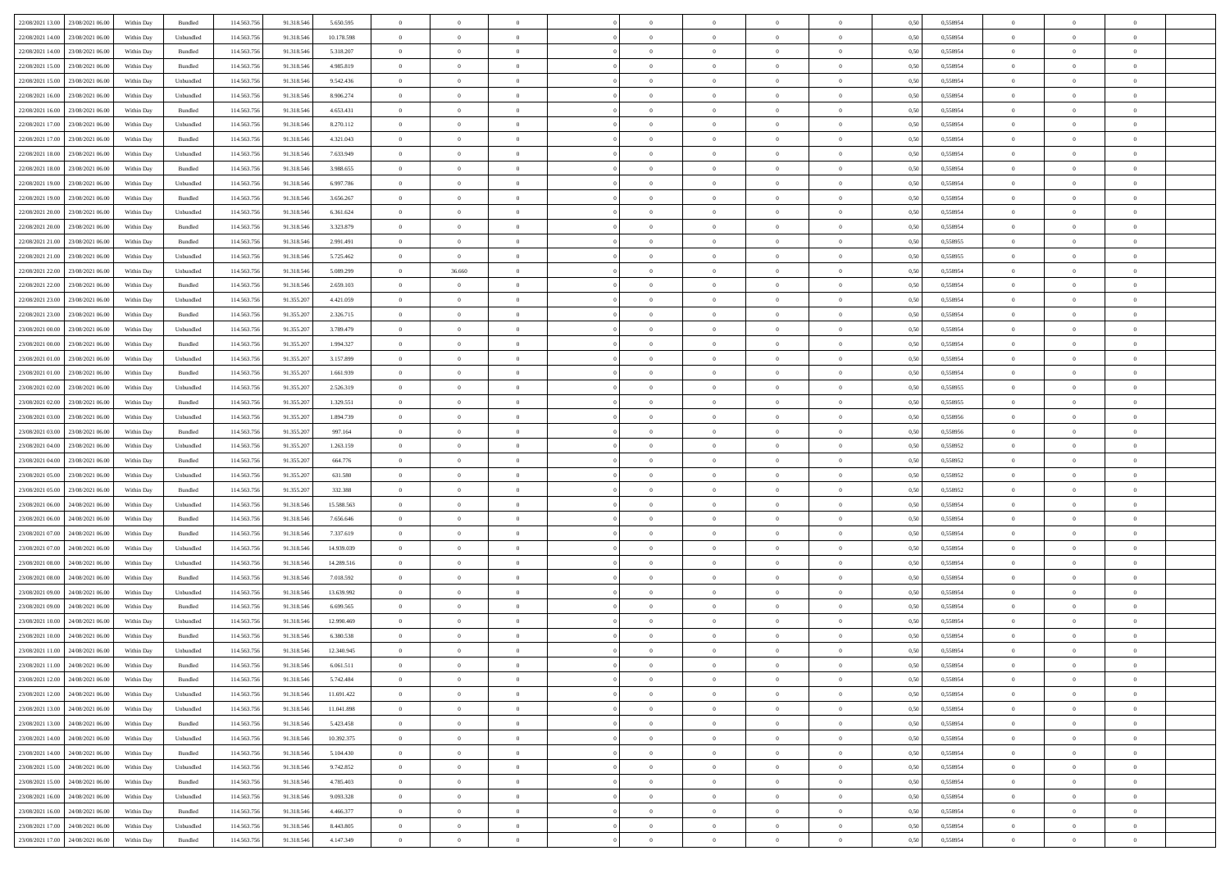| 22/08/2021 13:00 23/08/2021 06:00    |            |           | 114.563.75  |            |            | $\overline{0}$ | $\overline{0}$ |                | $\overline{0}$ | $\theta$       |                | $\theta$       |      | 0,558954 | $\theta$       | $\theta$       | $\overline{0}$ |  |
|--------------------------------------|------------|-----------|-------------|------------|------------|----------------|----------------|----------------|----------------|----------------|----------------|----------------|------|----------|----------------|----------------|----------------|--|
|                                      | Within Day | Bundled   |             | 91.318.546 | 5.650.595  |                |                |                |                |                |                |                | 0,50 |          |                |                |                |  |
| 22/08/2021 14:00<br>23/08/2021 06:00 | Within Day | Unbundled | 114.563.75  | 91.318.54  | 10.178.598 | $\bf{0}$       | $\bf{0}$       | $\bf{0}$       | $\bf{0}$       | $\overline{0}$ | $\overline{0}$ | $\bf{0}$       | 0,50 | 0,558954 | $\,$ 0 $\,$    | $\bf{0}$       | $\overline{0}$ |  |
| 22/08/2021 14:00<br>23/08/2021 06:00 | Within Day | Bundled   | 114,563,75  | 91.318.546 | 5.318.207  | $\overline{0}$ | $\bf{0}$       | $\overline{0}$ | $\bf{0}$       | $\bf{0}$       | $\overline{0}$ | $\bf{0}$       | 0.50 | 0.558954 | $\bf{0}$       | $\overline{0}$ | $\overline{0}$ |  |
| 22/08/2021 15:00<br>23/08/2021 06:00 | Within Day | Bundled   | 114.563.75  | 91.318.546 | 4.985.819  | $\overline{0}$ | $\overline{0}$ | $\overline{0}$ | $\theta$       | $\theta$       | $\overline{0}$ | $\bf{0}$       | 0,50 | 0,558954 | $\theta$       | $\theta$       | $\overline{0}$ |  |
|                                      |            |           |             |            |            |                |                |                |                |                |                |                |      |          |                |                |                |  |
| 22/08/2021 15:00<br>23/08/2021 06:00 | Within Day | Unbundled | 114.563.75  | 91.318.54  | 9.542.436  | $\bf{0}$       | $\overline{0}$ | $\bf{0}$       | $\overline{0}$ | $\theta$       | $\overline{0}$ | $\bf{0}$       | 0,50 | 0,558954 | $\,$ 0 $\,$    | $\bf{0}$       | $\overline{0}$ |  |
| 22/08/2021 16:00<br>23/08/2021 06:00 | Within Day | Unbundled | 114,563,75  | 91.318.54  | 8.906.274  | $\overline{0}$ | $\overline{0}$ | $\overline{0}$ | $\bf{0}$       | $\overline{0}$ | $\theta$       | $\bf{0}$       | 0.50 | 0.558954 | $\,$ 0 $\,$    | $\theta$       | $\overline{0}$ |  |
| 22/08/2021 16:00<br>23/08/2021 06:00 | Within Day | Bundled   | 114.563.75  | 91.318.546 | 4.653.431  | $\overline{0}$ | $\overline{0}$ | $\overline{0}$ | $\overline{0}$ | $\overline{0}$ | $\overline{0}$ | $\bf{0}$       | 0,50 | 0,558954 | $\,$ 0 $\,$    | $\theta$       | $\overline{0}$ |  |
| 22/08/2021 17:00<br>23/08/2021 06:00 | Within Day | Unbundled | 114.563.75  | 91.318.54  | 8.270.112  | $\bf{0}$       | $\bf{0}$       | $\bf{0}$       | $\overline{0}$ | $\overline{0}$ | $\overline{0}$ | $\bf{0}$       | 0,50 | 0,558954 | $\,$ 0 $\,$    | $\bf{0}$       | $\overline{0}$ |  |
| 22/08/2021 17:00<br>23/08/2021 06:00 | Within Day | Bundled   | 114,563,75  | 91.318.54  | 4.321.043  | $\overline{0}$ | $\bf{0}$       | $\overline{0}$ | $\bf{0}$       | $\overline{0}$ | $\overline{0}$ | $\bf{0}$       | 0.50 | 0.558954 | $\bf{0}$       | $\overline{0}$ | $\overline{0}$ |  |
|                                      |            |           |             |            |            |                |                |                |                |                |                |                |      |          |                |                |                |  |
| 22/08/2021 18:00<br>23/08/2021 06:00 | Within Day | Unbundled | 114.563.756 | 91.318.546 | 7.633.949  | $\bf{0}$       | $\bf{0}$       | $\overline{0}$ | $\overline{0}$ | $\overline{0}$ | $\overline{0}$ | $\bf{0}$       | 0,50 | 0,558954 | $\,$ 0 $\,$    | $\bf{0}$       | $\overline{0}$ |  |
| 22/08/2021 18:00<br>23/08/2021 06:00 | Within Day | Bundled   | 114.563.75  | 91.318.546 | 3.988.655  | $\bf{0}$       | $\bf{0}$       | $\bf{0}$       | $\bf{0}$       | $\overline{0}$ | $\overline{0}$ | $\bf{0}$       | 0,50 | 0,558954 | $\,$ 0 $\,$    | $\bf{0}$       | $\overline{0}$ |  |
| 22/08/2021 19:00<br>23/08/2021 06:00 | Within Day | Unbundled | 114,563,75  | 91.318.546 | 6.997.786  | $\overline{0}$ | $\bf{0}$       | $\overline{0}$ | $\overline{0}$ | $\bf{0}$       | $\overline{0}$ | $\bf{0}$       | 0.50 | 0.558954 | $\bf{0}$       | $\overline{0}$ | $\,$ 0         |  |
| 22/08/2021 19:00<br>23/08/2021 06:00 | Within Day | Bundled   | 114.563.75  | 91.318.546 | 3.656.267  | $\overline{0}$ | $\overline{0}$ | $\overline{0}$ | $\theta$       | $\theta$       | $\overline{0}$ | $\bf{0}$       | 0,50 | 0,558954 | $\,$ 0 $\,$    | $\theta$       | $\overline{0}$ |  |
|                                      |            |           |             |            |            |                | $\overline{0}$ |                | $\overline{0}$ |                | $\overline{0}$ |                |      |          | $\,$ 0 $\,$    | $\bf{0}$       | $\overline{0}$ |  |
| 22/08/2021 20:00<br>23/08/2021 06:00 | Within Day | Unbundled | 114.563.75  | 91.318.54  | 6.361.624  | $\bf{0}$       |                | $\bf{0}$       |                | $\bf{0}$       |                | $\bf{0}$       | 0,50 | 0,558954 |                |                |                |  |
| 22/08/2021 20:00<br>23/08/2021 06:00 | Within Day | Bundled   | 114,563,75  | 91.318.546 | 3.323.879  | $\overline{0}$ | $\bf{0}$       | $\overline{0}$ | $\bf{0}$       | $\overline{0}$ | $\theta$       | $\bf{0}$       | 0.50 | 0.558954 | $\,$ 0 $\,$    | $\theta$       | $\overline{0}$ |  |
| 22/08/2021 21:00<br>23/08/2021 06:00 | Within Day | Bundled   | 114.563.75  | 91.318.546 | 2.991.491  | $\overline{0}$ | $\overline{0}$ | $\overline{0}$ | $\overline{0}$ | $\overline{0}$ | $\overline{0}$ | $\bf{0}$       | 0,50 | 0,558955 | $\theta$       | $\theta$       | $\overline{0}$ |  |
| 22/08/2021 21:00<br>23/08/2021 06:00 | Within Day | Unbundled | 114.563.75  | 91.318.546 | 5.725.462  | $\bf{0}$       | $\bf{0}$       | $\bf{0}$       | $\overline{0}$ | $\overline{0}$ | $\overline{0}$ | $\bf{0}$       | 0,50 | 0,558955 | $\,$ 0 $\,$    | $\bf{0}$       | $\overline{0}$ |  |
| 22/08/2021 22:00<br>23/08/2021 06:00 | Within Day | Unbundled | 114,563,75  | 91.318.54  | 5.089.299  | $\overline{0}$ | 36,660         | $\overline{0}$ | $\bf{0}$       | $\overline{0}$ | $\overline{0}$ | $\bf{0}$       | 0.50 | 0.558954 | $\bf{0}$       | $\overline{0}$ | $\overline{0}$ |  |
|                                      |            |           |             |            |            |                | $\overline{0}$ | $\overline{0}$ | $\overline{0}$ | $\overline{0}$ | $\overline{0}$ |                |      |          | $\,$ 0 $\,$    |                |                |  |
| 22/08/2021 22:00<br>23/08/2021 06:00 | Within Day | Bundled   | 114.563.75  | 91.318.546 | 2.659.103  | $\bf{0}$       |                |                |                |                |                | $\bf{0}$       | 0,50 | 0,558954 |                | $\bf{0}$       | $\overline{0}$ |  |
| 22/08/2021 23:00<br>23/08/2021 06:00 | Within Day | Unbundled | 114.563.75  | 91.355.20  | 4.421.059  | $\bf{0}$       | $\bf{0}$       | $\bf{0}$       | $\bf{0}$       | $\overline{0}$ | $\overline{0}$ | $\bf{0}$       | 0,50 | 0,558954 | $\,$ 0 $\,$    | $\bf{0}$       | $\overline{0}$ |  |
| 22/08/2021 23:00<br>23/08/2021 06:00 | Within Day | Bundled   | 114,563,75  | 91.355.207 | 2.326.715  | $\overline{0}$ | $\bf{0}$       | $\overline{0}$ | $\overline{0}$ | $\bf{0}$       | $\overline{0}$ | $\bf{0}$       | 0.50 | 0.558954 | $\bf{0}$       | $\overline{0}$ | $\,$ 0         |  |
| 23/08/2021 00:00<br>23/08/2021 06:00 | Within Day | Unbundled | 114.563.75  | 91.355.207 | 3.789.479  | $\overline{0}$ | $\overline{0}$ | $\overline{0}$ | $\overline{0}$ | $\theta$       | $\overline{0}$ | $\bf{0}$       | 0,50 | 0,558954 | $\theta$       | $\theta$       | $\overline{0}$ |  |
| 23/08/2021 00:00<br>23/08/2021 06:00 | Within Day | Bundled   | 114.563.75  | 91.355.20  | 1.994.327  | $\bf{0}$       | $\bf{0}$       | $\bf{0}$       | $\bf{0}$       | $\overline{0}$ | $\overline{0}$ | $\bf{0}$       | 0,50 | 0,558954 | $\,$ 0 $\,$    | $\bf{0}$       | $\overline{0}$ |  |
| 23/08/2021 01:00<br>23/08/2021 06:00 | Within Day | Unbundled | 114,563,75  | 91.355.207 | 3.157.899  | $\overline{0}$ | $\bf{0}$       | $\overline{0}$ | $\bf{0}$       | $\overline{0}$ | $\theta$       | $\bf{0}$       | 0.50 | 0.558954 | $\,$ 0 $\,$    | $\theta$       | $\overline{0}$ |  |
|                                      |            |           |             |            |            | $\overline{0}$ | $\overline{0}$ | $\overline{0}$ | $\overline{0}$ | $\overline{0}$ | $\overline{0}$ |                |      |          |                | $\theta$       | $\overline{0}$ |  |
| 23/08/2021 01:00<br>23/08/2021 06:00 | Within Day | Bundled   | 114.563.75  | 91.355.207 | 1.661.939  |                |                |                |                |                |                | $\bf{0}$       | 0,50 | 0,558954 | $\,$ 0 $\,$    |                |                |  |
| 23/08/2021 02:00<br>23/08/2021 06:00 | Within Day | Unbundled | 114.563.75  | 91.355.20  | 2.526.319  | $\bf{0}$       | $\overline{0}$ | $\bf{0}$       | $\overline{0}$ | $\bf{0}$       | $\overline{0}$ | $\bf{0}$       | 0,50 | 0,558955 | $\,$ 0 $\,$    | $\bf{0}$       | $\overline{0}$ |  |
| 23/08/2021 02:00<br>23/08/2021 06:00 | Within Day | Bundled   | 114,563,75  | 91.355.20  | 1.329.551  | $\overline{0}$ | $\bf{0}$       | $\overline{0}$ | $\bf{0}$       | $\overline{0}$ | $\overline{0}$ | $\bf{0}$       | 0.50 | 0.558955 | $\bf{0}$       | $\overline{0}$ | $\overline{0}$ |  |
| 23/08/2021 03:00<br>23/08/2021 06:00 | Within Day | Unbundled | 114.563.75  | 91.355.207 | 1.894.739  | $\overline{0}$ | $\bf{0}$       | $\overline{0}$ | $\overline{0}$ | $\overline{0}$ | $\overline{0}$ | $\bf{0}$       | 0,50 | 0,558956 | $\theta$       | $\theta$       | $\overline{0}$ |  |
| 23/08/2021 03:00<br>23/08/2021 06:00 | Within Day | Bundled   | 114.563.75  | 91.355.20  | 997.164    | $\bf{0}$       | $\bf{0}$       | $\bf{0}$       | $\bf{0}$       | $\overline{0}$ | $\overline{0}$ | $\bf{0}$       | 0,50 | 0,558956 | $\,$ 0 $\,$    | $\bf{0}$       | $\overline{0}$ |  |
| 23/08/2021 04:00<br>23/08/2021 06:00 | Within Day | Unbundled | 114,563,75  | 91.355.207 | 1.263.159  | $\overline{0}$ | $\bf{0}$       | $\overline{0}$ | $\bf{0}$       | $\bf{0}$       | $\overline{0}$ | $\bf{0}$       | 0.50 | 0.558952 | $\bf{0}$       | $\overline{0}$ | $\,$ 0         |  |
| 23/08/2021 04:00<br>23/08/2021 06:00 | Within Day | Bundled   | 114.563.75  | 91.355.20  | 664,776    | $\overline{0}$ | $\overline{0}$ | $\overline{0}$ | $\overline{0}$ | $\overline{0}$ | $\overline{0}$ | $\bf{0}$       | 0.50 | 0,558952 | $\theta$       | $\theta$       | $\overline{0}$ |  |
|                                      |            |           |             |            |            |                |                |                |                |                |                |                |      |          |                |                |                |  |
| 23/08/2021 05:00<br>23/08/2021 06:00 | Within Day | Unbundled | 114.563.75  | 91.355.20  | 631.580    | $\bf{0}$       | $\bf{0}$       | $\bf{0}$       | $\bf{0}$       | $\overline{0}$ | $\overline{0}$ | $\bf{0}$       | 0,50 | 0,558952 | $\,$ 0 $\,$    | $\bf{0}$       | $\overline{0}$ |  |
| 23/08/2021 05:00<br>23/08/2021 06:00 | Within Day | Bundled   | 114,563,75  | 91.355.20  | 332.388    | $\overline{0}$ | $\bf{0}$       | $\overline{0}$ | $\bf{0}$       | $\overline{0}$ | $\overline{0}$ | $\bf{0}$       | 0.50 | 0.558952 | $\,$ 0 $\,$    | $\bf{0}$       | $\overline{0}$ |  |
| 23/08/2021 06:00<br>24/08/2021 06:00 | Within Dav | Unbundled | 114.563.75  | 91.318.546 | 15.588.563 | $\overline{0}$ | $\overline{0}$ | $\overline{0}$ | $\overline{0}$ | $\overline{0}$ | $\overline{0}$ | $\bf{0}$       | 0.50 | 0,558954 | $\theta$       | $\theta$       | $\overline{0}$ |  |
| 23/08/2021 06:00<br>24/08/2021 06.00 | Within Day | Bundled   | 114.563.75  | 91.318.546 | 7.656.646  | $\bf{0}$       | $\bf{0}$       | $\bf{0}$       | $\bf{0}$       | $\overline{0}$ | $\overline{0}$ | $\bf{0}$       | 0,50 | 0,558954 | $\,$ 0 $\,$    | $\bf{0}$       | $\overline{0}$ |  |
| 23/08/2021 07:00<br>24/08/2021 06:00 | Within Day | Bundled   | 114,563,75  | 91.318.54  | 7.337.619  | $\overline{0}$ | $\bf{0}$       | $\overline{0}$ | $\bf{0}$       | $\overline{0}$ | $\overline{0}$ | $\bf{0}$       | 0.50 | 0.558954 | $\bf{0}$       | $\overline{0}$ | $\overline{0}$ |  |
| 23/08/2021 07:00<br>24/08/2021 06:00 | Within Dav | Unbundled | 114.563.75  | 91.318.546 | 14.939.039 | $\overline{0}$ | $\overline{0}$ | $\overline{0}$ | $\overline{0}$ | $\overline{0}$ | $\overline{0}$ | $\bf{0}$       | 0.50 | 0,558954 | $\theta$       | $\theta$       | $\overline{0}$ |  |
|                                      |            |           |             |            |            |                |                |                |                |                |                |                |      |          |                |                |                |  |
| 23/08/2021 08:00<br>24/08/2021 06.00 | Within Day | Unbundled | 114.563.75  | 91.318.54  | 14.289.516 | $\bf{0}$       | $\bf{0}$       | $\bf{0}$       | $\bf{0}$       | $\overline{0}$ | $\overline{0}$ | $\bf{0}$       | 0,50 | 0,558954 | $\,$ 0 $\,$    | $\bf{0}$       | $\overline{0}$ |  |
| 23/08/2021 08:00<br>24/08/2021 06:00 | Within Day | Bundled   | 114,563,75  | 91.318.546 | 7.018.592  | $\overline{0}$ | $\bf{0}$       | $\overline{0}$ | $\overline{0}$ | $\bf{0}$       | $\overline{0}$ | $\bf{0}$       | 0.50 | 0.558954 | $\bf{0}$       | $\overline{0}$ | $\overline{0}$ |  |
| 23/08/2021 09:00<br>24/08/2021 06:00 | Within Dav | Unbundled | 114.563.75  | 91.318.546 | 13.639.992 | $\overline{0}$ | $\overline{0}$ | $\overline{0}$ | $\overline{0}$ | $\overline{0}$ | $\overline{0}$ | $\bf{0}$       | 0.50 | 0.558954 | $\theta$       | $\theta$       | $\overline{0}$ |  |
| 23/08/2021 09:00<br>24/08/2021 06.00 | Within Day | Bundled   | 114.563.75  | 91.318.54  | 6.699.565  | $\bf{0}$       | $\bf{0}$       | $\bf{0}$       | $\bf{0}$       | $\overline{0}$ | $\overline{0}$ | $\bf{0}$       | 0,50 | 0,558954 | $\,$ 0 $\,$    | $\bf{0}$       | $\overline{0}$ |  |
| 23/08/2021 10:00<br>24/08/2021 06:00 | Within Day | Unbundled | 114,563,75  | 91.318.54  | 12.990.469 | $\overline{0}$ | $\overline{0}$ | $\overline{0}$ | $\bf{0}$       | $\overline{0}$ | $\overline{0}$ | $\bf{0}$       | 0.50 | 0.558954 | $\bf{0}$       | $\theta$       | $\overline{0}$ |  |
| 23/08/2021 10:00<br>24/08/2021 06:00 | Within Dav | Bundled   | 114.563.75  | 91.318.546 | 6.380.538  | $\overline{0}$ | $\overline{0}$ | $\Omega$       | $\theta$       | $\theta$       | $\overline{0}$ | $\overline{0}$ | 0.5( | 0,558954 | $\theta$       | $\theta$       | $\overline{0}$ |  |
|                                      |            |           |             |            |            |                |                |                |                |                |                |                |      |          |                |                |                |  |
| 23/08/2021 11:00<br>24/08/2021 06:00 | Within Day | Unbundled | 114.563.75  | 91.318.546 | 12.340.945 | $\bf{0}$       | $\bf{0}$       | $\bf{0}$       | $\bf{0}$       | $\bf{0}$       | $\overline{0}$ | $\bf{0}$       | 0,50 | 0,558954 | $\,$ 0 $\,$    | $\bf{0}$       | $\overline{0}$ |  |
| 23/08/2021 11:00 24/08/2021 06:00    | Within Day | Bundled   | 114.563.756 | 91.318.546 | 6.061.511  | $\bf{0}$       | $\theta$       |                | $\overline{0}$ |                |                |                | 0,50 | 0.558954 | $\bf{0}$       | $\bf{0}$       |                |  |
| 23/08/2021 12:00 24/08/2021 06:00    | Within Day | Bundled   | 114.563.756 | 91.318.546 | 5.742.484  | $\overline{0}$ | $\overline{0}$ | $\Omega$       | $\theta$       | $\overline{0}$ | $\overline{0}$ | $\bf{0}$       | 0,50 | 0,558954 | $\theta$       | $\theta$       | $\overline{0}$ |  |
| 23/08/2021 12:00<br>24/08/2021 06:00 | Within Day | Unbundled | 114.563.75  | 91.318.546 | 11.691.422 | $\overline{0}$ | $\bf{0}$       | $\overline{0}$ | $\overline{0}$ | $\bf{0}$       | $\overline{0}$ | $\bf{0}$       | 0,50 | 0,558954 | $\bf{0}$       | $\overline{0}$ | $\bf{0}$       |  |
| 23/08/2021 13:00 24/08/2021 06:00    | Within Day | Unbundled | 114,563,756 | 91.318.546 | 11.041.898 | $\overline{0}$ | $\bf{0}$       | $\overline{0}$ | $\overline{0}$ | $\mathbf{0}$   | $\overline{0}$ | $\,$ 0 $\,$    | 0.50 | 0.558954 | $\overline{0}$ | $\bf{0}$       | $\,$ 0 $\,$    |  |
|                                      |            |           |             |            |            |                |                |                |                |                |                |                |      |          |                |                |                |  |
| 23/08/2021 13:00 24/08/2021 06:00    | Within Day | Bundled   | 114.563.756 | 91.318.546 | 5.423.458  | $\overline{0}$ | $\overline{0}$ | $\overline{0}$ | $\overline{0}$ | $\overline{0}$ | $\overline{0}$ | $\bf{0}$       | 0,50 | 0,558954 | $\overline{0}$ | $\theta$       | $\overline{0}$ |  |
| 23/08/2021 14:00<br>24/08/2021 06:00 | Within Day | Unbundled | 114.563.75  | 91.318.546 | 10.392.375 | $\overline{0}$ | $\bf{0}$       | $\overline{0}$ | $\overline{0}$ | $\overline{0}$ | $\overline{0}$ | $\bf{0}$       | 0,50 | 0,558954 | $\bf{0}$       | $\overline{0}$ | $\overline{0}$ |  |
| 24/08/2021 06:00<br>23/08/2021 14:00 | Within Day | Bundled   | 114.563.756 | 91.318.546 | 5.104.430  | $\overline{0}$ | $\bf{0}$       | $\overline{0}$ | $\overline{0}$ | $\bf{0}$       | $\overline{0}$ | $\bf{0}$       | 0.50 | 0.558954 | $\,$ 0 $\,$    | $\overline{0}$ | $\,$ 0         |  |
| 23/08/2021 15:00<br>24/08/2021 06:00 | Within Dav | Unbundled | 114.563.756 | 91.318.546 | 9.742.852  | $\overline{0}$ | $\overline{0}$ | $\overline{0}$ | $\overline{0}$ | $\overline{0}$ | $\overline{0}$ | $\bf{0}$       | 0.50 | 0,558954 | $\overline{0}$ | $\theta$       | $\overline{0}$ |  |
| 23/08/2021 15:00<br>24/08/2021 06:00 | Within Day | Bundled   | 114.563.75  | 91.318.546 | 4.785.403  | $\overline{0}$ | $\overline{0}$ | $\overline{0}$ | $\overline{0}$ | $\overline{0}$ | $\overline{0}$ | $\bf{0}$       | 0,50 | 0,558954 | $\bf{0}$       | $\overline{0}$ | $\overline{0}$ |  |
|                                      |            |           |             |            |            |                |                |                |                |                |                |                |      |          |                |                |                |  |
| 23/08/2021 16:00 24/08/2021 06:00    | Within Day | Unbundled | 114.563.75  | 91.318.546 | 9.093.328  | $\overline{0}$ | $\overline{0}$ | $\overline{0}$ | $\overline{0}$ | $\overline{0}$ | $\overline{0}$ | $\bf{0}$       | 0.50 | 0.558954 | $\mathbf{0}$   | $\bf{0}$       | $\,$ 0         |  |
| 23/08/2021 16:00 24/08/2021 06:00    | Within Dav | Bundled   | 114.563.756 | 91.318.546 | 4.466.377  | $\overline{0}$ | $\overline{0}$ | $\overline{0}$ | $\overline{0}$ | $\overline{0}$ | $\overline{0}$ | $\bf{0}$       | 0,50 | 0,558954 | $\overline{0}$ | $\theta$       | $\overline{0}$ |  |
| 23/08/2021 17:00<br>24/08/2021 06:00 | Within Day | Unbundled | 114.563.75  | 91.318.546 | 8.443.805  | $\overline{0}$ | $\bf{0}$       | $\overline{0}$ | $\bf{0}$       | $\overline{0}$ | $\bf{0}$       | $\bf{0}$       | 0,50 | 0,558954 | $\bf{0}$       | $\,0\,$        | $\overline{0}$ |  |
| 23/08/2021 17:00 24/08/2021 06:00    | Within Day | Bundled   | 114.563.756 | 91.318.546 | 4.147.349  | $\,$ 0 $\,$    | $\bf{0}$       | $\overline{0}$ | $\overline{0}$ | $\,$ 0 $\,$    | $\overline{0}$ | $\bf{0}$       | 0,50 | 0,558954 | $\overline{0}$ | $\,$ 0 $\,$    | $\,$ 0 $\,$    |  |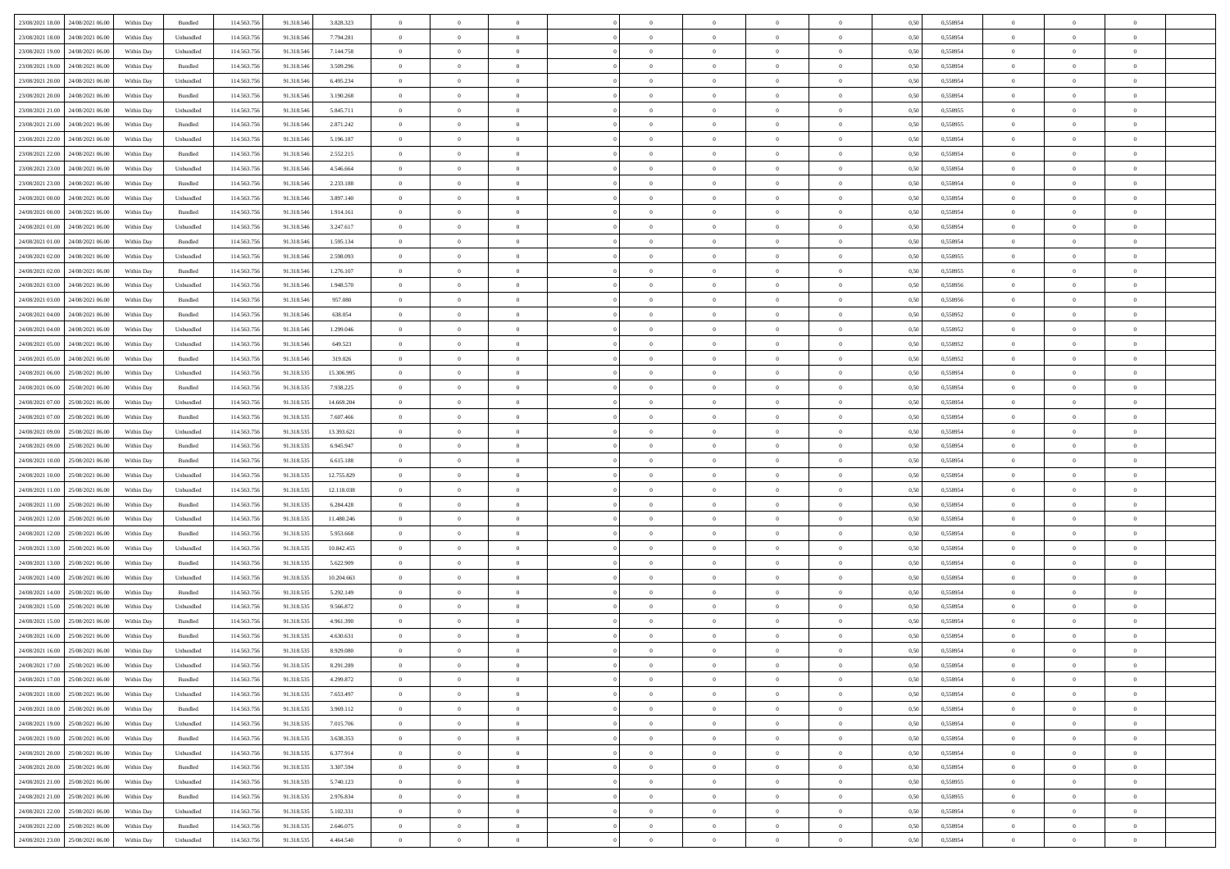| 23/08/2021 18:00 24/08/2021 06:00    | Within Day | Bundled                     | 114.563.75  | 91.318.546 | 3.828.323  | $\overline{0}$ | $\overline{0}$ |                | $\overline{0}$ | $\theta$       |                | $\theta$       | 0,50 | 0,558954 | $\theta$       | $\theta$       | $\overline{0}$ |  |
|--------------------------------------|------------|-----------------------------|-------------|------------|------------|----------------|----------------|----------------|----------------|----------------|----------------|----------------|------|----------|----------------|----------------|----------------|--|
| 23/08/2021 18:00<br>24/08/2021 06.00 | Within Day | Unbundled                   | 114.563.75  | 91.318.54  | 7.794.281  | $\bf{0}$       | $\bf{0}$       | $\bf{0}$       | $\bf{0}$       | $\overline{0}$ | $\overline{0}$ | $\bf{0}$       | 0,50 | 0,558954 | $\,$ 0 $\,$    | $\bf{0}$       | $\overline{0}$ |  |
| 23/08/2021 19:00<br>24/08/2021 06:00 | Within Day | Unbundled                   | 114,563,75  | 91.318.546 | 7.144.758  | $\overline{0}$ | $\bf{0}$       | $\overline{0}$ | $\bf{0}$       | $\bf{0}$       | $\overline{0}$ | $\bf{0}$       | 0.50 | 0.558954 | $\bf{0}$       | $\overline{0}$ | $\overline{0}$ |  |
| 23/08/2021 19:00<br>24/08/2021 06:00 |            |                             | 114.563.75  |            |            | $\overline{0}$ | $\overline{0}$ | $\overline{0}$ | $\overline{0}$ | $\theta$       | $\overline{0}$ |                |      |          | $\theta$       | $\theta$       | $\overline{0}$ |  |
|                                      | Within Day | Bundled                     |             | 91.318.546 | 3.509.296  |                |                |                |                |                |                | $\bf{0}$       | 0,50 | 0,558954 |                |                |                |  |
| 23/08/2021 20:00<br>24/08/2021 06.00 | Within Day | Unbundled                   | 114.563.75  | 91.318.54  | 6.495.234  | $\bf{0}$       | $\overline{0}$ | $\bf{0}$       | $\overline{0}$ | $\theta$       | $\overline{0}$ | $\bf{0}$       | 0,50 | 0,558954 | $\,$ 0 $\,$    | $\bf{0}$       | $\overline{0}$ |  |
| 23/08/2021 20:00<br>24/08/2021 06:00 | Within Day | Bundled                     | 114,563,75  | 91.318.54  | 3.190.268  | $\overline{0}$ | $\bf{0}$       | $\overline{0}$ | $\bf{0}$       | $\overline{0}$ | $\theta$       | $\bf{0}$       | 0.50 | 0.558954 | $\,$ 0 $\,$    | $\theta$       | $\overline{0}$ |  |
| 23/08/2021 21:00<br>24/08/2021 06:00 | Within Day | Unbundled                   | 114.563.75  | 91.318.546 | 5.845.711  | $\overline{0}$ | $\overline{0}$ | $\overline{0}$ | $\overline{0}$ | $\overline{0}$ | $\overline{0}$ | $\bf{0}$       | 0,50 | 0,558955 | $\,$ 0 $\,$    | $\theta$       | $\overline{0}$ |  |
|                                      |            |                             |             |            |            |                |                |                |                |                |                |                |      |          |                |                |                |  |
| 23/08/2021 21:00<br>24/08/2021 06.00 | Within Day | Bundled                     | 114.563.75  | 91.318.54  | 2.871.242  | $\bf{0}$       | $\bf{0}$       | $\bf{0}$       | $\overline{0}$ | $\overline{0}$ | $\overline{0}$ | $\bf{0}$       | 0,50 | 0,558955 | $\,$ 0 $\,$    | $\bf{0}$       | $\overline{0}$ |  |
| 23/08/2021 22:00<br>24/08/2021 06:00 | Within Day | Unbundled                   | 114,563,75  | 91.318.54  | 5.196.187  | $\overline{0}$ | $\bf{0}$       | $\overline{0}$ | $\bf{0}$       | $\overline{0}$ | $\overline{0}$ | $\bf{0}$       | 0.50 | 0.558954 | $\bf{0}$       | $\overline{0}$ | $\overline{0}$ |  |
| 23/08/2021 22:00<br>24/08/2021 06:00 | Within Day | Bundled                     | 114.563.756 | 91.318.546 | 2.552.215  | $\bf{0}$       | $\bf{0}$       | $\overline{0}$ | $\overline{0}$ | $\overline{0}$ | $\overline{0}$ | $\bf{0}$       | 0,50 | 0,558954 | $\,$ 0 $\,$    | $\bf{0}$       | $\overline{0}$ |  |
| 23/08/2021 23:00<br>24/08/2021 06.00 | Within Day | Unbundled                   | 114.563.75  | 91.318.54  | 4.546.664  | $\bf{0}$       | $\bf{0}$       | $\bf{0}$       | $\bf{0}$       | $\overline{0}$ | $\overline{0}$ | $\bf{0}$       | 0,50 | 0,558954 | $\,$ 0 $\,$    | $\bf{0}$       | $\overline{0}$ |  |
|                                      |            |                             |             |            |            |                |                |                |                |                |                |                |      |          |                |                |                |  |
| 23/08/2021 23:00<br>24/08/2021 06:00 | Within Day | Bundled                     | 114,563,75  | 91.318.546 | 2.233.188  | $\overline{0}$ | $\bf{0}$       | $\overline{0}$ | $\overline{0}$ | $\bf{0}$       | $\overline{0}$ | $\bf{0}$       | 0.50 | 0.558954 | $\bf{0}$       | $\overline{0}$ | $\,$ 0         |  |
| 24/08/2021 00:00<br>24/08/2021 06:00 | Within Day | Unbundled                   | 114.563.75  | 91.318.546 | 3.897.140  | $\overline{0}$ | $\overline{0}$ | $\overline{0}$ | $\theta$       | $\theta$       | $\overline{0}$ | $\bf{0}$       | 0,50 | 0,558954 | $\,$ 0 $\,$    | $\theta$       | $\overline{0}$ |  |
| 24/08/2021 00:00<br>24/08/2021 06.00 | Within Day | Bundled                     | 114.563.75  | 91.318.54  | 1.914.161  | $\bf{0}$       | $\overline{0}$ | $\bf{0}$       | $\bf{0}$       | $\bf{0}$       | $\overline{0}$ | $\bf{0}$       | 0,50 | 0,558954 | $\,$ 0 $\,$    | $\bf{0}$       | $\overline{0}$ |  |
| 24/08/2021 01:00<br>24/08/2021 06:00 |            | Unbundled                   | 114,563,75  | 91.318.546 | 3.247.617  | $\overline{0}$ | $\bf{0}$       | $\overline{0}$ | $\bf{0}$       | $\overline{0}$ | $\theta$       | $\bf{0}$       | 0.50 | 0.558954 | $\,$ 0 $\,$    | $\theta$       | $\overline{0}$ |  |
|                                      | Within Day |                             |             |            |            |                |                |                |                |                |                |                |      |          |                |                |                |  |
| 24/08/2021 01:00<br>24/08/2021 06:00 | Within Day | Bundled                     | 114.563.75  | 91.318.546 | 1.595.134  | $\overline{0}$ | $\overline{0}$ | $\overline{0}$ | $\overline{0}$ | $\overline{0}$ | $\overline{0}$ | $\bf{0}$       | 0,50 | 0,558954 | $\theta$       | $\theta$       | $\overline{0}$ |  |
| 24/08/2021 02:00<br>24/08/2021 06.00 | Within Day | Unbundled                   | 114.563.75  | 91.318.546 | 2.598.093  | $\bf{0}$       | $\bf{0}$       | $\bf{0}$       | $\overline{0}$ | $\bf{0}$       | $\overline{0}$ | $\bf{0}$       | 0,50 | 0,558955 | $\,$ 0 $\,$    | $\bf{0}$       | $\overline{0}$ |  |
| 24/08/2021 02:00<br>24/08/2021 06:00 | Within Day | Bundled                     | 114,563,75  | 91.318.54  | 1.276.107  | $\overline{0}$ | $\bf{0}$       | $\overline{0}$ | $\bf{0}$       | $\overline{0}$ | $\overline{0}$ | $\bf{0}$       | 0.50 | 0.558955 | $\bf{0}$       | $\overline{0}$ | $\overline{0}$ |  |
| 24/08/2021 03:00<br>24/08/2021 06:00 | Within Day | Unbundled                   | 114.563.75  | 91.318.546 | 1.948.570  | $\bf{0}$       | $\bf{0}$       | $\overline{0}$ | $\overline{0}$ | $\overline{0}$ | $\overline{0}$ | $\bf{0}$       | 0,50 | 0,558956 | $\,$ 0 $\,$    | $\bf{0}$       | $\overline{0}$ |  |
|                                      |            |                             |             |            |            |                |                |                |                |                |                |                |      |          |                |                |                |  |
| 24/08/2021 03:00<br>24/08/2021 06.00 | Within Day | Bundled                     | 114.563.75  | 91.318.54  | 957.080    | $\bf{0}$       | $\bf{0}$       | $\bf{0}$       | $\bf{0}$       | $\overline{0}$ | $\overline{0}$ | $\bf{0}$       | 0,50 | 0,558956 | $\,$ 0 $\,$    | $\bf{0}$       | $\overline{0}$ |  |
| 24/08/2021 04:00<br>24/08/2021 06:00 | Within Day | Bundled                     | 114.563.75  | 91.318.546 | 638.054    | $\overline{0}$ | $\bf{0}$       | $\overline{0}$ | $\overline{0}$ | $\bf{0}$       | $\overline{0}$ | $\bf{0}$       | 0.50 | 0.558952 | $\bf{0}$       | $\overline{0}$ | $\,$ 0         |  |
| 24/08/2021 04:00<br>24/08/2021 06:00 | Within Day | Unbundled                   | 114.563.75  | 91.318.546 | 1.299.046  | $\overline{0}$ | $\overline{0}$ | $\overline{0}$ | $\overline{0}$ | $\theta$       | $\overline{0}$ | $\bf{0}$       | 0,50 | 0,558952 | $\theta$       | $\theta$       | $\overline{0}$ |  |
| 24/08/2021 05:00<br>24/08/2021 06.00 | Within Day | Unbundled                   | 114.563.75  | 91.318.54  | 649.523    | $\bf{0}$       | $\bf{0}$       | $\bf{0}$       | $\bf{0}$       | $\overline{0}$ | $\overline{0}$ | $\bf{0}$       | 0,50 | 0,558952 | $\,$ 0 $\,$    | $\bf{0}$       | $\overline{0}$ |  |
|                                      |            |                             |             |            |            |                |                |                |                |                |                |                |      |          |                |                |                |  |
| 24/08/2021 05:00<br>24/08/2021 06:00 | Within Day | Bundled                     | 114,563,75  | 91.318.546 | 319.026    | $\overline{0}$ | $\bf{0}$       | $\overline{0}$ | $\bf{0}$       | $\overline{0}$ | $\theta$       | $\bf{0}$       | 0.50 | 0.558952 | $\bf{0}$       | $\theta$       | $\overline{0}$ |  |
| 24/08/2021 06:00<br>25/08/2021 06:00 | Within Day | Unbundled                   | 114.563.75  | 91.318.535 | 15.306.995 | $\overline{0}$ | $\overline{0}$ | $\overline{0}$ | $\overline{0}$ | $\overline{0}$ | $\overline{0}$ | $\bf{0}$       | 0,50 | 0,558954 | $\,$ 0 $\,$    | $\theta$       | $\overline{0}$ |  |
| 24/08/2021 06:00<br>25/08/2021 06.00 | Within Day | Bundled                     | 114.563.75  | 91.318.53  | 7.938.225  | $\bf{0}$       | $\overline{0}$ | $\bf{0}$       | $\overline{0}$ | $\bf{0}$       | $\overline{0}$ | $\bf{0}$       | 0,50 | 0,558954 | $\,$ 0 $\,$    | $\bf{0}$       | $\overline{0}$ |  |
| 24/08/2021 07:00<br>25/08/2021 06:00 | Within Day | Unbundled                   | 114,563,75  | 91.318.53  | 14,669,204 | $\overline{0}$ | $\bf{0}$       | $\overline{0}$ | $\bf{0}$       | $\overline{0}$ | $\overline{0}$ | $\bf{0}$       | 0.50 | 0.558954 | $\bf{0}$       | $\overline{0}$ | $\overline{0}$ |  |
| 24/08/2021 07:00<br>25/08/2021 06:00 |            |                             | 114.563.756 |            |            | $\overline{0}$ | $\bf{0}$       | $\overline{0}$ | $\overline{0}$ | $\overline{0}$ | $\overline{0}$ |                |      |          | $\,$ 0 $\,$    | $\theta$       | $\overline{0}$ |  |
|                                      | Within Day | Bundled                     |             | 91.318.535 | 7.607.466  |                |                |                |                |                |                | $\bf{0}$       | 0,50 | 0,558954 |                |                |                |  |
| 24/08/2021 09:00<br>25/08/2021 06.00 | Within Day | Unbundled                   | 114.563.75  | 91.318.535 | 13.393.621 | $\bf{0}$       | $\bf{0}$       | $\bf{0}$       | $\bf{0}$       | $\overline{0}$ | $\overline{0}$ | $\bf{0}$       | 0,50 | 0,558954 | $\,$ 0 $\,$    | $\bf{0}$       | $\overline{0}$ |  |
| 24/08/2021 09:00<br>25/08/2021 06:00 | Within Day | Bundled                     | 114.563.75  | 91.318.53  | 6.945.947  | $\overline{0}$ | $\bf{0}$       | $\overline{0}$ | $\overline{0}$ | $\bf{0}$       | $\overline{0}$ | $\bf{0}$       | 0.50 | 0.558954 | $\bf{0}$       | $\,$ 0 $\,$    | $\,$ 0         |  |
| 24/08/2021 10:00<br>25/08/2021 06:00 | Within Day | Bundled                     | 114.563.75  | 91.318.535 | 6.615.188  | $\overline{0}$ | $\overline{0}$ | $\overline{0}$ | $\overline{0}$ | $\overline{0}$ | $\overline{0}$ | $\bf{0}$       | 0.50 | 0.558954 | $\theta$       | $\theta$       | $\overline{0}$ |  |
| 24/08/2021 10:00<br>25/08/2021 06.00 | Within Day | Unbundled                   | 114.563.75  | 91.318.53  | 12.755.829 | $\bf{0}$       | $\bf{0}$       | $\bf{0}$       | $\bf{0}$       | $\overline{0}$ | $\overline{0}$ | $\bf{0}$       | 0,50 | 0,558954 | $\,$ 0 $\,$    | $\bf{0}$       | $\overline{0}$ |  |
|                                      |            |                             |             |            |            |                |                |                |                |                |                |                |      |          |                |                |                |  |
| 24/08/2021 11:00<br>25/08/2021 06:00 | Within Day | Unbundled                   | 114,563,75  | 91.318.53  | 12.118.038 | $\overline{0}$ | $\bf{0}$       | $\overline{0}$ | $\bf{0}$       | $\overline{0}$ | $\overline{0}$ | $\bf{0}$       | 0.50 | 0.558954 | $\,$ 0 $\,$    | $\bf{0}$       | $\overline{0}$ |  |
| 24/08/2021 11:00<br>25/08/2021 06:00 | Within Dav | Bundled                     | 114.563.75  | 91.318.535 | 6.284.428  | $\overline{0}$ | $\overline{0}$ | $\overline{0}$ | $\overline{0}$ | $\overline{0}$ | $\overline{0}$ | $\bf{0}$       | 0.50 | 0,558954 | $\theta$       | $\theta$       | $\overline{0}$ |  |
| 24/08/2021 12:00<br>25/08/2021 06:00 | Within Day | Unbundled                   | 114.563.75  | 91.318.53  | 11.480.246 | $\bf{0}$       | $\bf{0}$       | $\bf{0}$       | $\bf{0}$       | $\overline{0}$ | $\overline{0}$ | $\bf{0}$       | 0,50 | 0,558954 | $\,$ 0 $\,$    | $\bf{0}$       | $\overline{0}$ |  |
| 24/08/2021 12:00<br>25/08/2021 06:00 | Within Day | Bundled                     | 114,563,75  | 91.318.53  | 5.953.668  | $\overline{0}$ | $\bf{0}$       | $\overline{0}$ | $\bf{0}$       | $\overline{0}$ | $\overline{0}$ | $\bf{0}$       | 0.50 | 0.558954 | $\bf{0}$       | $\overline{0}$ | $\overline{0}$ |  |
|                                      |            |                             |             |            |            |                |                |                |                |                |                |                |      |          |                |                |                |  |
| 24/08/2021 13:00<br>25/08/2021 06:00 | Within Dav | Unbundled                   | 114.563.75  | 91.318.535 | 10.842.455 | $\overline{0}$ | $\overline{0}$ | $\overline{0}$ | $\overline{0}$ | $\overline{0}$ | $\overline{0}$ | $\bf{0}$       | 0.50 | 0,558954 | $\theta$       | $\theta$       | $\overline{0}$ |  |
| 24/08/2021 13:00<br>25/08/2021 06.00 | Within Day | Bundled                     | 114.563.75  | 91.318.53  | 5.622.909  | $\bf{0}$       | $\bf{0}$       | $\bf{0}$       | $\bf{0}$       | $\overline{0}$ | $\overline{0}$ | $\bf{0}$       | 0,50 | 0,558954 | $\,$ 0 $\,$    | $\bf{0}$       | $\overline{0}$ |  |
| 24/08/2021 14:00<br>25/08/2021 06:00 | Within Day | Unbundled                   | 114.563.75  | 91.318.535 | 10.204.663 | $\overline{0}$ | $\bf{0}$       | $\overline{0}$ | $\overline{0}$ | $\bf{0}$       | $\overline{0}$ | $\bf{0}$       | 0.50 | 0.558954 | $\,$ 0 $\,$    | $\overline{0}$ | $\overline{0}$ |  |
| 24/08/2021 14:00<br>25/08/2021 06:00 | Within Day | Bundled                     | 114.563.75  | 91.318.535 | 5.292.149  | $\overline{0}$ | $\overline{0}$ | $\overline{0}$ | $\overline{0}$ | $\overline{0}$ | $\overline{0}$ | $\bf{0}$       | 0.50 | 0,558954 | $\theta$       | $\theta$       | $\overline{0}$ |  |
| 24/08/2021 15:00<br>25/08/2021 06.00 | Within Day | Unbundled                   | 114.563.75  | 91.318.535 | 9.566.872  | $\bf{0}$       | $\bf{0}$       | $\bf{0}$       | $\bf{0}$       | $\overline{0}$ | $\overline{0}$ | $\bf{0}$       | 0,50 | 0,558954 | $\,$ 0 $\,$    | $\bf{0}$       | $\overline{0}$ |  |
|                                      |            |                             |             |            |            |                |                |                |                |                |                |                |      |          |                |                |                |  |
| 24/08/2021 15:00<br>25/08/2021 06:00 | Within Day | Bundled                     | 114,563,75  | 91.318.53  | 4.961.390  | $\overline{0}$ | $\overline{0}$ | $\overline{0}$ | $\bf{0}$       | $\overline{0}$ | $\overline{0}$ | $\bf{0}$       | 0.50 | 0.558954 | $\bf{0}$       | $\theta$       | $\overline{0}$ |  |
| 24/08/2021 16:00<br>25/08/2021 06:00 | Within Dav | Bundled                     | 114.563.75  | 91.318.535 | 4.630.631  | $\overline{0}$ | $\overline{0}$ | $\Omega$       | $\theta$       | $\theta$       | $\overline{0}$ | $\overline{0}$ | 0.5( | 0,558954 | $\theta$       | $\theta$       | $\overline{0}$ |  |
| 24/08/2021 16:00<br>25/08/2021 06:00 | Within Day | Unbundled                   | 114.563.75  | 91.318.535 | 8.929.080  | $\bf{0}$       | $\bf{0}$       | $\bf{0}$       | $\bf{0}$       | $\bf{0}$       | $\overline{0}$ | $\bf{0}$       | 0,50 | 0,558954 | $\,$ 0 $\,$    | $\overline{0}$ | $\overline{0}$ |  |
| 24/08/2021 17:00 25/08/2021 06:00    | Within Day | $\ensuremath{\mathsf{Unb}}$ | 114.563.756 | 91.318.535 | 8.291.289  | $\bf{0}$       | $\theta$       |                | $\overline{0}$ |                |                |                | 0,50 | 0.558954 | $\bf{0}$       | $\bf{0}$       |                |  |
|                                      |            |                             |             |            |            |                |                |                |                |                |                |                |      |          |                |                |                |  |
| 24/08/2021 17:00 25/08/2021 06:00    | Within Day | Bundled                     | 114.563.756 | 91.318.535 | 4.299.872  | $\overline{0}$ | $\overline{0}$ | $\Omega$       | $\theta$       | $\overline{0}$ | $\overline{0}$ | $\bf{0}$       | 0,50 | 0,558954 | $\theta$       | $\theta$       | $\overline{0}$ |  |
| 24/08/2021 18:00<br>25/08/2021 06:00 | Within Day | Unbundled                   | 114.563.75  | 91.318.535 | 7.653.497  | $\overline{0}$ | $\bf{0}$       | $\overline{0}$ | $\overline{0}$ | $\bf{0}$       | $\overline{0}$ | $\bf{0}$       | 0,50 | 0,558954 | $\bf{0}$       | $\overline{0}$ | $\bf{0}$       |  |
| 24/08/2021 18:00 25/08/2021 06:00    | Within Day | Bundled                     | 114,563,756 | 91.318.535 | 3.969.112  | $\overline{0}$ | $\bf{0}$       | $\overline{0}$ | $\overline{0}$ | $\mathbf{0}$   | $\overline{0}$ | $\,$ 0 $\,$    | 0.50 | 0.558954 | $\overline{0}$ | $\bf{0}$       | $\,$ 0 $\,$    |  |
| 24/08/2021 19:00 25/08/2021 06:00    | Within Day | Unbundled                   | 114.563.756 | 91.318.535 | 7.015.706  | $\overline{0}$ | $\overline{0}$ | $\overline{0}$ | $\overline{0}$ | $\overline{0}$ | $\overline{0}$ | $\bf{0}$       | 0,50 | 0,558954 | $\overline{0}$ | $\theta$       | $\overline{0}$ |  |
|                                      |            |                             |             |            |            |                |                |                |                |                |                |                |      |          |                |                |                |  |
| 24/08/2021 19:00<br>25/08/2021 06:00 | Within Day | Bundled                     | 114.563.75  | 91.318.535 | 3.638.353  | $\overline{0}$ | $\bf{0}$       | $\overline{0}$ | $\overline{0}$ | $\bf{0}$       | $\overline{0}$ | $\bf{0}$       | 0,50 | 0,558954 | $\bf{0}$       | $\overline{0}$ | $\overline{0}$ |  |
| 24/08/2021 20:00 25/08/2021 06:00    | Within Day | Unbundled                   | 114.563.756 | 91.318.535 | 6.377.914  | $\overline{0}$ | $\bf{0}$       | $\overline{0}$ | $\overline{0}$ | $\bf{0}$       | $\overline{0}$ | $\bf{0}$       | 0.50 | 0.558954 | $\,$ 0 $\,$    | $\overline{0}$ | $\,$ 0         |  |
| 24/08/2021 20:00 25/08/2021 06:00    | Within Dav | Bundled                     | 114.563.756 | 91.318.535 | 3.307.594  | $\overline{0}$ | $\overline{0}$ | $\overline{0}$ | $\overline{0}$ | $\overline{0}$ | $\overline{0}$ | $\bf{0}$       | 0.50 | 0,558954 | $\overline{0}$ | $\theta$       | $\overline{0}$ |  |
| 24/08/2021 21:00<br>25/08/2021 06:00 | Within Day | Unbundled                   | 114.563.75  | 91.318.535 | 5.740.123  | $\overline{0}$ | $\overline{0}$ | $\overline{0}$ | $\overline{0}$ | $\overline{0}$ | $\overline{0}$ | $\bf{0}$       | 0,50 | 0,558955 | $\bf{0}$       | $\overline{0}$ | $\,$ 0         |  |
|                                      |            |                             |             |            |            |                |                |                |                |                |                |                |      |          |                |                |                |  |
| 24/08/2021 21:00 25/08/2021 06:00    | Within Day | Bundled                     | 114.563.75  | 91.318.535 | 2.976.834  | $\overline{0}$ | $\overline{0}$ | $\overline{0}$ | $\overline{0}$ | $\overline{0}$ | $\overline{0}$ | $\bf{0}$       | 0.50 | 0.558955 | $\mathbf{0}$   | $\bf{0}$       | $\,$ 0         |  |
| 24/08/2021 22:00 25/08/2021 06:00    | Within Dav | Unbundled                   | 114.563.756 | 91.318.535 | 5.102.331  | $\overline{0}$ | $\overline{0}$ | $\overline{0}$ | $\overline{0}$ | $\overline{0}$ | $\overline{0}$ | $\bf{0}$       | 0,50 | 0,558954 | $\overline{0}$ | $\theta$       | $\overline{0}$ |  |
| 24/08/2021 22:00<br>25/08/2021 06:00 | Within Day | Bundled                     | 114.563.75  | 91.318.535 | 2.646.075  | $\overline{0}$ | $\bf{0}$       | $\overline{0}$ | $\bf{0}$       | $\overline{0}$ | $\overline{0}$ | $\bf{0}$       | 0,50 | 0,558954 | $\bf{0}$       | $\,$ 0 $\,$    | $\bf{0}$       |  |
| 24/08/2021 23:00 25/08/2021 06:00    | Within Day | ${\sf Unbundred}$           | 114.563.756 | 91.318.535 | 4.464.540  | $\overline{0}$ | $\bf{0}$       | $\overline{0}$ | $\overline{0}$ | $\,$ 0 $\,$    | $\overline{0}$ | $\bf{0}$       | 0,50 | 0,558954 | $\overline{0}$ | $\,$ 0 $\,$    | $\,$ 0 $\,$    |  |
|                                      |            |                             |             |            |            |                |                |                |                |                |                |                |      |          |                |                |                |  |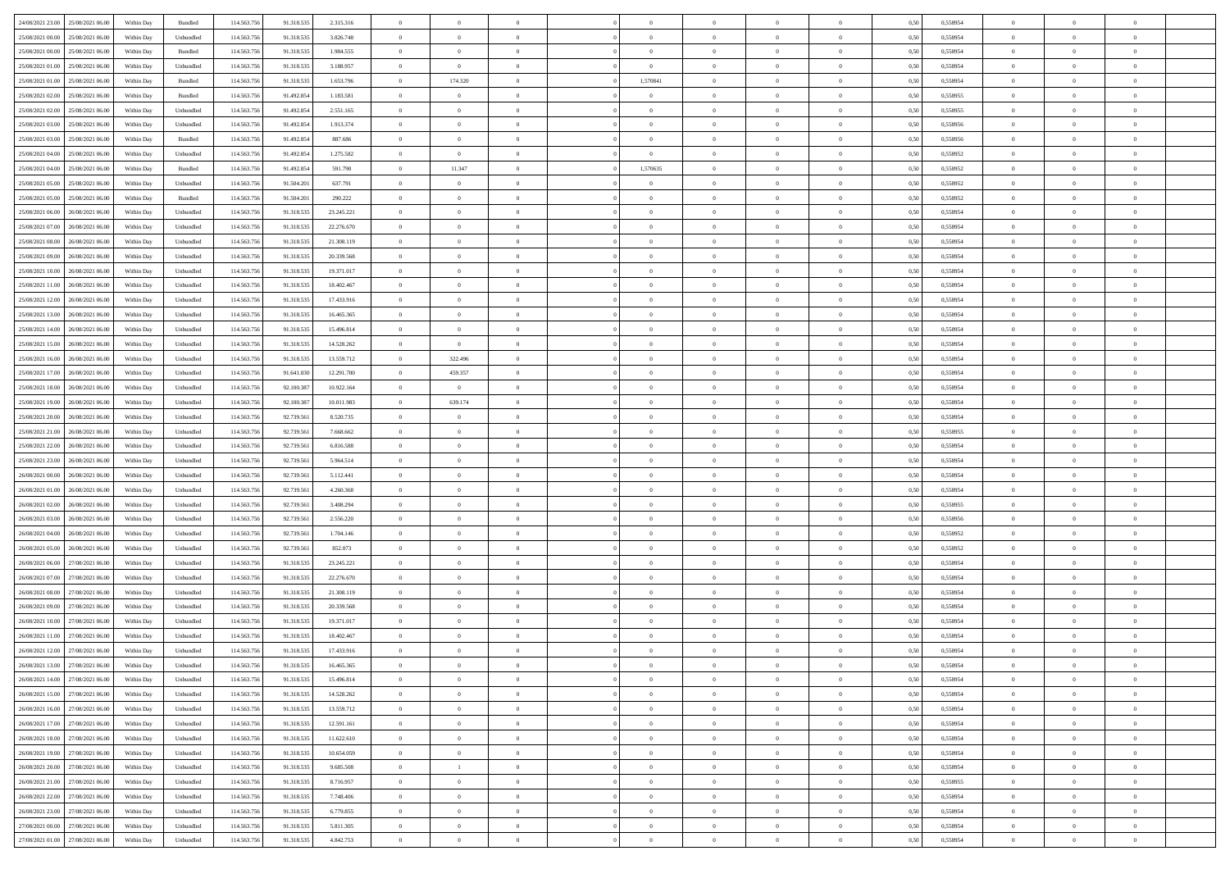| 24/08/2021 23:00 25/08/2021 06:00    | Within Day | Bundled   | 114.563.75  | 91.318.535 | 2.315.316  | $\overline{0}$ | $\theta$       |                | $\overline{0}$ | $\theta$       |                | $\theta$       | 0,50 | 0,558954 | $\theta$       | $\theta$       | $\overline{0}$ |  |
|--------------------------------------|------------|-----------|-------------|------------|------------|----------------|----------------|----------------|----------------|----------------|----------------|----------------|------|----------|----------------|----------------|----------------|--|
| 25/08/2021 00:00<br>25/08/2021 06:00 | Within Day | Unbundled | 114.563.75  | 91.318.53  | 3.826.748  | $\bf{0}$       | $\bf{0}$       | $\bf{0}$       | $\bf{0}$       | $\overline{0}$ | $\overline{0}$ | $\bf{0}$       | 0,50 | 0,558954 | $\,$ 0 $\,$    | $\bf{0}$       | $\overline{0}$ |  |
| 25/08/2021 00:00<br>25/08/2021 06:00 | Within Day | Bundled   | 114,563,75  | 91.318.535 | 1.984.555  | $\overline{0}$ | $\bf{0}$       | $\overline{0}$ | $\bf{0}$       | $\bf{0}$       | $\overline{0}$ | $\bf{0}$       | 0.50 | 0.558954 | $\bf{0}$       | $\overline{0}$ | $\overline{0}$ |  |
| 25/08/2021 01:00<br>25/08/2021 06:00 |            |           | 114.563.75  |            |            | $\overline{0}$ | $\overline{0}$ | $\overline{0}$ | $\overline{0}$ | $\theta$       | $\overline{0}$ |                |      |          | $\theta$       | $\theta$       | $\overline{0}$ |  |
|                                      | Within Day | Unbundled |             | 91.318.535 | 3.188.957  |                |                |                |                |                |                | $\bf{0}$       | 0,50 | 0,558954 |                |                |                |  |
| 25/08/2021 01:00<br>25/08/2021 06.00 | Within Day | Bundled   | 114.563.75  | 91.318.535 | 1.653.796  | $\bf{0}$       | 174.320        | $\bf{0}$       | 1,570841       | $\theta$       | $\overline{0}$ | $\bf{0}$       | 0,50 | 0,558954 | $\,$ 0 $\,$    | $\bf{0}$       | $\overline{0}$ |  |
| 25/08/2021 02:00<br>25/08/2021 06:00 | Within Day | Bundled   | 114,563,75  | 91.492.854 | 1.183.581  | $\overline{0}$ | $\overline{0}$ | $\overline{0}$ | $\bf{0}$       | $\overline{0}$ | $\theta$       | $\bf{0}$       | 0.50 | 0.558955 | $\,$ 0 $\,$    | $\theta$       | $\overline{0}$ |  |
| 25/08/2021 02:00<br>25/08/2021 06:00 | Within Day | Unbundled | 114.563.75  | 91.492.854 | 2.551.165  | $\overline{0}$ | $\overline{0}$ | $\overline{0}$ | $\overline{0}$ | $\overline{0}$ | $\overline{0}$ | $\bf{0}$       | 0,50 | 0,558955 | $\theta$       | $\theta$       | $\overline{0}$ |  |
|                                      |            |           |             |            |            |                |                |                |                |                |                |                |      |          |                |                |                |  |
| 25/08/2021 03:00<br>25/08/2021 06.00 | Within Day | Unbundled | 114.563.75  | 91.492.85  | 1.913.374  | $\bf{0}$       | $\bf{0}$       | $\bf{0}$       | $\overline{0}$ | $\bf{0}$       | $\overline{0}$ | $\bf{0}$       | 0,50 | 0,558956 | $\,$ 0 $\,$    | $\bf{0}$       | $\overline{0}$ |  |
| 25/08/2021 03:00<br>25/08/2021 06:00 | Within Day | Bundled   | 114,563,75  | 91.492.85  | 887.686    | $\overline{0}$ | $\bf{0}$       | $\overline{0}$ | $\bf{0}$       | $\overline{0}$ | $\overline{0}$ | $\bf{0}$       | 0.50 | 0.558956 | $\bf{0}$       | $\overline{0}$ | $\overline{0}$ |  |
| 25/08/2021 04:00<br>25/08/2021 06:00 | Within Day | Unbundled | 114.563.75  | 91.492.854 | 1.275.582  | $\overline{0}$ | $\bf{0}$       | $\overline{0}$ | $\overline{0}$ | $\overline{0}$ | $\overline{0}$ | $\bf{0}$       | 0,50 | 0,558952 | $\,$ 0 $\,$    | $\bf{0}$       | $\overline{0}$ |  |
| 25/08/2021 04:00<br>25/08/2021 06.00 | Within Day | Bundled   | 114.563.75  | 91.492.854 | 591.790    | $\bf{0}$       | 11.347         | $\bf{0}$       | 1,570635       | $\bf{0}$       | $\overline{0}$ | $\bf{0}$       | 0,50 | 0,558952 | $\,$ 0 $\,$    | $\bf{0}$       | $\overline{0}$ |  |
|                                      |            |           |             |            |            |                |                |                |                |                |                |                |      |          |                |                |                |  |
| 25/08/2021 05:00<br>25/08/2021 06:00 | Within Day | Unbundled | 114,563,75  | 91.504.201 | 637.791    | $\overline{0}$ | $\bf{0}$       | $\overline{0}$ | $\overline{0}$ | $\bf{0}$       | $\overline{0}$ | $\bf{0}$       | 0.50 | 0.558952 | $\bf{0}$       | $\overline{0}$ | $\bf{0}$       |  |
| 25/08/2021 05:00<br>25/08/2021 06:00 | Within Day | Bundled   | 114.563.75  | 91.504.201 | 290.222    | $\overline{0}$ | $\overline{0}$ | $\overline{0}$ | $\overline{0}$ | $\theta$       | $\overline{0}$ | $\bf{0}$       | 0,50 | 0,558952 | $\,$ 0 $\,$    | $\theta$       | $\overline{0}$ |  |
| 25/08/2021 06:00<br>26/08/2021 06:00 | Within Day | Unbundled | 114.563.75  | 91.318.53  | 23.245.221 | $\bf{0}$       | $\overline{0}$ | $\bf{0}$       | $\overline{0}$ | $\theta$       | $\overline{0}$ | $\bf{0}$       | 0,50 | 0,558954 | $\,$ 0 $\,$    | $\bf{0}$       | $\overline{0}$ |  |
| 25/08/2021 07:00<br>26/08/2021 06:00 | Within Day | Unbundled | 114,563,75  | 91.318.53  | 22.276.670 | $\overline{0}$ | $\overline{0}$ | $\overline{0}$ | $\bf{0}$       | $\overline{0}$ | $\theta$       | $\bf{0}$       | 0.50 | 0.558954 | $\,$ 0 $\,$    | $\theta$       | $\overline{0}$ |  |
| 25/08/2021 08:00<br>26/08/2021 06:00 | Within Day | Unbundled | 114.563.75  | 91.318.535 | 21.308.119 | $\overline{0}$ | $\overline{0}$ | $\overline{0}$ | $\overline{0}$ | $\overline{0}$ | $\overline{0}$ | $\bf{0}$       | 0,50 | 0,558954 | $\theta$       | $\theta$       | $\overline{0}$ |  |
|                                      |            |           |             |            |            |                |                |                |                |                |                |                |      |          |                |                |                |  |
| 25/08/2021 09:00<br>26/08/2021 06:00 | Within Day | Unbundled | 114.563.75  | 91.318.53  | 20.339.568 | $\bf{0}$       | $\overline{0}$ | $\bf{0}$       | $\overline{0}$ | $\bf{0}$       | $\overline{0}$ | $\bf{0}$       | 0,50 | 0,558954 | $\,$ 0 $\,$    | $\bf{0}$       | $\overline{0}$ |  |
| 25/08/2021 10:00<br>26/08/2021 06:00 | Within Day | Unbundled | 114,563,75  | 91.318.53  | 19.371.017 | $\overline{0}$ | $\bf{0}$       | $\overline{0}$ | $\bf{0}$       | $\overline{0}$ | $\overline{0}$ | $\bf{0}$       | 0.50 | 0.558954 | $\bf{0}$       | $\overline{0}$ | $\overline{0}$ |  |
| 25/08/2021 11:00<br>26/08/2021 06:00 | Within Day | Unbundled | 114.563.75  | 91.318.535 | 18.402.467 | $\overline{0}$ | $\bf{0}$       | $\overline{0}$ | $\overline{0}$ | $\overline{0}$ | $\overline{0}$ | $\bf{0}$       | 0,50 | 0,558954 | $\,$ 0 $\,$    | $\theta$       | $\overline{0}$ |  |
| 25/08/2021 12:00<br>26/08/2021 06:00 | Within Day | Unbundled | 114.563.75  | 91.318.53  | 17.433.916 | $\bf{0}$       | $\bf{0}$       | $\bf{0}$       | $\bf{0}$       | $\overline{0}$ | $\overline{0}$ | $\bf{0}$       | 0,50 | 0,558954 | $\,$ 0 $\,$    | $\bf{0}$       | $\overline{0}$ |  |
|                                      |            |           |             |            |            |                |                |                |                |                |                |                |      |          |                |                |                |  |
| 25/08/2021 13:00<br>26/08/2021 06:00 | Within Day | Unbundled | 114,563,75  | 91.318.535 | 16,465,365 | $\overline{0}$ | $\bf{0}$       | $\overline{0}$ | $\overline{0}$ | $\bf{0}$       | $\overline{0}$ | $\bf{0}$       | 0.50 | 0.558954 | $\bf{0}$       | $\overline{0}$ | $\overline{0}$ |  |
| 25/08/2021 14:00<br>26/08/2021 06:00 | Within Day | Unbundled | 114.563.75  | 91.318.535 | 15.496.814 | $\overline{0}$ | $\overline{0}$ | $\overline{0}$ | $\theta$       | $\theta$       | $\overline{0}$ | $\bf{0}$       | 0,50 | 0,558954 | $\theta$       | $\theta$       | $\overline{0}$ |  |
| 25/08/2021 15:00<br>26/08/2021 06:00 | Within Day | Unbundled | 114.563.75  | 91.318.535 | 14.528.262 | $\bf{0}$       | $\bf{0}$       | $\bf{0}$       | $\bf{0}$       | $\,$ 0 $\,$    | $\overline{0}$ | $\bf{0}$       | 0,50 | 0,558954 | $\,$ 0 $\,$    | $\bf{0}$       | $\overline{0}$ |  |
| 25/08/2021 16:00<br>26/08/2021 06:00 | Within Day | Unbundled | 114,563,75  | 91.318.53  | 13.559.712 | $\overline{0}$ | 322.496        | $\overline{0}$ | $\bf{0}$       | $\overline{0}$ | $\theta$       | $\bf{0}$       | 0.50 | 0.558954 | $\,$ 0 $\,$    | $\theta$       | $\overline{0}$ |  |
| 25/08/2021 17:00<br>26/08/2021 06:00 | Within Day | Unbundled | 114.563.75  | 91.641.030 | 12.291.700 | $\overline{0}$ | 459.357        | $\overline{0}$ | $\overline{0}$ | $\overline{0}$ | $\overline{0}$ | $\bf{0}$       | 0,50 | 0,558954 | $\,$ 0 $\,$    | $\theta$       | $\overline{0}$ |  |
|                                      |            |           |             |            |            |                |                |                |                |                |                |                |      |          |                |                |                |  |
| 25/08/2021 18:00<br>26/08/2021 06:00 | Within Day | Unbundled | 114.563.75  | 92.100.38  | 10.922.164 | $\bf{0}$       | $\bf{0}$       | $\bf{0}$       | $\overline{0}$ | $\bf{0}$       | $\overline{0}$ | $\bf{0}$       | 0,50 | 0,558954 | $\,$ 0 $\,$    | $\bf{0}$       | $\overline{0}$ |  |
| 25/08/2021 19:00<br>26/08/2021 06:00 | Within Day | Unbundled | 114,563,75  | 92.100.38  | 10.011.983 | $\overline{0}$ | 639.174        | $\overline{0}$ | $\bf{0}$       | $\overline{0}$ | $\overline{0}$ | $\bf{0}$       | 0.50 | 0.558954 | $\bf{0}$       | $\overline{0}$ | $\overline{0}$ |  |
| 25/08/2021 20:00<br>26/08/2021 06:00 | Within Day | Unbundled | 114.563.756 | 92.739.561 | 8.520.735  | $\overline{0}$ | $\overline{0}$ | $\overline{0}$ | $\overline{0}$ | $\overline{0}$ | $\overline{0}$ | $\bf{0}$       | 0,50 | 0,558954 | $\theta$       | $\theta$       | $\overline{0}$ |  |
| 25/08/2021 21:00<br>26/08/2021 06:00 | Within Day | Unbundled | 114.563.75  | 92.739.56  | 7.668.662  | $\bf{0}$       | $\bf{0}$       | $\bf{0}$       | $\bf{0}$       | $\overline{0}$ | $\overline{0}$ | $\bf{0}$       | 0,50 | 0,558955 | $\,$ 0 $\,$    | $\bf{0}$       | $\overline{0}$ |  |
|                                      |            |           |             |            |            |                |                |                |                |                |                |                |      |          |                |                |                |  |
| 25/08/2021 22:00<br>26/08/2021 06:00 | Within Day | Unbundled | 114,563,75  | 92.739.561 | 6.816.588  | $\overline{0}$ | $\bf{0}$       | $\overline{0}$ | $\bf{0}$       | $\bf{0}$       | $\overline{0}$ | $\bf{0}$       | 0.50 | 0.558954 | $\bf{0}$       | $\overline{0}$ | $\bf{0}$       |  |
| 25/08/2021 23:00<br>26/08/2021 06:00 | Within Day | Unbundled | 114.563.75  | 92.739.56  | 5.964.514  | $\overline{0}$ | $\overline{0}$ | $\overline{0}$ | $\overline{0}$ | $\overline{0}$ | $\overline{0}$ | $\bf{0}$       | 0.50 | 0.558954 | $\theta$       | $\theta$       | $\overline{0}$ |  |
| 26/08/2021 00:00<br>26/08/2021 06:00 | Within Day | Unbundled | 114.563.75  | 92.739.56  | 5.112.441  | $\bf{0}$       | $\overline{0}$ | $\bf{0}$       | $\bf{0}$       | $\,$ 0 $\,$    | $\overline{0}$ | $\bf{0}$       | 0,50 | 0,558954 | $\,$ 0 $\,$    | $\bf{0}$       | $\overline{0}$ |  |
| 26/08/2021 01:00<br>26/08/2021 06:00 | Within Day | Unbundled | 114,563,75  | 92.739.561 | 4.260.368  | $\overline{0}$ | $\bf{0}$       | $\overline{0}$ | $\bf{0}$       | $\overline{0}$ | $\Omega$       | $\bf{0}$       | 0.50 | 0.558954 | $\,$ 0 $\,$    | $\theta$       | $\overline{0}$ |  |
| 26/08/2021 02:00<br>26/08/2021 06:00 | Within Dav | Unbundled | 114.563.75  | 92.739.561 | 3.408.294  | $\overline{0}$ | $\overline{0}$ | $\overline{0}$ | $\overline{0}$ | $\theta$       | $\overline{0}$ | $\bf{0}$       | 0.50 | 0,558955 | $\theta$       | $\theta$       | $\overline{0}$ |  |
|                                      |            |           |             |            |            |                |                |                |                |                |                |                |      |          |                |                |                |  |
| 26/08/2021 03:00<br>26/08/2021 06:00 | Within Day | Unbundled | 114.563.75  | 92.739.56  | 2.556.220  | $\bf{0}$       | $\bf{0}$       | $\bf{0}$       | $\bf{0}$       | $\overline{0}$ | $\overline{0}$ | $\bf{0}$       | 0,50 | 0,558956 | $\,$ 0 $\,$    | $\bf{0}$       | $\overline{0}$ |  |
| 26/08/2021 04:00<br>26/08/2021 06:00 | Within Day | Unbundled | 114,563,75  | 92.739.56  | 1.704.146  | $\overline{0}$ | $\bf{0}$       | $\overline{0}$ | $\bf{0}$       | $\overline{0}$ | $\overline{0}$ | $\bf{0}$       | 0.50 | 0.558952 | $\bf{0}$       | $\overline{0}$ | $\overline{0}$ |  |
| 26/08/2021 05:00<br>26/08/2021 06:00 | Within Dav | Unbundled | 114.563.75  | 92.739.561 | 852.073    | $\overline{0}$ | $\overline{0}$ | $\overline{0}$ | $\overline{0}$ | $\overline{0}$ | $\overline{0}$ | $\bf{0}$       | 0.50 | 0,558952 | $\theta$       | $\theta$       | $\overline{0}$ |  |
| 26/08/2021 06:00<br>27/08/2021 06:00 | Within Day | Unbundled | 114.563.75  | 91.318.53  | 23.245.221 | $\bf{0}$       | $\bf{0}$       | $\bf{0}$       | $\bf{0}$       | $\overline{0}$ | $\overline{0}$ | $\bf{0}$       | 0,50 | 0,558954 | $\,$ 0 $\,$    | $\bf{0}$       | $\overline{0}$ |  |
|                                      |            | Unbundled | 114,563,75  | 91.318.53  |            |                | $\bf{0}$       | $\overline{0}$ |                | $\bf{0}$       | $\overline{0}$ |                | 0.50 | 0.558954 | $\bf{0}$       | $\overline{0}$ | $\overline{0}$ |  |
| 26/08/2021 07:00<br>27/08/2021 06:00 | Within Day |           |             |            | 22.276.670 | $\overline{0}$ |                |                | $\overline{0}$ |                |                | $\bf{0}$       |      |          |                |                |                |  |
| 26/08/2021 08:00<br>27/08/2021 06:00 | Within Dav | Unbundled | 114.563.75  | 91.318.535 | 21.308.119 | $\overline{0}$ | $\overline{0}$ | $\overline{0}$ | $\overline{0}$ | $\overline{0}$ | $\overline{0}$ | $\bf{0}$       | 0.50 | 0.558954 | $\theta$       | $\theta$       | $\overline{0}$ |  |
| 26/08/2021 09:00<br>27/08/2021 06:00 | Within Day | Unbundled | 114.563.75  | 91.318.535 | 20.339.568 | $\bf{0}$       | $\bf{0}$       | $\bf{0}$       | $\bf{0}$       | $\overline{0}$ | $\overline{0}$ | $\bf{0}$       | 0,50 | 0,558954 | $\,$ 0 $\,$    | $\bf{0}$       | $\overline{0}$ |  |
| 26/08/2021 10:00<br>27/08/2021 06:00 | Within Day | Unbundled | 114,563,75  | 91.318.53  | 19.371.017 | $\overline{0}$ | $\overline{0}$ | $\overline{0}$ | $\bf{0}$       | $\overline{0}$ | $\Omega$       | $\bf{0}$       | 0.50 | 0.558954 | $\bf{0}$       | $\theta$       | $\overline{0}$ |  |
| 26/08/2021 11:00<br>27/08/2021 06:00 | Within Dav | Unbundled | 114.563.75  | 91.318.535 | 18.402.467 | $\overline{0}$ | $\overline{0}$ | $\Omega$       | $\overline{0}$ | $\theta$       | $\Omega$       | $\overline{0}$ | 0.5( | 0,558954 | $\theta$       | $\theta$       | $\overline{0}$ |  |
|                                      |            |           |             |            |            |                |                |                |                |                |                |                |      |          |                |                |                |  |
| 26/08/2021 12:00<br>27/08/2021 06:00 | Within Day | Unbundled | 114.563.75  | 91.318.535 | 17.433.916 | $\bf{0}$       | $\bf{0}$       | $\bf{0}$       | $\bf{0}$       | $\bf{0}$       | $\overline{0}$ | $\bf{0}$       | 0,50 | 0,558954 | $\,$ 0 $\,$    | $\bf{0}$       | $\overline{0}$ |  |
| 26/08/2021 13:00 27/08/2021 06:00    | Within Day | Unbundled | 114.563.756 | 91.318.535 | 16.465.365 | $\bf{0}$       | $\theta$       |                | $\overline{0}$ |                |                |                | 0,50 | 0.558954 | $\bf{0}$       | $\overline{0}$ |                |  |
| 26/08/2021 14:00 27/08/2021 06:00    | Within Day | Unbundled | 114.563.756 | 91.318.535 | 15.496.814 | $\overline{0}$ | $\overline{0}$ | $\Omega$       | $\theta$       | $\overline{0}$ | $\overline{0}$ | $\bf{0}$       | 0,50 | 0,558954 | $\theta$       | $\theta$       | $\overline{0}$ |  |
| 26/08/2021 15:00<br>27/08/2021 06:00 | Within Day | Unbundled | 114.563.75  | 91.318.535 | 14.528.262 | $\overline{0}$ | $\bf{0}$       | $\overline{0}$ | $\overline{0}$ | $\bf{0}$       | $\overline{0}$ | $\bf{0}$       | 0,50 | 0,558954 | $\bf{0}$       | $\overline{0}$ | $\bf{0}$       |  |
| 26/08/2021 16:00 27/08/2021 06:00    |            |           | 114,563,756 |            |            |                |                |                |                |                | $\overline{0}$ |                | 0.50 | 0.558954 | $\overline{0}$ |                |                |  |
|                                      | Within Day | Unbundled |             | 91.318.535 | 13.559.712 | $\overline{0}$ | $\bf{0}$       | $\overline{0}$ | $\overline{0}$ | $\mathbf{0}$   |                | $\,$ 0 $\,$    |      |          |                | $\bf{0}$       | $\,$ 0 $\,$    |  |
| 26/08/2021 17:00 27/08/2021 06:00    | Within Day | Unbundled | 114.563.756 | 91.318.535 | 12.591.161 | $\overline{0}$ | $\overline{0}$ | $\overline{0}$ | $\overline{0}$ | $\overline{0}$ | $\overline{0}$ | $\bf{0}$       | 0,50 | 0,558954 | $\overline{0}$ | $\theta$       | $\overline{0}$ |  |
| 26/08/2021 18:00<br>27/08/2021 06:00 | Within Day | Unbundled | 114.563.75  | 91.318.535 | 11.622.610 | $\overline{0}$ | $\bf{0}$       | $\overline{0}$ | $\overline{0}$ | $\overline{0}$ | $\overline{0}$ | $\bf{0}$       | 0,50 | 0,558954 | $\bf{0}$       | $\overline{0}$ | $\overline{0}$ |  |
| 27/08/2021 06:00<br>26/08/2021 19:00 | Within Day | Unbundled | 114.563.756 | 91.318.535 | 10.654.059 | $\overline{0}$ | $\bf{0}$       | $\overline{0}$ | $\overline{0}$ | $\overline{0}$ | $\overline{0}$ | $\bf{0}$       | 0.50 | 0.558954 | $\,$ 0 $\,$    | $\overline{0}$ | $\,$ 0         |  |
| 26/08/2021 20:00<br>27/08/2021 06:00 | Within Dav | Unbundled | 114.563.756 | 91.318.535 | 9.685.508  | $\overline{0}$ | $\overline{1}$ | $\overline{0}$ | $\overline{0}$ | $\overline{0}$ | $\overline{0}$ | $\bf{0}$       | 0.50 | 0,558954 | $\overline{0}$ | $\theta$       | $\overline{0}$ |  |
|                                      |            |           |             |            |            |                |                |                |                |                |                |                |      |          |                |                |                |  |
| 26/08/2021 21:00<br>27/08/2021 06:00 | Within Day | Unbundled | 114.563.75  | 91.318.535 | 8.716.957  | $\overline{0}$ | $\overline{0}$ | $\overline{0}$ | $\overline{0}$ | $\overline{0}$ | $\overline{0}$ | $\bf{0}$       | 0,50 | 0,558955 | $\bf{0}$       | $\overline{0}$ | $\overline{0}$ |  |
| 26/08/2021 22:00 27/08/2021 06:00    | Within Day | Unbundled | 114,563,756 | 91.318.535 | 7.748.406  | $\overline{0}$ | $\overline{0}$ | $\overline{0}$ | $\overline{0}$ | $\overline{0}$ | $\overline{0}$ | $\bf{0}$       | 0.50 | 0.558954 | $\mathbf{0}$   | $\bf{0}$       | $\,$ 0         |  |
| 26/08/2021 23:00 27/08/2021 06:00    | Within Dav | Unbundled | 114.563.756 | 91.318.535 | 6.779.855  | $\overline{0}$ | $\overline{0}$ | $\overline{0}$ | $\overline{0}$ | $\overline{0}$ | $\overline{0}$ | $\bf{0}$       | 0,50 | 0,558954 | $\overline{0}$ | $\theta$       | $\overline{0}$ |  |
| 27/08/2021 00:00<br>27/08/2021 06:00 | Within Day | Unbundled | 114.563.75  | 91.318.535 | 5.811.305  | $\overline{0}$ | $\bf{0}$       | $\overline{0}$ | $\bf{0}$       | $\overline{0}$ | $\overline{0}$ | $\bf{0}$       | 0,50 | 0,558954 | $\bf{0}$       | $\,$ 0 $\,$    | $\overline{0}$ |  |
|                                      |            |           |             |            |            |                |                |                |                |                |                |                |      |          |                |                |                |  |
| 27/08/2021 01:00 27/08/2021 06:00    | Within Day | Unbundled | 114.563.756 | 91.318.535 | 4.842.753  | $\,$ 0 $\,$    | $\bf{0}$       | $\overline{0}$ | $\overline{0}$ | $\,$ 0 $\,$    | $\overline{0}$ | $\bf{0}$       | 0,50 | 0,558954 | $\overline{0}$ | $\,$ 0 $\,$    | $\,$ 0 $\,$    |  |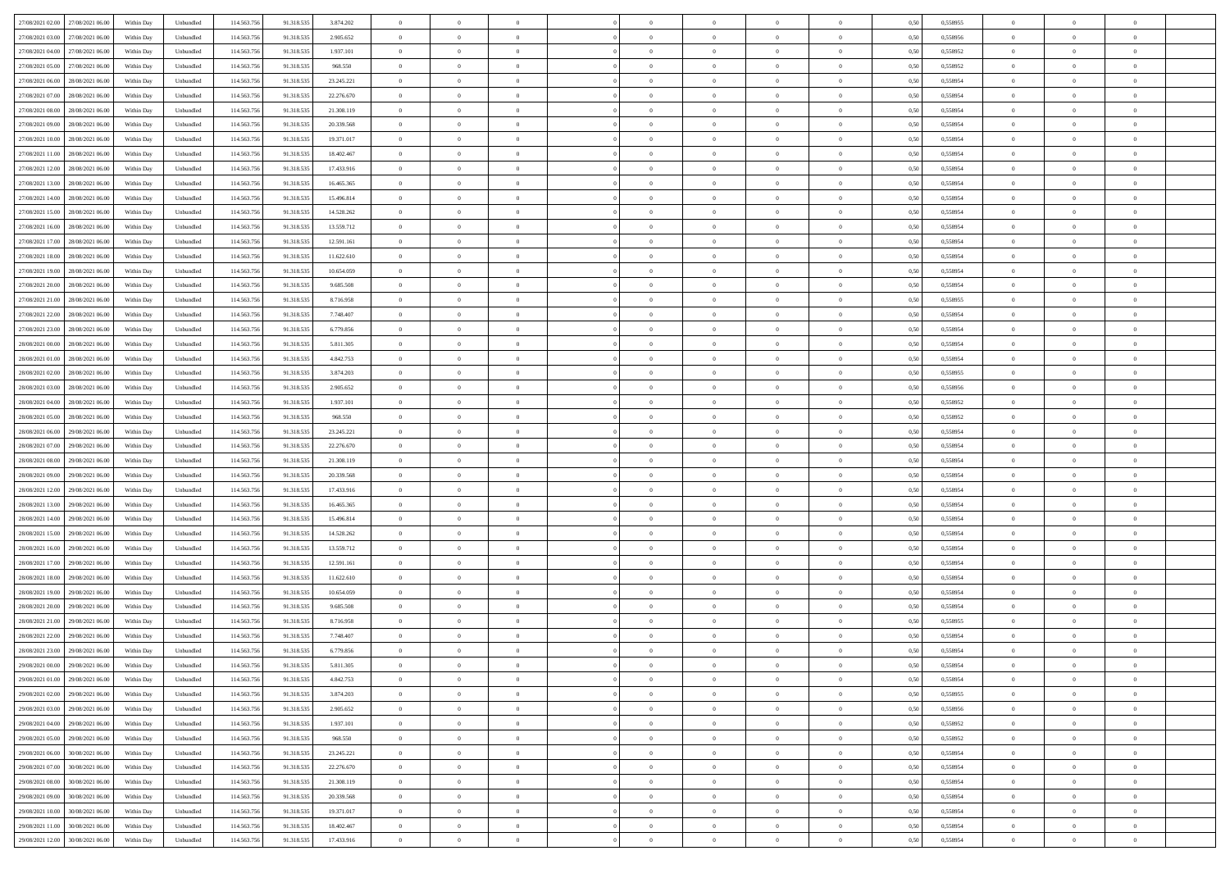| 27/08/2021 02:00 27/08/2021 06:00    | Within Day | Unbundled | 114.563.75  | 91.318.535 | 3.874.202  | $\overline{0}$ | $\theta$       |                | $\overline{0}$ | $\theta$       |                | $\theta$       | 0,50 | 0,558955 | $\theta$       | $\theta$       | $\overline{0}$ |  |
|--------------------------------------|------------|-----------|-------------|------------|------------|----------------|----------------|----------------|----------------|----------------|----------------|----------------|------|----------|----------------|----------------|----------------|--|
| 27/08/2021 03:00<br>27/08/2021 06.00 | Within Day | Unbundled | 114.563.75  | 91.318.53  | 2.905.652  | $\bf{0}$       | $\overline{0}$ | $\bf{0}$       | $\overline{0}$ | $\bf{0}$       | $\overline{0}$ | $\bf{0}$       | 0,50 | 0,558956 | $\,$ 0 $\,$    | $\bf{0}$       | $\overline{0}$ |  |
| 27/08/2021 04:00<br>27/08/2021 06:00 | Within Day | Unbundled | 114,563,75  | 91.318.535 | 1.937.101  | $\overline{0}$ | $\bf{0}$       | $\overline{0}$ | $\bf{0}$       | $\bf{0}$       | $\overline{0}$ | $\bf{0}$       | 0.50 | 0.558952 | $\bf{0}$       | $\overline{0}$ | $\overline{0}$ |  |
| 27/08/2021 05:00<br>27/08/2021 06:00 | Within Day | Unbundled | 114.563.75  | 91.318.535 | 968.550    | $\overline{0}$ | $\overline{0}$ | $\overline{0}$ | $\theta$       | $\theta$       | $\overline{0}$ | $\bf{0}$       | 0,50 | 0,558952 | $\theta$       | $\theta$       | $\overline{0}$ |  |
|                                      |            |           |             |            |            |                |                |                |                |                |                |                |      |          |                |                |                |  |
| 27/08/2021 06:00<br>28/08/2021 06:00 | Within Day | Unbundled | 114.563.75  | 91.318.535 | 23.245.221 | $\bf{0}$       | $\overline{0}$ | $\bf{0}$       | $\overline{0}$ | $\theta$       | $\overline{0}$ | $\bf{0}$       | 0,50 | 0,558954 | $\,$ 0 $\,$    | $\bf{0}$       | $\overline{0}$ |  |
| 27/08/2021 07:00<br>28/08/2021 06:00 | Within Day | Unbundled | 114,563,75  | 91.318.53  | 22.276.670 | $\overline{0}$ | $\overline{0}$ | $\overline{0}$ | $\bf{0}$       | $\overline{0}$ | $\theta$       | $\bf{0}$       | 0.50 | 0.558954 | $\,$ 0 $\,$    | $\theta$       | $\overline{0}$ |  |
| 27/08/2021 08:00<br>28/08/2021 06:00 | Within Day | Unbundled | 114.563.75  | 91.318.535 | 21.308.119 | $\overline{0}$ | $\overline{0}$ | $\overline{0}$ | $\overline{0}$ | $\overline{0}$ | $\overline{0}$ | $\bf{0}$       | 0,50 | 0,558954 | $\theta$       | $\theta$       | $\overline{0}$ |  |
| 27/08/2021 09:00<br>28/08/2021 06:00 | Within Day | Unbundled | 114.563.75  | 91.318.53  | 20.339.568 | $\bf{0}$       | $\overline{0}$ | $\bf{0}$       | $\overline{0}$ | $\theta$       | $\overline{0}$ | $\bf{0}$       | 0,50 | 0,558954 | $\,$ 0 $\,$    | $\bf{0}$       | $\overline{0}$ |  |
| 27/08/2021 10:00<br>28/08/2021 06:00 | Within Day | Unbundled | 114,563,75  | 91.318.53  | 19.371.017 | $\overline{0}$ | $\bf{0}$       | $\overline{0}$ | $\bf{0}$       | $\overline{0}$ | $\overline{0}$ | $\bf{0}$       | 0.50 | 0.558954 | $\bf{0}$       | $\overline{0}$ | $\overline{0}$ |  |
| 27/08/2021 11:00<br>28/08/2021 06:00 | Within Day | Unbundled | 114.563.756 | 91.318.535 | 18.402.467 | $\overline{0}$ | $\bf{0}$       | $\overline{0}$ | $\overline{0}$ | $\overline{0}$ | $\overline{0}$ | $\bf{0}$       | 0,50 | 0,558954 | $\,$ 0 $\,$    | $\theta$       | $\overline{0}$ |  |
|                                      |            |           |             |            |            |                |                |                |                |                |                |                |      |          |                |                |                |  |
| 27/08/2021 12:00<br>28/08/2021 06:00 | Within Day | Unbundled | 114.563.75  | 91.318.535 | 17.433.916 | $\bf{0}$       | $\overline{0}$ | $\bf{0}$       | $\overline{0}$ | $\bf{0}$       | $\overline{0}$ | $\bf{0}$       | 0,50 | 0,558954 | $\,$ 0 $\,$    | $\bf{0}$       | $\overline{0}$ |  |
| 27/08/2021 13:00<br>28/08/2021 06:00 | Within Day | Unbundled | 114,563,75  | 91.318.53  | 16,465,365 | $\overline{0}$ | $\bf{0}$       | $\overline{0}$ | $\bf{0}$       | $\bf{0}$       | $\overline{0}$ | $\bf{0}$       | 0.50 | 0.558954 | $\bf{0}$       | $\overline{0}$ | $\overline{0}$ |  |
| 27/08/2021 14:00<br>28/08/2021 06:00 | Within Day | Unbundled | 114.563.75  | 91.318.535 | 15.496.814 | $\overline{0}$ | $\overline{0}$ | $\overline{0}$ | $\overline{0}$ | $\theta$       | $\overline{0}$ | $\overline{0}$ | 0,50 | 0,558954 | $\,$ 0 $\,$    | $\theta$       | $\overline{0}$ |  |
| 27/08/2021 15:00<br>28/08/2021 06:00 | Within Day | Unbundled | 114.563.75  | 91.318.53  | 14.528.262 | $\bf{0}$       | $\theta$       | $\bf{0}$       | $\overline{0}$ | $\theta$       | $\overline{0}$ | $\bf{0}$       | 0,50 | 0,558954 | $\,$ 0 $\,$    | $\bf{0}$       | $\overline{0}$ |  |
| 27/08/2021 16:00<br>28/08/2021 06:00 | Within Day | Unbundled | 114,563,75  | 91.318.53  | 13.559.712 | $\overline{0}$ | $\overline{0}$ | $\overline{0}$ | $\bf{0}$       | $\overline{0}$ | $\Omega$       | $\bf{0}$       | 0.50 | 0.558954 | $\,$ 0 $\,$    | $\theta$       | $\overline{0}$ |  |
| 27/08/2021 17:00<br>28/08/2021 06:00 | Within Day | Unbundled | 114.563.75  | 91.318.535 | 12.591.161 | $\overline{0}$ | $\overline{0}$ | $\overline{0}$ | $\overline{0}$ | $\theta$       | $\overline{0}$ | $\bf{0}$       | 0,50 | 0,558954 | $\theta$       | $\theta$       | $\overline{0}$ |  |
|                                      |            |           |             |            |            |                |                |                |                |                |                |                |      |          |                |                |                |  |
| 27/08/2021 18:00<br>28/08/2021 06:00 | Within Day | Unbundled | 114.563.75  | 91.318.53  | 11.622.610 | $\bf{0}$       | $\overline{0}$ | $\bf{0}$       | $\overline{0}$ | $\theta$       | $\overline{0}$ | $\bf{0}$       | 0,50 | 0,558954 | $\,$ 0 $\,$    | $\bf{0}$       | $\overline{0}$ |  |
| 27/08/2021 19:00<br>28/08/2021 06:00 | Within Day | Unbundled | 114,563,75  | 91.318.53  | 10.654.059 | $\overline{0}$ | $\bf{0}$       | $\overline{0}$ | $\bf{0}$       | $\overline{0}$ | $\overline{0}$ | $\bf{0}$       | 0.50 | 0.558954 | $\bf{0}$       | $\overline{0}$ | $\overline{0}$ |  |
| 27/08/2021 20:00<br>28/08/2021 06:00 | Within Day | Unbundled | 114.563.75  | 91.318.535 | 9.685.508  | $\overline{0}$ | $\bf{0}$       | $\overline{0}$ | $\overline{0}$ | $\overline{0}$ | $\overline{0}$ | $\bf{0}$       | 0,50 | 0,558954 | $\,$ 0 $\,$    | $\theta$       | $\overline{0}$ |  |
| 27/08/2021 21:00<br>28/08/2021 06:00 | Within Day | Unbundled | 114.563.75  | 91.318.535 | 8.716.958  | $\bf{0}$       | $\bf{0}$       | $\bf{0}$       | $\bf{0}$       | $\overline{0}$ | $\overline{0}$ | $\bf{0}$       | 0,50 | 0,558955 | $\,$ 0 $\,$    | $\bf{0}$       | $\overline{0}$ |  |
| 27/08/2021 22.00<br>28/08/2021 06:00 | Within Day | Unbundled | 114,563,75  | 91.318.535 | 7.748.407  | $\overline{0}$ | $\bf{0}$       | $\overline{0}$ | $\bf{0}$       | $\bf{0}$       | $\overline{0}$ | $\bf{0}$       | 0.50 | 0.558954 | $\bf{0}$       | $\overline{0}$ | $\overline{0}$ |  |
| 27/08/2021 23:00<br>28/08/2021 06:00 | Within Day | Unbundled | 114.563.75  | 91.318.535 | 6.779.856  | $\overline{0}$ | $\overline{0}$ | $\overline{0}$ | $\theta$       | $\theta$       | $\overline{0}$ | $\bf{0}$       | 0,50 | 0,558954 | $\theta$       | $\theta$       | $\overline{0}$ |  |
|                                      |            |           |             |            |            |                |                |                |                |                |                |                |      |          |                |                |                |  |
| 28/08/2021 00:00<br>28/08/2021 06:00 | Within Day | Unbundled | 114.563.75  | 91.318.535 | 5.811.305  | $\bf{0}$       | $\overline{0}$ | $\bf{0}$       | $\overline{0}$ | $\theta$       | $\overline{0}$ | $\bf{0}$       | 0,50 | 0,558954 | $\,$ 0 $\,$    | $\bf{0}$       | $\overline{0}$ |  |
| 28/08/2021 01:00<br>28/08/2021 06:00 | Within Day | Unbundled | 114,563,75  | 91.318.53  | 4.842.753  | $\overline{0}$ | $\overline{0}$ | $\overline{0}$ | $\overline{0}$ | $\overline{0}$ | $\Omega$       | $\bf{0}$       | 0.50 | 0.558954 | $\,$ 0 $\,$    | $\theta$       | $\overline{0}$ |  |
| 28/08/2021 02:00<br>28/08/2021 06:00 | Within Day | Unbundled | 114.563.75  | 91.318.535 | 3.874.203  | $\overline{0}$ | $\overline{0}$ | $\overline{0}$ | $\overline{0}$ | $\theta$       | $\overline{0}$ | $\bf{0}$       | 0,50 | 0,558955 | $\,$ 0 $\,$    | $\theta$       | $\overline{0}$ |  |
| 28/08/2021 03:00<br>28/08/2021 06:00 | Within Day | Unbundled | 114.563.75  | 91.318.53  | 2.905.652  | $\bf{0}$       | $\overline{0}$ | $\bf{0}$       | $\overline{0}$ | $\theta$       | $\overline{0}$ | $\bf{0}$       | 0,50 | 0,558956 | $\,$ 0 $\,$    | $\bf{0}$       | $\overline{0}$ |  |
| 28/08/2021 04:00<br>28/08/2021 06:00 | Within Day | Unbundled | 114,563,75  | 91.318.53  | 1.937.101  | $\overline{0}$ | $\bf{0}$       | $\overline{0}$ | $\bf{0}$       | $\overline{0}$ | $\overline{0}$ | $\bf{0}$       | 0.50 | 0.558952 | $\bf{0}$       | $\overline{0}$ | $\overline{0}$ |  |
| 28/08/2021 05:00<br>28/08/2021 06:00 | Within Day | Unbundled | 114.563.75  | 91.318.535 | 968.550    | $\overline{0}$ | $\overline{0}$ | $\overline{0}$ | $\overline{0}$ | $\overline{0}$ | $\overline{0}$ | $\bf{0}$       | 0,50 | 0,558952 | $\theta$       | $\theta$       | $\overline{0}$ |  |
|                                      |            |           |             |            |            | $\bf{0}$       | $\bf{0}$       |                |                | $\overline{0}$ | $\overline{0}$ |                |      |          | $\,$ 0 $\,$    | $\bf{0}$       | $\overline{0}$ |  |
| 28/08/2021 06:00<br>29/08/2021 06.00 | Within Day | Unbundled | 114.563.75  | 91.318.535 | 23.245.221 |                |                | $\bf{0}$       | $\bf{0}$       |                |                | $\bf{0}$       | 0,50 | 0,558954 |                |                |                |  |
| 28/08/2021 07:00<br>29/08/2021 06:00 | Within Day | Unbundled | 114,563,75  | 91.318.53  | 22.276.670 | $\overline{0}$ | $\bf{0}$       | $\overline{0}$ | $\bf{0}$       | $\bf{0}$       | $\overline{0}$ | $\bf{0}$       | 0.50 | 0.558954 | $\bf{0}$       | $\overline{0}$ | $\overline{0}$ |  |
| 28/08/2021 08:00<br>29/08/2021 06:00 | Within Day | Unbundled | 114.563.75  | 91.318.535 | 21.308.119 | $\overline{0}$ | $\overline{0}$ | $\overline{0}$ | $\overline{0}$ | $\overline{0}$ | $\overline{0}$ | $\bf{0}$       | 0.50 | 0.558954 | $\theta$       | $\theta$       | $\overline{0}$ |  |
| 28/08/2021 09:00<br>29/08/2021 06.00 | Within Day | Unbundled | 114.563.75  | 91.318.53  | 20.339.568 | $\bf{0}$       | $\overline{0}$ | $\bf{0}$       | $\overline{0}$ | $\overline{0}$ | $\overline{0}$ | $\bf{0}$       | 0,50 | 0,558954 | $\,$ 0 $\,$    | $\bf{0}$       | $\overline{0}$ |  |
| 28/08/2021 12:00<br>29/08/2021 06:00 | Within Day | Unbundled | 114,563,75  | 91.318.53  | 17.433.916 | $\overline{0}$ | $\bf{0}$       | $\overline{0}$ | $\bf{0}$       | $\overline{0}$ | $\Omega$       | $\bf{0}$       | 0.50 | 0.558954 | $\,$ 0 $\,$    | $\theta$       | $\overline{0}$ |  |
| 28/08/2021 13:00<br>29/08/2021 06:00 | Within Dav | Unbundled | 114.563.75  | 91.318.535 | 16.465.365 | $\overline{0}$ | $\overline{0}$ | $\overline{0}$ | $\overline{0}$ | $\theta$       | $\overline{0}$ | $\bf{0}$       | 0.50 | 0,558954 | $\theta$       | $\theta$       | $\overline{0}$ |  |
| 28/08/2021 14:00<br>29/08/2021 06.00 | Within Day | Unbundled | 114.563.75  | 91.318.53  | 15.496.814 | $\bf{0}$       | $\bf{0}$       | $\bf{0}$       | $\overline{0}$ | $\bf{0}$       | $\overline{0}$ | $\bf{0}$       | 0,50 | 0,558954 | $\,$ 0 $\,$    | $\bf{0}$       | $\overline{0}$ |  |
| 28/08/2021 15:00<br>29/08/2021 06:00 | Within Day | Unbundled | 114,563,75  | 91.318.53  | 14.528.262 | $\overline{0}$ | $\bf{0}$       | $\overline{0}$ | $\bf{0}$       | $\overline{0}$ | $\overline{0}$ | $\bf{0}$       | 0.50 | 0.558954 | $\bf{0}$       | $\overline{0}$ | $\overline{0}$ |  |
|                                      |            |           |             |            |            |                |                |                |                |                |                |                |      |          |                |                |                |  |
| 28/08/2021 16:00<br>29/08/2021 06:00 | Within Dav | Unbundled | 114.563.75  | 91.318.535 | 13.559.712 | $\overline{0}$ | $\overline{0}$ | $\overline{0}$ | $\overline{0}$ | $\overline{0}$ | $\overline{0}$ | $\overline{0}$ | 0.50 | 0,558954 | $\theta$       | $\theta$       | $\overline{0}$ |  |
| 28/08/2021 17:00<br>29/08/2021 06.00 | Within Day | Unbundled | 114.563.75  | 91.318.53  | 12.591.161 | $\bf{0}$       | $\bf{0}$       | $\bf{0}$       | $\bf{0}$       | $\overline{0}$ | $\overline{0}$ | $\bf{0}$       | 0,50 | 0,558954 | $\,$ 0 $\,$    | $\bf{0}$       | $\overline{0}$ |  |
| 28/08/2021 18:00<br>29/08/2021 06:00 | Within Day | Unbundled | 114,563,75  | 91.318.535 | 11.622.610 | $\overline{0}$ | $\bf{0}$       | $\overline{0}$ | $\bf{0}$       | $\bf{0}$       | $\overline{0}$ | $\bf{0}$       | 0.50 | 0.558954 | $\bf{0}$       | $\overline{0}$ | $\overline{0}$ |  |
| 28/08/2021 19:00<br>29/08/2021 06:00 | Within Dav | Unbundled | 114.563.75  | 91.318.535 | 10.654.059 | $\overline{0}$ | $\overline{0}$ | $\overline{0}$ | $\overline{0}$ | $\theta$       | $\overline{0}$ | $\bf{0}$       | 0.50 | 0.558954 | $\theta$       | $\theta$       | $\overline{0}$ |  |
| 28/08/2021 20:00<br>29/08/2021 06.00 | Within Day | Unbundled | 114.563.75  | 91.318.535 | 9.685.508  | $\bf{0}$       | $\bf{0}$       | $\bf{0}$       | $\bf{0}$       | $\overline{0}$ | $\overline{0}$ | $\bf{0}$       | 0,50 | 0,558954 | $\,$ 0 $\,$    | $\bf{0}$       | $\overline{0}$ |  |
| 28/08/2021 21:00<br>29/08/2021 06:00 | Within Day | Unbundled | 114,563,75  | 91.318.53  | 8.716.958  | $\overline{0}$ | $\overline{0}$ | $\overline{0}$ | $\bf{0}$       | $\overline{0}$ | $\Omega$       | $\bf{0}$       | 0.50 | 0.558955 | $\bf{0}$       | $\theta$       | $\overline{0}$ |  |
| 28/08/2021 22:00<br>29/08/2021 06:00 | Within Dav | Unbundled | 114.563.75  | 91.318.535 | 7.748.407  | $\overline{0}$ | $\overline{0}$ | $\Omega$       | $\overline{0}$ | $\theta$       | $\Omega$       | $\overline{0}$ | 0.5( | 0,558954 | $\theta$       | $\theta$       | $\overline{0}$ |  |
|                                      |            |           |             |            |            |                |                |                |                |                |                |                |      |          |                |                |                |  |
| 28/08/2021 23:00<br>29/08/2021 06:00 | Within Day | Unbundled | 114.563.75  | 91.318.535 | 6.779.856  | $\bf{0}$       | $\bf{0}$       | $\overline{0}$ | $\bf{0}$       | $\bf{0}$       | $\overline{0}$ | $\bf{0}$       | 0,50 | 0,558954 | $\,$ 0 $\,$    | $\bf{0}$       | $\overline{0}$ |  |
| 29/08/2021 00:00 29/08/2021 06:00    | Within Day | Unbundled | 114.563.756 | 91.318.535 | 5.811.305  | $\overline{0}$ |                |                | $\Omega$       |                |                |                | 0,50 | 0.558954 | $\theta$       | $\overline{0}$ |                |  |
| 29/08/2021 01:00 29/08/2021 06:00    | Within Day | Unbundled | 114.563.756 | 91.318.535 | 4.842.753  | $\overline{0}$ | $\overline{0}$ | $\Omega$       | $\theta$       | $\overline{0}$ | $\overline{0}$ | $\bf{0}$       | 0,50 | 0,558954 | $\theta$       | $\theta$       | $\overline{0}$ |  |
| 29/08/2021 02:00<br>29/08/2021 06:00 | Within Day | Unbundled | 114.563.75  | 91.318.535 | 3.874.203  | $\overline{0}$ | $\bf{0}$       | $\overline{0}$ | $\overline{0}$ | $\bf{0}$       | $\overline{0}$ | $\bf{0}$       | 0,50 | 0,558955 | $\bf{0}$       | $\overline{0}$ | $\bf{0}$       |  |
| 29/08/2021 03:00 29/08/2021 06:00    | Within Day | Unbundled | 114,563,756 | 91.318.535 | 2.905.652  | $\overline{0}$ | $\bf{0}$       | $\overline{0}$ | $\overline{0}$ | $\mathbf{0}$   | $\overline{0}$ | $\,$ 0 $\,$    | 0.50 | 0.558956 | $\overline{0}$ | $\bf{0}$       | $\,$ 0 $\,$    |  |
| 29/08/2021 04:00 29/08/2021 06:00    | Within Dav | Unbundled | 114.563.756 | 91.318.535 | 1.937.101  | $\overline{0}$ | $\overline{0}$ | $\overline{0}$ | $\overline{0}$ | $\overline{0}$ | $\overline{0}$ | $\bf{0}$       | 0,50 | 0,558952 | $\overline{0}$ | $\theta$       | $\overline{0}$ |  |
|                                      |            |           |             |            |            |                |                |                |                |                |                |                |      |          |                |                |                |  |
| 29/08/2021 05:00<br>29/08/2021 06:00 | Within Day | Unbundled | 114.563.75  | 91.318.535 | 968.550    | $\overline{0}$ | $\bf{0}$       | $\overline{0}$ | $\overline{0}$ | $\overline{0}$ | $\bf{0}$       | $\bf{0}$       | 0,50 | 0,558952 | $\bf{0}$       | $\overline{0}$ | $\overline{0}$ |  |
| 29/08/2021 06:00<br>30/08/2021 06:00 | Within Day | Unbundled | 114.563.756 | 91.318.535 | 23.245.221 | $\overline{0}$ | $\bf{0}$       | $\overline{0}$ | $\overline{0}$ | $\overline{0}$ | $\overline{0}$ | $\bf{0}$       | 0.50 | 0.558954 | $\,$ 0 $\,$    | $\theta$       | $\overline{0}$ |  |
| 29/08/2021 07:00<br>30/08/2021 06:00 | Within Dav | Unbundled | 114.563.756 | 91.318.535 | 22.276.670 | $\overline{0}$ | $\overline{0}$ | $\overline{0}$ | $\overline{0}$ | $\overline{0}$ | $\overline{0}$ | $\bf{0}$       | 0.50 | 0,558954 | $\overline{0}$ | $\theta$       | $\overline{0}$ |  |
| 29/08/2021 08:00<br>30/08/2021 06:00 | Within Day | Unbundled | 114.563.75  | 91.318.535 | 21.308.119 | $\overline{0}$ | $\overline{0}$ | $\overline{0}$ | $\overline{0}$ | $\overline{0}$ | $\overline{0}$ | $\bf{0}$       | 0,50 | 0,558954 | $\bf{0}$       | $\overline{0}$ | $\overline{0}$ |  |
| 30/08/2021 06:00<br>29/08/2021 09:00 | Within Day | Unbundled | 114.563.75  | 91.318.535 | 20.339.568 | $\overline{0}$ | $\overline{0}$ | $\overline{0}$ | $\overline{0}$ | $\bf{0}$       | $\overline{0}$ | $\bf{0}$       | 0.50 | 0.558954 | $\mathbf{0}$   | $\bf{0}$       | $\,$ 0         |  |
| 29/08/2021 10:00<br>30/08/2021 06:00 | Within Dav | Unbundled | 114.563.756 | 91.318.535 | 19.371.017 | $\overline{0}$ | $\overline{0}$ | $\overline{0}$ | $\overline{0}$ | $\overline{0}$ | $\overline{0}$ | $\bf{0}$       | 0,50 | 0,558954 | $\overline{0}$ | $\theta$       | $\overline{0}$ |  |
|                                      |            |           |             |            |            |                |                |                |                |                |                |                |      |          |                |                |                |  |
| 29/08/2021 11:00<br>30/08/2021 06:00 | Within Day | Unbundled | 114.563.75  | 91.318.535 | 18.402.467 | $\overline{0}$ | $\bf{0}$       | $\overline{0}$ | $\bf{0}$       | $\overline{0}$ | $\bf{0}$       | $\bf{0}$       | 0,50 | 0,558954 | $\bf{0}$       | $\bf{0}$       | $\bf{0}$       |  |
| 29/08/2021 12:00 30/08/2021 06:00    | Within Day | Unbundled | 114.563.756 | 91.318.535 | 17.433.916 | $\overline{0}$ | $\bf{0}$       | $\overline{0}$ | $\overline{0}$ | $\,$ 0 $\,$    | $\overline{0}$ | $\bf{0}$       | 0,50 | 0,558954 | $\overline{0}$ | $\,$ 0 $\,$    | $\,$ 0 $\,$    |  |